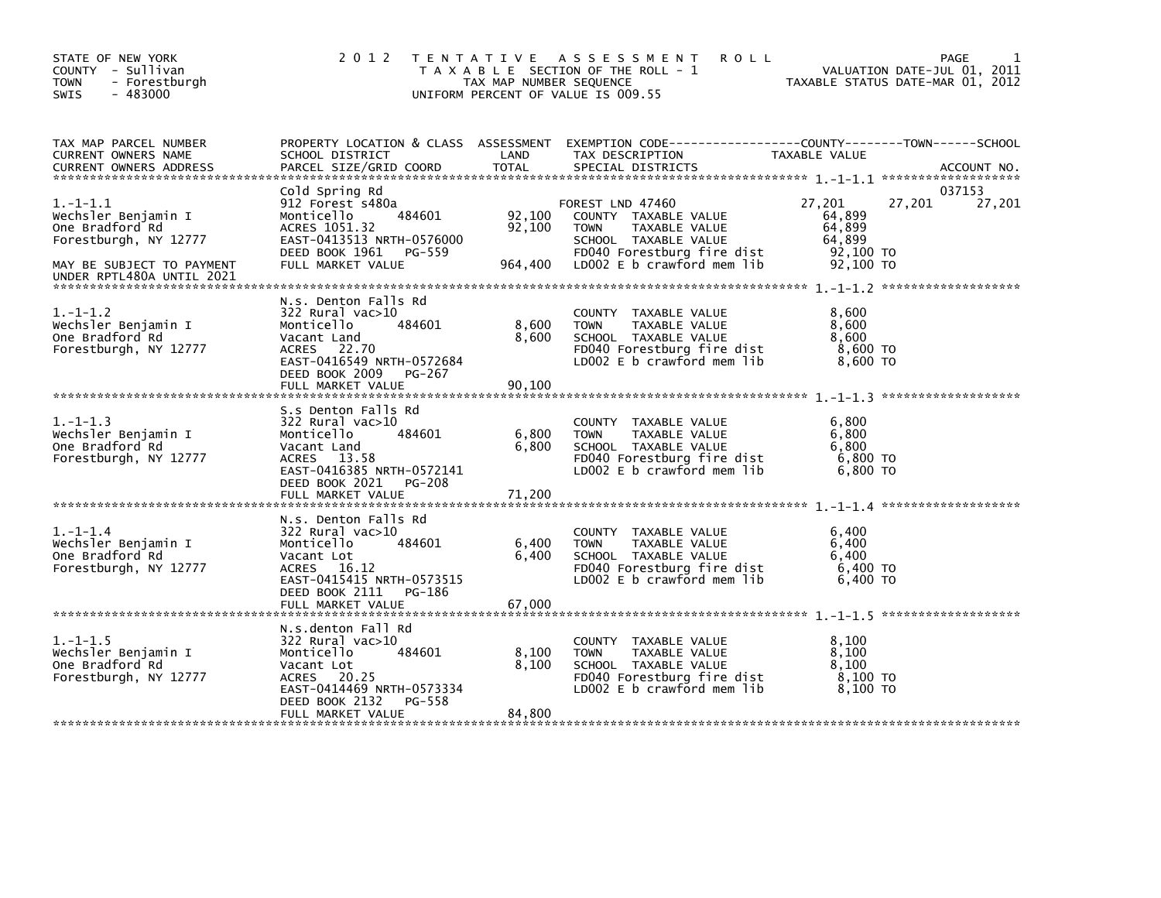| STATE OF NEW YORK<br>COUNTY - Sullivan<br><b>TOWN</b><br>- Forestburgh<br>$-483000$<br>SWIS                                                 | 2 0 1 2                                                                                                                                                                     | TAX MAP NUMBER SEQUENCE     | TENTATIVE ASSESSMENT<br><b>ROLL</b><br>T A X A B L E SECTION OF THE ROLL - 1<br>UNIFORM PERCENT OF VALUE IS 009.55                                           |                                                                  | PAGE<br>VALUATION DATE-JUL 01, 2011<br>TAXABLE STATUS DATE-MAR 01, 2012 |
|---------------------------------------------------------------------------------------------------------------------------------------------|-----------------------------------------------------------------------------------------------------------------------------------------------------------------------------|-----------------------------|--------------------------------------------------------------------------------------------------------------------------------------------------------------|------------------------------------------------------------------|-------------------------------------------------------------------------|
| TAX MAP PARCEL NUMBER<br>CURRENT OWNERS NAME<br>CURRENT OWNERS ADDRESS                                                                      | SCHOOL DISTRICT<br>PARCEL SIZE/GRID COORD                                                                                                                                   | LAND<br><b>TOTAL</b>        | PROPERTY LOCATION & CLASS ASSESSMENT EXEMPTION CODE----------------COUNTY-------TOWN-----SCHOOL<br>TAX DESCRIPTION<br>SPECIAL DISTRICTS                      | TAXABLE VALUE                                                    | ACCOUNT NO.                                                             |
| $1. - 1 - 1.1$<br>Wechsler Benjamin I<br>One Bradford Rd<br>Forestburgh, NY 12777<br>MAY BE SUBJECT TO PAYMENT<br>UNDER RPTL480A UNTIL 2021 | Cold Spring Rd<br>912 Forest s480a<br>484601<br>Monticello<br>ACRES 1051.32<br>EAST-0413513 NRTH-0576000<br>DEED BOOK 1961 PG-559<br>FULL MARKET VALUE                      | 92,100<br>92,100<br>964,400 | FOREST LND 47460<br>COUNTY TAXABLE VALUE<br><b>TOWN</b><br>TAXABLE VALUE<br>SCHOOL TAXABLE VALUE<br>FD040 Forestburg fire dist<br>LD002 E b crawford mem lib | 27,201<br>64,899<br>64,899<br>64,899<br>92,100 TO<br>$92,100$ TO | 037153<br>27,201<br>27,201                                              |
| $1. - 1 - 1.2$<br>Wechsler Benjamin I<br>One Bradford Rd<br>Forestburgh, NY 12777                                                           | N.s. Denton Falls Rd<br>322 Rural vac>10<br>484601<br>Monticello<br>Vacant Land<br>ACRES 22.70<br>EAST-0416549 NRTH-0572684<br>DEED BOOK 2009 PG-267<br>FULL MARKET VALUE   | 8,600<br>8,600<br>90,100    | COUNTY TAXABLE VALUE<br>TAXABLE VALUE<br><b>TOWN</b><br>SCHOOL TAXABLE VALUE<br>FD040 Forestburg fire dist<br>LD002 E b crawford mem lib                     | 8,600<br>8,600<br>8,600<br>8,600 TO<br>8,600 TO                  |                                                                         |
| $1. - 1 - 1.3$<br>Wechsler Benjamin I<br>One Bradford Rd<br>Forestburgh, NY 12777                                                           | S.s Denton Falls Rd<br>322 Rural vac>10<br>484601<br>Monticello<br>Vacant Land<br>ACRES 13.58<br>EAST-0416385 NRTH-0572141<br>DEED BOOK 2021 PG-208                         | 6,800<br>6,800              | COUNTY TAXABLE VALUE<br><b>TOWN</b><br>TAXABLE VALUE<br>SCHOOL TAXABLE VALUE<br>FD040 Forestburg fire dist<br>LD002 E b crawford mem lib                     | 6,800<br>6,800<br>6,800<br>6,800 TO<br>$6,800$ TO                |                                                                         |
| $1. - 1 - 1.4$<br>Wechsler Benjamin I<br>One Bradford Rd<br>Forestburgh, NY 12777                                                           | N.S. Denton Falls Rd<br>322 Rural vac>10<br>484601<br>Monticello<br>Vacant Lot<br>ACRES 16.12<br>EAST-0415415 NRTH-0573515<br>DEED BOOK 2111<br>PG-186<br>FULL MARKET VALUE | 6,400<br>6,400<br>67,000    | COUNTY TAXABLE VALUE<br><b>TOWN</b><br>TAXABLE VALUE<br>SCHOOL TAXABLE VALUE<br>FD040 Forestburg fire dist<br>LD002 E b crawford mem lib                     | 6,400<br>6,400<br>6.400<br>6,400 TO<br>6.400 TO                  |                                                                         |
| $1. - 1 - 1.5$<br>Wechsler Benjamin I<br>One Bradford Rd<br>Forestburgh, NY 12777                                                           | N.s.denton Fall Rd<br>322 Rural vac>10<br>Monticello<br>484601<br>Vacant Lot<br>ACRES 20.25<br>EAST-0414469 NRTH-0573334<br>PG-558<br>DEED BOOK 2132<br>FULL MARKET VALUE   | 8,100<br>8,100<br>84,800    | COUNTY TAXABLE VALUE<br><b>TOWN</b><br>TAXABLE VALUE<br>SCHOOL TAXABLE VALUE<br>FD040 Forestburg fire dist<br>LD002 $E$ b crawford mem $lib$                 | 8,100<br>8,100<br>8.100<br>8,100 то<br>8.100 TO                  |                                                                         |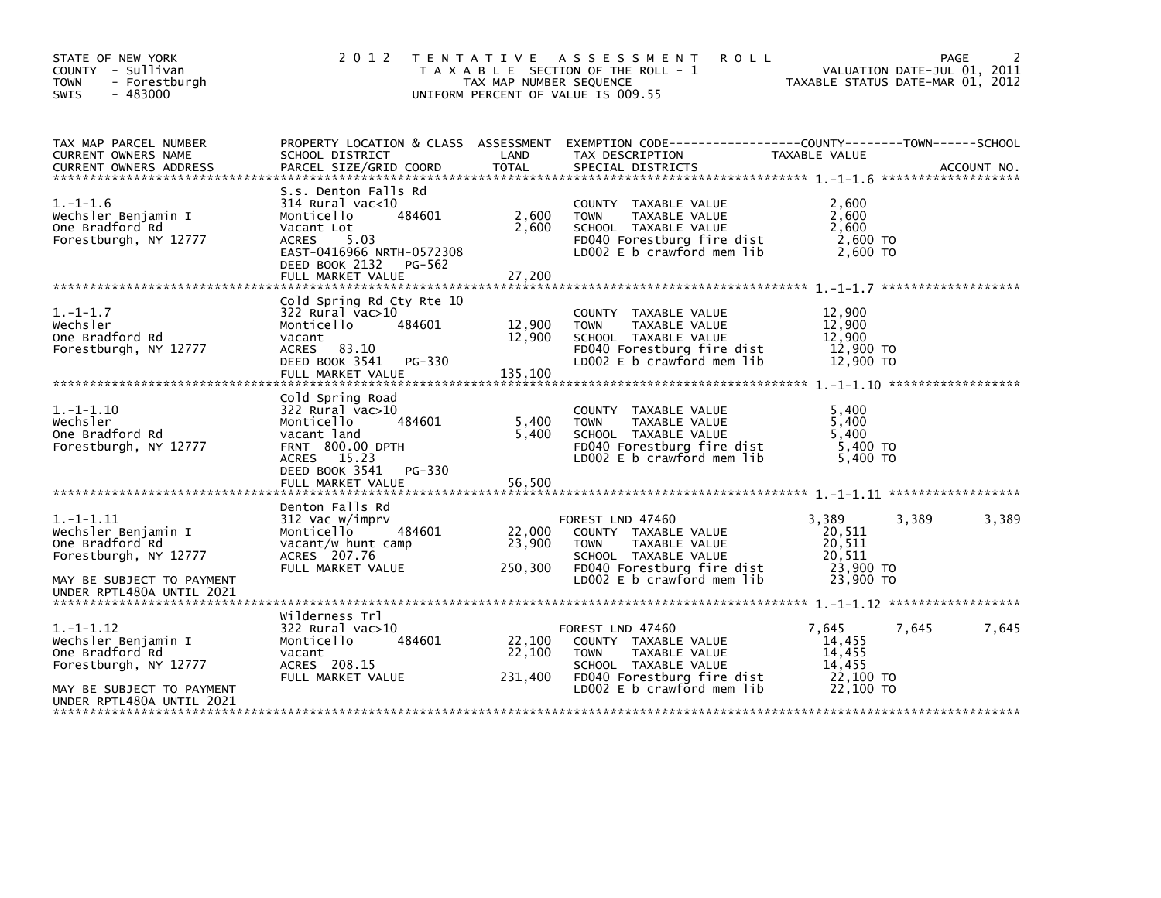| STATE OF NEW YORK<br>COUNTY - Sullivan<br>- Forestburgh<br><b>TOWN</b><br>SWIS<br>$-483000$                    | 2 0 1 2                                                                                                                                                                         | T E N T A T I V E<br>TAX MAP NUMBER SEQUENCE | A S S E S S M E N T<br><b>ROLL</b><br>T A X A B L E SECTION OF THE ROLL - 1<br>UNIFORM PERCENT OF VALUE IS 009.55                                              |                                                               | PAGE<br>VALUATION DATE-JUL 01, 2011<br>TAXABLE STATUS DATE-MAR 01, 2012 |
|----------------------------------------------------------------------------------------------------------------|---------------------------------------------------------------------------------------------------------------------------------------------------------------------------------|----------------------------------------------|----------------------------------------------------------------------------------------------------------------------------------------------------------------|---------------------------------------------------------------|-------------------------------------------------------------------------|
| TAX MAP PARCEL NUMBER<br>CURRENT OWNERS NAME<br><b>CURRENT OWNERS ADDRESS</b>                                  | PROPERTY LOCATION & CLASS ASSESSMENT<br>SCHOOL DISTRICT<br>PARCEL SIZE/GRID COORD                                                                                               | LAND<br><b>TOTAL</b>                         | EXEMPTION CODE-----------------COUNTY-------TOWN------SCHOOL<br>TAX DESCRIPTION<br>SPECIAL DISTRICTS                                                           | TAXABLE VALUE                                                 | ACCOUNT NO.                                                             |
| $1. - 1 - 1.6$<br>Wechsler Benjamin I<br>One Bradford Rd<br>Forestburgh, NY 12777                              | S.s. Denton Falls Rd<br>$314$ Rural vac<10<br>484601<br>Monticello<br>Vacant Lot<br>5.03<br>ACRES<br>EAST-0416966 NRTH-0572308<br>DEED BOOK 2132<br>PG-562<br>FULL MARKET VALUE | 2,600<br>2,600<br>27,200                     | COUNTY TAXABLE VALUE<br>TAXABLE VALUE<br><b>TOWN</b><br>SCHOOL TAXABLE VALUE<br>FD040 Forestburg fire dist<br>LD002 $E$ b crawford mem lib                     | 2,600<br>2,600<br>2,600<br>2,600 TO<br>2,600 TO               |                                                                         |
| $1. - 1 - 1.7$<br>Wechsler<br>One Bradford Rd<br>Forestburgh, NY 12777                                         | Cold Spring Rd Cty Rte 10<br>322 Rural vac>10<br>Monticello<br>484601<br>vacant<br>ACRES 83.10<br>DEED BOOK 3541<br>PG-330<br>FULL MARKET VALUE                                 | 12,900<br>12,900<br>135,100                  | COUNTY TAXABLE VALUE<br>TAXABLE VALUE<br><b>TOWN</b><br>SCHOOL TAXABLE VALUE<br>FD040 Forestburg fire dist<br>LD002 E b crawford mem lib                       | 12,900<br>12,900<br>12,900<br>12,900 TO<br>12,900 TO          |                                                                         |
| $1. -1 - 1.10$<br>Wechsler<br>One Bradford Rd<br>Forestburgh, NY 12777                                         | Cold Spring Road<br>$322$ Rural vac $>10$<br>Monticello<br>484601<br>vacant land<br><b>FRNT 800.00 DPTH</b><br>ACRES 15.23<br>DEED BOOK 3541<br>PG-330<br>FULL MARKET VALUE     | 5,400<br>5,400<br>56,500                     | COUNTY TAXABLE VALUE<br>TAXABLE VALUE<br><b>TOWN</b><br>SCHOOL TAXABLE VALUE<br>FD040 Forestburg fire dist<br>LD002 E b crawford mem lib                       | 5.400<br>5,400<br>5.400<br>5,400 TO<br>5.400 TO               |                                                                         |
| $1. -1 - 1.11$<br>Wechsler Benjamin I<br>One Bradford Rd<br>Forestburgh, NY 12777<br>MAY BE SUBJECT TO PAYMENT | Denton Falls Rd<br>312 Vac w/imprv<br>484601<br>Monticello<br>vacant/w hunt camp<br>ACRES 207.76<br>FULL MARKET VALUE                                                           | 22,000<br>23,900<br>250,300                  | FOREST LND 47460<br>COUNTY TAXABLE VALUE<br>TAXABLE VALUE<br><b>TOWN</b><br>SCHOOL TAXABLE VALUE<br>FD040 Forestburg fire dist<br>LD002 $E$ b crawford mem lib | 3,389<br>20,511<br>20,511<br>20.511<br>23,900 TO<br>23,900 TO | 3,389<br>3,389                                                          |
| UNDER RPTL480A UNTIL 2021                                                                                      |                                                                                                                                                                                 |                                              |                                                                                                                                                                |                                                               |                                                                         |
| $1. - 1 - 1.12$<br>Wechsler Benjamin I<br>One Bradford Rd<br>Forestburgh, NY 12777                             | Wilderness Trl<br>322 Rural vac>10<br>Monticello<br>484601<br>vacant<br>ACRES 208.15<br>FULL MARKET VALUE                                                                       | 22,100<br>22,100<br>231,400                  | FOREST LND 47460<br>COUNTY TAXABLE VALUE<br>TAXABLE VALUE<br><b>TOWN</b><br>SCHOOL TAXABLE VALUE<br>FD040 Forestburg fire dist                                 | 7,645<br>14,455<br>14,455<br>14.455<br>22,100 TO              | 7,645<br>7,645                                                          |
| MAY BE SUBJECT TO PAYMENT<br>UNDER RPTL480A UNTIL 2021                                                         |                                                                                                                                                                                 |                                              | LD002 E b crawford mem lib                                                                                                                                     | 22,100 TO                                                     |                                                                         |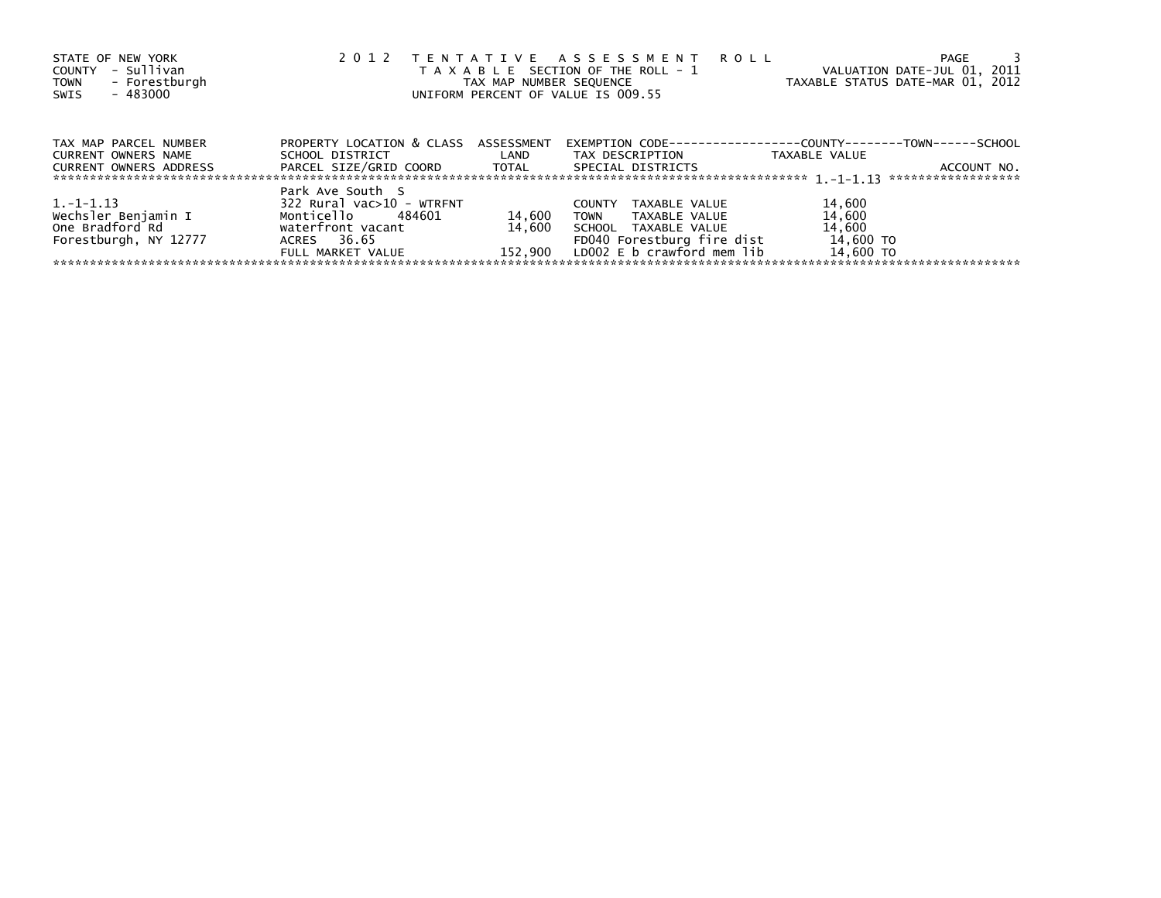| STATE OF NEW YORK<br>- Sullivan<br>COUNTY<br>- Forestburgh<br><b>TOWN</b><br>- 483000<br>SWIS | 2 0 1 2                                                                                                                     |                  | TENTATIVE ASSESSMENT ROLL<br>T A X A B L E SECTION OF THE ROLL - 1<br>TAX MAP NUMBER SEQUENCE<br>UNIFORM PERCENT OF VALUE IS 009.55                 | PAGE<br>VALUATION DATE-JUL 01, 2011<br>TAXABLE STATUS DATE-MAR 01, 2012                                                    |
|-----------------------------------------------------------------------------------------------|-----------------------------------------------------------------------------------------------------------------------------|------------------|-----------------------------------------------------------------------------------------------------------------------------------------------------|----------------------------------------------------------------------------------------------------------------------------|
| TAX MAP PARCEL NUMBER<br><b>CURRENT OWNERS NAME</b><br><b>CURRENT OWNERS ADDRESS</b>          | PROPERTY LOCATION & CLASS ASSESSMENT<br>SCHOOL DISTRICT LAND<br>PARCEL SIZE/GRID COORD TOTAL                                |                  | TAX DESCRIPTION<br>SPECIAL DISTRICTS                                                                                                                | EXEMPTION        CODE-----------------COUNTY--------TOWN------SCHOOL<br>TAXABLE VALUE<br>ACCOUNT NO.<br>****************** |
| 1. -1-1.13<br>Wechsler Benjamin I<br>One Bradford Rd<br>Forestburgh, NY 12777                 | Park Ave South S<br>322 Rural vac>10 - WTRFNT<br>Monticello 484601<br>waterfront vacant<br>ACRES 36.65<br>FULL MARKET VALUE | 14,600<br>14.600 | TAXABLE VALUE<br><b>COUNTY</b><br>TOWN<br>TAXABLE VALUE<br>SCHOOL TAXABLE VALUE<br>FD040 Forestburg fire dist<br>152,900 LDOO2 E b crawford mem lib | 14,600<br>14,600<br>14,600<br>14,600 TO<br>14,600 TO                                                                       |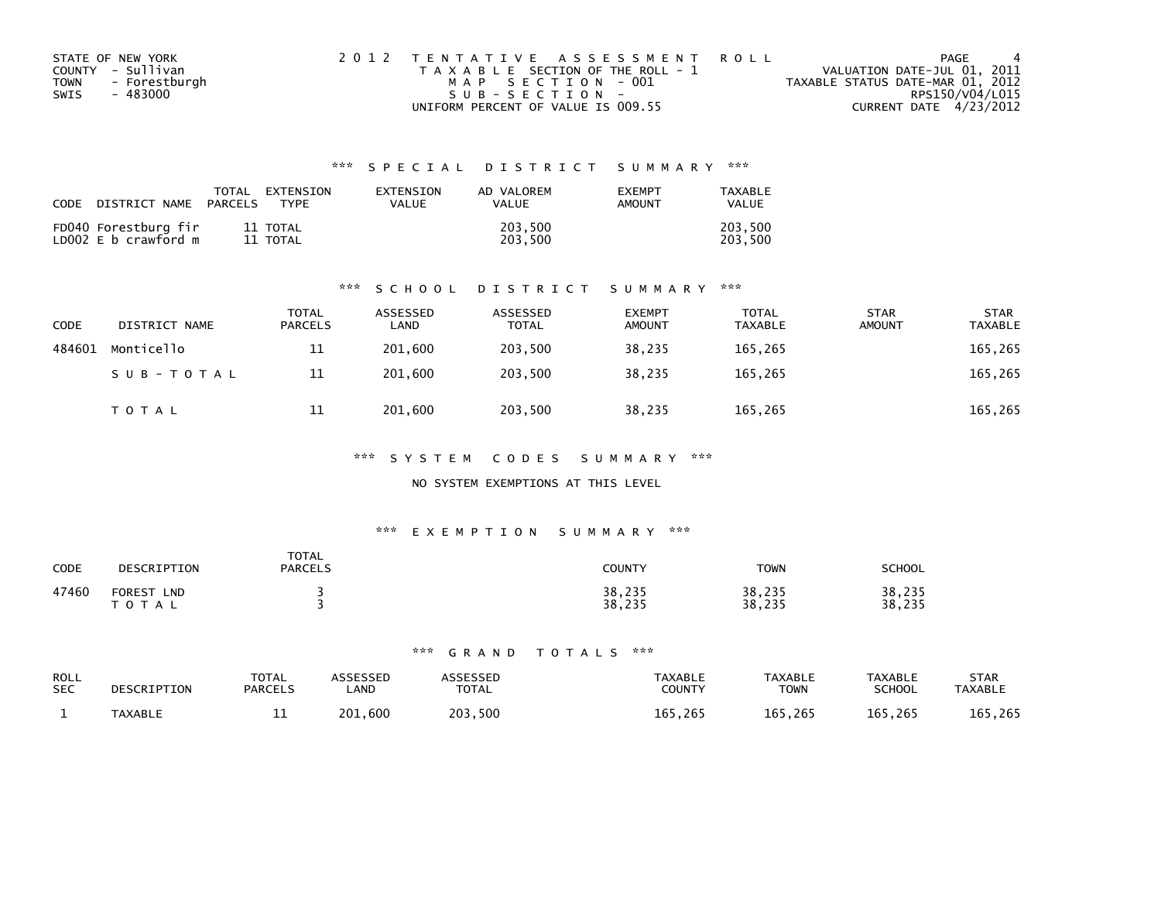| STATE OF NEW YORK            | 2012 TENTATIVE ASSESSMENT ROLL        | PAGE                             |
|------------------------------|---------------------------------------|----------------------------------|
| COUNTY - Sullivan            | T A X A B L E SECTION OF THE ROLL - 1 | VALUATION DATE-JUL 01, 2011      |
| <b>TOWN</b><br>- Forestburgh | MAP SECTION - 001                     | TAXABLE STATUS DATE-MAR 01, 2012 |
| SWIS<br>- 483000             | $SUB - SECTION -$                     | RPS150/V04/L015                  |
|                              | UNIFORM PERCENT OF VALUE IS 009.55    | CURRENT DATE 4/23/2012           |

| CODE | DISTRICT NAME                                | TOTAL<br><b>PARCELS</b> | EXTENSION<br><b>TYPF</b> | <b>FXTENSTON</b><br>VALUE | AD VALOREM<br><b>VALUE</b> | <b>EXEMPT</b><br>AMOUNT | <b>TAXABLE</b><br>VALUE |
|------|----------------------------------------------|-------------------------|--------------------------|---------------------------|----------------------------|-------------------------|-------------------------|
|      | FD040 Forestburg fir<br>LD002 E b crawford m |                         | 11 TOTAL<br>11 TOTAL     |                           | 203,500<br>203.500         |                         | 203,500<br>203.500      |

### \*\*\* S C H O O L D I S T R I C T S U M M A R Y \*\*\*

| <b>CODE</b> | DISTRICT NAME | <b>TOTAL</b><br>PARCELS | ASSESSED<br>LAND | ASSESSED<br>TOTAL | <b>EXEMPT</b><br><b>AMOUNT</b> | <b>TOTAL</b><br><b>TAXABLE</b> | <b>STAR</b><br><b>AMOUNT</b> | <b>STAR</b><br><b>TAXABLE</b> |
|-------------|---------------|-------------------------|------------------|-------------------|--------------------------------|--------------------------------|------------------------------|-------------------------------|
| 484601      | Monticello    | 11                      | 201,600          | 203.500           | 38,235                         | 165,265                        |                              | 165,265                       |
|             | SUB-TOTAL     | 11                      | 201.600          | 203.500           | 38.235                         | 165.265                        |                              | 165,265                       |
|             | <b>TOTAL</b>  | 11                      | 201,600          | 203,500           | 38,235                         | 165,265                        |                              | 165,265                       |

\*\*\* S Y S T E M C O D E S S U M M A R Y \*\*\*

NO SYSTEM EXEMPTIONS AT THIS LEVEL

### \*\*\* E X E M P T I O N S U M M A R Y \*\*\*

| <b>CODE</b> | DESCRIPTION                                 | <b>TOTAL</b><br><b>PARCELS</b> | <b>COUNTY</b>    | <b>TOWN</b>      | <b>SCHOOL</b>    |
|-------------|---------------------------------------------|--------------------------------|------------------|------------------|------------------|
| 47460       | <b>FOREST</b><br><b>LND</b><br><b>TOTAL</b> |                                | 38,235<br>38,235 | 38,235<br>38,235 | 38,235<br>38,235 |

| ROLL       | DESCRIPTION    | <b>TOTAL</b>   | ASSESSED     | <b>\SSESSED</b> | <b>TAXABLE</b> | <b>TAXABLE</b> | <b>TAXABLE</b> | <b>STAR</b>    |
|------------|----------------|----------------|--------------|-----------------|----------------|----------------|----------------|----------------|
| <b>SEC</b> |                | <b>PARCELS</b> | <b>_AND</b>  | <b>TOTAL</b>    | COUNTY         | <b>TOWN</b>    | SCHOOL         | <b>TAXABLE</b> |
|            | <b>TAXABLE</b> | --             | . 600<br>201 | 203,500         | 165,265        | 165,265        | 165,265        | 165,265        |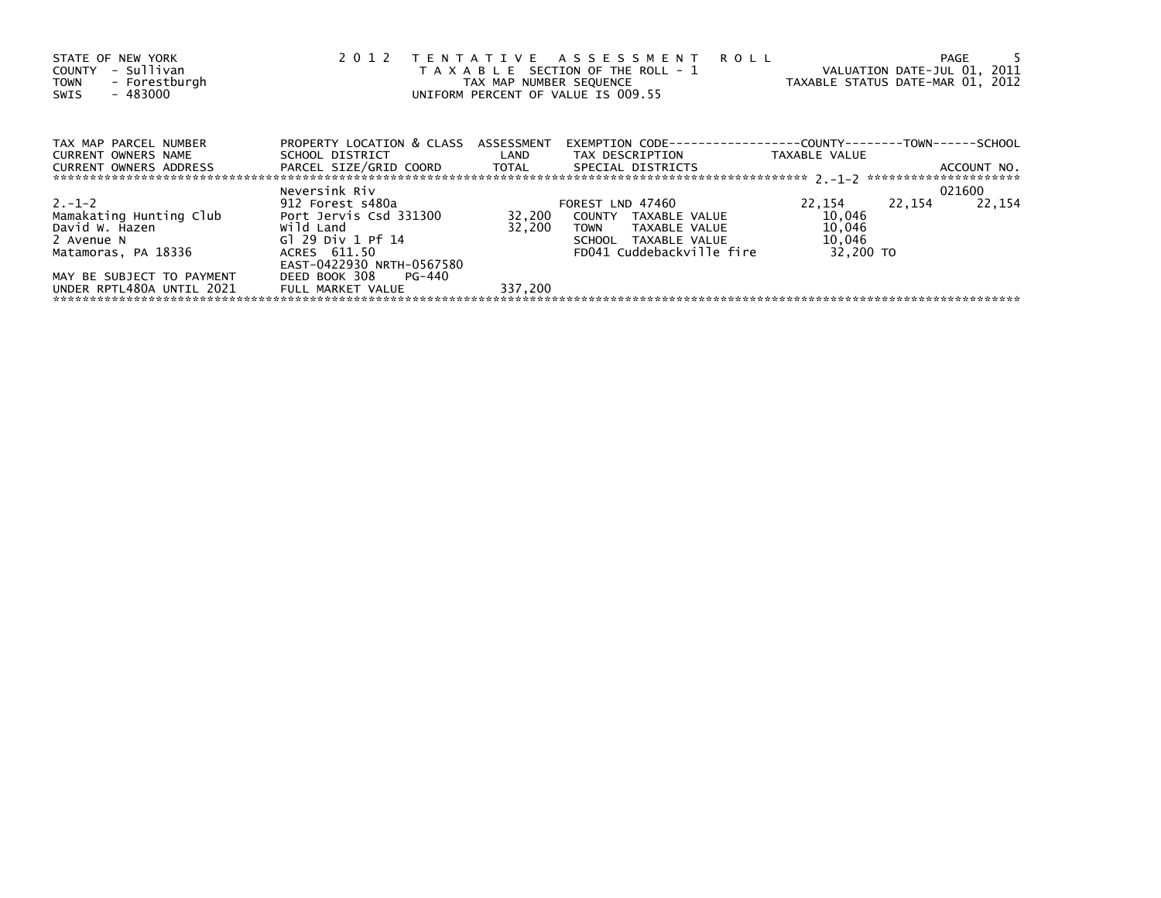| STATE OF NEW YORK<br>COUNTY - Sullivan<br>TOWN - Forestburgh<br>- 483000<br>SWIS |                                      | TAX MAP NUMBER SEQUENCE | 2012 TENTATIVE ASSESSMENT ROLL<br>T A X A B L E SECTION OF THE ROLL - 1<br>UNIFORM PERCENT OF VALUE IS 009.55 | VALUATION DATE-JUL 01, 2011<br>TAXABLE STATUS DATE-MAR 01, 2012 | PAGE   |             |
|----------------------------------------------------------------------------------|--------------------------------------|-------------------------|---------------------------------------------------------------------------------------------------------------|-----------------------------------------------------------------|--------|-------------|
| TAX MAP PARCEL NUMBER                                                            | PROPERTY LOCATION & CLASS ASSESSMENT |                         |                                                                                                               |                                                                 |        |             |
| CURRENT OWNERS NAME<br><b>CURRENT OWNERS ADDRESS</b>                             |                                      |                         | SCHOOL DISTRICT                          LAND         TAX DESCRIPTION                   TAXABLE VALUE         |                                                                 |        | ACCOUNT NO. |
|                                                                                  | Neversink Riv                        |                         |                                                                                                               |                                                                 | 021600 |             |
| $2. -1 - 2$                                                                      | 912 Forest s480a                     |                         | FOREST LND 47460                                                                                              | 22,154                                                          | 22,154 | 22,154      |
|                                                                                  |                                      |                         |                                                                                                               | 10,046                                                          |        |             |
|                                                                                  |                                      |                         | TOWN TAXABLE VALUE                                                                                            | 10,046                                                          |        |             |
| 2 Avenue N                                                                       | Gl 29 Div 1 Pf 14                    |                         | SCHOOL TAXABLE VALUE                                                                                          | 10,046                                                          |        |             |
| Matamoras, PA 18336                                                              | ACRES 611.50                         |                         | FD041 Cuddebackville fire                                                                                     | 32,200 TO                                                       |        |             |
|                                                                                  | EAST-0422930 NRTH-0567580            |                         |                                                                                                               |                                                                 |        |             |
| MAY BE SUBJECT TO PAYMENT                                                        | DEED BOOK 308 PG-440                 |                         |                                                                                                               |                                                                 |        |             |
| UNDER RPTL480A UNTIL 2021                                                        | FULL MARKET VALUE                    | 337,200                 |                                                                                                               |                                                                 |        |             |
|                                                                                  |                                      |                         |                                                                                                               |                                                                 |        |             |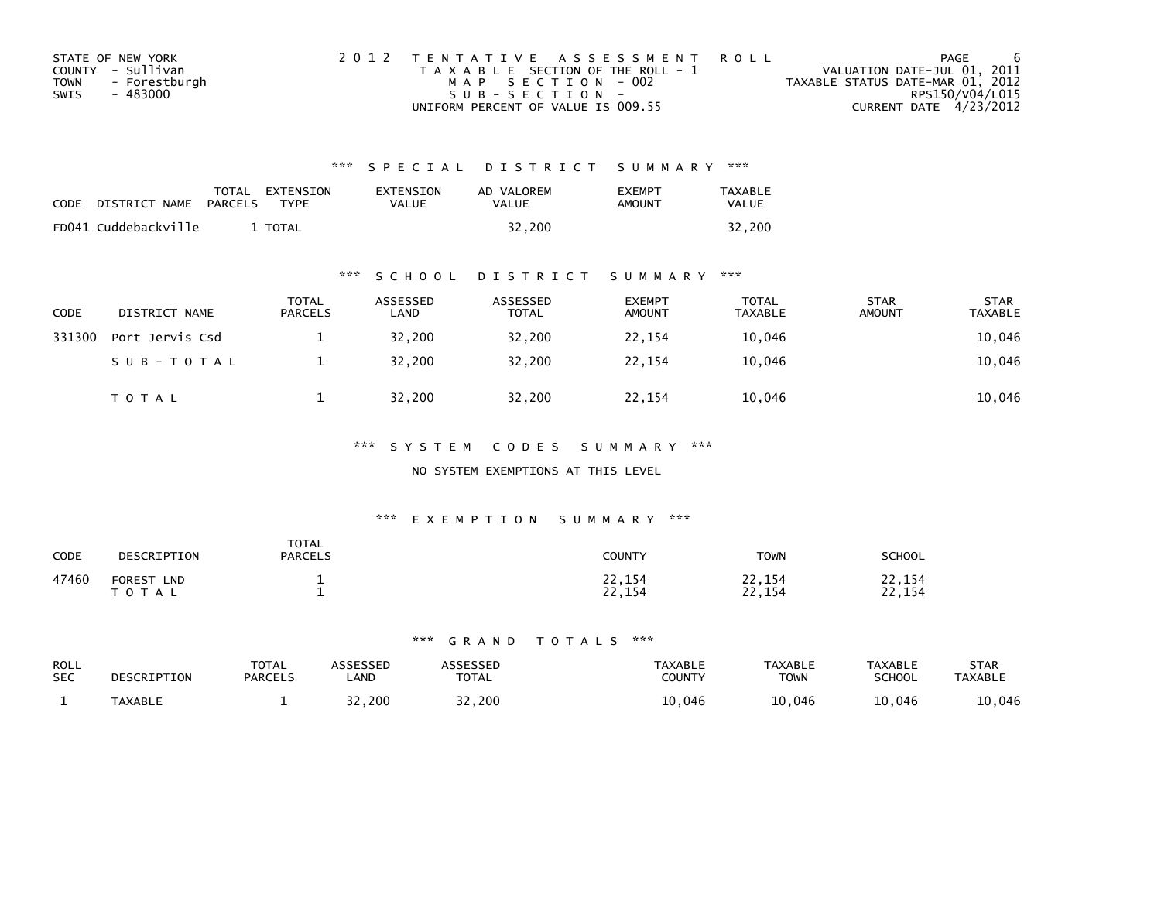|      | STATE OF NEW YORK | 2012 TENTATIVE ASSESSMENT ROLL        | PAGE                             |
|------|-------------------|---------------------------------------|----------------------------------|
|      | COUNTY - Sullivan | T A X A B L E SECTION OF THE ROLL - 1 | VALUATION DATE-JUL 01, 2011      |
| TOWN | - Forestburgh     | MAP SECTION - 002                     | TAXABLE STATUS DATE-MAR 01, 2012 |
| SWIS | - 483000          | $SUB - SECTION -$                     | RPS150/V04/L015                  |
|      |                   | UNIFORM PERCENT OF VALUE IS 009.55    | CURRENT DATE 4/23/2012           |

| <b>CODE</b> | DISTRICT NAME        | PARCELS | TOTAL EXTENSION<br><b>TYPF</b> | EXTENSION<br><b>VALUE</b> | AD VALOREM<br>VALUE | <b>FXFMPT</b><br>AMOUNT | <b>TAXABLE</b><br><b>VALUE</b> |
|-------------|----------------------|---------|--------------------------------|---------------------------|---------------------|-------------------------|--------------------------------|
|             | FD041 Cuddebackville |         | <b>TOTAL</b>                   |                           | 32.200              |                         | 32.200                         |

## \*\*\* S C H O O L D I S T R I C T S U M M A R Y \*\*\*

| <b>CODE</b> | DISTRICT NAME   | <b>TOTAL</b><br>PARCELS | ASSESSED<br>LAND | ASSESSED<br><b>TOTAL</b> | <b>EXEMPT</b><br><b>AMOUNT</b> | <b>TOTAL</b><br><b>TAXABLE</b> | <b>STAR</b><br><b>AMOUNT</b> | <b>STAR</b><br><b>TAXABLE</b> |
|-------------|-----------------|-------------------------|------------------|--------------------------|--------------------------------|--------------------------------|------------------------------|-------------------------------|
| 331300      | Port Jervis Csd |                         | 32,200           | 32.200                   | 22,154                         | 10,046                         |                              | 10,046                        |
|             | SUB-TOTAL       |                         | 32,200           | 32,200                   | 22,154                         | 10,046                         |                              | 10,046                        |
|             | <b>TOTAL</b>    |                         | 32,200           | 32,200                   | 22,154                         | 10,046                         |                              | 10,046                        |

## \*\*\* S Y S T E M C O D E S S U M M A R Y \*\*\*

### NO SYSTEM EXEMPTIONS AT THIS LEVEL

## \*\*\* E X E M P T I O N S U M M A R Y \*\*\*

| CODE  | DESCRIPTION                                    | TOTAL<br><b>PARCELS</b> | <b>COUNTY</b>           | <b>TOWN</b>                         | <b>SCHOOL</b>    |
|-------|------------------------------------------------|-------------------------|-------------------------|-------------------------------------|------------------|
| 47460 | <b>FOREST</b><br><b>LND</b><br>тот<br>$\Delta$ |                         | 22,154<br>ר ר<br>22,154 | 22,154<br>າາ<br>. 154<br><u>_ _</u> | 22,154<br>22,154 |

| ROLL       | DESCRIPTION    | <b>TOTAL</b>   | ASSESSED    | ASSESSED     | <b>TAXABLE</b> | <b>TAXABLE</b> | <b>TAXABLE</b> | <b>STAR</b>    |
|------------|----------------|----------------|-------------|--------------|----------------|----------------|----------------|----------------|
| <b>SEC</b> |                | <b>PARCELS</b> | <b>_AND</b> | <b>TOTAL</b> | <b>COUNTY</b>  | <b>TOWN</b>    | SCHOOL         | <b>TAXABLE</b> |
|            | <b>TAXABLE</b> |                | 32,200      | 32,200       | 046.∟          | 10,046         | 10,046         | 10,046         |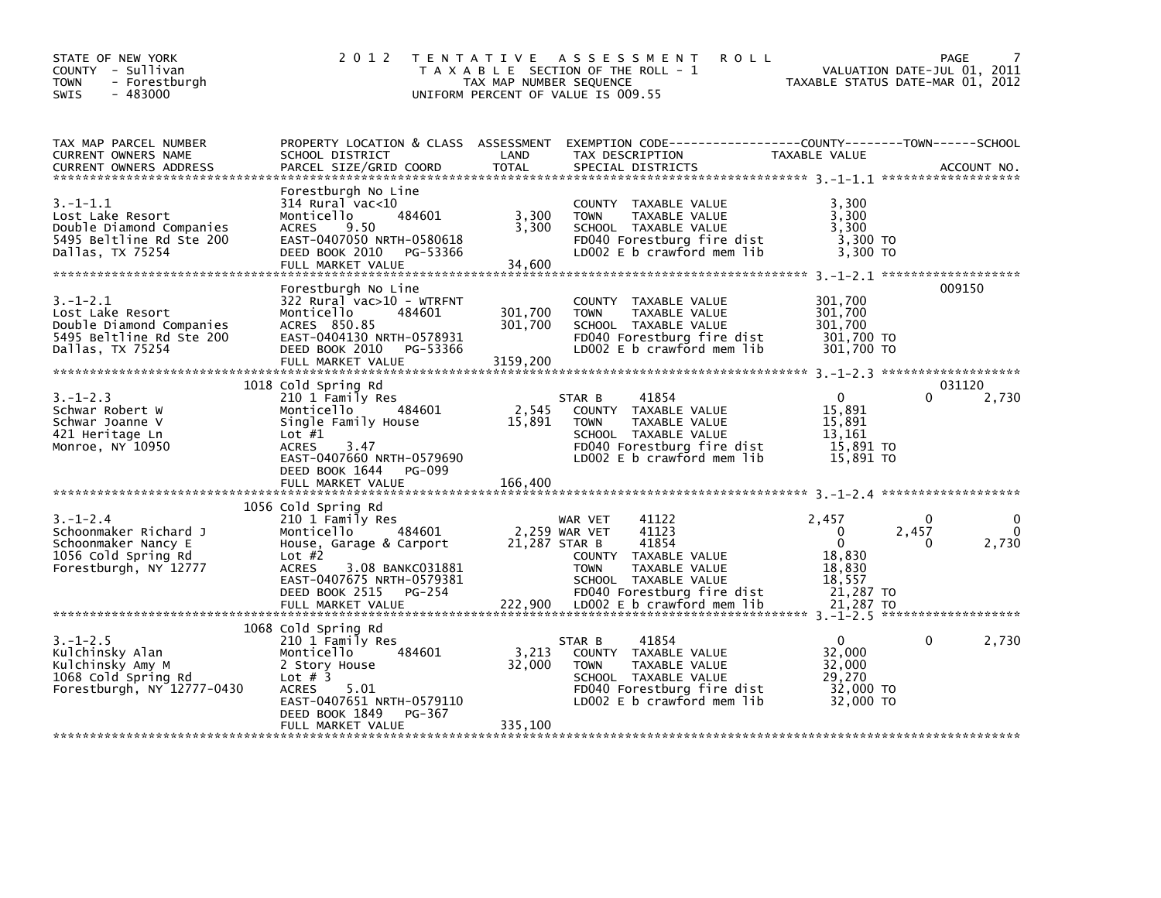| STATE OF NEW YORK<br>COUNTY - Sullivan<br><b>TOWN</b><br>- Forestburgh<br>$-483000$<br><b>SWIS</b>             | 2 0 1 2<br>T E N T A T I V E                                                                                                                                                                             | TAX MAP NUMBER SEQUENCE        | A S S E S S M E N T<br><b>ROLL</b><br>T A X A B L E SECTION OF THE ROLL - 1<br>UNIFORM PERCENT OF VALUE IS 009.55                                                 | TAXABLE STATUS DATE-MAR 01, 2012                                  | VALUATION DATE-JUL 01, 2011 | <b>PAGE</b>            |
|----------------------------------------------------------------------------------------------------------------|----------------------------------------------------------------------------------------------------------------------------------------------------------------------------------------------------------|--------------------------------|-------------------------------------------------------------------------------------------------------------------------------------------------------------------|-------------------------------------------------------------------|-----------------------------|------------------------|
| TAX MAP PARCEL NUMBER<br>CURRENT OWNERS NAME<br><b>CURRENT OWNERS ADDRESS</b>                                  | SCHOOL DISTRICT<br>PARCEL SIZE/GRID COORD                                                                                                                                                                | LAND<br><b>TOTAL</b>           | PROPERTY LOCATION & CLASS ASSESSMENT EXEMPTION CODE-----------------COUNTY-------TOWN------SCHOOL<br>TAX DESCRIPTION<br>SPECIAL DISTRICTS                         | TAXABLE VALUE                                                     |                             | ACCOUNT NO.            |
| $3. - 1 - 1.1$<br>Lost Lake Resort<br>Double Diamond Companies<br>5495 Beltline Rd Ste 200<br>Dallas, TX 75254 | Forestburgh No Line<br>$314$ Rural vac<10<br>484601<br>Monticello<br><b>ACRES</b><br>9.50<br>EAST-0407050 NRTH-0580618<br>DEED BOOK 2010<br>PG-53366<br>FULL MARKET VALUE                                | 3,300<br>3,300<br>34,600       | COUNTY TAXABLE VALUE<br><b>TOWN</b><br>TAXABLE VALUE<br>SCHOOL TAXABLE VALUE<br>FD040 Forestburg fire dist<br>LD002 E b crawford mem lib                          | 3.300<br>3,300<br>3,300<br>3,300 TO<br>3,300 TO                   |                             |                        |
| 3.–1–2.1<br>Lost Lake Resort<br>Double Diamond Companies<br>5495 Beltline Rd Ste 200<br>Dallas, TX 75254       | Forestburgh No Line<br>322 Rural vac>10 - WTRFNT<br>Monticello<br>484601<br>ACRES 850.85<br>EAST-0404130 NRTH-0578931<br>DEED BOOK 2010<br>PG-53366<br>FULL MARKET VALUE                                 | 301,700<br>301,700<br>3159,200 | COUNTY TAXABLE VALUE<br><b>TOWN</b><br>TAXABLE VALUE<br>SCHOOL TAXABLE VALUE<br>FD040 Forestburg fire dist<br>LD002 E b crawford mem lib                          | 301,700<br>301,700<br>301,700<br>301,700 TO<br>301,700 TO         |                             | 009150                 |
| $3. - 1 - 2.3$<br>Schwar Robert W<br>Schwar Joanne V<br>421 Heritage Ln<br>Monroe, NY 10950                    | 1018 Cold Spring Rd<br>210 1 Family Res<br>Monticello<br>484601<br>Single Family House<br>Lot $#1$<br>3.47<br><b>ACRES</b><br>EAST-0407660 NRTH-0579690<br>DEED BOOK 1644<br>PG-099<br>FULL MARKET VALUE | 2,545<br>15,891<br>166,400     | 41854<br>STAR B<br>COUNTY TAXABLE VALUE<br><b>TOWN</b><br>TAXABLE VALUE<br>SCHOOL TAXABLE VALUE<br>FD040 Forestburg fire dist<br>LD002 E b crawford mem lib       | $\Omega$<br>15,891<br>15,891<br>13,161<br>15,891 TO<br>15,891 TO  |                             | 031120<br>2,730        |
|                                                                                                                |                                                                                                                                                                                                          |                                |                                                                                                                                                                   |                                                                   |                             |                        |
| $3. - 1 - 2.4$<br>Schoonmaker Richard J<br>Schoonmaker Nancy E<br>1056 Cold Spring Rd<br>Forestburgh, NY 12777 | 1056 Cold Spring Rd<br>210 1 Family Res<br>Monticello<br>484601<br>House, Garage & Carport<br>Lot $#2$<br><b>ACRES</b><br>3.08 BANKC031881<br>EAST-0407675 NRTH-0579381<br>DEED BOOK 2515<br>PG-254      | 21,287 STAR B                  | 41122<br>WAR VET<br>41123<br>2,259 WAR VET<br>41854<br>COUNTY TAXABLE VALUE<br>TAXABLE VALUE<br><b>TOWN</b><br>SCHOOL TAXABLE VALUE<br>FD040 Forestburg fire dist | 2,457<br>0<br>$\Omega$<br>18,830<br>18,830<br>18,557<br>21,287 TO | $\Omega$<br>2,457<br>0      | 0<br>$\Omega$<br>2,730 |
|                                                                                                                | FULL MARKET VALUE                                                                                                                                                                                        | 222,900                        | LD002 E b crawford mem lib                                                                                                                                        | 21,287 TO                                                         |                             |                        |
| $3. - 1 - 2.5$<br>Kulchinsky Alan<br>Kulchinsky Amy M<br>1068 Cold Spring Rd<br>Forestburgh, NY 12777-0430     | 1068 Cold Spring Rd<br>210 1 Family Res<br>484601<br>Monticello<br>2 Story House<br>Lot $#$ 3<br>5.01<br><b>ACRES</b><br>EAST-0407651 NRTH-0579110<br>DEED BOOK 1849<br>PG-367                           | 3,213<br>32,000                | 41854<br>STAR B<br>COUNTY TAXABLE VALUE<br><b>TOWN</b><br>TAXABLE VALUE<br>SCHOOL TAXABLE VALUE<br>FD040 Forestburg fire dist<br>LD002 $E$ b crawford mem lib     | $\Omega$<br>32,000<br>32,000<br>29.270<br>32,000 TO<br>32,000 TO  | 0                           | 2,730                  |
|                                                                                                                | FULL MARKET VALUE                                                                                                                                                                                        | 335,100                        |                                                                                                                                                                   |                                                                   |                             |                        |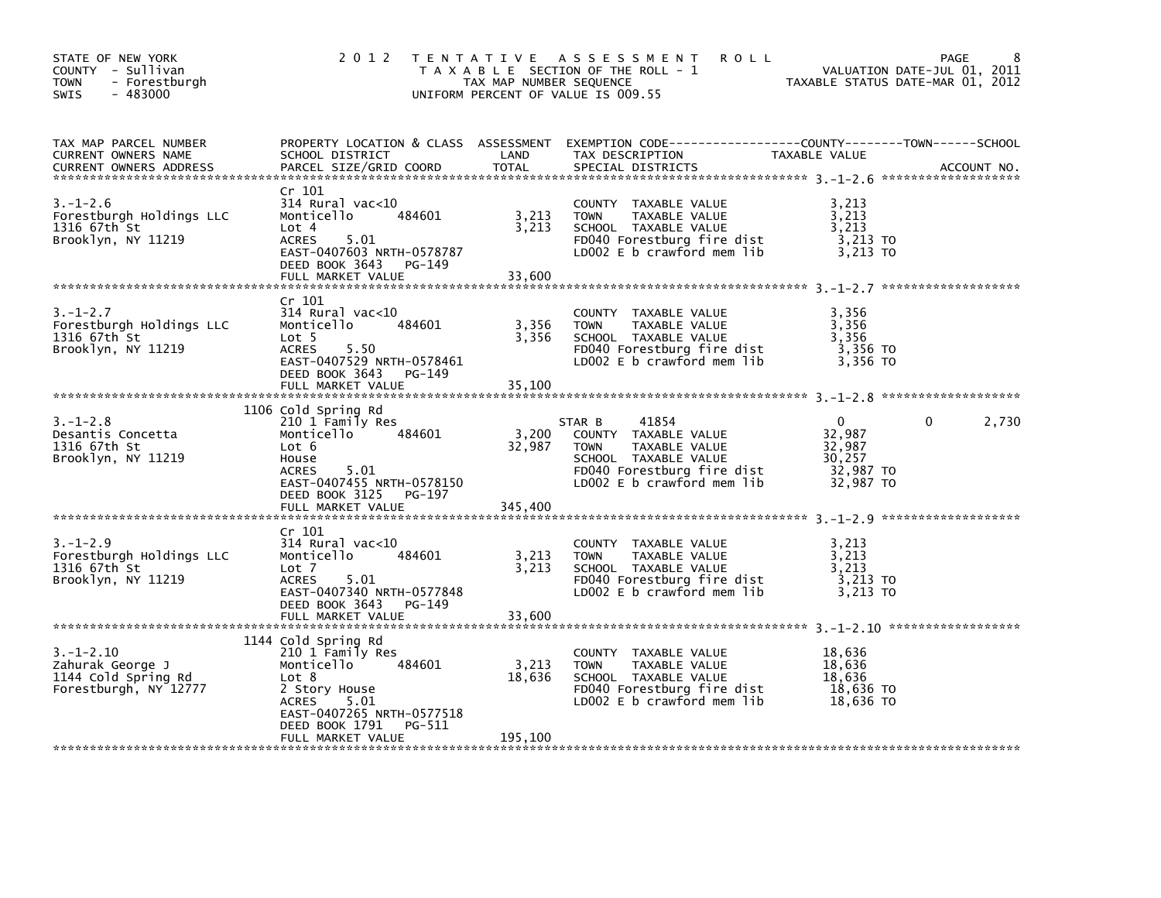| STATE OF NEW YORK<br>COUNTY - Sullivan<br><b>TOWN</b><br>- Forestburgh<br>$-483000$<br>SWIS | 2 0 1 2                                                                                                                                                                                         | TAX MAP NUMBER SEQUENCE    | TENTATIVE ASSESSMENT<br><b>ROLL</b><br>T A X A B L E SECTION OF THE ROLL - 1<br>UNIFORM PERCENT OF VALUE IS 009.55                                          | VALUATION DATE-JUL UI, دون<br>TAXABLE STATUS DATE-MAR 01, 2012       | PAGE<br>VALUATION DATE-JUL 01, 2011 |
|---------------------------------------------------------------------------------------------|-------------------------------------------------------------------------------------------------------------------------------------------------------------------------------------------------|----------------------------|-------------------------------------------------------------------------------------------------------------------------------------------------------------|----------------------------------------------------------------------|-------------------------------------|
| TAX MAP PARCEL NUMBER<br>CURRENT OWNERS NAME<br><b>CURRENT OWNERS ADDRESS</b>               | SCHOOL DISTRICT<br>PARCEL SIZE/GRID COORD                                                                                                                                                       | LAND<br>TOTAL              | PROPERTY LOCATION & CLASS ASSESSMENT EXEMPTION CODE----------------COUNTY-------TOWN-----SCHOOL<br>TAX DESCRIPTION<br>SPECIAL DISTRICTS                     | TAXABLE VALUE                                                        | ACCOUNT NO.                         |
| $3. - 1 - 2.6$<br>Forestburgh Holdings LLC<br>1316 67th St<br>Brooklyn, NY 11219            | Cr 101<br>$314$ Rural vac<10<br>484601<br>Monticello<br>Lot 4<br><b>ACRES</b><br>5.01<br>EAST-0407603 NRTH-0578787<br>DEED BOOK 3643 PG-149                                                     | 3,213<br>3,213             | COUNTY TAXABLE VALUE<br>TAXABLE VALUE<br><b>TOWN</b><br>SCHOOL TAXABLE VALUE<br>FD040 Forestburg fire dist<br>LD002 E b crawford mem lib                    | 3,213<br>3,213<br>3,213<br>3,213 TO<br>3,213 TO                      |                                     |
|                                                                                             | FULL MARKET VALUE                                                                                                                                                                               | 33,600                     |                                                                                                                                                             |                                                                      |                                     |
| $3. - 1 - 2.7$<br>Forestburgh Holdings LLC<br>1316 67th St<br>Brooklyn, NY 11219            | Cr 101<br>$314$ Rural vac<10<br>Monticello<br>484601<br>Lot 5<br><b>ACRES</b><br>5.50<br>EAST-0407529 NRTH-0578461<br>DEED BOOK 3643<br>PG-149<br>FULL MARKET VALUE                             | 3,356<br>3,356<br>35,100   | COUNTY TAXABLE VALUE<br><b>TOWN</b><br>TAXABLE VALUE<br>SCHOOL TAXABLE VALUE<br>FD040 Forestburg fire dist<br>LD002 E b crawford mem lib                    | 3,356<br>3,356<br>3,356<br>3,356 TO<br>3,356 TO                      |                                     |
|                                                                                             | 1106 Cold Spring Rd                                                                                                                                                                             |                            |                                                                                                                                                             |                                                                      |                                     |
| $3. - 1 - 2.8$<br>Desantis Concetta<br>1316 67th St<br>Brooklyn, NY 11219                   | 210 1 Family Res<br>484601<br>Monticello<br>Lot 6<br>House<br>5.01<br><b>ACRES</b><br>EAST-0407455 NRTH-0578150<br>DEED BOOK 3125 PG-197                                                        | 3,200<br>32,987            | 41854<br>STAR B<br>COUNTY TAXABLE VALUE<br>TAXABLE VALUE<br><b>TOWN</b><br>SCHOOL TAXABLE VALUE<br>FD040 Forestburg fire dist<br>LD002 E b crawford mem lib | $\mathbf{0}$<br>32,987<br>32,987<br>30.257<br>32,987 TO<br>32,987 TO | 2,730<br>0                          |
|                                                                                             | FULL MARKET VALUE                                                                                                                                                                               | 345,400                    |                                                                                                                                                             |                                                                      |                                     |
| $3. - 1 - 2.9$<br>Forestburgh Holdings LLC<br>1316 67th St<br>Brooklyn, NY 11219            | Cr 101<br>314 Rural vac<10<br>Monticello<br>484601<br>Lot 7<br>5.01<br><b>ACRES</b><br>EAST-0407340 NRTH-0577848<br>DEED BOOK 3643<br>PG-149<br>FULL MARKET VALUE                               | 3,213<br>3,213<br>33,600   | COUNTY TAXABLE VALUE<br>TAXABLE VALUE<br><b>TOWN</b><br>SCHOOL TAXABLE VALUE<br>FD040 Forestburg fire dist<br>LD002 E b crawford mem lib                    | 3,213<br>3,213<br>3,213<br>$3,213$ TO<br>3,213 TO                    |                                     |
| $3. - 1 - 2.10$<br>Zahurak George J<br>1144 Cold Spring Rd<br>Forestburgh, NY 12777         | 1144 Cold Spring Rd<br>210 1 Family Res<br>Monticello<br>484601<br>Lot 8<br>2 Story House<br><b>ACRES</b><br>5.01<br>EAST-0407265 NRTH-0577518<br>DEED BOOK 1791<br>PG-511<br>FULL MARKET VALUE | 3,213<br>18,636<br>195,100 | COUNTY TAXABLE VALUE<br>TAXABLE VALUE<br><b>TOWN</b><br>SCHOOL TAXABLE VALUE<br>FD040 Forestburg fire dist<br>LD002 $E$ b crawford mem $lib$                | 18,636<br>18,636<br>18,636<br>18,636 TO<br>18,636 TO                 |                                     |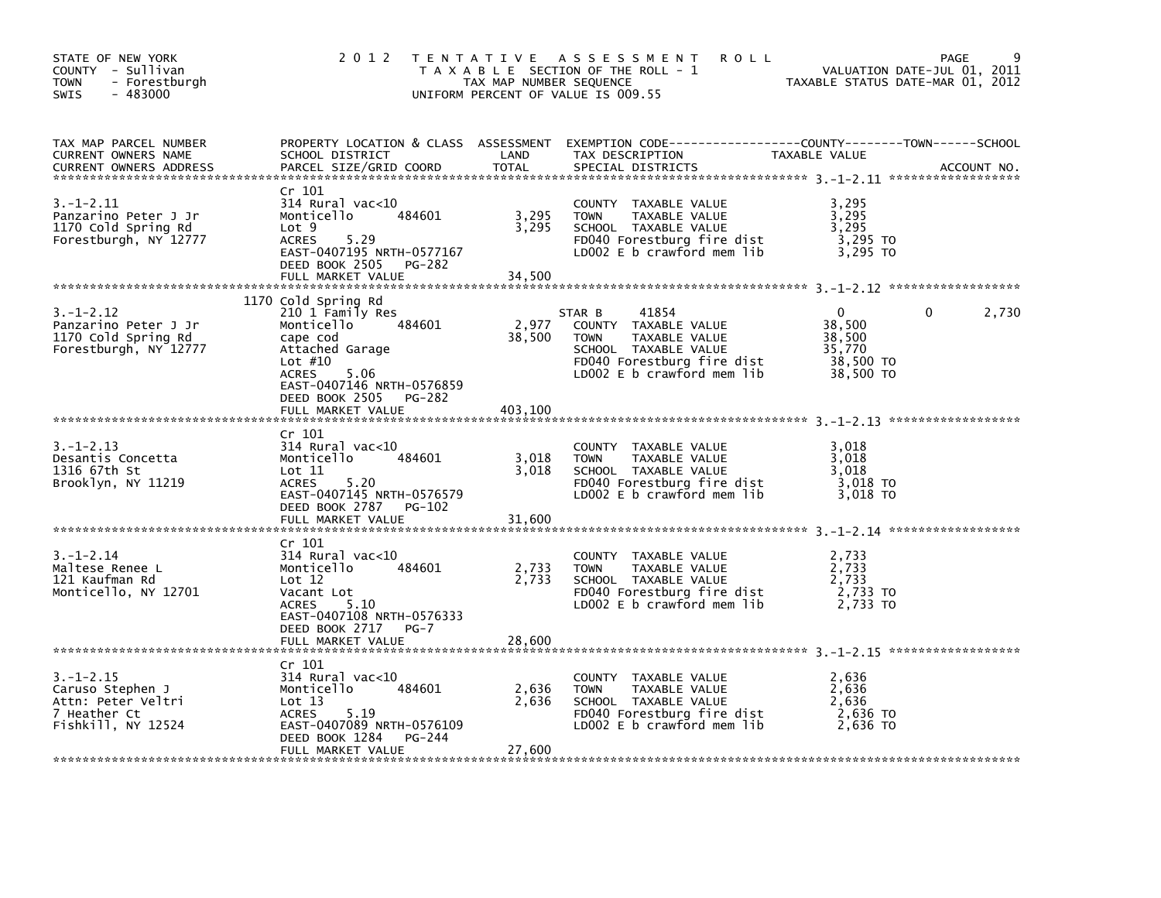| STATE OF NEW YORK<br>COUNTY - Sullivan<br><b>TOWN</b><br>- Forestburgh<br>$-483000$<br>SWIS     | 2 0 1 2                                                                                                                                                                                                           | TAX MAP NUMBER SEQUENCE    | TENTATIVE ASSESSMENT<br><b>ROLL</b><br>T A X A B L E SECTION OF THE ROLL - 1<br>UNIFORM PERCENT OF VALUE IS 009.55                                          | TAXABLE STATUS DATE-MAR 01, 2012                          | PAGE<br>VALUATION DATE-JUL 01, 2011 |
|-------------------------------------------------------------------------------------------------|-------------------------------------------------------------------------------------------------------------------------------------------------------------------------------------------------------------------|----------------------------|-------------------------------------------------------------------------------------------------------------------------------------------------------------|-----------------------------------------------------------|-------------------------------------|
| TAX MAP PARCEL NUMBER<br>CURRENT OWNERS NAME<br>CURRENT OWNERS ADDRESS                          | SCHOOL DISTRICT<br>PARCEL SIZE/GRID COORD                                                                                                                                                                         | LAND<br><b>TOTAL</b>       | PROPERTY LOCATION & CLASS ASSESSMENT EXEMPTION CODE----------------COUNTY-------TOWN------SCHOOL<br>TAX DESCRIPTION<br>SPECIAL DISTRICTS                    | TAXABLE VALUE                                             | ACCOUNT NO.                         |
| $3.-1-2.11$<br>Panzarino Peter J Jr<br>1170 Cold Spring Rd<br>Forestburgh, NY 12777             | Cr 101<br>314 Rural vac<10<br>Monticello<br>484601<br>Lot 9<br><b>ACRES</b><br>5.29<br>EAST-0407195 NRTH-0577167<br>DEED BOOK 2505<br>PG-282<br>FULL MARKET VALUE                                                 | 3,295<br>3,295<br>34,500   | COUNTY TAXABLE VALUE<br>TAXABLE VALUE<br><b>TOWN</b><br>SCHOOL TAXABLE VALUE<br>FD040 Forestburg fire dist<br>LD002 $E$ b crawford mem lib                  | 3,295<br>3,295<br>3,295<br>$3,295$ TO<br>3,295 TO         |                                     |
|                                                                                                 |                                                                                                                                                                                                                   |                            |                                                                                                                                                             |                                                           |                                     |
| 3. –1–2.12<br>Panzarino Peter J Jr<br>1170 Cold Spring Rd<br>Forestburgh, NY 12777              | 1170 Cold Spring Rd<br>210 1 Family Res<br>Monticello<br>484601<br>cape cod<br>Attached Garage<br>Lot $#10$<br>5.06<br><b>ACRES</b><br>EAST-0407146 NRTH-0576859<br>DEED BOOK 2505<br>PG-282<br>FULL MARKET VALUE | 2,977<br>38,500<br>403,100 | STAR B<br>41854<br>COUNTY TAXABLE VALUE<br><b>TOWN</b><br>TAXABLE VALUE<br>SCHOOL TAXABLE VALUE<br>FD040 Forestburg fire dist<br>LD002 E b crawford mem lib | 0<br>38,500<br>38,500<br>35,770<br>38,500 TO<br>38,500 TO | 2,730<br>0                          |
|                                                                                                 |                                                                                                                                                                                                                   |                            |                                                                                                                                                             |                                                           |                                     |
| 3. –1–2.13<br>Desantis Concetta<br>1316 67th St<br>Brooklyn, NY 11219                           | Cr 101<br>$314$ Rural vac< $10$<br>484601<br>Monticello<br>$\textsf{Lot} \; 11$<br>ACRES<br>5.20<br>EAST-0407145 NRTH-0576579<br>DEED BOOK 2787 PG-102                                                            | 3,018<br>3.018             | COUNTY TAXABLE VALUE<br>TAXABLE VALUE<br><b>TOWN</b><br>SCHOOL TAXABLE VALUE<br>FD040 Forestburg fire dist<br>LDOO2 E b crawford mem lib                    | 3,018<br>3,018<br>3,018<br>3,018 TO<br>3,018 TO           |                                     |
|                                                                                                 | FULL MARKET VALUE                                                                                                                                                                                                 | 31,600                     |                                                                                                                                                             |                                                           |                                     |
|                                                                                                 | Cr 101                                                                                                                                                                                                            |                            |                                                                                                                                                             |                                                           |                                     |
| $3. - 1 - 2.14$<br>Maltese Renee L<br>121 Kaufman Rd<br>Monticello, NY 12701                    | $314$ Rural vac< $10$<br>Monticello<br>484601<br>Lot 12<br>Vacant Lot<br>5.10<br>ACRES<br>EAST-0407108 NRTH-0576333                                                                                               | 2,733<br>2,733             | COUNTY TAXABLE VALUE<br>TAXABLE VALUE<br><b>TOWN</b><br>SCHOOL TAXABLE VALUE<br>FD040 Forestburg fire dist<br>LD002 E b crawford mem lib                    | 2,733<br>2,733<br>2,733<br>2,733 TO<br>2,733 TO           |                                     |
|                                                                                                 | DEED BOOK 2717<br>$PG-7$<br>FULL MARKET VALUE                                                                                                                                                                     | 28,600                     |                                                                                                                                                             |                                                           |                                     |
|                                                                                                 |                                                                                                                                                                                                                   |                            |                                                                                                                                                             |                                                           |                                     |
| $3. - 1 - 2.15$<br>Caruso Stephen J<br>Attn: Peter Veltri<br>7 Heather Ct<br>Fishkill, NY 12524 | Cr 101<br>314 Rural vac<10<br>484601<br>Monticello<br>Lot 13<br>5.19<br><b>ACRES</b><br>EAST-0407089 NRTH-0576109<br>DEED BOOK 1284<br>PG-244                                                                     | 2,636<br>2,636             | TAXABLE VALUE<br>COUNTY<br><b>TOWN</b><br>TAXABLE VALUE<br>SCHOOL TAXABLE VALUE<br>FD040 Forestburg fire dist<br>LD002 E b crawford mem lib                 | 2,636<br>2,636<br>2.636<br>2,636 TO<br>2,636 TO           |                                     |
|                                                                                                 | FULL MARKET VALUE                                                                                                                                                                                                 | 27,600                     |                                                                                                                                                             |                                                           |                                     |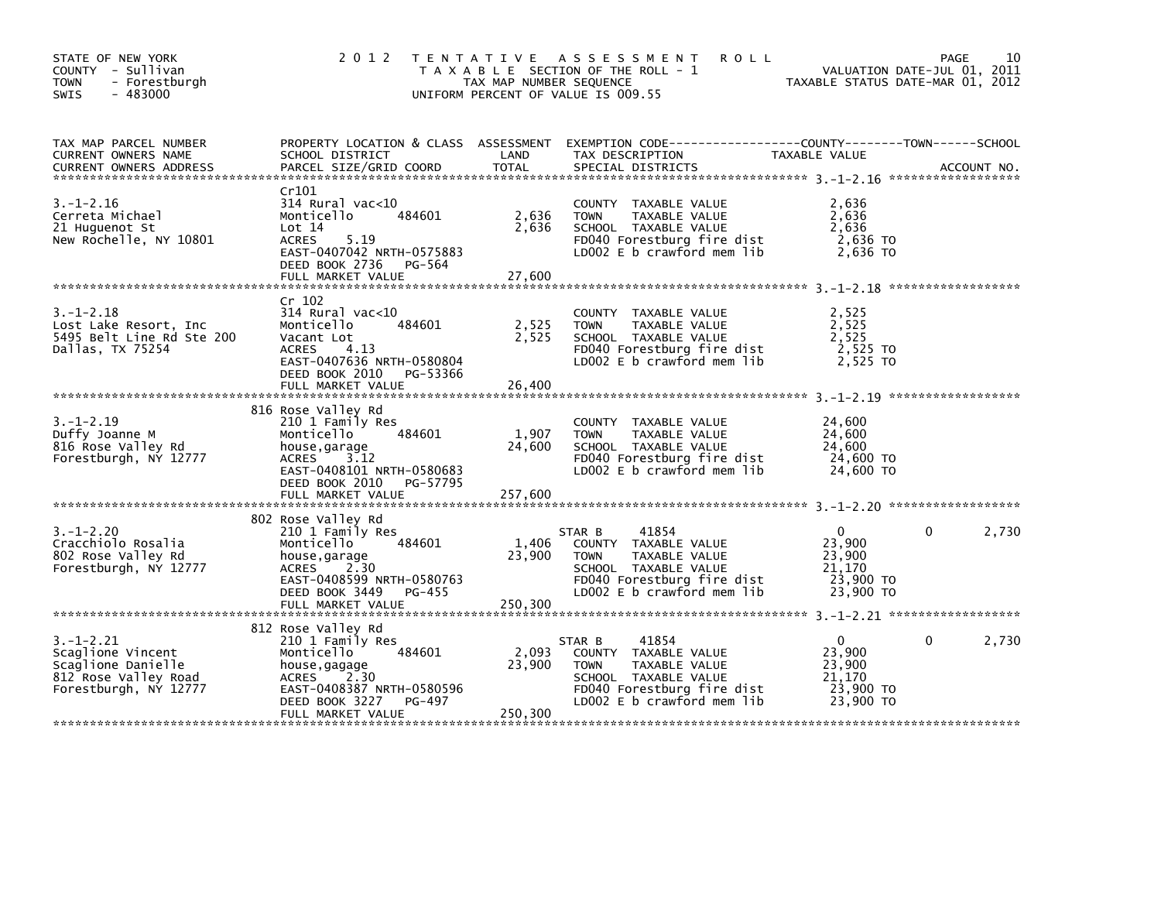| STATE OF NEW YORK<br>COUNTY - Sullivan<br><b>TOWN</b><br>- Forestburgh<br>$-483000$<br>SWIS                 | 2 0 1 2                                                                                                                                                                      | TAX MAP NUMBER SEQUENCE    | TENTATIVE ASSESSMENT<br><b>ROLL</b><br>T A X A B L E SECTION OF THE ROLL - 1<br>UNIFORM PERCENT OF VALUE IS 009.55                                          | VALUATION DATE-JUL UI, ZUII<br>TAXABLE STATUS DATE-MAR 01, 2012      | 10<br>PAGE<br>VALUATION DATE-JUL 01, 2011 |
|-------------------------------------------------------------------------------------------------------------|------------------------------------------------------------------------------------------------------------------------------------------------------------------------------|----------------------------|-------------------------------------------------------------------------------------------------------------------------------------------------------------|----------------------------------------------------------------------|-------------------------------------------|
| TAX MAP PARCEL NUMBER<br>CURRENT OWNERS NAME<br><b>CURRENT OWNERS ADDRESS</b>                               | PROPERTY LOCATION & CLASS ASSESSMENT<br>SCHOOL DISTRICT<br>PARCEL SIZE/GRID COORD                                                                                            | LAND<br>TOTAL              | EXEMPTION CODE-----------------COUNTY-------TOWN------SCHOOL<br>TAX DESCRIPTION<br>SPECIAL DISTRICTS                                                        | TAXABLE VALUE                                                        | ACCOUNT NO.                               |
| $3. - 1 - 2.16$<br>Cerreta Michael<br>21 Huguenot St<br>New Rochelle, NY 10801                              | Cr101<br>$314$ Rural vac< $10$<br>484601<br>Monticello<br>Lot 14<br>5.19<br>ACRES<br>EAST-0407042 NRTH-0575883<br>DEED BOOK 2736 PG-564<br>FULL MARKET VALUE                 | 2,636<br>2,636<br>27,600   | COUNTY TAXABLE VALUE<br>TAXABLE VALUE<br><b>TOWN</b><br>SCHOOL TAXABLE VALUE<br>FD040 Forestburg fire dist<br>LD002 E b crawford mem lib                    | 2,636<br>2,636<br>2,636<br>2,636 TO<br>2,636 TO                      |                                           |
| $3. - 1 - 2.18$<br>Lost Lake Resort, Inc<br>5495 Belt Line Rd Ste 200<br>Dallas, TX 75254                   | Cr 102<br>314 Rural vac<10<br>484601<br>Monticello<br>Vacant Lot<br>ACRES<br>4.13<br>EAST-0407636 NRTH-0580804<br>DEED BOOK 2010 PG-53366<br>FULL MARKET VALUE               | 2,525<br>2,525<br>26,400   | COUNTY TAXABLE VALUE<br>TAXABLE VALUE<br><b>TOWN</b><br>SCHOOL TAXABLE VALUE<br>FD040 Forestburg fire dist<br>$LD002 E b$ crawford mem $lib$                | 2,525<br>2,525<br>2,525<br>2,525 TO<br>2,525 TO                      |                                           |
| $3. - 1 - 2.19$<br>Duffy Joanne M<br>816 Rose Valley Rd<br>Forestburgh, NY 12777                            | 816 Rose Valley Rd<br>210 1 Family Res<br>484601<br>Monticello<br>house,garage<br>ACRES<br>3.12<br>EAST-0408101 NRTH-0580683<br>DEED BOOK 2010 PG-57795<br>FULL MARKET VALUE | 1,907<br>24,600<br>257,600 | COUNTY TAXABLE VALUE<br>TAXABLE VALUE<br><b>TOWN</b><br>SCHOOL TAXABLE VALUE<br>FD040 Forestburg fire dist<br>LD002 E b crawford mem lib                    | 24,600<br>24,600<br>24,600<br>24,600 TO<br>24,600 TO                 |                                           |
| $3. - 1 - 2.20$<br>Cracchiolo Rosalia<br>802 Rose Valley Rd<br>Forestburgh, NY 12777                        | 802 Rose Valley Rd<br>210 1 Family Res<br>Monticello<br>484601<br>house,garage<br>ACRES 2.30<br>EAST-0408599 NRTH-0580763<br>DEED BOOK 3449 PG-455                           | 1,406<br>23,900            | 41854<br>STAR B<br>COUNTY TAXABLE VALUE<br><b>TOWN</b><br>TAXABLE VALUE<br>SCHOOL TAXABLE VALUE<br>FD040 Forestburg fire dist<br>LD002 E b crawford mem lib | $\Omega$<br>23,900<br>23,900<br>21,170<br>23,900 TO<br>23,900 TO     | 0<br>2,730                                |
| $3. - 1 - 2.21$<br>Scaglione Vincent<br>Scaglione Danielle<br>812 Rose Valley Road<br>Forestburgh, NY 12777 | 812 Rose Valley Rd<br>210 1 Family Res<br>484601<br>Monticello<br>house,gagage<br>ACRES 2.30<br>EAST-0408387 NRTH-0580596<br>DEED BOOK 3227<br>PG-497<br>FULL MARKET VALUE   | 2,093<br>23,900<br>250,300 | 41854<br>STAR B<br>COUNTY TAXABLE VALUE<br>TAXABLE VALUE<br>TOWN<br>SCHOOL TAXABLE VALUE<br>FD040 Forestburg fire dist<br>LD002 E b crawford mem lib        | $\mathbf{0}$<br>23,900<br>23,900<br>21,170<br>23,900 TO<br>23,900 TO | $\mathbf{0}$<br>2,730                     |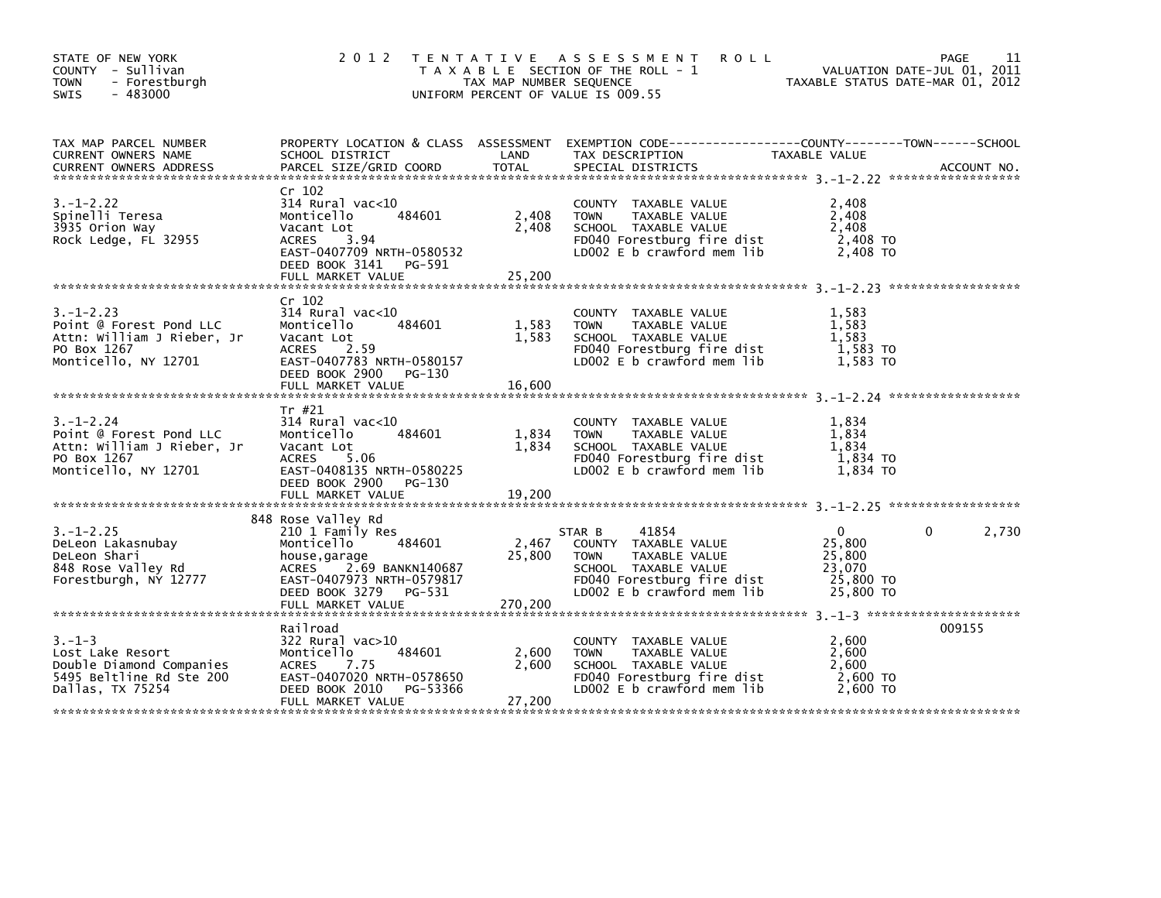| STATE OF NEW YORK<br>COUNTY - Sullivan<br><b>TOWN</b><br>- Forestburgh<br>$-483000$<br><b>SWIS</b>              | 2 0 1 2                                                                                                                                                                                   | TAX MAP NUMBER SEQUENCE    | TENTATIVE ASSESSMENT<br><b>ROLL</b><br>T A X A B L E SECTION OF THE ROLL - 1<br>UNIFORM PERCENT OF VALUE IS 009.55                                   | TAXABLE STATUS DATE-MAR 01, 2012                                     | 11<br>PAGE<br>VALUATION DATE-JUL 01, 2011 |
|-----------------------------------------------------------------------------------------------------------------|-------------------------------------------------------------------------------------------------------------------------------------------------------------------------------------------|----------------------------|------------------------------------------------------------------------------------------------------------------------------------------------------|----------------------------------------------------------------------|-------------------------------------------|
| TAX MAP PARCEL NUMBER<br>CURRENT OWNERS NAME<br><b>CURRENT OWNERS ADDRESS</b>                                   | SCHOOL DISTRICT<br>PARCEL SIZE/GRID COORD                                                                                                                                                 | LAND<br><b>TOTAL</b>       | PROPERTY LOCATION & CLASS ASSESSMENT EXEMPTION CODE---------------COUNTY-------TOWN-----SCHOOL<br>TAX DESCRIPTION<br>SPECIAL DISTRICTS               | TAXABLE VALUE                                                        | ACCOUNT NO.                               |
| $3. - 1 - 2.22$<br>Spinelli Teresa<br>3935 Orion Way<br>Rock Ledge, FL 32955                                    | Cr 102<br>$314$ Rural vac<10<br>484601<br>Monticello<br>Vacant Lot<br>3.94<br>ACRES<br>EAST-0407709 NRTH-0580532<br>DEED BOOK 3141<br>PG-591<br>FULL MARKET VALUE                         | 2,408<br>2,408<br>25,200   | COUNTY TAXABLE VALUE<br><b>TOWN</b><br>TAXABLE VALUE<br>SCHOOL TAXABLE VALUE<br>FD040 Forestburg fire dist<br>LD002 E b crawford mem lib             | 2,408<br>2,408<br>2,408<br>2,408 TO<br>2,408 TO                      |                                           |
| $3. - 1 - 2.23$<br>Point @ Forest Pond LLC<br>Attn: William J Rieber, Jr<br>PO Box 1267<br>Monticello, NY 12701 | Cr 102<br>314 Rural vac<10<br>Monticello<br>484601<br>Vacant Lot<br>ACRES<br>2.59<br>EAST-0407783 NRTH-0580157<br>DEED BOOK 2900<br>PG-130<br>FULL MARKET VALUE                           | 1,583<br>1,583<br>16,600   | COUNTY TAXABLE VALUE<br><b>TOWN</b><br>TAXABLE VALUE<br>SCHOOL TAXABLE VALUE<br>FD040 Forestburg fire dist<br>LD002 E b crawford mem lib             | 1,583<br>1,583<br>1,583<br>1,583 TO<br>1.583 TO                      |                                           |
|                                                                                                                 |                                                                                                                                                                                           |                            |                                                                                                                                                      |                                                                      |                                           |
| $3. - 1 - 2.24$<br>Point @ Forest Pond LLC<br>Attn: William J Rieber, Jr<br>PO Box 1267<br>Monticello, NY 12701 | Tr #21<br>314 Rural vac<10<br>484601<br>Monticello<br>Vacant Lot<br>ACRES<br>5.06<br>EAST-0408135 NRTH-0580225<br>DEED BOOK 2900<br>PG-130                                                | 1,834<br>1,834             | COUNTY TAXABLE VALUE<br><b>TOWN</b><br>TAXABLE VALUE<br>SCHOOL TAXABLE VALUE<br>FD040 Forestburg fire dist<br>LD002 E b crawford mem lib             | 1,834<br>1,834<br>1,834<br>1,834 TO<br>1,834 TO                      |                                           |
|                                                                                                                 | FULL MARKET VALUE                                                                                                                                                                         | 19,200                     |                                                                                                                                                      |                                                                      |                                           |
| $3. - 1 - 2.25$<br>DeLeon Lakasnubay<br>DeLeon Shari<br>848 Rose Valley Rd<br>Forestburgh, NY 12777             | 848 Rose Valley Rd<br>210 1 Family Res<br>484601<br>Monticello<br>house,garage<br>ACRES<br>2.69 BANKN140687<br>EAST-0407973 NRTH-0579817<br>DEED BOOK 3279<br>PG-531<br>FULL MARKET VALUE | 2,467<br>25,800<br>270,200 | 41854<br>STAR B<br>COUNTY TAXABLE VALUE<br>TAXABLE VALUE<br>TOWN<br>SCHOOL TAXABLE VALUE<br>FD040 Forestburg fire dist<br>LD002 E b crawford mem lib | $\mathbf{0}$<br>25,800<br>25,800<br>23,070<br>25,800 TO<br>25,800 TO | 2,730<br>$\Omega$                         |
|                                                                                                                 |                                                                                                                                                                                           |                            |                                                                                                                                                      |                                                                      |                                           |
| $3. - 1 - 3$<br>Lost Lake Resort<br>Double Diamond Companies<br>5495 Beltline Rd Ste 200<br>Dallas, TX 75254    | Railroad<br>322 Rural vac>10<br>484601<br>Monticello<br>ACRES<br>7.75<br>EAST-0407020 NRTH-0578650<br>DEED BOOK 2010<br>PG-53366                                                          | 2,600<br>2,600             | COUNTY TAXABLE VALUE<br><b>TOWN</b><br>TAXABLE VALUE<br>SCHOOL TAXABLE VALUE<br>FD040 Forestburg fire dist<br>LD002 E b crawford mem lib             | 2,600<br>2,600<br>2,600<br>2,600 TO<br>2.600 TO                      | 009155                                    |
|                                                                                                                 | FULL MARKET VALUE                                                                                                                                                                         | 27,200                     |                                                                                                                                                      |                                                                      |                                           |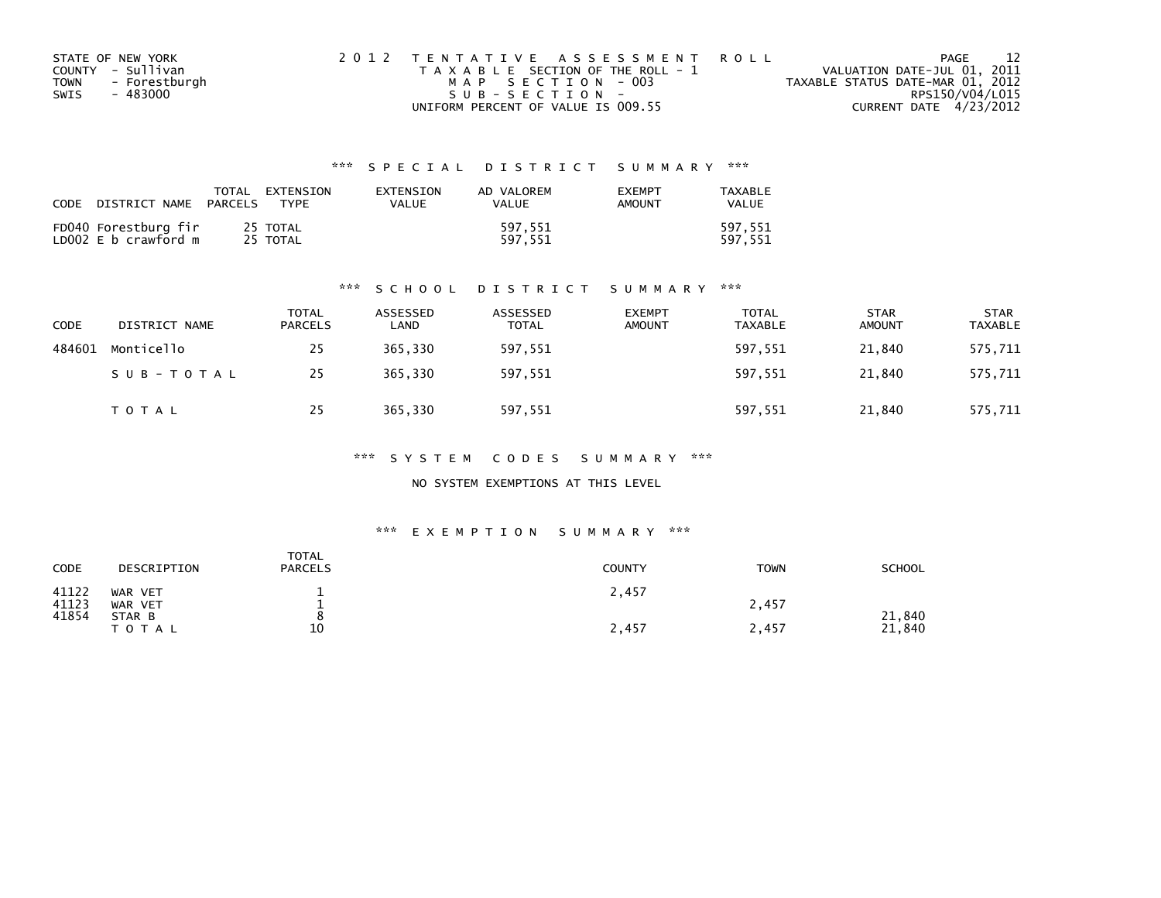| STATE OF NEW YORK            | 2012 TENTATIVE ASSESSMENT ROLL        | - 12<br>PAGE                     |
|------------------------------|---------------------------------------|----------------------------------|
| COUNTY - Sullivan            | T A X A B L E SECTION OF THE ROLL - 1 | VALUATION DATE-JUL 01, 2011      |
| - Forestburgh<br><b>TOWN</b> | MAP SECTION - 003                     | TAXABLE STATUS DATE-MAR 01, 2012 |
| - 483000<br>SWIS             | SUB-SECTION-                          | RPS150/V04/L015                  |
|                              | UNIFORM PERCENT OF VALUE IS 009.55    | CURRENT DATE 4/23/2012           |

| CODE | DISTRICT NAME                                | TOTAL<br>PARCELS | EXTENSION<br><b>TYPF</b> | <b>FXTENSTON</b><br>VALUE | AD VALOREM<br>VALUE | <b>EXEMPT</b><br><b>AMOUNT</b> | TAXABLE<br>VALUE   |
|------|----------------------------------------------|------------------|--------------------------|---------------------------|---------------------|--------------------------------|--------------------|
|      | FD040 Forestburg fir<br>LD002 E b crawford m |                  | 25 TOTAL<br>25 TOTAL     |                           | 597.551<br>597.551  |                                | 597,551<br>597.551 |

### \*\*\* S C H O O L D I S T R I C T S U M M A R Y \*\*\*

| CODE   | DISTRICT NAME | <b>TOTAL</b><br>PARCELS | ASSESSED<br>∟AND | ASSESSED<br><b>TOTAL</b> | <b>EXEMPT</b><br><b>AMOUNT</b> | TOTAL<br>TAXABLE | <b>STAR</b><br><b>AMOUNT</b> | <b>STAR</b><br><b>TAXABLE</b> |
|--------|---------------|-------------------------|------------------|--------------------------|--------------------------------|------------------|------------------------------|-------------------------------|
| 484601 | Monticello    | 25                      | 365.330          | 597,551                  |                                | 597,551          | 21.840                       | 575,711                       |
|        | SUB-TOTAL     | 25                      | 365,330          | 597,551                  |                                | 597,551          | 21,840                       | 575,711                       |
|        | T O T A L     | 25                      | 365,330          | 597,551                  |                                | 597,551          | 21,840                       | 575,711                       |

### \*\*\* S Y S T E M C O D E S S U M M A R Y \*\*\*

### NO SYSTEM EXEMPTIONS AT THIS LEVEL

### \*\*\* E X E M P T I O N S U M M A R Y \*\*\*

| CODE           | DESCRIPTION         | <b>TOTAL</b><br><b>PARCELS</b> | <b>COUNTY</b> | <b>TOWN</b> | SCHOOL           |
|----------------|---------------------|--------------------------------|---------------|-------------|------------------|
| 41122<br>41123 | WAR VET<br>WAR VET  | -                              | 2,457         | 2,457       |                  |
| 41854          | STAR B<br>T O T A L | 10                             | 2,457         | 2,457       | 21,840<br>21,840 |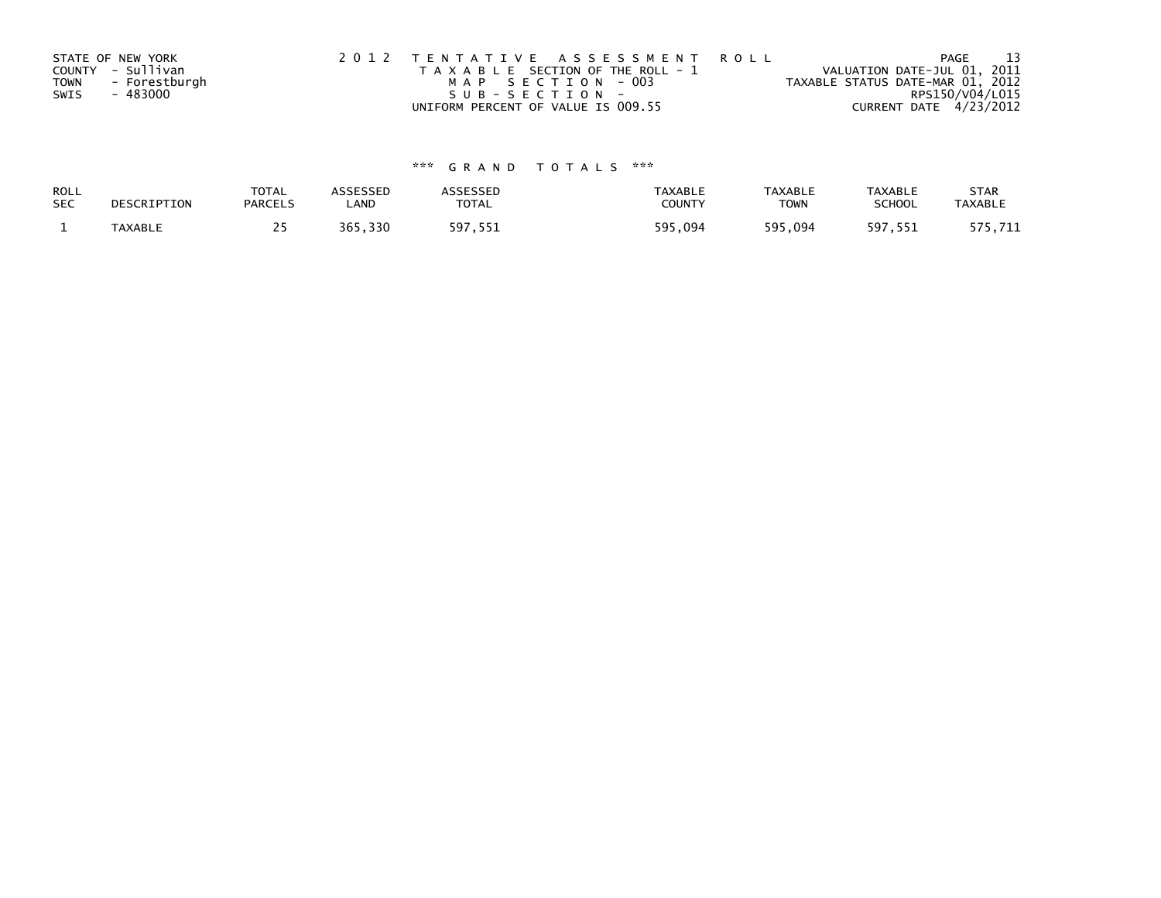|             | STATE OF NEW YORK | 2012 TENTATIVE ASSESSMENT ROLL        | PAGE                             |  |
|-------------|-------------------|---------------------------------------|----------------------------------|--|
|             | COUNTY - Sullivan | T A X A B L E SECTION OF THE ROLL - 1 | VALUATION DATE-JUL 01, 2011      |  |
| <b>TOWN</b> | - Forestburgh     | MAP SECTION - 003                     | TAXABLE STATUS DATE-MAR 01, 2012 |  |
| SWIS        | - 483000          | $SUB - SECTION -$                     | RPS150/V04/L015                  |  |
|             |                   | UNIFORM PERCENT OF VALUE IS 009.55    | CURRENT DATE 4/23/2012           |  |

| <b>ROLL</b> | DESCRIPTION | <b>TOTAL</b>   | ASSESSED | <b>ASSESSED</b> | <b>TAXABLE</b> | <b>TAXABLE</b> | <b>TAXABLE</b> | <b>STAR</b>    |
|-------------|-------------|----------------|----------|-----------------|----------------|----------------|----------------|----------------|
| <b>SEC</b>  |             | <b>PARCELS</b> | ∟AND     | TOTAL           | <b>COUNTY</b>  | <b>TOWN</b>    | <b>SCHOOL</b>  | <b>TAXABLE</b> |
|             | TAXABLE     |                | 365,330  | 597,551         | 595,094        | 595,094        | 597,551        | 575,711        |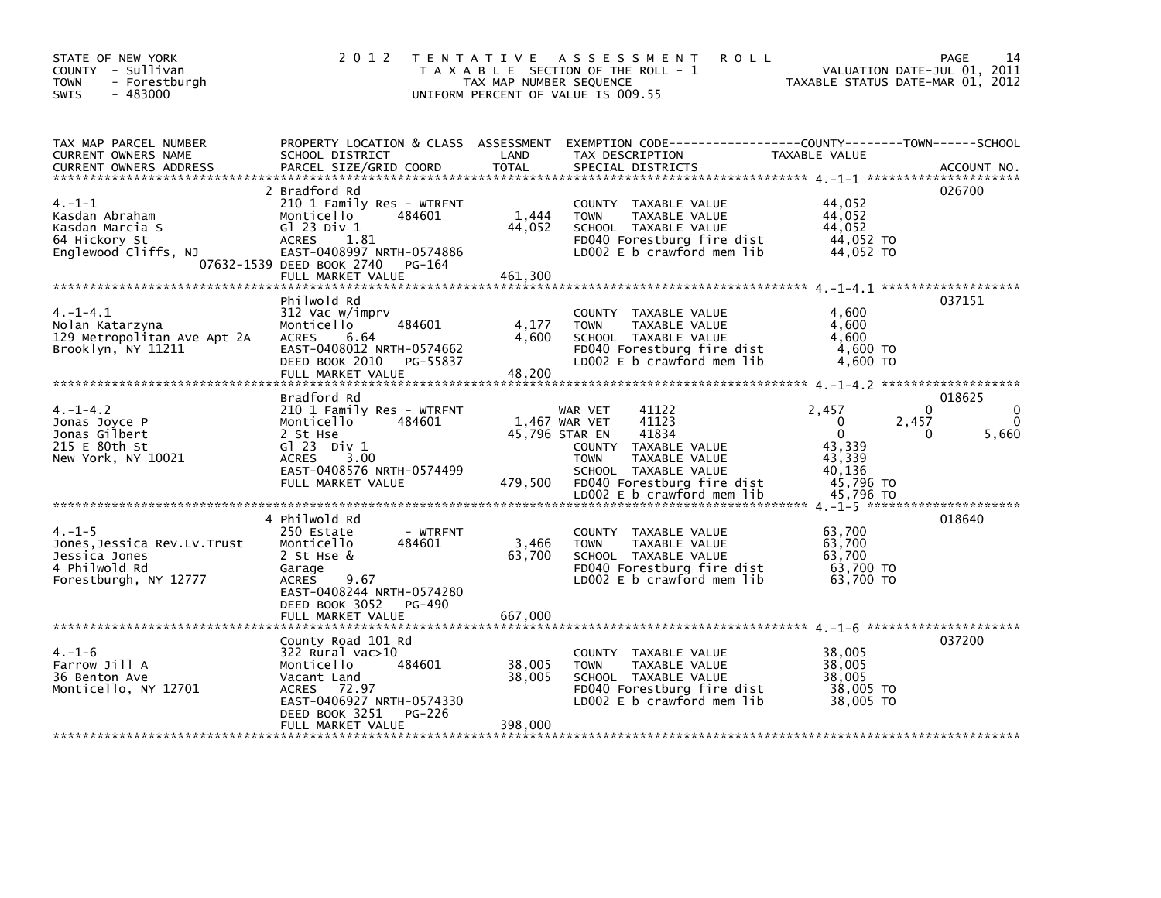| STATE OF NEW YORK<br>COUNTY - Sullivan<br><b>TOWN</b><br>- Forestburgh<br>$-483000$<br><b>SWIS</b>     | 2 0 1 2                                                                                                                                                                                            | TAX MAP NUMBER SEQUENCE     | <b>ROLL</b><br>TENTATIVE ASSESSMENT<br>T A X A B L E SECTION OF THE ROLL - 1<br>UNIFORM PERCENT OF VALUE IS 009.55                                                                              | VALUATION DATE-JUL 01, 2011<br>TAXABLE STATUS DATE-MAR 01, 2012                                                     | PAGE<br>14                           |
|--------------------------------------------------------------------------------------------------------|----------------------------------------------------------------------------------------------------------------------------------------------------------------------------------------------------|-----------------------------|-------------------------------------------------------------------------------------------------------------------------------------------------------------------------------------------------|---------------------------------------------------------------------------------------------------------------------|--------------------------------------|
| TAX MAP PARCEL NUMBER<br>CURRENT OWNERS NAME<br><b>CURRENT OWNERS ADDRESS</b>                          | SCHOOL DISTRICT<br>PARCEL SIZE/GRID COORD                                                                                                                                                          | LAND<br>TOTAL               | PROPERTY LOCATION & CLASS ASSESSMENT EXEMPTION CODE---------------COUNTY-------TOWN-----SCHOOL<br>TAX DESCRIPTION<br>SPECIAL DISTRICTS                                                          | TAXABLE VALUE                                                                                                       | ACCOUNT NO.                          |
| $4. -1 - 1$<br>Kasdan Abraham<br>Kasdan Marcia S<br>64 Hickory St<br>Englewood Cliffs, NJ              | 2 Bradford Rd<br>210 1 Family Res - WTRFNT<br>484601<br>Monticello<br>G1 23 Div 1<br><b>ACRES</b><br>1.81<br>EAST-0408997 NRTH-0574886<br>07632-1539 DEED BOOK 2740<br>PG-164<br>FULL MARKET VALUE | 1,444<br>44,052<br>461,300  | COUNTY TAXABLE VALUE<br><b>TOWN</b><br>TAXABLE VALUE<br>SCHOOL TAXABLE VALUE<br>FD040 Forestburg fire dist<br>LD002 E b crawford mem lib                                                        | 44,052<br>44,052<br>44,052<br>44,052 TO<br>44,052 TO                                                                | 026700                               |
| $4. -1 - 4.1$<br>Nolan Katarzyna<br>129 Metropolitan Ave Apt 2A<br>Brooklyn, NY 11211                  | Philwold Rd<br>312 Vac w/imprv<br>Monticello<br>484601<br><b>ACRES</b><br>6.64<br>EAST-0408012 NRTH-0574662<br>DEED BOOK 2010 PG-55837<br>FULL MARKET VALUE                                        | 4,177<br>4,600<br>48,200    | COUNTY TAXABLE VALUE<br>TAXABLE VALUE<br><b>TOWN</b><br>SCHOOL TAXABLE VALUE<br>FD040 Forestburg fire dist<br>LD002 E b crawford mem lib                                                        | 4,600<br>4,600<br>4,600<br>4,600 TO<br>4,600 TO                                                                     | 037151                               |
| $4. -1 - 4.2$<br>Jonas Joyce P<br>Jonas Gilbert<br>215 E 80th St<br>New York, NY 10021                 | Bradford Rd<br>210 1 Family Res - WTRFNT<br>Monticello<br>484601<br>2 St Hse<br>$G1 23$ Div $1$<br><b>ACRES</b><br>3.00<br>EAST-0408576 NRTH-0574499<br>FULL MARKET VALUE                          | 45,796 STAR EN<br>479,500   | 41122<br>WAR VET<br>41123<br>1,467 WAR VET<br>41834<br>COUNTY TAXABLE VALUE<br><b>TOWN</b><br>TAXABLE VALUE<br>SCHOOL TAXABLE VALUE<br>FD040 Forestburg fire dist<br>LD002 E b crawford mem lib | $\mathbf{0}$<br>2.457<br>$\Omega$<br>2,457<br>$\Omega$<br>0<br>43,339<br>43,339<br>40,136<br>45,796 TO<br>45,796 TO | 018625<br>0<br>$\mathbf{0}$<br>5,660 |
| $4. - 1 - 5$<br>Jones, Jessica Rev.Lv.Trust<br>Jessica Jones<br>4 Philwold Rd<br>Forestburgh, NY 12777 | 4 Philwold Rd<br>250 Estate<br>- WTRFNT<br>Monticello<br>484601<br>2 St Hse &<br>Garage<br>9.67<br><b>ACRES</b><br>EAST-0408244 NRTH-0574280<br>DEED BOOK 3052 PG-490                              | 3,466<br>63,700             | COUNTY TAXABLE VALUE<br><b>TOWN</b><br>TAXABLE VALUE<br>SCHOOL TAXABLE VALUE<br>FD040 Forestburg fire dist<br>LD002 E b crawford mem lib                                                        | 63,700<br>63,700<br>63.700<br>63,700 TO<br>63,700 TO                                                                | 018640                               |
| $4. - 1 - 6$<br>Farrow Jill A<br>36 Benton Ave<br>Monticello, NY 12701                                 | County Road 101 Rd<br>322 Rural vac>10<br>484601<br>Monticello<br>Vacant Land<br>72.97<br><b>ACRES</b><br>EAST-0406927 NRTH-0574330<br>DEED BOOK 3251<br>PG-226<br>FULL MARKET VALUE               | 38,005<br>38,005<br>398,000 | COUNTY TAXABLE VALUE<br><b>TOWN</b><br>TAXABLE VALUE<br>SCHOOL TAXABLE VALUE<br>FD040 Forestburg fire dist<br>LD002 $E$ b crawford mem $lib$                                                    | 38,005<br>38,005<br>38,005<br>38,005 TO<br>38,005 TO                                                                | 037200                               |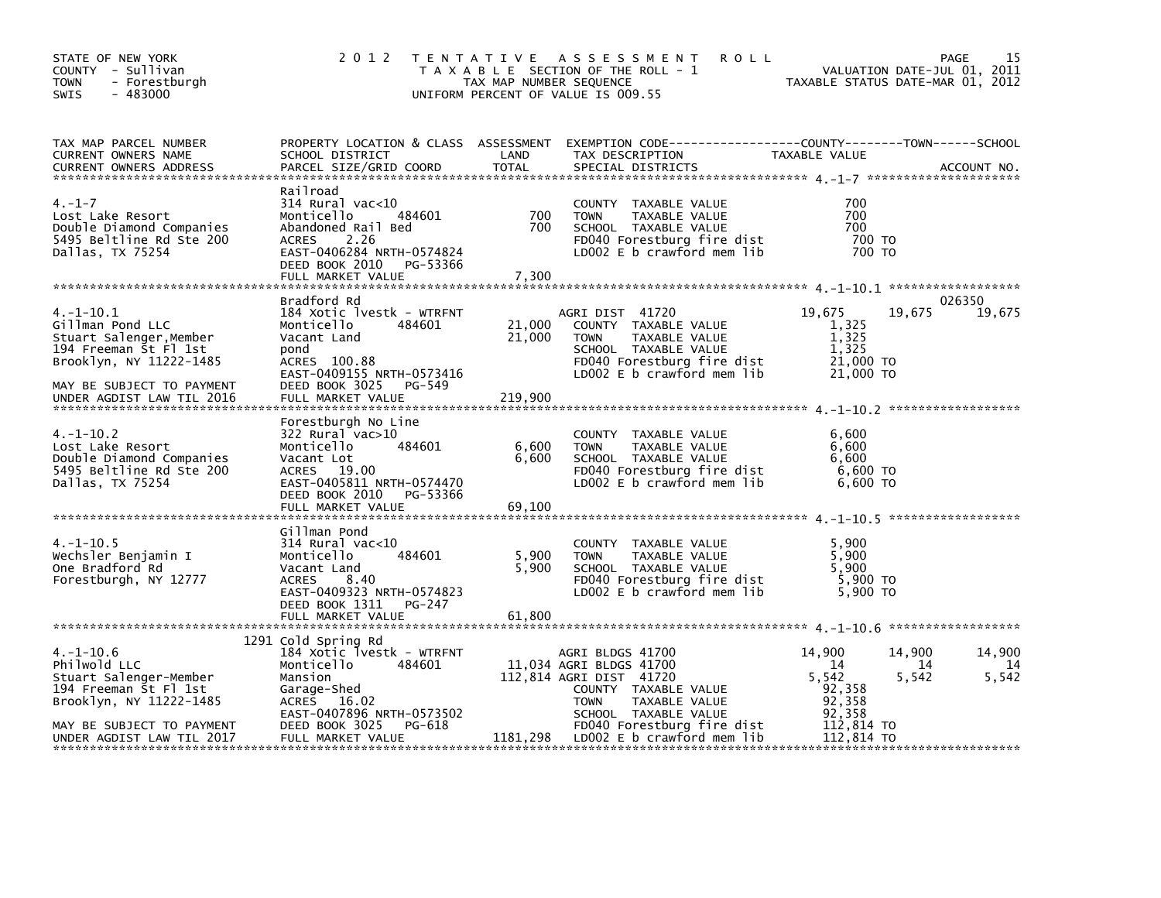| STATE OF NEW YORK<br>COUNTY - Sullivan<br><b>TOWN</b><br>- Forestburgh<br>$-483000$<br><b>SWIS</b>                                                                          | 2 0 1 2                                                                                                                                                                            | TAX MAP NUMBER SEQUENCE     | <b>ROLL</b><br>TENTATIVE ASSESSMENT<br>T A X A B L E SECTION OF THE ROLL - 1<br>UNIFORM PERCENT OF VALUE IS 009.55                                                                   |                                                                    | 15<br>PAGE<br>VALUATION DATE-JUL 01, 2011<br>TAXABLE STATUS DATE-MAR 01, 2012 |
|-----------------------------------------------------------------------------------------------------------------------------------------------------------------------------|------------------------------------------------------------------------------------------------------------------------------------------------------------------------------------|-----------------------------|--------------------------------------------------------------------------------------------------------------------------------------------------------------------------------------|--------------------------------------------------------------------|-------------------------------------------------------------------------------|
| TAX MAP PARCEL NUMBER<br><b>CURRENT OWNERS NAME</b><br><b>CURRENT OWNERS ADDRESS</b>                                                                                        | SCHOOL DISTRICT<br>PARCEL SIZE/GRID COORD                                                                                                                                          | LAND<br><b>TOTAL</b>        | PROPERTY LOCATION & CLASS ASSESSMENT EXEMPTION CODE----------------COUNTY-------TOWN-----SCHOOL<br>TAX DESCRIPTION<br>SPECIAL DISTRICTS                                              | TAXABLE VALUE                                                      | ACCOUNT NO.                                                                   |
| $4. - 1 - 7$<br>Lost Lake Resort<br>Double Diamond Companies<br>5495 Beltline Rd Ste 200<br>Dallas, TX 75254                                                                | Railroad<br>314 Rural vac<10<br>484601<br>Monticello<br>Abandoned Rail Bed<br><b>ACRES</b><br>2.26<br>EAST-0406284 NRTH-0574824<br>DEED BOOK 2010 PG-53366<br>FULL MARKET VALUE    | 700<br>700<br>7,300         | COUNTY TAXABLE VALUE<br><b>TOWN</b><br>TAXABLE VALUE<br>SCHOOL TAXABLE VALUE<br>FD040 Forestburg fire dist<br>LD002 E b crawford mem lib                                             | 700<br>700<br>700<br>700 TO<br>700 TO                              |                                                                               |
| $4. -1 - 10.1$<br>Gillman Pond LLC<br>Stuart Salenger, Member<br>194 Freeman St Fl 1st<br>Brooklyn, NY 11222-1485<br>MAY BE SUBJECT TO PAYMENT<br>UNDER AGDIST LAW TIL 2016 | Bradford Rd<br>184 Xotic lvestk - WTRFNT<br>Monticello<br>484601<br>Vacant Land<br>pond<br>ACRES 100.88<br>EAST-0409155 NRTH-0573416<br>DEED BOOK 3025 PG-549<br>FULL MARKET VALUE | 21,000<br>21,000<br>219,900 | AGRI DIST 41720<br>COUNTY TAXABLE VALUE<br><b>TOWN</b><br>TAXABLE VALUE<br>SCHOOL TAXABLE VALUE<br>FD040 Forestburg fire dist<br>LD002 E b crawford mem lib                          | 19,675<br>1,325<br>1,325<br>1,325<br>21,000 TO<br>21,000 TO        | 026350<br>19,675<br>19,675                                                    |
| $4. -1 - 10.2$<br>Lost Lake Resort<br>Double Diamond Companies<br>5495 Beltline Rd Ste 200<br>Dallas, TX 75254                                                              | Forestburgh No Line<br>322 Rural vac>10<br>484601<br>Monticello<br>Vacant Lot<br>ACRES 19.00<br>EAST-0405811 NRTH-0574470<br>DEED BOOK 2010<br>PG-53366                            | 6,600<br>6,600              | COUNTY TAXABLE VALUE<br><b>TOWN</b><br>TAXABLE VALUE<br>SCHOOL TAXABLE VALUE<br>FD040 Forestburg fire dist<br>LD002 $E$ b crawford mem $lib$                                         | 6,600<br>6.600<br>6,600<br>6,600 TO<br>6,600 TO                    |                                                                               |
| $4. -1 - 10.5$<br>Wechsler Benjamin I<br>One Bradford Rd<br>Forestburgh, NY 12777                                                                                           | Gillman Pond<br>$314$ Rural vac< $10$<br>484601<br>Monticello<br>Vacant Land<br>ACRES<br>8.40<br>EAST-0409323 NRTH-0574823<br>DEED BOOK 1311<br>PG-247<br>FULL MARKET VALUE        | 5,900<br>5,900<br>61,800    | COUNTY TAXABLE VALUE<br><b>TOWN</b><br>TAXABLE VALUE<br>SCHOOL TAXABLE VALUE<br>FD040 Forestburg fire dist<br>LD002 E b crawford mem lib                                             | 5,900<br>5,900<br>5.900<br>5,900 TO<br>5.900 TO                    |                                                                               |
|                                                                                                                                                                             |                                                                                                                                                                                    |                             |                                                                                                                                                                                      |                                                                    |                                                                               |
| $4. -1 - 10.6$<br>Philwold LLC<br>Stuart Salenger-Member<br>194 Freeman St Fl 1st<br>Brooklyn, NY 11222-1485<br>MAY BE SUBJECT TO PAYMENT                                   | 1291 Cold Spring Rd<br>184 Xotic lvestk - WTRFNT<br>484601<br>Monticello<br>Mansion<br>Garage-Shed<br>ACRES 16.02<br>EAST-0407896 NRTH-0573502<br>DEED BOOK 3025<br>PG-618         |                             | AGRI BLDGS 41700<br>11,034 AGRI BLDGS 41700<br>112,814 AGRI DIST 41720<br>COUNTY TAXABLE VALUE<br><b>TOWN</b><br>TAXABLE VALUE<br>SCHOOL TAXABLE VALUE<br>FD040 Forestburg fire dist | 14,900<br>-14<br>5,542<br>92,358<br>92,358<br>92,358<br>112,814 TO | 14,900<br>14,900<br>-14<br>14<br>5,542<br>5,542                               |
| UNDER AGDIST LAW TIL 2017                                                                                                                                                   | FULL MARKET VALUE                                                                                                                                                                  | 1181,298                    | LDOO2 E b crawford mem lib                                                                                                                                                           | 112,814 TO                                                         |                                                                               |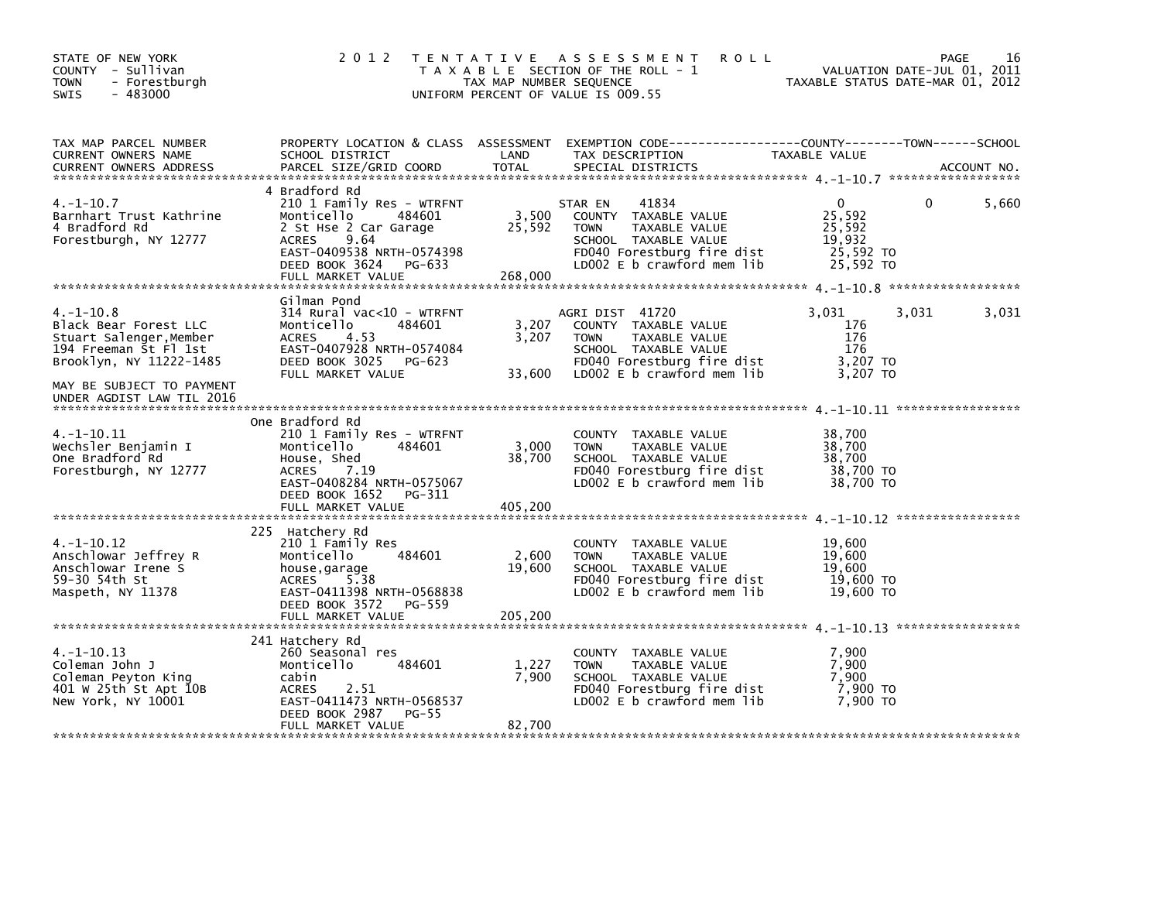| STATE OF NEW YORK<br>COUNTY - Sullivan<br>- Forestburgh<br><b>TOWN</b><br>$-483000$<br><b>SWIS</b>                                                                               | 2 0 1 2                                                                                                                                                                                   | TAX MAP NUMBER SEQUENCE    | TENTATIVE ASSESSMENT<br><b>ROLL</b><br>T A X A B L E SECTION OF THE ROLL - 1<br>UNIFORM PERCENT OF VALUE IS 009.55                                                 | TAXABLE STATUS DATE-MAR 01, 2012                                     | PAGE<br>VALUATION DATE-JUL 01, 2011 | 16          |
|----------------------------------------------------------------------------------------------------------------------------------------------------------------------------------|-------------------------------------------------------------------------------------------------------------------------------------------------------------------------------------------|----------------------------|--------------------------------------------------------------------------------------------------------------------------------------------------------------------|----------------------------------------------------------------------|-------------------------------------|-------------|
| TAX MAP PARCEL NUMBER<br>CURRENT OWNERS NAME<br><b>CURRENT OWNERS ADDRESS</b>                                                                                                    | SCHOOL DISTRICT<br>PARCEL SIZE/GRID COORD                                                                                                                                                 | LAND<br><b>TOTAL</b>       | PROPERTY LOCATION & CLASS ASSESSMENT EXEMPTION CODE----------------COUNTY-------TOWN------SCHOOL<br>TAX DESCRIPTION<br>SPECIAL DISTRICTS                           | TAXABLE VALUE                                                        |                                     | ACCOUNT NO. |
| $4. -1 - 10.7$<br>Barnhart Trust Kathrine<br>4 Bradford Rd<br>Forestburgh, NY 12777                                                                                              | 4 Bradford Rd<br>210 1 Family Res - WTRFNT<br>484601<br>Monticello<br>2 St Hse 2 Car Garage<br>9.64<br>ACRES<br>EAST-0409538 NRTH-0574398<br>DEED BOOK 3624 PG-633<br>FULL MARKET VALUE   | 3,500<br>25,592<br>268,000 | STAR EN<br>41834<br>COUNTY TAXABLE VALUE<br>TAXABLE VALUE<br><b>TOWN</b><br>SCHOOL TAXABLE VALUE<br>FD040 Forestburg fire dist<br>LD002 E b crawford mem lib       | $\mathbf{0}$<br>25,592<br>25,592<br>19,932<br>25,592 TO<br>25,592 TO | 0                                   | 5,660       |
| $4. -1 - 10.8$<br>Black Bear Forest LLC<br>Stuart Salenger, Member<br>194 Freeman St Fl 1st<br>Brooklyn, NY 11222-1485<br>MAY BE SUBJECT TO PAYMENT<br>UNDER AGDIST LAW TIL 2016 | Gilman Pond<br>314 Rural vac<10 - WTRFNT<br>Monticello<br>484601<br><b>ACRES</b><br>4.53<br>EAST-0407928 NRTH-0574084<br>DEED BOOK 3025 PG-623<br>FULL MARKET VALUE                       | 3,207<br>3,207<br>33,600   | AGRI DIST 41720<br>COUNTY TAXABLE VALUE<br><b>TAXABLE VALUE</b><br><b>TOWN</b><br>SCHOOL TAXABLE VALUE<br>FD040 Forestburg fire dist<br>LDOO2 E b crawford mem lib | 3,031<br>176<br>176<br>176<br>3,207 TO<br>3,207 TO                   | 3,031                               | 3,031       |
| $4. -1 - 10.11$<br>Wechsler Benjamin I<br>One Bradford Rd<br>Forestburgh, NY 12777                                                                                               | One Bradford Rd<br>210 1 Family Res - WTRFNT<br>484601<br>Monticello<br>House, Shed<br>7.19<br><b>ACRES</b><br>EAST-0408284 NRTH-0575067<br>DEED BOOK 1652<br>PG-311<br>FULL MARKET VALUE | 3,000<br>38,700<br>405,200 | COUNTY TAXABLE VALUE<br>TAXABLE VALUE<br><b>TOWN</b><br>SCHOOL TAXABLE VALUE<br>FD040 Forestburg fire dist<br>LD002 E b crawford mem lib                           | 38,700<br>38,700<br>38,700<br>38,700 TO<br>38,700 TO                 |                                     |             |
| 4.-1-10.12<br>Anschlowar Jeffrey R<br>Anschlowar Irene S<br>59-30 54th St<br>Maspeth, NY 11378                                                                                   | 225 Hatchery Rd<br>210 1 Family Res<br>484601<br>Monticello<br>house, garage<br>ACRES 5.38<br>EAST-0411398 NRTH-0568838<br>DEED BOOK 3572<br>PG-559<br>FULL MARKET VALUE                  | 2,600<br>19,600<br>205,200 | COUNTY TAXABLE VALUE<br><b>TOWN</b><br>TAXABLE VALUE<br>SCHOOL TAXABLE VALUE<br>FD040 Forestburg fire dist<br>LD002 $E$ b crawford mem $lib$                       | 19,600<br>19,600<br>19,600<br>19,600 TO<br>19,600 TO                 |                                     |             |
| $4. -1 - 10.13$<br>Coleman John J<br>Coleman Peyton King<br>401 W 25th St Apt 10B<br>New York, NY 10001                                                                          | 241 Hatchery Rd<br>260 Seasonal res<br>Monticello<br>484601<br>cabin<br><b>ACRES</b><br>2.51<br>EAST-0411473 NRTH-0568537<br>DEED BOOK 2987<br>PG-55<br>FULL MARKET VALUE                 | 1,227<br>7,900<br>82,700   | COUNTY TAXABLE VALUE<br>TAXABLE VALUE<br><b>TOWN</b><br>SCHOOL TAXABLE VALUE<br>FD040 Forestburg fire dist<br>LD002 E b crawford mem lib                           | 7,900<br>7,900<br>7.900<br>7,900 то<br>7,900 TO                      |                                     |             |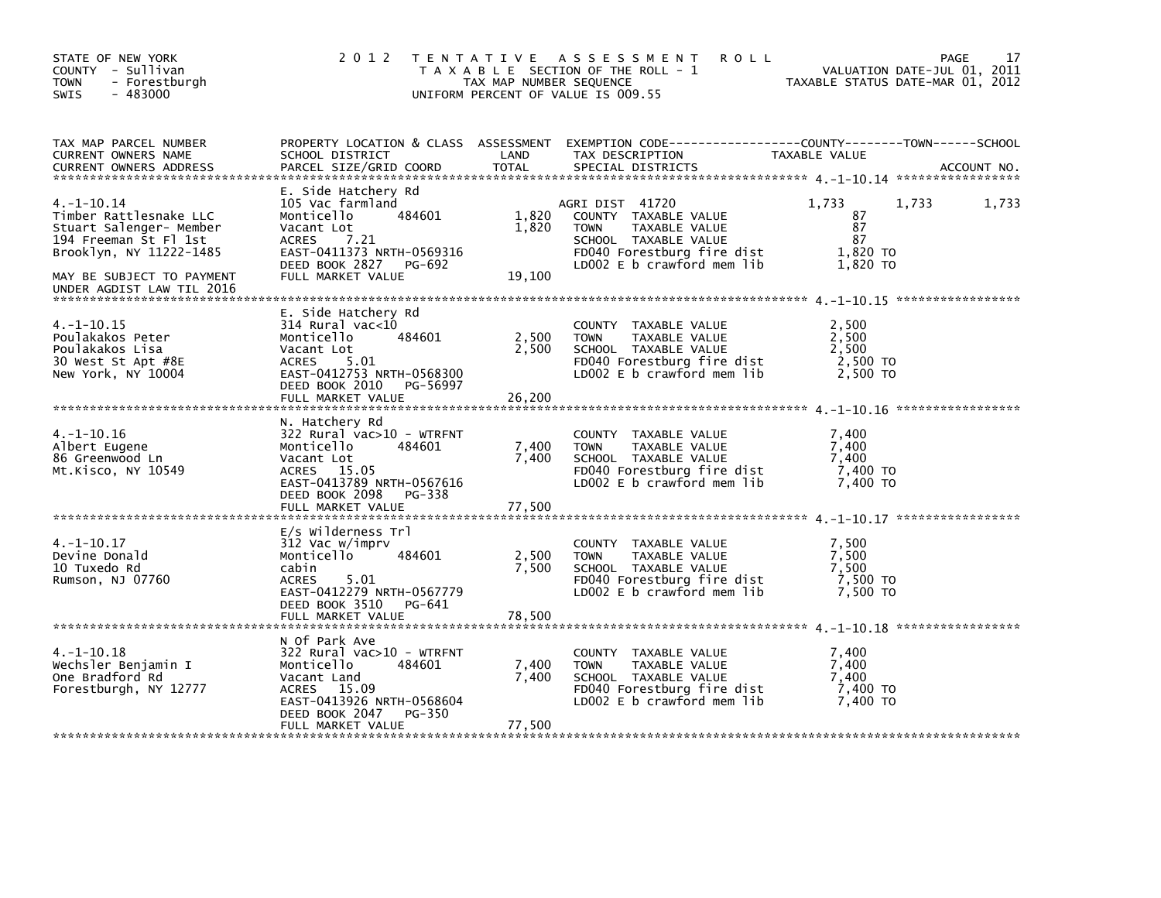| STATE OF NEW YORK<br>COUNTY - Sullivan<br>- Forestburgh<br><b>TOWN</b><br>$-483000$<br><b>SWIS</b>                                                                                 | 2 0 1 2                                                                                                                                                                             | TAX MAP NUMBER SEQUENCE  | TENTATIVE ASSESSMENT<br><b>ROLL</b><br>T A X A B L E SECTION OF THE ROLL - 1<br>UNIFORM PERCENT OF VALUE IS 009.55                                              | VALUATION DATE-JUL 01, 2011<br>TAXABLE STATUS DATE-MAR 01, 2012 | 17<br>PAGE  |
|------------------------------------------------------------------------------------------------------------------------------------------------------------------------------------|-------------------------------------------------------------------------------------------------------------------------------------------------------------------------------------|--------------------------|-----------------------------------------------------------------------------------------------------------------------------------------------------------------|-----------------------------------------------------------------|-------------|
| TAX MAP PARCEL NUMBER<br>CURRENT OWNERS NAME<br><b>CURRENT OWNERS ADDRESS</b>                                                                                                      | SCHOOL DISTRICT<br>PARCEL SIZE/GRID COORD                                                                                                                                           | LAND<br>TOTAL            | PROPERTY LOCATION & CLASS ASSESSMENT EXEMPTION CODE----------------COUNTY-------TOWN-----SCHOOL<br>TAX DESCRIPTION<br>SPECIAL DISTRICTS                         | TAXABLE VALUE                                                   | ACCOUNT NO. |
| $4. -1 - 10.14$<br>Timber Rattlesnake LLC<br>Stuart Salenger- Member<br>194 Freeman St Fl 1st<br>Brooklyn, NY 11222-1485<br>MAY BE SUBJECT TO PAYMENT<br>UNDER AGDIST LAW TIL 2016 | E. Side Hatchery Rd<br>105 Vac farmland<br>Monticello<br>484601<br>Vacant Lot<br><b>ACRES</b><br>7.21<br>EAST-0411373 NRTH-0569316<br>DEED BOOK 2827 PG-692<br>FULL MARKET VALUE    | 1,820<br>1,820<br>19,100 | AGRI DIST 41720<br>COUNTY TAXABLE VALUE<br>TAXABLE VALUE<br><b>TOWN</b><br>SCHOOL TAXABLE VALUE<br>FD040 Forestburg fire dist<br>LD002 $E$ b crawford mem $lib$ | 1,733<br>1,733<br>87<br>87<br>87<br>1,820 TO<br>1,820 TO        | 1,733       |
| $4. -1 - 10.15$<br>Poulakakos Peter<br>Poulakakos Lisa<br>30 West St Apt #8E<br>New York, NY 10004                                                                                 | E. Side Hatchery Rd<br>$314$ Rural vac<10<br>484601<br>Monticello<br>Vacant Lot<br>ACRES<br>5.01<br>EAST-0412753 NRTH-0568300<br>DEED BOOK 2010<br>PG-56997<br>FULL MARKET VALUE    | 2,500<br>2,500<br>26,200 | COUNTY TAXABLE VALUE<br>TAXABLE VALUE<br><b>TOWN</b><br>SCHOOL TAXABLE VALUE<br>FD040 Forestburg fire dist<br>LD002 E b crawford mem lib                        | 2,500<br>2,500<br>2,500<br>2,500 TO<br>2.500 TO                 |             |
| $4. -1 - 10.16$<br>Albert Eugene<br>86 Greenwood Ln<br>Mt.Kisco, NY 10549                                                                                                          | N. Hatchery Rd<br>$322$ Rural vac $>10$ - WTRFNT<br>484601<br>Monticello<br>Vacant Lot<br>ACRES 15.05<br>EAST-0413789 NRTH-0567616<br>DEED BOOK 2098<br>PG-338<br>FULL MARKET VALUE | 7,400<br>7,400<br>77,500 | COUNTY TAXABLE VALUE<br><b>TOWN</b><br>TAXABLE VALUE<br>SCHOOL TAXABLE VALUE<br>FD040 Forestburg fire dist<br>LD002 $E$ b crawford mem $lib$                    | 7,400<br>7,400<br>7,400<br>7,400 TO<br>7,400 TO                 |             |
| $4. -1 - 10.17$<br>Devine Donald<br>10 Tuxedo Rd<br>Rumson, NJ 07760                                                                                                               | E/s Wilderness Trl<br>312 Vac w/imprv<br>Monticello<br>484601<br>cabin<br>5.01<br><b>ACRES</b><br>EAST-0412279 NRTH-0567779<br>DEED BOOK 3510<br>PG-641                             | 2,500<br>7.500           | COUNTY TAXABLE VALUE<br><b>TOWN</b><br>TAXABLE VALUE<br>SCHOOL TAXABLE VALUE<br>FD040 Forestburg fire dist<br>LD002 $E$ b crawford mem $lib$                    | 7,500<br>7,500<br>7.500<br>7,500 TO<br>7.500 TO                 |             |
| $4. -1 - 10.18$<br>Wechsler Benjamin I<br>One Bradford Rd<br>Forestburgh, NY 12777                                                                                                 | N Of Park Ave<br>$322$ Rural vac $>10$ - WTRFNT<br>484601<br>Monticello<br>Vacant Land<br>ACRES 15.09<br>EAST-0413926 NRTH-0568604<br>DEED BOOK 2047<br>PG-350<br>FULL MARKET VALUE | 7,400<br>7,400<br>77,500 | COUNTY TAXABLE VALUE<br>TAXABLE VALUE<br><b>TOWN</b><br>SCHOOL TAXABLE VALUE<br>FD040 Forestburg fire dist<br>LD002 E b crawford mem lib                        | 7,400<br>7,400<br>7.400<br>7,400 TO<br>7,400 TO                 |             |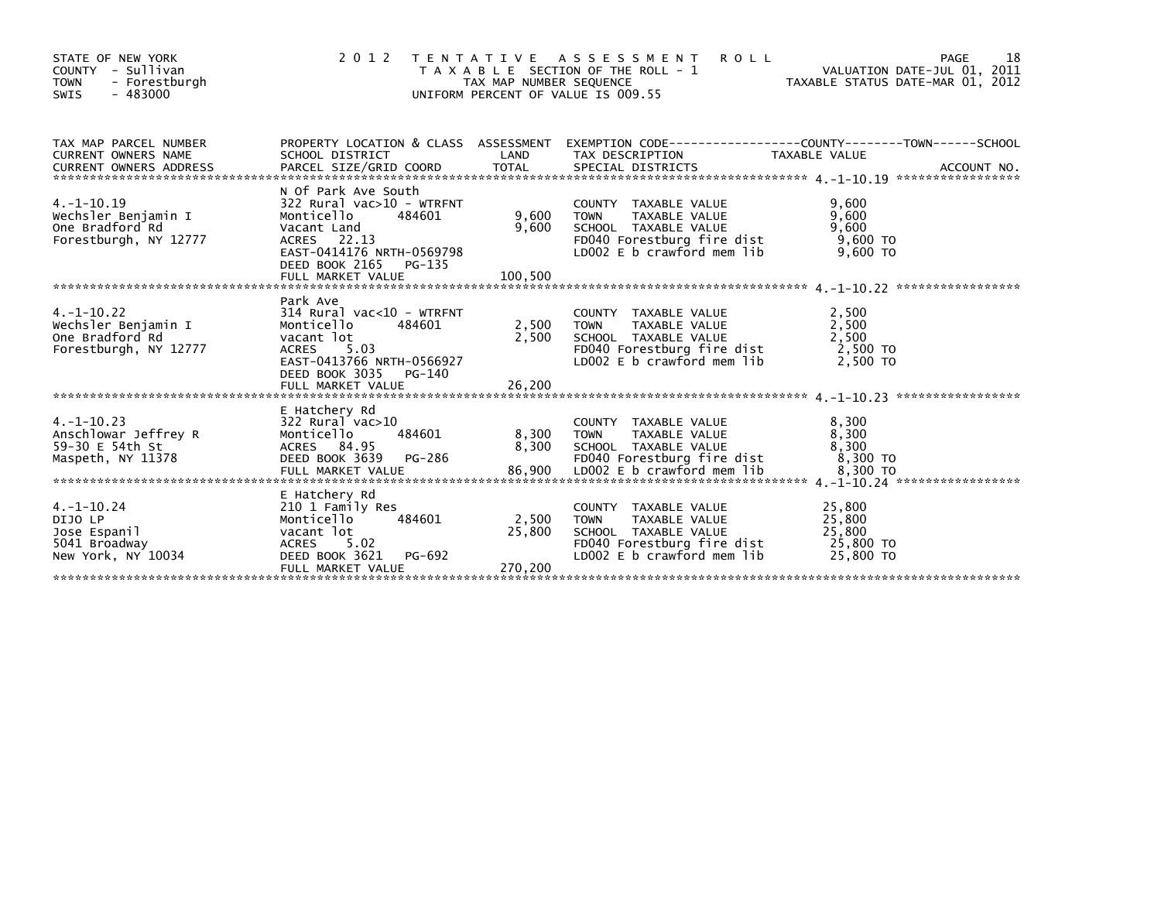| STATE OF NEW YORK<br>- Sullivan<br>COUNTY<br>- Forestburgh<br><b>TOWN</b><br>$-483000$<br>SWIS | 2 0 1 2                                                                                                                                                                             | TAX MAP NUMBER SEQUENCE    | TENTATIVE ASSESSMENT<br><b>ROLL</b><br>T A X A B L E SECTION OF THE ROLL - 1<br>UNIFORM PERCENT OF VALUE IS 009.55                         | 18<br>PAGE<br>VALUATION DATE-JUL 01, 2011<br>TAXABLE STATUS DATE-MAR 01, 2012                                     |  |
|------------------------------------------------------------------------------------------------|-------------------------------------------------------------------------------------------------------------------------------------------------------------------------------------|----------------------------|--------------------------------------------------------------------------------------------------------------------------------------------|-------------------------------------------------------------------------------------------------------------------|--|
| TAX MAP PARCEL NUMBER<br><b>CURRENT OWNERS NAME</b>                                            | SCHOOL DISTRICT                                                                                                                                                                     | LAND                       | TAX DESCRIPTION                                                                                                                            | PROPERTY LOCATION & CLASS ASSESSMENT EXEMPTION CODE----------------COUNTY-------TOWN------SCHOOL<br>TAXABLE VALUE |  |
| $4. -1 - 10.19$<br>Wechsler Benjamin I<br>One Bradford Rd<br>Forestburgh, NY 12777             | N Of Park Ave South<br>$322$ Rural vac $>10$ - WTRFNT<br>Monticello<br>484601<br>Vacant Land<br>ACRES 22.13<br>EAST-0414176 NRTH-0569798<br>DEED BOOK 2165<br>PG-135                | 9,600<br>9,600             | COUNTY TAXABLE VALUE<br><b>TOWN</b><br>TAXABLE VALUE<br>SCHOOL TAXABLE VALUE<br>FD040 Forestburg fire dist<br>LD002 E b crawford mem lib   | 9,600<br>9,600<br>9,600<br>$9,600$ TO<br>9,600 TO                                                                 |  |
| $4. -1 - 10.22$<br>Wechsler Benjamin I<br>One Bradford Rd<br>Forestburgh, NY 12777             | Park Ave<br>$314$ Rural vac<10 - WTRFNT<br>484601<br>Monticello<br>vacant lot<br><b>ACRES</b><br>5.03<br>EAST-0413766 NRTH-0566927<br>DEED BOOK 3035<br>PG-140<br>FULL MARKET VALUE | 2,500<br>2,500<br>26,200   | COUNTY TAXABLE VALUE<br>TAXABLE VALUE<br><b>TOWN</b><br>SCHOOL TAXABLE VALUE<br>FD040 Forestburg fire dist<br>LD002 E b crawford mem lib   | 2,500<br>2,500<br>2,500<br>2,500 TO<br>2,500 TO                                                                   |  |
| $4. -1 - 10.23$<br>Anschlowar Jeffrey R<br>59-30 E 54th St<br>Maspeth, NY 11378                | E Hatchery Rd<br>$322$ Rural vac $>10$<br>Monticello<br>484601<br>ACRES 84.95<br>DEED BOOK 3639<br>PG-286                                                                           | 8,300<br>8,300             | COUNTY TAXABLE VALUE<br>TAXABLE VALUE<br><b>TOWN</b><br>SCHOOL TAXABLE VALUE<br>FD040 Forestburg fire dist                                 | 8,300<br>8,300<br>8,300<br>8.300 TO                                                                               |  |
| $4. -1 - 10.24$<br>DIJO LP<br>Jose Espanil<br>5041 Broadway<br>New York, NY 10034              | E Hatchery Rd<br>210 1 Family Res<br>Monticello<br>484601<br>vacant lot<br><b>ACRES</b><br>5.02<br>DEED BOOK 3621<br>PG-692<br>FULL MARKET VALUE                                    | 2,500<br>25,800<br>270.200 | COUNTY TAXABLE VALUE<br>TAXABLE VALUE<br><b>TOWN</b><br>SCHOOL TAXABLE VALUE<br>FD040 Forestburg fire dist<br>LD002 $E$ b crawford mem lib | 25,800<br>25,800<br>25,800<br>25,800 TO<br>25,800 TO                                                              |  |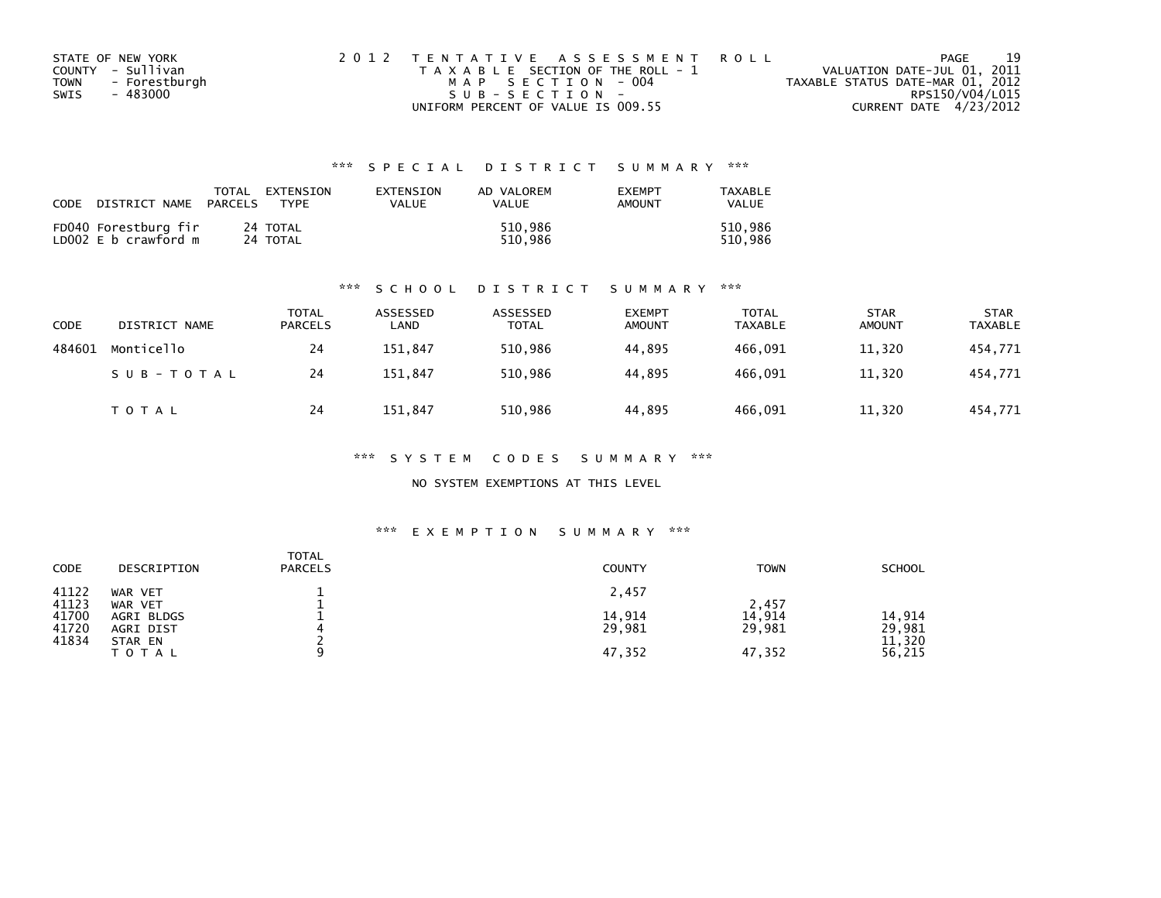| STATE OF NEW YORK     | 2012 TENTATIVE ASSESSMENT ROLL        |                                  | PAGE | 19 |
|-----------------------|---------------------------------------|----------------------------------|------|----|
| COUNTY - Sullivan     | T A X A B L E SECTION OF THE ROLL - 1 | VALUATION DATE-JUL 01, 2011      |      |    |
| - Forestburgh<br>TOWN | MAP SECTION - 004                     | TAXABLE STATUS DATE-MAR 01, 2012 |      |    |
| - 483000<br>SWIS      | $SUB - SECTION -$                     | RPS150/V04/L015                  |      |    |
|                       | UNIFORM PERCENT OF VALUE IS 009.55    | CURRENT DATE 4/23/2012           |      |    |

| CODE | DISTRICT NAME                                | TOTAL<br>PARCELS | EXTENSION<br><b>TYPF</b> | EXTENSION<br>VALUE | AD VALOREM<br>VALUE | <b>EXEMPT</b><br>AMOUNT | TAXABLE<br>VALUE   |
|------|----------------------------------------------|------------------|--------------------------|--------------------|---------------------|-------------------------|--------------------|
|      | FD040 Forestburg fir<br>LD002 E b crawford m |                  | 24 TOTAL<br>24 TOTAL     |                    | 510.986<br>510.986  |                         | 510.986<br>510.986 |

### \*\*\* S C H O O L D I S T R I C T S U M M A R Y \*\*\*

| <b>CODE</b> | DISTRICT NAME | TOTAL<br><b>PARCELS</b> | ASSESSED<br>LAND | ASSESSED<br><b>TOTAL</b> | <b>EXEMPT</b><br><b>AMOUNT</b> | TOTAL<br>TAXABLE | <b>STAR</b><br><b>AMOUNT</b> | <b>STAR</b><br><b>TAXABLE</b> |
|-------------|---------------|-------------------------|------------------|--------------------------|--------------------------------|------------------|------------------------------|-------------------------------|
| 484601      | Monticello    | 24                      | 151,847          | 510,986                  | 44,895                         | 466,091          | 11,320                       | 454,771                       |
|             | SUB-TOTAL     | 24                      | 151.847          | 510.986                  | 44.895                         | 466.091          | 11,320                       | 454,771                       |
|             | T O T A L     | 24                      | 151.847          | 510,986                  | 44,895                         | 466,091          | 11,320                       | 454,771                       |

### \*\*\* S Y S T E M C O D E S S U M M A R Y \*\*\*

### NO SYSTEM EXEMPTIONS AT THIS LEVEL

### \*\*\* E X E M P T I O N S U M M A R Y \*\*\*

| CODE                    | DESCRIPTION                        | <b>TOTAL</b><br><b>PARCELS</b> | <b>COUNTY</b>    | <b>TOWN</b>      | <b>SCHOOL</b>              |
|-------------------------|------------------------------------|--------------------------------|------------------|------------------|----------------------------|
| 41122<br>41123          | WAR VET<br>WAR VET                 |                                | 2,457            | 2,457            |                            |
| 41700<br>41720<br>41834 | AGRI BLDGS<br>AGRI DIST<br>STAR EN |                                | 14,914<br>29,981 | 14,914<br>29,981 | 14,914<br>29,981<br>11,320 |
|                         | TOTAL                              |                                | 47,352           | 47,352           | 56,215                     |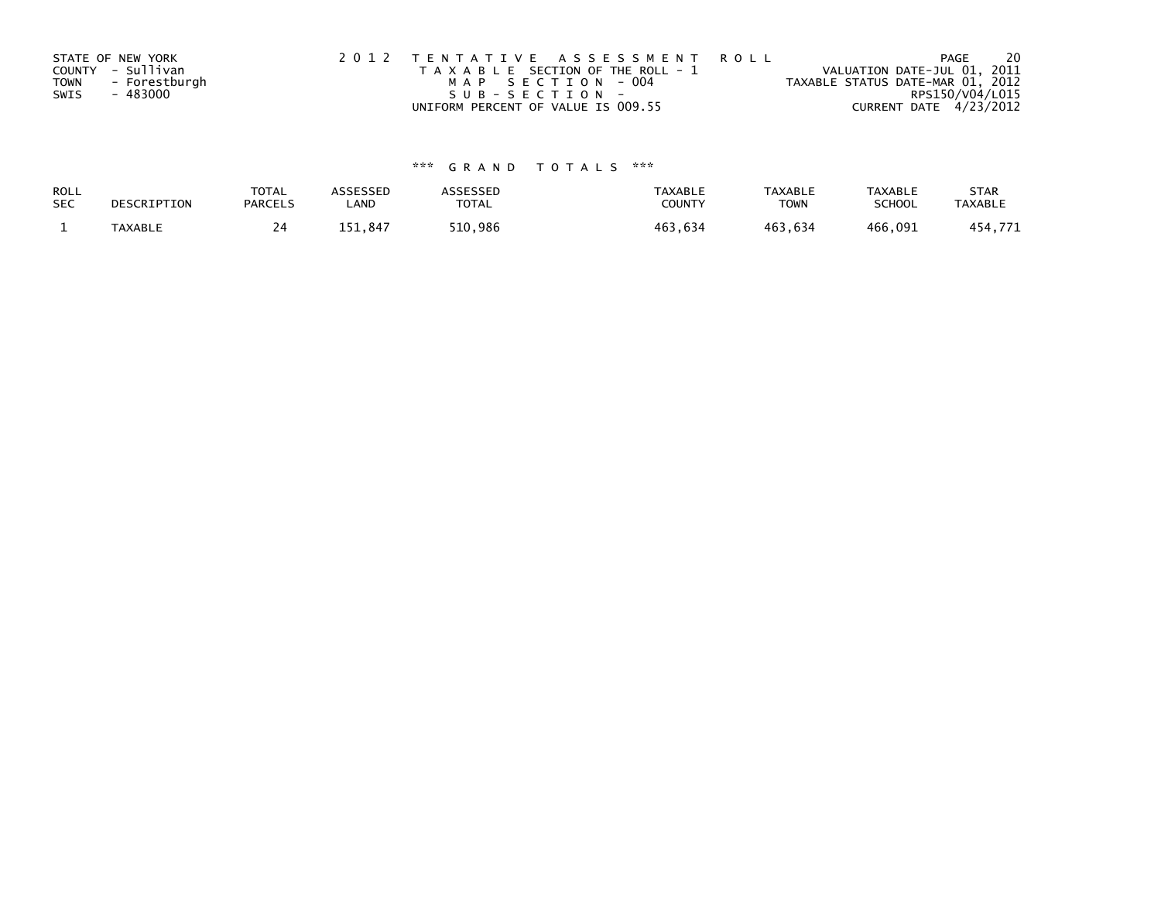| STATE OF NEW YORK            | 2012 TENTATIVE ASSESSMENT ROLL        | PAGE                             | -20 |
|------------------------------|---------------------------------------|----------------------------------|-----|
| COUNTY - Sullivan            | T A X A B L E SECTION OF THE ROLL - 1 | VALUATION DATE-JUL 01, 2011      |     |
| - Forestburgh<br><b>TOWN</b> | MAP SECTION - 004                     | TAXABLE STATUS DATE-MAR 01, 2012 |     |
| SWIS<br>- 483000             | SUB-SECTION-                          | RPS150/V04/L015                  |     |
|                              | UNIFORM PERCENT OF VALUE IS 009.55    | CURRENT DATE 4/23/2012           |     |

| ROLL       | DESCRIPTION | <b>TOTAL</b>   | ASSESSED | <b>ASSESSED</b> | <b>TAXABLE</b> | <b>TAXABLE</b> | <b>TAXABLE</b> | <b>STAR</b>    |
|------------|-------------|----------------|----------|-----------------|----------------|----------------|----------------|----------------|
| <b>SEC</b> |             | <b>PARCELS</b> | ∟AND     | TOTAL           | <b>COUNTY</b>  | TOWN           | <b>SCHOOL</b>  | <b>TAXABLE</b> |
|            | TAXABLE     |                | 151.847  | 510,986         | 463,634        | 463.634        | 466,091        | 454,771        |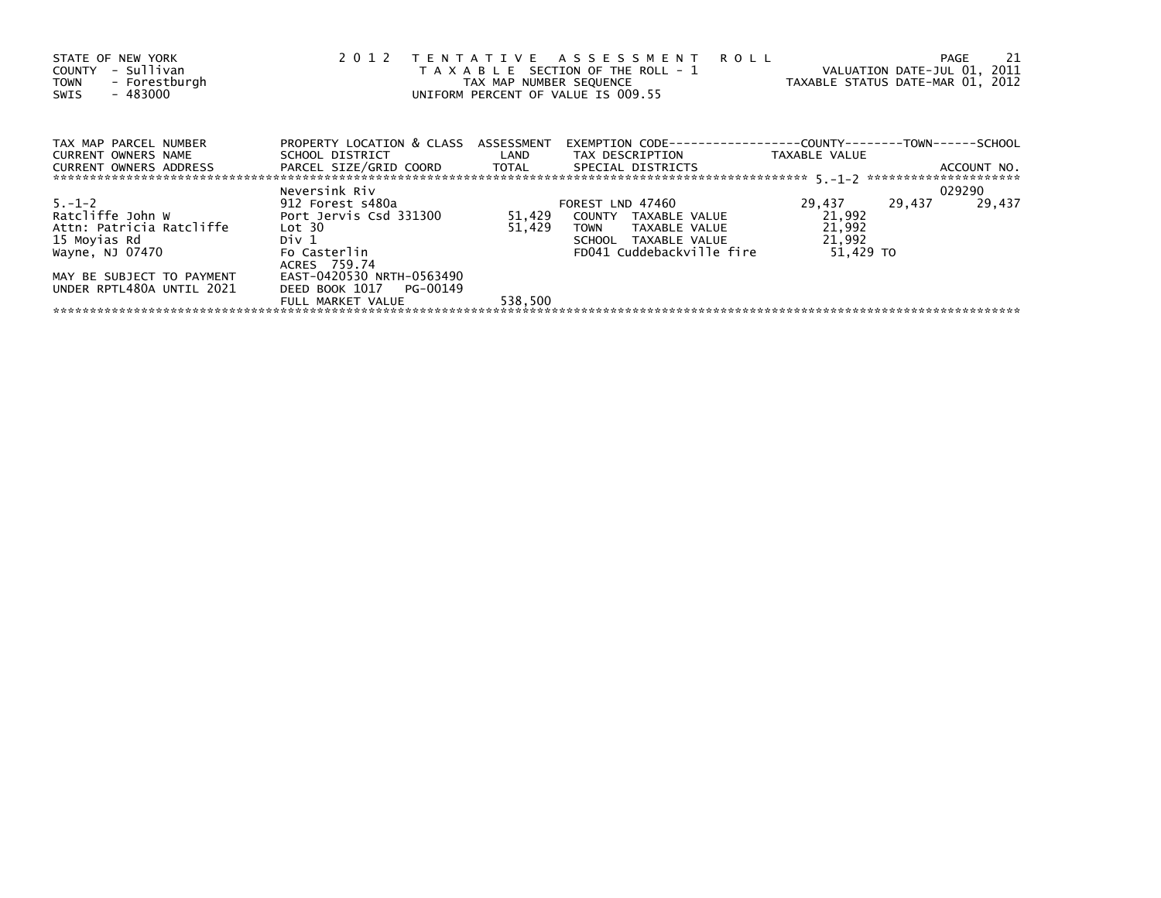| STATE OF NEW YORK<br>- Sullivan<br>COUNTY<br>- Forestburgh<br><b>TOWN</b><br>- 483000<br>SWIS                                                             | 2 0 1 2                                                                                                                                               | TAX MAP NUMBER SEQUENCE | TENTATIVE ASSESSMENT ROLL<br>T A X A B L E SECTION OF THE ROLL - 1<br>UNIFORM PERCENT OF VALUE IS 009.55                      | TAXABLE STATUS DATE-MAR 01, 2012                  |        | -21<br>PAGE<br>VALUATION DATE-JUL 01, 2011 |
|-----------------------------------------------------------------------------------------------------------------------------------------------------------|-------------------------------------------------------------------------------------------------------------------------------------------------------|-------------------------|-------------------------------------------------------------------------------------------------------------------------------|---------------------------------------------------|--------|--------------------------------------------|
| TAX MAP PARCEL NUMBER<br>CURRENT OWNERS NAME<br>CURRENT OWNERS ADDRESS FARCEL SIZE/GRID COORD TOTAL SPECIAL DISTRICTS                                     | PROPERTY LOCATION & CLASS ASSESSMENT<br>SCHOOL DISTRICT                                                                                               | <b>Example 12</b> LAND  | EXEMPTION        CODE-----------------COUNTY--------TOWN------SCHOOL<br>TAX DESCRIPTION                                       | TAXABLE VALUE                                     |        | ACCOUNT NO.                                |
|                                                                                                                                                           | Neversink Riv                                                                                                                                         |                         |                                                                                                                               |                                                   |        | 029290                                     |
| $5. - 1 - 2$<br>Ratcliffe John W<br>Attn: Patricia Ratcliffe<br>15 Moyias Rd<br>Wayne, NJ 07470<br>MAY BE SUBJECT TO PAYMENT<br>UNDER RPTL480A UNTIL 2021 | 912 Forest s480a<br>Port Jervis Csd 331300<br>Lot 30<br>Div 1<br>Fo Casterlin<br>ACRES 759.74<br>EAST-0420530 NRTH-0563490<br>DEED BOOK 1017 PG-00149 | 51,429<br>51,429        | FOREST LND 47460<br>COUNTY TAXABLE VALUE<br>TAXABLE VALUE<br><b>TOWN</b><br>SCHOOL TAXABLE VALUE<br>FD041 Cuddebackville fire | 29,437<br>21,992<br>21,992<br>21,992<br>51,429 TO | 29,437 | 29,437                                     |
|                                                                                                                                                           | FULL MARKET VALUE                                                                                                                                     | 538,500                 |                                                                                                                               |                                                   |        |                                            |
|                                                                                                                                                           |                                                                                                                                                       |                         |                                                                                                                               |                                                   |        |                                            |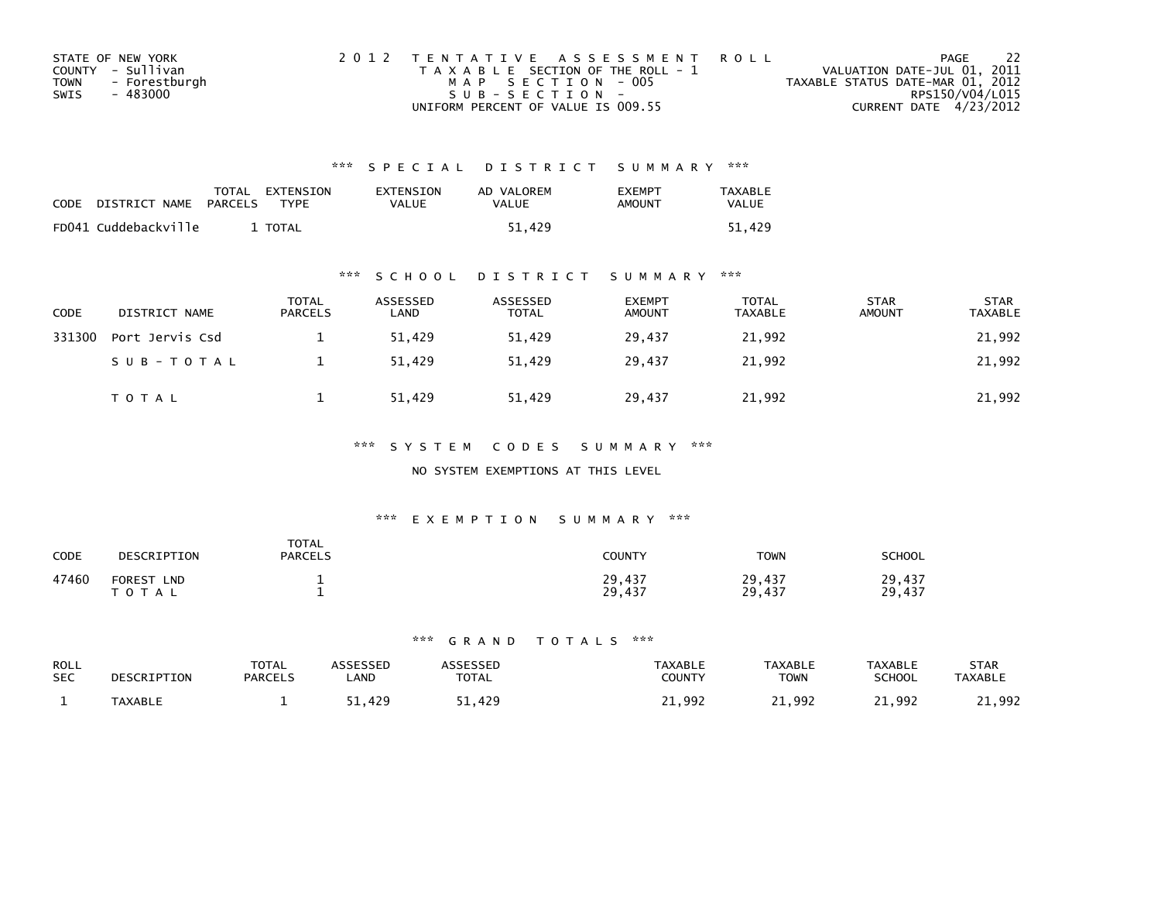|             | STATE OF NEW YORK | 2012 TENTATIVE ASSESSMENT ROLL        | PAGE                             | - 22 |
|-------------|-------------------|---------------------------------------|----------------------------------|------|
|             | COUNTY - Sullivan | T A X A B L E SECTION OF THE ROLL - 1 | VALUATION DATE-JUL 01, 2011      |      |
| <b>TOWN</b> | - Forestburgh     | MAP SECTION - 005                     | TAXABLE STATUS DATE-MAR 01, 2012 |      |
| SWIS        | - 483000          | $SUB - SECTION -$                     | RPS150/V04/L015                  |      |
|             |                   | UNIFORM PERCENT OF VALUE IS 009.55    | CURRENT DATE 4/23/2012           |      |

| <b>CODE</b> | DISTRICT NAME        | <b>PARCELS</b> | TOTAL EXTENSION<br><b>TYPF</b> | EXTENSION<br>VALUE | AD VALOREM<br>VALUE | <b>EXEMPT</b><br>AMOUNT | <b>TAXABLE</b><br><b>VALUE</b> |
|-------------|----------------------|----------------|--------------------------------|--------------------|---------------------|-------------------------|--------------------------------|
|             | FD041 Cuddebackville |                | <b>TOTAL</b>                   |                    | 51.429              |                         | 51.429                         |

## \*\*\* S C H O O L D I S T R I C T S U M M A R Y \*\*\*

| <b>CODE</b> | DISTRICT NAME   | <b>TOTAL</b><br><b>PARCELS</b> | ASSESSED<br>LAND | ASSESSED<br><b>TOTAL</b> | <b>EXEMPT</b><br><b>AMOUNT</b> | TOTAL<br><b>TAXABLE</b> | <b>STAR</b><br><b>AMOUNT</b> | <b>STAR</b><br>TAXABLE |
|-------------|-----------------|--------------------------------|------------------|--------------------------|--------------------------------|-------------------------|------------------------------|------------------------|
| 331300      | Port Jervis Csd |                                | 51.429           | 51.429                   | 29.437                         | 21,992                  |                              | 21,992                 |
|             | SUB-TOTAL       |                                | 51.429           | 51.429                   | 29.437                         | 21,992                  |                              | 21,992                 |
|             | <b>TOTAL</b>    |                                | 51,429           | 51,429                   | 29,437                         | 21,992                  |                              | 21,992                 |

## \*\*\* S Y S T E M C O D E S S U M M A R Y \*\*\*

### NO SYSTEM EXEMPTIONS AT THIS LEVEL

## \*\*\* E X E M P T I O N S U M M A R Y \*\*\*

| <b>CODE</b> | DESCRIPTION                                 | <b>TOTAL</b><br>PARCELS | <b>COUNTY</b>    | <b>TOWN</b>      | <b>SCHOOL</b>    |
|-------------|---------------------------------------------|-------------------------|------------------|------------------|------------------|
| 47460       | <b>FOREST</b><br><b>LND</b><br>тот.<br>`A L |                         | 29,437<br>29,437 | 29,437<br>29,437 | 29,437<br>29,437 |

| ROLL       | DESCRIPTION    | <b>TOTAL</b>   | ASSESSED    | ASSESSED     | <b>TAXABLE</b> | <b>TAXABLE</b> | <b>TAXABLE</b> | <b>STAR</b>    |
|------------|----------------|----------------|-------------|--------------|----------------|----------------|----------------|----------------|
| <b>SEC</b> |                | <b>PARCELS</b> | <b>_AND</b> | <b>TOTAL</b> | <b>COUNTY</b>  | <b>TOWN</b>    | SCHOOL         | <b>TAXABLE</b> |
|            | <b>TAXABLE</b> |                | .429        | 1,429,       | .,992          | 21,992         | 21,992         | .,992          |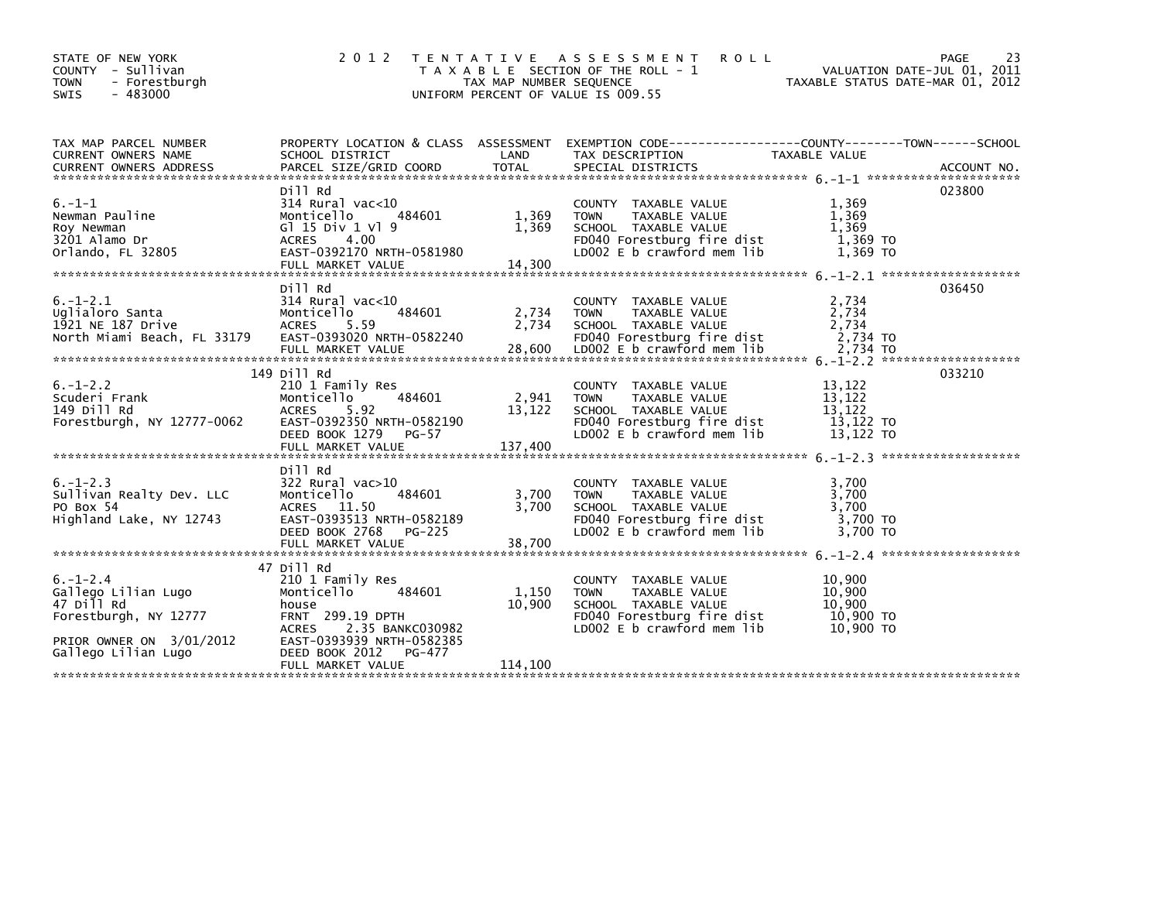| STATE OF NEW YORK<br>COUNTY - Sullivan<br><b>TOWN</b><br>- Forestburgh<br>- 483000<br><b>SWIS</b>        | 2 0 1 2                                                                                                                                               | TAX MAP NUMBER SEQUENCE<br>UNIFORM PERCENT OF VALUE IS 009.55 | <b>ROLL</b><br>TENTATIVE ASSESSMENT<br>T A X A B L E SECTION OF THE ROLL - 1                                                             |                                                      | 23<br><b>PAGE</b><br>VALUATION DATE-JUL 01, 2011<br>TAXABLE STATUS DATE-MAR 01, 2012 |
|----------------------------------------------------------------------------------------------------------|-------------------------------------------------------------------------------------------------------------------------------------------------------|---------------------------------------------------------------|------------------------------------------------------------------------------------------------------------------------------------------|------------------------------------------------------|--------------------------------------------------------------------------------------|
| TAX MAP PARCEL NUMBER<br><b>CURRENT OWNERS NAME</b><br>CURRENT OWNERS ADDRESS                            | SCHOOL DISTRICT                                                                                                                                       | LAND                                                          | PROPERTY LOCATION & CLASS ASSESSMENT EXEMPTION CODE----------------COUNTY-------TOWN-----SCHOOL<br>TAX DESCRIPTION                       | TAXABLE VALUE                                        |                                                                                      |
| $6. - 1 - 1$<br>Newman Pauline<br>Roy Newman<br>3201 Alamo Dr<br>Orlando, FL 32805                       | Dill Rd<br>314 Rural vac<10<br>484601<br>Monticello<br>G1 15 Div 1 V1 9<br>ACRES<br>4.00<br>EAST-0392170 NRTH-0581980<br>FULL MARKET VALUE            | 1,369<br>1,369<br>14,300                                      | COUNTY TAXABLE VALUE<br><b>TOWN</b><br>TAXABLE VALUE<br>SCHOOL TAXABLE VALUE<br>FD040 Forestburg fire dist<br>LD002 E b crawford mem lib | 1,369<br>1,369<br>1,369<br>1,369 TO<br>1,369 TO      | 023800                                                                               |
| $6. - 1 - 2.1$<br>Uqlialoro Santa<br>1921 NE 187 Drive<br>North Miami Beach, FL 33179                    | bill Rd<br>$314$ Rural vac< $10$<br>Monticello<br>484601<br><b>ACRES</b><br>5.59<br>EAST-0393020 NRTH-0582240<br>FULL MARKET VALUE                    | 2,734<br>2,734<br>28,600                                      | COUNTY TAXABLE VALUE<br>TAXABLE VALUE<br><b>TOWN</b><br>SCHOOL TAXABLE VALUE<br>FD040 Forestburg fire dist<br>LD002 E b crawford mem lib | 2,734<br>2,734<br>2,734<br>2,734 TO<br>2,734 TO      | 036450                                                                               |
| $6. - 1 - 2.2$<br>Scuderi Frank<br>149 Dill Rd<br>Forestburgh, NY 12777-0062                             | 149 Dill Rd<br>210 1 Family Res<br>484601<br>Monticello<br><b>ACRES</b><br>5.92<br>EAST-0392350 NRTH-0582190<br>DEED BOOK 1279<br>PG-57               | 2,941<br>13,122                                               | COUNTY TAXABLE VALUE<br><b>TOWN</b><br>TAXABLE VALUE<br>SCHOOL TAXABLE VALUE<br>FD040 Forestburg fire dist<br>LD002 E b crawford mem lib | 13,122<br>13,122<br>13,122<br>13,122 TO<br>13,122 TO | 033210                                                                               |
| $6. -1 - 2.3$<br>Sullivan Realty Dev. LLC<br>PO Box 54<br>Highland Lake, NY 12743                        | Dill Rd<br>$322$ Rural vac $>10$<br>484601<br>Monticello<br>ACRES 11.50<br>EAST-0393513 NRTH-0582189<br>DEED BOOK 2768<br>PG-225<br>FULL MARKET VALUE | 3,700<br>3,700<br>38,700                                      | COUNTY TAXABLE VALUE<br><b>TOWN</b><br>TAXABLE VALUE<br>SCHOOL TAXABLE VALUE<br>FD040 Forestburg fire dist<br>LD002 E b crawford mem lib | 3.700<br>3,700<br>3,700<br>3.700 TO<br>3.700 TO      |                                                                                      |
| $6. - 1 - 2.4$<br>Gallego Lilian Lugo<br>47 Dill Rd<br>Forestburgh, NY 12777<br>PRIOR OWNER ON 3/01/2012 | 47 Dill Rd<br>210 1 Family Res<br>484601<br>Monticello<br>house<br>FRNT 299.19 DPTH<br>2.35 BANKC030982<br><b>ACRES</b><br>EAST-0393939 NRTH-0582385  | 1.150<br>10,900                                               | COUNTY TAXABLE VALUE<br>TAXABLE VALUE<br><b>TOWN</b><br>SCHOOL TAXABLE VALUE<br>FD040 Forestburg fire dist<br>LD002 E b crawford mem lib | 10,900<br>10,900<br>10.900<br>10,900 TO<br>10,900 TO |                                                                                      |
| Gallego Lilian Lugo                                                                                      | DEED BOOK 2012<br>PG-477<br>FULL MARKET VALUE                                                                                                         | 114,100                                                       |                                                                                                                                          |                                                      |                                                                                      |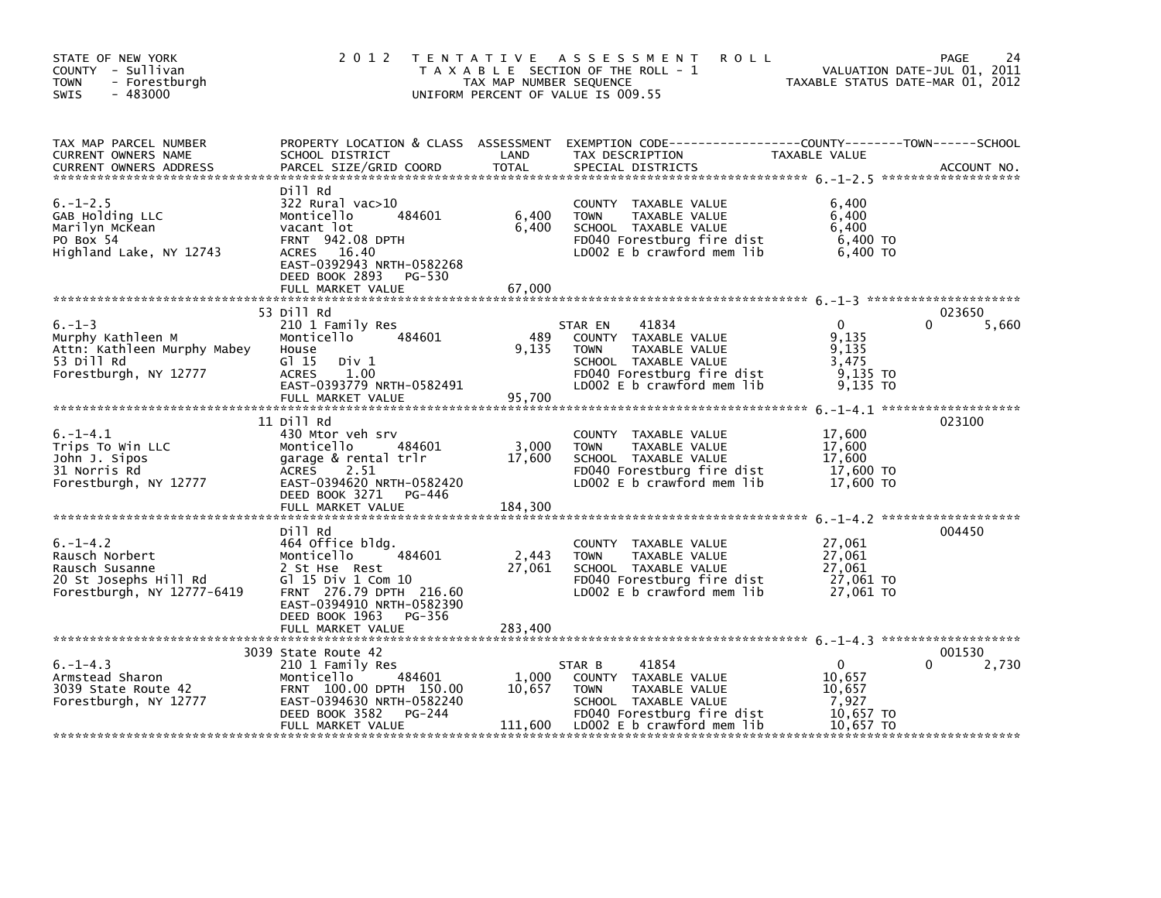| STATE OF NEW YORK<br>COUNTY - Sullivan<br>- Forestburgh<br><b>TOWN</b><br>$-483000$<br><b>SWIS</b>       | 2 0 1 2                                                                                                                                                                                             | TAX MAP NUMBER SEQUENCE    | <b>ROLL</b><br>TENTATIVE ASSESSMENT<br>T A X A B L E SECTION OF THE ROLL - 1<br>UNIFORM PERCENT OF VALUE IS 009.55                                           |                                                                     | 24<br>PAGE<br>VALUATION DATE-JUL 01, 2011<br>TAXABLE STATUS DATE-MAR 01, 2012 |
|----------------------------------------------------------------------------------------------------------|-----------------------------------------------------------------------------------------------------------------------------------------------------------------------------------------------------|----------------------------|--------------------------------------------------------------------------------------------------------------------------------------------------------------|---------------------------------------------------------------------|-------------------------------------------------------------------------------|
| TAX MAP PARCEL NUMBER<br>CURRENT OWNERS NAME<br><b>CURRENT OWNERS ADDRESS</b>                            | SCHOOL DISTRICT<br>PARCEL SIZE/GRID COORD                                                                                                                                                           | LAND<br><b>TOTAL</b>       | PROPERTY LOCATION & CLASS ASSESSMENT EXEMPTION CODE-----------------COUNTY-------TOWN------SCHOOL<br>TAX DESCRIPTION<br>SPECIAL DISTRICTS                    | TAXABLE VALUE                                                       | ACCOUNT NO.                                                                   |
| $6. - 1 - 2.5$<br>GAB Holding LLC<br>Marilyn McKean<br>PO Box 54<br>Highland Lake, NY 12743              | Dill Rd<br>322 Rural vac>10<br>484601<br>Monticello<br>vacant lot<br><b>FRNT 942.08 DPTH</b><br>ACRES 16.40<br>EAST-0392943 NRTH-0582268<br>DEED BOOK 2893<br>PG-530                                | 6,400<br>6,400             | COUNTY TAXABLE VALUE<br>TAXABLE VALUE<br><b>TOWN</b><br>SCHOOL TAXABLE VALUE<br>FD040 Forestburg fire dist<br>LD002 E b crawford mem lib                     | 6,400<br>6,400<br>6.400<br>6,400 TO<br>6,400 TO                     |                                                                               |
|                                                                                                          | FULL MARKET VALUE                                                                                                                                                                                   | 67,000                     |                                                                                                                                                              |                                                                     |                                                                               |
| $6. - 1 - 3$<br>Murphy Kathleen M<br>Attn: Kathleen Murphy Mabey<br>53 Dill Rd<br>Forestburgh, NY 12777  | 53 Dill Rd<br>210 1 Family Res<br>Monticello<br>484601<br>House<br>$G$ <sup>15</sup><br>Div 1<br><b>ACRES</b><br>1.00<br>EAST-0393779 NRTH-0582491<br>FULL MARKET VALUE                             | 489<br>9,135<br>95,700     | STAR EN<br>41834<br>COUNTY TAXABLE VALUE<br>TAXABLE VALUE<br><b>TOWN</b><br>SCHOOL TAXABLE VALUE<br>FD040 Forestburg fire dist<br>LD002 E b crawford mem lib | $\mathbf{0}$<br>9,135<br>9,135<br>3,475<br>9,135 TO<br>9,135 TO     | 023650<br>5,660                                                               |
|                                                                                                          |                                                                                                                                                                                                     |                            |                                                                                                                                                              |                                                                     |                                                                               |
| $6. - 1 - 4.1$<br>Trips To Win LLC<br>John J. Sipos<br>31 Norris Rd<br>Forestburgh, NY 12777             | 11 Dill Rd<br>430 Mtor veh srv<br>Monticello<br>484601<br>garage & rental trlr<br><b>ACRES</b><br>2.51<br>EAST-0394620 NRTH-0582420<br>DEED BOOK 3271<br>PG-446                                     | 3,000<br>17,600            | COUNTY TAXABLE VALUE<br><b>TOWN</b><br>TAXABLE VALUE<br>SCHOOL TAXABLE VALUE<br>FD040 Forestburg fire dist<br>LD002 E b crawford mem lib                     | 17,600<br>17,600<br>17,600<br>17,600 TO<br>17,600 TO                | 023100                                                                        |
|                                                                                                          | FULL MARKET VALUE                                                                                                                                                                                   | 184,300                    |                                                                                                                                                              |                                                                     |                                                                               |
| $6. -1 - 4.2$<br>Rausch Norbert<br>Rausch Susanne<br>20 St Josephs Hill Rd<br>Forestburgh, NY 12777-6419 | Dill Rd<br>464 Office bldg.<br>Monticello<br>484601<br>2 St Hse Rest<br>G] 15 Div 1 Com 10<br>FRNT 276.79 DPTH 216.60<br>EAST-0394910 NRTH-0582390<br>DEED BOOK 1963<br>PG-356<br>FULL MARKET VALUE | 2,443<br>27,061<br>283,400 | COUNTY TAXABLE VALUE<br><b>TOWN</b><br>TAXABLE VALUE<br>SCHOOL TAXABLE VALUE<br>FD040 Forestburg fire dist<br>LD002 $E$ b crawford mem $lib$                 | 27,061<br>27,061<br>27.061<br>27,061 TO<br>27.061 TO                | 004450                                                                        |
|                                                                                                          | 3039 State Route 42                                                                                                                                                                                 |                            |                                                                                                                                                              |                                                                     | 001530                                                                        |
| $6. -1 - 4.3$<br>Armstead Sharon<br>3039 State Route 42<br>Forestburgh, NY 12777                         | 210 1 Family Res<br>Monticello<br>484601<br>FRNT 100.00 DPTH 150.00<br>EAST-0394630 NRTH-0582240<br>DEED BOOK 3582<br>PG-244<br>FULL MARKET VALUE                                                   | 1,000<br>10,657<br>111,600 | 41854<br>STAR B<br>COUNTY TAXABLE VALUE<br>TAXABLE VALUE<br><b>TOWN</b><br>SCHOOL TAXABLE VALUE<br>FD040 Forestburg fire dist<br>LD002 E b crawford mem lib  | $\mathbf{0}$<br>10,657<br>10,657<br>7,927<br>10,657 TO<br>10,657 TO | 2,730<br>0                                                                    |
|                                                                                                          |                                                                                                                                                                                                     |                            |                                                                                                                                                              |                                                                     |                                                                               |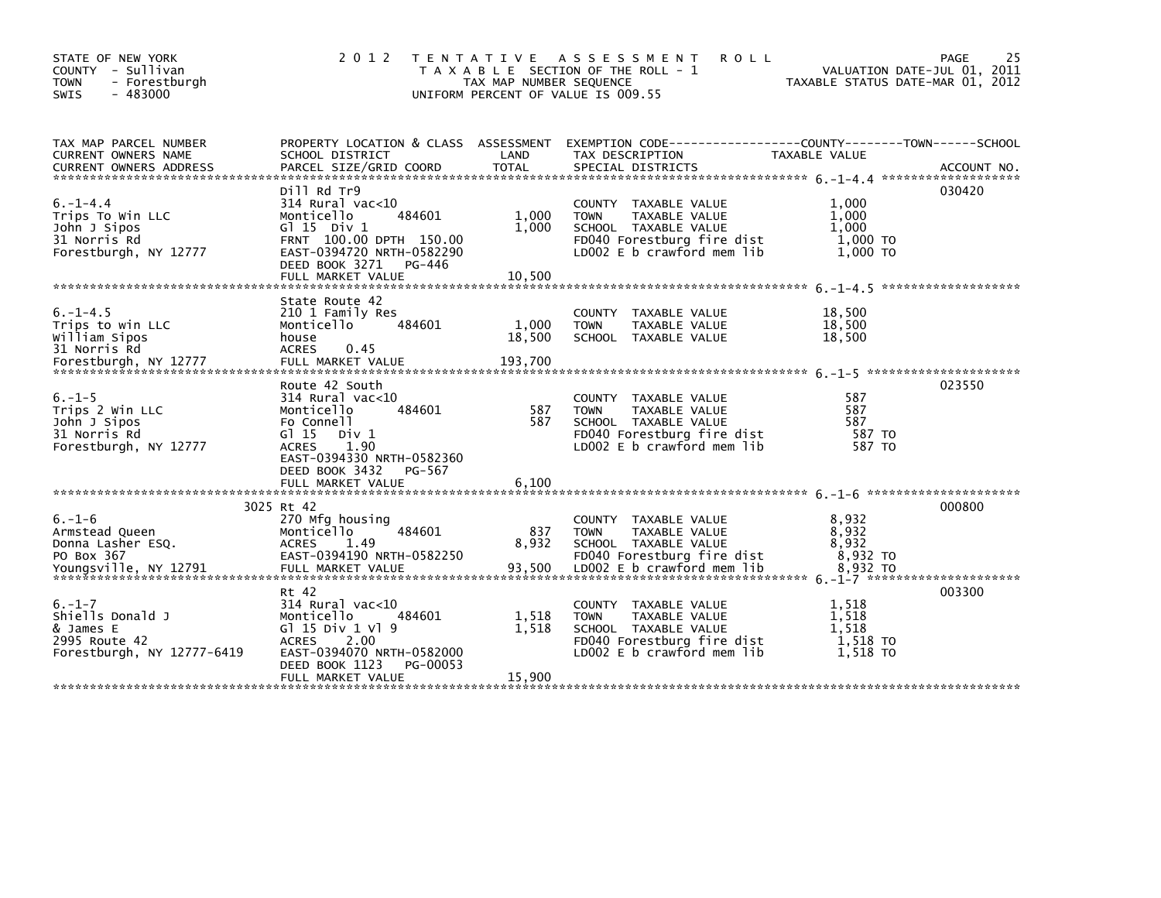| STATE OF NEW YORK<br>COUNTY - Sullivan<br><b>TOWN</b><br>- Forestburgh<br>$-483000$<br><b>SWIS</b> | 2 0 1 2                                                                                                                                                                              | T E N T A T I V E<br>TAX MAP NUMBER SEQUENCE | A S S E S S M E N T<br><b>ROLL</b><br>T A X A B L E SECTION OF THE ROLL - 1<br>UNIFORM PERCENT OF VALUE IS 009.55                           | VALUATION DATE-JUL 01, 2011<br>TAXABLE STATUS DATE-MAR 01, 2012 | 25<br>PAGE |
|----------------------------------------------------------------------------------------------------|--------------------------------------------------------------------------------------------------------------------------------------------------------------------------------------|----------------------------------------------|---------------------------------------------------------------------------------------------------------------------------------------------|-----------------------------------------------------------------|------------|
| TAX MAP PARCEL NUMBER<br>CURRENT OWNERS NAME                                                       | PROPERTY LOCATION & CLASS ASSESSMENT<br>SCHOOL DISTRICT                                                                                                                              | LAND                                         | EXEMPTION CODE-----------------COUNTY-------TOWN------SCHOOL<br>TAX DESCRIPTION                                                             | TAXABLE VALUE                                                   |            |
| $6. - 1 - 4.4$<br>Trips To Win LLC<br>John J Sipos<br>31 Norris Rd<br>Forestburgh, NY 12777        | Dill Rd Tr9<br>$314$ Rural vac< $10$<br>484601<br>Monticello<br>G1 15 Div 1<br>FRNT 100.00 DPTH 150.00<br>EAST-0394720 NRTH-0582290<br>DEED BOOK 3271<br>PG-446<br>FULL MARKET VALUE | 1,000<br>1,000<br>10,500                     | COUNTY TAXABLE VALUE<br>TAXABLE VALUE<br><b>TOWN</b><br>SCHOOL TAXABLE VALUE<br>FD040 Forestburg fire dist<br>LD002 E b crawford mem lib    | 1,000<br>1,000<br>1.000<br>1,000 TO<br>1,000 TO                 | 030420     |
| $6. -1 - 4.5$<br>Trips to win LLC<br>William Sipos<br>31 Norris Rd                                 | State Route 42<br>210 1 Family Res<br>484601<br>Monticello<br>house<br><b>ACRES</b><br>0.45                                                                                          | 1,000<br>18,500                              | COUNTY TAXABLE VALUE<br><b>TOWN</b><br>TAXABLE VALUE<br>SCHOOL TAXABLE VALUE                                                                | 18,500<br>18,500<br>18,500                                      |            |
| $6. - 1 - 5$<br>Trips 2 Win LLC<br>John J Sipos<br>31 Norris Rd<br>Forestburgh, NY 12777           | Route 42 South<br>$314$ Rural vac< $10$<br>Monticello<br>484601<br>Fo Connell<br>$G1$ 15<br>Div 1<br>1.90<br><b>ACRES</b><br>EAST-0394330 NRTH-0582360<br>DEED BOOK 3432<br>PG-567   | 587<br>587                                   | TAXABLE VALUE<br>COUNTY<br>TAXABLE VALUE<br><b>TOWN</b><br>SCHOOL TAXABLE VALUE<br>FD040 Forestburg fire dist<br>LD002 E b crawford mem lib | 587<br>587<br>587<br>587 TO<br>587 TO                           | 023550     |
|                                                                                                    | FULL MARKET VALUE<br>3025 Rt 42                                                                                                                                                      | 6.100                                        |                                                                                                                                             |                                                                 | 000800     |
| $6. - 1 - 6$<br>Armstead Queen<br>Donna Lasher ESQ.<br>PO Box 367                                  | 270 Mfg housing<br>484601<br>Monticello<br><b>ACRES</b><br>1.49<br>EAST-0394190 NRTH-0582250                                                                                         | 837<br>8,932                                 | COUNTY TAXABLE VALUE<br><b>TOWN</b><br>TAXABLE VALUE<br>SCHOOL TAXABLE VALUE<br>FD040 Forestburg fire dist                                  | 8,932<br>8,932<br>8,932<br>8,932 TO                             |            |
| $6. - 1 - 7$<br>Shiells Donald J<br>& James E<br>2995 Route 42<br>Forestburgh, NY 12777-6419       | Rt 42<br>$314$ Rural vac<10<br>Monticello<br>484601<br>G $15 \text{ Div } 1 \text{ V}$ 9<br><b>ACRES</b><br>2.00<br>EAST-0394070 NRTH-0582000<br>DEED BOOK 1123<br>PG-00053          | 1,518<br>1,518                               | COUNTY TAXABLE VALUE<br><b>TOWN</b><br>TAXABLE VALUE<br>SCHOOL TAXABLE VALUE<br>FD040 Forestburg fire dist<br>LDOO2 E b crawford mem lib    | 1,518<br>1,518<br>1.518<br>1,518 TO<br>1.518 TO                 | 003300     |
|                                                                                                    | FULL MARKET VALUE                                                                                                                                                                    | 15,900                                       |                                                                                                                                             |                                                                 |            |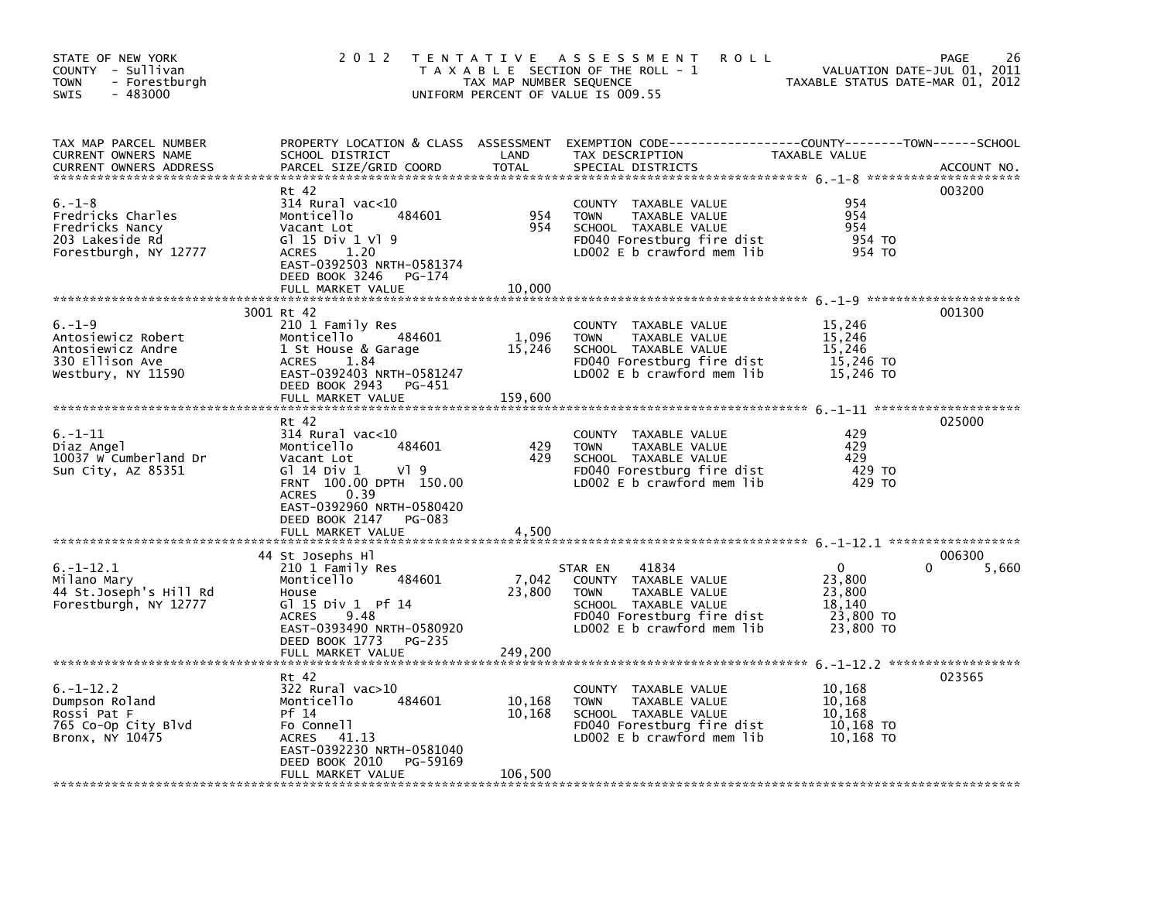| STATE OF NEW YORK<br>COUNTY - Sullivan<br><b>TOWN</b><br>- Forestburgh<br>SWIS<br>$-483000$      | 2 0 1 2                                                                                                                                                                                             | TAX MAP NUMBER SEQUENCE     | TENTATIVE ASSESSMENT<br><b>ROLL</b><br>T A X A B L E SECTION OF THE ROLL - 1<br>UNIFORM PERCENT OF VALUE IS 009.55                                             | TAXABLE STATUS DATE-MAR 01, 2012                                     | 26<br>PAGE<br>VALUATION DATE-JUL 01, 2011 |
|--------------------------------------------------------------------------------------------------|-----------------------------------------------------------------------------------------------------------------------------------------------------------------------------------------------------|-----------------------------|----------------------------------------------------------------------------------------------------------------------------------------------------------------|----------------------------------------------------------------------|-------------------------------------------|
| TAX MAP PARCEL NUMBER<br>CURRENT OWNERS NAME<br><b>CURRENT OWNERS ADDRESS</b>                    | SCHOOL DISTRICT<br>PARCEL SIZE/GRID COORD                                                                                                                                                           | LAND<br><b>TOTAL</b>        | PROPERTY LOCATION & CLASS ASSESSMENT EXEMPTION CODE---------------COUNTY-------TOWN------SCHOOL<br>TAX DESCRIPTION<br>SPECIAL DISTRICTS                        | TAXABLE VALUE                                                        | ACCOUNT NO.                               |
| $6. - 1 - 8$<br>Fredricks Charles<br>Fredricks Nancy<br>203 Lakeside Rd<br>Forestburgh, NY 12777 | Rt 42<br>$314$ Rural vac<10<br>484601<br>Monticello<br>Vacant Lot<br>G1 15 Div 1 V1 9<br>1.20<br><b>ACRES</b><br>EAST-0392503 NRTH-0581374<br>DEED BOOK 3246<br>PG-174                              | 954<br>954                  | COUNTY TAXABLE VALUE<br><b>TOWN</b><br>TAXABLE VALUE<br>SCHOOL TAXABLE VALUE<br>FD040 Forestburg fire dist<br>LD002 E b crawford mem lib                       | 954<br>954<br>954<br>954 TO<br>954 TO                                | 003200                                    |
|                                                                                                  | FULL MARKET VALUE                                                                                                                                                                                   | 10.000                      |                                                                                                                                                                |                                                                      |                                           |
| $6. - 1 - 9$<br>Antosiewicz Robert<br>Antosiewicz Andre<br>330 Ellison Ave<br>Westbury, NY 11590 | 3001 Rt 42<br>210 1 Family Res<br>484601<br>Monticello<br>1 St House & Garage<br>1.84<br><b>ACRES</b><br>EAST-0392403 NRTH-0581247<br>DEED BOOK 2943<br>PG-451                                      | 1,096<br>15,246             | COUNTY TAXABLE VALUE<br><b>TOWN</b><br>TAXABLE VALUE<br>SCHOOL TAXABLE VALUE<br>FD040 Forestburg fire dist<br>LD002 $E$ b crawford mem lib                     | 15,246<br>15,246<br>15,246<br>15,246 TO<br>15,246 TO                 | 001300                                    |
|                                                                                                  | FULL MARKET VALUE                                                                                                                                                                                   | 159,600                     |                                                                                                                                                                |                                                                      |                                           |
| $6. - 1 - 11$<br>Diaz Angel<br>10037 W Cumberland Dr<br>Sun City, AZ 85351                       | Rt 42<br>$314$ Rural vac< $10$<br>Monticello<br>484601<br>Vacant Lot<br>V19<br>G1 14 Div 1<br>FRNT 100.00 DPTH 150.00<br>0.39<br><b>ACRES</b><br>EAST-0392960 NRTH-0580420<br>DEED BOOK 2147 PG-083 | 429<br>429                  | COUNTY TAXABLE VALUE<br><b>TOWN</b><br>TAXABLE VALUE<br>SCHOOL TAXABLE VALUE<br>FD040 Forestburg fire dist<br>LD002 E b crawford mem lib                       | 429<br>429<br>429<br>429 TO<br>429 TO                                | 025000                                    |
|                                                                                                  | FULL MARKET VALUE                                                                                                                                                                                   | 4,500                       |                                                                                                                                                                |                                                                      |                                           |
| $6. -1 - 12.1$<br>Milano Mary<br>44 St.Joseph's Hill Rd<br>Forestburgh, NY 12777                 | 44 St Josephs Hl<br>210 1 Family Res<br>Monticello<br>484601<br>House<br>G1 15 Div 1 Pf 14<br>9.48<br><b>ACRES</b><br>EAST-0393490 NRTH-0580920<br>DEED BOOK 1773<br>PG-235                         | 7,042<br>23,800             | 41834<br>STAR EN<br>COUNTY TAXABLE VALUE<br>TAXABLE VALUE<br><b>TOWN</b><br>SCHOOL TAXABLE VALUE<br>FD040 Forestburg fire dist<br>$LD002 E b$ crawford mem lib | $\mathbf{0}$<br>23,800<br>23,800<br>18,140<br>23,800 TO<br>23,800 TO | 006300<br>5,660                           |
|                                                                                                  | FULL MARKET VALUE                                                                                                                                                                                   | 249,200                     |                                                                                                                                                                |                                                                      |                                           |
| $6. -1 - 12.2$<br>Dumpson Roland<br>Rossi Pat F<br>765 Co-Op City Blvd<br>Bronx, NY 10475        | Rt 42<br>$322$ Rural vac $>10$<br>484601<br>Monticello<br>Pf 14<br>Fo Connell<br>ACRES<br>41.13<br>EAST-0392230 NRTH-0581040<br>DEED BOOK 2010<br>PG-59169<br>FULL MARKET VALUE                     | 10,168<br>10,168<br>106,500 | COUNTY TAXABLE VALUE<br><b>TOWN</b><br>TAXABLE VALUE<br>SCHOOL TAXABLE VALUE<br>FD040 Forestburg fire dist<br>LDOO2 E b crawford mem lib                       | 10,168<br>10,168<br>10,168<br>10,168 TO<br>10,168 TO                 | 023565                                    |
|                                                                                                  |                                                                                                                                                                                                     |                             |                                                                                                                                                                |                                                                      |                                           |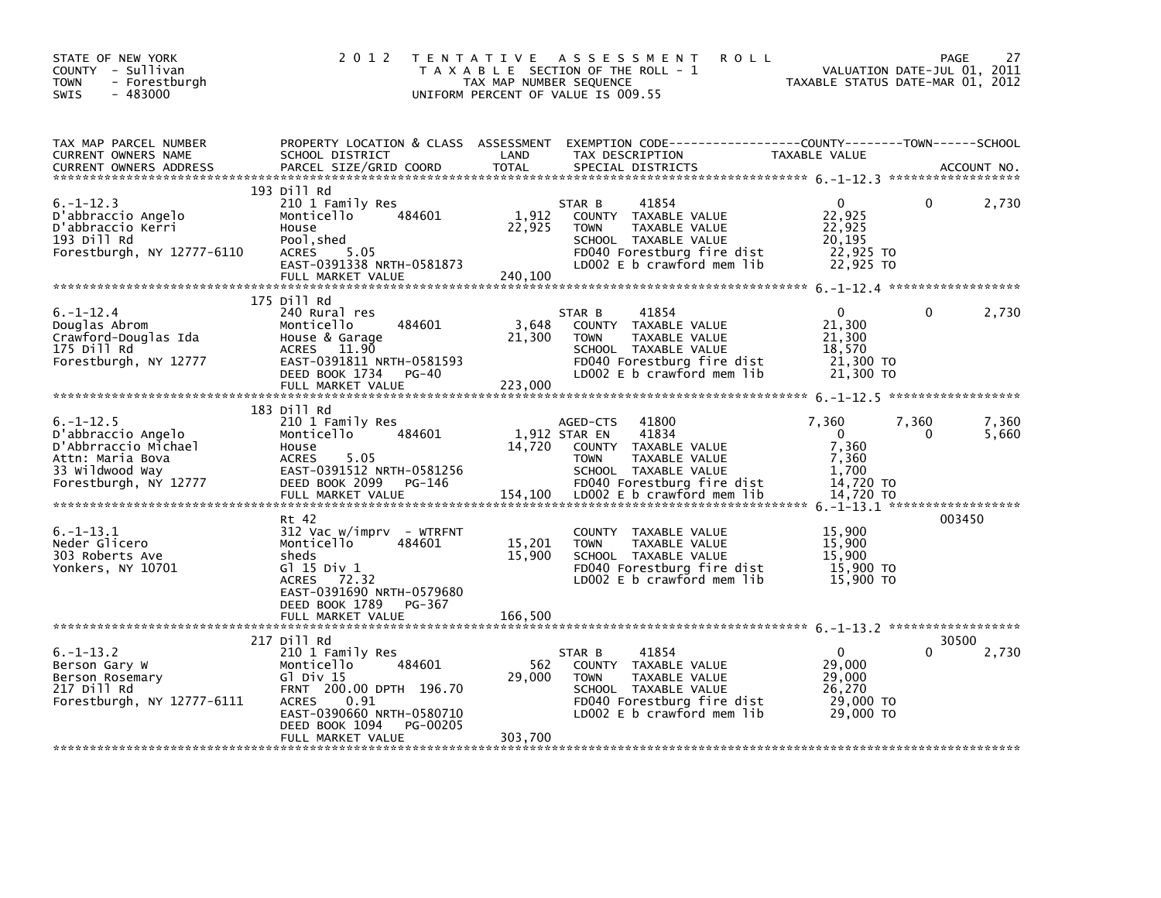| STATE OF NEW YORK<br>COUNTY - Sullivan<br>- Forestburgh<br><b>TOWN</b><br>$-483000$<br>SWIS                                  | 2 0 1 2                                                                                                                                                                                                               | T E N T A T I V E<br>TAX MAP NUMBER SEQUENCE | ASSESSMENT<br><b>ROLL</b><br>T A X A B L E SECTION OF THE ROLL - 1<br>UNIFORM PERCENT OF VALUE IS 009.55                                                                                | VALUATION DATE-JUL 01, 2011<br>TAXABLE STATUS DATE-MAR 01, 2012                                    | 27<br><b>PAGE</b> |
|------------------------------------------------------------------------------------------------------------------------------|-----------------------------------------------------------------------------------------------------------------------------------------------------------------------------------------------------------------------|----------------------------------------------|-----------------------------------------------------------------------------------------------------------------------------------------------------------------------------------------|----------------------------------------------------------------------------------------------------|-------------------|
| TAX MAP PARCEL NUMBER<br>CURRENT OWNERS NAME<br><b>CURRENT OWNERS ADDRESS</b>                                                | PROPERTY LOCATION & CLASS ASSESSMENT<br>SCHOOL DISTRICT<br>PARCEL SIZE/GRID COORD                                                                                                                                     | LAND<br><b>TOTAL</b>                         | EXEMPTION CODE-----------------COUNTY-------TOWN------SCHOOL<br>TAX DESCRIPTION<br>SPECIAL DISTRICTS                                                                                    | TAXABLE VALUE                                                                                      | ACCOUNT NO.       |
| $6. -1 - 12.3$<br>D'abbraccio Angelo<br>D'abbraccio Kerri<br>193 Dill Rd<br>Forestburgh, NY 12777-6110                       | 193 Dill Rd<br>210 1 Family Res<br>484601<br>Monticello<br>House<br>Pool, shed<br><b>ACRES</b><br>5.05<br>EAST-0391338 NRTH-0581873<br>FULL MARKET VALUE                                                              | 1,912<br>22,925<br>240,100                   | 41854<br>STAR B<br>COUNTY TAXABLE VALUE<br>TAXABLE VALUE<br><b>TOWN</b><br>SCHOOL TAXABLE VALUE<br>FD040 Forestburg fire dist<br>LD002 E b crawford mem lib                             | $\mathbf{0}$<br>0<br>22,925<br>22,925<br>20,195<br>22,925 TO<br>22,925 TO                          | 2,730             |
| $6. -1 - 12.4$<br>Douglas Abrom<br>Crawford-Douglas Ida<br>175 Dill Rd<br>Forestburgh, NY 12777                              | 175 Dill Rd<br>240 Rural res<br>Monticello<br>484601<br>House & Garage<br>11.90<br><b>ACRES</b><br>EAST-0391811 NRTH-0581593<br>DEED BOOK 1734<br>PG-40<br>FULL MARKET VALUE                                          | 3,648<br>21,300<br>223,000                   | 41854<br>STAR B<br>COUNTY TAXABLE VALUE<br><b>TOWN</b><br>TAXABLE VALUE<br>SCHOOL TAXABLE VALUE<br>FD040 Forestburg fire dist<br>LD002 E b crawford mem lib                             | $\mathbf{0}$<br>0<br>21,300<br>21,300<br>18,570<br>21,300 TO<br>21,300 TO                          | 2,730             |
| $6. -1 - 12.5$<br>D'abbraccio Angelo<br>D'Abbrraccio Michael<br>Attn: Maria Bova<br>33 Wildwood Way<br>Forestburgh, NY 12777 | 183 Dill Rd<br>210 1 Family Res<br>484601<br>Monticello<br>House<br>5.05<br><b>ACRES</b><br>EAST-0391512 NRTH-0581256<br>DEED BOOK 2099 PG-146<br>FULL MARKET VALUE                                                   | 14,720<br>154,100                            | 41800<br>AGED-CTS<br>1,912 STAR EN<br>41834<br>COUNTY TAXABLE VALUE<br>TAXABLE VALUE<br><b>TOWN</b><br>SCHOOL TAXABLE VALUE<br>FD040 Forestburg fire dist<br>LD002 E b crawford mem lib | 7,360<br>7,360<br>$\mathbf 0$<br><sup>0</sup><br>7,360<br>7,360<br>1,700<br>14,720 TO<br>14,720 TO | 7,360<br>5,660    |
| $6. -1 - 13.1$<br>Neder Glicero<br>303 Roberts Ave<br>Yonkers, NY 10701                                                      | Rt 42<br>$312$ Vac w/imprv - WTRFNT<br>Monticello<br>484601<br>sheds<br>G1 15 Div 1<br>72.32<br><b>ACRES</b><br>EAST-0391690 NRTH-0579680<br>DEED BOOK 1789<br>PG-367<br>FULL MARKET VALUE                            | 15,201<br>15,900<br>166.500                  | COUNTY TAXABLE VALUE<br>TAXABLE VALUE<br><b>TOWN</b><br>SCHOOL TAXABLE VALUE<br>FD040 Forestburg fire dist<br>LD002 E b crawford mem lib                                                | 15,900<br>15,900<br>15,900<br>15,900 TO<br>15,900 TO                                               | 003450            |
| $6. -1 - 13.2$<br>Berson Gary W<br>Berson Rosemary<br>217 Dill Rd<br>Forestburgh, NY 12777-6111                              | 217 Dill Rd<br>210 1 Family Res<br>Monticello<br>484601<br>G $\overline{1}$ Div 15<br>FRNT 200.00 DPTH 196.70<br>0.91<br><b>ACRES</b><br>EAST-0390660 NRTH-0580710<br>DEED BOOK 1094<br>PG-00205<br>FULL MARKET VALUE | 562<br>29,000<br>303,700                     | 41854<br>STAR B<br>COUNTY TAXABLE VALUE<br>TAXABLE VALUE<br><b>TOWN</b><br>SCHOOL TAXABLE VALUE<br>FD040 Forestburg fire dist<br>LD002 E b crawford mem lib                             | 0<br>29,000<br>29,000<br>26,270<br>29,000 TO<br>29,000 TO                                          | 30500<br>2,730    |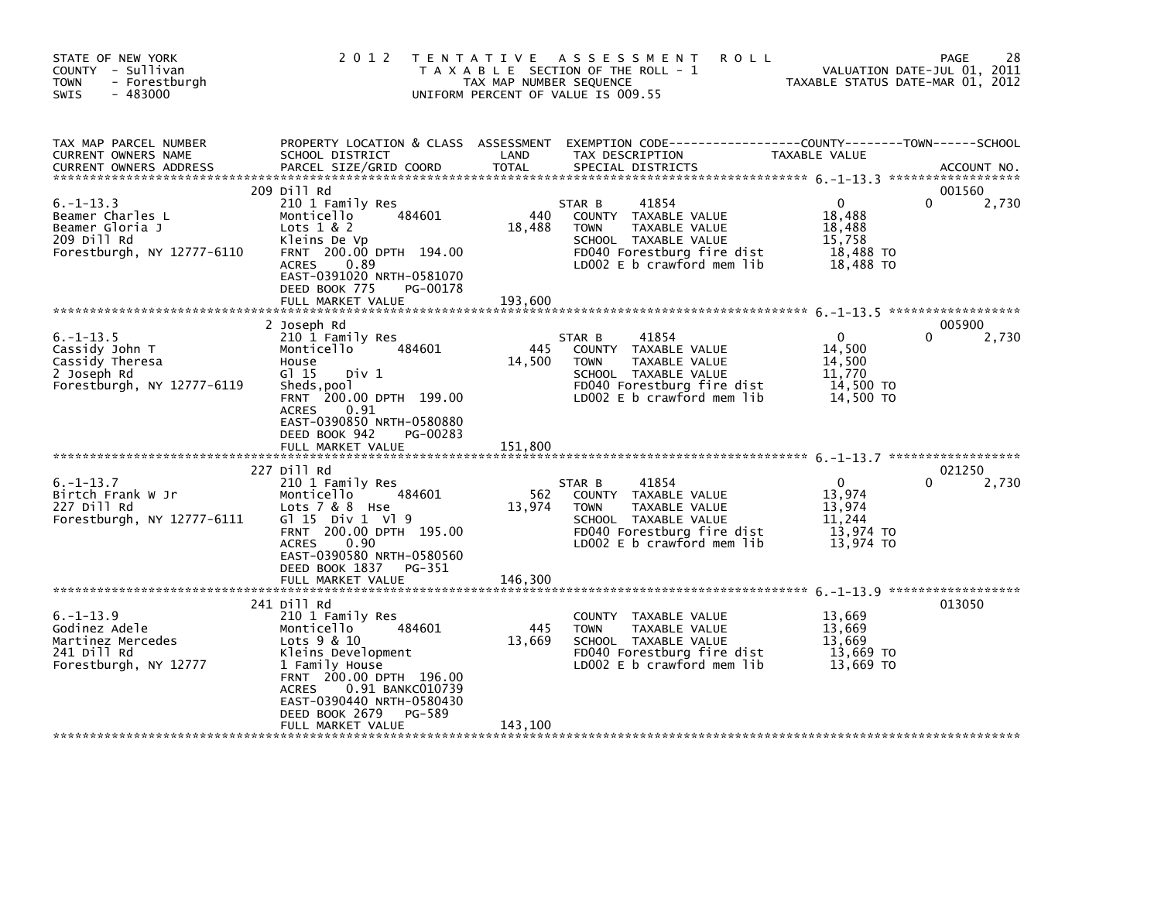| STATE OF NEW YORK<br>COUNTY - Sullivan<br><b>TOWN</b><br>- Forestburgh<br>$-483000$<br>SWIS        | 2 0 1 2                                                                                                                                                                                                                                                     | TAX MAP NUMBER SEQUENCE  | TENTATIVE ASSESSMENT<br><b>ROLL</b><br>T A X A B L E SECTION OF THE ROLL - 1<br>UNIFORM PERCENT OF VALUE IS 009.55                                              | TAXABLE STATUS DATE-MAR 01, 2012                                     | 28<br>PAGE<br>VALUATION DATE-JUL 01, 2011 |
|----------------------------------------------------------------------------------------------------|-------------------------------------------------------------------------------------------------------------------------------------------------------------------------------------------------------------------------------------------------------------|--------------------------|-----------------------------------------------------------------------------------------------------------------------------------------------------------------|----------------------------------------------------------------------|-------------------------------------------|
| TAX MAP PARCEL NUMBER<br>CURRENT OWNERS NAME<br><b>CURRENT OWNERS ADDRESS</b>                      | PROPERTY LOCATION & CLASS ASSESSMENT<br>SCHOOL DISTRICT<br>PARCEL SIZE/GRID COORD                                                                                                                                                                           | LAND<br><b>TOTAL</b>     | EXEMPTION CODE-----------------COUNTY-------TOWN------SCHOOL<br>TAX DESCRIPTION<br>SPECIAL DISTRICTS                                                            | TAXABLE VALUE                                                        | ACCOUNT NO.                               |
| $6. -1 - 13.3$<br>Beamer Charles L<br>Beamer Gloria J<br>209 Dill Rd<br>Forestburgh, NY 12777-6110 | 209 Dill Rd<br>210 1 Family Res<br>484601<br>Monticello<br>Lots $1 & 2$<br>Kleins De Vp<br>FRNT 200.00 DPTH 194.00<br><b>ACRES</b><br>0.89<br>EAST-0391020 NRTH-0581070<br>DEED BOOK 775<br>PG-00178<br>FULL MARKET VALUE                                   | 440<br>18,488<br>193,600 | 41854<br>STAR B<br>COUNTY TAXABLE VALUE<br>TAXABLE VALUE<br><b>TOWN</b><br>SCHOOL TAXABLE VALUE<br>FD040 Forestburg fire dist<br>LD002 $E$ b crawford mem $lib$ | $\mathbf{0}$<br>18,488<br>18,488<br>15,758<br>18,488 TO<br>18,488 TO | 001560<br>0<br>2,730                      |
| $6. -1 - 13.5$<br>Cassidy John T<br>Cassidy Theresa<br>2 Joseph Rd<br>Forestburgh, NY 12777-6119   | 2 Joseph Rd<br>210 1 Family Res<br>Monticello<br>484601<br>House<br>G1 15<br>Div 1<br>Sheds, pool<br>FRNT 200.00 DPTH 199.00<br><b>ACRES</b><br>0.91<br>EAST-0390850 NRTH-0580880<br>DEED BOOK 942<br>PG-00283                                              | 445<br>14,500            | 41854<br>STAR B<br>COUNTY TAXABLE VALUE<br><b>TOWN</b><br>TAXABLE VALUE<br>SCHOOL TAXABLE VALUE<br>FD040 Forestburg fire dist<br>LD002 E b crawford mem lib     | $\mathbf{0}$<br>14,500<br>14,500<br>11,770<br>14,500 TO<br>14,500 TO | 005900<br>2,730                           |
|                                                                                                    | FULL MARKET VALUE                                                                                                                                                                                                                                           | 151,800                  |                                                                                                                                                                 |                                                                      |                                           |
| $6. -1 - 13.7$<br>Birtch Frank W Jr<br>227 Dill Rd<br>Forestburgh, NY 12777-6111                   | 227 Dill Rd<br>210 1 Family Res<br>Monticello<br>484601<br>Lots 7 & 8 Hse<br>$G1 15$ Div 1 V1 9<br>FRNT 200.00 DPTH 195.00<br><b>ACRES</b><br>0.90<br>EAST-0390580 NRTH-0580560<br>DEED BOOK 1837<br>PG-351<br>FULL MARKET VALUE                            | 562<br>13,974<br>146,300 | 41854<br>STAR B<br>COUNTY TAXABLE VALUE<br>TAXABLE VALUE<br><b>TOWN</b><br>SCHOOL TAXABLE VALUE<br>FD040 Forestburg fire dist<br>LD002 E b crawford mem lib     | $\mathbf{0}$<br>13,974<br>13,974<br>11,244<br>13,974 TO<br>13,974 TO | 021250<br>2,730<br>0                      |
| $6. -1 - 13.9$<br>Godinez Adele<br>Martinez Mercedes<br>241 Dill Rd<br>Forestburgh, NY 12777       | 241 Dill Rd<br>210 1 Family Res<br>484601<br>Monticello<br>Lots 9 & 10<br>Kleins Development<br>1 Family House<br>FRNT 200.00 DPTH 196.00<br>0.91 BANKC010739<br><b>ACRES</b><br>EAST-0390440 NRTH-0580430<br>DEED BOOK 2679<br>PG-589<br>FULL MARKET VALUE | 445<br>13,669<br>143,100 | COUNTY TAXABLE VALUE<br>TAXABLE VALUE<br><b>TOWN</b><br>SCHOOL TAXABLE VALUE<br>FD040 Forestburg fire dist<br>LD002 $E$ b crawford mem $lib$                    | 13,669<br>13,669<br>13,669<br>13.669 TO<br>13.669 TO                 | 013050                                    |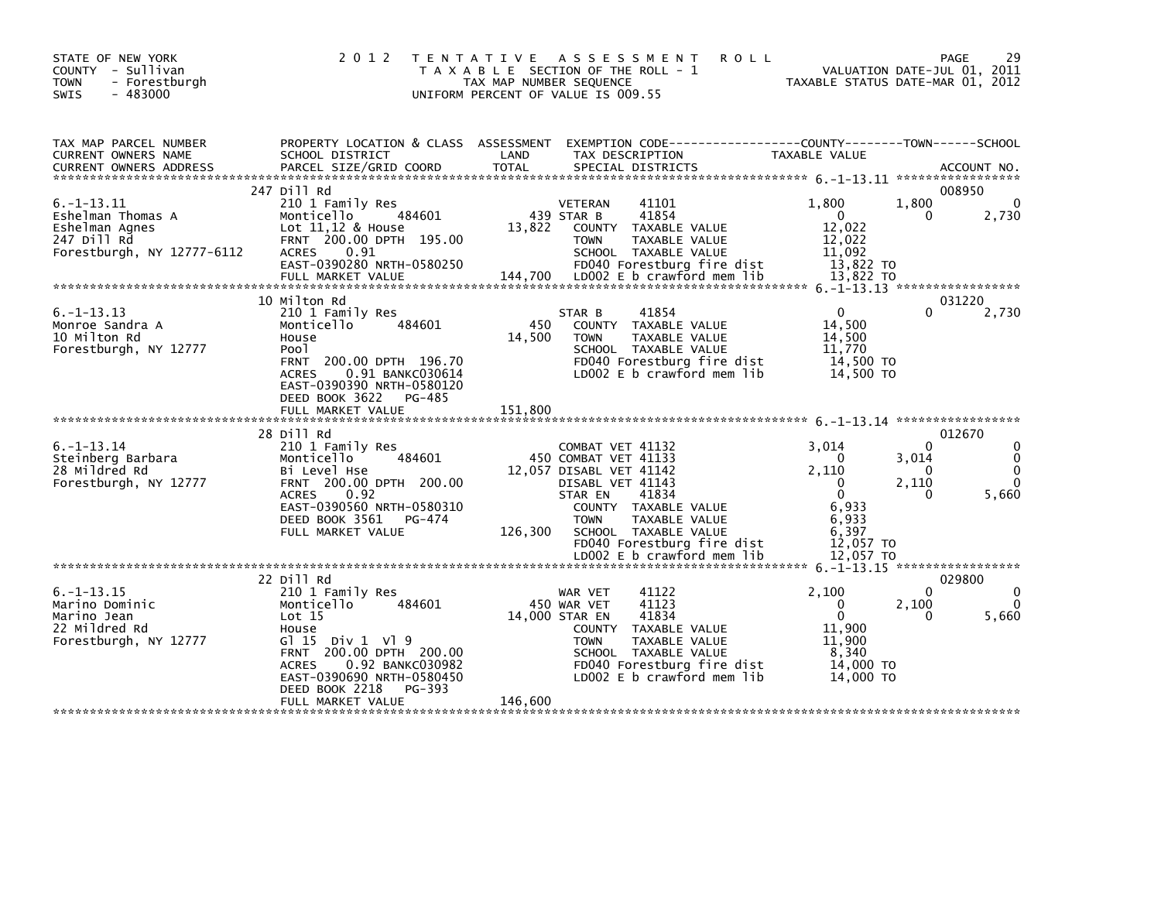| STATE OF NEW YORK<br>COUNTY - Sullivan<br>- Forestburgh<br><b>TOWN</b><br>$-483000$<br><b>SWIS</b>  | 2 0 1 2                                                                                                                                                                                                                                                      | T E N T A T I V E<br>TAX MAP NUMBER SEQUENCE | <b>ROLL</b><br>A S S E S S M E N T<br>T A X A B L E SECTION OF THE ROLL - 1<br>UNIFORM PERCENT OF VALUE IS 009.55                                                                                                                                              |                                                                                                  | 29<br>PAGE<br>VALUATION DATE-JUL 01, 2011<br>TAXABLE STATUS DATE-MAR 01, 2012                           |
|-----------------------------------------------------------------------------------------------------|--------------------------------------------------------------------------------------------------------------------------------------------------------------------------------------------------------------------------------------------------------------|----------------------------------------------|----------------------------------------------------------------------------------------------------------------------------------------------------------------------------------------------------------------------------------------------------------------|--------------------------------------------------------------------------------------------------|---------------------------------------------------------------------------------------------------------|
| TAX MAP PARCEL NUMBER<br>CURRENT OWNERS NAME                                                        | PROPERTY LOCATION & CLASS ASSESSMENT<br>SCHOOL DISTRICT                                                                                                                                                                                                      | LAND                                         | EXEMPTION CODE-----------------COUNTY-------TOWN------SCHOOL<br>TAX DESCRIPTION                                                                                                                                                                                | TAXABLE VALUE                                                                                    |                                                                                                         |
|                                                                                                     | 247 Dill Rd                                                                                                                                                                                                                                                  |                                              |                                                                                                                                                                                                                                                                |                                                                                                  | 008950                                                                                                  |
| $6. -1 - 13.11$<br>Eshelman Thomas A<br>Eshelman Agnes<br>247 Dill Rd<br>Forestburgh, NY 12777-6112 | 210 1 Family Res<br>Monticello<br>484601<br>Lot $11,12$ & House<br>FRNT 200.00 DPTH 195.00<br>0.91<br><b>ACRES</b><br>EAST-0390280 NRTH-0580250                                                                                                              | 13.822                                       | <b>VETERAN</b><br>41101<br>41854<br>439 STAR B<br>COUNTY TAXABLE VALUE<br><b>TOWN</b><br>TAXABLE VALUE<br>SCHOOL TAXABLE VALUE<br>FD040 Forestburg fire dist                                                                                                   | 1.800<br>$\mathbf{0}$<br>12.022<br>12,022<br>11,092<br>13,822 TO                                 | 1,800<br>$\Omega$<br>2,730<br>0                                                                         |
|                                                                                                     | FULL MARKET VALUE                                                                                                                                                                                                                                            | 144,700                                      | LD002 E b crawford mem lib                                                                                                                                                                                                                                     | 13,822 TO                                                                                        |                                                                                                         |
| $6. -1 - 13.13$                                                                                     | 10 Milton Rd<br>210 1 Family Res                                                                                                                                                                                                                             |                                              | 41854<br>STAR B                                                                                                                                                                                                                                                | $\Omega$                                                                                         | 031220<br>$\Omega$<br>2,730                                                                             |
| Monroe Sandra A<br>10 Milton Rd<br>Forestburgh, NY 12777                                            | Monticello<br>484601<br>House<br>Poo <sub>1</sub><br>FRNT 200.00 DPTH 196.70<br>0.91 BANKC030614<br><b>ACRES</b><br>EAST-0390390 NRTH-0580120<br>DEED BOOK 3622<br>PG-485                                                                                    | 450<br>14,500                                | COUNTY TAXABLE VALUE<br><b>TOWN</b><br><b>TAXABLE VALUE</b><br>SCHOOL TAXABLE VALUE<br>FD040 Forestburg fire dist<br>LD002 E b crawford mem lib                                                                                                                | 14.500<br>14,500<br>11,770<br>14,500 TO<br>14,500 TO                                             |                                                                                                         |
|                                                                                                     | FULL MARKET VALUE                                                                                                                                                                                                                                            | 151.800                                      |                                                                                                                                                                                                                                                                |                                                                                                  |                                                                                                         |
| $6. - 1 - 13.14$<br>Steinberg Barbara<br>28 Mildred Rd<br>Forestburgh, NY 12777                     | 28 Dill Rd<br>210 1 Family Res<br>Monticello<br>484601<br>Bi Level Hse<br>FRNT 200.00 DPTH 200.00<br><b>ACRES</b><br>0.92<br>EAST-0390560 NRTH-0580310<br>DEED BOOK 3561<br>PG-474<br>FULL MARKET VALUE                                                      | 126,300                                      | COMBAT VET 41132<br>450 COMBAT VET 41133<br>12.057 DISABL VET 41142<br>DISABL VET 41143<br>STAR EN<br>41834<br>COUNTY TAXABLE VALUE<br><b>TAXABLE VALUE</b><br><b>TOWN</b><br>SCHOOL TAXABLE VALUE<br>FD040 Forestburg fire dist<br>LD002 E b crawford mem lib | 3.014<br>$\Omega$<br>2.110<br>0<br>$\Omega$<br>6.933<br>6,933<br>6,397<br>12,057 TO<br>12,057 TO | 012670<br>0<br>$\Omega$<br>3,014<br>0<br>$\Omega$<br>$\Omega$<br>2,110<br>$\Omega$<br>5,660<br>$\Omega$ |
|                                                                                                     |                                                                                                                                                                                                                                                              |                                              |                                                                                                                                                                                                                                                                |                                                                                                  |                                                                                                         |
| $6. -1 - 13.15$<br>Marino Dominic<br>Marino Jean<br>22 Mildred Rd<br>Forestburgh, NY 12777          | 22 Dill Rd<br>210 1 Family Res<br>Monticello<br>484601<br>Lot 15<br>House<br>G $115$ Div $1 \sqrt{9}$<br>200.00 DPTH 200.00<br><b>FRNT</b><br>0.92 BANKC030982<br><b>ACRES</b><br>EAST-0390690 NRTH-0580450<br>DEED BOOK 2218<br>PG-393<br>FULL MARKET VALUE | 146,600                                      | 41122<br>WAR VET<br>450 WAR VET<br>41123<br>41834<br>14,000 STAR EN<br>COUNTY TAXABLE VALUE<br>TAXABLE VALUE<br><b>TOWN</b><br>SCHOOL TAXABLE VALUE<br>FD040 Forestburg fire dist<br>LD002 E b crawford mem lib                                                | 2,100<br>$\mathbf 0$<br>$\mathbf{0}$<br>11,900<br>11.900<br>8,340<br>14,000 TO<br>14,000 TO      | 029800<br>$\mathbf{0}$<br>$\Omega$<br>2,100<br>0<br>0<br>5,660                                          |
|                                                                                                     |                                                                                                                                                                                                                                                              |                                              |                                                                                                                                                                                                                                                                |                                                                                                  |                                                                                                         |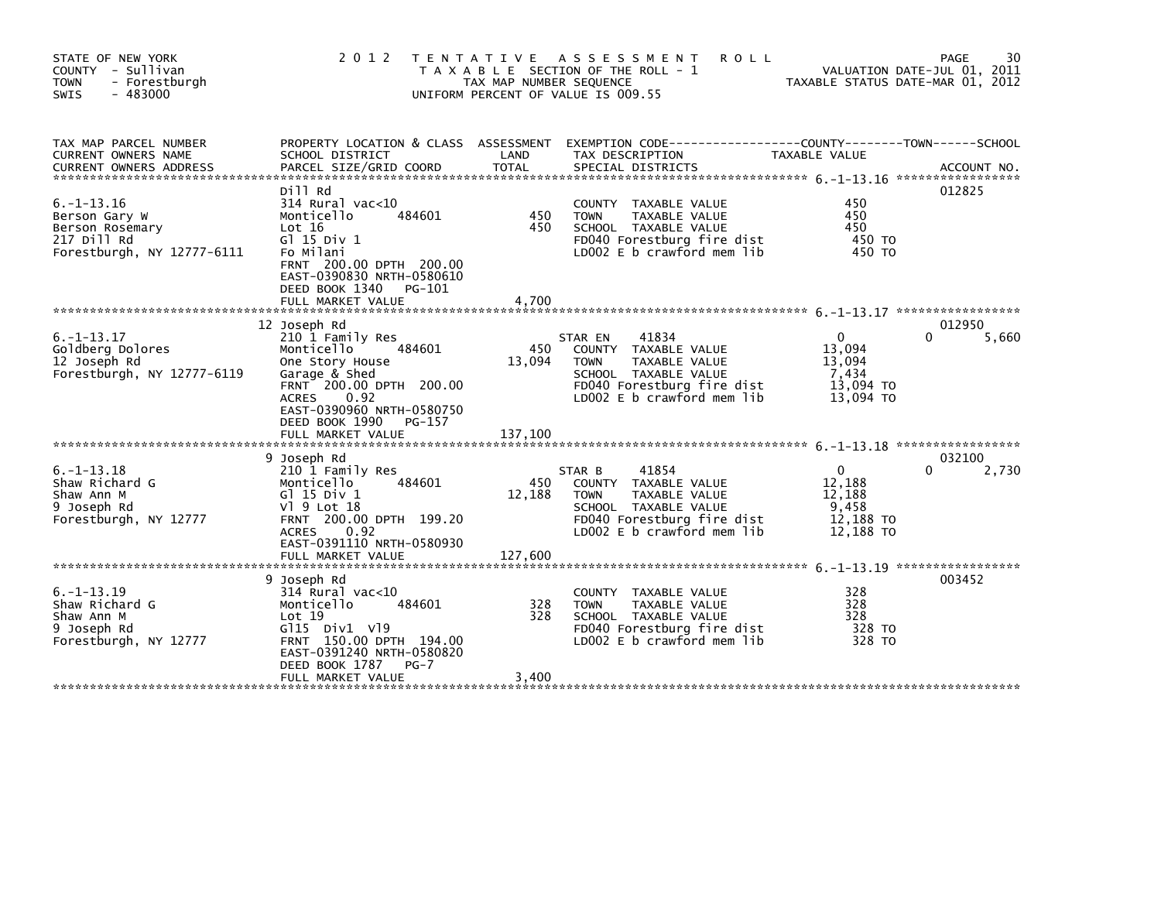| STATE OF NEW YORK<br>- Sullivan<br><b>COUNTY</b><br>- Forestburgh<br><b>TOWN</b><br>$-483000$<br><b>SWIS</b> | 2 0 1 2                                                                                                                                                                                                       | T E N T A T I V E<br>TAX MAP NUMBER SEQUENCE | A S S E S S M E N T<br><b>ROLL</b><br>T A X A B L E SECTION OF THE ROLL - 1<br>UNIFORM PERCENT OF VALUE IS 009.55                                                             | VALUATION DATE-JUL 01, 2011<br>TAXABLE STATUS DATE-MAR 01, 2012 | 30<br><b>PAGE</b> |
|--------------------------------------------------------------------------------------------------------------|---------------------------------------------------------------------------------------------------------------------------------------------------------------------------------------------------------------|----------------------------------------------|-------------------------------------------------------------------------------------------------------------------------------------------------------------------------------|-----------------------------------------------------------------|-------------------|
| TAX MAP PARCEL NUMBER<br>CURRENT OWNERS NAME<br><b>CURRENT OWNERS ADDRESS</b>                                | PROPERTY LOCATION & CLASS ASSESSMENT<br>SCHOOL DISTRICT                                                                                                                                                       | LAND                                         | EXEMPTION CODE--<br>TAX DESCRIPTION                                                                                                                                           | --------COUNTY--------TOWN------SCHOOL<br><b>TAXABLE VALUE</b>  |                   |
| $6. -1 - 13.16$<br>Berson Gary W<br>Berson Rosemary<br>217 Dill Rd<br>Forestburgh, NY 12777-6111             | Dill Rd<br>$314$ Rural vac< $10$<br>484601<br>Monticello<br>Lot 16<br>G1 15 Div 1<br>Fo Milani<br>FRNT 200.00 DPTH 200.00<br>EAST-0390830 NRTH-0580610<br>DEED BOOK 1340<br>PG-101                            | 450<br>450                                   | <b>COUNTY</b><br>TAXABLE VALUE<br>TAXABLE VALUE<br><b>TOWN</b><br>SCHOOL TAXABLE VALUE<br>FD040 Forestburg fire dist<br>LD002 E b crawford mem lib                            | 450<br>450<br>450<br>450 TO<br>450 TO                           | 012825            |
|                                                                                                              | 12 Joseph Rd                                                                                                                                                                                                  |                                              |                                                                                                                                                                               |                                                                 | 012950            |
| $6. -1 - 13.17$<br>Goldberg Dolores<br>12 Joseph Rd<br>Forestburgh, NY 12777-6119                            | 210 1 Family Res<br>Monticello<br>484601<br>One Story House<br>Garage & Shed<br>FRNT 200.00 DPTH 200.00<br><b>ACRES</b><br>0.92<br>EAST-0390960 NRTH-0580750<br>DEED BOOK 1990<br>PG-157<br>FULL MARKET VALUE | 450<br>13,094<br>137,100                     | 41834<br>STAR EN<br>TAXABLE VALUE<br><b>COUNTY</b><br><b>TOWN</b><br><b>TAXABLE VALUE</b><br>SCHOOL TAXABLE VALUE<br>FD040 Forestburg fire dist<br>LD002 E b crawford mem lib | 0<br>13,094<br>13.094<br>7,434<br>13,094 TO<br>13,094 TO        | 0<br>5,660        |
|                                                                                                              | 9 Joseph Rd                                                                                                                                                                                                   |                                              |                                                                                                                                                                               |                                                                 | 032100            |
| $6. -1 - 13.18$<br>Shaw Richard G<br>Shaw Ann M<br>9 Joseph Rd<br>Forestburgh, NY 12777                      | 210 1 Family Res<br>Monticello<br>484601<br>G1 15 Div 1<br>V] 9 Lot 18<br>FRNT 200.00 DPTH 199.20<br><b>ACRES</b><br>0.92<br>EAST-0391110 NRTH-0580930                                                        | 450<br>12,188                                | 41854<br>STAR B<br>TAXABLE VALUE<br><b>COUNTY</b><br>TAXABLE VALUE<br><b>TOWN</b><br>SCHOOL TAXABLE VALUE<br>FD040 Forestburg fire dist<br>LD002 E b crawford mem lib         | $\Omega$<br>12,188<br>12,188<br>9,458<br>12,188 TO<br>12,188 TO | 0<br>2,730        |
|                                                                                                              | FULL MARKET VALUE                                                                                                                                                                                             | 127,600                                      |                                                                                                                                                                               |                                                                 |                   |
|                                                                                                              | 9 Joseph Rd                                                                                                                                                                                                   |                                              |                                                                                                                                                                               |                                                                 | 003452            |
| $6. -1 - 13.19$<br>Shaw Richard G<br>Shaw Ann M<br>9 Joseph Rd<br>Forestburgh, NY 12777                      | $314$ Rural vac<10<br>Monticello<br>484601<br>Lot 19<br>G115 Div1 V19<br>FRNT 150.00 DPTH 194.00<br>EAST-0391240 NRTH-0580820<br>DEED BOOK 1787<br>$PG-7$                                                     | 328<br>328                                   | TAXABLE VALUE<br><b>COUNTY</b><br><b>TOWN</b><br><b>TAXABLE VALUE</b><br>SCHOOL TAXABLE VALUE<br>FD040 Forestburg fire dist<br>LD002 E b crawford mem lib                     | 328<br>328<br>328<br>328 TO<br>328 TO                           |                   |
|                                                                                                              | FULL MARKET VALUE                                                                                                                                                                                             | 3,400                                        |                                                                                                                                                                               |                                                                 |                   |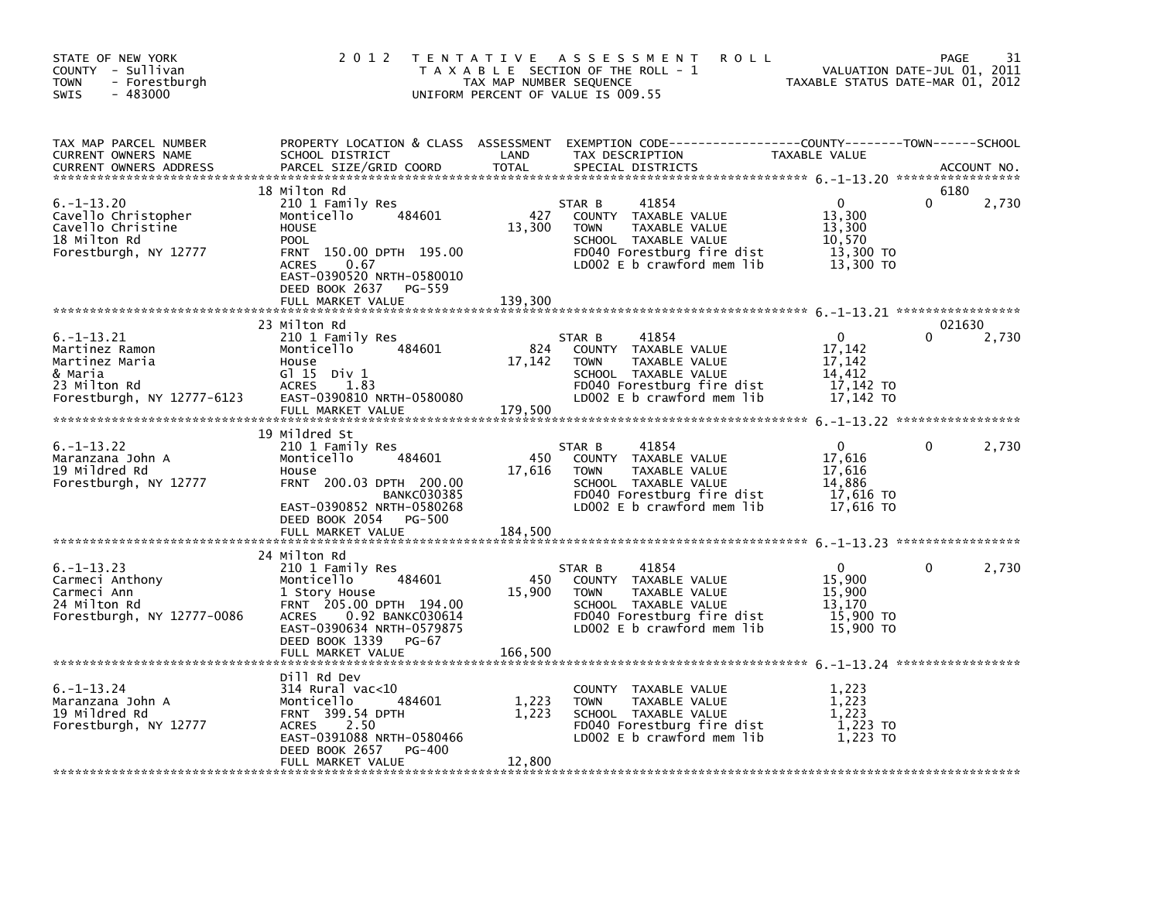| STATE OF NEW YORK<br>COUNTY - Sullivan<br><b>TOWN</b><br>- Forestburgh<br>$-483000$<br>SWIS                  | 2 0 1 2                                                                                                                                                                                             | TAX MAP NUMBER SEQUENCE  | TENTATIVE ASSESSMENT<br><b>ROLL</b><br>T A X A B L E SECTION OF THE ROLL - 1<br>UNIFORM PERCENT OF VALUE IS 009.55                                          | VALUATION DATE-JUL 01, 2011<br>TAXABLE STATUS DATE-MAR 01, 2012      | <b>PAGE</b>        | 31          |
|--------------------------------------------------------------------------------------------------------------|-----------------------------------------------------------------------------------------------------------------------------------------------------------------------------------------------------|--------------------------|-------------------------------------------------------------------------------------------------------------------------------------------------------------|----------------------------------------------------------------------|--------------------|-------------|
| TAX MAP PARCEL NUMBER<br>CURRENT OWNERS NAME<br><b>CURRENT OWNERS ADDRESS</b>                                | PROPERTY LOCATION & CLASS ASSESSMENT<br>SCHOOL DISTRICT<br>PARCEL SIZE/GRID COORD                                                                                                                   | LAND<br><b>TOTAL</b>     | TAX DESCRIPTION<br>SPECIAL DISTRICTS                                                                                                                        | TAXABLE VALUE                                                        |                    | ACCOUNT NO. |
| $6. - 1 - 13.20$<br>Cavello Christopher<br>Cavello Christine<br>18 Milton Rd<br>Forestburgh, NY 12777        | 18 Milton Rd<br>210 1 Family Res<br>484601<br>Monticello<br><b>HOUSE</b><br><b>POOL</b><br>FRNT 150.00 DPTH 195.00<br><b>ACRES</b><br>0.67<br>EAST-0390520 NRTH-0580010<br>DEED BOOK 2637<br>PG-559 | 427<br>13,300            | 41854<br>STAR B<br>COUNTY TAXABLE VALUE<br><b>TOWN</b><br>TAXABLE VALUE<br>SCHOOL TAXABLE VALUE<br>FD040 Forestburg fire dist<br>LD002 E b crawford mem lib | $\mathbf{0}$<br>13,300<br>13,300<br>10,570<br>13,300 TO<br>13,300 TO | 6180<br>0          | 2,730       |
|                                                                                                              | FULL MARKET VALUE                                                                                                                                                                                   | 139,300                  |                                                                                                                                                             |                                                                      |                    |             |
| $6. -1 - 13.21$<br>Martinez Ramon<br>Martinez Maria<br>& Maria<br>23 Milton Rd<br>Forestburgh, NY 12777-6123 | 23 Milton Rd<br>210 1 Family Res<br>484601<br>Monticello<br>House<br>G $115$ Div 1<br><b>ACRES</b><br>1.83<br>EAST-0390810 NRTH-0580080                                                             | 824<br>17,142            | 41854<br>STAR B<br>COUNTY TAXABLE VALUE<br><b>TOWN</b><br>TAXABLE VALUE<br>SCHOOL TAXABLE VALUE<br>FD040 Forestburg fire dist<br>LD002 E b crawford mem lib | $\Omega$<br>17,142<br>17,142<br>14,412<br>17,142 TO<br>17,142 TO     | 021630<br>$\Omega$ | 2,730       |
|                                                                                                              | FULL MARKET VALUE                                                                                                                                                                                   | 179,500                  |                                                                                                                                                             |                                                                      |                    |             |
| $6. -1 - 13.22$<br>Maranzana John A<br>19 Mildred Rd<br>Forestburgh, NY 12777                                | 19 Mildred St<br>210 1 Family Res<br>Monticello<br>484601<br>House<br>FRNT 200.03 DPTH 200.00<br><b>BANKC030385</b><br>EAST-0390852 NRTH-0580268<br>DEED BOOK 2054<br>PG-500<br>FULL MARKET VALUE   | 450<br>17,616<br>184,500 | 41854<br>STAR B<br>COUNTY TAXABLE VALUE<br>TAXABLE VALUE<br><b>TOWN</b><br>SCHOOL TAXABLE VALUE<br>FD040 Forestburg fire dist<br>LD002 E b crawford mem lib | $\Omega$<br>17,616<br>17,616<br>14,886<br>$17,616$ TO<br>17.616 TO   | $\Omega$           | 2,730       |
|                                                                                                              |                                                                                                                                                                                                     |                          |                                                                                                                                                             |                                                                      |                    |             |
| $6. -1 - 13.23$<br>Carmeci Anthony<br>Carmeci Ann<br>24 Milton Rd<br>Forestburgh, NY 12777-0086              | 24 Milton Rd<br>210 1 Family Res<br>484601<br>Monticello<br>1 Story House<br>FRNT 205.00 DPTH 194.00<br>0.92 BANKC030614<br><b>ACRES</b><br>EAST-0390634 NRTH-0579875<br>DEED BOOK 1339<br>PG-67    | 450<br>15,900            | 41854<br>STAR B<br>COUNTY TAXABLE VALUE<br><b>TOWN</b><br>TAXABLE VALUE<br>SCHOOL TAXABLE VALUE<br>FD040 Forestburg fire dist<br>LD002 E b crawford mem lib | $\Omega$<br>15,900<br>15,900<br>13.170<br>15,900 TO<br>15,900 TO     | 0                  | 2,730       |
|                                                                                                              | FULL MARKET VALUE                                                                                                                                                                                   | 166,500                  |                                                                                                                                                             |                                                                      |                    |             |
| $6. - 1 - 13.24$<br>Maranzana John A<br>19 Mildred Rd<br>Forestburgh, NY 12777                               | Dill Rd Dev<br>314 Rural vac<10<br>Monticello<br>484601<br>FRNT 399.54 DPTH<br><b>ACRES</b><br>2.50<br>EAST-0391088 NRTH-0580466<br>DEED BOOK 2657<br><b>PG-400</b><br>FULL MARKET VALUE            | 1,223<br>1,223<br>12,800 | COUNTY TAXABLE VALUE<br>TAXABLE VALUE<br><b>TOWN</b><br>SCHOOL TAXABLE VALUE<br>FD040 Forestburg fire dist<br>LD002 E b crawford mem lib                    | 1,223<br>1,223<br>1,223<br>1,223 TO<br>1,223 TO                      |                    |             |
|                                                                                                              |                                                                                                                                                                                                     |                          |                                                                                                                                                             |                                                                      |                    |             |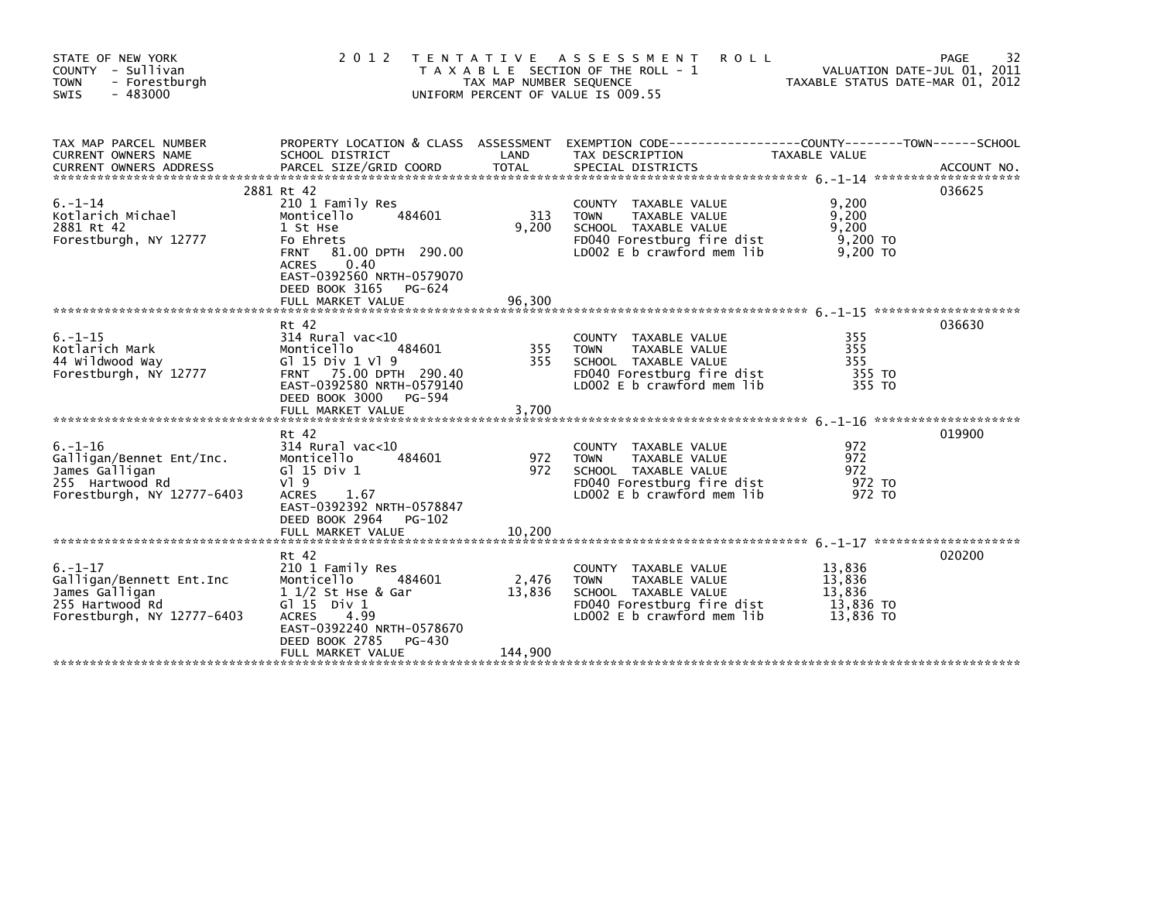| STATE OF NEW YORK<br>COUNTY - Sullivan<br>- Forestburgh<br><b>TOWN</b><br>$-483000$<br><b>SWIS</b>           | 2 0 1 2                                                                                                                                                                                                                   | T E N T A T I V E<br>TAX MAP NUMBER SEQUENCE | A S S E S S M E N T<br><b>ROLL</b><br>T A X A B L E SECTION OF THE ROLL - 1<br>UNIFORM PERCENT OF VALUE IS 009.55                        | VALUATION DATE-JUL 01, 2011<br>TAXABLE STATUS DATE-MAR 01, 2012 | 32<br>PAGE |
|--------------------------------------------------------------------------------------------------------------|---------------------------------------------------------------------------------------------------------------------------------------------------------------------------------------------------------------------------|----------------------------------------------|------------------------------------------------------------------------------------------------------------------------------------------|-----------------------------------------------------------------|------------|
| TAX MAP PARCEL NUMBER<br><b>CURRENT OWNERS NAME</b>                                                          | PROPERTY LOCATION & CLASS ASSESSMENT<br>SCHOOL DISTRICT                                                                                                                                                                   | LAND                                         | TAX DESCRIPTION                                                                                                                          | TAXABLE VALUE                                                   |            |
| 6.-1-14<br>Kotlarich Michael<br>2881 Rt 42<br>Forestburgh, NY 12777                                          | 2881 Rt 42<br>210 1 Family Res<br>484601<br>Monticello<br>1 St Hse<br>Fo Ehrets<br><b>FRNT</b><br>81.00 DPTH 290.00<br>0.40<br><b>ACRES</b><br>EAST-0392560 NRTH-0579070<br>DEED BOOK 3165<br>PG-624<br>FULL MARKET VALUE | 313<br>9,200<br>96,300                       | COUNTY TAXABLE VALUE<br><b>TOWN</b><br>TAXABLE VALUE<br>SCHOOL TAXABLE VALUE<br>FD040 Forestburg fire dist<br>LD002 E b crawford mem lib | 9,200<br>9,200<br>9,200<br>$9,200$ TO<br>9,200 TO               | 036625     |
| $6. - 1 - 15$<br>Kotlarich Mark<br>44 Wildwood Way<br>Forestburgh, NY 12777                                  | Rt 42<br>314 Rural vac<10<br>Monticello<br>484601<br>G1 15 Div 1 V1 9<br>FRNT 75.00 DPTH 290.40<br>EAST-0392580 NRTH-0579140<br>DEED BOOK 3000<br>PG-594<br>FULL MARKET VALUE                                             | 355<br>355<br>3,700                          | COUNTY TAXABLE VALUE<br>TAXABLE VALUE<br><b>TOWN</b><br>SCHOOL TAXABLE VALUE<br>FD040 Forestburg fire dist<br>LD002 E b crawford mem lib | 355<br>355<br>355<br>355 TO<br>355 TO                           | 036630     |
| $6. - 1 - 16$<br>Galligan/Bennet Ent/Inc.<br>James Galligan<br>255 Hartwood Rd<br>Forestburgh, NY 12777-6403 | Rt 42<br>314 Rural vac<10<br>Monticello<br>484601<br>$G$ ] 15 Div 1<br>$V$ <sup>1</sup> 9<br><b>ACRES</b><br>1.67<br>EAST-0392392 NRTH-0578847<br>DEED BOOK 2964<br>PG-102<br>FULL MARKET VALUE                           | 972<br>972<br>10.200                         | COUNTY TAXABLE VALUE<br><b>TOWN</b><br>TAXABLE VALUE<br>SCHOOL TAXABLE VALUE<br>FD040 Forestburg fire dist<br>LD002 E b crawford mem lib | 972<br>972<br>972<br>972 TO<br>972 TO                           | 019900     |
| $6. - 1 - 17$<br>Galligan/Bennett Ent.Inc<br>James Galligan<br>255 Hartwood Rd<br>Forestburgh, NY 12777-6403 | Rt 42<br>210 1 Family Res<br>Monticello<br>484601<br>1 1/2 St Hse & Gar<br>G $\overline{1}$ 15 Div 1<br>4.99<br><b>ACRES</b><br>EAST-0392240 NRTH-0578670<br>DEED BOOK 2785<br>$PG-430$<br>FULL MARKET VALUE              | 2,476<br>13,836<br>144,900                   | COUNTY TAXABLE VALUE<br>TAXABLE VALUE<br><b>TOWN</b><br>SCHOOL TAXABLE VALUE<br>FD040 Forestburg fire dist<br>LD002 E b crawford mem lib | 13,836<br>13,836<br>13,836<br>13,836 TO<br>13.836 TO            | 020200     |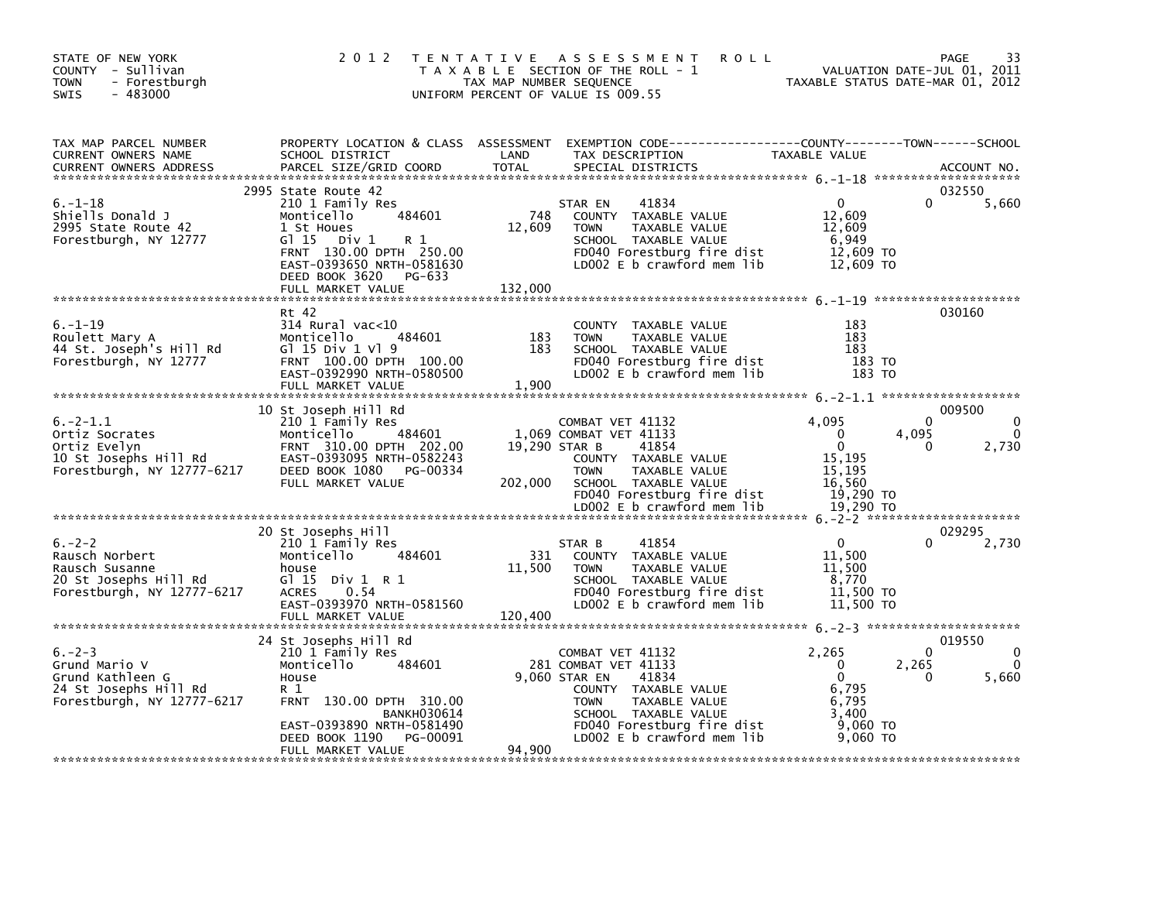| STATE OF NEW YORK<br>COUNTY - Sullivan<br><b>TOWN</b><br>- Forestburgh<br>SWIS<br>$-483000$             | 2 0 1 2                                                                                                                                                                                                            | TAX MAP NUMBER SEQUENCE  | <b>ROLL</b><br>TENTATIVE ASSESSMENT<br>T A X A B L E SECTION OF THE ROLL - 1<br>UNIFORM PERCENT OF VALUE IS 009.55                                                                                             |                                                                                          | 33<br>PAGE<br>VALUATION DATE-JUL 01, 2011<br>TAXABLE STATUS DATE-MAR 01, 2012 |
|---------------------------------------------------------------------------------------------------------|--------------------------------------------------------------------------------------------------------------------------------------------------------------------------------------------------------------------|--------------------------|----------------------------------------------------------------------------------------------------------------------------------------------------------------------------------------------------------------|------------------------------------------------------------------------------------------|-------------------------------------------------------------------------------|
| TAX MAP PARCEL NUMBER<br><b>CURRENT OWNERS NAME</b><br><b>CURRENT OWNERS ADDRESS</b>                    | PROPERTY LOCATION & CLASS ASSESSMENT<br>SCHOOL DISTRICT<br>PARCEL SIZE/GRID COORD                                                                                                                                  | LAND<br><b>TOTAL</b>     | TAX DESCRIPTION<br>SPECIAL DISTRICTS                                                                                                                                                                           | TAXABLE VALUE                                                                            | ACCOUNT NO.                                                                   |
| $6. - 1 - 18$<br>Shiells Donald J<br>2995 State Route 42<br>Forestburgh, NY 12777                       | 2995 State Route 42<br>210 1 Family Res<br>484601<br>Monticello<br>1 St Houes<br>$G1 15$ Div 1<br>R 1<br>FRNT 130.00 DPTH 250.00<br>EAST-0393650 NRTH-0581630<br>DEED BOOK 3620 PG-633<br>FULL MARKET VALUE        | 748<br>12,609<br>132,000 | 41834<br>STAR EN<br>COUNTY TAXABLE VALUE<br><b>TOWN</b><br>TAXABLE VALUE<br>SCHOOL TAXABLE VALUE<br>FD040 Forestburg fire dist<br>LD002 E b crawford mem lib                                                   | $\Omega$<br>12,609<br>12,609<br>6,949<br>12,609 TO<br>12,609 TO                          | 032550<br>5,660                                                               |
| $6. - 1 - 19$<br>Roulett Mary A<br>44 St. Joseph's Hill Rd<br>Forestburgh, NY 12777                     | Rt 42<br>$314$ Rural vac< $10$<br>484601<br>Monticello<br>$G1$ 15 Div 1 Vl 9<br>FRNT 100.00 DPTH 100.00<br>EAST-0392990 NRTH-0580500<br>FULL MARKET VALUE                                                          | 183<br>183<br>1,900      | COUNTY TAXABLE VALUE<br><b>TOWN</b><br>TAXABLE VALUE<br>SCHOOL TAXABLE VALUE<br>FD040 Forestburg fire dist<br>LD002 E b crawford mem lib                                                                       | 183<br>183<br>183<br>183 TO<br>183 TO                                                    | 030160                                                                        |
| $6. -2 - 1.1$<br>Ortiz Socrates<br>Ortiz Evelyn<br>10 St Josephs Hill Rd<br>Forestburgh, NY 12777-6217  | 10 St Joseph Hill Rd<br>210 1 Family Res<br>Monticello<br>484601<br>FRNT 310.00 DPTH 202.00<br>EAST-0393095 NRTH-0582243<br>DEED BOOK 1080 PG-00334<br>FULL MARKET VALUE                                           | 19,290 STAR B<br>202,000 | COMBAT VET 41132<br>1,069 COMBAT VET 41133<br>41854<br>COUNTY TAXABLE VALUE<br><b>TOWN</b><br>TAXABLE VALUE<br>SCHOOL TAXABLE VALUE<br>FD040 Forestburg fire dist<br>LD002 E b crawford mem lib                | 4.095<br>$\Omega$<br>$\Omega$<br>15,195<br>15,195<br>16,560<br>19,290 TO<br>19,290 TO    | 009500<br>$\Omega$<br>4,095<br>2,730<br>0                                     |
| $6. -2 - 2$<br>Rausch Norbert<br>Rausch Susanne<br>20 St Josephs Hill Rd<br>Forestburgh, NY 12777-6217  | 20 St Josephs Hill<br>210 1 Family Res<br>Monticello<br>484601<br>house<br>G $115$ Div $1$ R $1$<br><b>ACRES</b><br>0.54<br>EAST-0393970 NRTH-0581560<br>FULL MARKET VALUE                                         | 331<br>11,500<br>120,400 | 41854<br>STAR B<br>COUNTY TAXABLE VALUE<br>TAXABLE VALUE<br><b>TOWN</b><br>SCHOOL TAXABLE VALUE<br>FD040 Forestburg fire dist<br>LD002 E b crawford mem lib                                                    | $\mathbf 0$<br>11.500<br>11,500<br>8,770<br>11,500 TO<br>11,500 TO                       | 029295<br>2,730                                                               |
| $6. -2 - 3$<br>Grund Mario V<br>Grund Kathleen G<br>24 St Josephs Hill Rd<br>Forestburgh, NY 12777-6217 | 24 St Josephs Hill Rd<br>210 1 Family Res<br>Monticello<br>484601<br>House<br>R 1<br>FRNT 130.00 DPTH 310.00<br><b>BANKH030614</b><br>EAST-0393890 NRTH-0581490<br>DEED BOOK 1190<br>PG-00091<br>FULL MARKET VALUE | 94.900                   | COMBAT VET 41132<br>281 COMBAT VET 41133<br>9,060 STAR EN<br>41834<br>COUNTY TAXABLE VALUE<br><b>TOWN</b><br>TAXABLE VALUE<br>SCHOOL TAXABLE VALUE<br>FD040 Forestburg fire dist<br>LD002 E b crawford mem lib | 2,265<br>$\mathbf{0}$<br>$\mathbf{0}$<br>6,795<br>6,795<br>3,400<br>9,060 TO<br>9,060 TO | 019550<br>$\Omega$<br>2,265<br>5,660<br>0                                     |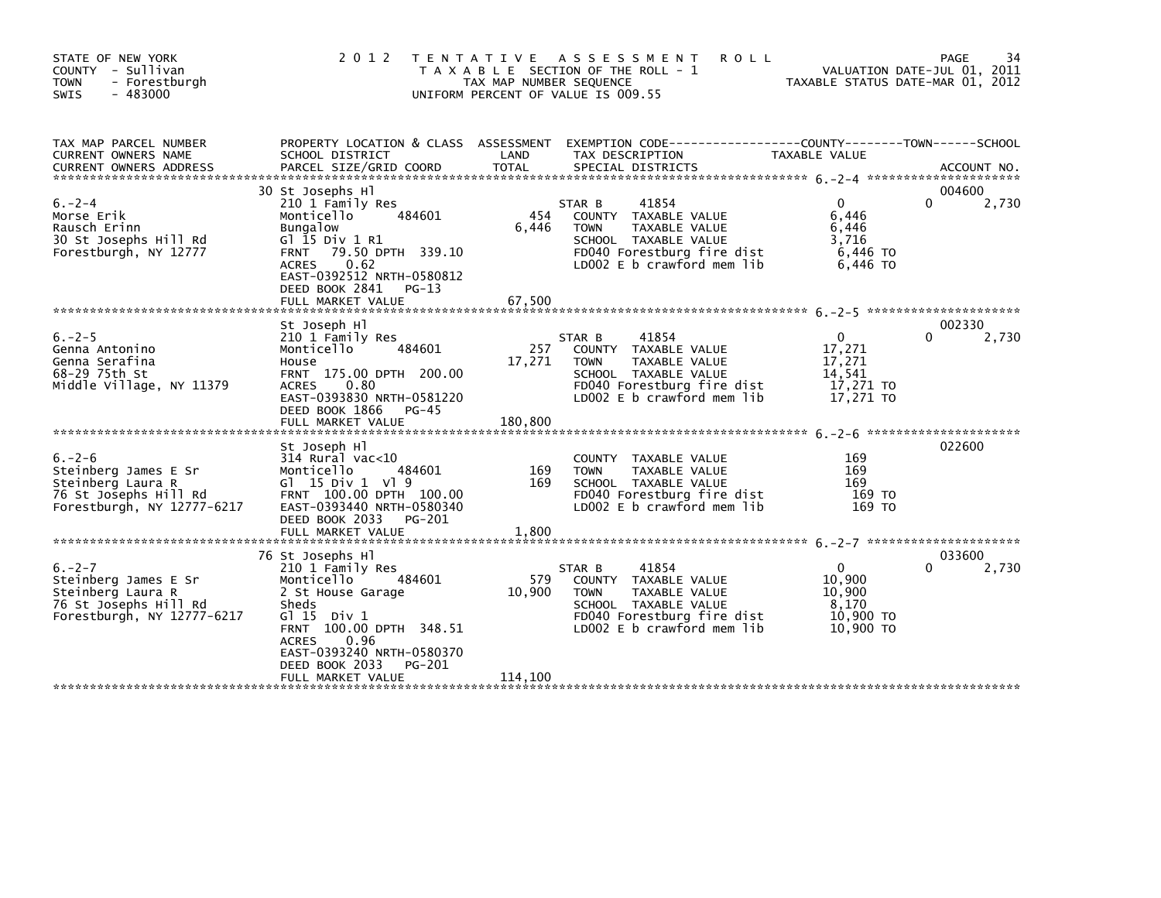| STATE OF NEW YORK<br>COUNTY - Sullivan<br><b>TOWN</b><br>- Forestburgh<br><b>SWIS</b><br>- 483000               | 2 0 1 2<br>T E N T A T I V E                                                                                                                                                                                                                          | TAX MAP NUMBER SEQUENCE  | ASSESSMENT<br><b>ROLL</b><br>T A X A B L E SECTION OF THE ROLL - 1<br>UNIFORM PERCENT OF VALUE IS 009.55                                                      |                                                                      | 34<br>PAGE<br>VALUATION DATE-JUL 01, 2011<br>TAXABLE STATUS DATE-MAR 01, 2012 |
|-----------------------------------------------------------------------------------------------------------------|-------------------------------------------------------------------------------------------------------------------------------------------------------------------------------------------------------------------------------------------------------|--------------------------|---------------------------------------------------------------------------------------------------------------------------------------------------------------|----------------------------------------------------------------------|-------------------------------------------------------------------------------|
| TAX MAP PARCEL NUMBER<br>CURRENT OWNERS NAME<br><b>CURRENT OWNERS ADDRESS</b>                                   | SCHOOL DISTRICT<br>PARCEL SIZE/GRID COORD                                                                                                                                                                                                             | LAND<br><b>TOTAL</b>     | PROPERTY LOCATION & CLASS ASSESSMENT EXEMPTION CODE----------------COUNTY-------TOWN------SCHOOL<br>TAX DESCRIPTION<br>SPECIAL DISTRICTS                      | TAXABLE VALUE                                                        | ACCOUNT NO.                                                                   |
| $6. -2 - 4$<br>Morse Erik<br>Rausch Erinn<br>30 St Josephs Hill Rd<br>Forestburgh, NY 12777                     | 30 St Josephs Hl<br>210 1 Family Res<br>Monticello<br>484601<br><b>Bungalow</b><br>G1 15 Div 1 R1<br>79.50 DPTH 339.10<br><b>FRNT</b><br>0.62<br><b>ACRES</b><br>EAST-0392512 NRTH-0580812<br>DEED BOOK 2841<br>PG-13<br>FULL MARKET VALUE            | 454<br>6,446<br>67,500   | 41854<br>STAR B<br>COUNTY TAXABLE VALUE<br>TAXABLE VALUE<br><b>TOWN</b><br>SCHOOL TAXABLE VALUE<br>FD040 Forestburg fire dist<br>LD002 $E$ b crawford mem lib | $\Omega$<br>6,446<br>6,446<br>3,716<br>6,446 TO<br>6,446 TO          | 004600<br>$\Omega$<br>2,730                                                   |
| $6. -2 - 5$<br>Genna Antonino<br>Genna Serafina<br>68-29 75th St<br>Middle Village, NY 11379                    | St Joseph Hl<br>210 1 Family Res<br>484601<br>Monticello<br>House<br>FRNT 175.00 DPTH 200.00<br><b>ACRES</b><br>0.80<br>EAST-0393830 NRTH-0581220<br>DEED BOOK 1866<br>PG-45<br>FULL MARKET VALUE                                                     | 257<br>17,271<br>180,800 | STAR B<br>41854<br>COUNTY TAXABLE VALUE<br>TAXABLE VALUE<br><b>TOWN</b><br>SCHOOL TAXABLE VALUE<br>FD040 Forestburg fire dist<br>LD002 E b crawford mem lib   | $\mathbf{0}$<br>17,271<br>17,271<br>14,541<br>17,271 TO<br>17,271 TO | 002330<br>2,730<br>0                                                          |
| $6. -2 - 6$<br>Steinberg James E Sr<br>Steinberg Laura R<br>76 St Josephs Hill Rd<br>Forestburgh, NY 12777-6217 | St Joseph Hl<br>$314$ Rural vac<10<br>Monticello<br>484601<br>G $15 \text{ Div } 1 \text{ V}$ 9<br>FRNT 100.00 DPTH 100.00<br>EAST-0393440 NRTH-0580340<br>DEED BOOK 2033<br>PG-201<br>FULL MARKET VALUE                                              | 169<br>169<br>1,800      | COUNTY TAXABLE VALUE<br><b>TOWN</b><br>TAXABLE VALUE<br>SCHOOL TAXABLE VALUE<br>FD040 Forestburg fire dist<br>LD002 E b crawford mem lib                      | 169<br>169<br>169<br>169 TO<br>169 TO                                | 022600                                                                        |
| $6. -2 - 7$<br>Steinberg James E Sr<br>Steinberg Laura R<br>76 St Josephs Hill Rd<br>Forestburgh, NY 12777-6217 | 76 St Josephs Hl<br>210 1 Family Res<br>Monticello<br>484601<br>2 St House Garage<br>Sheds<br>$G1 15$ Div $1$<br>FRNT 100.00 DPTH 348.51<br>0.96<br><b>ACRES</b><br>EAST-0393240 NRTH-0580370<br>DEED BOOK 2033<br><b>PG-201</b><br>FULL MARKET VALUE | 579<br>10,900<br>114,100 | 41854<br>STAR B<br>COUNTY TAXABLE VALUE<br>TAXABLE VALUE<br><b>TOWN</b><br>SCHOOL TAXABLE VALUE<br>FD040 Forestburg fire dist<br>LD002 E b crawford mem lib   | $\mathbf{0}$<br>10,900<br>10,900<br>8,170<br>10,900 TO<br>10,900 TO  | 033600<br>2,730<br>0                                                          |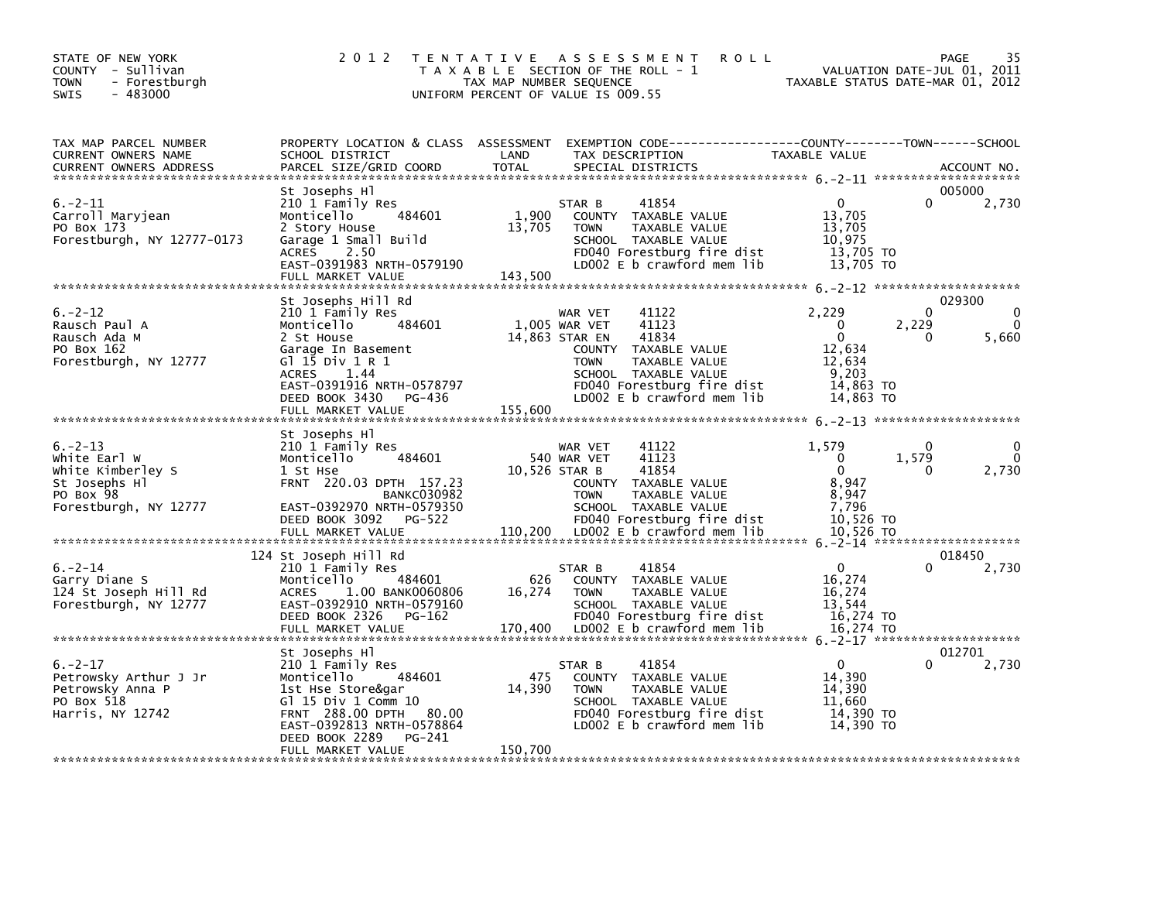| STATE OF NEW YORK<br>COUNTY - Sullivan<br><b>TOWN</b><br>- Forestburgh<br>$-483000$<br><b>SWIS</b>                     | 2 0 1 2                                                                                                                                                                                               | T E N T A T I V E<br>TAX MAP NUMBER SEQUENCE | A S S E S S M E N T<br><b>ROLL</b><br>T A X A B L E SECTION OF THE ROLL - 1<br>UNIFORM PERCENT OF VALUE IS 009.55                                                                                                   | TAXABLE STATUS DATE-MAR 01, 2012                                                       | PAGE<br>VALUATION DATE-JUL 01, 2011          | 35                                    |
|------------------------------------------------------------------------------------------------------------------------|-------------------------------------------------------------------------------------------------------------------------------------------------------------------------------------------------------|----------------------------------------------|---------------------------------------------------------------------------------------------------------------------------------------------------------------------------------------------------------------------|----------------------------------------------------------------------------------------|----------------------------------------------|---------------------------------------|
| TAX MAP PARCEL NUMBER<br><b>CURRENT OWNERS NAME</b><br><b>CURRENT OWNERS ADDRESS</b><br>****************************** | PROPERTY LOCATION & CLASS ASSESSMENT<br>SCHOOL DISTRICT<br>PARCEL SIZE/GRID COORD                                                                                                                     | LAND<br><b>TOTAL</b>                         | EXEMPTION        CODE-----------------COUNTY-------TOWN------SCHOOL<br>TAX DESCRIPTION<br>SPECIAL DISTRICTS                                                                                                         | TAXABLE VALUE                                                                          |                                              | ACCOUNT NO.                           |
| 6.–2–11<br>Carroll Maryjean<br>PO Box 173<br>Forestburgh, NY 12777-0173                                                | St Josephs Hl<br>210 1 Family Res<br>484601<br>Monticello<br>2 Story House<br>Garage 1 Small Build<br>2.50<br><b>ACRES</b><br>EAST-0391983 NRTH-0579190<br>FULL MARKET VALUE                          | 1.900<br>13,705<br>143,500                   | 41854<br>STAR B<br>COUNTY TAXABLE VALUE<br><b>TOWN</b><br>TAXABLE VALUE<br>SCHOOL TAXABLE VALUE<br>FD040 Forestburg fire dist<br>LD002 E b crawford mem lib                                                         | $\mathbf 0$<br>13,705<br>13,705<br>10,975<br>13,705 TO<br>13,705 TO                    | 005000<br>$\Omega$                           | 2,730                                 |
|                                                                                                                        | St Josephs Hill Rd                                                                                                                                                                                    |                                              |                                                                                                                                                                                                                     |                                                                                        | 029300                                       |                                       |
| $6. -2 - 12$<br>Rausch Paul A<br>Rausch Ada M<br>PO Box 162<br>Forestburgh, NY 12777                                   | 210 1 Family Res<br>484601<br>Monticello<br>2 St House<br>Garage In Basement<br>G1 15 Div 1 R 1<br>1.44<br><b>ACRES</b><br>EAST-0391916 NRTH-0578797<br>DEED BOOK 3430<br>PG-436<br>FULL MARKET VALUE | 155,600                                      | 41122<br>WAR VET<br>41123<br>1,005 WAR VET<br>41834<br>14,863 STAR EN<br>COUNTY TAXABLE VALUE<br><b>TOWN</b><br>TAXABLE VALUE<br>SCHOOL TAXABLE VALUE<br>FD040 Forestburg fire dist<br>LD002 $E$ b crawford mem lib | 2,229<br>$\Omega$<br>$\Omega$<br>12.634<br>12,634<br>9,203<br>14,863 TO<br>14.863 TO   | 0<br>2,229<br>0                              | $\mathbf{0}$<br>$\mathbf{0}$<br>5,660 |
|                                                                                                                        | St Josephs HI                                                                                                                                                                                         |                                              |                                                                                                                                                                                                                     |                                                                                        |                                              |                                       |
| $6. -2 - 13$<br>White Earl W<br>White Kimberley S<br>St Josephs Hl<br>PO Box 98<br>Forestburgh, NY 12777               | 210 1 Family Res<br>484601<br>Monticello<br>1 St Hse<br>FRNT 220.03 DPTH 157.23<br><b>BANKC030982</b><br>EAST-0392970 NRTH-0579350<br>DEED BOOK 3092<br>PG-522<br>FULL MARKET VALUE                   | 110,200                                      | WAR VET<br>41122<br>41123<br>540 WAR VET<br>41854<br>10,526 STAR B<br>COUNTY TAXABLE VALUE<br><b>TOWN</b><br>TAXABLE VALUE<br>SCHOOL TAXABLE VALUE<br>FD040 Forestburg fire dist<br>LD002 E b crawford mem lib      | 1,579<br>$\mathbf{0}$<br>$\Omega$<br>8.947<br>8,947<br>7,796<br>10,526 TO<br>10,526 TO | 0<br>1,579<br>0                              | 0<br>$\mathbf{0}$<br>2,730            |
|                                                                                                                        |                                                                                                                                                                                                       |                                              |                                                                                                                                                                                                                     |                                                                                        |                                              |                                       |
| $6. -2 - 14$<br>Garry Diane S<br>124 St Joseph Hill Rd<br>Forestburgh, NY 12777                                        | 124 St Joseph Hill Rd<br>210 1 Family Res<br>Monticello<br>484601<br><b>ACRES</b><br>1.00 BANK0060806<br>EAST-0392910 NRTH-0579160<br>DEED BOOK 2326<br>PG-162<br>FULL MARKET VALUE                   | 626<br>16,274<br>170,400                     | 41854<br>STAR B<br>COUNTY<br>TAXABLE VALUE<br><b>TOWN</b><br>TAXABLE VALUE<br>SCHOOL TAXABLE VALUE<br>FD040 Forestburg fire dist<br>LD002 E b crawford mem lib                                                      | $\Omega$<br>16,274<br>16,274<br>13,544<br>16,274 TO<br>16,274 TO                       | 018450                                       | 2,730                                 |
|                                                                                                                        | St Josephs Hl                                                                                                                                                                                         |                                              |                                                                                                                                                                                                                     |                                                                                        | $6. -2 - 17$ *********************<br>012701 |                                       |
| $6. -2 - 17$<br>Petrowsky Arthur J Jr<br>Petrowsky Anna P<br>PO Box 518<br>Harris, NY 12742                            | 210 1 Family Res<br>Monticello<br>484601<br>1st Hse Store&gar<br>G] 15 Div 1 Comm 10<br>FRNT 288.00 DPTH<br>80.00<br>EAST-0392813 NRTH-0578864<br>DEED BOOK 2289<br>PG-241                            | 475<br>14,390                                | 41854<br>STAR B<br>COUNTY TAXABLE VALUE<br><b>TOWN</b><br>TAXABLE VALUE<br>SCHOOL TAXABLE VALUE<br>FD040 Forestburg fire dist<br>LD002 E b crawford mem lib                                                         | $\Omega$<br>14,390<br>14,390<br>11.660<br>14,390 TO<br>14.390 TO                       | O                                            | 2,730                                 |
|                                                                                                                        | FULL MARKET VALUE                                                                                                                                                                                     | 150,700                                      |                                                                                                                                                                                                                     |                                                                                        |                                              |                                       |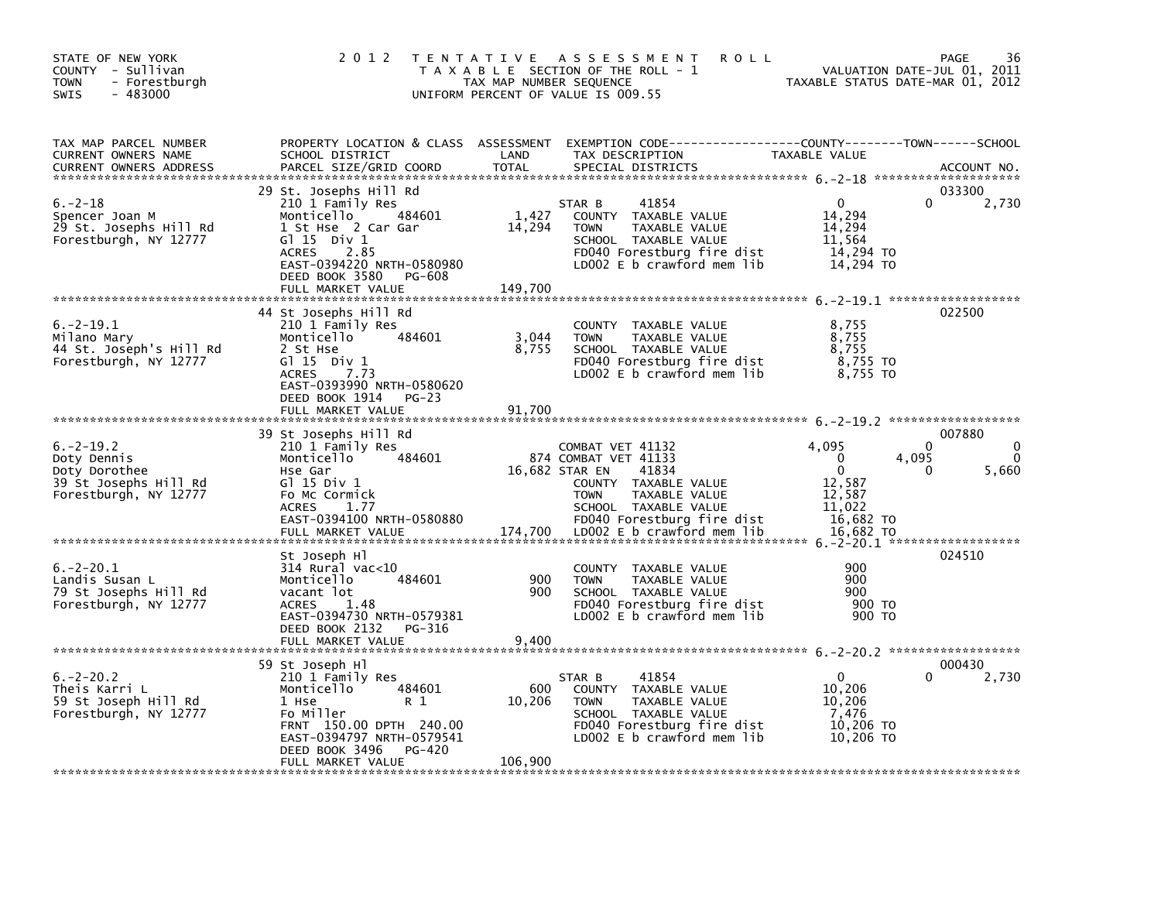| STATE OF NEW YORK<br>COUNTY - Sullivan<br><b>TOWN</b><br>- Forestburgh<br>$-483000$<br><b>SWIS</b> | 2 0 1 2                                                                                                                                                                                                       | T E N T A T I V E<br>TAX MAP NUMBER SEQUENCE | A S S E S S M E N T<br><b>ROLL</b><br>T A X A B L E SECTION OF THE ROLL - 1<br>UNIFORM PERCENT OF VALUE IS 009.55                                                                                               | TAXABLE STATUS DATE-MAR 01, 2012                                                      | 36<br>PAGE<br>VALUATION DATE-JUL 01, 2011 |
|----------------------------------------------------------------------------------------------------|---------------------------------------------------------------------------------------------------------------------------------------------------------------------------------------------------------------|----------------------------------------------|-----------------------------------------------------------------------------------------------------------------------------------------------------------------------------------------------------------------|---------------------------------------------------------------------------------------|-------------------------------------------|
| TAX MAP PARCEL NUMBER<br>CURRENT OWNERS NAME<br><b>CURRENT OWNERS ADDRESS</b>                      | PROPERTY LOCATION & CLASS ASSESSMENT<br>SCHOOL DISTRICT<br>PARCEL SIZE/GRID COORD                                                                                                                             | LAND<br><b>TOTAL</b>                         | TAX DESCRIPTION<br>SPECIAL DISTRICTS                                                                                                                                                                            | TAXABLE VALUE                                                                         | ACCOUNT NO.                               |
| $6. -2 - 18$<br>Spencer Joan M<br>29 St. Josephs Hill Rd<br>Forestburgh, NY 12777                  | 29 St. Josephs Hill Rd<br>210 1 Family Res<br>484601<br>Monticello<br>1 St Hse 2 Car Gar<br>G1 15 Div 1<br>2.85<br><b>ACRES</b><br>EAST-0394220 NRTH-0580980<br>DEED BOOK 3580<br>PG-608<br>FULL MARKET VALUE | 1,427<br>14,294<br>149,700                   | STAR B<br>41854<br>COUNTY TAXABLE VALUE<br>TAXABLE VALUE<br><b>TOWN</b><br>SCHOOL TAXABLE VALUE<br>FD040 Forestburg fire dist<br>LD002 E b crawford mem lib                                                     | 0<br>14,294<br>14,294<br>11,564<br>14,294 TO<br>14,294 TO                             | 033300<br>2,730<br>0                      |
| $6. -2 - 19.1$<br>Milano Mary<br>44 St. Joseph's Hill Rd<br>Forestburgh, NY 12777                  | 44 St Josephs Hill Rd<br>210 1 Family Res<br>Monticello<br>484601<br>2 St Hse<br>G $\overline{1}$ 15 Div 1<br>7.73<br><b>ACRES</b><br>EAST-0393990 NRTH-0580620<br>DEED BOOK 1914<br>$PG-23$                  | 3,044<br>8,755                               | <b>COUNTY</b><br>TAXABLE VALUE<br>TAXABLE VALUE<br><b>TOWN</b><br>SCHOOL TAXABLE VALUE<br>FD040 Forestburg fire dist<br>LD002 E b crawford mem lib                                                              | 8,755<br>8,755<br>8,755<br>8,755 TO<br>8,755 TO                                       | 022500                                    |
|                                                                                                    | FULL MARKET VALUE                                                                                                                                                                                             | 91,700                                       |                                                                                                                                                                                                                 |                                                                                       |                                           |
| $6. -2 - 19.2$<br>Doty Dennis<br>Doty Dorothee<br>39 St Josephs Hill Rd<br>Forestburgh, NY 12777   | 39 St Josephs Hill Rd<br>210 1 Family Res<br>Monticello<br>484601<br>Hse Gar<br>G1 15 Div 1<br>Fo Mc Cormick<br><b>ACRES</b><br>1.77<br>EAST-0394100 NRTH-0580880<br>FULL MARKET VALUE                        | 174,700                                      | COMBAT VET 41132<br>874 COMBAT VET 41133<br>16,682 STAR EN<br>41834<br>COUNTY TAXABLE VALUE<br><b>TOWN</b><br>TAXABLE VALUE<br>SCHOOL TAXABLE VALUE<br>FD040 Forestburg fire dist<br>LD002 E b crawford mem lib | 4,095<br>$\Omega$<br>$\Omega$<br>12,587<br>12,587<br>11,022<br>16,682 TO<br>16,682 TO | 007880<br>$\Omega$<br>4,095<br>5,660<br>0 |
| $6. -2 - 20.1$<br>Landis Susan L<br>79 St Josephs Hill Rd<br>Forestburgh, NY 12777                 | St Joseph Hl<br>314 Rural vac<10<br>484601<br>Monticello<br>vacant lot<br><b>ACRES</b><br>1.48<br>EAST-0394730 NRTH-0579381<br>DEED BOOK 2132<br>PG-316<br>FULL MARKET VALUE                                  | 900<br>900<br>9,400                          | <b>COUNTY</b><br>TAXABLE VALUE<br><b>TOWN</b><br>TAXABLE VALUE<br>SCHOOL TAXABLE VALUE<br>FD040 Forestburg fire dist<br>LD002 E b crawford mem lib                                                              | 900<br>900<br>900<br>900 TO<br>900 TO                                                 | 024510                                    |
|                                                                                                    | 59 St Joseph Hl                                                                                                                                                                                               |                                              |                                                                                                                                                                                                                 |                                                                                       | 000430                                    |
| $6. -2 - 20.2$<br>Theis Karri L<br>59 St Joseph Hill Rd<br>Forestburgh, NY 12777                   | 210 1 Family Res<br>484601<br>Monticello<br>1 Hse<br>R 1<br>Fo Miller<br>FRNT 150.00 DPTH 240.00<br>EAST-0394797 NRTH-0579541<br>DEED BOOK 3496<br>PG-420<br>FULL MARKET VALUE                                | 600<br>10,206<br>106,900                     | 41854<br>STAR B<br>COUNTY TAXABLE VALUE<br>TAXABLE VALUE<br><b>TOWN</b><br>SCHOOL TAXABLE VALUE<br>FD040 Forestburg fire dist<br>LD002 E b crawford mem lib                                                     | $\mathbf{0}$<br>10,206<br>10.206<br>7,476<br>10,206 TO<br>10,206 TO                   | 2,730<br>0                                |
|                                                                                                    |                                                                                                                                                                                                               |                                              |                                                                                                                                                                                                                 |                                                                                       |                                           |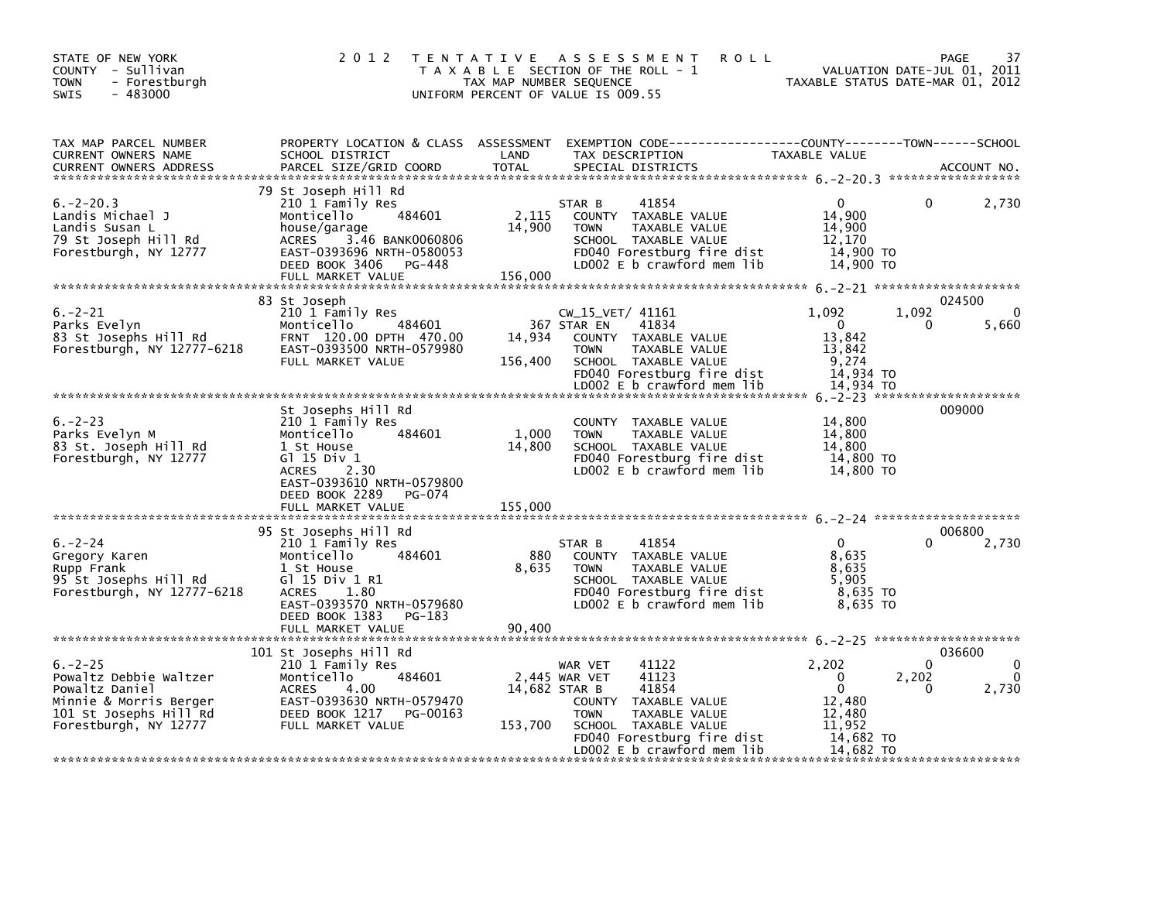| STATE OF NEW YORK<br>COUNTY - Sullivan<br>- Forestburgh<br>TOWN<br>$-483000$<br><b>SWIS</b>                                           | 2 0 1 2                                                                                                                                                                                         | T E N T A T I V E<br>TAX MAP NUMBER SEQUENCE | A S S E S S M E N T<br><b>ROLL</b><br>T A X A B L E SECTION OF THE ROLL - 1<br>UNIFORM PERCENT OF VALUE IS 009.55                                           | TAXABLE STATUS DATE-MAR 01, 2012                                     | PAGE<br>VALUATION DATE-JUL 01, 2011 | 37                                |
|---------------------------------------------------------------------------------------------------------------------------------------|-------------------------------------------------------------------------------------------------------------------------------------------------------------------------------------------------|----------------------------------------------|-------------------------------------------------------------------------------------------------------------------------------------------------------------|----------------------------------------------------------------------|-------------------------------------|-----------------------------------|
| TAX MAP PARCEL NUMBER<br>CURRENT OWNERS NAME<br><b>CURRENT OWNERS ADDRESS</b>                                                         | SCHOOL DISTRICT<br>PARCEL SIZE/GRID COORD                                                                                                                                                       | LAND<br><b>TOTAL</b>                         | PROPERTY LOCATION & CLASS ASSESSMENT EXEMPTION CODE---------------COUNTY-------TOWN-----SCHOOL<br>TAX DESCRIPTION<br>SPECIAL DISTRICTS                      | <b>TAXABLE VALUE</b>                                                 |                                     | ACCOUNT NO.                       |
| $6. -2 - 20.3$<br>Landis Michael J<br>Landis Susan L<br>79 St Joseph Hill Rd<br>Forestburgh, NY 12777                                 | 79 St Joseph Hill Rd<br>210 1 Family Res<br>484601<br>Monticello<br>house/garage<br>3.46 BANK0060806<br><b>ACRES</b><br>EAST-0393696 NRTH-0580053<br>DEED BOOK 3406 PG-448<br>FULL MARKET VALUE | 2,115<br>14,900<br>156,000                   | 41854<br>STAR B<br>COUNTY TAXABLE VALUE<br>TAXABLE VALUE<br><b>TOWN</b><br>SCHOOL TAXABLE VALUE<br>FD040 Forestburg fire dist<br>LD002 E b crawford mem lib | $\mathbf{0}$<br>14,900<br>14,900<br>12,170<br>14.900 TO<br>14,900 TO | 0                                   | 2,730                             |
| $6. -2 - 21$                                                                                                                          | 83 St Joseph<br>210 1 Family Res                                                                                                                                                                |                                              | $CW_15_VET/41161$                                                                                                                                           | 1,092                                                                | 024500<br>1,092                     | 0                                 |
| Parks Evelyn<br>83 St Josephs Hill Rd<br>Forestburgh, NY 12777-6218                                                                   | 484601<br>Monticello<br>FRNT 120.00 DPTH 470.00<br>EAST-0393500 NRTH-0579980<br>FULL MARKET VALUE                                                                                               | 14,934<br>156,400                            | 367 STAR EN<br>41834<br>COUNTY TAXABLE VALUE<br>TAXABLE VALUE<br><b>TOWN</b><br>SCHOOL TAXABLE VALUE<br>FD040 Forestburg fire dist                          | $\overline{0}$<br>13.842<br>13,842<br>9,274<br>14,934 TO             | 0                                   | 5,660                             |
|                                                                                                                                       |                                                                                                                                                                                                 |                                              | LD002 E b crawford mem lib                                                                                                                                  | 14,934 TO                                                            |                                     |                                   |
| $6. -2 - 23$<br>Parks Evelyn M<br>83 St. Joseph Hill Rd<br>Forestburgh, NY 12777                                                      | St Josephs Hill Rd<br>210 1 Family Res<br>Monticello<br>484601<br>1 St House<br>G $1$ 15 Div 1<br>ACRES 2.30<br>EAST-0393610 NRTH-0579800<br>DEED BOOK 2289<br>PG-074                           | 1.000<br>14,800                              | COUNTY TAXABLE VALUE<br>TAXABLE VALUE<br><b>TOWN</b><br>SCHOOL TAXABLE VALUE<br>FD040 Forestburg fire dist<br>LD002 E b crawford mem lib                    | 14,800<br>14,800<br>14.800<br>14,800 TO<br>14,800 TO                 | 009000                              |                                   |
|                                                                                                                                       | FULL MARKET VALUE                                                                                                                                                                               | 155,000                                      |                                                                                                                                                             |                                                                      |                                     |                                   |
| $6. -2 - 24$                                                                                                                          | 95 St Josephs Hill Rd                                                                                                                                                                           |                                              | 41854                                                                                                                                                       | $\mathbf{0}$                                                         | 006800<br>$\Omega$                  |                                   |
| Gregory Karen<br>Rupp Frank<br>95 St Josephs Hill Rd<br>Forestburgh, NY 12777-6218                                                    | 210 1 Family Res<br>Monticello<br>484601<br>1 St House<br>G $1$ 15 Div 1 R1<br>1.80<br><b>ACRES</b><br>EAST-0393570 NRTH-0579680<br>DEED BOOK 1383 PG-183<br>FULL MARKET VALUE                  | 880<br>8,635<br>90,400                       | STAR B<br>COUNTY TAXABLE VALUE<br>TAXABLE VALUE<br><b>TOWN</b><br>SCHOOL TAXABLE VALUE<br>FD040 Forestburg fire dist<br>LD002 E b crawford mem lib          | 8,635<br>8.635<br>5.905<br>8,635 TO<br>8,635 TO                      |                                     | 2,730                             |
|                                                                                                                                       |                                                                                                                                                                                                 |                                              |                                                                                                                                                             |                                                                      |                                     |                                   |
| $6. -2 - 25$<br>Powaltz Debbie Waltzer<br>Powaltz Daniel<br>Minnie & Morris Berger<br>101 St Josephs Hill Rd<br>Forestburgh, NY 12777 | 101 St Josephs Hill Rd<br>210 1 Family Res<br>484601<br>Monticello<br><b>ACRES</b><br>4.00<br>EAST-0393630 NRTH-0579470<br>DEED BOOK 1217<br>PG-00163<br>FULL MARKET VALUE                      | 14,682 STAR B<br>153,700                     | 41122<br>WAR VET<br>2,445 WAR VET<br>41123<br>41854<br>COUNTY TAXABLE VALUE<br><b>TOWN</b><br>TAXABLE VALUE<br>SCHOOL TAXABLE VALUE                         | 2,202<br>$\mathbf 0$<br>$\mathbf{0}$<br>12,480<br>12,480<br>11.952   | 036600<br>$\Omega$<br>2,202<br>o    | $\Omega$<br>$\mathbf{0}$<br>2,730 |
|                                                                                                                                       |                                                                                                                                                                                                 |                                              | FD040 Forestburg fire dist<br>LD002 $E$ b crawford mem $lib$                                                                                                | 14,682 TO<br>14,682 TO                                               |                                     |                                   |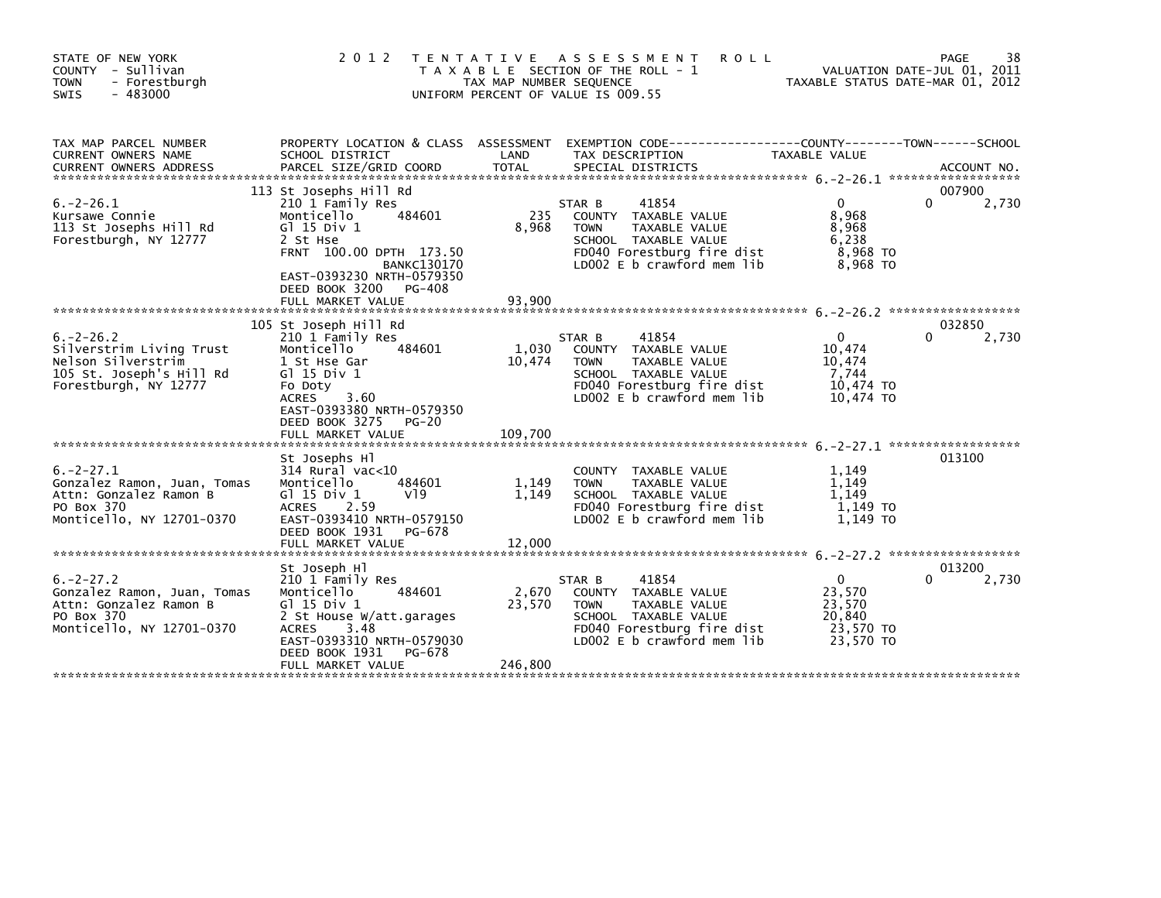| STATE OF NEW YORK<br>COUNTY - Sullivan<br><b>TOWN</b><br>- Forestburgh<br>$-483000$<br><b>SWIS</b>                    | 2012 TENTATIVE                                                                                                                                                                                     | TAX MAP NUMBER SEQUENCE    | ASSESSMENT<br><b>ROLL</b><br>T A X A B L E SECTION OF THE ROLL - 1<br>UNIFORM PERCENT OF VALUE IS 009.55                                                    | TAXABLE STATUS DATE-MAR 01, 2012                                     | 38<br>PAGE<br>VALUATION DATE-JUL 01, 2011 |
|-----------------------------------------------------------------------------------------------------------------------|----------------------------------------------------------------------------------------------------------------------------------------------------------------------------------------------------|----------------------------|-------------------------------------------------------------------------------------------------------------------------------------------------------------|----------------------------------------------------------------------|-------------------------------------------|
| TAX MAP PARCEL NUMBER<br>CURRENT OWNERS NAME                                                                          | PROPERTY LOCATION & CLASS ASSESSMENT<br>SCHOOL DISTRICT                                                                                                                                            | LAND                       | EXEMPTION        CODE-----------------COUNTY--------TOWN------SCHOOL<br>TAX DESCRIPTION                                                                     | TAXABLE VALUE                                                        |                                           |
| $6. -2 - 26.1$<br>Kursawe Connie<br>113 St Josephs Hill Rd<br>Forestburgh, NY 12777                                   | 113 St Josephs Hill Rd<br>210 1 Family Res<br>484601<br>Monticello<br>$G1$ 15 Div 1<br>2 St Hse<br>FRNT 100.00 DPTH 173.50                                                                         | 235<br>8.968               | 41854<br>STAR B<br>COUNTY TAXABLE VALUE<br>TAXABLE VALUE<br><b>TOWN</b><br>SCHOOL TAXABLE VALUE<br>FD040 Forestburg fire dist                               | $\Omega$<br>8,968<br>8,968<br>6,238<br>8,968 TO                      | 007900<br>$\Omega$<br>2,730               |
|                                                                                                                       | <b>BANKC130170</b><br>EAST-0393230 NRTH-0579350<br>DEED BOOK 3200<br>PG-408<br>FULL MARKET VALUE<br>105 St Joseph Hill Rd                                                                          | 93,900                     | LD002 E b crawford mem lib                                                                                                                                  | 8,968 TO                                                             | 032850                                    |
| $6. -2 - 26.2$<br>Silverstrim Living Trust<br>Nelson Silverstrim<br>105 St. Joseph's Hill Rd<br>Forestburgh, NY 12777 | 210 1 Family Res<br>Monticello<br>484601<br>1 St Hse Gar<br>$G$ ] 15 Div 1<br>Fo Doty<br>3.60<br><b>ACRES</b><br>EAST-0393380 NRTH-0579350<br>DEED BOOK 3275<br>$PG-20$                            | 1,030<br>10,474            | STAR B<br>41854<br>COUNTY TAXABLE VALUE<br><b>TOWN</b><br>TAXABLE VALUE<br>SCHOOL TAXABLE VALUE<br>FD040 Forestburg fire dist<br>LD002 E b crawford mem lib | $\Omega$<br>10,474<br>10,474<br>7,744<br>10,474 TO<br>10,474 TO      | 0<br>2,730                                |
|                                                                                                                       | FULL MARKET VALUE                                                                                                                                                                                  | 109,700                    |                                                                                                                                                             |                                                                      |                                           |
| $6. -2 - 27.1$<br>Gonzalez Ramon, Juan, Tomas<br>Attn: Gonzalez Ramon B<br>PO Box 370<br>Monticello, NY 12701-0370    | St Josephs Hl<br>$314$ Rural vac<10<br>Monticello<br>484601<br>$G1$ 15 Div 1<br>V19<br><b>ACRES</b><br>2.59<br>EAST-0393410 NRTH-0579150<br>DEED BOOK 1931                                         | 1,149<br>1,149             | COUNTY TAXABLE VALUE<br>TAXABLE VALUE<br><b>TOWN</b><br>SCHOOL TAXABLE VALUE<br>FD040 Forestburg fire dist<br>LD002 E b crawford mem lib                    | 1,149<br>1,149<br>1,149<br>1.149 TO<br>1.149 TO                      | 013100                                    |
|                                                                                                                       | PG-678<br>FULL MARKET VALUE                                                                                                                                                                        | 12,000                     |                                                                                                                                                             |                                                                      |                                           |
| $6. -2 - 27.2$<br>Gonzalez Ramon, Juan, Tomas<br>Attn: Gonzalez Ramon B<br>PO Box 370<br>Monticello, NY 12701-0370    | St Joseph Hl<br>210 1 Family Res<br>Monticello<br>484601<br>G1 15 Div 1<br>2 St House W/att.garages<br>3.48<br>ACRES<br>EAST-0393310 NRTH-0579030<br>DEED BOOK 1931<br>PG-678<br>FULL MARKET VALUE | 2,670<br>23,570<br>246,800 | 41854<br>STAR B<br>COUNTY TAXABLE VALUE<br><b>TOWN</b><br>TAXABLE VALUE<br>SCHOOL TAXABLE VALUE<br>FD040 Forestburg fire dist<br>LD002 E b crawford mem lib | $\mathbf{0}$<br>23,570<br>23,570<br>20,840<br>23.570 TO<br>23,570 TO | 013200<br>2,730<br>0                      |
|                                                                                                                       |                                                                                                                                                                                                    |                            |                                                                                                                                                             |                                                                      |                                           |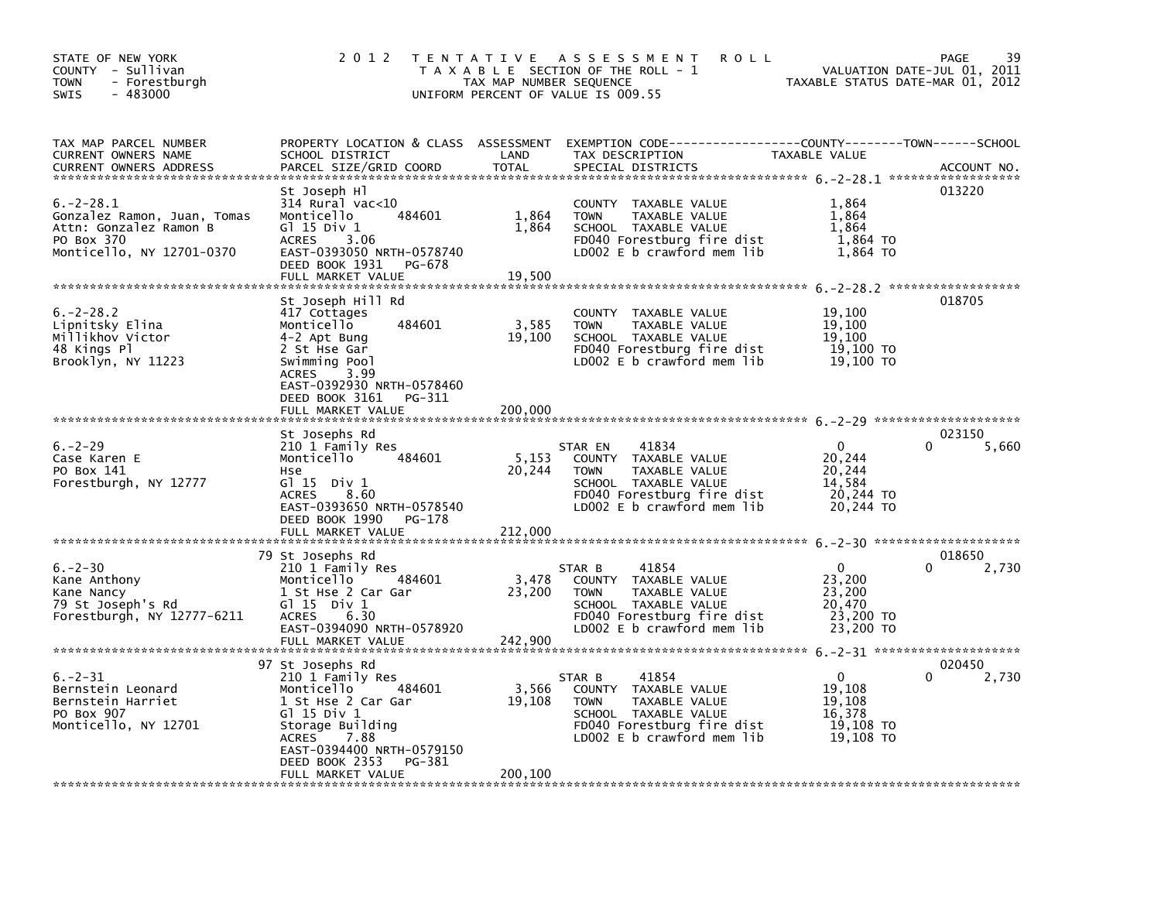| STATE OF NEW YORK<br>COUNTY - Sullivan<br><b>TOWN</b><br>- Forestburgh<br>$-483000$<br>SWIS                        | 2 0 1 2                                                                                                                                                                                                                     | TAX MAP NUMBER SEQUENCE    | TENTATIVE ASSESSMENT<br><b>ROLL</b><br>T A X A B L E SECTION OF THE ROLL - 1<br>UNIFORM PERCENT OF VALUE IS 009.55                                           | TAXABLE STATUS DATE-MAR 01, 2012                                     | 39<br><b>PAGE</b><br>VALUATION DATE-JUL 01, 2011 |
|--------------------------------------------------------------------------------------------------------------------|-----------------------------------------------------------------------------------------------------------------------------------------------------------------------------------------------------------------------------|----------------------------|--------------------------------------------------------------------------------------------------------------------------------------------------------------|----------------------------------------------------------------------|--------------------------------------------------|
| TAX MAP PARCEL NUMBER<br>CURRENT OWNERS NAME<br><b>CURRENT OWNERS ADDRESS</b>                                      | SCHOOL DISTRICT<br>PARCEL SIZE/GRID COORD                                                                                                                                                                                   | LAND<br><b>TOTAL</b>       | PROPERTY LOCATION & CLASS ASSESSMENT EXEMPTION CODE----------------COUNTY-------TOWN------SCHOOL<br>TAX DESCRIPTION<br>SPECIAL DISTRICTS                     | TAXABLE VALUE                                                        | ACCOUNT NO.                                      |
| $6. -2 - 28.1$<br>Gonzalez Ramon, Juan, Tomas<br>Attn: Gonzalez Ramon B<br>PO Box 370<br>Monticello, NY 12701-0370 | St Joseph Hl<br>314 Rural vac<10<br>484601<br>Monticello<br>G1 15 Div 1<br>3.06<br><b>ACRES</b><br>EAST-0393050 NRTH-0578740<br>DEED BOOK 1931 PG-678<br>FULL MARKET VALUE                                                  | 1,864<br>1,864<br>19,500   | COUNTY TAXABLE VALUE<br><b>TOWN</b><br>TAXABLE VALUE<br>SCHOOL TAXABLE VALUE<br>FD040 Forestburg fire dist<br>LD002 E b crawford mem lib                     | 1,864<br>1,864<br>1,864<br>1,864 TO<br>1,864 TO                      | 013220                                           |
| $6. -2 - 28.2$<br>Lipnitsky Elina<br>Millikhov Victor<br>48 Kings Pl<br>Brooklyn, NY 11223                         | St Joseph Hill Rd<br>417 Cottages<br>Monticello<br>484601<br>4-2 Apt Bung<br>2 St Hse Gar<br>Swimming Pool<br>3.99<br><b>ACRES</b><br>EAST-0392930 NRTH-0578460<br>DEED BOOK 3161<br>PG-311                                 | 3,585<br>19,100            | COUNTY TAXABLE VALUE<br>TAXABLE VALUE<br><b>TOWN</b><br>SCHOOL TAXABLE VALUE<br>FD040 Forestburg fire dist<br>LD002 E b crawford mem lib                     | 19,100<br>19,100<br>19,100<br>19,100 TO<br>19,100 TO                 | 018705                                           |
|                                                                                                                    | FULL MARKET VALUE                                                                                                                                                                                                           | 200,000                    |                                                                                                                                                              |                                                                      |                                                  |
| $6. -2 - 29$<br>Case Karen E<br>PO Box 141<br>Forestburgh, NY 12777                                                | St Josephs Rd<br>210 1 Family Res<br>Monticello<br>484601<br>Hse<br>$G1$ 15 Div 1<br><b>ACRES</b><br>8.60<br>EAST-0393650 NRTH-0578540<br>DEED BOOK 1990<br>PG-178                                                          | 5,153<br>20,244            | STAR EN<br>41834<br>COUNTY TAXABLE VALUE<br>TAXABLE VALUE<br><b>TOWN</b><br>SCHOOL TAXABLE VALUE<br>FD040 Forestburg fire dist<br>LD002 E b crawford mem lib | $\mathbf{0}$<br>20,244<br>20,244<br>14,584<br>20,244 TO<br>20,244 TO | 023150<br>5,660                                  |
|                                                                                                                    | FULL MARKET VALUE                                                                                                                                                                                                           | 212,000                    |                                                                                                                                                              |                                                                      |                                                  |
| $6. -2 - 30$<br>Kane Anthony<br>Kane Nancy<br>79 St Joseph's Rd<br>Forestburgh, NY 12777-6211                      | 79 St Josephs Rd<br>210 1 Family Res<br>484601<br>Monticello<br>1 St Hse 2 Car Gar<br>$G1 15$ Div $1$<br><b>ACRES</b><br>6.30<br>EAST-0394090 NRTH-0578920<br>FULL MARKET VALUE                                             | 3,478<br>23,200<br>242.900 | 41854<br>STAR B<br>COUNTY TAXABLE VALUE<br><b>TOWN</b><br>TAXABLE VALUE<br>SCHOOL TAXABLE VALUE<br>FD040 Forestburg fire dist<br>LD002 E b crawford mem lib  | 0<br>23,200<br>23,200<br>20,470<br>23,200 TO<br>23,200 TO            | 018650<br>2,730                                  |
| $6. -2 - 31$<br>Bernstein Leonard<br>Bernstein Harriet<br>PO Box 907<br>Monticello, NY 12701                       | 97 St Josephs Rd<br>210 1 Family Res<br>Monticello<br>484601<br>1 St Hse 2 Car Gar<br>G1 15 Div 1<br>Storage Building<br><b>ACRES</b><br>7.88<br>EAST-0394400 NRTH-0579150<br>DEED BOOK 2353<br>PG-381<br>FULL MARKET VALUE | 3,566<br>19,108<br>200,100 | 41854<br>STAR B<br>COUNTY TAXABLE VALUE<br><b>TOWN</b><br>TAXABLE VALUE<br>SCHOOL TAXABLE VALUE<br>FD040 Forestburg fire dist<br>LD002 E b crawford mem lib  | $\mathbf{0}$<br>19,108<br>19,108<br>16,378<br>19,108 TO<br>19,108 TO | 020450<br>$\Omega$<br>2,730                      |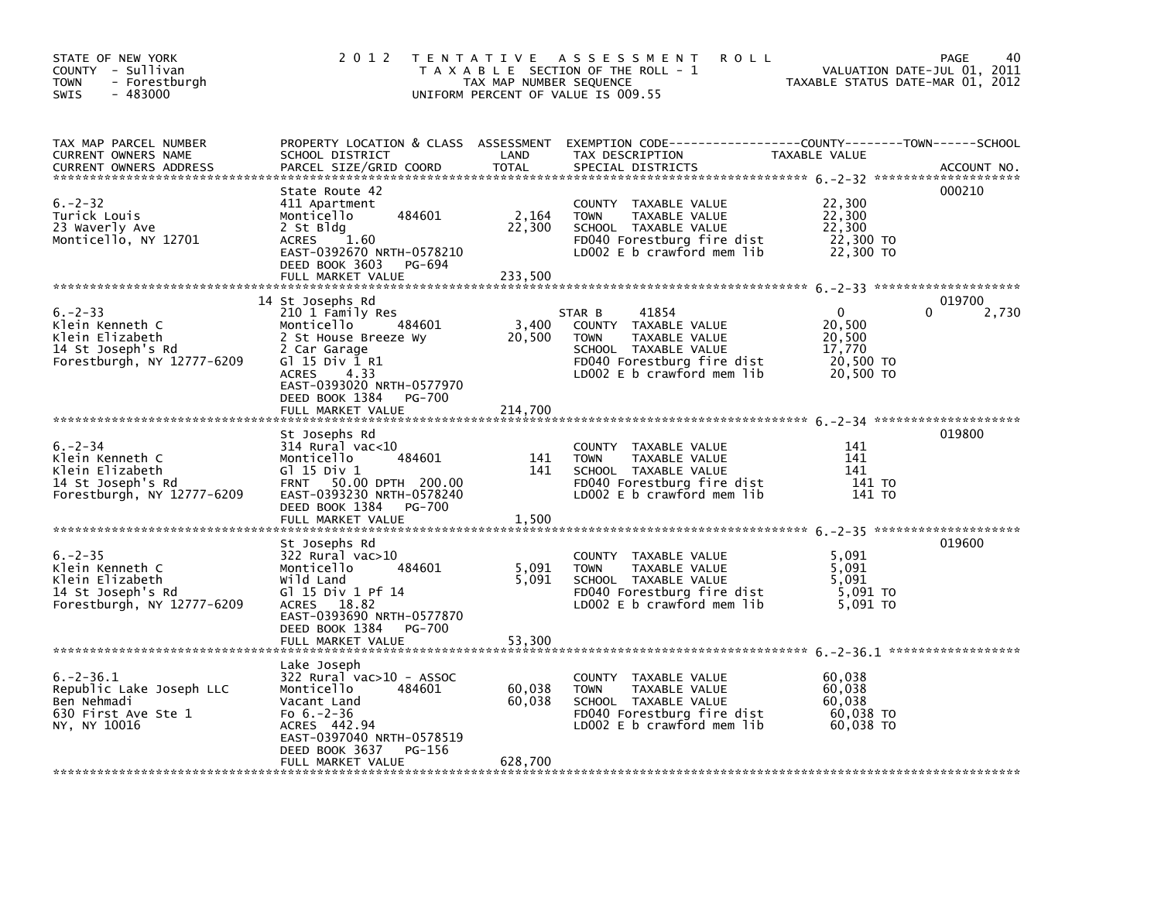| STATE OF NEW YORK<br>COUNTY - Sullivan<br>- Forestburgh<br>TOWN<br>$-483000$<br>SWIS                  | 2 0 1 2                                                                                                                                                                                                                   | TAX MAP NUMBER SEQUENCE        | TENTATIVE ASSESSMENT<br><b>ROLL</b><br>T A X A B L E SECTION OF THE ROLL - 1<br>UNIFORM PERCENT OF VALUE IS 009.55                                          | TAXABLE STATUS DATE-MAR 01, 2012                          | 40<br>PAGE<br>VALUATION DATE-JUL 01, 2011 |
|-------------------------------------------------------------------------------------------------------|---------------------------------------------------------------------------------------------------------------------------------------------------------------------------------------------------------------------------|--------------------------------|-------------------------------------------------------------------------------------------------------------------------------------------------------------|-----------------------------------------------------------|-------------------------------------------|
| TAX MAP PARCEL NUMBER<br>CURRENT OWNERS NAME<br><b>CURRENT OWNERS ADDRESS</b>                         | SCHOOL DISTRICT<br>PARCEL SIZE/GRID COORD                                                                                                                                                                                 | LAND<br><b>TOTAL</b>           | PROPERTY LOCATION & CLASS ASSESSMENT EXEMPTION CODE---------------COUNTY-------TOWN-----SCHOOL<br>TAX DESCRIPTION<br>SPECIAL DISTRICTS                      | TAXABLE VALUE                                             | ACCOUNT NO.                               |
| $6. -2 - 32$<br>Turick Louis<br>23 Waverly Ave<br>Monticello, NY 12701                                | State Route 42<br>411 Apartment<br>484601<br>Monticello<br>2 St Bldg<br>1.60<br><b>ACRES</b><br>EAST-0392670 NRTH-0578210<br>DEED BOOK 3603<br>PG-694<br>FULL MARKET VALUE                                                | 2,164<br>22,300<br>233,500     | COUNTY TAXABLE VALUE<br><b>TOWN</b><br>TAXABLE VALUE<br>SCHOOL TAXABLE VALUE<br>FD040 Forestburg fire dist<br>LD002 $E$ b crawford mem $lib$                | 22,300<br>22,300<br>22,300<br>22,300 TO<br>22,300 TO      | 000210                                    |
| $6. -2 - 33$<br>Klein Kenneth C<br>Klein Elizabeth<br>14 St Joseph's Rd<br>Forestburgh, NY 12777-6209 | 14 St Josephs Rd<br>210 1 Family Res<br>Monticello<br>484601<br>2 St House Breeze Wy<br>2 Car Garage<br>G1 15 Div 1 R1<br>4.33<br><b>ACRES</b><br>EAST-0393020 NRTH-0577970<br>DEED BOOK 1384<br>PG-700                   | 3,400<br>20,500                | 41854<br>STAR B<br>COUNTY TAXABLE VALUE<br><b>TOWN</b><br>TAXABLE VALUE<br>SCHOOL TAXABLE VALUE<br>FD040 Forestburg fire dist<br>LD002 E b crawford mem lib | 0<br>20,500<br>20,500<br>17,770<br>20,500 TO<br>20,500 TO | 019700<br>2,730<br>0                      |
| $6. -2 - 34$<br>Klein Kenneth C<br>Klein Elizabeth<br>14 St Joseph's Rd<br>Forestburgh, NY 12777-6209 | FULL MARKET VALUE<br>St Josephs Rd<br>314 Rural vac<10<br>484601<br>Monticello<br>G $1$ 15 Div 1<br>50.00 DPTH 200.00<br><b>FRNT</b><br>EAST-0393230 NRTH-0578240<br>DEED BOOK 1384<br><b>PG-700</b><br>FULL MARKET VALUE | 214,700<br>141<br>141<br>1,500 | COUNTY TAXABLE VALUE<br><b>TOWN</b><br>TAXABLE VALUE<br>SCHOOL TAXABLE VALUE<br>FD040 Forestburg fire dist<br>LD002 E b crawford mem lib                    | 141<br>141<br>141<br>141 TO<br>141 TO                     | 019800                                    |
| $6. -2 - 35$<br>Klein Kenneth C<br>Klein Elizabeth<br>14 St Joseph's Rd<br>Forestburgh, NY 12777-6209 | St Josephs Rd<br>322 Rural vac>10<br>Monticello<br>484601<br>Wild Land<br>G1 15 Div 1 Pf 14<br>ACRES 18.82<br>EAST-0393690 NRTH-0577870<br>DEED BOOK 1384<br>PG-700<br>FULL MARKET VALUE                                  | 5,091<br>5.091<br>53,300       | <b>COUNTY</b><br>TAXABLE VALUE<br>TAXABLE VALUE<br><b>TOWN</b><br>SCHOOL TAXABLE VALUE<br>FD040 Forestburg fire dist<br>LD002 $E$ b crawford mem lib        | 5,091<br>5,091<br>5.091<br>$5,091$ TO<br>5,091 TO         | 019600                                    |
| $6. -2 - 36.1$<br>Republic Lake Joseph LLC<br>Ben Nehmadi<br>630 First Ave Ste 1<br>NY, NY 10016      | Lake Joseph<br>$322$ Rural vac $>10$ - ASSOC<br>Monticello<br>484601<br>Vacant Land<br>Fo $6.-2-36$<br>ACRES 442.94<br>EAST-0397040 NRTH-0578519<br>DEED BOOK 3637<br>PG-156<br>FULL MARKET VALUE                         | 60,038<br>60,038<br>628,700    | COUNTY TAXABLE VALUE<br><b>TOWN</b><br>TAXABLE VALUE<br>SCHOOL TAXABLE VALUE<br>FD040 Forestburg fire dist<br>LD002 E b crawford mem lib                    | 60,038<br>60,038<br>60.038<br>60,038 TO<br>60,038 TO      |                                           |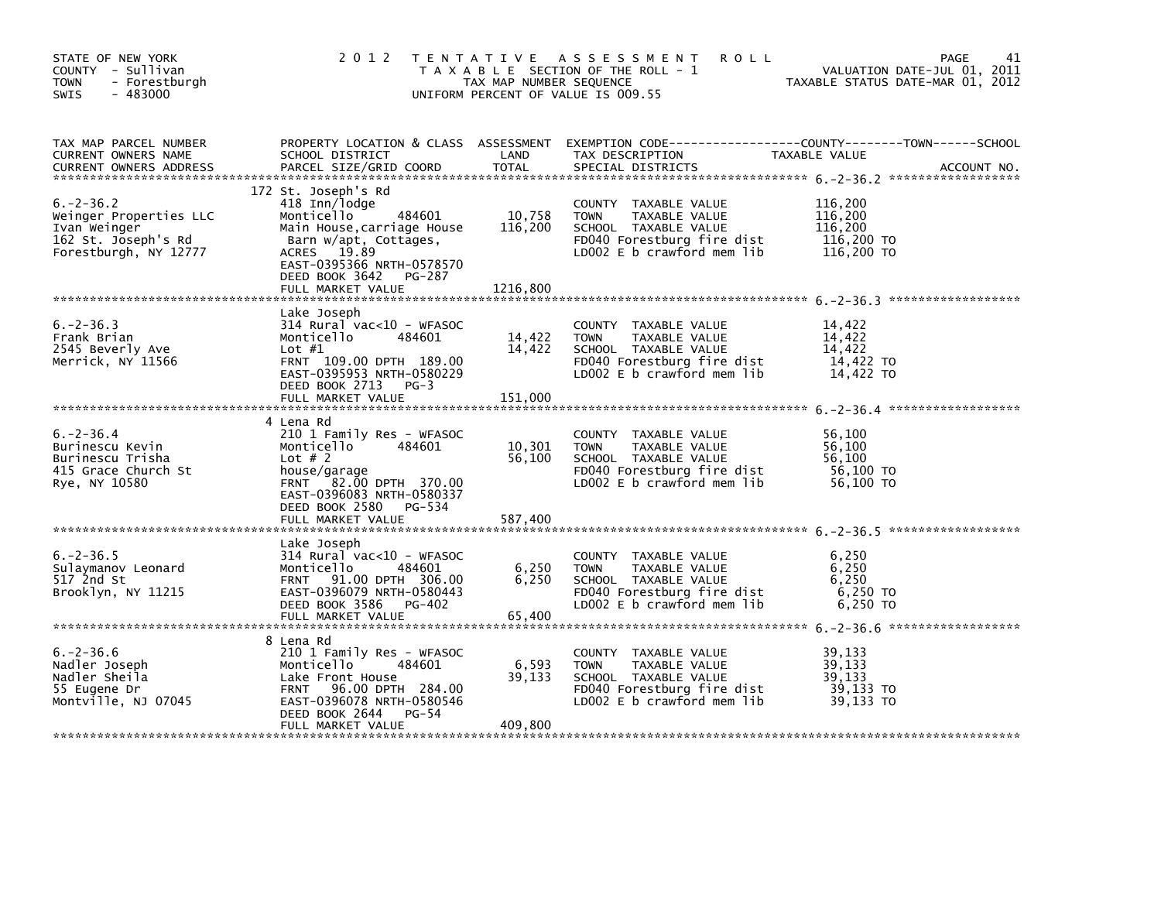| STATE OF NEW YORK<br>COUNTY - Sullivan<br><b>TOWN</b><br>- Forestburgh<br>$-483000$<br>SWIS              | 2 0 1 2                                                                                                                                                                                                          | TAX MAP NUMBER SEQUENCE       | TENTATIVE ASSESSMENT<br><b>ROLL</b><br>T A X A B L E SECTION OF THE ROLL - 1<br>UNIFORM PERCENT OF VALUE IS 009.55                       | PAGE<br>41<br>VALUATION DATE-JUL 01, 2011<br>TAXABLE STATUS DATE-MAR 01, 2012                                                    |
|----------------------------------------------------------------------------------------------------------|------------------------------------------------------------------------------------------------------------------------------------------------------------------------------------------------------------------|-------------------------------|------------------------------------------------------------------------------------------------------------------------------------------|----------------------------------------------------------------------------------------------------------------------------------|
| TAX MAP PARCEL NUMBER<br>CURRENT OWNERS NAME<br><b>CURRENT OWNERS ADDRESS</b>                            | SCHOOL DISTRICT<br>PARCEL SIZE/GRID COORD                                                                                                                                                                        | LAND<br><b>TOTAL</b>          | TAX DESCRIPTION<br>SPECIAL DISTRICTS                                                                                                     | PROPERTY LOCATION & CLASS ASSESSMENT EXEMPTION CODE----------------COUNTY-------TOWN------SCHOOL<br>TAXABLE VALUE<br>ACCOUNT NO. |
| $6. -2 - 36.2$<br>Weinger Properties LLC<br>Ivan Weinger<br>162 St. Joseph's Rd<br>Forestburgh, NY 12777 | 172 St. Joseph's Rd<br>418 Inn/lodge<br>Monticello<br>484601<br>Main House, carriage House<br>Barn w/apt, Cottages,<br>ACRES 19.89<br>EAST-0395366 NRTH-0578570<br>DEED BOOK 3642<br>PG-287<br>FULL MARKET VALUE | 10,758<br>116,200<br>1216,800 | COUNTY TAXABLE VALUE<br><b>TOWN</b><br>TAXABLE VALUE<br>SCHOOL TAXABLE VALUE<br>FD040 Forestburg fire dist<br>LD002 E b crawford mem lib | 116,200<br>116,200<br>116,200<br>116,200 TO<br>116,200 TO                                                                        |
| $6. -2 - 36.3$<br>Frank Brian<br>2545 Beverly Ave<br>Merrick, NY 11566                                   | Lake Joseph<br>314 Rural vac<10 - WFASOC<br>Monticello<br>484601<br>Lot $#1$<br>FRNT 109.00 DPTH 189.00<br>EAST-0395953 NRTH-0580229<br>DEED BOOK 2713 PG-3<br>FULL MARKET VALUE                                 | 14,422<br>14,422<br>151,000   | COUNTY TAXABLE VALUE<br>TAXABLE VALUE<br><b>TOWN</b><br>SCHOOL TAXABLE VALUE<br>FD040 Forestburg fire dist<br>LD002 E b crawford mem lib | 14,422<br>14,422<br>14,422<br>14,422 TO<br>14,422 TO                                                                             |
| $6. -2 - 36.4$<br>Burinescu Kevin<br>Burinescu Trisha<br>415 Grace Church St<br>Rye, NY 10580            | 4 Lena Rd<br>210 1 Family Res - WFASOC<br>Monticello<br>484601<br>Lot $# 2$<br>house/garage<br>FRNT 82.00 DPTH 370.00<br>EAST-0396083 NRTH-0580337<br>DEED BOOK 2580 PG-534                                      | 10,301<br>56,100              | COUNTY TAXABLE VALUE<br><b>TOWN</b><br>TAXABLE VALUE<br>SCHOOL TAXABLE VALUE<br>FD040 Forestburg fire dist<br>LD002 E b crawford mem lib | 56,100<br>56,100<br>56,100<br>56,100 TO<br>56,100 TO                                                                             |
| $6. -2 - 36.5$<br>Sulaymanov Leonard<br>517 2nd St<br>Brooklyn, NY 11215                                 | Lake Joseph<br>314 Rural vac<10 - WFASOC<br>Monticello<br>484601<br>FRNT 91.00 DPTH 306.00<br>EAST-0396079 NRTH-0580443<br>DEED BOOK 3586 PG-402<br>FULL MARKET VALUE                                            | 6,250<br>6,250<br>65,400      | COUNTY TAXABLE VALUE<br><b>TOWN</b><br>TAXABLE VALUE<br>SCHOOL TAXABLE VALUE<br>FD040 Forestburg fire dist<br>LD002 E b crawford mem lib | 6,250<br>6,250<br>6,250<br>6,250 TO<br>6,250 TO                                                                                  |
| $6. -2 - 36.6$<br>Nadler Joseph<br>Nadler Sheila<br>55 Eugene Dr<br>Montville, NJ 07045                  | 8 Lena Rd<br>210 1 Family Res - WFASOC<br>Monticello<br>484601<br>Lake Front House<br>96.00 DPTH 284.00<br><b>FRNT</b><br>EAST-0396078 NRTH-0580546<br>DEED BOOK 2644<br>PG-54<br>FULL MARKET VALUE              | 6,593<br>39,133<br>409,800    | COUNTY TAXABLE VALUE<br>TOWN<br>TAXABLE VALUE<br>SCHOOL TAXABLE VALUE<br>FD040 Forestburg fire dist<br>LD002 E b crawford mem lib        | 39,133<br>39,133<br>39,133<br>39,133 TO<br>39,133 TO                                                                             |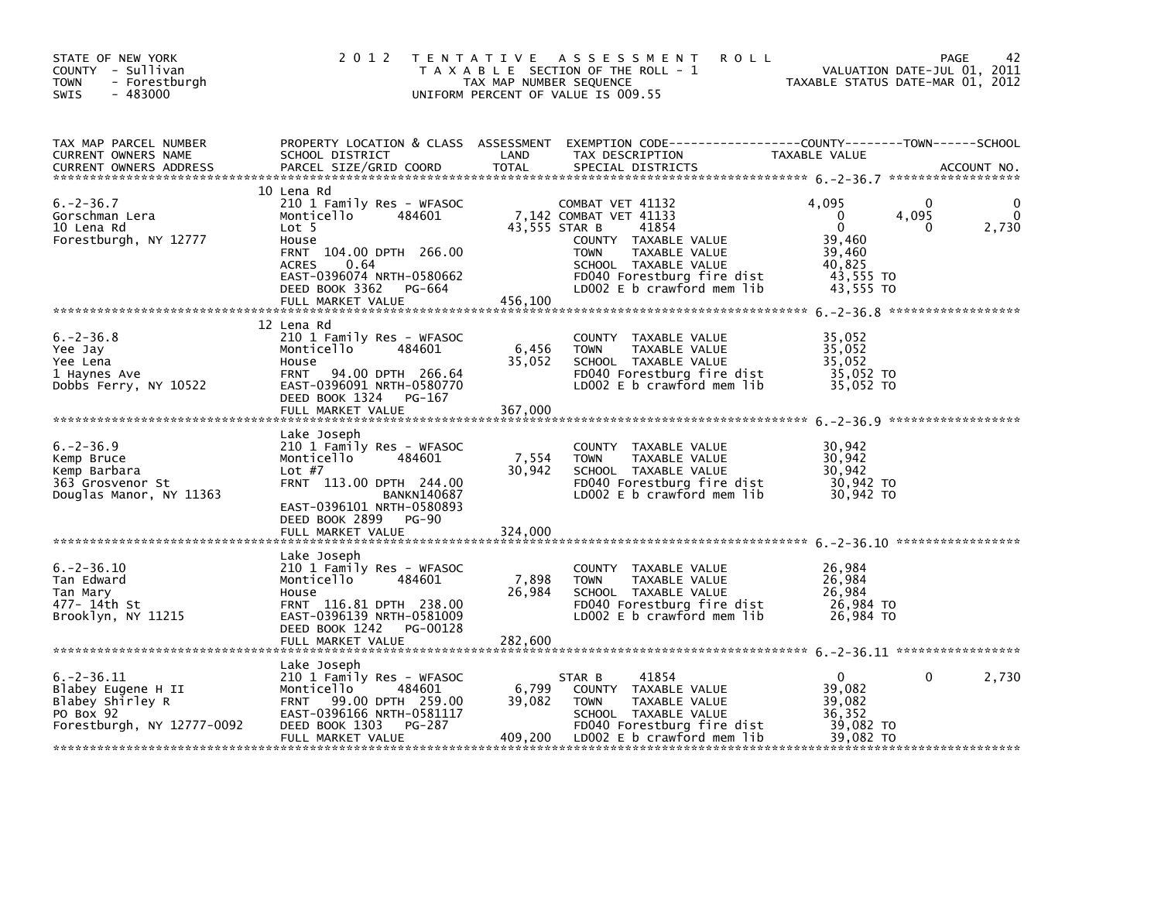| STATE OF NEW YORK<br>COUNTY - Sullivan<br>- Forestburgh<br><b>TOWN</b><br>$-483000$<br><b>SWIS</b>   | 2 0 1 2                                                                                                                                                                                                            | TAX MAP NUMBER SEQUENCE    | <b>ROLL</b><br>TENTATIVE ASSESSMENT<br>T A X A B L E SECTION OF THE ROLL - 1<br>UNIFORM PERCENT OF VALUE IS 009.55                                                                                               | TAXABLE STATUS DATE-MAR 01, 2012                                                             | 42<br>PAGE<br>VALUATION DATE-JUL 01, 2011 |
|------------------------------------------------------------------------------------------------------|--------------------------------------------------------------------------------------------------------------------------------------------------------------------------------------------------------------------|----------------------------|------------------------------------------------------------------------------------------------------------------------------------------------------------------------------------------------------------------|----------------------------------------------------------------------------------------------|-------------------------------------------|
| TAX MAP PARCEL NUMBER<br>CURRENT OWNERS NAME<br><b>CURRENT OWNERS ADDRESS</b>                        | PROPERTY LOCATION & CLASS ASSESSMENT<br>SCHOOL DISTRICT<br>PARCEL SIZE/GRID COORD                                                                                                                                  | LAND<br><b>TOTAL</b>       | EXEMPTION CODE-----------------COUNTY-------TOWN------SCHOOL<br>TAX DESCRIPTION<br>SPECIAL DISTRICTS                                                                                                             | TAXABLE VALUE                                                                                | ACCOUNT NO.                               |
| $6. -2 - 36.7$<br>Gorschman Lera<br>10 Lena Rd<br>Forestburgh, NY 12777                              | 10 Lena Rd<br>210 1 Family Res - WFASOC<br>484601<br>Monticello<br>Lot 5<br>House<br>FRNT 104.00 DPTH 266.00<br><b>ACRES</b><br>0.64<br>EAST-0396074 NRTH-0580662<br>DEED BOOK 3362<br>PG-664<br>FULL MARKET VALUE | 456,100                    | COMBAT VET 41132<br>7,142 COMBAT VET 41133<br>43,555 STAR B<br>41854<br>COUNTY TAXABLE VALUE<br>TAXABLE VALUE<br><b>TOWN</b><br>SCHOOL TAXABLE VALUE<br>FD040 Forestburg fire dist<br>LD002 E b crawford mem lib | 4.095<br>$\mathbf{0}$<br>$\mathbf 0$<br>39,460<br>39,460<br>40,825<br>43,555 TO<br>43,555 TO | 0<br>4,095<br>2,730<br>0                  |
| $6. -2 - 36.8$<br>Yee Jay<br>Yee Lena<br>1 Haynes Ave<br>Dobbs Ferry, NY 10522                       | 12 Lena Rd<br>210 1 Family Res - WFASOC<br>Monticello<br>484601<br>House<br>94.00 DPTH 266.64<br><b>FRNT</b><br>EAST-0396091 NRTH-0580770<br>DEED BOOK 1324<br>PG-167<br>FULL MARKET VALUE                         | 6,456<br>35,052<br>367,000 | COUNTY TAXABLE VALUE<br>TAXABLE VALUE<br><b>TOWN</b><br>SCHOOL TAXABLE VALUE<br>FD040 Forestburg fire dist<br>LD002 $E$ b crawford mem $lib$                                                                     | 35,052<br>35,052<br>35,052<br>35,052 TO<br>35,052 TO                                         |                                           |
| $6. -2 - 36.9$<br>Kemp Bruce<br>Kemp Barbara<br>363 Grosvenor St<br>Douglas Manor, NY 11363          | Lake Joseph<br>210 1 Family Res - WFASOC<br>Monticello<br>484601<br>Lot $#7$<br>FRNT 113.00 DPTH 244.00<br><b>BANKN140687</b><br>EAST-0396101 NRTH-0580893<br>DEED BOOK 2899<br><b>PG-90</b><br>FULL MARKET VALUE  | 7,554<br>30,942<br>324,000 | COUNTY TAXABLE VALUE<br><b>TOWN</b><br>TAXABLE VALUE<br>SCHOOL TAXABLE VALUE<br>FD040 Forestburg fire dist<br>LD002 E b crawford mem lib                                                                         | 30,942<br>30,942<br>30,942<br>30,942 TO<br>30,942 TO                                         |                                           |
| $6. -2 - 36.10$<br>Tan Edward<br>Tan Mary<br>477– 14th St<br>Brooklyn, NY 11215                      | Lake Joseph<br>210 1 Family Res - WFASOC<br>Monticello<br>484601<br>House<br>FRNT 116.81 DPTH 238.00<br>EAST-0396139 NRTH-0581009<br>DEED BOOK 1242 PG-00128<br>FULL MARKET VALUE                                  | 7,898<br>26,984<br>282,600 | COUNTY TAXABLE VALUE<br><b>TOWN</b><br>TAXABLE VALUE<br>SCHOOL TAXABLE VALUE<br>FD040 Forestburg fire dist<br>LD002 E b crawford mem lib                                                                         | 26,984<br>26,984<br>26,984<br>26,984 TO<br>26,984 ТО                                         |                                           |
| $6. -2 - 36.11$<br>Blabey Eugene H II<br>Blabey Shirley R<br>PO Box 92<br>Forestburgh, NY 12777-0092 | Lake Joseph<br>210 1 Family Res - WFASOC<br>Monticello<br>484601<br>99.00 DPTH 259.00<br><b>FRNT</b><br>EAST-0396166 NRTH-0581117<br>DEED BOOK 1303<br>PG-287<br>FULL MARKET VALUE                                 | 6,799<br>39,082<br>409,200 | 41854<br>STAR B<br>COUNTY TAXABLE VALUE<br><b>TOWN</b><br>TAXABLE VALUE<br>SCHOOL TAXABLE VALUE<br>FD040 Forestburg fire dist<br>LD002 E b crawford mem lib                                                      | $\Omega$<br>39,082<br>39,082<br>36,352<br>39,082 TO<br>39,082 TO                             | 0<br>2,730                                |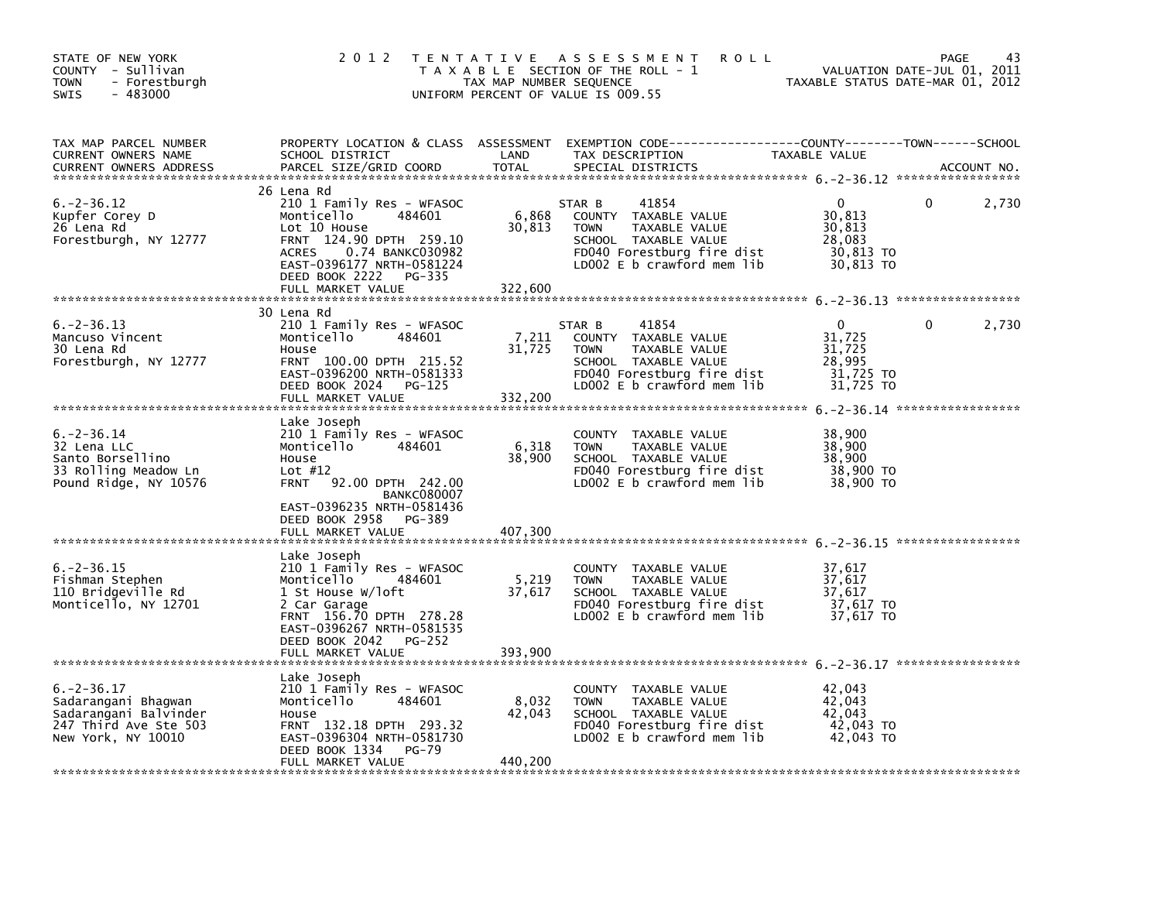| STATE OF NEW YORK<br>COUNTY - Sullivan<br><b>TOWN</b><br>- Forestburgh<br><b>SWIS</b><br>- 483000              | 2 0 1 2                                                                                                                                                                                                                      | T E N T A T I V E<br>TAX MAP NUMBER SEQUENCE | A S S E S S M E N T<br><b>ROLL</b><br>T A X A B L E SECTION OF THE ROLL - 1<br>UNIFORM PERCENT OF VALUE IS 009.55                                             | TAXABLE STATUS DATE-MAR 01, 2012                                     | 43<br>PAGE<br>VALUATION DATE-JUL 01, 2011 |
|----------------------------------------------------------------------------------------------------------------|------------------------------------------------------------------------------------------------------------------------------------------------------------------------------------------------------------------------------|----------------------------------------------|---------------------------------------------------------------------------------------------------------------------------------------------------------------|----------------------------------------------------------------------|-------------------------------------------|
| TAX MAP PARCEL NUMBER<br>CURRENT OWNERS NAME<br><b>CURRENT OWNERS ADDRESS</b>                                  | PROPERTY LOCATION & CLASS ASSESSMENT<br>SCHOOL DISTRICT<br>PARCEL SIZE/GRID COORD                                                                                                                                            | LAND<br><b>TOTAL</b>                         | EXEMPTION CODE-----------------COUNTY-------TOWN------SCHOOL<br>TAX DESCRIPTION<br>SPECIAL DISTRICTS                                                          | TAXABLE VALUE                                                        | ACCOUNT NO.                               |
| $6. -2 - 36.12$<br>Kupfer Corey D<br>26 Lena Rd<br>Forestburgh, NY 12777                                       | 26 Lena Rd<br>210 1 Family Res - WFASOC<br>484601<br>Monticello<br>Lot 10 House<br>FRNT 124.90 DPTH 259.10<br>0.74 BANKC030982<br><b>ACRES</b><br>EAST-0396177 NRTH-0581224<br>DEED BOOK 2222<br>PG-335<br>FULL MARKET VALUE | 6,868<br>30,813<br>322,600                   | 41854<br>STAR B<br>COUNTY TAXABLE VALUE<br><b>TOWN</b><br>TAXABLE VALUE<br>SCHOOL TAXABLE VALUE<br>FD040 Forestburg fire dist<br>LD002 $E$ b crawford mem lib | $\Omega$<br>30,813<br>30,813<br>28,083<br>30,813 TO<br>30,813 TO     | 2,730<br>0                                |
|                                                                                                                |                                                                                                                                                                                                                              |                                              |                                                                                                                                                               |                                                                      |                                           |
| $6. -2 - 36.13$<br>Mancuso Vincent<br>30 Lena Rd<br>Forestburgh, NY 12777                                      | 30 Lena Rd<br>210 1 Family Res - WFASOC<br>Monticello<br>484601<br>House<br>FRNT 100.00 DPTH 215.52<br>EAST-0396200 NRTH-0581333<br>DEED BOOK 2024<br>PG-125<br>FULL MARKET VALUE                                            | 7,211<br>31,725<br>332,200                   | 41854<br>STAR B<br>COUNTY TAXABLE VALUE<br>TAXABLE VALUE<br><b>TOWN</b><br>SCHOOL TAXABLE VALUE<br>FD040 Forestburg fire dist<br>LD002 E b crawford mem lib   | $\mathbf{0}$<br>31.725<br>31,725<br>28,995<br>31,725 TO<br>31,725 TO | 2,730<br>0                                |
|                                                                                                                | Lake Joseph                                                                                                                                                                                                                  |                                              |                                                                                                                                                               |                                                                      |                                           |
| $6. -2 - 36.14$<br>32 Lena LLC<br>Santo Borsellino<br>33 Rolling Meadow Ln<br>Pound Ridge, NY 10576            | 210 1 Family Res - WFASOC<br>Monticello<br>484601<br>House<br>Lot $#12$<br><b>FRNT</b><br>92.00 DPTH 242.00<br><b>BANKC080007</b><br>EAST-0396235 NRTH-0581436<br>DEED BOOK 2958<br>PG-389                                   | 6,318<br>38,900                              | COUNTY TAXABLE VALUE<br><b>TOWN</b><br>TAXABLE VALUE<br>SCHOOL TAXABLE VALUE<br>FD040 Forestburg fire dist<br>LDOO2 E b crawford mem lib                      | 38,900<br>38,900<br>38,900<br>38,900 TO<br>38,900 TO                 |                                           |
|                                                                                                                | FULL MARKET VALUE                                                                                                                                                                                                            | 407,300                                      |                                                                                                                                                               |                                                                      |                                           |
| $6. -2 - 36.15$<br>Fishman Stephen<br>110 Bridgeville Rd<br>Monticello, NY 12701                               | Lake Joseph<br>210 1 Family Res - WFASOC<br>Monticello<br>484601<br>1 St House W/loft<br>2 Car Garage<br>FRNT 156.70 DPTH 278.28<br>EAST-0396267 NRTH-0581535<br>DEED BOOK 2042<br>PG-252                                    | 5,219<br>37,617                              | COUNTY<br>TAXABLE VALUE<br><b>TOWN</b><br>TAXABLE VALUE<br>SCHOOL TAXABLE VALUE<br>FD040 Forestburg fire dist<br>LD002 E b crawford mem lib                   | 37.617<br>37,617<br>37,617<br>37,617 TO<br>37,617 TO                 |                                           |
|                                                                                                                | FULL MARKET VALUE                                                                                                                                                                                                            | 393,900                                      |                                                                                                                                                               |                                                                      |                                           |
| $6. -2 - 36.17$<br>Sadarangani Bhagwan<br>Sadarangani Balvinder<br>247 Third Ave Ste 503<br>New York, NY 10010 | Lake Joseph<br>210 1 Family Res - WFASOC<br>Monticello<br>484601<br>House<br>FRNT 132.18 DPTH 293.32<br>EAST-0396304 NRTH-0581730<br>DEED BOOK 1334<br><b>PG-79</b><br>FULL MARKET VALUE                                     | 8,032<br>42,043<br>440,200                   | COUNTY<br>TAXABLE VALUE<br><b>TOWN</b><br>TAXABLE VALUE<br>SCHOOL TAXABLE VALUE<br>FD040 Forestburg fire dist<br>LD002 $E$ b crawford mem $lib$               | 42,043<br>42,043<br>42.043<br>42,043 TO<br>42,043 TO                 |                                           |
|                                                                                                                |                                                                                                                                                                                                                              |                                              |                                                                                                                                                               |                                                                      |                                           |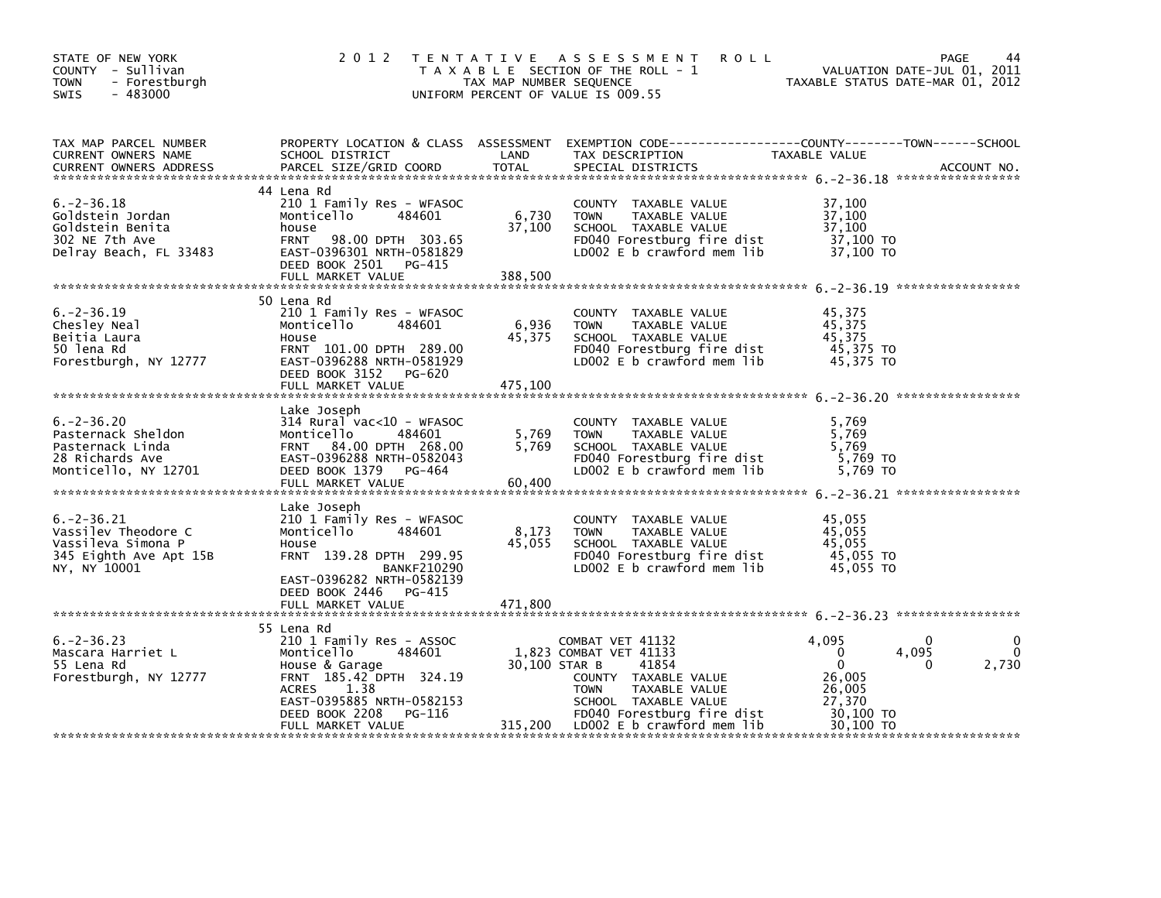| STATE OF NEW YORK<br>COUNTY - Sullivan<br><b>TOWN</b><br>- Forestburgh<br>$-483000$<br><b>SWIS</b>     | 2 0 1 2                                                                                                                                                                                               | TAX MAP NUMBER SEQUENCE    | <b>ROLL</b><br>TENTATIVE ASSESSMENT<br>T A X A B L E SECTION OF THE ROLL - 1<br>UNIFORM PERCENT OF VALUE IS 009.55                                                                         | 1 11 12 - VALUATION DATE-JUL 01, 2011<br>TAXABLE STATUS DATE-MAR 01, 2012      | PAGE<br>44               |
|--------------------------------------------------------------------------------------------------------|-------------------------------------------------------------------------------------------------------------------------------------------------------------------------------------------------------|----------------------------|--------------------------------------------------------------------------------------------------------------------------------------------------------------------------------------------|--------------------------------------------------------------------------------|--------------------------|
| TAX MAP PARCEL NUMBER<br>CURRENT OWNERS NAME<br><b>CURRENT OWNERS ADDRESS</b>                          | SCHOOL DISTRICT<br>PARCEL SIZE/GRID COORD                                                                                                                                                             | LAND<br>TOTAL              | PROPERTY LOCATION & CLASS ASSESSMENT EXEMPTION CODE---------------COUNTY-------TOWN-----SCHOOL<br>TAX DESCRIPTION<br>SPECIAL DISTRICTS                                                     | TAXABLE VALUE                                                                  | ACCOUNT NO.              |
| $6. -2 - 36.18$<br>Goldstein Jordan<br>Goldstein Benita<br>302 NE 7th Ave<br>Delray Beach, FL 33483    | 44 Lena Rd<br>210 1 Family Res - WFASOC<br>Monticello 484601<br>house<br>FRNT 98.00 DPTH 303.65<br>EAST-0396301 NRTH-0581829<br>DEED BOOK 2501 PG-415<br>FULL MARKET VALUE                            | 6,730<br>37,100<br>388,500 | COUNTY TAXABLE VALUE<br>TOWN TAXABLE VALUE 37,100<br>SCHOOL TAXABLE VALUE 37,100<br>FD040 Forestburg fire dist 37,100 TO<br>LD002 E b crawford mem lib                                     | 37,100<br>37,100 TO                                                            |                          |
| $6. -2 - 36.19$<br>Chesley Neal<br>Beitia Laura<br>50 lena Rd<br>Forestburgh, NY 12777                 | 50 Lena Rd<br>210 1 Family Res - WFASOC<br>Monticello 484601<br>House<br>FRNT 101.00 DPTH 289.00<br>EAST-0396288 NRTH-0581929<br>DEED BOOK 3152 PG-620<br>FULL MARKET VALUE                           | 6,936<br>45,375<br>475,100 | COUNTY TAXABLE VALUE<br>TOWN TAXABLE VALUE 45,375<br>SCHOOL TAXABLE VALUE 45,375<br>FDO40 Forestburg fire dist 45,375 TO<br>LDOO2 E b crawford mem lib                                     | 45,375<br>45,375<br>45,375 TO                                                  |                          |
| $6. -2 - 36.20$<br>Pasternack Sheldon<br>Pasternack Linda<br>28 Richards Ave<br>Monticello, NY 12701   | Lake Joseph<br>$314$ Rural vac<10 - WFASOC<br>Monticello<br>484601<br>FRNT 84.00 DPTH 268.00<br>EAST-0396288 NRTH-0582043<br>DEED BOOK 1379 PG-464<br>FULL MARKET VALUE                               | 5,769<br>5,769<br>60,400   | COUNTY TAXABLE VALUE 5,769<br>TOWN TAXABLE VALUE 5,769<br>SCHOOL TAXABLE VALUE 5,769<br>FDO40 Forestburg fire dist 5,769 TO<br>LDO02 E b crawford mem lib 5,769 TO<br>SCHOOL TAXABLE VALUE |                                                                                |                          |
| $6. -2 - 36.21$<br>Vassilev Theodore C<br>Vassileva Simona P<br>345 Eighth Ave Apt 15B<br>NY, NY 10001 | Lake Joseph<br>210 1 Family Res - WFASOC<br>Monticello<br>484601<br>House<br>FRNT 139.28 DPTH 299.95<br><b>BANKF210290</b><br>EAST-0396282 NRTH-0582139<br>DEED BOOK 2446 PG-415<br>FULL MARKET VALUE | 8,173<br>45,055<br>471,800 | COUNTY TAXABLE VALUE<br>TOWN TAXABLE VALUE 45,055<br>SCHOOL TAXABLE VALUE 45,055<br>FDO40 Forestburg fire dist 45,055 TO<br>LDO02 E b crawford mem lib 45,055 TO                           | 45,055<br>45,055                                                               |                          |
| $6. -2 - 36.23$<br>Mascara Harriet L<br>55 Lena Rd<br>Forestburgh, NY 12777                            | 55 Lena Rd<br>210 1 Family Res - ASSOC<br>Monticello<br>484601<br>House & Garage<br>FRNT 185.42 DPTH 324.19<br>ACRES<br>1.38<br>EAST-0395885 NRTH-0582153                                             | 30,100 STAR B              | COMBAT VET 41132<br>1,823 COMBAT VET 41133<br>41854<br>COUNTY TAXABLE VALUE<br>TAXABLE VALUE<br><b>TOWN</b><br>SCHOOL TAXABLE VALUE                                                        | 4,095<br>$\overline{\mathbf{0}}$<br>$\mathbf{0}$<br>26,005<br>26,005<br>27,370 | 0<br>4,095<br>2,730<br>0 |
|                                                                                                        | DEED BOOK 2208<br>PG-116<br>FULL MARKET VALUE                                                                                                                                                         |                            | FD040 Forestburg fire dist<br>315,200 LD002 E b crawford mem lib                                                                                                                           | 30,100 TO<br>30,100 TO                                                         |                          |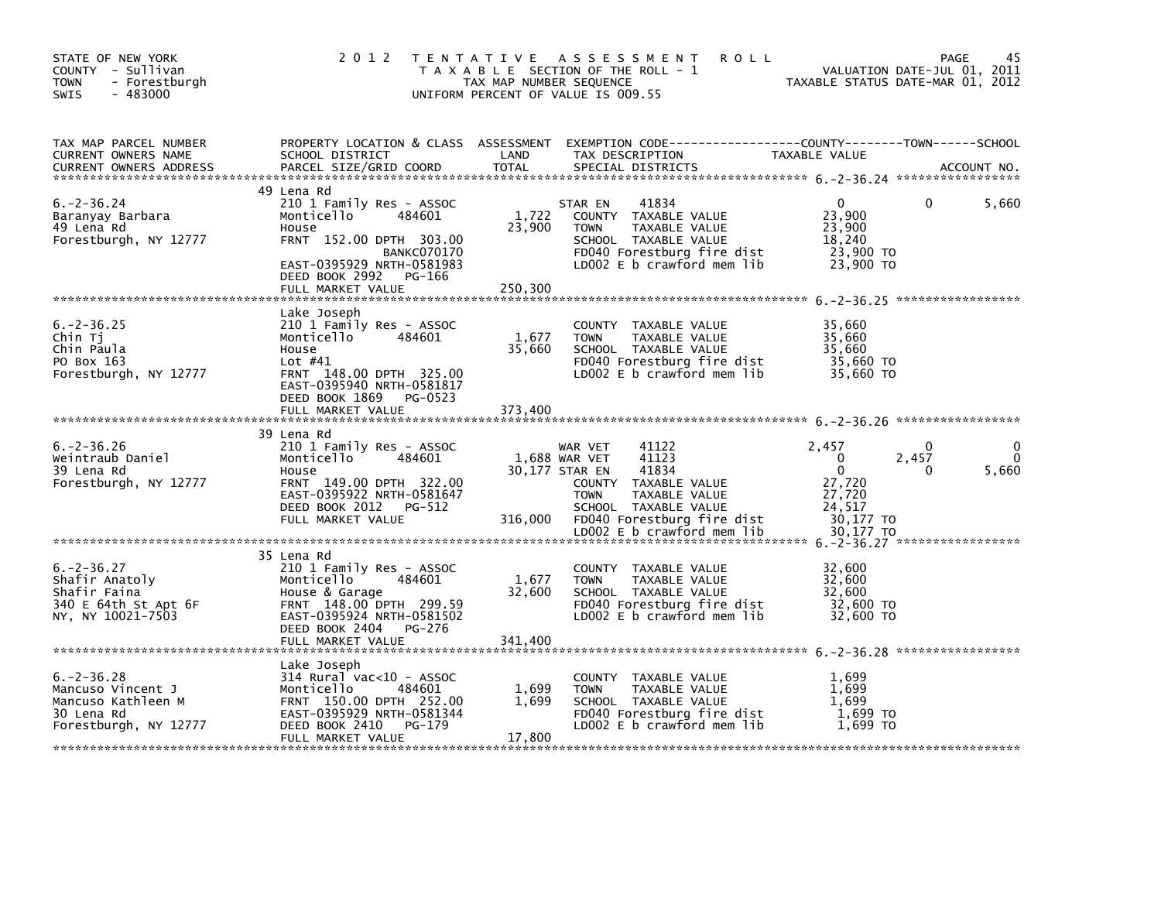| STATE OF NEW YORK<br>COUNTY - Sullivan<br><b>TOWN</b><br>- Forestburgh<br>$-483000$<br>SWIS       | 2 0 1 2                                                                                                                                                                                                | T E N T A T I V E<br>TAX MAP NUMBER SEQUENCE | A S S E S S M E N T<br><b>ROLL</b><br>T A X A B L E SECTION OF THE ROLL - 1<br>UNIFORM PERCENT OF VALUE IS 009.55                                                                                                 | VALUATION DATE-JUL 01, 2011<br>TAXABLE STATUS DATE-MAR 01, 2012                                | PAGE<br>45        |
|---------------------------------------------------------------------------------------------------|--------------------------------------------------------------------------------------------------------------------------------------------------------------------------------------------------------|----------------------------------------------|-------------------------------------------------------------------------------------------------------------------------------------------------------------------------------------------------------------------|------------------------------------------------------------------------------------------------|-------------------|
| TAX MAP PARCEL NUMBER<br><b>CURRENT OWNERS NAME</b><br><b>CURRENT OWNERS ADDRESS</b>              | PROPERTY LOCATION & CLASS ASSESSMENT<br>SCHOOL DISTRICT<br>PARCEL SIZE/GRID COORD                                                                                                                      | LAND<br><b>TOTAL</b>                         | EXEMPTION CODE-----------------COUNTY-------TOWN------SCHOOL<br>TAX DESCRIPTION<br>SPECIAL DISTRICTS                                                                                                              | TAXABLE VALUE                                                                                  | ACCOUNT NO.       |
| $6. -2 - 36.24$<br>Baranyay Barbara<br>49 Lena Rd<br>Forestburgh, NY 12777                        | 49 Lena Rd<br>210 1 Family Res - ASSOC<br>Monticello<br>484601<br>House<br>FRNT 152.00 DPTH 303.00<br><b>BANKC070170</b><br>EAST-0395929 NRTH-0581983<br>DEED BOOK 2992<br>PG-166<br>FULL MARKET VALUE | 1,722<br>23,900<br>250,300                   | 41834<br>STAR EN<br>COUNTY TAXABLE VALUE<br><b>TOWN</b><br>TAXABLE VALUE<br>SCHOOL TAXABLE VALUE<br>FD040 Forestburg fire dist<br>LD002 E b crawford mem lib                                                      | $\mathbf{0}$<br>23,900<br>23,900<br>18,240<br>23,900 TO<br>23,900 TO                           | 5,660<br>0        |
| $6. -2 - 36.25$<br>Chin Tj<br>Chin Paula<br>PO Box 163<br>Forestburgh, NY 12777                   | Lake Joseph<br>210 1 Family Res - ASSOC<br>Monticello<br>484601<br>House<br>Lot $#41$<br>FRNT 148.00 DPTH 325.00<br>EAST-0395940 NRTH-0581817<br>DEED BOOK 1869<br>PG-0523<br>FULL MARKET VALUE        | 1,677<br>35,660<br>373.400                   | <b>COUNTY</b><br>TAXABLE VALUE<br><b>TOWN</b><br>TAXABLE VALUE<br>SCHOOL TAXABLE VALUE<br>FD040 Forestburg fire dist<br>LD002 E b crawford mem lib                                                                | 35,660<br>35,660<br>35,660<br>35,660 TO<br>35,660 TO                                           |                   |
| $6. -2 - 36.26$<br>Weintraub Daniel<br>39 Lena Rd<br>Forestburgh, NY 12777                        | 39 Lena Rd<br>210 1 Family Res - ASSOC<br>Monticello<br>484601<br>House<br>FRNT 149.00 DPTH 322.00<br>EAST-0395922 NRTH-0581647<br>DEED BOOK 2012<br>PG-512<br>FULL MARKET VALUE                       | 316,000                                      | WAR VET<br>41122<br>1,688 WAR VET<br>41123<br>41834<br>30,177 STAR EN<br>COUNTY TAXABLE VALUE<br>TAXABLE VALUE<br><b>TOWN</b><br>SCHOOL TAXABLE VALUE<br>FD040 Forestburg fire dist<br>LDOO2 E b crawford mem lib | 2,457<br>$\Omega$<br>2,457<br>$\Omega$<br>27,720<br>27,720<br>24,517<br>30,177 TO<br>30,177 TO | 0<br>5,660<br>0   |
| $6. -2 - 36.27$<br>Shafir Anatoly<br>Shafir Faina<br>340 E 64th St Apt 6F<br>NY, NY 10021-7503    | 35 Lena Rd<br>210 1 Family Res - ASSOC<br>Monticello<br>484601<br>House & Garage<br>FRNT 148.00 DPTH 299.59<br>EAST-0395924 NRTH-0581502<br>DEED BOOK 2404<br>PG-276<br>FULL MARKET VALUE              | 1,677<br>32,600<br>341,400                   | TAXABLE VALUE<br><b>COUNTY</b><br><b>TOWN</b><br>TAXABLE VALUE<br>SCHOOL TAXABLE VALUE<br>FD040 Forestburg fire dist<br>LD002 E b crawford mem lib                                                                | 32,600<br>32,600<br>32,600<br>32,600 TO<br>32,600 TO                                           | ***************** |
| $6. -2 - 36.28$<br>Mancuso Vincent J<br>Mancuso Kathleen M<br>30 Lena Rd<br>Forestburgh, NY 12777 | Lake Joseph<br>314 Rural vac<10 - ASSOC<br>Monticello<br>484601<br>FRNT 150.00 DPTH 252.00<br>EAST-0395929 NRTH-0581344<br>DEED BOOK 2410<br>PG-179<br>FULL MARKET VALUE                               | 1,699<br>1,699<br>17,800                     | COUNTY TAXABLE VALUE<br>TAXABLE VALUE<br><b>TOWN</b><br>SCHOOL TAXABLE VALUE<br>FD040 Forestburg fire dist<br>LD002 E b crawford mem lib                                                                          | 1.699<br>1,699<br>1.699<br>1,699 TO<br>1.699 TO                                                |                   |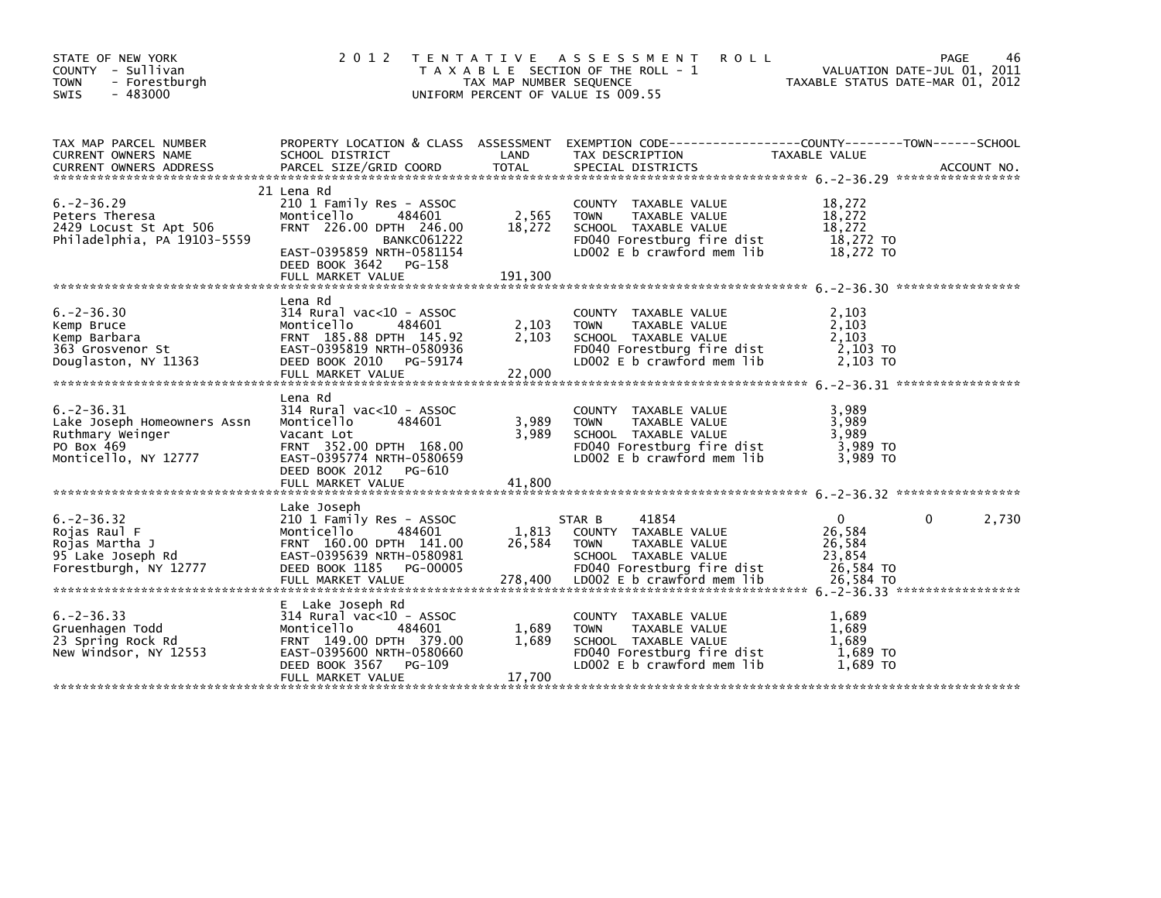| STATE OF NEW YORK<br>COUNTY - Sullivan<br><b>TOWN</b><br>- Forestburgh<br>$-483000$<br>SWIS              | 2 0 1 2                                                                                                                                                                                    | TAX MAP NUMBER SEQUENCE    | TENTATIVE ASSESSMENT ROLL<br>T A X A B L E SECTION OF THE ROLL - 1<br>UNIFORM PERCENT OF VALUE IS 009.55                                                    | VALUATION DATE-JUL 01, 2011<br>TAXABLE STATUS DATE-MAR 01, 2012     | <b>PAGE</b> | 46    |
|----------------------------------------------------------------------------------------------------------|--------------------------------------------------------------------------------------------------------------------------------------------------------------------------------------------|----------------------------|-------------------------------------------------------------------------------------------------------------------------------------------------------------|---------------------------------------------------------------------|-------------|-------|
| TAX MAP PARCEL NUMBER<br>CURRENT OWNERS NAME<br><b>CURRENT OWNERS ADDRESS</b>                            | SCHOOL DISTRICT<br>PARCEL SIZE/GRID COORD                                                                                                                                                  | LAND<br><b>TOTAL</b>       | PROPERTY LOCATION & CLASS ASSESSMENT EXEMPTION CODE---------------COUNTY-------TOWN------SCHOOL<br>TAX DESCRIPTION<br>SPECIAL DISTRICTS                     | TAXABLE VALUE                                                       | ACCOUNT NO. |       |
| $6. -2 - 36.29$<br>Peters Theresa<br>2429 Locust St Apt 506<br>Philadelphia, PA 19103-5559               | 21 Lena Rd<br>210 1 Family Res - ASSOC<br>484601<br>Monticello<br>FRNT 226.00 DPTH 246.00<br><b>BANKC061222</b><br>EAST-0395859 NRTH-0581154<br>DEED BOOK 3642 PG-158<br>FULL MARKET VALUE | 2,565<br>18,272<br>191,300 | COUNTY TAXABLE VALUE<br>TAXABLE VALUE<br><b>TOWN</b><br>SCHOOL TAXABLE VALUE<br>FD040 Forestburg fire dist<br>LD002 E b crawford mem lib                    | 18,272<br>18,272<br>18,272<br>18,272 TO<br>18,272 TO                |             |       |
| $6. -2 - 36.30$<br>Kemp Bruce<br>Kemp Barbara<br>363 Grosvenor St<br>Douglaston, NY 11363                | Lena Rd<br>$314$ Rural vac< $10$ - ASSOC<br>Monticello<br>484601<br>FRNT 185.88 DPTH 145.92<br>EAST-0395819 NRTH-0580936<br>DEED BOOK 2010 PG-59174<br>FULL MARKET VALUE                   | 2,103<br>2,103<br>22,000   | COUNTY TAXABLE VALUE<br><b>TOWN</b><br>TAXABLE VALUE<br>SCHOOL TAXABLE VALUE<br>FD040 Forestburg fire dist<br>LDOO2 E b crawford mem lib                    | 2,103<br>2,103<br>2,103<br>2.103 TO<br>2,103 TO                     |             |       |
| $6. -2 - 36.31$<br>Lake Joseph Homeowners Assn<br>Ruthmary Weinger<br>PO Box 469<br>Monticello, NY 12777 | Lena Rd<br>314 Rural vac<10 - ASSOC<br>Monticello<br>484601<br>Vacant Lot<br>FRNT 352.00 DPTH 168.00<br>EAST-0395774 NRTH-0580659<br>DEED BOOK 2012<br>PG-610<br>FULL MARKET VALUE         | 3,989<br>3,989<br>41.800   | COUNTY TAXABLE VALUE<br>TAXABLE VALUE<br><b>TOWN</b><br>SCHOOL TAXABLE VALUE<br>FD040 Forestburg fire dist<br>$LD002 E b$ crawford mem lib                  | 3,989<br>3,989<br>3,989<br>3,989 TO<br>3.989 TO                     |             |       |
| $6. -2 - 36.32$<br>Rojas Raul F<br>Rojas Martha J<br>95 Lake Joseph Rd<br>Forestburgh, NY 12777          | Lake Joseph<br>210 1 Family Res - ASSOC<br>Monticello<br>484601<br>FRNT 160.00 DPTH 141.00<br>EAST-0395639 NRTH-0580981<br>DEED BOOK 1185<br>PG-00005<br>FULL MARKET VALUE                 | 1,813<br>26,584<br>278,400 | 41854<br>STAR B<br>COUNTY TAXABLE VALUE<br><b>TOWN</b><br>TAXABLE VALUE<br>SCHOOL TAXABLE VALUE<br>FD040 Forestburg fire dist<br>LD002 E b crawford mem lib | $\mathbf 0$<br>26,584<br>26,584<br>23.854<br>26,584 TO<br>26,584 TO | 0           | 2,730 |
| $6. -2 - 36.33$<br>Gruenhagen Todd<br>23 Spring Rock Rd<br>New Windsor, NY 12553                         | E Lake Joseph Rd<br>$314$ Rural vac< $10$ - ASSOC<br>Monticello<br>484601<br>FRNT 149.00 DPTH 379.00<br>EAST-0395600 NRTH-0580660<br>DEED BOOK 3567<br>PG-109<br>FULL MARKET VALUE         | 1,689<br>1,689<br>17,700   | COUNTY TAXABLE VALUE<br>TAXABLE VALUE<br><b>TOWN</b><br>SCHOOL TAXABLE VALUE<br>FD040 Forestburg fire dist<br>LD002 E b crawford mem lib                    | 1,689<br>1,689<br>1,689<br>1,689 TO<br>1.689 TO                     |             |       |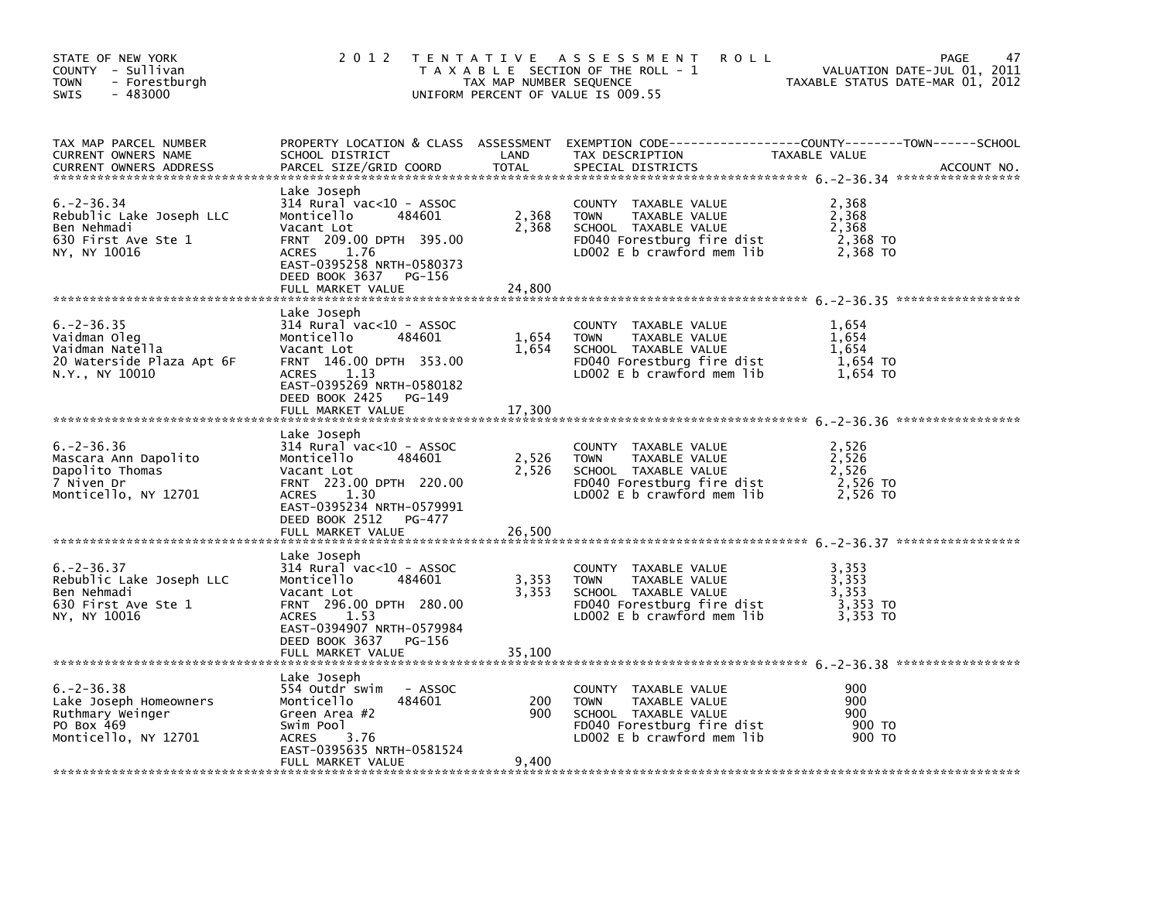| STATE OF NEW YORK<br>COUNTY - Sullivan<br>- Forestburgh<br><b>TOWN</b><br>$-483000$<br><b>SWIS</b>  | 2 0 1 2                                                                                                                                                                                                          | TAX MAP NUMBER SEQUENCE  | TENTATIVE ASSESSMENT<br><b>ROLL</b><br>T A X A B L E SECTION OF THE ROLL - 1<br>UNIFORM PERCENT OF VALUE IS 009.55                         | VALUATION DATE-JUL 01, 2011<br>TAXABLE STATUS DATE-MAR 01, 2012 | 47<br>PAGE  |
|-----------------------------------------------------------------------------------------------------|------------------------------------------------------------------------------------------------------------------------------------------------------------------------------------------------------------------|--------------------------|--------------------------------------------------------------------------------------------------------------------------------------------|-----------------------------------------------------------------|-------------|
| TAX MAP PARCEL NUMBER<br>CURRENT OWNERS NAME<br><b>CURRENT OWNERS ADDRESS</b>                       | SCHOOL DISTRICT<br>PARCEL SIZE/GRID COORD                                                                                                                                                                        | LAND<br><b>TOTAL</b>     | PROPERTY LOCATION & CLASS ASSESSMENT EXEMPTION CODE---------------COUNTY-------TOWN-----SCHOOL<br>TAX DESCRIPTION<br>SPECIAL DISTRICTS     | TAXABLE VALUE                                                   | ACCOUNT NO. |
| 6. – 2 – 36.34<br>Rebublic Lake Joseph LLC<br>Ben Nehmadi<br>630 First Ave Ste 1<br>NY, NY 10016    | Lake Joseph<br>$314$ Rural vac< $10$ - ASSOC<br>Monticello<br>484601<br>Vacant Lot<br>FRNT 209.00 DPTH 395.00<br>1.76<br><b>ACRES</b><br>EAST-0395258 NRTH-0580373<br>DEED BOOK 3637 PG-156<br>FULL MARKET VALUE | 2,368<br>2,368<br>24,800 | COUNTY TAXABLE VALUE<br><b>TOWN</b><br>TAXABLE VALUE<br>SCHOOL TAXABLE VALUE<br>FD040 Forestburg fire dist<br>LD002 E b crawford mem lib   | 2,368<br>2,368<br>2,368<br>2,368 TO<br>2,368 TO                 |             |
| $6. -2 - 36.35$<br>Vaidman Oleg<br>Vaidman Natella<br>20 Waterside Plaza Apt 6F<br>N.Y., NY 10010   | Lake Joseph<br>$314$ Rural vac< $10$ - ASSOC<br>484601<br>Monticello<br>Vacant Lot<br>FRNT 146.00 DPTH 353.00<br>1.13<br>ACRES<br>EAST-0395269 NRTH-0580182<br>DEED BOOK 2425<br>PG-149<br>FULL MARKET VALUE     | 1,654<br>1,654<br>17,300 | COUNTY TAXABLE VALUE<br>TOWN<br>TAXABLE VALUE<br>SCHOOL TAXABLE VALUE<br>FD040 Forestburg fire dist<br>LD002 E b crawford mem lib          | 1,654<br>1,654<br>1,654<br>1,654 TO<br>1,654 TO                 |             |
| $6. -2 - 36.36$<br>Mascara Ann Dapolito<br>Dapolito Thomas<br>7 Niven Dr<br>Monticello, NY 12701    | Lake Joseph<br>314 Rural vac<10 - ASSOC<br>Monticello<br>484601<br>Vacant Lot<br>FRNT 223.00 DPTH 220.00<br>1.30<br><b>ACRES</b><br>EAST-0395234 NRTH-0579991<br>DEED BOOK 2512<br>PG-477<br>FULL MARKET VALUE   | 2,526<br>2,526<br>26,500 | COUNTY TAXABLE VALUE<br>TAXABLE VALUE<br>TOWN<br>SCHOOL TAXABLE VALUE<br>FD040 Forestburg fire dist<br>LD002 E b crawford mem lib          | 2,526<br>2,526<br>2,526<br>2,526 TO<br>2,526 TO                 |             |
| $6. -2 - 36.37$<br>Rebublic Lake Joseph LLC<br>Ben Nehmadi<br>630 First Ave Ste 1<br>NY, NY 10016   | Lake Joseph<br>314 Rural vac<10 - ASSOC<br>Monticello<br>484601<br>Vacant Lot<br>FRNT 296.00 DPTH 280.00<br>1.53<br>ACRES<br>EAST-0394907 NRTH-0579984<br>DEED BOOK 3637<br>PG-156<br>FULL MARKET VALUE          | 3,353<br>3,353<br>35,100 | COUNTY TAXABLE VALUE<br><b>TOWN</b><br>TAXABLE VALUE<br>SCHOOL TAXABLE VALUE<br>FD040 Forestburg fire dist<br>LD002 $E$ b crawford mem lib | 3,353<br>3,353<br>3,353<br>3,353 TO<br>3,353 TO                 |             |
| $6. -2 - 36.38$<br>Lake Joseph Homeowners<br>Ruthmary Weinger<br>PO Box 469<br>Monticello, NY 12701 | Lake Joseph<br>554 Outdr swim<br>- ASSOC<br>Monticello<br>484601<br>Green Area #2<br>Swim Pool<br>ACRES<br>3.76<br>EAST-0395635 NRTH-0581524<br>FULL MARKET VALUE                                                | 200<br>900<br>9,400      | COUNTY TAXABLE VALUE<br><b>TOWN</b><br>TAXABLE VALUE<br>SCHOOL TAXABLE VALUE<br>FD040 Forestburg fire dist<br>LD002 E b crawford mem lib   | 900<br>900<br>900<br>900 TO<br>900 TO                           |             |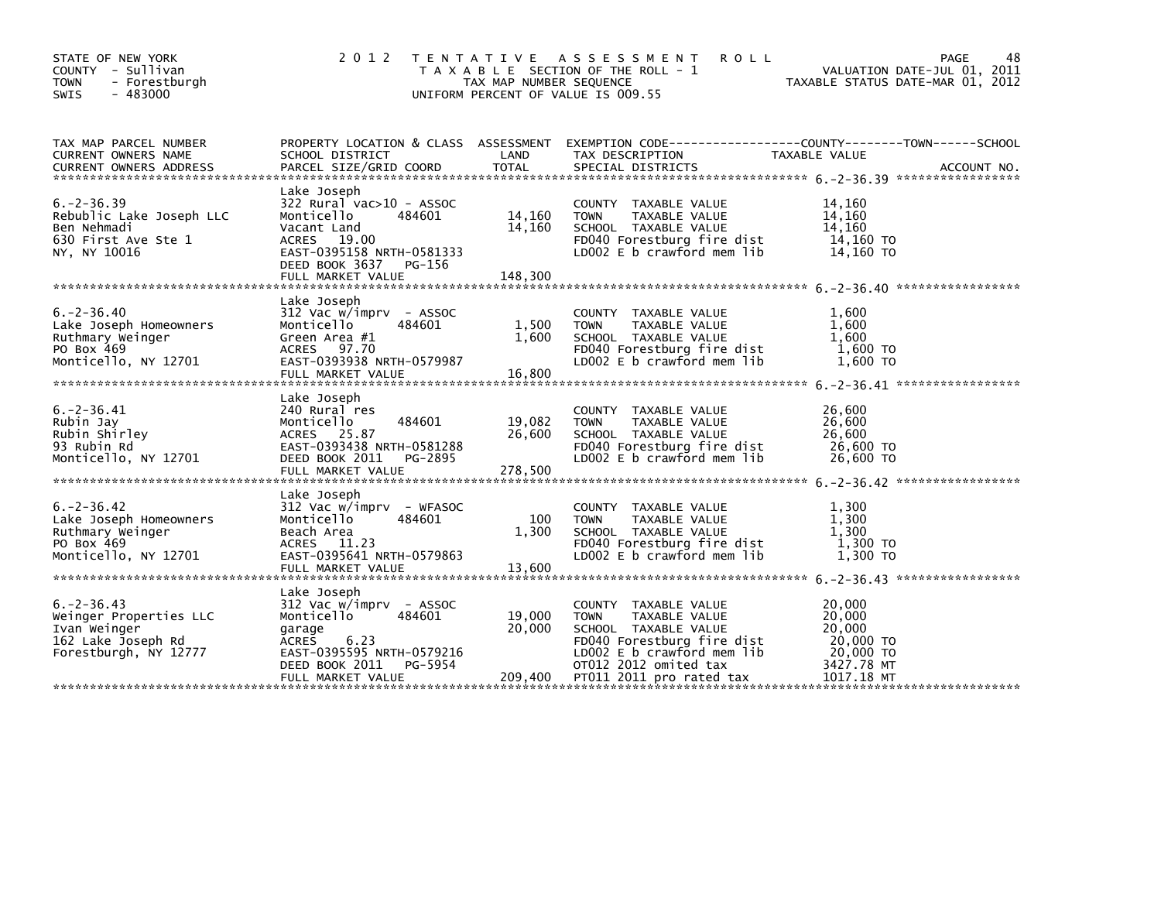| STATE OF NEW YORK<br>COUNTY - Sullivan<br><b>TOWN</b><br>- Forestburgh<br>$-483000$<br><b>SWIS</b>       | 2 0 1 2                                                                                                                                                                       | TAX MAP NUMBER SEQUENCE     | TENTATIVE ASSESSMENT<br><b>ROLL</b><br>T A X A B L E SECTION OF THE ROLL - 1<br>UNIFORM PERCENT OF VALUE IS 009.55                                                                                      | 48<br>PAGE<br>VALUATION DATE-JUL 01, 2011<br>TAXABLE STATUS DATE-MAR 01, 2012                                     |  |
|----------------------------------------------------------------------------------------------------------|-------------------------------------------------------------------------------------------------------------------------------------------------------------------------------|-----------------------------|---------------------------------------------------------------------------------------------------------------------------------------------------------------------------------------------------------|-------------------------------------------------------------------------------------------------------------------|--|
| TAX MAP PARCEL NUMBER<br>CURRENT OWNERS NAME                                                             | SCHOOL DISTRICT                                                                                                                                                               | LAND                        | TAX DESCRIPTION                                                                                                                                                                                         | PROPERTY LOCATION & CLASS ASSESSMENT EXEMPTION CODE----------------COUNTY-------TOWN------SCHOOL<br>TAXABLE VALUE |  |
| $6. -2 - 36.39$<br>Rebublic Lake Joseph LLC<br>Ben Nehmadi<br>630 First Ave Ste 1<br>NY, NY 10016        | Lake Joseph<br>$322$ Rural vac $>10$ - ASSOC<br>Monticello<br>484601<br>Vacant Land<br>ACRES 19.00<br>EAST-0395158 NRTH-0581333<br>DEED BOOK 3637 PG-156<br>FULL MARKET VALUE | 14,160<br>14,160<br>148,300 | COUNTY TAXABLE VALUE<br>TAXABLE VALUE<br><b>TOWN</b><br>SCHOOL TAXABLE VALUE<br>FD040 Forestburg fire dist<br>LD002 $E$ b crawford mem lib                                                              | 14,160<br>14,160<br>14,160<br>14,160 TO<br>14,160 TO                                                              |  |
| $6. -2 - 36.40$<br>Lake Joseph Homeowners<br>Ruthmary Weinger<br>PO Box 469<br>Monticello, NY 12701      | Lake Joseph<br>312 Vac w/imprv - ASSOC<br>Monticello<br>484601<br>Green Area #1<br>ACRES 97.70<br>EAST-0393938 NRTH-0579987<br>FULL MARKET VALUE                              | 1,500<br>1,600<br>16,800    | COUNTY TAXABLE VALUE<br><b>TOWN</b><br>TAXABLE VALUE<br>SCHOOL TAXABLE VALUE<br>FD040 Forestburg fire dist<br>LD002 E b crawford mem lib                                                                | 1,600<br>1,600<br>1,600<br>1,600 TO<br>1,600 TO                                                                   |  |
| $6. -2 - 36.41$<br>Rubin Jay<br>Rubin Shirley<br>93 Rubin Rd<br>Monticello, NY 12701                     | Lake Joseph<br>240 Rural res<br>484601<br>Monticello<br>ACRES 25.87<br>EAST-0393438 NRTH-0581288<br>DEED BOOK 2011<br>PG-2895<br>FULL MARKET VALUE                            | 19,082<br>26,600<br>278,500 | <b>COUNTY</b><br>TAXABLE VALUE<br>TAXABLE VALUE<br><b>TOWN</b><br>SCHOOL TAXABLE VALUE<br>FD040 Forestburg fire dist<br>LD002 E b crawford mem lib                                                      | 26,600<br>26,600<br>26,600<br>26,600 TO<br>26,600 TO                                                              |  |
| $6. -2 - 36.42$<br>Lake Joseph Homeowners<br>Ruthmary Weinger<br>PO Box 469<br>Monticello, NY 12701      | Lake Joseph<br>312 Vac w/imprv - WFASOC<br>Monticello<br>484601<br>Beach Area<br>ACRES 11.23<br>EAST-0395641 NRTH-0579863<br>FULL MARKET VALUE                                | 100<br>1,300<br>13.600      | COUNTY TAXABLE VALUE<br>TAXABLE VALUE<br><b>TOWN</b><br>SCHOOL TAXABLE VALUE<br>FD040 Forestburg fire dist<br>LD002 E b crawford mem lib                                                                | 1,300<br>1,300<br>1,300<br>1,300 TO<br>1,300 TO                                                                   |  |
| $6. -2 - 36.43$<br>Weinger Properties LLC<br>Ivan Weinger<br>162 Lake Joseph Rd<br>Forestburgh, NY 12777 | Lake Joseph<br>312 Vac w/imprv - ASSOC<br>Monticello<br>484601<br>garage<br>6.23<br>ACRES<br>EAST-0395595 NRTH-0579216<br>DEED BOOK 2011<br>PG-5954<br>FULL MARKET VALUE      | 19,000<br>20,000<br>209,400 | <b>COUNTY</b><br>TAXABLE VALUE<br><b>TOWN</b><br>TAXABLE VALUE<br>SCHOOL TAXABLE VALUE<br>FD040 Forestburg fire dist<br>LD002 E b crawford mem lib<br>OT012 2012 omited tax<br>PT011 2011 pro rated tax | 20,000<br>20,000<br>20,000<br>20,000 TO<br>20,000 TO<br>3427.78 MT<br>1017.18 MT                                  |  |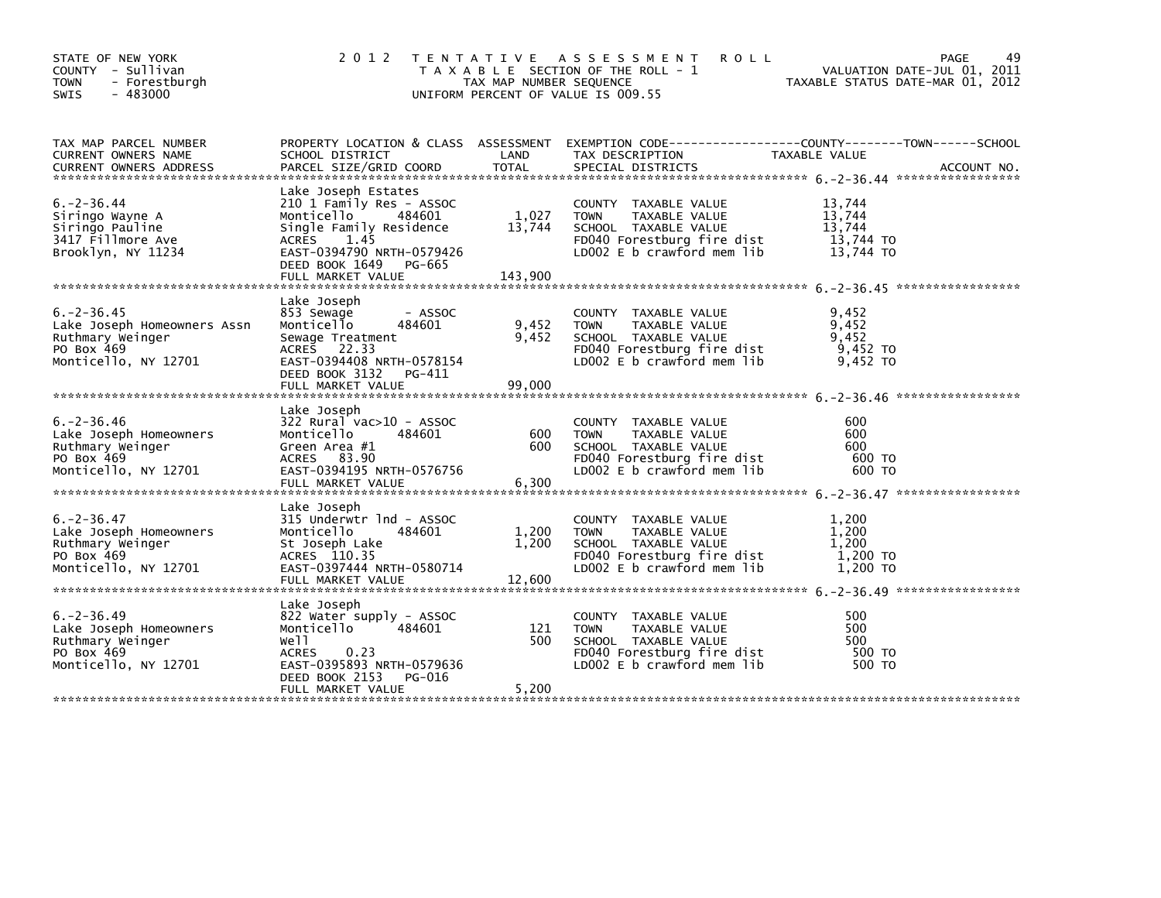| STATE OF NEW YORK<br>COUNTY - Sullivan<br><b>TOWN</b><br>- Forestburgh<br>$-483000$<br>SWIS              | 2 0 1 2                                                                                                                                                                                           | TAX MAP NUMBER SEQUENCE    | TENTATIVE ASSESSMENT<br><b>ROLL</b><br>T A X A B L E SECTION OF THE ROLL - 1<br>UNIFORM PERCENT OF VALUE IS 009.55                       | VALUATION DATE-JUL 01, 2011<br>TAXABLE STATUS DATE-MAR 01, 2012 | 49<br>PAGE  |
|----------------------------------------------------------------------------------------------------------|---------------------------------------------------------------------------------------------------------------------------------------------------------------------------------------------------|----------------------------|------------------------------------------------------------------------------------------------------------------------------------------|-----------------------------------------------------------------|-------------|
| TAX MAP PARCEL NUMBER<br>CURRENT OWNERS NAME<br><b>CURRENT OWNERS ADDRESS</b>                            | SCHOOL DISTRICT<br>PARCEL SIZE/GRID COORD                                                                                                                                                         | LAND<br>TOTAL              | PROPERTY LOCATION & CLASS ASSESSMENT EXEMPTION CODE----------------COUNTY-------TOWN------SCHOOL<br>TAX DESCRIPTION<br>SPECIAL DISTRICTS | TAXABLE VALUE                                                   | ACCOUNT NO. |
| $6. - 2 - 36.44$<br>Siringo Wayne A<br>Siringo Pauline<br>3417 Fillmore Ave<br>Brooklyn, NY 11234        | Lake Joseph Estates<br>210 1 Family Res - ASSOC<br>Monticello<br>484601<br>Single Family Residence<br>1.45<br>ACRES<br>EAST-0394790 NRTH-0579426<br>DEED BOOK 1649<br>PG-665<br>FULL MARKET VALUE | 1,027<br>13,744<br>143,900 | COUNTY TAXABLE VALUE<br><b>TOWN</b><br>TAXABLE VALUE<br>SCHOOL TAXABLE VALUE<br>FD040 Forestburg fire dist<br>LD002 E b crawford mem lib | 13,744<br>13,744<br>13,744<br>13,744 TO<br>13.744 TO            |             |
| $6. -2 - 36.45$<br>Lake Joseph Homeowners Assn<br>Ruthmary Weinger<br>PO Box 469<br>Monticello, NY 12701 | Lake Joseph<br>853 Sewage<br>- ASSOC<br>Monticello<br>484601<br>Sewage Treatment<br>ACRES 22.33<br>EAST-0394408 NRTH-0578154<br>DEED BOOK 3132<br>PG-411<br>FULL MARKET VALUE                     | 9,452<br>9,452<br>99,000   | COUNTY TAXABLE VALUE<br>TAXABLE VALUE<br><b>TOWN</b><br>SCHOOL TAXABLE VALUE<br>FD040 Forestburg fire dist<br>LD002 E b crawford mem lib | 9,452<br>9,452<br>9,452<br>$9,452$ TO<br>9,452 TO               |             |
| $6. -2 - 36.46$<br>Lake Joseph Homeowners<br>Ruthmary Weinger<br>PO Box 469<br>Monticello, NY 12701      | Lake Joseph<br>322 Rural vac>10 - ASSOC<br>Monticello<br>484601<br>Green Area #1<br>ACRES 83.90<br>EAST-0394195 NRTH-0576756<br>FULL MARKET VALUE                                                 | 600<br>600<br>6,300        | COUNTY TAXABLE VALUE<br>TAXABLE VALUE<br><b>TOWN</b><br>SCHOOL TAXABLE VALUE<br>FD040 Forestburg fire dist<br>LD002 E b crawford mem lib | 600<br>600<br>600<br>600 TO<br>600 TO                           |             |
| $6. -2 - 36.47$<br>Lake Joseph Homeowners<br>Ruthmary Weinger<br>PO Box 469<br>Monticello, NY 12701      | Lake Joseph<br>315 Underwtr 1nd - ASSOC<br>Monticello<br>484601<br>St Joseph Lake<br>ACRES 110.35<br>EAST-0397444 NRTH-0580714<br>FULL MARKET VALUE                                               | 1,200<br>1,200<br>12,600   | COUNTY TAXABLE VALUE<br><b>TOWN</b><br>TAXABLE VALUE<br>SCHOOL TAXABLE VALUE<br>FD040 Forestburg fire dist<br>LD002 E b crawford mem lib | 1,200<br>1,200<br>1,200<br>1,200 TO<br>1,200 TO                 |             |
| $6. -2 - 36.49$<br>Lake Joseph Homeowners<br>Ruthmary Weinger<br>PO Box 469<br>Monticello, NY 12701      | Lake Joseph<br>822 Water supply - ASSOC<br>Monticello<br>484601<br>Well<br>0.23<br><b>ACRES</b><br>EAST-0395893 NRTH-0579636<br>DEED BOOK 2153<br>PG-016<br>FULL MARKET VALUE                     | 121<br>500<br>5,200        | COUNTY TAXABLE VALUE<br>TAXABLE VALUE<br><b>TOWN</b><br>SCHOOL TAXABLE VALUE<br>FD040 Forestburg fire dist<br>LD002 E b crawford mem lib | 500<br>500<br>500<br>500 TO<br>500 TO                           |             |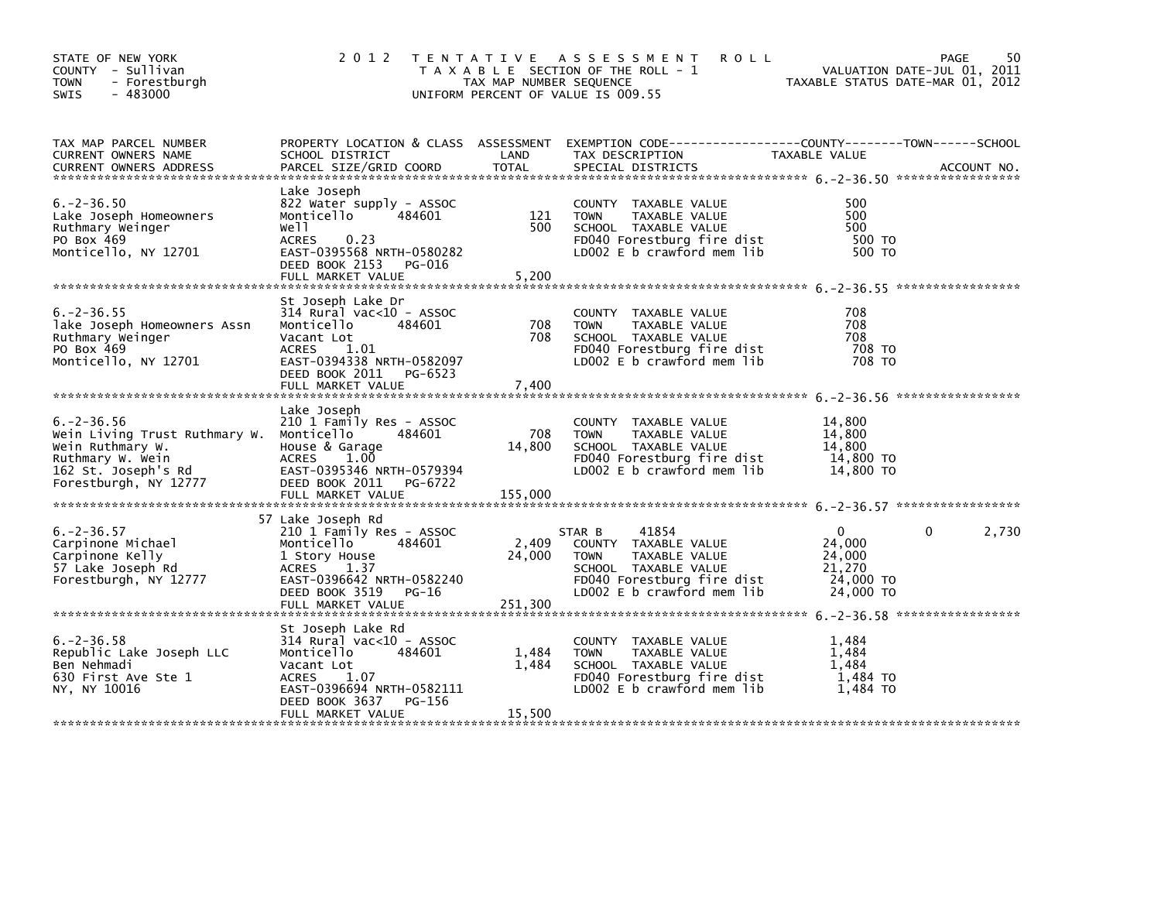| STATE OF NEW YORK<br>COUNTY - Sullivan<br><b>TOWN</b><br>- Forestburgh<br>$-483000$<br>SWIS                                                                                                                                                                | 2 0 1 2                                                                                                                                                                                        | TAX MAP NUMBER SEQUENCE    | TENTATIVE ASSESSMENT<br><b>ROLL</b><br>T A X A B L E SECTION OF THE ROLL - 1<br>UNIFORM PERCENT OF VALUE IS 009.55                                          | VALUATION DATE-JUL 01, 2011<br>TAXABLE STATUS DATE-MAR 01, 2012      | PAGE<br>50            |
|------------------------------------------------------------------------------------------------------------------------------------------------------------------------------------------------------------------------------------------------------------|------------------------------------------------------------------------------------------------------------------------------------------------------------------------------------------------|----------------------------|-------------------------------------------------------------------------------------------------------------------------------------------------------------|----------------------------------------------------------------------|-----------------------|
| TAX MAP PARCEL NUMBER<br>CURRENT OWNERS NAME<br>CONNENT OWNERS ADDRESS FARCEL SIZE/GRID COORD TOTAL SPECIAL DISTRICTS (2001) ACCOUNT NO.<br>EURRENT OWNERS ADDRESS PARCEL SIZE/GRID COORD TOTAL SPECIAL DISTRICTS (2006) 2-36.50 ************************* | SCHOOL DISTRICT                                                                                                                                                                                | LAND                       | PROPERTY LOCATION & CLASS ASSESSMENT EXEMPTION CODE----------------COUNTY-------TOWN------SCHOOL<br>TAX DESCRIPTION                                         | TAXABLE VALUE                                                        |                       |
| $6. -2 - 36.50$<br>Lake Joseph Homeowners<br>Ruthmary Weinger<br>PO Box 469<br>Monticello, NY 12701                                                                                                                                                        | Lake Joseph<br>822 Water supply - ASSOC<br>Monticello<br>484601<br>well<br>0.23<br>ACRES<br>EAST-0395568 NRTH-0580282<br>DEED BOOK 2153 PG-016<br>FULL MARKET VALUE                            | 121<br>500<br>5,200        | COUNTY TAXABLE VALUE<br><b>TOWN</b><br>TAXABLE VALUE<br>SCHOOL TAXABLE VALUE<br>FD040 Forestburg fire dist<br>LD002 E b crawford mem lib                    | 500<br>500<br>500<br>500 TO<br>500 TO                                |                       |
| $6. -2 - 36.55$<br>lake Joseph Homeowners Assn<br>Ruthmary Weinger<br>PO Box 469<br>Monticello, NY 12701                                                                                                                                                   | St Joseph Lake Dr<br>$314$ Rural vac< $10$ - ASSOC<br>484601<br>Monticello<br>Vacant Lot<br>ACRES 1.01<br>EAST-0394338 NRTH-0582097<br>DEED BOOK 2011 PG-6523<br>FULL MARKET VALUE             | 708<br>708<br>7,400        | COUNTY TAXABLE VALUE<br>TAXABLE VALUE<br><b>TOWN</b><br>SCHOOL TAXABLE VALUE<br>FD040 Forestburg fire dist<br>LD002 E b crawford mem lib                    | 708<br>708<br>708<br>708 то<br>708 TO                                |                       |
| $6. -2 - 36.56$<br>Wein Living Trust Ruthmary W. Monticello<br>Wein Ruthmary W.<br>Ruthmary W. Wein<br>162 St. Joseph's Rd<br>Forestburgh, NY 12777                                                                                                        | Lake Joseph<br>210 1 Family Res - ASSOC<br>484601<br>House & Garage<br>ACRES 1.00<br>EAST-0395346 NRTH-0579394<br>DEED BOOK 2011 PG-6722<br>FULL MARKET VALUE                                  | 708<br>14,800<br>155,000   | COUNTY TAXABLE VALUE<br><b>TOWN</b><br>TAXABLE VALUE<br>SCHOOL TAXABLE VALUE<br>FD040 Forestburg fire dist<br>LD002 E b crawford mem lib                    | 14,800<br>14,800<br>14,800<br>14,800 TO<br>14,800 TO                 |                       |
| $6. -2 - 36.57$<br>Carpinone Michael<br>Carpinone Kelly<br>57 Lake Joseph Rd<br>Forestburgh, NY 12777                                                                                                                                                      | 57 Lake Joseph Rd<br>210 1 Family Res - ASSOC<br>Monticello<br>484601<br>1 Story House<br>ACRES 1.37<br>EAST-0396642 NRTH-0582240<br>DEED BOOK 3519<br>PG-16<br>FULL MARKET VALUE              | 2,409<br>24,000<br>251,300 | 41854<br>STAR B<br>COUNTY TAXABLE VALUE<br><b>TOWN</b><br>TAXABLE VALUE<br>SCHOOL TAXABLE VALUE<br>FD040 Forestburg fire dist<br>LD002 E b crawford mem lib | $\mathbf{0}$<br>24,000<br>24,000<br>21,270<br>24,000 TO<br>24,000 TO | $\mathbf{0}$<br>2,730 |
| $6. -2 - 36.58$<br>Republic Lake Joseph LLC<br>Ben Nehmadi<br>630 First Ave Ste 1<br>NY, NY 10016                                                                                                                                                          | St Joseph Lake Rd<br>$314$ Rural vac< $10$ - ASSOC<br>Monticello<br>484601<br>Vacant Lot<br>1.07<br><b>ACRES</b><br>EAST-0396694 NRTH-0582111<br>PG-156<br>DEED BOOK 3637<br>FULL MARKET VALUE | 1,484<br>1,484<br>15,500   | COUNTY TAXABLE VALUE<br><b>TOWN</b><br>TAXABLE VALUE<br>SCHOOL TAXABLE VALUE<br>FD040 Forestburg fire dist<br>LD002 E b crawford mem lib                    | 1,484<br>1,484<br>1.484<br>1,484 TO<br>1,484 TO                      |                       |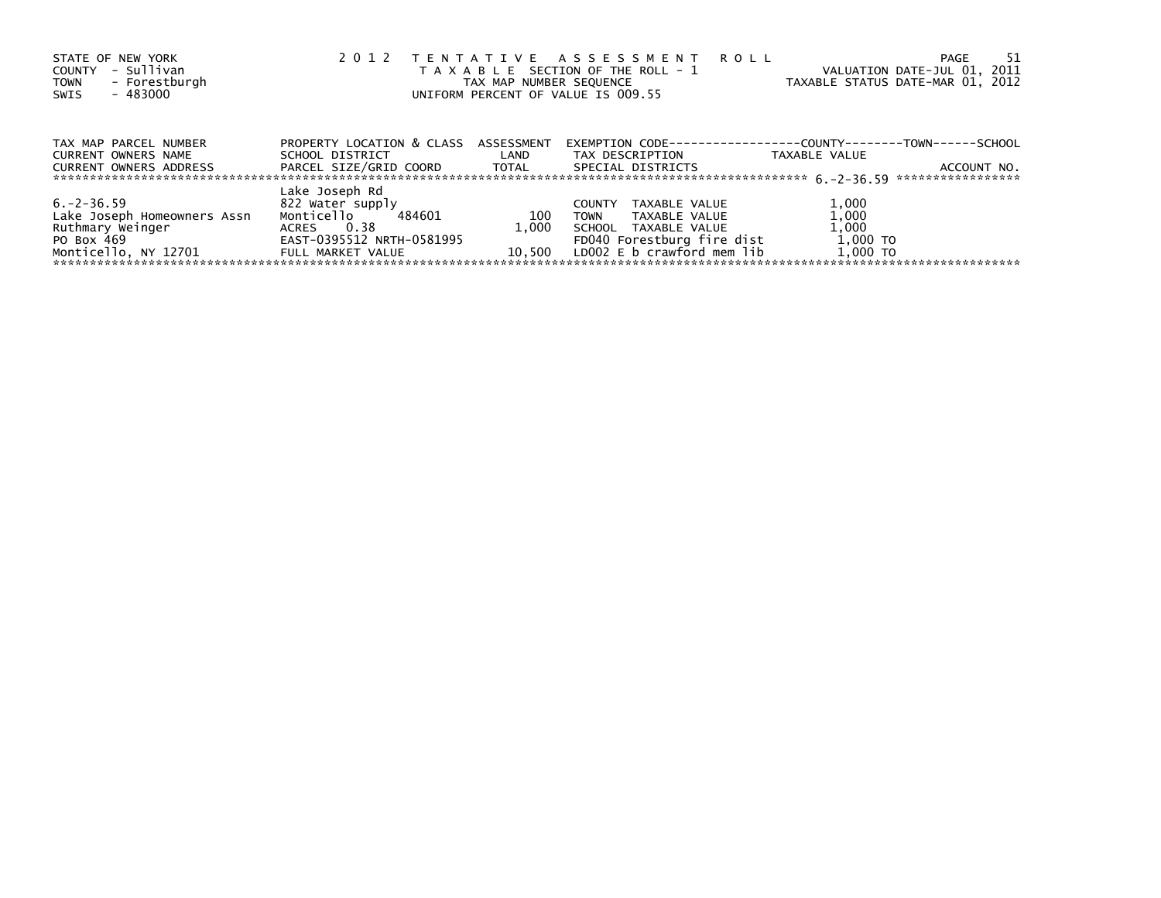| STATE OF NEW YORK<br>- Sullivan<br>COUNTY<br>- Forestburgh<br><b>TOWN</b><br>- 483000<br>SWIS | 2 0 1 2                                                 |                   | TENTATIVE ASSESSMENT<br><b>ROLL</b><br>T A X A B L E SECTION OF THE ROLL - 1<br>TAX MAP NUMBER SEQUENCE<br>UNIFORM PERCENT OF VALUE IS 009.55 | VALUATION DATE-JUL 01, 2011<br>TAXABLE STATUS DATE-MAR 01, 2012 | 51<br>PAGE                       |
|-----------------------------------------------------------------------------------------------|---------------------------------------------------------|-------------------|-----------------------------------------------------------------------------------------------------------------------------------------------|-----------------------------------------------------------------|----------------------------------|
| TAX MAP PARCEL NUMBER<br>CURRENT OWNERS NAME                                                  | PROPERTY LOCATION & CLASS ASSESSMENT<br>SCHOOL DISTRICT | <b>Example 12</b> | EXEMPTION        CODE-----------------COUNTY--------TOWN------SCHOOL<br>TAX DESCRIPTION                                                       | TAXABLE VALUE                                                   |                                  |
| CURRENT OWNERS ADDRESS                                                                        | PARCEL SIZE/GRID COORD TOTAL                            |                   | SPECIAL DISTRICTS                                                                                                                             |                                                                 | ACCOUNT NO.<br>***************** |
|                                                                                               | Lake Joseph Rd                                          |                   |                                                                                                                                               |                                                                 |                                  |
| $6. -2 - 36.59$                                                                               | 822 Water supply                                        |                   | TAXABLE VALUE<br><b>COUNTY</b>                                                                                                                | 1,000                                                           |                                  |
| Lake Joseph Homeowners Assn                                                                   | Monticello<br>484601                                    | 100               | <b>TOWN</b><br>TAXABLE VALUE                                                                                                                  | 1,000                                                           |                                  |
| Ruthmary Weinger                                                                              | ACRES 0.38                                              | 1.000             | SCHOOL TAXABLE VALUE                                                                                                                          | 1,000                                                           |                                  |
| PO Box 469                                                                                    | EAST-0395512 NRTH-0581995                               |                   | FD040 Forestburg fire dist                                                                                                                    | 1,000 TO                                                        |                                  |
| Monticello, NY 12701                                                                          | FULL MARKET VALUE                                       | 10.500            | LDOO2 E b crawford mem lib                                                                                                                    | 1,000 TO                                                        |                                  |
|                                                                                               |                                                         |                   |                                                                                                                                               |                                                                 |                                  |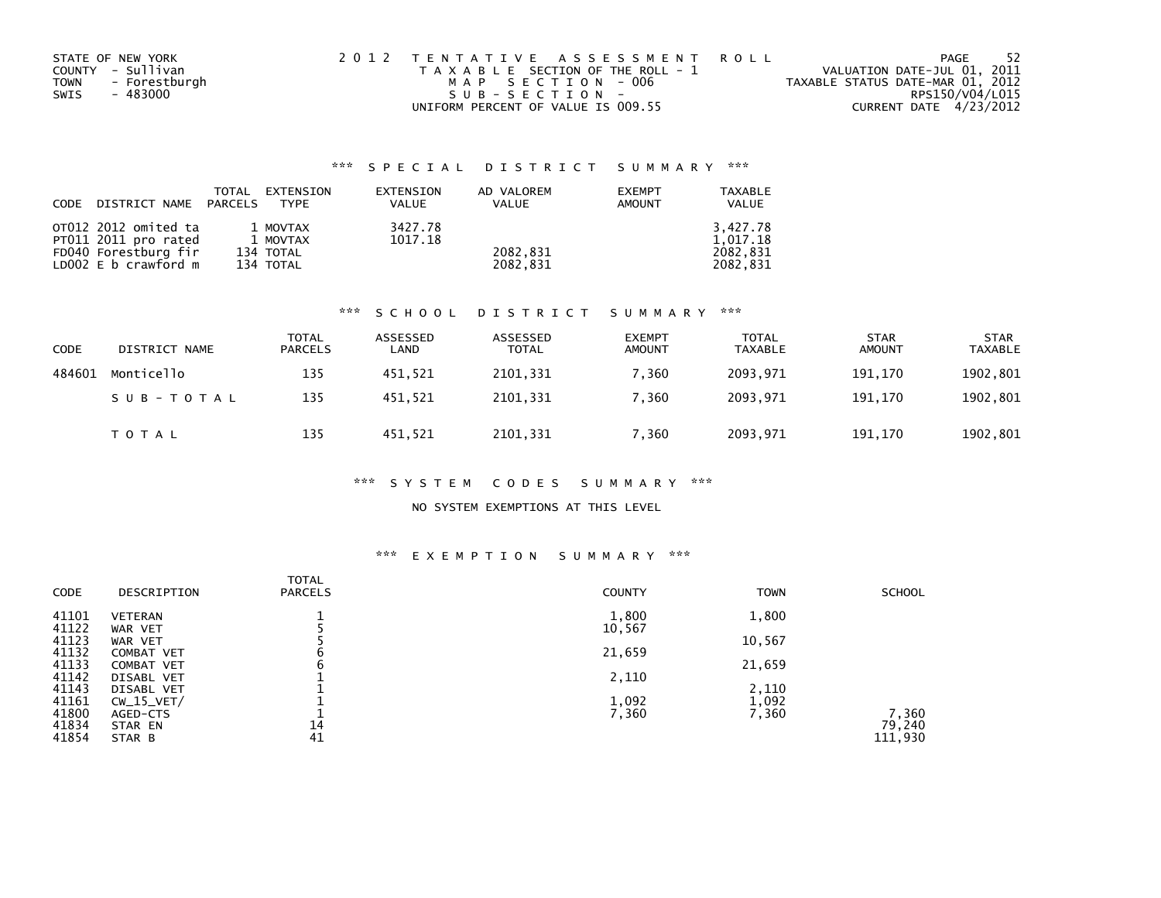| STATE OF NEW YORK            | 2012 TENTATIVE ASSESSMENT ROLL        | PAGE                             | -52             |
|------------------------------|---------------------------------------|----------------------------------|-----------------|
| COUNTY - Sullivan            | T A X A B L E SECTION OF THE ROLL - 1 | VALUATION DATE-JUL 01, 2011      |                 |
| <b>TOWN</b><br>- Forestburgh | MAP SECTION - 006                     | TAXABLE STATUS DATE-MAR 01, 2012 |                 |
| SWIS<br>- 483000             | SUB-SECTION-                          |                                  | RPS150/V04/L015 |
|                              | UNIFORM PERCENT OF VALUE IS 009.55    | CURRENT DATE 4/23/2012           |                 |

| CODE DISTRICT NAME PARCELS | TOTAL | EXTENSION<br><b>TYPF</b> | EXTENSION<br><b>VALUE</b> | AD VALOREM<br>VALUE | <b>EXEMPT</b><br><b>AMOUNT</b> | TAXABLE<br><b>VALUE</b> |
|----------------------------|-------|--------------------------|---------------------------|---------------------|--------------------------------|-------------------------|
| OT012 2012 omited ta       |       | 1 MOVTAX                 | 3427.78                   |                     |                                | 3.427.78                |
| PT011 2011 pro rated       |       | 1 MOVTAX                 | 1017.18                   |                     |                                | 1.017.18                |
| FD040 Forestburg fir       |       | 134 TOTAL                |                           | 2082.831            |                                | 2082.831                |
| LD002 E b crawford m       |       | 134 TOTAL                |                           | 2082.831            |                                | 2082.831                |

#### \*\*\* S C H O O L D I S T R I C T S U M M A R Y \*\*\*

| CODE   | DISTRICT NAME | <b>TOTAL</b><br><b>PARCELS</b> | ASSESSED<br>LAND | ASSESSED<br><b>TOTAL</b> | <b>EXEMPT</b><br><b>AMOUNT</b> | <b>TOTAL</b><br><b>TAXABLE</b> | <b>STAR</b><br><b>AMOUNT</b> | <b>STAR</b><br><b>TAXABLE</b> |
|--------|---------------|--------------------------------|------------------|--------------------------|--------------------------------|--------------------------------|------------------------------|-------------------------------|
| 484601 | Monticello    | 135                            | 451.521          | 2101,331                 | 7.360                          | 2093.971                       | 191.170                      | 1902,801                      |
|        | SUB-TOTAL     | 135                            | 451.521          | 2101.331                 | 7.360                          | 2093.971                       | 191.170                      | 1902,801                      |
|        | T O T A L     | 135                            | 451,521          | 2101,331                 | 7,360                          | 2093,971                       | 191,170                      | 1902,801                      |

#### \*\*\* S Y S T E M C O D E S S U M M A R Y \*\*\*

## NO SYSTEM EXEMPTIONS AT THIS LEVEL

# \*\*\* E X E M P T I O N S U M M A R Y \*\*\*

| CODE  | DESCRIPTION       | TOTAL<br><b>PARCELS</b> | <b>COUNTY</b> | <b>TOWN</b> | <b>SCHOOL</b>   |
|-------|-------------------|-------------------------|---------------|-------------|-----------------|
| 41101 | <b>VETERAN</b>    |                         | 1,800         | 1,800       |                 |
| 41122 | WAR VET           |                         | 10,567        |             |                 |
| 41123 | WAR VET           |                         |               | 10,567      |                 |
| 41132 | <b>COMBAT VET</b> | c                       | 21,659        |             |                 |
| 41133 | <b>COMBAT VET</b> | b                       |               | 21,659      |                 |
| 41142 | DISABL VET        |                         | 2,110         |             |                 |
| 41143 | DISABL VET        |                         |               | 2,110       |                 |
| 41161 | $CW_15_VET/$      |                         | 1,092         | 1,092       |                 |
| 41800 | AGED-CTS          |                         | 7,360         | 7,360       | 7,360<br>79,240 |
| 41834 | STAR EN           | 14                      |               |             |                 |
| 41854 | STAR B            | 41                      |               |             | 111,930         |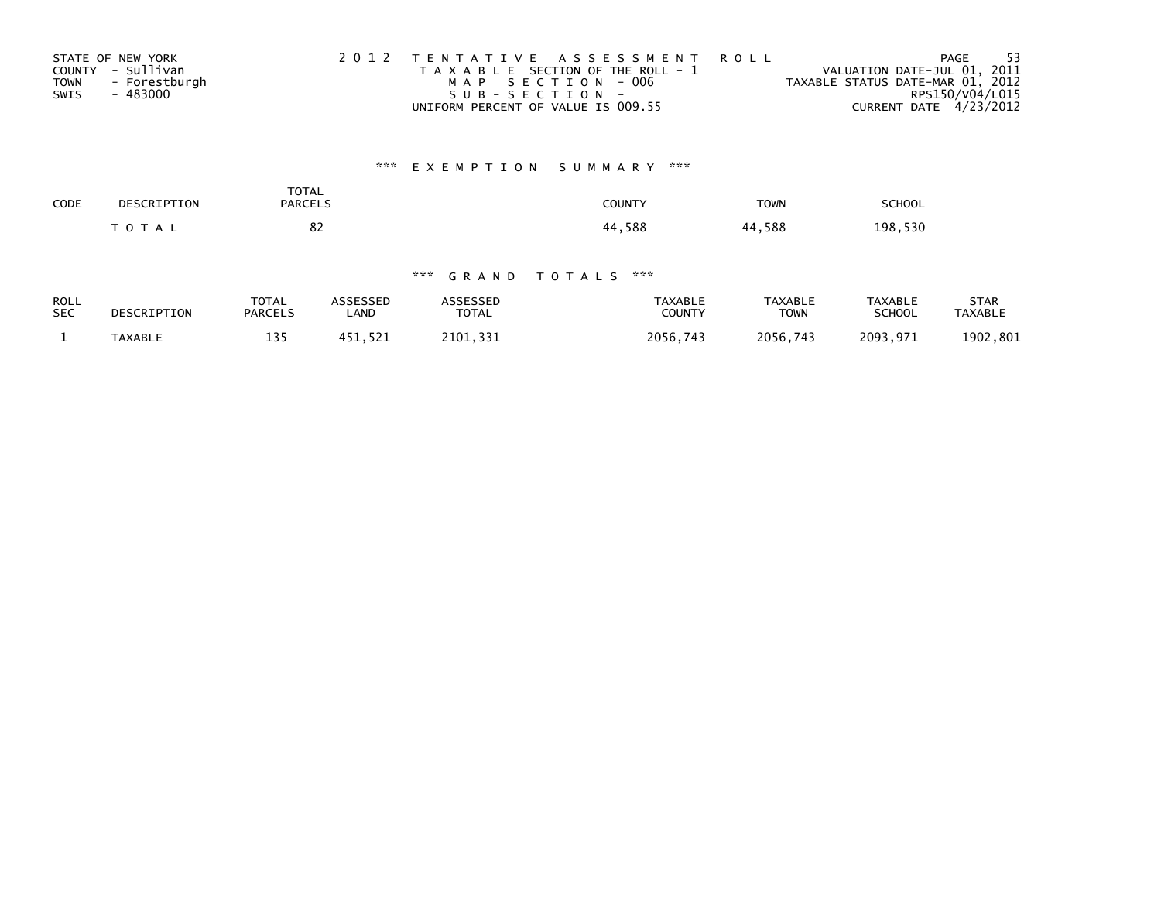| STATE OF NEW YORK            | 2012 TENTATIVE ASSESSMENT ROLL        | PAGE                             | - 53 |
|------------------------------|---------------------------------------|----------------------------------|------|
| COUNTY - Sullivan            | T A X A B L E SECTION OF THE ROLL - 1 | VALUATION DATE-JUL 01, 2011      |      |
| - Forestburgh<br><b>TOWN</b> | MAP SECTION - 006                     | TAXABLE STATUS DATE-MAR 01, 2012 |      |
| - 483000<br>SWIS             | SUB-SECTION-                          | RPS150/V04/L015                  |      |
|                              | UNIFORM PERCENT OF VALUE IS 009.55    | CURRENT DATE 4/23/2012           |      |

# \*\*\* E X E M P T I O N S U M M A R Y \*\*\*

| SCHOOL  | <b>TOWN</b> | COUNTY | <b>TOTAL</b><br><b>PARCELS</b> | DESCRIPTION    | CODE |
|---------|-------------|--------|--------------------------------|----------------|------|
| 198,530 | 44,588      | 44,588 | <u>ດ-</u><br>٥۷<br>$\sim$      | $\tau$ O T A L |      |

| <b>ROLL</b> | DESCRIPTION    | <b>TOTAL</b>   | ASSESSED | <b>ASSESSED</b> | TAXABLE       | <b>TAXABLE</b> | <b>TAXABLE</b> | STAR           |
|-------------|----------------|----------------|----------|-----------------|---------------|----------------|----------------|----------------|
| <b>SEC</b>  |                | <b>PARCELS</b> | LAND     | <b>TOTAL</b>    | <b>COUNTY</b> | TOWN           | <b>SCHOOL</b>  | <b>TAXABLE</b> |
|             | <b>TAXABLE</b> | 135            | 451.521  | 2101.331        | 2056.743      | 2056,743       | 2093,971       | 1902,801       |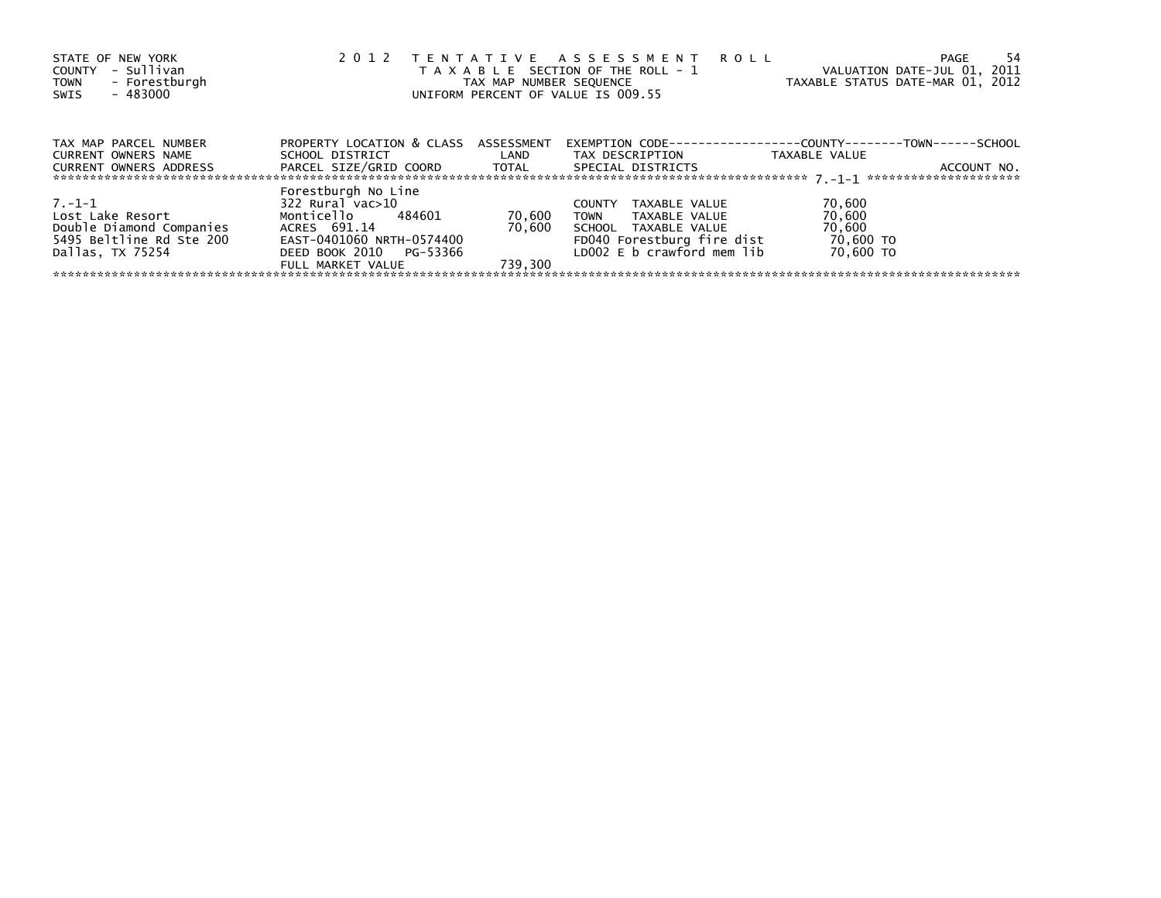| STATE OF NEW YORK<br>- Sullivan<br>COUNTY<br>TOWN - Forestburgh<br>- 483000<br>SWIS |                                                                           |                   | 2012 TENTATIVE ASSESSMENT<br><b>ROLL</b><br>T A X A B L E SECTION OF THE ROLL - 1<br>TAX MAP NUMBER SEQUENCE<br>UNIFORM PERCENT OF VALUE IS 009.55 | VALUATION DATE-JUL 01, 2011<br>TAXABLE STATUS DATE-MAR 01, 2012 | -54<br>PAGE |
|-------------------------------------------------------------------------------------|---------------------------------------------------------------------------|-------------------|----------------------------------------------------------------------------------------------------------------------------------------------------|-----------------------------------------------------------------|-------------|
| TAX MAP PARCEL NUMBER<br><b>CURRENT OWNERS NAME</b>                                 | PROPERTY LOCATION & CLASS ASSESSMENT<br>SCHOOL DISTRICT                   | <b>Example 12</b> | EXEMPTION        CODE-----------------COUNTY--------TOWN------SCHOOL<br>TAX DESCRIPTION                                                            | TAXABLE VALUE                                                   |             |
| CURRENT OWNERS ADDRESS                                                              |                                                                           |                   | SPECIAL DISTRICTS                                                                                                                                  |                                                                 | ACCOUNT NO. |
| $7.-1-1$                                                                            | Forestburgh No Line<br>$322$ Rural vac $>10$                              |                   | TAXABLE VALUE<br><b>COUNTY</b>                                                                                                                     | 70,600                                                          |             |
| Lost Lake Resort<br>Double Diamond Companies                                        | Monticello 484601<br>ACRES 691.14                                         | 70,600<br>70.600  | TOWN<br>TAXABLE VALUE<br>SCHOOL TAXABLE VALUE                                                                                                      | 70,600<br>70,600                                                |             |
| 5495 Beltline Rd Ste 200<br>Dallas, TX 75254                                        | EAST-0401060 NRTH-0574400<br>DEED BOOK 2010 PG-53366<br>FULL MARKET VALUE | 739.300           | FD040 Forestburg fire dist<br>LD002 E b crawford mem lib                                                                                           | 70,600 TO<br>70.600 TO                                          |             |
|                                                                                     |                                                                           |                   |                                                                                                                                                    |                                                                 |             |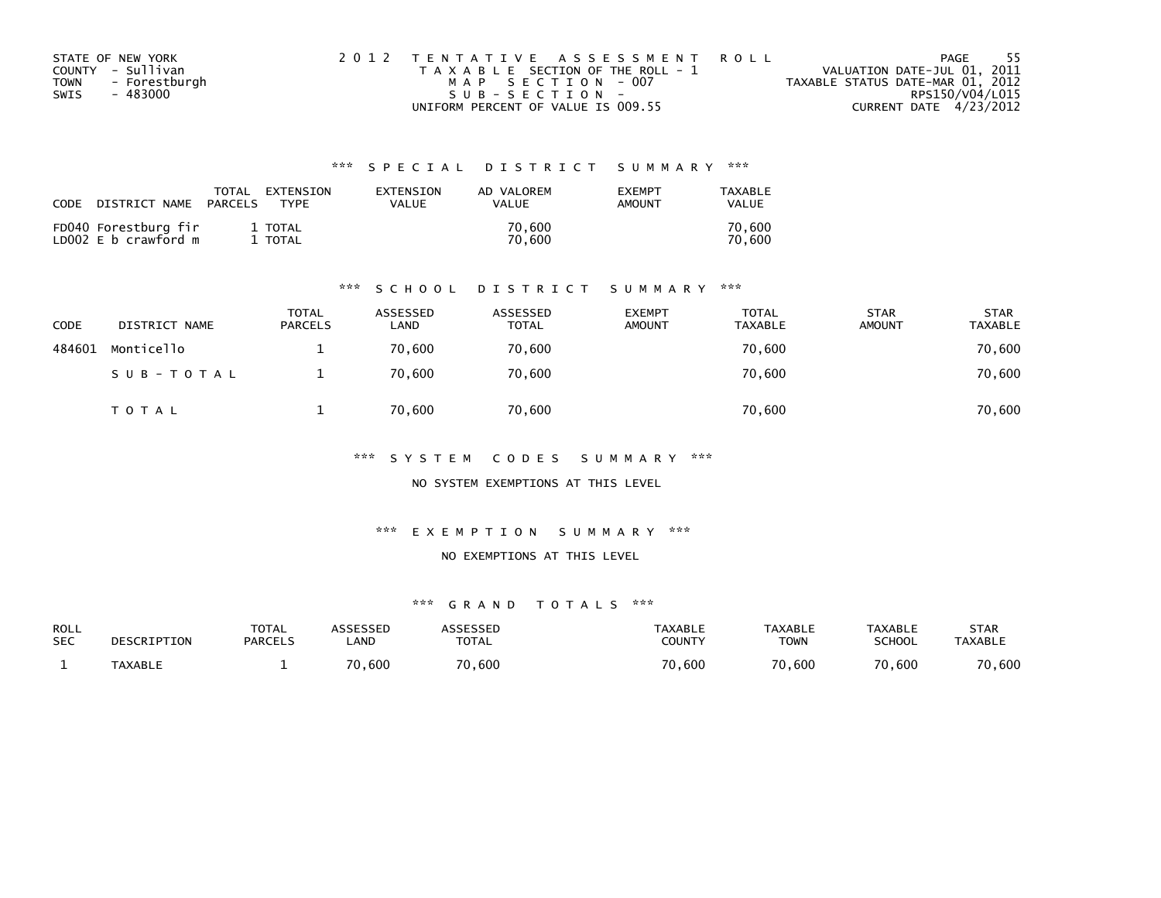| STATE OF NEW YORK            | 2012 TENTATIVE ASSESSMENT ROLL        | - 55<br>PAGE                     |
|------------------------------|---------------------------------------|----------------------------------|
| COUNTY - Sullivan            | T A X A B L E SECTION OF THE ROLL - 1 | VALUATION DATE-JUL 01, 2011      |
| - Forestburgh<br><b>TOWN</b> | MAP SECTION - 007                     | TAXABLE STATUS DATE-MAR 01, 2012 |
| - 483000<br>SWIS             | SUB-SECTION-                          | RPS150/V04/L015                  |
|                              | UNIFORM PERCENT OF VALUE IS 009.55    | CURRENT DATE 4/23/2012           |

| CODE | DISTRICT NAME                                | TOTAL<br>PARCELS | EXTENSION<br><b>TYPF</b> | EXTENSION<br><b>VALUE</b> | AD VALOREM<br>VALUE | <b>EXEMPT</b><br>AMOUNT | TAXABLE<br>VALUE |
|------|----------------------------------------------|------------------|--------------------------|---------------------------|---------------------|-------------------------|------------------|
|      | FD040 Forestburg fir<br>LD002 E b crawford m |                  | 1 TOTAL<br>TOTAL         |                           | 70.600<br>70.600    |                         | 70.600<br>70.600 |

#### \*\*\* S C H O O L D I S T R I C T S U M M A R Y \*\*\*

| CODE   | DISTRICT NAME | <b>TOTAL</b><br><b>PARCELS</b> | ASSESSED<br>LAND | ASSESSED<br><b>TOTAL</b> | <b>EXEMPT</b><br><b>AMOUNT</b> | <b>TOTAL</b><br><b>TAXABLE</b> | <b>STAR</b><br><b>AMOUNT</b> | <b>STAR</b><br><b>TAXABLE</b> |
|--------|---------------|--------------------------------|------------------|--------------------------|--------------------------------|--------------------------------|------------------------------|-------------------------------|
| 484601 | Monticello    |                                | 70.600           | 70,600                   |                                | 70,600                         |                              | 70,600                        |
|        | SUB-TOTAL     |                                | 70.600           | 70,600                   |                                | 70,600                         |                              | 70,600                        |
|        | T O T A L     |                                | 70,600           | 70,600                   |                                | 70,600                         |                              | 70,600                        |

\*\*\* S Y S T E M C O D E S S U M M A R Y \*\*\*

NO SYSTEM EXEMPTIONS AT THIS LEVEL

\*\*\* E X E M P T I O N S U M M A R Y \*\*\*

#### NO EXEMPTIONS AT THIS LEVEL

| ROLL       | DESCRIPTION    | <b>TOTAL</b>   | ASSESSED    | <b>ASSESSED</b> | TAXABLE | <b>TAXABLE</b> | <b>TAXABLE</b> | STAR           |
|------------|----------------|----------------|-------------|-----------------|---------|----------------|----------------|----------------|
| <b>SEC</b> |                | <b>PARCELS</b> | <b>_AND</b> | <b>TOTAL</b>    | COUNTY  | <b>TOWN</b>    | <b>SCHOOL</b>  | <b>TAXABLE</b> |
|            | <b>TAXABLE</b> |                | 70,600      | 70,600          | 70,600  | 70,600         | 70,600         | 70,600         |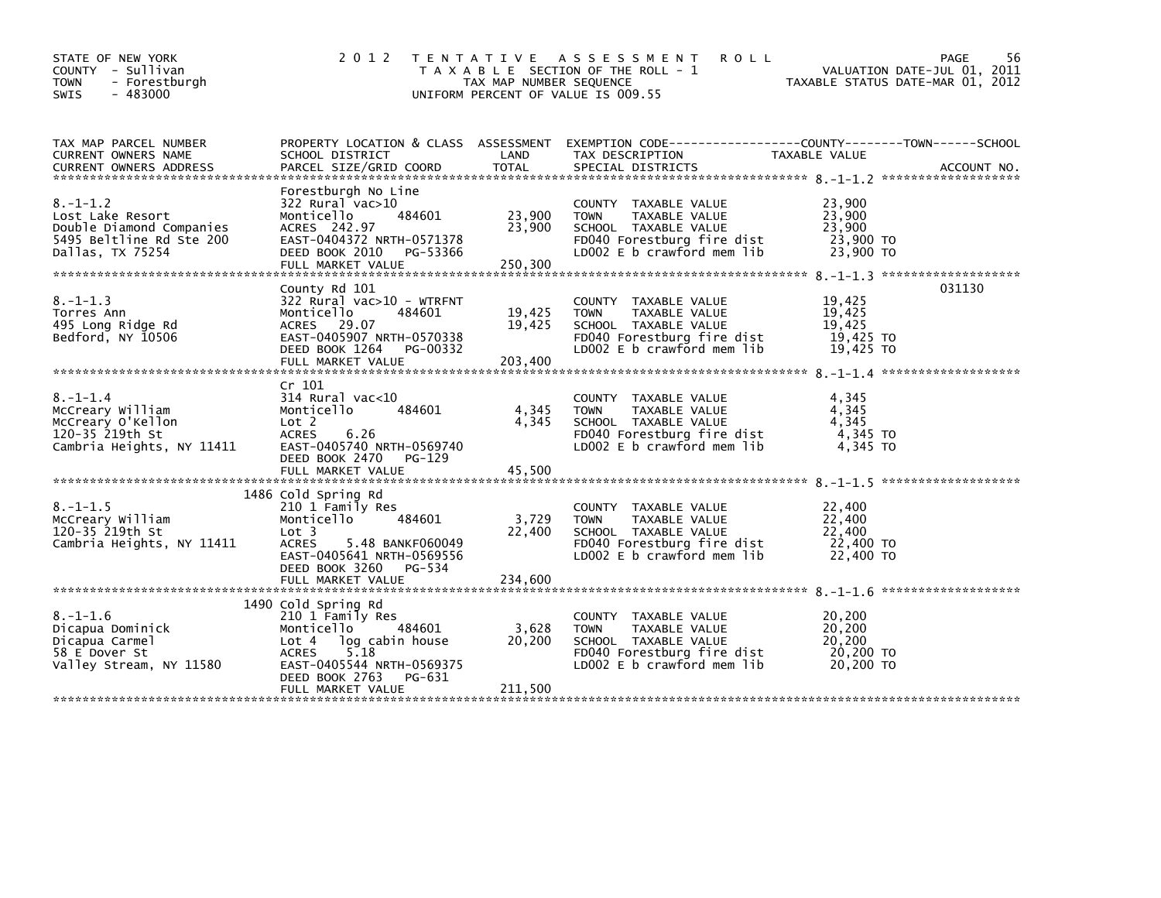| STATE OF NEW YORK<br>COUNTY - Sullivan<br><b>TOWN</b><br>- Forestburgh<br>$-483000$<br><b>SWIS</b>             | 2 0 1 2                                                                                                                                                                                        | TAX MAP NUMBER SEQUENCE     | TENTATIVE ASSESSMENT<br><b>ROLL</b><br>T A X A B L E SECTION OF THE ROLL - 1<br>UNIFORM PERCENT OF VALUE IS 009.55                         |                                                      | 56<br>PAGE<br>VALUATION DATE-JUL 01, 2011<br>TAXABLE STATUS DATE-MAR 01, 2012 |
|----------------------------------------------------------------------------------------------------------------|------------------------------------------------------------------------------------------------------------------------------------------------------------------------------------------------|-----------------------------|--------------------------------------------------------------------------------------------------------------------------------------------|------------------------------------------------------|-------------------------------------------------------------------------------|
| TAX MAP PARCEL NUMBER<br>CURRENT OWNERS NAME                                                                   | SCHOOL DISTRICT                                                                                                                                                                                | LAND<br><b>TOTAL</b>        | PROPERTY LOCATION & CLASS ASSESSMENT EXEMPTION CODE----------------COUNTY-------TOWN------SCHOOL<br>TAX DESCRIPTION                        | TAXABLE VALUE                                        |                                                                               |
| $8. - 1 - 1.2$<br>Lost Lake Resort<br>Double Diamond Companies<br>5495 Beltline Rd Ste 200<br>Dallas, TX 75254 | Forestburgh No Line<br>322 Rural vac>10<br>484601<br>Monticello<br>ACRES 242.97<br>EAST-0404372 NRTH-0571378<br>DEED BOOK 2010<br>PG-53366<br>FULL MARKET VALUE                                | 23,900<br>23,900<br>250,300 | COUNTY TAXABLE VALUE<br>TAXABLE VALUE<br><b>TOWN</b><br>SCHOOL TAXABLE VALUE<br>FD040 Forestburg fire dist<br>LD002 E b crawford mem lib   | 23,900<br>23,900<br>23,900<br>23,900 TO<br>23,900 TO |                                                                               |
| $8. - 1 - 1.3$<br>Torres Ann<br>495 Long Ridge Rd<br>Bedford, NY 10506                                         | County Rd 101<br>$322$ Rural vac>10 - WTRFNT<br>Monticello<br>484601<br>ACRES 29.07<br>EAST-0405907 NRTH-0570338<br>DEED BOOK 1264<br>PG-00332<br>FULL MARKET VALUE                            | 19,425<br>19,425<br>203,400 | COUNTY TAXABLE VALUE<br><b>TOWN</b><br>TAXABLE VALUE<br>SCHOOL TAXABLE VALUE<br>FD040 Forestburg fire dist<br>LD002 E b crawford mem lib   | 19,425<br>19,425<br>19,425<br>19,425 TO<br>19,425 TO | 031130                                                                        |
| $8. - 1 - 1.4$<br>McCreary William<br>McCreary O'Kellon<br>120-35 219th St<br>Cambria Heights, NY 11411        | Cr 101<br>$314$ Rural vac<10<br>484601<br>Monticello<br>Lot 2<br><b>ACRES</b><br>6.26<br>EAST-0405740 NRTH-0569740<br>DEED BOOK 2470 PG-129<br>FULL MARKET VALUE                               | 4,345<br>4,345<br>45,500    | COUNTY TAXABLE VALUE<br>TAXABLE VALUE<br><b>TOWN</b><br>SCHOOL TAXABLE VALUE<br>FD040 Forestburg fire dist<br>LD002 E b crawford mem lib   | 4,345<br>4,345<br>4,345<br>4,345 TO<br>4,345 TO      |                                                                               |
| $8. - 1 - 1.5$<br>McCreary William<br>120-35 219th St<br>Cambria Heights, NY 11411                             | 1486 Cold Spring Rd<br>210 1 Family Res<br>Monticello<br>484601<br>Lot 3<br><b>ACRES</b><br>5.48 BANKF060049<br>EAST-0405641 NRTH-0569556<br>DEED BOOK 3260 PG-534<br>FULL MARKET VALUE        | 3,729<br>22,400<br>234,600  | COUNTY TAXABLE VALUE<br><b>TOWN</b><br>TAXABLE VALUE<br>SCHOOL TAXABLE VALUE<br>FD040 Forestburg fire dist<br>$LD002 E b$ crawford mem lib | 22,400<br>22,400<br>22,400<br>22,400 TO<br>22,400 TO |                                                                               |
| $8. - 1 - 1.6$<br>Dicapua Dominick<br>Dicapua Carmel<br>58 E Dover St<br>Valley Stream, NY 11580               | 1490 Cold Spring Rd<br>210 1 Family Res<br>Monticello<br>484601<br>Lot 4 log cabin house<br>5.18<br><b>ACRES</b><br>EAST-0405544 NRTH-0569375<br>DEED BOOK 2763<br>PG-631<br>FULL MARKET VALUE | 3,628<br>20,200<br>211,500  | COUNTY TAXABLE VALUE<br>TAXABLE VALUE<br><b>TOWN</b><br>SCHOOL TAXABLE VALUE<br>FD040 Forestburg fire dist<br>LD002 E b crawford mem lib   | 20,200<br>20,200<br>20,200<br>20,200 TO<br>20,200 TO |                                                                               |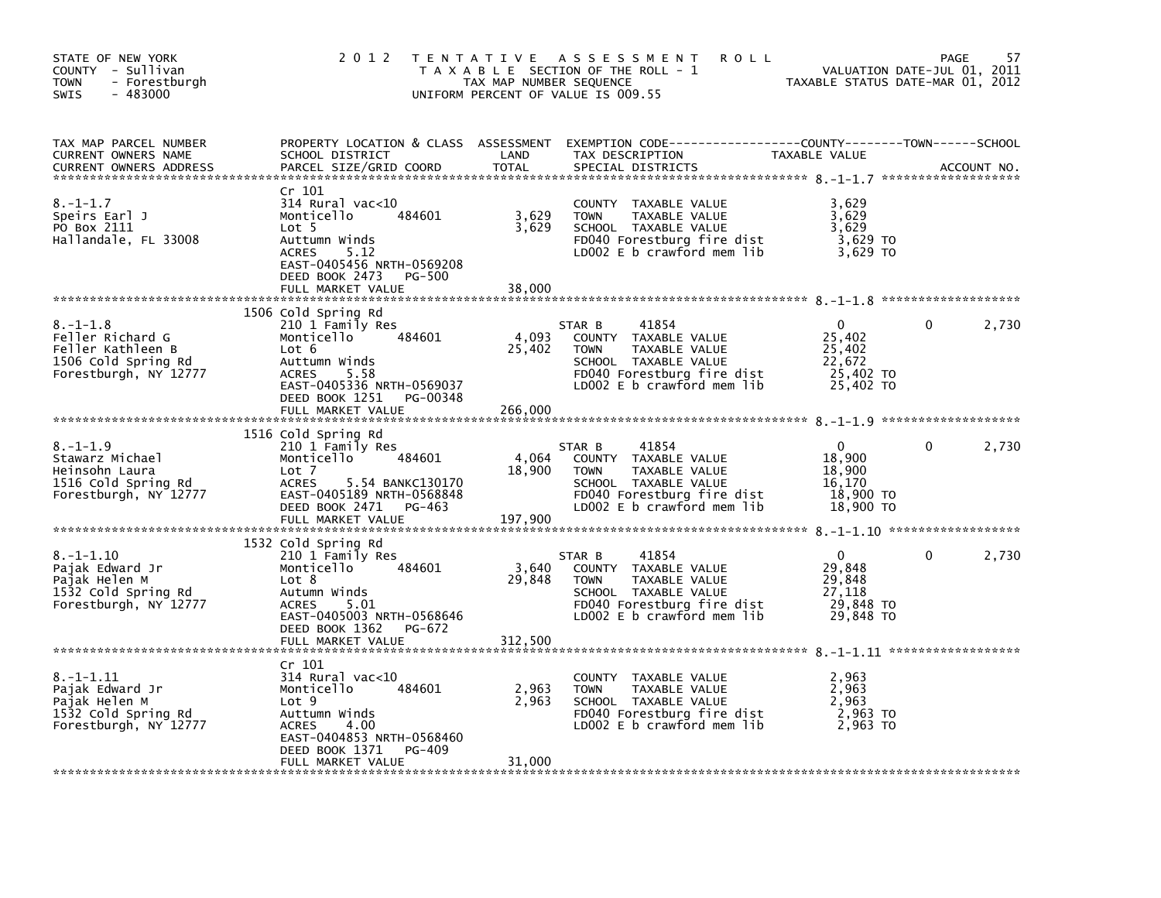| STATE OF NEW YORK<br>COUNTY - Sullivan<br>- Forestburgh<br><b>TOWN</b><br>$-483000$<br><b>SWIS</b>      | 2 0 1 2                                                                                                                                                                                    | TAX MAP NUMBER SEQUENCE    | TENTATIVE ASSESSMENT<br><b>ROLL</b><br>T A X A B L E SECTION OF THE ROLL - 1<br>UNIFORM PERCENT OF VALUE IS 009.55                                          | TAXABLE STATUS DATE-MAR 01, 2012                                     | PAGE<br>VALUATION DATE-JUL 01, 2011 | 57          |
|---------------------------------------------------------------------------------------------------------|--------------------------------------------------------------------------------------------------------------------------------------------------------------------------------------------|----------------------------|-------------------------------------------------------------------------------------------------------------------------------------------------------------|----------------------------------------------------------------------|-------------------------------------|-------------|
| TAX MAP PARCEL NUMBER<br>CURRENT OWNERS NAME<br>CURRENT OWNERS ADDRESS                                  | SCHOOL DISTRICT<br>PARCEL SIZE/GRID COORD                                                                                                                                                  | LAND<br>TOTAL              | PROPERTY LOCATION & CLASS ASSESSMENT EXEMPTION CODE---------------COUNTY-------TOWN-----SCHOOL<br>TAX DESCRIPTION<br>SPECIAL DISTRICTS                      | TAXABLE VALUE                                                        |                                     | ACCOUNT NO. |
| $8. - 1 - 1.7$<br>Speirs Earl J<br>PO Box 2111<br>Hallandale, FL 33008                                  | Cr 101<br>$314$ Rural vac<10<br>484601<br>Monticello<br>Lot 5<br>Auttumn Winds<br><b>ACRES</b><br>5.12<br>EAST-0405456 NRTH-0569208<br>DEED BOOK 2473<br><b>PG-500</b>                     | 3,629<br>3,629             | COUNTY TAXABLE VALUE<br><b>TOWN</b><br>TAXABLE VALUE<br>SCHOOL TAXABLE VALUE<br>FD040 Forestburg fire dist<br>LD002 $E$ b crawford mem $lib$                | 3,629<br>3,629<br>3,629<br>3,629 TO<br>3.629 TO                      |                                     |             |
|                                                                                                         | FULL MARKET VALUE                                                                                                                                                                          | 38,000                     |                                                                                                                                                             |                                                                      |                                     |             |
| $8. - 1 - 1.8$<br>Feller Richard G<br>Feller Kathleen B<br>1506 Cold Spring Rd<br>Forestburgh, NY 12777 | 1506 Cold Spring Rd<br>210 1 Family Res<br>Monticello<br>484601<br>Lot 6<br>Auttumn Winds<br><b>ACRES</b><br>5.58<br>EAST-0405336 NRTH-0569037                                             | 4,093<br>25,402            | 41854<br>STAR B<br>COUNTY TAXABLE VALUE<br><b>TOWN</b><br>TAXABLE VALUE<br>SCHOOL TAXABLE VALUE<br>FD040 Forestburg fire dist<br>LD002 E b crawford mem lib | $\mathbf{0}$<br>25,402<br>25,402<br>22,672<br>25,402 TO<br>25,402 TO | 0                                   | 2,730       |
|                                                                                                         | DEED BOOK 1251 PG-00348<br>FULL MARKET VALUE                                                                                                                                               | 266,000                    |                                                                                                                                                             |                                                                      |                                     |             |
|                                                                                                         |                                                                                                                                                                                            |                            |                                                                                                                                                             |                                                                      |                                     |             |
| $8. - 1 - 1.9$<br>Stawarz Michael<br>Heinsohn Laura<br>1516 Cold Spring Rd<br>Forestburgh, NY 12777     | 1516 Cold Spring Rd<br>210 1 Family Res<br>484601<br>Monticello<br>Lot 7<br><b>ACRES</b><br>5.54 BANKC130170<br>EAST-0405189 NRTH-0568848<br>DEED BOOK 2471<br>PG-463<br>FULL MARKET VALUE | 4,064<br>18,900<br>197,900 | 41854<br>STAR B<br>COUNTY TAXABLE VALUE<br><b>TOWN</b><br>TAXABLE VALUE<br>SCHOOL TAXABLE VALUE<br>FD040 Forestburg fire dist<br>LD002 E b crawford mem lib | $\mathbf{0}$<br>18,900<br>18,900<br>16,170<br>18,900 TO<br>18,900 TO | 0                                   | 2,730       |
|                                                                                                         | 1532 Cold Spring Rd                                                                                                                                                                        |                            |                                                                                                                                                             |                                                                      |                                     |             |
| $8. - 1 - 1.10$<br>Pajak Edward Jr<br>Pajak Helen M<br>1532 Cold Spring Rd<br>Forestburgh, NY 12777     | 210 1 Family Res<br>484601<br>Monticello<br>Lot 8<br>Autumn Winds<br>5.01<br><b>ACRES</b><br>EAST-0405003 NRTH-0568646<br>DEED BOOK 1362<br>PG-672<br>FULL MARKET VALUE                    | 3,640<br>29,848<br>312.500 | 41854<br>STAR B<br>COUNTY TAXABLE VALUE<br><b>TOWN</b><br>TAXABLE VALUE<br>SCHOOL TAXABLE VALUE<br>FD040 Forestburg fire dist<br>LD002 E b crawford mem lib | $\mathbf{0}$<br>29,848<br>29,848<br>27.118<br>29,848 TO<br>29,848 TO | 0                                   | 2,730       |
|                                                                                                         |                                                                                                                                                                                            |                            |                                                                                                                                                             |                                                                      |                                     |             |
| $8. - 1 - 1.11$<br>Pajak Edward Jr<br>Pajak Helen M<br>1532 Cold Spring Rd<br>Forestburgh, NY 12777     | Cr 101<br>$314$ Rural vac<10<br>Monticello<br>484601<br>Lot 9<br>Auttumn Winds<br><b>ACRES</b><br>4.00<br>EAST-0404853 NRTH-0568460<br>PG-409<br>DEED BOOK 1371                            | 2,963<br>2,963             | COUNTY TAXABLE VALUE<br><b>TOWN</b><br>TAXABLE VALUE<br>SCHOOL TAXABLE VALUE<br>FD040 Forestburg fire dist<br>LD002 $E$ b crawford mem lib                  | 2,963<br>2,963<br>2,963<br>2,963 TO<br>2.963 TO                      |                                     |             |
|                                                                                                         | FULL MARKET VALUE                                                                                                                                                                          | 31,000                     |                                                                                                                                                             |                                                                      |                                     |             |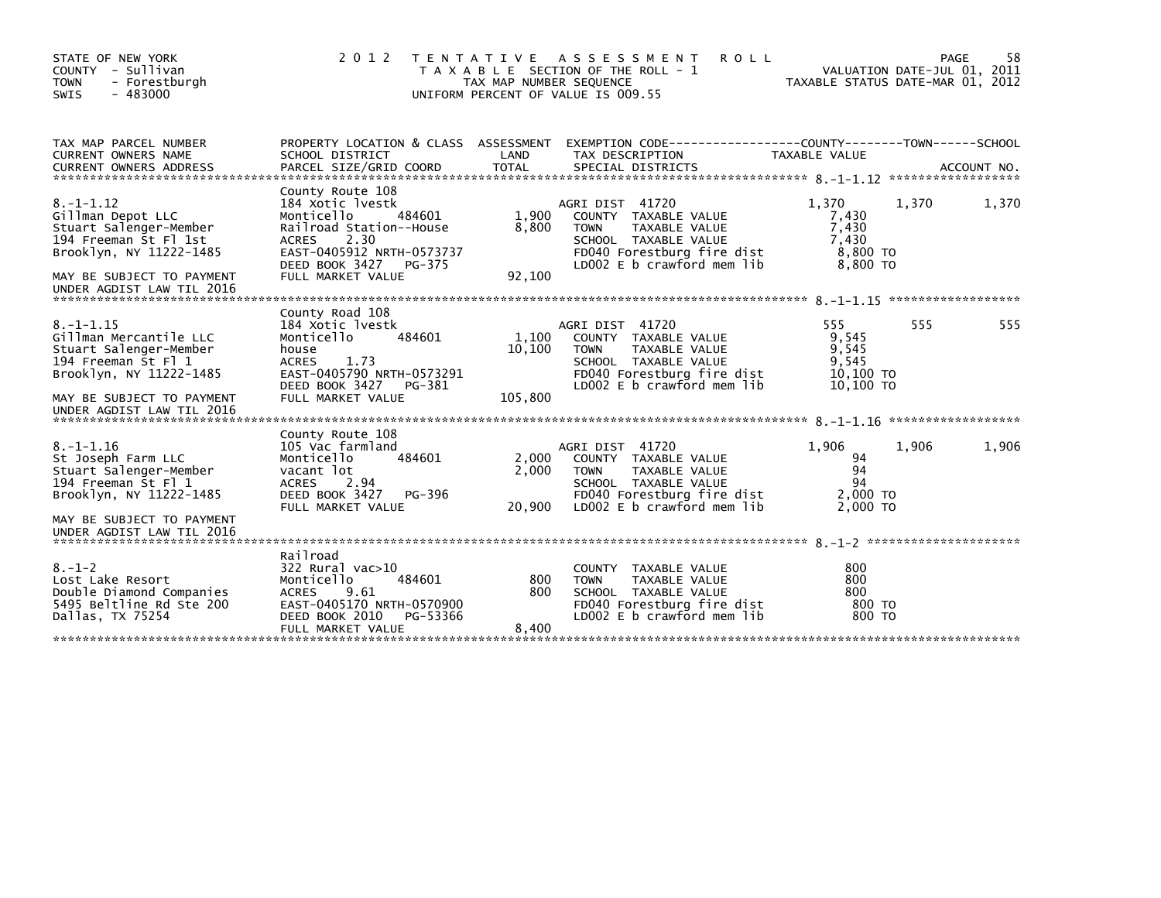| STATE OF NEW YORK<br>COUNTY - Sullivan<br><b>TOWN</b><br>- Forestburgh<br>$-483000$<br><b>SWIS</b>                                                                              | 2012                                                                                                                                                                                          | T E N T A T I V E<br>TAX MAP NUMBER SEQUENCE | A S S E S S M E N T<br><b>ROLL</b><br>T A X A B L E SECTION OF THE ROLL - 1<br>UNIFORM PERCENT OF VALUE IS 009.55                                           | TAXABLE STATUS DATE-MAR 01, 2012                         | VALUATION DATE-JUL 01, 2011 | 58<br>PAGE |
|---------------------------------------------------------------------------------------------------------------------------------------------------------------------------------|-----------------------------------------------------------------------------------------------------------------------------------------------------------------------------------------------|----------------------------------------------|-------------------------------------------------------------------------------------------------------------------------------------------------------------|----------------------------------------------------------|-----------------------------|------------|
| TAX MAP PARCEL NUMBER<br><b>CURRENT OWNERS NAME</b>                                                                                                                             | SCHOOL DISTRICT                                                                                                                                                                               | LAND                                         | PROPERTY LOCATION & CLASS ASSESSMENT EXEMPTION CODE----------------COUNTY-------TOWN-----SCHOOL<br>TAX DESCRIPTION                                          | TAXABLE VALUE                                            |                             |            |
| $8. -1 - 1.12$<br>Gillman Depot LLC<br>Stuart Salenger-Member<br>194 Freeman St Fl 1st<br>Brooklyn, NY 11222-1485<br>MAY BE SUBJECT TO PAYMENT<br>UNDER AGDIST LAW TIL 2016     | County Route 108<br>184 Xotic lyestk<br>484601<br>Monticello<br>Railroad Station--House<br>2.30<br><b>ACRES</b><br>EAST-0405912 NRTH-0573737<br>DEED BOOK 3427<br>PG-375<br>FULL MARKET VALUE | 1,900<br>8,800<br>92,100                     | AGRI DIST 41720<br>COUNTY TAXABLE VALUE<br><b>TOWN</b><br>TAXABLE VALUE<br>SCHOOL TAXABLE VALUE<br>FD040 Forestburg fire dist<br>LD002 E b crawford mem lib | 1.370<br>7,430<br>7,430<br>7,430<br>8,800 TO<br>8,800 TO | 1,370                       | 1,370      |
| $8. - 1 - 1.15$<br>Gillman Mercantile LLC<br>Stuart Salenger-Member<br>194 Freeman St Fl 1<br>Brooklyn, NY 11222-1485<br>MAY BE SUBJECT TO PAYMENT<br>UNDER AGDIST LAW TIL 2016 | County Road 108<br>184 Xotic lyestk<br>Monticello<br>484601<br>house<br><b>ACRES</b><br>1.73<br>EAST-0405790 NRTH-0573291<br>DEED BOOK 3427<br>PG-381<br>FULL MARKET VALUE                    | 1,100<br>10,100<br>105,800                   | AGRI DIST 41720<br>COUNTY TAXABLE VALUE<br><b>TOWN</b><br>TAXABLE VALUE<br>SCHOOL TAXABLE VALUE<br>FD040 Forestburg fire dist<br>LD002 E b crawford mem lib | 555<br>9,545<br>9,545<br>9,545<br>10,100 TO<br>10,100 TO | 555                         | 555        |
| $8. - 1 - 1.16$<br>St Joseph Farm LLC<br>Stuart Salenger-Member<br>194 Freeman St Fl 1<br>Brooklyn, NY 11222-1485<br>MAY BE SUBJECT TO PAYMENT<br>UNDER AGDIST LAW TIL 2016     | County Route 108<br>105 Vac farmland<br>484601<br>Monticello<br>vacant lot<br><b>ACRES</b><br>2.94<br>DEED BOOK 3427<br>PG-396<br>FULL MARKET VALUE                                           | 2,000<br>2.000<br>20,900                     | AGRI DIST 41720<br>COUNTY TAXABLE VALUE<br><b>TOWN</b><br>TAXABLE VALUE<br>SCHOOL TAXABLE VALUE<br>FD040 Forestburg fire dist<br>LD002 E b crawford mem lib | 1.906<br>94<br>94<br>94<br>2,000 TO<br>2,000 TO          | 1,906                       | 1,906      |
| $8. - 1 - 2$<br>Lost Lake Resort<br>Double Diamond Companies<br>5495 Beltline Rd Ste 200<br>Dallas, TX 75254                                                                    | Railroad<br>$322$ Rural vac $>10$<br>484601<br>Monticello<br>9.61<br><b>ACRES</b><br>EAST-0405170 NRTH-0570900<br>DEED BOOK 2010<br>PG-53366<br>FULL MARKET VALUE                             | 800<br>800<br>8,400                          | <b>COUNTY</b><br>TAXABLE VALUE<br><b>TOWN</b><br>TAXABLE VALUE<br>SCHOOL TAXABLE VALUE<br>FD040 Forestburg fire dist<br>LD002 E b crawford mem lib          | 800<br>800<br>800<br>800 TO<br>800 TO                    |                             |            |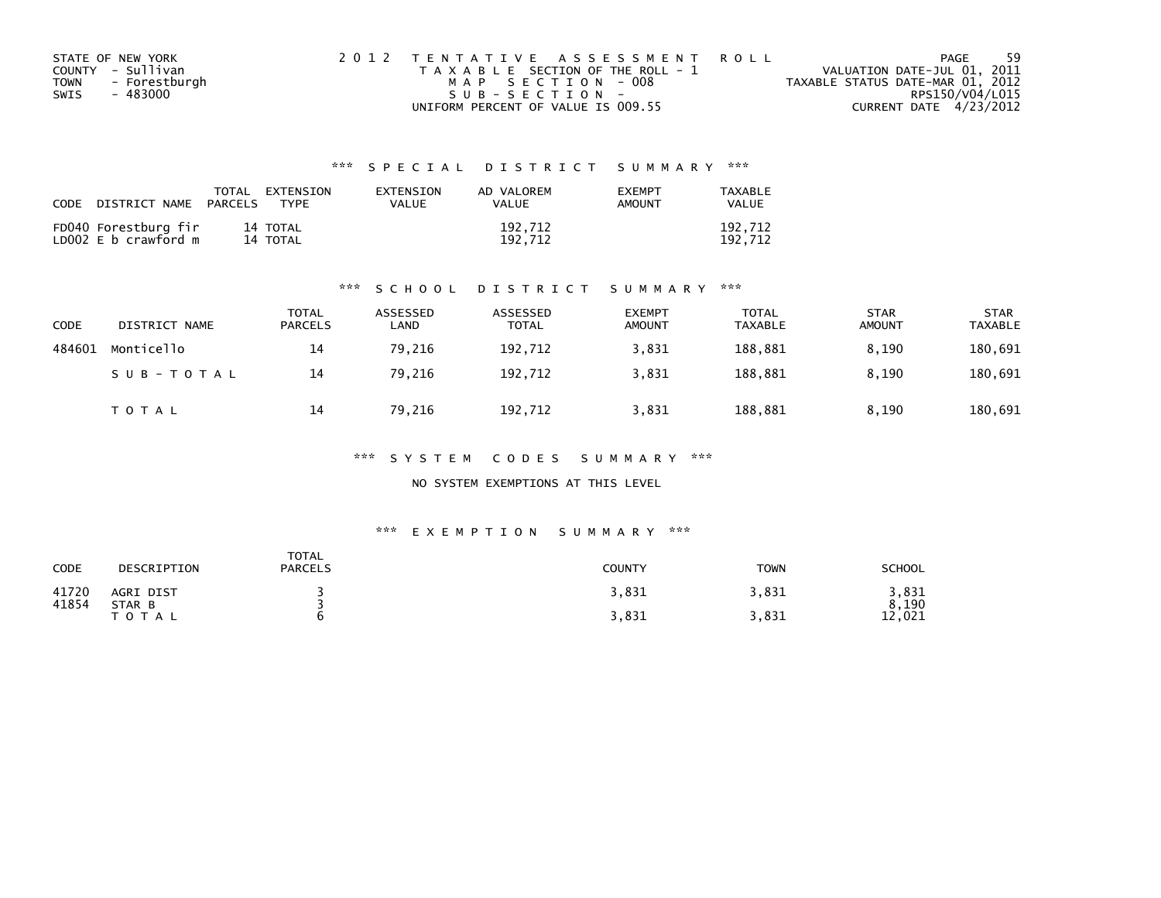| STATE OF NEW YORK            | 2012 TENTATIVE ASSESSMENT ROLL        | PAGE                             | -59 |
|------------------------------|---------------------------------------|----------------------------------|-----|
| COUNTY - Sullivan            | T A X A B L E SECTION OF THE ROLL - 1 | VALUATION DATE-JUL 01, 2011      |     |
| - Forestburgh<br><b>TOWN</b> | MAP SECTION - 008                     | TAXABLE STATUS DATE-MAR 01, 2012 |     |
| - 483000<br>SWIS             | SUB-SECTION-                          | RPS150/V04/L015                  |     |
|                              | UNIFORM PERCENT OF VALUE IS 009.55    | CURRENT DATE 4/23/2012           |     |

| <b>CODE</b> | DISTRICT NAME                                | TOTAL<br>PARCELS | EXTENSION<br>TYPF    | <b>FXTENSTON</b><br>VALUE | AD VALOREM<br>VALUE | <b>EXEMPT</b><br>AMOUNT | TAXARI F<br>VALUE  |
|-------------|----------------------------------------------|------------------|----------------------|---------------------------|---------------------|-------------------------|--------------------|
|             | FD040 Forestburg fir<br>LD002 E b crawford m |                  | 14 TOTAL<br>14 TOTAL |                           | 192,712<br>192.712  |                         | 192,712<br>192.712 |

#### \*\*\* S C H O O L D I S T R I C T S U M M A R Y \*\*\*

| CODE   | DISTRICT NAME | TOTAL<br>PARCELS | ASSESSED<br>LAND | ASSESSED<br><b>TOTAL</b> | <b>EXEMPT</b><br><b>AMOUNT</b> | <b>TOTAL</b><br><b>TAXABLE</b> | <b>STAR</b><br><b>AMOUNT</b> | <b>STAR</b><br><b>TAXABLE</b> |
|--------|---------------|------------------|------------------|--------------------------|--------------------------------|--------------------------------|------------------------------|-------------------------------|
| 484601 | Monticello    | 14               | 79,216           | 192,712                  | 3,831                          | 188,881                        | 8.190                        | 180,691                       |
|        | SUB-TOTAL     | 14               | 79.216           | 192.712                  | 3,831                          | 188.881                        | 8.190                        | 180,691                       |
|        | <b>TOTAL</b>  | 14               | 79,216           | 192,712                  | 3,831                          | 188,881                        | 8,190                        | 180,691                       |

\*\*\* S Y S T E M C O D E S S U M M A R Y \*\*\*

NO SYSTEM EXEMPTIONS AT THIS LEVEL

#### \*\*\* E X E M P T I O N S U M M A R Y \*\*\*

| <b>CODE</b>    | DESCRIPTION         | TOTAL<br><b>PARCELS</b> | <b>COUNTY</b> | <b>TOWN</b> | <b>SCHOOL</b>  |
|----------------|---------------------|-------------------------|---------------|-------------|----------------|
| 41720<br>41854 | AGRI DIST<br>STAR B |                         | 3,831         | 3,831       | 3,831<br>8,190 |
|                | T O T A L           |                         | 3,831         | ,831        | 12,021         |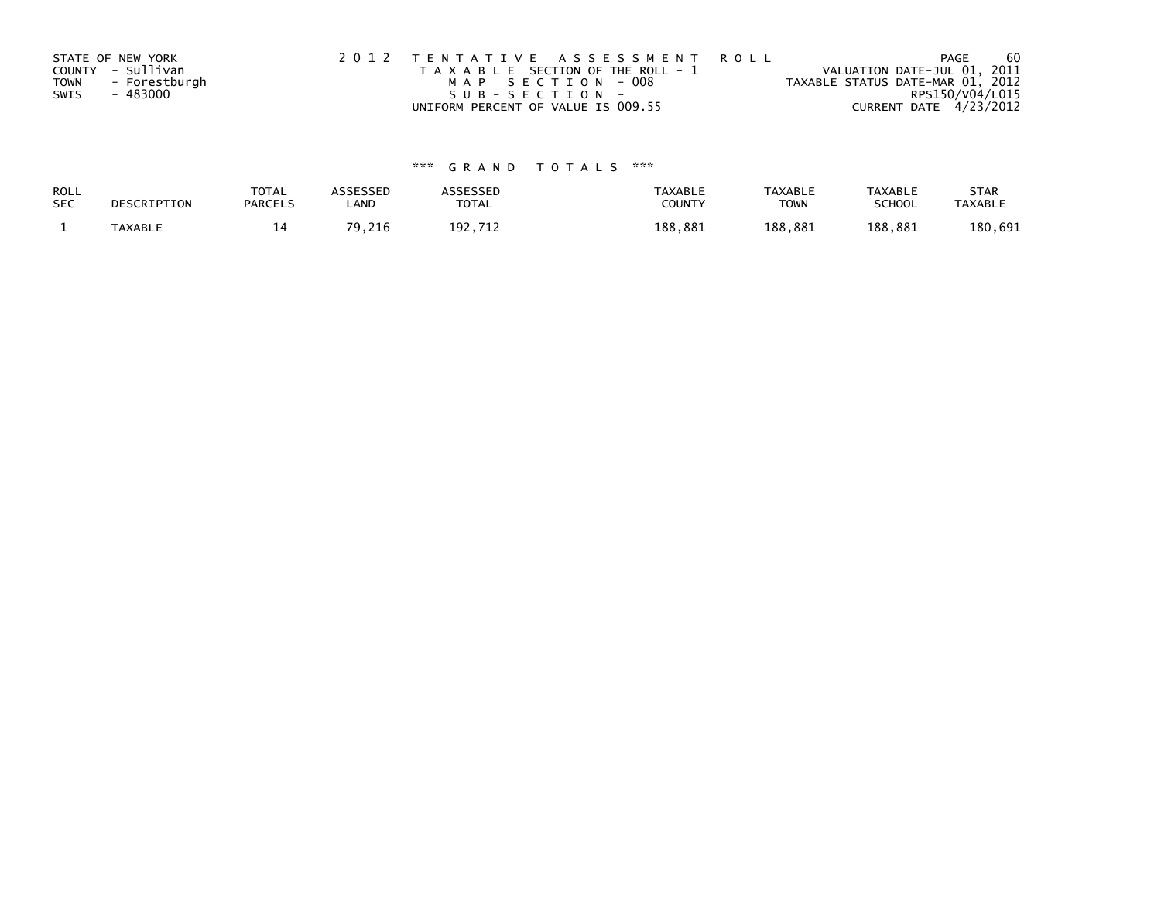|             | STATE OF NEW YORK | 2012 TENTATIVE ASSESSMENT ROLL        | 60<br><b>PAGE</b>                |
|-------------|-------------------|---------------------------------------|----------------------------------|
|             | COUNTY - Sullivan | T A X A B L E SECTION OF THE ROLL - 1 | VALUATION DATE-JUL 01, 2011      |
| <b>TOWN</b> | - Forestburgh     | MAP SECTION - 008                     | TAXABLE STATUS DATE-MAR 01, 2012 |
| SWIS        | - 483000          | SUB-SECTION-                          | RPS150/V04/L015                  |
|             |                   | UNIFORM PERCENT OF VALUE IS 009.55    | CURRENT DATE 4/23/2012           |

| ROLL       | DESCRIPTION | <b>TOTAL</b>   | ASSESSED     | <b>\SSESSED</b> | <b>TAXABLE</b> | <b>TAXABLE</b> | <b>TAXABLE</b> | <b>STAR</b>    |
|------------|-------------|----------------|--------------|-----------------|----------------|----------------|----------------|----------------|
| <b>SEC</b> |             | <b>PARCELS</b> | LAND         | <b>TOTAL</b>    | COUNT          | <b>TOWN</b>    | <b>SCHOOL</b>  | <b>TAXABLE</b> |
|            | TAXABLE     | 4 ا<br>--      | 70.<br>9,216 | 192.712         | 188,881        | 188.881        | 188,881        | 180,691        |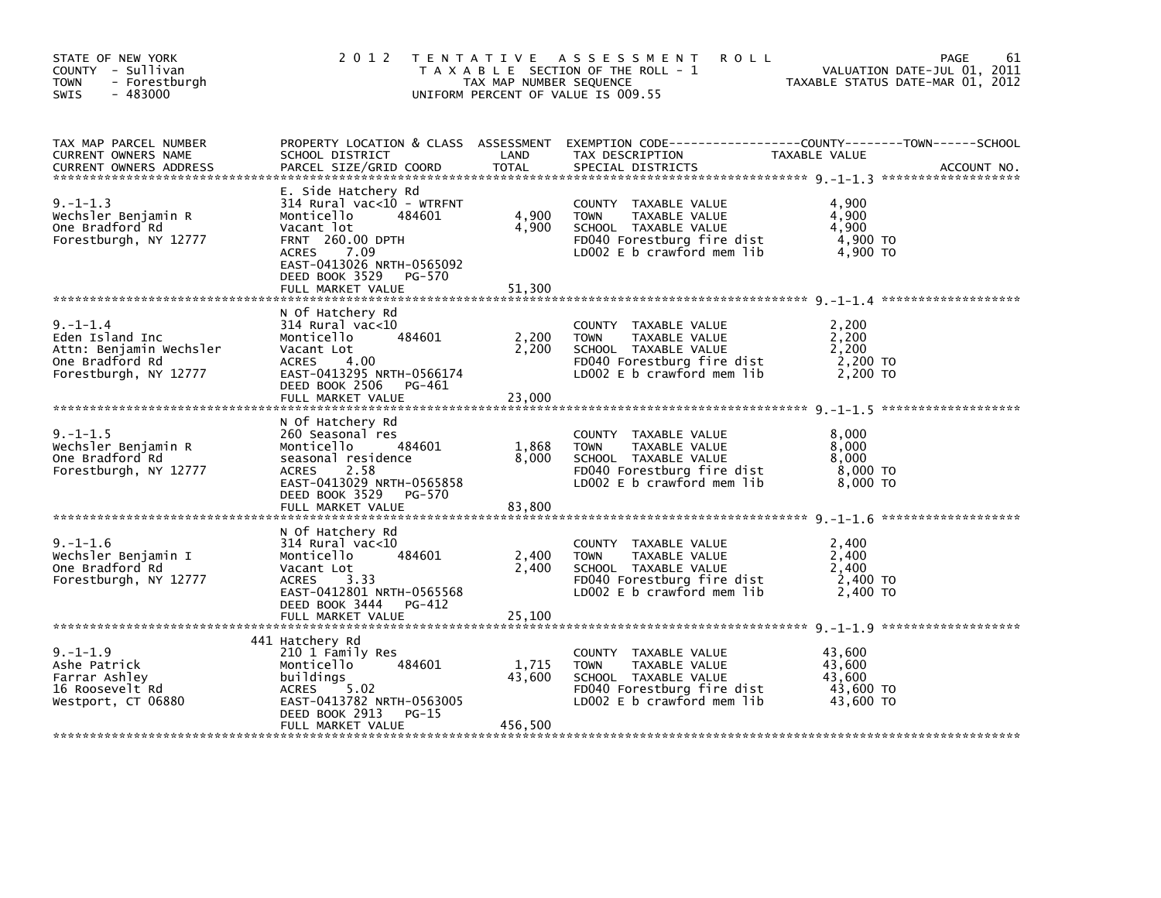| STATE OF NEW YORK<br>COUNTY - Sullivan<br><b>TOWN</b><br>- Forestburgh<br>$-483000$<br>SWIS              | 2 0 1 2                                                                                                                                                                                                       | TAX MAP NUMBER SEQUENCE    | <b>ROLL</b><br>TENTATIVE ASSESSMENT<br>T A X A B L E SECTION OF THE ROLL - 1<br>UNIFORM PERCENT OF VALUE IS 009.55                       |                                                      | 61<br>PAGE<br>VALUATION DATE-JUL 01, 2011<br>TAXABLE STATUS DATE-MAR 01, 2012 |
|----------------------------------------------------------------------------------------------------------|---------------------------------------------------------------------------------------------------------------------------------------------------------------------------------------------------------------|----------------------------|------------------------------------------------------------------------------------------------------------------------------------------|------------------------------------------------------|-------------------------------------------------------------------------------|
| TAX MAP PARCEL NUMBER<br>CURRENT OWNERS NAME<br><b>CURRENT OWNERS ADDRESS</b>                            | PROPERTY LOCATION & CLASS ASSESSMENT<br>SCHOOL DISTRICT<br>PARCEL SIZE/GRID COORD                                                                                                                             | LAND<br>TOTAL              | EXEMPTION CODE-----------------COUNTY-------TOWN------SCHOOL<br>TAX DESCRIPTION<br>SPECIAL DISTRICTS                                     | TAXABLE VALUE                                        | ACCOUNT NO.                                                                   |
| $9. -1 - 1.3$<br>Wechsler Benjamin R<br>One Bradford Rd<br>Forestburgh, NY 12777                         | E. Side Hatchery Rd<br>314 Rural vac<10 - WTRFNT<br>Monticello<br>484601<br>Vacant lot<br><b>FRNT 260.00 DPTH</b><br>ACRES 7.09<br>EAST-0413026 NRTH-0565092<br>DEED BOOK 3529<br>PG-570<br>FULL MARKET VALUE | 4,900<br>4,900<br>51,300   | COUNTY TAXABLE VALUE<br><b>TOWN</b><br>TAXABLE VALUE<br>SCHOOL TAXABLE VALUE<br>FD040 Forestburg fire dist<br>LD002 E b crawford mem lib | 4,900<br>4,900<br>4,900<br>4,900 TO<br>4.900 TO      |                                                                               |
| $9. - 1 - 1.4$<br>Eden Island Inc<br>Attn: Benjamin Wechsler<br>One Bradford Rd<br>Forestburgh, NY 12777 | N Of Hatchery Rd<br>314 Rural vac<10<br>484601<br>Monticello<br>Vacant Lot<br>4.00<br>ACRES<br>EAST-0413295 NRTH-0566174<br>DEED BOOK 2506<br>PG-461<br>FULL MARKET VALUE                                     | 2,200<br>2,200<br>23,000   | COUNTY TAXABLE VALUE<br>TAXABLE VALUE<br><b>TOWN</b><br>SCHOOL TAXABLE VALUE<br>FD040 Forestburg fire dist<br>LD002 E b crawford mem lib | 2,200<br>2,200<br>2,200<br>2,200 TO<br>2,200 TO      |                                                                               |
| $9. - 1 - 1.5$<br>Wechsler Benjamin R<br>One Bradford Rd<br>Forestburgh, NY 12777                        | N Of Hatchery Rd<br>260 Seasonal res<br>484601<br>Monticello<br>seasonal residence<br>ACRES<br>2.58<br>EAST-0413029 NRTH-0565858<br>DEED BOOK 3529<br>PG-570<br>FULL MARKET VALUE                             | 1,868<br>8,000<br>83,800   | COUNTY TAXABLE VALUE<br><b>TOWN</b><br>TAXABLE VALUE<br>SCHOOL TAXABLE VALUE<br>FD040 Forestburg fire dist<br>LD002 E b crawford mem lib | 8,000<br>8,000<br>8,000<br>8,000 TO<br>8,000 TO      |                                                                               |
| $9. - 1 - 1.6$<br>Wechsler Benjamin I<br>One Bradford Rd<br>Forestburgh, NY 12777                        | N Of Hatchery Rd<br>$314$ Rural vac<10<br>Monticello<br>484601<br>Vacant Lot<br>3.33<br>ACRES<br>EAST-0412801 NRTH-0565568<br>DEED BOOK 3444<br>PG-412                                                        | 2,400<br>2,400             | COUNTY TAXABLE VALUE<br>TAXABLE VALUE<br><b>TOWN</b><br>SCHOOL TAXABLE VALUE<br>FD040 Forestburg fire dist<br>LD002 E b crawford mem lib | 2,400<br>2,400<br>2,400<br>2,400 TO<br>2,400 TO      |                                                                               |
| $9. -1 - 1.9$<br>Ashe Patrick<br>Farrar Ashley<br>16 Roosevelt Rd<br>Westport, CT 06880                  | 441 Hatchery Rd<br>210 1 Family Res<br>Monticello<br>484601<br>buildings<br>5.02<br>ACRES<br>EAST-0413782 NRTH-0563005<br>DEED BOOK 2913<br>PG-15<br>FULL MARKET VALUE                                        | 1,715<br>43,600<br>456,500 | COUNTY TAXABLE VALUE<br>TAXABLE VALUE<br><b>TOWN</b><br>SCHOOL TAXABLE VALUE<br>FD040 Forestburg fire dist<br>LD002 E b crawford mem lib | 43,600<br>43,600<br>43,600<br>43,600 TO<br>43,600 TO |                                                                               |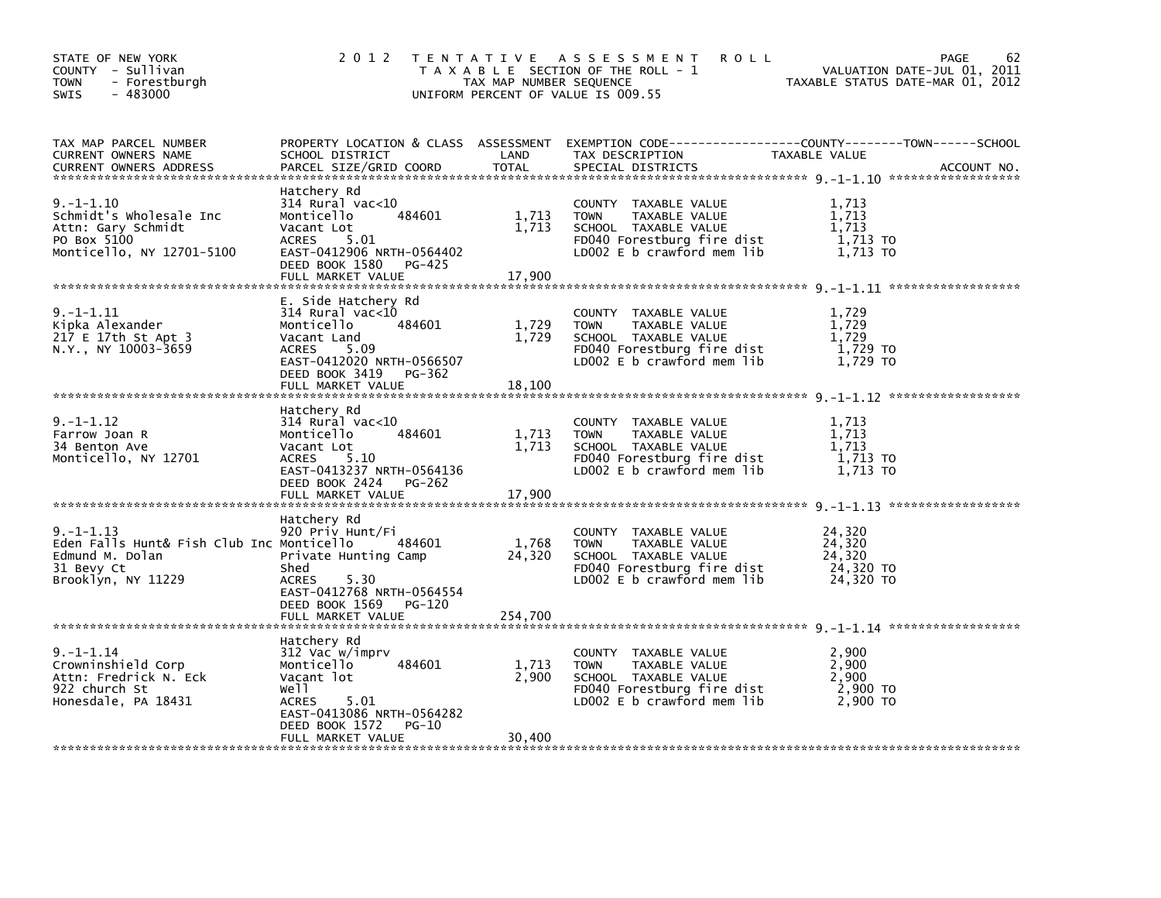| STATE OF NEW YORK<br>COUNTY - Sullivan<br>- Forestburgh<br>TOWN<br>$-483000$<br><b>SWIS</b>                        | 2 0 1 2                                                                                                                                                                                   | TAX MAP NUMBER SEQUENCE    | TENTATIVE ASSESSMENT<br><b>ROLL</b><br>T A X A B L E SECTION OF THE ROLL - 1<br>UNIFORM PERCENT OF VALUE IS 009.55                           | VALUATION DATE-JUL 01, 2011<br>TAXABLE STATUS DATE-MAR 01, 2012 | 62<br>PAGE  |
|--------------------------------------------------------------------------------------------------------------------|-------------------------------------------------------------------------------------------------------------------------------------------------------------------------------------------|----------------------------|----------------------------------------------------------------------------------------------------------------------------------------------|-----------------------------------------------------------------|-------------|
| TAX MAP PARCEL NUMBER<br>CURRENT OWNERS NAME<br><b>CURRENT OWNERS ADDRESS</b>                                      | SCHOOL DISTRICT<br>PARCEL SIZE/GRID COORD                                                                                                                                                 | LAND<br><b>TOTAL</b>       | PROPERTY LOCATION & CLASS ASSESSMENT EXEMPTION CODE---------------COUNTY-------TOWN------SCHOOL<br>TAX DESCRIPTION<br>SPECIAL DISTRICTS      | TAXABLE VALUE                                                   | ACCOUNT NO. |
| $9. - 1 - 1.10$<br>Schmidt's Wholesale Inc<br>Attn: Gary Schmidt<br>PO Box 5100<br>Monticello, NY 12701-5100       | Hatchery Rd<br>$314$ Rural vac<10<br>484601<br>Monticello<br>Vacant Lot<br>ACRES<br>5.01<br>EAST-0412906 NRTH-0564402<br>DEED BOOK 1580<br>PG-425<br>FULL MARKET VALUE                    | 1,713<br>1,713<br>17,900   | COUNTY TAXABLE VALUE<br><b>TOWN</b><br>TAXABLE VALUE<br>SCHOOL TAXABLE VALUE<br>FD040 Forestburg fire dist<br>LD002 E b crawford mem lib     | 1,713<br>1,713<br>1,713<br>1,713 TO<br>1,713 TO                 |             |
| 9. -1-1.11<br>Kipka Alexander<br>217 E 17th St Apt 3<br>N.Y., NY 10003-3659                                        | E. Side Hatchery Rd<br>$314$ Rural vac< $10$<br>484601<br>Monticello<br>Vacant Land<br>5.09<br><b>ACRES</b><br>EAST-0412020 NRTH-0566507<br>DEED BOOK 3419<br>PG-362<br>FULL MARKET VALUE | 1,729<br>1,729<br>18,100   | COUNTY TAXABLE VALUE<br>TAXABLE VALUE<br><b>TOWN</b><br>SCHOOL TAXABLE VALUE<br>FD040 Forestburg fire dist<br>LD002 $E$ b crawford mem $lib$ | 1,729<br>1,729<br>1,729<br>1,729 то<br>1,729 TO                 |             |
| 9. – 1–1.12<br>Farrow Joan R<br>34 Benton Ave<br>Monticello, NY 12701                                              | Hatchery Rd<br>314 Rural vac<10<br>484601<br>Monticello<br>Vacant Lot<br>5.10<br><b>ACRES</b><br>EAST-0413237 NRTH-0564136<br>DEED BOOK 2424<br><b>PG-262</b><br>FULL MARKET VALUE        | 1,713<br>1,713<br>17,900   | COUNTY TAXABLE VALUE<br><b>TOWN</b><br>TAXABLE VALUE<br>SCHOOL TAXABLE VALUE<br>FD040 Forestburg fire dist<br>LD002 E b crawford mem lib     | 1,713<br>1,713<br>1,713<br>1,713 TO<br>1,713 TO                 |             |
| $9. -1 - 1.13$<br>Eden Falls Hunt& Fish Club Inc Monticello<br>Edmund M. Dolan<br>31 Bevy Ct<br>Brooklyn, NY 11229 | Hatchery Rd<br>920 Priv Hunt/Fi<br>484601<br>Private Hunting Camp<br>Shed<br><b>ACRES</b><br>5.30<br>EAST-0412768 NRTH-0564554<br>DEED BOOK 1569<br>PG-120<br>FULL MARKET VALUE           | 1,768<br>24,320<br>254,700 | COUNTY TAXABLE VALUE<br><b>TOWN</b><br>TAXABLE VALUE<br>SCHOOL TAXABLE VALUE<br>FD040 Forestburg fire dist<br>LD002 E b crawford mem lib     | 24,320<br>24,320<br>24,320<br>24,320 TO<br>24,320 TO            |             |
| $9. - 1 - 1.14$<br>Crowninshield Corp<br>Attn: Fredrick N. Eck<br>922 church St<br>Honesdale, PA 18431             | Hatchery Rd<br>312 Vac w/imprv<br>Monticello<br>484601<br>Vacant lot<br>Well<br><b>ACRES</b><br>5.01<br>EAST-0413086 NRTH-0564282<br>DEED BOOK 1572<br>PG-10<br>FULL MARKET VALUE         | 1,713<br>2,900<br>30,400   | COUNTY TAXABLE VALUE<br><b>TOWN</b><br>TAXABLE VALUE<br>SCHOOL TAXABLE VALUE<br>FD040 Forestburg fire dist<br>LD002 E b crawford mem lib     | 2,900<br>2,900<br>2,900<br>2,900 TO<br>2,900 TO                 |             |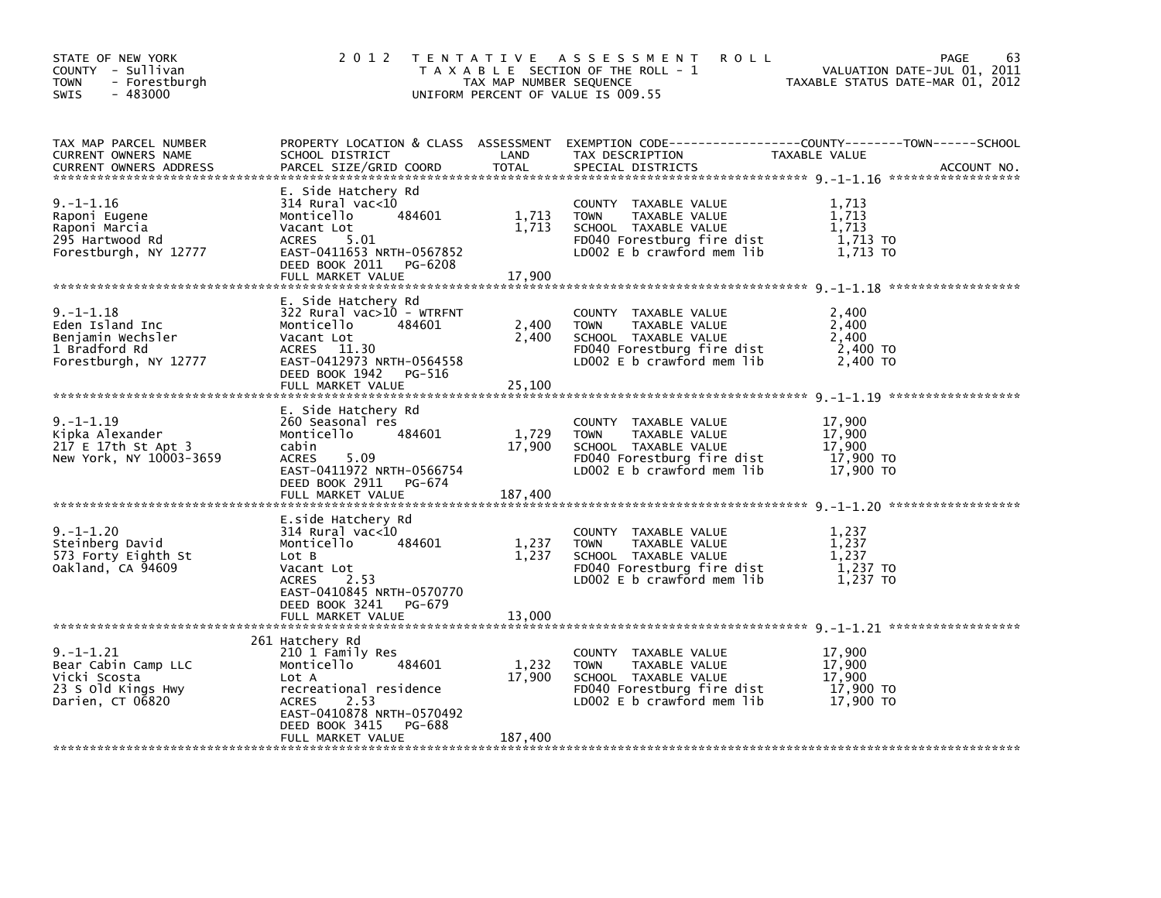| STATE OF NEW YORK<br>COUNTY - Sullivan<br><b>TOWN</b><br>- Forestburgh<br>$-483000$<br>SWIS      | 2 0 1 2                                                                                                                                                                                              | TAX MAP NUMBER SEQUENCE    | TENTATIVE ASSESSMENT<br><b>ROLL</b><br>T A X A B L E SECTION OF THE ROLL - 1<br>UNIFORM PERCENT OF VALUE IS 009.55                         | PAGE<br>VALUATION DATE-JUL 01, 2011<br>TAXABLE STATUS DATE-MAR 01, 2012                                                          | 63 |
|--------------------------------------------------------------------------------------------------|------------------------------------------------------------------------------------------------------------------------------------------------------------------------------------------------------|----------------------------|--------------------------------------------------------------------------------------------------------------------------------------------|----------------------------------------------------------------------------------------------------------------------------------|----|
| TAX MAP PARCEL NUMBER<br>CURRENT OWNERS NAME<br><b>CURRENT OWNERS ADDRESS</b>                    | SCHOOL DISTRICT<br>PARCEL SIZE/GRID COORD                                                                                                                                                            | LAND<br>TOTAL              | TAX DESCRIPTION<br>SPECIAL DISTRICTS                                                                                                       | PROPERTY LOCATION & CLASS ASSESSMENT EXEMPTION CODE----------------COUNTY-------TOWN------SCHOOL<br>TAXABLE VALUE<br>ACCOUNT NO. |    |
| $9. - 1 - 1.16$<br>Raponi Eugene<br>Raponi Marcia<br>295 Hartwood Rd<br>Forestburgh, NY 12777    | E. Side Hatchery Rd<br>$314$ Rural vac<10<br>484601<br>Monticello<br>Vacant Lot<br><b>ACRES</b><br>5.01<br>EAST-0411653 NRTH-0567852<br>DEED BOOK 2011 PG-6208<br>FULL MARKET VALUE                  | 1,713<br>1,713<br>17,900   | COUNTY TAXABLE VALUE<br><b>TOWN</b><br>TAXABLE VALUE<br>SCHOOL TAXABLE VALUE<br>FD040 Forestburg fire dist<br>LD002 E b crawford mem lib   | 1,713<br>1,713<br>1,713<br>1,713 TO<br>1,713 TO                                                                                  |    |
| $9. -1 - 1.18$<br>Eden Island Inc<br>Benjamin Wechsler<br>1 Bradford Rd<br>Forestburgh, NY 12777 | E. Side Hatchery Rd<br>322 Rural vac>10 - WTRFNT<br>Monticello<br>484601<br>Vacant Lot<br>ACRES 11.30<br>EAST-0412973 NRTH-0564558<br>DEED BOOK 1942<br>PG-516<br>FULL MARKET VALUE                  | 2,400<br>2,400<br>25,100   | COUNTY TAXABLE VALUE<br><b>TOWN</b><br>TAXABLE VALUE<br>SCHOOL TAXABLE VALUE<br>FD040 Forestburg fire dist<br>LD002 $E$ b crawford mem lib | 2,400<br>2,400<br>2,400<br>2,400 TO<br>2,400 TO                                                                                  |    |
| 9. – 1–1.19<br>Kipka Alexander<br>217 E 17th St Apt 3<br>New York, NY 10003-3659                 | E. Side Hatchery Rd<br>260 Seasonal res<br>Monticello<br>484601<br>cabin<br>5.09<br><b>ACRES</b><br>EAST-0411972 NRTH-0566754<br>DEED BOOK 2911<br>PG-674<br>FULL MARKET VALUE                       | 1,729<br>17,900<br>187,400 | COUNTY TAXABLE VALUE<br><b>TOWN</b><br>TAXABLE VALUE<br>SCHOOL TAXABLE VALUE<br>FD040 Forestburg fire dist<br>LD002 E b crawford mem lib   | 17,900<br>17,900<br>17,900<br>17,900 TO<br>17,900 TO                                                                             |    |
| $9. -1 - 1.20$<br>Steinberg David<br>573 Forty Eighth St<br>Oakland, CA 94609                    | E.side Hatchery Rd<br>$314$ Rural vac<10<br>Monticello<br>484601<br>Lot B<br>Vacant Lot<br>2.53<br><b>ACRES</b><br>EAST-0410845 NRTH-0570770<br>DEED BOOK 3241<br>PG-679<br>FULL MARKET VALUE        | 1,237<br>1,237<br>13,000   | COUNTY TAXABLE VALUE<br><b>TOWN</b><br>TAXABLE VALUE<br>SCHOOL TAXABLE VALUE<br>FD040 Forestburg fire dist<br>LD002 E b crawford mem lib   | 1,237<br>1,237<br>1,237<br>1,237 TO<br>1,237 TO                                                                                  |    |
| $9. - 1 - 1.21$<br>Bear Cabin Camp LLC<br>Vicki Scosta<br>23 S Old Kings Hwy<br>Darien, CT 06820 | 261 Hatchery Rd<br>210 1 Family Res<br>Monticello<br>484601<br>Lot A<br>recreational residence<br>2.53<br><b>ACRES</b><br>EAST-0410878 NRTH-0570492<br>DEED BOOK 3415<br>PG-688<br>FULL MARKET VALUE | 1,232<br>17,900<br>187,400 | COUNTY TAXABLE VALUE<br><b>TOWN</b><br>TAXABLE VALUE<br>SCHOOL TAXABLE VALUE<br>FD040 Forestburg fire dist<br>LD002 E b crawford mem lib   | 17,900<br>17,900<br>17,900<br>17,900 TO<br>17,900 TO                                                                             |    |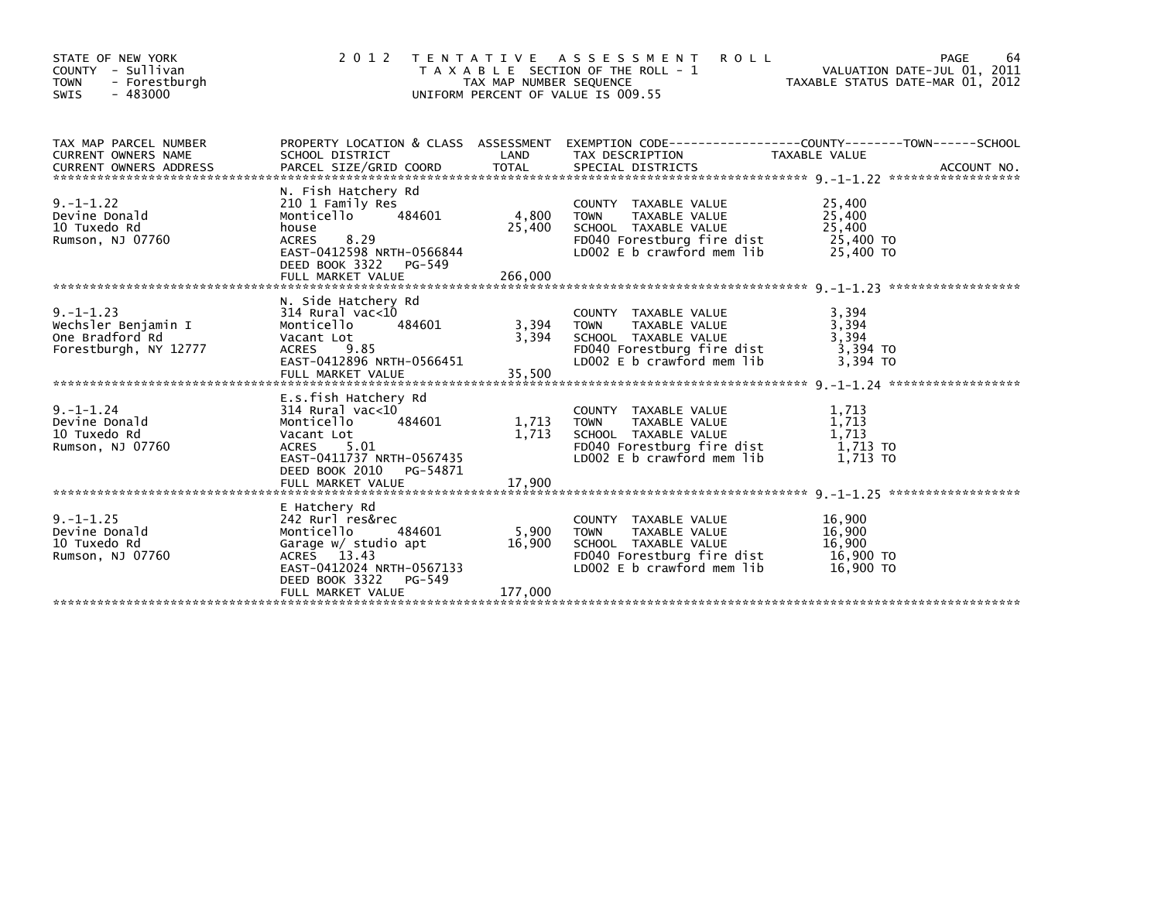| STATE OF NEW YORK<br>COUNTY - Sullivan<br><b>TOWN</b><br>- Forestburgh<br>$-483000$<br>SWIS | 2 0 1 2                                                                                                                                                                           | TAX MAP NUMBER SEQUENCE    | TENTATIVE ASSESSMENT<br><b>ROLL</b><br>T A X A B L E SECTION OF THE ROLL - 1<br>UNIFORM PERCENT OF VALUE IS 009.55                       | VALUATION DATE-JUL 01, 2011<br>TAXABLE STATUS DATE-MAR 01, 2012 | 64<br>PAGE |
|---------------------------------------------------------------------------------------------|-----------------------------------------------------------------------------------------------------------------------------------------------------------------------------------|----------------------------|------------------------------------------------------------------------------------------------------------------------------------------|-----------------------------------------------------------------|------------|
| TAX MAP PARCEL NUMBER<br>CURRENT OWNERS NAME                                                | SCHOOL DISTRICT                                                                                                                                                                   | LAND                       | PROPERTY LOCATION & CLASS ASSESSMENT EXEMPTION CODE----------------COUNTY-------TOWN------SCHOOL<br>TAX DESCRIPTION                      | TAXABLE VALUE                                                   |            |
| $9. -1 - 1.22$<br>Devine Donald<br>10 Tuxedo Rd<br>Rumson, NJ 07760                         | N. Fish Hatchery Rd<br>210 1 Family Res<br>484601<br>Monticello<br>house<br>8.29<br><b>ACRES</b><br>EAST-0412598 NRTH-0566844<br>DEED BOOK 3322 PG-549<br>FULL MARKET VALUE       | 4,800<br>25,400<br>266,000 | COUNTY TAXABLE VALUE<br><b>TOWN</b><br>TAXABLE VALUE<br>SCHOOL TAXABLE VALUE<br>FD040 Forestburg fire dist<br>LD002 E b crawford mem lib | 25,400<br>25,400<br>25,400<br>25,400 TO<br>25,400 TO            |            |
| $9. -1 - 1.23$<br>Wechsler Benjamin I<br>One Bradford Rd<br>Forestburgh, NY 12777           | N. Side Hatchery Rd<br>$314$ Rural vac< $10$<br>Monticello<br>484601<br>Vacant Lot<br>ACRES 9.85<br>EAST-0412896 NRTH-0566451<br>FULL MARKET VALUE                                | 3,394<br>3,394<br>35,500   | COUNTY TAXABLE VALUE<br>TAXABLE VALUE<br><b>TOWN</b><br>SCHOOL TAXABLE VALUE<br>FD040 Forestburg fire dist<br>LD002 E b crawford mem lib | 3,394<br>3,394<br>3,394<br>3,394 TO<br>3.394 TO                 |            |
| $9. - 1 - 1.24$<br>Devine Donald<br>10 Tuxedo Rd<br>Rumson, NJ 07760                        | E.s.fish Hatchery Rd<br>$314$ Rural vac< $10$<br>484601<br>Monticello<br>Vacant Lot<br>5.01<br>ACRES<br>EAST-0411737 NRTH-0567435<br>DEED BOOK 2010 PG-54871<br>FULL MARKET VALUE | 1,713<br>1,713<br>17,900   | COUNTY TAXABLE VALUE<br><b>TOWN</b><br>TAXABLE VALUE<br>SCHOOL TAXABLE VALUE<br>FD040 Forestburg fire dist<br>LD002 E b crawford mem lib | 1,713<br>1,713<br>1,713<br>1.713 TO<br>1.713 TO                 |            |
| $9. -1 - 1.25$<br>Devine Donald<br>10 Tuxedo Rd<br>Rumson, NJ 07760                         | E Hatchery Rd<br>242 Rurl res&rec<br>Monticello<br>484601<br>Garage w/ studio apt<br>ACRES 13.43<br>EAST-0412024 NRTH-0567133<br>DEED BOOK 3322<br>PG-549<br>FULL MARKET VALUE    | 5,900<br>16,900<br>177,000 | COUNTY TAXABLE VALUE<br>TAXABLE VALUE<br><b>TOWN</b><br>SCHOOL TAXABLE VALUE<br>FD040 Forestburg fire dist<br>LD002 E b crawford mem lib | 16,900<br>16,900<br>16,900<br>16,900 TO<br>16,900 TO            |            |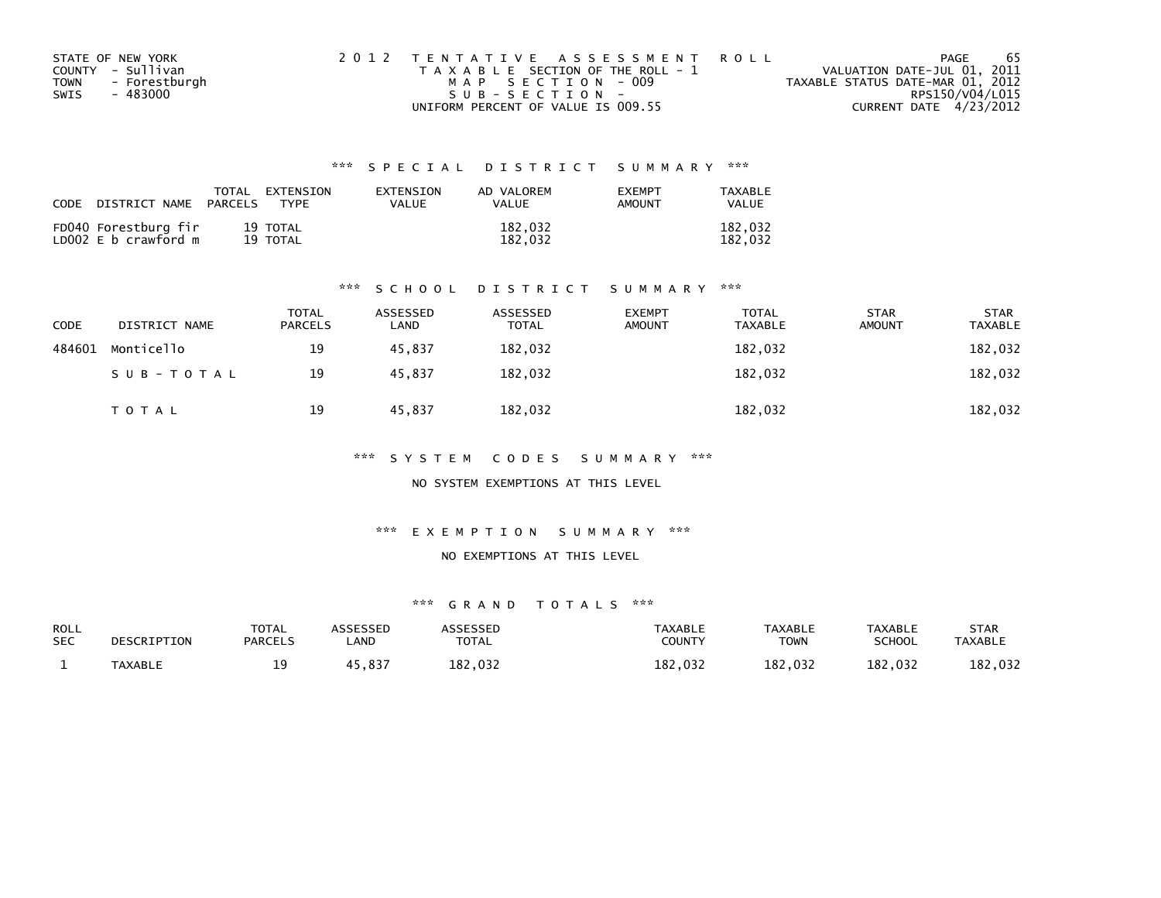| STATE OF NEW YORK            | 2012 TENTATIVE ASSESSMENT ROLL        | -65<br>PAGE                      |
|------------------------------|---------------------------------------|----------------------------------|
| COUNTY - Sullivan            | T A X A B L E SECTION OF THE ROLL - 1 | VALUATION DATE-JUL 01, 2011      |
| - Forestburgh<br><b>TOWN</b> | MAP SECTION - 009                     | TAXABLE STATUS DATE-MAR 01, 2012 |
| - 483000<br>SWIS             | SUB-SECTION-                          | RPS150/V04/L015                  |
|                              | UNIFORM PERCENT OF VALUE IS 009.55    | CURRENT DATE 4/23/2012           |

| CODE | DISTRICT NAME                                | PARCELS | TOTAL EXTENSION<br><b>TYPF</b> | EXTENSION<br>VALUE | AD VALOREM<br><b>VALUE</b> | <b>EXEMPT</b><br>AMOUNT | TAXABLE<br><b>VALUE</b> |
|------|----------------------------------------------|---------|--------------------------------|--------------------|----------------------------|-------------------------|-------------------------|
|      | FD040 Forestburg fir<br>LD002 E b crawford m |         | 19 TOTAL<br>19 TOTAL           |                    | 182,032<br>182.032         |                         | 182.032<br>182.032      |

#### \*\*\* S C H O O L D I S T R I C T S U M M A R Y \*\*\*

| <b>CODE</b> | DISTRICT NAME | <b>TOTAL</b><br><b>PARCELS</b> | ASSESSED<br>LAND | ASSESSED<br><b>TOTAL</b> | <b>EXEMPT</b><br><b>AMOUNT</b> | <b>TOTAL</b><br><b>TAXABLE</b> | <b>STAR</b><br><b>AMOUNT</b> | <b>STAR</b><br><b>TAXABLE</b> |
|-------------|---------------|--------------------------------|------------------|--------------------------|--------------------------------|--------------------------------|------------------------------|-------------------------------|
| 484601      | Monticello    | 19                             | 45.837           | 182,032                  |                                | 182,032                        |                              | 182,032                       |
|             | SUB-TOTAL     | 19                             | 45,837           | 182,032                  |                                | 182,032                        |                              | 182,032                       |
|             | T O T A L     | 19                             | 45,837           | 182,032                  |                                | 182,032                        |                              | 182,032                       |

\*\*\* S Y S T E M C O D E S S U M M A R Y \*\*\*

NO SYSTEM EXEMPTIONS AT THIS LEVEL

\*\*\* E X E M P T I O N S U M M A R Y \*\*\*

#### NO EXEMPTIONS AT THIS LEVEL

| <b>ROLL</b><br><b>SEC</b> | DESCRIPTION    | <b>TOTAL</b><br><b>PARCELS</b> | <b>\SSESSED</b><br>_AND | <b>ARRESSED</b><br><b>TOTAL</b> | <b>TAXABLE</b><br><b>COUNTY</b> | <b>TAXABLE</b><br><b>TOWN</b> | <b>TAXABLE</b><br>SCHOOL | STAR<br><b>TAXABLE</b> |
|---------------------------|----------------|--------------------------------|-------------------------|---------------------------------|---------------------------------|-------------------------------|--------------------------|------------------------|
|                           | <b>TAXABLE</b> | ۰۵.<br>-- -                    | 5,837                   | 182,032                         | 182,032                         | 182,032                       | 182,032                  | 182,032                |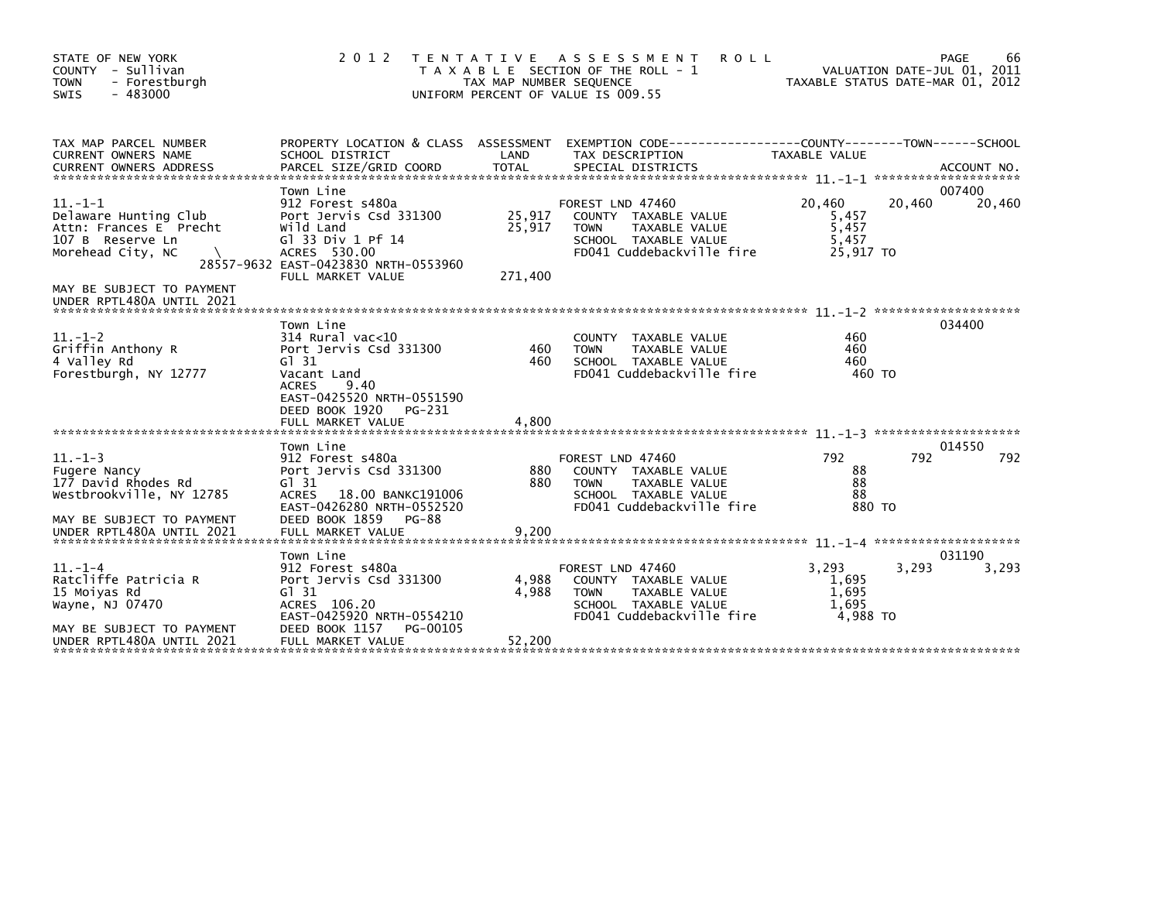| STATE OF NEW YORK<br>COUNTY - Sullivan<br>- Forestburgh<br><b>TOWN</b><br>SWIS<br>$-483000$                                        | 2 0 1 2                                                                                                                                                                | T E N T A T I V E<br>TAX MAP NUMBER SEQUENCE | A S S E S S M E N T<br><b>ROLL</b><br>T A X A B L E SECTION OF THE ROLL - 1<br>UNIFORM PERCENT OF VALUE IS 009.55             |                                                | 66<br>PAGE<br>VALUATION DATE-JUL 01, 2011<br>TAXABLE STATUS DATE-MAR 01, 2012 |
|------------------------------------------------------------------------------------------------------------------------------------|------------------------------------------------------------------------------------------------------------------------------------------------------------------------|----------------------------------------------|-------------------------------------------------------------------------------------------------------------------------------|------------------------------------------------|-------------------------------------------------------------------------------|
| TAX MAP PARCEL NUMBER<br><b>CURRENT OWNERS NAME</b><br><b>CURRENT OWNERS ADDRESS</b>                                               | SCHOOL DISTRICT                                                                                                                                                        | LAND                                         | PROPERTY LOCATION & CLASS ASSESSMENT EXEMPTION CODE----------------COUNTY-------TOWN------SCHOOL<br>TAX DESCRIPTION           | TAXABLE VALUE                                  |                                                                               |
| $11. - 1 - 1$<br>Delaware Hunting Club<br>Attn: Frances E Precht<br>107 B Reserve Ln<br>Morehead City, NC                          | Town Line<br>912 Forest s480a<br>Port Jervis Csd 331300<br>Wild Land<br>G1 33 Div 1 Pf 14<br>ACRES 530.00<br>28557-9632 EAST-0423830 NRTH-0553960<br>FULL MARKET VALUE | 25,917<br>25,917<br>271,400                  | FOREST LND 47460<br>COUNTY TAXABLE VALUE<br><b>TOWN</b><br>TAXABLE VALUE<br>SCHOOL TAXABLE VALUE<br>FD041 Cuddebackville fire | 20.460<br>5,457<br>5,457<br>5,457<br>25.917 TO | 007400<br>20,460<br>20,460                                                    |
| MAY BE SUBJECT TO PAYMENT<br>UNDER RPTL480A UNTIL 2021                                                                             |                                                                                                                                                                        |                                              |                                                                                                                               |                                                |                                                                               |
| $11. - 1 - 2$<br>Griffin Anthony R<br>4 Valley Rd<br>Forestburgh, NY 12777                                                         | Town Line<br>$314$ Rural vac<10<br>Port Jervis Csd 331300<br>$G1$ 31<br>Vacant Land<br><b>ACRES</b><br>9.40<br>EAST-0425520 NRTH-0551590<br>DEED BOOK 1920<br>PG-231   | 460<br>460                                   | <b>COUNTY</b><br>TAXABLE VALUE<br>TAXABLE VALUE<br><b>TOWN</b><br>SCHOOL TAXABLE VALUE<br>FD041 Cuddebackville fire           | 460<br>460<br>460<br>460 TO                    | 034400                                                                        |
|                                                                                                                                    |                                                                                                                                                                        | 4,800                                        |                                                                                                                               |                                                |                                                                               |
| $11. - 1 - 3$<br>Fugere Nancy<br>177 David Rhodes Rd<br>Westbrookville, NY 12785<br>MAY BE SUBJECT TO PAYMENT                      | Town Line<br>912 Forest s480a<br>Port Jervis Csd 331300<br>$G1$ 31<br><b>ACRES</b><br>18.00 BANKC191006<br>EAST-0426280 NRTH-0552520<br>DEED BOOK 1859<br>PG-88        | 880<br>880                                   | FOREST LND 47460<br>COUNTY TAXABLE VALUE<br><b>TOWN</b><br>TAXABLE VALUE<br>SCHOOL TAXABLE VALUE<br>FD041 Cuddebackville fire | 792<br>88<br>88<br>88<br>880 TO                | 014550<br>792<br>792                                                          |
| UNDER RPTL480A UNTIL 2021                                                                                                          | FULL MARKET VALUE                                                                                                                                                      | 9,200                                        |                                                                                                                               |                                                | 031190                                                                        |
| $11. - 1 - 4$<br>Ratcliffe Patricia R<br>15 Moiyas Rd<br>Wayne, NJ 07470<br>MAY BE SUBJECT TO PAYMENT<br>UNDER RPTL480A UNTIL 2021 | Town Line<br>912 Forest s480a<br>Port Jervis Csd 331300<br>$G1$ 31<br>ACRES 106.20<br>EAST-0425920 NRTH-0554210<br>DEED BOOK 1157<br>PG-00105<br>FULL MARKET VALUE     | 4,988<br>4,988<br>52,200                     | FOREST LND 47460<br>COUNTY TAXABLE VALUE<br>TAXABLE VALUE<br><b>TOWN</b><br>SCHOOL TAXABLE VALUE<br>FD041 Cuddebackville fire | 3.293<br>1,695<br>1,695<br>1,695<br>4.988 TO   | 3,293<br>3,293                                                                |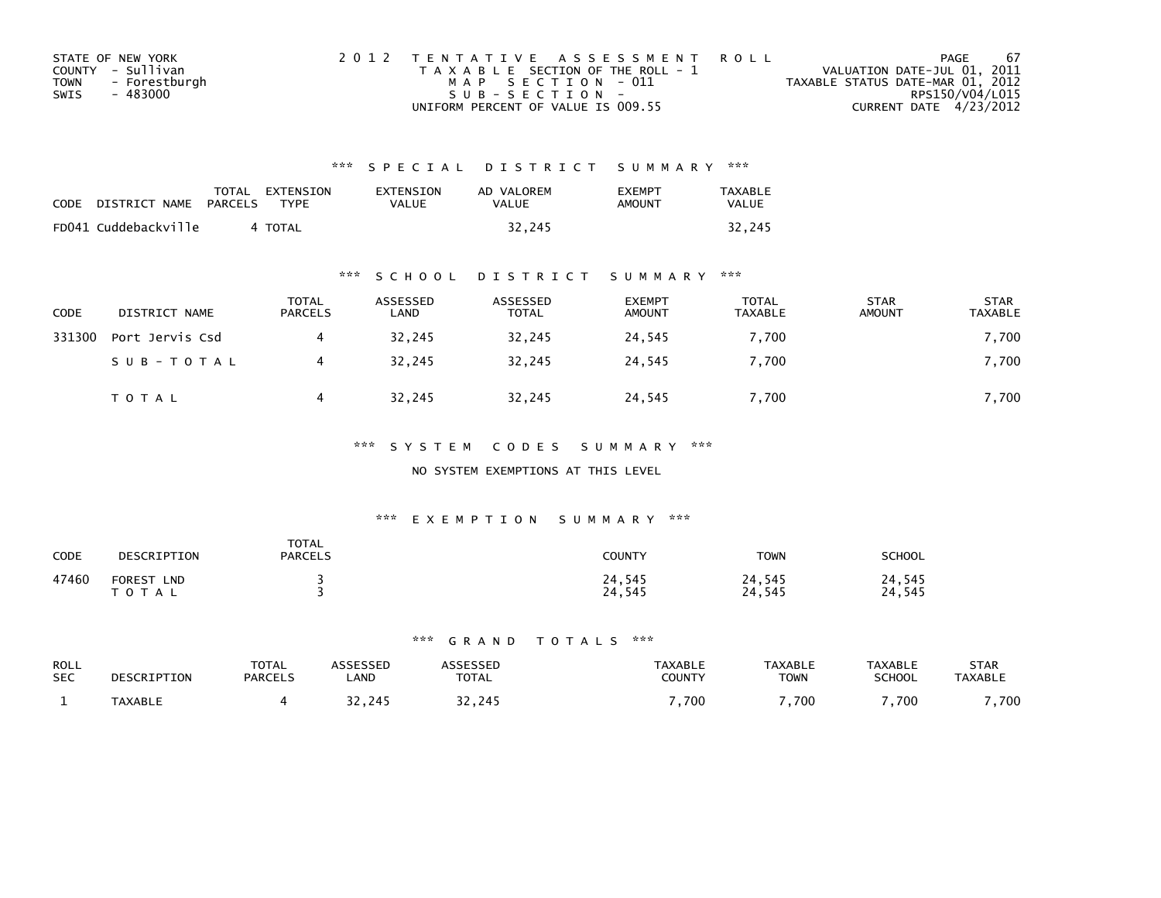| STATE OF NEW YORK            |  | 2012 TENTATIVE ASSESSMENT ROLL        |                                  | PAGE            | -67 |
|------------------------------|--|---------------------------------------|----------------------------------|-----------------|-----|
| COUNTY - Sullivan            |  | T A X A B L E SECTION OF THE ROLL - 1 | VALUATION DATE-JUL 01, 2011      |                 |     |
| - Forestburgh<br><b>TOWN</b> |  | MAP SECTION - 011                     | TAXABLE STATUS DATE-MAR 01, 2012 |                 |     |
| SWIS<br>- 483000             |  | $SUB - SECTION -$                     |                                  | RPS150/V04/L015 |     |
|                              |  | UNIFORM PERCENT OF VALUE IS 009.55    | CURRENT DATE 4/23/2012           |                 |     |

| <b>CODE</b> | DISTRICT NAME        | PARCELS | TOTAL EXTENSION<br><b>TYPF</b> | EXTENSION<br>VALUE | AD VALOREM<br>VALUE | EXEMPT<br>AMOUNT | <b>TAXABLE</b><br><b>VALUE</b> |
|-------------|----------------------|---------|--------------------------------|--------------------|---------------------|------------------|--------------------------------|
|             | FD041 Cuddebackville |         | 4 TOTAL                        |                    | 32.245              |                  | 32.245                         |

## \*\*\* S C H O O L D I S T R I C T S U M M A R Y \*\*\*

| CODE   | DISTRICT NAME   | <b>TOTAL</b><br><b>PARCELS</b> | ASSESSED<br>LAND | ASSESSED<br>TOTAL | <b>EXEMPT</b><br><b>AMOUNT</b> | <b>TOTAL</b><br>TAXABLE | <b>STAR</b><br><b>AMOUNT</b> | <b>STAR</b><br>TAXABLE |
|--------|-----------------|--------------------------------|------------------|-------------------|--------------------------------|-------------------------|------------------------------|------------------------|
| 331300 | Port Jervis Csd |                                | 32,245           | 32,245            | 24,545                         | 7,700                   |                              | 7,700                  |
|        | SUB-TOTAL       |                                | 32.245           | 32.245            | 24.545                         | 7.700                   |                              | 7,700                  |
|        | <b>TOTAL</b>    |                                | 32,245           | 32,245            | 24,545                         | 7,700                   |                              | 7,700                  |

## \*\*\* S Y S T E M C O D E S S U M M A R Y \*\*\*

#### NO SYSTEM EXEMPTIONS AT THIS LEVEL

## \*\*\* E X E M P T I O N S U M M A R Y \*\*\*

| CODE  | DESCRIPTION             | <b>TOTAL</b><br><b>PARCELS</b> | <b>COUNTY</b>    | <b>TOWN</b>      | <b>SCHOOL</b>    |
|-------|-------------------------|--------------------------------|------------------|------------------|------------------|
| 47460 | FOREST LND<br>T O T A L |                                | 24,545<br>24,545 | 24,545<br>24,545 | 24,545<br>24,545 |

| ROLL       | DESCRIPTION    | TOTAL          | <b>\SSESSED</b> | <b>ASSESSED</b> | <b>TAXABLE</b> | <b>TAXABLE</b> | <b>TAXABLE</b> | STAR           |
|------------|----------------|----------------|-----------------|-----------------|----------------|----------------|----------------|----------------|
| <b>SEC</b> |                | <b>PARCELS</b> | _AND            | <b>TOTAL</b>    | COUNTY         | <b>TOWN</b>    | <b>SCHOOL</b>  | <b>TAXABLE</b> |
|            | <b>TAXABLE</b> |                | 32.245          | 32.245          | ,700           | ,700           | ,700           | ,700           |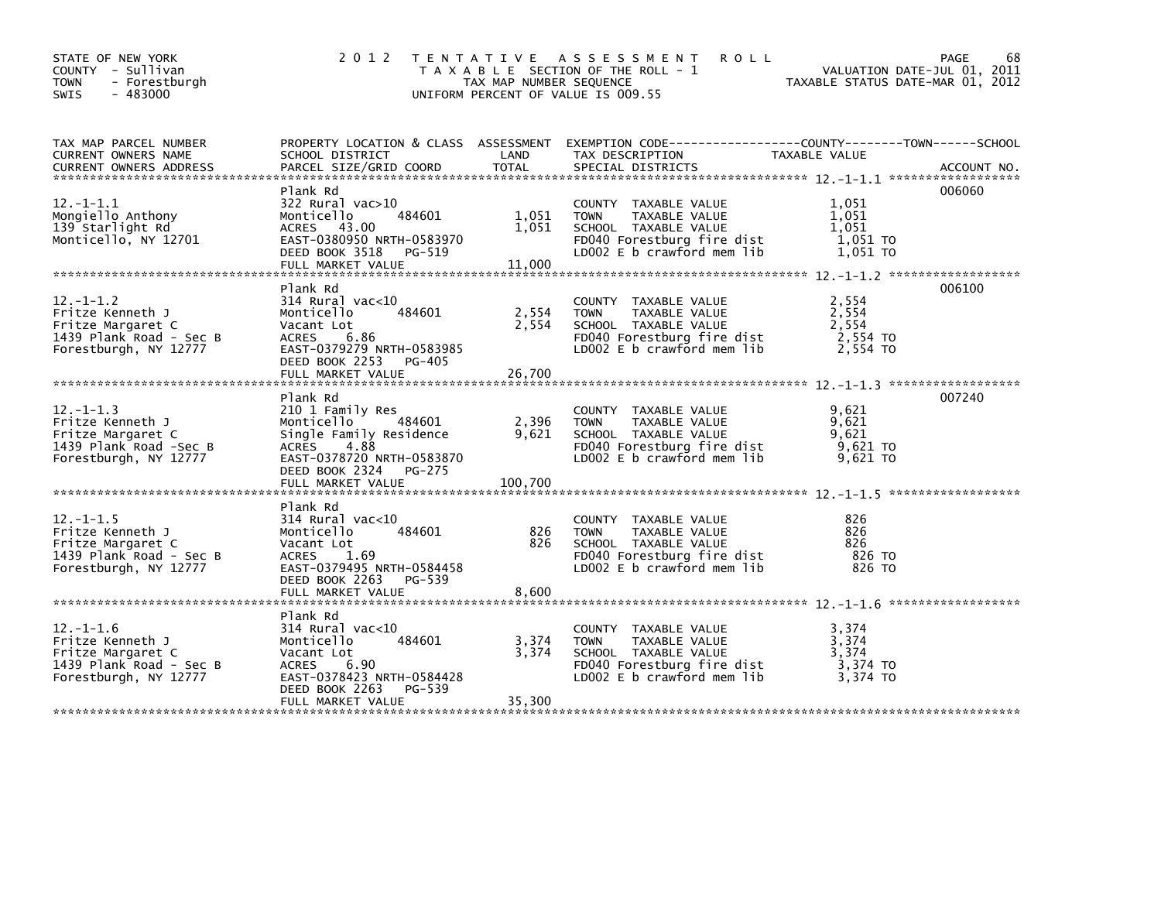| STATE OF NEW YORK<br>COUNTY - Sullivan<br><b>TOWN</b><br>- Forestburgh<br>$-483000$<br>SWIS                  | 2 0 1 2                                                                                                                                                                  | TAX MAP NUMBER SEQUENCE   | TENTATIVE ASSESSMENT<br><b>ROLL</b><br>T A X A B L E SECTION OF THE ROLL - 1<br>UNIFORM PERCENT OF VALUE IS 009.55                             | VALUATION DATE-JUL 01, 2011<br>TAXABLE STATUS DATE-MAR 01, 2012 | 68<br>PAGE<br>VALUATION DATE-JUL 01, 2011 |
|--------------------------------------------------------------------------------------------------------------|--------------------------------------------------------------------------------------------------------------------------------------------------------------------------|---------------------------|------------------------------------------------------------------------------------------------------------------------------------------------|-----------------------------------------------------------------|-------------------------------------------|
| TAX MAP PARCEL NUMBER<br>CURRENT OWNERS NAME                                                                 | SCHOOL DISTRICT                                                                                                                                                          | LAND                      | PROPERTY LOCATION & CLASS ASSESSMENT EXEMPTION CODE----------------COUNTY-------TOWN------SCHOOL<br>TAX DESCRIPTION                            | TAXABLE VALUE                                                   |                                           |
| $12. - 1 - 1.1$<br>Mongiello Anthony<br>139 Starlight Rd<br>Monticello, NY 12701                             | Plank Rd<br>322 Rural vac>10<br>484601<br>Monticello<br>ACRES 43.00<br>EAST-0380950 NRTH-0583970<br>DEED BOOK 3518<br>PG-519<br>FULL MARKET VALUE                        | 1,051<br>11,000           | COUNTY TAXABLE VALUE<br>TAXABLE VALUE<br><b>TOWN</b><br>1,051 SCHOOL TAXABLE VALUE<br>FD040 Forestburg fire dist<br>LDOO2 E b crawford mem lib | 1.051<br>1,051<br>1,051<br>1,051 TO<br>1,051 TO                 | 006060                                    |
| $12. -1 - 1.2$<br>Fritze Kenneth J<br>Fritze Margaret C<br>1439 Plank Road - Sec B<br>Forestburgh, NY 12777  | Plank Rd<br>314 Rural vac<10<br>484601<br>Monticello<br>Vacant Lot<br>6.86<br>ACRES<br>EAST-0379279 NRTH-0583985<br>DEED BOOK 2253 PG-405<br>FULL MARKET VALUE           | 2,554<br>2,554<br>26.700  | COUNTY TAXABLE VALUE<br>TAXABLE VALUE<br><b>TOWN</b><br>SCHOOL TAXABLE VALUE<br>FD040 Forestburg fire dist<br>$LD002 E b$ crawford mem $lib$   | 2,554<br>2,554<br>2,554<br>2,554 TO<br>2,554 TO                 | 006100                                    |
| $12.-1-1.3$<br>Fritze Kenneth J<br>Fritze Margaret C<br>1439 Plank Road -Sec B<br>Forestburgh, NY 12777      | Plank Rd<br>210 1 Family Res<br>Monticello 484601<br>Single Family Residence<br>4.88<br>ACRES<br>EAST-0378720 NRTH-0583870<br>DEED BOOK 2324 PG-275<br>FULL MARKET VALUE | 2,396<br>9,621<br>100,700 | COUNTY TAXABLE VALUE<br><b>TOWN</b><br>TAXABLE VALUE<br>SCHOOL TAXABLE VALUE<br>FD040 Forestburg fire dist<br>LD002 E b crawford mem lib       | 9,621<br>9,621<br>9,621<br>9,621 то<br>9,621 TO                 | 007240                                    |
| $12 - 1 - 1.5$<br>Fritze Kenneth J<br>Fritze Margaret C<br>1439 Plank Road - Sec B<br>Forestburgh, NY 12777  | Plank Rd<br>$314$ Rural vac< $10$<br>484601<br>Monticello<br>Vacant Lot<br>ACRES 1.69<br>EAST-0379495 NRTH-0584458<br>DEED BOOK 2263 PG-539                              | 826<br>826                | COUNTY TAXABLE VALUE<br><b>TOWN</b><br>TAXABLE VALUE<br>SCHOOL TAXABLE VALUE<br>FD040 Forestburg fire dist<br>LD002 E b crawford mem lib       | 826<br>826<br>826<br>826 то<br>826 то                           |                                           |
| $12. - 1 - 1.6$<br>Fritze Kenneth J<br>Fritze Margaret C<br>1439 Plank Road - Sec B<br>Forestburgh, NY 12777 | Plank Rd<br>314 Rural vac<10<br>484601<br>Monticello<br>Vacant Lot<br>6.90<br>ACRES<br>EAST-0378423 NRTH-0584428<br>DEED BOOK 2263<br>PG-539<br>FULL MARKET VALUE        | 3,374<br>3,374<br>35,300  | COUNTY TAXABLE VALUE<br><b>TOWN</b><br>TAXABLE VALUE<br>SCHOOL TAXABLE VALUE<br>FD040 Forestburg fire dist<br>LD002 E b crawford mem lib       | 3,374<br>3,374<br>3,374<br>3,374 TO<br>3.374 TO                 |                                           |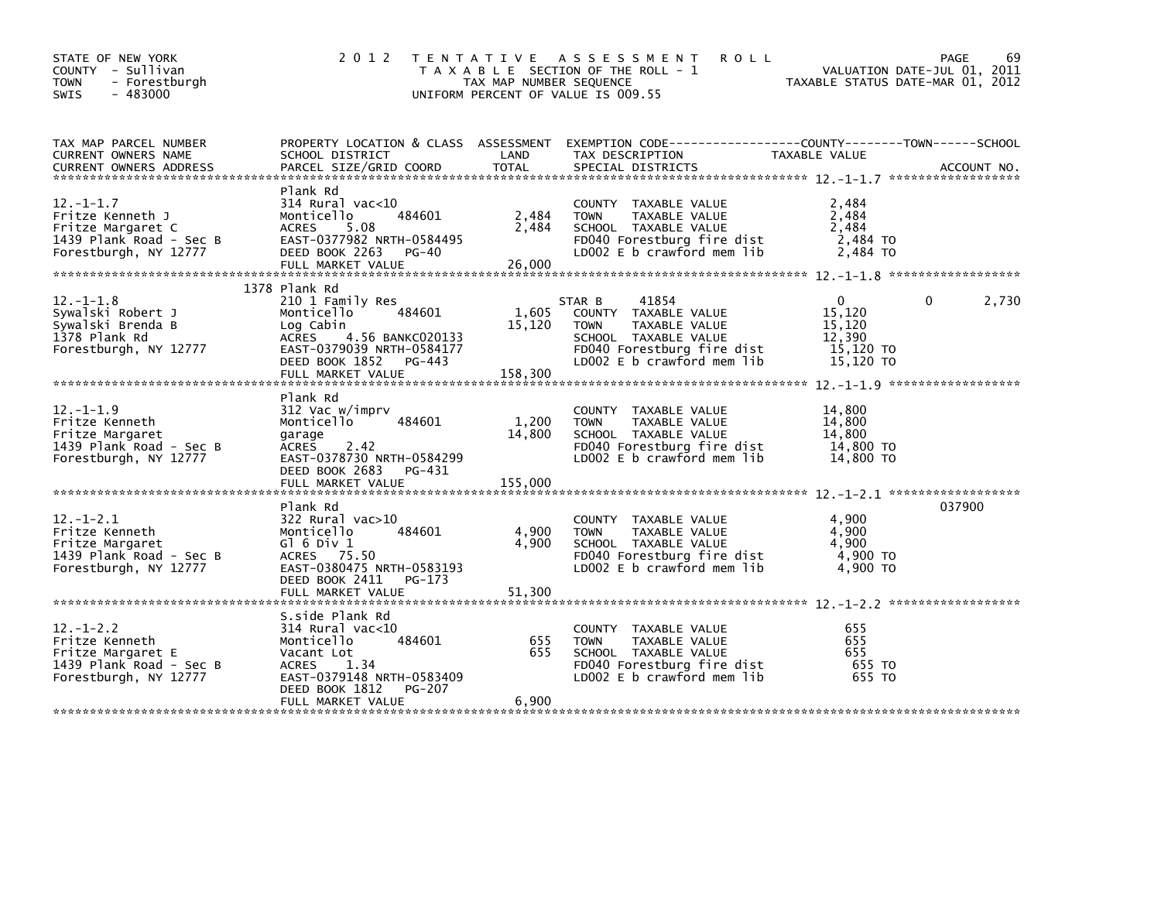| STATE OF NEW YORK<br>COUNTY - Sullivan<br><b>TOWN</b><br>- Forestburgh<br>$-483000$<br>SWIS                  | 2 0 1 2                                                                                                                                                                              | TAX MAP NUMBER SEQUENCE    | TENTATIVE ASSESSMENT<br><b>ROLL</b><br>T A X A B L E SECTION OF THE ROLL - 1<br>UNIFORM PERCENT OF VALUE IS 009.55                                          | TAXABLE STATUS DATE-MAR 01, 2012                                     | 69<br>PAGE<br>VALUATION DATE-JUL 01, 2011 |
|--------------------------------------------------------------------------------------------------------------|--------------------------------------------------------------------------------------------------------------------------------------------------------------------------------------|----------------------------|-------------------------------------------------------------------------------------------------------------------------------------------------------------|----------------------------------------------------------------------|-------------------------------------------|
| TAX MAP PARCEL NUMBER<br>CURRENT OWNERS NAME<br><b>CURRENT OWNERS ADDRESS</b>                                | PROPERTY LOCATION & CLASS ASSESSMENT<br>SCHOOL DISTRICT<br>PARCEL SIZE/GRID COORD                                                                                                    | LAND<br><b>TOTAL</b>       | TAX DESCRIPTION<br>SPECIAL DISTRICTS                                                                                                                        | TAXABLE VALUE                                                        | ACCOUNT NO.                               |
| $12. - 1 - 1.7$<br>Fritze Kenneth J<br>Fritze Margaret C<br>1439 Plank Road - Sec B<br>Forestburgh, NY 12777 | Plank Rd<br>$314$ Rural vac< $10$<br>Monticello<br>484601<br><b>ACRES</b><br>5.08<br>EAST-0377982 NRTH-0584495<br>DEED BOOK 2263<br>PG-40<br>FULL MARKET VALUE                       | 2,484<br>2,484<br>26,000   | COUNTY TAXABLE VALUE<br>TAXABLE VALUE<br><b>TOWN</b><br>SCHOOL TAXABLE VALUE<br>FD040 Forestburg fire dist<br>LD002 E b crawford mem lib                    | 2,484<br>2,484<br>2,484<br>2,484 TO<br>2,484 TO                      |                                           |
| $12 - 1 - 1.8$<br>Sywalski Robert J<br>Sywalski Brenda B<br>1378 Plank Rd<br>Forestburgh, NY 12777           | 1378 Plank Rd<br>210 1 Family Res<br>Monticello<br>484601<br>Log Cabin<br>4.56 BANKC020133<br>ACRES<br>EAST-0379039 NRTH-0584177<br>DEED BOOK 1852 PG-443<br>FULL MARKET VALUE       | 1,605<br>15,120<br>158,300 | 41854<br>STAR B<br>COUNTY TAXABLE VALUE<br><b>TOWN</b><br>TAXABLE VALUE<br>SCHOOL TAXABLE VALUE<br>FD040 Forestburg fire dist<br>LD002 E b crawford mem lib | $\mathbf{0}$<br>15,120<br>15,120<br>12.390<br>15,120 TO<br>15,120 TO | 2,730<br>0                                |
| $12. - 1 - 1.9$<br>Fritze Kenneth<br>Fritze Margaret<br>1439 Plank Road - Sec B<br>Forestburgh, NY 12777     | Plank Rd<br>312 Vac w/imprv<br>484601<br>Monticello<br>garage<br>2.42<br>ACRES<br>EAST-0378730 NRTH-0584299<br>DEED BOOK 2683<br>PG-431<br>FULL MARKET VALUE                         | 1,200<br>14,800<br>155,000 | COUNTY TAXABLE VALUE<br><b>TOWN</b><br>TAXABLE VALUE<br>SCHOOL TAXABLE VALUE<br>FD040 Forestburg fire dist<br>LD002 E b crawford mem lib                    | 14,800<br>14,800<br>14.800<br>14,800 TO<br>14,800 TO                 |                                           |
| $12 - 1 - 2.1$<br>Fritze Kenneth<br>Fritze Margaret<br>1439 Plank Road - Sec B<br>Forestburgh, NY 12777      | Plank Rd<br>322 Rural vac>10<br>484601<br>Monticello<br>G $1$ 6 Div 1<br>ACRES 75.50<br>EAST-0380475 NRTH-0583193<br>DEED BOOK 2411<br>PG-173<br>FULL MARKET VALUE                   | 4,900<br>4,900<br>51,300   | COUNTY TAXABLE VALUE<br>TAXABLE VALUE<br><b>TOWN</b><br>SCHOOL TAXABLE VALUE<br>FD040 Forestburg fire dist<br>LD002 E b crawford mem lib                    | 4,900<br>4,900<br>4,900<br>4,900 TO<br>4.900 TO                      | 037900                                    |
| $12 - 1 - 2.2$<br>Fritze Kenneth<br>Fritze Margaret E<br>1439 Plank Road - Sec B<br>Forestburgh, NY 12777    | S.side Plank Rd<br>$314$ Rural vac< $10$<br>Monticello<br>484601<br>Vacant Lot<br><b>ACRES</b><br>1.34<br>EAST-0379148 NRTH-0583409<br>DEED BOOK 1812<br>PG-207<br>FULL MARKET VALUE | 655<br>655<br>6,900        | COUNTY TAXABLE VALUE<br><b>TOWN</b><br>TAXABLE VALUE<br>SCHOOL TAXABLE VALUE<br>FD040 Forestburg fire dist<br>LD002 E b crawford mem lib                    | 655<br>655<br>655<br>655 TO<br>655 TO                                |                                           |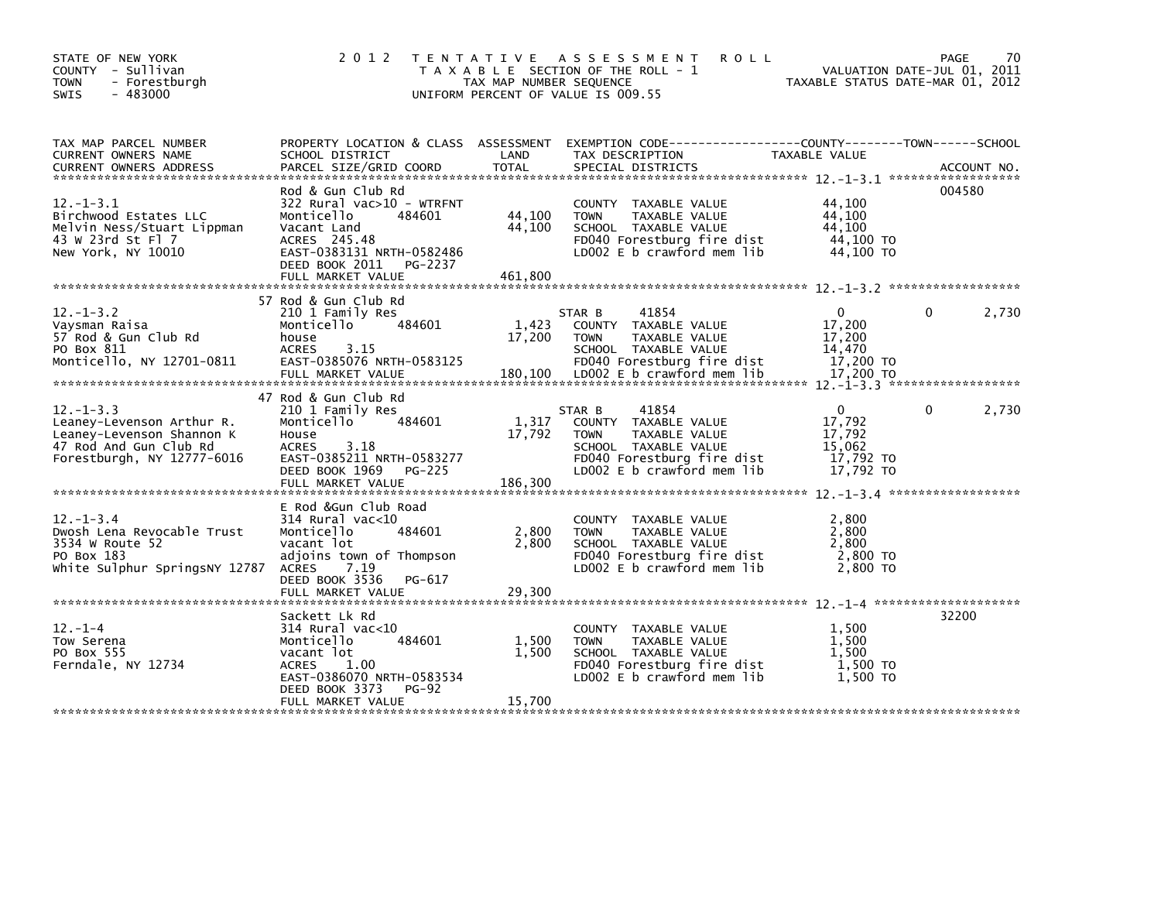| STATE OF NEW YORK<br>COUNTY - Sullivan<br>- Forestburgh<br><b>TOWN</b><br>$-483000$<br>SWIS                                      | 2 0 1 2                                                                                                                                                                             | TAX MAP NUMBER SEQUENCE    | TENTATIVE ASSESSMENT<br><b>ROLL</b><br>T A X A B L E SECTION OF THE ROLL - 1<br>UNIFORM PERCENT OF VALUE IS 009.55                                          | TAXABLE STATUS DATE-MAR 01, 2012                                     | PAGE<br>VALUATION DATE-JUL 01, 2011 | 70 |
|----------------------------------------------------------------------------------------------------------------------------------|-------------------------------------------------------------------------------------------------------------------------------------------------------------------------------------|----------------------------|-------------------------------------------------------------------------------------------------------------------------------------------------------------|----------------------------------------------------------------------|-------------------------------------|----|
| TAX MAP PARCEL NUMBER<br>CURRENT OWNERS NAME                                                                                     | SCHOOL DISTRICT                                                                                                                                                                     | LAND                       | PROPERTY LOCATION & CLASS ASSESSMENT EXEMPTION CODE----------------COUNTY-------TOWN------SCHOOL<br>TAX DESCRIPTION                                         | TAXABLE VALUE                                                        |                                     |    |
| $12 - 1 - 3.1$<br>Birchwood Estates LLC<br>Melvin Ness/Stuart Lippman<br>43 W 23rd St Fl 7<br>New York, NY 10010                 | Rod & Gun Club Rd<br>322 Rural vac>10 - WTRFNT<br>Monticello<br>484601<br>Vacant Land<br>ACRES 245.48<br>EAST-0383131 NRTH-0582486<br>DEED BOOK 2011 PG-2237                        | 44,100<br>44,100           | COUNTY TAXABLE VALUE<br><b>TAXABLE VALUE</b><br><b>TOWN</b><br>SCHOOL TAXABLE VALUE<br>FD040 Forestburg fire dist<br>LD002 E b crawford mem lib             | 44,100<br>44,100<br>44,100<br>44,100 TO<br>44,100 TO                 | 004580                              |    |
| $12. -1 - 3.2$<br>Vaysman Raisa<br>57 Rod & Gun Club Rd<br>PO Box 811<br>Monticello, NY 12701-0811                               | 57 Rod & Gun Club Rd<br>210 1 Family Res<br>484601<br>Monticello<br>house<br><b>ACRES</b><br>3.15<br>EAST-0385076 NRTH-0583125                                                      | 1,423<br>17,200            | STAR B<br>41854<br>COUNTY TAXABLE VALUE<br><b>TOWN</b><br>TAXABLE VALUE<br>SCHOOL TAXABLE VALUE<br>FD040 Forestburg fire dist                               | $\mathbf{0}$<br>17,200<br>17,200<br>14,470<br>17,200 TO              | 2,730<br>0                          |    |
| $12. -1 - 3.3$<br>Leaney-Levenson Arthur R.<br>Leaney-Levenson Shannon K<br>47 Rod And Gun Club Rd<br>Forestburgh, NY 12777-6016 | 47 Rod & Gun Club Rd<br>210 1 Family Res<br>Monticello<br>484601<br>House<br><b>ACRES</b><br>3.18<br>EAST-0385211 NRTH-0583277<br>DEED BOOK 1969<br>PG-225<br>FULL MARKET VALUE     | 1,317<br>17,792<br>186,300 | 41854<br>STAR B<br>COUNTY TAXABLE VALUE<br><b>TOWN</b><br>TAXABLE VALUE<br>SCHOOL TAXABLE VALUE<br>FD040 Forestburg fire dist<br>LD002 E b crawford mem lib | $\mathbf{0}$<br>17,792<br>17,792<br>15.062<br>17,792 TO<br>17.792 TO | 2,730<br>0                          |    |
| $12. - 1 - 3.4$<br>Dwosh Lena Revocable Trust<br>3534 W Route 52<br>PO Box 183<br>White Sulphur SpringsNY 12787                  | E Rod & Gun Club Road<br>314 Rural vac<10<br>Monticello<br>484601<br>vacant lot<br>adjoins town of Thompson<br>ACRES 7.19<br>DEED BOOK 3536<br>PG-617<br>FULL MARKET VALUE          | 2,800<br>2,800<br>29,300   | COUNTY TAXABLE VALUE<br><b>TOWN</b><br>TAXABLE VALUE<br>SCHOOL TAXABLE VALUE<br>FD040 Forestburg fire dist<br>LD002 E b crawford mem lib                    | 2,800<br>2,800<br>2,800<br>2,800 TO<br>2,800 TO                      |                                     |    |
| $12. - 1 - 4$<br>Tow Serena<br>PO Box 555<br>Ferndale, NY 12734                                                                  | Sackett Lk Rd<br>314 Rural vac<10<br>484601<br>Monticello<br>vacant lot<br><b>ACRES</b><br>1.00<br>EAST-0386070 NRTH-0583534<br>DEED BOOK 3373<br><b>PG-92</b><br>FULL MARKET VALUE | 1,500<br>1,500<br>15,700   | COUNTY TAXABLE VALUE<br><b>TOWN</b><br>TAXABLE VALUE<br>SCHOOL TAXABLE VALUE<br>FD040 Forestburg fire dist<br>LD002 E b crawford mem lib                    | 1,500<br>1,500<br>1.500<br>1.500 TO<br>1.500 TO                      | 32200                               |    |
|                                                                                                                                  |                                                                                                                                                                                     |                            |                                                                                                                                                             |                                                                      |                                     |    |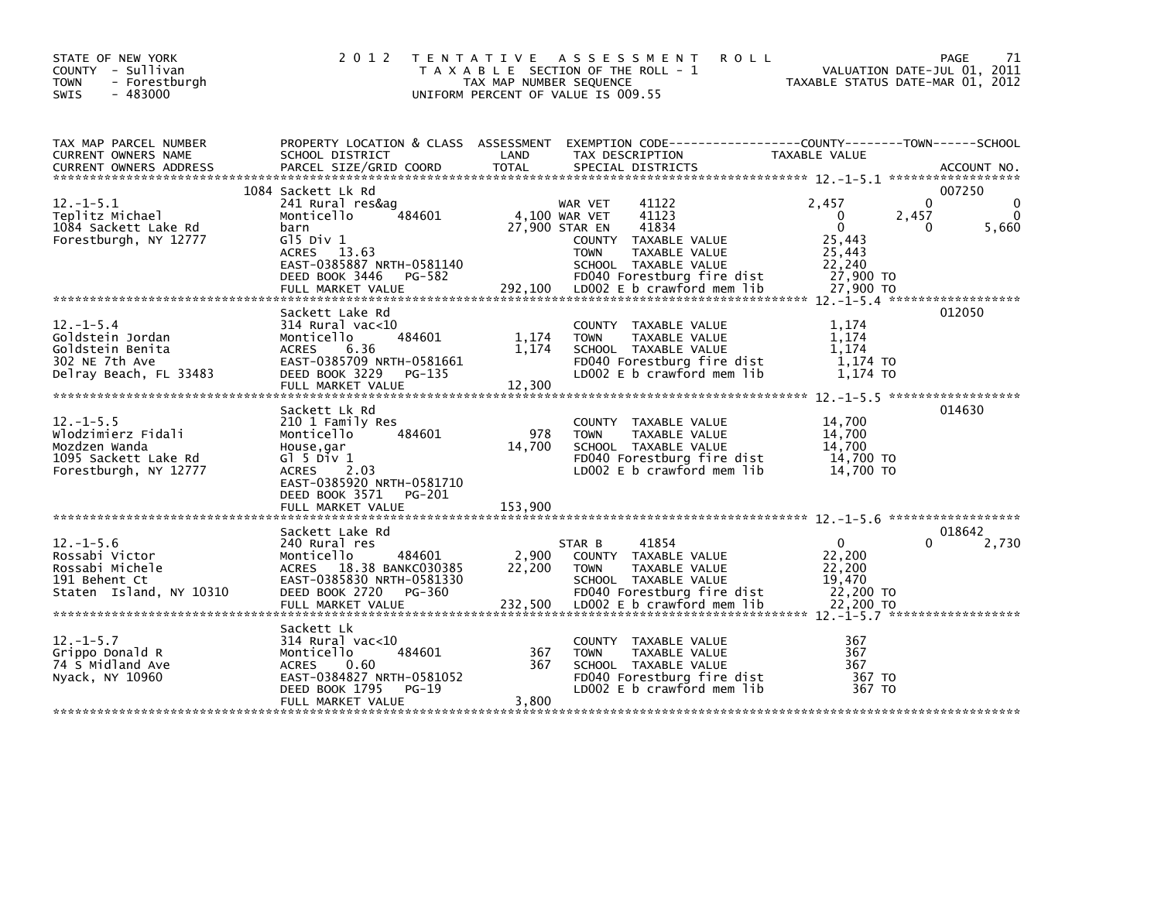| STATE OF NEW YORK<br>COUNTY - Sullivan<br><b>TOWN</b><br>- Forestburgh<br>$-483000$<br>SWIS            | 2 0 1 2                                                                                                                                                                              | TAX MAP NUMBER SEQUENCE    | TENTATIVE ASSESSMENT<br>T A X A B L E SECTION OF THE ROLL - 1<br>UNIFORM PERCENT OF VALUE IS 009.55                                                                                                                         | <b>ROLL</b>                                                                           | PAGE<br>71<br>VALUATION DATE-JUL 01, 2011<br>TAXABLE STATUS DATE-MAR 01, 2012 |
|--------------------------------------------------------------------------------------------------------|--------------------------------------------------------------------------------------------------------------------------------------------------------------------------------------|----------------------------|-----------------------------------------------------------------------------------------------------------------------------------------------------------------------------------------------------------------------------|---------------------------------------------------------------------------------------|-------------------------------------------------------------------------------|
| TAX MAP PARCEL NUMBER<br>CURRENT OWNERS NAME                                                           | PROPERTY LOCATION & CLASS ASSESSMENT<br>SCHOOL DISTRICT                                                                                                                              | LAND                       | EXEMPTION CODE-----------------COUNTY-------TOWN------SCHOOL<br>TAX DESCRIPTION                                                                                                                                             | TAXABLE VALUE                                                                         |                                                                               |
| $12. - 1 - 5.1$<br>Teplitz Michael<br>1084 Sackett Lake Rd<br>Forestburgh, NY 12777                    | 1084 Sackett Lk Rd<br>241 Rural res&ag<br>Monticello<br>484601<br>barn<br>$G15$ Div $1$<br>ACRES 13.63<br>EAST-0385887 NRTH-0581140<br>DEED BOOK 3446<br>PG-582<br>FULL MARKET VALUE |                            | 41122<br>WAR VET<br>41123<br>4,100 WAR VET<br>27,900 STAR EN<br>41834<br>COUNTY TAXABLE VALUE<br>TAXABLE VALUE<br><b>TOWN</b><br>SCHOOL TAXABLE VALUE<br>FD040 Forestburg fire dist<br>$292,100$ LD002 E b crawford mem lib | 2.457<br>$\Omega$<br>$\Omega$<br>25,443<br>25,443<br>22,240<br>27,900 TO<br>27,900 TO | 007250<br>$\Omega$<br>2,457<br>5,660<br>0                                     |
| $12. - 1 - 5.4$<br>Goldstein Jordan<br>Goldstein Benita<br>302 NE 7th Ave<br>Delray Beach, FL 33483    | Sackett Lake Rd<br>314 Rural vac<10<br>484601<br>Monticello<br><b>ACRES</b><br>6.36<br>EAST-0385709 NRTH-0581661<br>DEED BOOK 3229<br>PG-135<br>FULL MARKET VALUE                    | 1,174<br>1,174<br>12,300   | COUNTY TAXABLE VALUE<br>TAXABLE VALUE<br><b>TOWN</b><br>SCHOOL TAXABLE VALUE<br>FD040 Forestburg fire dist<br>LD002 E b crawford mem lib                                                                                    | 1,174<br>1.174<br>1.174<br>1,174 TO<br>1,174 TO                                       | 012050                                                                        |
| $12. -1 - 5.5$<br>Wlodzimierz Fidali<br>Mozdzen Wanda<br>1095 Sackett Lake Rd<br>Forestburgh, NY 12777 | Sackett Lk Rd<br>210 1 Family Res<br>484601<br>Monticello<br>House,gar<br>G $1$ 5 Div 1<br>ACRES 2.03<br>EAST-0385920 NRTH-0581710<br>DEED BOOK 3571<br>PG-201<br>FULL MARKET VALUE  | 978<br>14,700<br>153,900   | COUNTY TAXABLE VALUE<br>TAXABLE VALUE<br><b>TOWN</b><br>SCHOOL TAXABLE VALUE<br>FD040 Forestburg fire dist<br>LD002 E b crawford mem lib                                                                                    | 14,700<br>14,700<br>14,700<br>14,700 TO<br>14,700 TO                                  | 014630                                                                        |
| $12. - 1 - 5.6$<br>Rossabi Victor<br>Rossabi Michele<br>191 Behent Ct<br>Staten Island, NY 10310       | Sackett Lake Rd<br>240 Rural res<br>Monticello<br>484601<br>ACRES 18.38 BANKC030385<br>EAST-0385830 NRTH-0581330<br>DEED BOOK 2720<br>PG-360<br>FULL MARKET VALUE                    | 2,900<br>22,200<br>232,500 | 41854<br>STAR B<br>COUNTY TAXABLE VALUE<br>TAXABLE VALUE<br><b>TOWN</b><br>SCHOOL TAXABLE VALUE<br>FD040 Forestburg fire dist<br>LD002 E b crawford mem lib                                                                 | 0<br>22,200<br>22,200<br>19,470<br>22,200 TO<br>22,200 TO                             | 018642<br>2,730                                                               |
| $12. -1 - 5.7$<br>Grippo Donald R<br>74 S Midland Ave<br>Nyack, NY 10960                               | Sackett Lk<br>314 Rural vac<10<br>484601<br>Monticello<br><b>ACRES</b><br>0.60<br>EAST-0384827 NRTH-0581052<br>DEED BOOK 1795<br>$PG-19$<br>FULL MARKET VALUE                        | 367<br>367<br>3,800        | COUNTY TAXABLE VALUE<br><b>TOWN</b><br>TAXABLE VALUE<br>SCHOOL TAXABLE VALUE<br>FD040 Forestburg fire dist<br>LD002 E b crawford mem lib                                                                                    | 367<br>367<br>367<br>367 TO<br>367 TO                                                 |                                                                               |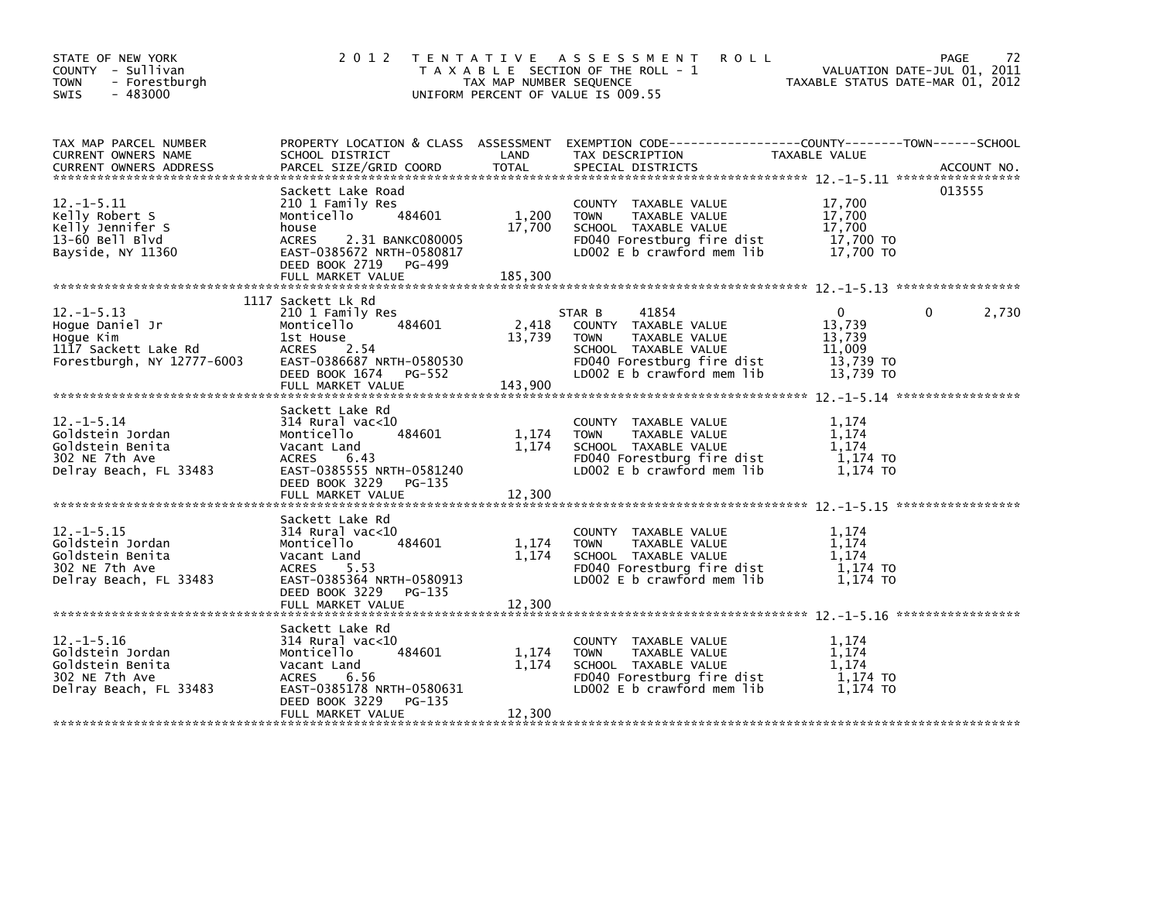| STATE OF NEW YORK<br>COUNTY - Sullivan<br><b>TOWN</b><br>- Forestburgh<br>$-483000$<br><b>SWIS</b>   | 2 0 1 2                                                                                                                                                          | TAX MAP NUMBER SEQUENCE    | TENTATIVE ASSESSMENT<br><b>ROLL</b><br>T A X A B L E SECTION OF THE ROLL - 1<br>UNIFORM PERCENT OF VALUE IS 009.55                                              | VALUATION DATE-MAR 01, 2012                          | PAGE<br>72<br>VALUATION DATE-JUL 01, 2011 |
|------------------------------------------------------------------------------------------------------|------------------------------------------------------------------------------------------------------------------------------------------------------------------|----------------------------|-----------------------------------------------------------------------------------------------------------------------------------------------------------------|------------------------------------------------------|-------------------------------------------|
| TAX MAP PARCEL NUMBER<br>CURRENT OWNERS NAME                                                         | SCHOOL DISTRICT                                                                                                                                                  | LAND                       | PROPERTY LOCATION & CLASS ASSESSMENT EXEMPTION CODE---------------COUNTY-------TOWN------SCHOOL<br>TAX DESCRIPTION                                              | TAXABLE VALUE                                        |                                           |
| $12. -1 - 5.11$<br>Kelly Robert S<br>Kelly Jennifer S<br>13-60 Bell Blvd<br>Bayside, NY 11360        | Sackett Lake Road<br>210 1 Family Res<br>Monticello<br>484601<br>house<br><b>ACRES</b><br>2.31 BANKC080005<br>EAST-0385672 NRTH-0580817<br>DEED BOOK 2719 PG-499 | 1,200<br>17,700            | COUNTY TAXABLE VALUE<br>TAXABLE VALUE<br><b>TOWN</b><br>SCHOOL TAXABLE VALUE<br>FD040 Forestburg fire dist<br>LD002 E b crawford mem lib                        | 17,700<br>17,700<br>17,700<br>17,700 TO<br>17,700 TO | 013555                                    |
| $12. -1 - 5.13$                                                                                      | 1117 Sackett Lk Rd                                                                                                                                               |                            |                                                                                                                                                                 | $\Omega$                                             | $\Omega$                                  |
| Hoque Daniel Jr<br>Hoque Kim<br>1117 Sackett Lake Rd<br>Forestburgh, NY 12777-6003                   | 210 1 Family Res<br>484601<br>Monticello<br>1st House<br>ACRES 2.54<br>EAST-0386687 NRTH-0580530<br>DEED BOOK 1674 PG-552<br>FULL MARKET VALUE                   | 2,418<br>13,739<br>143,900 | STAR B<br>41854<br>COUNTY TAXABLE VALUE<br><b>TOWN</b><br>TAXABLE VALUE<br>SCHOOL TAXABLE VALUE<br>FD040 Forestburg fire dist<br>LD002 $E$ b crawford mem $lib$ | 13,739<br>13,739<br>11.009<br>13,739 TO<br>13,739 TO | 2,730                                     |
|                                                                                                      | Sackett Lake Rd                                                                                                                                                  |                            |                                                                                                                                                                 |                                                      |                                           |
| $12. -1 - 5.14$<br>Goldstein Jordan<br>Goldstein Benita<br>302 NE 7th Ave<br>Delray Beach, FL 33483  | 314 Rural vac<10<br>484601<br>Monticello<br>Vacant Land<br>ACRES<br>6.43<br>EAST-0385555 NRTH-0581240<br>DEED BOOK 3229<br>PG-135                                | 1,174<br>1,174             | COUNTY TAXABLE VALUE<br><b>TOWN</b><br>TAXABLE VALUE<br>SCHOOL TAXABLE VALUE<br>FD040 Forestburg fire dist<br>LD002 E b crawford mem lib                        | 1.174<br>1.174<br>1.174<br>1,174 TO<br>1,174 TO      |                                           |
|                                                                                                      |                                                                                                                                                                  |                            |                                                                                                                                                                 |                                                      |                                           |
| $12. -1 - 5.15$<br>Goldstein Jordan<br>Goldstein Benita<br>302 NE 7th Ave<br>Delray Beach, FL 33483  | Sackett Lake Rd<br>$314$ Rural vac<10<br>484601<br>Monticello<br>Vacant Land<br>ACRES<br>5.53<br>EAST-0385364 NRTH-0580913<br>DEED BOOK 3229<br>PG-135           | 1,174<br>1,174             | COUNTY TAXABLE VALUE<br><b>TOWN</b><br>TAXABLE VALUE<br>SCHOOL TAXABLE VALUE<br>FD040 Forestburg fire dist<br>LD002 E b crawford mem lib                        | 1.174<br>1.174<br>1.174<br>1,174 TO<br>$1,174$ TO    |                                           |
|                                                                                                      |                                                                                                                                                                  |                            |                                                                                                                                                                 |                                                      |                                           |
| $12. - 1 - 5.16$<br>Goldstein Jordan<br>Goldstein Benita<br>302 NE 7th Ave<br>Delray Beach, FL 33483 | Sackett Lake Rd<br>$314$ Rural vac<10<br>484601<br>Monticello<br>Vacant Land<br>ACRES<br>6.56<br>EAST-0385178 NRTH-0580631<br>DEED BOOK 3229<br>PG-135           | 1,174<br>1,174             | COUNTY TAXABLE VALUE<br><b>TOWN</b><br>TAXABLE VALUE<br>SCHOOL TAXABLE VALUE<br>FD040 Forestburg fire dist<br>LD002 E b crawford mem lib                        | 1,174<br>1.174<br>1.174<br>1,174 TO<br>1,174 TO      |                                           |
|                                                                                                      | FULL MARKET VALUE                                                                                                                                                | 12,300                     |                                                                                                                                                                 |                                                      |                                           |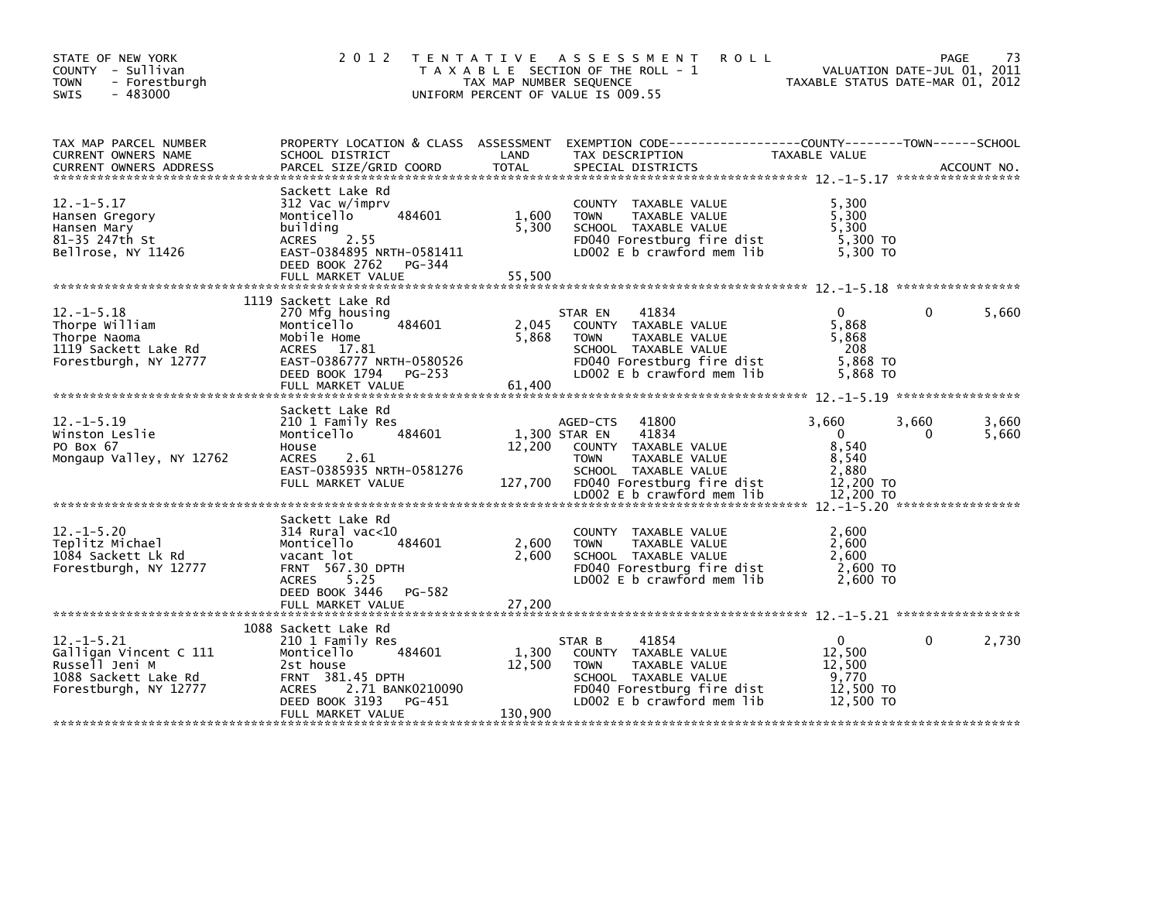| STATE OF NEW YORK<br>COUNTY - Sullivan<br><b>TOWN</b><br>- Forestburgh<br>$-483000$<br>SWIS                  | 2 0 1 2                                                                                                                                                 | TAX MAP NUMBER SEQUENCE | TENTATIVE ASSESSMENT<br><b>ROLL</b><br>T A X A B L E SECTION OF THE ROLL - 1<br>UNIFORM PERCENT OF VALUE IS 009.55                                           | VALUATION DATE-JUL 01, 2011<br>TAXABLE STATUS DATE-MAR 01, 2012     | PAGE       | 73             |
|--------------------------------------------------------------------------------------------------------------|---------------------------------------------------------------------------------------------------------------------------------------------------------|-------------------------|--------------------------------------------------------------------------------------------------------------------------------------------------------------|---------------------------------------------------------------------|------------|----------------|
| TAX MAP PARCEL NUMBER<br>CURRENT OWNERS NAME                                                                 | PROPERTY LOCATION & CLASS ASSESSMENT<br>SCHOOL DISTRICT                                                                                                 | LAND                    | EXEMPTION CODE-----------------COUNTY-------TOWN------SCHOOL<br>TAX DESCRIPTION                                                                              | TAXABLE VALUE                                                       |            |                |
| $12. -1 - 5.17$<br>Hansen Gregory<br>Hansen Mary<br>81-35 247th St<br>Bellrose, NY 11426                     | Sackett Lake Rd<br>312 Vac w/imprv<br>484601<br>Monticello<br>building<br>2.55<br><b>ACRES</b><br>EAST-0384895 NRTH-0581411<br>DEED BOOK 2762 PG-344    | 1,600<br>5,300          | COUNTY TAXABLE VALUE<br>TAXABLE VALUE<br><b>TOWN</b><br>SCHOOL TAXABLE VALUE<br>FD040 Forestburg fire dist<br>LD002 E b crawford mem lib                     | 5,300<br>5,300<br>5,300<br>5,300 TO<br>5.300 TO                     |            |                |
| $12. -1 - 5.18$<br>Thorpe William<br>Thorpe Naoma<br>1119 Sackett Lake Rd<br>Forestburgh, NY 12777           | 1119 Sackett Lake Rd<br>270 Mfg housing<br>Monticello<br>484601<br>Mobile Home<br>ACRES 17.81<br>EAST-0386777 NRTH-0580526<br>DEED BOOK 1794 PG-253     | 2,045<br>5,868          | STAR EN<br>41834<br>COUNTY TAXABLE VALUE<br><b>TOWN</b><br>TAXABLE VALUE<br>SCHOOL TAXABLE VALUE<br>FD040 Forestburg fire dist<br>LD002 E b crawford mem lib | $\mathbf{0}$<br>5.868<br>5,868<br>- 208<br>5,868 TO<br>5,868 TO     | $\Omega$   | 5,660          |
|                                                                                                              | FULL MARKET VALUE                                                                                                                                       | 61,400                  |                                                                                                                                                              |                                                                     |            |                |
| $12. -1 - 5.19$<br>Winston Leslie<br>PO Box 67<br>Mongaup Valley, NY 12762                                   | Sackett Lake Rd<br>210 1 Family Res<br>484601<br>Monticello<br>House<br><b>ACRES</b><br>2.61<br>EAST-0385935 NRTH-0581276<br>FULL MARKET VALUE          | 12,200<br>127,700       | AGED-CTS<br>41800<br>1,300 STAR EN<br>41834<br>COUNTY TAXABLE VALUE<br><b>TOWN</b><br>TAXABLE VALUE<br>SCHOOL TAXABLE VALUE<br>FD040 Forestburg fire dist    | 3,660<br>$\overline{0}$<br>8,540<br>8,540<br>2,880<br>12,200 TO     | 3,660<br>0 | 3,660<br>5,660 |
|                                                                                                              | Sackett Lake Rd                                                                                                                                         |                         |                                                                                                                                                              |                                                                     |            |                |
| $12. - 1 - 5.20$<br>Teplitz Michael<br>1084 Sackett Lk Rd<br>Forestburgh, NY 12777                           | 314 Rural vac<10<br>Monticello<br>484601<br>vacant lot<br>FRNT 567.30 DPTH<br><b>ACRES</b><br>5.25<br>DEED BOOK 3446<br>PG-582                          | 2,600<br>2,600          | COUNTY TAXABLE VALUE<br><b>TOWN</b><br>TAXABLE VALUE<br>SCHOOL TAXABLE VALUE<br>FD040 Forestburg fire dist<br>LD002 E b crawford mem lib                     | 2,600<br>2,600<br>2.600<br>2,600 TO<br>2,600 TO                     |            |                |
|                                                                                                              | FULL MARKET VALUE                                                                                                                                       | 27,200                  |                                                                                                                                                              |                                                                     |            |                |
| $12. -1 - 5.21$<br>Galligan Vincent C 111<br>Russell Jeni M<br>1088 Sackett Lake Rd<br>Forestburgh, NY 12777 | 1088 Sackett Lake Rd<br>210 1 Family Res<br>484601<br>Monticello<br>2st house<br>FRNT 381.45 DPTH<br>ACRES 2.71 BANK0210090<br>DEED BOOK 3193<br>PG-451 | 1,300<br>12,500         | 41854<br>STAR B<br>COUNTY TAXABLE VALUE<br><b>TOWN</b><br>TAXABLE VALUE<br>SCHOOL TAXABLE VALUE<br>FD040 Forestburg fire dist<br>LD002 E b crawford mem lib  | $\mathbf{0}$<br>12,500<br>12,500<br>9,770<br>12,500 TO<br>12.500 TO | 0          | 2,730          |
|                                                                                                              | FULL MARKET VALUE                                                                                                                                       | 130,900                 |                                                                                                                                                              |                                                                     |            |                |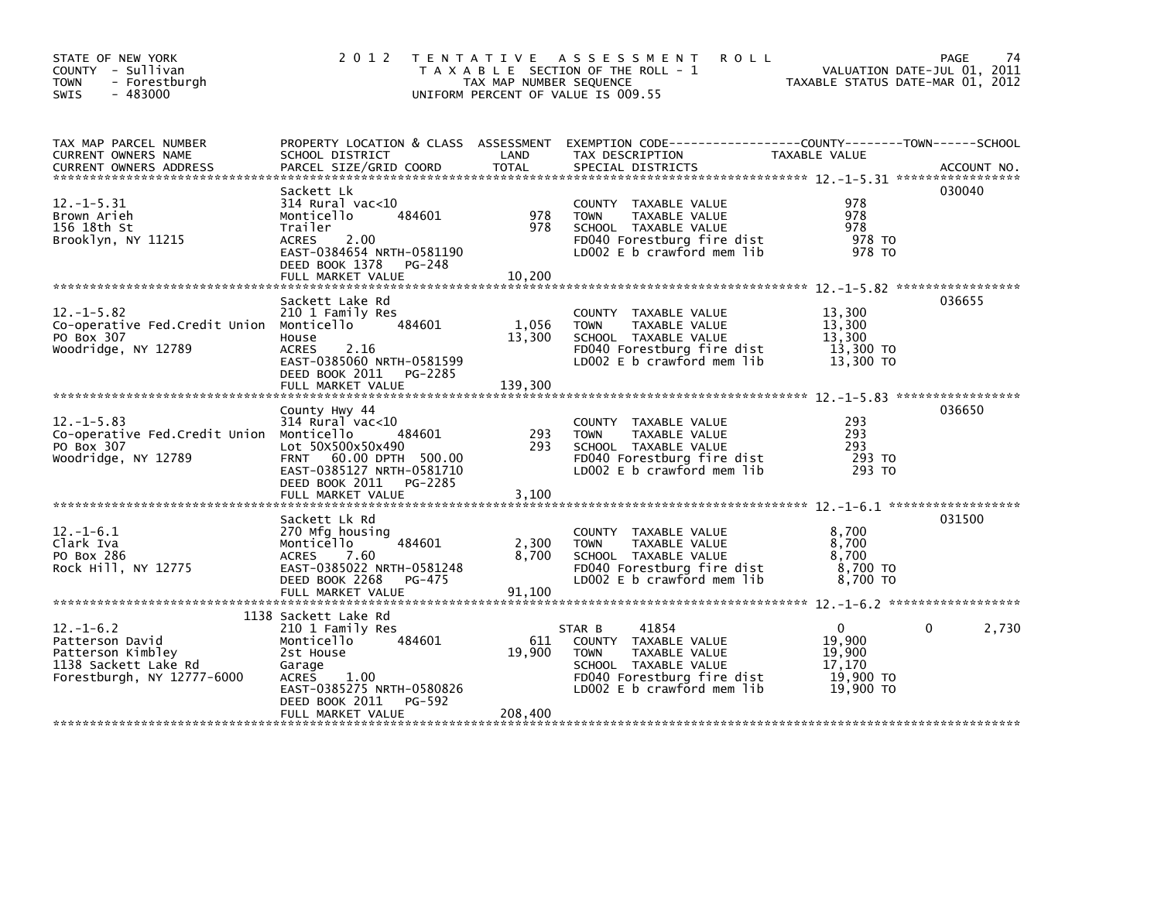| STATE OF NEW YORK<br>COUNTY - Sullivan<br><b>TOWN</b><br>- Forestburgh<br>$-483000$<br><b>SWIS</b>            | 2 0 1 2                                                                                                                                                                                       | TAX MAP NUMBER SEQUENCE    | TENTATIVE ASSESSMENT<br><b>ROLL</b><br>T A X A B L E SECTION OF THE ROLL - 1<br>UNIFORM PERCENT OF VALUE IS 009.55                                          | TAXABLE STATUS DATE-MAR 01, 2012                          | <b>PAGE</b><br>74<br>VALUATION DATE-JUL 01, 2011 |
|---------------------------------------------------------------------------------------------------------------|-----------------------------------------------------------------------------------------------------------------------------------------------------------------------------------------------|----------------------------|-------------------------------------------------------------------------------------------------------------------------------------------------------------|-----------------------------------------------------------|--------------------------------------------------|
| TAX MAP PARCEL NUMBER<br>CURRENT OWNERS NAME<br><b>CURRENT OWNERS ADDRESS</b>                                 | SCHOOL DISTRICT<br>PARCEL SIZE/GRID COORD                                                                                                                                                     | LAND<br><b>TOTAL</b>       | PROPERTY LOCATION & CLASS ASSESSMENT EXEMPTION CODE---------------COUNTY-------TOWN------SCHOOL<br>TAX DESCRIPTION<br>SPECIAL DISTRICTS                     | TAXABLE VALUE                                             | ACCOUNT NO.                                      |
| $12. -1 - 5.31$<br>Brown Arieh<br>156 18th St<br>Brooklyn, NY 11215                                           | Sackett Lk<br>$314$ Rural vac<10<br>Monticello<br>484601<br>Trailer<br><b>ACRES</b><br>2.00<br>EAST-0384654 NRTH-0581190<br>DEED BOOK 1378<br>PG-248<br>FULL MARKET VALUE                     | 978<br>978<br>10.200       | COUNTY TAXABLE VALUE<br><b>TOWN</b><br>TAXABLE VALUE<br>SCHOOL TAXABLE VALUE<br>FD040 Forestburg fire dist<br>LD002 E b crawford mem lib                    | 978<br>978<br>978<br>978 TO<br>978 TO                     | 030040                                           |
| $12. -1 - 5.82$<br>Co-operative Fed.Credit Union Monticello<br>PO Box 307<br>Woodridge, NY 12789              | Sackett Lake Rd<br>210 1 Family Res<br>484601<br>House<br>2.16<br><b>ACRES</b><br>EAST-0385060 NRTH-0581599<br>DEED BOOK 2011 PG-2285<br>FULL MARKET VALUE                                    | 1,056<br>13,300<br>139.300 | COUNTY TAXABLE VALUE<br><b>TAXABLE VALUE</b><br><b>TOWN</b><br>SCHOOL TAXABLE VALUE<br>FD040 Forestburg fire dist<br>LD002 E b crawford mem lib             | 13.300<br>13,300<br>13,300<br>13,300 TO<br>13,300 TO      | 036655                                           |
| $12. -1 - 5.83$<br>Co-operative Fed.Credit Union Monticello<br>PO Box 307<br>Woodridge, NY 12789              | County Hwy 44<br>$314$ Rural vac<10<br>484601<br>Lot 50X500x50x490<br>FRNT 60.00 DPTH 500.00<br>EAST-0385127 NRTH-0581710<br>DEED BOOK 2011 PG-2285<br>FULL MARKET VALUE                      | 293<br>293<br>3,100        | COUNTY TAXABLE VALUE<br><b>TOWN</b><br>TAXABLE VALUE<br>SCHOOL TAXABLE VALUE<br>FD040 Forestburg fire dist<br>LD002 E b crawford mem lib                    | 293<br>293<br>293<br>293 TO<br>293 TO                     | 036650                                           |
| $12. - 1 - 6.1$<br>Clark Iva<br>PO Box 286<br>Rock Hill, NY 12775                                             | Sackett Lk Rd<br>270 Mfg housing<br>484601<br>Monticello<br>7.60<br><b>ACRES</b><br>EAST-0385022 NRTH-0581248<br>DEED BOOK 2268<br>PG-475                                                     | 2,300<br>8,700             | COUNTY TAXABLE VALUE<br>TAXABLE VALUE<br><b>TOWN</b><br>SCHOOL TAXABLE VALUE<br>FD040 Forestburg fire dist<br>LD002 E b crawford mem lib                    | 8,700<br>8,700<br>8.700<br>8,700 TO<br>8,700 TO           | 031500                                           |
| $12. - 1 - 6.2$<br>Patterson David<br>Patterson Kimbley<br>1138 Sackett Lake Rd<br>Forestburgh, NY 12777-6000 | 1138 Sackett Lake Rd<br>210 1 Family Res<br>Monticello<br>484601<br>2st House<br>Garage<br><b>ACRES</b><br>1.00<br>EAST-0385275 NRTH-0580826<br>DEED BOOK 2011<br>PG-592<br>FULL MARKET VALUE | 611<br>19.900<br>208,400   | 41854<br>STAR B<br>COUNTY TAXABLE VALUE<br><b>TOWN</b><br>TAXABLE VALUE<br>SCHOOL TAXABLE VALUE<br>FD040 Forestburg fire dist<br>LD002 E b crawford mem lib | 0<br>19.900<br>19.900<br>17,170<br>19,900 TO<br>19,900 TO | 2,730<br>0                                       |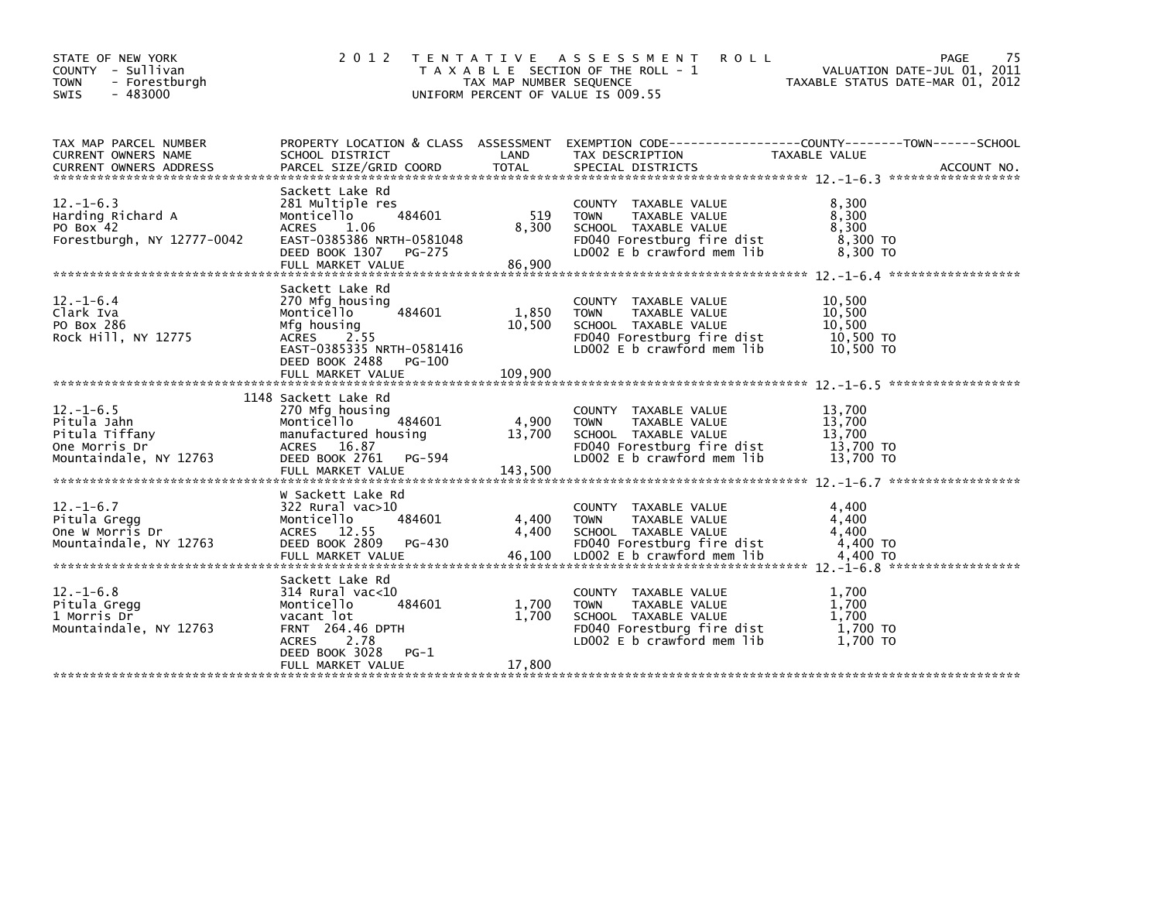| STATE OF NEW YORK<br><b>COUNTY</b><br>- Sullivan<br><b>TOWN</b><br>- Forestburgh<br>$-483000$<br><b>SWIS</b> | 2 0 1 2                                                                                                                                                                            | TAX MAP NUMBER SEQUENCE    | TENTATIVE ASSESSMENT<br><b>ROLL</b><br>T A X A B L E SECTION OF THE ROLL - 1<br>UNIFORM PERCENT OF VALUE IS 009.55                         | PAGE<br>VALUATION DATE-JUL 01, 2011<br>TAXABLE STATUS DATE-MAR 01, 2012                                                        | 75 |
|--------------------------------------------------------------------------------------------------------------|------------------------------------------------------------------------------------------------------------------------------------------------------------------------------------|----------------------------|--------------------------------------------------------------------------------------------------------------------------------------------|--------------------------------------------------------------------------------------------------------------------------------|----|
| TAX MAP PARCEL NUMBER<br>CURRENT OWNERS NAME<br><b>CURRENT OWNERS ADDRESS</b>                                | SCHOOL DISTRICT<br>PARCEL SIZE/GRID COORD                                                                                                                                          | LAND<br><b>TOTAL</b>       | TAX DESCRIPTION<br>SPECIAL DISTRICTS                                                                                                       | PROPERTY LOCATION & CLASS ASSESSMENT EXEMPTION CODE---------------COUNTY-------TOWN-----SCHOOL<br>TAXABLE VALUE<br>ACCOUNT NO. |    |
| $12. - 1 - 6.3$<br>Harding Richard A<br>PO Box 42<br>Forestburgh, NY 12777-0042                              | Sackett Lake Rd<br>281 Multiple res<br>484601<br>Monticello<br>1.06<br><b>ACRES</b><br>EAST-0385386 NRTH-0581048<br>DEED BOOK 1307<br>PG-275<br>FULL MARKET VALUE                  | 519<br>8,300<br>86,900     | COUNTY TAXABLE VALUE<br><b>TOWN</b><br>TAXABLE VALUE<br>SCHOOL TAXABLE VALUE<br>FD040 Forestburg fire dist<br>LD002 E b crawford mem lib   | 8,300<br>8,300<br>8,300<br>8,300 TO<br>8,300 TO                                                                                |    |
| $12. - 1 - 6.4$<br>Clark Iva<br>PO Box 286<br>Rock Hill, NY 12775                                            | Sackett Lake Rd<br>270 Mfg housing<br>Monticello<br>484601<br>Mfg housing<br>2.55<br><b>ACRES</b><br>EAST-0385335 NRTH-0581416<br>DEED BOOK 2488<br>PG-100<br>FULL MARKET VALUE    | 1,850<br>10,500<br>109,900 | COUNTY TAXABLE VALUE<br><b>TOWN</b><br>TAXABLE VALUE<br>SCHOOL TAXABLE VALUE<br>FD040 Forestburg fire dist<br>LD002 E b crawford mem lib   | 10,500<br>10,500<br>10.500<br>10,500 TO<br>10,500 TO                                                                           |    |
| $12. - 1 - 6.5$<br>Pitula Jahn<br>Pitula Tiffany<br>One Morris Dr<br>Mountaindale, NY 12763                  | 1148 Sackett Lake Rd<br>270 Mfg housing<br>Monticello<br>484601<br>manufactured housing<br>ACRES 16.87<br>DEED BOOK 2761<br>PG-594<br>FULL MARKET VALUE                            | 4,900<br>13,700<br>143,500 | COUNTY TAXABLE VALUE<br><b>TOWN</b><br>TAXABLE VALUE<br>SCHOOL TAXABLE VALUE<br>FD040 Forestburg fire dist<br>LD002 E b crawford mem lib   | 13,700<br>13,700<br>13,700<br>13,700 TO<br>13,700 TO                                                                           |    |
| $12. - 1 - 6.7$<br>Pitula Gregg<br>One W Morris Dr<br>Mountaindale, NY 12763                                 | w Sackett Lake Rd<br>322 Rural vac>10<br>484601<br>Monticello<br>ACRES 12.55<br>DEED BOOK 2809<br>PG-430<br>FULL MARKET VALUE                                                      | 4,400<br>4,400<br>46,100   | COUNTY TAXABLE VALUE<br><b>TOWN</b><br>TAXABLE VALUE<br>SCHOOL TAXABLE VALUE<br>FD040 Forestburg fire dist<br>LD002 E b crawford mem lib   | 4,400<br>4,400<br>4,400<br>4,400 TO<br>4,400 TO                                                                                |    |
| $12. - 1 - 6.8$<br>Pitula Gregg<br>1 Morris Dr<br>Mountaindale, NY 12763                                     | Sackett Lake Rd<br>$314$ Rural vac< $10$<br>484601<br>Monticello<br>vacant lot<br><b>FRNT 264.46 DPTH</b><br><b>ACRES</b><br>2.78<br>DEED BOOK 3028<br>$PG-1$<br>FULL MARKET VALUE | 1,700<br>1,700<br>17,800   | COUNTY TAXABLE VALUE<br><b>TOWN</b><br>TAXABLE VALUE<br>SCHOOL TAXABLE VALUE<br>FD040 Forestburg fire dist<br>LD002 $E$ b crawford mem lib | 1,700<br>1,700<br>1.700<br>1,700 TO<br>1,700 TO                                                                                |    |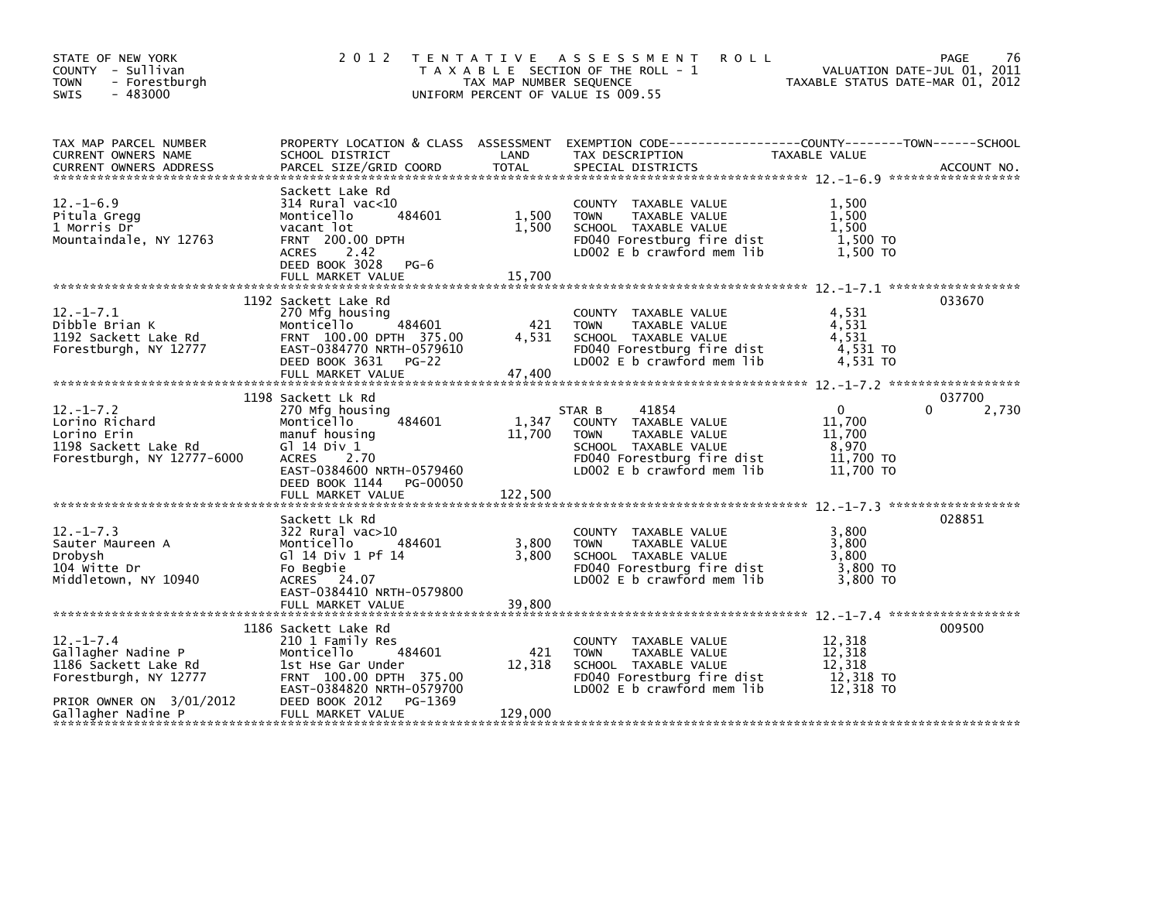| STATE OF NEW YORK<br>COUNTY - Sullivan<br><b>TOWN</b><br>- Forestburgh<br>$-483000$<br><b>SWIS</b>                                                                                                                                                                            |                                                                                                                                                                                                 | TAX MAP NUMBER SEQUENCE    | 2012 TENTATIVE ASSESSMENT<br><b>ROLL</b><br>T A X A B L E SECTION OF THE ROLL - 1<br>UNIFORM PERCENT OF VALUE IS 009.55                                     | VALUATION DATE-JUL 01, 2011<br>TAXABLE STATUS DATE-MAR 01, 2012 | 76<br><b>PAGE</b>           |
|-------------------------------------------------------------------------------------------------------------------------------------------------------------------------------------------------------------------------------------------------------------------------------|-------------------------------------------------------------------------------------------------------------------------------------------------------------------------------------------------|----------------------------|-------------------------------------------------------------------------------------------------------------------------------------------------------------|-----------------------------------------------------------------|-----------------------------|
| TAX MAP PARCEL NUMBER<br>CURRENT OWNERS NAME                                                                                                                                                                                                                                  |                                                                                                                                                                                                 |                            |                                                                                                                                                             |                                                                 |                             |
| CURRENT OWNERS ADDRESS FORCEL SIZE/GRID COORD TOTAL SPECIAL DISTRICTS (2008) ACCOUNT NO.<br>EURRENT OWNERS ADDRESS FARCEL SIZE/GRID COORD TOTAL SPECIAL DISTRICTS (2008) 2014 1204 2014 2014 2014<br>$12. - 1 - 6.9$<br>Pitula Gregg<br>1 Morris Dr<br>Mountaindale, NY 12763 | Sackett Lake Rd<br>314 Rural vac<10<br>484601<br>Monticello<br>vacant lot<br><b>FRNT 200.00 DPTH</b><br>ACRES 2.42<br>DEED BOOK 3028 PG-6                                                       | 1,500<br>1,500             | COUNTY TAXABLE VALUE<br><b>TOWN</b><br>TAXABLE VALUE<br>SCHOOL TAXABLE VALUE<br>FD040 Forestburg fire dist<br>LD002 E b crawford mem lib                    | 1,500<br>1.500<br>1,500<br>1,500 TO<br>1.500 TO                 |                             |
| $12. - 1 - 7.1$<br>Dibble Brian K<br>1192 Sackett Lake Rd<br>Forestburgh, NY 12777                                                                                                                                                                                            | 1192 Sackett Lake Rd<br>270 Mfg housing<br>484601<br>Monticello<br>FRNT 100.00 DPTH 375.00<br>EAST-0384770 NRTH-0579610<br>DEED BOOK 3631<br>$PG-22$                                            | 421<br>4,531               | COUNTY TAXABLE VALUE<br><b>TOWN</b><br>TAXABLE VALUE<br>SCHOOL TAXABLE VALUE<br>FD040 Forestburg fire dist<br>LD002 E b crawford mem lib                    | 4,531<br>4,531<br>4,531<br>$4,531$ TO<br>4,531 TO               | 033670                      |
| $12. - 1 - 7.2$<br>Lorino Richard<br>Lorino Erin<br>1198 Sackett Lake Rd<br>Forestburgh, NY 12777-6000                                                                                                                                                                        | 1198 Sackett Lk Rd<br>270 Mfg housing<br>484601<br>Monticello<br>manuf housing<br>Gl 14 Div 1<br>ACRES 2.70<br>EAST-0384600 NRTH-0579460<br>DEED BOOK 1144<br>PG-00050<br>FULL MARKET VALUE     | 1,347<br>11,700<br>122,500 | STAR B<br>41854<br>COUNTY TAXABLE VALUE<br>TAXABLE VALUE<br><b>TOWN</b><br>SCHOOL TAXABLE VALUE<br>FD040 Forestburg fire dist<br>LD002 E b crawford mem lib | $\Omega$<br>11,700<br>11,700<br>8,970<br>11,700 TO<br>11,700 TO | 037700<br>$\Omega$<br>2,730 |
| $12. - 1 - 7.3$<br>Sauter Maureen A<br>Drobysh<br>104 witte Dr<br>Middletown, NY 10940                                                                                                                                                                                        | Sackett Lk Rd<br>322 Rural vac>10<br>484601<br>Monticello<br>G1 14 Div 1 Pf 14<br>Fo Begbie<br>ACRES 24.07<br>EAST-0384410 NRTH-0579800                                                         | 3,800<br>3,800             | COUNTY TAXABLE VALUE<br><b>TOWN</b><br>TAXABLE VALUE<br>SCHOOL TAXABLE VALUE<br>FD040 Forestburg fire dist<br>LD002 E b crawford mem lib                    | 3,800<br>3,800<br>3,800<br>3,800 TO<br>3,800 TO                 | 028851                      |
| $12. - 1 - 7.4$<br>Gallagher Nadine P<br>1186 Sackett Lake Rd<br>Forestburgh, NY 12777<br>PRIOR OWNER ON 3/01/2012<br>Gallagher Nadine P                                                                                                                                      | 1186 Sackett Lake Rd<br>210 1 Family Res<br>484601<br>Monticello<br>1st Hse Gar Under<br>FRNT 100.00 DPTH 375.00<br>EAST-0384820 NRTH-0579700<br>PG-1369<br>DEED BOOK 2012<br>FULL MARKET VALUE | 421<br>12,318<br>129,000   | COUNTY TAXABLE VALUE<br><b>TOWN</b><br>TAXABLE VALUE<br>SCHOOL TAXABLE VALUE<br>FD040 Forestburg fire dist<br>LD002 E b crawford mem lib                    | 12,318<br>12,318<br>12,318<br>12,318 TO<br>12,318 TO            | 009500                      |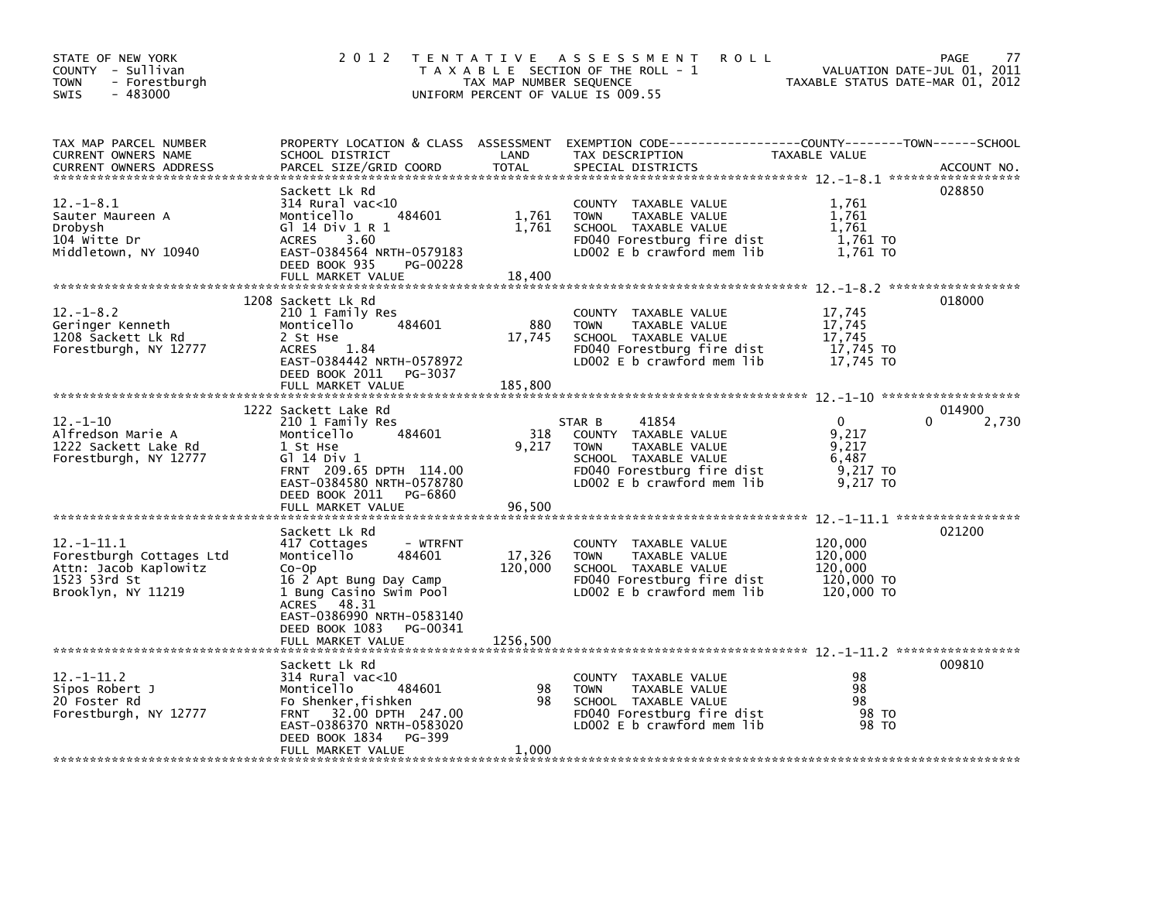| STATE OF NEW YORK<br>COUNTY - Sullivan<br>- Forestburgh<br>TOWN<br>$-483000$<br><b>SWIS</b>                | 2 0 1 2<br>T E N T A T I V E                                                                                                                                                                         | TAX MAP NUMBER SEQUENCE  | A S S E S S M E N T<br><b>ROLL</b><br>T A X A B L E SECTION OF THE ROLL - 1<br>UNIFORM PERCENT OF VALUE IS 009.55                                           | VALUATION DATE-JUL 01, 2011<br>TAXABLE STATUS DATE-MAR 01, 2012 | <b>PAGE</b><br>77    |
|------------------------------------------------------------------------------------------------------------|------------------------------------------------------------------------------------------------------------------------------------------------------------------------------------------------------|--------------------------|-------------------------------------------------------------------------------------------------------------------------------------------------------------|-----------------------------------------------------------------|----------------------|
| TAX MAP PARCEL NUMBER<br>CURRENT OWNERS NAME<br>CURRENT OWNERS ADDRESS                                     | SCHOOL DISTRICT<br>PARCEL SIZE/GRID COORD                                                                                                                                                            | LAND<br><b>TOTAL</b>     | PROPERTY LOCATION & CLASS ASSESSMENT EXEMPTION CODE----------------COUNTY-------TOWN------SCHOOL<br>TAX DESCRIPTION<br>SPECIAL DISTRICTS                    | TAXABLE VALUE                                                   | ACCOUNT NO.          |
| $12 - 1 - 8.1$<br>Sauter Maureen A<br>Drobysh<br>104 Witte Dr<br>Middletown, NY 10940                      | Sackett Lk Rd<br>$314$ Rural vac< $10$<br>Monticello<br>484601<br>G1 14 Div 1 R 1<br>3.60<br><b>ACRES</b><br>EAST-0384564 NRTH-0579183<br>DEED BOOK 935<br>PG-00228<br>FULL MARKET VALUE             | 1,761<br>1,761<br>18,400 | COUNTY TAXABLE VALUE<br>TAXABLE VALUE<br><b>TOWN</b><br>SCHOOL TAXABLE VALUE<br>FD040 Forestburg fire dist<br>LD002 E b crawford mem lib                    | 1,761<br>1,761<br>1,761<br>1,761 TO<br>1,761 TO                 | 028850               |
|                                                                                                            | 1208 Sackett Lk Rd                                                                                                                                                                                   |                          |                                                                                                                                                             |                                                                 | 018000               |
| $12. - 1 - 8.2$<br>Geringer Kenneth<br>1208 Sackett Lk Rd<br>Forestburgh, NY 12777                         | 210 1 Family Res<br>Monticello<br>484601<br>2 St Hse<br><b>ACRES</b><br>1.84<br>EAST-0384442 NRTH-0578972<br>DEED BOOK 2011<br>PG-3037<br>FULL MARKET VALUE                                          | 880<br>17,745<br>185,800 | COUNTY TAXABLE VALUE<br>TAXABLE VALUE<br><b>TOWN</b><br>SCHOOL TAXABLE VALUE<br>FD040 Forestburg fire dist<br>LD002 E b crawford mem lib                    | 17,745<br>17,745<br>17,745<br>17,745 TO<br>17,745 TO            |                      |
|                                                                                                            |                                                                                                                                                                                                      |                          |                                                                                                                                                             |                                                                 |                      |
| $12 - 1 - 10$<br>Alfredson Marie A<br>1222 Sackett Lake Rd<br>Forestburgh, NY 12777                        | 1222 Sackett Lake Rd<br>210 1 Family Res<br>Monticello<br>484601<br>1 St Hse<br>G1 14 Div 1<br>FRNT 209.65 DPTH 114.00<br>EAST-0384580 NRTH-0578780<br>DEED BOOK 2011<br>PG-6860                     | 318<br>9,217             | 41854<br>STAR B<br>COUNTY TAXABLE VALUE<br>TAXABLE VALUE<br><b>TOWN</b><br>SCHOOL TAXABLE VALUE<br>FD040 Forestburg fire dist<br>LD002 E b crawford mem lib | $\Omega$<br>9.217<br>9,217<br>6,487<br>9,217 TO<br>9,217 TO     | 014900<br>0<br>2,730 |
|                                                                                                            | FULL MARKET VALUE                                                                                                                                                                                    | 96.500                   |                                                                                                                                                             |                                                                 |                      |
| $12. -1 - 11.1$<br>Forestburgh Cottages Ltd<br>Attn: Jacob Kaplowitz<br>1523 53rd St<br>Brooklyn, NY 11219 | Sackett Lk Rd<br>417 Cottages<br>- WTRFNT<br>Monticello<br>484601<br>$Co$ -Op<br>16 2 Apt Bung Day Camp<br>1 Bung Casino Swim Pool<br>48.31<br><b>ACRES</b><br>EAST-0386990 NRTH-0583140             | 17,326<br>120,000        | COUNTY TAXABLE VALUE<br>TAXABLE VALUE<br><b>TOWN</b><br>SCHOOL TAXABLE VALUE<br>FD040 Forestburg fire dist<br>LD002 E b crawford mem lib                    | 120,000<br>120,000<br>120,000<br>120,000 TO<br>120,000 TO       | 021200               |
|                                                                                                            | DEED BOOK 1083<br>PG-00341<br>FULL MARKET VALUE                                                                                                                                                      | 1256,500                 |                                                                                                                                                             |                                                                 |                      |
| $12 - 1 - 11.2$<br>Sipos Robert J<br>20 Foster Rd<br>Forestburgh, NY 12777                                 | Sackett Lk Rd<br>$314$ Rural vac<10<br>484601<br>Monticello<br>Fo Shenker, fishken<br>32.00 DPTH 247.00<br><b>FRNT</b><br>EAST-0386370 NRTH-0583020<br>DEED BOOK 1834<br>PG-399<br>FULL MARKET VALUE | 98<br>98<br>1,000        | COUNTY TAXABLE VALUE<br><b>TOWN</b><br>TAXABLE VALUE<br>SCHOOL TAXABLE VALUE<br>FD040 Forestburg fire dist<br>LD002 E b crawford mem lib                    | 98<br>98<br>98<br>98 TO<br>98 TO                                | 009810               |
|                                                                                                            |                                                                                                                                                                                                      |                          |                                                                                                                                                             |                                                                 |                      |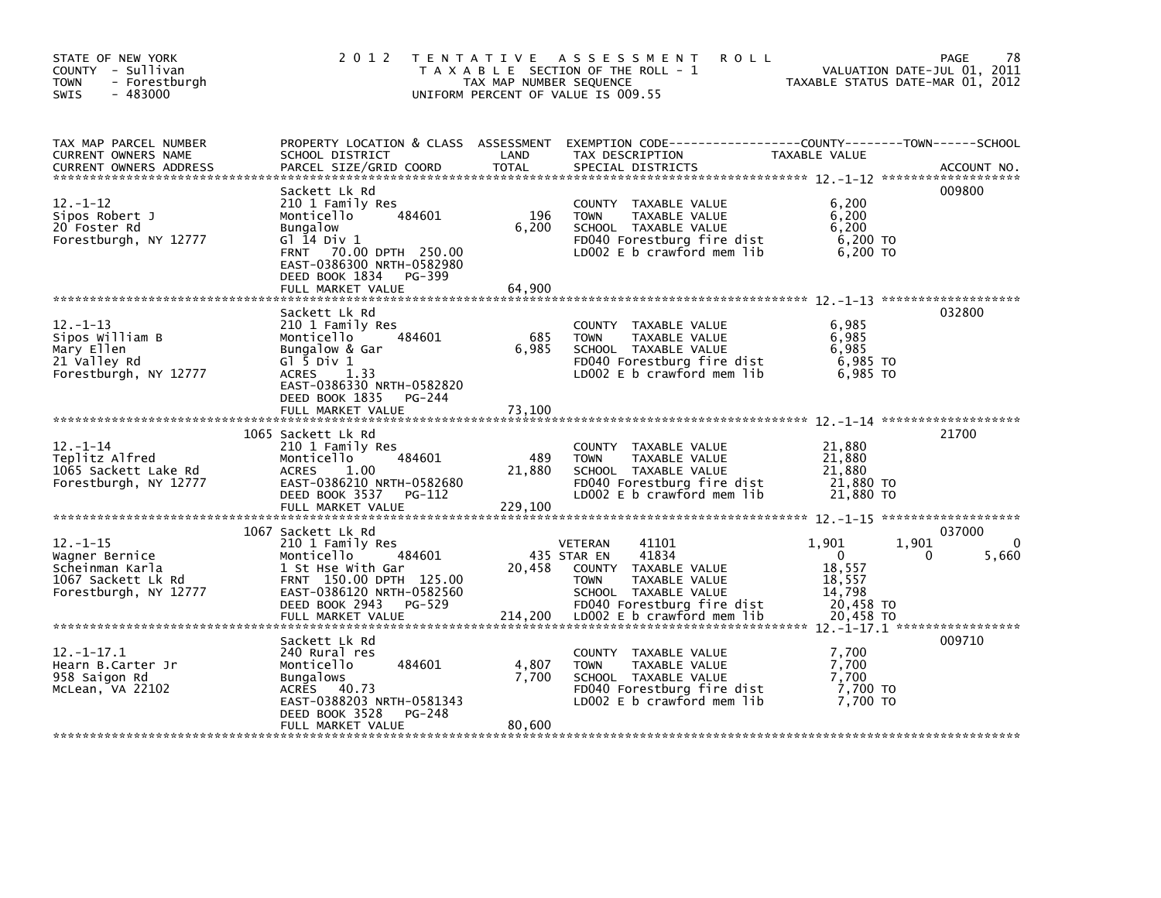| STATE OF NEW YORK<br>COUNTY - Sullivan<br>- Forestburgh<br><b>TOWN</b><br>$-483000$<br>SWIS        | 2 0 1 2                                                                                                                                                                                                | TAX MAP NUMBER SEQUENCE  | TENTATIVE ASSESSMENT<br><b>ROLL</b><br>T A X A B L E SECTION OF THE ROLL - 1<br>UNIFORM PERCENT OF VALUE IS 009.55                                                                   |                                                                           | PAGE<br>78<br>VALUATION DATE-JUL 01, 2011<br>TAXABLE STATUS DATE-MAR 01, 2012 |
|----------------------------------------------------------------------------------------------------|--------------------------------------------------------------------------------------------------------------------------------------------------------------------------------------------------------|--------------------------|--------------------------------------------------------------------------------------------------------------------------------------------------------------------------------------|---------------------------------------------------------------------------|-------------------------------------------------------------------------------|
| TAX MAP PARCEL NUMBER<br>CURRENT OWNERS NAME<br><b>CURRENT OWNERS ADDRESS</b>                      | PROPERTY LOCATION & CLASS ASSESSMENT<br>SCHOOL DISTRICT<br>PARCEL SIZE/GRID COORD                                                                                                                      | LAND<br><b>TOTAL</b>     | TAX DESCRIPTION<br>SPECIAL DISTRICTS                                                                                                                                                 | TAXABLE VALUE                                                             | ACCOUNT NO.                                                                   |
| $12 - 1 - 12$<br>Sipos Robert J<br>20 Foster Rd<br>Forestburgh, NY 12777                           | Sackett Lk Rd<br>210 1 Family Res<br>Monticello<br>484601<br><b>Bungalow</b><br>G $1$ 14 Div 1<br>FRNT 70.00 DPTH 250.00<br>EAST-0386300 NRTH-0582980<br>DEED BOOK 1834<br>PG-399<br>FULL MARKET VALUE | 196<br>6,200<br>64,900   | COUNTY TAXABLE VALUE<br>TAXABLE VALUE<br><b>TOWN</b><br>SCHOOL TAXABLE VALUE<br>FD040 Forestburg fire dist<br>LD002 E b crawford mem lib                                             | 6,200<br>6,200<br>6.200<br>6,200 TO<br>6.200 TO                           | 009800                                                                        |
| $12 - 1 - 13$<br>Sipos William B<br>Mary Ellen<br>21 Valley Rd<br>Forestburgh, NY 12777            | Sackett Lk Rd<br>210 1 Family Res<br>484601<br>Monticello<br>Bungalow & Gar<br>G $\overline{1}$ 5 Div 1<br>ACRES<br>1.33<br>EAST-0386330 NRTH-0582820<br>DEED BOOK 1835 PG-244<br>FULL MARKET VALUE    | 685<br>6,985<br>73,100   | COUNTY TAXABLE VALUE<br><b>TOWN</b><br>TAXABLE VALUE<br>SCHOOL TAXABLE VALUE<br>FD040 Forestburg fire dist<br>LD002 $E$ b crawford mem lib                                           | 6,985<br>6,985<br>6,985<br>6,985 то<br>6.985 TO                           | 032800                                                                        |
| $12 - 1 - 14$<br>Teplitz Alfred<br>1065 Sackett Lake Rd<br>Forestburgh, NY 12777                   | 1065 Sackett Lk Rd<br>210 1 Family Res<br>Monticello<br>484601<br><b>ACRES</b><br>1.00<br>EAST-0386210 NRTH-0582680<br>DEED BOOK 3537 PG-112<br>FULL MARKET VALUE                                      | 489<br>21,880<br>229,100 | COUNTY TAXABLE VALUE<br>TAXABLE VALUE<br><b>TOWN</b><br>SCHOOL TAXABLE VALUE<br>FD040 Forestburg fire dist<br>LD002 E b crawford mem lib                                             | 21,880<br>21,880<br>21,880<br>21,880 TO<br>21,880 TO                      | 21700                                                                         |
| $12. - 1 - 15$<br>Wagner Bernice<br>Scheinman Karla<br>1067 Sackett Lk Rd<br>Forestburgh, NY 12777 | 1067 Sackett Lk Rd<br>210 1 Family Res<br>Monticello<br>484601<br>1 St Hse With Gar<br>FRNT 150.00 DPTH 125.00<br>EAST-0386120 NRTH-0582560<br>DEED BOOK 2943<br>PG-529<br>FULL MARKET VALUE           | 20,458<br>214,200        | 41101<br>VETERAN<br>41834<br>435 STAR EN<br>COUNTY TAXABLE VALUE<br>TAXABLE VALUE<br><b>TOWN</b><br>SCHOOL TAXABLE VALUE<br>FD040 Forestburg fire dist<br>LD002 E b crawford mem lib | 1,901<br>$\Omega$<br>18,557<br>18,557<br>14,798<br>20,458 TO<br>20,458 TO | 037000<br>0<br>1,901<br>5,660<br>0                                            |
| $12 - 1 - 17.1$<br>Hearn B.Carter Jr<br>958 Saigon Rd<br>McLean, VA 22102                          | Sackett Lk Rd<br>240 Rural res<br>484601<br>Monticello<br><b>Bungalows</b><br>ACRES 40.73<br>EAST-0388203 NRTH-0581343<br>DEED BOOK 3528<br>PG-248<br>FULL MARKET VALUE                                | 4,807<br>7,700<br>80,600 | COUNTY TAXABLE VALUE<br><b>TOWN</b><br>TAXABLE VALUE<br>SCHOOL TAXABLE VALUE<br>FD040 Forestburg fire dist<br>LD002 $E$ b crawford mem lib                                           | 7,700<br>7,700<br>7,700<br>7,700 TO<br>7.700 TO                           | 009710                                                                        |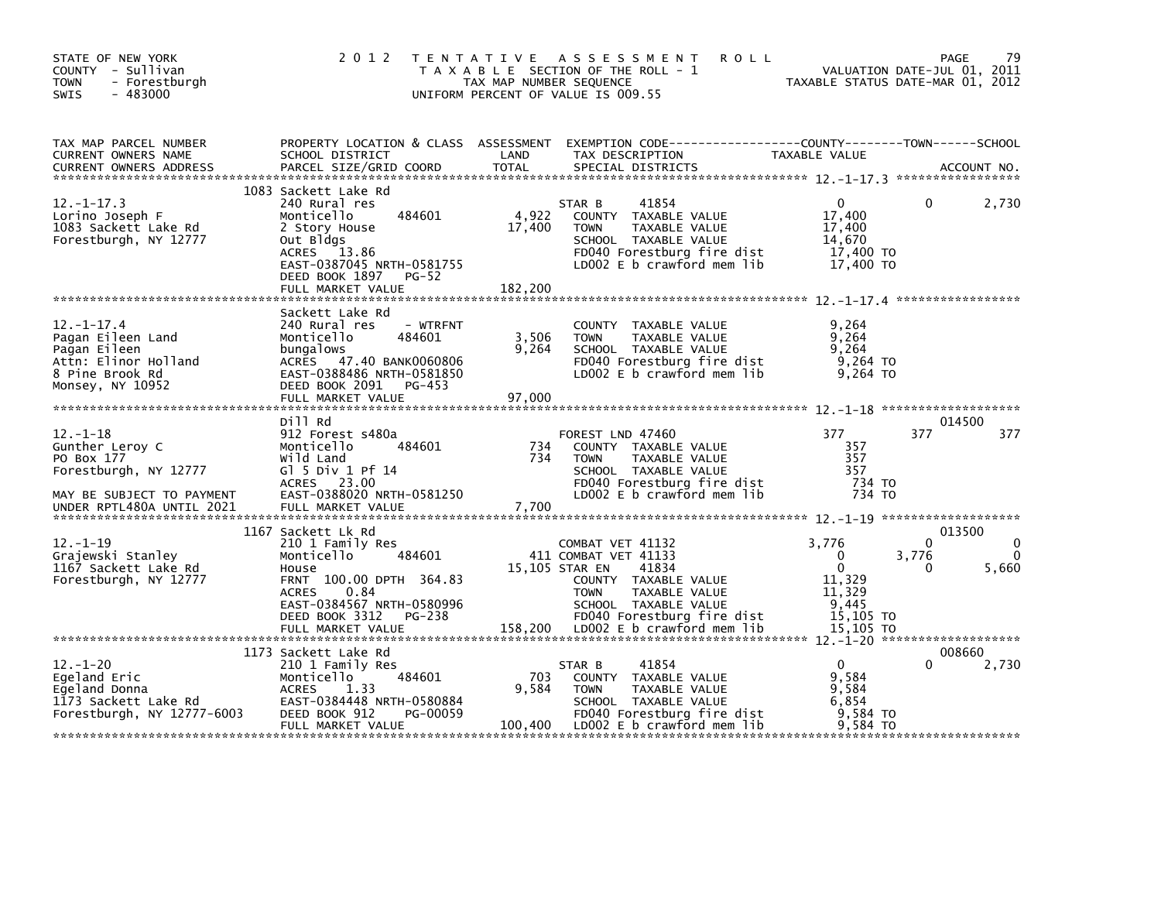| STATE OF NEW YORK<br>COUNTY - Sullivan<br>- Forestburgh<br><b>TOWN</b><br>$-483000$<br><b>SWIS</b>                                 | 2 0 1 2                                                                                                                                                                                                  | T E N T A T I V E<br>TAX MAP NUMBER SEQUENCE | A S S E S S M E N T<br><b>ROLL</b><br>T A X A B L E SECTION OF THE ROLL - 1<br>UNIFORM PERCENT OF VALUE IS 009.55                                                                                               | TAXABLE STATUS DATE-MAR 01, 2012                                                         | <b>PAGE</b><br>VALUATION DATE-JUL 01, 2011 | 79              |
|------------------------------------------------------------------------------------------------------------------------------------|----------------------------------------------------------------------------------------------------------------------------------------------------------------------------------------------------------|----------------------------------------------|-----------------------------------------------------------------------------------------------------------------------------------------------------------------------------------------------------------------|------------------------------------------------------------------------------------------|--------------------------------------------|-----------------|
| TAX MAP PARCEL NUMBER<br><b>CURRENT OWNERS NAME</b><br><b>CURRENT OWNERS ADDRESS</b>                                               | PROPERTY LOCATION & CLASS ASSESSMENT<br>SCHOOL DISTRICT<br>PARCEL SIZE/GRID COORD                                                                                                                        | LAND<br><b>TOTAL</b>                         | TAX DESCRIPTION<br>SPECIAL DISTRICTS                                                                                                                                                                            | <b>TAXABLE VALUE</b>                                                                     |                                            | ACCOUNT NO.     |
| $12. -1 - 17.3$<br>Lorino Joseph F<br>1083 Sackett Lake Rd<br>Forestburgh, NY 12777                                                | 1083 Sackett Lake Rd<br>240 Rural res<br>484601<br>Monticello<br>2 Story House<br>Out Bldgs<br>13.86<br>ACRES<br>EAST-0387045 NRTH-0581755<br>DEED BOOK 1897<br><b>PG-52</b><br>FULL MARKET VALUE        | 4,922<br>17,400<br>182,200                   | 41854<br>STAR B<br>COUNTY TAXABLE VALUE<br>TAXABLE VALUE<br><b>TOWN</b><br>SCHOOL TAXABLE VALUE<br>FD040 Forestburg fire dist<br>LD002 E b crawford mem lib                                                     | 0<br>17,400<br>17,400<br>14,670<br>17,400 TO<br>17,400 TO                                | 0                                          | 2,730           |
| $12 - 1 - 17.4$<br>Pagan Eileen Land<br>Pagan Eileen<br>Attn: Elinor Holland<br>8 Pine Brook Rd<br>Monsey, NY 10952                | Sackett Lake Rd<br>240 Rural res<br>- WTRFNT<br>Monticello<br>484601<br>bungalows<br>ACRES 47.40 BANK0060806<br>EAST-0388486 NRTH-0581850<br>DEED BOOK 2091<br>PG-453<br>FULL MARKET VALUE               | 3,506<br>9,264<br>97,000                     | COUNTY TAXABLE VALUE<br><b>TOWN</b><br>TAXABLE VALUE<br>SCHOOL TAXABLE VALUE<br>FD040 Forestburg fire dist<br>LD002 $E$ b crawford mem $lib$                                                                    | 9,264<br>9,264<br>9.264<br>9,264 TO<br>9.264 TO                                          |                                            |                 |
| $12. - 1 - 18$<br>Gunther Leroy C<br>PO Box 177<br>Forestburgh, NY 12777<br>MAY BE SUBJECT TO PAYMENT<br>UNDER RPTL480A UNTIL 2021 | Dill Rd<br>912 Forest s480a<br>Monticello<br>484601<br>Wild Land<br>G $\overline{5}$ Div 1 Pf 14<br>ACRES 23.00<br>EAST-0388020 NRTH-0581250<br>FULL MARKET VALUE                                        | 734<br>734<br>7,700                          | FOREST LND 47460<br>COUNTY TAXABLE VALUE<br><b>TOWN</b><br>TAXABLE VALUE<br>SCHOOL TAXABLE VALUE<br>FD040 Forestburg fire dist<br>LD002 E b crawford mem lib                                                    | 377<br>357<br>357<br>357<br>734 TO<br>734 TO                                             | 377                                        | 014500<br>377   |
| $12. - 1 - 19$<br>Grajewski Stanley<br>1167 Sackett Lake Rd<br>Forestburgh, NY 12777                                               | 1167 Sackett Lk Rd<br>210 1 Family Res<br>Monticello<br>484601<br>House<br>FRNT 100.00 DPTH 364.83<br><b>ACRES</b><br>0.84<br>EAST-0384567 NRTH-0580996<br>DEED BOOK 3312<br>PG-238<br>FULL MARKET VALUE | 158,200                                      | COMBAT VET 41132<br>411 COMBAT VET 41133<br>15,105 STAR EN<br>41834<br>COUNTY TAXABLE VALUE<br><b>TOWN</b><br>TAXABLE VALUE<br>SCHOOL TAXABLE VALUE<br>FD040 Forestburg fire dist<br>LDOO2 E b crawford mem lib | 3,776<br>$\Omega$<br>$\mathbf{0}$<br>11,329<br>11,329<br>9,445<br>15,105 TO<br>15,105 TO | 0<br>3,776<br>0                            | 013500<br>5,660 |
| $12. - 1 - 20$<br>Eqeland Eric<br>Egeland Donna<br>1173 Sackett Lake Rd<br>Forestburgh, NY 12777-6003                              | 1173 Sackett Lake Rd<br>210 1 Family Res<br>484601<br>Monticello<br><b>ACRES</b><br>1.33<br>EAST-0384448 NRTH-0580884<br>DEED BOOK 912<br>PG-00059<br>FULL MARKET VALUE                                  | 703<br>9.584<br>100,400                      | 41854<br>STAR B<br>COUNTY TAXABLE VALUE<br><b>TOWN</b><br>TAXABLE VALUE<br>SCHOOL TAXABLE VALUE<br>FD040 Forestburg fire dist<br>LD002 $E$ b crawford mem $lib$                                                 | $\mathbf{0}$<br>9,584<br>9,584<br>6.854<br>9.584 TO<br>9.584 TO                          | 0                                          | 008660<br>2,730 |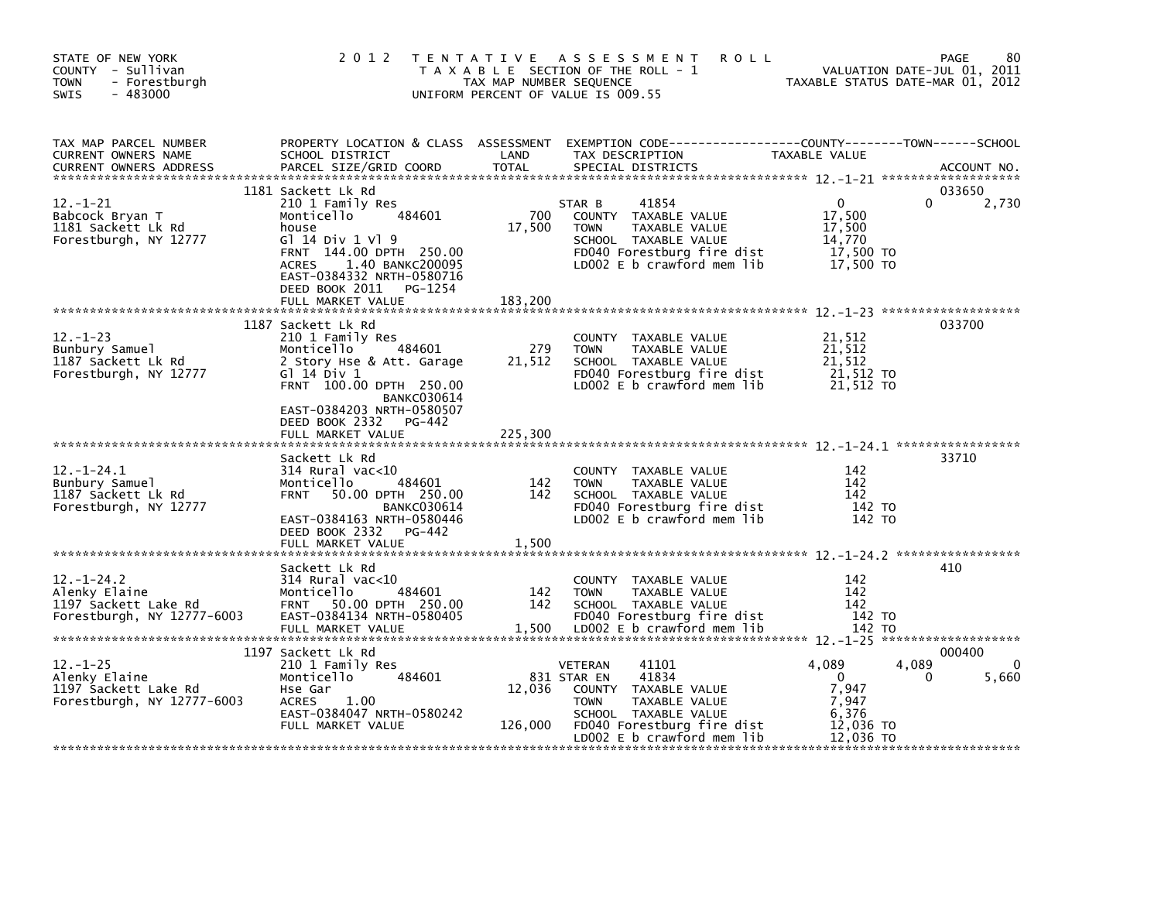| STATE OF NEW YORK<br>COUNTY - Sullivan<br><b>TOWN</b><br>- Forestburgh<br>$-483000$<br><b>SWIS</b> | 2 0 1 2                                                                                                                                                                                                                                | TAX MAP NUMBER SEQUENCE        | TENTATIVE ASSESSMENT<br><b>ROLL</b><br>T A X A B L E SECTION OF THE ROLL - 1<br>UNIFORM PERCENT OF VALUE IS 009.55                                                                              |                                                                            | 80<br>PAGE<br>VALUATION DATE-JUL 01, 2011<br>TAXABLE STATUS DATE-MAR 01, 2012 |
|----------------------------------------------------------------------------------------------------|----------------------------------------------------------------------------------------------------------------------------------------------------------------------------------------------------------------------------------------|--------------------------------|-------------------------------------------------------------------------------------------------------------------------------------------------------------------------------------------------|----------------------------------------------------------------------------|-------------------------------------------------------------------------------|
| TAX MAP PARCEL NUMBER<br>CURRENT OWNERS NAME<br><b>CURRENT OWNERS ADDRESS</b>                      | SCHOOL DISTRICT<br>PARCEL SIZE/GRID COORD                                                                                                                                                                                              | LAND<br><b>TOTAL</b>           | PROPERTY LOCATION & CLASS ASSESSMENT EXEMPTION CODE----------------COUNTY-------TOWN-----SCHOOL<br>TAX DESCRIPTION<br>SPECIAL DISTRICTS                                                         | <b>TAXABLE VALUE</b>                                                       | ACCOUNT NO.                                                                   |
| $12. - 1 - 21$<br>Babcock Bryan T<br>1181 Sackett Lk Rd<br>Forestburgh, NY 12777                   | 1181 Sackett Lk Rd<br>210 1 Family Res<br>484601<br>Monticello<br>house<br>G1 14 Div 1 V1 9<br>FRNT 144.00 DPTH 250.00<br>ACRES 1.40 BANKC200095<br>EAST-0384332 NRTH-0580716<br>DEED BOOK 2011<br>PG-1254                             | 700<br>17,500                  | 41854<br>STAR B<br>COUNTY TAXABLE VALUE<br><b>TOWN</b><br>TAXABLE VALUE<br>SCHOOL TAXABLE VALUE<br>FD040 Forestburg fire dist<br>LD002 E b crawford mem lib                                     | $\Omega$<br>17,500<br>17,500<br>14,770<br>17,500 TO<br>17,500 TO           | 033650<br>0<br>2,730                                                          |
| $12. - 1 - 23$<br>Bunbury Samuel<br>1187 Sackett Lk Rd<br>Forestburgh, NY 12777                    | FULL MARKET VALUE<br>1187 Sackett Lk Rd<br>210 1 Family Res<br>484601<br>Monticello<br>2 Story Hse & Att. Garage<br>G1 14 Div 1<br>FRNT 100.00 DPTH 250.00<br><b>BANKC030614</b><br>EAST-0384203 NRTH-0580507<br>DEED BOOK 2332 PG-442 | 183,200<br>279<br>21,512       | COUNTY TAXABLE VALUE<br>TAXABLE VALUE<br><b>TOWN</b><br>SCHOOL TAXABLE VALUE<br>FD040 Forestburg fire dist<br>LD002 E b crawford mem lib                                                        | 21,512<br>21,512<br>21.512<br>21,512 TO<br>21,512 TO                       | 033700                                                                        |
| $12. - 1 - 24.1$<br>Bunbury Samuel<br>1187 Sackett Lk Rd<br>Forestburgh, NY 12777                  | FULL MARKET VALUE<br>Sackett Lk Rd<br>$314$ Rural vac<10<br>Monticello<br>484601<br>50.00 DPTH 250.00<br><b>FRNT</b><br><b>BANKC030614</b><br>EAST-0384163 NRTH-0580446<br>DEED BOOK 2332 PG-442<br>FULL MARKET VALUE                  | 225,300<br>142<br>142<br>1,500 | COUNTY TAXABLE VALUE<br><b>TAXABLE VALUE</b><br><b>TOWN</b><br>SCHOOL TAXABLE VALUE<br>FD040 Forestburg fire dist<br>LD002 E b crawford mem lib                                                 | 142<br>142<br>142<br>142 TO<br>142 TO                                      | 33710                                                                         |
| $12. - 1 - 24.2$<br>Alenky Elaine<br>1197 Sackett Lake Rd<br>Forestburgh, NY $12777 - 6003$        | Sackett Lk Rd<br>$314$ Rural vac<10<br>484601<br>Monticello<br><b>FRNT</b><br>50.00 DPTH 250.00<br>EAST-0384134 NRTH-0580405<br>FULL MARKET VALUE                                                                                      | 142<br>142<br>1,500            | COUNTY TAXABLE VALUE<br><b>TOWN</b><br>TAXABLE VALUE<br>SCHOOL TAXABLE VALUE<br>FD040 Forestburg fire dist<br>LD002 E b crawford mem lib                                                        | 142<br>142<br>142<br>142 TO<br>142 TO                                      | 410                                                                           |
| $12. - 1 - 25$<br>Alenky Elaine<br>1197 Sackett Lake Rd<br>Forestburgh, NY $12777 - 6003$          | 1197 Sackett Lk Rd<br>210 1 Family Res<br>484601<br>Monticello<br>Hse Gar<br><b>ACRES</b><br>1.00<br>EAST-0384047 NRTH-0580242<br>FULL MARKET VALUE                                                                                    | 12,036<br>126,000              | 41101<br>VETERAN<br>831 STAR EN<br>41834<br>COUNTY TAXABLE VALUE<br><b>TAXABLE VALUE</b><br><b>TOWN</b><br>SCHOOL TAXABLE VALUE<br>FD040 Forestburg fire dist<br>LD002 $E$ b crawford mem $lib$ | 4,089<br>$\mathbf{0}$<br>7,947<br>7,947<br>6,376<br>12,036 TO<br>12.036 TO | 000400<br>4,089<br>$\Omega$<br>5,660<br>0                                     |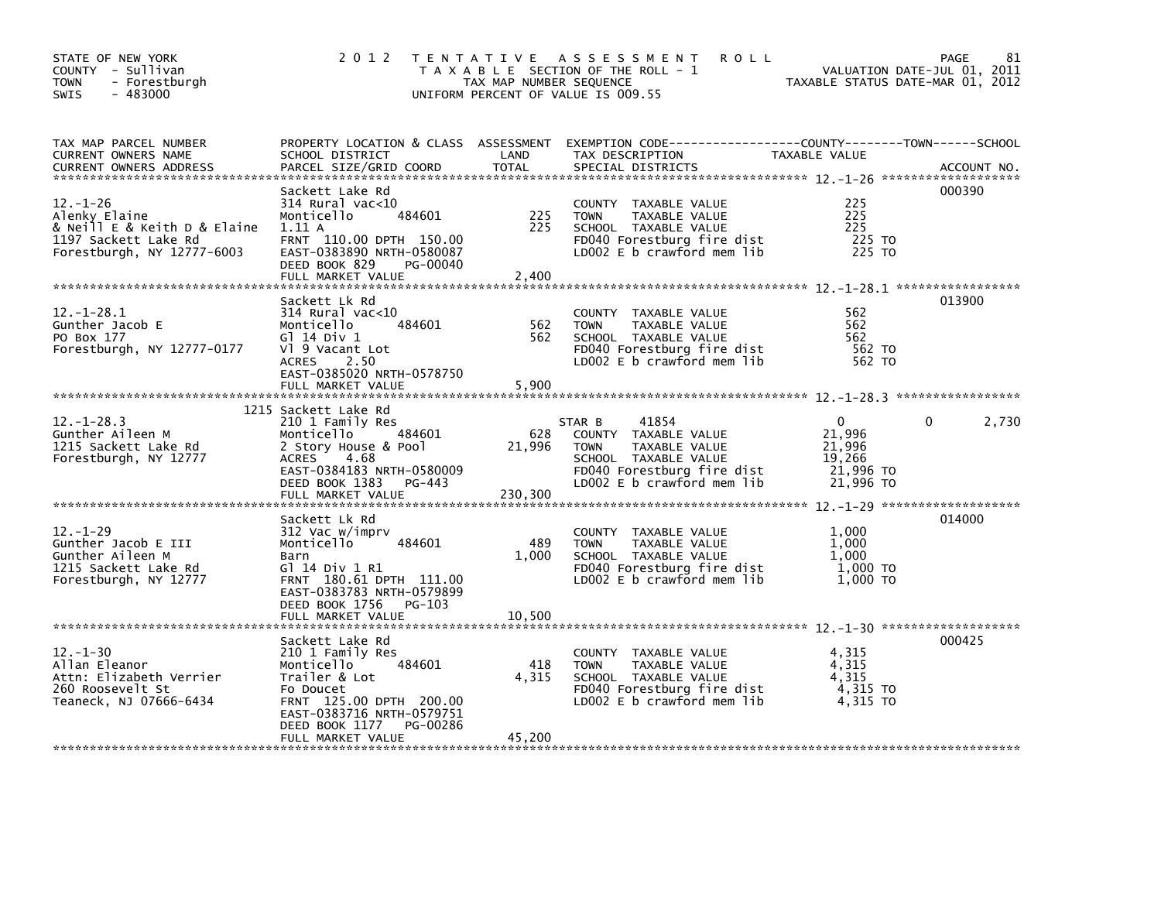| STATE OF NEW YORK<br>COUNTY - Sullivan<br><b>TOWN</b><br>- Forestburgh<br>$-483000$<br>SWIS                           | 2 0 1 2                                                                                                                                                                                | TAX MAP NUMBER SEQUENCE  | TENTATIVE ASSESSMENT<br><b>ROLL</b><br>T A X A B L E SECTION OF THE ROLL - 1<br>UNIFORM PERCENT OF VALUE IS 009.55                                          | VALUATION DATE-JUL 01, 2011<br>TAXABLE STATUS DATE-MAR 01, 2012  | 81<br><b>PAGE</b> |
|-----------------------------------------------------------------------------------------------------------------------|----------------------------------------------------------------------------------------------------------------------------------------------------------------------------------------|--------------------------|-------------------------------------------------------------------------------------------------------------------------------------------------------------|------------------------------------------------------------------|-------------------|
| TAX MAP PARCEL NUMBER<br>CURRENT OWNERS NAME                                                                          | SCHOOL DISTRICT                                                                                                                                                                        | LAND                     | PROPERTY LOCATION & CLASS ASSESSMENT EXEMPTION CODE-----------------COUNTY-------TOWN------SCHOOL<br>TAX DESCRIPTION                                        | TAXABLE VALUE                                                    |                   |
| $12. - 1 - 26$<br>Alenky Elaine<br>& Neill E & Keith D & Elaine<br>1197 Sackett Lake Rd<br>Forestburgh, NY 12777-6003 | Sackett Lake Rd<br>$314$ Rural vac<10<br>Monticello<br>484601<br>1.11A<br>FRNT 110.00 DPTH 150.00<br>EAST-0383890 NRTH-0580087<br>DEED BOOK 829<br>PG-00040<br>FULL MARKET VALUE       | 225<br>225<br>2,400      | COUNTY TAXABLE VALUE<br><b>TOWN</b><br>TAXABLE VALUE<br>SCHOOL TAXABLE VALUE<br>FD040 Forestburg fire dist<br>LD002 E b crawford mem lib                    | 225<br>225<br>225<br>225 TO<br>225 TO                            | 000390            |
|                                                                                                                       | Sackett Lk Rd                                                                                                                                                                          |                          |                                                                                                                                                             |                                                                  | 013900            |
| $12. - 1 - 28.1$<br>Gunther Jacob E<br>PO Box 177<br>Forestburgh, NY 12777-0177                                       | $314$ Rural vac<10<br>484601<br>Monticello<br>G] 14 Div 1<br>V1 9 Vacant Lot<br><b>ACRES</b><br>2.50<br>EAST-0385020 NRTH-0578750                                                      | 562<br>562               | COUNTY TAXABLE VALUE<br>TAXABLE VALUE<br><b>TOWN</b><br>SCHOOL TAXABLE VALUE<br>FD040 Forestburg fire dist<br>LD002 E b crawford mem lib                    | 562<br>562<br>562<br>562 TO<br>562 TO                            |                   |
|                                                                                                                       | FULL MARKET VALUE                                                                                                                                                                      | 5,900                    |                                                                                                                                                             |                                                                  |                   |
| $12. - 1 - 28.3$<br>Gunther Aileen M<br>1215 Sackett Lake Rd<br>Forestburgh, NY 12777                                 | 1215 Sackett Lake Rd<br>210 1 Family Res<br>484601<br>Monticello<br>2 Story House & Pool<br>ACRES<br>- 4.68<br>EAST-0384183 NRTH-0580009<br>DEED BOOK 1383 PG-443<br>FULL MARKET VALUE | 628<br>21,996<br>230,300 | STAR B<br>41854<br>COUNTY TAXABLE VALUE<br>TAXABLE VALUE<br><b>TOWN</b><br>SCHOOL TAXABLE VALUE<br>FD040 Forestburg fire dist<br>LD002 E b crawford mem lib | $\Omega$<br>21,996<br>21,996<br>19,266<br>21,996 το<br>21,996 ТО | 2,730             |
|                                                                                                                       | Sackett Lk Rd                                                                                                                                                                          |                          |                                                                                                                                                             |                                                                  | 014000            |
| $12 - 1 - 29$<br>Gunther Jacob E III<br>Gunther Aileen M<br>1215 Sackett Lake Rd<br>Forestburgh, NY 12777             | 312 Vac w/imprv<br>Monticello<br>484601<br>Barn<br>G1 14 Div 1 R1<br>FRNT 180.61 DPTH 111.00<br>EAST-0383783 NRTH-0579899                                                              | 489<br>1,000             | COUNTY TAXABLE VALUE<br><b>TOWN</b><br>TAXABLE VALUE<br>SCHOOL TAXABLE VALUE<br>FD040 Forestburg fire dist<br>LD002 E b crawford mem lib                    | 1,000<br>1.000<br>1,000<br>1,000 TO<br>1,000 TO                  |                   |
|                                                                                                                       | DEED BOOK 1756<br>PG-103<br>FULL MARKET VALUE                                                                                                                                          | 10,500                   |                                                                                                                                                             |                                                                  |                   |
| $12 - 1 - 30$<br>Allan Eleanor<br>Attn: Elizabeth Verrier<br>260 Roosevelt St<br>Teaneck, NJ 07666-6434               | Sackett Lake Rd<br>210 1 Family Res<br>484601<br>Monticello<br>Trailer & Lot<br>Fo Doucet<br>FRNT 125.00 DPTH 200.00<br>EAST-0383716 NRTH-0579751                                      | 418<br>4,315             | COUNTY TAXABLE VALUE<br><b>TOWN</b><br>TAXABLE VALUE<br>SCHOOL TAXABLE VALUE<br>FD040 Forestburg fire dist<br>LD002 $E$ b crawford mem lib                  | 4,315<br>4,315<br>4,315<br>4,315 TO<br>4.315 TO                  | 000425            |
|                                                                                                                       | PG-00286<br>DEED BOOK 1177<br>FULL MARKET VALUE                                                                                                                                        | 45,200                   |                                                                                                                                                             |                                                                  |                   |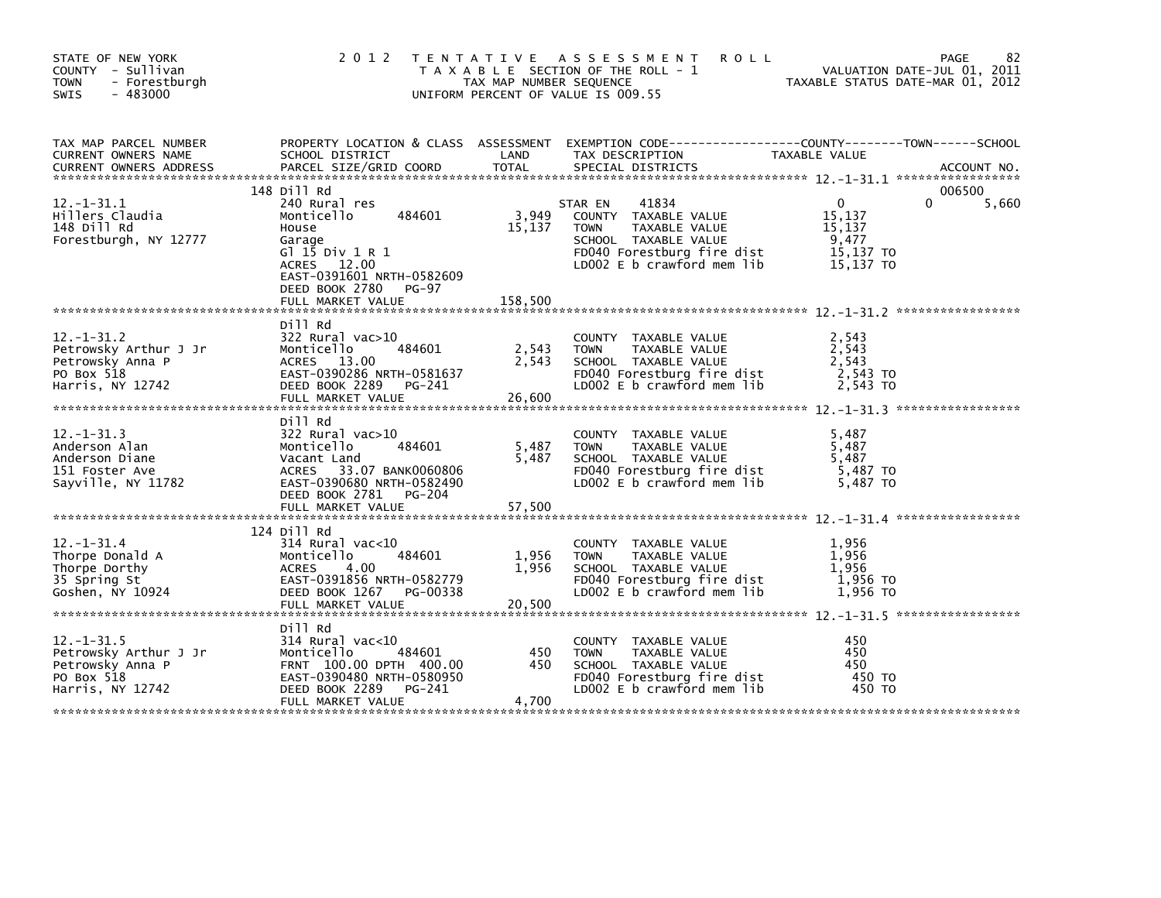| STATE OF NEW YORK<br>COUNTY - Sullivan<br><b>TOWN</b><br>- Forestburgh<br>$-483000$<br><b>SWIS</b> | 2 0 1 2                                                                                                                                                                             | TAX MAP NUMBER SEQUENCE    | TENTATIVE ASSESSMENT<br><b>ROLL</b><br>T A X A B L E SECTION OF THE ROLL - 1<br>UNIFORM PERCENT OF VALUE IS 009.55                                           | TAXABLE STATUS DATE-MAR 01, 2012                                    | 82<br>PAGE<br>VALUATION DATE-JUL 01, 2011 |
|----------------------------------------------------------------------------------------------------|-------------------------------------------------------------------------------------------------------------------------------------------------------------------------------------|----------------------------|--------------------------------------------------------------------------------------------------------------------------------------------------------------|---------------------------------------------------------------------|-------------------------------------------|
| TAX MAP PARCEL NUMBER<br>CURRENT OWNERS NAME<br><b>CURRENT OWNERS ADDRESS</b>                      | SCHOOL DISTRICT<br>PARCEL SIZE/GRID COORD                                                                                                                                           | LAND<br><b>TOTAL</b>       | PROPERTY LOCATION & CLASS ASSESSMENT EXEMPTION CODE---------------COUNTY-------TOWN-----SCHOOL<br>TAX DESCRIPTION<br>SPECIAL DISTRICTS                       | TAXABLE VALUE                                                       | ACCOUNT NO.                               |
| $12. - 1 - 31.1$<br>Hillers Claudia<br>148 Dill Rd<br>Forestburgh, NY 12777                        | 148 Dill Rd<br>240 Rural res<br>484601<br>Monticello<br>House<br>Garage<br>G1 15 Div 1 R 1<br>ACRES 12.00<br>EAST-0391601 NRTH-0582609<br>DEED BOOK 2780 PG-97<br>FULL MARKET VALUE | 3,949<br>15,137<br>158,500 | 41834<br>STAR EN<br>COUNTY TAXABLE VALUE<br><b>TOWN</b><br>TAXABLE VALUE<br>SCHOOL TAXABLE VALUE<br>FD040 Forestburg fire dist<br>LD002 E b crawford mem lib | $\mathbf{0}$<br>15,137<br>15,137<br>9,477<br>15,137 TO<br>15.137 TO | 006500<br>5,660                           |
|                                                                                                    |                                                                                                                                                                                     |                            |                                                                                                                                                              |                                                                     |                                           |
| $12. - 1 - 31.2$<br>Petrowsky Arthur J Jr<br>Petrowsky Anna P<br>PO Box 518<br>Harris, NY 12742    | Dill Rd<br>$322$ Rural vac $>10$<br>484601<br>Monticello<br>ACRES 13.00<br>EAST-0390286 NRTH-0581637<br>DEED BOOK 2289 PG-241                                                       | 2,543<br>2,543             | COUNTY TAXABLE VALUE<br><b>TOWN</b><br>TAXABLE VALUE<br>SCHOOL TAXABLE VALUE<br>FD040 Forestburg fire dist<br>LD002 E b crawford mem lib                     | 2,543<br>2,543<br>2,543<br>2,543 TO<br>2,543 TO                     |                                           |
| $12. -1 - 31.3$<br>Anderson Alan<br>Anderson Diane<br>151 Foster Ave<br>Sayville, NY 11782         | Dill Rd<br>322 Rural vac>10<br>484601<br>Monticello<br>Vacant Land<br>ACRES 33.07 BANK0060806<br>EAST-0390680 NRTH-0582490<br>DEED BOOK 2781<br>PG-204<br>FULL MARKET VALUE         | 5,487<br>5,487<br>57,500   | COUNTY TAXABLE VALUE<br><b>TOWN</b><br>TAXABLE VALUE<br>SCHOOL TAXABLE VALUE<br>FD040 Forestburg fire dist<br>LD002 E b crawford mem lib                     | 5,487<br>5,487<br>5.487<br>5,487 TO<br>5,487 TO                     |                                           |
|                                                                                                    | 124 Dill Rd                                                                                                                                                                         |                            |                                                                                                                                                              |                                                                     |                                           |
| $12. - 1 - 31.4$<br>Thorpe Donald A<br>Thorpe Dorthy<br>35 Spring St<br>Goshen, NY 10924           | $314$ Rural vac<10<br>Monticello<br>484601<br>4.00<br><b>ACRES</b><br>EAST-0391856 NRTH-0582779<br>DEED BOOK 1267<br>PG-00338<br>FULL MARKET VALUE                                  | 1,956<br>1,956<br>20,500   | COUNTY TAXABLE VALUE<br>TAXABLE VALUE<br><b>TOWN</b><br>SCHOOL TAXABLE VALUE<br>FD040 Forestburg fire dist<br>LD002 E b crawford mem lib                     | 1,956<br>1.956<br>1,956<br>1,956 то<br>1.956 TO                     |                                           |
|                                                                                                    |                                                                                                                                                                                     |                            |                                                                                                                                                              |                                                                     |                                           |
| $12. - 1 - 31.5$<br>Petrowsky Arthur J Jr<br>Petrowsky Anna P<br>PO Box 518<br>Harris, NY 12742    | Dill Rd<br>$314$ Rural vac<10<br>Monticello<br>484601<br>FRNT 100.00 DPTH 400.00<br>EAST-0390480 NRTH-0580950<br>DEED BOOK 2289<br>PG-241                                           | 450<br>450                 | COUNTY TAXABLE VALUE<br>TAXABLE VALUE<br><b>TOWN</b><br>SCHOOL TAXABLE VALUE<br>FD040 Forestburg fire dist<br>LD002 E b crawford mem lib                     | 450<br>450<br>450<br>450 TO<br>450 TO                               |                                           |
|                                                                                                    | FULL MARKET VALUE                                                                                                                                                                   | 4,700                      |                                                                                                                                                              |                                                                     |                                           |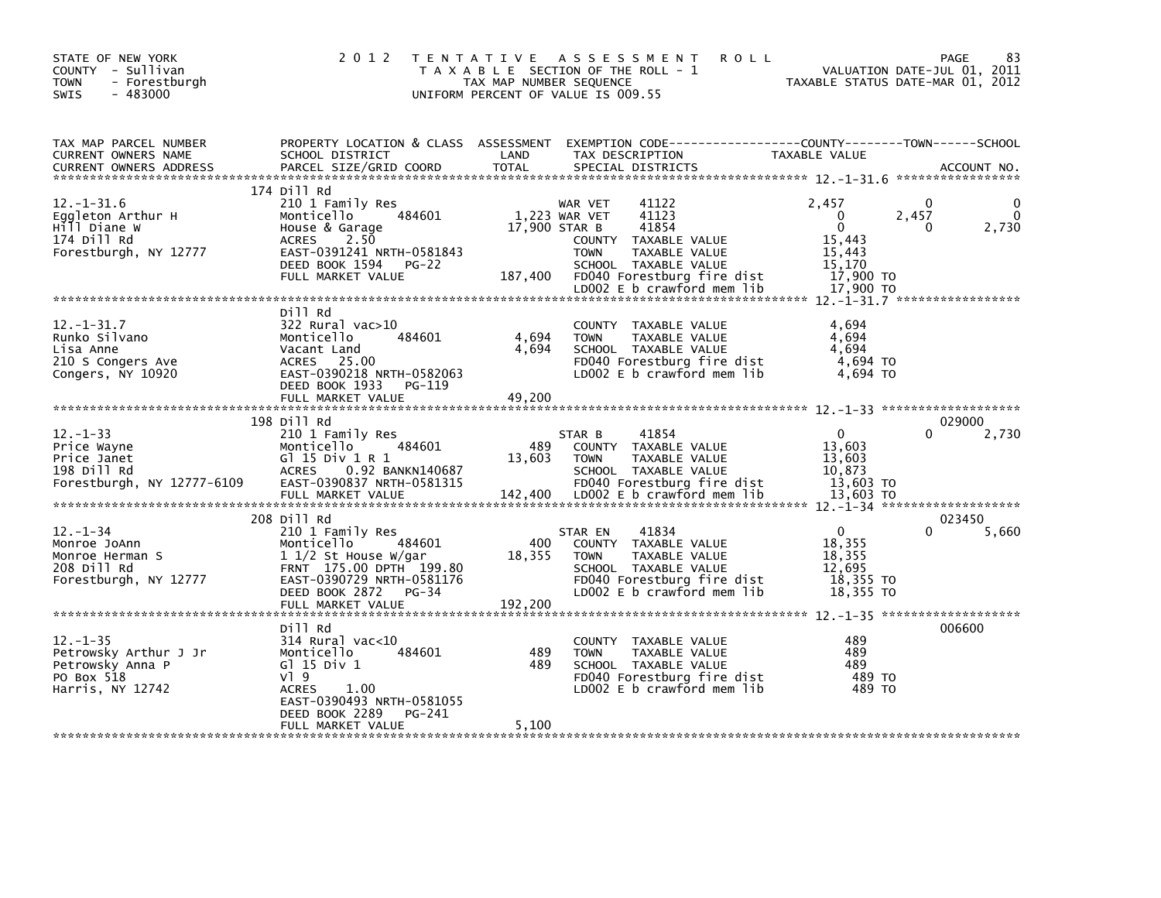| STATE OF NEW YORK<br>COUNTY - Sullivan<br><b>TOWN</b><br>- Forestburgh<br>$-483000$<br><b>SWIS</b> | 2 0 1 2                                                                                                                                                                                            | TAX MAP NUMBER SEQUENCE  | TENTATIVE ASSESSMENT<br><b>ROLL</b><br>T A X A B L E SECTION OF THE ROLL - 1<br>UNIFORM PERCENT OF VALUE IS 009.55                                                                              |                                                                                               | 83<br><b>PAGE</b><br>VALUATION DATE-JUL 01, 2011<br>TAXABLE STATUS DATE-MAR 01, 2012 |
|----------------------------------------------------------------------------------------------------|----------------------------------------------------------------------------------------------------------------------------------------------------------------------------------------------------|--------------------------|-------------------------------------------------------------------------------------------------------------------------------------------------------------------------------------------------|-----------------------------------------------------------------------------------------------|--------------------------------------------------------------------------------------|
| TAX MAP PARCEL NUMBER<br>CURRENT OWNERS NAME<br><b>CURRENT OWNERS ADDRESS</b>                      | SCHOOL DISTRICT<br>PARCEL SIZE/GRID COORD                                                                                                                                                          | LAND<br><b>TOTAL</b>     | PROPERTY LOCATION & CLASS ASSESSMENT EXEMPTION CODE----------------COUNTY-------TOWN------SCHOOL<br>TAX DESCRIPTION<br>SPECIAL DISTRICTS                                                        | TAXABLE VALUE                                                                                 | ACCOUNT NO.                                                                          |
|                                                                                                    | 174 Dill Rd                                                                                                                                                                                        |                          |                                                                                                                                                                                                 |                                                                                               |                                                                                      |
| $12. - 1 - 31.6$<br>Eqqleton Arthur H<br>Hill Diane W<br>174 Dill Rd<br>Forestburgh, NY 12777      | 210 1 Family Res<br>484601<br>Monticello<br>House & Garage<br>2.50<br><b>ACRES</b><br>EAST-0391241 NRTH-0581843<br>DEED BOOK 1594<br>$PG-22$<br>FULL MARKET VALUE                                  | 17,900 STAR B<br>187,400 | 41122<br>WAR VET<br>1,223 WAR VET<br>41123<br>41854<br>COUNTY TAXABLE VALUE<br><b>TOWN</b><br>TAXABLE VALUE<br>SCHOOL TAXABLE VALUE<br>FD040 Forestburg fire dist<br>LD002 E b crawford mem lib | 2,457<br>$\mathbf{0}$<br>$\mathbf{0}$<br>15,443<br>15,443<br>15.170<br>17,900 TO<br>17,900 TO | 0<br>0<br>2,457<br>2,730<br>0                                                        |
|                                                                                                    |                                                                                                                                                                                                    |                          |                                                                                                                                                                                                 |                                                                                               |                                                                                      |
| $12 - 1 - 31.7$<br>Runko Silvano<br>Lisa Anne<br>210 S Congers Ave<br>Congers, NY 10920            | Dill Rd<br>322 Rural vac>10<br>484601<br>Monticello<br>Vacant Land<br>ACRES 25.00<br>EAST-0390218 NRTH-0582063<br>DEED BOOK 1933<br>PG-119                                                         | 4,694<br>4,694           | COUNTY<br>TAXABLE VALUE<br>TAXABLE VALUE<br><b>TOWN</b><br>SCHOOL TAXABLE VALUE<br>FD040 Forestburg fire dist<br>LD002 E b crawford mem lib                                                     | 4,694<br>4,694<br>4.694<br>4,694 TO<br>4,694 TO                                               |                                                                                      |
|                                                                                                    | FULL MARKET VALUE<br>198 Dill Rd                                                                                                                                                                   | 49,200                   |                                                                                                                                                                                                 |                                                                                               | 029000                                                                               |
| $12 - 1 - 33$<br>Price Wayne<br>Price Janet<br>198 Dill Rd<br>Forestburgh, NY 12777-6109           | 210 1 Family Res<br>Monticello<br>484601<br>GT 15 Div 1 R 1<br>0.92 BANKN140687<br><b>ACRES</b><br>EAST-0390837 NRTH-0581315<br>FULL MARKET VALUE                                                  | 489<br>13,603<br>142,400 | 41854<br>STAR B<br>COUNTY TAXABLE VALUE<br><b>TOWN</b><br>TAXABLE VALUE<br>SCHOOL TAXABLE VALUE<br>FD040 Forestburg fire dist<br>LD002 E b crawford mem lib                                     | $\mathbf{0}$<br>13,603<br>13,603<br>10,873<br>13,603 TO<br>13.603 TO                          | 2,730                                                                                |
|                                                                                                    |                                                                                                                                                                                                    |                          |                                                                                                                                                                                                 |                                                                                               |                                                                                      |
| $12 - 1 - 34$<br>Monroe JoAnn<br>Monroe Herman S<br>208 Dill Rd<br>Forestburgh, NY 12777           | 208 Dill Rd<br>210 1 Family Res<br>Monticello<br>484601<br>$1\frac{1}{2}$ St House W/gar<br>FRNT 175.00 DPTH 199.80<br>EAST-0390729 NRTH-0581176<br>DEED BOOK 2872<br>$PG-34$<br>FULL MARKET VALUE | 400<br>18,355<br>192,200 | 41834<br>STAR EN<br>COUNTY TAXABLE VALUE<br><b>TOWN</b><br>TAXABLE VALUE<br>SCHOOL TAXABLE VALUE<br>FD040 Forestburg fire dist<br>LD002 E b crawford mem lib                                    | $\mathbf{0}$<br>18,355<br>18,355<br>12,695<br>18,355 TO<br>18,355 TO                          | 023450<br>5,660                                                                      |
|                                                                                                    |                                                                                                                                                                                                    |                          |                                                                                                                                                                                                 |                                                                                               |                                                                                      |
| $12. - 1 - 35$<br>Petrowsky Arthur J Jr<br>Petrowsky Anna P<br>PO Box 518<br>Harris, NY 12742      | Dill Rd<br>$314$ Rural vac<10<br>484601<br>Monticello<br>G $1$ 15 Div 1<br>$V$ <sup>1</sup> 9<br><b>ACRES</b><br>1.00<br>EAST-0390493 NRTH-0581055<br>DEED BOOK 2289<br>PG-241                     | 489<br>489               | COUNTY<br>TAXABLE VALUE<br><b>TOWN</b><br>TAXABLE VALUE<br>SCHOOL TAXABLE VALUE<br>FD040 Forestburg fire dist<br>LD002 $E$ b crawford mem lib                                                   | 489<br>489<br>489<br>489 TO<br>489 TO                                                         | 006600                                                                               |
|                                                                                                    | FULL MARKET VALUE                                                                                                                                                                                  | 5,100                    |                                                                                                                                                                                                 |                                                                                               |                                                                                      |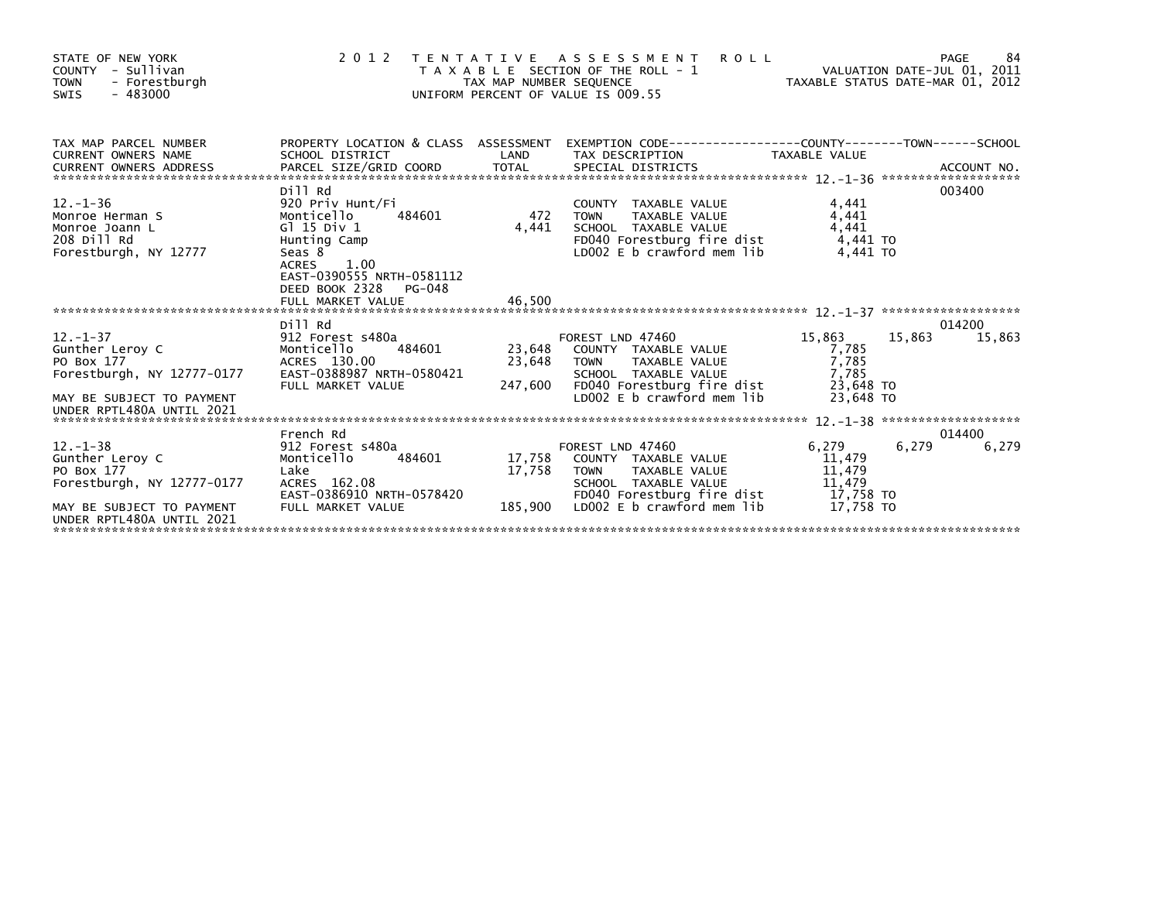| STATE OF NEW YORK<br>COUNTY - Sullivan<br><b>TOWN</b><br>- Forestburgh<br>$-483000$<br>SWIS                                            | 2 0 1 2                                                                                                                         |                                              | <b>ROLL</b><br>TENTATIVE ASSESSMENT<br>PAGE 84<br>VALUATION DATE-JUL 01, 2011<br>UNIFORM PERCENT OF VALUE IS 009.55                                                                 |                                                                       | 84<br>PAGE       |
|----------------------------------------------------------------------------------------------------------------------------------------|---------------------------------------------------------------------------------------------------------------------------------|----------------------------------------------|-------------------------------------------------------------------------------------------------------------------------------------------------------------------------------------|-----------------------------------------------------------------------|------------------|
| TAX MAP PARCEL NUMBER<br>CURRENT OWNERS ADDRESS                                                                                        | PROPERTY LOCATION & CLASS ASSESSMENT<br>SCHOOL DISTRICT                                                                         | LAND                                         | TAX DESCRIPTION                                                                                                                                                                     | TAXABLE VALUE                                                         |                  |
| $12. - 1 - 36$<br>Monroe Herman S<br>Monroe Joann L<br>208 Dill Rd<br>Forestburgh, NY 12777                                            | Dill Rd<br>920 Priv Hunt/Fi<br>Monticello<br>G1 15 Div 1<br>Hunting Camp<br>Seas 8<br>ACRES 1.00<br>EAST-0390555 NRTH-0581112   | i<br>484601                     472<br>4.441 | COUNTY TAXABLE VALUE<br>TAXABLE VALUE<br><b>TOWN</b><br>SCHOOL TAXABLE VALUE<br>FD040 Forestburg fire dist<br>LDOO2 E b crawford mem lib                                            | 4,441<br>4,441<br>4.441<br>4.441 TO<br>4.441 TO                       | 003400           |
|                                                                                                                                        | DEED BOOK 2328 PG-048                                                                                                           |                                              |                                                                                                                                                                                     |                                                                       |                  |
| $12 - 1 - 37$<br>Gunther Leroy C<br>PO Box 177<br>Forestburgh, NY 12777-0177<br>MAY BE SUBJECT TO PAYMENT                              | Dill Rd<br>912 Forest s480a<br>484601<br>Monticello<br>ACRES 130.00<br>EAST-0388987 NRTH-0580421<br>FULL MARKET VALUE           | 23.648<br>23.648<br>247,600                  | FOREST LND 47460<br>COUNTY TAXABLE VALUE<br>TAXABLE VALUE<br><b>TOWN</b><br>SCHOOL TAXABLE VALUE<br>FD040 Forestburg fire dist<br>LD002 E b crawford mem lib                        | 15,863<br>15,863<br>7,785<br>7,785<br>7.785<br>23.648 TO<br>23.648 TO | 014200<br>15.863 |
| UNDER RPTL480A UNTIL 2021                                                                                                              |                                                                                                                                 |                                              |                                                                                                                                                                                     |                                                                       |                  |
| $12. -1 - 38$<br>Gunther Leroy C<br>PO Box 177<br>Forestburgh, NY 12777-0177<br>MAY BE SUBJECT TO PAYMENT<br>UNDER RPTL480A UNTIL 2021 | French Rd<br>912 Forest s480a<br>484601<br>Monticello<br>Lake<br>ACRES 162.08<br>EAST-0386910 NRTH-0578420<br>FULL MARKET VALUE | 17,758<br>17,758<br>185,900                  | FOREST LND 47460<br>COUNTY TAXABLE VALUE<br>TAXABLE VALUE<br><b>TOWN</b><br>SCHOOL TAXABLE VALUE<br>FOO40 Forestburg fire dist<br>FDO40 Forestburg fire dist 17,758 TO<br>17,758 TO | 6,279<br>6,279<br>11,479<br>11,479<br>11,479                          | 014400<br>6,279  |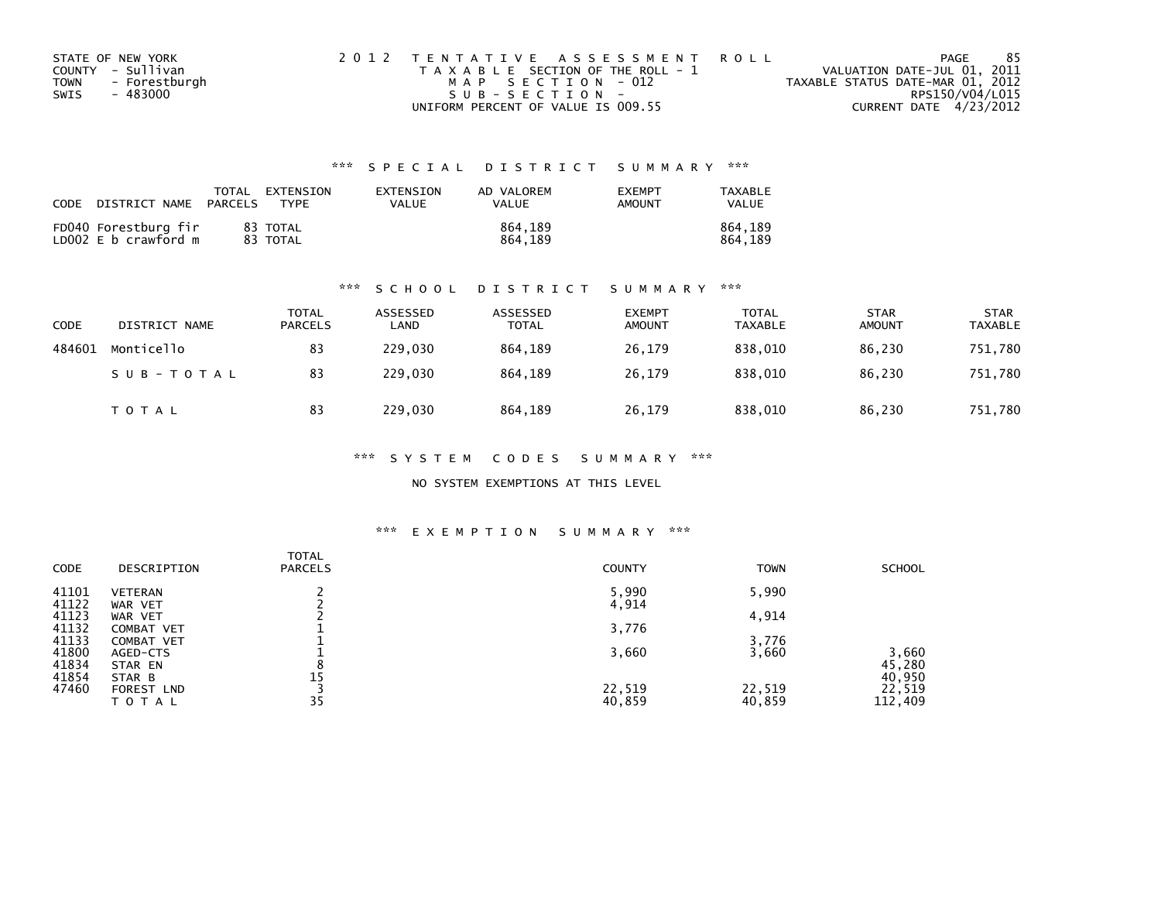|      | STATE OF NEW YORK | 2012 TENTATIVE ASSESSMENT ROLL        | PAGE                             | -85 |
|------|-------------------|---------------------------------------|----------------------------------|-----|
|      | COUNTY - Sullivan | T A X A B L E SECTION OF THE ROLL - 1 | VALUATION DATE-JUL 01, 2011      |     |
| TOWN | - Forestburgh     | MAP SECTION - 012                     | TAXABLE STATUS DATE-MAR 01, 2012 |     |
| SWIS | - 483000          | $SUB - SECTION -$                     | RPS150/V04/L015                  |     |
|      |                   | UNIFORM PERCENT OF VALUE IS 009.55    | CURRENT DATE 4/23/2012           |     |

## \*\*\* S P E C I A L D I S T R I C T S U M M A R Y \*\*\*

| CODE | DISTRICT NAME                                | PARCELS | TOTAL EXTENSION<br>TYPF | EXTENSION<br>VALUE | AD VALOREM<br>VALUE | <b>EXEMPT</b><br>AMOUNT | TAXABLE<br>VALUE   |
|------|----------------------------------------------|---------|-------------------------|--------------------|---------------------|-------------------------|--------------------|
|      | FD040 Forestburg fir<br>LD002 E b crawford m |         | 83 TOTAL<br>83 TOTAL    |                    | 864.189<br>864.189  |                         | 864.189<br>864.189 |

### \*\*\* S C H O O L D I S T R I C T S U M M A R Y \*\*\*

| CODE   | DISTRICT NAME | <b>TOTAL</b><br><b>PARCELS</b> | ASSESSED<br>LAND | ASSESSED<br><b>TOTAL</b> | <b>EXEMPT</b><br><b>AMOUNT</b> | <b>TOTAL</b><br><b>TAXABLE</b> | <b>STAR</b><br><b>AMOUNT</b> | <b>STAR</b><br><b>TAXABLE</b> |
|--------|---------------|--------------------------------|------------------|--------------------------|--------------------------------|--------------------------------|------------------------------|-------------------------------|
| 484601 | Monticello    | 83                             | 229,030          | 864.189                  | 26,179                         | 838,010                        | 86,230                       | 751,780                       |
|        | SUB-TOTAL     | 83                             | 229,030          | 864.189                  | 26,179                         | 838.010                        | 86,230                       | 751,780                       |
|        | T O T A L     | 83                             | 229,030          | 864,189                  | 26,179                         | 838,010                        | 86,230                       | 751,780                       |

\*\*\* S Y S T E M C O D E S S U M M A R Y \*\*\*

NO SYSTEM EXEMPTIONS AT THIS LEVEL

### \*\*\* E X E M P T I O N S U M M A R Y \*\*\*

| CODE  | DESCRIPTION    | <b>TOTAL</b><br><b>PARCELS</b> | <b>COUNTY</b> | <b>TOWN</b> | <b>SCHOOL</b> |
|-------|----------------|--------------------------------|---------------|-------------|---------------|
| 41101 | <b>VETERAN</b> |                                | 5,990         | 5,990       |               |
| 41122 | WAR VET        |                                | 4,914         |             |               |
| 41123 | WAR VET        |                                |               | 4,914       |               |
| 41132 | COMBAT VET     |                                | 3,776         |             |               |
| 41133 | COMBAT VET     |                                |               | 3,776       |               |
| 41800 | AGED-CTS       |                                | 3,660         | 3,660       | 3,660         |
| 41834 | STAR EN        |                                |               |             | 45,280        |
| 41854 | STAR B         | 15                             |               |             | 40,950        |
| 47460 | FOREST LND     |                                | 22,519        | 22,519      | 22,519        |
|       | TOTAL          | 35                             | 40,859        | 40,859      | 112,409       |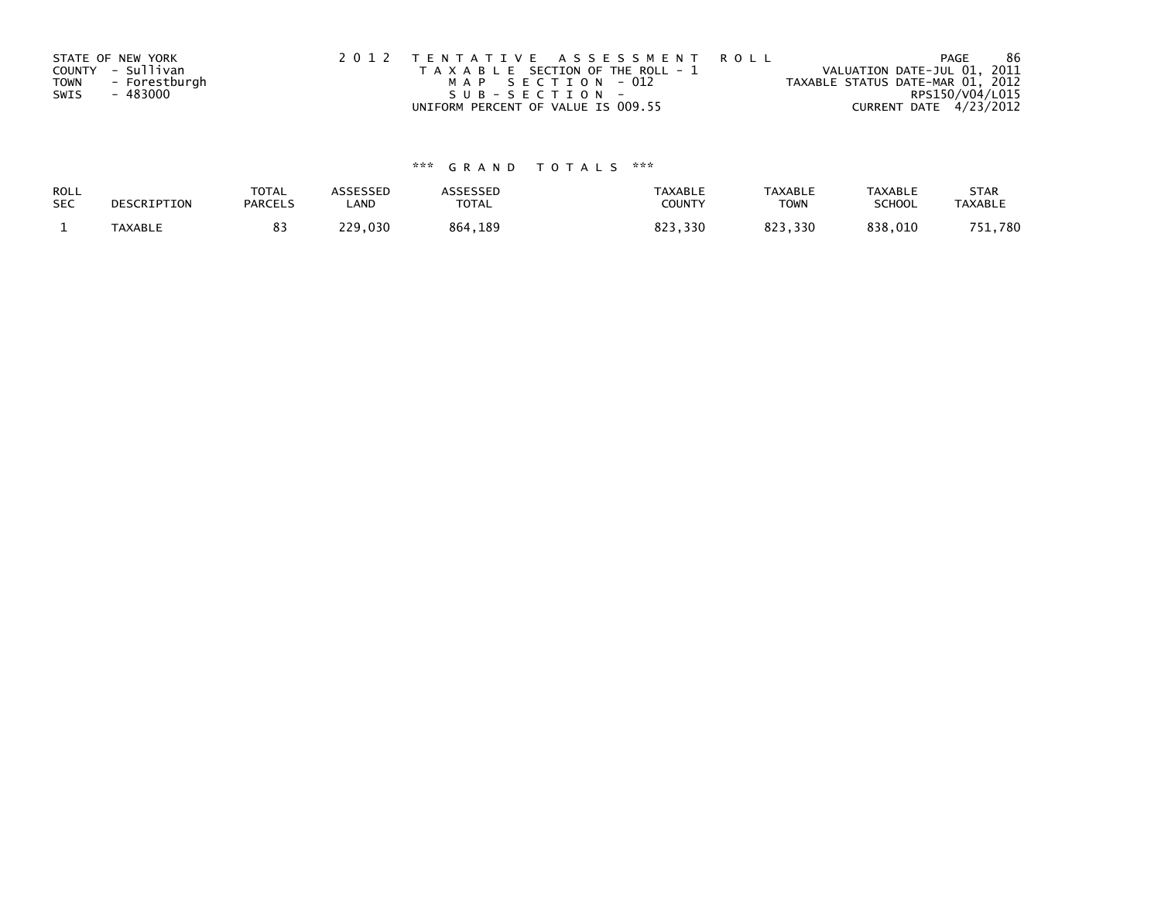|             | STATE OF NEW YORK | 2012 TENTATIVE ASSESSMENT ROLL        | PAGE                             | 86 |
|-------------|-------------------|---------------------------------------|----------------------------------|----|
|             | COUNTY - Sullivan | T A X A B L E SECTION OF THE ROLL - 1 | VALUATION DATE-JUL 01, 2011      |    |
| <b>TOWN</b> | - Forestburgh     | MAP SECTION - 012                     | TAXABLE STATUS DATE-MAR 01, 2012 |    |
| SWIS        | - 483000          | SUB-SECTION-                          | RPS150/V04/L015                  |    |
|             |                   | UNIFORM PERCENT OF VALUE IS 009.55    | CURRENT DATE 4/23/2012           |    |

# \*\*\* G R A N D T O T A L S \*\*\*

| ROLL       | DESCRIPTION | <b>TOTAL</b>   | ASSESSED | ASSESSED | <b>TAXABLE</b> | <b>TAXABLE</b> | <b>TAXABLE</b> | <b>STAR</b>    |
|------------|-------------|----------------|----------|----------|----------------|----------------|----------------|----------------|
| <b>SEC</b> |             | <b>PARCELS</b> | ∟AND     | TOTAL    | <b>COUNTY</b>  | TOWN           | <b>SCHOOL</b>  | <b>TAXABLE</b> |
|            | TAXABLE     |                | 229,030  | 864,189  | 823,330        | 823.330        | 838,010        | 751,780        |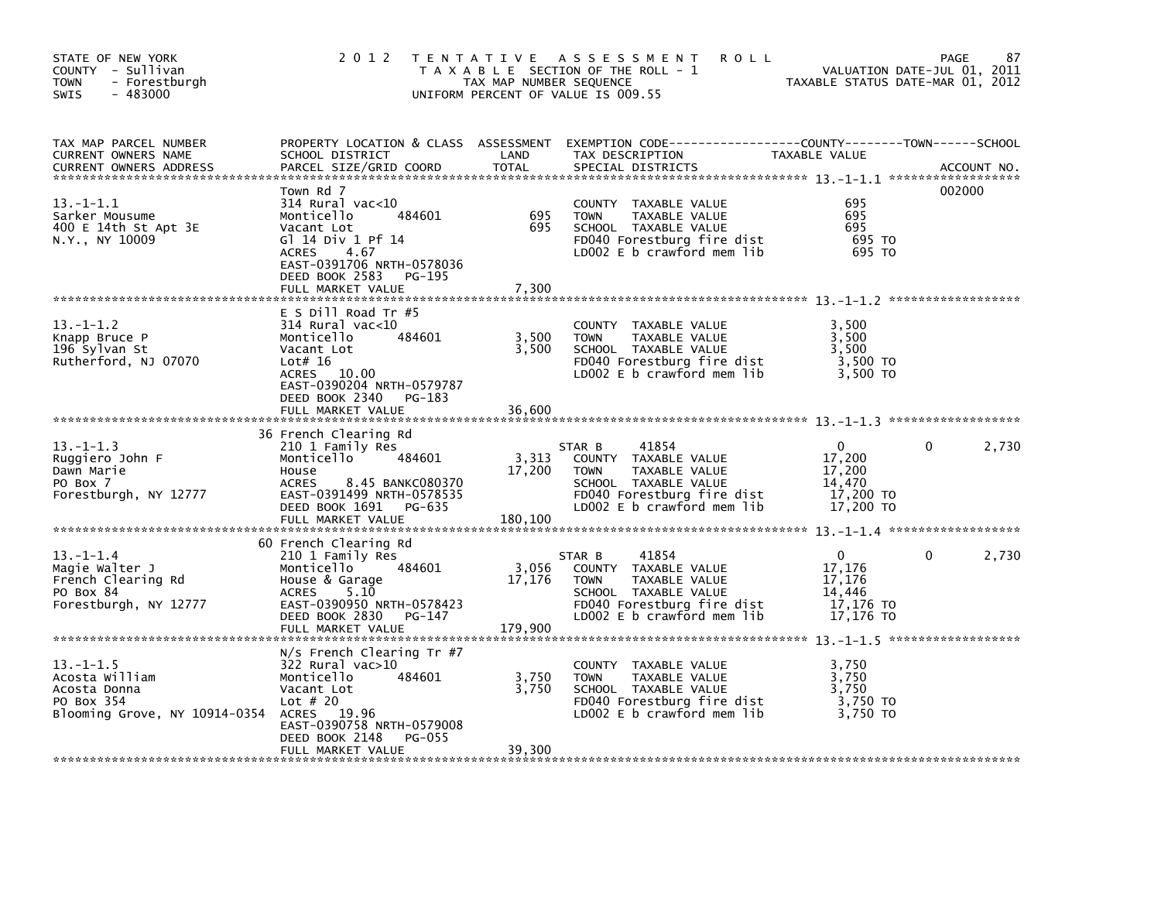| STATE OF NEW YORK<br>COUNTY - Sullivan<br><b>TOWN</b><br>- Forestburgh<br>$-483000$<br>SWIS     | 2 0 1 2                                                                                                                                                                                                          | TAX MAP NUMBER SEQUENCE    | TENTATIVE ASSESSMENT<br><b>ROLL</b><br>T A X A B L E SECTION OF THE ROLL - 1<br>UNIFORM PERCENT OF VALUE IS 009.55                                          | TAXABLE STATUS DATE-MAR 01, 2012                                     | 87<br><b>PAGE</b><br>VALUATION DATE-JUL 01, 2011 |
|-------------------------------------------------------------------------------------------------|------------------------------------------------------------------------------------------------------------------------------------------------------------------------------------------------------------------|----------------------------|-------------------------------------------------------------------------------------------------------------------------------------------------------------|----------------------------------------------------------------------|--------------------------------------------------|
| TAX MAP PARCEL NUMBER<br>CURRENT OWNERS NAME<br><b>CURRENT OWNERS ADDRESS</b>                   | SCHOOL DISTRICT<br>PARCEL SIZE/GRID COORD                                                                                                                                                                        | LAND<br><b>TOTAL</b>       | PROPERTY LOCATION & CLASS ASSESSMENT EXEMPTION CODE----------------COUNTY-------TOWN------SCHOOL<br>TAX DESCRIPTION<br>SPECIAL DISTRICTS                    | TAXABLE VALUE                                                        | ACCOUNT NO.                                      |
| $13 - 1 - 1.1$<br>Sarker Mousume<br>400 E 14th St Apt 3E<br>N.Y., NY 10009                      | Town Rd 7<br>314 Rural vac<10<br>Monticello<br>484601<br>Vacant Lot<br>G1 14 Div 1 Pf 14<br><b>ACRES</b><br>4.67<br>EAST-0391706 NRTH-0578036<br>DEED BOOK 2583<br>PG-195<br>FULL MARKET VALUE                   | 695<br>695<br>7,300        | COUNTY TAXABLE VALUE<br><b>TAXABLE VALUE</b><br><b>TOWN</b><br>SCHOOL TAXABLE VALUE<br>FD040 Forestburg fire dist<br>LD002 E b crawford mem lib             | 695<br>695<br>695<br>695 TO<br>695 TO                                | 002000                                           |
| $13. - 1 - 1.2$<br>Knapp Bruce P<br>196 Sylvan St<br>Rutherford, NJ 07070                       | $E$ S Dill Road Tr #5<br>$314$ Rural vac<10<br>Monticello<br>484601<br>Vacant Lot<br>Lot# $16$<br>ACRES 10.00<br>EAST-0390204 NRTH-0579787<br>DEED BOOK 2340<br>PG-183<br>FULL MARKET VALUE                      | 3,500<br>3,500<br>36,600   | COUNTY TAXABLE VALUE<br><b>TOWN</b><br>TAXABLE VALUE<br>SCHOOL TAXABLE VALUE<br>FD040 Forestburg fire dist<br>LD002 E b crawford mem lib                    | 3,500<br>3,500<br>3,500<br>3,500 TO<br>3.500 TO                      |                                                  |
| $13. - 1 - 1.3$<br>Ruggiero John F<br>Dawn Marie<br>PO Box 7<br>Forestburgh, NY 12777           | 36 French Clearing Rd<br>210 1 Family Res<br>Monticello<br>484601<br>House<br>8.45 BANKC080370<br><b>ACRES</b><br>EAST-0391499 NRTH-0578535<br>DEED BOOK 1691 PG-635<br>FULL MARKET VALUE                        | 3,313<br>17,200<br>180,100 | 41854<br>STAR B<br>COUNTY TAXABLE VALUE<br><b>TOWN</b><br>TAXABLE VALUE<br>SCHOOL TAXABLE VALUE<br>FD040 Forestburg fire dist<br>LD002 E b crawford mem lib | 0<br>17,200<br>17,200<br>14,470<br>17,200 TO<br>17,200 TO            | 2,730<br>0                                       |
| $13 - 1 - 1.4$<br>Magie Walter J<br>French Clearing Rd<br>PO Box 84<br>Forestburgh, NY 12777    | 60 French Clearing Rd<br>210 1 Family Res<br>484601<br>Monticello<br>House & Garage<br>5.10<br><b>ACRES</b><br>EAST-0390950 NRTH-0578423<br>DEED BOOK 2830<br>PG-147<br>FULL MARKET VALUE                        | 3,056<br>17,176<br>179.900 | 41854<br>STAR B<br>COUNTY TAXABLE VALUE<br><b>TOWN</b><br>TAXABLE VALUE<br>SCHOOL TAXABLE VALUE<br>FD040 Forestburg fire dist<br>LD002 E b crawford mem lib | $\mathbf{0}$<br>17,176<br>17,176<br>14,446<br>17,176 TO<br>17,176 TO | $\mathbf{0}$<br>2,730                            |
| $13 - 1 - 1.5$<br>Acosta William<br>Acosta Donna<br>PO Box 354<br>Blooming Grove, NY 10914-0354 | $N/s$ French Clearing Tr #7<br>322 Rural vac>10<br>Monticello<br>484601<br>Vacant Lot<br>Lot $#20$<br>19.96<br><b>ACRES</b><br>EAST-0390758 NRTH-0579008<br>DEED BOOK 2148<br><b>PG-055</b><br>FULL MARKET VALUE | 3,750<br>3,750<br>39,300   | COUNTY TAXABLE VALUE<br><b>TOWN</b><br>TAXABLE VALUE<br>SCHOOL TAXABLE VALUE<br>FD040 Forestburg fire dist<br>LD002 E b crawford mem lib                    | 3,750<br>3,750<br>3,750<br>3,750 TO<br>3.750 TO                      |                                                  |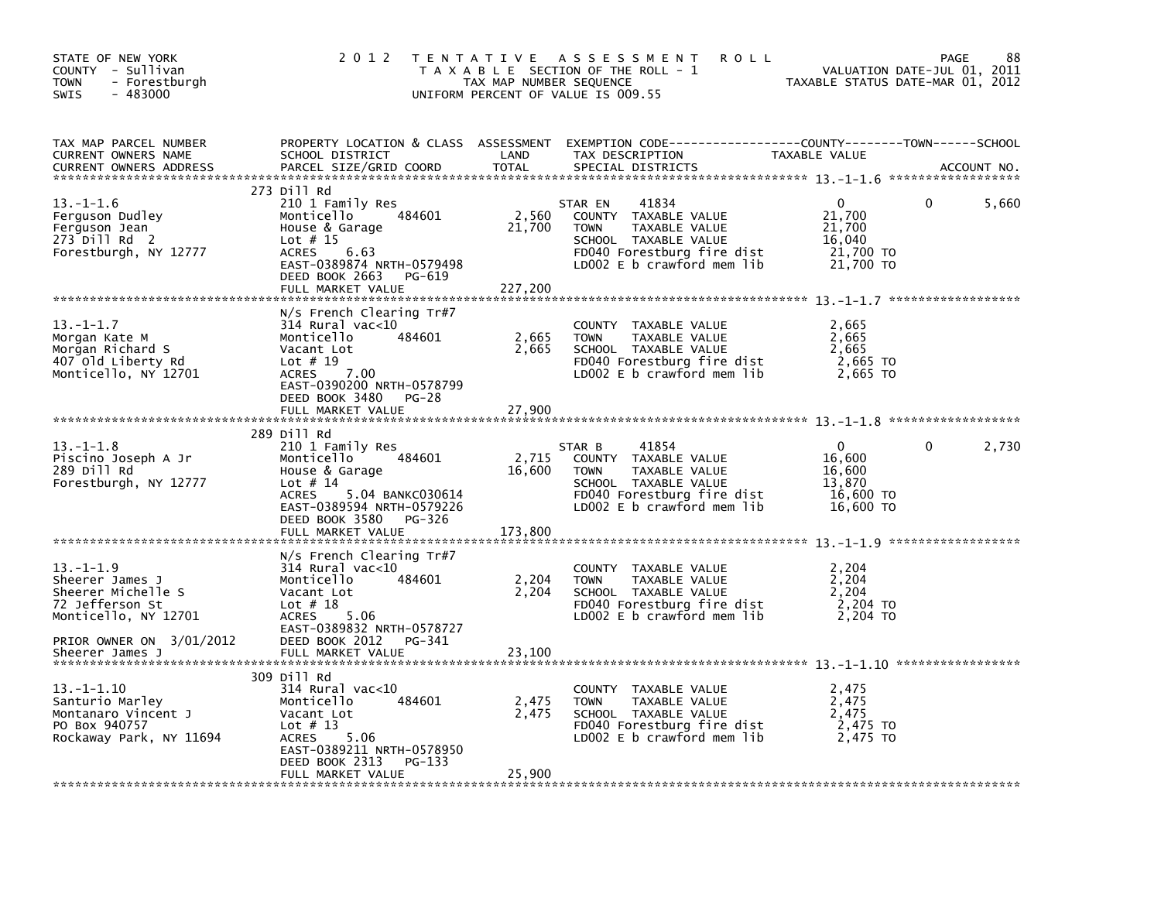| STATE OF NEW YORK<br>COUNTY - Sullivan<br><b>TOWN</b><br>- Forestburgh<br>$-483000$<br><b>SWIS</b>                              | 2 0 1 2                                                                                                                                                                                  | TAX MAP NUMBER SEQUENCE | TENTATIVE ASSESSMENT<br><b>ROLL</b><br>T A X A B L E SECTION OF THE ROLL - 1<br>UNIFORM PERCENT OF VALUE IS 009.55                                           | TAXABLE STATUS DATE-MAR 01, 2012                                     | 88<br>PAGE<br>VALUATION DATE-JUL 01, 2011 |
|---------------------------------------------------------------------------------------------------------------------------------|------------------------------------------------------------------------------------------------------------------------------------------------------------------------------------------|-------------------------|--------------------------------------------------------------------------------------------------------------------------------------------------------------|----------------------------------------------------------------------|-------------------------------------------|
| TAX MAP PARCEL NUMBER<br><b>CURRENT OWNERS NAME</b><br><b>CURRENT OWNERS ADDRESS</b>                                            | SCHOOL DISTRICT<br>PARCEL SIZE/GRID COORD                                                                                                                                                | LAND<br><b>TOTAL</b>    | PROPERTY LOCATION & CLASS ASSESSMENT EXEMPTION CODE---------------COUNTY-------TOWN-----SCHOOL<br>TAX DESCRIPTION<br>SPECIAL DISTRICTS                       | TAXABLE VALUE                                                        | ACCOUNT NO.                               |
| $13. - 1 - 1.6$<br>Ferguson Dudley<br>Ferguson Jean<br>273 Dill Rd 2<br>Forestburgh, NY 12777                                   | 273 Dill Rd<br>210 1 Family Res<br>484601<br>Monticello<br>House & Garage<br>Lot $# 15$<br>6.63<br><b>ACRES</b><br>EAST-0389874 NRTH-0579498<br>DEED BOOK 2663<br>PG-619                 | 2,560<br>21,700         | 41834<br>STAR EN<br>COUNTY TAXABLE VALUE<br><b>TOWN</b><br>TAXABLE VALUE<br>SCHOOL TAXABLE VALUE<br>FD040 Forestburg fire dist<br>LD002 E b crawford mem lib | 0<br>21,700<br>21,700<br>16,040<br>21,700 TO<br>21,700 TO            | 5,660<br>0                                |
|                                                                                                                                 | FULL MARKET VALUE                                                                                                                                                                        | 227,200                 |                                                                                                                                                              |                                                                      |                                           |
| $13 - 1 - 1.7$<br>Morgan Kate M<br>Morgan Richard S<br>407 Old Liberty Rd<br>Monticello, NY 12701                               | $N/s$ French Clearing Tr#7<br>314 Rural vac<10<br>Monticello<br>484601<br>Vacant Lot<br>Lot $# 19$<br>7.00<br><b>ACRES</b><br>EAST-0390200 NRTH-0578799<br>DEED BOOK 3480<br>PG-28       | 2,665<br>2,665          | COUNTY TAXABLE VALUE<br><b>TOWN</b><br>TAXABLE VALUE<br>SCHOOL TAXABLE VALUE<br>FD040 Forestburg fire dist<br>LD002 $E$ b crawford mem lib                   | 2,665<br>2,665<br>2,665<br>2,665 TO<br>2,665 TO                      |                                           |
|                                                                                                                                 | FULL MARKET VALUE                                                                                                                                                                        | 27,900                  |                                                                                                                                                              |                                                                      |                                           |
|                                                                                                                                 | 289 Dill Rd                                                                                                                                                                              |                         |                                                                                                                                                              |                                                                      |                                           |
| $13.-1-1.8$<br>Piscino Joseph A Jr<br>289 Dill Rd<br>Forestburgh, NY 12777                                                      | 210 1 Family Res<br>Monticello<br>484601<br>House & Garage<br>Lot $# 14$<br><b>ACRES</b><br>5.04 BANKC030614<br>EAST-0389594 NRTH-0579226<br>DEED BOOK 3580<br>PG-326                    | 2,715<br>16,600         | 41854<br>STAR B<br>COUNTY TAXABLE VALUE<br><b>TOWN</b><br>TAXABLE VALUE<br>SCHOOL TAXABLE VALUE<br>FD040 Forestburg fire dist<br>LD002 E b crawford mem lib  | $\mathbf{0}$<br>16,600<br>16,600<br>13,870<br>16,600 TO<br>16,600 TO | 2,730<br>0                                |
|                                                                                                                                 | FULL MARKET VALUE                                                                                                                                                                        | 173,800                 |                                                                                                                                                              |                                                                      |                                           |
| $13. - 1 - 1.9$<br>Sheerer James J<br>Sheerer Michelle S<br>72 Jefferson St<br>Monticello, NY 12701<br>PRIOR OWNER ON 3/01/2012 | $N/s$ French Clearing Tr#7<br>$314$ Rural vac< $10$<br>Monticello<br>484601<br>Vacant Lot<br>Lot $# 18$<br>5.06<br><b>ACRES</b><br>EAST-0389832 NRTH-0578727<br>DEED BOOK 2012<br>PG-341 | 2,204<br>2,204          | COUNTY TAXABLE VALUE<br>TAXABLE VALUE<br><b>TOWN</b><br>SCHOOL TAXABLE VALUE<br>FD040 Forestburg fire dist<br>LD002 E b crawford mem lib                     | 2,204<br>2,204<br>2,204<br>2,204 TO<br>2,204 TO                      |                                           |
| Sheerer James J                                                                                                                 | FULL MARKET VALUE                                                                                                                                                                        | 23,100                  |                                                                                                                                                              |                                                                      |                                           |
| $13.-1-1.10$<br>Santurio Marley<br>Montanaro Vincent J<br>PO Box 940757<br>Rockaway Park, NY 11694                              | 309 Dill Rd<br>$314$ Rural vac< $10$<br>484601<br>Monticello<br>Vacant Lot<br>Lot $# 13$<br><b>ACRES</b><br>5.06<br>EAST-0389211 NRTH-0578950<br>DEED BOOK 2313<br>PG-133                | 2,475<br>2,475          | COUNTY TAXABLE VALUE<br><b>TOWN</b><br>TAXABLE VALUE<br>SCHOOL TAXABLE VALUE<br>FD040 Forestburg fire dist<br>LD002 E b crawford mem lib                     | 2,475<br>2,475<br>2,475<br>2,475 TO<br>2.475 TO                      |                                           |
|                                                                                                                                 | FULL MARKET VALUE                                                                                                                                                                        | 25,900                  |                                                                                                                                                              |                                                                      |                                           |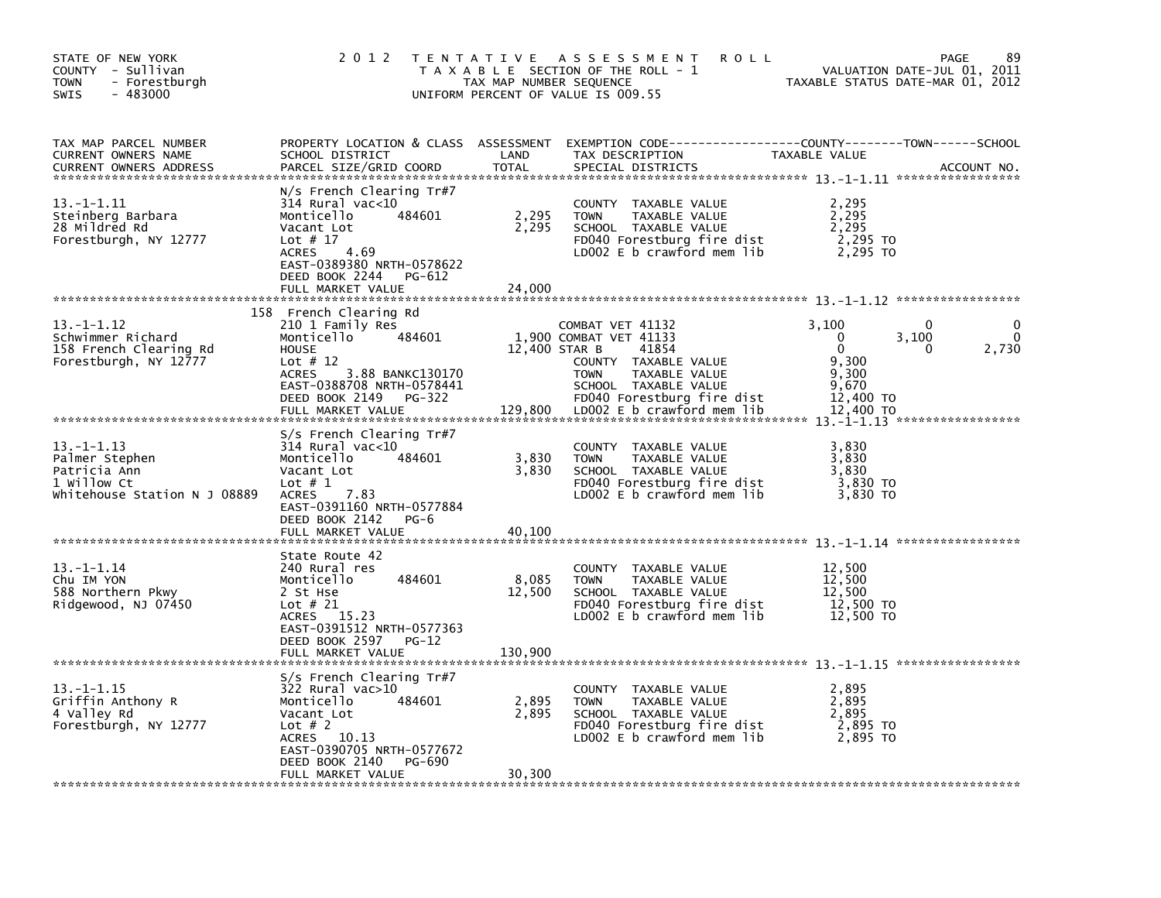| STATE OF NEW YORK<br>COUNTY - Sullivan<br><b>TOWN</b><br>- Forestburgh<br>SWIS<br>$-483000$      | 2 0 1 2                                                                                                                                                                                              | T E N T A T I V E<br>TAX MAP NUMBER SEQUENCE | A S S E S S M E N T<br><b>ROLL</b><br>T A X A B L E SECTION OF THE ROLL - 1<br>UNIFORM PERCENT OF VALUE IS 009.55                                    | TAXABLE STATUS DATE-MAR 01, 2012                         | 89<br>PAGE<br>VALUATION DATE-JUL 01, 2011 |
|--------------------------------------------------------------------------------------------------|------------------------------------------------------------------------------------------------------------------------------------------------------------------------------------------------------|----------------------------------------------|------------------------------------------------------------------------------------------------------------------------------------------------------|----------------------------------------------------------|-------------------------------------------|
| TAX MAP PARCEL NUMBER<br>CURRENT OWNERS NAME<br><b>CURRENT OWNERS ADDRESS</b>                    | SCHOOL DISTRICT<br>PARCEL SIZE/GRID COORD                                                                                                                                                            | LAND<br><b>TOTAL</b>                         | PROPERTY LOCATION & CLASS ASSESSMENT EXEMPTION CODE----------------COUNTY-------TOWN-----SCHOOL<br>TAX DESCRIPTION<br>SPECIAL DISTRICTS              | TAXABLE VALUE                                            | ACCOUNT NO.                               |
| 13. -1-1.11<br>Steinberg Barbara<br>28 Mildred Rd<br>Forestburgh, NY 12777                       | $N/s$ French Clearing Tr#7<br>$314$ Rural vac<10<br>Monticello<br>484601<br>Vacant Lot<br>Lot $# 17$<br>4.69<br><b>ACRES</b><br>EAST-0389380 NRTH-0578622<br>DEED BOOK 2244<br>PG-612                | 2,295<br>2,295                               | COUNTY TAXABLE VALUE<br><b>TOWN</b><br>TAXABLE VALUE<br>SCHOOL TAXABLE VALUE<br>FD040 Forestburg fire dist<br>LD002 $E$ b crawford mem lib           | 2,295<br>2,295<br>2,295<br>2,295 TO<br>2,295 TO          |                                           |
|                                                                                                  | FULL MARKET VALUE                                                                                                                                                                                    | 24,000                                       |                                                                                                                                                      |                                                          |                                           |
| 13. -1-1.12<br>Schwimmer Richard<br>158 French Clearing Rd<br>Forestburgh, NY 12777              | 158 French Clearing Rd<br>210 1 Family Res<br>484601<br>Monticello<br><b>HOUSE</b><br>Lot $# 12$<br>3.88 BANKC130170<br><b>ACRES</b><br>EAST-0388708 NRTH-0578441                                    | 12,400 STAR B                                | COMBAT VET 41132<br>1,900 COMBAT VET 41133<br>41854<br>COUNTY TAXABLE VALUE<br>TAXABLE VALUE<br><b>TOWN</b><br>SCHOOL TAXABLE VALUE                  | 3,100<br>$\Omega$<br>$\Omega$<br>9,300<br>9,300<br>9,670 | 0<br>$\Omega$<br>3,100<br>2,730<br>0      |
|                                                                                                  | DEED BOOK 2149<br>PG-322<br>FULL MARKET VALUE                                                                                                                                                        | 129,800                                      | FD040 Forestburg fire dist<br>LD002 E b crawford mem lib                                                                                             | 12,400 TO<br>12,400 TO                                   |                                           |
| $13. -1 - 1.13$<br>Palmer Stephen<br>Patricia Ann<br>1 Willow Ct<br>Whitehouse Station N J 08889 | S/s French Clearing Tr#7<br>314 Rural vac<10<br>Monticello<br>484601<br>Vacant Lot<br>Lot $# 1$<br>7.83<br><b>ACRES</b><br>EAST-0391160 NRTH-0577884                                                 | 3,830<br>3,830                               | <b>COUNTY</b><br>TAXABLE VALUE<br><b>TOWN</b><br>TAXABLE VALUE<br>SCHOOL TAXABLE VALUE<br>FD040 Forestburg fire dist<br>LD002 $E$ b crawford mem lib | 3,830<br>3,830<br>3,830<br>3,830 TO<br>3,830 TO          |                                           |
|                                                                                                  | DEED BOOK 2142<br>$PG-6$<br>FULL MARKET VALUE                                                                                                                                                        | 40,100                                       |                                                                                                                                                      |                                                          |                                           |
| $13. - 1 - 1.14$<br>Chu IM YON<br>588 Northern Pkwy<br>Ridgewood, NJ 07450                       | State Route 42<br>240 Rural res<br>Monticello<br>484601<br>2 St Hse<br>Lot $#21$<br>ACRES 15.23<br>EAST-0391512 NRTH-0577363<br>DEED BOOK 2597<br>$PG-12$<br>FULL MARKET VALUE                       | 8,085<br>12,500<br>130,900                   | COUNTY TAXABLE VALUE<br><b>TOWN</b><br>TAXABLE VALUE<br>SCHOOL TAXABLE VALUE<br>FD040 Forestburg fire dist<br>LD002 $E$ b crawford mem lib           | 12,500<br>12,500<br>12,500<br>12,500 TO<br>12,500 TO     |                                           |
|                                                                                                  |                                                                                                                                                                                                      |                                              |                                                                                                                                                      |                                                          |                                           |
| $13. - 1 - 1.15$<br>Griffin Anthony R<br>4 Valley Rd<br>Forestburgh, NY 12777                    | S/s French Clearing Tr#7<br>$322$ Rural vac $>10$<br>Monticello<br>484601<br>Vacant Lot<br>Lot $# 2$<br>10.13<br>ACRES<br>EAST-0390705 NRTH-0577672<br>DEED BOOK 2140<br>PG-690<br>FULL MARKET VALUE | 2,895<br>2,895<br>30,300                     | COUNTY TAXABLE VALUE<br><b>TOWN</b><br>TAXABLE VALUE<br>SCHOOL TAXABLE VALUE<br>FD040 Forestburg fire dist<br>LD002 $E$ b crawford mem lib           | 2,895<br>2,895<br>2,895<br>2,895 TO<br>2,895 TO          |                                           |
|                                                                                                  |                                                                                                                                                                                                      |                                              |                                                                                                                                                      |                                                          |                                           |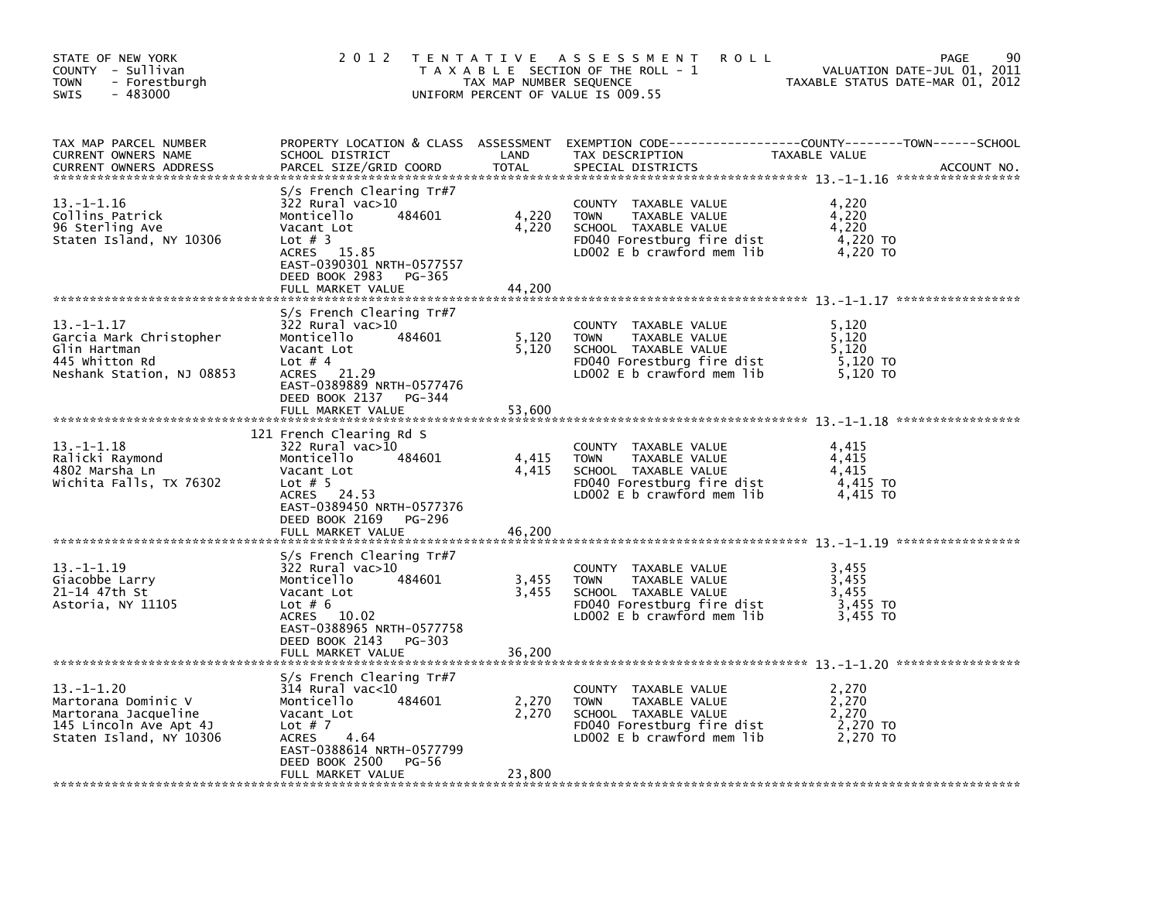| STATE OF NEW YORK<br>COUNTY - Sullivan<br>- Forestburgh<br><b>TOWN</b><br>$-483000$<br><b>SWIS</b>                  | 2 0 1 2                                                                                                                                                                                           | TAX MAP NUMBER SEQUENCE  | TENTATIVE ASSESSMENT<br><b>ROLL</b><br>T A X A B L E SECTION OF THE ROLL - 1<br>UNIFORM PERCENT OF VALUE IS 009.55                           | 90<br>PAGE<br>VALUATION DATE-JUL 01, 2011<br>TAXABLE STATUS DATE-MAR 01, 2012                                                  |
|---------------------------------------------------------------------------------------------------------------------|---------------------------------------------------------------------------------------------------------------------------------------------------------------------------------------------------|--------------------------|----------------------------------------------------------------------------------------------------------------------------------------------|--------------------------------------------------------------------------------------------------------------------------------|
| TAX MAP PARCEL NUMBER<br>CURRENT OWNERS NAME<br><b>CURRENT OWNERS ADDRESS</b>                                       | SCHOOL DISTRICT<br>PARCEL SIZE/GRID COORD                                                                                                                                                         | LAND<br>TOTAL            | TAX DESCRIPTION<br>SPECIAL DISTRICTS                                                                                                         | PROPERTY LOCATION & CLASS ASSESSMENT EXEMPTION CODE---------------COUNTY-------TOWN-----SCHOOL<br>TAXABLE VALUE<br>ACCOUNT NO. |
| $13. - 1 - 1.16$<br>Collins Patrick<br>96 Sterling Ave<br>Staten Island, NY 10306                                   | S/s French Clearing Tr#7<br>$322$ Rural vac $>10$<br>Monticello<br>484601<br>Vacant Lot<br>Lot $# 3$<br>ACRES 15.85<br>EAST-0390301 NRTH-0577557<br>DEED BOOK 2983<br>PG-365<br>FULL MARKET VALUE | 4,220<br>4,220<br>44.200 | COUNTY TAXABLE VALUE<br><b>TOWN</b><br>TAXABLE VALUE<br>SCHOOL TAXABLE VALUE<br>FD040 Forestburg fire dist<br>LD002 $E$ b crawford mem $lib$ | 4,220<br>4,220<br>4,220<br>4,220 TO<br>4,220 TO                                                                                |
| 13. – 1–1.17<br>Garcia Mark Christopher<br>Glin Hartman<br>445 whitton Rd<br>Neshank Station, NJ 08853              | S/s French Clearing Tr#7<br>322 Rural vac>10<br>484601<br>Monticello<br>Vacant Lot<br>Lot $# 4$<br>ACRES 21.29<br>EAST-0389889 NRTH-0577476<br>DEED BOOK 2137 PG-344<br>FULL MARKET VALUE         | 5,120<br>5,120<br>53.600 | COUNTY TAXABLE VALUE<br>TAXABLE VALUE<br><b>TOWN</b><br>SCHOOL TAXABLE VALUE<br>FD040 Forestburg fire dist<br>LD002 E b crawford mem lib     | 5,120<br>5,120<br>5.120<br>5,120 TO<br>5,120 TO                                                                                |
| $13.-1-1.18$<br>Ralicki Raymond<br>4802 Marsha Ln<br>Wichita Falls, TX 76302                                        | 121 French Clearing Rd S<br>$322$ Rural vac $>10$<br>Monticello<br>484601<br>Vacant Lot<br>Lot $# 5$<br>ACRES 24.53<br>EAST-0389450 NRTH-0577376<br>DEED BOOK 2169<br>PG-296<br>FULL MARKET VALUE | 4,415<br>4,415<br>46,200 | COUNTY TAXABLE VALUE<br>TAXABLE VALUE<br><b>TOWN</b><br>SCHOOL TAXABLE VALUE<br>FD040 Forestburg fire dist<br>LD002 $E$ b crawford mem $lib$ | 4,415<br>4,415<br>4,415<br>4,415 TO<br>4.415 TO                                                                                |
| $13. -1 - 1.19$<br>Giacobbe Larry<br>21-14 47th St<br>Astoria, NY 11105                                             | S/s French Clearing Tr#7<br>322 Rural vac>10<br>Monticello<br>484601<br>Vacant Lot<br>Lot $# 6$<br>ACRES 10.02<br>EAST-0388965 NRTH-0577758<br>DEED BOOK 2143<br>PG-303<br>FULL MARKET VALUE      | 3,455<br>3,455<br>36,200 | COUNTY TAXABLE VALUE<br>TAXABLE VALUE<br><b>TOWN</b><br>SCHOOL TAXABLE VALUE<br>FD040 Forestburg fire dist<br>LD002 $E$ b crawford mem lib   | 3,455<br>3,455<br>3,455<br>3,455 TO<br>3,455 TO                                                                                |
| $13. -1 - 1.20$<br>Martorana Dominic V<br>Martorana Jacqueline<br>145 Lincoln Ave Apt 4J<br>Staten Island, NY 10306 | S/s French Clearing Tr#7<br>$314$ Rural vac<10<br>Monticello<br>484601<br>Vacant Lot<br>Lot $# 7$<br>ACRES<br>4.64<br>EAST-0388614 NRTH-0577799<br>DEED BOOK 2500<br>PG-56<br>FULL MARKET VALUE   | 2,270<br>2,270<br>23,800 | COUNTY TAXABLE VALUE<br><b>TOWN</b><br>TAXABLE VALUE<br>SCHOOL TAXABLE VALUE<br>FD040 Forestburg fire dist<br>LD002 $E$ b crawford mem $lib$ | 2,270<br>2,270<br>2,270<br>2,270 TO<br>2,270 TO                                                                                |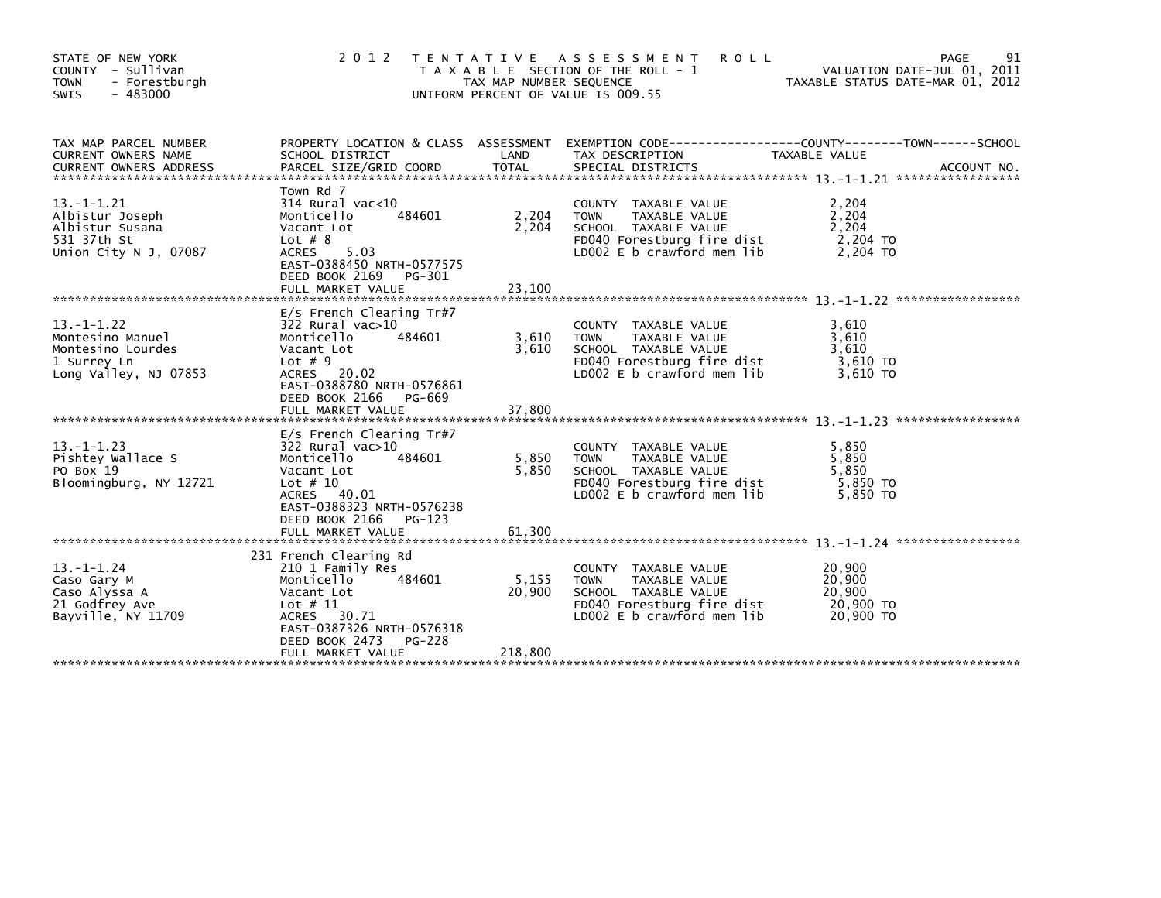| STATE OF NEW YORK<br>COUNTY - Sullivan<br>- Forestburgh<br><b>TOWN</b><br><b>SWIS</b><br>- 483000 | 2 0 1 2                                                                                                                                                                                               | T E N T A T I V E<br>TAX MAP NUMBER SEQUENCE | ASSESSMENT<br><b>ROLL</b><br>T A X A B L E SECTION OF THE ROLL - 1<br>UNIFORM PERCENT OF VALUE IS 009.55                                        | PAGE<br>VALUATION DATE-JUL 01, 2011<br>TAXABLE STATUS DATE-MAR 01, 2012                                                  | 91 |
|---------------------------------------------------------------------------------------------------|-------------------------------------------------------------------------------------------------------------------------------------------------------------------------------------------------------|----------------------------------------------|-------------------------------------------------------------------------------------------------------------------------------------------------|--------------------------------------------------------------------------------------------------------------------------|----|
| TAX MAP PARCEL NUMBER<br>CURRENT OWNERS NAME                                                      | PROPERTY LOCATION & CLASS ASSESSMENT<br>SCHOOL DISTRICT                                                                                                                                               | LAND                                         | TAX DESCRIPTION                                                                                                                                 | EXEMPTION        CODE-----------------COUNTY-------TOWN------SCHOOL<br>TAXABLE VALUE<br>ACCOUNT NO.<br>***************** |    |
| $13.-1-1.21$<br>Albistur Joseph<br>Albistur Susana<br>531 37th St<br>Union City N J. 07087        | Town Rd 7<br>$314$ Rural vac<10<br>Monticello<br>484601<br>Vacant Lot<br>Lot $# 8$<br><b>ACRES</b><br>5.03<br>EAST-0388450 NRTH-0577575<br>DEED BOOK 2169<br>PG-301<br>FULL MARKET VALUE              | 2,204<br>2,204<br>23,100                     | COUNTY TAXABLE VALUE<br><b>TOWN</b><br>TAXABLE VALUE<br>SCHOOL TAXABLE VALUE<br>FD040 Forestburg fire dist<br>LD002 E b crawford mem lib        | 2,204<br>2,204<br>2,204<br>2,204 TO<br>2,204 TO                                                                          |    |
| $13 - 1 - 1.22$<br>Montesino Manuel<br>Montesino Lourdes<br>1 Surrey Ln<br>Long Valley, NJ 07853  | E/s French Clearing Tr#7<br>$322$ Rural vac $>10$<br>484601<br>Monticello<br>Vacant Lot<br>Lot $# 9$<br>ACRES 20.02<br>EAST-0388780 NRTH-0576861<br>DEED BOOK 2166<br>PG-669<br>FULL MARKET VALUE     | 3,610<br>3.610<br>37,800                     | COUNTY TAXABLE VALUE<br>TAXABLE VALUE<br><b>TOWN</b><br>SCHOOL TAXABLE VALUE<br>FD040 Forestburg fire dist<br>LD002 E b crawford mem lib        | 3,610<br>3,610<br>3.610<br>3,610 TO<br>3.610 TO                                                                          |    |
| $13. - 1 - 1.23$<br>Pishtey Wallace S<br>PO Box 19<br>Bloomingburg, NY 12721                      | $E/S$ French Clearing Tr#7<br>$322$ Rural vac $>10$<br>Monticello<br>484601<br>Vacant Lot<br>Lot $# 10$<br>ACRES 40.01<br>EAST-0388323 NRTH-0576238<br>DEED BOOK 2166<br>PG-123<br>FULL MARKET VALUE  | 5,850<br>5.850<br>61,300                     | COUNTY TAXABLE VALUE<br><b>TOWN</b><br>TAXABLE VALUE<br>SCHOOL TAXABLE VALUE<br>FD040 Forestburg fire dist<br>LD002 E b crawford mem lib        | 5,850<br>5,850<br>5,850<br>5,850 TO<br>5.850 TO                                                                          |    |
| $13. - 1 - 1.24$<br>Caso Gary M<br>Caso Alyssa A<br>21 Godfrey Ave<br>Bayville, NY 11709          | 231 French Clearing Rd<br>210 1 Family Res<br>Monticello<br>484601<br>Vacant Lot<br>Lot $# 11$<br>30.71<br><b>ACRES</b><br>EAST-0387326 NRTH-0576318<br>DEED BOOK 2473<br>PG-228<br>FULL MARKET VALUE | 5,155<br>20,900<br>218,800                   | COUNTY TAXABLE VALUE<br><b>TAXABLE VALUE</b><br><b>TOWN</b><br>SCHOOL TAXABLE VALUE<br>FD040 Forestburg fire dist<br>LD002 E b crawford mem lib | 20,900<br>20,900<br>20,900<br>20,900 TO<br>20,900 TO                                                                     |    |
|                                                                                                   |                                                                                                                                                                                                       |                                              |                                                                                                                                                 |                                                                                                                          |    |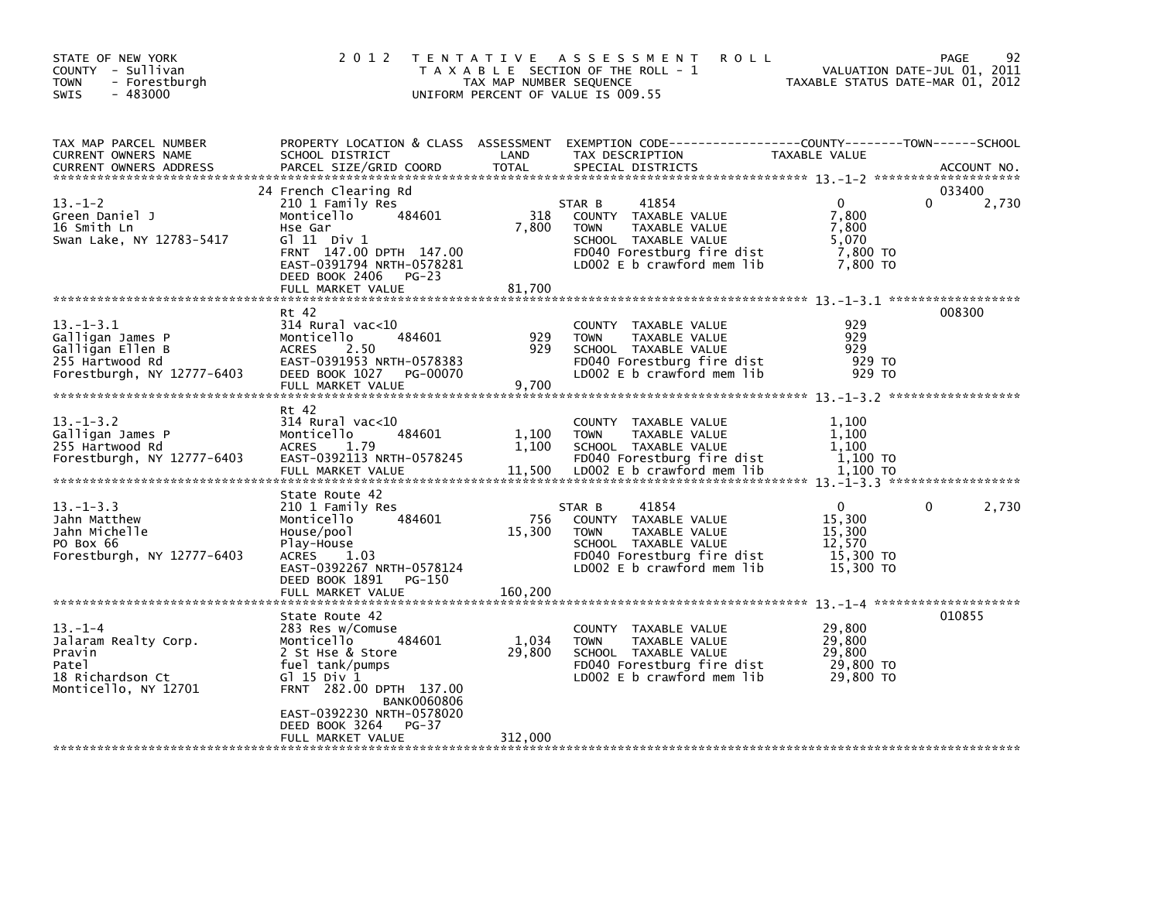| TAX MAP PARCEL NUMBER<br>PROPERTY LOCATION & CLASS ASSESSMENT<br>EXEMPTION CODE-----------------COUNTY-------TOWN------SCHOOL<br>LAND<br>TAX DESCRIPTION<br>CURRENT OWNERS NAME<br>SCHOOL DISTRICT<br>TAXABLE VALUE<br><b>TOTAL</b><br>SPECIAL DISTRICTS<br><b>CURRENT OWNERS ADDRESS</b><br>PARCEL SIZE/GRID COORD<br>24 French Clearing Rd<br>033400<br>$\mathbf{0}$<br>0<br>$13.-1-2$<br>210 1 Family Res<br>41854<br>STAR B<br>318<br>7,800<br>Green Daniel J<br>Monticello<br>484601<br>COUNTY TAXABLE VALUE<br>16 Smith Ln<br>Hse Gar<br>7,800<br><b>TOWN</b><br>TAXABLE VALUE<br>7,800<br>Swan Lake, NY 12783-5417<br>G $11$ Div $1$<br>SCHOOL TAXABLE VALUE<br>5,070<br>FD040 Forestburg fire dist<br>7,800 TO<br>FRNT 147.00 DPTH 147.00<br>LD002 E b crawford mem lib<br>EAST-0391794 NRTH-0578281<br>7,800 TO<br>DEED BOOK 2406 PG-23<br>81,700<br>FULL MARKET VALUE<br>008300<br>Rt 42<br>$13 - 1 - 3.1$<br>$314$ Rural vac<10<br>929<br>COUNTY TAXABLE VALUE<br>484601<br>929<br>929<br>Galligan James P<br>Monticello<br><b>TOWN</b><br>TAXABLE VALUE<br>929<br>929<br>Galligan Ellen B<br><b>ACRES</b><br>SCHOOL TAXABLE VALUE<br>2.50<br>255 Hartwood Rd<br>EAST-0391953 NRTH-0578383<br>FD040 Forestburg fire dist<br>929 TO<br>DEED BOOK 1027<br>LD002 E b crawford mem lib<br>929 TO<br>Forestburgh, NY 12777-6403<br>PG-00070<br>9.700<br>FULL MARKET VALUE<br>Rt 42<br>$13. - 1 - 3.2$<br>$314$ Rural vac< $10$<br>1,100<br>COUNTY TAXABLE VALUE<br>Galligan James P<br>484601<br>1,100<br>1.100<br>Monticello<br><b>TOWN</b><br>TAXABLE VALUE<br>255 Hartwood Rd<br>1.79<br>1,100<br>SCHOOL TAXABLE VALUE<br>1.100<br><b>ACRES</b><br>EAST-0392113 NRTH-0578245<br>FD040 Forestburg fire dist<br>1.100 TO<br>Forestburgh, NY $12777 - 6403$<br>11,500<br>LD002 E b crawford mem lib<br>FULL MARKET VALUE<br>1,100 TO<br>State Route 42<br>$13. - 1 - 3.3$<br>41854<br>$\overline{0}$<br>$\mathbf{0}$<br>210 1 Family Res<br>STAR B<br>484601<br>756<br>COUNTY TAXABLE VALUE<br>15,300<br>Jahn Matthew<br>Monticello<br>Jahn Michelle<br>15,300<br>15,300<br>House/pool<br>TAXABLE VALUE<br><b>TOWN</b><br>12,570<br>PO Box 66<br>SCHOOL TAXABLE VALUE<br>Play-House<br>15,300 TO<br>Forestburgh, NY 12777-6403<br>ACRES 1.03<br>FD040 Forestburg fire dist<br>EAST-0392267 NRTH-0578124<br>LD002 $E$ b crawford mem lib<br>15,300 TO<br>DEED BOOK 1891<br>PG-150<br>160,200<br>FULL MARKET VALUE<br>010855<br>State Route 42<br>29,800<br>$13. - 1 - 4$<br>283 Res w/Comuse<br>COUNTY TAXABLE VALUE<br>484601<br>1,034<br>29,800<br>Jalaram Realty Corp.<br>Monticello<br><b>TOWN</b><br>TAXABLE VALUE<br>29,800<br>29,800<br>Pravin<br>2 St Hse & Store<br>SCHOOL TAXABLE VALUE<br>29,800 TO<br>fuel tank/pumps<br>FD040 Forestburg fire dist<br>Patel<br>$G$ ] 15 Div 1<br>LD002 E b crawford mem lib<br>29,800 TO<br>18 Richardson Ct<br>FRNT 282.00 DPTH 137.00<br>Monticello, NY 12701 | STATE OF NEW YORK<br>COUNTY - Sullivan<br>- Forestburgh<br><b>TOWN</b><br>$-483000$<br><b>SWIS</b> | 2 0 1 2            | TAX MAP NUMBER SEQUENCE | TENTATIVE ASSESSMENT<br><b>ROLL</b><br>T A X A B L E SECTION OF THE ROLL - 1<br>UNIFORM PERCENT OF VALUE IS 009.55 | TAXABLE STATUS DATE-MAR 01, 2012 | 92<br>PAGE<br>VALUATION DATE-JUL 01, 2011 |
|-------------------------------------------------------------------------------------------------------------------------------------------------------------------------------------------------------------------------------------------------------------------------------------------------------------------------------------------------------------------------------------------------------------------------------------------------------------------------------------------------------------------------------------------------------------------------------------------------------------------------------------------------------------------------------------------------------------------------------------------------------------------------------------------------------------------------------------------------------------------------------------------------------------------------------------------------------------------------------------------------------------------------------------------------------------------------------------------------------------------------------------------------------------------------------------------------------------------------------------------------------------------------------------------------------------------------------------------------------------------------------------------------------------------------------------------------------------------------------------------------------------------------------------------------------------------------------------------------------------------------------------------------------------------------------------------------------------------------------------------------------------------------------------------------------------------------------------------------------------------------------------------------------------------------------------------------------------------------------------------------------------------------------------------------------------------------------------------------------------------------------------------------------------------------------------------------------------------------------------------------------------------------------------------------------------------------------------------------------------------------------------------------------------------------------------------------------------------------------------------------------------------------------------------------------------------------------------------------------------------------------------------------------------------------------------------------------------------------------------------------------------------------------------------------------------------------------------------------------------------------------------------------------------------|----------------------------------------------------------------------------------------------------|--------------------|-------------------------|--------------------------------------------------------------------------------------------------------------------|----------------------------------|-------------------------------------------|
|                                                                                                                                                                                                                                                                                                                                                                                                                                                                                                                                                                                                                                                                                                                                                                                                                                                                                                                                                                                                                                                                                                                                                                                                                                                                                                                                                                                                                                                                                                                                                                                                                                                                                                                                                                                                                                                                                                                                                                                                                                                                                                                                                                                                                                                                                                                                                                                                                                                                                                                                                                                                                                                                                                                                                                                                                                                                                                                   |                                                                                                    |                    |                         |                                                                                                                    |                                  | ACCOUNT NO.                               |
|                                                                                                                                                                                                                                                                                                                                                                                                                                                                                                                                                                                                                                                                                                                                                                                                                                                                                                                                                                                                                                                                                                                                                                                                                                                                                                                                                                                                                                                                                                                                                                                                                                                                                                                                                                                                                                                                                                                                                                                                                                                                                                                                                                                                                                                                                                                                                                                                                                                                                                                                                                                                                                                                                                                                                                                                                                                                                                                   |                                                                                                    |                    |                         |                                                                                                                    |                                  | 2,730                                     |
|                                                                                                                                                                                                                                                                                                                                                                                                                                                                                                                                                                                                                                                                                                                                                                                                                                                                                                                                                                                                                                                                                                                                                                                                                                                                                                                                                                                                                                                                                                                                                                                                                                                                                                                                                                                                                                                                                                                                                                                                                                                                                                                                                                                                                                                                                                                                                                                                                                                                                                                                                                                                                                                                                                                                                                                                                                                                                                                   |                                                                                                    |                    |                         |                                                                                                                    |                                  |                                           |
|                                                                                                                                                                                                                                                                                                                                                                                                                                                                                                                                                                                                                                                                                                                                                                                                                                                                                                                                                                                                                                                                                                                                                                                                                                                                                                                                                                                                                                                                                                                                                                                                                                                                                                                                                                                                                                                                                                                                                                                                                                                                                                                                                                                                                                                                                                                                                                                                                                                                                                                                                                                                                                                                                                                                                                                                                                                                                                                   |                                                                                                    |                    |                         |                                                                                                                    |                                  |                                           |
|                                                                                                                                                                                                                                                                                                                                                                                                                                                                                                                                                                                                                                                                                                                                                                                                                                                                                                                                                                                                                                                                                                                                                                                                                                                                                                                                                                                                                                                                                                                                                                                                                                                                                                                                                                                                                                                                                                                                                                                                                                                                                                                                                                                                                                                                                                                                                                                                                                                                                                                                                                                                                                                                                                                                                                                                                                                                                                                   |                                                                                                    |                    |                         |                                                                                                                    |                                  | 2,730                                     |
| EAST-0392230 NRTH-0578020<br>DEED BOOK 3264<br>$PG-37$<br>312,000<br>FULL MARKET VALUE                                                                                                                                                                                                                                                                                                                                                                                                                                                                                                                                                                                                                                                                                                                                                                                                                                                                                                                                                                                                                                                                                                                                                                                                                                                                                                                                                                                                                                                                                                                                                                                                                                                                                                                                                                                                                                                                                                                                                                                                                                                                                                                                                                                                                                                                                                                                                                                                                                                                                                                                                                                                                                                                                                                                                                                                                            |                                                                                                    | <b>BANK0060806</b> |                         |                                                                                                                    |                                  |                                           |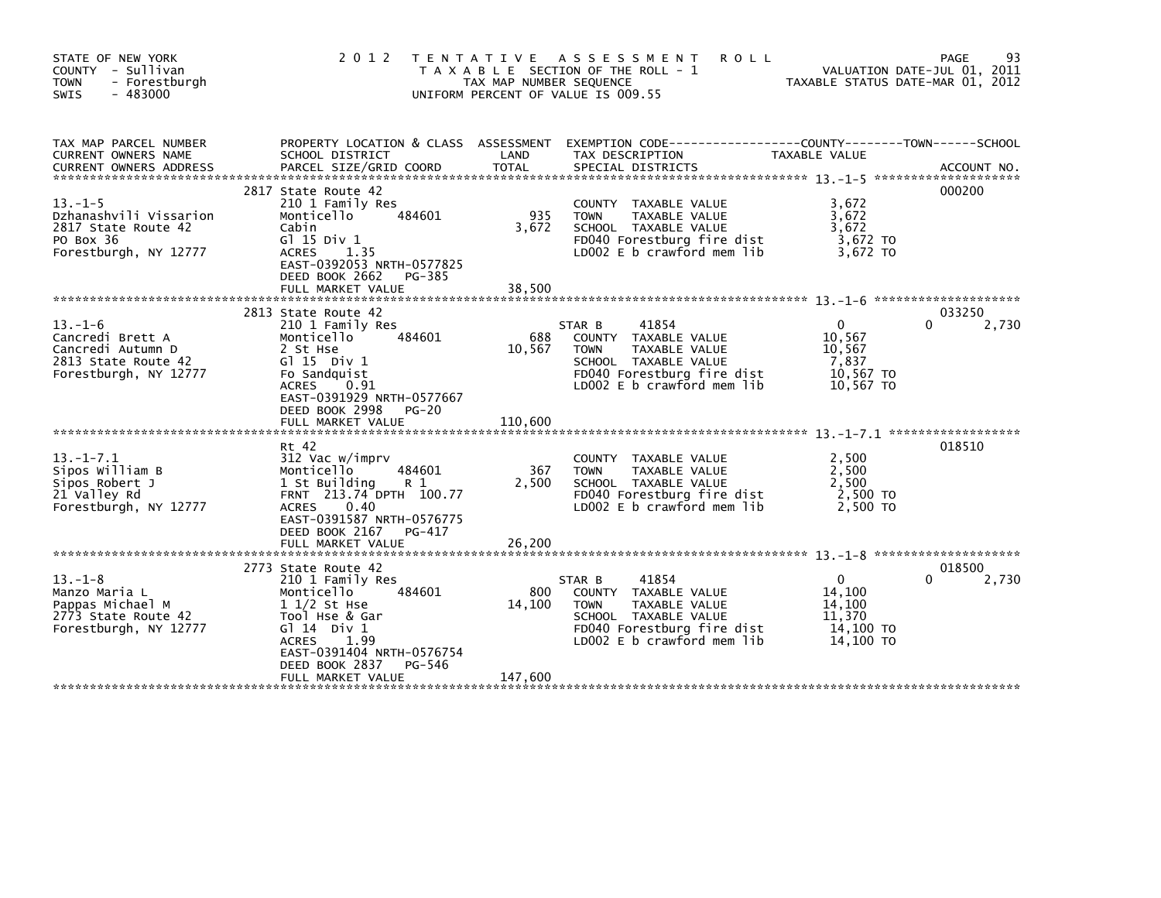| STATE OF NEW YORK<br>COUNTY - Sullivan<br>- Forestburgh<br><b>TOWN</b><br><b>SWIS</b><br>- 483000      |                                                                                                                                                                                                                             | TAX MAP NUMBER SEQUENCE  | 2012 TENTATIVE ASSESSMENT<br><b>ROLL</b><br>T A X A B L E SECTION OF THE ROLL - 1<br>UNIFORM PERCENT OF VALUE IS 009.55                                     | TAXABLE STATUS DATE-MAR 01, 2012                                | 93<br>PAGE<br>VALUATION DATE-JUL 01, 2011 |
|--------------------------------------------------------------------------------------------------------|-----------------------------------------------------------------------------------------------------------------------------------------------------------------------------------------------------------------------------|--------------------------|-------------------------------------------------------------------------------------------------------------------------------------------------------------|-----------------------------------------------------------------|-------------------------------------------|
| TAX MAP PARCEL NUMBER<br>CURRENT OWNERS NAME<br><b>CURRENT OWNERS ADDRESS</b>                          | SCHOOL DISTRICT<br>PARCEL SIZE/GRID COORD                                                                                                                                                                                   | LAND<br><b>TOTAL</b>     | PROPERTY LOCATION & CLASS ASSESSMENT EXEMPTION CODE----------------COUNTY-------TOWN------SCHOOL<br>TAX DESCRIPTION<br>SPECIAL DISTRICTS                    | TAXABLE VALUE                                                   | ACCOUNT NO.                               |
| $13. - 1 - 5$<br>Dzhanashvili Vissarion<br>2817 State Route 42<br>PO Box 36<br>Forestburgh, NY 12777   | 2817 State Route 42<br>210 1 Family Res<br>Monticello<br>484601<br>Cabin<br>$G1$ 15 Div 1<br><b>ACRES</b><br>1.35<br>EAST-0392053 NRTH-0577825<br>DEED BOOK 2662<br>PG-385<br>FULL MARKET VALUE                             | 935<br>3,672<br>38,500   | COUNTY TAXABLE VALUE<br><b>TOWN</b><br>TAXABLE VALUE<br>SCHOOL TAXABLE VALUE<br>FD040 Forestburg fire dist<br>LD002 E b crawford mem lib                    | 3,672<br>3.672<br>3,672<br>$3,672$ TO<br>3.672 TO               | 000200                                    |
| $13. - 1 - 6$<br>Cancredi Brett A<br>Cancredi Autumn D<br>2813 State Route 42<br>Forestburgh, NY 12777 | 2813 State Route 42<br>210 1 Family Res<br>Monticello<br>484601<br>2 St Hse<br>$G1 15$ Div 1<br>Fo Sandquist<br><b>ACRES</b><br>0.91<br>EAST-0391929 NRTH-0577667<br>DEED BOOK 2998<br><b>PG-20</b>                         | 688<br>10,567            | 41854<br>STAR B<br>COUNTY TAXABLE VALUE<br><b>TOWN</b><br>TAXABLE VALUE<br>SCHOOL TAXABLE VALUE<br>FD040 Forestburg fire dist<br>LD002 E b crawford mem lib | $\Omega$<br>10,567<br>10,567<br>7,837<br>10,567 TO<br>10,567 TO | 033250<br>2,730                           |
| $13 - 1 - 7.1$<br>Sipos William B<br>Sipos Robert J<br>21 Valley Rd<br>Forestburgh, NY 12777           | Rt 42<br>312 Vac w/imprv<br>Monticello<br>484601<br>1 St Building<br>R 1<br>FRNT 213.74 DPTH 100.77<br>0.40<br><b>ACRES</b><br>EAST-0391587 NRTH-0576775<br>DEED BOOK 2167<br>PG-417<br>FULL MARKET VALUE                   | 367<br>2,500<br>26,200   | COUNTY TAXABLE VALUE<br>TAXABLE VALUE<br><b>TOWN</b><br>SCHOOL TAXABLE VALUE<br>FD040 Forestburg fire dist<br>LD002 $E$ b crawford mem $lib$                | 2,500<br>2,500<br>2.500<br>2,500 TO<br>2.500 TO                 | 018510                                    |
| $13. -1 - 8$<br>Manzo Maria L<br>Pappas Michael M<br>2773 State Route 42<br>Forestburgh, NY 12777      | 2773 State Route 42<br>210 1 Family Res<br>484601<br>Monticello<br>$11/2$ St Hse<br>Tool Hse & Gar<br>$G1 14$ Div $1$<br><b>ACRES</b><br>1.99<br>EAST-0391404 NRTH-0576754<br>DEED BOOK 2837<br>PG-546<br>FULL MARKET VALUE | 800<br>14,100<br>147,600 | 41854<br>STAR B<br>COUNTY TAXABLE VALUE<br><b>TOWN</b><br>TAXABLE VALUE<br>SCHOOL TAXABLE VALUE<br>FD040 Forestburg fire dist<br>LD002 E b crawford mem lib | 0<br>14,100<br>14,100<br>11,370<br>14,100 TO<br>$14,100$ TO     | 018500<br>2,730                           |
|                                                                                                        |                                                                                                                                                                                                                             |                          |                                                                                                                                                             |                                                                 |                                           |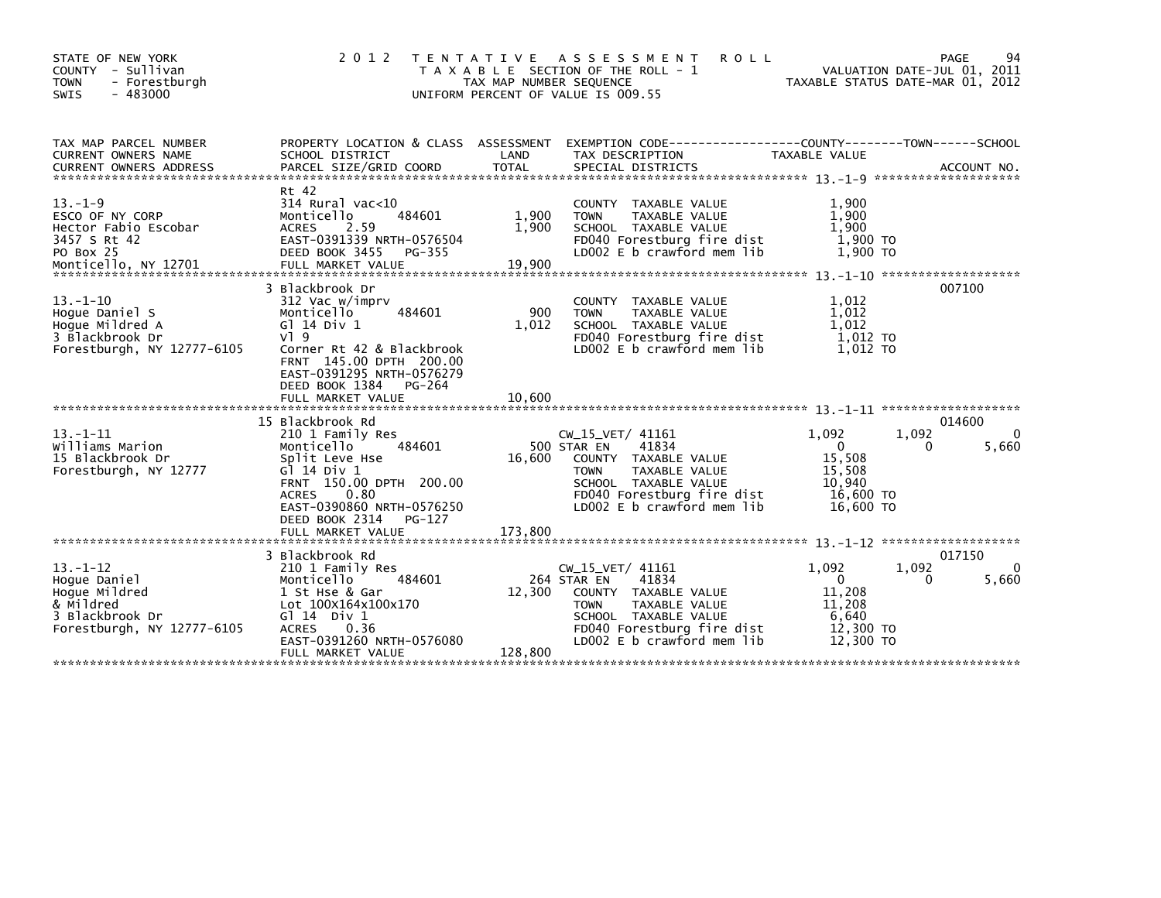| STATE OF NEW YORK<br>COUNTY - Sullivan<br><b>TOWN</b><br>- Forestburgh<br>$-483000$<br><b>SWIS</b>           | 2 0 1 2                                                                                                                                                                                                                                      | TAX MAP NUMBER SEQUENCE<br>UNIFORM PERCENT OF VALUE IS 009.55 | TENTATIVE ASSESSMENT<br><b>ROLL</b><br>T A X A B L E SECTION OF THE ROLL - 1                                                                                                          | TAXABLE STATUS DATE-MAR 01, 2012                                                         | 94<br>PAGE<br>VALUATION DATE-JUL 01, 2011 |
|--------------------------------------------------------------------------------------------------------------|----------------------------------------------------------------------------------------------------------------------------------------------------------------------------------------------------------------------------------------------|---------------------------------------------------------------|---------------------------------------------------------------------------------------------------------------------------------------------------------------------------------------|------------------------------------------------------------------------------------------|-------------------------------------------|
| TAX MAP PARCEL NUMBER<br>CURRENT OWNERS NAME                                                                 | PROPERTY LOCATION & CLASS ASSESSMENT<br>SCHOOL DISTRICT                                                                                                                                                                                      | LAND                                                          | EXEMPTION CODE-----------------COUNTY--------TOWN------SCHOOL<br>TAX DESCRIPTION                                                                                                      | TAXABLE VALUE                                                                            |                                           |
| $13. -1 - 9$<br>ESCO OF NY CORP<br>Hector Fabio Escobar<br>3457 S Rt 42<br><b>PO Box 25</b>                  | Rt 42<br>$314$ Rural vac<10<br>484601<br>Monticello<br><b>ACRES</b><br>2.59<br>EAST-0391339 NRTH-0576504<br>DEED BOOK 3455<br>PG-355                                                                                                         | 1,900<br>1,900                                                | COUNTY TAXABLE VALUE<br><b>TOWN</b><br>TAXABLE VALUE<br>SCHOOL TAXABLE VALUE<br>FD040 Forestburg fire dist<br>LD002 E b crawford mem lib                                              | 1,900<br>1,900<br>1.900<br>1,900 TO<br>1.900 TO                                          |                                           |
| $13 - 1 - 10$<br>Hoque Daniel S<br>Hoque Mildred A<br>3 Blackbrook Dr<br>Forestburgh, NY 12777-6105          | 3 Blackbrook Dr<br>312 Vac w/imprv<br>Monticello<br>484601<br>G1 14 Div 1<br>$V1$ 9<br>Corner Rt 42 & Blackbrook<br>FRNT 145.00 DPTH 200.00<br>EAST-0391295 NRTH-0576279<br>DEED BOOK 1384<br>PG-264<br>FULL MARKET VALUE                    | 900<br>1.012<br>10.600                                        | COUNTY TAXABLE VALUE<br>TAXABLE VALUE<br><b>TOWN</b><br>SCHOOL TAXABLE VALUE<br>FD040 Forestburg fire dist<br>LD002 E b crawford mem lib                                              | 1,012<br>1,012<br>1,012<br>1,012 TO<br>1.012 TO                                          | 007100                                    |
| $13. - 1 - 11$<br>Williams Marion<br>15 Blackbrook Dr<br>Forestburgh, NY 12777                               | 15 Blackbrook Rd<br>210 1 Family Res<br>484601<br>Monticello<br>Split Leve Hse<br>G $\overline{1}$ 14 Div 1<br>FRNT 150.00 DPTH 200.00<br>0.80<br><b>ACRES</b><br>EAST-0390860 NRTH-0576250<br>DEED BOOK 2314<br>PG-127<br>FULL MARKET VALUE | 16,600<br>173.800                                             | CW_15_VET/ 41161<br>500 STAR EN<br>41834<br>COUNTY TAXABLE VALUE<br>TAXABLE VALUE<br><b>TOWN</b><br>SCHOOL TAXABLE VALUE<br>FD040 Forestburg fire dist<br>LD002 E b crawford mem lib  | 1,092<br>1,092<br>$\overline{0}$<br>15,508<br>15,508<br>10,940<br>16,600 TO<br>16,600 TO | 014600<br>0<br>5,660<br>0                 |
| $13 - 1 - 12$<br>Hoque Daniel<br>Hoque Mildred<br>& Mildred<br>3 Blackbrook Dr<br>Forestburgh, NY 12777-6105 | 3 Blackbrook Rd<br>210 1 Family Res<br>484601<br>Monticello<br>1 St Hse & Gar<br>Lot 100X164x100x170<br>$G1 14$ Div $1$<br>0.36<br><b>ACRES</b><br>EAST-0391260 NRTH-0576080<br>FULL MARKET VALUE                                            | 12,300<br>128,800                                             | $CW_15_VET/41161$<br>41834<br>264 STAR EN<br>COUNTY TAXABLE VALUE<br><b>TOWN</b><br>TAXABLE VALUE<br>SCHOOL TAXABLE VALUE<br>FD040 Forestburg fire dist<br>LD002 E b crawford mem lib | 1,092<br>1,092<br>$\mathbf{0}$<br>11,208<br>11,208<br>6,640<br>12,300 TO<br>12,300 TO    | 017150<br>0<br>5,660<br>0                 |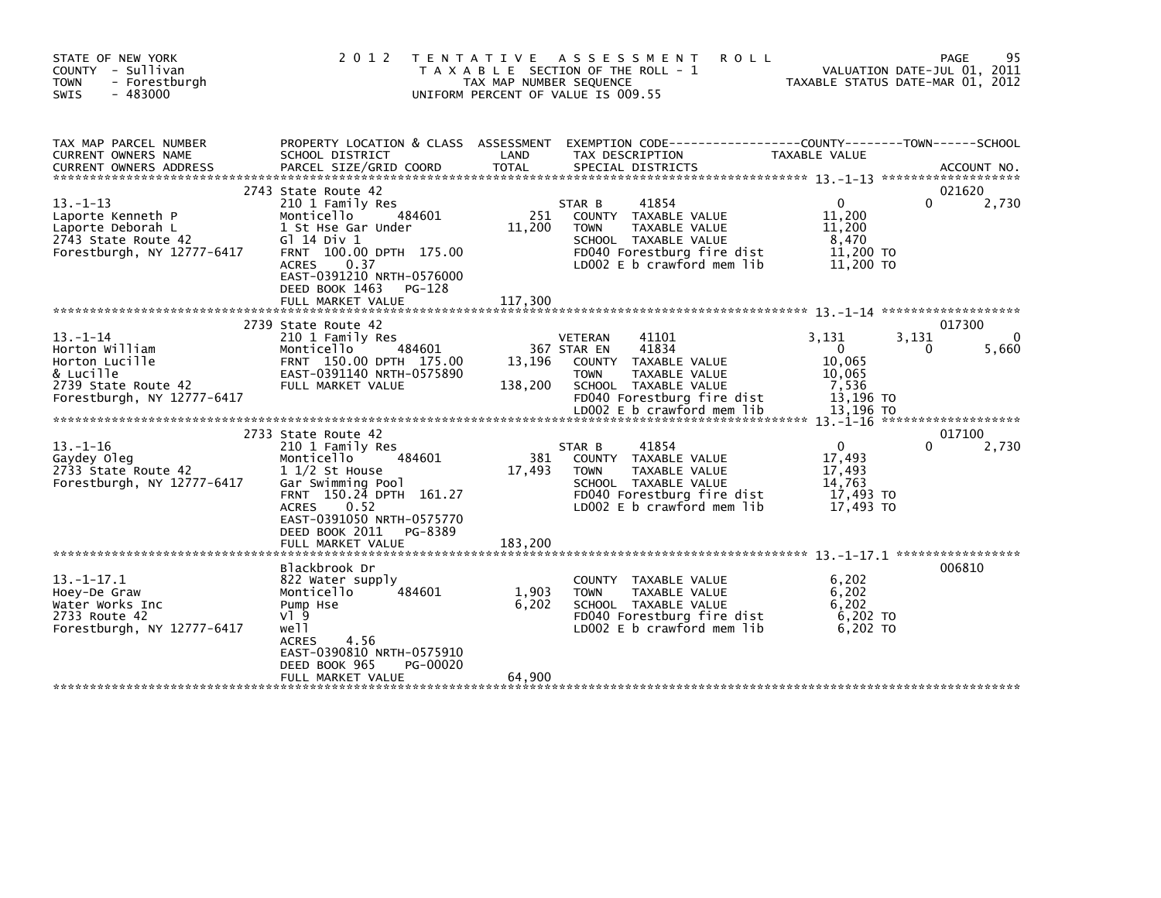| STATE OF NEW YORK<br>COUNTY - Sullivan<br><b>TOWN</b><br>- Forestburgh<br><b>SWIS</b><br>- 483000                   | 2 0 1 2                                                                                                                                                                                                                                           | T E N T A T I V E<br>TAX MAP NUMBER SEQUENCE | ASSESSMENT<br><b>ROLL</b><br>T A X A B L E SECTION OF THE ROLL - 1<br>UNIFORM PERCENT OF VALUE IS 009.55                                                                             |                                                                             | 95<br>PAGE<br>VALUATION DATE-JUL 01, 2011<br>TAXABLE STATUS DATE-MAR 01, 2012 |
|---------------------------------------------------------------------------------------------------------------------|---------------------------------------------------------------------------------------------------------------------------------------------------------------------------------------------------------------------------------------------------|----------------------------------------------|--------------------------------------------------------------------------------------------------------------------------------------------------------------------------------------|-----------------------------------------------------------------------------|-------------------------------------------------------------------------------|
| TAX MAP PARCEL NUMBER<br>CURRENT OWNERS NAME<br><b>CURRENT OWNERS ADDRESS</b>                                       | PROPERTY LOCATION & CLASS ASSESSMENT<br>SCHOOL DISTRICT<br>PARCEL SIZE/GRID COORD                                                                                                                                                                 | LAND<br><b>TOTAL</b>                         | TAX DESCRIPTION<br>SPECIAL DISTRICTS                                                                                                                                                 | TAXABLE VALUE                                                               | ACCOUNT NO.                                                                   |
| $13 - 1 - 13$<br>Laporte Kenneth P<br>Laporte Deborah L<br>2743 State Route 42<br>Forestburgh, NY 12777-6417        | 2743 State Route 42<br>210 1 Family Res<br>Monticello<br>484601<br>1 St Hse Gar Under<br>G1 14 Div 1<br>FRNT 100.00 DPTH 175.00<br><b>ACRES</b><br>0.37<br>EAST-0391210 NRTH-0576000<br>DEED BOOK 1463<br>PG-128<br>FULL MARKET VALUE             | 251<br>11,200<br>117,300                     | 41854<br>STAR B<br>COUNTY TAXABLE VALUE<br><b>TOWN</b><br>TAXABLE VALUE<br>SCHOOL TAXABLE VALUE<br>FD040 Forestburg fire dist<br>LD002 E b crawford mem lib                          | $\Omega$<br>11,200<br>11,200<br>8,470<br>11,200 TO<br>11,200 TO             | 021620<br>2,730<br>$\Omega$                                                   |
|                                                                                                                     |                                                                                                                                                                                                                                                   |                                              |                                                                                                                                                                                      |                                                                             |                                                                               |
| $13 - 1 - 14$<br>Horton William<br>Horton Lucille<br>& Lucille<br>2739 State Route 42<br>Forestburgh, NY 12777-6417 | 2739 State Route 42<br>210 1 Family Res<br>Monticello<br>484601<br>FRNT 150.00 DPTH 175.00<br>EAST-0391140 NRTH-0575890<br>FULL MARKET VALUE                                                                                                      | 13,196<br>138,200                            | 41101<br>VETERAN<br>41834<br>367 STAR EN<br>COUNTY TAXABLE VALUE<br><b>TOWN</b><br>TAXABLE VALUE<br>SCHOOL TAXABLE VALUE<br>FD040 Forestburg fire dist<br>LD002 E b crawford mem lib | 3.131<br>$\mathbf 0$<br>10,065<br>10,065<br>7,536<br>13,196 TO<br>13.196 TO | 017300<br>$\Omega$<br>3,131<br>5,660<br>0                                     |
|                                                                                                                     |                                                                                                                                                                                                                                                   |                                              |                                                                                                                                                                                      |                                                                             | *******************<br>017100                                                 |
| $13 - 1 - 16$<br>Gaydey Oleg<br>2733 State Route 42<br>Forestburgh, NY 12777-6417                                   | 2733 State Route 42<br>210 1 Family Res<br>Monticello<br>484601<br>$1\frac{1}{2}$ St House<br>Gar Swimming Pool<br>FRNT 150.24 DPTH 161.27<br>0.52<br><b>ACRES</b><br>EAST-0391050 NRTH-0575770<br>DEED BOOK 2011<br>PG-8389<br>FULL MARKET VALUE | 381<br>17,493<br>183,200                     | 41854<br>STAR B<br>COUNTY TAXABLE VALUE<br><b>TAXABLE VALUE</b><br><b>TOWN</b><br>SCHOOL TAXABLE VALUE<br>FD040 Forestburg fire dist<br>LD002 E b crawford mem lib                   | $\Omega$<br>17,493<br>17,493<br>14.763<br>17,493 TO<br>17,493 TO            | 2,730                                                                         |
|                                                                                                                     | Blackbrook Dr                                                                                                                                                                                                                                     |                                              |                                                                                                                                                                                      |                                                                             | 006810                                                                        |
| $13. - 1 - 17.1$<br>Hoey-De Graw<br>Water Works Inc<br>2733 Route 42<br>Forestburgh, NY 12777-6417                  | 822 Water supply<br>Monticello<br>484601<br>Pump Hse<br>$V$ ] 9<br>well<br>4.56<br><b>ACRES</b><br>EAST-0390810 NRTH-0575910<br>DEED BOOK 965<br>PG-00020<br>FULL MARKET VALUE                                                                    | 1,903<br>6,202<br>64,900                     | <b>COUNTY</b><br>TAXABLE VALUE<br><b>TOWN</b><br>TAXABLE VALUE<br>SCHOOL TAXABLE VALUE<br>FD040 Forestburg fire dist<br>LD002 $E$ b crawford mem $lib$                               | 6,202<br>6,202<br>6,202<br>$6,202$ TO<br>6.202 TO                           |                                                                               |
|                                                                                                                     |                                                                                                                                                                                                                                                   |                                              |                                                                                                                                                                                      |                                                                             |                                                                               |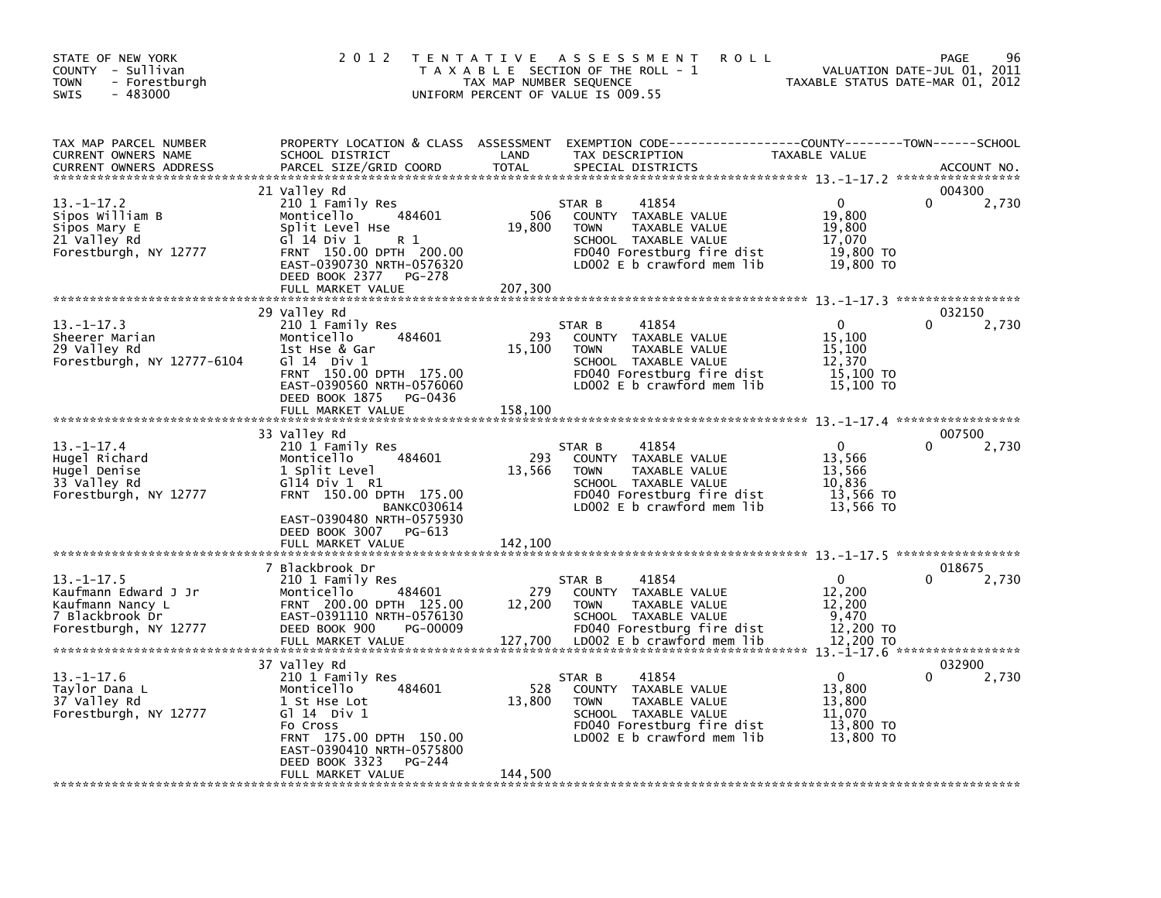| STATE OF NEW YORK<br>COUNTY - Sullivan<br><b>TOWN</b><br>- Forestburgh<br>$-483000$<br><b>SWIS</b>   | 2 0 1 2                                                                                                                                                                                                 | TENTATIVE ASSESSMENT<br><b>ROLL</b><br>T A X A B L E SECTION OF THE ROLL - 1<br>TAX MAP NUMBER SEQUENCE<br>UNIFORM PERCENT OF VALUE IS 009.55                                           | PAGE<br>96<br>VALUATION DATE-JUL 01, 2011<br>TAXABLE STATUS DATE-MAR 01, 2012                       |
|------------------------------------------------------------------------------------------------------|---------------------------------------------------------------------------------------------------------------------------------------------------------------------------------------------------------|-----------------------------------------------------------------------------------------------------------------------------------------------------------------------------------------|-----------------------------------------------------------------------------------------------------|
| TAX MAP PARCEL NUMBER<br>CURRENT OWNERS NAME<br><b>CURRENT OWNERS ADDRESS</b>                        | SCHOOL DISTRICT<br>PARCEL SIZE/GRID COORD                                                                                                                                                               | PROPERTY LOCATION & CLASS ASSESSMENT EXEMPTION CODE----------------COUNTY-------TOWN------SCHOOL<br>LAND<br>TAX DESCRIPTION<br><b>TOTAL</b><br>SPECIAL DISTRICTS                        | TAXABLE VALUE<br>ACCOUNT NO.                                                                        |
| $13 - 1 - 17.2$<br>Sipos William B<br>Sipos Mary E<br>21 Valley Rd<br>Forestburgh, NY 12777          | 21 Valley Rd<br>210 1 Family Res<br>484601<br>Monticello<br>Split Level Hse<br>G1 14 Div 1<br>R 1<br>FRNT 150.00 DPTH 200.00<br>EAST-0390730 NRTH-0576320<br>DEED BOOK 2377<br>PG-278                   | 41854<br>STAR B<br>506<br>COUNTY TAXABLE VALUE<br>19,800<br><b>TOWN</b><br>TAXABLE VALUE<br>SCHOOL TAXABLE VALUE<br>FD040 Forestburg fire dist<br>LD002 E b crawford mem lib            | 004300<br>$\mathbf{0}$<br>$\Omega$<br>2,730<br>19,800<br>19,800<br>17,070<br>19,800 TO<br>19,800 TO |
|                                                                                                      | FULL MARKET VALUE                                                                                                                                                                                       | 207,300                                                                                                                                                                                 |                                                                                                     |
| $13. -1 - 17.3$<br>Sheerer Marian<br>29 Valley Rd<br>Forestburgh, NY 12777-6104                      | 29 Valley Rd<br>210 1 Family Res<br>Monticello<br>484601<br>1st Hse & Gar<br>G $\overline{1}$ 14 Div 1<br>FRNT 150.00 DPTH 175.00<br>EAST-0390560 NRTH-0576060<br>DEED BOOK 1875<br>PG-0436             | STAR B<br>41854<br>293<br>COUNTY TAXABLE VALUE<br>15,100<br>TAXABLE VALUE<br><b>TOWN</b><br>SCHOOL TAXABLE VALUE<br>FD040 Forestburg fire dist<br>LD002 E b crawford mem lib            | 032150<br>2,730<br>0<br>15,100<br>15,100<br>12.370<br>15,100 TO<br>15,100 TO                        |
|                                                                                                      | FULL MARKET VALUE                                                                                                                                                                                       | 158,100                                                                                                                                                                                 |                                                                                                     |
| $13.-1-17.4$<br>Hugel Richard<br>Huge   Denise<br>33 Valley Rd<br>Forestburgh, NY 12777              | 33 Valley Rd<br>210 1 Family Res<br>Monticello<br>484601<br>1 Split Level<br>$G$ 114 Div 1 R1<br>FRNT 150.00 DPTH 175.00<br><b>BANKC030614</b><br>EAST-0390480 NRTH-0575930<br>DEED BOOK 3007<br>PG-613 | 41854<br>STAR B<br>293<br>COUNTY TAXABLE VALUE<br>13,566<br><b>TOWN</b><br>TAXABLE VALUE<br>SCHOOL TAXABLE VALUE<br>FD040 Forestburg fire dist<br>LD002 E b crawford mem lib            | 007500<br>$\Omega$<br>2,730<br>13,566<br>13,566<br>10,836<br>13,566 TO<br>13,566 TO                 |
|                                                                                                      | FULL MARKET VALUE                                                                                                                                                                                       | 142,100                                                                                                                                                                                 |                                                                                                     |
| $13.-1-17.5$<br>Kaufmann Edward J Jr<br>Kaufmann Nancy L<br>7 Blackbrook Dr<br>Forestburgh, NY 12777 | 7 Blackbrook Dr<br>210 1 Family Res<br>Monticello<br>484601<br>FRNT 200.00 DPTH 125.00<br>EAST-0391110 NRTH-0576130<br>DEED BOOK 900<br>PG-00009<br>FULL MARKET VALUE                                   | 41854<br>STAR B<br>279<br>COUNTY TAXABLE VALUE<br>12,200<br><b>TOWN</b><br>TAXABLE VALUE<br>SCHOOL TAXABLE VALUE<br>FD040 Forestburg fire dist<br>127,700<br>LD002 E b crawford mem lib | 018675<br>0<br>2,730<br>12,200<br>12,200<br>9,470<br>12,200 TO<br>12,200 TO                         |
|                                                                                                      | 37 Valley Rd                                                                                                                                                                                            |                                                                                                                                                                                         | 032900                                                                                              |
| $13.-1-17.6$<br>Taylor Dana L<br>37 Valley Rd<br>Forestburgh, NY 12777                               | 210 1 Family Res<br>Monticello<br>484601<br>1 St Hse Lot<br>$G1$ 14 Div 1<br>Fo Cross<br>FRNT 175.00 DPTH 150.00<br>EAST-0390410 NRTH-0575800<br>DEED BOOK 3323<br>PG-244                               | 41854<br>STAR B<br>528<br>COUNTY TAXABLE VALUE<br>13,800<br><b>TOWN</b><br>TAXABLE VALUE<br>SCHOOL TAXABLE VALUE<br>FD040 Forestburg fire dist<br>LD002 E b crawford mem lib            | 0<br>2,730<br>13,800<br>13,800<br>11.070<br>13,800 TO<br>13,800 TO                                  |
|                                                                                                      | FULL MARKET VALUE                                                                                                                                                                                       | 144,500                                                                                                                                                                                 |                                                                                                     |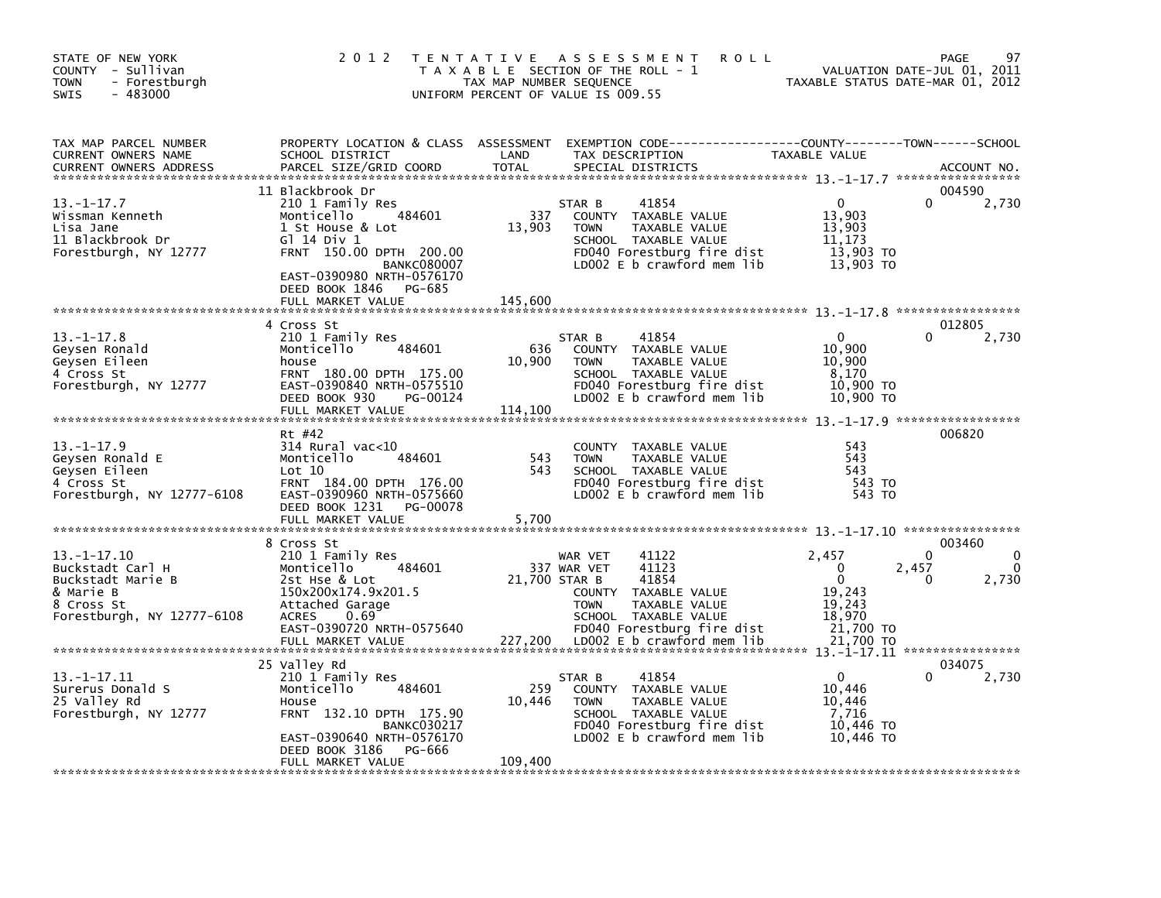| STATE OF NEW YORK<br>COUNTY - Sullivan<br>- Forestburgh<br><b>TOWN</b><br>$-483000$<br><b>SWIS</b>                  | 2 0 1 2                                                                                                                                                                                                      | TAX MAP NUMBER SEQUENCE  | <b>ROLL</b><br>TENTATIVE ASSESSMENT<br>T A X A B L E SECTION OF THE ROLL - 1<br>UNIFORM PERCENT OF VALUE IS 009.55                                                                            |                                                                                               | 97<br>PAGE<br>VALUATION DATE-JUL 01, 2011<br>TAXABLE STATUS DATE-MAR 01, 2012 |
|---------------------------------------------------------------------------------------------------------------------|--------------------------------------------------------------------------------------------------------------------------------------------------------------------------------------------------------------|--------------------------|-----------------------------------------------------------------------------------------------------------------------------------------------------------------------------------------------|-----------------------------------------------------------------------------------------------|-------------------------------------------------------------------------------|
| TAX MAP PARCEL NUMBER<br>CURRENT OWNERS NAME<br><b>CURRENT OWNERS ADDRESS</b>                                       | SCHOOL DISTRICT<br>PARCEL SIZE/GRID COORD                                                                                                                                                                    | LAND<br><b>TOTAL</b>     | PROPERTY LOCATION & CLASS ASSESSMENT EXEMPTION CODE----------------COUNTY-------TOWN------SCHOOL<br>TAX DESCRIPTION<br>SPECIAL DISTRICTS                                                      | TAXABLE VALUE                                                                                 | ACCOUNT NO.                                                                   |
| $13. - 1 - 17.7$<br>Wissman Kenneth<br>Lisa Jane<br>11 Blackbrook Dr<br>Forestburgh, NY 12777                       | 11 Blackbrook Dr<br>210 1 Family Res<br>484601<br>Monticello<br>1 St House & Lot<br>$G$ ] 14 Div 1<br>FRNT 150.00 DPTH 200.00<br><b>BANKC080007</b><br>EAST-0390980 NRTH-0576170<br>DEED BOOK 1846<br>PG-685 | 337<br>13,903            | 41854<br>STAR B<br>COUNTY TAXABLE VALUE<br>TAXABLE VALUE<br><b>TOWN</b><br>SCHOOL TAXABLE VALUE<br>FD040 Forestburg fire dist<br>LD002 E b crawford mem lib                                   | $\Omega$<br>13,903<br>13,903<br>11,173<br>$13,903$ TO<br>13,903 TO                            | 004590<br>2,730<br>0                                                          |
|                                                                                                                     | FULL MARKET VALUE<br>4 Cross St                                                                                                                                                                              | 145,600                  |                                                                                                                                                                                               |                                                                                               | 012805                                                                        |
| $13 - 1 - 17.8$<br>Geysen Ronald<br>Geysen Eileen<br>4 Cross St<br>Forestburgh, NY 12777                            | 210 1 Family Res<br>484601<br>Monticello<br>house<br>FRNT 180.00 DPTH 175.00<br>EAST-0390840 NRTH-0575510<br>DEED BOOK 930<br>PG-00124<br>FULL MARKET VALUE                                                  | 636<br>10,900<br>114,100 | 41854<br>STAR B<br>COUNTY TAXABLE VALUE<br><b>TOWN</b><br>TAXABLE VALUE<br>SCHOOL TAXABLE VALUE<br>FD040 Forestburg fire dist<br>LD002 E b crawford mem lib                                   | $\mathbf{0}$<br>10,900<br>10.900<br>8.170<br>10,900 TO<br>10,900 TO                           | 2,730                                                                         |
|                                                                                                                     | Rt #42                                                                                                                                                                                                       |                          |                                                                                                                                                                                               |                                                                                               | 006820                                                                        |
| $13 - 1 - 17.9$<br>Geysen Ronald E<br>Gevsen Eileen<br>4 Cross St<br>Forestburgh, NY 12777-6108                     | 314 Rural vac<10<br>Monticello<br>484601<br>Lot 10<br>FRNT 184.00 DPTH 176.00<br>EAST-0390960 NRTH-0575660<br>DEED BOOK 1231<br>PG-00078<br>FULL MARKET VALUE                                                | 543<br>543<br>5,700      | COUNTY TAXABLE VALUE<br><b>TOWN</b><br><b>TAXABLE VALUE</b><br>SCHOOL TAXABLE VALUE<br>FD040 Forestburg fire dist<br>LD002 E b crawford mem lib                                               | 543<br>543<br>543<br>543 TO<br>543 TO                                                         |                                                                               |
|                                                                                                                     | 8 Cross St                                                                                                                                                                                                   |                          |                                                                                                                                                                                               |                                                                                               | 003460                                                                        |
| $13. - 1 - 17.10$<br>Buckstadt Carl H<br>Buckstadt Marie B<br>& Marie B<br>8 Cross St<br>Forestburgh, NY 12777-6108 | 210 1 Family Res<br>Monticello<br>484601<br>2st Hse & Lot<br>150x200x174.9x201.5<br>Attached Garage<br><b>ACRES</b><br>0.69<br>EAST-0390720 NRTH-0575640<br>FULL MARKET VALUE                                | 21,700 STAR B<br>227,200 | 41122<br>WAR VET<br>337 WAR VET<br>41123<br>41854<br>COUNTY TAXABLE VALUE<br><b>TOWN</b><br>TAXABLE VALUE<br>SCHOOL TAXABLE VALUE<br>FD040 Forestburg fire dist<br>LDOO2 E b crawford mem lib | 2.457<br>$\mathbf{0}$<br>$\mathbf{0}$<br>19,243<br>19,243<br>18,970<br>21,700 TO<br>21,700 TO | 0<br>2,457<br>2,730<br>0                                                      |
|                                                                                                                     | 25 Valley Rd                                                                                                                                                                                                 |                          |                                                                                                                                                                                               |                                                                                               | 034075                                                                        |
| $13. -1 - 17.11$<br>Surerus Donald S<br>25 Valley Rd<br>Forestburgh, NY 12777                                       | 210 1 Family Res<br>Monticello<br>484601<br>House<br>FRNT 132.10 DPTH 175.90<br><b>BANKC030217</b><br>EAST-0390640 NRTH-0576170<br>DEED BOOK 3186<br>PG-666<br>FULL MARKET VALUE                             | 259<br>10,446<br>109,400 | 41854<br>STAR B<br>COUNTY TAXABLE VALUE<br>TAXABLE VALUE<br><b>TOWN</b><br>SCHOOL TAXABLE VALUE<br>FD040 Forestburg fire dist<br>LD002 E b crawford mem lib                                   | $\Omega$<br>10,446<br>10,446<br>7,716<br>10,446 TO<br>10.446 TO                               | 2,730                                                                         |
|                                                                                                                     |                                                                                                                                                                                                              |                          |                                                                                                                                                                                               |                                                                                               |                                                                               |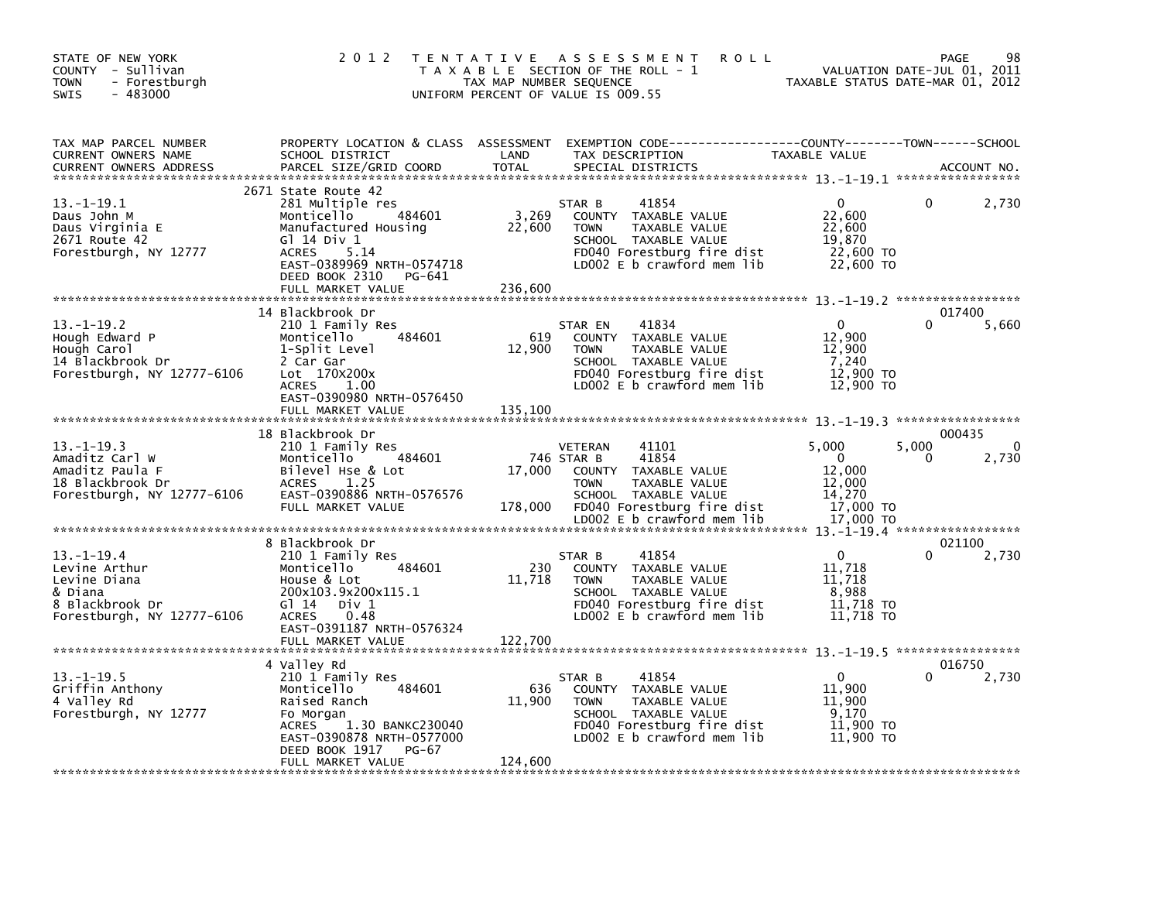| STATE OF NEW YORK<br>COUNTY - Sullivan<br>- Forestburgh<br><b>TOWN</b><br>$-483000$<br><b>SWIS</b>        | 2 0 1 2                                                                                                                                                                                                      | TAX MAP NUMBER SEQUENCE    | TENTATIVE ASSESSMENT<br><b>ROLL</b><br>T A X A B L E SECTION OF THE ROLL - 1<br>UNIFORM PERCENT OF VALUE IS 009.55                                                                    | VALUATION DATE-JUL 01, 2011<br>TAXABLE STATUS DATE-MAR 01, 2012              | PAGE                            | 98                    |
|-----------------------------------------------------------------------------------------------------------|--------------------------------------------------------------------------------------------------------------------------------------------------------------------------------------------------------------|----------------------------|---------------------------------------------------------------------------------------------------------------------------------------------------------------------------------------|------------------------------------------------------------------------------|---------------------------------|-----------------------|
| TAX MAP PARCEL NUMBER<br>CURRENT OWNERS NAME<br><b>CURRENT OWNERS ADDRESS</b>                             | SCHOOL DISTRICT<br>PARCEL SIZE/GRID COORD                                                                                                                                                                    | LAND<br><b>TOTAL</b>       | PROPERTY LOCATION & CLASS ASSESSMENT EXEMPTION CODE----------------COUNTY-------TOWN-----SCHOOL<br>TAX DESCRIPTION<br>SPECIAL DISTRICTS                                               | TAXABLE VALUE                                                                | ACCOUNT NO.                     |                       |
| 13. –1–19.1<br>Daus John M<br>Daus Virginia E<br>2671 Route 42<br>Forestburgh, NY 12777                   | 2671 State Route 42<br>281 Multiple res<br>484601<br>Monticello<br>Manufactured Housing<br>G1 14 Div 1<br><b>ACRES</b><br>5.14<br>EAST-0389969 NRTH-0574718<br>DEED BOOK 2310<br>PG-641<br>FULL MARKET VALUE | 3,269<br>22,600<br>236,600 | 41854<br>STAR B<br>COUNTY TAXABLE VALUE<br><b>TOWN</b><br>TAXABLE VALUE<br>SCHOOL TAXABLE VALUE<br>FD040 Forestburg fire dist<br>LD002 E b crawford mem lib                           | $\mathbf{0}$<br>22,600<br>22,600<br>19,870<br>22,600 TO<br>22,600 TO         |                                 | 2,730                 |
| $13 - 1 - 19.2$<br>Hough Edward P<br>Hough Carol<br>14 Blackbrook Dr<br>Forestburgh, NY 12777-6106        | 14 Blackbrook Dr<br>210 1 Family Res<br>Monticello<br>484601<br>1-Split Level<br>2 Car Gar<br>Lot 170x200x<br><b>ACRES</b><br>1.00<br>EAST-0390980 NRTH-0576450                                              | 619<br>12,900              | 41834<br>STAR EN<br>COUNTY TAXABLE VALUE<br>TAXABLE VALUE<br><b>TOWN</b><br>SCHOOL TAXABLE VALUE<br>FD040 Forestburg fire dist<br>LD002 E b crawford mem lib                          | $\Omega$<br>12,900<br>12,900<br>7,240<br>12,900 TO<br>12,900 TO              | 017400                          | 5,660                 |
| $13.-1-19.3$<br>Amaditz Carl W<br>Amaditz Paula F<br>18 Blackbrook Dr<br>Forestburgh, NY 12777-6106       | 18 Blackbrook Dr<br>210 1 Family Res<br>484601<br>Monticello<br>Bilevel Hse & Lot<br>1.25<br><b>ACRES</b><br>EAST-0390886 NRTH-0576576<br>FULL MARKET VALUE                                                  | 17,000<br>178,000          | 41101<br>VETERAN<br>41854<br>746 STAR B<br>COUNTY TAXABLE VALUE<br><b>TOWN</b><br>TAXABLE VALUE<br>SCHOOL TAXABLE VALUE<br>FD040 Forestburg fire dist<br>LD002 $E$ b crawford mem lib | 5,000<br>$\mathbf 0$<br>12,000<br>12,000<br>14,270<br>17,000 TO<br>17,000 TO | 000435<br>5,000<br><sup>0</sup> | $\mathbf{0}$<br>2,730 |
|                                                                                                           |                                                                                                                                                                                                              |                            |                                                                                                                                                                                       |                                                                              |                                 |                       |
| $13.-1-19.4$<br>Levine Arthur<br>Levine Diana<br>& Diana<br>8 Blackbrook Dr<br>Forestburgh, NY 12777-6106 | 8 Blackbrook Dr<br>210 1 Family Res<br>Monticello<br>484601<br>House & Lot<br>200x103.9x200x115.1<br>$G1 14$ Div 1<br>ACRES<br>0.48<br>EAST-0391187 NRTH-0576324<br>FULL MARKET VALUE                        | 230<br>11,718<br>122,700   | 41854<br>STAR B<br>COUNTY TAXABLE VALUE<br><b>TOWN</b><br>TAXABLE VALUE<br>SCHOOL TAXABLE VALUE<br>FD040 Forestburg fire dist<br>LD002 E b crawford mem lib                           | 0<br>11,718<br>11,718<br>8,988<br>11,718 TO<br>11,718 TO                     | 021100                          | 2,730                 |
|                                                                                                           | 4 Valley Rd                                                                                                                                                                                                  |                            |                                                                                                                                                                                       |                                                                              | 016750                          |                       |
| $13. - 1 - 19.5$<br>Griffin Anthony<br>4 Valley Rd<br>Forestburgh, NY 12777                               | 210 1 Family Res<br>484601<br>Monticello<br>Raised Ranch<br>Fo Morgan<br>1.30 BANKC230040<br><b>ACRES</b><br>EAST-0390878 NRTH-0577000<br>DEED BOOK 1917<br>PG-67<br>FULL MARKET VALUE                       | 636<br>11,900<br>124,600   | 41854<br>STAR B<br>COUNTY TAXABLE VALUE<br>TAXABLE VALUE<br><b>TOWN</b><br>SCHOOL TAXABLE VALUE<br>FD040 Forestburg fire dist<br>LD002 $E$ b crawford mem lib                         | $\Omega$<br>11,900<br>11,900<br>9.170<br>11,900 TO<br>11,900 TO              |                                 | 2,730                 |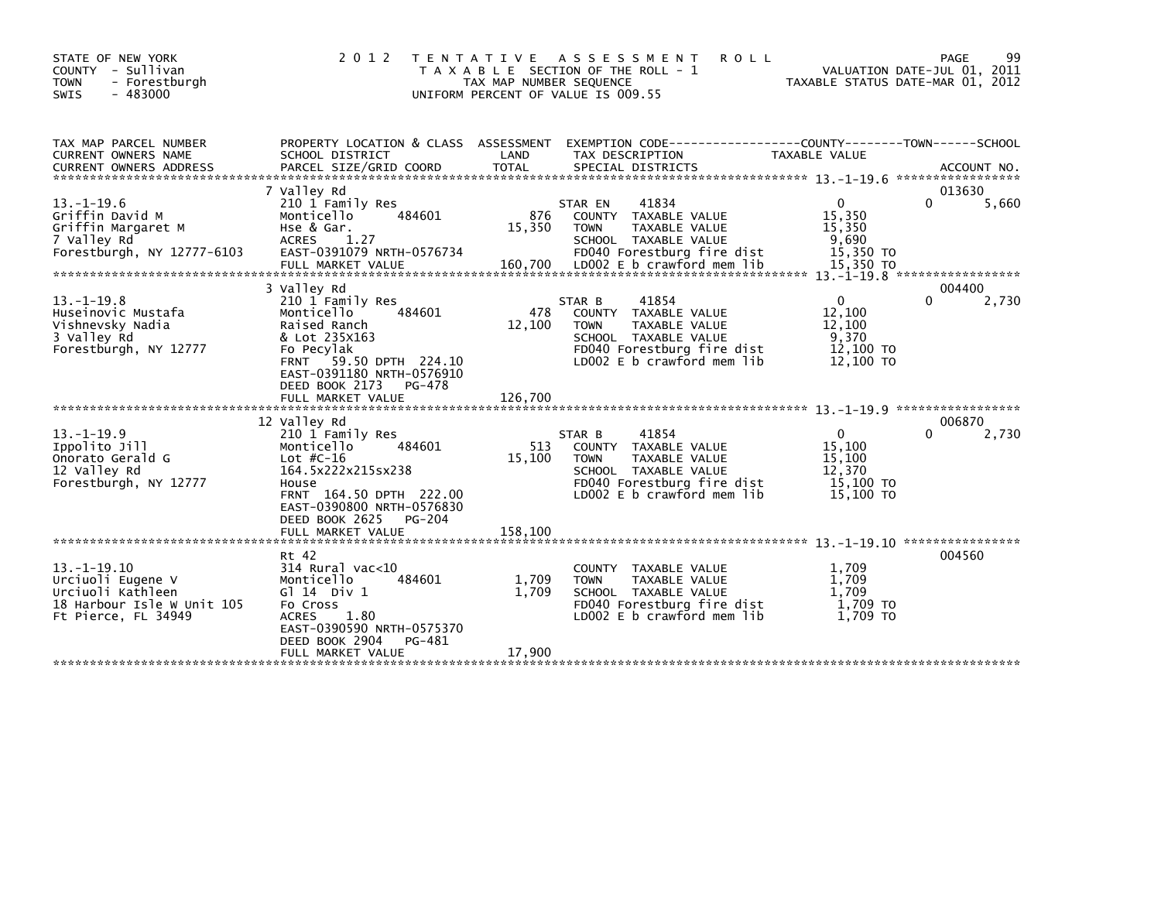| STATE OF NEW YORK<br>COUNTY - Sullivan<br><b>TOWN</b><br>- Forestburgh<br>$-483000$<br><b>SWIS</b>              | 2 0 1 2                                                                                                                                                                                                         | T E N T A T I V E<br>TAX MAP NUMBER SEQUENCE<br>UNIFORM PERCENT OF VALUE IS 009.55 | A S S E S S M E N T<br><b>ROLL</b><br>T A X A B L E SECTION OF THE ROLL - 1                                                                                            | TAXABLE STATUS DATE-MAR 01, 2012                                    | 99<br>PAGE<br>VALUATION DATE-JUL 01, 2011 |
|-----------------------------------------------------------------------------------------------------------------|-----------------------------------------------------------------------------------------------------------------------------------------------------------------------------------------------------------------|------------------------------------------------------------------------------------|------------------------------------------------------------------------------------------------------------------------------------------------------------------------|---------------------------------------------------------------------|-------------------------------------------|
| TAX MAP PARCEL NUMBER<br>CURRENT OWNERS NAME                                                                    | PROPERTY LOCATION & CLASS ASSESSMENT<br>SCHOOL DISTRICT                                                                                                                                                         | LAND                                                                               | EXEMPTION CODE-----------------COUNTY-------TOWN------SCHOOL<br>TAX DESCRIPTION                                                                                        | TAXABLE VALUE                                                       | ACCOUNT NO.<br>*****************          |
| $13.-1-19.6$<br>Griffin David M<br>Griffin Margaret M<br>7 Valley Rd<br>Forestburgh, NY 12777-6103              | 7 Vallev Rd<br>210 1 Family Res<br>Monticello<br>484601<br>Hse & Gar.<br>1.27<br><b>ACRES</b><br>EAST-0391079 NRTH-0576734<br>FULL MARKET VALUE                                                                 | 876<br>15,350<br>160,700                                                           | 41834<br>STAR EN<br>TAXABLE VALUE<br><b>COUNTY</b><br>TAXABLE VALUE<br><b>TOWN</b><br>SCHOOL TAXABLE VALUE<br>FD040 Forestburg fire dist<br>LD002 E b crawford mem lib | $\mathbf 0$<br>15,350<br>15,350<br>9,690<br>15,350 TO<br>15,350 TO  | 013630<br>5,660<br>0                      |
| $13 - 1 - 19.8$<br>Huseinovic Mustafa<br>Vishnevsky Nadia<br>3 Valley Rd<br>Forestburgh, NY 12777               | 3 Valley Rd<br>210 1 Family Res<br>Monticello<br>484601<br>Raised Ranch<br>& Lot 235X163<br>Fo Pecylak<br>FRNT 59.50 DPTH 224.10<br>EAST-0391180 NRTH-0576910<br>DEED BOOK 2173<br>PG-478<br>FULL MARKET VALUE  | 478<br>12,100<br>126,700                                                           | 41854<br>STAR B<br>COUNTY TAXABLE VALUE<br><b>TOWN</b><br><b>TAXABLE VALUE</b><br>SCHOOL TAXABLE VALUE<br>FD040 Forestburg fire dist<br>LD002 E b crawford mem lib     | $\mathbf{0}$<br>12,100<br>12,100<br>9,370<br>12,100 TO<br>12,100 TO | 004400<br>0<br>2,730                      |
| $13. - 1 - 19.9$<br>Ippolito Jill<br>Onorato Gerald G<br>12 Valley Rd<br>Forestburgh, NY 12777                  | 12 Valley Rd<br>210 1 Family Res<br>Monticello<br>484601<br>Lot $#C-16$<br>164.5x222x215sx238<br>House<br>FRNT 164.50 DPTH 222.00<br>EAST-0390800 NRTH-0576830<br>DEED BOOK 2625<br>PG-204<br>FULL MARKET VALUE | 513<br>15.100<br>158,100                                                           | 41854<br>STAR B<br>COUNTY TAXABLE VALUE<br><b>TAXABLE VALUE</b><br><b>TOWN</b><br>SCHOOL TAXABLE VALUE<br>FD040 Forestburg fire dist<br>LD002 E b crawford mem lib     | $\Omega$<br>15,100<br>15,100<br>12,370<br>15,100 TO<br>15,100 TO    | 006870<br>2,730                           |
| $13. -1 - 19.10$<br>Urciuoli Eugene V<br>Urciuoli Kathleen<br>18 Harbour Isle W Unit 105<br>Ft Pierce, FL 34949 | Rt 42<br>$314$ Rural vac<10<br>484601<br>Monticello<br>G $\overline{1}$ 14 Div 1<br>Fo Cross<br>1.80<br><b>ACRES</b><br>EAST-0390590 NRTH-0575370<br>DEED BOOK 2904<br>PG-481<br>FULL MARKET VALUE              | 1,709<br>1.709<br>17.900                                                           | COUNTY TAXABLE VALUE<br><b>TOWN</b><br>TAXABLE VALUE<br>SCHOOL TAXABLE VALUE<br>FD040 Forestburg fire dist<br>LD002 E b crawford mem lib                               | 1,709<br>1,709<br>1.709<br>1.709 TO<br>1,709 TO                     | 004560                                    |
|                                                                                                                 |                                                                                                                                                                                                                 |                                                                                    |                                                                                                                                                                        |                                                                     |                                           |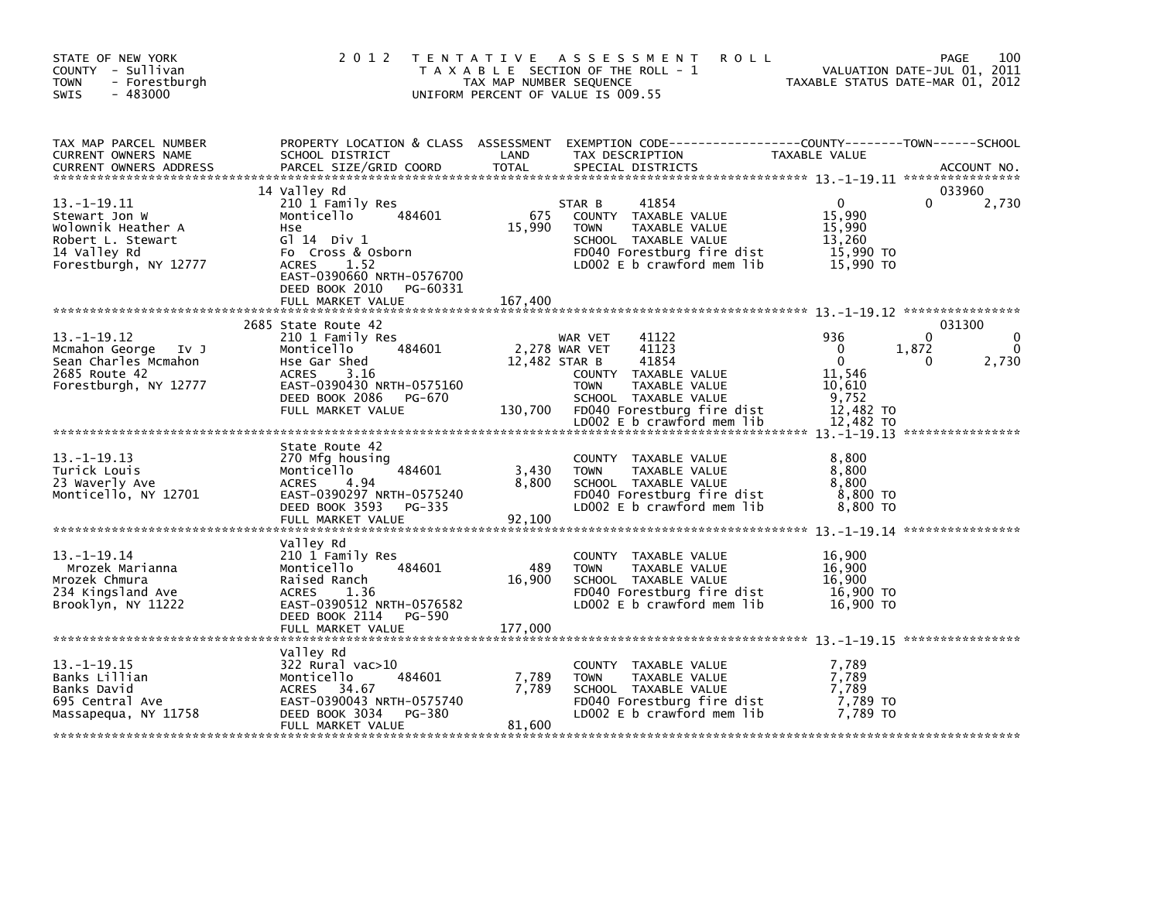| STATE OF NEW YORK<br>COUNTY - Sullivan<br><b>TOWN</b><br>- Forestburgh<br>$-483000$<br>SWIS                            |                                                                                                                                                                                                                     | 2012 TENTATIVE ASSESSMENT<br>T A X A B L E SECTION OF THE ROLL - 1<br>TAX MAP NUMBER SEQUENCE<br>UNIFORM PERCENT OF VALUE IS 009.55                                                                                         | 100<br><b>ROLL</b><br>PAGE<br>VALUATION DATE-JUL 01, 2011<br>TAXABLE STATUS DATE-MAR 01, 2012                                   |
|------------------------------------------------------------------------------------------------------------------------|---------------------------------------------------------------------------------------------------------------------------------------------------------------------------------------------------------------------|-----------------------------------------------------------------------------------------------------------------------------------------------------------------------------------------------------------------------------|---------------------------------------------------------------------------------------------------------------------------------|
| TAX MAP PARCEL NUMBER<br>CURRENT OWNERS NAME<br><b>CURRENT OWNERS ADDRESS</b>                                          | PROPERTY LOCATION & CLASS ASSESSMENT<br>SCHOOL DISTRICT<br>PARCEL SIZE/GRID COORD                                                                                                                                   | LAND<br>TAX DESCRIPTION<br>TOTAL<br>SPECIAL DISTRICTS                                                                                                                                                                       | EXEMPTION CODE-----------------COUNTY-------TOWN------SCHOOL<br>TAXABLE VALUE<br>ACCOUNT NO.                                    |
| $13. - 1 - 19.11$<br>Stewart Jon W<br>Wolownik Heather A<br>Robert L. Stewart<br>14 Valley Rd<br>Forestburgh, NY 12777 | 14 Valley Rd<br>210 1 Family Res<br>484601<br>Monticello<br><b>Hse</b><br>$G$ 14 Div 1<br>Fo Cross & Osborn<br><b>ACRES</b><br>1.52<br>EAST-0390660 NRTH-0576700<br>DEED BOOK 2010<br>PG-60331<br>FULL MARKET VALUE | 41854<br>STAR B<br>675<br>COUNTY TAXABLE VALUE<br>15,990<br>TAXABLE VALUE<br><b>TOWN</b><br>SCHOOL TAXABLE VALUE<br>FD040 Forestburg fire dist<br>LD002 E b crawford mem lib<br>167,400                                     | 033960<br>$\mathbf{0}$<br>0<br>2,730<br>15,990<br>15,990<br>13,260<br>15,990 TO<br>15,990 TO                                    |
| $13. -1 - 19.12$<br>Mcmahon George Iv J<br>Sean Charles Mcmahon<br>2685 Route 42<br>Forestburgh, NY 12777              | 2685 State Route 42<br>210 1 Family Res<br>484601<br>Monticello<br>Hse Gar Shed<br>ACRES<br>3.16<br>EAST-0390430 NRTH-0575160<br>DEED BOOK 2086 PG-670<br>FULL MARKET VALUE                                         | 41122<br>WAR VET<br>2,278 WAR VET<br>41123<br>12,482 STAR B<br>41854<br>COUNTY TAXABLE VALUE<br><b>TOWN</b><br>TAXABLE VALUE<br>SCHOOL TAXABLE VALUE<br>130,700<br>FD040 Forestburg fire dist<br>LD002 E b crawford mem lib | 031300<br>936<br>$\Omega$<br>$\Omega$<br>1,872<br>$\Omega$<br>2,730<br>0<br>11,546<br>10,610<br>9,752<br>12,482 TO<br>12,482 TO |
| $13. - 1 - 19.13$<br>Turick Louis<br>23 Waverly Ave<br>Monticello, NY 12701                                            | State Route 42<br>270 Mfg housing<br>Monticello<br>484601<br>4.94<br><b>ACRES</b><br>EAST-0390297 NRTH-0575240<br>DEED BOOK 3593 PG-335<br>FULL MARKET VALUE                                                        | COUNTY TAXABLE VALUE<br>3,430<br><b>TOWN</b><br>TAXABLE VALUE<br>8,800<br>SCHOOL TAXABLE VALUE<br>FD040 Forestburg fire dist<br>LD002 E b crawford mem lib<br>92,100                                                        | 8,800<br>8,800<br>8.800<br>8,800 TO<br>8,800 TO                                                                                 |
| $13. - 1 - 19.14$<br>Mrozek Marianna<br>Mrozek Chmura<br>234 Kingsland Ave<br>Brooklyn, NY 11222                       | Valley Rd<br>210 1 Family Res<br>484601<br>Monticello<br>Raised Ranch<br>1.36<br>ACRES<br>EAST-0390512 NRTH-0576582<br>DEED BOOK 2114 PG-590<br>FULL MARKET VALUE                                                   | COUNTY TAXABLE VALUE<br>489<br>TAXABLE VALUE<br><b>TOWN</b><br>16,900<br>SCHOOL TAXABLE VALUE<br>FD040 Forestburg fire dist<br>LD002 E b crawford mem lib<br>177,000                                                        | 16,900<br>16,900<br>16,900<br>16,900 TO<br>16,900 TO                                                                            |
| $13. -1 - 19.15$<br>Banks Lillian<br>Banks David<br>695 Central Ave<br>Massapequa, NY 11758                            | Valley Rd<br>322 Rural vac>10<br>484601<br>Monticello<br><b>ACRES</b><br>34.67<br>EAST-0390043 NRTH-0575740<br>DEED BOOK 3034<br>PG-380<br>FULL MARKET VALUE                                                        | COUNTY TAXABLE VALUE<br>7,789<br><b>TOWN</b><br>TAXABLE VALUE<br>7,789<br>SCHOOL TAXABLE VALUE<br>FD040 Forestburg fire dist<br>LD002 E b crawford mem lib<br>81,600                                                        | 7,789<br>7,789<br>7,789<br>7,789 то<br>7,789 то                                                                                 |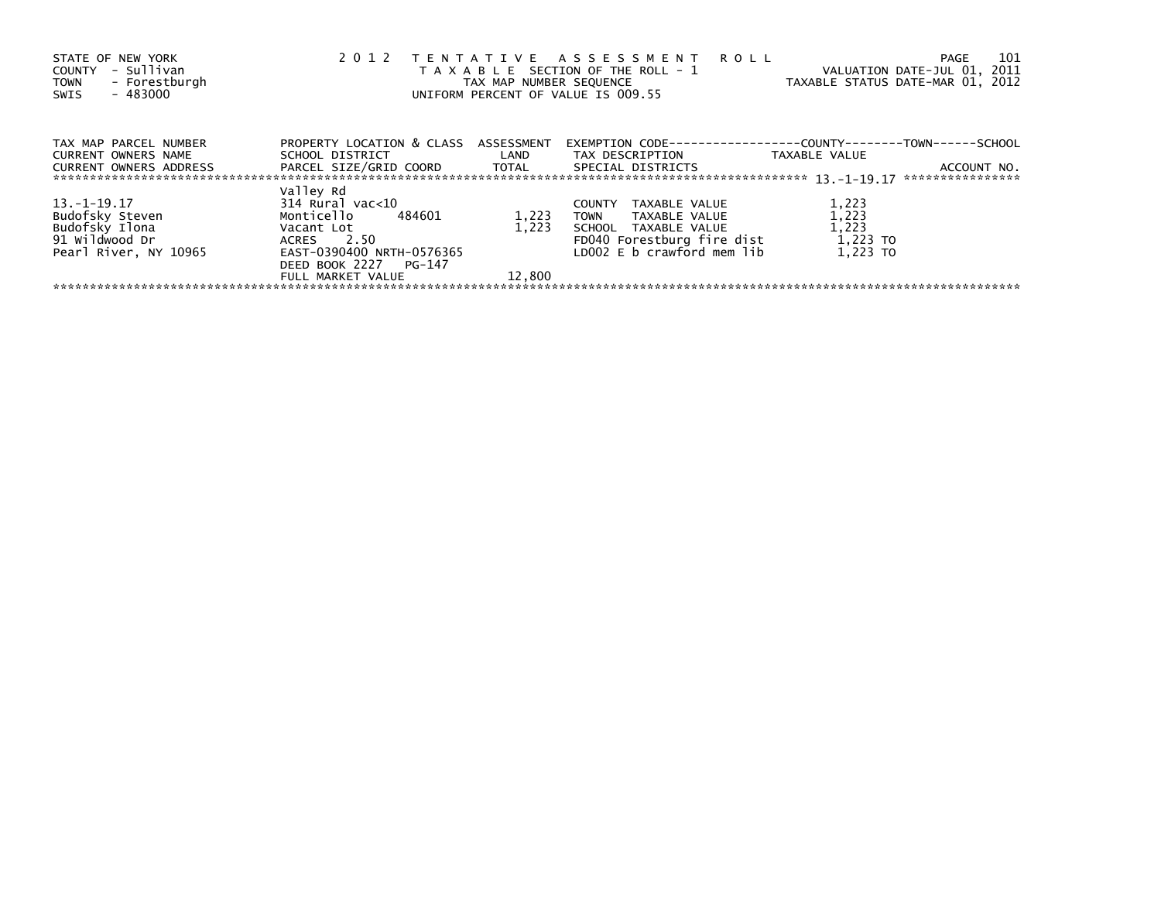| STATE OF NEW YORK<br>- Sullivan<br>COUNTY<br>- Forestburgh<br><b>TOWN</b><br>$-483000$<br>SWIS | 2 0 1 2                                                 | TAX MAP NUMBER SEQUENCE | TENTATIVE ASSESSMENT ROLL<br>T A X A B L E SECTION OF THE ROLL - 1<br>UNIFORM PERCENT OF VALUE IS 009.55 | VALUATION DATE-JUL 01, 2011<br>TAXABLE STATUS DATE-MAR 01, 2012 | 101<br>PAGE                     |
|------------------------------------------------------------------------------------------------|---------------------------------------------------------|-------------------------|----------------------------------------------------------------------------------------------------------|-----------------------------------------------------------------|---------------------------------|
| TAX MAP PARCEL NUMBER<br>CURRENT OWNERS NAME                                                   | PROPERTY LOCATION & CLASS ASSESSMENT<br>SCHOOL DISTRICT | LAND                    | EXEMPTION CODE-----------------COUNTY-------<br>TAX DESCRIPTION                                          | TAXABLE VALUE                                                   | -TOWN------SCHOOL               |
| <b>CURRENT OWNERS ADDRESS</b>                                                                  | PARCEL SIZE/GRID COORD TOTAL                            |                         | SPECIAL DISTRICTS                                                                                        |                                                                 | ACCOUNT NO.<br>**************** |
|                                                                                                | Valley Rd                                               |                         |                                                                                                          |                                                                 |                                 |
| 13. –1–19.17                                                                                   | 314 Rural vac<10                                        |                         | TAXABLE VALUE<br><b>COUNTY</b>                                                                           | 1,223                                                           |                                 |
| Budofsky Steven<br>Budofsky Ilona                                                              | Monticello<br>484601<br>Vacant Lot                      | 1,223<br>1.223          | TAXABLE VALUE<br><b>TOWN</b><br>SCHOOL TAXABLE VALUE                                                     | 1,223<br>1,223                                                  |                                 |
| 91 Wildwood Dr                                                                                 | 2.50<br>ACRES                                           |                         | FD040 Forestburg fire dist                                                                               | 1,223 TO                                                        |                                 |
| Pearl River, NY 10965                                                                          | EAST-0390400 NRTH-0576365                               |                         | LD002 E b crawford mem lib                                                                               | 1.223 TO                                                        |                                 |
|                                                                                                | DEED BOOK 2227 PG-147                                   |                         |                                                                                                          |                                                                 |                                 |
|                                                                                                | FULL MARKET VALUE                                       | 12,800                  |                                                                                                          |                                                                 |                                 |
|                                                                                                |                                                         |                         |                                                                                                          |                                                                 |                                 |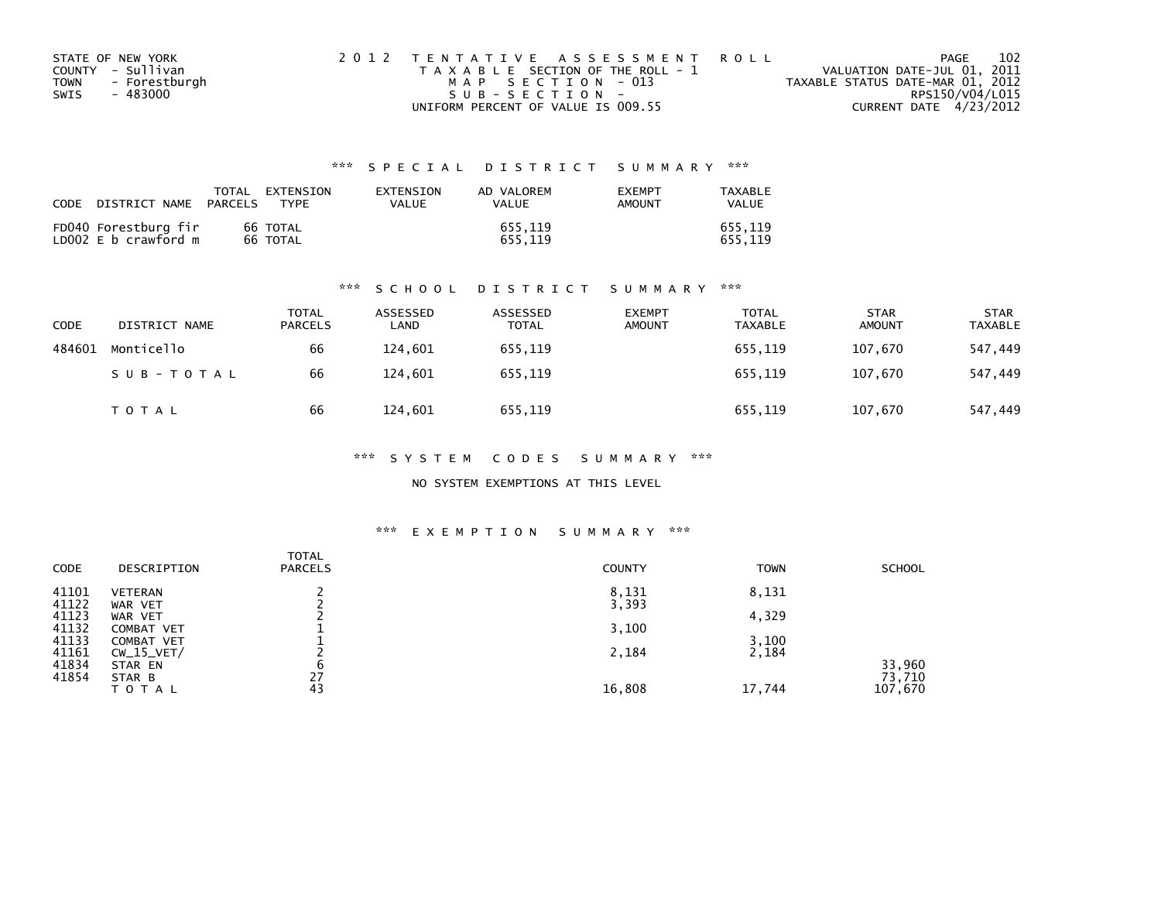| STATE OF NEW YORK            | 2012 TENTATIVE ASSESSMENT ROLL        | 102<br>PAGE                      |
|------------------------------|---------------------------------------|----------------------------------|
| COUNTY - Sullivan            | T A X A B L E SECTION OF THE ROLL - 1 | VALUATION DATE-JUL 01, 2011      |
| - Forestburgh<br><b>TOWN</b> | MAP SECTION - 013                     | TAXABLE STATUS DATE-MAR 01, 2012 |
| - 483000<br>SWIS             | SUB-SECTION-                          | RPS150/V04/L015                  |
|                              | UNIFORM PERCENT OF VALUE IS 009.55    | CURRENT DATE 4/23/2012           |

## \*\*\* S P E C I A L D I S T R I C T S U M M A R Y \*\*\*

| CODE | DISTRICT NAME                                | TOTAL<br><b>PARCELS</b> | <b>FXTENSTON</b><br><b>TYPF</b> | <b>FXTENSTON</b><br>VALUE | AD VALOREM<br><b>VALUE</b> | <b>EXEMPT</b><br>AMOUNT | TAXARI F<br>VALUE  |
|------|----------------------------------------------|-------------------------|---------------------------------|---------------------------|----------------------------|-------------------------|--------------------|
|      | FD040 Forestburg fir<br>LD002 E b crawford m |                         | 66 TOTAL<br>66 TOTAL            |                           | 655.119<br>655.119         |                         | 655.119<br>655.119 |

### \*\*\* S C H O O L D I S T R I C T S U M M A R Y \*\*\*

| CODE   | DISTRICT NAME | <b>TOTAL</b><br><b>PARCELS</b> | ASSESSED<br>LAND | ASSESSED<br><b>TOTAL</b> | <b>EXEMPT</b><br><b>AMOUNT</b> | <b>TOTAL</b><br><b>TAXABLE</b> | <b>STAR</b><br><b>AMOUNT</b> | <b>STAR</b><br><b>TAXABLE</b> |
|--------|---------------|--------------------------------|------------------|--------------------------|--------------------------------|--------------------------------|------------------------------|-------------------------------|
| 484601 | Monticello    | 66                             | 124,601          | 655.119                  |                                | 655,119                        | 107.670                      | 547,449                       |
|        | SUB-TOTAL     | 66                             | 124.601          | 655.119                  |                                | 655.119                        | 107.670                      | 547,449                       |
|        | <b>TOTAL</b>  | 66                             | 124,601          | 655,119                  |                                | 655,119                        | 107,670                      | 547,449                       |

\*\*\* S Y S T E M C O D E S S U M M A R Y \*\*\*

NO SYSTEM EXEMPTIONS AT THIS LEVEL

### \*\*\* E X E M P T I O N S U M M A R Y \*\*\*

| <b>CODE</b> | DESCRIPTION    | <b>TOTAL</b><br><b>PARCELS</b> | <b>COUNTY</b>  | <b>TOWN</b> | <b>SCHOOL</b> |
|-------------|----------------|--------------------------------|----------------|-------------|---------------|
| 41101       | <b>VETERAN</b> |                                | 8,131<br>3,393 | 8,131       |               |
| 41122       | WAR VET        |                                |                |             |               |
| 41123       | WAR VET        |                                |                | 4,329       |               |
| 41132       | COMBAT VET     |                                | 3,100          |             |               |
| 41133       | COMBAT VET     |                                |                | 3,100       |               |
| 41161       | $CW_15_VET/$   |                                | 2,184          | 2,184       |               |
| 41834       | STAR EN        | b                              |                |             | 33,960        |
| 41854       | STAR B         | 27                             |                |             | 73,710        |
|             | TOTAL          | 43                             | 16,808         | 17,744      | 107,670       |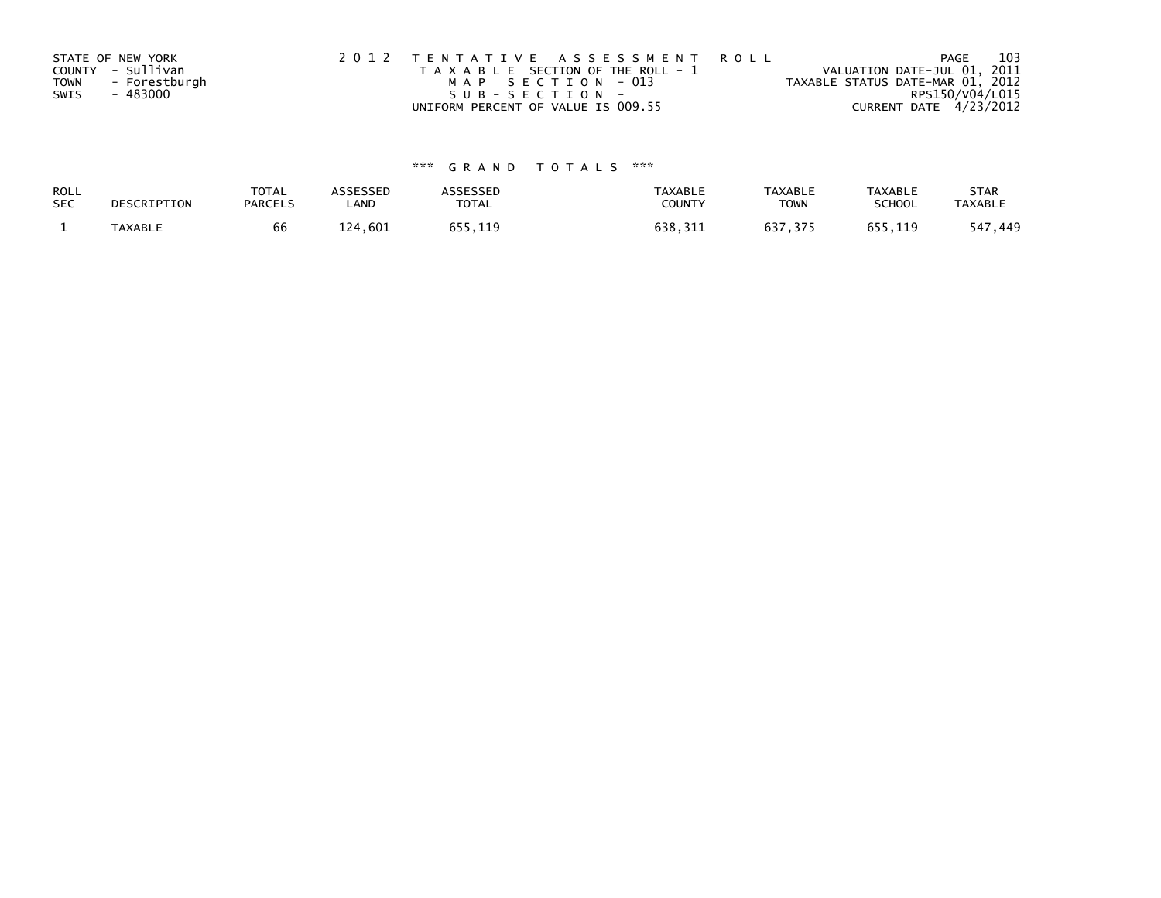| STATE OF NEW YORK            | 2012 TENTATIVE ASSESSMENT ROLL        | 103<br>PAGE                      |
|------------------------------|---------------------------------------|----------------------------------|
| COUNTY - Sullivan            | T A X A B L E SECTION OF THE ROLL - 1 | VALUATION DATE-JUL 01, 2011      |
| - Forestburgh<br><b>TOWN</b> | MAP SECTION - 013                     | TAXABLE STATUS DATE-MAR 01, 2012 |
| SWIS<br>- 483000             | SUB-SECTION-                          | RPS150/V04/L015                  |
|                              | UNIFORM PERCENT OF VALUE IS 009.55    | CURRENT DATE 4/23/2012           |

# \*\*\* G R A N D T O T A L S \*\*\*

| ROLL<br><b>SEC</b> | DESCRIPTION    | <b>TOTAL</b><br><b>PARCELS</b> | <b>ISSESSED</b><br>LAND | <b>TOTAL</b> | TAXABLE<br>COUNTY   | <b>TAXABLE</b><br><b>TOWN</b> | <b>TAXABLE</b><br>SCHOOL | <b>STAR</b><br><b>TAXABLI</b> |
|--------------------|----------------|--------------------------------|-------------------------|--------------|---------------------|-------------------------------|--------------------------|-------------------------------|
|                    | <b>TAXABLE</b> | bb                             | 601<br>ュつオー             | 9 E E<br>119 | 638<br>$\mathbf{a}$ | <b>637</b>                    | $- - -$<br>11 Q          | 547<br>449                    |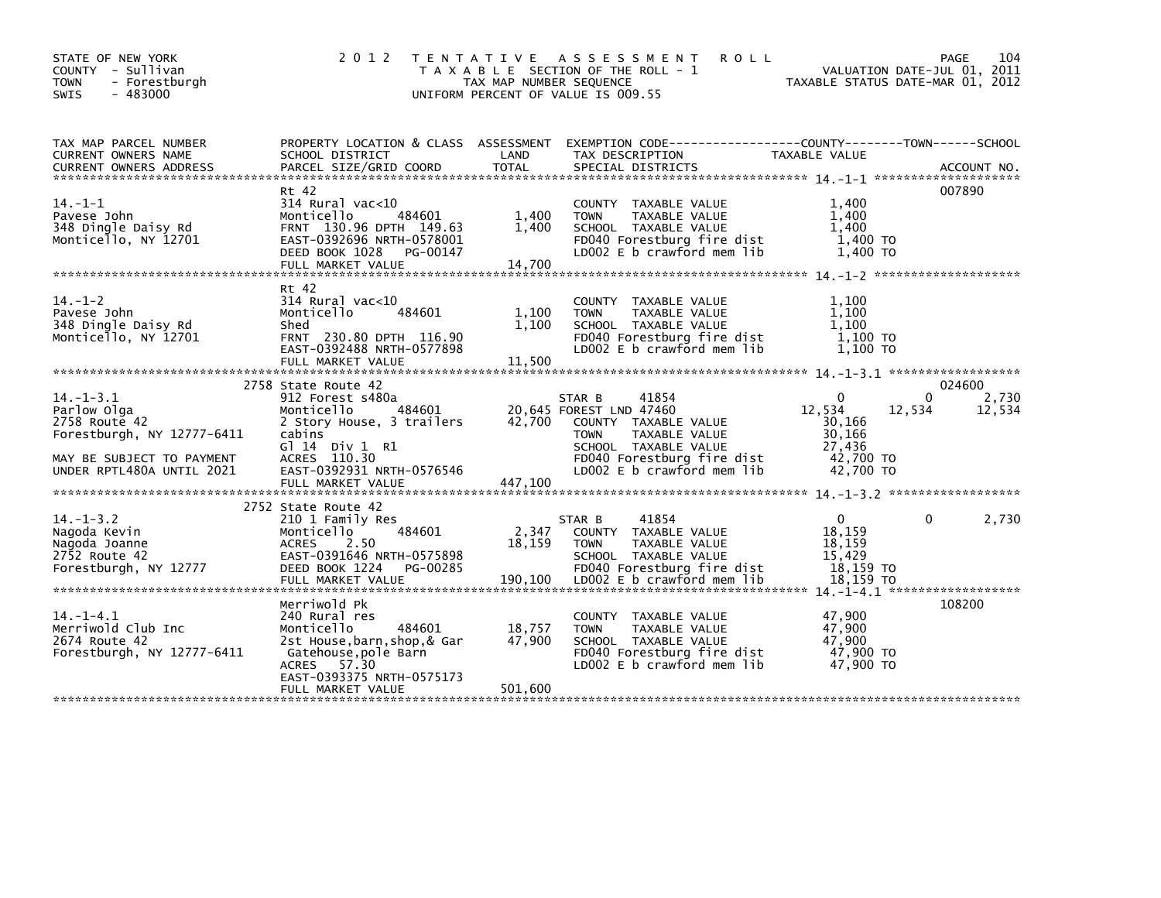| STATE OF NEW YORK<br>COUNTY - Sullivan<br><b>TOWN</b><br>- Forestburgh<br>$-483000$<br><b>SWIS</b>                                      | 2 0 1 2                                                                                                                                                                       | TAX MAP NUMBER SEQUENCE     | <b>ROLL</b><br>TENTATIVE ASSESSMENT<br>T A X A B L E SECTION OF THE ROLL - 1<br>UNIFORM PERCENT OF VALUE IS 009.55                                                                            | VALUATION DATE-JUL 01, 2011<br>TAXABLE STATUS DATE-MAR 01, 2012                      | PAGE<br>104                 |
|-----------------------------------------------------------------------------------------------------------------------------------------|-------------------------------------------------------------------------------------------------------------------------------------------------------------------------------|-----------------------------|-----------------------------------------------------------------------------------------------------------------------------------------------------------------------------------------------|--------------------------------------------------------------------------------------|-----------------------------|
| TAX MAP PARCEL NUMBER<br>CURRENT OWNERS NAME                                                                                            | SCHOOL DISTRICT                                                                                                                                                               | LAND                        | PROPERTY LOCATION & CLASS ASSESSMENT EXEMPTION CODE-----------------COUNTY-------TOWN------SCHOOL<br>TAX DESCRIPTION                                                                          | TAXABLE VALUE                                                                        |                             |
| $14. -1 - 1$<br>Pavese John<br>348 Dingle Daisy Rd<br>Monticello, NY 12701                                                              | Rt 42<br>$314$ Rural vac<10<br>484601<br>Monticello<br>FRNT 130.96 DPTH 149.63<br>EAST-0392696 NRTH-0578001<br>DEED BOOK 1028 PG-00147<br>FULL MARKET VALUE                   | 1,400<br>1.400<br>14,700    | COUNTY TAXABLE VALUE<br><b>TOWN</b><br>TAXABLE VALUE<br>SCHOOL TAXABLE VALUE<br>FD040 Forestburg fire dist<br>LD002 E b crawford mem lib                                                      | 1,400<br>1,400<br>1.400<br>1,400 TO<br>1,400 TO                                      | 007890                      |
| $14. - 1 - 2$<br>Pavese John<br>348 Dingle Daisy Rd<br>Monticello, NY 12701                                                             | Rt 42<br>314 Rural vac<10<br>Monticello<br>484601<br>Shed<br>FRNT 230.80 DPTH 116.90<br>EAST-0392488 NRTH-0577898                                                             | 1,100<br>1.100              | COUNTY TAXABLE VALUE<br><b>TOWN</b><br>TAXABLE VALUE<br>SCHOOL TAXABLE VALUE<br>FD040 Forestburg fire dist<br>LD002 E b crawford mem lib                                                      | 1,100<br>1,100<br>1.100<br>$1,100$ TO<br>1,100 TO                                    |                             |
|                                                                                                                                         | 2758 State Route 42                                                                                                                                                           |                             |                                                                                                                                                                                               |                                                                                      | 024600                      |
| $14. - 1 - 3.1$<br>Parlow Olga<br>2758 Route 42<br>Forestburgh, NY 12777-6411<br>MAY BE SUBJECT TO PAYMENT<br>UNDER RPTL480A UNTIL 2021 | 912 Forest s480a<br>484601<br>Monticello<br>2 Story House, 3 trailers<br>cabins<br>G] 14 Div 1 R1<br>ACRES 110.30<br>EAST-0392931 NRTH-0576546                                |                             | 41854<br>STAR B<br>20,645 FOREST LND 47460<br>42,700 COUNTY TAXABLE VALUE<br><b>TOWN</b><br>TAXABLE VALUE<br>SCHOOL TAXABLE VALUE<br>FD040 Forestburg fire dist<br>LD002 E b crawford mem lib | $\Omega$<br>12,534<br>12,534<br>30,166<br>30,166<br>27,436<br>42,700 TO<br>42,700 TO | 2,730<br>$\Omega$<br>12,534 |
| $14. - 1 - 3.2$<br>Nagoda Kevin<br>Nagoda Joanne<br>2752 Route 42<br>Forestburgh, NY 12777                                              | 2752 State Route 42<br>210 1 Family Res<br>Monticello<br>484601<br><b>ACRES</b><br>2.50<br>EAST-0391646 NRTH-0575898<br>DEED BOOK 1224<br>PG-00285<br>FULL MARKET VALUE       | 2,347<br>18,159<br>190,100  | 41854<br>STAR B<br>COUNTY TAXABLE VALUE<br><b>TOWN</b><br>TAXABLE VALUE<br>SCHOOL TAXABLE VALUE<br>FD040 Forestburg fire dist<br>LD002 E b crawford mem lib                                   | $\Omega$<br>18.159<br>18.159<br>15,429<br>18,159 TO<br>18,159 TO                     | 2,730<br>0                  |
| $14. - 1 - 4.1$<br>Merriwold Club Inc<br>2674 Route 42<br>Forestburgh, NY 12777-6411                                                    | Merriwold Pk<br>240 Rural res<br>Monticello<br>484601<br>2st House, barn, shop, & Gar<br>Gatehouse,pole Barn<br>ACRES 57.30<br>EAST-0393375 NRTH-0575173<br>FULL MARKET VALUE | 18,757<br>47,900<br>501,600 | COUNTY TAXABLE VALUE<br>TAXABLE VALUE<br><b>TOWN</b><br>SCHOOL TAXABLE VALUE<br>FD040 Forestburg fire dist<br>LD002 E b crawford mem lib                                                      | 47,900<br>47,900<br>47,900<br>47,900 TO<br>47,900 TO                                 | 108200                      |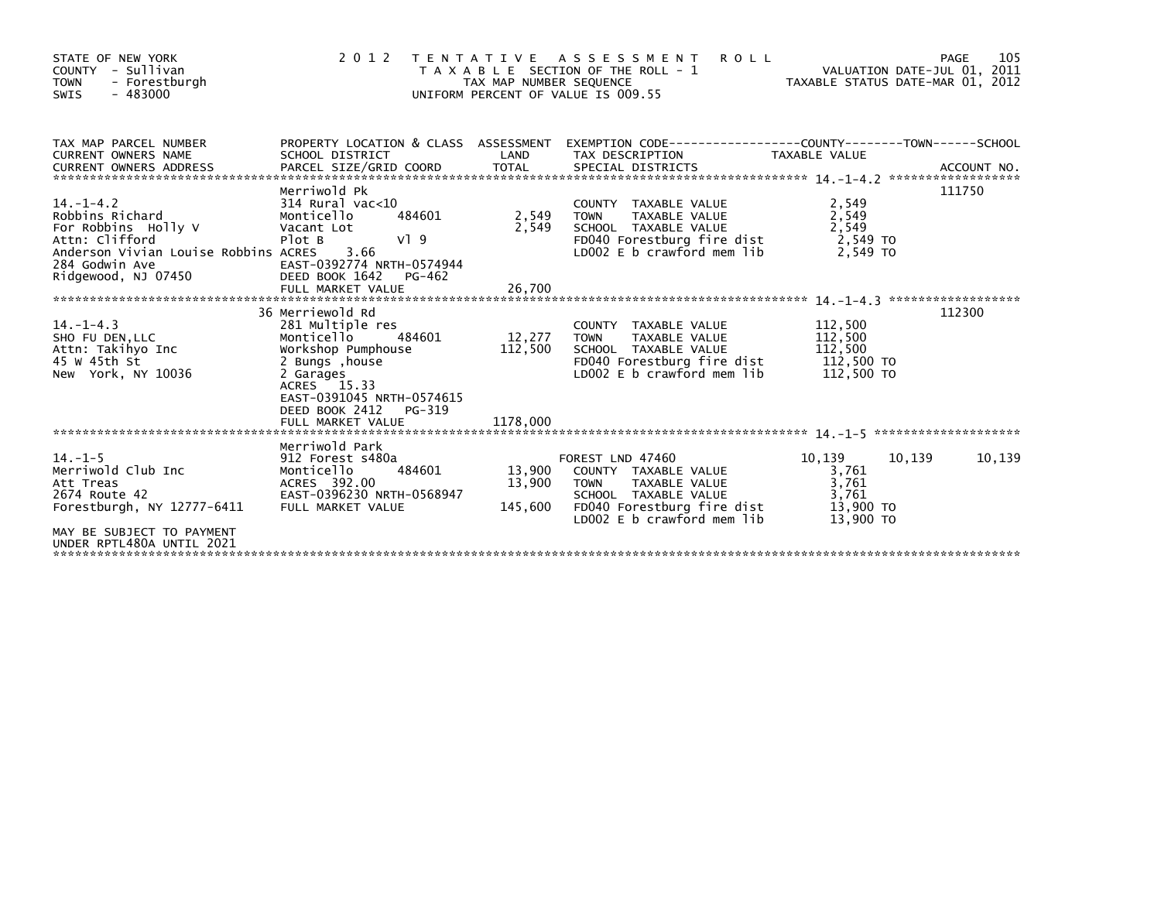| STATE OF NEW YORK<br>COUNTY - Sullivan<br><b>TOWN</b><br>- Forestburgh<br>$-483000$<br>SWIS                                                                                                                                           |                                                                                                                                                        | TAX MAP NUMBER SEQUENCE | <b>ROLL</b><br>2012 TENTATIVE ASSESSMENT<br>T A X A B L E SECTION OF THE ROLL - 1<br>UNIFORM PERCENT OF VALUE IS 009.55                                                                                                 | VALUATION DATE-JUL 01, 2011<br>VALUATION DATE-JUL 01, 2011<br>TAXABLE STATUS DATE-MAR 01, 2012 | 105<br>PAGE |
|---------------------------------------------------------------------------------------------------------------------------------------------------------------------------------------------------------------------------------------|--------------------------------------------------------------------------------------------------------------------------------------------------------|-------------------------|-------------------------------------------------------------------------------------------------------------------------------------------------------------------------------------------------------------------------|------------------------------------------------------------------------------------------------|-------------|
| TAX MAP PARCEL NUMBER<br><b>CURRENT OWNERS NAME</b><br>CURRENT OWNERS ADDRESS                                                                                                                                                         | SCHOOL DISTRICT                                                                                                                                        | LAND                    | PROPERTY LOCATION & CLASS ASSESSMENT EXEMPTION CODE-----------------COUNTY-------TOWN------SCHOOL<br>TAX DESCRIPTION TAXABLE VALUE                                                                                      |                                                                                                |             |
| For Robbins Holly V<br>Attn: Clifford<br>Anderson Vivian Louise Robbins ACRES<br>284 Godwin Ave                                                                                                                                       | Merriwold Pk<br>484601<br>Vacant Lot<br>V19<br>Plot B<br>3.66                                                                                          | 2,549 TOWN<br>2,549     | COUNTY TAXABLE VALUE<br>TAXABLE VALUE<br>SCHOOL TAXABLE VALUE<br>FD040 Forestburg fire dist<br>LD002 E b crawford mem lib                                                                                               | 2,549<br>2,549<br>2,549<br>2,549 TO<br>2.549 TO                                                | 111750      |
| $14. - 1 - 4.3$<br>SHO FU DEN, LLC Monticello<br>Attn: Takihyo Inc Workshop Pumphouse<br>45 W 45th St<br>New York, NY 10036                                                                                                           | 36 Merriewold Rd<br>281 Multiple res<br>484601<br>2 Bungs , house<br>2 Garages<br>ACRES 15.33<br>EAST-0391045 NRTH-0574615<br>DEED BOOK 2412<br>PG-319 | 12,277 TOWN             | COUNTY TAXABLE VALUE<br>TAXABLE VALUE<br>112,500 SCHOOL TAXABLE VALUE<br>FDO40 Forestburg fire<br>LDO22 5 b crawford mom<br>TOWN TAXABLE VALUE<br>SCHOOL TAXABLE VALUE 112,500<br>FDO40 Forestburg fire dist 112,500 TO | 112,500<br>112,500                                                                             | 112300      |
| $14. -1 - 5$<br>Monticello 484601<br>Monticello 484601<br>Att Treas ACRES 392.00<br>2674 Route 42 EAST-0396230 NRTH-0568947<br>Forestburgh, NY 12777-6411 FULL MARKET VALUE<br>MAY BE SUBJECT TO PAYMENT<br>UNDER RPTL480A UNTIL 2021 | Merriwold Park<br>912 Forest s480a                                                                                                                     |                         | FOREST LND 47460<br>13,900 COUNTY TAXABLE VALUE<br>13,900 TOWN TAXABLE VALUE<br>SCHOOL TAXABLE VALUE<br>145,600 FD040 Forestburg fire dist<br>LD002 E b crawford mem lib                                                | 10,139<br>10,139<br>3,761<br>3,761<br>3,761<br>13,900 TO<br>13,900 TO                          | 10,139      |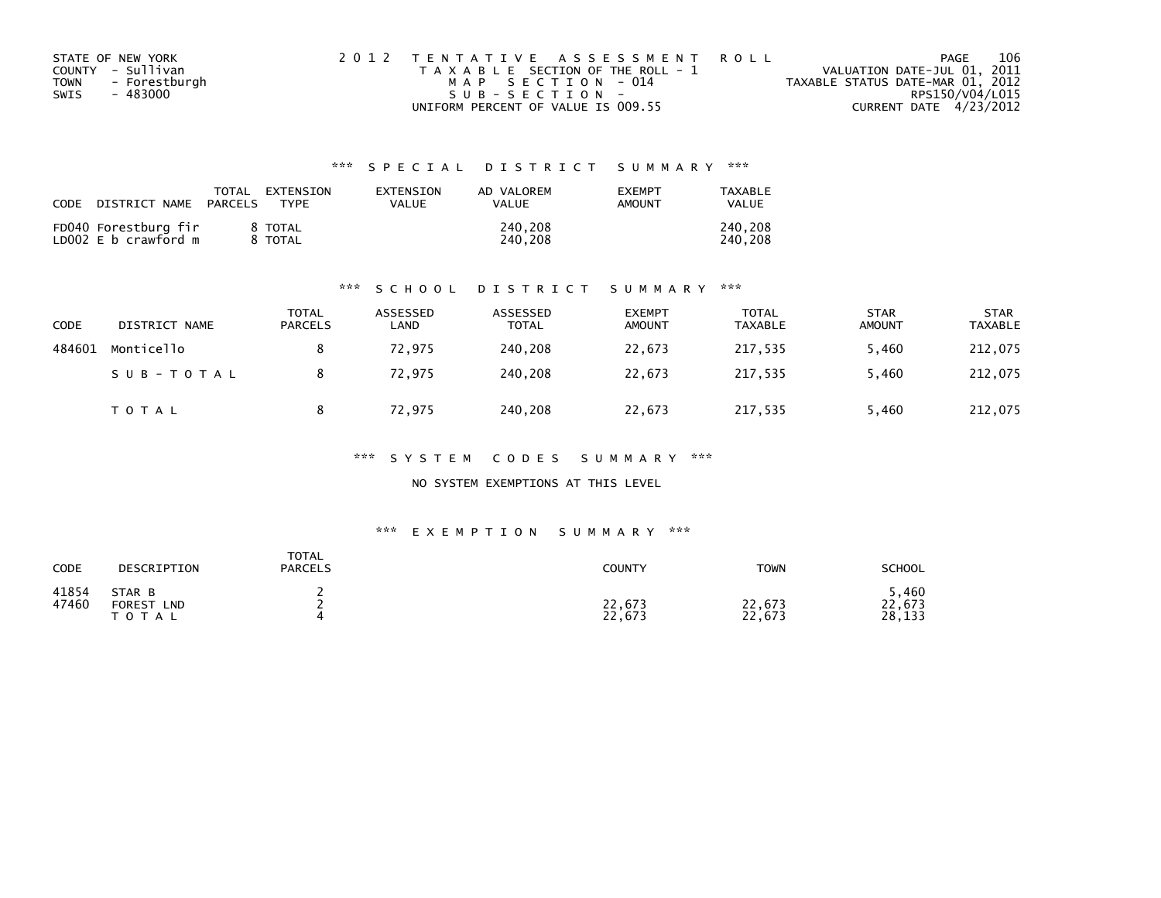|      | STATE OF NEW YORK | 2012 TENTATIVE ASSESSMENT ROLL        | PAGE                             | 106 |
|------|-------------------|---------------------------------------|----------------------------------|-----|
|      | COUNTY - Sullivan | T A X A B L E SECTION OF THE ROLL - 1 | VALUATION DATE-JUL 01, 2011      |     |
| TOWN | - Forestburgh     | MAP SECTION - 014                     | TAXABLE STATUS DATE-MAR 01, 2012 |     |
| SWIS | - 483000          | $SUB - SECTION -$                     | RPS150/V04/L015                  |     |
|      |                   | UNIFORM PERCENT OF VALUE IS 009.55    | CURRENT DATE 4/23/2012           |     |

## \*\*\* S P E C I A L D I S T R I C T S U M M A R Y \*\*\*

| CODE | DISTRICT NAME                                | TOTAL<br>PARCELS | EXTENSION<br><b>TYPF</b> | EXTENSION<br>VALUE | AD VALOREM<br><b>VALUE</b> | <b>EXEMPT</b><br>AMOUNT | TAXABLE<br><b>VALUE</b> |
|------|----------------------------------------------|------------------|--------------------------|--------------------|----------------------------|-------------------------|-------------------------|
|      | FD040 Forestburg fir<br>LD002 E b crawford m |                  | 8 TOTAL<br>8 TOTAL       |                    | 240.208<br>240.208         |                         | 240.208<br>240.208      |

### \*\*\* S C H O O L D I S T R I C T S U M M A R Y \*\*\*

| CODE   | DISTRICT NAME | <b>TOTAL</b><br><b>PARCELS</b> | ASSESSED<br>LAND | ASSESSED<br>TOTAL | <b>EXEMPT</b><br><b>AMOUNT</b> | <b>TOTAL</b><br><b>TAXABLE</b> | <b>STAR</b><br><b>AMOUNT</b> | <b>STAR</b><br><b>TAXABLE</b> |
|--------|---------------|--------------------------------|------------------|-------------------|--------------------------------|--------------------------------|------------------------------|-------------------------------|
| 484601 | Monticello    |                                | 72,975           | 240,208           | 22,673                         | 217,535                        | 5,460                        | 212,075                       |
|        | SUB-TOTAL     |                                | 72,975           | 240.208           | 22,673                         | 217,535                        | 5,460                        | 212,075                       |
|        | TOTAL         |                                | 72,975           | 240,208           | 22,673                         | 217,535                        | 5,460                        | 212,075                       |

\*\*\* S Y S T E M C O D E S S U M M A R Y \*\*\*

NO SYSTEM EXEMPTIONS AT THIS LEVEL

### \*\*\* E X E M P T I O N S U M M A R Y \*\*\*

| CODE           | DESCRIPTION                                        | TOTAL<br><b>PARCELS</b> | <b>COUNTY</b>    | <b>TOWN</b>      | <b>SCHOOL</b>            |
|----------------|----------------------------------------------------|-------------------------|------------------|------------------|--------------------------|
| 41854<br>47460 | STAR B<br><b>FOREST</b><br><b>LND</b><br>T O T A L |                         | 22,673<br>22,673 | 22,673<br>22,673 | ,460<br>22,673<br>28,133 |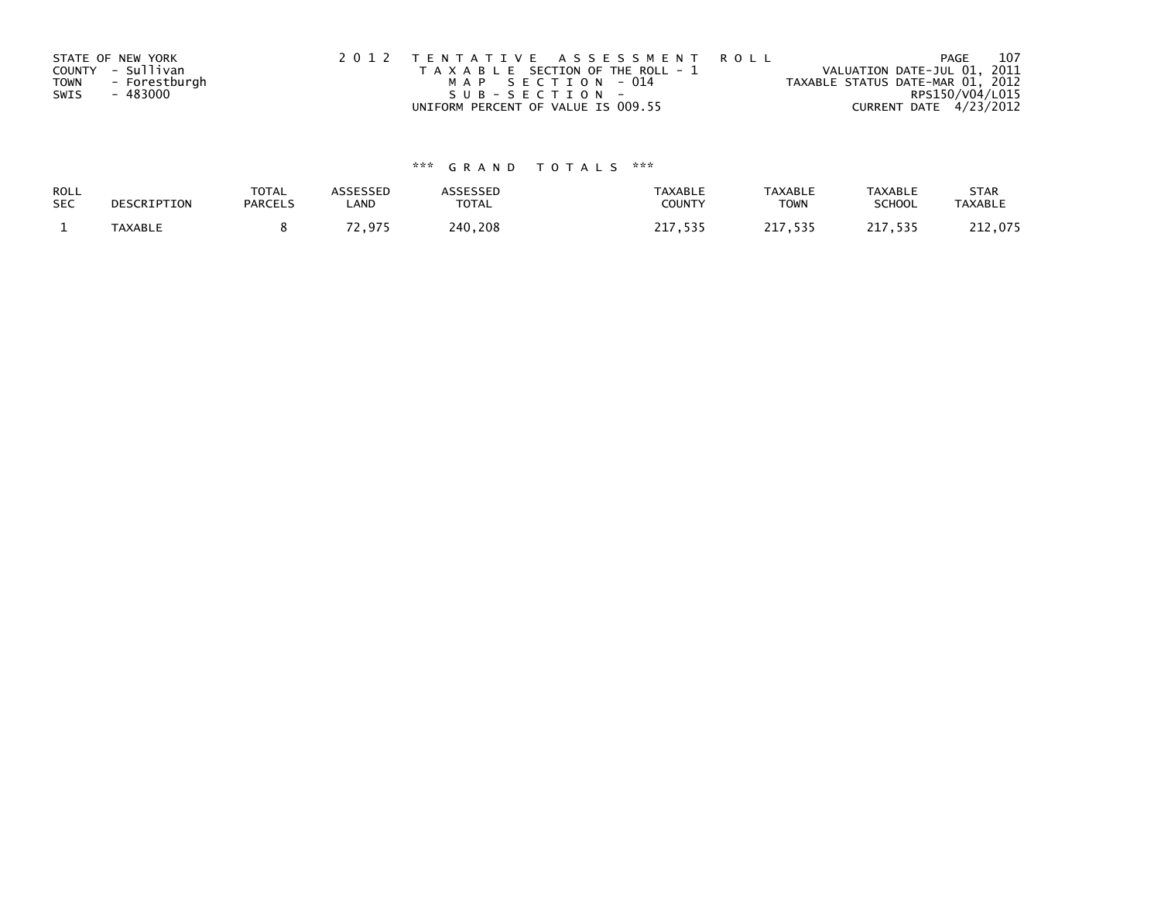|             | STATE OF NEW YORK | 2012 TENTATIVE ASSESSMENT ROLL        | 107<br>PAGE                      |  |
|-------------|-------------------|---------------------------------------|----------------------------------|--|
|             | COUNTY - Sullivan | T A X A B L E SECTION OF THE ROLL - 1 | VALUATION DATE-JUL 01, 2011      |  |
| <b>TOWN</b> | - Forestburgh     | MAP SECTION - 014                     | TAXABLE STATUS DATE-MAR 01, 2012 |  |
| SWIS        | - 483000          | $SUB - SECTION -$                     | RPS150/V04/L015                  |  |
|             |                   | UNIFORM PERCENT OF VALUE IS 009.55    | CURRENT DATE 4/23/2012           |  |

# \*\*\* G R A N D T O T A L S \*\*\*

| ROLL       | DESCRIPTION    | <b>TOTAL</b>   | ASSESSED      | <b>ASSESSED</b> | <b>TAXABLE</b> | <b>TAXABLE</b> | <b>TAXABLE</b> | <b>STAR</b>    |
|------------|----------------|----------------|---------------|-----------------|----------------|----------------|----------------|----------------|
| <b>SEC</b> |                | <b>PARCELS</b> | LAND          | TOTAL           | <b>COUNTY</b>  | <b>TOWN</b>    | <b>SCHOOL</b>  | <b>TAXABLE</b> |
|            | <b>TAXABLE</b> |                | 70.<br>72.975 | 240,208         | 717<br>, 535   | 217,535        | 217,535        | 212,075        |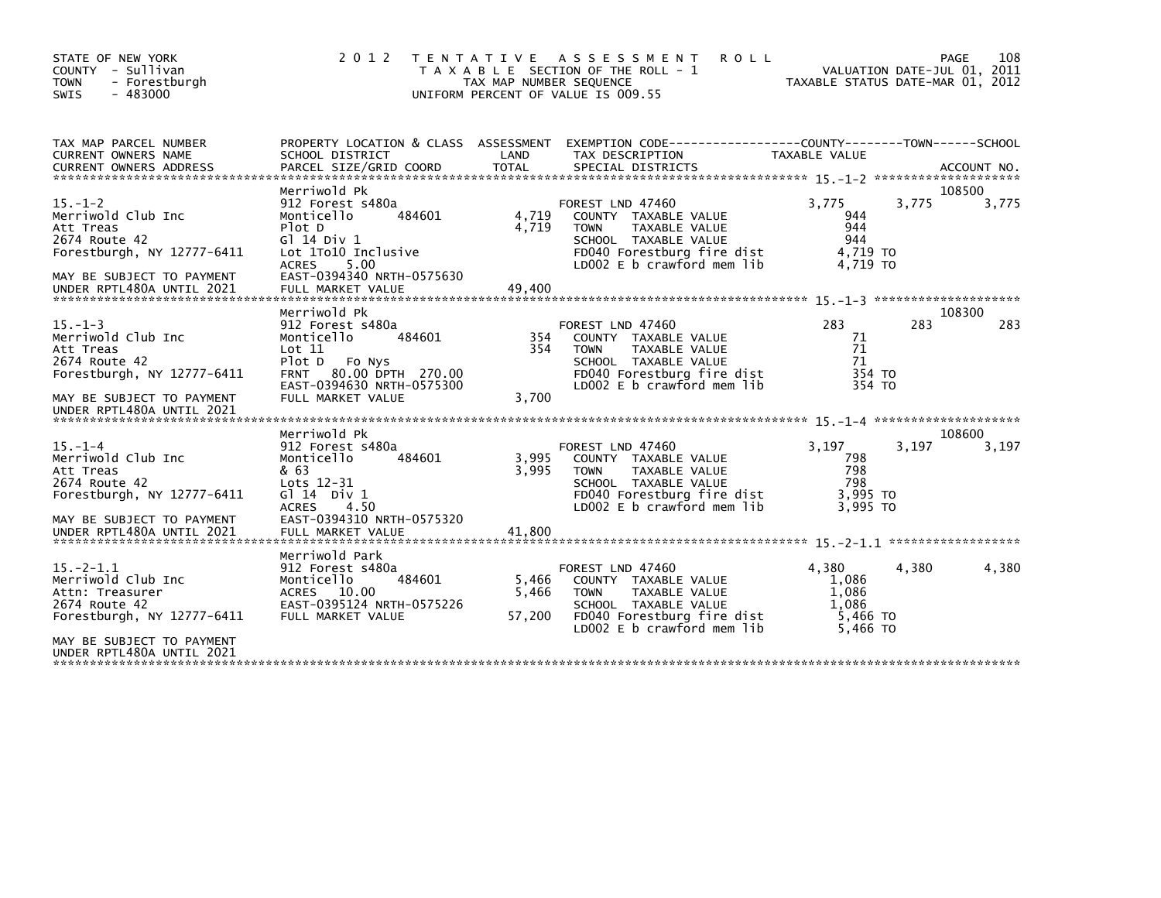| STATE OF NEW YORK<br>COUNTY - Sullivan<br><b>TOWN</b><br>- Forestburgh<br>$-483000$<br><b>SWIS</b>                                                        | 2 0 1 2                                                                                                                                                                               | TAX MAP NUMBER SEQUENCE  | TENTATIVE ASSESSMENT<br><b>ROLL</b><br>T A X A B L E SECTION OF THE ROLL - 1<br>UNIFORM PERCENT OF VALUE IS 009.55                                             | VALUATION DATE-JUL 01, 2011<br>TAXABLE STATUS DATE-MAR 01, 2012   | 108<br>PAGE     |
|-----------------------------------------------------------------------------------------------------------------------------------------------------------|---------------------------------------------------------------------------------------------------------------------------------------------------------------------------------------|--------------------------|----------------------------------------------------------------------------------------------------------------------------------------------------------------|-------------------------------------------------------------------|-----------------|
| TAX MAP PARCEL NUMBER<br><b>CURRENT OWNERS NAME</b>                                                                                                       | PROPERTY LOCATION & CLASS ASSESSMENT<br>SCHOOL DISTRICT                                                                                                                               | LAND                     | EXEMPTION CODE-----------------COUNTY-------TOWN------SCHOOL<br>TAX DESCRIPTION                                                                                | TAXABLE VALUE                                                     |                 |
| $15. - 1 - 2$<br>Merriwold Club Inc<br>Att Treas<br>2674 Route 42<br>Forestburgh, NY 12777-6411<br>MAY BE SUBJECT TO PAYMENT<br>UNDER RPTL480A UNTIL 2021 | Merriwold Pk<br>912 Forest s480a<br>484601<br>Monticello<br>Plot D<br>$G$ ] 14 Div 1<br>Lot 1To10 Inclusive<br>5.00<br><b>ACRES</b><br>EAST-0394340 NRTH-0575630<br>FULL MARKET VALUE | 4,719<br>4,719<br>49,400 | FOREST LND 47460<br>COUNTY TAXABLE VALUE<br>TAXABLE VALUE<br><b>TOWN</b><br>SCHOOL TAXABLE VALUE<br>FD040 Forestburg fire dist<br>LD002 E b crawford mem lib   | 3.775<br>3.775<br>944<br>944<br>944<br>4,719 TO<br>4.719 TO       | 108500<br>3,775 |
|                                                                                                                                                           |                                                                                                                                                                                       |                          |                                                                                                                                                                |                                                                   |                 |
| $15. -1 - 3$<br>Merriwold Club Inc<br>Att Treas<br>2674 Route 42<br>Forestburgh, NY 12777-6411<br>MAY BE SUBJECT TO PAYMENT<br>UNDER RPTL480A UNTIL 2021  | Merriwold Pk<br>912 Forest s480a<br>Monticello<br>484601<br>Lot 11<br>Plot D<br>Fo Nys<br>80.00 DPTH 270.00<br><b>FRNT</b><br>EAST-0394630 NRTH-0575300<br>FULL MARKET VALUE          | 354<br>354<br>3,700      | FOREST LND 47460<br>COUNTY TAXABLE VALUE<br><b>TOWN</b><br>TAXABLE VALUE<br>SCHOOL TAXABLE VALUE<br>FD040 Forestburg fire dist<br>LD002 E b crawford mem lib   | 283<br>283<br>71<br>71<br>71<br>354 TO<br>354 TO                  | 108300<br>283   |
|                                                                                                                                                           |                                                                                                                                                                                       |                          |                                                                                                                                                                |                                                                   |                 |
| $15. - 1 - 4$<br>Merriwold Club Inc<br>Att Treas<br>2674 Route 42<br>Forestburgh, NY 12777-6411                                                           | Merriwold Pk<br>912 Forest s480a<br>Monticello<br>484601<br>& 63<br>Lots 12-31<br>G $\overline{1}$ 14 Div 1<br>4.50<br><b>ACRES</b>                                                   | 3,995<br>3.995           | FOREST LND 47460<br>COUNTY TAXABLE VALUE<br><b>TOWN</b><br>TAXABLE VALUE<br>SCHOOL TAXABLE VALUE<br>FD040 Forestburg fire dist<br>$LD002 E b$ crawford mem lib | 3,197<br>3.197<br>798<br>798<br>798<br>3,995 TO<br>3.995 TO       | 108600<br>3,197 |
| MAY BE SUBJECT TO PAYMENT<br>UNDER RPTL480A UNTIL 2021                                                                                                    | EAST-0394310 NRTH-0575320<br>FULL MARKET VALUE                                                                                                                                        | 41.800                   |                                                                                                                                                                |                                                                   |                 |
| $15 - 2 - 1.1$<br>Merriwold Club Inc<br>Attn: Treasurer<br>2674 Route 42<br>Forestburgh, NY 12777-6411                                                    | Merriwold Park<br>912 Forest s480a<br>Monticello<br>484601<br>ACRES 10.00<br>EAST-0395124 NRTH-0575226<br>FULL MARKET VALUE                                                           | 5,466<br>5,466<br>57,200 | FOREST LND 47460<br>COUNTY TAXABLE VALUE<br><b>TOWN</b><br>TAXABLE VALUE<br>SCHOOL TAXABLE VALUE<br>FD040 Forestburg fire dist<br>LD002 E b crawford mem lib   | 4.380<br>4,380<br>1,086<br>1,086<br>1.086<br>5,466 TO<br>5,466 TO | 4,380           |
| MAY BE SUBJECT TO PAYMENT<br>UNDER RPTL480A UNTIL 2021                                                                                                    |                                                                                                                                                                                       |                          |                                                                                                                                                                |                                                                   |                 |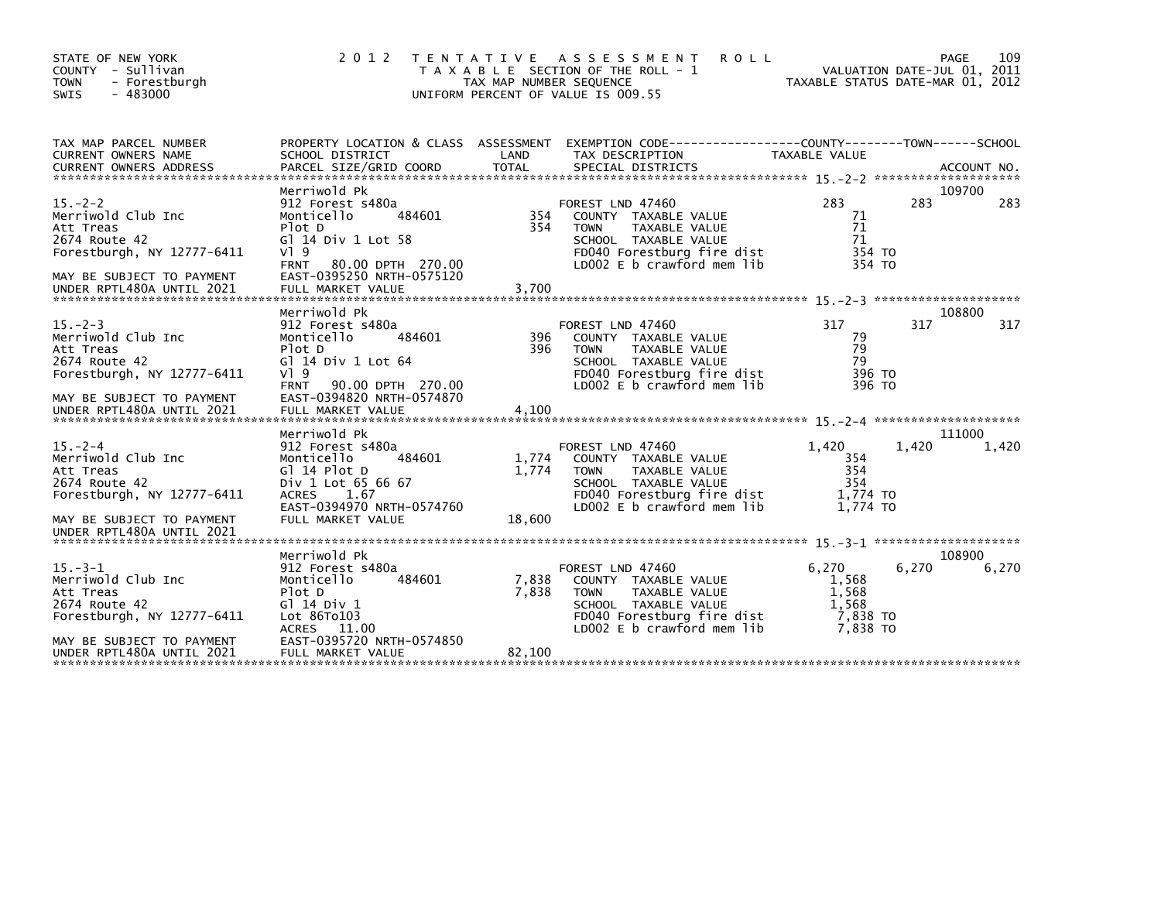| STATE OF NEW YORK<br>COUNTY - Sullivan<br>- Forestburgh<br><b>TOWN</b><br>$-483000$<br><b>SWIS</b>                                                       | 2 0 1 2                                                                                                                                                                                              | TAX MAP NUMBER SEQUENCE  | TENTATIVE ASSESSMENT<br><b>ROLL</b><br>T A X A B L E SECTION OF THE ROLL - 1<br>UNIFORM PERCENT OF VALUE IS 009.55                                                  | TAXABLE STATUS DATE-MAR 01, 2012                         | PAGE<br>VALUATION DATE-JUL 01, 2011 | 109             |
|----------------------------------------------------------------------------------------------------------------------------------------------------------|------------------------------------------------------------------------------------------------------------------------------------------------------------------------------------------------------|--------------------------|---------------------------------------------------------------------------------------------------------------------------------------------------------------------|----------------------------------------------------------|-------------------------------------|-----------------|
| TAX MAP PARCEL NUMBER<br>CURRENT OWNERS NAME                                                                                                             | SCHOOL DISTRICT                                                                                                                                                                                      | LAND                     | PROPERTY LOCATION & CLASS ASSESSMENT EXEMPTION CODE----------------COUNTY-------TOWN------SCHOOL<br>TAX DESCRIPTION                                                 | TAXABLE VALUE                                            |                                     |                 |
| $15 - 2 - 2$<br>Merriwold Club Inc<br>Att Treas<br>2674 Route 42<br>Forestburgh, NY 12777-6411<br>MAY BE SUBJECT TO PAYMENT                              | Merriwold Pk<br>912 Forest s480a<br>484601<br>Monticello<br>Plot D<br>G] 14 Div 1 Lot 58<br>$V$ <sup>1</sup> 9<br><b>FRNT</b><br>80.00 DPTH 270.00<br>EAST-0395250 NRTH-0575120                      | 354<br>354               | FOREST LND 47460<br>COUNTY TAXABLE VALUE<br>TAXABLE VALUE<br><b>TOWN</b><br>SCHOOL TAXABLE VALUE<br>FD040 Forestburg fire dist<br>LD002 E b crawford mem lib        | 283<br>71<br>71<br>71<br>354 TO<br>354 TO                | 283                                 | 109700<br>283   |
|                                                                                                                                                          |                                                                                                                                                                                                      |                          |                                                                                                                                                                     |                                                          |                                     |                 |
| $15. -2 - 3$<br>Merriwold Club Inc<br>Att Treas<br>2674 Route 42<br>Forestburgh, NY 12777-6411<br>MAY BE SUBJECT TO PAYMENT<br>UNDER RPTL480A UNTIL 2021 | Merriwold Pk<br>912 Forest s480a<br>Monticello<br>484601<br>Plot D<br>G] 14 Div 1 Lot 64<br>$V$ <sup>1</sup> 9<br><b>FRNT</b><br>90.00 DPTH 270.00<br>EAST-0394820 NRTH-0574870<br>FULL MARKET VALUE | 396<br>396<br>4,100      | FOREST LND 47460<br>COUNTY TAXABLE VALUE<br><b>TOWN</b><br><b>TAXABLE VALUE</b><br>SCHOOL TAXABLE VALUE<br>FD040 Forestburg fire dist<br>LD002 E b crawford mem lib | 317<br>79<br>79<br>79<br>396 TO<br>396 TO                | 317                                 | 108800<br>317   |
| $15. -2 - 4$<br>Merriwold Club Inc<br>Att Treas<br>2674 Route 42<br>Forestburgh, NY $12777 - 6411$<br>MAY BE SUBJECT TO PAYMENT                          | Merriwold Pk<br>912 Forest s480a<br>Monticello<br>484601<br>Gl 14 Plot D<br>Div 1 Lot 65 66 67<br><b>ACRES</b><br>1.67<br>EAST-0394970 NRTH-0574760<br>FULL MARKET VALUE                             | 1,774<br>1.774<br>18,600 | FOREST LND 47460<br>COUNTY TAXABLE VALUE<br><b>TOWN</b><br>TAXABLE VALUE<br>SCHOOL TAXABLE VALUE<br>FD040 Forestburg fire dist<br>LD002 E b crawford mem lib        | 1,420<br>354<br>354<br>354<br>1,774 TO<br>1.774 TO       | 1,420                               | 111000<br>1,420 |
| UNDER RPTL480A UNTIL 2021                                                                                                                                |                                                                                                                                                                                                      |                          |                                                                                                                                                                     |                                                          |                                     |                 |
| $15. -3 - 1$<br>Merriwold Club Inc<br>Att Treas<br>2674 Route 42<br>Forestburgh, NY 12777-6411<br>MAY BE SUBJECT TO PAYMENT                              | Merriwold Pk<br>912 Forest s480a<br>Monticello<br>484601<br>Plot D<br>$G$ ] 14 Div 1<br>Lot 86To103<br>ACRES 11.00<br>EAST-0395720 NRTH-0574850                                                      | 7,838<br>7,838           | FOREST LND 47460<br>COUNTY TAXABLE VALUE<br><b>TOWN</b><br>TAXABLE VALUE<br>SCHOOL TAXABLE VALUE<br>FD040 Forestburg fire dist<br>LD002 E b crawford mem lib        | 6.270<br>1,568<br>1,568<br>1.568<br>7,838 TO<br>7,838 TO | 6,270                               | 108900<br>6,270 |
| UNDER RPTL480A UNTIL 2021                                                                                                                                | FULL MARKET VALUE                                                                                                                                                                                    | 82,100                   |                                                                                                                                                                     |                                                          |                                     |                 |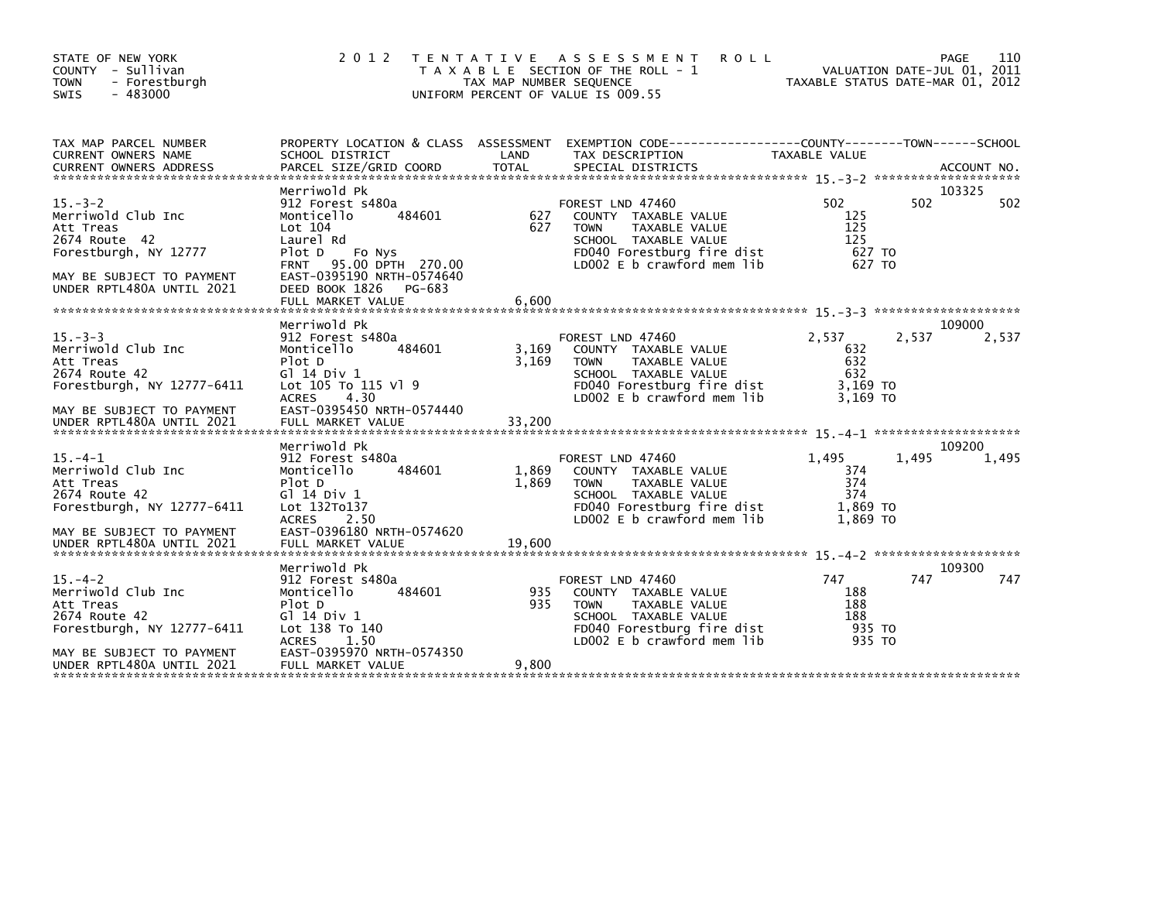| STATE OF NEW YORK<br>COUNTY - Sullivan<br><b>TOWN</b><br>- Forestburgh<br>$-483000$<br><b>SWIS</b> | 2 0 1 2                                                                                                                     | TAX MAP NUMBER SEQUENCE | TENTATIVE ASSESSMENT<br><b>ROLL</b><br>T A X A B L E SECTION OF THE ROLL - 1<br>UNIFORM PERCENT OF VALUE IS 009.55                                           |                                                    | 110<br>PAGE<br>VALUATION DATE-JUL 01, 2011<br>TAXABLE STATUS DATE-MAR 01, 2012 |
|----------------------------------------------------------------------------------------------------|-----------------------------------------------------------------------------------------------------------------------------|-------------------------|--------------------------------------------------------------------------------------------------------------------------------------------------------------|----------------------------------------------------|--------------------------------------------------------------------------------|
| TAX MAP PARCEL NUMBER<br><b>CURRENT OWNERS NAME</b>                                                | SCHOOL DISTRICT                                                                                                             | LAND                    | PROPERTY LOCATION & CLASS ASSESSMENT EXEMPTION CODE---------------COUNTY-------TOWN------SCHOOL<br>TAX DESCRIPTION                                           | TAXABLE VALUE                                      |                                                                                |
| $15. - 3 - 2$<br>Merriwold Club Inc<br>Att Treas                                                   | Merriwold Pk<br>912 Forest s480a<br>Monticello<br>484601<br>Lot 104                                                         | 627<br>627              | FOREST LND 47460<br>COUNTY TAXABLE VALUE<br>TAXABLE VALUE<br><b>TOWN</b>                                                                                     | 502<br>125<br>125                                  | 103325<br>502<br>502                                                           |
| 2674 Route 42<br>Forestburgh, NY 12777<br>MAY BE SUBJECT TO PAYMENT                                | Laurel Rd<br>Plot D<br>Fo Nys<br>95.00 DPTH 270.00<br><b>FRNT</b><br>EAST-0395190 NRTH-0574640                              |                         | SCHOOL TAXABLE VALUE<br>FD040 Forestburg fire dist<br>LD002 E b crawford mem lib                                                                             | 125<br>627 TO<br>627 TO                            |                                                                                |
| UNDER RPTL480A UNTIL 2021                                                                          | DEED BOOK 1826<br>PG-683<br>FULL MARKET VALUE<br>Merriwold Pk                                                               | 6,600                   |                                                                                                                                                              |                                                    | 109000                                                                         |
| $15. - 3 - 3$<br>Merriwold Club Inc<br>Att Treas<br>2674 Route 42<br>Forestburgh, NY 12777-6411    | 912 Forest s480a<br>Monticello<br>484601<br>Plot D<br>G1 14 Div 1<br>Lot 105 To 115 Vl 9                                    | 3,169<br>3.169          | FOREST LND 47460<br>COUNTY TAXABLE VALUE<br>TAXABLE VALUE<br><b>TOWN</b><br>SCHOOL TAXABLE VALUE<br>FD040 Forestburg fire dist                               | 2,537<br>632<br>632<br>632<br>3,169 TO             | 2,537<br>2,537                                                                 |
| MAY BE SUBJECT TO PAYMENT<br>UNDER RPTL480A UNTIL 2021                                             | 4.30<br><b>ACRES</b><br>EAST-0395450 NRTH-0574440<br>FULL MARKET VALUE                                                      | 33,200                  | LD002 E b crawford mem lib                                                                                                                                   | 3.169 TO                                           |                                                                                |
|                                                                                                    | Merriwold Pk                                                                                                                |                         |                                                                                                                                                              |                                                    | 109200                                                                         |
| $15. -4 - 1$<br>Merriwold Club Inc<br>Att Treas<br>2674 Route 42<br>Forestburgh, NY 12777-6411     | 912 Forest s480a<br>484601<br>Monticello<br>Plot D<br>G1 14 Div 1<br>Lot 132To137<br>ACRES 2.50                             | 1,869<br>1,869          | FOREST LND 47460<br>COUNTY TAXABLE VALUE<br>TAXABLE VALUE<br><b>TOWN</b><br>SCHOOL TAXABLE VALUE<br>FD040 Forestburg fire dist<br>LD002 E b crawford mem lib | 1,495<br>374<br>374<br>374<br>1,869 TO<br>1.869 TO | 1,495<br>1,495                                                                 |
| MAY BE SUBJECT TO PAYMENT<br>UNDER RPTL480A UNTIL 2021                                             | EAST-0396180 NRTH-0574620<br>FULL MARKET VALUE                                                                              | 19,600                  |                                                                                                                                                              |                                                    |                                                                                |
| $15. -4-2$<br>Merriwold Club Inc<br>Att Treas<br>2674 Route 42<br>Forestburgh, NY 12777-6411       | Merriwold Pk<br>912 Forest s480a<br>Monticello<br>484601<br>Plot D<br>G1 14 Div 1<br>Lot 138 To 140<br><b>ACRES</b><br>1.50 | 935<br>935              | FOREST LND 47460<br>COUNTY TAXABLE VALUE<br>TAXABLE VALUE<br><b>TOWN</b><br>SCHOOL TAXABLE VALUE<br>FD040 Forestburg fire dist<br>LD002 E b crawford mem lib | 747<br>188<br>188<br>188<br>935 TO<br>935 TO       | 109300<br>747<br>747                                                           |
| MAY BE SUBJECT TO PAYMENT<br>UNDER RPTL480A UNTIL 2021                                             | EAST-0395970 NRTH-0574350<br>FULL MARKET VALUE                                                                              | 9,800                   |                                                                                                                                                              |                                                    |                                                                                |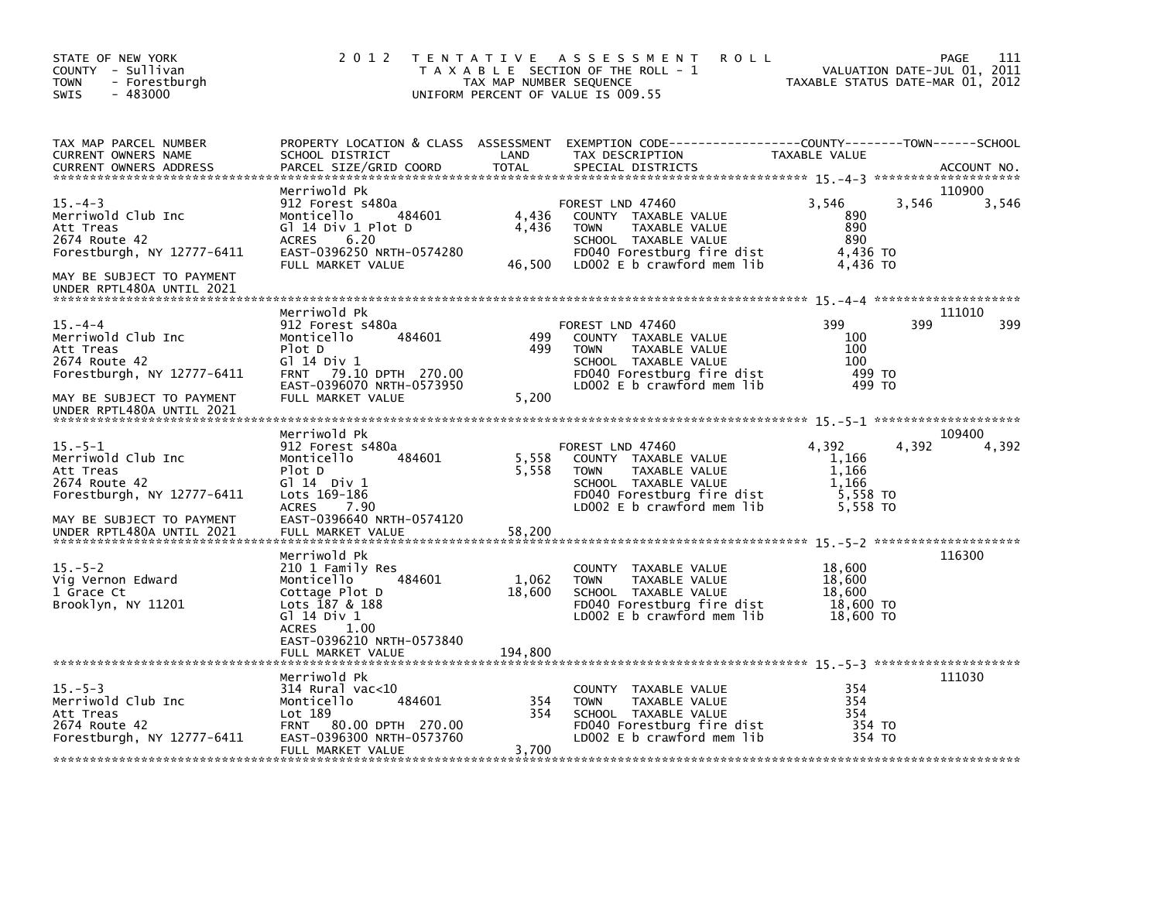| STATE OF NEW YORK<br>COUNTY - Sullivan<br><b>TOWN</b><br>- Forestburgh<br>$-483000$<br><b>SWIS</b>                                                        | 2 0 1 2                                                                                                                                                                               | TAX MAP NUMBER SEQUENCE    | TENTATIVE ASSESSMENT<br><b>ROLL</b><br>T A X A B L E SECTION OF THE ROLL - 1<br>UNIFORM PERCENT OF VALUE IS 009.55                                           | VALUATION DATE-JUL 01, 2011<br>TAXABLE STATUS DATE-MAR 01, 2012   | 111<br>PAGE          |
|-----------------------------------------------------------------------------------------------------------------------------------------------------------|---------------------------------------------------------------------------------------------------------------------------------------------------------------------------------------|----------------------------|--------------------------------------------------------------------------------------------------------------------------------------------------------------|-------------------------------------------------------------------|----------------------|
| TAX MAP PARCEL NUMBER<br>CURRENT OWNERS NAME<br>CURRENT OWNERS ADDRESS                                                                                    | SCHOOL DISTRICT<br>PARCEL SIZE/GRID COORD                                                                                                                                             | LAND<br><b>TOTAL</b>       | PROPERTY LOCATION & CLASS ASSESSMENT EXEMPTION CODE----------------COUNTY-------TOWN------SCHOOL<br>TAX DESCRIPTION<br>SPECIAL DISTRICTS                     | TAXABLE VALUE                                                     | ACCOUNT NO.          |
| $15. -4 - 3$<br>Merriwold Club Inc<br>Att Treas<br>2674 Route 42<br>Forestburgh, NY 12777-6411<br>MAY BE SUBJECT TO PAYMENT                               | Merriwold Pk<br>912 Forest s480a<br>Monticello<br>484601<br>Gl 14 Div 1 Plot D<br>6.20<br><b>ACRES</b><br>EAST-0396250 NRTH-0574280<br>FULL MARKET VALUE                              | 4,436<br>4,436<br>46,500   | FOREST LND 47460<br>COUNTY TAXABLE VALUE<br><b>TOWN</b><br>TAXABLE VALUE<br>SCHOOL TAXABLE VALUE<br>FD040 Forestburg fire dist<br>LD002 E b crawford mem lib | 3,546<br>3,546<br>890<br>890<br>890<br>4,436 TO<br>4,436 TO       | 110900<br>3,546      |
| UNDER RPTL480A UNTIL 2021                                                                                                                                 |                                                                                                                                                                                       |                            |                                                                                                                                                              |                                                                   |                      |
| $15. -4 - 4$<br>Merriwold Club Inc<br>Att Treas<br>2674 Route 42<br>Forestburgh, NY 12777-6411                                                            | Merriwold Pk<br>912 Forest s480a<br>Monticello<br>484601<br>Plot D<br>G] 14 Div 1<br>FRNT 79.10 DPTH 270.00<br>EAST-0396070 NRTH-0573950                                              | 499<br>499                 | FOREST LND 47460<br>COUNTY TAXABLE VALUE<br>TAXABLE VALUE<br><b>TOWN</b><br>SCHOOL TAXABLE VALUE<br>FD040 Forestburg fire dist<br>LD002 E b crawford mem lib | 399<br>100<br>100<br>100<br>499 TO<br>499 TO                      | 111010<br>399<br>399 |
| MAY BE SUBJECT TO PAYMENT<br>UNDER RPTL480A UNTIL 2021                                                                                                    | FULL MARKET VALUE                                                                                                                                                                     | 5,200                      |                                                                                                                                                              |                                                                   |                      |
| $15. - 5 - 1$<br>Merriwold Club Inc<br>Att Treas<br>2674 Route 42<br>Forestburgh, NY 12777-6411<br>MAY BE SUBJECT TO PAYMENT<br>UNDER RPTL480A UNTIL 2021 | Merriwold Pk<br>912 Forest s480a<br>Monticello<br>484601<br>Plot D<br>G1 14 Div 1<br>Lots 169-186<br><b>ACRES</b><br>7.90<br>EAST-0396640 NRTH-0574120<br>FULL MARKET VALUE           | 5,558<br>5,558<br>58,200   | FOREST LND 47460<br>COUNTY TAXABLE VALUE<br>TAXABLE VALUE<br><b>TOWN</b><br>SCHOOL TAXABLE VALUE<br>FD040 Forestburg fire dist<br>LD002 E b crawford mem lib | 4,392<br>4.392<br>1,166<br>1,166<br>1,166<br>5,558 TO<br>5,558 TO | 109400<br>4,392      |
| $15. - 5 - 2$<br>Vig Vernon Edward<br>1 Grace Ct<br>Brooklyn, NY 11201                                                                                    | Merriwold Pk<br>210 1 Family Res<br>Monticello<br>484601<br>Cottage Plot D<br>Lots 187 & 188<br>G1 14 Div 1<br><b>ACRES</b><br>1.00<br>EAST-0396210 NRTH-0573840<br>FULL MARKET VALUE | 1,062<br>18,600<br>194,800 | COUNTY TAXABLE VALUE<br><b>TOWN</b><br>TAXABLE VALUE<br>SCHOOL TAXABLE VALUE<br>FD040 Forestburg fire dist<br>LD002 E b crawford mem lib                     | 18,600<br>18,600<br>18,600<br>18,600 TO<br>18,600 TO              | 116300               |
| $15. - 5 - 3$<br>Merriwold Club Inc<br>Att Treas<br>2674 Route 42<br>Forestburgh, NY 12777-6411                                                           | Merriwold Pk<br>314 Rural vac<10<br>Monticello<br>484601<br>Lot 189<br><b>FRNT</b><br>80.00 DPTH 270.00<br>EAST-0396300 NRTH-0573760<br>FULL MARKET VALUE                             | 354<br>354<br>3,700        | COUNTY TAXABLE VALUE<br>TAXABLE VALUE<br><b>TOWN</b><br>SCHOOL TAXABLE VALUE<br>FD040 Forestburg fire dist<br>LD002 E b crawford mem lib                     | 354<br>354<br>354<br>354 TO<br>354 TO                             | 111030               |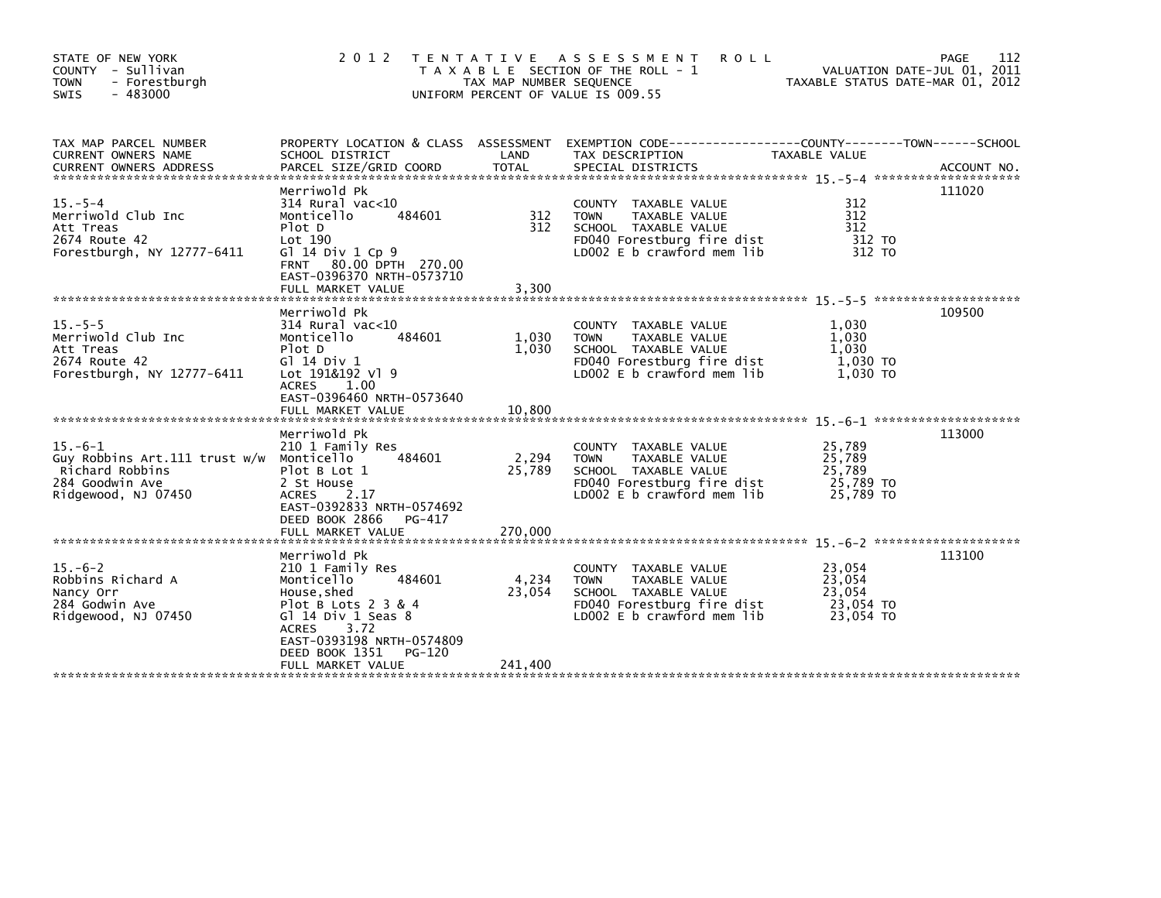| STATE OF NEW YORK<br>COUNTY - Sullivan<br>- Forestburgh<br><b>TOWN</b><br>$-483000$<br><b>SWIS</b>                    | 2 0 1 2                                                                                                                                                                              | TAX MAP NUMBER SEQUENCE<br>UNIFORM PERCENT OF VALUE IS 009.55 | TENTATIVE ASSESSMENT<br><b>ROLL</b><br>T A X A B L E SECTION OF THE ROLL - 1                                                             | TAXABLE STATUS DATE-MAR 01, 2012                     | 112<br>PAGE<br>VALUATION DATE-JUL 01, 2011 |
|-----------------------------------------------------------------------------------------------------------------------|--------------------------------------------------------------------------------------------------------------------------------------------------------------------------------------|---------------------------------------------------------------|------------------------------------------------------------------------------------------------------------------------------------------|------------------------------------------------------|--------------------------------------------|
| TAX MAP PARCEL NUMBER<br>CURRENT OWNERS NAME                                                                          | SCHOOL DISTRICT                                                                                                                                                                      | LAND                                                          | PROPERTY LOCATION & CLASS ASSESSMENT EXEMPTION CODE---------------COUNTY-------TOWN-----SCHOOL<br>TAX DESCRIPTION                        | TAXABLE VALUE                                        |                                            |
| $15. - 5 - 4$<br>Merriwold Club Inc<br>Att Treas<br>2674 Route 42<br>Forestburgh, NY 12777-6411                       | Merriwold Pk<br>$314$ Rural vac<10<br>Monticello<br>484601<br>Plot D<br>Lot 190<br>Gl $14$ Div $1$ Cp $9$<br>80.00 DPTH 270.00<br><b>FRNT</b><br>EAST-0396370 NRTH-0573710           | 312<br>312                                                    | COUNTY TAXABLE VALUE<br>TAXABLE VALUE<br><b>TOWN</b><br>SCHOOL TAXABLE VALUE<br>FD040 Forestburg fire dist<br>LD002 E b crawford mem lib | 312<br>312<br>312<br>312 TO<br>312 TO                | 111020                                     |
|                                                                                                                       | FULL MARKET VALUE                                                                                                                                                                    | 3,300                                                         |                                                                                                                                          |                                                      |                                            |
| $15. - 5 - 5$<br>Merriwold Club Inc<br>Att Treas<br>2674 Route 42<br>Forestburgh, NY 12777-6411                       | Merriwold Pk<br>$314$ Rural vac< $10$<br>Monticello<br>484601<br>Plot D<br>G1 14 Div 1<br>Lot 191&192 Vl 9<br><b>ACRES</b><br>1.00<br>EAST-0396460 NRTH-0573640<br>FULL MARKET VALUE | 1,030<br>1,030<br>10,800                                      | COUNTY TAXABLE VALUE<br><b>TOWN</b><br>TAXABLE VALUE<br>SCHOOL TAXABLE VALUE<br>FD040 Forestburg fire dist<br>LD002 E b crawford mem lib | 1,030<br>1,030<br>1.030<br>1,030 TO<br>1,030 TO      | 109500                                     |
|                                                                                                                       |                                                                                                                                                                                      |                                                               |                                                                                                                                          |                                                      | 113000                                     |
| $15. -6 - 1$<br>Guy Robbins Art.111 trust w/w Monticello<br>Richard Robbins<br>284 Goodwin Ave<br>Ridgewood, NJ 07450 | Merriwold Pk<br>210 1 Family Res<br>484601<br>Plot B Lot 1<br>2 St House<br><b>ACRES</b><br>2.17<br>EAST-0392833 NRTH-0574692<br>DEED BOOK 2866<br>PG-417<br>FULL MARKET VALUE       | 2,294<br>25,789<br>270,000                                    | COUNTY TAXABLE VALUE<br>TAXABLE VALUE<br><b>TOWN</b><br>SCHOOL TAXABLE VALUE<br>FD040 Forestburg fire dist<br>LD002 E b crawford mem lib | 25,789<br>25,789<br>25,789<br>25,789 TO<br>25,789 TO |                                            |
|                                                                                                                       | Merriwold Pk                                                                                                                                                                         |                                                               |                                                                                                                                          |                                                      | 113100                                     |
| $15. -6-2$<br>Robbins Richard A<br>Nancy Orr<br>284 Godwin Ave<br>Ridgewood, NJ 07450                                 | 210 1 Family Res<br>484601<br>Monticello<br>House, shed<br>Plot B Lots 2 3 & 4<br>Gl 14 Div 1 Seas 8<br>3.72<br><b>ACRES</b><br>EAST-0393198 NRTH-0574809<br>DEED BOOK 1351          | 4,234<br>23,054<br>PG-120                                     | COUNTY TAXABLE VALUE<br><b>TOWN</b><br>TAXABLE VALUE<br>SCHOOL TAXABLE VALUE<br>FD040 Forestburg fire dist<br>LD002 E b crawford mem lib | 23,054<br>23,054<br>23,054<br>23,054 TO<br>23,054 TO |                                            |
|                                                                                                                       | FULL MARKET VALUE                                                                                                                                                                    | 241,400                                                       |                                                                                                                                          |                                                      |                                            |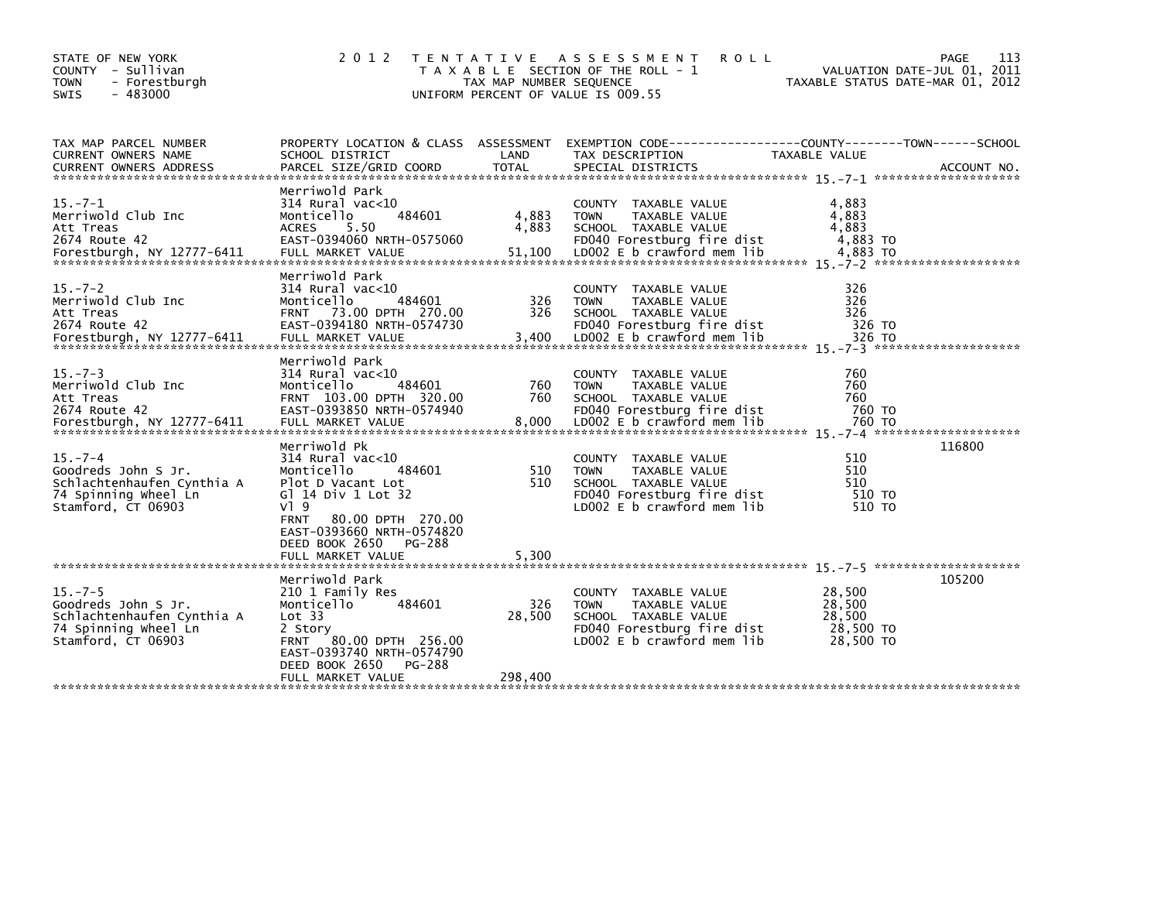| STATE OF NEW YORK<br>COUNTY - Sullivan<br><b>TOWN</b><br>- Forestburgh<br>$-483000$<br><b>SWIS</b>               | 2 0 1 2                                                                                                                                                                                                                                       | TAX MAP NUMBER SEQUENCE | TENTATIVE ASSESSMENT<br><b>ROLL</b><br>T A X A B L E SECTION OF THE ROLL - 1<br>UNIFORM PERCENT OF VALUE IS 009.55                       | PAGE<br>VALUATION DATE-JUL 01, 2011<br>TAXABLE STATUS DATE-MAR 01, 2012                                          | 113 |
|------------------------------------------------------------------------------------------------------------------|-----------------------------------------------------------------------------------------------------------------------------------------------------------------------------------------------------------------------------------------------|-------------------------|------------------------------------------------------------------------------------------------------------------------------------------|------------------------------------------------------------------------------------------------------------------|-----|
| TAX MAP PARCEL NUMBER<br><b>CURRENT OWNERS NAME</b>                                                              | SCHOOL DISTRICT                                                                                                                                                                                                                               | LAND                    | TAX DESCRIPTION                                                                                                                          | PROPERTY LOCATION & CLASS ASSESSMENT EXEMPTION CODE---------------COUNTY-------TOWN------SCHOOL<br>TAXABLE VALUE |     |
| $15. -7 - 1$<br>Merriwold Club Inc<br>Att Treas<br>2674 Route 42                                                 | Merriwold Park<br>$314$ Rural vac<10<br>484601<br>Monticello<br>5.50<br><b>ACRES</b><br>EAST-0394060 NRTH-0575060                                                                                                                             | 4,883<br>4,883          | COUNTY TAXABLE VALUE<br>TAXABLE VALUE<br><b>TOWN</b><br>SCHOOL TAXABLE VALUE<br>FD040 Forestburg fire dist                               | 4,883<br>4,883<br>4,883<br>4,883 TO                                                                              |     |
| $15. - 7 - 2$<br>Merriwold Club Inc<br>Att Treas<br>2674 Route 42                                                | Merriwold Park<br>$314$ Rural vac< $10$<br>484601<br>Monticello<br>FRNT 73.00 DPTH 270.00<br>EAST-0394180 NRTH-0574730                                                                                                                        | 326<br>326              | COUNTY TAXABLE VALUE<br>TAXABLE VALUE<br><b>TOWN</b><br>SCHOOL TAXABLE VALUE<br>FD040 Forestburg fire dist                               | 326<br>326<br>326<br>326 TO                                                                                      |     |
| $15. -7 - 3$<br>Merriwold Club Inc<br>Att Treas<br>2674 Route 42                                                 | Merriwold Park<br>$314$ Rural vac< $10$<br>Monticello<br>484601<br>FRNT 103.00 DPTH 320.00<br>EAST-0393850 NRTH-0574940                                                                                                                       | 760<br>760              | COUNTY TAXABLE VALUE<br><b>TOWN</b><br>TAXABLE VALUE<br>SCHOOL TAXABLE VALUE<br>FD040 Forestburg fire dist                               | 760<br>760<br>760<br>760 TO                                                                                      |     |
| $15. -7 - 4$<br>Goodreds John S Jr.<br>Schlachtenhaufen Cynthia A<br>74 Spinning Wheel Ln<br>Stamford, CT 06903  | Merriwold Pk<br>$314$ Rural vac<10<br>484601<br>Monticello<br>Plot D Vacant Lot<br>G] 14 Div 1 Lot 32<br>$V$ <sup>1</sup> 9<br><b>FRNT</b><br>80.00 DPTH 270.00<br>EAST-0393660 NRTH-0574820<br>DEED BOOK 2650<br>PG-288<br>FULL MARKET VALUE | 510<br>510<br>5,300     | COUNTY TAXABLE VALUE<br>TAXABLE VALUE<br><b>TOWN</b><br>SCHOOL TAXABLE VALUE<br>FD040 Forestburg fire dist<br>LD002 E b crawford mem lib | 116800<br>510<br>510<br>510<br>510 TO<br>510 TO                                                                  |     |
| $15. - 7 - 5$<br>Goodreds John S Jr.<br>Schlachtenhaufen Cynthia A<br>74 Spinning Wheel Ln<br>Stamford, CT 06903 | Merriwold Park<br>210 1 Family Res<br>Monticello<br>484601<br>Lot 33<br>2 Story<br>FRNT 80.00 DPTH 256.00<br>EAST-0393740 NRTH-0574790<br>DEED BOOK 2650<br>PG-288                                                                            | 326<br>28,500           | COUNTY TAXABLE VALUE<br><b>TOWN</b><br>TAXABLE VALUE<br>SCHOOL TAXABLE VALUE<br>FD040 Forestburg fire dist<br>LD002 E b crawford mem lib | 105200<br>28,500<br>28,500<br>28,500<br>28,500 TO<br>28,500 TO                                                   |     |
|                                                                                                                  | FULL MARKET VALUE                                                                                                                                                                                                                             | 298,400                 |                                                                                                                                          |                                                                                                                  |     |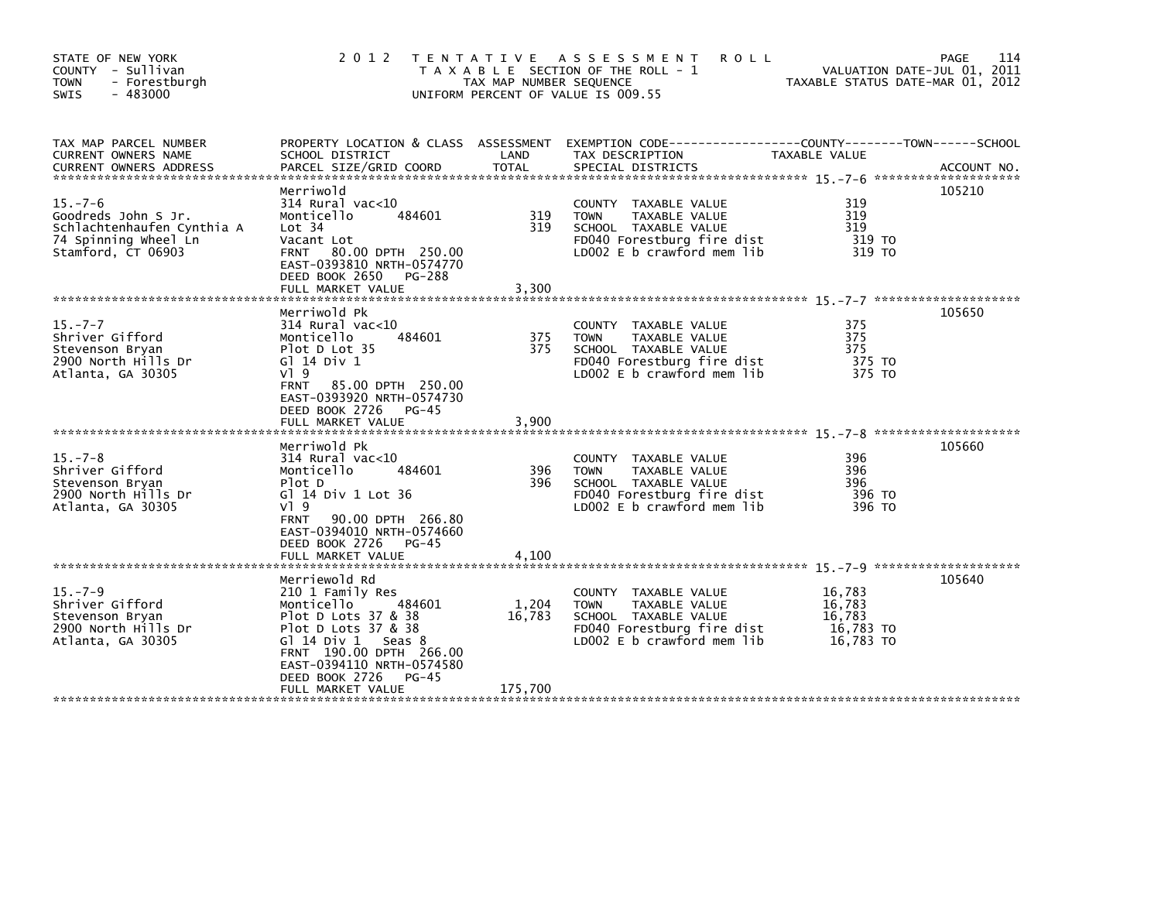| STATE OF NEW YORK<br>COUNTY - Sullivan<br>- Forestburgh<br><b>TOWN</b><br>$-483000$<br><b>SWIS</b>               |                                                                                                                                                                                                                                   | TAX MAP NUMBER SEQUENCE | 2012 TENTATIVE ASSESSMENT<br><b>ROLL</b><br>T A X A B L E SECTION OF THE ROLL - 1<br>UNIFORM PERCENT OF VALUE IS 009.55                    | VALUATION DATE-JUL 01, 2011<br>TAXABLE STATUS DATE-MAR 01, 2012 | 114<br><b>PAGE</b> |
|------------------------------------------------------------------------------------------------------------------|-----------------------------------------------------------------------------------------------------------------------------------------------------------------------------------------------------------------------------------|-------------------------|--------------------------------------------------------------------------------------------------------------------------------------------|-----------------------------------------------------------------|--------------------|
| TAX MAP PARCEL NUMBER<br>CURRENT OWNERS NAME                                                                     | SCHOOL DISTRICT                                                                                                                                                                                                                   | LAND                    | PROPERTY LOCATION & CLASS ASSESSMENT EXEMPTION CODE----------------COUNTY-------TOWN------SCHOOL<br>TAX DESCRIPTION                        | TAXABLE VALUE                                                   |                    |
| $15. - 7 - 6$<br>Goodreds John S Jr.<br>Schlachtenhaufen Cynthia A<br>74 Spinning Wheel Ln<br>Stamford, CT 06903 | Merriwold<br>$314$ Rural vac< $10$<br>Monticello<br>484601<br>Lot 34<br>Vacant Lot<br>80.00 DPTH 250.00<br><b>FRNT</b><br>EAST-0393810 NRTH-0574770<br>DEED BOOK 2650 PG-288<br>FULL MARKET VALUE                                 | 319<br>319<br>3,300     | COUNTY TAXABLE VALUE<br><b>TOWN</b><br>TAXABLE VALUE<br>SCHOOL TAXABLE VALUE<br>FD040 Forestburg fire dist<br>LD002 $E$ b crawford mem lib | 319<br>319<br>319<br>319 TO<br>319 TO                           | 105210             |
| $15. -7 - 7$<br>Shriver Gifford<br>Stevenson Bryan<br>2900 North Hills Dr<br>Atlanta, GA 30305                   | Merriwold Pk<br>$314$ Rural vac<10<br>Monticello<br>484601<br>Plot D Lot 35<br>G1 14 Div 1<br>$V$ <sup>1</sup> 9<br><b>FRNT</b><br>85.00 DPTH 250.00<br>EAST-0393920 NRTH-0574730<br>DEED BOOK 2726<br>$PG-45$                    | 375<br>375              | COUNTY TAXABLE VALUE<br><b>TOWN</b><br>TAXABLE VALUE<br>SCHOOL TAXABLE VALUE<br>FD040 Forestburg fire dist<br>LD002 E b crawford mem lib   | 375<br>375<br>375<br>375 TO<br>375 TO                           | 105650             |
|                                                                                                                  | FULL MARKET VALUE                                                                                                                                                                                                                 | 3,900                   |                                                                                                                                            |                                                                 |                    |
| $15. - 7 - 8$<br>Shriver Gifford<br>Stevenson Bryan<br>2900 North Hills Dr<br>Atlanta, GA 30305                  | Merriwold Pk<br>$314$ Rural vac<10<br>484601<br>Monticello<br>Plot D<br>G] 14 Div 1 Lot 36<br>$V$ <sup>1</sup> 9<br><b>FRNT</b><br>90.00 DPTH 266.80<br>EAST-0394010 NRTH-0574660<br>DEED BOOK 2726<br>PG-45<br>FULL MARKET VALUE | 396<br>396<br>4,100     | COUNTY TAXABLE VALUE<br>TAXABLE VALUE<br><b>TOWN</b><br>SCHOOL TAXABLE VALUE<br>FD040 Forestburg fire dist<br>LD002 E b crawford mem lib   | 396<br>396<br>396<br>396 TO<br>396 TO                           | 105660             |
|                                                                                                                  | Merriewold Rd                                                                                                                                                                                                                     |                         |                                                                                                                                            |                                                                 | 105640             |
| $15. - 7 - 9$<br>Shriver Gifford<br>Stevenson Bryan<br>2900 North Hills Dr<br>Atlanta, GA 30305                  | 210 1 Family Res<br>Monticello<br>484601<br>Plot D Lots 37 & 38<br>Plot D Lots 37 & 38<br>G $14$ Div $1$ Seas 8<br>FRNT 190.00 DPTH 266.00<br>EAST-0394110 NRTH-0574580<br>DEED BOOK 2726<br>$PG-45$                              | 1,204<br>16,783         | COUNTY TAXABLE VALUE<br>TAXABLE VALUE<br><b>TOWN</b><br>SCHOOL TAXABLE VALUE<br>FD040 Forestburg fire dist<br>LD002 E b crawford mem lib   | 16,783<br>16,783<br>16.783<br>16,783 TO<br>16,783 TO            |                    |
|                                                                                                                  | FULL MARKET VALUE                                                                                                                                                                                                                 | 175,700                 |                                                                                                                                            |                                                                 |                    |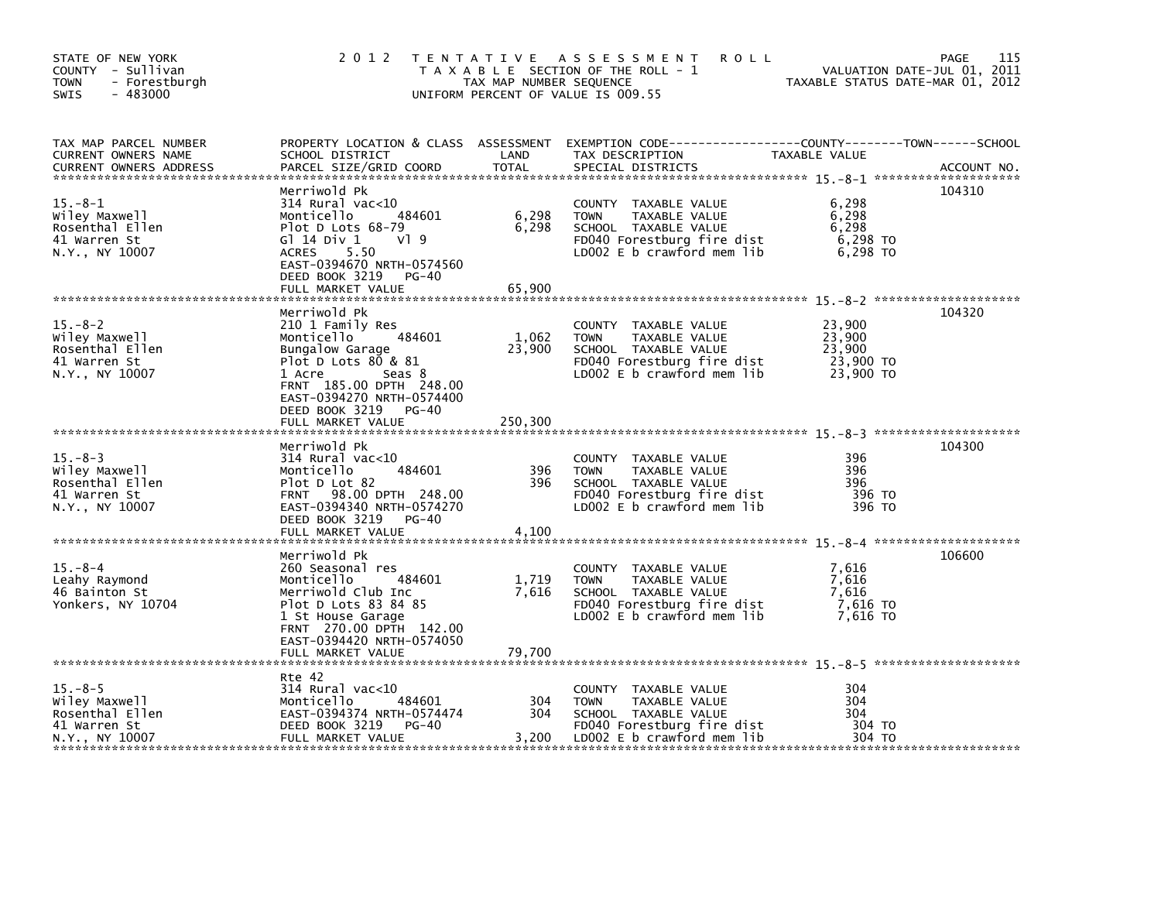| STATE OF NEW YORK<br>COUNTY - Sullivan<br><b>TOWN</b><br>- Forestburgh<br>$-483000$<br>SWIS | 2 0 1 2                                                                                                                                                                                                                       | TAX MAP NUMBER SEQUENCE    | TENTATIVE ASSESSMENT<br><b>ROLL</b><br>T A X A B L E SECTION OF THE ROLL - 1<br>UNIFORM PERCENT OF VALUE IS 009.55                        | TAXABLE STATUS DATE-MAR 01, 2012                     | 115<br>PAGE<br>VALUATION DATE-JUL 01, 2011 |
|---------------------------------------------------------------------------------------------|-------------------------------------------------------------------------------------------------------------------------------------------------------------------------------------------------------------------------------|----------------------------|-------------------------------------------------------------------------------------------------------------------------------------------|------------------------------------------------------|--------------------------------------------|
| TAX MAP PARCEL NUMBER<br>CURRENT OWNERS NAME<br><b>CURRENT OWNERS ADDRESS</b>               | SCHOOL DISTRICT<br>PARCEL SIZE/GRID COORD                                                                                                                                                                                     | LAND<br><b>TOTAL</b>       | PROPERTY LOCATION & CLASS ASSESSMENT EXEMPTION CODE-----------------COUNTY-------TOWN------SCHOOL<br>TAX DESCRIPTION<br>SPECIAL DISTRICTS | TAXABLE VALUE                                        | ACCOUNT NO.                                |
| $15. -8 - 1$<br>Wiley Maxwell<br>Rosenthal Ellen<br>41 Warren St<br>N.Y., NY 10007          | Merriwold Pk<br>314 Rural vac<10<br>484601<br>Monticello<br>Plot D Lots 68-79<br>G1 14 Div 1<br>VI 9<br><b>ACRES</b><br>5.50<br>EAST-0394670 NRTH-0574560<br>DEED BOOK 3219 PG-40<br>FULL MARKET VALUE                        | 6,298<br>6,298<br>65,900   | COUNTY TAXABLE VALUE<br><b>TOWN</b><br>TAXABLE VALUE<br>SCHOOL TAXABLE VALUE<br>FD040 Forestburg fire dist<br>LD002 E b crawford mem lib  | 6,298<br>6,298<br>6,298<br>6,298 TO<br>6,298 то      | 104310                                     |
| $15. -8 - 2$<br>wiley Maxwell<br>Rosenthal Ellen<br>41 Warren St<br>N.Y., NY 10007          | Merriwold Pk<br>210 1 Family Res<br>484601<br>Monticello<br>Bungalow Garage<br>Plot D Lots $80 & 81$<br>1 Acre<br>Seas 8<br>FRNT 185.00 DPTH 248.00<br>EAST-0394270 NRTH-0574400<br>DEED BOOK 3219 PG-40<br>FULL MARKET VALUE | 1,062<br>23,900<br>250,300 | COUNTY TAXABLE VALUE<br><b>TOWN</b><br>TAXABLE VALUE<br>SCHOOL TAXABLE VALUE<br>FD040 Forestburg fire dist<br>LD002 E b crawford mem lib  | 23,900<br>23,900<br>23,900<br>23,900 TO<br>23,900 TO | 104320                                     |
| $15. - 8 - 3$<br>Wiley Maxwell<br>Rosenthal Ellen<br>41 Warren St<br>N.Y., NY 10007         | Merriwold Pk<br>$314$ Rural vac<10<br>Monticello<br>484601<br>Plot D Lot 82<br>FRNT 98.00 DPTH 248.00<br>EAST-0394340 NRTH-0574270<br>DEED BOOK 3219 PG-40<br>FULL MARKET VALUE                                               | 396<br>396<br>4,100        | COUNTY TAXABLE VALUE<br>TAXABLE VALUE<br><b>TOWN</b><br>SCHOOL TAXABLE VALUE<br>FD040 Forestburg fire dist<br>LD002 E b crawford mem lib  | 396<br>396<br>396<br>396 TO<br>396 TO                | 104300                                     |
| $15 - 8 - 4$<br>Leahy Raymond<br>46 Bainton St<br>Yonkers, NY 10704                         | Merriwold Pk<br>260 Seasonal res<br>Monticello<br>484601<br>Merriwold Club Inc<br>Plot D Lots 83 84 85<br>1 St House Garage<br>FRNT 270.00 DPTH 142.00<br>EAST-0394420 NRTH-0574050<br>FULL MARKET VALUE                      | 1,719<br>7,616<br>79,700   | COUNTY TAXABLE VALUE<br>TAXABLE VALUE<br><b>TOWN</b><br>SCHOOL TAXABLE VALUE<br>FD040 Forestburg fire dist<br>LD002 E b crawford mem lib  | 7,616<br>7,616<br>7,616<br>7,616 то<br>7.616 TO      | 106600                                     |
| $15 - 8 - 5$<br>Wiley Maxwell<br>Rosenthal Ellen<br>41 Warren St<br>N.Y., NY 10007          | Rte 42<br>$314$ Rural vac<10<br>Monticello<br>484601<br>EAST-0394374 NRTH-0574474<br>DEED BOOK 3219 PG-40<br>FULL MARKET VALUE                                                                                                | 304<br>304<br>3,200        | COUNTY TAXABLE VALUE<br><b>TOWN</b><br>TAXABLE VALUE<br>SCHOOL TAXABLE VALUE<br>FD040 Forestburg fire dist<br>LD002 E b crawford mem lib  | 304<br>304<br>304<br>304 TO<br>304 TO                |                                            |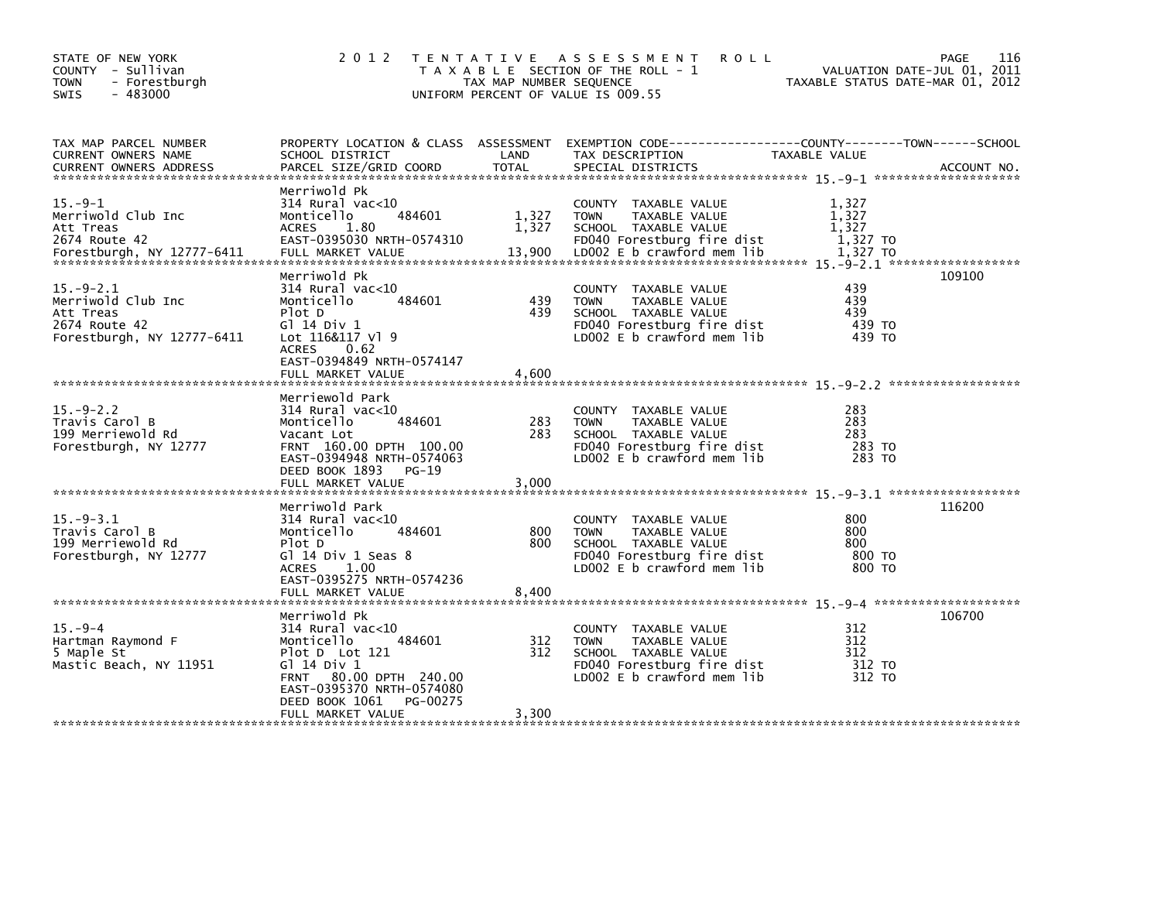| STATE OF NEW YORK<br>COUNTY - Sullivan<br>TOWN<br>- Forestburgh<br>$-483000$<br><b>SWIS</b>   | 2 0 1 2                                                                                                                                                                                | TAX MAP NUMBER SEQUENCE | TENTATIVE ASSESSMENT<br><b>ROLL</b><br>T A X A B L E SECTION OF THE ROLL - 1<br>UNIFORM PERCENT OF VALUE IS 009.55                                   | VALUATION DATE-JUL 01, 2011<br>TAXABLE STATUS DATE-MAR 01, 2012 | 116<br>PAGE |
|-----------------------------------------------------------------------------------------------|----------------------------------------------------------------------------------------------------------------------------------------------------------------------------------------|-------------------------|------------------------------------------------------------------------------------------------------------------------------------------------------|-----------------------------------------------------------------|-------------|
| TAX MAP PARCEL NUMBER<br>CURRENT OWNERS NAME<br><b>CURRENT OWNERS ADDRESS</b>                 | PROPERTY LOCATION & CLASS ASSESSMENT<br>SCHOOL DISTRICT<br>PARCEL SIZE/GRID COORD                                                                                                      | LAND<br><b>TOTAL</b>    | EXEMPTION CODE-----------------COUNTY-------TOWN------SCHOOL<br>TAX DESCRIPTION<br>SPECIAL DISTRICTS                                                 | TAXABLE VALUE                                                   | ACCOUNT NO. |
| $15.-9-1$<br>Merriwold Club Inc<br>Att Treas<br>2674 Route 42                                 | Merriwold Pk<br>$314$ Rural vac< $10$<br>484601<br>Monticello<br><b>ACRES</b><br>1.80<br>EAST-0395030 NRTH-0574310                                                                     | 1,327<br>1,327          | COUNTY TAXABLE VALUE<br>TAXABLE VALUE<br><b>TOWN</b><br>SCHOOL TAXABLE VALUE<br>FD040 Forestburg fire dist                                           | 1,327<br>1,327<br>1.327<br>1,327 TO                             |             |
| $15.-9-2.1$<br>Merriwold Club Inc<br>Att Treas<br>2674 Route 42<br>Forestburgh, NY 12777-6411 | Merriwold Pk<br>$314$ Rural vac<10<br>Monticello<br>484601<br>Plot D<br>G1 14 Div 1<br>Lot 116&117 Vl 9<br>ACRES 0.62<br>EAST-0394849 NRTH-0574147                                     | 439<br>439              | <b>COUNTY</b><br>TAXABLE VALUE<br>TAXABLE VALUE<br><b>TOWN</b><br>SCHOOL TAXABLE VALUE<br>FD040 Forestburg fire dist<br>LD002 $E$ b crawford mem lib | 439<br>439<br>439<br>439 TO<br>439 TO                           | 109100      |
|                                                                                               | FULL MARKET VALUE                                                                                                                                                                      | 4,600                   |                                                                                                                                                      |                                                                 |             |
| $15. - 9 - 2.2$<br>Travis Carol B<br>199 Merriewold Rd<br>Forestburgh, NY 12777               | Merriewold Park<br>$314$ Rural vac< $10$<br>Monticello<br>484601<br>Vacant Lot<br>FRNT 160.00 DPTH 100.00<br>EAST-0394948 NRTH-0574063<br>DEED BOOK 1893<br>PG-19<br>FULL MARKET VALUE | 283<br>283<br>3,000     | COUNTY TAXABLE VALUE<br>TAXABLE VALUE<br><b>TOWN</b><br>SCHOOL TAXABLE VALUE<br>FD040 Forestburg fire dist<br>LD002 E b crawford mem lib             | 283<br>283<br>283<br>283 TO<br>283 TO                           |             |
| $15. -9 - 3.1$<br>Travis Carol B<br>199 Merriewold Rd<br>Forestburgh, NY 12777                | Merriwold Park<br>$314$ Rural vac< $10$<br>Monticello<br>484601<br>Plot D<br>Gl 14 Div 1 Seas 8<br><b>ACRES</b><br>1.00<br>EAST-0395275 NRTH-0574236<br>FULL MARKET VALUE              | 800<br>800<br>8,400     | <b>COUNTY</b><br>TAXABLE VALUE<br>TAXABLE VALUE<br><b>TOWN</b><br>SCHOOL TAXABLE VALUE<br>FD040 Forestburg fire dist<br>LD002 E b crawford mem lib   | 800<br>800<br>800<br>800 TO<br>800 TO                           | 116200      |
|                                                                                               | Merriwold Pk                                                                                                                                                                           |                         |                                                                                                                                                      |                                                                 | 106700      |
| $15. -9 - 4$<br>Hartman Raymond F<br>5 Maple St<br>Mastic Beach, NY 11951                     | $314$ Rural vac< $10$<br>484601<br>Monticello<br>Plot D Lot 121<br>G $1$ 14 Div 1<br>80.00 DPTH 240.00<br><b>FRNT</b><br>EAST-0395370 NRTH-0574080<br>DEED BOOK 1061<br>PG-00275       | 312<br>312              | <b>COUNTY</b><br>TAXABLE VALUE<br><b>TOWN</b><br>TAXABLE VALUE<br>SCHOOL TAXABLE VALUE<br>FD040 Forestburg fire dist<br>LD002 $E$ b crawford mem lib | 312<br>312<br>312<br>312 TO<br>312 TO                           |             |
|                                                                                               | FULL MARKET VALUE                                                                                                                                                                      | 3,300                   |                                                                                                                                                      |                                                                 |             |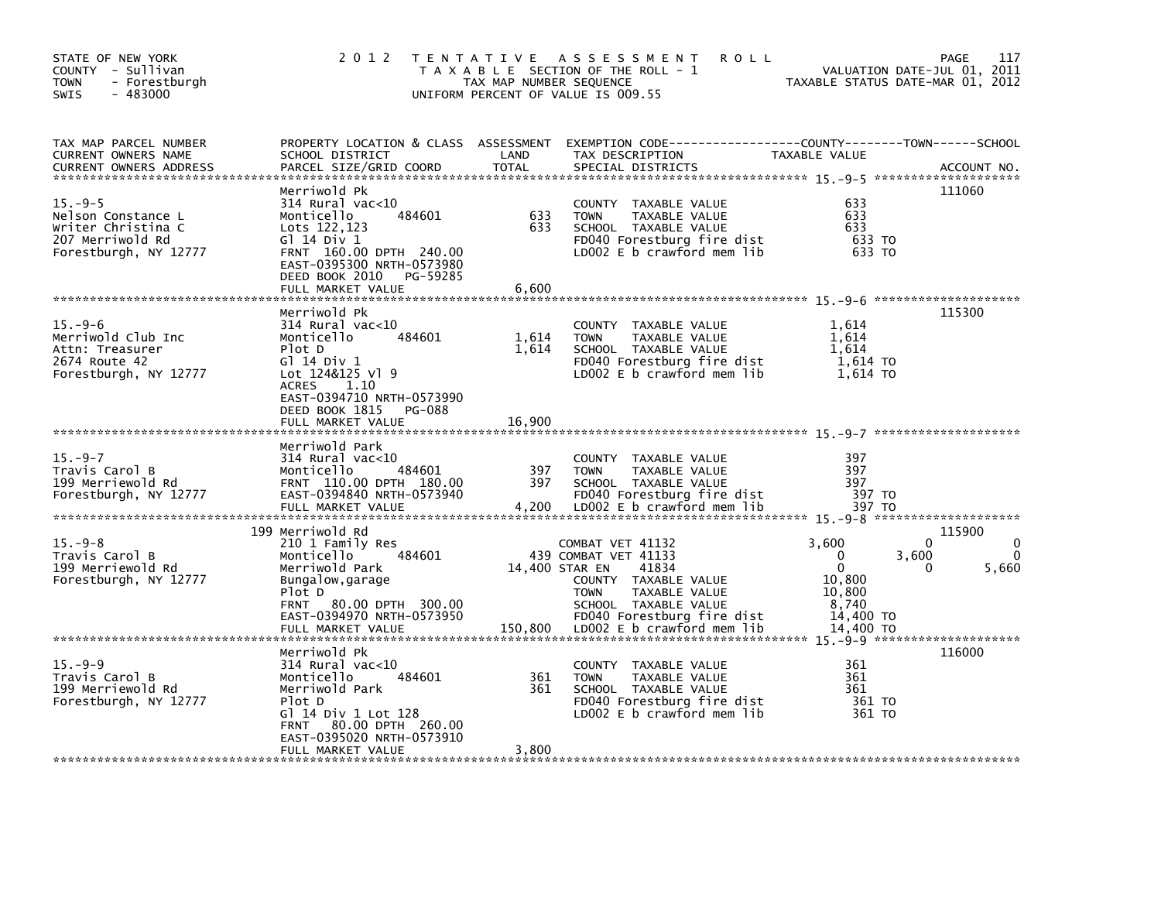| STATE OF NEW YORK<br>COUNTY - Sullivan<br><b>TOWN</b><br>- Forestburgh<br>$-483000$<br>SWIS         | 2 0 1 2                                                                                                                                                                                                       | TAX MAP NUMBER SEQUENCE  | TENTATIVE ASSESSMENT<br><b>ROLL</b><br>T A X A B L E SECTION OF THE ROLL - 1<br>UNIFORM PERCENT OF VALUE IS 009.55                                                                                              | VALUATION DATE-JUL 01, 2011<br>TAXABLE STATUS DATE-MAR 01, 2012                            | 117<br><b>PAGE</b>                             |
|-----------------------------------------------------------------------------------------------------|---------------------------------------------------------------------------------------------------------------------------------------------------------------------------------------------------------------|--------------------------|-----------------------------------------------------------------------------------------------------------------------------------------------------------------------------------------------------------------|--------------------------------------------------------------------------------------------|------------------------------------------------|
| TAX MAP PARCEL NUMBER<br>CURRENT OWNERS NAME<br><b>CURRENT OWNERS ADDRESS</b>                       | PROPERTY LOCATION & CLASS ASSESSMENT<br>SCHOOL DISTRICT<br>PARCEL SIZE/GRID COORD                                                                                                                             | LAND<br><b>TOTAL</b>     | TAX DESCRIPTION<br>SPECIAL DISTRICTS                                                                                                                                                                            | TAXABLE VALUE                                                                              | ACCOUNT NO.                                    |
| $15. -9-5$<br>Nelson Constance L<br>Writer Christina C<br>207 Merriwold Rd<br>Forestburgh, NY 12777 | Merriwold Pk<br>314 Rural vac<10<br>Monticello<br>484601<br>Lots 122,123<br>G1 14 Div 1<br>FRNT 160.00 DPTH 240.00<br>EAST-0395300 NRTH-0573980<br>DEED BOOK 2010<br>PG-59285<br>FULL MARKET VALUE            | 633<br>633<br>6,600      | COUNTY<br>TAXABLE VALUE<br><b>TOWN</b><br>TAXABLE VALUE<br>SCHOOL TAXABLE VALUE<br>FD040 Forestburg fire dist<br>LD002 $E$ b crawford mem lib                                                                   | 633<br>633<br>633<br>633 TO<br>633 TO                                                      | 111060                                         |
| $15. -9-6$<br>Merriwold Club Inc<br>Attn: Treasurer<br>2674 Route 42<br>Forestburgh, NY 12777       | Merriwold Pk<br>$314$ Rural vac<10<br>484601<br>Monticello<br>Plot D<br>G1 14 Div 1<br>Lot 124&125 Vl 9<br><b>ACRES</b><br>1.10<br>EAST-0394710 NRTH-0573990<br>DEED BOOK 1815<br>PG-088<br>FULL MARKET VALUE | 1,614<br>1,614<br>16.900 | COUNTY TAXABLE VALUE<br><b>TOWN</b><br>TAXABLE VALUE<br>SCHOOL TAXABLE VALUE<br>FD040 Forestburg fire dist<br>LD002 E b crawford mem lib                                                                        | 1,614<br>1.614<br>1.614<br>1,614 TO<br>1,614 TO                                            | 115300                                         |
| $15. -9 - 7$<br>Travis Carol B<br>199 Merriewold Rd<br>Forestburgh, NY 12777                        | Merriwold Park<br>$314$ Rural vac<10<br>484601<br>Monticello<br>FRNT 110.00 DPTH 180.00<br>EAST-0394840 NRTH-0573940<br>FULL MARKET VALUE                                                                     | 397<br>397<br>4,200      | COUNTY TAXABLE VALUE<br>TAXABLE VALUE<br><b>TOWN</b><br>SCHOOL TAXABLE VALUE<br>FD040 Forestburg fire dist<br>LD002 E b crawford mem lib                                                                        | 397<br>397<br>397<br>397 TO<br>397 TO                                                      |                                                |
| $15. -9 - 8$<br>Travis Carol B<br>199 Merriewold Rd<br>Forestburgh, NY 12777                        | 199 Merriwold Rd<br>210 1 Family Res<br>Monticello<br>484601<br>Merriwold Park<br>Bungalow, garage<br>Plot D<br>80.00 DPTH 300.00<br><b>FRNT</b><br>EAST-0394970 NRTH-0573950<br>FULL MARKET VALUE            | 150,800                  | COMBAT VET 41132<br>439 COMBAT VET 41133<br>14,400 STAR EN<br>41834<br>COUNTY TAXABLE VALUE<br>TAXABLE VALUE<br><b>TOWN</b><br>SCHOOL TAXABLE VALUE<br>FD040 Forestburg fire dist<br>LDOO2 E b crawford mem lib | 3,600<br>0<br>3,600<br>$\mathbf{0}$<br>10,800<br>10,800<br>8,740<br>14,400 TO<br>14.400 TO | 115900<br>$\Omega$<br>0<br>5,660<br>$^{\circ}$ |
| $15. -9-9$<br>Travis Carol B<br>199 Merriewold Rd<br>Forestburgh, NY 12777                          | Merriwold Pk<br>314 Rural vac<10<br>Monticello<br>484601<br>Merriwold Park<br>Plot D<br>Gl 14 Div 1 Lot 128<br>80.00 DPTH 260.00<br><b>FRNT</b><br>EAST-0395020 NRTH-0573910<br>FULL MARKET VALUE             | 361<br>361<br>3,800      | <b>COUNTY</b><br>TAXABLE VALUE<br><b>TOWN</b><br>TAXABLE VALUE<br>SCHOOL TAXABLE VALUE<br>FD040 Forestburg fire dist<br>LD002 E b crawford mem lib                                                              | 361<br>361<br>361<br>361 TO<br>361 TO                                                      | 116000                                         |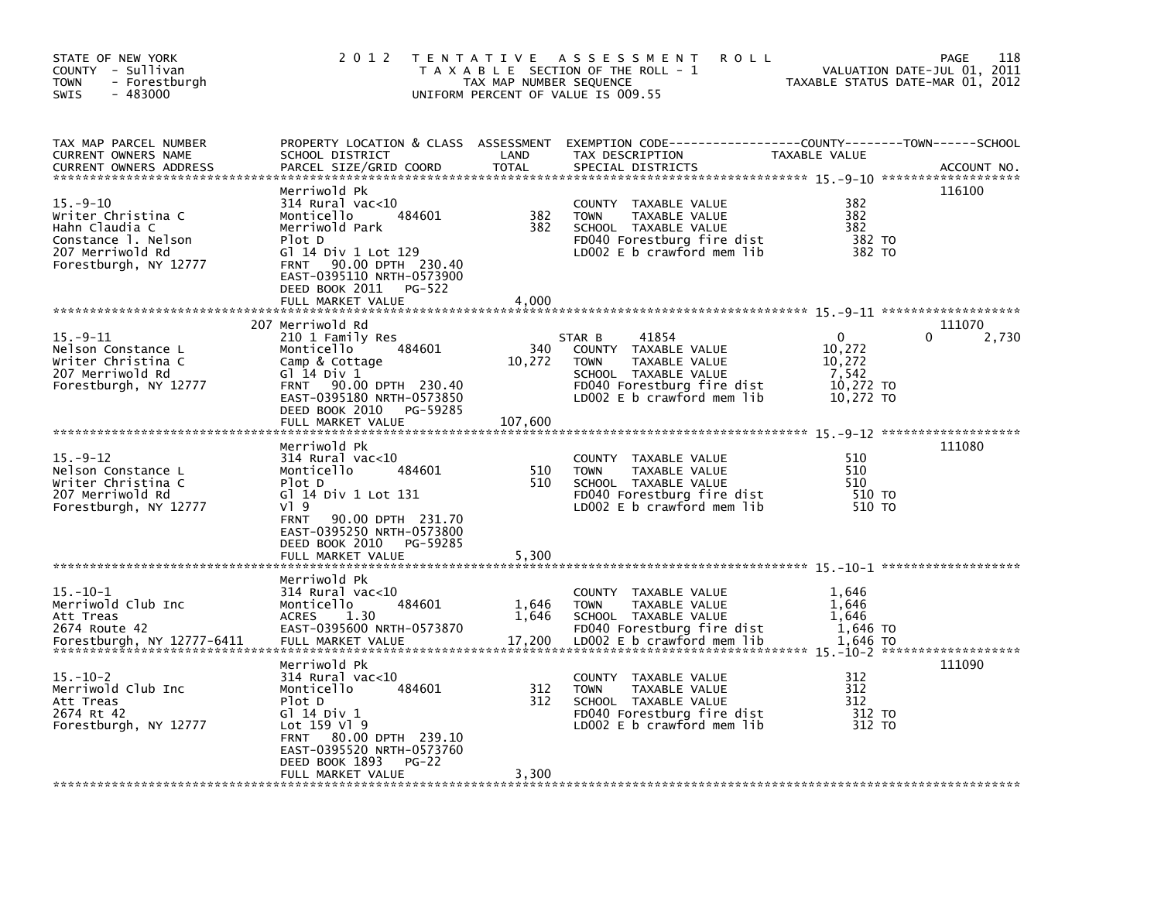| STATE OF NEW YORK<br>COUNTY - Sullivan<br><b>TOWN</b><br>- Forestburgh<br>$-483000$<br><b>SWIS</b>                         | 2 0 1 2                                                                                                                                                                                                                            | T E N T A T I V E<br>TAX MAP NUMBER SEQUENCE | A S S E S S M E N T<br><b>ROLL</b><br>T A X A B L E SECTION OF THE ROLL - 1<br>UNIFORM PERCENT OF VALUE IS 009.55                                             |                                                                     | 118<br><b>PAGE</b><br>VALUATION DATE-JUL 01, 2011<br>TAXABLE STATUS DATE-MAR 01, 2012 |
|----------------------------------------------------------------------------------------------------------------------------|------------------------------------------------------------------------------------------------------------------------------------------------------------------------------------------------------------------------------------|----------------------------------------------|---------------------------------------------------------------------------------------------------------------------------------------------------------------|---------------------------------------------------------------------|---------------------------------------------------------------------------------------|
| TAX MAP PARCEL NUMBER<br>CURRENT OWNERS NAME<br><b>CURRENT OWNERS ADDRESS</b>                                              | PROPERTY LOCATION & CLASS ASSESSMENT<br>SCHOOL DISTRICT<br>PARCEL SIZE/GRID COORD                                                                                                                                                  | LAND<br><b>TOTAL</b>                         | EXEMPTION CODE-----------------COUNTY-------TOWN------SCHOOL<br>TAX DESCRIPTION<br>SPECIAL DISTRICTS                                                          | TAXABLE VALUE                                                       | ACCOUNT NO.                                                                           |
| $15. - 9 - 10$<br>Writer Christina C<br>Hahn Claudia C<br>Constance 1. Nelson<br>207 Merriwold Rd<br>Forestburgh, NY 12777 | Merriwold Pk<br>$314$ Rural vac< $10$<br>Monticello<br>484601<br>Merriwold Park<br>Plot D<br>G] 14 Div 1 Lot 129<br>90.00 DPTH 230.40<br><b>FRNT</b><br>EAST-0395110 NRTH-0573900<br>DEED BOOK 2011<br>PG-522<br>FULL MARKET VALUE | 382<br>382<br>4.000                          | COUNTY<br>TAXABLE VALUE<br>TAXABLE VALUE<br><b>TOWN</b><br>SCHOOL TAXABLE VALUE<br>FD040 Forestburg fire dist<br>LDOO2 E b crawford mem lib                   | 382<br>382<br>382<br>382 TO<br>382 TO                               | 116100                                                                                |
|                                                                                                                            |                                                                                                                                                                                                                                    |                                              |                                                                                                                                                               |                                                                     |                                                                                       |
| $15. -9 - 11$<br>Nelson Constance L<br>Writer Christina C<br>207 Merriwold Rd<br>Forestburgh, NY 12777                     | 207 Merriwold Rd<br>210 1 Family Res<br>Monticello<br>484601<br>Camp & Cottage<br>G1 14 Div 1<br><b>FRNT</b><br>90.00 DPTH 230.40<br>EAST-0395180 NRTH-0573850<br>DEED BOOK 2010<br>PG-59285<br>FULL MARKET VALUE                  | 340<br>10,272<br>107,600                     | 41854<br>STAR B<br>COUNTY TAXABLE VALUE<br><b>TOWN</b><br>TAXABLE VALUE<br>SCHOOL TAXABLE VALUE<br>FD040 Forestburg fire dist<br>LD002 $E$ b crawford mem lib | $\mathbf{0}$<br>10,272<br>10,272<br>7,542<br>10,272 TO<br>10,272 TO | 111070<br>0<br>2,730                                                                  |
| $15. -9 - 12$<br>Nelson Constance L<br>Writer Christina C<br>207 Merriwold Rd<br>Forestburgh, NY 12777                     | Merriwold Pk<br>314 Rural vac<10<br>484601<br>Monticello<br>Plot D<br>G] 14 Div 1 Lot 131<br>VI 9<br>90.00 DPTH 231.70<br><b>FRNT</b><br>EAST-0395250 NRTH-0573800<br>DEED BOOK 2010<br>PG-59285<br>FULL MARKET VALUE              | 510<br>510<br>5,300                          | <b>COUNTY</b><br>TAXABLE VALUE<br><b>TOWN</b><br>TAXABLE VALUE<br>SCHOOL TAXABLE VALUE<br>FD040 Forestburg fire dist<br>LD002 $E$ b crawford mem lib          | 510<br>510<br>510<br>510 TO<br>510 TO                               | 111080                                                                                |
|                                                                                                                            | Merriwold Pk                                                                                                                                                                                                                       |                                              |                                                                                                                                                               |                                                                     |                                                                                       |
| $15. - 10 - 1$<br>Merriwold Club Inc<br>Att Treas<br>2674 Route 42<br>Forestburgh, NY 12777-6411                           | 314 Rural vac<10<br>Monticello<br>484601<br><b>ACRES</b><br>1.30<br>EAST-0395600 NRTH-0573870<br>FULL MARKET VALUE                                                                                                                 | 1,646<br>1,646<br>17,200                     | COUNTY TAXABLE VALUE<br><b>TOWN</b><br>TAXABLE VALUE<br>SCHOOL TAXABLE VALUE<br>FD040 Forestburg fire dist<br>LD002 $E$ b crawford mem lib                    | 1,646<br>1,646<br>1,646<br>1,646 TO<br>1.646 TO                     |                                                                                       |
| $15. - 10 - 2$<br>Merriwold Club Inc<br>Att Treas<br>2674 Rt 42<br>Forestburgh, NY 12777                                   | Merriwold Pk<br>314 Rural vac<10<br>Monticello<br>484601<br>Plot D<br>G1 14 Div 1<br>Lot 159 Vl 9<br>80.00 DPTH 239.10<br><b>FRNT</b><br>EAST-0395520 NRTH-0573760<br>DEED BOOK 1893<br>$PG-22$<br>FULL MARKET VALUE               | 312<br>312<br>3,300                          | COUNTY<br>TAXABLE VALUE<br><b>TOWN</b><br>TAXABLE VALUE<br>SCHOOL TAXABLE VALUE<br>FD040 Forestburg fire dist<br>LDOO2 E b crawford mem lib                   | 312<br>312<br>312<br>312 TO<br>312 TO                               | 111090                                                                                |
|                                                                                                                            |                                                                                                                                                                                                                                    |                                              |                                                                                                                                                               |                                                                     |                                                                                       |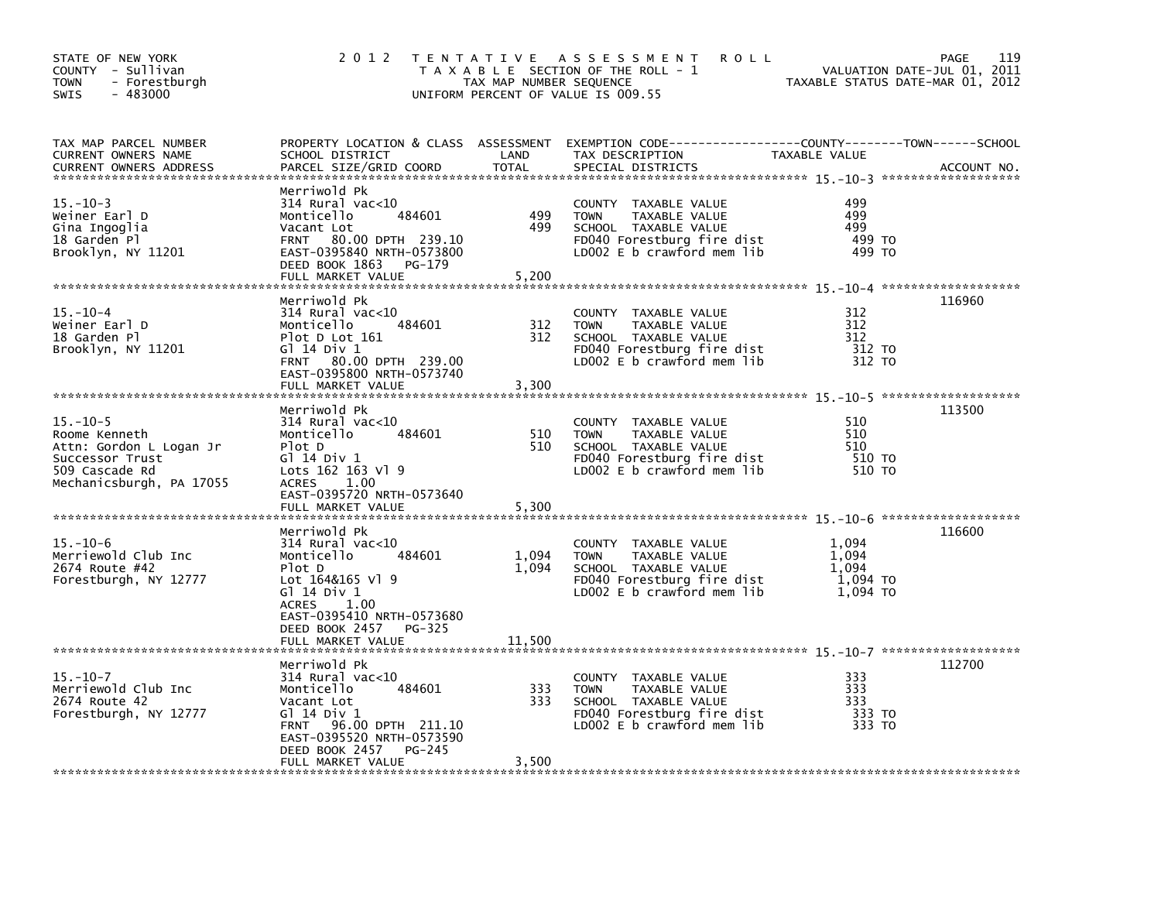| STATE OF NEW YORK<br>COUNTY - Sullivan<br>- Forestburgh<br><b>TOWN</b><br>$-483000$<br>SWIS                                 | 2 0 1 2                                                                                                                                                                                              | TAX MAP NUMBER SEQUENCE  | TENTATIVE ASSESSMENT<br><b>ROLL</b><br>T A X A B L E SECTION OF THE ROLL - 1<br>UNIFORM PERCENT OF VALUE IS 009.55                          |                                                 | 119<br><b>PAGE</b><br>VALUATION DATE-JUL 01, 2011<br>TAXABLE STATUS DATE-MAR 01, 2012 |
|-----------------------------------------------------------------------------------------------------------------------------|------------------------------------------------------------------------------------------------------------------------------------------------------------------------------------------------------|--------------------------|---------------------------------------------------------------------------------------------------------------------------------------------|-------------------------------------------------|---------------------------------------------------------------------------------------|
| TAX MAP PARCEL NUMBER<br><b>CURRENT OWNERS NAME</b><br><b>CURRENT OWNERS ADDRESS</b>                                        | SCHOOL DISTRICT<br>PARCEL SIZE/GRID COORD                                                                                                                                                            | LAND<br><b>TOTAL</b>     | PROPERTY LOCATION & CLASS ASSESSMENT EXEMPTION CODE----------------COUNTY-------TOWN-----SCHOOL<br>TAX DESCRIPTION<br>SPECIAL DISTRICTS     | TAXABLE VALUE                                   | ACCOUNT NO.                                                                           |
| $15. - 10 - 3$<br>Weiner Earl D<br>Gina Ingoglia<br>18 Garden Pl<br>Brooklyn, NY 11201                                      | Merriwold Pk<br>$314$ Rural vac<10<br>484601<br>Monticello<br>Vacant Lot<br>FRNT 80.00 DPTH 239.10<br>EAST-0395840 NRTH-0573800<br>DEED BOOK 1863<br>$PG-179$<br>FULL MARKET VALUE                   | 499<br>499<br>5,200      | COUNTY TAXABLE VALUE<br><b>TOWN</b><br>TAXABLE VALUE<br>SCHOOL TAXABLE VALUE<br>FD040 Forestburg fire dist<br>LD002 $E$ b crawford mem lib  | 499<br>499<br>499<br>499 TO<br>499 TO           |                                                                                       |
| $15. - 10 - 4$<br>Weiner Earl D<br>18 Garden Pl<br>Brooklyn, NY 11201                                                       | Merriwold Pk<br>314 Rural vac<10<br>Monticello<br>484601<br>Plot D Lot 161<br>G1 14 Div 1<br>FRNT 80.00 DPTH 239.00<br>EAST-0395800 NRTH-0573740<br>FULL MARKET VALUE                                | 312<br>312<br>3,300      | COUNTY<br>TAXABLE VALUE<br>TAXABLE VALUE<br><b>TOWN</b><br>SCHOOL TAXABLE VALUE<br>FD040 Forestburg fire dist<br>LD002 E b crawford mem lib | 312<br>312<br>312<br>312 TO<br>312 TO           | 116960                                                                                |
| $15. - 10 - 5$<br>Roome Kenneth<br>Attn: Gordon L Logan Jr<br>Successor Trust<br>509 Cascade Rd<br>Mechanicsburgh, PA 17055 | Merriwold Pk<br>$314$ Rural vac<10<br>Monticello<br>484601<br>Plot D<br>G1 14 Div 1<br>Lots 162 163 Vl 9<br><b>ACRES</b><br>1.00<br>EAST-0395720 NRTH-0573640<br>FULL MARKET VALUE                   | 510<br>510<br>5,300      | COUNTY TAXABLE VALUE<br>TAXABLE VALUE<br><b>TOWN</b><br>SCHOOL TAXABLE VALUE<br>FD040 Forestburg fire dist<br>LD002 E b crawford mem lib    | 510<br>510<br>510<br>510 TO<br>510 TO           | 113500                                                                                |
| $15. - 10 - 6$<br>Merriewold Club Inc<br>2674 Route #42<br>Forestburgh, NY 12777                                            | Merriwold Pk<br>314 Rural vac<10<br>484601<br>Monticello<br>Plot D<br>Lot 164&165 Vl 9<br>Gl 14 Div 1<br>ACRES<br>1.00<br>EAST-0395410 NRTH-0573680<br>DEED BOOK 2457<br>PG-325<br>FULL MARKET VALUE | 1,094<br>1,094<br>11,500 | COUNTY TAXABLE VALUE<br><b>TOWN</b><br>TAXABLE VALUE<br>SCHOOL TAXABLE VALUE<br>FD040 Forestburg fire dist<br>LD002 E b crawford mem lib    | 1,094<br>1.094<br>1.094<br>1,094 TO<br>1.094 TO | 116600                                                                                |
| $15. - 10 - 7$<br>Merriewold Club Inc<br>2674 Route 42<br>Forestburgh, NY 12777                                             | Merriwold Pk<br>$314$ Rural vac< $10$<br>484601<br>Monticello<br>Vacant Lot<br>G1 14 Div 1<br>FRNT 96.00 DPTH 211.10<br>EAST-0395520 NRTH-0573590<br>DEED BOOK 2457<br>$PG-245$<br>FULL MARKET VALUE | 333<br>333<br>3,500      | COUNTY TAXABLE VALUE<br><b>TOWN</b><br>TAXABLE VALUE<br>SCHOOL TAXABLE VALUE<br>FD040 Forestburg fire dist<br>LD002 E b crawford mem lib    | 333<br>333<br>333<br>333 TO<br>333 TO           | 112700                                                                                |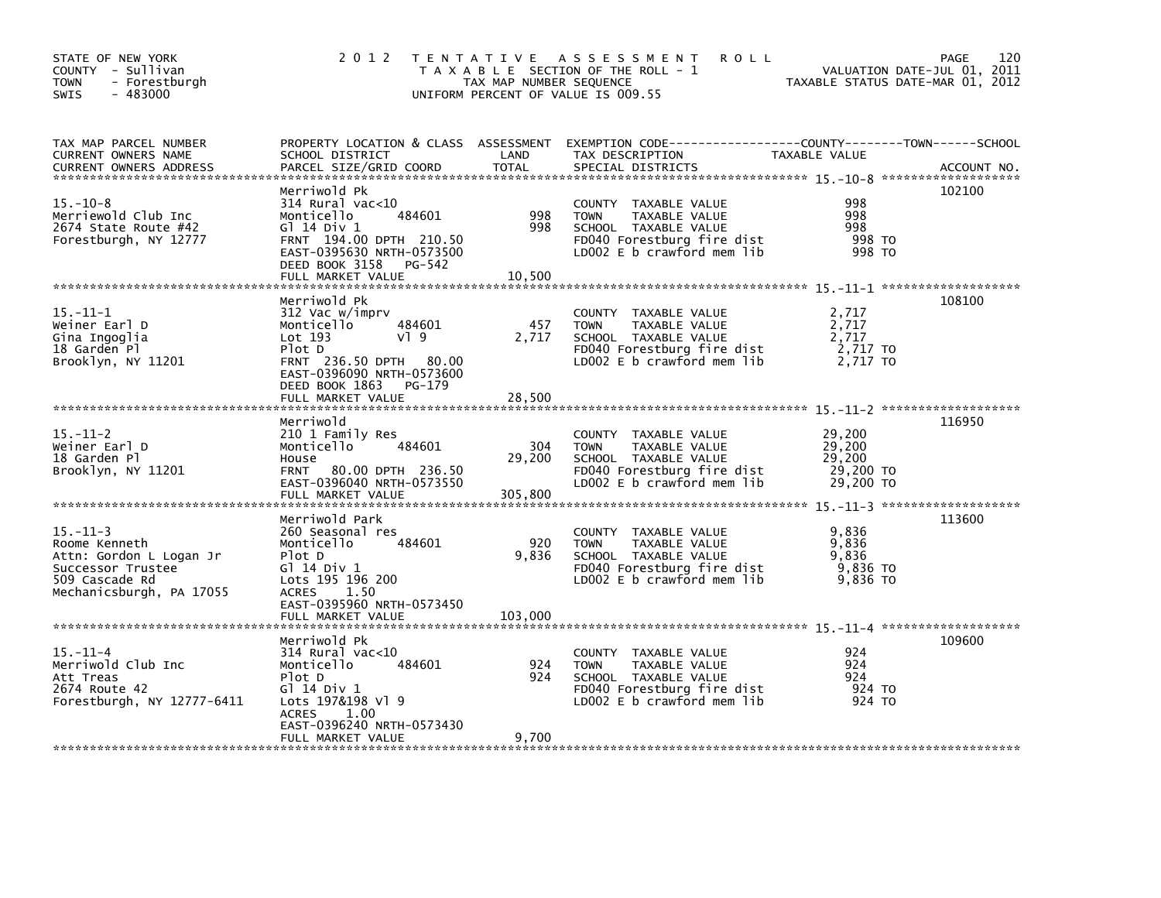| STATE OF NEW YORK<br>COUNTY - Sullivan<br>- Forestburgh<br>TOWN<br>$-483000$<br><b>SWIS</b>                                   | 2 0 1 2                                                                                                                                                                               | TAX MAP NUMBER SEQUENCE  | TENTATIVE ASSESSMENT<br><b>ROLL</b><br>T A X A B L E SECTION OF THE ROLL - 1<br>UNIFORM PERCENT OF VALUE IS 009.55                         | VALUATION DATE-JUL 01, 2011<br>TAXABLE STATUS DATE-MAR 01, 2012 | 120<br>PAGE |
|-------------------------------------------------------------------------------------------------------------------------------|---------------------------------------------------------------------------------------------------------------------------------------------------------------------------------------|--------------------------|--------------------------------------------------------------------------------------------------------------------------------------------|-----------------------------------------------------------------|-------------|
| TAX MAP PARCEL NUMBER<br>CURRENT OWNERS NAME<br><b>CURRENT OWNERS ADDRESS</b>                                                 | SCHOOL DISTRICT<br>PARCEL SIZE/GRID COORD                                                                                                                                             | LAND<br><b>TOTAL</b>     | PROPERTY LOCATION & CLASS ASSESSMENT EXEMPTION CODE---------------COUNTY-------TOWN------SCHOOL<br>TAX DESCRIPTION<br>SPECIAL DISTRICTS    | <b>TAXABLE VALUE</b>                                            | ACCOUNT NO. |
| $15. - 10 - 8$<br>Merriewold Club Inc<br>2674 State Route #42<br>Forestburgh, NY 12777                                        | Merriwold Pk<br>$314$ Rural vac< $10$<br>Monticello<br>484601<br>G1 14 Div 1<br>FRNT 194.00 DPTH 210.50<br>EAST-0395630 NRTH-0573500<br>DEED BOOK 3158<br>PG-542<br>FULL MARKET VALUE | 998<br>998<br>10,500     | COUNTY TAXABLE VALUE<br>TAXABLE VALUE<br><b>TOWN</b><br>SCHOOL TAXABLE VALUE<br>FD040 Forestburg fire dist<br>LD002 E b crawford mem lib   | 998<br>998<br>998<br>998 TO<br>998 TO                           | 102100      |
| $15.-11-1$<br>Weiner Earl D<br>Gina Ingoglia<br>18 Garden Pl<br>Brooklyn, NY 11201                                            | Merriwold Pk<br>312 Vac w/imprv<br>484601<br>Monticello<br>Lot 193<br>$V$ ] 9<br>Plot D<br>FRNT 236.50 DPTH 80.00<br>EAST-0396090 NRTH-0573600<br>DEED BOOK 1863<br>PG-179            | 457<br>2,717             | COUNTY TAXABLE VALUE<br><b>TOWN</b><br>TAXABLE VALUE<br>SCHOOL TAXABLE VALUE<br>FD040 Forestburg fire dist<br>LD002 E b crawford mem lib   | 2,717<br>2,717<br>2,717<br>2,717 TO<br>2,717 TO                 | 108100      |
|                                                                                                                               | FULL MARKET VALUE                                                                                                                                                                     | 28,500                   |                                                                                                                                            |                                                                 |             |
| $15. - 11 - 2$<br>Weiner Earl D<br>18 Garden Pl<br>Brooklyn, NY 11201                                                         | Merriwold<br>210 1 Family Res<br>Monticello<br>484601<br>House<br><b>FRNT</b><br>80.00 DPTH 236.50<br>EAST-0396040 NRTH-0573550<br>FULL MARKET VALUE                                  | 304<br>29,200<br>305,800 | COUNTY TAXABLE VALUE<br>TAXABLE VALUE<br><b>TOWN</b><br>SCHOOL TAXABLE VALUE<br>FD040 Forestburg fire dist<br>$LD002 E b$ crawford mem lib | 29,200<br>29,200<br>29,200<br>29,200 TO<br>29,200 TO            | 116950      |
| $15. - 11 - 3$<br>Roome Kenneth<br>Attn: Gordon L Logan Jr<br>Successor Trustee<br>509 Cascade Rd<br>Mechanicsburgh, PA 17055 | Merriwold Park<br>260 Seasonal res<br>Monticello<br>484601<br>Plot D<br>G1 14 Div 1<br>Lots 195 196 200<br><b>ACRES</b><br>1.50<br>EAST-0395960 NRTH-0573450                          | 920<br>9,836             | COUNTY TAXABLE VALUE<br><b>TOWN</b><br>TAXABLE VALUE<br>SCHOOL TAXABLE VALUE<br>FD040 Forestburg fire dist<br>LD002 E b crawford mem lib   | 9,836<br>9,836<br>9,836<br>9,836 TO<br>9,836 TO                 | 113600      |
|                                                                                                                               | FULL MARKET VALUE                                                                                                                                                                     | 103,000                  |                                                                                                                                            |                                                                 |             |
| $15. - 11 - 4$<br>Merriwold Club Inc<br>Att Treas<br>2674 Route 42<br>Forestburgh, NY 12777-6411                              | Merriwold Pk<br>$314$ Rural vac<10<br>Monticello<br>484601<br>Plot D<br>G] 14 Div 1<br>Lots 197&198 Vl 9<br><b>ACRES</b><br>1.00<br>EAST-0396240 NRTH-0573430                         | 924<br>924               | COUNTY TAXABLE VALUE<br>TAXABLE VALUE<br><b>TOWN</b><br>SCHOOL TAXABLE VALUE<br>FD040 Forestburg fire dist<br>LD002 E b crawford mem lib   | 924<br>924<br>924<br>924 TO<br>924 TO                           | 109600      |
|                                                                                                                               | FULL MARKET VALUE                                                                                                                                                                     | 9,700                    |                                                                                                                                            |                                                                 |             |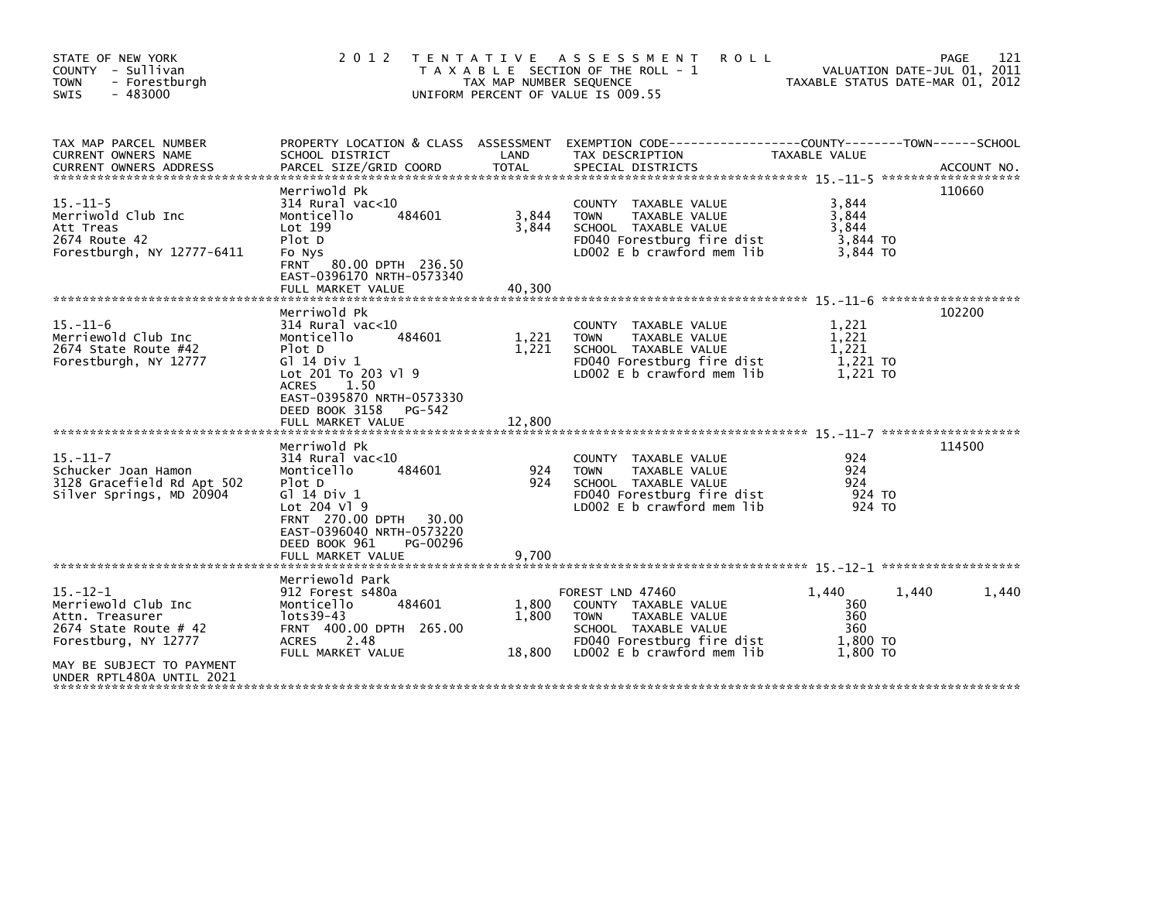| STATE OF NEW YORK<br>COUNTY - Sullivan<br><b>TOWN</b><br>- Forestburgh<br>$-483000$<br><b>SWIS</b>                                                                 | 2 0 1 2<br>T E N T A T I V E                                                                                                                                                                                    | TAX MAP NUMBER SEQUENCE  | ASSESSMENT<br><b>ROLL</b><br>T A X A B L E SECTION OF THE ROLL - 1<br>UNIFORM PERCENT OF VALUE IS 009.55                                                     |                                                    | 121<br>PAGE<br>VALUATION DATE-JUL 01, 2011<br>TAXABLE STATUS DATE-MAR 01, 2012 |
|--------------------------------------------------------------------------------------------------------------------------------------------------------------------|-----------------------------------------------------------------------------------------------------------------------------------------------------------------------------------------------------------------|--------------------------|--------------------------------------------------------------------------------------------------------------------------------------------------------------|----------------------------------------------------|--------------------------------------------------------------------------------|
| TAX MAP PARCEL NUMBER<br>CURRENT OWNERS NAME<br><b>CURRENT OWNERS ADDRESS</b>                                                                                      | PROPERTY LOCATION & CLASS ASSESSMENT<br>SCHOOL DISTRICT<br>PARCEL SIZE/GRID COORD                                                                                                                               | LAND<br><b>TOTAL</b>     | TAX DESCRIPTION<br>SPECIAL DISTRICTS                                                                                                                         | TAXABLE VALUE                                      | ACCOUNT NO.                                                                    |
| $15. - 11 - 5$<br>Merriwold Club Inc<br>Att Treas<br>2674 Route 42<br>Forestburgh, NY 12777-6411                                                                   | Merriwold Pk<br>$314$ Rural vac<10<br>Monticello<br>484601<br>Lot 199<br>Plot D<br>Fo Nys<br><b>FRNT</b><br>80.00 DPTH 236.50<br>EAST-0396170 NRTH-0573340<br>FULL MARKET VALUE                                 | 3,844<br>3,844<br>40,300 | COUNTY TAXABLE VALUE<br>TAXABLE VALUE<br><b>TOWN</b><br>SCHOOL TAXABLE VALUE<br>FD040 Forestburg fire dist<br>LD002 E b crawford mem lib                     | 3,844<br>3.844<br>3.844<br>3,844 TO<br>3,844 TO    | 110660                                                                         |
| $15. - 11 - 6$<br>Merriewold Club Inc<br>2674 State Route #42<br>Forestburgh, NY 12777                                                                             | Merriwold Pk<br>314 Rural vac<10<br>Monticello<br>484601<br>Plot D<br>G1 14 Div 1<br>Lot 201 To 203 V1 9<br>1.50<br><b>ACRES</b><br>EAST-0395870 NRTH-0573330<br>DEED BOOK 3158<br>PG-542<br>FULL MARKET VALUE  | 1,221<br>1,221<br>12,800 | <b>COUNTY</b><br>TAXABLE VALUE<br>TAXABLE VALUE<br><b>TOWN</b><br>SCHOOL TAXABLE VALUE<br>FD040 Forestburg fire dist<br>LD002 $E$ b crawford mem $lib$       | 1,221<br>1,221<br>1,221<br>1,221 TO<br>1.221 TO    | 102200                                                                         |
| $15. - 11 - 7$<br>Schucker Joan Hamon<br>3128 Gracefield Rd Apt 502<br>Silver Springs, MD 20904                                                                    | Merriwold Pk<br>$314$ Rural vac<10<br>Monticello<br>484601<br>Plot D<br>G1 14 Div 1<br>Lot 204 V1 9<br>FRNT 270.00 DPTH<br>30.00<br>EAST-0396040 NRTH-0573220<br>DEED BOOK 961<br>PG-00296<br>FULL MARKET VALUE | 924<br>924<br>9,700      | COUNTY TAXABLE VALUE<br>TAXABLE VALUE<br><b>TOWN</b><br>SCHOOL TAXABLE VALUE<br>FD040 Forestburg fire dist<br>LD002 E b crawford mem lib                     | 924<br>924<br>924<br>924 TO<br>924 TO              | 114500                                                                         |
| $15 - 12 - 1$<br>Merriewold Club Inc<br>Attn. Treasurer<br>2674 State Route # 42<br>Forestburg, NY 12777<br>MAY BE SUBJECT TO PAYMENT<br>UNDER RPTL480A UNTIL 2021 | Merriewold Park<br>912 Forest s480a<br>484601<br>Monticello<br>lots39-43<br>FRNT 400.00 DPTH 265.00<br><b>ACRES</b><br>2.48<br>FULL MARKET VALUE                                                                | 1,800<br>1,800<br>18,800 | FOREST LND 47460<br>COUNTY TAXABLE VALUE<br><b>TOWN</b><br>TAXABLE VALUE<br>SCHOOL TAXABLE VALUE<br>FD040 Forestburg fire dist<br>LD002 E b crawford mem lib | 1.440<br>360<br>360<br>360<br>1,800 TO<br>1,800 TO | 1,440<br>1,440                                                                 |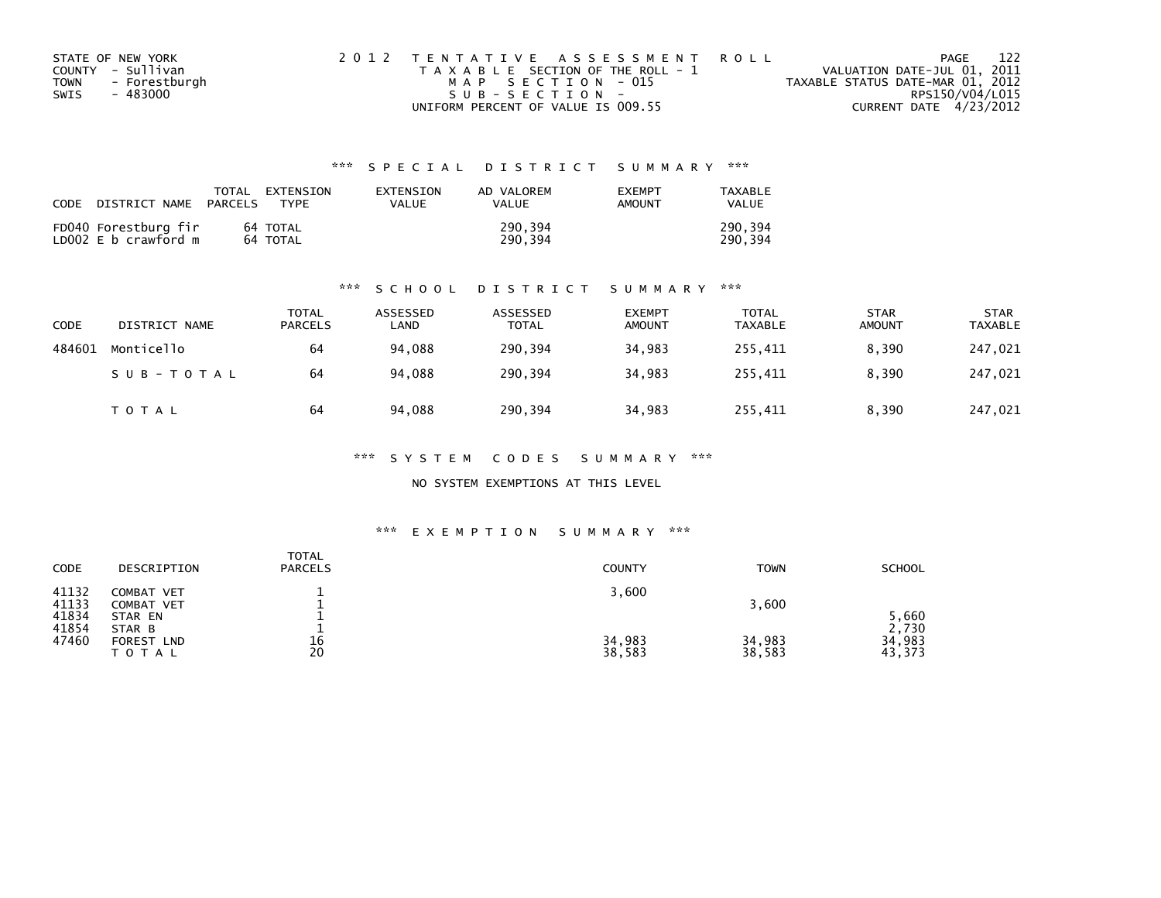| STATE OF NEW YORK     | 2012 TENTATIVE ASSESSMENT ROLL        |                                  | PAGE | 122 |
|-----------------------|---------------------------------------|----------------------------------|------|-----|
| COUNTY - Sullivan     | T A X A B L E SECTION OF THE ROLL - 1 | VALUATION DATE-JUL 01, 2011      |      |     |
| - Forestburgh<br>TOWN | MAP SECTION - 015                     | TAXABLE STATUS DATE-MAR 01, 2012 |      |     |
| - 483000<br>SWIS      | $SUB - SECTION -$                     | RPS150/V04/L015                  |      |     |
|                       | UNIFORM PERCENT OF VALUE IS 009.55    | CURRENT DATE 4/23/2012           |      |     |

## \*\*\* S P E C I A L D I S T R I C T S U M M A R Y \*\*\*

| CODE DISTRICT NAME                           | PARCELS | TOTAL EXTENSION<br><b>TYPF</b> | EXTENSION<br>VALUE | AD VALOREM<br><b>VALUE</b> | <b>EXEMPT</b><br>AMOUNT | TAXABLE<br>VALUE   |
|----------------------------------------------|---------|--------------------------------|--------------------|----------------------------|-------------------------|--------------------|
| FD040 Forestburg fir<br>LD002 E b crawford m |         | 64 TOTAL<br>64 TOTAL           |                    | 290,394<br>290,394         |                         | 290.394<br>290.394 |

### \*\*\* S C H O O L D I S T R I C T S U M M A R Y \*\*\*

| <b>CODE</b> | DISTRICT NAME | TOTAL<br><b>PARCELS</b> | ASSESSED<br>LAND | ASSESSED<br><b>TOTAL</b> | <b>EXEMPT</b><br><b>AMOUNT</b> | <b>TOTAL</b><br><b>TAXABLE</b> | <b>STAR</b><br><b>AMOUNT</b> | <b>STAR</b><br><b>TAXABLE</b> |
|-------------|---------------|-------------------------|------------------|--------------------------|--------------------------------|--------------------------------|------------------------------|-------------------------------|
| 484601      | Monticello    | 64                      | 94,088           | 290,394                  | 34,983                         | 255,411                        | 8,390                        | 247,021                       |
|             | SUB-TOTAL     | 64                      | 94.088           | 290.394                  | 34.983                         | 255.411                        | 8.390                        | 247,021                       |
|             | T O T A L     | 64                      | 94.088           | 290,394                  | 34,983                         | 255,411                        | 8,390                        | 247,021                       |

\*\*\* S Y S T E M C O D E S S U M M A R Y \*\*\*

NO SYSTEM EXEMPTIONS AT THIS LEVEL

### \*\*\* E X E M P T I O N S U M M A R Y \*\*\*

| CODE                    | DESCRIPTION                             | <b>TOTAL</b><br><b>PARCELS</b> | <b>COUNTY</b>    | <b>TOWN</b>      | <b>SCHOOL</b>             |
|-------------------------|-----------------------------------------|--------------------------------|------------------|------------------|---------------------------|
| 41132<br>41133<br>41834 | COMBAT VET<br>COMBAT VET<br>STAR EN     |                                | 3,600            | 3,600            | 5,660                     |
| 41854<br>47460          | STAR B<br>FOREST<br><b>LND</b><br>TOTAL | 16<br>20                       | 34,983<br>38,583 | 34,983<br>38,583 | 2,730<br>34,983<br>43,373 |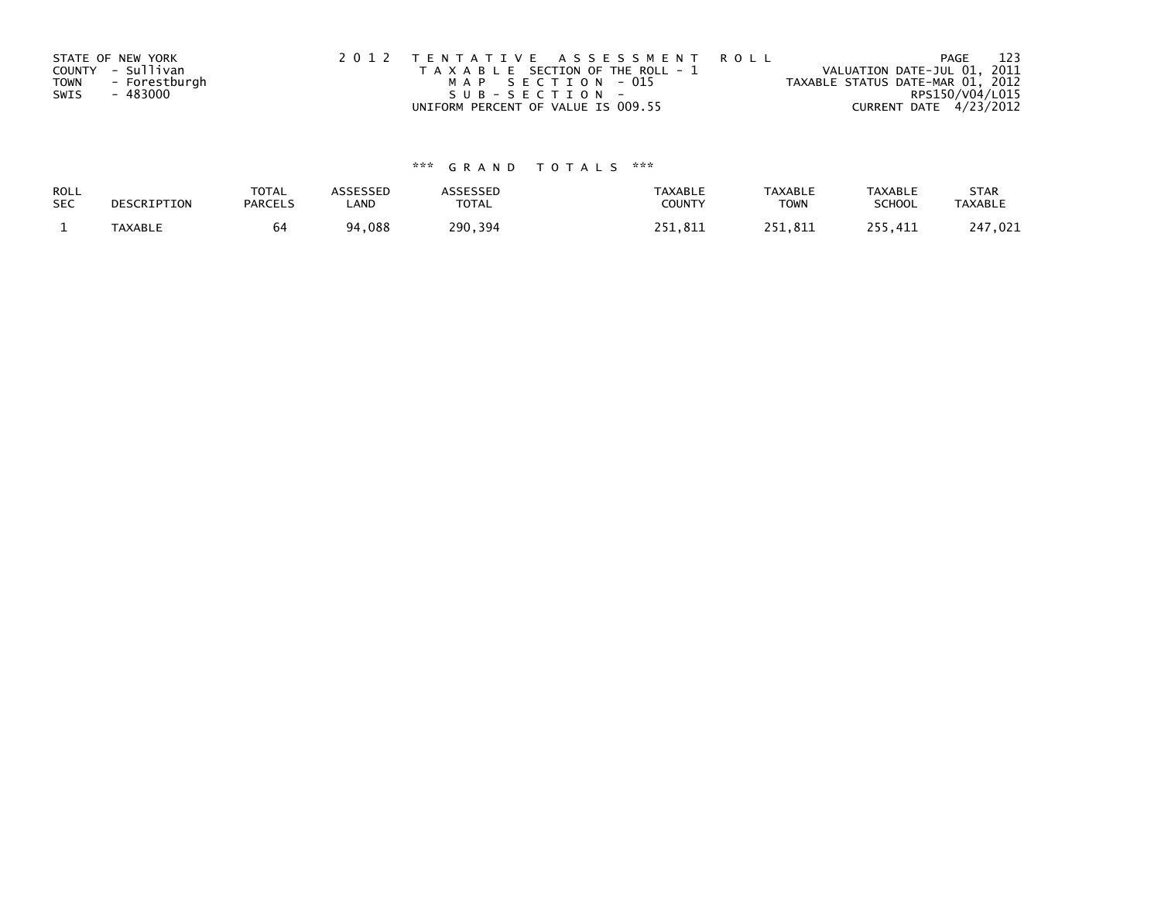|      | STATE OF NEW YORK | 2012 TENTATIVE ASSESSMENT ROLL        | PAGE                             | 123 |
|------|-------------------|---------------------------------------|----------------------------------|-----|
|      | COUNTY - Sullivan | T A X A B L E SECTION OF THE ROLL - 1 | VALUATION DATE-JUL 01, 2011      |     |
| TOWN | - Forestburgh     | MAP SECTION - 015                     | TAXABLE STATUS DATE-MAR 01, 2012 |     |
| SWIS | - 483000          | SUB-SECTION-                          | RPS150/V04/L015                  |     |
|      |                   | UNIFORM PERCENT OF VALUE IS 009.55    | CURRENT DATE 4/23/2012           |     |

# \*\*\* G R A N D T O T A L S \*\*\*

| ROLL<br><b>SEC</b> | DESCRIPTION    | <b>TOTAL</b><br><b>PARCELS</b> | ASSESSEP<br>LAND | <b>\SSESSED</b><br>TOTAL | <b>TAXABLE</b><br><b>COUNT</b> | <b>TAXABLE</b><br><b>TOWN</b> | <b>TAXABLE</b><br>SCHOOL | <b>STAR</b><br><b>TAXABLE</b> |
|--------------------|----------------|--------------------------------|------------------|--------------------------|--------------------------------|-------------------------------|--------------------------|-------------------------------|
|                    | <b>TAXABLE</b> | 64                             | ,088<br>۹4       | 290.<br>. 394            | つちつ<br><b>R1</b>               | R1                            | 411                      | .021                          |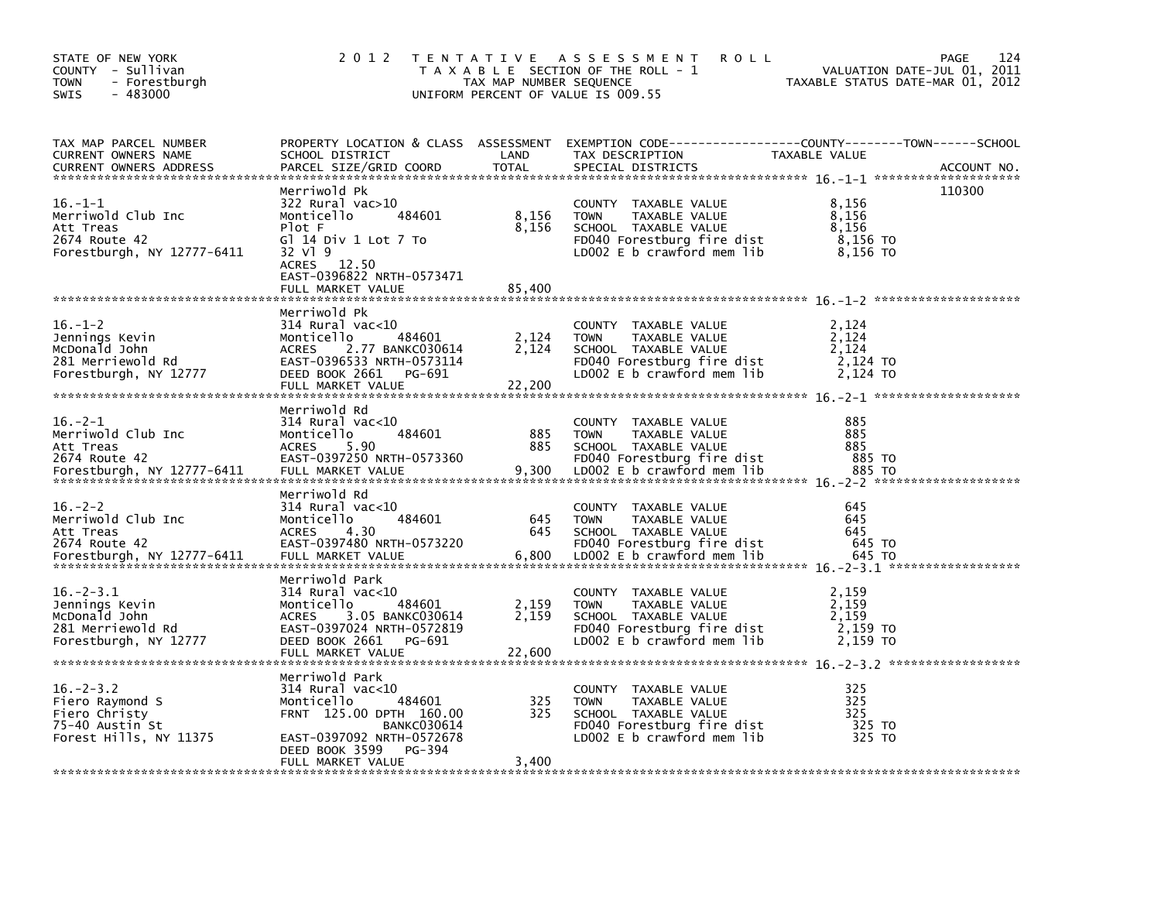| STATE OF NEW YORK<br>COUNTY - Sullivan<br><b>TOWN</b><br>- Forestburgh<br>$-483000$<br>SWIS      | 2 0 1 2                                                                                                                                                                                        | T E N T A T I V E<br>TAX MAP NUMBER SEQUENCE | A S S E S S M E N T<br><b>ROLL</b><br>T A X A B L E SECTION OF THE ROLL - 1<br>UNIFORM PERCENT OF VALUE IS 009.55                        | VALUATION DATE-JUL 01, 2011<br>TAXABLE STATUS DATE-MAR 01, 2012 | 124<br>PAGE |
|--------------------------------------------------------------------------------------------------|------------------------------------------------------------------------------------------------------------------------------------------------------------------------------------------------|----------------------------------------------|------------------------------------------------------------------------------------------------------------------------------------------|-----------------------------------------------------------------|-------------|
| TAX MAP PARCEL NUMBER<br>CURRENT OWNERS NAME<br><b>CURRENT OWNERS ADDRESS</b>                    | PROPERTY LOCATION & CLASS ASSESSMENT<br>SCHOOL DISTRICT<br>PARCEL SIZE/GRID COORD                                                                                                              | LAND<br><b>TOTAL</b>                         | EXEMPTION CODE-----------------COUNTY-------TOWN------SCHOOL<br>TAX DESCRIPTION<br>SPECIAL DISTRICTS                                     | TAXABLE VALUE                                                   | ACCOUNT NO. |
| $16. - 1 - 1$<br>Merriwold Club Inc<br>Att Treas<br>2674 Route 42<br>Forestburgh, NY 12777-6411  | Merriwold Pk<br>322 Rural vac>10<br>484601<br>Monticello<br>Plot F<br>GT 14 Div 1 Lot 7 To<br>32 V1 9<br>ACRES 12.50<br>EAST-0396822 NRTH-0573471<br>FULL MARKET VALUE                         | 8,156<br>8,156<br>85,400                     | COUNTY TAXABLE VALUE<br>TAXABLE VALUE<br><b>TOWN</b><br>SCHOOL TAXABLE VALUE<br>FD040 Forestburg fire dist<br>LDOO2 E b crawford mem lib | 8,156<br>8,156<br>8,156<br>8,156 TO<br>8,156 то                 | 110300      |
| $16. - 1 - 2$<br>Jennings Kevin<br>McDonald John<br>281 Merriewold Rd<br>Forestburgh, NY 12777   | Merriwold Pk<br>314 Rural vac<10<br>484601<br>Monticello<br><b>ACRES</b><br>2.77 BANKC030614<br>EAST-0396533 NRTH-0573114<br>DEED BOOK 2661<br>PG-691<br>FULL MARKET VALUE                     | 2,124<br>2,124<br>22,200                     | COUNTY TAXABLE VALUE<br>TAXABLE VALUE<br><b>TOWN</b><br>SCHOOL TAXABLE VALUE<br>FD040 Forestburg fire dist<br>LDOO2 E b crawford mem lib | 2,124<br>2,124<br>2,124<br>2,124 TO<br>2,124 TO                 |             |
| $16. -2 - 1$<br>Merriwold Club Inc<br>Att Treas<br>2674 Route 42<br>Forestburgh, NY 12777-6411   | Merriwold Rd<br>314 Rural vac<10<br>484601<br>Monticello<br><b>ACRES</b><br>5.90<br>EAST-0397250 NRTH-0573360<br>FULL MARKET VALUE                                                             | 885<br>885<br>9,300                          | COUNTY TAXABLE VALUE<br>TAXABLE VALUE<br><b>TOWN</b><br>SCHOOL TAXABLE VALUE<br>FD040 Forestburg fire dist<br>LD002 E b crawford mem lib | 885<br>885<br>885<br>885 TO<br>885 TO                           |             |
| $16. - 2 - 2$<br>Merriwold Club Inc<br>Att Treas<br>2674 Route 42<br>Forestburgh, NY 12777-6411  | Merriwold Rd<br>$314$ Rural vac< $10$<br>484601<br>Monticello<br><b>ACRES</b><br>4.30<br>EAST-0397480 NRTH-0573220<br>FULL MARKET VALUE                                                        | 645<br>645<br>6,800                          | COUNTY TAXABLE VALUE<br><b>TOWN</b><br>TAXABLE VALUE<br>SCHOOL TAXABLE VALUE<br>FD040 Forestburg fire dist<br>LDOO2 E b crawford mem lib | 645<br>645<br>645<br>645 TO<br>645 TO                           |             |
| $16. - 2 - 3.1$<br>Jennings Kevin<br>McDonald John<br>281 Merriewold Rd<br>Forestburgh, NY 12777 | Merriwold Park<br>$314$ Rural vac< $10$<br>484601<br>Monticello<br><b>ACRES</b><br>3.05 BANKC030614<br>EAST-0397024 NRTH-0572819<br>DEED BOOK 2661<br>PG-691<br>FULL MARKET VALUE              | 2,159<br>2,159<br>22,600                     | COUNTY TAXABLE VALUE<br><b>TOWN</b><br>TAXABLE VALUE<br>SCHOOL TAXABLE VALUE<br>FD040 Forestburg fire dist<br>LD002 E b crawford mem lib | 2,159<br>2,159<br>2,159<br>2,159 TO<br>2,159 TO                 |             |
| $16. - 2 - 3.2$<br>Fiero Raymond S<br>Fiero Christy<br>75-40 Austin St<br>Forest Hills, NY 11375 | Merriwold Park<br>$314$ Rural vac< $10$<br>484601<br>Monticello<br>FRNT 125.00 DPTH 160.00<br><b>BANKC030614</b><br>EAST-0397092 NRTH-0572678<br>DEED BOOK 3599<br>PG-394<br>FULL MARKET VALUE | 325<br>325<br>3,400                          | COUNTY TAXABLE VALUE<br><b>TOWN</b><br>TAXABLE VALUE<br>SCHOOL TAXABLE VALUE<br>FD040 Forestburg fire dist<br>LD002 E b crawford mem lib | 325<br>325<br>325<br>325 TO<br>325 TO                           |             |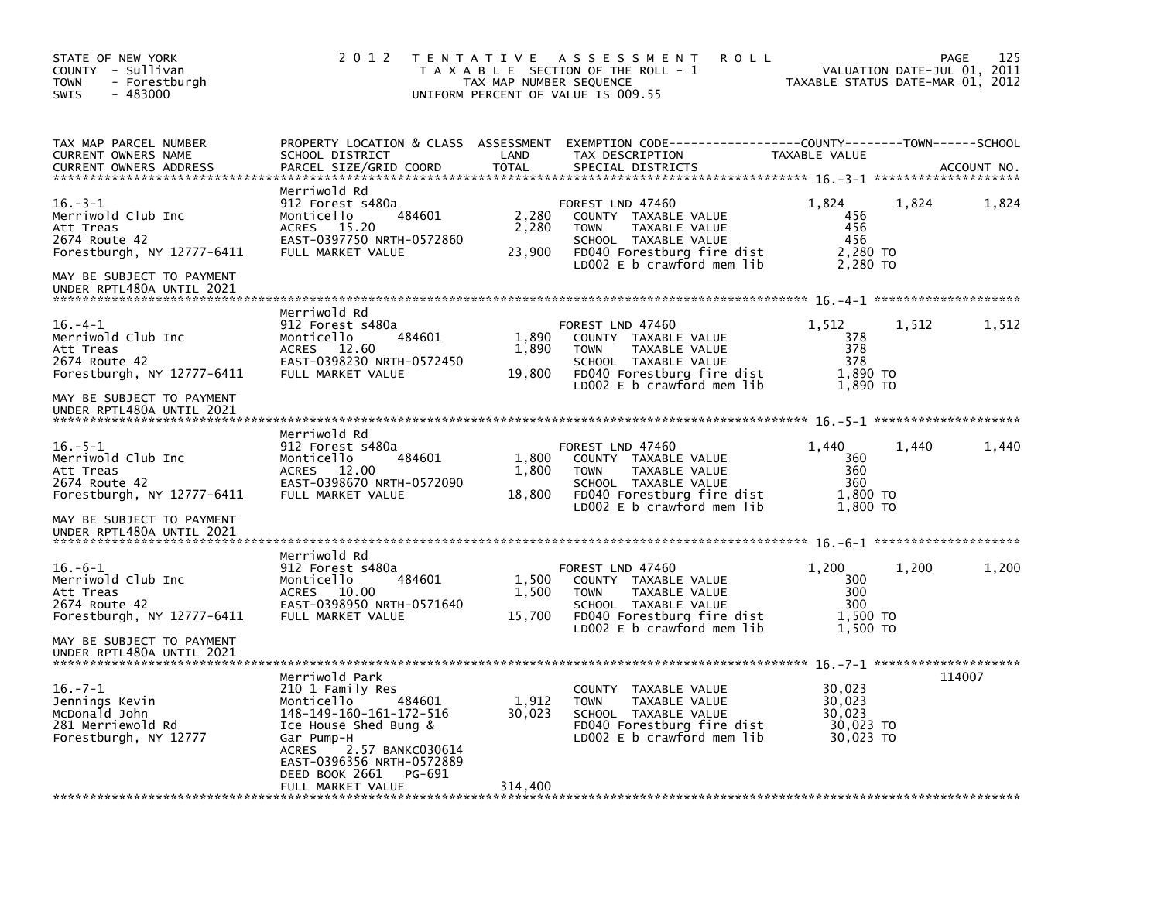| STATE OF NEW YORK<br>COUNTY - Sullivan<br>- Forestburgh<br><b>TOWN</b><br>$-483000$<br><b>SWIS</b>                          | 2 0 1 2                                                                                                                                                                                                                                        | TAX MAP NUMBER SEQUENCE    | TENTATIVE ASSESSMENT<br><b>ROLL</b><br>T A X A B L E SECTION OF THE ROLL - 1<br>UNIFORM PERCENT OF VALUE IS 009.55                                           | TAXABLE STATUS DATE-MAR 01, 2012                     |       | 125<br>PAGE<br>VALUATION DATE-JUL 01, 2011 |
|-----------------------------------------------------------------------------------------------------------------------------|------------------------------------------------------------------------------------------------------------------------------------------------------------------------------------------------------------------------------------------------|----------------------------|--------------------------------------------------------------------------------------------------------------------------------------------------------------|------------------------------------------------------|-------|--------------------------------------------|
| TAX MAP PARCEL NUMBER<br>CURRENT OWNERS NAME<br><b>CURRENT OWNERS ADDRESS</b>                                               | PROPERTY LOCATION & CLASS ASSESSMENT<br>SCHOOL DISTRICT<br>PARCEL SIZE/GRID COORD                                                                                                                                                              | LAND<br><b>TOTAL</b>       | EXEMPTION CODE-----------------COUNTY-------TOWN------SCHOOL<br>TAX DESCRIPTION<br>SPECIAL DISTRICTS                                                         | TAXABLE VALUE                                        |       | ACCOUNT NO.                                |
| $16. -3 - 1$<br>Merriwold Club Inc<br>Att Treas<br>2674 Route 42<br>Forestburgh, NY 12777-6411<br>MAY BE SUBJECT TO PAYMENT | Merriwold Rd<br>912 Forest s480a<br>Monticello<br>484601<br>ACRES 15.20<br>EAST-0397750 NRTH-0572860<br>FULL MARKET VALUE                                                                                                                      | 2,280<br>2,280<br>23,900   | FOREST LND 47460<br>COUNTY TAXABLE VALUE<br>TAXABLE VALUE<br><b>TOWN</b><br>SCHOOL TAXABLE VALUE<br>FD040 Forestburg fire dist<br>LD002 E b crawford mem lib | 1,824<br>456<br>456<br>456<br>2,280 TO<br>2,280 TO   | 1,824 | 1,824                                      |
| UNDER RPTL480A UNTIL 2021                                                                                                   |                                                                                                                                                                                                                                                |                            |                                                                                                                                                              |                                                      |       |                                            |
| $16. -4 - 1$<br>Merriwold Club Inc<br>Att Treas<br>2674 Route 42<br>Forestburgh, NY 12777-6411                              | Merriwold Rd<br>912 Forest s480a<br>Monticello<br>484601<br>12.60<br>ACRES<br>EAST-0398230 NRTH-0572450<br>FULL MARKET VALUE                                                                                                                   | 1,890<br>1,890<br>19,800   | FOREST LND 47460<br>COUNTY TAXABLE VALUE<br><b>TOWN</b><br>TAXABLE VALUE<br>SCHOOL TAXABLE VALUE<br>FD040 Forestburg fire dist<br>LD002 E b crawford mem lib | 1,512<br>378<br>378<br>378<br>1,890 TO<br>1,890 TO   | 1,512 | 1,512                                      |
| MAY BE SUBJECT TO PAYMENT<br>UNDER RPTL480A UNTIL 2021                                                                      |                                                                                                                                                                                                                                                |                            |                                                                                                                                                              |                                                      |       |                                            |
| $16. - 5 - 1$<br>Merriwold Club Inc<br>Att Treas<br>2674 Route 42<br>Forestburgh, NY 12777-6411                             | Merriwold Rd<br>912 Forest s480a<br>484601<br>Monticello<br>12.00<br><b>ACRES</b><br>EAST-0398670 NRTH-0572090<br>FULL MARKET VALUE                                                                                                            | 1,800<br>1,800<br>18,800   | FOREST LND 47460<br>COUNTY TAXABLE VALUE<br>TAXABLE VALUE<br><b>TOWN</b><br>SCHOOL TAXABLE VALUE<br>FD040 Forestburg fire dist<br>LD002 E b crawford mem lib | 1,440<br>360<br>360<br>360<br>1,800 TO<br>1,800 TO   | 1,440 | 1,440                                      |
| MAY BE SUBJECT TO PAYMENT<br>UNDER RPTL480A UNTIL 2021                                                                      |                                                                                                                                                                                                                                                |                            |                                                                                                                                                              |                                                      |       |                                            |
| $16. -6 - 1$<br>Merriwold Club Inc<br>Att Treas<br>2674 Route 42<br>Forestburgh, NY 12777-6411                              | Merriwold Rd<br>912 Forest s480a<br>Monticello<br>484601<br>ACRES 10.00<br>EAST-0398950 NRTH-0571640<br>FULL MARKET VALUE                                                                                                                      | 1,500<br>1,500<br>15,700   | FOREST LND 47460<br>COUNTY TAXABLE VALUE<br><b>TOWN</b><br>TAXABLE VALUE<br>SCHOOL TAXABLE VALUE<br>FD040 Forestburg fire dist                               | 1,200<br>300<br>300<br>300<br>1,500 TO               | 1.200 | 1,200                                      |
| MAY BE SUBJECT TO PAYMENT<br>UNDER RPTL480A UNTIL 2021                                                                      |                                                                                                                                                                                                                                                |                            | $LD002 E b$ crawford mem lib                                                                                                                                 | 1,500 TO                                             |       |                                            |
| $16. -7 - 1$<br>Jennings Kevin<br>McDonald John<br>281 Merriewold Rd<br>Forestburgh, NY 12777                               | Merriwold Park<br>210 1 Family Res<br>Monticello<br>484601<br>148-149-160-161-172-516<br>Ice House Shed Bung &<br>Gar Pump-H<br><b>ACRES</b><br>2.57 BANKC030614<br>EAST-0396356 NRTH-0572889<br>DEED BOOK 2661<br>PG-691<br>FULL MARKET VALUE | 1,912<br>30,023<br>314,400 | COUNTY<br>TAXABLE VALUE<br><b>TOWN</b><br>TAXABLE VALUE<br>SCHOOL TAXABLE VALUE<br>FD040 Forestburg fire dist<br>LD002 E b crawford mem lib                  | 30,023<br>30,023<br>30.023<br>30,023 TO<br>30,023 TO |       | 114007                                     |
|                                                                                                                             |                                                                                                                                                                                                                                                |                            |                                                                                                                                                              |                                                      |       |                                            |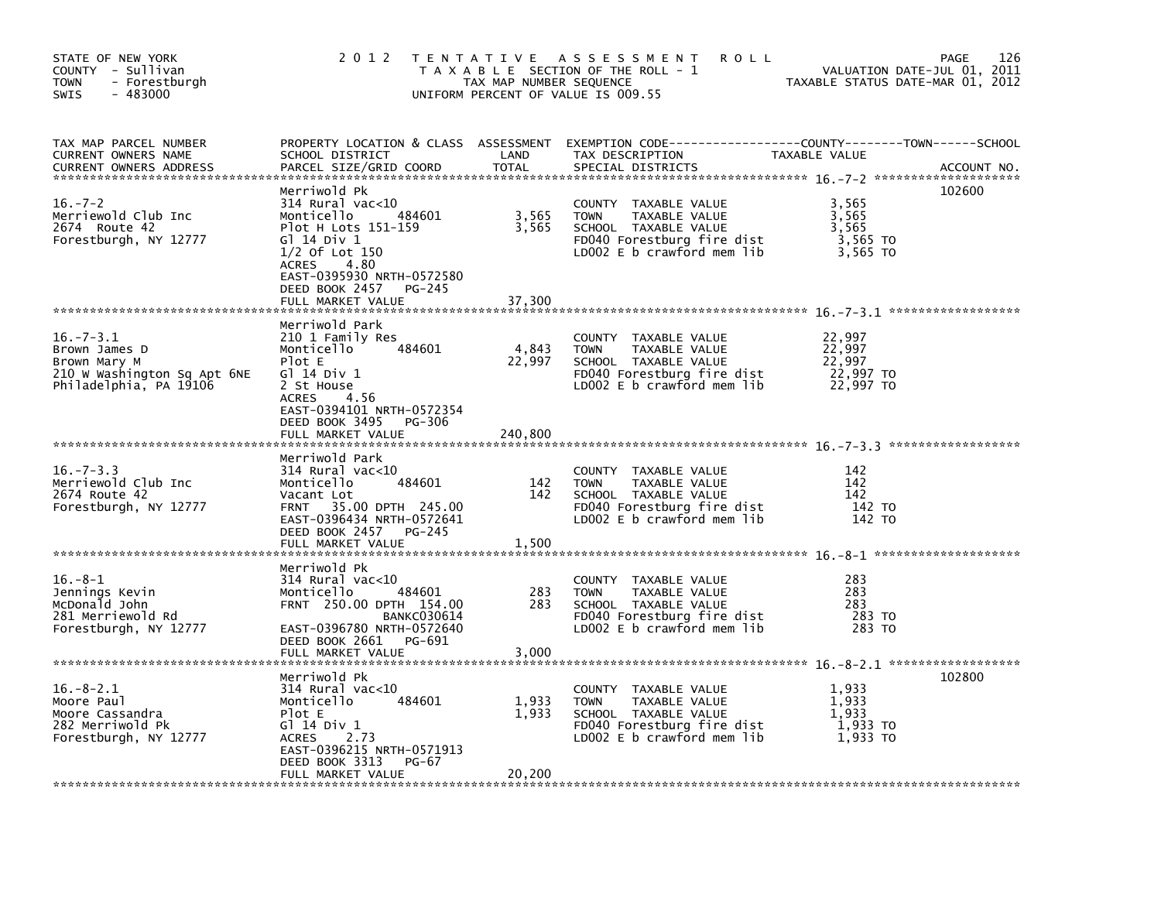| STATE OF NEW YORK<br>COUNTY - Sullivan<br><b>TOWN</b><br>- Forestburgh<br>$-483000$<br>SWIS               | 2 0 1 2                                                                                                                                                                                                               | TAX MAP NUMBER SEQUENCE    | TENTATIVE ASSESSMENT<br><b>ROLL</b><br>T A X A B L E SECTION OF THE ROLL - 1<br>UNIFORM PERCENT OF VALUE IS 009.55                         | TAXABLE STATUS DATE-MAR 01, 2012                     | 126<br>PAGE<br>VALUATION DATE-JUL 01, 2011 |
|-----------------------------------------------------------------------------------------------------------|-----------------------------------------------------------------------------------------------------------------------------------------------------------------------------------------------------------------------|----------------------------|--------------------------------------------------------------------------------------------------------------------------------------------|------------------------------------------------------|--------------------------------------------|
| TAX MAP PARCEL NUMBER<br>CURRENT OWNERS NAME<br><b>CURRENT OWNERS ADDRESS</b>                             | SCHOOL DISTRICT<br>PARCEL SIZE/GRID COORD                                                                                                                                                                             | LAND<br>TOTAL              | PROPERTY LOCATION & CLASS ASSESSMENT EXEMPTION CODE----------------COUNTY-------TOWN------SCHOOL<br>TAX DESCRIPTION<br>SPECIAL DISTRICTS   | TAXABLE VALUE                                        | ACCOUNT NO.                                |
| $16. - 7 - 2$<br>Merriewold Club Inc<br>2674 Route 42<br>Forestburgh, NY 12777                            | Merriwold Pk<br>$314$ Rural vac<10<br>484601<br>Monticello<br>Plot H Lots 151-159<br>G1 14 Div 1<br>$1/2$ Of Lot $150$<br>ACRES<br>4.80<br>EAST-0395930 NRTH-0572580<br>DEED BOOK 2457<br>PG-245<br>FULL MARKET VALUE | 3,565<br>3,565<br>37,300   | COUNTY TAXABLE VALUE<br><b>TOWN</b><br>TAXABLE VALUE<br>SCHOOL TAXABLE VALUE<br>FD040 Forestburg fire dist<br>LD002 $E$ b crawford mem lib | 3,565<br>3,565<br>3,565<br>3,565 TO<br>3,565 TO      | 102600                                     |
| $16. - 7 - 3.1$<br>Brown James D<br>Brown Mary M<br>210 W Washington Sq Apt 6NE<br>Philadelphia, PA 19106 | Merriwold Park<br>210 1 Family Res<br>Monticello<br>484601<br>Plot E<br>G1 14 Div 1<br>2 St House<br>4.56<br>ACRES<br>EAST-0394101 NRTH-0572354<br>DEED BOOK 3495<br>PG-306<br>FULL MARKET VALUE                      | 4,843<br>22,997<br>240,800 | COUNTY TAXABLE VALUE<br><b>TOWN</b><br>TAXABLE VALUE<br>SCHOOL TAXABLE VALUE<br>FD040 Forestburg fire dist<br>LD002 E b crawford mem lib   | 22,997<br>22,997<br>22.997<br>22,997 TO<br>22,997 TO |                                            |
| $16. - 7 - 3.3$<br>Merriewold Club Inc<br>2674 Route 42<br>Forestburgh, NY 12777                          | Merriwold Park<br>314 Rural vac<10<br>484601<br>Monticello<br>Vacant Lot<br>35.00 DPTH 245.00<br><b>FRNT</b><br>EAST-0396434 NRTH-0572641<br>DEED BOOK 2457<br>PG-245<br>FULL MARKET VALUE                            | 142<br>142<br>1,500        | COUNTY TAXABLE VALUE<br>TAXABLE VALUE<br>TOWN<br>SCHOOL TAXABLE VALUE<br>FD040 Forestburg fire dist<br>LD002 E b crawford mem lib          | 142<br>142<br>142<br>142 TO<br>142 TO                |                                            |
| $16. -8 - 1$<br>Jennings Kevin<br>McDonald John<br>281 Merriewold Rd<br>Forestburgh, NY 12777             | Merriwold Pk<br>$314$ Rural vac<10<br>484601<br>Monticello<br>FRNT 250.00 DPTH 154.00<br><b>BANKC030614</b><br>EAST-0396780 NRTH-0572640<br>DEED BOOK 2661 PG-691<br>FULL MARKET VALUE                                | 283<br>283<br>3,000        | COUNTY TAXABLE VALUE<br>TAXABLE VALUE<br><b>TOWN</b><br>SCHOOL TAXABLE VALUE<br>FD040 Forestburg fire dist<br>LD002 E b crawford mem lib   | 283<br>283<br>283<br>283 TO<br>283 TO                |                                            |
| $16.-8-2.1$<br>Moore Paul<br>Moore Cassandra<br>282 Merriwold Pk<br>Forestburgh, NY 12777                 | Merriwold Pk<br>$314$ Rural vac< $10$<br>Monticello<br>484601<br>Plot E<br>G1 14 Div 1<br>ACRES<br>2.73<br>EAST-0396215 NRTH-0571913<br>DEED BOOK 3313<br>PG-67<br>FULL MARKET VALUE                                  | 1,933<br>1,933<br>20,200   | COUNTY TAXABLE VALUE<br>TAXABLE VALUE<br><b>TOWN</b><br>SCHOOL TAXABLE VALUE<br>FD040 Forestburg fire dist<br>LD002 E b crawford mem lib   | 1,933<br>1,933<br>1.933<br>1,933 TO<br>1.933 TO      | 102800                                     |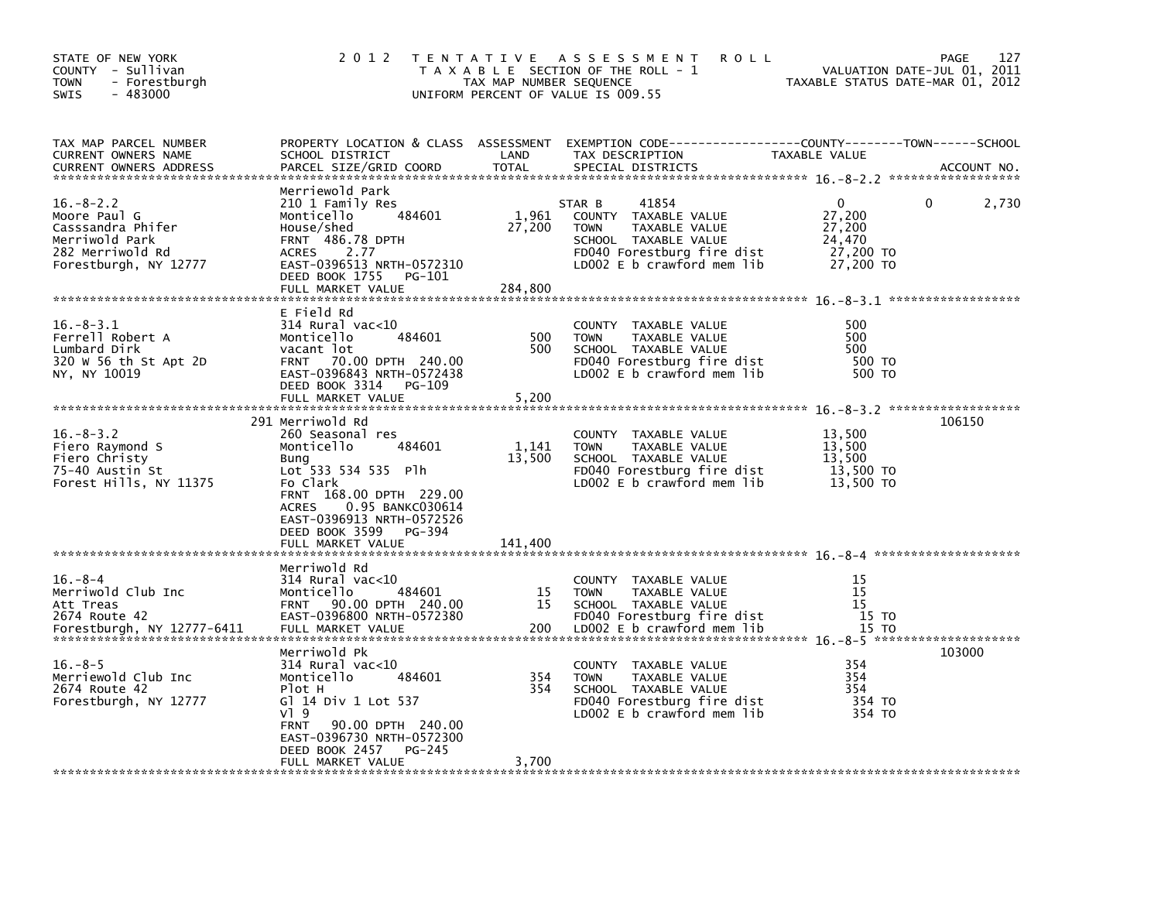| TAX MAP NUMBER SEQUENCE<br>TOWN<br>- Forestburgh<br>$-483000$<br>UNIFORM PERCENT OF VALUE IS 009.55<br>SWIS                                                                                                                                                                                                                                                                                                                                                                                                                                                                                      | VALUATION DATE-JUL 01, 2011<br>TAXABLE STATUS DATE-MAR 01, 2012 |
|--------------------------------------------------------------------------------------------------------------------------------------------------------------------------------------------------------------------------------------------------------------------------------------------------------------------------------------------------------------------------------------------------------------------------------------------------------------------------------------------------------------------------------------------------------------------------------------------------|-----------------------------------------------------------------|
| TAX MAP PARCEL NUMBER<br>PROPERTY LOCATION & CLASS ASSESSMENT EXEMPTION CODE---------------COUNTY-------TOWN-----SCHOOL<br>CURRENT OWNERS NAME<br>SCHOOL DISTRICT<br>LAND<br>TAX DESCRIPTION<br>TAXABLE VALUE<br>PARCEL SIZE/GRID COORD<br><b>TOTAL</b><br>SPECIAL DISTRICTS<br><b>CURRENT OWNERS ADDRESS</b>                                                                                                                                                                                                                                                                                    | ACCOUNT NO.                                                     |
| Merriewold Park<br>$16. - 8 - 2.2$<br>210 1 Family Res<br>41854<br>0<br>0<br>STAR B<br>1,961<br>27,200<br>Moore Paul G<br>484601<br>COUNTY TAXABLE VALUE<br>Monticello<br>27,200<br>27,200<br>Casssandra Phifer<br>House/shed<br><b>TOWN</b><br>TAXABLE VALUE<br>Merriwold Park<br><b>FRNT 486.78 DPTH</b><br>24,470<br>SCHOOL TAXABLE VALUE<br>27,200 TO<br>282 Merriwold Rd<br>2.77<br>FD040 Forestburg fire dist<br><b>ACRES</b><br>EAST-0396513 NRTH-0572310<br>LD002 E b crawford mem lib<br>27,200 TO<br>Forestburgh, NY 12777<br>DEED BOOK 1755<br>PG-101<br>284.800<br>FULL MARKET VALUE | 2,730                                                           |
| E Field Rd<br>$16. - 8 - 3.1$<br>314 Rural vac<10<br>500<br>COUNTY TAXABLE VALUE<br>Ferrell Robert A<br>500<br>500<br>Monticello<br>484601<br><b>TOWN</b><br>TAXABLE VALUE<br>500<br>500<br>Lumbard Dirk<br>vacant lot<br>SCHOOL TAXABLE VALUE<br>320 W 56 th St Apt 2D<br>FD040 Forestburg fire dist<br>500 TO<br><b>FRNT</b><br>70.00 DPTH 240.00<br>EAST-0396843 NRTH-0572438<br>NY, NY 10019<br>LD002 $E$ b crawford mem lib<br>500 TO<br>DEED BOOK 3314<br><b>PG-109</b><br>5,200<br>FULL MARKET VALUE                                                                                      |                                                                 |
| 291 Merriwold Rd<br>$16. - 8 - 3.2$<br>260 Seasonal res<br>13,500<br>COUNTY<br>TAXABLE VALUE<br>13,500<br>Fiero Raymond S<br>Monticello<br>484601<br>1,141<br>TAXABLE VALUE<br><b>TOWN</b><br>13,500<br>13.500<br>Fiero Christy<br>SCHOOL TAXABLE VALUE<br>Bung<br>75-40 Austin St<br>Lot 533 534 535 Plh<br>FD040 Forestburg fire dist<br>13,500 TO<br>13,500 TO<br>Forest Hills, NY 11375<br>Fo Clark<br>LD002 E b crawford mem lib<br>FRNT 168.00 DPTH 229.00<br>0.95 BANKC030614<br><b>ACRES</b><br>EAST-0396913 NRTH-0572526<br>DEED BOOK 3599<br>PG-394<br>FULL MARKET VALUE<br>141,400    | 106150                                                          |
| Merriwold Rd<br>$16. - 8 - 4$<br>15<br>314 Rural vac<10<br>COUNTY TAXABLE VALUE<br>Merriwold Club Inc<br>15<br>Monticello<br>484601<br><b>TOWN</b><br>TAXABLE VALUE<br>15<br>15<br>15<br><b>FRNT</b><br>90.00 DPTH 240.00<br>SCHOOL TAXABLE VALUE<br>Att Treas<br>EAST-0396800 NRTH-0572380<br>FD040 Forestburg fire dist<br>15 TO<br>2674 Route 42<br>LD002 E b crawford mem lib<br>15 TO<br>Forestburgh, NY 12777-6411<br>FULL MARKET VALUE<br>200                                                                                                                                             |                                                                 |
| Merriwold Pk<br>$16. - 8 - 5$<br>$314$ Rural vac<10<br>354<br>COUNTY<br>TAXABLE VALUE<br>354<br>Merriewold Club Inc<br>Monticello<br>484601<br>354<br><b>TOWN</b><br>TAXABLE VALUE<br>354<br>2674 Route 42<br>Plot H<br>354<br>SCHOOL TAXABLE VALUE<br>G] 14 Div 1 Lot 537<br>354 TO<br>Forestburgh, NY 12777<br>FD040 Forestburg fire dist<br>VI 9<br>LD002 E b crawford mem lib<br>354 TO<br>90.00 DPTH 240.00<br><b>FRNT</b><br>EAST-0396730 NRTH-0572300<br>DEED BOOK 2457<br>PG-245<br>FULL MARKET VALUE<br>3,700                                                                           | 103000                                                          |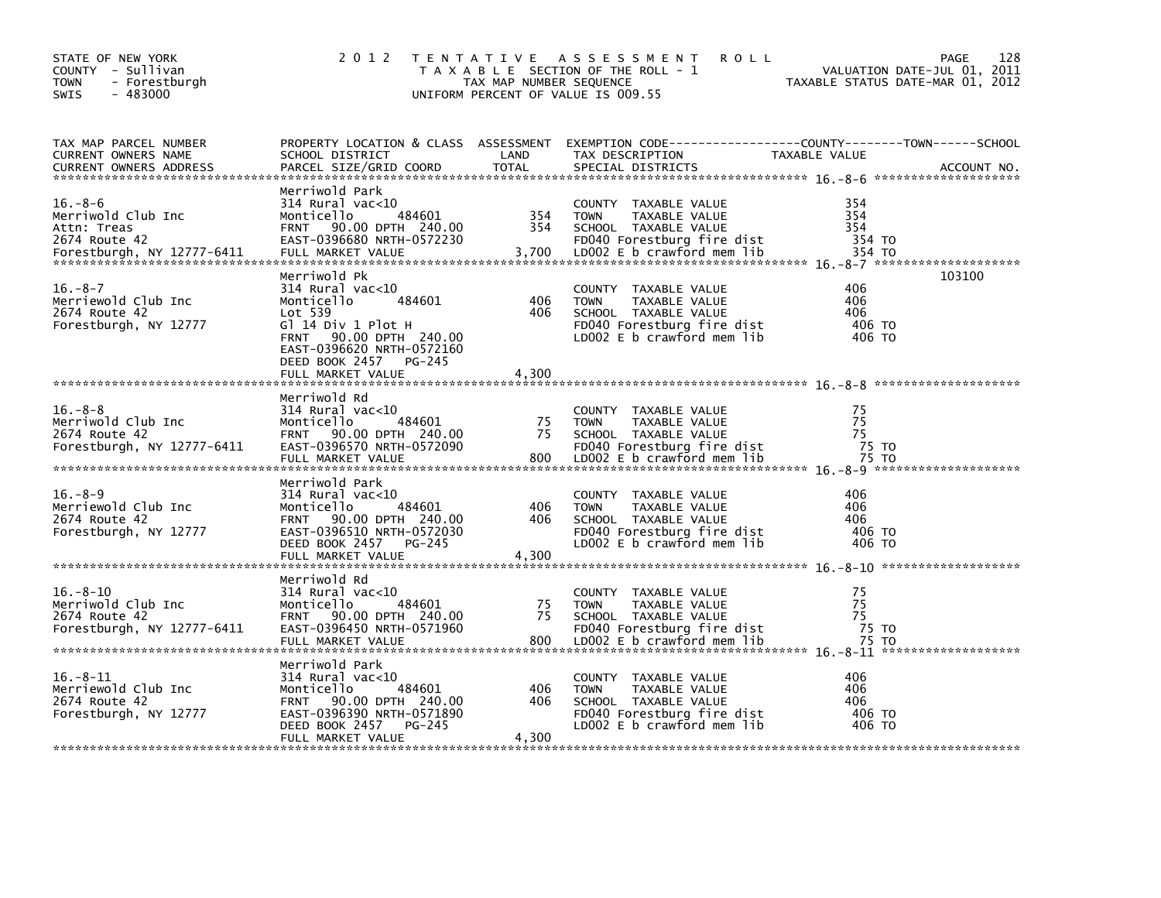| PROPERTY LOCATION & CLASS ASSESSMENT EXEMPTION CODE-----------------COUNTY-------TOWN------SCHOOL<br>TAX MAP PARCEL NUMBER<br>LAND<br>TAX DESCRIPTION<br><b>CURRENT OWNERS NAME</b><br>SCHOOL DISTRICT<br>TAXABLE VALUE<br>PARCEL SIZE/GRID COORD<br><b>TOTAL</b><br><b>CURRENT OWNERS ADDRESS</b><br>SPECIAL DISTRICTS<br>ACCOUNT NO.<br>Merriwold Park<br>$16. - 8 - 6$<br>314 Rural vac<10<br>354<br>COUNTY TAXABLE VALUE<br>354<br>Merriwold Club Inc<br>484601<br>354<br>Monticello<br><b>TOWN</b><br>TAXABLE VALUE<br>FRNT 90.00 DPTH 240.00<br>354<br>354<br>Attn: Treas<br>SCHOOL TAXABLE VALUE<br>FD040 Forestburg fire dist<br>354 TO<br>2674 Route 42<br>EAST-0396680 NRTH-0572230<br>3,700<br>FULL MARKET VALUE<br>LD002 E b crawford mem lib<br>354 TO<br>Forestburgh, NY 12777-6411<br>Merriwold Pk<br>103100<br>$16. - 8 - 7$<br>$314$ Rural vac<10<br>406<br>COUNTY TAXABLE VALUE<br>Merriewold Club Inc<br>484601<br>406<br>406<br>Monticello<br><b>TOWN</b><br>TAXABLE VALUE<br>Lot 539<br>406<br>2674 Route 42<br>406<br>SCHOOL TAXABLE VALUE<br>Forestburgh, NY 12777<br>Gl 14 Div 1 Plot H<br>FD040 Forestburg fire dist<br>406 TO | 128<br>VALUATION DATE-JUL 01, 2011<br>TAXABLE STATUS DATE-MAR 01, 2012 |
|---------------------------------------------------------------------------------------------------------------------------------------------------------------------------------------------------------------------------------------------------------------------------------------------------------------------------------------------------------------------------------------------------------------------------------------------------------------------------------------------------------------------------------------------------------------------------------------------------------------------------------------------------------------------------------------------------------------------------------------------------------------------------------------------------------------------------------------------------------------------------------------------------------------------------------------------------------------------------------------------------------------------------------------------------------------------------------------------------------------------------------------------------------|------------------------------------------------------------------------|
|                                                                                                                                                                                                                                                                                                                                                                                                                                                                                                                                                                                                                                                                                                                                                                                                                                                                                                                                                                                                                                                                                                                                                         |                                                                        |
|                                                                                                                                                                                                                                                                                                                                                                                                                                                                                                                                                                                                                                                                                                                                                                                                                                                                                                                                                                                                                                                                                                                                                         |                                                                        |
| FRNT 90.00 DPTH 240.00<br>LD002 E b crawford mem lib<br>406 TO<br>EAST-0396620 NRTH-0572160<br>DEED BOOK 2457 PG-245<br>FULL MARKET VALUE<br>4,300                                                                                                                                                                                                                                                                                                                                                                                                                                                                                                                                                                                                                                                                                                                                                                                                                                                                                                                                                                                                      |                                                                        |
| Merriwold Rd<br>$16. - 8 - 8$<br>75<br>314 Rural vac<10<br>COUNTY TAXABLE VALUE<br>75<br>Merriwold Club Inc<br>484601<br>75<br>Monticello<br><b>TOWN</b><br>TAXABLE VALUE<br>75<br>2674 Route 42<br>FRNT 90.00 DPTH 240.00<br>75<br>SCHOOL TAXABLE VALUE<br>EAST-0396570 NRTH-0572090<br>FD040 Forestburg fire dist<br>75 TO<br>Forestburgh, NY 12777-6411<br>LD002 E b crawford mem lib<br>FULL MARKET VALUE<br>800<br>75 TO                                                                                                                                                                                                                                                                                                                                                                                                                                                                                                                                                                                                                                                                                                                           |                                                                        |
| Merriwold Park<br>$16. - 8 - 9$<br>314 Rural vac<10<br>406<br>COUNTY TAXABLE VALUE<br>Merriewold Club Inc<br>484601<br>406<br>Monticello<br>406<br><b>TOWN</b><br>TAXABLE VALUE<br>2674 Route 42<br>90.00 DPTH 240.00<br>406<br>406<br><b>FRNT</b><br>SCHOOL TAXABLE VALUE<br>EAST-0396510 NRTH-0572030<br>FD040 Forestburg fire dist<br>406 TO<br>Forestburgh, NY 12777<br>DEED BOOK 2457<br>LD002 E b crawford mem lib<br>406 TO<br>PG-245<br>4,300<br>FULL MARKET VALUE                                                                                                                                                                                                                                                                                                                                                                                                                                                                                                                                                                                                                                                                              |                                                                        |
| Merriwold Rd<br>$16. - 8 - 10$<br>75<br>314 Rural vac<10<br>COUNTY TAXABLE VALUE<br>75<br>484601<br>75<br>Merriwold Club Inc<br>Monticello<br>TAXABLE VALUE<br><b>TOWN</b><br>75<br>2674 Route 42<br>FRNT 90.00 DPTH 240.00<br>75<br>SCHOOL TAXABLE VALUE<br>EAST-0396450 NRTH-0571960<br>FD040 Forestburg fire dist<br>75 TO<br>Forestburgh, NY 12777-6411                                                                                                                                                                                                                                                                                                                                                                                                                                                                                                                                                                                                                                                                                                                                                                                             |                                                                        |
| Merriwold Park<br>$16. - 8 - 11$<br>406<br>314 Rural vac<10<br>COUNTY TAXABLE VALUE<br>Merriewold Club Inc<br>406<br>Monticello<br>484601<br>406<br><b>TOWN</b><br>TAXABLE VALUE<br>90.00 DPTH 240.00<br>406<br>406<br>2674 Route 42<br><b>FRNT</b><br>SCHOOL TAXABLE VALUE<br>FD040 Forestburg fire dist<br>406 TO<br>Forestburgh, NY 12777<br>EAST-0396390 NRTH-0571890<br>LD002 E b crawford mem lib<br>DEED BOOK 2457<br>PG-245<br>406 TO<br>4,300<br>FULL MARKET VALUE                                                                                                                                                                                                                                                                                                                                                                                                                                                                                                                                                                                                                                                                             |                                                                        |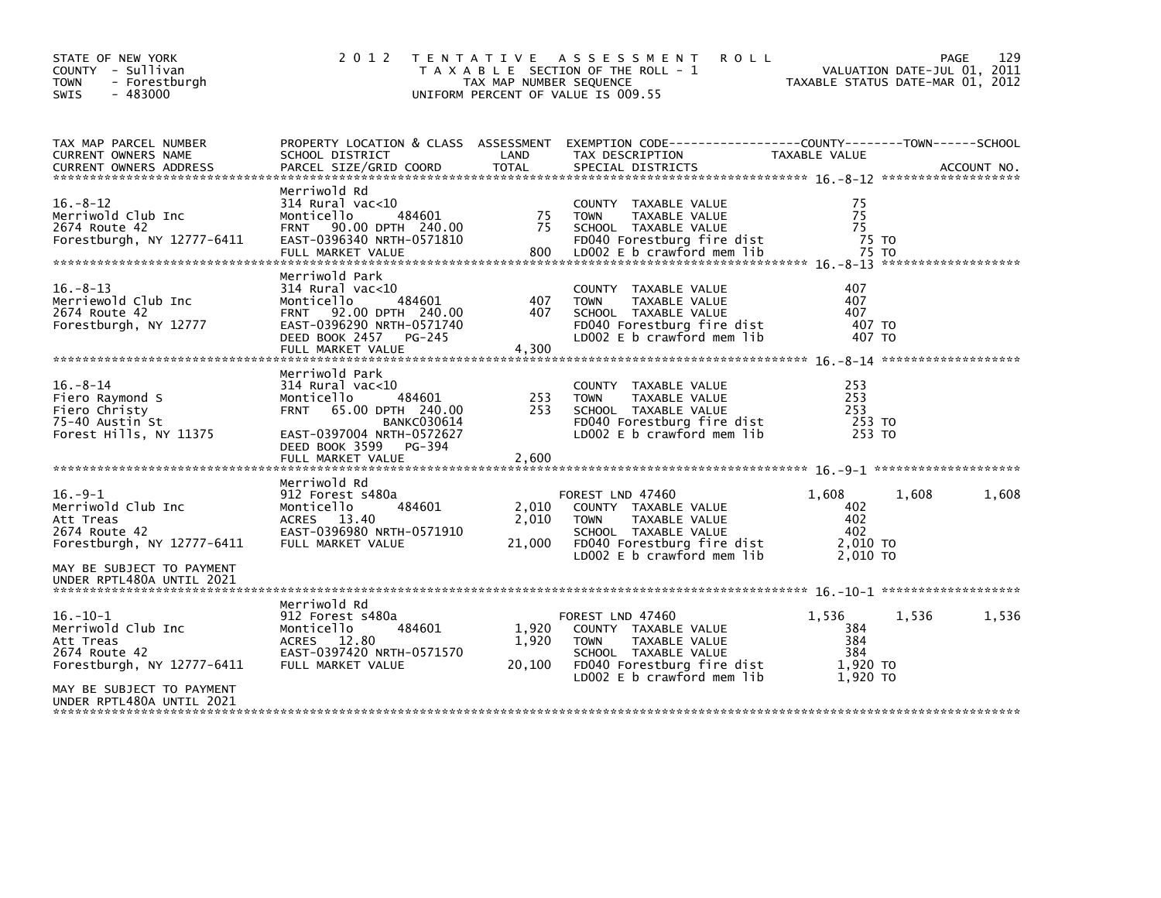| STATE OF NEW YORK<br>COUNTY - Sullivan<br><b>TOWN</b><br>- Forestburgh<br>$-483000$<br>SWIS                              | 2 0 1 2                                                                                                                                                                                              | TAX MAP NUMBER SEQUENCE  | TENTATIVE ASSESSMENT<br><b>ROLL</b><br>T A X A B L E SECTION OF THE ROLL - 1<br>UNIFORM PERCENT OF VALUE IS 009.55                                             | VALUATION DATE-JUL 01, 2011<br>TAXABLE STATUS DATE-MAR 01, 2012 | <b>PAGE</b><br>129 |
|--------------------------------------------------------------------------------------------------------------------------|------------------------------------------------------------------------------------------------------------------------------------------------------------------------------------------------------|--------------------------|----------------------------------------------------------------------------------------------------------------------------------------------------------------|-----------------------------------------------------------------|--------------------|
| TAX MAP PARCEL NUMBER<br>CURRENT OWNERS NAME                                                                             | PROPERTY LOCATION & CLASS ASSESSMENT<br>SCHOOL DISTRICT                                                                                                                                              | LAND                     | EXEMPTION CODE-----------------COUNTY-------TOWN------SCHOOL<br>TAX DESCRIPTION                                                                                | TAXABLE VALUE                                                   |                    |
| $16. - 8 - 12$<br>Merriwold Club Inc<br>2674 Route 42<br>Forestburgh, NY 12777-6411                                      | Merriwold Rd<br>$314$ Rural vac< $10$<br>Monticello<br>484601<br>FRNT 90.00 DPTH 240.00<br>EAST-0396340 NRTH-0571810<br>FULL MARKET VALUE                                                            | 75<br>75<br>800          | COUNTY TAXABLE VALUE<br>TAXABLE VALUE<br><b>TOWN</b><br>SCHOOL TAXABLE VALUE<br>FD040 Forestburg fire dist<br>LD002 E b crawford mem lib                       | 75<br>75<br>75<br>75 TO<br>75 TO                                |                    |
| $16. - 8 - 13$<br>Merriewold Club Inc<br>2674 Route 42<br>Forestburgh, NY 12777                                          | Merriwold Park<br>314 Rural vac<10<br>484601<br>Monticello<br>FRNT 92.00 DPTH 240.00<br>EAST-0396290 NRTH-0571740<br>DEED BOOK 2457<br>PG-245<br>FULL MARKET VALUE                                   | 407<br>407<br>4,300      | COUNTY TAXABLE VALUE<br><b>TOWN</b><br>TAXABLE VALUE<br>SCHOOL TAXABLE VALUE<br>FD040 Forestburg fire dist<br>LD002 E b crawford mem lib                       | 407<br>407<br>407<br>407 TO<br>407 TO                           |                    |
| $16. - 8 - 14$<br>Fiero Raymond S<br>Fiero Christy<br>75-40 Austin St<br>Forest Hills, NY 11375                          | Merriwold Park<br>$314$ Rural vac<10<br>484601<br>Monticello<br><b>FRNT</b><br>65.00 DPTH 240.00<br><b>BANKC030614</b><br>EAST-0397004 NRTH-0572627<br>DEED BOOK 3599<br>PG-394<br>FULL MARKET VALUE | 253<br>253<br>2.600      | COUNTY TAXABLE VALUE<br>TAXABLE VALUE<br><b>TOWN</b><br>SCHOOL TAXABLE VALUE<br>FD040 Forestburg fire dist<br>LD002 E b crawford mem lib                       | 253<br>253<br>253<br>253 TO<br>253 TO                           |                    |
| $16.-9-1$<br>Merriwold Club Inc<br>Att Treas<br>2674 Route 42<br>Forestburgh, NY 12777-6411<br>MAY BE SUBJECT TO PAYMENT | Merriwold Rd<br>912 Forest s480a<br>484601<br>Monticello<br>ACRES 13.40<br>EAST-0396980 NRTH-0571910<br>FULL MARKET VALUE                                                                            | 2,010<br>2,010<br>21,000 | FOREST LND 47460<br>COUNTY TAXABLE VALUE<br><b>TOWN</b><br>TAXABLE VALUE<br>SCHOOL TAXABLE VALUE<br>FD040 Forestburg fire dist<br>LD002 $E$ b crawford mem lib | 1,608<br>1,608<br>402<br>402<br>402<br>2,010 TO<br>2,010 TO     | 1,608              |
| UNDER RPTL480A UNTIL 2021                                                                                                | Merriwold Rd                                                                                                                                                                                         |                          |                                                                                                                                                                |                                                                 |                    |
| $16.-10-1$<br>Merriwold Club Inc<br>Att Treas<br>2674 Route 42<br>Forestburgh, NY 12777-6411                             | 912 Forest s480a<br>484601<br>Monticello<br><b>ACRES</b><br>12.80<br>EAST-0397420 NRTH-0571570<br>FULL MARKET VALUE                                                                                  | 1,920<br>1,920<br>20,100 | FOREST LND 47460<br>COUNTY TAXABLE VALUE<br><b>TOWN</b><br>TAXABLE VALUE<br>SCHOOL TAXABLE VALUE<br>FD040 Forestburg fire dist<br>LD002 E b crawford mem lib   | 1,536<br>1.536<br>384<br>384<br>384<br>1,920 TO<br>1,920 TO     | 1,536              |
| MAY BE SUBJECT TO PAYMENT<br>UNDER RPTL480A UNTIL 2021                                                                   |                                                                                                                                                                                                      |                          |                                                                                                                                                                |                                                                 |                    |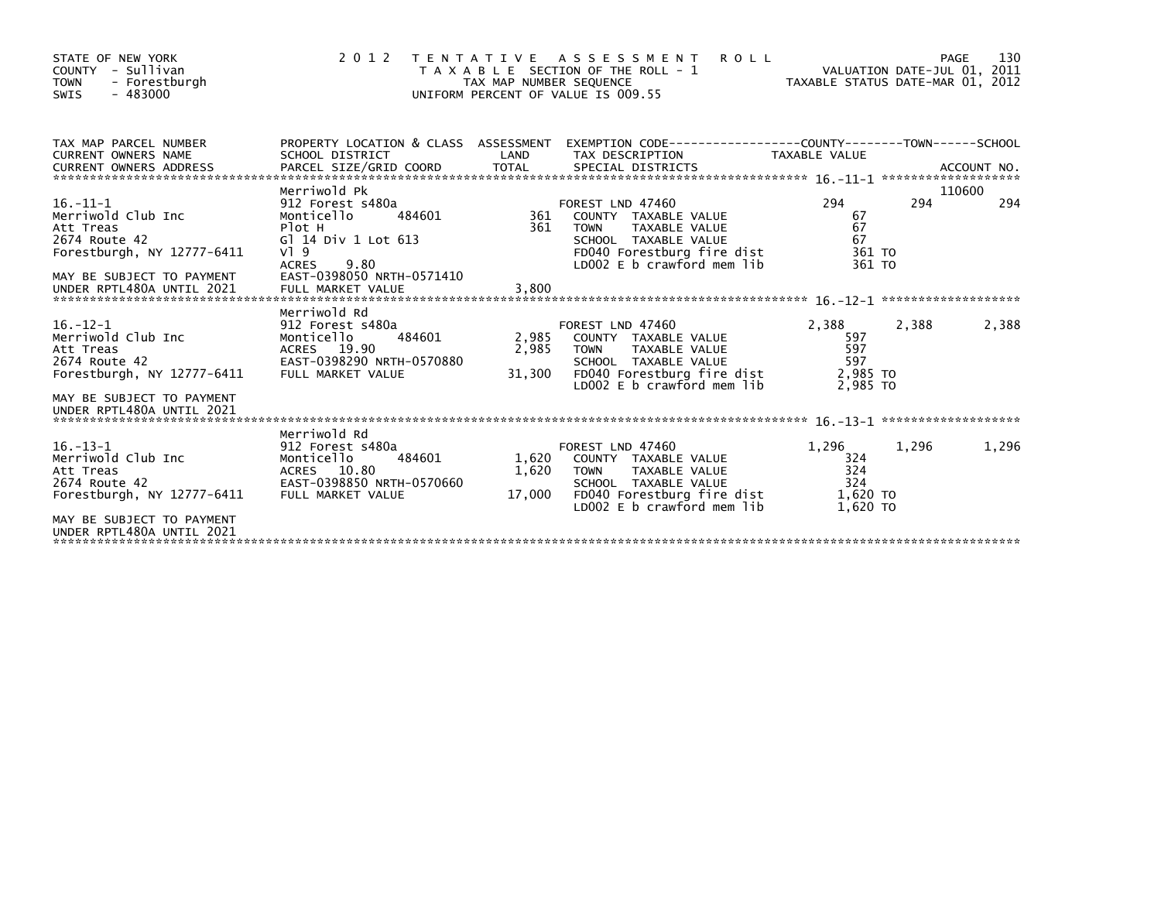| STATE OF NEW YORK<br>COUNTY - Sullivan<br>- Forestburgh<br><b>TOWN</b><br>$-483000$<br><b>SWIS</b>                                                         | 2 0 1 2                                                                                                                                                                                   | TAX MAP NUMBER SEQUENCE  | TENTATIVE ASSESSMENT<br><b>ROLL</b><br>T A X A B L E SECTION OF THE ROLL - 1<br>UNIFORM PERCENT OF VALUE IS 009.55                                                 | VALUATION DATE-JUL 01, 2011<br>TAXABLE STATUS DATE-MAR 01, 2012 |       | 130<br>PAGE   |
|------------------------------------------------------------------------------------------------------------------------------------------------------------|-------------------------------------------------------------------------------------------------------------------------------------------------------------------------------------------|--------------------------|--------------------------------------------------------------------------------------------------------------------------------------------------------------------|-----------------------------------------------------------------|-------|---------------|
| TAX MAP PARCEL NUMBER<br>CURRENT OWNERS NAME                                                                                                               | SCHOOL DISTRICT                                                                                                                                                                           | LAND                     | PROPERTY LOCATION & CLASS ASSESSMENT EXEMPTION CODE----------------COUNTY-------TOWN-----SCHOOL<br>TAX DESCRIPTION                                                 | TAXABLE VALUE                                                   |       |               |
| $16. - 11 - 1$<br>Merriwold Club Inc<br>Att Treas<br>2674 Route 42<br>Forestburgh, NY 12777-6411<br>MAY BE SUBJECT TO PAYMENT<br>UNDER RPTL480A UNTIL 2021 | Merriwold Pk<br>912 Forest s480a<br>Monticello<br>484601<br>Plot H<br>G] 14 Div 1 Lot 613<br>$V$ <sup>1</sup> 9<br>9.80<br><b>ACRES</b><br>EAST-0398050 NRTH-0571410<br>FULL MARKET VALUE | 361<br>3,800             | FOREST LND 47460<br>361 COUNTY TAXABLE VALUE<br>TAXABLE VALUE<br><b>TOWN</b><br>SCHOOL TAXABLE VALUE<br>FD040 Forestburg fire dist<br>$LD002 E b$ crawford mem lib | 294<br>67<br>67<br>67<br>361 TO<br>361 TO                       | 294   | 110600<br>294 |
| $16. - 12 - 1$<br>Merriwold Club Inc<br>Att Treas<br>2674 Route 42<br>Forestburgh, NY 12777-6411<br>MAY BE SUBJECT TO PAYMENT<br>UNDER RPTL480A UNTIL 2021 | Merriwold Rd<br>912 Forest s480a<br>484601<br>Monticello<br>ACRES 19.90<br>EAST-0398290 NRTH-0570880<br>FULL MARKET VALUE                                                                 | 2,985<br>2,985<br>31,300 | FOREST LND 47460<br>COUNTY TAXABLE VALUE<br><b>TOWN</b><br>TAXABLE VALUE<br>SCHOOL TAXABLE VALUE<br>FD040 Forestburg fire dist<br>LD002 E b crawford mem lib       | 2,388<br>597<br>597<br>597<br>2,985 TO<br>2.985 TO              | 2,388 | 2,388         |
| $16. - 13 - 1$<br>Merriwold Club Inc<br>Att Treas<br>2674 Route 42<br>Forestburgh, NY 12777-6411<br>MAY BE SUBJECT TO PAYMENT<br>UNDER RPTL480A UNTIL 2021 | Merriwold Rd<br>912 Forest s480a<br>Monticello<br>484601<br>ACRES 10.80<br>EAST-0398850 NRTH-0570660<br>FULL MARKET VALUE                                                                 | 1,620<br>1,620<br>17,000 | FOREST LND 47460<br>COUNTY TAXABLE VALUE<br><b>TOWN</b><br>TAXABLE VALUE<br>SCHOOL TAXABLE VALUE<br>FD040 Forestburg fire dist<br>LD002 E b crawford mem lib       | 1,296<br>324<br>324<br>324<br>1,620 TO<br>1,620 TO              | 1,296 | 1,296         |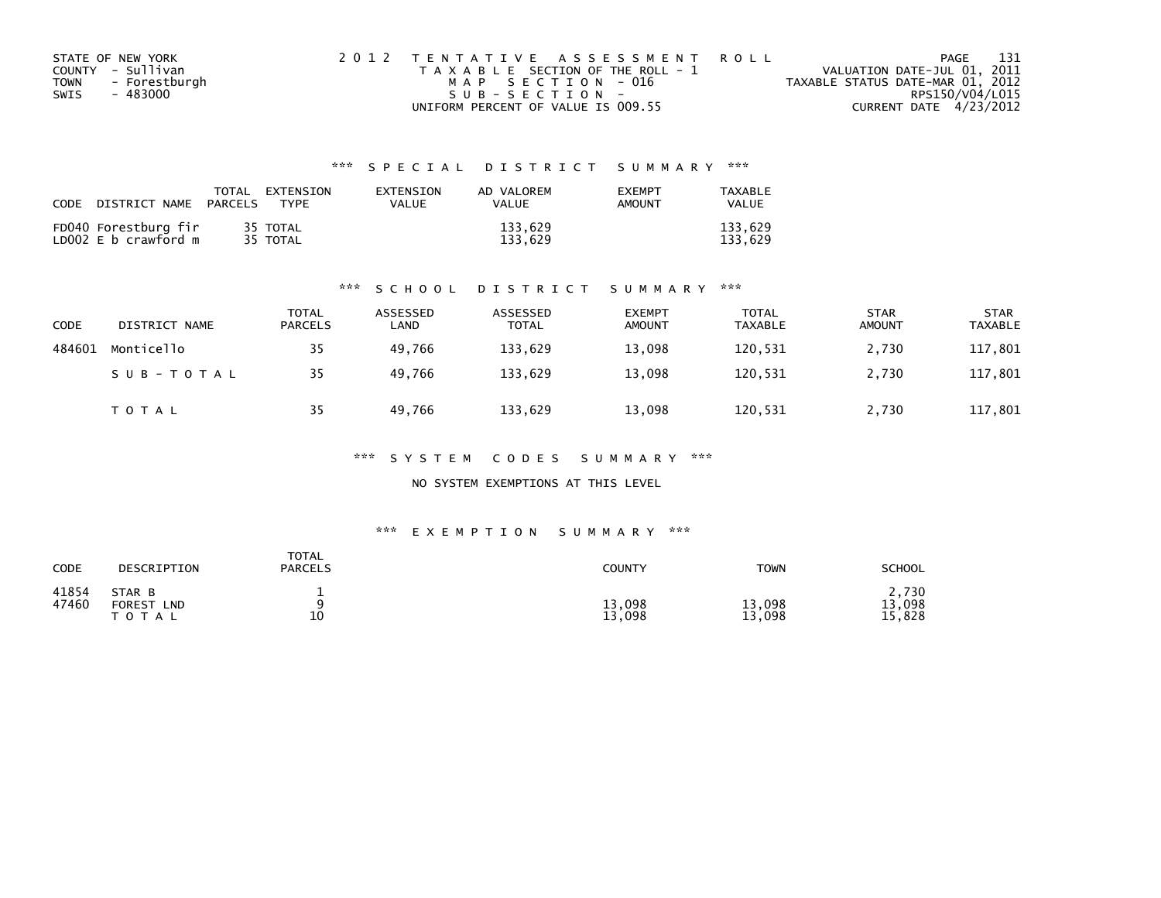| STATE OF NEW YORK            | 2012 TENTATIVE ASSESSMENT ROLL        | PAGE                             | - 131 |
|------------------------------|---------------------------------------|----------------------------------|-------|
| COUNTY - Sullivan            | T A X A B L E SECTION OF THE ROLL - 1 | VALUATION DATE-JUL 01, 2011      |       |
| - Forestburgh<br><b>TOWN</b> | MAP SECTION - 016                     | TAXABLE STATUS DATE-MAR 01, 2012 |       |
| - 483000<br>SWIS             | SUB-SECTION-                          | RPS150/V04/L015                  |       |
|                              | UNIFORM PERCENT OF VALUE IS 009.55    | CURRENT DATE 4/23/2012           |       |

## \*\*\* S P E C I A L D I S T R I C T S U M M A R Y \*\*\*

| CODE | DISTRICT NAME                                | TOTAL<br>PARCELS | <b>FXTENSTON</b><br><b>TYPF</b> | <b>FXTENSTON</b><br>VALUE | AD VALOREM<br>VALUE | <b>EXEMPT</b><br><b>AMOUNT</b> | TAXARI F<br>VALUE  |
|------|----------------------------------------------|------------------|---------------------------------|---------------------------|---------------------|--------------------------------|--------------------|
|      | FD040 Forestburg fir<br>LD002 E b crawford m |                  | 35 TOTAL<br>35 TOTAL            |                           | 133,629<br>133.629  |                                | 133.629<br>133.629 |

### \*\*\* S C H O O L D I S T R I C T S U M M A R Y \*\*\*

| <b>CODE</b> | DISTRICT NAME | TOTAL<br><b>PARCELS</b> | ASSESSED<br>∟AND | ASSESSED<br><b>TOTAL</b> | <b>EXEMPT</b><br><b>AMOUNT</b> | <b>TOTAL</b><br>TAXABLE | <b>STAR</b><br><b>AMOUNT</b> | <b>STAR</b><br><b>TAXABLE</b> |
|-------------|---------------|-------------------------|------------------|--------------------------|--------------------------------|-------------------------|------------------------------|-------------------------------|
| 484601      | Monticello    | 35                      | 49.766           | 133,629                  | 13,098                         | 120,531                 | 2,730                        | 117,801                       |
|             | SUB-TOTAL     | 35                      | 49.766           | 133.629                  | 13,098                         | 120,531                 | 2,730                        | 117,801                       |
|             | TOTAL         | 35                      | 49,766           | 133,629                  | 13,098                         | 120,531                 | 2,730                        | 117,801                       |

\*\*\* S Y S T E M C O D E S S U M M A R Y \*\*\*

NO SYSTEM EXEMPTIONS AT THIS LEVEL

### \*\*\* E X E M P T I O N S U M M A R Y \*\*\*

| CODE           | DESCRIPTION                                 | <b>TOTAL</b><br><b>PARCELS</b> | <b>COUNTY</b>    | <b>TOWN</b>      | <b>SCHOOL</b>             |
|----------------|---------------------------------------------|--------------------------------|------------------|------------------|---------------------------|
| 41854<br>47460 | STAR B<br><b>FOREST</b><br>LND<br>T O T A L | 10                             | 13,098<br>13,098 | 13,098<br>13,098 | 2,730<br>13,098<br>15,828 |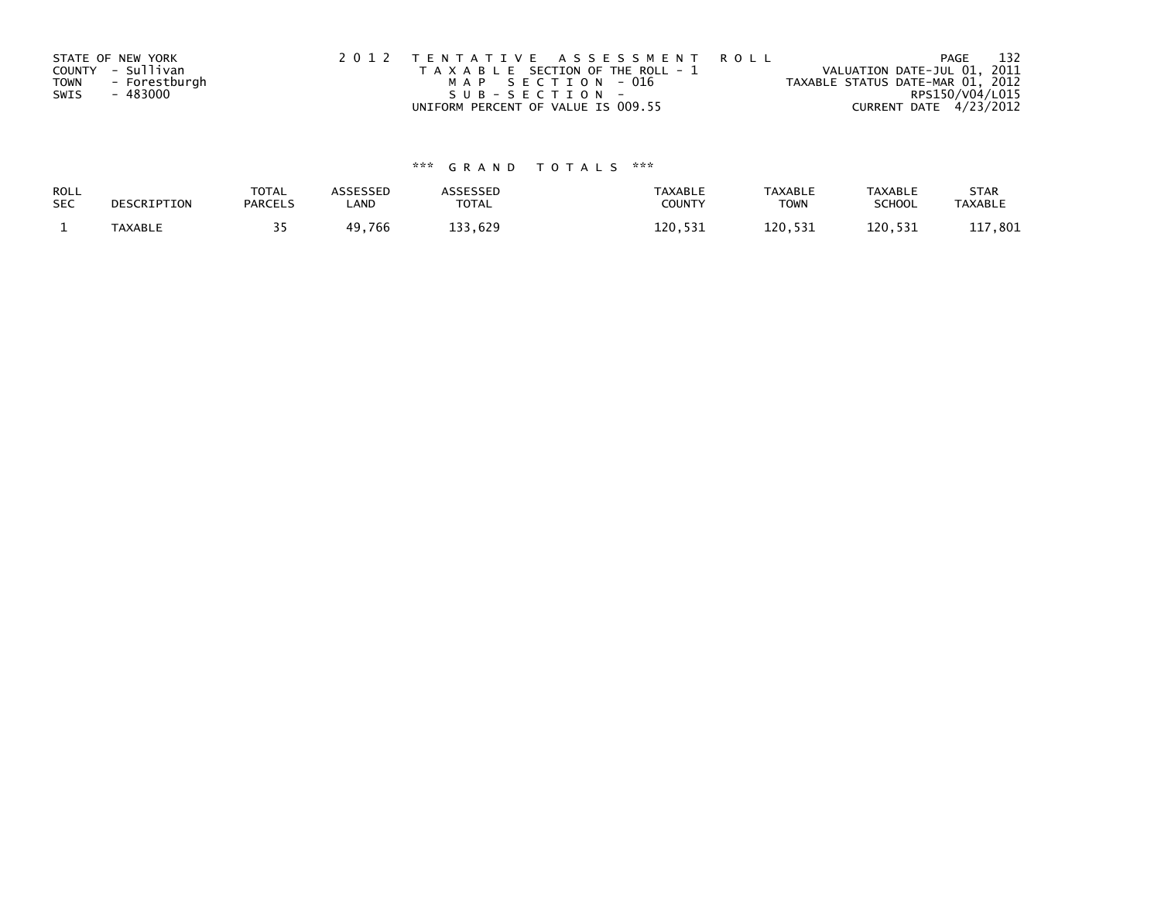|             | STATE OF NEW YORK | 2012 TENTATIVE ASSESSMENT ROLL        | PAGE                             | 132 |
|-------------|-------------------|---------------------------------------|----------------------------------|-----|
|             | COUNTY - Sullivan | T A X A B L E SECTION OF THE ROLL - 1 | VALUATION DATE-JUL 01, 2011      |     |
| <b>TOWN</b> | - Forestburgh     | MAP SECTION - 016                     | TAXABLE STATUS DATE-MAR 01, 2012 |     |
| SWIS        | - 483000          | $SUB - SECTION -$                     | RPS150/V04/L015                  |     |
|             |                   | UNIFORM PERCENT OF VALUE IS 009.55    | CURRENT DATE 4/23/2012           |     |

# \*\*\* G R A N D T O T A L S \*\*\*

| <b>ROLL</b> | DESCRIPTION | <b>TOTAL</b>   | ASSESSED | <b>ASSESSED</b> | <b>TAXABLE</b> | <b>TAXABLE</b> | <b>TAXABLE</b> | <b>STAR</b>    |
|-------------|-------------|----------------|----------|-----------------|----------------|----------------|----------------|----------------|
| <b>SEC</b>  |             | <b>PARCELS</b> | ∟AND     | TOTAL           | <b>COUNTY</b>  | TOWN           | <b>SCHOOL</b>  | <b>TAXABLE</b> |
|             | TAXABLE     |                | 49,766   | 133,629         | 120.531        | 120.531        | 120.531        | 801. '<br>ᆂᆂ   |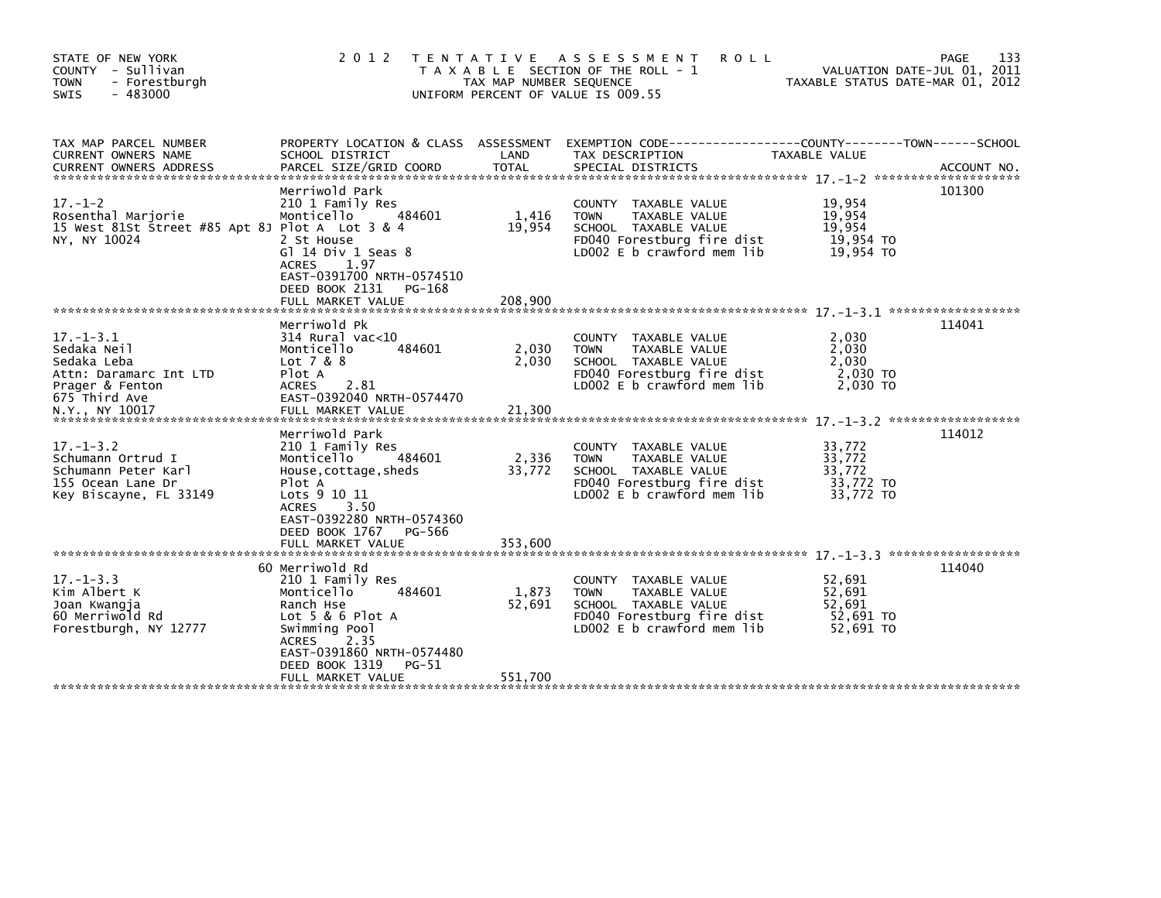| STATE OF NEW YORK<br>COUNTY - Sullivan<br>- Forestburgh<br><b>TOWN</b><br><b>SWIS</b><br>$-483000$                            | 2 0 1 2                                                                                                                                                                                           | TAX MAP NUMBER SEQUENCE    | TENTATIVE ASSESSMENT<br><b>ROLL</b><br>T A X A B L E SECTION OF THE ROLL - 1<br>UNIFORM PERCENT OF VALUE IS 009.55                       | VALUATION DATE-JUL 01, 2011<br>TAXABLE STATUS DATE-MAR 01, 2012 | PAGE<br>133 |
|-------------------------------------------------------------------------------------------------------------------------------|---------------------------------------------------------------------------------------------------------------------------------------------------------------------------------------------------|----------------------------|------------------------------------------------------------------------------------------------------------------------------------------|-----------------------------------------------------------------|-------------|
| TAX MAP PARCEL NUMBER<br>CURRENT OWNERS NAME                                                                                  | SCHOOL DISTRICT                                                                                                                                                                                   | LAND                       | PROPERTY LOCATION & CLASS ASSESSMENT EXEMPTION CODE----------------COUNTY-------TOWN------SCHOOL<br>TAX DESCRIPTION                      | TAXABLE VALUE                                                   |             |
| $17. - 1 - 2$<br>Rosenthal Marjorie<br>15 West 81St Street #85 Apt 8J Plot A Lot 3 & 4<br>NY, NY 10024                        | Merriwold Park<br>210 1 Family Res<br>Monticello<br>484601<br>2 St House<br>Gl 14 Div 1 Seas 8<br>1.97<br><b>ACRES</b><br>EAST-0391700 NRTH-0574510<br>DEED BOOK 2131 PG-168                      | 1,416<br>19,954            | COUNTY TAXABLE VALUE<br><b>TOWN</b><br>TAXABLE VALUE<br>SCHOOL TAXABLE VALUE<br>FD040 Forestburg fire dist<br>LD002 E b crawford mem lib | 19,954<br>19,954<br>19,954<br>19,954 TO<br>19,954 TO            | 101300      |
| $17. - 1 - 3.1$<br>Sedaka Neil<br>Sedaka Leba<br>Attn: Daramarc Int LTD<br>Prager & Fenton<br>675 Third Ave<br>N.Y., NY 10017 | Merriwold Pk<br>$314$ Rural vac<10<br>484601<br>Monticello<br>Lot 7 & 8<br>Plot A<br>2.81<br><b>ACRES</b><br>EAST-0392040 NRTH-0574470<br>FULL MARKET VALUE                                       | 2,030<br>2.030<br>21,300   | COUNTY TAXABLE VALUE<br><b>TOWN</b><br>TAXABLE VALUE<br>SCHOOL TAXABLE VALUE<br>FD040 Forestburg fire dist<br>LD002 E b crawford mem lib | 2,030<br>2,030<br>2.030<br>2,030 TO<br>2,030 TO                 | 114041      |
| $17. - 1 - 3.2$<br>Schumann Ortrud I<br>Schumann Peter Karl<br>155 Ocean Lane Dr<br>Key Biscayne, FL 33149                    | Merriwold Park<br>210 1 Family Res<br>Monticello<br>484601<br>House, cottage, sheds<br>Plot A<br>Lots 9 10 11<br><b>ACRES</b><br>3.50<br>EAST-0392280 NRTH-0574360<br>DEED BOOK 1767<br>PG-566    | 2,336<br>33,772            | COUNTY TAXABLE VALUE<br>TAXABLE VALUE<br><b>TOWN</b><br>SCHOOL TAXABLE VALUE<br>FD040 Forestburg fire dist<br>LD002 E b crawford mem lib | 33,772<br>33,772<br>33,772<br>33,772 TO<br>33,772 TO            | 114012      |
|                                                                                                                               | 60 Merriwold Rd                                                                                                                                                                                   |                            |                                                                                                                                          |                                                                 | 114040      |
| $17. - 1 - 3.3$<br>Kim Albert K<br>Joan Kwangja<br>60 Merriwold Rd<br>Forestburgh, NY 12777                                   | 210 1 Family Res<br>Monticello<br>484601<br>Ranch Hse<br>Lot $5 & 6$ Plot A<br>Swimming Pool<br>2.35<br><b>ACRES</b><br>EAST-0391860 NRTH-0574480<br>DEED BOOK 1319<br>PG-51<br>FULL MARKET VALUE | 1,873<br>52,691<br>551,700 | COUNTY TAXABLE VALUE<br>TAXABLE VALUE<br><b>TOWN</b><br>SCHOOL TAXABLE VALUE<br>FD040 Forestburg fire dist<br>LD002 E b crawford mem lib | 52,691<br>52,691<br>52,691<br>52,691 TO<br>52,691 TO            |             |
|                                                                                                                               |                                                                                                                                                                                                   |                            |                                                                                                                                          |                                                                 |             |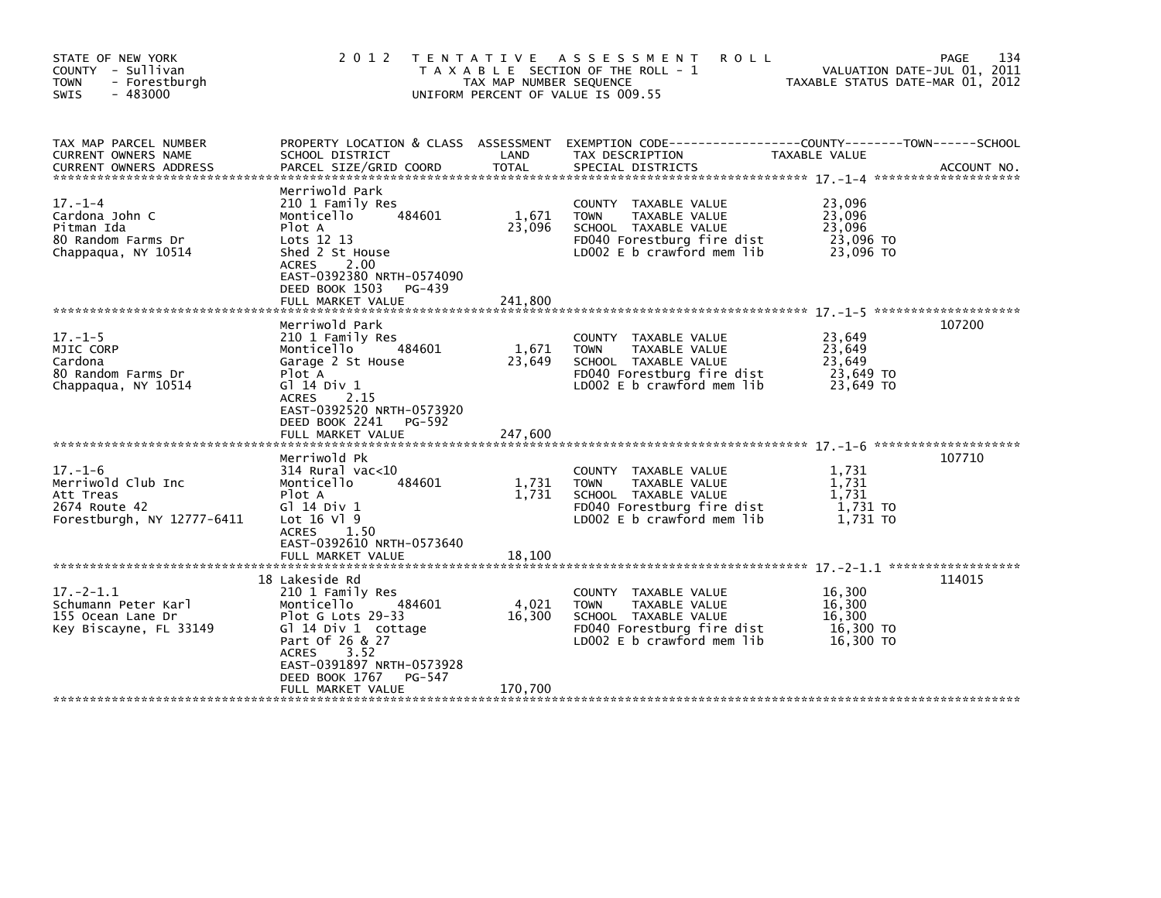| STATE OF NEW YORK<br>COUNTY - Sullivan<br>- Forestburgh<br><b>TOWN</b><br><b>SWIS</b><br>$-483000$ | 2 0 1 2                                                                                                                                                                                                     | T E N T A T I V E<br>TAX MAP NUMBER SEQUENCE | ASSESSMENT<br><b>ROLL</b><br>T A X A B L E SECTION OF THE ROLL - 1<br>UNIFORM PERCENT OF VALUE IS 009.55                                   | VALUATION DATE-JUL 01, 2011<br>TAXABLE STATUS DATE-MAR 01, 2012 | 134<br><b>PAGE</b> |
|----------------------------------------------------------------------------------------------------|-------------------------------------------------------------------------------------------------------------------------------------------------------------------------------------------------------------|----------------------------------------------|--------------------------------------------------------------------------------------------------------------------------------------------|-----------------------------------------------------------------|--------------------|
| TAX MAP PARCEL NUMBER<br>CURRENT OWNERS NAME<br><b>CURRENT OWNERS ADDRESS</b>                      | SCHOOL DISTRICT<br>PARCEL SIZE/GRID COORD                                                                                                                                                                   | LAND<br><b>TOTAL</b>                         | PROPERTY LOCATION & CLASS ASSESSMENT EXEMPTION CODE----------------COUNTY-------TOWN------SCHOOL<br>TAX DESCRIPTION<br>SPECIAL DISTRICTS   | TAXABLE VALUE                                                   | ACCOUNT NO.        |
| $17. - 1 - 4$<br>Cardona John C<br>Pitman Ida<br>80 Random Farms Dr<br>Chappagua, NY 10514         | Merriwold Park<br>210 1 Family Res<br>Monticello<br>484601<br>Plot A<br>Lots 12 13<br>Shed 2 St House<br>2.00<br><b>ACRES</b><br>EAST-0392380 NRTH-0574090<br>DEED BOOK 1503<br>PG-439<br>FULL MARKET VALUE | 1,671<br>23,096<br>241.800                   | COUNTY TAXABLE VALUE<br><b>TOWN</b><br>TAXABLE VALUE<br>SCHOOL TAXABLE VALUE<br>FD040 Forestburg fire dist<br>LD002 E b crawford mem lib   | 23,096<br>23,096<br>23.096<br>23,096 TO<br>23.096 TO            |                    |
| $17. - 1 - 5$<br>MJIC CORP<br>Cardona<br>80 Random Farms Dr<br>Chappagua, NY 10514                 | Merriwold Park<br>210 1 Family Res<br>484601<br>Monticello<br>Garage 2 St House<br>Plot A<br>G] 14 Div 1<br><b>ACRES</b><br>2.15<br>EAST-0392520 NRTH-0573920<br>DEED BOOK 2241<br>PG-592                   | 1,671<br>23,649                              | COUNTY TAXABLE VALUE<br><b>TOWN</b><br>TAXABLE VALUE<br>SCHOOL TAXABLE VALUE<br>FD040 Forestburg fire dist<br>$LD002 E b$ crawford mem lib | 23,649<br>23,649<br>23,649<br>23,649 TO<br>23.649 TO            | 107200             |
|                                                                                                    | FULL MARKET VALUE                                                                                                                                                                                           | 247,600                                      |                                                                                                                                            |                                                                 |                    |
| $17. - 1 - 6$<br>Merriwold Club Inc<br>Att Treas<br>2674 Route 42<br>Forestburgh, NY 12777-6411    | Merriwold Pk<br>$314$ Rural vac<10<br>Monticello<br>484601<br>Plot A<br>G1 14 Div 1<br>Lot $16$ Vl $9$<br>ACRES 1.50<br>EAST-0392610 NRTH-0573640<br>FULL MARKET VALUE                                      | 1,731<br>1,731<br>18,100                     | COUNTY TAXABLE VALUE<br>TAXABLE VALUE<br><b>TOWN</b><br>SCHOOL TAXABLE VALUE<br>FD040 Forestburg fire dist<br>LD002 E b crawford mem lib   | 1,731<br>1,731<br>1,731<br>1,731 TO<br>1,731 TO                 | 107710             |
|                                                                                                    | 18 Lakeside Rd                                                                                                                                                                                              |                                              |                                                                                                                                            |                                                                 | 114015             |
| $17. - 2 - 1.1$<br>Schumann Peter Karl<br>155 Ocean Lane Dr<br>Key Biscayne, FL 33149              | 210 1 Family Res<br>484601<br>Monticello<br>Plot G Lots 29-33<br>Gl 14 Div 1 cottage<br>Part Of 26 & 27<br>3.52<br><b>ACRES</b><br>EAST-0391897 NRTH-0573928                                                | 4,021<br>16,300                              | COUNTY TAXABLE VALUE<br>TAXABLE VALUE<br><b>TOWN</b><br>SCHOOL TAXABLE VALUE<br>FD040 Forestburg fire dist<br>LD002 E b crawford mem lib   | 16,300<br>16,300<br>16,300<br>16,300 TO<br>16,300 TO            |                    |
|                                                                                                    | DEED BOOK 1767<br>PG-547<br>FULL MARKET VALUE                                                                                                                                                               | 170,700                                      |                                                                                                                                            |                                                                 |                    |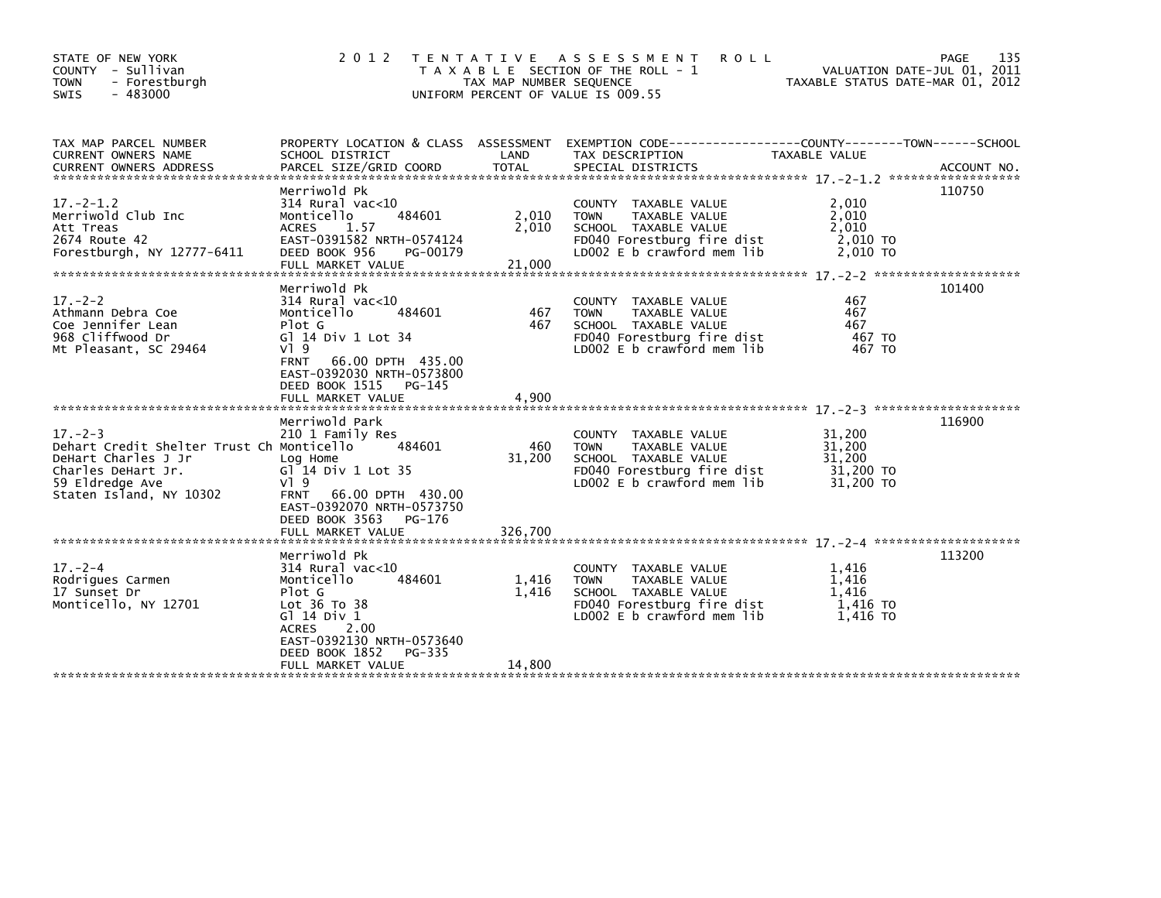| STATE OF NEW YORK<br>COUNTY - Sullivan<br><b>TOWN</b><br>- Forestburgh<br>- 483000<br><b>SWIS</b>                                                     | 2 0 1 2                                                                                                                                                                                                   | TAX MAP NUMBER SEQUENCE  | TENTATIVE ASSESSMENT<br><b>ROLL</b><br>T A X A B L E SECTION OF THE ROLL - 1<br>UNIFORM PERCENT OF VALUE IS 009.55                              | VALUATION DATE-JUL 01, 2011<br>TAXABLE STATUS DATE-MAR 01, 2012 | PAGE<br>135 |
|-------------------------------------------------------------------------------------------------------------------------------------------------------|-----------------------------------------------------------------------------------------------------------------------------------------------------------------------------------------------------------|--------------------------|-------------------------------------------------------------------------------------------------------------------------------------------------|-----------------------------------------------------------------|-------------|
| TAX MAP PARCEL NUMBER<br>CURRENT OWNERS NAME                                                                                                          | SCHOOL DISTRICT                                                                                                                                                                                           | LAND                     | PROPERTY LOCATION & CLASS ASSESSMENT EXEMPTION CODE----------------COUNTY-------TOWN------SCHOOL<br>TAX DESCRIPTION                             | TAXABLE VALUE                                                   |             |
| $17 - 2 - 1.2$<br>Merriwold Club Inc<br>Att Treas<br>2674 Route 42<br>Forestburgh, NY 12777-6411                                                      | Merriwold Pk<br>$314$ Rural vac<10<br>484601<br>Monticello<br>1.57<br><b>ACRES</b><br>EAST-0391582 NRTH-0574124<br>DEED BOOK 956<br>PG-00179                                                              | 2,010<br>2,010           | COUNTY TAXABLE VALUE<br>TAXABLE VALUE<br><b>TOWN</b><br>SCHOOL TAXABLE VALUE<br>FD040 Forestburg fire dist<br>LD002 E b crawford mem lib        | 2,010<br>2.010<br>2,010<br>2,010 TO<br>2.010 TO                 | 110750      |
| $17. - 2 - 2$<br>Athmann Debra Coe<br>Coe Jennifer Lean<br>968 Cliffwood Dr<br>Mt Pleasant, SC 29464                                                  | Merriwold Pk<br>$314$ Rural vac<10<br>Monticello<br>484601<br>Plot G<br>G] 14 Div 1 Lot 34<br>VI 9<br><b>FRNT</b><br>66.00 DPTH 435.00<br>EAST-0392030 NRTH-0573800<br>DEED BOOK 1515<br>PG-145           | 467<br>467               | COUNTY TAXABLE VALUE<br>TAXABLE VALUE<br><b>TOWN</b><br>SCHOOL TAXABLE VALUE<br>FD040 Forestburg fire dist<br>LD002 E b crawford mem lib        | 467<br>467<br>467<br>467 TO<br>467 TO                           | 101400      |
| $17. - 2 - 3$<br>Dehart Credit Shelter Trust Ch Monticello<br>DeHart Charles J Jr<br>Charles DeHart Jr.<br>59 Eldredge Ave<br>Staten Island, NY 10302 | Merriwold Park<br>210 1 Family Res<br>484601<br>Log Home<br>$GI^2$ 14 Div 1 Lot 35<br>V19<br>66.00 DPTH 430.00<br><b>FRNT</b><br>EAST-0392070 NRTH-0573750<br>DEED BOOK 3563<br>PG-176                    | 460<br>31,200            | COUNTY TAXABLE VALUE<br>TAXABLE VALUE<br><b>TOWN</b><br>SCHOOL TAXABLE VALUE<br>FD040 Forestburg fire dist<br>$LD002 E b$ crawford mem lib      | 31,200<br>31,200<br>31,200<br>31,200 TO<br>31,200 TO            | 116900      |
| $17. - 2 - 4$<br>Rodrigues Carmen<br>17 Sunset Dr<br>Monticello, NY 12701                                                                             | Merriwold Pk<br>$314$ Rural vac<10<br>Monticello<br>484601<br>Plot G<br>Lot 36 To 38<br>G1 14 Div 1<br>2.00<br><b>ACRES</b><br>EAST-0392130 NRTH-0573640<br>DEED BOOK 1852<br>PG-335<br>FULL MARKET VALUE | 1,416<br>1.416<br>14.800 | COUNTY TAXABLE VALUE<br><b>TAXABLE VALUE</b><br><b>TOWN</b><br>SCHOOL TAXABLE VALUE<br>FD040 Forestburg fire dist<br>LD002 E b crawford mem lib | 1.416<br>1.416<br>1.416<br>1.416 TO<br>1,416 TO                 | 113200      |
|                                                                                                                                                       |                                                                                                                                                                                                           |                          |                                                                                                                                                 |                                                                 |             |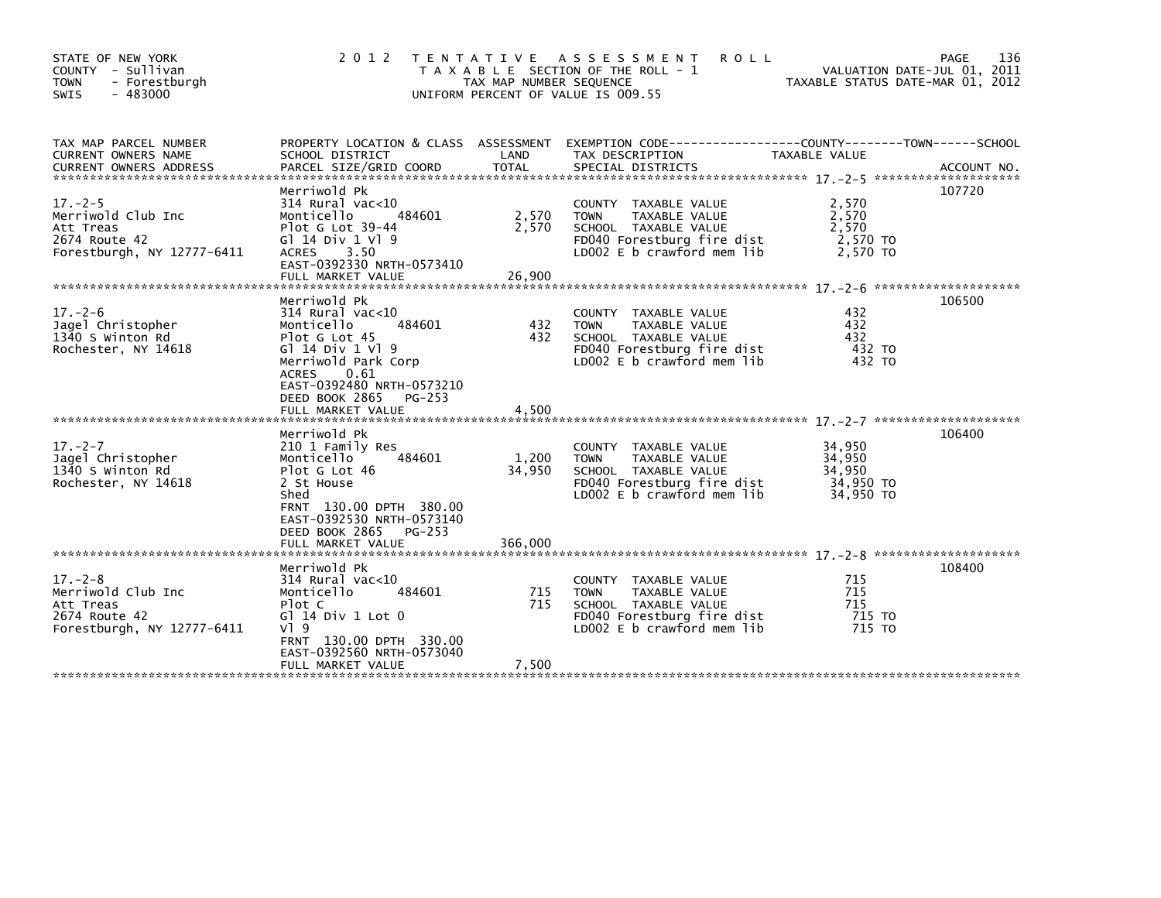| STATE OF NEW YORK<br>COUNTY - Sullivan<br>- Forestburgh<br><b>TOWN</b><br>$-483000$<br><b>SWIS</b> | 2 0 1 2                                                                                                                                                                                          | TAX MAP NUMBER SEQUENCE | TENTATIVE ASSESSMENT<br><b>ROLL</b><br>T A X A B L E SECTION OF THE ROLL - 1<br>UNIFORM PERCENT OF VALUE IS 009.55                       | VALUATION DATE-JUL 01, 2011<br>TAXABLE STATUS DATE-MAR 01, 2012 | 136<br>PAGE |
|----------------------------------------------------------------------------------------------------|--------------------------------------------------------------------------------------------------------------------------------------------------------------------------------------------------|-------------------------|------------------------------------------------------------------------------------------------------------------------------------------|-----------------------------------------------------------------|-------------|
| TAX MAP PARCEL NUMBER<br>CURRENT OWNERS NAME                                                       | SCHOOL DISTRICT                                                                                                                                                                                  | LAND                    | PROPERTY LOCATION & CLASS ASSESSMENT EXEMPTION CODE----------------COUNTY-------TOWN-----SCHOOL<br>TAX DESCRIPTION                       | <b>TAXABLE VALUE</b>                                            |             |
| $17. - 2 - 5$<br>Merriwold Club Inc<br>Att Treas<br>2674 Route 42<br>Forestburgh, NY 12777-6411    | Merriwold Pk<br>$314$ Rural vac<10<br>484601<br>Monticello<br>Plot G Lot 39-44<br>G1 14 Div 1 V1 9<br>ACRES 3.50<br>EAST-0392330 NRTH-0573410                                                    | 2,570<br>2,570          | COUNTY TAXABLE VALUE<br>TAXABLE VALUE<br><b>TOWN</b><br>SCHOOL TAXABLE VALUE<br>FD040 Forestburg fire dist<br>LD002 E b crawford mem lib | 2,570<br>2,570<br>2,570<br>2,570 TO<br>2,570 TO                 | 107720      |
| $17. - 2 - 6$<br>Jagel Christopher<br>1340 S Winton Rd<br>Rochester, NY 14618                      | Merriwold Pk<br>$314$ Rural vac<10<br>484601<br>Monticello<br>Plot G Lot 45<br>G1 14 Div 1 V1 9<br>Merriwold Park Corp<br>ACRES<br>0.61<br>EAST-0392480 NRTH-0573210<br>DEED BOOK 2865<br>PG-253 | 432<br>432              | COUNTY TAXABLE VALUE<br>TAXABLE VALUE<br><b>TOWN</b><br>SCHOOL TAXABLE VALUE<br>FD040 Forestburg fire dist<br>LD002 E b crawford mem lib | 432<br>432<br>432<br>432 TO<br>432 TO                           | 106500      |
|                                                                                                    |                                                                                                                                                                                                  |                         |                                                                                                                                          |                                                                 |             |
| $17. - 2 - 7$<br>Jagel Christopher<br>1340 S Winton Rd<br>Rochester, NY 14618                      | Merriwold Pk<br>210 1 Family Res<br>484601<br>Monticello<br>Plot G Lot 46<br>2 St House<br>Shed<br>FRNT 130.00 DPTH 380.00<br>EAST-0392530 NRTH-0573140                                          | 1,200<br>34,950         | COUNTY TAXABLE VALUE<br><b>TOWN</b><br>TAXABLE VALUE<br>SCHOOL TAXABLE VALUE<br>FD040 Forestburg fire dist<br>LD002 E b crawford mem lib | 34,950<br>34,950<br>34,950<br>34,950 TO<br>34,950 TO            | 106400      |
|                                                                                                    | DEED BOOK 2865 PG-253<br>FULL MARKET VALUE                                                                                                                                                       | 366,000                 |                                                                                                                                          |                                                                 |             |
| $17. - 2 - 8$<br>Merriwold Club Inc<br>Att Treas<br>2674 Route 42<br>Forestburgh, NY 12777-6411    | Merriwold Pk<br>$314$ Rural vac<10<br>484601<br>Monticello<br>Plot C<br>$G1$ 14 Div 1 Lot 0<br>$V$ ] 9<br>FRNT 130.00 DPTH 330.00                                                                | 715<br>715              | COUNTY TAXABLE VALUE<br>TAXABLE VALUE<br><b>TOWN</b><br>SCHOOL TAXABLE VALUE<br>FD040 Forestburg fire dist<br>LD002 E b crawford mem lib | 715<br>715<br>715<br>715 TO<br>715 TO                           | 108400      |
|                                                                                                    | EAST-0392560 NRTH-0573040<br>FULL MARKET VALUE                                                                                                                                                   | 7,500                   |                                                                                                                                          |                                                                 |             |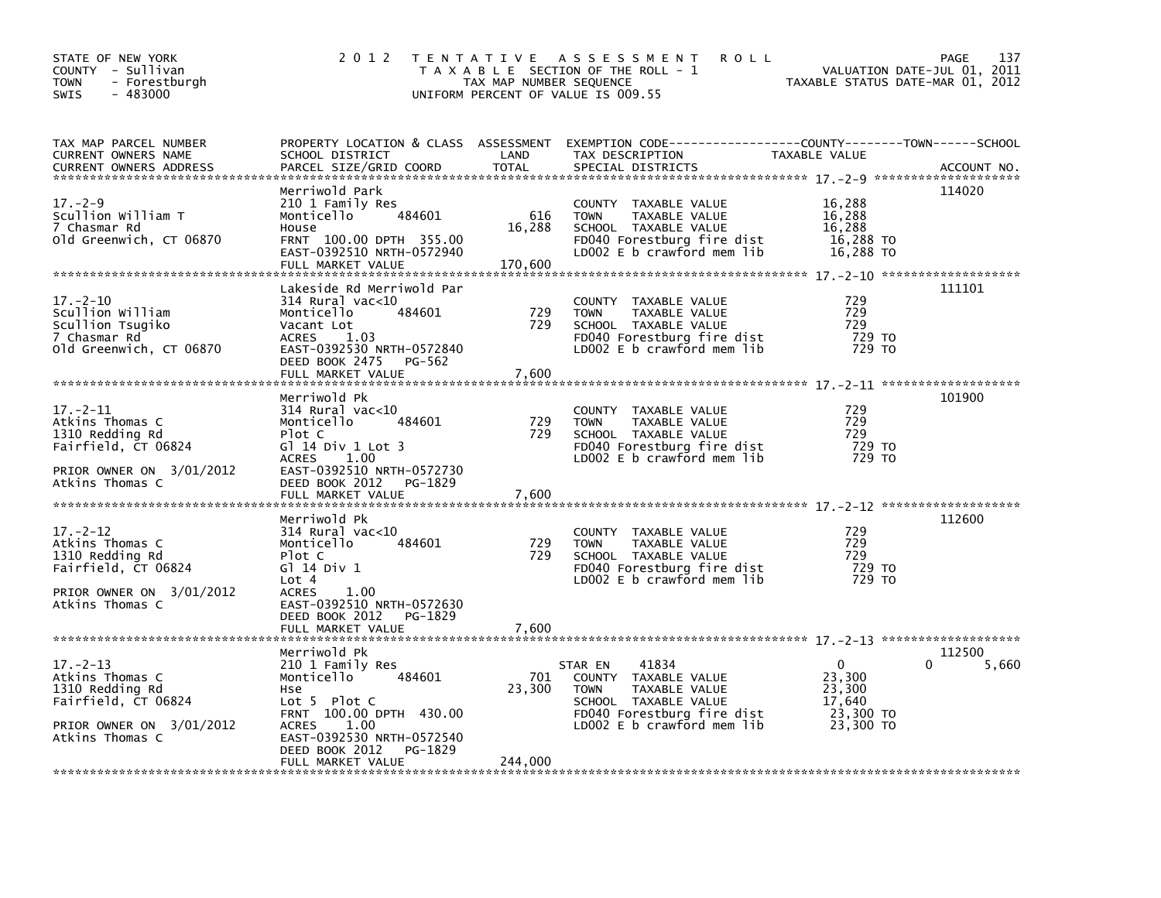| STATE OF NEW YORK<br>COUNTY - Sullivan<br><b>TOWN</b><br>- Forestburgh<br>$-483000$<br>SWIS                                | 2 0 1 2                                                                                                                                                                        | TAX MAP NUMBER SEQUENCE<br>UNIFORM PERCENT OF VALUE IS 009.55 | TENTATIVE ASSESSMENT<br><b>ROLL</b><br>T A X A B L E SECTION OF THE ROLL - 1                                                                                 | VALUATION DATE-JUL 01, 2011<br>TAXABLE STATUS DATE-MAR 01, 2012       | PAGE<br>137 |
|----------------------------------------------------------------------------------------------------------------------------|--------------------------------------------------------------------------------------------------------------------------------------------------------------------------------|---------------------------------------------------------------|--------------------------------------------------------------------------------------------------------------------------------------------------------------|-----------------------------------------------------------------------|-------------|
| TAX MAP PARCEL NUMBER<br>CURRENT OWNERS NAME<br><b>CURRENT OWNERS ADDRESS</b>                                              | SCHOOL DISTRICT<br>PARCEL SIZE/GRID COORD                                                                                                                                      | LAND<br><b>TOTAL</b>                                          | PROPERTY LOCATION & CLASS ASSESSMENT EXEMPTION CODE---------------COUNTY-------TOWN------SCHOOL<br>TAX DESCRIPTION<br>SPECIAL DISTRICTS                      | TAXABLE VALUE                                                         | ACCOUNT NO. |
| $17. - 2 - 9$<br>Scullion William T<br>7 Chasmar Rd<br>old Greenwich, CT 06870                                             | Merriwold Park<br>210 1 Family Res<br>Monticello<br>House<br>FRNT 100.00 DPTH 355.00<br>EAST-0392510 NRTH-0572940<br>FULL MARKET VALUE                                         | 616<br>484601<br>16,288<br>170,600                            | COUNTY TAXABLE VALUE<br><b>TOWN</b><br>TAXABLE VALUE<br>SCHOOL TAXABLE VALUE<br>FD040 Forestburg fire dist<br>LD002 E b crawford mem lib                     | 16,288<br>16,288<br>16,288<br>16,288 TO<br>16,288 TO                  | 114020      |
| 17. –2–10                                                                                                                  | Lakeside Rd Merriwold Par<br>$314$ Rural vac< $10$                                                                                                                             |                                                               | COUNTY TAXABLE VALUE                                                                                                                                         | 729                                                                   | 111101      |
| Scullion William<br>Scullion Tsugiko<br>7 Chasmar Rd<br>old Greenwich, CT 06870                                            | Monticello<br>Vacant Lot<br>1.03<br><b>ACRES</b><br>EAST-0392530 NRTH-0572840<br>DEED BOOK 2475 PG-562                                                                         | 484601<br>729<br>729                                          | <b>TOWN</b><br>TAXABLE VALUE<br>SCHOOL TAXABLE VALUE<br>FD040 Forestburg fire dist<br>LDOO2 E b crawford mem lib                                             | 729<br>729<br>729 TO<br>729 TO                                        |             |
|                                                                                                                            | FULL MARKET VALUE                                                                                                                                                              | 7,600                                                         |                                                                                                                                                              |                                                                       |             |
| $17 - 2 - 11$<br>Atkins Thomas C<br>1310 Redding Rd<br>Fairfield, CT 06824<br>PRIOR OWNER ON 3/01/2012                     | Merriwold Pk<br>$314$ Rural vac<10<br>Monticello<br>Plot C<br>G $1$ 14 Div 1 Lot 3<br>ACRES 1.00<br>EAST-0392510 NRTH-0572730                                                  | 484601<br>729<br>729                                          | COUNTY TAXABLE VALUE<br>TAXABLE VALUE<br><b>TOWN</b><br>SCHOOL TAXABLE VALUE<br>FD040 Forestburg fire dist<br>LD002 E b crawford mem lib                     | 729<br>729<br>729<br>729 TO<br>729 TO                                 | 101900      |
| Atkins Thomas C                                                                                                            | DEED BOOK 2012<br>FULL MARKET VALUE                                                                                                                                            | PG-1829<br>7,600                                              |                                                                                                                                                              |                                                                       |             |
| $17. - 2 - 12$<br>Atkins Thomas C<br>1310 Redding Rd<br>Fairfield, CT 06824<br>PRIOR OWNER ON 3/01/2012<br>Atkins Thomas C | Merriwold Pk<br>$314$ Rural vac<10<br>Monticello<br>Plot C<br>G1 14 Div 1<br>Lot 4<br><b>ACRES</b><br>1.00<br>EAST-0392510 NRTH-0572630<br>DEED BOOK 2012<br>FULL MARKET VALUE | 484601<br>729<br>729<br>PG-1829<br>7,600                      | COUNTY TAXABLE VALUE<br><b>TOWN</b><br>TAXABLE VALUE<br>SCHOOL TAXABLE VALUE<br>FD040 Forestburg fire dist<br>LD002 E b crawford mem lib                     | 729<br>729<br>729<br>729 TO<br>729 TO                                 | 112600      |
|                                                                                                                            | Merriwold Pk                                                                                                                                                                   |                                                               |                                                                                                                                                              |                                                                       | 112500      |
| $17 - 2 - 13$<br>Atkins Thomas C<br>1310 Redding Rd<br>Fairfield, CT 06824<br>PRIOR OWNER ON 3/01/2012<br>Atkins Thomas C  | 210 1 Family Res<br>Monticello<br>Hse<br>Lot $5$ Plot C<br>FRNT 100.00 DPTH 430.00<br>1.00<br><b>ACRES</b><br>EAST-0392530 NRTH-0572540<br>DEED BOOK 2012                      | 484601<br>701<br>23,300<br>PG-1829                            | 41834<br>STAR EN<br>COUNTY TAXABLE VALUE<br><b>TOWN</b><br>TAXABLE VALUE<br>SCHOOL TAXABLE VALUE<br>FD040 Forestburg fire dist<br>LD002 E b crawford mem lib | $\Omega$<br>0<br>23,300<br>23,300<br>17,640<br>23,300 TO<br>23,300 TO | 5,660       |
|                                                                                                                            | FULL MARKET VALUE                                                                                                                                                              | 244,000                                                       |                                                                                                                                                              |                                                                       |             |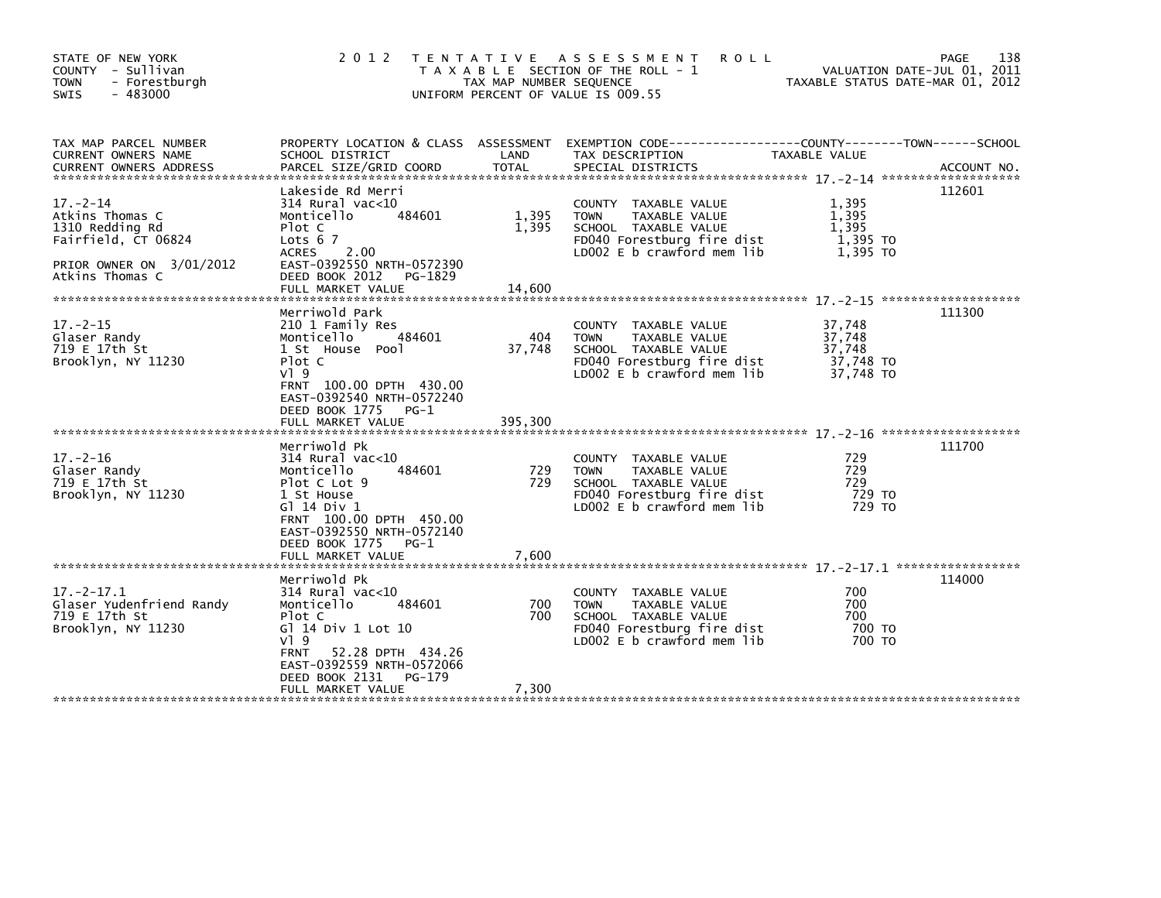| STATE OF NEW YORK<br>COUNTY - Sullivan<br>- Forestburgh<br><b>TOWN</b><br>$-483000$<br>SWIS                                | 2 0 1 2                                                                                                                                                                                                                 | TAX MAP NUMBER SEQUENCE  | TENTATIVE ASSESSMENT<br><b>ROLL</b><br>T A X A B L E SECTION OF THE ROLL - 1<br>UNIFORM PERCENT OF VALUE IS 009.55                              |                                                      | 138<br>PAGE<br>VALUATION DATE-JUL 01, 2011<br>TAXABLE STATUS DATE-MAR 01, 2012 |
|----------------------------------------------------------------------------------------------------------------------------|-------------------------------------------------------------------------------------------------------------------------------------------------------------------------------------------------------------------------|--------------------------|-------------------------------------------------------------------------------------------------------------------------------------------------|------------------------------------------------------|--------------------------------------------------------------------------------|
| TAX MAP PARCEL NUMBER<br>CURRENT OWNERS NAME                                                                               | SCHOOL DISTRICT                                                                                                                                                                                                         | LAND                     | PROPERTY LOCATION & CLASS ASSESSMENT EXEMPTION CODE----------------COUNTY-------TOWN------SCHOOL<br>TAX DESCRIPTION                             | TAXABLE VALUE                                        |                                                                                |
| $17. - 2 - 14$<br>Atkins Thomas C<br>1310 Redding Rd<br>Fairfield, CT 06824<br>PRIOR OWNER ON 3/01/2012<br>Atkins Thomas C | Lakeside Rd Merri<br>314 Rural vac<10<br>Monticello<br>484601<br>Plot C<br>Lots $67$<br><b>ACRES</b><br>2.00<br>EAST-0392550 NRTH-0572390<br>DEED BOOK 2012<br>PG-1829<br>FULL MARKET VALUE                             | 1,395<br>1.395<br>14,600 | COUNTY TAXABLE VALUE<br><b>TOWN</b><br>TAXABLE VALUE<br>SCHOOL TAXABLE VALUE<br>FD040 Forestburg fire dist<br>LD002 E b crawford mem lib        | 1,395<br>1,395<br>1.395<br>1,395 TO<br>1.395 TO      | 112601                                                                         |
| $17. - 2 - 15$<br>Glaser Randy<br>719 E 17th St<br>Brooklyn, NY 11230                                                      | Merriwold Park<br>210 1 Family Res<br>Monticello<br>484601<br>1 St House Pool<br>Plot C<br>$V$ ] 9<br>FRNT 100.00 DPTH 430.00<br>EAST-0392540 NRTH-0572240<br>DEED BOOK 1775<br>$PG-1$<br>FULL MARKET VALUE             | 404<br>37,748<br>395,300 | COUNTY TAXABLE VALUE<br><b>TOWN</b><br>TAXABLE VALUE<br>SCHOOL TAXABLE VALUE<br>FD040 Forestburg fire dist<br>LD002 E b crawford mem lib        | 37,748<br>37,748<br>37,748<br>37,748 TO<br>37,748 TO | 111300                                                                         |
| $17. - 2 - 16$<br>Glaser Randy<br>719 E 17th St<br>Brooklyn, NY 11230                                                      | Merriwold Pk<br>$314$ Rural vac< $10$<br>Monticello<br>484601<br>Plot C Lot 9<br>1 St House<br>G] 14 Div 1<br>FRNT 100.00 DPTH 450.00<br>EAST-0392550 NRTH-0572140<br>DEED BOOK 1775<br>$PG-1$<br>FULL MARKET VALUE     | 729<br>729<br>7,600      | COUNTY TAXABLE VALUE<br><b>TOWN</b><br><b>TAXABLE VALUE</b><br>SCHOOL TAXABLE VALUE<br>FD040 Forestburg fire dist<br>LD002 E b crawford mem lib | 729<br>729<br>729<br>729 TO<br>729 TO                | 111700                                                                         |
| $17. -2 - 17.1$<br>Glaser Yudenfriend Randy<br>719 E 17th St<br>Brooklyn, NY 11230                                         | Merriwold Pk<br>$314$ Rural vac<10<br>Monticello<br>484601<br>Plot C<br>G] 14 Div 1 Lot 10<br>$V$ ] 9<br>52.28 DPTH 434.26<br><b>FRNT</b><br>EAST-0392559 NRTH-0572066<br>DEED BOOK 2131<br>PG-179<br>FULL MARKET VALUE | 700<br>700<br>7,300      | COUNTY TAXABLE VALUE<br><b>TOWN</b><br>TAXABLE VALUE<br>SCHOOL TAXABLE VALUE<br>FD040 Forestburg fire dist<br>LD002 E b crawford mem lib        | 700<br>700<br>700<br>700 TO<br>700 TO                | 114000                                                                         |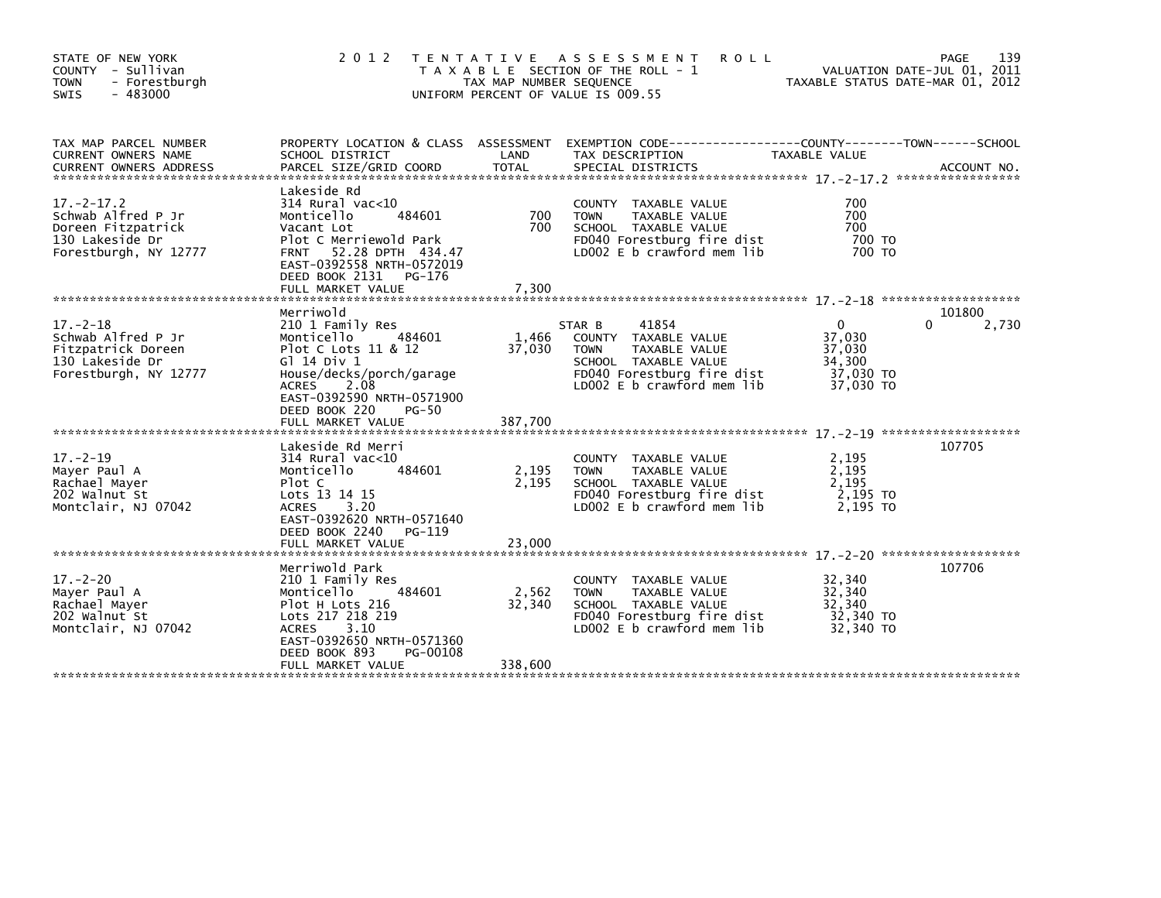| STATE OF NEW YORK<br>COUNTY - Sullivan<br>- Forestburgh<br><b>TOWN</b><br>$-483000$<br><b>SWIS</b>      | 2 0 1 2                                                                                                                                                                                                          | TAX MAP NUMBER SEQUENCE    | TENTATIVE ASSESSMENT<br><b>ROLL</b><br>T A X A B L E SECTION OF THE ROLL - 1<br>UNIFORM PERCENT OF VALUE IS 009.55                                             |                                                                  | 139<br><b>PAGE</b><br>VALUATION DATE-JUL 01, 2011<br>TAXABLE STATUS DATE-MAR 01, 2012 |
|---------------------------------------------------------------------------------------------------------|------------------------------------------------------------------------------------------------------------------------------------------------------------------------------------------------------------------|----------------------------|----------------------------------------------------------------------------------------------------------------------------------------------------------------|------------------------------------------------------------------|---------------------------------------------------------------------------------------|
| TAX MAP PARCEL NUMBER<br>CURRENT OWNERS NAME                                                            | SCHOOL DISTRICT                                                                                                                                                                                                  | LAND                       | PROPERTY LOCATION & CLASS ASSESSMENT EXEMPTION CODE-----------------COUNTY-------TOWN------SCHOOL<br>TAX DESCRIPTION                                           | TAXABLE VALUE                                                    |                                                                                       |
| $17 - 2 - 17.2$<br>Schwab Alfred P Jr<br>Doreen Fitzpatrick<br>130 Lakeside Dr<br>Forestburgh, NY 12777 | Lakeside Rd<br>$314$ Rural vac<10<br>Monticello<br>484601<br>Vacant Lot<br>Plot C Merriewold Park<br>52.28 DPTH 434.47<br><b>FRNT</b><br>EAST-0392558 NRTH-0572019<br>DEED BOOK 2131 PG-176<br>FULL MARKET VALUE | 700<br>700<br>7,300        | TAXABLE VALUE<br><b>COUNTY</b><br>TAXABLE VALUE<br><b>TOWN</b><br>SCHOOL TAXABLE VALUE<br>FD040 Forestburg fire dist<br>LD002 E b crawford mem lib             | 700<br>700<br>700<br>700 TO<br>700 TO                            |                                                                                       |
|                                                                                                         |                                                                                                                                                                                                                  |                            |                                                                                                                                                                |                                                                  |                                                                                       |
| $17. - 2 - 18$<br>Schwab Alfred P Jr<br>Fitzpatrick Doreen<br>130 Lakeside Dr<br>Forestburgh, NY 12777  | Merriwold<br>210 1 Family Res<br>484601<br>Monticello<br>Plot C Lots 11 & 12<br>G1 14 Div 1<br>House/decks/porch/garage<br><b>ACRES</b><br>2.08<br>EAST-0392590 NRTH-0571900<br>DEED BOOK 220<br>PG-50           | 1,466<br>37,030            | 41854<br>STAR B<br>COUNTY<br>TAXABLE VALUE<br><b>TOWN</b><br>TAXABLE VALUE<br>SCHOOL TAXABLE VALUE<br>FD040 Forestburg fire dist<br>LD002 E b crawford mem lib | $\Omega$<br>37,030<br>37,030<br>34,300<br>37,030 TO<br>37,030 TO | 101800<br>2,730<br>0                                                                  |
|                                                                                                         |                                                                                                                                                                                                                  |                            |                                                                                                                                                                |                                                                  |                                                                                       |
| $17. - 2 - 19$<br>Mayer Paul A<br>Rachael Mayer<br>202 Walnut St<br>Montclair, NJ 07042                 | Lakeside Rd Merri<br>$314$ Rural vac<10<br>484601<br>Monticello<br>Plot C<br>Lots 13 14 15<br><b>ACRES</b><br>3.20<br>EAST-0392620 NRTH-0571640<br>DEED BOOK 2240<br>PG-119                                      | 2,195<br>2.195             | COUNTY TAXABLE VALUE<br><b>TOWN</b><br>TAXABLE VALUE<br>SCHOOL TAXABLE VALUE<br>FD040 Forestburg fire dist<br>LD002 E b crawford mem lib                       | 2,195<br>2,195<br>2.195<br>2,195 TO<br>2.195 TO                  | 107705                                                                                |
|                                                                                                         | FULL MARKET VALUE                                                                                                                                                                                                | 23,000                     |                                                                                                                                                                |                                                                  |                                                                                       |
| $17 - 2 - 20$<br>Mayer Paul A<br>Rachael Mayer<br>202 Walnut St<br>Montclair, NJ 07042                  | Merriwold Park<br>210 1 Family Res<br>Monticello<br>484601<br>Plot H Lots 216<br>Lots 217 218 219<br>3.10<br><b>ACRES</b><br>EAST-0392650 NRTH-0571360<br>DEED BOOK 893<br>PG-00108<br>FULL MARKET VALUE         | 2,562<br>32,340<br>338,600 | COUNTY TAXABLE VALUE<br><b>TOWN</b><br>TAXABLE VALUE<br>SCHOOL TAXABLE VALUE<br>FD040 Forestburg fire dist<br>LD002 E b crawford mem lib                       | 32,340<br>32.340<br>32.340<br>32,340 TO<br>32,340 TO             | 107706                                                                                |
|                                                                                                         |                                                                                                                                                                                                                  |                            |                                                                                                                                                                |                                                                  |                                                                                       |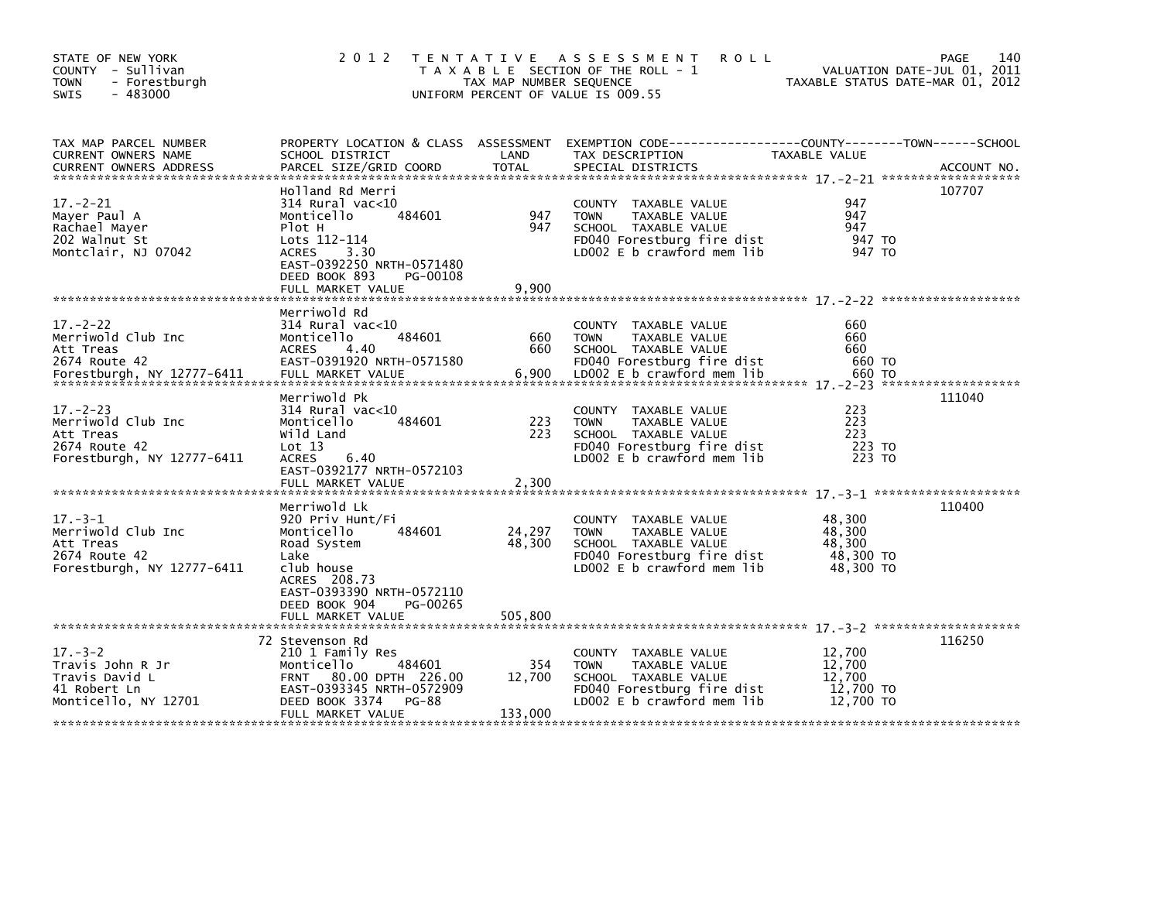| STATE OF NEW YORK<br>COUNTY - Sullivan<br><b>TOWN</b><br>- Forestburgh<br>$-483000$<br>SWIS     | 2 0 1 2                                                                                                                                                                                            | TAX MAP NUMBER SEQUENCE     | TENTATIVE ASSESSMENT<br><b>ROLL</b><br>T A X A B L E SECTION OF THE ROLL - 1<br>UNIFORM PERCENT OF VALUE IS 009.55                         | TAXABLE STATUS DATE-MAR 01, 2012                     | 140<br>PAGE<br>VALUATION DATE-JUL 01, 2011 |
|-------------------------------------------------------------------------------------------------|----------------------------------------------------------------------------------------------------------------------------------------------------------------------------------------------------|-----------------------------|--------------------------------------------------------------------------------------------------------------------------------------------|------------------------------------------------------|--------------------------------------------|
| TAX MAP PARCEL NUMBER<br>CURRENT OWNERS NAME<br><b>CURRENT OWNERS ADDRESS</b>                   | PROPERTY LOCATION & CLASS ASSESSMENT<br>SCHOOL DISTRICT<br>PARCEL SIZE/GRID COORD                                                                                                                  | LAND<br>TOTAL               | EXEMPTION        CODE------------------COUNTY-------TOWN------SCHOOL<br>TAX DESCRIPTION<br>SPECIAL DISTRICTS                               | TAXABLE VALUE                                        | ACCOUNT NO.                                |
| $17. - 2 - 21$<br>Mayer Paul A<br>Rachael Mayer<br>202 Walnut St<br>Montclair, NJ 07042         | Holland Rd Merri<br>$314$ Rural vac< $10$<br>484601<br>Monticello<br>Plot H<br>Lots 112-114<br><b>ACRES</b><br>3.30<br>EAST-0392250 NRTH-0571480<br>DEED BOOK 893<br>PG-00108<br>FULL MARKET VALUE | 947<br>947<br>9,900         | COUNTY TAXABLE VALUE<br><b>TOWN</b><br>TAXABLE VALUE<br>SCHOOL TAXABLE VALUE<br>FD040 Forestburg fire dist<br>LD002 E b crawford mem lib   | 947<br>947<br>947<br>947 TO<br>947 TO                | 107707                                     |
| $17 - 2 - 22$<br>Merriwold Club Inc<br>Att Treas<br>2674 Route 42<br>Forestburgh, NY 12777-6411 | Merriwold Rd<br>$314$ Rural vac<10<br>484601<br>Monticello<br><b>ACRES</b><br>4.40<br>EAST-0391920 NRTH-0571580<br>FULL MARKET VALUE                                                               | 660<br>660<br>6,900         | COUNTY TAXABLE VALUE<br><b>TOWN</b><br>TAXABLE VALUE<br>SCHOOL TAXABLE VALUE<br>FD040 Forestburg fire dist<br>LD002 E b crawford mem lib   | 660<br>660<br>660<br>660 TO<br>660 TO                |                                            |
| $17 - 2 - 23$<br>Merriwold Club Inc<br>Att Treas<br>2674 Route 42<br>Forestburgh, NY 12777-6411 | Merriwold Pk<br>$314$ Rural vac< $10$<br>484601<br>Monticello<br>Wild Land<br>Lot 13<br>ACRES<br>6.40<br>EAST-0392177 NRTH-0572103<br>FULL MARKET VALUE                                            | 223<br>223<br>2,300         | COUNTY TAXABLE VALUE<br><b>TOWN</b><br>TAXABLE VALUE<br>SCHOOL TAXABLE VALUE<br>FD040 Forestburg fire dist<br>LD002 $E$ b crawford mem lib | 223<br>223<br>223<br>223 TO<br>223 TO                | 111040                                     |
| $17 - 3 - 1$<br>Merriwold Club Inc<br>Att Treas<br>2674 Route 42<br>Forestburgh, NY 12777-6411  | Merriwold Lk<br>920 Priv Hunt/Fi<br>484601<br>Monticello<br>Road System<br>Lake<br>club house<br>ACRES 208.73<br>EAST-0393390 NRTH-0572110<br>DEED BOOK 904<br>PG-00265<br>FULL MARKET VALUE       | 24,297<br>48,300<br>505,800 | COUNTY TAXABLE VALUE<br><b>TOWN</b><br>TAXABLE VALUE<br>SCHOOL TAXABLE VALUE<br>FD040 Forestburg fire dist<br>LD002 E b crawford mem lib   | 48,300<br>48.300<br>48,300<br>48,300 TO<br>48,300 TO | 110400                                     |
| $17. - 3 - 2$<br>Travis John R Jr<br>Travis David L<br>41 Robert Ln<br>Monticello, NY 12701     | 72 Stevenson Rd<br>210 1 Family Res<br>484601<br>Monticello<br>FRNT 80.00 DPTH 226.00<br>EAST-0393345 NRTH-0572909<br>DEED BOOK 3374<br><b>PG-88</b><br>FULL MARKET VALUE                          | 354<br>12,700<br>133,000    | COUNTY TAXABLE VALUE<br><b>TOWN</b><br>TAXABLE VALUE<br>SCHOOL TAXABLE VALUE<br>FD040 Forestburg fire dist<br>LD002 E b crawford mem lib   | 12,700<br>12,700<br>12,700<br>12,700 TO<br>12,700 TO | 116250                                     |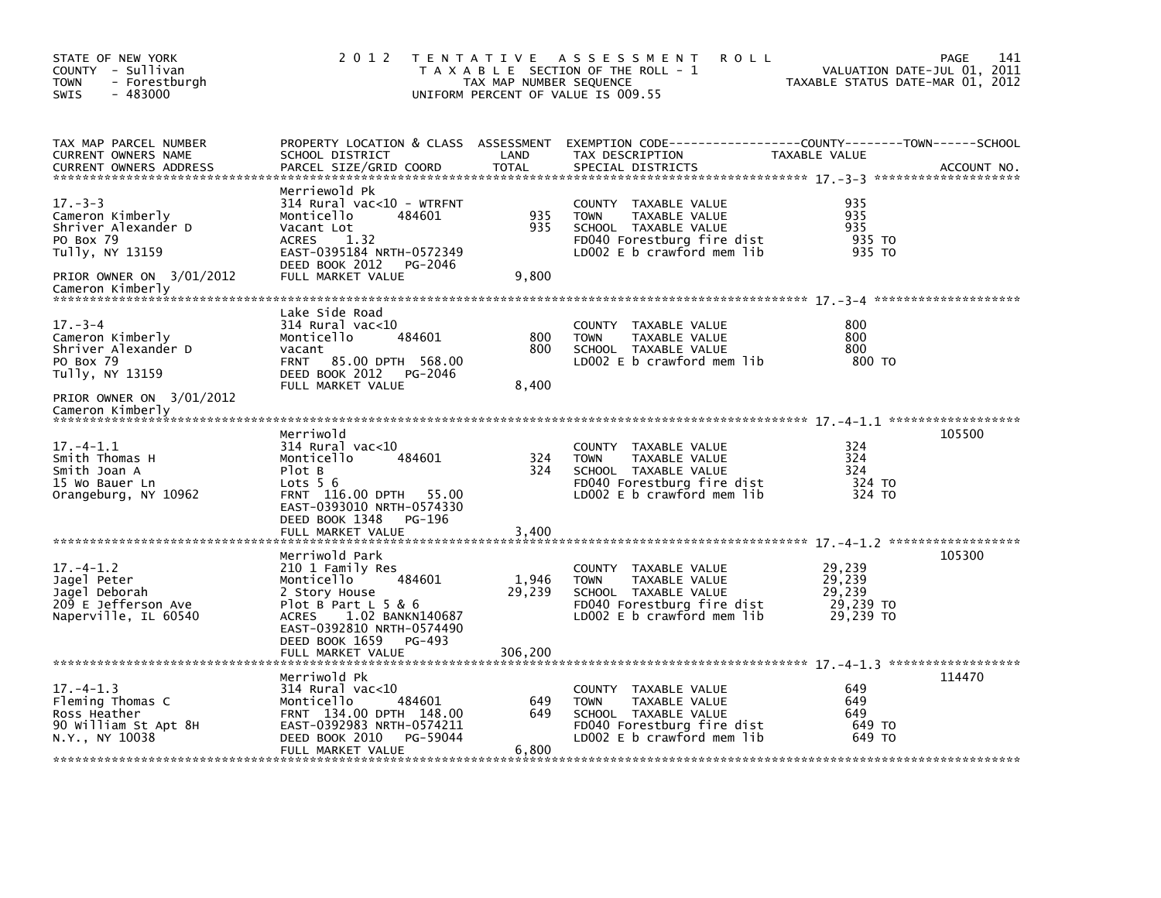| STATE OF NEW YORK<br>COUNTY - Sullivan<br><b>TOWN</b><br>- Forestburgh<br>$-483000$<br>SWIS                                              | 2 0 1 2                                                                                                                                                                                   | TAX MAP NUMBER SEQUENCE | TENTATIVE ASSESSMENT<br><b>ROLL</b><br>T A X A B L E SECTION OF THE ROLL - 1<br>UNIFORM PERCENT OF VALUE IS 009.55                       | VALUATION DATE-JUL 01, 2011<br>TAXABLE STATUS DATE-MAR 01, 2012 | 141<br>PAGE |
|------------------------------------------------------------------------------------------------------------------------------------------|-------------------------------------------------------------------------------------------------------------------------------------------------------------------------------------------|-------------------------|------------------------------------------------------------------------------------------------------------------------------------------|-----------------------------------------------------------------|-------------|
| TAX MAP PARCEL NUMBER<br><b>CURRENT OWNERS NAME</b><br><b>CURRENT OWNERS ADDRESS</b>                                                     | SCHOOL DISTRICT<br>PARCEL SIZE/GRID COORD                                                                                                                                                 | LAND<br><b>TOTAL</b>    | PROPERTY LOCATION & CLASS ASSESSMENT EXEMPTION CODE---------------COUNTY-------TOWN-----SCHOOL<br>TAX DESCRIPTION<br>SPECIAL DISTRICTS   | TAXABLE VALUE                                                   | ACCOUNT NO. |
| $17. - 3 - 3$<br>Cameron Kimberly<br>Shriver Alexander D<br>PO Box 79<br>Tully, NY 13159<br>PRIOR OWNER ON 3/01/2012<br>Cameron Kimberly | Merriewold Pk<br>314 Rural vac<10 - WTRFNT<br>Monticello<br>484601<br>Vacant Lot<br>1.32<br><b>ACRES</b><br>EAST-0395184 NRTH-0572349<br>DEED BOOK 2012<br>PG-2046<br>FULL MARKET VALUE   | 935<br>935<br>9,800     | COUNTY TAXABLE VALUE<br>TAXABLE VALUE<br><b>TOWN</b><br>SCHOOL TAXABLE VALUE<br>FD040 Forestburg fire dist<br>LD002 E b crawford mem lib | 935<br>935<br>935<br>935 TO<br>935 TO                           |             |
|                                                                                                                                          |                                                                                                                                                                                           |                         |                                                                                                                                          |                                                                 |             |
| $17 - 3 - 4$<br>Cameron Kimberly<br>Shriver Alexander D<br>PO Box 79<br>Tully, NY 13159                                                  | Lake Side Road<br>314 Rural vac<10<br>484601<br>Monticello<br>vacant<br>85.00 DPTH 568.00<br><b>FRNT</b><br>DEED BOOK 2012<br>PG-2046<br>FULL MARKET VALUE                                | 800<br>800<br>8,400     | COUNTY TAXABLE VALUE<br><b>TOWN</b><br>TAXABLE VALUE<br>SCHOOL TAXABLE VALUE<br>LD002 $E$ b crawford mem $lib$                           | 800<br>800<br>800<br>800 TO                                     |             |
| PRIOR OWNER ON 3/01/2012<br>Cameron Kimberly                                                                                             |                                                                                                                                                                                           |                         |                                                                                                                                          |                                                                 |             |
| 17. –4–1.1<br>Smith Thomas H<br>Smith Joan A<br>15 Wo Bauer Ln<br>Orangeburg, NY 10962                                                   | Merriwold<br>$314$ Rural vac<10<br>Monticello<br>484601<br>Plot B<br>Lots $56$<br>FRNT 116.00 DPTH<br>55.00<br>EAST-0393010 NRTH-0574330<br>DEED BOOK 1348<br>PG-196<br>FULL MARKET VALUE | 324<br>324<br>3.400     | COUNTY TAXABLE VALUE<br><b>TOWN</b><br>TAXABLE VALUE<br>SCHOOL TAXABLE VALUE<br>FD040 Forestburg fire dist<br>LD002 E b crawford mem lib | 324<br>324<br>324<br>324 TO<br>324 TO                           | 105500      |
|                                                                                                                                          | Merriwold Park                                                                                                                                                                            |                         |                                                                                                                                          |                                                                 | 105300      |
| $17. - 4 - 1.2$<br>Jagel Peter<br>Jagel Deborah<br>209 E Jefferson Ave<br>Naperville, IL 60540                                           | 210 1 Family Res<br>Monticello<br>484601<br>2 Story House<br>Plot B Part $L$ 5 & 6<br>1.02 BANKN140687<br>ACRES<br>EAST-0392810 NRTH-0574490<br>DEED BOOK 1659<br>PG-493                  | 1,946<br>29,239         | COUNTY TAXABLE VALUE<br><b>TOWN</b><br>TAXABLE VALUE<br>SCHOOL TAXABLE VALUE<br>FD040 Forestburg fire dist<br>LD002 E b crawford mem lib | 29,239<br>29,239<br>29,239<br>29,239 TO<br>29,239 TO            |             |
|                                                                                                                                          | FULL MARKET VALUE                                                                                                                                                                         | 306,200                 |                                                                                                                                          |                                                                 |             |
| $17. - 4 - 1.3$<br>Fleming Thomas C<br>Ross Heather<br>90 William St Apt 8H<br>N.Y., NY 10038                                            | Merriwold Pk<br>$314$ Rural vac< $10$<br>Monticello<br>484601<br>FRNT 134.00 DPTH 148.00<br>EAST-0392983 NRTH-0574211<br>DEED BOOK 2010<br>PG-59044<br>FULL MARKET VALUE                  | 649<br>649<br>6,800     | COUNTY TAXABLE VALUE<br>TAXABLE VALUE<br><b>TOWN</b><br>SCHOOL TAXABLE VALUE<br>FD040 Forestburg fire dist<br>LD002 E b crawford mem lib | 649<br>649<br>649<br>649 TO<br>649 TO                           | 114470      |
|                                                                                                                                          |                                                                                                                                                                                           |                         |                                                                                                                                          |                                                                 |             |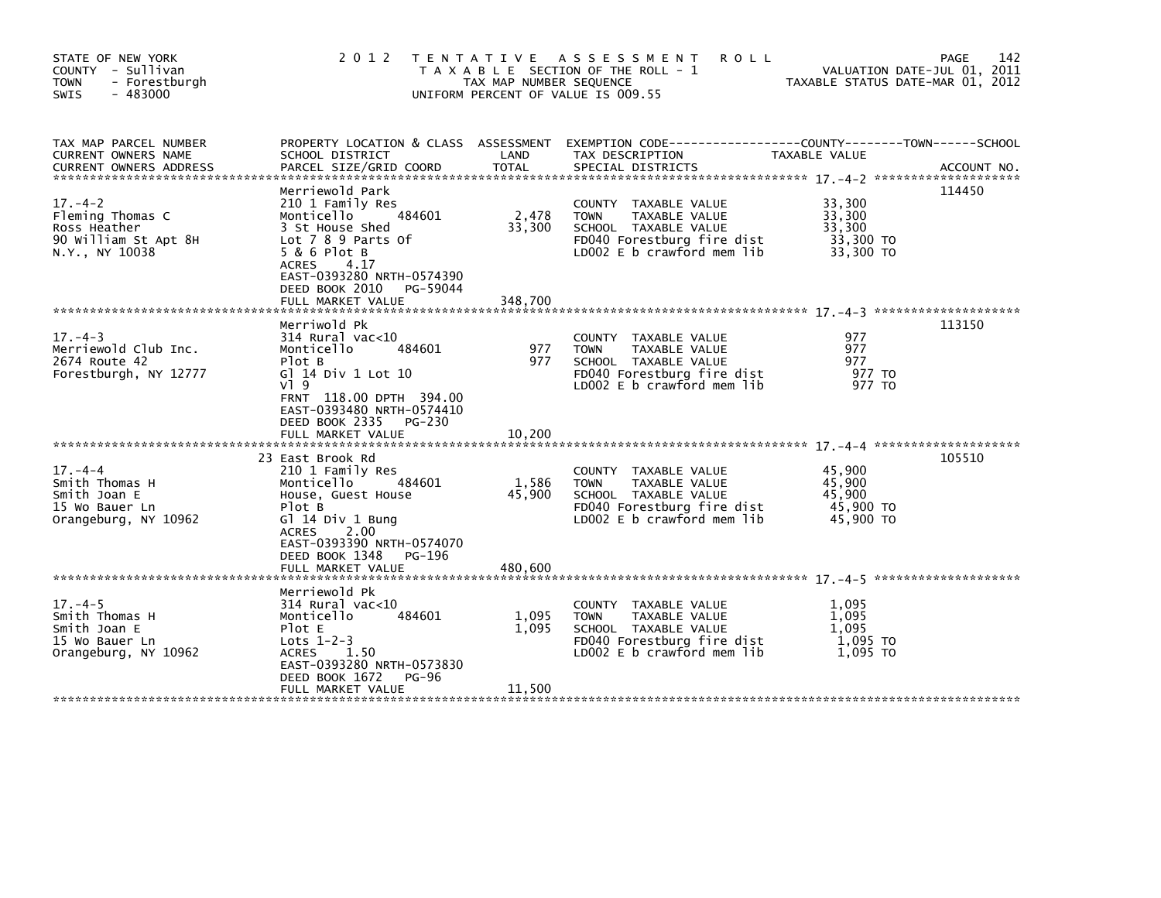| STATE OF NEW YORK<br>COUNTY - Sullivan<br>- Forestburgh<br><b>TOWN</b><br>$-483000$<br><b>SWIS</b> |                                                                                                                                                                                                                      | TAX MAP NUMBER SEQUENCE    | 2012 TENTATIVE ASSESSMENT<br><b>ROLL</b><br>T A X A B L E SECTION OF THE ROLL - 1<br>UNIFORM PERCENT OF VALUE IS 009.55                  | VALUATION DATE-JUL 01, 2011<br>TAXABLE STATUS DATE-MAR 01, 2012 | 142<br><b>PAGE</b> |
|----------------------------------------------------------------------------------------------------|----------------------------------------------------------------------------------------------------------------------------------------------------------------------------------------------------------------------|----------------------------|------------------------------------------------------------------------------------------------------------------------------------------|-----------------------------------------------------------------|--------------------|
| TAX MAP PARCEL NUMBER<br>CURRENT OWNERS NAME<br><b>CURRENT OWNERS ADDRESS</b>                      | SCHOOL DISTRICT<br>PARCEL SIZE/GRID COORD                                                                                                                                                                            | LAND<br>TOTAL              | PROPERTY LOCATION & CLASS ASSESSMENT EXEMPTION CODE----------------COUNTY-------TOWN------SCHOOL<br>TAX DESCRIPTION<br>SPECIAL DISTRICTS | TAXABLE VALUE                                                   | ACCOUNT NO.        |
| $17. - 4 - 2$<br>Fleming Thomas C<br>Ross Heather<br>90 William St Apt 8H<br>N.Y., NY 10038        | Merriewold Park<br>210 1 Family Res<br>Monticello 484601<br>3 St House Shed<br>Lot 7 8 9 Parts Of<br>$5 & 6$ Plot B<br>4.17<br>ACRES<br>EAST-0393280 NRTH-0574390<br>DEED BOOK 2010<br>PG-59044<br>FULL MARKET VALUE | 2,478<br>33,300<br>348,700 | COUNTY TAXABLE VALUE<br><b>TOWN</b><br>TAXABLE VALUE<br>SCHOOL TAXABLE VALUE<br>FD040 Forestburg fire dist<br>LD002 E b crawford mem lib | 33,300<br>33,300<br>33.300<br>33,300 TO<br>33,300 TO            | 114450             |
| $17. - 4 - 3$                                                                                      | Merriwold Pk<br>314 Rural vac<10                                                                                                                                                                                     |                            | COUNTY TAXABLE VALUE                                                                                                                     | 977                                                             | 113150             |
| Merriewold Club Inc.<br>2674 Route 42<br>Forestburgh, NY 12777                                     | 484601<br>Monticello<br>Plot B<br>G] 14 Div 1 Lot 10<br>$V$ <sup>1</sup> 9<br>FRNT 118.00 DPTH 394.00<br>EAST-0393480 NRTH-0574410<br>DEED BOOK 2335<br>PG-230                                                       | 977<br>977                 | <b>TOWN</b><br>TAXABLE VALUE<br>SCHOOL TAXABLE VALUE<br>FD040 Forestburg fire dist<br>LD002 E b crawford mem lib                         | 977<br>977<br>977 TO<br>977 TO                                  |                    |
|                                                                                                    | FULL MARKET VALUE                                                                                                                                                                                                    | 10,200                     |                                                                                                                                          |                                                                 |                    |
| $17 - 4 - 4$<br>Smith Thomas H<br>Smith Joan E<br>15 Wo Bauer Ln<br>Orangeburg, NY 10962           | 23 East Brook Rd<br>210 1 Family Res<br>Monticello<br>484601<br>House, Guest House<br>Plot B<br>Gl 14 Div 1 Bung<br>ACRES 2.00<br>EAST-0393390 NRTH-0574070<br>DEED BOOK 1348<br>PG-196                              | 1,586<br>45,900            | COUNTY TAXABLE VALUE<br>TAXABLE VALUE<br><b>TOWN</b><br>SCHOOL TAXABLE VALUE<br>FD040 Forestburg fire dist<br>LD002 E b crawford mem lib | 45,900<br>45,900<br>45,900<br>45,900 TO<br>45,900 TO            | 105510             |
|                                                                                                    | Merriewold Pk                                                                                                                                                                                                        |                            |                                                                                                                                          |                                                                 |                    |
| $17. - 4 - 5$<br>Smith Thomas H<br>Smith Joan E<br>15 Wo Bauer Ln<br>Orangeburg, NY 10962          | $314$ Rural vac<10<br>Monticello<br>484601<br>Plot E<br>Lots $1-2-3$<br>1.50<br>ACRES<br>EAST-0393280 NRTH-0573830<br>DEED BOOK 1672<br><b>PG-96</b>                                                                 | 1,095<br>1,095             | COUNTY TAXABLE VALUE<br>TAXABLE VALUE<br><b>TOWN</b><br>SCHOOL TAXABLE VALUE<br>FD040 Forestburg fire dist<br>LD002 E b crawford mem lib | 1,095<br>1,095<br>1,095<br>1,095 TO<br>1,095 TO                 |                    |
|                                                                                                    | FULL MARKET VALUE                                                                                                                                                                                                    | 11,500                     |                                                                                                                                          |                                                                 |                    |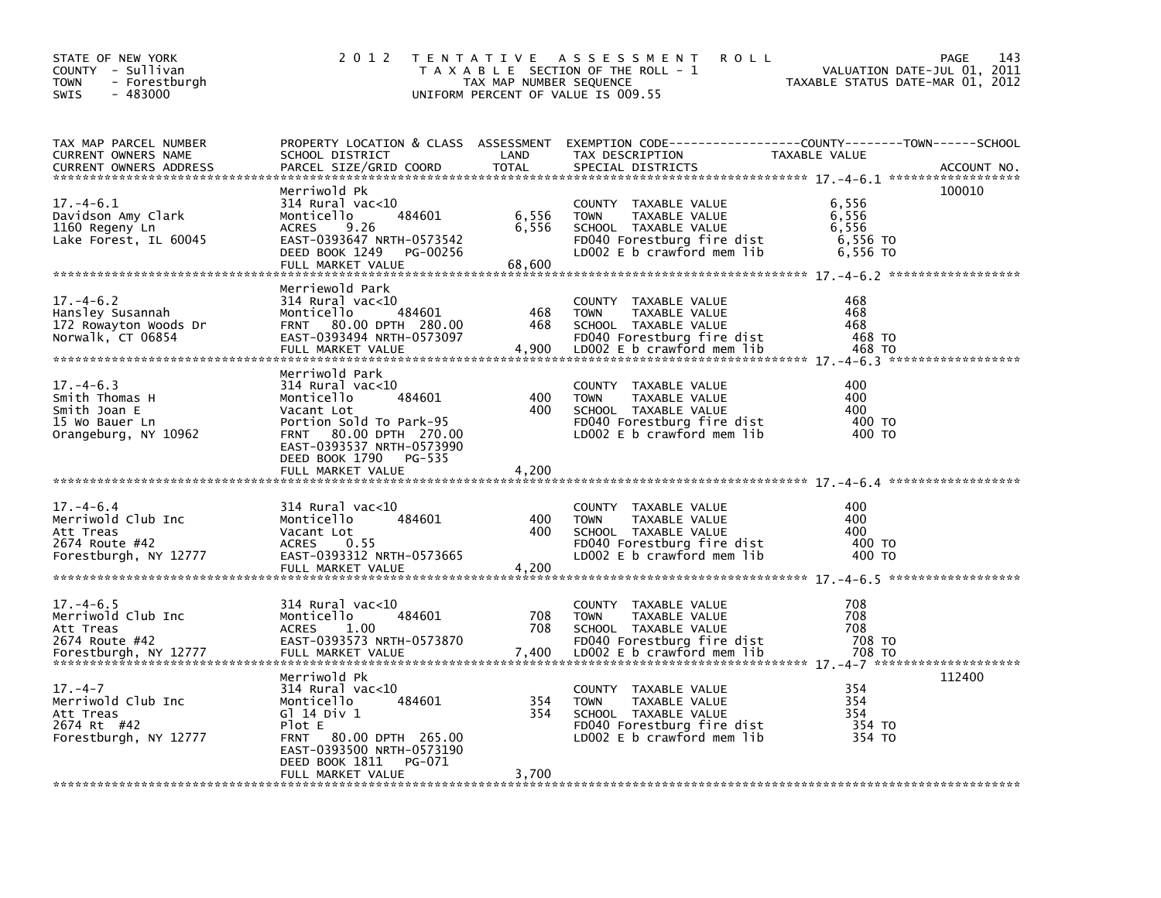| STATE OF NEW YORK<br>COUNTY - Sullivan<br><b>TOWN</b><br>- Forestburgh<br>SWIS<br>$-483000$   | 2 0 1 2                                                                                                                                                                                   | TAX MAP NUMBER SEQUENCE  | TENTATIVE ASSESSMENT<br><b>ROLL</b><br>T A X A B L E SECTION OF THE ROLL - 1<br>UNIFORM PERCENT OF VALUE IS 009.55                       | TAXABLE STATUS DATE-MAR 01, 2012                | 143<br>PAGE<br>VALUATION DATE-JUL 01, 2011 |
|-----------------------------------------------------------------------------------------------|-------------------------------------------------------------------------------------------------------------------------------------------------------------------------------------------|--------------------------|------------------------------------------------------------------------------------------------------------------------------------------|-------------------------------------------------|--------------------------------------------|
| TAX MAP PARCEL NUMBER<br>CURRENT OWNERS NAME<br><b>CURRENT OWNERS ADDRESS</b>                 | SCHOOL DISTRICT<br>PARCEL SIZE/GRID COORD                                                                                                                                                 | LAND<br><b>TOTAL</b>     | PROPERTY LOCATION & CLASS ASSESSMENT EXEMPTION CODE----------------COUNTY-------TOWN-----SCHOOL<br>TAX DESCRIPTION<br>SPECIAL DISTRICTS  | TAXABLE VALUE                                   | ACCOUNT NO.                                |
| $17. - 4 - 6.1$<br>Davidson Amy Clark<br>1160 Regeny Ln<br>Lake Forest, IL 60045              | Merriwold Pk<br>$314$ Rural vac< $10$<br>484601<br>Monticello<br><b>ACRES</b><br>9.26<br>EAST-0393647 NRTH-0573542<br>DEED BOOK 1249 PG-00256<br>FULL MARKET VALUE                        | 6,556<br>6,556<br>68,600 | COUNTY TAXABLE VALUE<br><b>TOWN</b><br>TAXABLE VALUE<br>SCHOOL TAXABLE VALUE<br>FD040 Forestburg fire dist<br>LD002 E b crawford mem lib | 6,556<br>6,556<br>6,556<br>6,556 TO<br>6,556 TO | 100010                                     |
| $17. - 4 - 6.2$<br>Hansley Susannah<br>172 Rowayton Woods Dr<br>Norwalk, CT 06854             | Merriewold Park<br>$314$ Rural vac< $10$<br>484601<br>Monticello<br>FRNT 80.00 DPTH 280.00<br>EAST-0393494 NRTH-0573097<br>FULL MARKET VALUE                                              | 468<br>468<br>4,900      | COUNTY TAXABLE VALUE<br><b>TOWN</b><br>TAXABLE VALUE<br>SCHOOL TAXABLE VALUE<br>FD040 Forestburg fire dist<br>LD002 E b crawford mem lib | 468<br>468<br>468<br>468 TO<br>468 TO           |                                            |
| $17. - 4 - 6.3$<br>Smith Thomas H<br>Smith Joan E<br>15 Wo Bauer Ln<br>Orangeburg, NY 10962   | Merriwold Park<br>$314$ Rural vac<10<br>Monticello<br>484601<br>Vacant Lot<br>Portion Sold To Park-95<br>FRNT 80.00 DPTH 270.00<br>EAST-0393537 NRTH-0573990<br>DEED BOOK 1790 PG-535     | 400<br>400               | COUNTY TAXABLE VALUE<br><b>TOWN</b><br>TAXABLE VALUE<br>SCHOOL TAXABLE VALUE<br>FD040 Forestburg fire dist<br>LDOO2 E b crawford mem lib | 400<br>400<br>400<br>400 TO<br>400 TO           |                                            |
|                                                                                               | FULL MARKET VALUE                                                                                                                                                                         | 4,200                    |                                                                                                                                          |                                                 |                                            |
| $17. - 4 - 6.4$<br>Merriwold Club Inc<br>Att Treas<br>2674 Route #42<br>Forestburgh, NY 12777 | $314$ Rural vac< $10$<br>484601<br>Monticello<br>Vacant Lot<br>0.55<br><b>ACRES</b><br>EAST-0393312 NRTH-0573665<br>FULL MARKET VALUE                                                     | 400<br>400<br>4,200      | COUNTY TAXABLE VALUE<br><b>TOWN</b><br>TAXABLE VALUE<br>SCHOOL TAXABLE VALUE<br>FD040 Forestburg fire dist<br>LD002 E b crawford mem lib | 400<br>400<br>400<br>400 TO<br>400 TO           |                                            |
| $17. - 4 - 6.5$<br>Merriwold Club Inc<br>Att Treas<br>2674 Route #42<br>Forestburgh, NY 12777 | $314$ Rural vac<10<br>Monticello<br>484601<br><b>ACRES</b><br>1.00<br>EAST-0393573 NRTH-0573870<br>FULL MARKET VALUE                                                                      | 708<br>708<br>7,400      | COUNTY TAXABLE VALUE<br><b>TOWN</b><br>TAXABLE VALUE<br>SCHOOL TAXABLE VALUE<br>FD040 Forestburg fire dist<br>LD002 E b crawford mem lib | 708<br>708<br>708<br>708 TO<br>708 TO           |                                            |
| $17. - 4 - 7$<br>Merriwold Club Inc<br>Att Treas<br>2674 Rt #42<br>Forestburgh, NY 12777      | Merriwold Pk<br>314 Rural vac<10<br>484601<br>Monticello<br>G1 14 Div 1<br>Plot E<br>FRNT 80.00 DPTH 265.00<br>EAST-0393500 NRTH-0573190<br>DEED BOOK 1811<br>PG-071<br>FULL MARKET VALUE | 354<br>354<br>3,700      | COUNTY TAXABLE VALUE<br><b>TOWN</b><br>TAXABLE VALUE<br>SCHOOL TAXABLE VALUE<br>FD040 Forestburg fire dist<br>LD002 E b crawford mem lib | 354<br>354<br>354<br>354 TO<br>354 TO           | 112400                                     |
|                                                                                               |                                                                                                                                                                                           |                          |                                                                                                                                          |                                                 |                                            |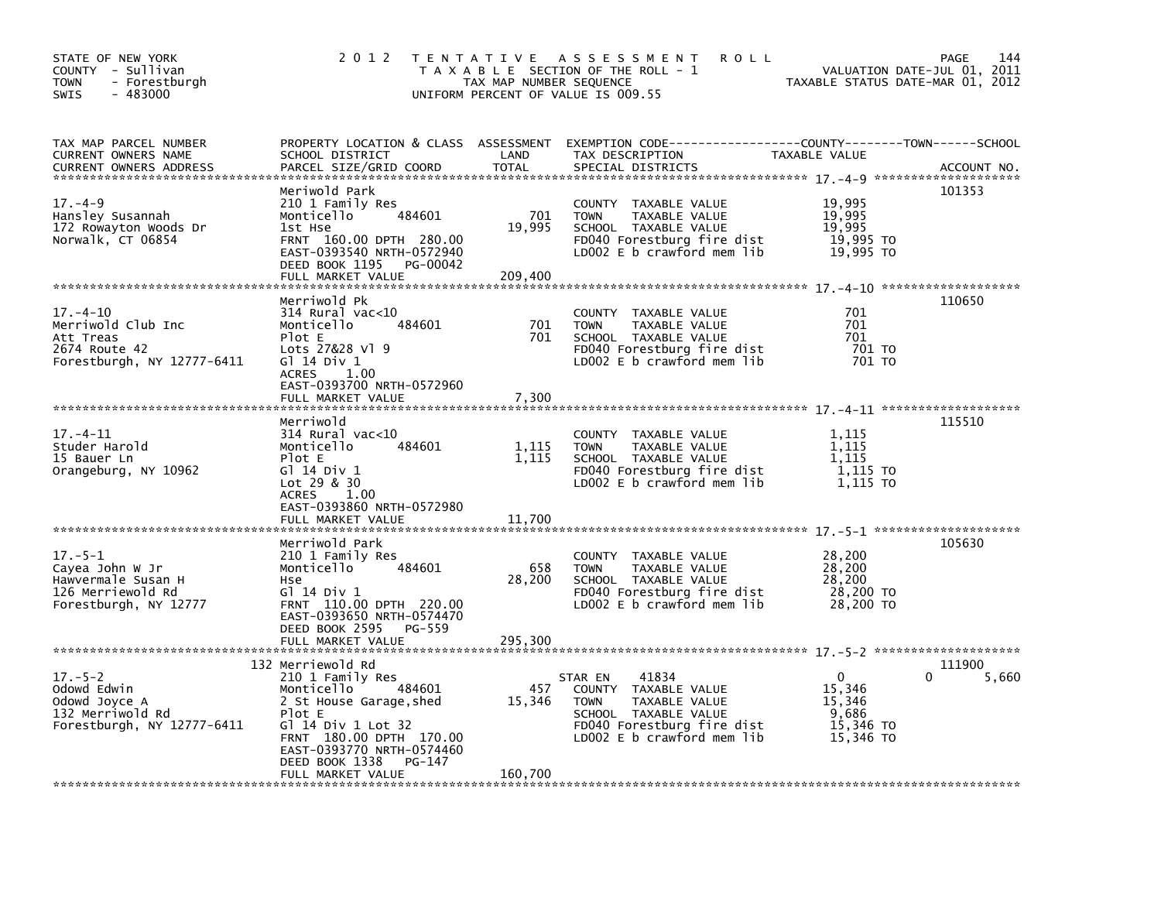| STATE OF NEW YORK<br>COUNTY - Sullivan<br>- Forestburgh<br><b>TOWN</b><br>$-483000$<br>SWIS          | 2 0 1 2                                                                                                                                                                                 | TAX MAP NUMBER SEQUENCE  | TENTATIVE ASSESSMENT<br><b>ROLL</b><br>T A X A B L E SECTION OF THE ROLL - 1<br>UNIFORM PERCENT OF VALUE IS 009.55                                           | VALUATION DATE-JUL 01, 2011<br>TAXABLE STATUS DATE-MAR 01, 2012 | PAGE<br>144 |
|------------------------------------------------------------------------------------------------------|-----------------------------------------------------------------------------------------------------------------------------------------------------------------------------------------|--------------------------|--------------------------------------------------------------------------------------------------------------------------------------------------------------|-----------------------------------------------------------------|-------------|
| TAX MAP PARCEL NUMBER<br>CURRENT OWNERS NAME<br><b>CURRENT OWNERS ADDRESS</b>                        | SCHOOL DISTRICT<br>PARCEL SIZE/GRID COORD                                                                                                                                               | LAND<br><b>TOTAL</b>     | PROPERTY LOCATION & CLASS ASSESSMENT EXEMPTION CODE---------------COUNTY-------TOWN------SCHOOL<br>TAX DESCRIPTION<br>SPECIAL DISTRICTS                      | TAXABLE VALUE                                                   | ACCOUNT NO. |
| $17. - 4 - 9$<br>Hansley Susannah<br>172 Rowayton Woods Dr<br>Norwalk, CT 06854                      | Meriwold Park<br>210 1 Family Res<br>484601<br>Monticello<br>1st Hse<br>FRNT 160.00 DPTH 280.00<br>EAST-0393540 NRTH-0572940<br>DEED BOOK 1195<br>PG-00042<br>FULL MARKET VALUE         | 701<br>19,995<br>209,400 | COUNTY TAXABLE VALUE<br>TAXABLE VALUE<br><b>TOWN</b><br>SCHOOL TAXABLE VALUE<br>FD040 Forestburg fire dist<br>LD002 E b crawford mem lib                     | 19,995<br>19,995<br>19,995<br>19,995 TO<br>19,995 TO            | 101353      |
|                                                                                                      |                                                                                                                                                                                         |                          |                                                                                                                                                              |                                                                 |             |
| $17. - 4 - 10$<br>Merriwold Club Inc<br>Att Treas<br>2674 Route 42<br>Forestburgh, NY 12777-6411     | Merriwold Pk<br>$314$ Rural vac<10<br>Monticello<br>484601<br>Plot E<br>Lots 27&28 Vl 9<br>G1 14 Div 1<br><b>ACRES</b><br>1.00                                                          | 701<br>701               | COUNTY TAXABLE VALUE<br>TAXABLE VALUE<br><b>TOWN</b><br>SCHOOL TAXABLE VALUE<br>FD040 Forestburg fire dist<br>LD002 E b crawford mem lib                     | 701<br>701<br>701<br>701 TO<br>701 TO                           | 110650      |
|                                                                                                      | EAST-0393700 NRTH-0572960<br>FULL MARKET VALUE                                                                                                                                          | 7,300                    |                                                                                                                                                              |                                                                 |             |
| $17. - 4 - 11$<br>Studer Harold<br>15 Bauer Ln<br>Orangeburg, NY 10962                               | Merriwold<br>$314$ Rural vac< $10$<br>Monticello<br>484601<br>Plot E<br>G1 14 Div 1<br>Lot 29 & 30<br>1.00<br>ACRES                                                                     | 1,115<br>1.115           | COUNTY TAXABLE VALUE<br><b>TOWN</b><br>TAXABLE VALUE<br>SCHOOL TAXABLE VALUE<br>FD040 Forestburg fire dist<br>LD002 E b crawford mem lib                     | 1.115<br>1,115<br>1,115<br>1,115 TO<br>1,115 TO                 | 115510      |
|                                                                                                      | EAST-0393860 NRTH-0572980                                                                                                                                                               |                          |                                                                                                                                                              |                                                                 |             |
| $17. - 5 - 1$<br>Cayea John W Jr<br>Hawvermale Susan H<br>126 Merriewold Rd<br>Forestburgh, NY 12777 | Merriwold Park<br>210 1 Family Res<br>Monticello<br>484601<br>Hse<br>G1 14 Div 1<br>FRNT 110.00 DPTH 220.00<br>EAST-0393650 NRTH-0574470<br>DEED BOOK 2595<br>PG-559                    | 658<br>28,200            | COUNTY TAXABLE VALUE<br>TAXABLE VALUE<br><b>TOWN</b><br>SCHOOL TAXABLE VALUE<br>FD040 Forestburg fire dist<br>LD002 E b crawford mem lib                     | 28,200<br>28,200<br>28,200<br>28,200 TO<br>28,200 TO            | 105630      |
|                                                                                                      | FULL MARKET VALUE                                                                                                                                                                       | 295,300                  |                                                                                                                                                              |                                                                 |             |
|                                                                                                      | 132 Merriewold Rd                                                                                                                                                                       |                          |                                                                                                                                                              |                                                                 | 111900      |
| $17. - 5 - 2$<br>Odowd Edwin<br>Odowd Joyce A<br>132 Merriwold Rd<br>Forestburgh, NY 12777-6411      | 210 1 Family Res<br>484601<br>Monticello<br>2 St House Garage, shed<br>Plot E<br>G] 14 Div 1 Lot 32<br>FRNT 180.00 DPTH 170.00<br>EAST-0393770 NRTH-0574460<br>DEED BOOK 1338<br>PG-147 | 457<br>15,346            | 41834<br>STAR EN<br>COUNTY TAXABLE VALUE<br><b>TOWN</b><br>TAXABLE VALUE<br>SCHOOL TAXABLE VALUE<br>FD040 Forestburg fire dist<br>LD002 E b crawford mem lib | 0<br>15,346<br>15,346<br>9,686<br>15,346 TO<br>15,346 TO        | 5,660<br>0  |
|                                                                                                      | FULL MARKET VALUE                                                                                                                                                                       | 160,700                  |                                                                                                                                                              |                                                                 |             |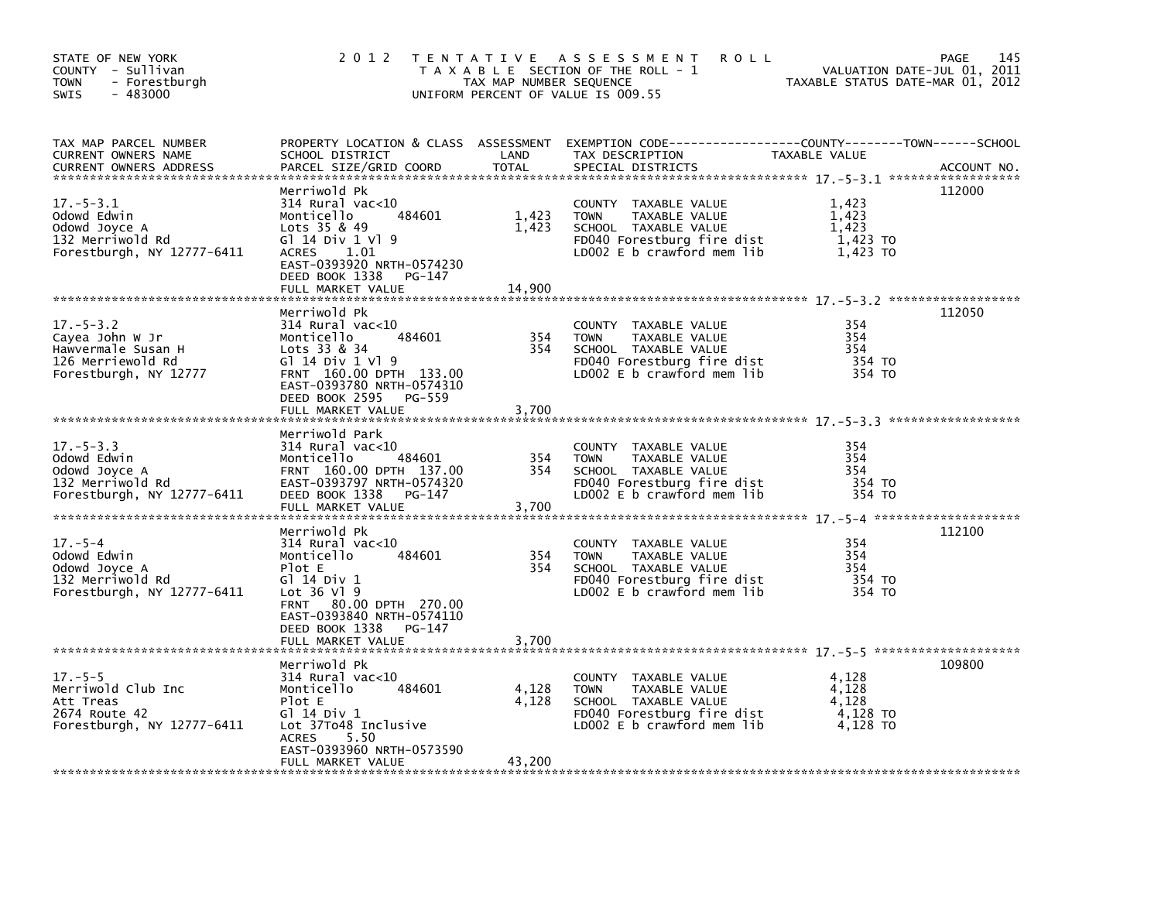| STATE OF NEW YORK<br>COUNTY - Sullivan<br>TOWN<br>- Forestburgh<br>$-483000$<br><b>SWIS</b>            | 2 0 1 2                                                                                                                                                                                                              | TAX MAP NUMBER SEQUENCE  | TENTATIVE ASSESSMENT<br><b>ROLL</b><br>T A X A B L E SECTION OF THE ROLL - 1<br>UNIFORM PERCENT OF VALUE IS 009.55                           | TAXABLE STATUS DATE-MAR 01, 2012                | 145<br>PAGE<br>VALUATION DATE-JUL 01, 2011 |
|--------------------------------------------------------------------------------------------------------|----------------------------------------------------------------------------------------------------------------------------------------------------------------------------------------------------------------------|--------------------------|----------------------------------------------------------------------------------------------------------------------------------------------|-------------------------------------------------|--------------------------------------------|
| TAX MAP PARCEL NUMBER<br>CURRENT OWNERS NAME<br><b>CURRENT OWNERS ADDRESS</b>                          | SCHOOL DISTRICT<br>PARCEL SIZE/GRID COORD                                                                                                                                                                            | LAND<br><b>TOTAL</b>     | PROPERTY LOCATION & CLASS ASSESSMENT EXEMPTION CODE---------------COUNTY-------TOWN-----SCHOOL<br>TAX DESCRIPTION<br>SPECIAL DISTRICTS       | TAXABLE VALUE                                   | ACCOUNT NO.                                |
| 17. – 5–3.1<br>Odowd Edwin<br>Odowd Joyce A<br>132 Merriwold Rd<br>Forestburgh, NY 12777-6411          | Merriwold Pk<br>$314$ Rural vac< $10$<br>484601<br>Monticello<br>Lots $35 & 49$<br>G1 14 Div 1 V1 9<br>1.01<br>ACRES<br>EAST-0393920 NRTH-0574230<br>DEED BOOK 1338<br>PG-147<br>FULL MARKET VALUE                   | 1,423<br>1,423<br>14,900 | COUNTY TAXABLE VALUE<br><b>TOWN</b><br>TAXABLE VALUE<br>SCHOOL TAXABLE VALUE<br>FD040 Forestburg fire dist<br>LD002 $E$ b crawford mem $lib$ | 1,423<br>1,423<br>1.423<br>1,423 TO<br>1,423 TO | 112000                                     |
| $17. - 5 - 3.2$<br>Cayea John W Jr<br>Hawvermale Susan H<br>126 Merriewold Rd<br>Forestburgh, NY 12777 | Merriwold Pk<br>$314$ Rural vac< $10$<br>484601<br>Monticello<br>Lots 33 & 34<br>G1 14 Div 1 V1 9<br>FRNT 160.00 DPTH 133.00<br>EAST-0393780 NRTH-0574310<br>DEED BOOK 2595<br>PG-559<br>FULL MARKET VALUE           | 354<br>354<br>3,700      | COUNTY TAXABLE VALUE<br><b>TOWN</b><br>TAXABLE VALUE<br>SCHOOL TAXABLE VALUE<br>FD040 Forestburg fire dist<br>LD002 E b crawford mem lib     | 354<br>354<br>354<br>354 TO<br>354 TO           | 112050                                     |
| $17. - 5 - 3.3$<br>Odowd Edwin<br>Odowd Joyce A<br>132 Merriwold Rd<br>Forestburgh, NY 12777-6411      | Merriwold Park<br>314 Rural vac<10<br>484601<br>Monticello<br>FRNT 160.00 DPTH 137.00<br>EAST-0393797 NRTH-0574320<br>DEED BOOK 1338<br>PG-147<br>FULL MARKET VALUE                                                  | 354<br>354<br>3,700      | COUNTY TAXABLE VALUE<br>TAXABLE VALUE<br><b>TOWN</b><br>SCHOOL TAXABLE VALUE<br>FD040 Forestburg fire dist<br>LD002 $E$ b crawford mem lib   | 354<br>354<br>354<br>354 TO<br>354 TO           |                                            |
| $17. - 5 - 4$<br>Odowd Edwin<br>Odowd Joyce A<br>132 Merriwold Rd<br>Forestburgh, NY 12777-6411        | Merriwold Pk<br>$314$ Rural vac<10<br>484601<br>Monticello<br>Plot E<br>G1 14 Div 1<br>Lot 36 V1 9<br>80.00 DPTH 270.00<br><b>FRNT</b><br>EAST-0393840 NRTH-0574110<br>DEED BOOK 1338<br>PG-147<br>FULL MARKET VALUE | 354<br>354<br>3,700      | COUNTY TAXABLE VALUE<br>TAXABLE VALUE<br><b>TOWN</b><br>SCHOOL TAXABLE VALUE<br>FD040 Forestburg fire dist<br>LD002 E b crawford mem lib     | 354<br>354<br>354<br>354 TO<br>354 TO           | 112100                                     |
| $17. - 5 - 5$<br>Merriwold Club Inc<br>Att Treas<br>2674 Route 42<br>Forestburgh, NY 12777-6411        | Merriwold Pk<br>$314$ Rural vac<10<br>Monticello<br>484601<br>Plot E<br>G1 14 Div 1<br>Lot 37To48 Inclusive<br>5.50<br><b>ACRES</b><br>EAST-0393960 NRTH-0573590<br>FULL MARKET VALUE                                | 4,128<br>4,128<br>43,200 | COUNTY TAXABLE VALUE<br><b>TOWN</b><br>TAXABLE VALUE<br>SCHOOL TAXABLE VALUE<br>FD040 Forestburg fire dist<br>LDOO2 E b crawford mem lib     | 4,128<br>4,128<br>4.128<br>4,128 TO<br>4.128 TO | 109800                                     |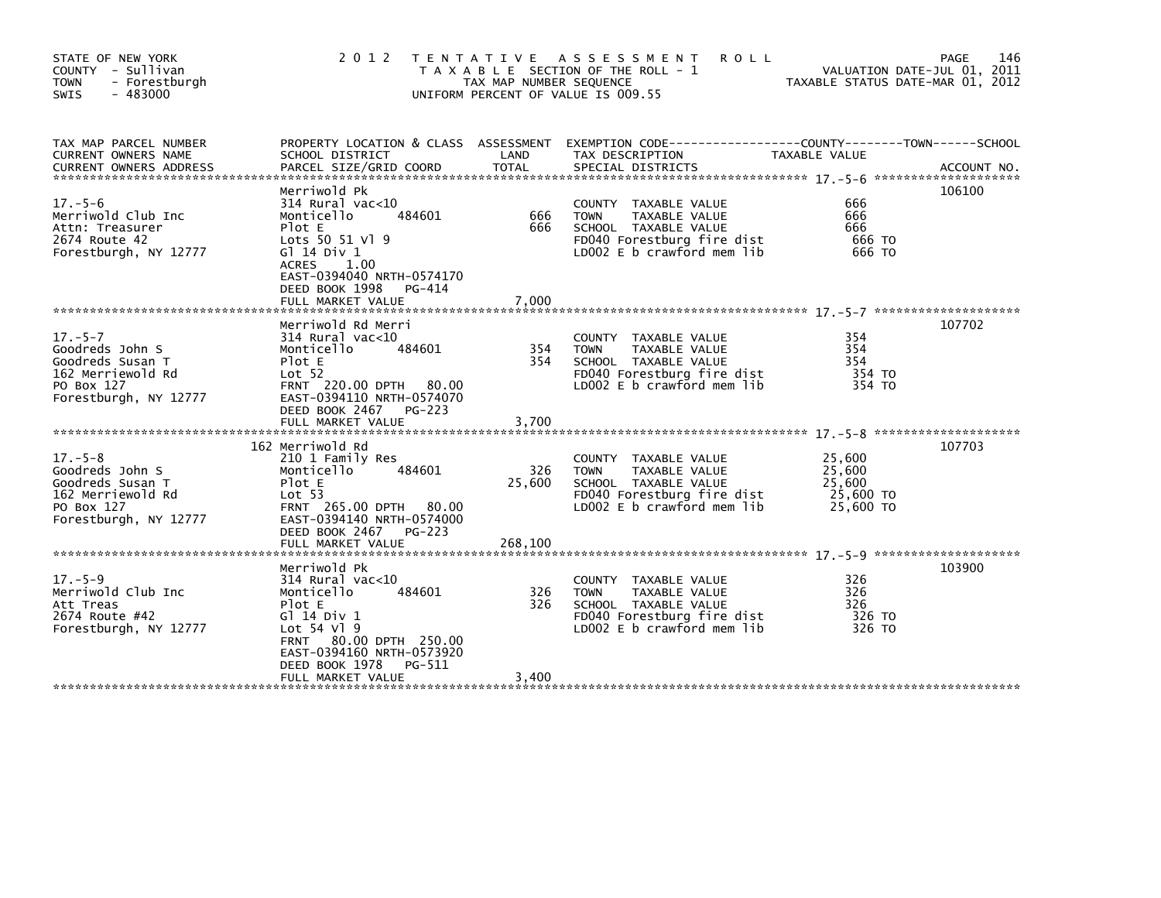| STATE OF NEW YORK<br>COUNTY - Sullivan<br>- Forestburgh<br><b>TOWN</b><br>SWIS<br>- 483000                       | 2 0 1 2                                                                                                                                                                                                                            | T E N T A T I V E<br>TAX MAP NUMBER SEQUENCE | A S S E S S M E N T<br><b>ROLL</b><br>T A X A B L E SECTION OF THE ROLL - 1<br>UNIFORM PERCENT OF VALUE IS 009.55                        | VALUATION DATE-JUL 01, 2011<br>TAXABLE STATUS DATE-MAR 01, 2012 | 146<br>PAGE |
|------------------------------------------------------------------------------------------------------------------|------------------------------------------------------------------------------------------------------------------------------------------------------------------------------------------------------------------------------------|----------------------------------------------|------------------------------------------------------------------------------------------------------------------------------------------|-----------------------------------------------------------------|-------------|
| TAX MAP PARCEL NUMBER<br><b>CURRENT OWNERS NAME</b><br><b>CURRENT OWNERS ADDRESS</b>                             | SCHOOL DISTRICT<br>PARCEL SIZE/GRID COORD                                                                                                                                                                                          | LAND<br><b>TOTAL</b>                         | PROPERTY LOCATION & CLASS ASSESSMENT EXEMPTION CODE---------------COUNTY-------TOWN------SCHOOL<br>TAX DESCRIPTION<br>SPECIAL DISTRICTS  | TAXABLE VALUE                                                   | ACCOUNT NO. |
| $17. - 5 - 6$<br>Merriwold Club Inc<br>Attn: Treasurer<br>2674 Route 42<br>Forestburgh, NY 12777                 | Merriwold Pk<br>$314$ Rural vac<10<br>Monticello<br>484601<br>Plot E<br>Lots 50 51 Vl 9<br>G] 14 Div 1<br><b>ACRES</b><br>1.00<br>EAST-0394040 NRTH-0574170<br>DEED BOOK 1998<br>PG-414<br>FULL MARKET VALUE                       | 666<br>666<br>7,000                          | COUNTY TAXABLE VALUE<br>TAXABLE VALUE<br><b>TOWN</b><br>SCHOOL TAXABLE VALUE<br>FD040 Forestburg fire dist<br>LD002 E b crawford mem lib | 666<br>666<br>666<br>666 TO<br>666 TO                           | 106100      |
| $17. - 5 - 7$<br>Goodreds John S<br>Goodreds Susan T<br>162 Merriewold Rd<br>PO Box 127<br>Forestburgh, NY 12777 | Merriwold Rd Merri<br>$314$ Rural vac<10<br>484601<br>Monticello<br>Plot E<br>Lot <sub>52</sub><br>FRNT 220.00 DPTH 80.00<br>EAST-0394110 NRTH-0574070<br>DEED BOOK 2467<br>PG-223                                                 | 354<br>354                                   | COUNTY TAXABLE VALUE<br>TAXABLE VALUE<br><b>TOWN</b><br>SCHOOL TAXABLE VALUE<br>FD040 Forestburg fire dist<br>LD002 E b crawford mem lib | 354<br>354<br>354<br>354 TO<br>354 TO                           | 107702      |
| $17. - 5 - 8$<br>Goodreds John S<br>Goodreds Susan T<br>162 Merriewold Rd<br>PO Box 127<br>Forestburgh, NY 12777 | 162 Merriwold Rd<br>210 1 Family Res<br>Monticello<br>484601<br>Plot E<br>Lot <sub>53</sub><br>FRNT 265.00 DPTH 80.00<br>EAST-0394140 NRTH-0574000<br>DEED BOOK 2467<br>PG-223                                                     | 326<br>25,600                                | COUNTY TAXABLE VALUE<br>TAXABLE VALUE<br><b>TOWN</b><br>SCHOOL TAXABLE VALUE<br>FD040 Forestburg fire dist<br>LD002 E b crawford mem lib | 25,600<br>25,600<br>25,600<br>25,600 TO<br>25,600 TO            | 107703      |
| $17. - 5 - 9$<br>Merriwold Club Inc<br>Att Treas<br>2674 Route #42<br>Forestburgh, NY 12777                      | Merriwold Pk<br>$314$ Rural vac<10<br>Monticello<br>484601<br>Plot E<br>G $\overline{1}$ 14 Div 1<br>Lot 54 Vl 9<br>80.00 DPTH 250.00<br><b>FRNT</b><br>EAST-0394160 NRTH-0573920<br>DEED BOOK 1978<br>PG-511<br>FULL MARKET VALUE | 326<br>326<br>3,400                          | COUNTY TAXABLE VALUE<br><b>TOWN</b><br>TAXABLE VALUE<br>SCHOOL TAXABLE VALUE<br>FD040 Forestburg fire dist<br>LD002 E b crawford mem lib | 326<br>326<br>326<br>326 TO<br>326 TO                           | 103900      |
|                                                                                                                  |                                                                                                                                                                                                                                    |                                              |                                                                                                                                          |                                                                 |             |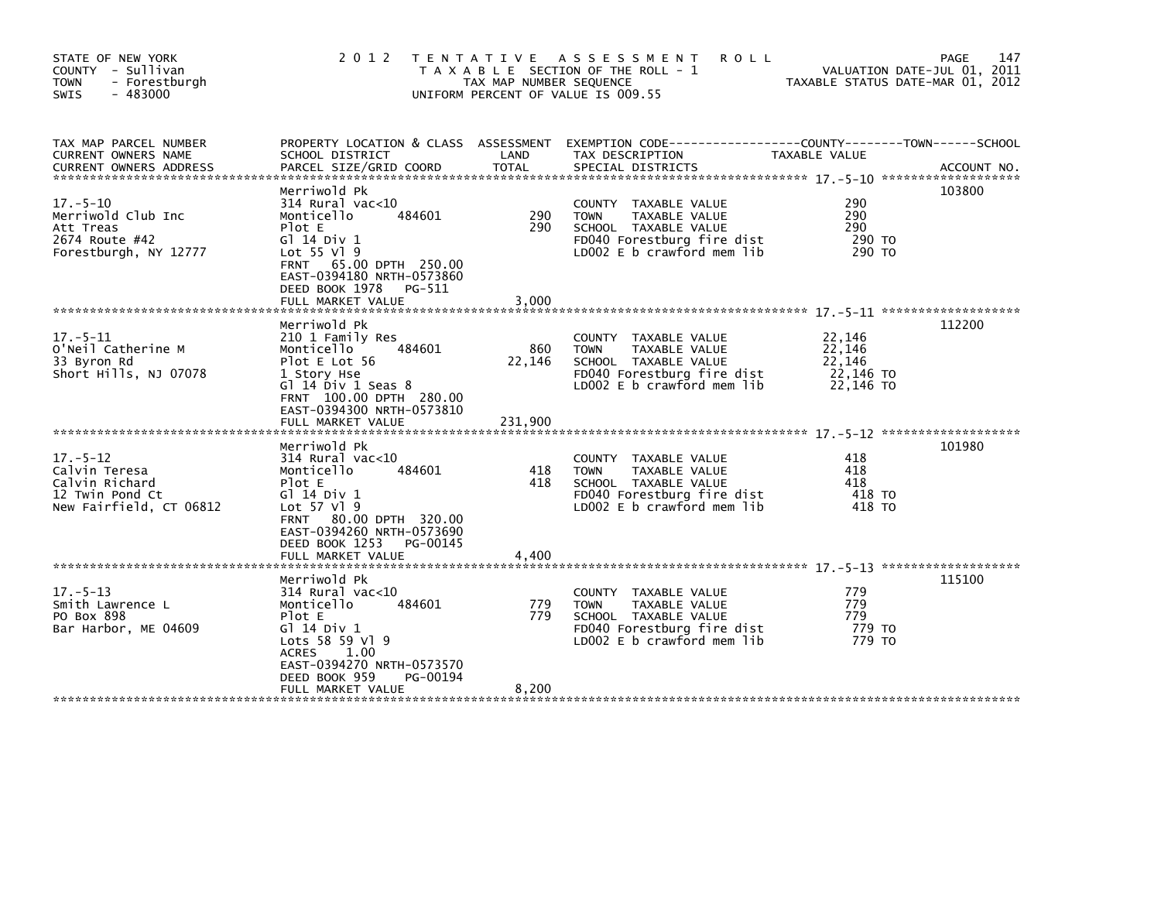| STATE OF NEW YORK<br>COUNTY - Sullivan<br>- Forestburgh<br><b>TOWN</b><br>$-483000$<br><b>SWIS</b> | 2 0 1 2                                                                                                                                                                                                         | T E N T A T I V E<br>TAX MAP NUMBER SEQUENCE | <b>ROLL</b><br>ASSESSMENT<br>T A X A B L E SECTION OF THE ROLL - 1<br>UNIFORM PERCENT OF VALUE IS 009.55                                   | TAXABLE STATUS DATE-MAR 01, 2012                     | 147<br><b>PAGE</b><br>VALUATION DATE-JUL 01, 2011 |
|----------------------------------------------------------------------------------------------------|-----------------------------------------------------------------------------------------------------------------------------------------------------------------------------------------------------------------|----------------------------------------------|--------------------------------------------------------------------------------------------------------------------------------------------|------------------------------------------------------|---------------------------------------------------|
| TAX MAP PARCEL NUMBER<br>CURRENT OWNERS NAME<br><b>CURRENT OWNERS ADDRESS</b>                      | PROPERTY LOCATION & CLASS ASSESSMENT<br>SCHOOL DISTRICT<br>PARCEL SIZE/GRID COORD                                                                                                                               | LAND<br>TOTAL                                | EXEMPTION CODE-----------------COUNTY-------TOWN------SCHOOL<br>TAX DESCRIPTION<br>SPECIAL DISTRICTS                                       | TAXABLE VALUE                                        | ACCOUNT NO.                                       |
| $17. - 5 - 10$<br>Merriwold Club Inc<br>Att Treas<br>2674 Route #42<br>Forestburgh, NY 12777       | Merriwold Pk<br>$314$ Rural vac<10<br>Monticello<br>484601<br>Plot E<br>G1 14 Div 1<br>Lot 55 Vl 9<br>FRNT 65.00 DPTH 250.00<br>EAST-0394180 NRTH-0573860<br>DEED BOOK 1978<br>PG-511<br>FULL MARKET VALUE      | 290<br>290<br>3,000                          | COUNTY TAXABLE VALUE<br>TAXABLE VALUE<br><b>TOWN</b><br>SCHOOL TAXABLE VALUE<br>FD040 Forestburg fire dist<br>LD002 E b crawford mem lib   | 290<br>290<br>290<br>290 TO<br>290 TO                | 103800                                            |
| $17. - 5 - 11$<br>O'Neil Catherine M<br>33 Byron Rd<br>Short Hills, NJ 07078                       | Merriwold Pk<br>210 1 Family Res<br>484601<br>Monticello<br>Plot E Lot 56<br>1 Story Hse<br>$G1$ 14 $Div 1$ Seas 8<br>FRNT 100.00 DPTH 280.00<br>EAST-0394300 NRTH-0573810<br>FULL MARKET VALUE                 | 860<br>22,146<br>231,900                     | COUNTY TAXABLE VALUE<br><b>TOWN</b><br>TAXABLE VALUE<br>SCHOOL TAXABLE VALUE<br>FD040 Forestburg fire dist<br>LD002 E b crawford mem lib   | 22,146<br>22,146<br>22,146<br>22,146 TO<br>22,146 TO | 112200                                            |
| $17. - 5 - 12$<br>Calvin Teresa<br>Calvin Richard<br>12 Twin Pond Ct<br>New Fairfield, CT 06812    | Merriwold Pk<br>$314$ Rural vac< $10$<br>Monticello<br>484601<br>Plot E<br>G1 14 Div 1<br>Lot 57 V1 9<br>FRNT 80.00 DPTH 320.00<br>EAST-0394260 NRTH-0573690<br>DEED BOOK 1253<br>PG-00145<br>FULL MARKET VALUE | 418<br>418<br>4,400                          | COUNTY TAXABLE VALUE<br>TAXABLE VALUE<br><b>TOWN</b><br>SCHOOL TAXABLE VALUE<br>FD040 Forestburg fire dist<br>LD002 E b crawford mem lib   | 418<br>418<br>418<br>418 TO<br>418 TO                | 101980                                            |
| $17. - 5 - 13$<br>Smith Lawrence L<br>PO Box 898<br>Bar Harbor, ME 04609                           | Merriwold Pk<br>$314$ Rural vac<10<br>Monticello<br>484601<br>Plot E<br>G1 14 Div 1<br>Lots 58 59 V1 9<br>ACRES<br>1.00<br>EAST-0394270 NRTH-0573570<br>DEED BOOK 959<br>PG-00194<br>FULL MARKET VALUE          | 779<br>779<br>8,200                          | COUNTY TAXABLE VALUE<br>TAXABLE VALUE<br><b>TOWN</b><br>SCHOOL TAXABLE VALUE<br>FD040 Forestburg fire dist<br>$LD002 E b$ crawford mem lib | 779<br>779<br>779<br>779 TO<br>779 TO                | 115100                                            |
|                                                                                                    |                                                                                                                                                                                                                 |                                              |                                                                                                                                            |                                                      |                                                   |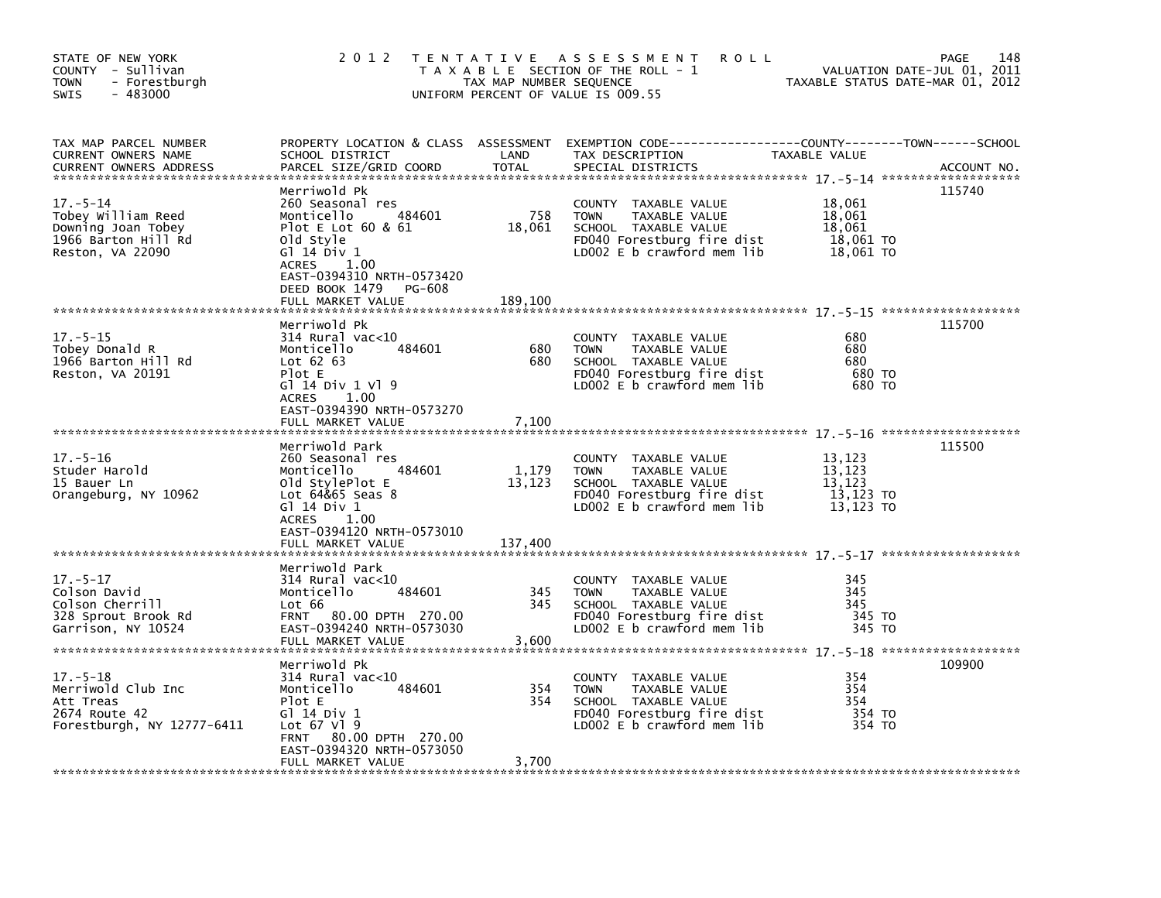| STATE OF NEW YORK<br>COUNTY - Sullivan<br>- Forestburgh<br><b>TOWN</b><br>$-483000$<br>SWIS           | 2 0 1 2                                                                                                                                                                                                            | TAX MAP NUMBER SEQUENCE  | <b>ROLL</b><br>TENTATIVE ASSESSMENT<br>T A X A B L E SECTION OF THE ROLL - 1<br>UNIFORM PERCENT OF VALUE IS 009.55                       |                                                      | 148<br>PAGE<br>VALUATION DATE-JUL 01, 2011<br>TAXABLE STATUS DATE-MAR 01, 2012 |
|-------------------------------------------------------------------------------------------------------|--------------------------------------------------------------------------------------------------------------------------------------------------------------------------------------------------------------------|--------------------------|------------------------------------------------------------------------------------------------------------------------------------------|------------------------------------------------------|--------------------------------------------------------------------------------|
| TAX MAP PARCEL NUMBER<br>CURRENT OWNERS NAME<br><b>CURRENT OWNERS ADDRESS</b>                         | SCHOOL DISTRICT<br>PARCEL SIZE/GRID COORD                                                                                                                                                                          | LAND<br><b>TOTAL</b>     | PROPERTY LOCATION & CLASS ASSESSMENT EXEMPTION CODE---------------COUNTY-------TOWN-----SCHOOL<br>TAX DESCRIPTION<br>SPECIAL DISTRICTS   | TAXABLE VALUE                                        | ACCOUNT NO.                                                                    |
| $17. - 5 - 14$<br>Tobey William Reed<br>Downing Joan Tobey<br>1966 Barton Hill Rd<br>Reston, VA 22090 | Merriwold Pk<br>260 Seasonal res<br>Monticello<br>484601<br>Plot E Lot $60 & 61$<br>old Style<br>G1 14 Div 1<br><b>ACRES</b><br>1.00<br>EAST-0394310 NRTH-0573420<br>DEED BOOK 1479<br>PG-608<br>FULL MARKET VALUE | 758<br>18,061<br>189,100 | COUNTY TAXABLE VALUE<br><b>TOWN</b><br>TAXABLE VALUE<br>SCHOOL TAXABLE VALUE<br>FD040 Forestburg fire dist<br>LD002 E b crawford mem lib | 18,061<br>18,061<br>18,061<br>18,061 TO<br>18,061 TO | 115740                                                                         |
| $17. - 5 - 15$<br>Tobey Donald R<br>1966 Barton Hill Rd<br>Reston, VA 20191                           | Merriwold Pk<br>$314$ Rural vac< $10$<br>484601<br>Monticello<br>Lot $62$ $63$<br>Plot E<br>G1 14 Div 1 V1 9<br>1.00<br>ACRES<br>EAST-0394390 NRTH-0573270                                                         | 680<br>680               | COUNTY TAXABLE VALUE<br><b>TOWN</b><br>TAXABLE VALUE<br>SCHOOL TAXABLE VALUE<br>FD040 Forestburg fire dist<br>LD002 E b crawford mem lib | 680<br>680<br>680<br>680 TO<br>680 TO                | 115700                                                                         |
| $17. - 5 - 16$                                                                                        | FULL MARKET VALUE<br>Merriwold Park<br>260 Seasonal res                                                                                                                                                            | 7,100                    | COUNTY TAXABLE VALUE                                                                                                                     | 13,123                                               | 115500                                                                         |
| Studer Harold<br>15 Bauer Ln<br>Orangeburg, NY 10962                                                  | Monticello<br>484601<br>old StylePlot E<br>Lot 64&65 Seas 8<br>Gl 14 Div 1<br><b>ACRES</b><br>1.00<br>EAST-0394120 NRTH-0573010                                                                                    | 1,179<br>13,123          | TAXABLE VALUE<br><b>TOWN</b><br>SCHOOL TAXABLE VALUE<br>FD040 Forestburg fire dist<br>LD002 E b crawford mem lib                         | 13,123<br>13,123<br>13,123 TO<br>13,123 TO           |                                                                                |
|                                                                                                       | FULL MARKET VALUE                                                                                                                                                                                                  | 137,400                  |                                                                                                                                          |                                                      |                                                                                |
| $17. - 5 - 17$<br>Colson David<br>Colson Cherrill<br>328 Sprout Brook Rd<br>Garrison, NY 10524        | Merriwold Park<br>$314$ Rural vac<10<br>Monticello<br>484601<br>Lot 66<br>FRNT 80.00 DPTH 270.00<br>EAST-0394240 NRTH-0573030<br>FULL MARKET VALUE                                                                 | 345<br>345<br>3,600      | COUNTY TAXABLE VALUE<br>TAXABLE VALUE<br><b>TOWN</b><br>SCHOOL TAXABLE VALUE<br>FD040 Forestburg fire dist<br>LD002 E b crawford mem lib | 345<br>345<br>345<br>345 TO<br>345 TO                |                                                                                |
| $17. - 5 - 18$                                                                                        | Merriwold Pk<br>$314$ Rural vac<10                                                                                                                                                                                 |                          | COUNTY TAXABLE VALUE                                                                                                                     | 354                                                  | 109900                                                                         |
| Merriwold Club Inc<br>Att Treas<br>2674 Route 42<br>Forestburgh, NY 12777-6411                        | Monticello<br>484601<br>Plot E<br>G1 14 Div 1<br>Lot $67$ Vl $9$<br>FRNT 80.00 DPTH 270.00<br>EAST-0394320 NRTH-0573050                                                                                            | 354<br>354               | TAXABLE VALUE<br><b>TOWN</b><br>SCHOOL TAXABLE VALUE<br>FD040 Forestburg fire dist<br>LD002 E b crawford mem lib                         | 354<br>354<br>354 TO<br>354 TO                       |                                                                                |
|                                                                                                       | FULL MARKET VALUE                                                                                                                                                                                                  | 3,700                    |                                                                                                                                          |                                                      |                                                                                |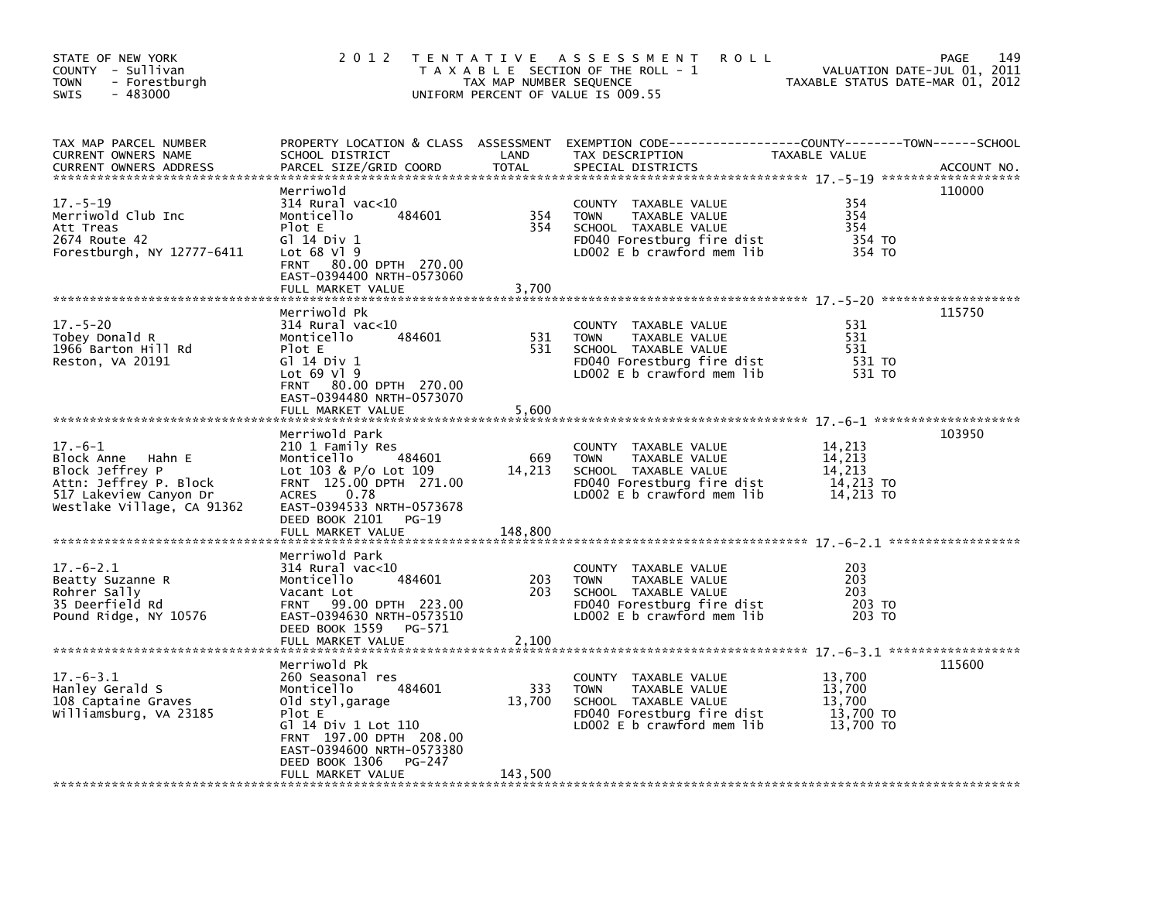| STATE OF NEW YORK<br>COUNTY - Sullivan<br><b>TOWN</b><br>- Forestburgh<br>$-483000$<br>SWIS                                         | 2 0 1 2                                                                                                                                                                                         | TAX MAP NUMBER SEQUENCE | TENTATIVE ASSESSMENT<br><b>ROLL</b><br>T A X A B L E SECTION OF THE ROLL - 1<br>UNIFORM PERCENT OF VALUE IS 009.55                           | VALUATION DATE-JUL 01, 2011<br>TAXABLE STATUS DATE-MAR 01, 2012 | 149<br>PAGE |
|-------------------------------------------------------------------------------------------------------------------------------------|-------------------------------------------------------------------------------------------------------------------------------------------------------------------------------------------------|-------------------------|----------------------------------------------------------------------------------------------------------------------------------------------|-----------------------------------------------------------------|-------------|
| TAX MAP PARCEL NUMBER<br>CURRENT OWNERS NAME<br><b>CURRENT OWNERS ADDRESS</b>                                                       | SCHOOL DISTRICT<br>PARCEL SIZE/GRID COORD                                                                                                                                                       | LAND<br><b>TOTAL</b>    | PROPERTY LOCATION & CLASS ASSESSMENT EXEMPTION CODE----------------COUNTY-------TOWN-----SCHOOL<br>TAX DESCRIPTION<br>SPECIAL DISTRICTS      | TAXABLE VALUE                                                   | ACCOUNT NO. |
| $17. - 5 - 19$<br>Merriwold Club Inc<br>Att Treas<br>2674 Route 42<br>Forestburgh, NY 12777-6411                                    | Merriwold<br>$314$ Rural vac<10<br>484601<br>Monticello<br>Plot E<br>G1 14 Div 1<br>Lot 68 Vl 9<br>FRNT 80.00 DPTH 270.00<br>EAST-0394400 NRTH-0573060                                          | 354<br>354              | COUNTY TAXABLE VALUE<br><b>TOWN</b><br>TAXABLE VALUE<br>SCHOOL TAXABLE VALUE<br>FD040 Forestburg fire dist<br>LD002 $E$ b crawford mem lib   | 354<br>354<br>354<br>354 TO<br>354 TO                           | 110000      |
|                                                                                                                                     | FULL MARKET VALUE                                                                                                                                                                               | 3,700                   |                                                                                                                                              |                                                                 |             |
| $17. - 5 - 20$<br>Tobey Donald R<br>1966 Barton Hill Rd<br>Reston, VA 20191                                                         | Merriwold Pk<br>$314$ Rural vac< $10$<br>484601<br>Monticello<br>Plot E<br>G] 14 Div 1<br>Lot $69$ Vl $9$<br>FRNT 80.00 DPTH 270.00<br>EAST-0394480 NRTH-0573070                                | 531<br>531              | COUNTY TAXABLE VALUE<br><b>TOWN</b><br>TAXABLE VALUE<br>SCHOOL TAXABLE VALUE<br>FD040 Forestburg fire dist<br>LD002 $E$ b crawford mem $lib$ | 531<br>531<br>531<br>531 TO<br>531 TO                           | 115750      |
|                                                                                                                                     | FULL MARKET VALUE                                                                                                                                                                               | 5,600                   |                                                                                                                                              |                                                                 |             |
| $17.-6-1$<br>Block Anne Hahn E<br>Block Jeffrey P<br>Attn: Jeffrey P. Block<br>517 Lakeview Canyon Dr<br>Westlake Village, CA 91362 | Merriwold Park<br>210 1 Family Res<br>Monticello<br>484601<br>Lot $103 & P/O$ Lot $109$<br>FRNT 125.00 DPTH 271.00<br>0.78<br><b>ACRES</b><br>EAST-0394533 NRTH-0573678<br>DEED BOOK 2101 PG-19 | 669<br>14,213           | COUNTY TAXABLE VALUE<br><b>TOWN</b><br>TAXABLE VALUE<br>SCHOOL TAXABLE VALUE<br>FD040 Forestburg fire dist<br>LD002 $E$ b crawford mem lib   | 14,213<br>14,213<br>14,213<br>14,213 TO<br>14,213 TO            | 103950      |
|                                                                                                                                     | FULL MARKET VALUE                                                                                                                                                                               | 148,800                 |                                                                                                                                              |                                                                 |             |
| $17.-6-2.1$<br>Beatty Suzanne R<br>Rohrer Sally<br>35 Deerfield Rd<br>Pound Ridge, NY 10576                                         | Merriwold Park<br>$314$ Rural vac< $10$<br>484601<br>Monticello<br>Vacant Lot<br>FRNT 99.00 DPTH 223.00<br>EAST-0394630 NRTH-0573510<br>DEED BOOK 1559<br>PG-571<br>FULL MARKET VALUE           | 203<br>203<br>2,100     | COUNTY TAXABLE VALUE<br>TAXABLE VALUE<br><b>TOWN</b><br>SCHOOL TAXABLE VALUE<br>FD040 Forestburg fire dist<br>LD002 E b crawford mem lib     | 203<br>203<br>203<br>203 TO<br>203 TO                           |             |
|                                                                                                                                     | Merriwold Pk                                                                                                                                                                                    |                         |                                                                                                                                              |                                                                 | 115600      |
| $17. -6 - 3.1$<br>Hanley Gerald S<br>108 Captaine Graves<br>Williamsburg, VA 23185                                                  | 260 Seasonal res<br>484601<br>Monticello<br>Old styl,garage<br>Plot E<br>G] 14 Div 1 Lot 110<br>FRNT 197.00 DPTH 208.00<br>EAST-0394600 NRTH-0573380<br>DEED BOOK 1306<br>PG-247                | 333<br>13,700           | COUNTY TAXABLE VALUE<br><b>TOWN</b><br>TAXABLE VALUE<br>SCHOOL TAXABLE VALUE<br>FD040 Forestburg fire dist<br>LDOO2 E b crawford mem lib     | 13,700<br>13,700<br>13,700<br>13,700 TO<br>13,700 TO            |             |
|                                                                                                                                     | FULL MARKET VALUE                                                                                                                                                                               | 143,500                 |                                                                                                                                              |                                                                 |             |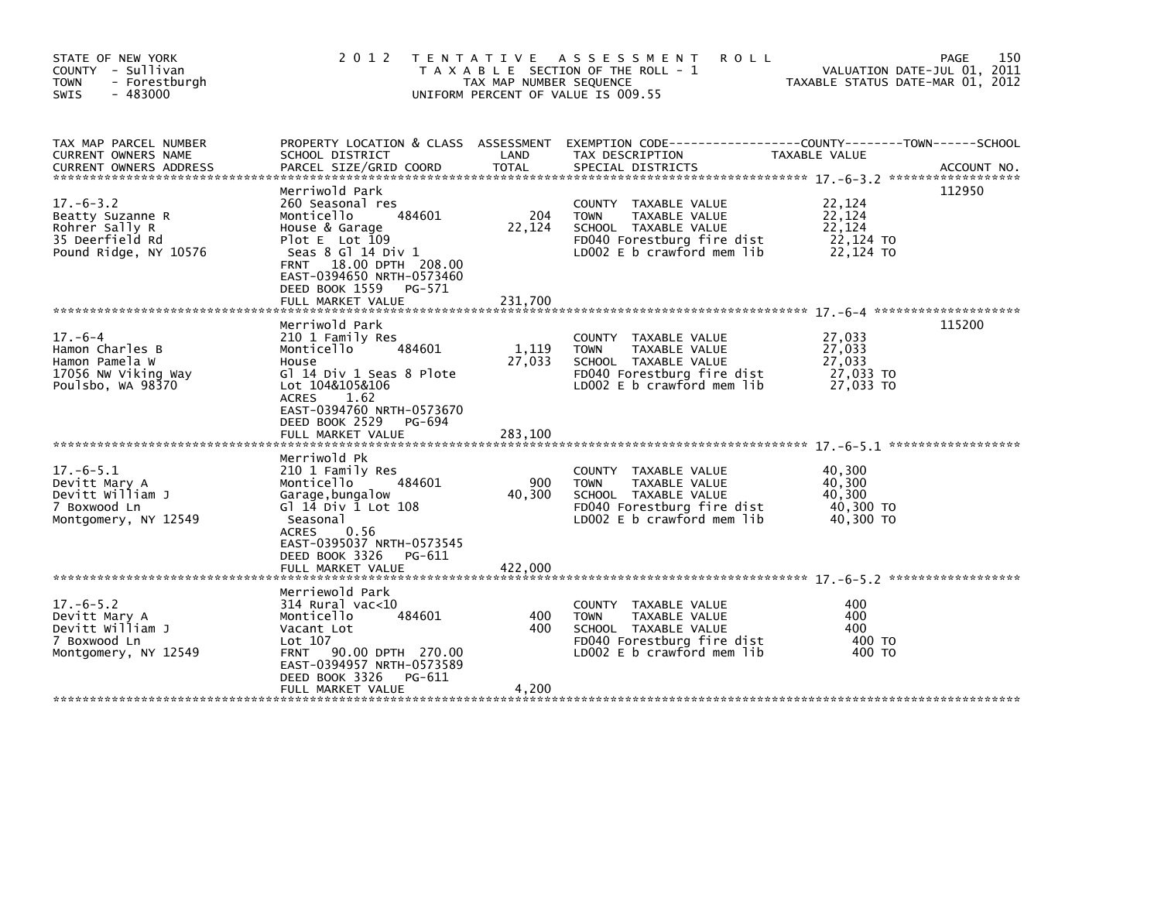| STATE OF NEW YORK<br>COUNTY - Sullivan<br>- Forestburgh<br><b>TOWN</b><br>$-483000$<br><b>SWIS</b> | 2012 TENTATIVE                                                                                                                                                                                                                             | TAX MAP NUMBER SEQUENCE    | ASSESSMENT<br><b>ROLL</b><br>T A X A B L E SECTION OF THE ROLL - 1<br>UNIFORM PERCENT OF VALUE IS 009.55                                     | TAXABLE STATUS DATE-MAR 01, 2012                     | 150<br>PAGE<br>VALUATION DATE-JUL 01, 2011 |
|----------------------------------------------------------------------------------------------------|--------------------------------------------------------------------------------------------------------------------------------------------------------------------------------------------------------------------------------------------|----------------------------|----------------------------------------------------------------------------------------------------------------------------------------------|------------------------------------------------------|--------------------------------------------|
| TAX MAP PARCEL NUMBER<br>CURRENT OWNERS NAME<br><b>CURRENT OWNERS ADDRESS</b>                      | SCHOOL DISTRICT<br>PARCEL SIZE/GRID COORD                                                                                                                                                                                                  | LAND<br>TOTAL              | PROPERTY LOCATION & CLASS ASSESSMENT EXEMPTION CODE---------------COUNTY-------TOWN------SCHOOL<br>TAX DESCRIPTION<br>SPECIAL DISTRICTS      | TAXABLE VALUE                                        | ACCOUNT NO.                                |
| $17. - 6 - 3.2$<br>Beatty Suzanne R<br>Rohrer Sally R<br>35 Deerfield Rd<br>Pound Ridge, NY 10576  | Merriwold Park<br>260 Seasonal res<br>484601<br>Monticello<br>House & Garage<br>Plot $E$ Lot 109<br>Seas 8 Gl 14 Div 1<br>18.00 DPTH 208.00<br><b>FRNT</b><br>EAST-0394650 NRTH-0573460<br>DEED BOOK 1559<br>PG-571<br>FULL MARKET VALUE   | 204<br>22,124<br>231,700   | COUNTY TAXABLE VALUE<br>TAXABLE VALUE<br><b>TOWN</b><br>SCHOOL TAXABLE VALUE<br>FD040 Forestburg fire dist<br>LD002 $E$ b crawford mem $lib$ | 22,124<br>22,124<br>22.124<br>22,124 TO<br>22.124 TO | 112950                                     |
| $17. - 6 - 4$<br>Hamon Charles B<br>Hamon Pamela W<br>17056 NW Viking Way<br>Poulsbo, WA 98370     | Merriwold Park<br>210 1 Family Res<br>484601<br>Monticello<br>House<br>G] 14 Div 1 Seas 8 Plote<br>Lot 104&105&106<br><b>ACRES</b><br>1.62<br>EAST-0394760 NRTH-0573670<br>DEED BOOK 2529<br>PG-694<br>FULL MARKET VALUE                   | 1,119<br>27,033<br>283,100 | COUNTY TAXABLE VALUE<br><b>TOWN</b><br>TAXABLE VALUE<br>SCHOOL TAXABLE VALUE<br>FD040 Forestburg fire dist<br>LD002 E b crawford mem lib     | 27,033<br>27,033<br>27,033<br>27,033 TO<br>27.033 TO | 115200                                     |
| $17. -6 - 5.1$<br>Devitt Mary A<br>Devitt William J<br>7 Boxwood Ln<br>Montgomery, NY 12549        | Merriwold Pk<br>210 1 Family Res<br>Monticello<br>484601<br>Garage, bungalow<br>G $1\overline{14}$ Div $\overline{1}$ Lot $108$<br>Seasonal<br>0.56<br>ACRES<br>EAST-0395037 NRTH-0573545<br>DEED BOOK 3326<br>PG-611<br>FULL MARKET VALUE | 900<br>40,300<br>422,000   | COUNTY TAXABLE VALUE<br><b>TOWN</b><br>TAXABLE VALUE<br>SCHOOL TAXABLE VALUE<br>FD040 Forestburg fire dist<br>LD002 E b crawford mem lib     | 40,300<br>40,300<br>40,300<br>40,300 TO<br>40,300 TO |                                            |
| $17. -6 - 5.2$<br>Devitt Mary A<br>Devitt William J<br>7 Boxwood Ln<br>Montgomery, NY 12549        | Merriewold Park<br>$314$ Rural vac<10<br>484601<br>Monticello<br>Vacant Lot<br>Lot 107<br>90.00 DPTH 270.00<br><b>FRNT</b><br>EAST-0394957 NRTH-0573589<br>DEED BOOK 3326<br>PG-611<br>FULL MARKET VALUE                                   | 400<br>400<br>4,200        | COUNTY TAXABLE VALUE<br><b>TOWN</b><br>TAXABLE VALUE<br>SCHOOL TAXABLE VALUE<br>FD040 Forestburg fire dist<br>LD002 E b crawford mem lib     | 400<br>400<br>400<br>400 TO<br>400 TO                |                                            |
|                                                                                                    |                                                                                                                                                                                                                                            |                            |                                                                                                                                              |                                                      |                                            |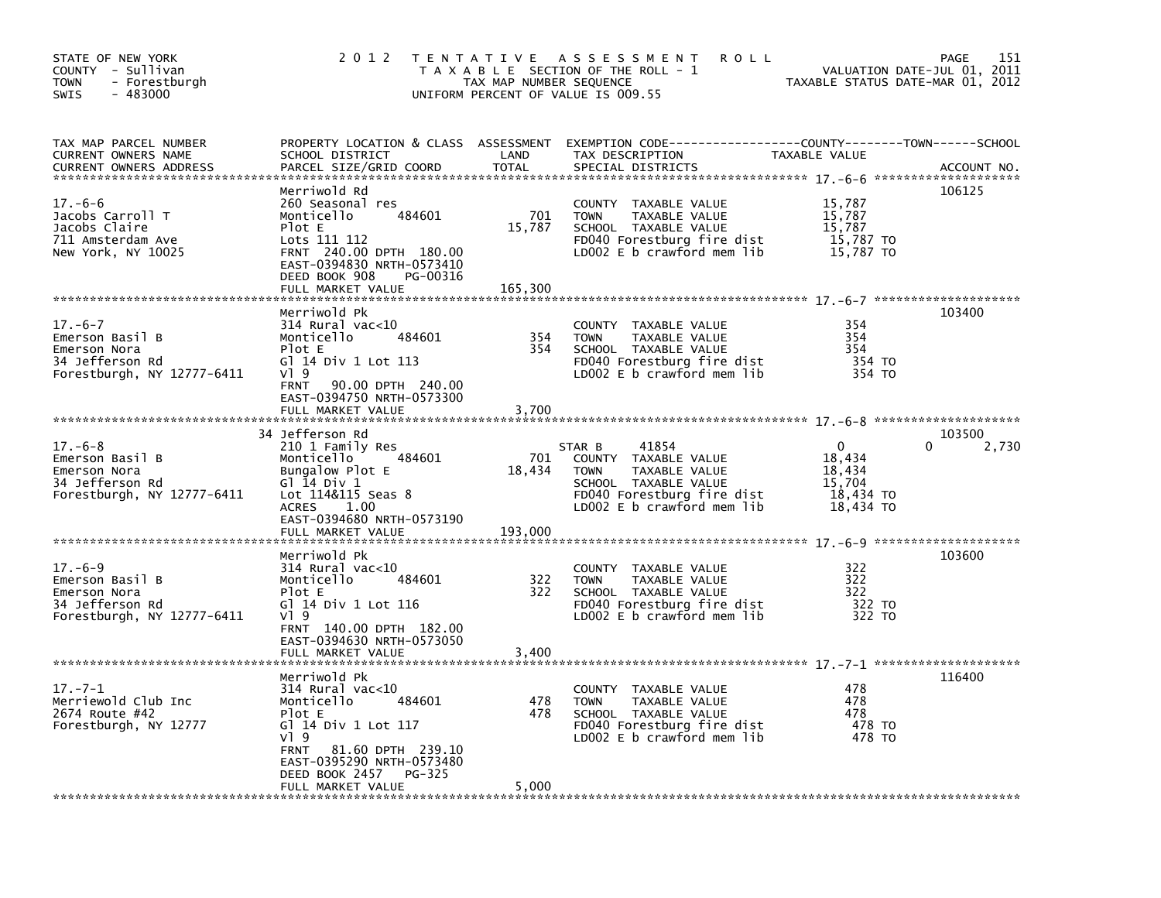| STATE OF NEW YORK<br>COUNTY - Sullivan<br>- Forestburgh<br>TOWN<br>$-483000$<br>SWIS              | 2 0 1 2                                                                                                                                                                                                                   | TAX MAP NUMBER SEQUENCE  | TENTATIVE ASSESSMENT<br><b>ROLL</b><br>T A X A B L E SECTION OF THE ROLL - 1<br>UNIFORM PERCENT OF VALUE IS 009.55                                          | VALUATION DATE-JUL 01, 2011<br>TAXABLE STATUS DATE-MAR 01, 2012  | PAGE<br>151          |
|---------------------------------------------------------------------------------------------------|---------------------------------------------------------------------------------------------------------------------------------------------------------------------------------------------------------------------------|--------------------------|-------------------------------------------------------------------------------------------------------------------------------------------------------------|------------------------------------------------------------------|----------------------|
| TAX MAP PARCEL NUMBER<br>CURRENT OWNERS NAME<br><b>CURRENT OWNERS ADDRESS</b>                     | SCHOOL DISTRICT<br>PARCEL SIZE/GRID COORD                                                                                                                                                                                 | LAND<br>TOTAL            | PROPERTY LOCATION & CLASS ASSESSMENT EXEMPTION CODE----------------COUNTY-------TOWN------SCHOOL<br>TAX DESCRIPTION<br>SPECIAL DISTRICTS                    | TAXABLE VALUE                                                    | ACCOUNT NO.          |
| $17. -6 - 6$<br>Jacobs Carroll T<br>Jacobs Claire<br>711 Amsterdam Ave<br>New York, NY 10025      | Merriwold Rd<br>260 Seasonal res<br>484601<br>Monticello<br>Plot E<br>Lots 111 112<br>FRNT 240.00 DPTH 180.00<br>EAST-0394830 NRTH-0573410<br>DEED BOOK 908<br>PG-00316<br>FULL MARKET VALUE                              | 701<br>15,787<br>165,300 | COUNTY TAXABLE VALUE<br>TAXABLE VALUE<br><b>TOWN</b><br>SCHOOL TAXABLE VALUE<br>FD040 Forestburg fire dist<br>LD002 E b crawford mem lib                    | 15,787<br>15,787<br>15,787<br>15,787 TO<br>15,787 TO             | 106125               |
| $17. - 6 - 7$                                                                                     | Merriwold Pk<br>$314$ Rural vac<10                                                                                                                                                                                        |                          | COUNTY TAXABLE VALUE                                                                                                                                        | 354                                                              | 103400               |
| Emerson Basil B<br>Emerson Nora<br>34 Jefferson Rd<br>Forestburgh, NY 12777-6411                  | 484601<br>Monticello<br>Plot E<br>G] 14 Div 1 Lot 113<br>$V$ ] 9<br>90.00 DPTH 240.00<br><b>FRNT</b><br>EAST-0394750 NRTH-0573300<br>FULL MARKET VALUE                                                                    | 354<br>354<br>3,700      | <b>TOWN</b><br>TAXABLE VALUE<br>SCHOOL TAXABLE VALUE<br>FD040 Forestburg fire dist<br>LD002 E b crawford mem lib                                            | 354<br>354<br>354 TO<br>354 TO                                   |                      |
|                                                                                                   |                                                                                                                                                                                                                           |                          |                                                                                                                                                             |                                                                  |                      |
| $17. - 6 - 8$<br>Emerson Basil B<br>Emerson Nora<br>34 Jefferson Rd<br>Forestburgh, NY 12777-6411 | 34 Jefferson Rd<br>210 1 Family Res<br>484601<br>Monticello<br>Bungalow Plot E<br>G $\overline{1}$ $\overline{1}$ 4 Div 1<br>Lot 114&115 Seas 8<br><b>ACRES</b><br>1.00<br>EAST-0394680 NRTH-0573190<br>FULL MARKET VALUE | 701<br>18,434<br>193,000 | STAR B<br>41854<br>COUNTY TAXABLE VALUE<br>TAXABLE VALUE<br><b>TOWN</b><br>SCHOOL TAXABLE VALUE<br>FD040 Forestburg fire dist<br>LD002 E b crawford mem lib | $\Omega$<br>18,434<br>18,434<br>15,704<br>18,434 TO<br>18,434 TO | 103500<br>∩<br>2,730 |
|                                                                                                   | Merriwold Pk                                                                                                                                                                                                              |                          |                                                                                                                                                             |                                                                  | 103600               |
| $17. - 6 - 9$<br>Emerson Basil B<br>Emerson Nora<br>34 Jefferson Rd<br>Forestburgh, NY 12777-6411 | $314$ Rural vac<10<br>Monticello<br>484601<br>Plot E<br>GT 14 Div 1 Lot 116<br>V19                                                                                                                                        | 322<br>322               | COUNTY TAXABLE VALUE<br>TAXABLE VALUE<br><b>TOWN</b><br>SCHOOL TAXABLE VALUE<br>FD040 Forestburg fire dist<br>LD002 E b crawford mem lib                    | 322<br>322<br>322<br>322 TO<br>322 TO                            |                      |
|                                                                                                   | FRNT 140.00 DPTH 182.00<br>EAST-0394630 NRTH-0573050<br>FULL MARKET VALUE                                                                                                                                                 | 3,400                    |                                                                                                                                                             |                                                                  |                      |
|                                                                                                   | Merriwold Pk                                                                                                                                                                                                              |                          |                                                                                                                                                             |                                                                  | 116400               |
| $17. - 7 - 1$<br>Merriewold Club Inc<br>2674 Route #42<br>Forestburgh, NY 12777                   | $314$ Rural vac< $10$<br>Monticello<br>484601<br>Plot E<br>GT 14 Div 1 Lot 117<br>$V$ ] 9                                                                                                                                 | 478<br>478               | COUNTY TAXABLE VALUE<br><b>TOWN</b><br>TAXABLE VALUE<br>SCHOOL TAXABLE VALUE<br>FD040 Forestburg fire dist<br>LD002 E b crawford mem lib                    | 478<br>478<br>478<br>478 TO<br>478 TO                            |                      |
|                                                                                                   | 81.60 DPTH 239.10<br>FRNT<br>EAST-0395290 NRTH-0573480<br>DEED BOOK 2457<br>PG-325<br>FULL MARKET VALUE                                                                                                                   | 5,000                    |                                                                                                                                                             |                                                                  |                      |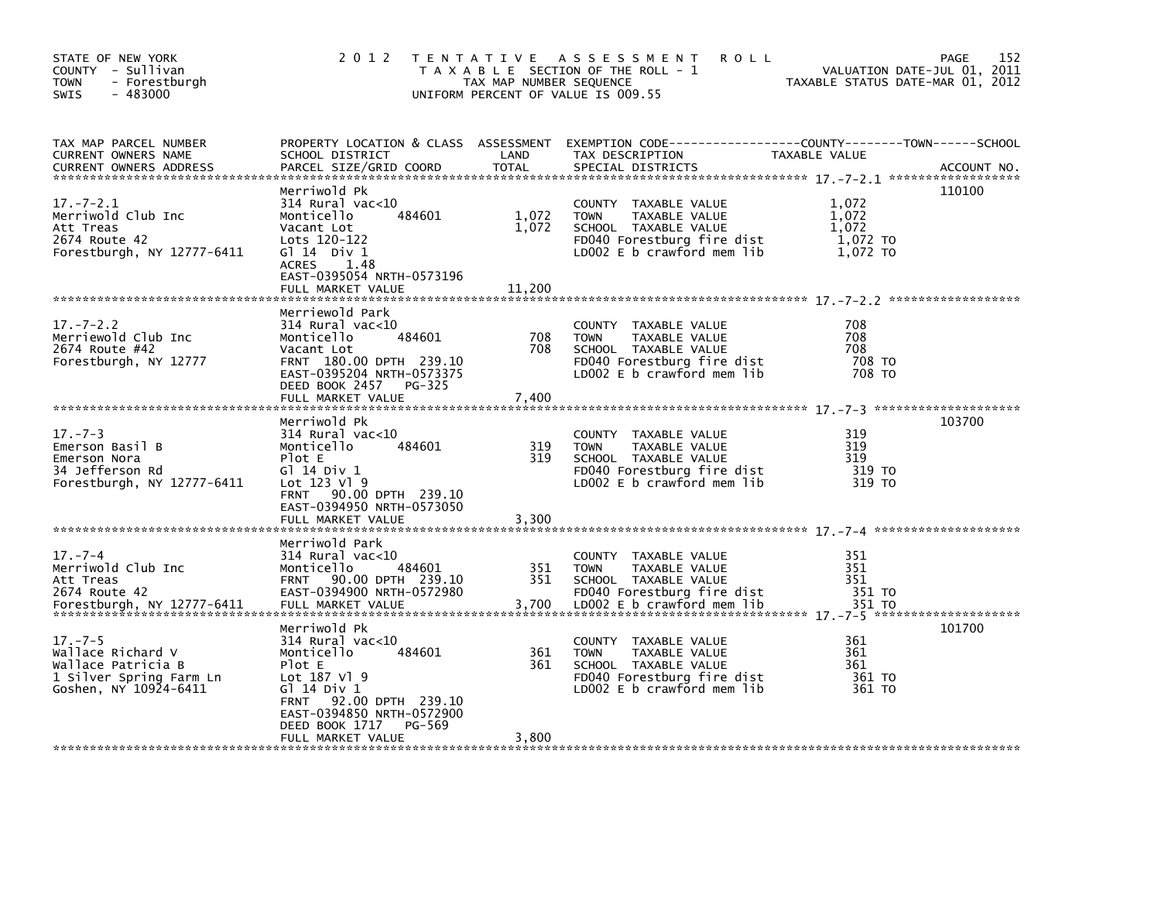| STATE OF NEW YORK<br>COUNTY - Sullivan<br>- Forestburgh<br><b>TOWN</b><br>$-483000$<br><b>SWIS</b>           | 2 0 1 2                                                                                                                                                                                        | TAX MAP NUMBER SEQUENCE  | TENTATIVE ASSESSMENT<br><b>ROLL</b><br>T A X A B L E SECTION OF THE ROLL - 1<br>UNIFORM PERCENT OF VALUE IS 009.55                       | TAXABLE STATUS DATE-MAR 01, 2012                | 152<br>PAGE<br>VALUATION DATE-JUL 01, 2011 |
|--------------------------------------------------------------------------------------------------------------|------------------------------------------------------------------------------------------------------------------------------------------------------------------------------------------------|--------------------------|------------------------------------------------------------------------------------------------------------------------------------------|-------------------------------------------------|--------------------------------------------|
| TAX MAP PARCEL NUMBER<br>CURRENT OWNERS NAME<br><b>CURRENT OWNERS ADDRESS</b>                                | PROPERTY LOCATION & CLASS ASSESSMENT<br>SCHOOL DISTRICT<br>PARCEL SIZE/GRID COORD                                                                                                              | LAND<br><b>TOTAL</b>     | EXEMPTION CODE-----------------COUNTY-------TOWN------SCHOOL<br>TAX DESCRIPTION<br>SPECIAL DISTRICTS                                     | TAXABLE VALUE                                   | ACCOUNT NO.                                |
| $17. - 7 - 2.1$<br>Merriwold Club Inc<br>Att Treas<br>2674 Route 42<br>Forestburgh, NY 12777-6411            | Merriwold Pk<br>$314$ Rural vac< $10$<br>484601<br>Monticello<br>Vacant Lot<br>Lots 120-122<br>$G1$ 14 Div 1<br><b>ACRES</b><br>1.48<br>EAST-0395054 NRTH-0573196<br>FULL MARKET VALUE         | 1,072<br>1,072<br>11,200 | COUNTY TAXABLE VALUE<br><b>TOWN</b><br>TAXABLE VALUE<br>SCHOOL TAXABLE VALUE<br>FD040 Forestburg fire dist<br>LD002 E b crawford mem lib | 1,072<br>1,072<br>1,072<br>1,072 TO<br>1,072 TO | 110100                                     |
| $17. - 7 - 2.2$                                                                                              | Merriewold Park<br>$314$ Rural vac< $10$                                                                                                                                                       |                          | COUNTY TAXABLE VALUE                                                                                                                     | 708                                             |                                            |
| Merriewold Club Inc<br>2674 Route #42<br>Forestburgh, NY 12777                                               | 484601<br>Monticello<br>Vacant Lot<br>FRNT 180.00 DPTH 239.10<br>EAST-0395204 NRTH-0573375<br>DEED BOOK 2457 PG-325<br>FULL MARKET VALUE                                                       | 708<br>708<br>7,400      | <b>TOWN</b><br>TAXABLE VALUE<br>SCHOOL TAXABLE VALUE<br>FD040 Forestburg fire dist<br>LD002 E b crawford mem lib                         | 708<br>708<br>708 TO<br>708 TO                  |                                            |
|                                                                                                              | Merriwold Pk                                                                                                                                                                                   |                          |                                                                                                                                          |                                                 | 103700                                     |
| $17. - 7 - 3$<br>Emerson Basil B<br>Emerson Nora<br>34 Jefferson Rd<br>Forestburgh, NY 12777-6411            | 314 Rural vac<10<br>Monticello<br>484601<br>Plot E<br>G1 14 Div 1<br>Lot $123$ Vl $9$<br>FRNT 90.00 DPTH 239.10<br>EAST-0394950 NRTH-0573050                                                   | 319<br>319               | COUNTY TAXABLE VALUE<br>TAXABLE VALUE<br><b>TOWN</b><br>SCHOOL TAXABLE VALUE<br>FD040 Forestburg fire dist<br>LD002 E b crawford mem lib | 319<br>319<br>319<br>319 TO<br>319 TO           |                                            |
|                                                                                                              | FULL MARKET VALUE<br>Merriwold Park                                                                                                                                                            | 3,300                    |                                                                                                                                          |                                                 |                                            |
| $17. - 7 - 4$<br>Merriwold Club Inc<br>Att Treas<br>2674 Route 42<br>Forestburgh, NY 12777-6411              | 314 Rural vac<10<br>Monticello<br>484601<br>FRNT 90.00 DPTH 239.10<br>EAST-0394900 NRTH-0572980<br>FULL MARKET VALUE                                                                           | 351<br>351<br>3,700      | COUNTY TAXABLE VALUE<br><b>TOWN</b><br>TAXABLE VALUE<br>SCHOOL TAXABLE VALUE<br>FD040 Forestburg fire dist<br>LD002 E b crawford mem lib | 351<br>351<br>351<br>351 TO<br>351 TO           |                                            |
| $17. - 7 - 5$<br>Wallace Richard V<br>Wallace Patricia B<br>1 Silver Spring Farm Ln<br>Goshen, NY 10924-6411 | Merriwold Pk<br>314 Rural vac<10<br>Monticello<br>484601<br>Plot E<br>Lot 187 V1 9<br>G1 14 Div 1<br>92.00 DPTH 239.10<br><b>FRNT</b><br>EAST-0394850 NRTH-0572900<br>DEED BOOK 1717<br>PG-569 | 361<br>361               | COUNTY TAXABLE VALUE<br>TAXABLE VALUE<br><b>TOWN</b><br>SCHOOL TAXABLE VALUE<br>FD040 Forestburg fire dist<br>LD002 E b crawford mem lib | 361<br>361<br>361<br>361 TO<br>361 TO           | 101700                                     |
|                                                                                                              | FULL MARKET VALUE                                                                                                                                                                              | 3,800                    |                                                                                                                                          |                                                 |                                            |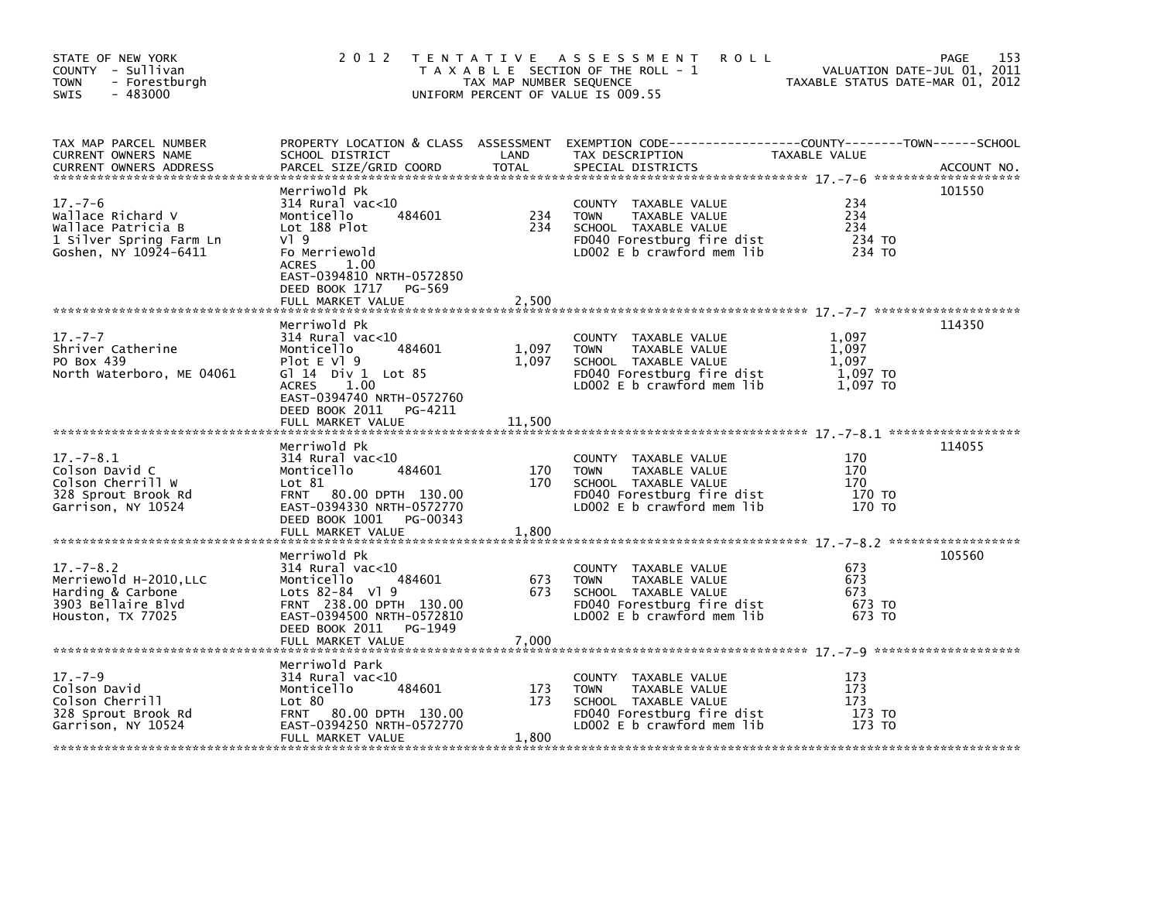| STATE OF NEW YORK<br>COUNTY - Sullivan<br><b>TOWN</b><br>- Forestburgh<br>$-483000$<br><b>SWIS</b>           |                                                                                                                                                                                        | TAX MAP NUMBER SEQUENCE  | 2012 TENTATIVE ASSESSMENT<br><b>ROLL</b><br>T A X A B L E SECTION OF THE ROLL - 1<br>UNIFORM PERCENT OF VALUE IS 009.55                  | VALUATION DATE-JUL 01, 2011<br>TAXABLE STATUS DATE-MAR 01, 2012 | 153<br>PAGE |
|--------------------------------------------------------------------------------------------------------------|----------------------------------------------------------------------------------------------------------------------------------------------------------------------------------------|--------------------------|------------------------------------------------------------------------------------------------------------------------------------------|-----------------------------------------------------------------|-------------|
| TAX MAP PARCEL NUMBER<br>CURRENT OWNERS NAME<br><b>CURRENT OWNERS ADDRESS</b>                                | SCHOOL DISTRICT<br>PARCEL SIZE/GRID COORD                                                                                                                                              | LAND<br><b>TOTAL</b>     | PROPERTY LOCATION & CLASS ASSESSMENT EXEMPTION CODE----------------COUNTY-------TOWN------SCHOOL<br>TAX DESCRIPTION<br>SPECIAL DISTRICTS | TAXABLE VALUE                                                   | ACCOUNT NO. |
| $17. - 7 - 6$<br>Wallace Richard V<br>Wallace Patricia B<br>1 Silver Spring Farm Ln<br>Goshen, NY 10924-6411 | Merriwold Pk<br>314 Rural vac<10<br>484601<br>Monticello<br>Lot 188 Plot<br>$V$ <sup>1</sup> 9<br>Fo Merriewold<br>ACRES<br>1.00<br>EAST-0394810 NRTH-0572850<br>DEED BOOK 1717 PG-569 | 234<br>234               | COUNTY TAXABLE VALUE<br><b>TOWN</b><br>TAXABLE VALUE<br>SCHOOL TAXABLE VALUE<br>FD040 Forestburg fire dist<br>LD002 E b crawford mem lib | 234<br>234<br>234<br>234 TO<br>234 TO                           | 101550      |
|                                                                                                              | Merriwold Pk                                                                                                                                                                           |                          |                                                                                                                                          |                                                                 | 114350      |
| $17. - 7 - 7$<br>Shriver Catherine<br>PO Box 439<br>North Waterboro, ME 04061                                | $314$ Rural vac< $10$<br>Monticello<br>484601<br>Plot $E$ Vl $9$<br>G $1$ 14 Div 1 Lot 85<br>1.00<br>ACRES<br>EAST-0394740 NRTH-0572760<br>DEED BOOK 2011 PG-4211<br>FULL MARKET VALUE | 1,097<br>1,097<br>11,500 | COUNTY TAXABLE VALUE<br><b>TOWN</b><br>TAXABLE VALUE<br>SCHOOL TAXABLE VALUE<br>FD040 Forestburg fire dist<br>LD002 E b crawford mem lib | 1,097<br>1,097<br>1.097<br>1,097 TO<br>1,097 TO                 |             |
|                                                                                                              | Merriwold Pk                                                                                                                                                                           |                          |                                                                                                                                          |                                                                 | 114055      |
| $17. - 7 - 8.1$<br>Colson David C<br>Colson Cherrill W<br>328 Sprout Brook Rd<br>Garrison, NY 10524          | 314 Rural vac<10<br>Monticello<br>484601<br>Lot $81$<br>FRNT 80.00 DPTH 130.00<br>EAST-0394330 NRTH-0572770<br>DEED BOOK 1001 PG-00343<br>FULL MARKET VALUE                            | 170<br>170<br>1,800      | COUNTY TAXABLE VALUE<br>TAXABLE VALUE<br><b>TOWN</b><br>SCHOOL TAXABLE VALUE<br>FD040 Forestburg fire dist<br>LD002 E b crawford mem lib | 170<br>170<br>170<br>170 то<br>170 TO                           |             |
|                                                                                                              |                                                                                                                                                                                        |                          |                                                                                                                                          |                                                                 |             |
| $17. - 7 - 8.2$<br>Merriewold H-2010, LLC<br>Harding & Carbone<br>3903 Bellaire Blvd<br>Houston, TX 77025    | Merriwold Pk<br>$314$ Rural vac<10<br>484601<br>Monticello<br>Lots 82-84 Vl 9<br>FRNT 238.00 DPTH 130.00<br>EAST-0394500 NRTH-0572810<br>DEED BOOK 2011 PG-1949<br>FULL MARKET VALUE   | 673<br>673<br>7,000      | COUNTY TAXABLE VALUE<br>TAXABLE VALUE<br><b>TOWN</b><br>SCHOOL TAXABLE VALUE<br>FD040 Forestburg fire dist<br>LD002 E b crawford mem lib | 673<br>673<br>673<br>673 TO<br>673 TO                           | 105560      |
|                                                                                                              | Merriwold Park                                                                                                                                                                         |                          |                                                                                                                                          |                                                                 |             |
| $17. - 7 - 9$<br>Colson David<br>Colson Cherrill<br>328 Sprout Brook Rd<br>Garrison, NY 10524                | $314$ Rural vac<10<br>484601<br>Monticello<br>Lot 80<br>FRNT 80.00 DPTH 130.00<br>EAST-0394250 NRTH-0572770<br>FULL MARKET VALUE                                                       | 173<br>173<br>1,800      | COUNTY TAXABLE VALUE<br><b>TOWN</b><br>TAXABLE VALUE<br>SCHOOL TAXABLE VALUE<br>FD040 Forestburg fire dist<br>LD002 E b crawford mem lib | 173<br>173<br>173<br>173 TO<br>173 TO                           |             |
|                                                                                                              |                                                                                                                                                                                        |                          |                                                                                                                                          |                                                                 |             |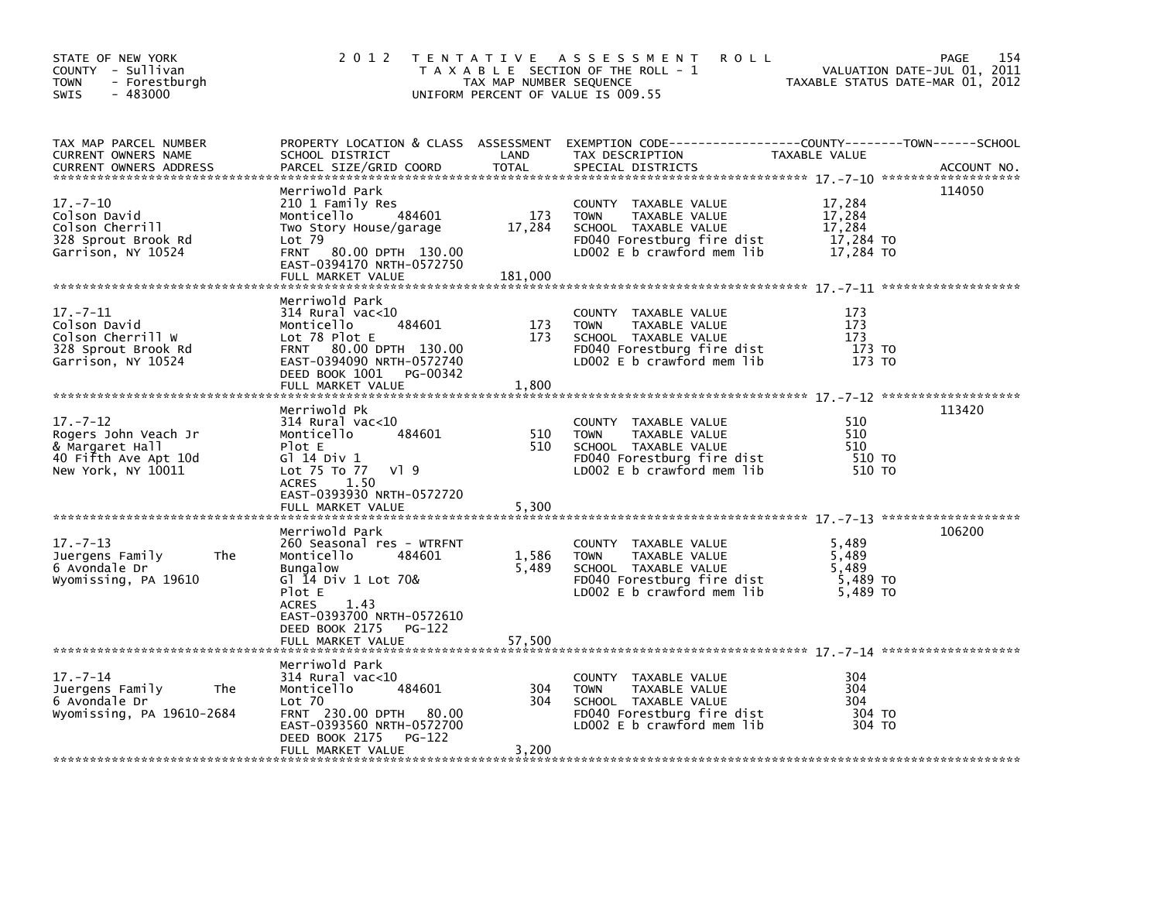| STATE OF NEW YORK<br>COUNTY - Sullivan<br>- Forestburgh<br>TOWN<br>$-483000$<br>SWIS                    | 2 0 1 2                                                                                                                                                                                                                        | TAX MAP NUMBER SEQUENCE  | TENTATIVE ASSESSMENT<br><b>ROLL</b><br>T A X A B L E SECTION OF THE ROLL - 1<br>UNIFORM PERCENT OF VALUE IS 009.55                           | VALUATION DATE-JUL 01, 2011<br>TAXABLE STATUS DATE-MAR 01, 2012 | 154<br><b>PAGE</b> |
|---------------------------------------------------------------------------------------------------------|--------------------------------------------------------------------------------------------------------------------------------------------------------------------------------------------------------------------------------|--------------------------|----------------------------------------------------------------------------------------------------------------------------------------------|-----------------------------------------------------------------|--------------------|
| TAX MAP PARCEL NUMBER<br>CURRENT OWNERS NAME<br>CURRENT OWNERS ADDRESS                                  | SCHOOL DISTRICT<br>PARCEL SIZE/GRID COORD                                                                                                                                                                                      | LAND<br><b>TOTAL</b>     | PROPERTY LOCATION & CLASS ASSESSMENT EXEMPTION CODE-----------------COUNTY-------TOWN------SCHOOL<br>TAX DESCRIPTION<br>SPECIAL DISTRICTS    | TAXABLE VALUE                                                   | ACCOUNT NO.        |
| $17. - 7 - 10$<br>Colson David<br>Colson Cherrill<br>328 Sprout Brook Rd<br>Garrison, NY 10524          | Merriwold Park<br>210 1 Family Res<br>484601<br>Monticello<br>Two Story House/garage<br>$Lot$ 79<br>FRNT 80.00 DPTH 130.00<br>EAST-0394170 NRTH-0572750<br>FULL MARKET VALUE                                                   | 173<br>17,284<br>181,000 | COUNTY TAXABLE VALUE<br>TAXABLE VALUE<br><b>TOWN</b><br>SCHOOL TAXABLE VALUE<br>FD040 Forestburg fire dist<br>LD002 $E$ b crawford mem $lib$ | 17,284<br>17,284<br>17,284<br>17,284 TO<br>17,284 TO            | 114050             |
| $17. - 7 - 11$<br>Colson David<br>Colson Cherrill W<br>328 Sprout Brook Rd<br>Garrison, NY 10524        | Merriwold Park<br>$314$ Rural vac< $10$<br>484601<br>Monticello<br>Lot 78 Plot E<br>FRNT 80.00 DPTH 130.00<br>EAST-0394090 NRTH-0572740<br>DEED BOOK 1001 PG-00342<br>FULL MARKET VALUE                                        | 173<br>173<br>1,800      | COUNTY TAXABLE VALUE<br><b>TOWN</b><br>TAXABLE VALUE<br>SCHOOL TAXABLE VALUE<br>FD040 Forestburg fire dist<br>LD002 $E$ b crawford mem lib   | 173<br>173<br>173<br>173 TO<br>173 TO                           |                    |
| $17. - 7 - 12$<br>Rogers John Veach Jr<br>& Margaret Hall<br>40 Fifth Ave Apt 10d<br>New York, NY 10011 | Merriwold Pk<br>$314$ Rural vac<10<br>484601<br>Monticello<br>Plot E<br>G1 14 Div 1<br>Lot 75 To 77<br>VI 9<br>1.50<br><b>ACRES</b>                                                                                            | 510<br>510               | COUNTY TAXABLE VALUE<br><b>TOWN</b><br>TAXABLE VALUE<br>SCHOOL TAXABLE VALUE<br>FD040 Forestburg fire dist<br>LD002 E b crawford mem lib     | 510<br>510<br>510<br>510 TO<br>510 TO                           | 113420             |
| $17. - 7 - 13$<br>Juergens Family<br>The<br>6 Avondale Dr<br>Wyomissing, PA 19610                       | EAST-0393930 NRTH-0572720<br>FULL MARKET VALUE<br>Merriwold Park<br>260 Seasonal res - WTRFNT<br>Monticello<br>484601<br><b>Bungalow</b><br>Gl 14 Div 1 Lot 70&<br>Plot E<br><b>ACRES</b><br>1.43<br>EAST-0393700 NRTH-0572610 | 5,300<br>1,586<br>5,489  | COUNTY TAXABLE VALUE<br><b>TOWN</b><br>TAXABLE VALUE<br>SCHOOL TAXABLE VALUE<br>FD040 Forestburg fire dist<br>LD002 E b crawford mem lib     | 5,489<br>5,489<br>5.489<br>5,489 TO<br>5.489 TO                 | 106200             |
|                                                                                                         | DEED BOOK 2175<br>PG-122<br>FULL MARKET VALUE                                                                                                                                                                                  | 57,500                   |                                                                                                                                              |                                                                 |                    |
| $17. - 7 - 14$<br>Juergens Family<br>The<br>6 Avondale Dr<br>Wyomissing, PA 19610-2684                  | Merriwold Park<br>$314$ Rural vac< $10$<br>Monticello<br>484601<br>Lot 70<br>FRNT 230.00 DPTH 80.00<br>EAST-0393560 NRTH-0572700<br>DEED BOOK 2175<br>PG-122<br>FULL MARKET VALUE                                              | 304<br>304<br>3,200      | COUNTY TAXABLE VALUE<br><b>TOWN</b><br>TAXABLE VALUE<br>SCHOOL TAXABLE VALUE<br>FD040 Forestburg fire dist<br>LD002 $E$ b crawford mem lib   | 304<br>304<br>304<br>304 TO<br>304 TO                           |                    |
|                                                                                                         |                                                                                                                                                                                                                                |                          |                                                                                                                                              |                                                                 |                    |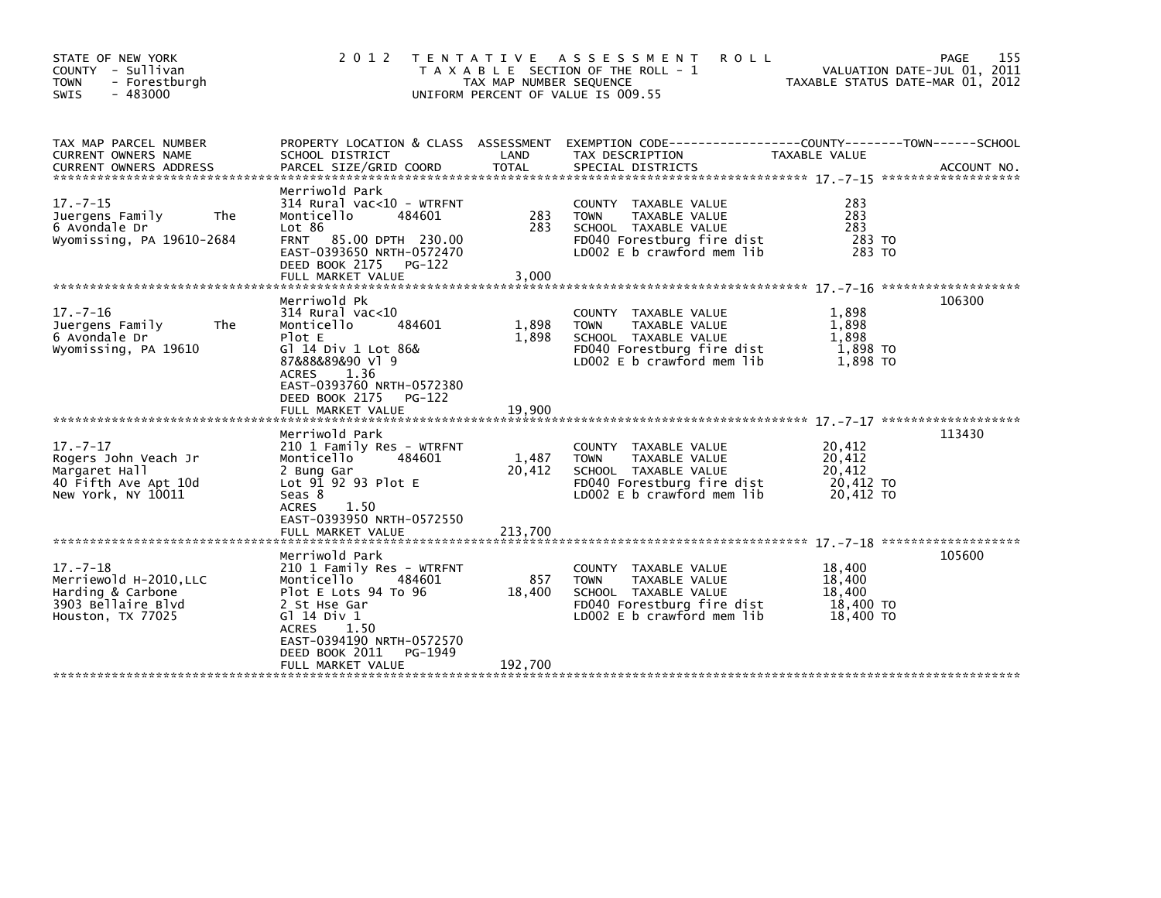| STATE OF NEW YORK<br>COUNTY - Sullivan<br>- Forestburgh<br><b>TOWN</b><br>$-483000$<br><b>SWIS</b>       | 2 0 1 2                                                                                                                                                                                                       | TAX MAP NUMBER SEQUENCE    | TENTATIVE ASSESSMENT<br><b>ROLL</b><br>T A X A B L E SECTION OF THE ROLL - 1<br>UNIFORM PERCENT OF VALUE IS 009.55                              |                                                      | 155<br>PAGE<br>VALUATION DATE-JUL 01, 2011<br>TAXABLE STATUS DATE-MAR 01, 2012 |
|----------------------------------------------------------------------------------------------------------|---------------------------------------------------------------------------------------------------------------------------------------------------------------------------------------------------------------|----------------------------|-------------------------------------------------------------------------------------------------------------------------------------------------|------------------------------------------------------|--------------------------------------------------------------------------------|
| TAX MAP PARCEL NUMBER<br><b>CURRENT OWNERS NAME</b><br><b>CURRENT OWNERS ADDRESS</b>                     | SCHOOL DISTRICT<br>PARCEL SIZE/GRID COORD                                                                                                                                                                     | LAND<br><b>TOTAL</b>       | PROPERTY LOCATION & CLASS ASSESSMENT EXEMPTION CODE----------------COUNTY-------TOWN------SCHOOL<br>TAX DESCRIPTION<br>SPECIAL DISTRICTS        | TAXABLE VALUE                                        | ACCOUNT NO.                                                                    |
| $17. - 7 - 15$<br>Juergens Family<br><b>The</b><br>6 Avondale Dr<br>Wyomissing, PA 19610-2684            | Merriwold Park<br>$314$ Rural vac<10 - WTRFNT<br>Monticello<br>484601<br>Lot 86<br>FRNT 85.00 DPTH 230.00<br>EAST-0393650 NRTH-0572470<br>DEED BOOK 2175 PG-122<br>FULL MARKET VALUE                          | 283<br>283<br>3,000        | COUNTY TAXABLE VALUE<br><b>TOWN</b><br>TAXABLE VALUE<br>SCHOOL TAXABLE VALUE<br>FD040 Forestburg fire dist<br>LD002 E b crawford mem lib        | 283<br>283<br>283<br>283 TO<br>283 TO                |                                                                                |
| $17. - 7 - 16$<br>Juergens Family<br>The<br>6 Avondale Dr<br>Wyomissing, PA 19610                        | Merriwold Pk<br>$314$ Rural vac<10<br>484601<br>Monticello<br>Plot E<br>G] 14 Div 1 Lot 86&<br>87&88&89&90 v1 9<br>ACRES<br>1.36<br>EAST-0393760 NRTH-0572380                                                 | 1,898<br>1,898             | COUNTY TAXABLE VALUE<br>TAXABLE VALUE<br><b>TOWN</b><br>SCHOOL TAXABLE VALUE<br>FD040 Forestburg fire dist<br>LD002 E b crawford mem lib        | 1,898<br>1,898<br>1,898<br>1,898 TO<br>1.898 TO      | 106300                                                                         |
|                                                                                                          | DEED BOOK 2175<br>PG-122<br>FULL MARKET VALUE                                                                                                                                                                 | 19.900                     |                                                                                                                                                 |                                                      |                                                                                |
| $17. - 7 - 17$<br>Rogers John Veach Jr<br>Margaret Hall<br>40 Fifth Ave Apt 10d<br>New York, NY 10011    | Merriwold Park<br>210 1 Family Res - WTRFNT<br>Monticello<br>484601<br>2 Bung Gar<br>Lot $9\overline{1}$ $92$ $93$ Plot E<br>Seas 8<br>1.50<br><b>ACRES</b><br>EAST-0393950 NRTH-0572550<br>FULL MARKET VALUE | 1,487<br>20,412<br>213,700 | COUNTY TAXABLE VALUE<br>TAXABLE VALUE<br><b>TOWN</b><br>SCHOOL TAXABLE VALUE<br>FD040 Forestburg fire dist<br>LD002 E b crawford mem lib        | 20,412<br>20,412<br>20,412<br>20,412 TO<br>20,412 TO | 113430                                                                         |
|                                                                                                          | Merriwold Park                                                                                                                                                                                                |                            |                                                                                                                                                 |                                                      | 105600                                                                         |
| $17. - 7 - 18$<br>Merriewold H-2010, LLC<br>Harding & Carbone<br>3903 Bellaire Blvd<br>Houston, TX 77025 | 210 1 Family Res - WTRFNT<br>Monticello<br>484601<br>Plot E Lots 94 To 96<br>2 St Hse Gar<br>G1 14 Div 1<br><b>ACRES</b><br>1.50<br>EAST-0394190 NRTH-0572570<br>DEED BOOK 2011<br>PG-1949                    | 857<br>18,400              | COUNTY TAXABLE VALUE<br><b>TAXABLE VALUE</b><br><b>TOWN</b><br>SCHOOL TAXABLE VALUE<br>FD040 Forestburg fire dist<br>LD002 E b crawford mem lib | 18,400<br>18,400<br>18,400<br>18,400 TO<br>18,400 TO |                                                                                |
|                                                                                                          | FULL MARKET VALUE                                                                                                                                                                                             | 192,700                    |                                                                                                                                                 |                                                      |                                                                                |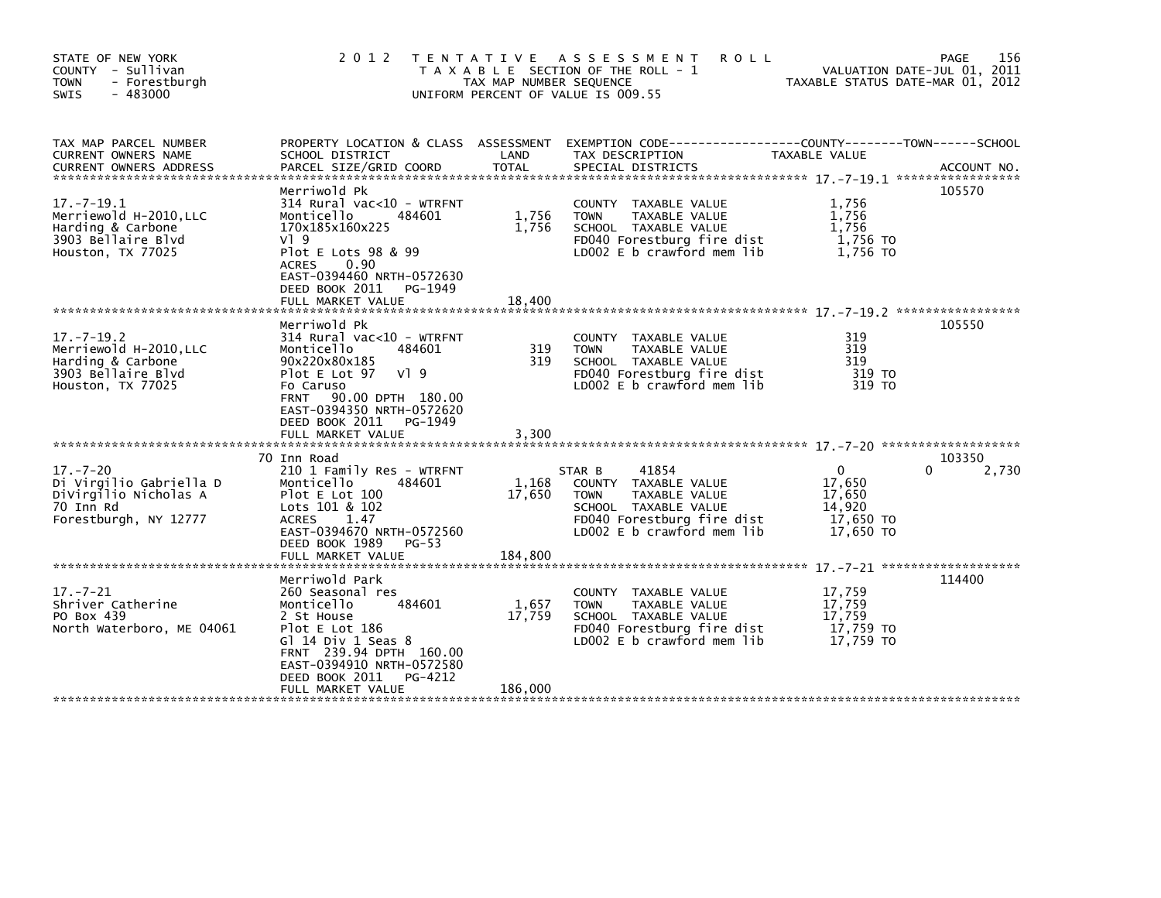| STATE OF NEW YORK<br>COUNTY - Sullivan<br>- Forestburgh<br><b>TOWN</b><br>$-483000$<br><b>SWIS</b>         | 2 0 1 2                                                                                                                                                                                                                       | T E N T A T I V E<br>TAX MAP NUMBER SEQUENCE | A S S E S S M E N T<br><b>ROLL</b><br>T A X A B L E SECTION OF THE ROLL - 1<br>UNIFORM PERCENT OF VALUE IS 009.55                                           | TAXABLE STATUS DATE-MAR 01, 2012                                 | 156<br>PAGE<br>VALUATION DATE-JUL 01, 2011 |
|------------------------------------------------------------------------------------------------------------|-------------------------------------------------------------------------------------------------------------------------------------------------------------------------------------------------------------------------------|----------------------------------------------|-------------------------------------------------------------------------------------------------------------------------------------------------------------|------------------------------------------------------------------|--------------------------------------------|
| TAX MAP PARCEL NUMBER<br>CURRENT OWNERS NAME<br><b>CURRENT OWNERS ADDRESS</b>                              | PROPERTY LOCATION & CLASS ASSESSMENT<br>SCHOOL DISTRICT<br>PARCEL SIZE/GRID COORD                                                                                                                                             | LAND<br><b>TOTAL</b>                         | TAX DESCRIPTION<br>SPECIAL DISTRICTS                                                                                                                        | TAXABLE VALUE                                                    | ACCOUNT NO.                                |
| $17. - 7 - 19.1$<br>Merriewold H-2010, LLC<br>Harding & Carbone<br>3903 Bellaire Blvd<br>Houston, TX 77025 | Merriwold Pk<br>314 Rural vac<10 - WTRFNT<br>Monticello<br>484601<br>170x185x160x225<br>$V$ ] 9<br>Plot E Lots 98 & 99<br>0.90<br><b>ACRES</b><br>EAST-0394460 NRTH-0572630<br>DEED BOOK 2011<br>PG-1949<br>FULL MARKET VALUE | 1,756<br>1,756<br>18,400                     | COUNTY TAXABLE VALUE<br><b>TOWN</b><br>TAXABLE VALUE<br>SCHOOL TAXABLE VALUE<br>FD040 Forestburg fire dist<br>LD002 E b crawford mem lib                    | 1,756<br>1,756<br>1.756<br>1,756 TO<br>1.756 TO                  | 105570                                     |
| $17. - 7 - 19.2$<br>Merriewold H-2010, LLC<br>Harding & Carbone<br>3903 Bellaire Blvd<br>Houston, TX 77025 | Merriwold Pk<br>314 Rural vac<10 - WTRFNT<br>Monticello<br>484601<br>90x220x80x185<br>Plot E Lot 97<br>VI 9<br>Fo Caruso<br>90.00 DPTH 180.00<br><b>FRNT</b><br>EAST-0394350 NRTH-0572620<br>DEED BOOK 2011<br>PG-1949        | 319<br>319                                   | COUNTY TAXABLE VALUE<br><b>TOWN</b><br>TAXABLE VALUE<br>SCHOOL TAXABLE VALUE<br>FD040 Forestburg fire dist<br>LD002 E b crawford mem lib                    | 319<br>319<br>319<br>319 TO<br>319 TO                            | 105550                                     |
|                                                                                                            | FULL MARKET VALUE                                                                                                                                                                                                             | 3,300                                        |                                                                                                                                                             |                                                                  |                                            |
| $17. - 7 - 20$<br>Di Virgilio Gabriella D<br>DiVirgilio Nicholas A<br>70 Inn Rd<br>Forestburgh, NY 12777   | 70 Inn Road<br>210 1 Family Res - WTRFNT<br>Monticello<br>484601<br>Plot E Lot 100<br>Lots 101 & 102<br><b>ACRES</b><br>1.47<br>EAST-0394670 NRTH-0572560<br>DEED BOOK 1989<br>$PG-53$<br>FULL MARKET VALUE                   | 1,168<br>17,650<br>184,800                   | 41854<br>STAR B<br>COUNTY TAXABLE VALUE<br><b>TOWN</b><br>TAXABLE VALUE<br>SCHOOL TAXABLE VALUE<br>FD040 Forestburg fire dist<br>LD002 E b crawford mem lib | $\Omega$<br>17,650<br>17,650<br>14,920<br>17,650 TO<br>17,650 TO | 103350<br>2,730                            |
|                                                                                                            | Merriwold Park                                                                                                                                                                                                                |                                              |                                                                                                                                                             |                                                                  | 114400                                     |
| $17. - 7 - 21$<br>Shriver Catherine<br>PO Box 439<br>North Waterboro, ME 04061                             | 260 Seasonal res<br>Monticello<br>484601<br>2 St House<br>Plot E Lot 186<br>Gl $14$ Div 1 Seas $8$<br>FRNT 239.94 DPTH 160.00<br>EAST-0394910 NRTH-0572580<br>DEED BOOK 2011<br>PG-4212                                       | 1,657<br>17,759                              | TAXABLE VALUE<br><b>COUNTY</b><br>TAXABLE VALUE<br><b>TOWN</b><br>SCHOOL TAXABLE VALUE<br>FD040 Forestburg fire dist<br>LD002 E b crawford mem lib          | 17,759<br>17,759<br>17.759<br>17,759 TO<br>17,759 TO             |                                            |
|                                                                                                            | FULL MARKET VALUE                                                                                                                                                                                                             | 186,000                                      |                                                                                                                                                             |                                                                  |                                            |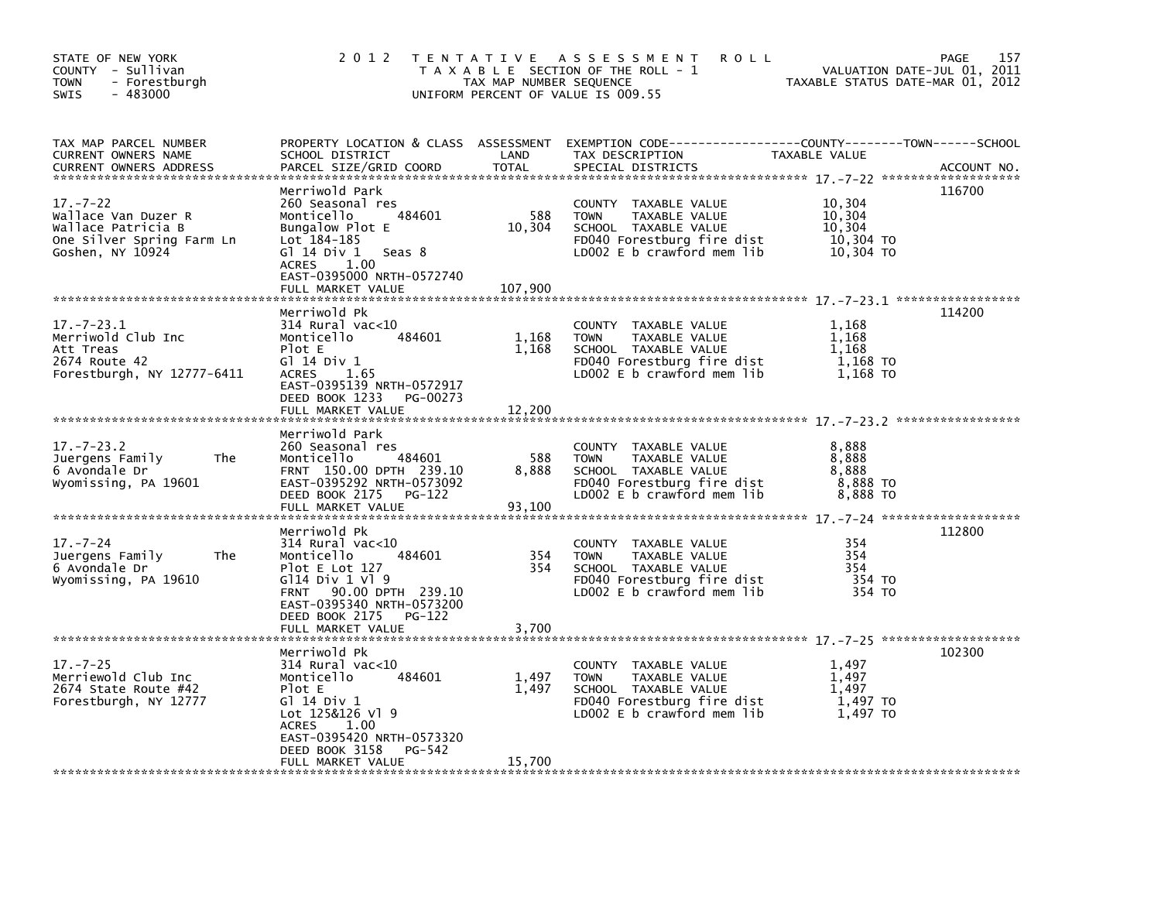| STATE OF NEW YORK<br>COUNTY - Sullivan<br><b>TOWN</b><br>- Forestburgh<br>$-483000$<br>SWIS                  | 2 0 1 2                                                                                                                                                                                                   | TAX MAP NUMBER SEQUENCE  | TENTATIVE ASSESSMENT<br><b>ROLL</b><br>T A X A B L E SECTION OF THE ROLL - 1<br>UNIFORM PERCENT OF VALUE IS 009.55                       | VALUATION DATE-JUL 01, 2011<br>TAXABLE STATUS DATE-MAR 01, 2012 | <b>PAGE</b><br>157 |
|--------------------------------------------------------------------------------------------------------------|-----------------------------------------------------------------------------------------------------------------------------------------------------------------------------------------------------------|--------------------------|------------------------------------------------------------------------------------------------------------------------------------------|-----------------------------------------------------------------|--------------------|
| TAX MAP PARCEL NUMBER<br>CURRENT OWNERS NAME<br>CURRENT OWNERS ADDRESS                                       | SCHOOL DISTRICT<br>PARCEL SIZE/GRID COORD                                                                                                                                                                 | LAND<br><b>TOTAL</b>     | PROPERTY LOCATION & CLASS ASSESSMENT EXEMPTION CODE---------------COUNTY-------TOWN-----SCHOOL<br>TAX DESCRIPTION<br>SPECIAL DISTRICTS   | TAXABLE VALUE                                                   | ACCOUNT NO.        |
| $17. - 7 - 22$<br>Wallace Van Duzer R<br>Wallace Patricia B<br>One Silver Spring Farm Ln<br>Goshen, NY 10924 | Merriwold Park<br>260 Seasonal res<br>484601<br>Monticello<br>Bungalow Plot E<br>Lot 184-185<br>G $1$ 14 Div 1 Seas 8<br>ACRES 1.00<br>EAST-0395000 NRTH-0572740<br>FULL MARKET VALUE                     | 588<br>10,304<br>107,900 | COUNTY TAXABLE VALUE<br><b>TOWN</b><br>TAXABLE VALUE<br>SCHOOL TAXABLE VALUE<br>FD040 Forestburg fire dist<br>LD002 E b crawford mem lib | 10,304<br>10,304<br>10,304<br>10,304 TO<br>10,304 TO            | 116700             |
| $17. - 7 - 23.1$<br>Merriwold Club Inc<br>Att Treas<br>2674 Route 42<br>Forestburgh, NY 12777-6411           | Merriwold Pk<br>$314$ Rural vac<10<br>Monticello<br>484601<br>Plot E<br>G1 14 Div 1<br><b>ACRES</b><br>1.65<br>EAST-0395139 NRTH-0572917<br>PG-00273<br>DEED BOOK 1233<br>FULL MARKET VALUE               | 1,168<br>1,168<br>12,200 | COUNTY TAXABLE VALUE<br><b>TOWN</b><br>TAXABLE VALUE<br>SCHOOL TAXABLE VALUE<br>FD040 Forestburg fire dist<br>LD002 E b crawford mem lib | 1,168<br>1,168<br>1,168<br>1,168 TO<br>1,168 TO                 | 114200             |
| $17. - 7 - 23.2$<br>Juergens Family<br>The<br>6 Avondale Dr<br>Wyomissing, PA 19601                          | Merriwold Park<br>260 Seasonal res<br>Monticello<br>484601<br>FRNT 150.00 DPTH 239.10<br>EAST-0395292 NRTH-0573092<br>DEED BOOK 2175 PG-122                                                               | 588<br>8.888             | COUNTY TAXABLE VALUE<br>TAXABLE VALUE<br><b>TOWN</b><br>SCHOOL TAXABLE VALUE<br>FD040 Forestburg fire dist<br>LD002 E b crawford mem lib | 8,888<br>8,888<br>8.888<br>8,888 TO<br>8,888 TO                 |                    |
| $17. - 7 - 24$<br>Juergens Family<br>The<br>6 Avondale Dr<br>Wyomissing, PA 19610                            | Merriwold Pk<br>$314$ Rural vac<10<br>Monticello<br>484601<br>Plot $E$ Lot 127<br>G114 Div 1 V1 9<br>FRNT 90.00 DPTH 239.10<br>EAST-0395340 NRTH-0573200<br>DEED BOOK 2175<br>PG-122<br>FULL MARKET VALUE | 354<br>354<br>3,700      | COUNTY TAXABLE VALUE<br>TAXABLE VALUE<br><b>TOWN</b><br>SCHOOL TAXABLE VALUE<br>FD040 Forestburg fire dist<br>LD002 E b crawford mem lib | 354<br>354<br>354<br>354 TO<br>354 TO                           | 112800             |
| $17. - 7 - 25$<br>Merriewold Club Inc<br>2674 State Route #42<br>Forestburgh, NY 12777                       | Merriwold Pk<br>$314$ Rural vac<10<br>Monticello<br>484601<br>Plot E<br>G1 14 Div 1<br>Lot 125&126 Vl 9<br>ACRES 1.00<br>EAST-0395420 NRTH-0573320<br>DEED BOOK 3158<br>PG-542<br>FULL MARKET VALUE       | 1,497<br>1,497<br>15,700 | COUNTY TAXABLE VALUE<br>TAXABLE VALUE<br><b>TOWN</b><br>SCHOOL TAXABLE VALUE<br>FD040 Forestburg fire dist<br>LD002 E b crawford mem lib | 1,497<br>1,497<br>1,497<br>1,497 TO<br>1,497 TO                 | 102300             |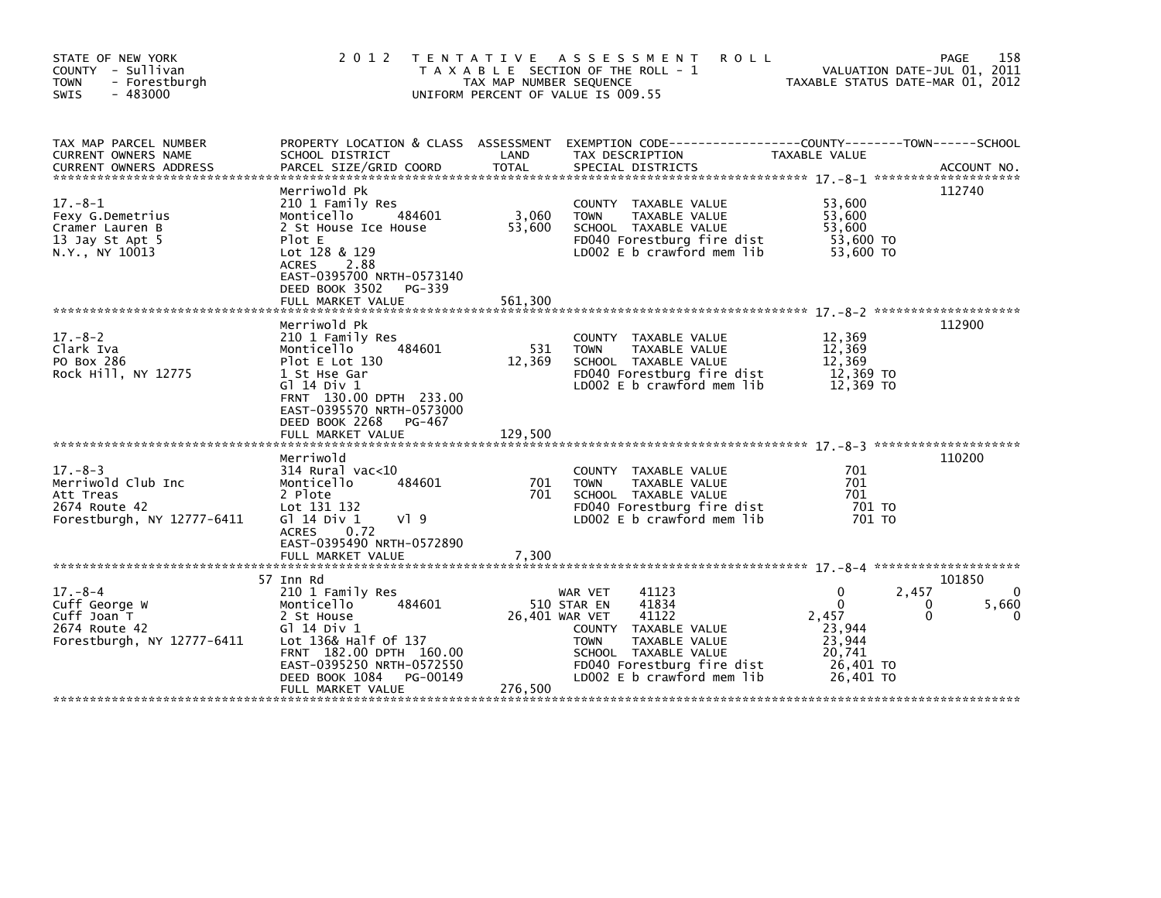| STATE OF NEW YORK<br>COUNTY - Sullivan<br><b>TOWN</b><br>- Forestburgh<br>$-483000$<br><b>SWIS</b> | 2 0 1 2                                                                                                                                                                                                               | TAX MAP NUMBER SEQUENCE    | TENTATIVE ASSESSMENT<br><b>ROLL</b><br>T A X A B L E SECTION OF THE ROLL - 1<br>UNIFORM PERCENT OF VALUE IS 009.55                                                                                              | VALUATION DATE-JUL 01, 2011<br>TAXABLE STATUS DATE-MAR 01, 2012                         | 158<br>PAGE                           |
|----------------------------------------------------------------------------------------------------|-----------------------------------------------------------------------------------------------------------------------------------------------------------------------------------------------------------------------|----------------------------|-----------------------------------------------------------------------------------------------------------------------------------------------------------------------------------------------------------------|-----------------------------------------------------------------------------------------|---------------------------------------|
| TAX MAP PARCEL NUMBER<br>CURRENT OWNERS NAME                                                       | SCHOOL DISTRICT                                                                                                                                                                                                       | LAND                       | PROPERTY LOCATION & CLASS ASSESSMENT EXEMPTION CODE----------------COUNTY-------TOWN------SCHOOL<br>TAX DESCRIPTION                                                                                             | TAXABLE VALUE                                                                           |                                       |
| $17.-8-1$<br>Fexy G.Demetrius<br>Cramer Lauren B<br>13 Jay St Apt 5<br>N.Y., NY 10013              | Merriwold Pk<br>210 1 Family Res<br>Monticello<br>484601<br>2 St House Ice House<br>Plot E<br>Lot 128 & 129<br><b>ACRES</b><br>2.88<br>EAST-0395700 NRTH-0573140<br>DEED BOOK 3502<br>PG-339<br>FULL MARKET VALUE     | 3,060<br>53,600<br>561,300 | COUNTY TAXABLE VALUE<br>TAXABLE VALUE<br><b>TOWN</b><br>SCHOOL TAXABLE VALUE<br>FD040 Forestburg fire dist<br>LD002 E b crawford mem lib                                                                        | 53,600<br>53,600<br>53,600<br>53,600 TO<br>53,600 TO                                    | 112740                                |
| $17 - 8 - 2$<br>Clark Iva<br>PO Box 286<br>Rock Hill, NY 12775                                     | Merriwold Pk<br>210 1 Family Res<br>484601<br>Monticello<br>Plot E Lot 130<br>1 St Hse Gar<br>$G$ ] 14 Div 1<br>FRNT 130.00 DPTH 233.00<br>EAST-0395570 NRTH-0573000<br>DEED BOOK 2268<br>PG-467<br>FULL MARKET VALUE | 531<br>12,369<br>129,500   | COUNTY TAXABLE VALUE<br>TAXABLE VALUE<br><b>TOWN</b><br>SCHOOL TAXABLE VALUE<br>FD040 Forestburg fire dist<br>LD002 E b crawford mem lib                                                                        | 12,369<br>12,369<br>12,369<br>12,369 TO<br>12.369 TO                                    | 112900                                |
| $17. - 8 - 3$<br>Merriwold Club Inc<br>Att Treas<br>2674 Route 42<br>Forestburgh, NY 12777-6411    | Merriwold<br>$314$ Rural vac<10<br>Monticello<br>484601<br>2 Plote<br>Lot 131 132<br>G1 14 Div 1<br>VI 9<br>ACRES 0.72<br>EAST-0395490 NRTH-0572890<br>FULL MARKET VALUE                                              | 701<br>701<br>7,300        | COUNTY TAXABLE VALUE<br>TAXABLE VALUE<br><b>TOWN</b><br>SCHOOL TAXABLE VALUE<br>FD040 Forestburg fire dist<br>LD002 E b crawford mem lib                                                                        | 701<br>701<br>701<br>701 TO<br>701 TO                                                   | 110200                                |
| $17. - 8 - 4$<br>Cuff George W<br>Cuff Joan T<br>2674 Route 42<br>Forestburgh, NY 12777-6411       | 57 Inn Rd<br>210 1 Family Res<br>Monticello<br>484601<br>2 St House<br>G1 14 Div 1<br>Lot 136& Half of 137<br>FRNT 182.00 DPTH 160.00<br>EAST-0395250 NRTH-0572550<br>DEED BOOK 1084<br>PG-00149<br>FULL MARKET VALUE | 276,500                    | 41123<br>WAR VET<br>41834<br>510 STAR EN<br>41122<br>26,401 WAR VET<br>COUNTY TAXABLE VALUE<br>TAXABLE VALUE<br><b>TOWN</b><br>SCHOOL TAXABLE VALUE<br>FD040 Forestburg fire dist<br>LD002 E b crawford mem lib | 2,457<br>0<br>$\Omega$<br>2,457<br>23.944<br>23,944<br>20,741<br>26,401 TO<br>26,401 TO | 101850<br>$\Omega$<br>5,660<br>0<br>0 |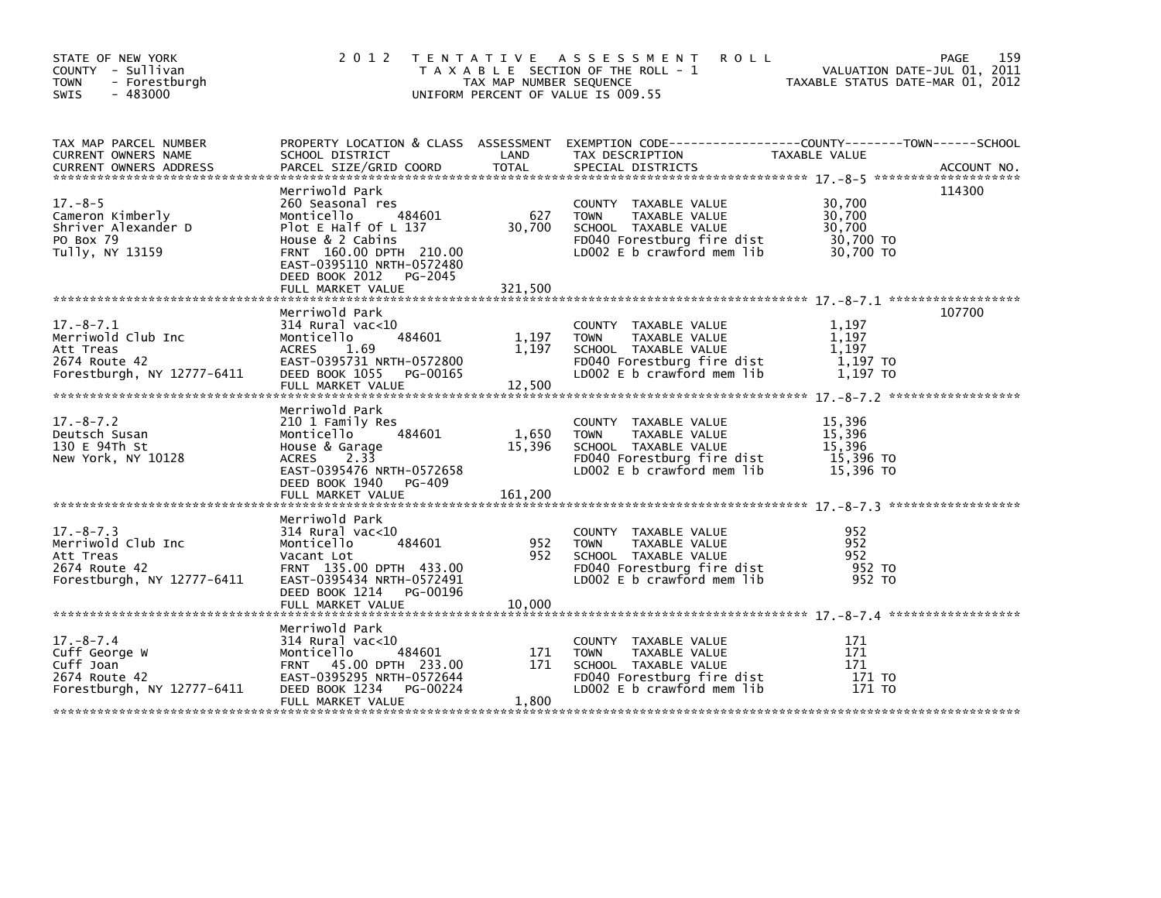| STATE OF NEW YORK<br>COUNTY - Sullivan<br><b>TOWN</b><br>- Forestburgh<br>$-483000$<br><b>SWIS</b> | 2 0 1 2                                                                                                                                                                                    | TAX MAP NUMBER SEQUENCE    | TENTATIVE ASSESSMENT<br><b>ROLL</b><br>T A X A B L E SECTION OF THE ROLL - 1<br>UNIFORM PERCENT OF VALUE IS 009.55                       | VALUATION DATE-JUL 01, 2011<br>TAXABLE STATUS DATE-MAR 01, 2012 | PAGE<br>159 |
|----------------------------------------------------------------------------------------------------|--------------------------------------------------------------------------------------------------------------------------------------------------------------------------------------------|----------------------------|------------------------------------------------------------------------------------------------------------------------------------------|-----------------------------------------------------------------|-------------|
| TAX MAP PARCEL NUMBER<br>CURRENT OWNERS NAME                                                       | SCHOOL DISTRICT                                                                                                                                                                            | LAND                       | PROPERTY LOCATION & CLASS ASSESSMENT EXEMPTION CODE-----------------COUNTY-------TOWN-----SCHOOL<br>TAX DESCRIPTION                      | TAXABLE VALUE                                                   |             |
| $17. - 8 - 5$<br>Cameron Kimberly<br>Shriver Alexander D<br>PO Box 79<br>Tully, NY 13159           | Merriwold Park<br>260 Seasonal res<br>Monticello<br>484601<br>Plot E Half Of L 137<br>House $& 2$ Cabins<br>FRNT 160.00 DPTH 210.00<br>EAST-0395110 NRTH-0572480<br>DEED BOOK 2012 PG-2045 | 627<br>30,700              | COUNTY TAXABLE VALUE<br>TAXABLE VALUE<br><b>TOWN</b><br>SCHOOL TAXABLE VALUE<br>FD040 Forestburg fire dist<br>LD002 E b crawford mem lib | 30,700<br>30,700<br>30,700<br>30,700 TO<br>30,700 TO            | 114300      |
| $17.-8-7.1$<br>Merriwold Club Inc<br>Att Treas<br>2674 Route 42<br>Forestburgh, NY 12777-6411      | Merriwold Park<br>$314$ Rural vac< $10$<br>484601<br>Monticello<br><b>ACRES</b><br>1.69<br>EAST-0395731 NRTH-0572800<br>DEED BOOK 1055 PG-00165<br>FULL MARKET VALUE                       | 1,197<br>1,197<br>12,500   | COUNTY TAXABLE VALUE<br><b>TOWN</b><br>TAXABLE VALUE<br>SCHOOL TAXABLE VALUE<br>FD040 Forestburg fire dist<br>LD002 E b crawford mem lib | 1,197<br>1.197<br>1.197<br>1,197 TO<br>1,197 TO                 | 107700      |
| $17. - 8 - 7.2$<br>Deutsch Susan<br>130 E 94Th St<br>New York, NY 10128                            | Merriwold Park<br>210 1 Family Res<br>484601<br>Monticello<br>House & Garage<br>ACRES 2.33<br>EAST-0395476 NRTH-0572658<br>DEED BOOK 1940 PG-409<br>FULL MARKET VALUE                      | 1,650<br>15,396<br>161,200 | COUNTY TAXABLE VALUE<br><b>TOWN</b><br>TAXABLE VALUE<br>SCHOOL TAXABLE VALUE<br>FD040 Forestburg fire dist<br>LD002 E b crawford mem lib | 15,396<br>15,396<br>15,396<br>15,396 TO<br>$15,396$ TO          |             |
| $17. - 8 - 7.3$<br>Merriwold Club Inc<br>Att Treas<br>2674 Route 42<br>Forestburgh, NY 12777-6411  | Merriwold Park<br>$314$ Rural vac< $10$<br>484601<br>Monticello<br>Vacant Lot<br>FRNT 135.00 DPTH 433.00<br>EAST-0395434 NRTH-0572491<br>DEED BOOK 1214 PG-00196                           | 952<br>952                 | COUNTY TAXABLE VALUE<br><b>TOWN</b><br>TAXABLE VALUE<br>SCHOOL TAXABLE VALUE<br>FD040 Forestburg fire dist<br>LD002 E b crawford mem lib | 952<br>952<br>952<br>952 TO<br>952 TO                           |             |
|                                                                                                    | FULL MARKET VALUE                                                                                                                                                                          | 10,000                     |                                                                                                                                          |                                                                 |             |
| $17. - 8 - 7.4$<br>Cuff George W<br>Cuff Joan<br>2674 Route 42<br>Forestburgh, NY 12777-6411       | Merriwold Park<br>314 Rural vac<10<br>484601<br>Monticello<br>FRNT 45.00 DPTH 233.00<br>EAST-0395295 NRTH-0572644<br>DEED BOOK 1234<br>PG-00224<br>FULL MARKET VALUE                       | 171<br>171<br>1,800        | COUNTY TAXABLE VALUE<br><b>TOWN</b><br>TAXABLE VALUE<br>SCHOOL TAXABLE VALUE<br>FD040 Forestburg fire dist<br>LD002 E b crawford mem lib | 171<br>171<br>171<br>171 TO<br>171 TO                           |             |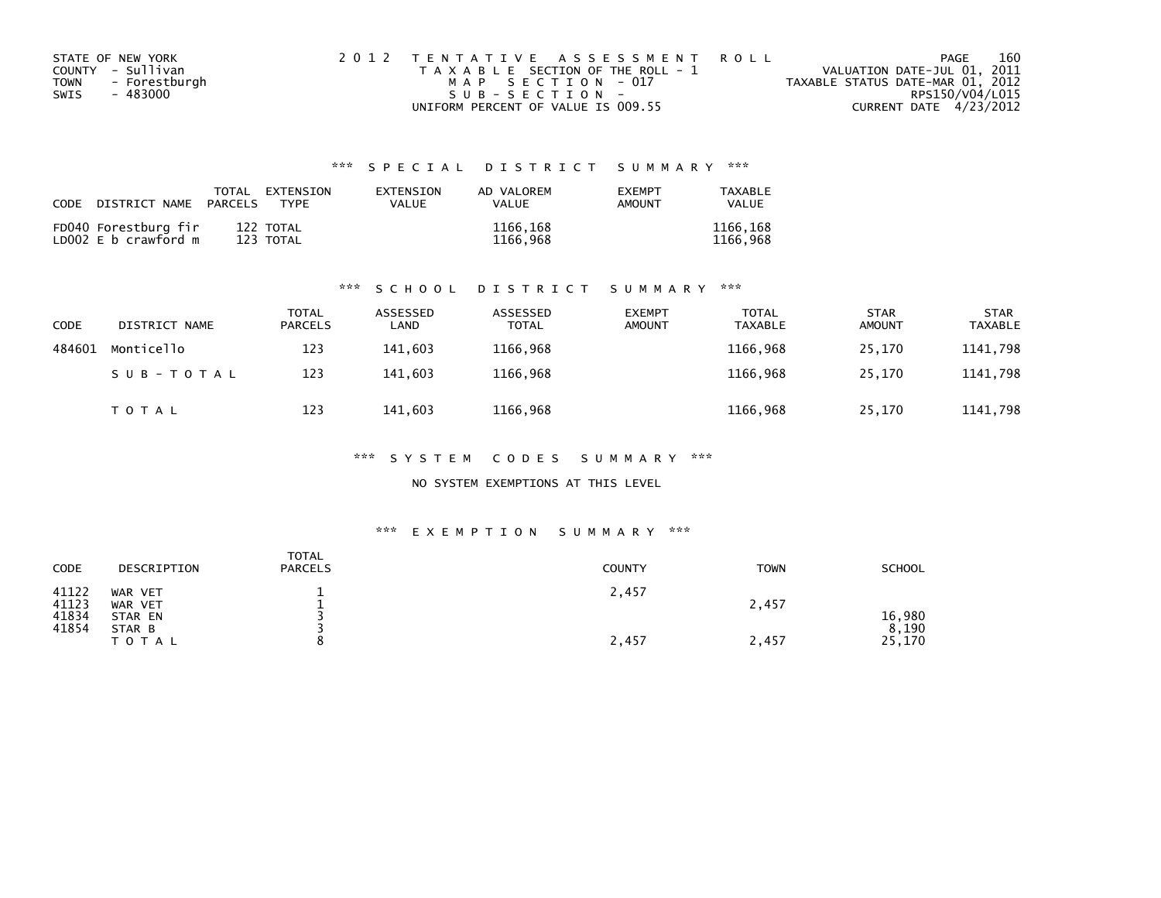| STATE OF NEW YORK            | 2012 TENTATIVE ASSESSMENT ROLL        | PAGE                             | 160 |
|------------------------------|---------------------------------------|----------------------------------|-----|
| COUNTY - Sullivan            | T A X A B L E SECTION OF THE ROLL - 1 | VALUATION DATE-JUL 01, 2011      |     |
| - Forestburgh<br><b>TOWN</b> | MAP SECTION - 017                     | TAXABLE STATUS DATE-MAR 01, 2012 |     |
| SWIS<br>- 483000             | $SUB - SECTION -$                     | RPS150/V04/L015                  |     |
|                              | UNIFORM PERCENT OF VALUE IS 009.55    | CURRENT DATE 4/23/2012           |     |

| CODE DISTRICT NAME                           | PARCELS | TOTAL EXTENSION<br><b>TYPF</b> | EXTENSION<br><b>VALUE</b> | AD VALOREM<br><b>VALUE</b> | <b>FXFMPT</b><br>AMOUNT | TAXABLE<br><b>VALUE</b> |
|----------------------------------------------|---------|--------------------------------|---------------------------|----------------------------|-------------------------|-------------------------|
| FD040 Forestburg fir<br>LD002 E b crawford m |         | 122 TOTAL<br>123 TOTAL         |                           | 1166,168<br>1166,968       |                         | 1166,168<br>1166.968    |

#### \*\*\* S C H O O L D I S T R I C T S U M M A R Y \*\*\*

| CODE   | DISTRICT NAME | <b>TOTAL</b><br><b>PARCELS</b> | ASSESSED<br>∟AND | ASSESSED<br><b>TOTAL</b> | <b>EXEMPT</b><br><b>AMOUNT</b> | <b>TOTAL</b><br><b>TAXABLE</b> | <b>STAR</b><br><b>AMOUNT</b> | <b>STAR</b><br><b>TAXABLE</b> |
|--------|---------------|--------------------------------|------------------|--------------------------|--------------------------------|--------------------------------|------------------------------|-------------------------------|
| 484601 | Monticello    | 123                            | 141.603          | 1166.968                 |                                | 1166,968                       | 25.170                       | 1141,798                      |
|        | SUB-TOTAL     | 123                            | 141.603          | 1166,968                 |                                | 1166,968                       | 25,170                       | 1141,798                      |
|        | <b>TOTAL</b>  | 123                            | 141,603          | 1166,968                 |                                | 1166,968                       | 25,170                       | 1141,798                      |

#### \*\*\* S Y S T E M C O D E S S U M M A R Y \*\*\*

### NO SYSTEM EXEMPTIONS AT THIS LEVEL

#### \*\*\* E X E M P T I O N S U M M A R Y \*\*\*

| CODE                             | DESCRIPTION                             | <b>TOTAL</b><br><b>PARCELS</b> | <b>COUNTY</b> | <b>TOWN</b> | <b>SCHOOL</b>   |
|----------------------------------|-----------------------------------------|--------------------------------|---------------|-------------|-----------------|
| 41122<br>41123<br>41834<br>41854 | WAR VET<br>WAR VET<br>STAR EN<br>STAR B |                                | 2,457         | 2,457       | 16,980<br>8,190 |
|                                  | T O T A L                               |                                | 2,457         | 2,457       | 25,170          |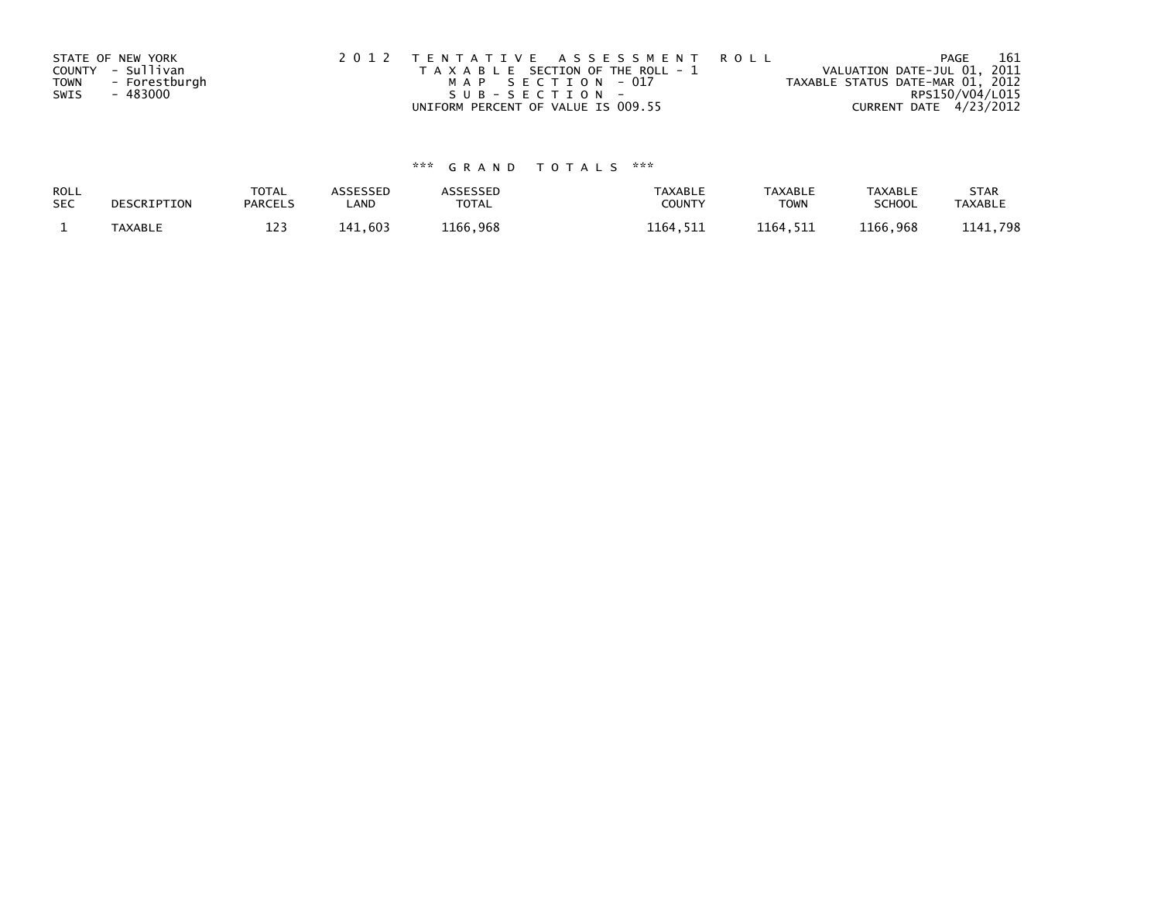| STATE OF NEW YORK     | 2012 TENTATIVE ASSESSMENT ROLL        | PAGE                             |                 | 161 |
|-----------------------|---------------------------------------|----------------------------------|-----------------|-----|
| COUNTY - Sullivan     | T A X A B L E SECTION OF THE ROLL - 1 | VALUATION DATE-JUL 01, 2011      |                 |     |
| - Forestburgh<br>TOWN | MAP SECTION - 017                     | TAXABLE STATUS DATE-MAR 01, 2012 |                 |     |
| SWIS<br>- 483000      | $SUB - SECTION -$                     |                                  | RPS150/V04/L015 |     |
|                       | UNIFORM PERCENT OF VALUE IS 009.55    | CURRENT DATE 4/23/2012           |                 |     |

| ROLL       | DESCRIPTION | <b>TOTAL</b>   | <b>ASSESSED</b> | <b>ASSESSED</b> | <b>TAXABLE</b> | <b>TAXABLE</b> | <b>TAXABLE</b> | <b>STAR</b>    |
|------------|-------------|----------------|-----------------|-----------------|----------------|----------------|----------------|----------------|
| <b>SEC</b> |             | <b>PARCELS</b> | LAND            | TOTAL           | COUNT          | <b>TOWN</b>    | <b>SCHOOL</b>  | <b>TAXABLE</b> |
|            | TAXABLE     | 123            | 141.603         | 1166,968        | 1164,511       | 1164,511       | 1166,968       | 1141,798       |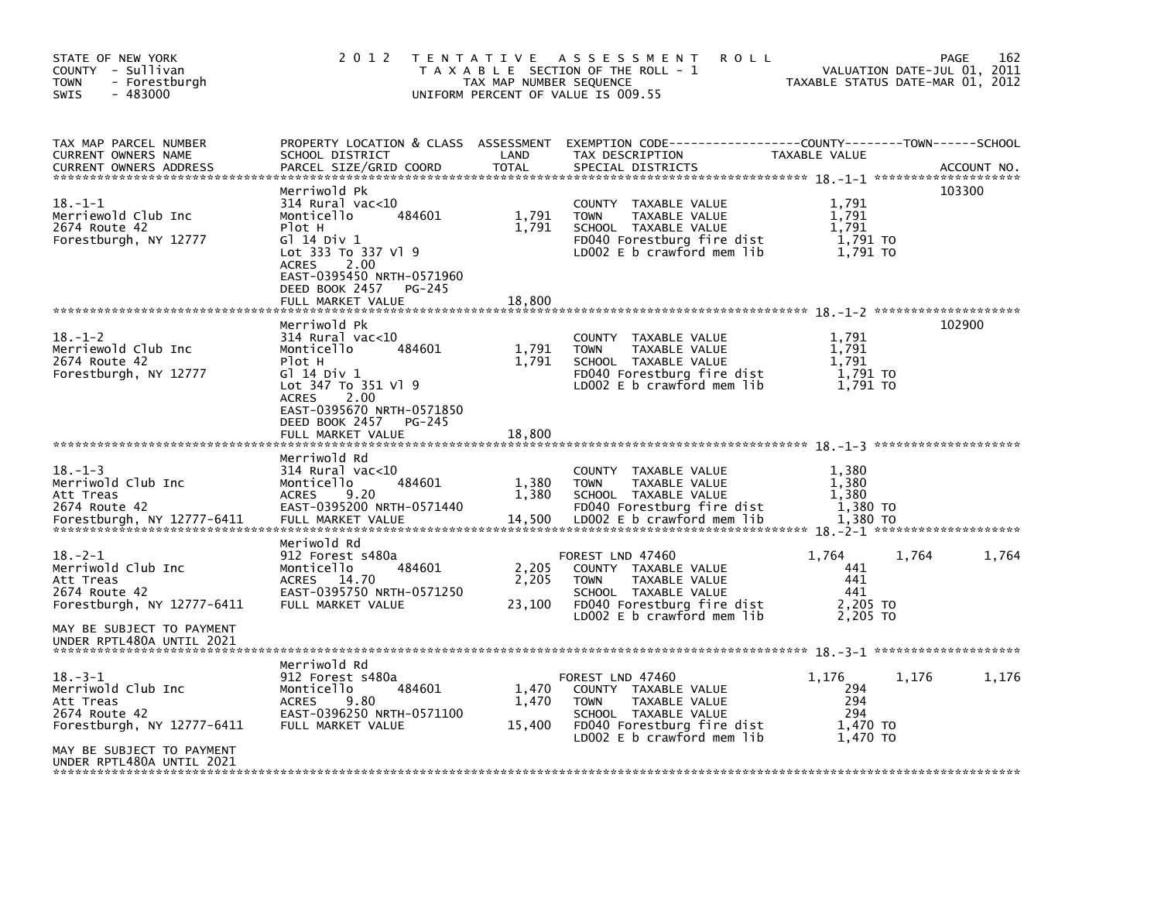| STATE OF NEW YORK<br>COUNTY - Sullivan<br><b>TOWN</b><br>- Forestburgh<br>$-483000$<br><b>SWIS</b> | 2 0 1 2                                                                                                                                                                                                             | T E N T A T I V E<br>TAX MAP NUMBER SEQUENCE | A S S E S S M E N T<br><b>ROLL</b><br>T A X A B L E SECTION OF THE ROLL - 1<br>UNIFORM PERCENT OF VALUE IS 009.55                                              | TAXABLE STATUS DATE-MAR 01, 2012                   | VALUATION DATE-JUL 01, 2011 | 162<br><b>PAGE</b> |
|----------------------------------------------------------------------------------------------------|---------------------------------------------------------------------------------------------------------------------------------------------------------------------------------------------------------------------|----------------------------------------------|----------------------------------------------------------------------------------------------------------------------------------------------------------------|----------------------------------------------------|-----------------------------|--------------------|
| TAX MAP PARCEL NUMBER<br><b>CURRENT OWNERS NAME</b><br><b>CURRENT OWNERS ADDRESS</b>               | PROPERTY LOCATION & CLASS ASSESSMENT<br>SCHOOL DISTRICT<br>PARCEL SIZE/GRID COORD                                                                                                                                   | LAND<br><b>TOTAL</b>                         | EXEMPTION CODE-----------------COUNTY-------TOWN------SCHOOL<br>TAX DESCRIPTION<br>SPECIAL DISTRICTS                                                           | TAXABLE VALUE                                      |                             | ACCOUNT NO.        |
| $18. - 1 - 1$<br>Merriewold Club Inc<br>2674 Route 42<br>Forestburgh, NY 12777                     | Merriwold Pk<br>$314$ Rural vac< $10$<br>484601<br>Monticello<br>Plot H<br>G1 14 Div 1<br>Lot 333 To 337 V1 9<br><b>ACRES</b><br>2.00<br>EAST-0395450 NRTH-0571960<br>DEED BOOK 2457<br>PG-245                      | 1,791<br>1,791                               | <b>COUNTY</b><br>TAXABLE VALUE<br><b>TOWN</b><br>TAXABLE VALUE<br>SCHOOL TAXABLE VALUE<br>FD040 Forestburg fire dist<br>LDOO2 E b crawford mem lib             | 1.791<br>1,791<br>1.791<br>1,791 TO<br>1.791 TO    |                             | 103300             |
|                                                                                                    | FULL MARKET VALUE                                                                                                                                                                                                   | 18,800                                       |                                                                                                                                                                |                                                    |                             |                    |
| $18. - 1 - 2$<br>Merriewold Club Inc<br>2674 Route 42<br>Forestburgh, NY 12777                     | Merriwold Pk<br>$314$ Rural vac<10<br>Monticello<br>484601<br>Plot H<br>$G$ ] 14 Div 1<br>Lot 347 To 351 Vl 9<br>2.00<br><b>ACRES</b><br>EAST-0395670 NRTH-0571850<br>DEED BOOK 2457<br>PG-245<br>FULL MARKET VALUE | 1,791<br>1,791<br>18,800                     | COUNTY<br>TAXABLE VALUE<br><b>TOWN</b><br>TAXABLE VALUE<br>SCHOOL TAXABLE VALUE<br>FD040 Forestburg fire dist<br>$LD002 E b$ crawford mem lib                  | 1,791<br>1,791<br>1,791<br>1,791 TO<br>1.791 TO    |                             | 102900             |
|                                                                                                    |                                                                                                                                                                                                                     |                                              |                                                                                                                                                                |                                                    |                             |                    |
| $18. - 1 - 3$<br>Merriwold Club Inc<br>Att Treas<br>2674 Route 42<br>Forestburgh, NY 12777-6411    | Merriwold Rd<br>$314$ Rural vac<10<br>Monticello<br>484601<br>9.20<br><b>ACRES</b><br>EAST-0395200 NRTH-0571440<br>FULL MARKET VALUE                                                                                | 1,380<br>1,380<br>14,500                     | <b>COUNTY</b><br>TAXABLE VALUE<br><b>TOWN</b><br>TAXABLE VALUE<br>SCHOOL TAXABLE VALUE<br>FD040 Forestburg fire dist<br>$LD002 E b$ crawford mem lib           | 1,380<br>1.380<br>1,380<br>1,380 TO<br>1,380 TO    |                             |                    |
| $18. - 2 - 1$<br>Merriwold Club Inc<br>Att Treas<br>2674 Route 42<br>Forestburgh, NY 12777-6411    | Meriwold Rd<br>912 Forest s480a<br>Monticello<br>484601<br>ACRES<br>14.70<br>EAST-0395750 NRTH-0571250<br>FULL MARKET VALUE                                                                                         | 2,205<br>2,205<br>23,100                     | FOREST LND 47460<br>COUNTY TAXABLE VALUE<br><b>TOWN</b><br>TAXABLE VALUE<br>SCHOOL TAXABLE VALUE<br>FD040 Forestburg fire dist<br>$LD002 E b$ crawford mem lib | 1,764<br>441<br>441<br>441<br>2,205 TO<br>2.205 TO | 1,764                       | 1,764              |
| MAY BE SUBJECT TO PAYMENT<br>UNDER RPTL480A UNTIL 2021                                             |                                                                                                                                                                                                                     |                                              |                                                                                                                                                                |                                                    |                             |                    |
| $18. - 3 - 1$<br>Merriwold Club Inc<br>Att Treas<br>2674 Route 42<br>Forestburgh, NY 12777-6411    | Merriwold Rd<br>912 Forest s480a<br>Monticello<br>484601<br><b>ACRES</b><br>9.80<br>EAST-0396250 NRTH-0571100<br>FULL MARKET VALUE                                                                                  | 1,470<br>1,470<br>15,400                     | FOREST LND 47460<br>COUNTY TAXABLE VALUE<br><b>TOWN</b><br>TAXABLE VALUE<br>SCHOOL TAXABLE VALUE<br>FD040 Forestburg fire dist                                 | 1,176<br>294<br>294<br>294<br>1,470 TO             | 1,176                       | 1,176              |
| MAY BE SUBJECT TO PAYMENT<br>UNDER RPTL480A UNTIL 2021                                             |                                                                                                                                                                                                                     |                                              | LD002 E b crawford mem lib                                                                                                                                     | 1,470 TO                                           |                             |                    |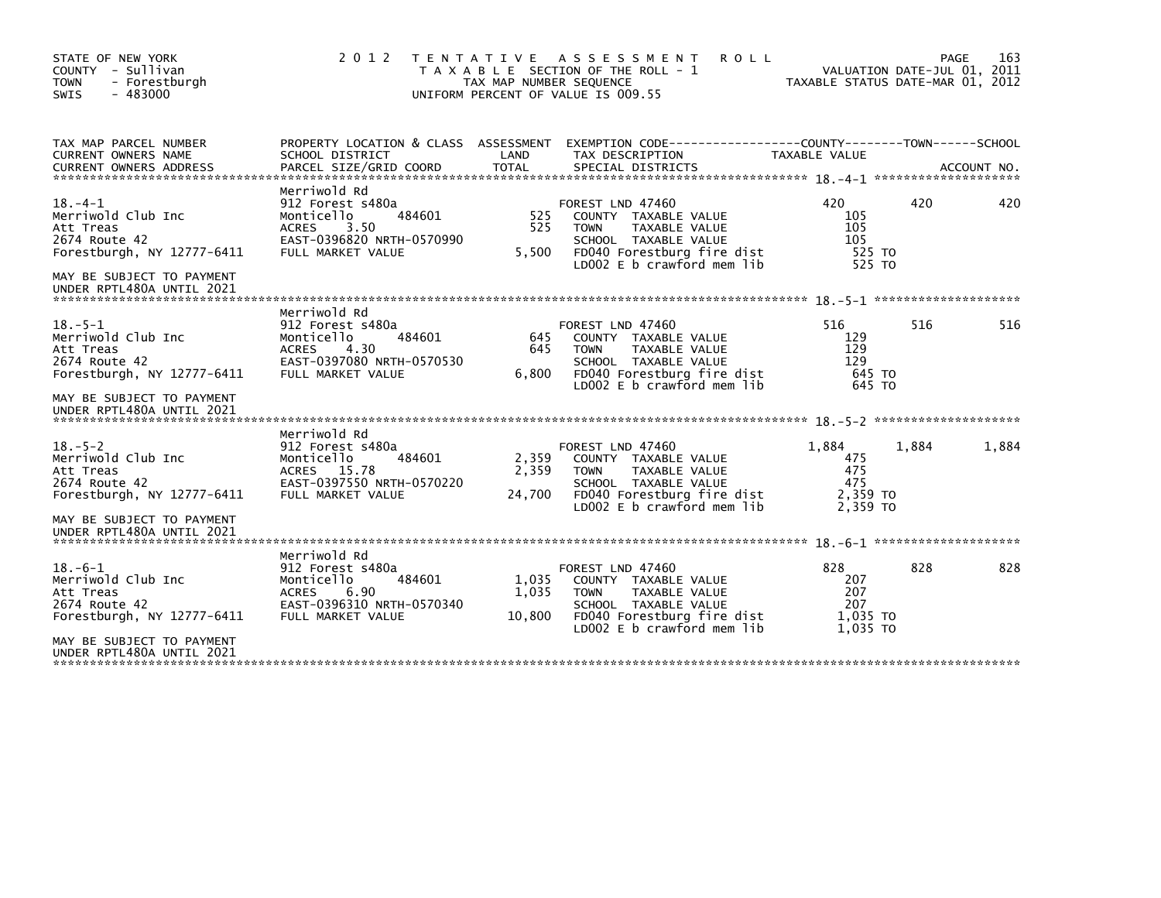| STATE OF NEW YORK<br>COUNTY - Sullivan<br><b>TOWN</b><br>- Forestburgh<br>SWIS<br>$-483000$                                                              | 2012                                                                                                                               | T E N T A T I V E<br>TAX MAP NUMBER SEQUENCE | ASSESSMENT<br><b>ROLL</b><br>T A X A B L E SECTION OF THE ROLL - 1<br>UNIFORM PERCENT OF VALUE IS 009.55                                                            | TAXABLE STATUS DATE-MAR 01, 2012                   |       | 163<br><b>PAGE</b><br>VALUATION DATE-JUL 01, 2011 |
|----------------------------------------------------------------------------------------------------------------------------------------------------------|------------------------------------------------------------------------------------------------------------------------------------|----------------------------------------------|---------------------------------------------------------------------------------------------------------------------------------------------------------------------|----------------------------------------------------|-------|---------------------------------------------------|
| TAX MAP PARCEL NUMBER<br><b>CURRENT OWNERS NAME</b><br><b>CURRENT OWNERS ADDRESS</b>                                                                     | PROPERTY LOCATION & CLASS ASSESSMENT<br>SCHOOL DISTRICT<br>PARCEL SIZE/GRID COORD                                                  | LAND<br><b>TOTAL</b>                         | EXEMPTION CODE-----------------COUNTY-------TOWN------SCHOOL<br>TAX DESCRIPTION<br>SPECIAL DISTRICTS                                                                | TAXABLE VALUE                                      |       | ACCOUNT NO.                                       |
| $18. -4 - 1$<br>Merriwold Club Inc<br>Att Treas<br>2674 Route 42<br>Forestburgh, NY 12777-6411<br>MAY BE SUBJECT TO PAYMENT<br>UNDER RPTL480A UNTIL 2021 | Merriwold Rd<br>912 Forest s480a<br>484601<br>Monticello<br>3.50<br><b>ACRES</b><br>EAST-0396820 NRTH-0570990<br>FULL MARKET VALUE | 525<br>525<br>5,500                          | FOREST LND 47460<br>COUNTY TAXABLE VALUE<br><b>TAXABLE VALUE</b><br><b>TOWN</b><br>SCHOOL TAXABLE VALUE<br>FD040 Forestburg fire dist<br>LD002 E b crawford mem lib | 420<br>105<br>105<br>105<br>525 TO<br>525 TO       | 420   | 420                                               |
| $18. - 5 - 1$<br>Merriwold Club Inc<br>Att Treas<br>2674 Route 42<br>Forestburgh, NY 12777-6411<br>MAY BE SUBJECT TO PAYMENT                             | Merriwold Rd<br>912 Forest s480a<br>484601<br>Monticello<br>4.30<br><b>ACRES</b><br>EAST-0397080 NRTH-0570530<br>FULL MARKET VALUE | 645<br>645<br>6,800                          | FOREST LND 47460<br>COUNTY TAXABLE VALUE<br>TAXABLE VALUE<br><b>TOWN</b><br>SCHOOL TAXABLE VALUE<br>FD040 Forestburg fire dist<br>LD002 E b crawford mem lib        | 516<br>129<br>129<br>129<br>645 TO<br>645 TO       | 516   | 516                                               |
| UNDER RPTL480A UNTIL 2021                                                                                                                                | Merriwold Rd                                                                                                                       |                                              |                                                                                                                                                                     |                                                    |       |                                                   |
| $18. - 5 - 2$<br>Merriwold Club Inc<br>Att Treas<br>2674 Route 42<br>Forestburgh, NY 12777-6411                                                          | 912 Forest s480a<br>Monticello<br>484601<br>ACRES 15.78<br>EAST-0397550 NRTH-0570220<br>FULL MARKET VALUE                          | 2,359<br>2,359<br>24,700                     | FOREST LND 47460<br>COUNTY TAXABLE VALUE<br><b>TOWN</b><br>TAXABLE VALUE<br>SCHOOL TAXABLE VALUE<br>FD040 Forestburg fire dist<br>LD002 E b crawford mem lib        | 1,884<br>475<br>475<br>475<br>2,359 TO<br>2.359 TO | 1,884 | 1,884                                             |
| MAY BE SUBJECT TO PAYMENT<br>UNDER RPTL480A UNTIL 2021                                                                                                   |                                                                                                                                    |                                              |                                                                                                                                                                     |                                                    |       |                                                   |
| $18. -6 - 1$<br>Merriwold Club Inc<br>Att Treas<br>2674 Route 42<br>Forestburgh, NY 12777-6411                                                           | Merriwold Rd<br>912 Forest s480a<br>484601<br>Monticello<br><b>ACRES</b><br>6.90<br>EAST-0396310 NRTH-0570340<br>FULL MARKET VALUE | 1,035<br>1,035<br>10,800                     | FOREST LND 47460<br>COUNTY TAXABLE VALUE<br>TAXABLE VALUE<br><b>TOWN</b><br>SCHOOL TAXABLE VALUE<br>FD040 Forestburg fire dist<br>LD002 E b crawford mem lib        | 828<br>207<br>207<br>207<br>1,035 TO<br>1,035 TO   | 828   | 828                                               |
| MAY BE SUBJECT TO PAYMENT<br>UNDER RPTL480A UNTIL 2021                                                                                                   |                                                                                                                                    |                                              |                                                                                                                                                                     |                                                    |       |                                                   |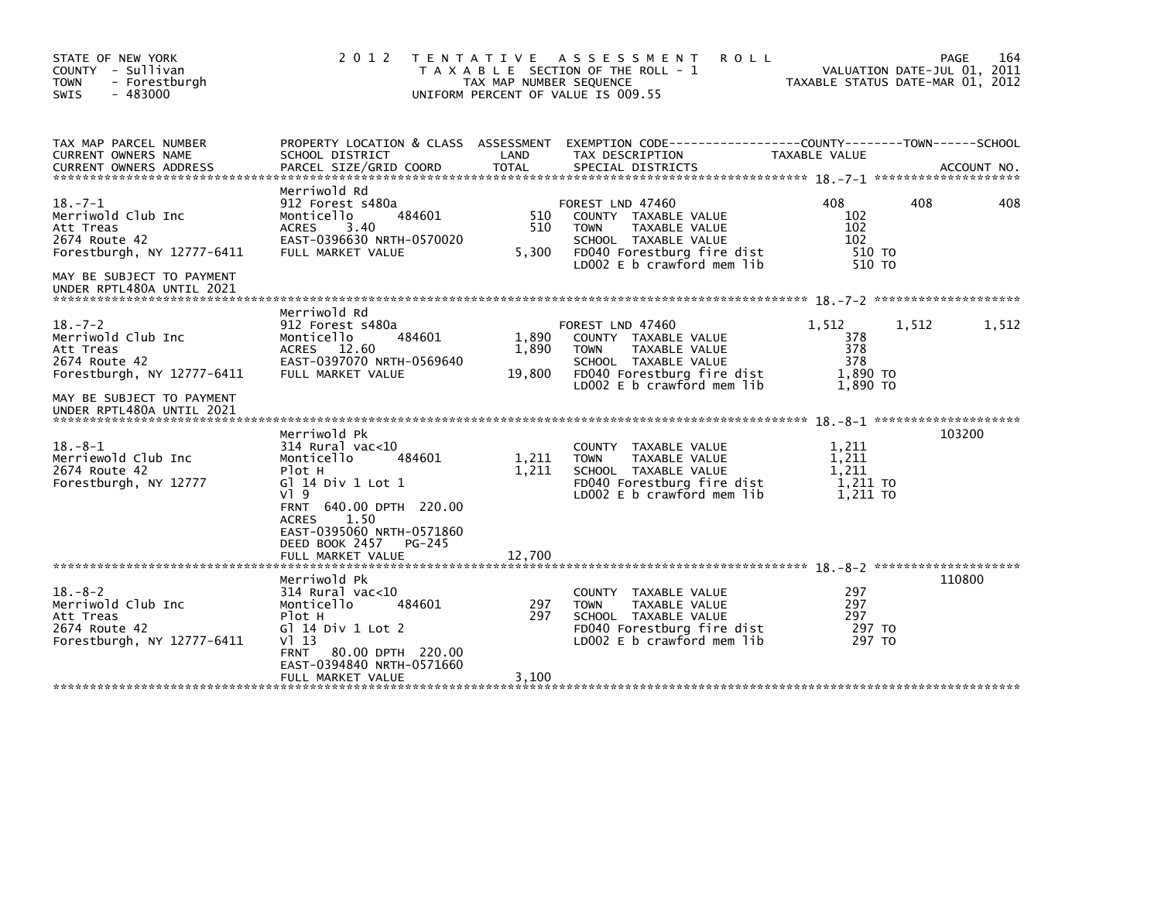| 2 0 1 2                                                                                                                                                                                                                                  |                          |                                                                                                                                          |                                                                                                                                                                        | 164<br>PAGE<br>VALUATION DATE-JUL 01, 2011<br>TAXABLE STATUS DATE-MAR 01, 2012                                                                                                                                                                                                                    |
|------------------------------------------------------------------------------------------------------------------------------------------------------------------------------------------------------------------------------------------|--------------------------|------------------------------------------------------------------------------------------------------------------------------------------|------------------------------------------------------------------------------------------------------------------------------------------------------------------------|---------------------------------------------------------------------------------------------------------------------------------------------------------------------------------------------------------------------------------------------------------------------------------------------------|
| SCHOOL DISTRICT<br>PARCEL SIZE/GRID COORD                                                                                                                                                                                                | LAND<br><b>TOTAL</b>     | TAX DESCRIPTION<br>SPECIAL DISTRICTS                                                                                                     | TAXABLE VALUE                                                                                                                                                          | ACCOUNT NO.                                                                                                                                                                                                                                                                                       |
| Merriwold Rd<br>912 Forest s480a<br>484601<br>Monticello<br>3.40<br><b>ACRES</b><br>EAST-0396630 NRTH-0570020<br>FULL MARKET VALUE                                                                                                       | 510<br>510<br>5,300      | COUNTY TAXABLE VALUE<br><b>TOWN</b><br>TAXABLE VALUE<br>SCHOOL TAXABLE VALUE<br>FD040 Forestburg fire dist<br>LD002 E b crawford mem lib | 408<br>102<br>102<br>102                                                                                                                                               | 408<br>408                                                                                                                                                                                                                                                                                        |
|                                                                                                                                                                                                                                          |                          |                                                                                                                                          |                                                                                                                                                                        |                                                                                                                                                                                                                                                                                                   |
| Merriwold Rd<br>912 Forest s480a<br>484601<br>Monticello<br>ACRES 12.60<br>EAST-0397070 NRTH-0569640<br>FULL MARKET VALUE                                                                                                                | 1,890<br>1,890<br>19,800 | COUNTY TAXABLE VALUE<br><b>TOWN</b><br>TAXABLE VALUE<br>SCHOOL TAXABLE VALUE<br>LD002 $E$ b crawford mem lib                             | 1,512<br>378<br>378<br>378                                                                                                                                             | 1,512<br>1,512                                                                                                                                                                                                                                                                                    |
| Merriwold Pk<br>$314$ Rural vac< $10$<br>Monticello<br>484601<br>Plot H<br>G] 14 Div 1 Lot 1<br>$V$ ] 9<br>FRNT 640.00 DPTH 220.00<br>1.50<br><b>ACRES</b><br>EAST-0395060 NRTH-0571860<br>DEED BOOK 2457<br>PG-245<br>FULL MARKET VALUE | 1,211<br>1,211<br>12,700 | <b>COUNTY</b><br>TAXABLE VALUE<br><b>TOWN</b><br>TAXABLE VALUE<br>SCHOOL TAXABLE VALUE<br>LD002 E b crawford mem lib                     | 1,211<br>1,211<br>1,211                                                                                                                                                | 103200                                                                                                                                                                                                                                                                                            |
| Merriwold Pk<br>314 Rural vac<10<br>Monticello<br>484601<br>Plot H<br>G] 14 Div 1 Lot 2<br>V113<br><b>FRNT</b><br>80.00 DPTH 220.00<br>EAST-0394840 NRTH-0571660<br>FULL MARKET VALUE                                                    | 297<br>297<br>3,100      | <b>COUNTY</b><br>TAXABLE VALUE<br><b>TOWN</b><br>TAXABLE VALUE<br>SCHOOL TAXABLE VALUE<br>LD002 E b crawford mem lib                     | 297<br>297<br>297                                                                                                                                                      | 110800                                                                                                                                                                                                                                                                                            |
|                                                                                                                                                                                                                                          |                          |                                                                                                                                          | TENTATIVE ASSESSMENT<br>T A X A B L E SECTION OF THE ROLL - 1<br>TAX MAP NUMBER SEQUENCE<br>UNIFORM PERCENT OF VALUE IS 009.55<br>FOREST LND 47460<br>FOREST LND 47460 | <b>ROLL</b><br>PROPERTY LOCATION & CLASS ASSESSMENT EXEMPTION CODE----------------COUNTY-------TOWN------SCHOOL<br>510 TO<br>510 TO<br>1,890 TO<br>FD040 Forestburg fire dist<br>1.890 TO<br>1,211 TO<br>FD040 Forestburg fire dist<br>1.211 TO<br>FD040 Forestburg fire dist<br>297 TO<br>297 TO |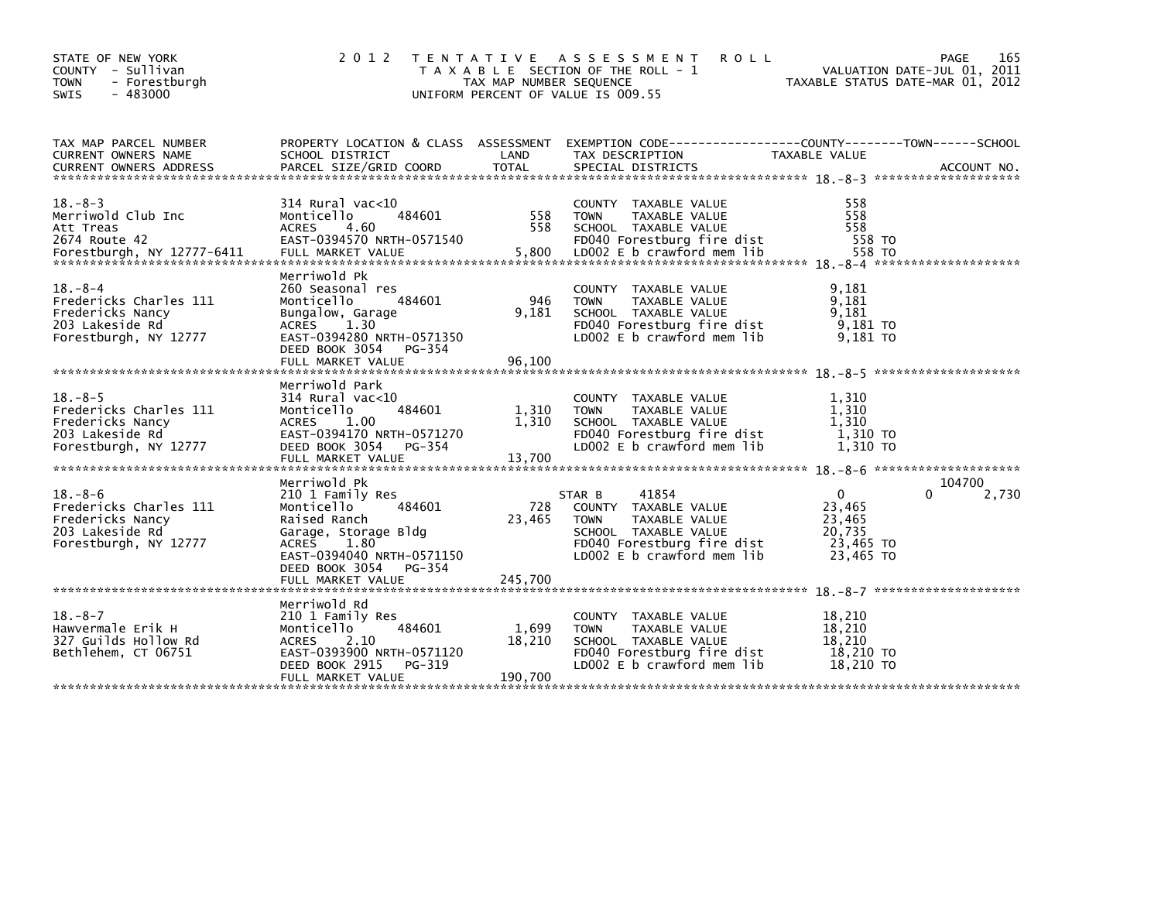| STATE OF NEW YORK<br>COUNTY - Sullivan<br>- Forestburgh<br><b>TOWN</b><br>$-483000$<br><b>SWIS</b>      | 2 0 1 2                                                                                                                                                                     | TAX MAP NUMBER SEQUENCE    | TENTATIVE ASSESSMENT<br><b>ROLL</b><br>T A X A B L E SECTION OF THE ROLL - 1<br>UNIFORM PERCENT OF VALUE IS 009.55                                            | TAXABLE STATUS DATE-MAR 01, 2012                                     | 165<br>PAGE<br>VALUATION DATE-JUL 01, 2011 |
|---------------------------------------------------------------------------------------------------------|-----------------------------------------------------------------------------------------------------------------------------------------------------------------------------|----------------------------|---------------------------------------------------------------------------------------------------------------------------------------------------------------|----------------------------------------------------------------------|--------------------------------------------|
| TAX MAP PARCEL NUMBER<br><b>CURRENT OWNERS NAME</b><br><b>CURRENT OWNERS ADDRESS</b>                    | SCHOOL DISTRICT<br>PARCEL SIZE/GRID COORD                                                                                                                                   | LAND<br><b>TOTAL</b>       | PROPERTY LOCATION & CLASS ASSESSMENT EXEMPTION CODE----------------COUNTY-------TOWN------SCHOOL<br>TAX DESCRIPTION<br>SPECIAL DISTRICTS                      | TAXABLE VALUE                                                        | ACCOUNT NO.                                |
| $18. - 8 - 3$<br>Merriwold Club Inc<br>Att Treas<br>2674 Route 42<br>Forestburgh, NY 12777-6411         | 314 Rural vac<10<br>484601<br>Monticello<br><b>ACRES</b><br>4.60<br>EAST-0394570 NRTH-0571540<br>FULL MARKET VALUE                                                          | 558<br>558<br>5,800        | COUNTY TAXABLE VALUE<br><b>TOWN</b><br>TAXABLE VALUE<br>SCHOOL TAXABLE VALUE<br>FD040 Forestburg fire dist<br>LD002 E b crawford mem lib                      | 558<br>558<br>558<br>558 TO<br>558 TO                                |                                            |
| $18. - 8 - 4$<br>Fredericks Charles 111<br>Fredericks Nancy<br>203 Lakeside Rd<br>Forestburgh, NY 12777 | Merriwold Pk<br>260 Seasonal res<br>Monticello<br>484601<br>Bungalow, Garage<br>1.30<br>ACRES<br>EAST-0394280 NRTH-0571350<br>DEED BOOK 3054<br>PG-354<br>FULL MARKET VALUE | 946<br>9,181<br>96,100     | COUNTY TAXABLE VALUE<br>TAXABLE VALUE<br><b>TOWN</b><br>SCHOOL TAXABLE VALUE<br>FD040 Forestburg fire dist<br>LD002 E b crawford mem lib                      | 9,181<br>9,181<br>9,181<br>9,181 TO<br>9,181 TO                      |                                            |
| $18. - 8 - 5$<br>Fredericks Charles 111<br>Fredericks Nancy<br>203 Lakeside Rd<br>Forestburgh, NY 12777 | Merriwold Park<br>314 Rural vac<10<br>484601<br>Monticello<br><b>ACRES</b><br>1.00<br>EAST-0394170 NRTH-0571270<br>DEED BOOK 3054<br>PG-354<br>FULL MARKET VALUE            | 1,310<br>1,310<br>13,700   | COUNTY TAXABLE VALUE<br><b>TOWN</b><br>TAXABLE VALUE<br>SCHOOL TAXABLE VALUE<br>FD040 Forestburg fire dist<br>LD002 E b crawford mem lib                      | 1,310<br>1,310<br>1,310<br>1,310 TO<br>1,310 TO                      |                                            |
| $18. - 8 - 6$<br>Fredericks Charles 111<br>Fredericks Nancy<br>203 Lakeside Rd<br>Forestburgh, NY 12777 | Merriwold Pk<br>210 1 Family Res<br>Monticello<br>484601<br>Raised Ranch<br>Garage, Storage Bldg<br>ACRES 1.80<br>EAST-0394040 NRTH-0571150<br>DEED BOOK 3054<br>PG-354     | 728<br>23,465              | STAR B<br>41854<br>COUNTY TAXABLE VALUE<br><b>TOWN</b><br>TAXABLE VALUE<br>SCHOOL TAXABLE VALUE<br>FD040 Forestburg fire dist<br>LD002 $E$ b crawford mem lib | $\mathbf{0}$<br>23,465<br>23,465<br>20.735<br>23,465 TO<br>23,465 TO | 104700<br>0<br>2,730                       |
|                                                                                                         | FULL MARKET VALUE                                                                                                                                                           | 245,700                    |                                                                                                                                                               |                                                                      |                                            |
| $18. - 8 - 7$<br>Hawvermale Erik H<br>327 Guilds Hollow Rd<br>Bethlehem, CT 06751                       | Merriwold Rd<br>210 1 Family Res<br>484601<br>Monticello<br><b>ACRES</b><br>2.10<br>EAST-0393900 NRTH-0571120<br>DEED BOOK 2915<br>PG-319<br>FULL MARKET VALUE              | 1,699<br>18,210<br>190,700 | COUNTY TAXABLE VALUE<br><b>TOWN</b><br>TAXABLE VALUE<br>SCHOOL TAXABLE VALUE<br>FD040 Forestburg fire dist<br>LD002 E b crawford mem lib                      | 18,210<br>18,210<br>18,210<br>18,210 TO<br>18,210 TO                 |                                            |
|                                                                                                         |                                                                                                                                                                             |                            |                                                                                                                                                               |                                                                      |                                            |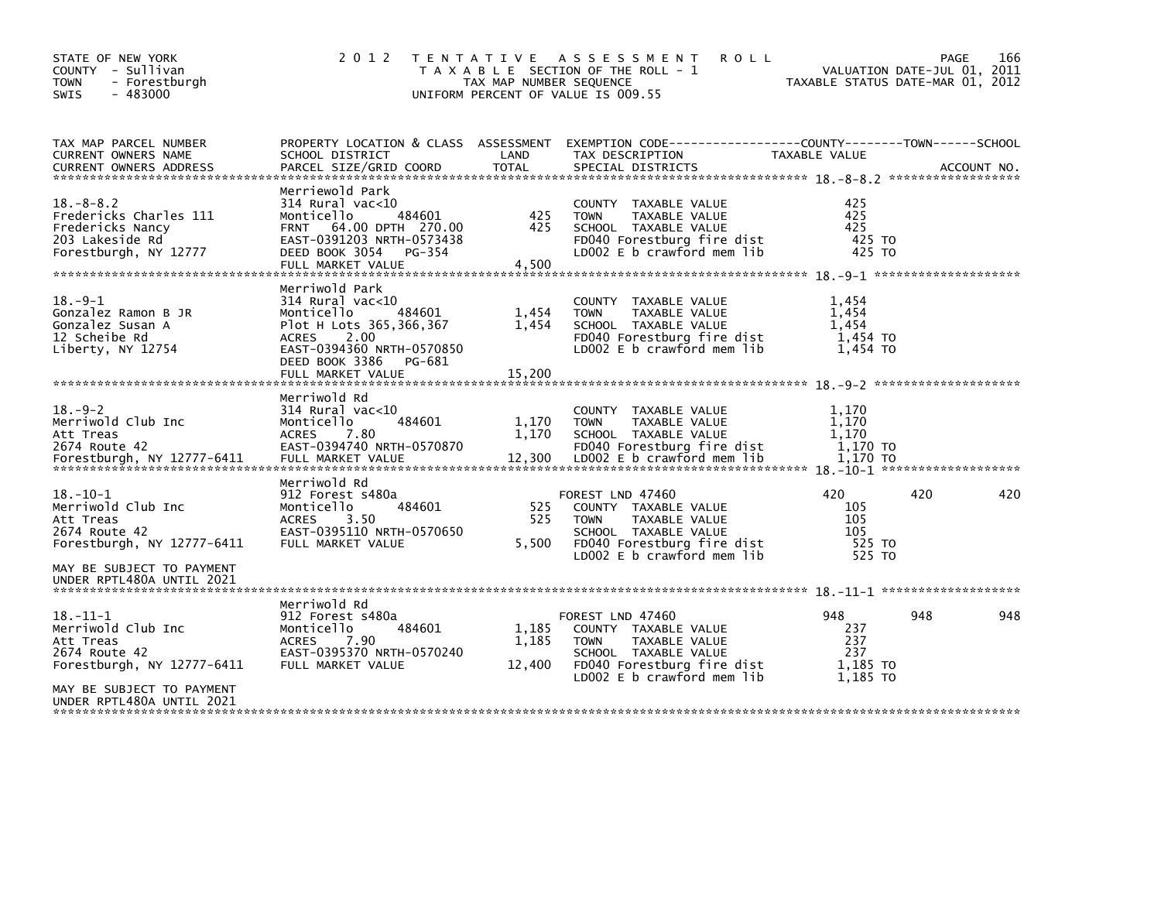| STATE OF NEW YORK<br>COUNTY - Sullivan<br><b>TOWN</b><br>- Forestburgh<br>$-483000$<br>SWIS               | 2 0 1 2                                                                                                                                                                                       | TAX MAP NUMBER SEQUENCE  | TENTATIVE ASSESSMENT<br><b>ROLL</b><br>T A X A B L E SECTION OF THE ROLL - 1<br>UNIFORM PERCENT OF VALUE IS 009.55                                           | VALUATION DATE-JUL 01, 2011<br>TAXABLE STATUS DATE-MAR 01, 2012 | PAGE | 166 |
|-----------------------------------------------------------------------------------------------------------|-----------------------------------------------------------------------------------------------------------------------------------------------------------------------------------------------|--------------------------|--------------------------------------------------------------------------------------------------------------------------------------------------------------|-----------------------------------------------------------------|------|-----|
| TAX MAP PARCEL NUMBER<br><b>CURRENT OWNERS NAME</b>                                                       | PROPERTY LOCATION & CLASS ASSESSMENT<br>SCHOOL DISTRICT                                                                                                                                       | LAND                     | TAX DESCRIPTION                                                                                                                                              | TAXABLE VALUE                                                   |      |     |
| $18. - 8 - 8.2$<br>Fredericks Charles 111<br>Fredericks Nancy<br>203 Lakeside Rd<br>Forestburgh, NY 12777 | Merriewold Park<br>314 Rural vac<10<br>484601<br>Monticello<br>FRNT 64.00 DPTH 270.00<br>EAST-0391203 NRTH-0573438<br>DEED BOOK 3054<br>PG-354<br>FULL MARKET VALUE                           | 425<br>425<br>4,500      | COUNTY TAXABLE VALUE<br>TAXABLE VALUE<br>TOWN<br>SCHOOL TAXABLE VALUE<br>FD040 Forestburg fire dist<br>LD002 E b crawford mem lib                            | 425<br>425<br>425<br>425 TO<br>425 TO                           |      |     |
| $18. -9 - 1$<br>Gonzalez Ramon B JR<br>Gonzalez Susan A<br>12 Scheibe Rd<br>Liberty, NY 12754             | Merriwold Park<br>$314$ Rural vac<10<br>484601<br>Monticello<br>Plot H Lots 365,366,367<br>2.00<br><b>ACRES</b><br>EAST-0394360 NRTH-0570850<br>DEED BOOK 3386<br>PG-681<br>FULL MARKET VALUE | 1,454<br>1,454<br>15,200 | <b>COUNTY</b><br>TAXABLE VALUE<br>TAXABLE VALUE<br><b>TOWN</b><br>SCHOOL TAXABLE VALUE<br>FD040 Forestburg fire dist<br>LD002 E b crawford mem lib           | 1,454<br>1,454<br>1,454<br>1,454 TO<br>1,454 TO                 |      |     |
| $18. - 9 - 2$<br>Merriwold Club Inc<br>Att Treas<br>2674 Route 42<br>Forestburgh, NY 12777-6411           | Merriwold Rd<br>$314$ Rural vac< $10$<br>Monticello<br>484601<br><b>ACRES</b><br>7.80<br>EAST-0394740 NRTH-0570870<br>FULL MARKET VALUE                                                       | 1,170<br>1,170<br>12,300 | COUNTY TAXABLE VALUE<br>TAXABLE VALUE<br><b>TOWN</b><br>SCHOOL TAXABLE VALUE<br>FD040 Forestburg fire dist<br>LD002 E b crawford mem lib                     | 1,170<br>1,170<br>1.170<br>1,170 TO<br>1.170 TO                 |      |     |
| $18. - 10 - 1$<br>Merriwold Club Inc<br>Att Treas<br>2674 Route 42<br>Forestburgh, NY 12777-6411          | Merriwold Rd<br>912 Forest s480a<br>484601<br>Monticello<br><b>ACRES</b><br>3.50<br>EAST-0395110 NRTH-0570650<br>FULL MARKET VALUE                                                            | 525<br>525<br>5,500      | FOREST LND 47460<br>COUNTY TAXABLE VALUE<br><b>TOWN</b><br>TAXABLE VALUE<br>SCHOOL TAXABLE VALUE<br>FD040 Forestburg fire dist<br>LD002 E b crawford mem lib | 420<br>105<br>105<br>105<br>525 TO<br>525 TO                    | 420  | 420 |
| MAY BE SUBJECT TO PAYMENT<br>UNDER RPTL480A UNTIL 2021                                                    |                                                                                                                                                                                               |                          |                                                                                                                                                              |                                                                 |      |     |
| $18. - 11 - 1$<br>Merriwold Club Inc<br>Att Treas<br>2674 Route 42<br>Forestburgh, NY 12777-6411          | Merriwold Rd<br>912 Forest s480a<br>484601<br>Monticello<br>7.90<br><b>ACRES</b><br>EAST-0395370 NRTH-0570240<br>FULL MARKET VALUE                                                            | 1,185<br>1,185<br>12,400 | FOREST LND 47460<br>COUNTY TAXABLE VALUE<br><b>TOWN</b><br>TAXABLE VALUE<br>SCHOOL TAXABLE VALUE<br>FD040 Forestburg fire dist<br>LD002 E b crawford mem lib | 948<br>237<br>237<br>237<br>1.185 TO<br>1.185 TO                | 948  | 948 |
| MAY BE SUBJECT TO PAYMENT<br>UNDER RPTL480A UNTIL 2021                                                    |                                                                                                                                                                                               |                          |                                                                                                                                                              |                                                                 |      |     |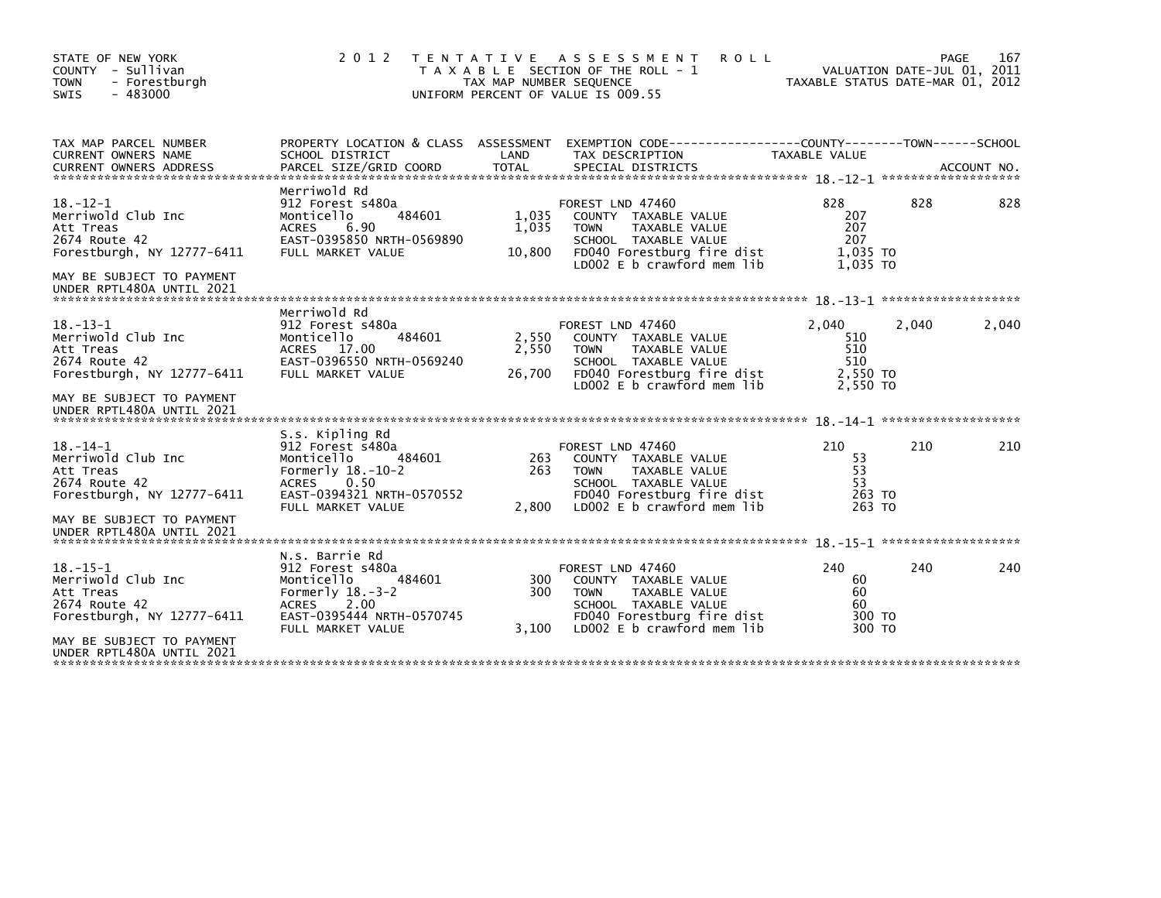| STATE OF NEW YORK<br>COUNTY - Sullivan<br>- Forestburgh<br><b>TOWN</b><br>SWIS<br>$-483000$                                                                | 2 0 1 2                                                                                                                                                      | T E N T A T I V E<br>TAX MAP NUMBER SEQUENCE | A S S E S S M E N T<br><b>ROLL</b><br>T A X A B L E SECTION OF THE ROLL - 1<br>UNIFORM PERCENT OF VALUE IS 009.55                                            | TAXABLE STATUS DATE-MAR 01, 2012                   | VALUATION DATE-JUL 01, 2011 | 167<br>PAGE |
|------------------------------------------------------------------------------------------------------------------------------------------------------------|--------------------------------------------------------------------------------------------------------------------------------------------------------------|----------------------------------------------|--------------------------------------------------------------------------------------------------------------------------------------------------------------|----------------------------------------------------|-----------------------------|-------------|
| TAX MAP PARCEL NUMBER<br>CURRENT OWNERS NAME                                                                                                               | PROPERTY LOCATION & CLASS ASSESSMENT<br>SCHOOL DISTRICT                                                                                                      | LAND                                         | EXEMPTION        CODE-----------------COUNTY-------TOWN------SCHOOL<br>TAX DESCRIPTION                                                                       | TAXABLE VALUE                                      |                             |             |
| $18. - 12 - 1$<br>Merriwold Club Inc<br>Att Treas<br>2674 Route 42<br>Forestburgh, NY 12777-6411<br>MAY BE SUBJECT TO PAYMENT<br>UNDER RPTL480A UNTIL 2021 | Merriwold Rd<br>912 Forest s480a<br>484601<br>Monticello<br><b>ACRES</b><br>6.90<br>EAST-0395850 NRTH-0569890<br>FULL MARKET VALUE                           | 1,035<br>1,035<br>10,800                     | FOREST LND 47460<br>COUNTY TAXABLE VALUE<br>TAXABLE VALUE<br><b>TOWN</b><br>SCHOOL TAXABLE VALUE<br>FD040 Forestburg fire dist<br>LD002 E b crawford mem lib | 828<br>207<br>207<br>207<br>1.035 TO<br>1.035 TO   | 828                         | 828         |
| $18. - 13 - 1$<br>Merriwold Club Inc<br>Att Treas<br>2674 Route 42<br>Forestburgh, NY 12777-6411                                                           | Merriwold Rd<br>912 Forest s480a<br>Monticello<br>484601<br>ACRES 17.00<br>EAST-0396550 NRTH-0569240<br>FULL MARKET VALUE                                    | 2,550<br>2,550<br>26,700                     | FOREST LND 47460<br>COUNTY TAXABLE VALUE<br><b>TOWN</b><br>TAXABLE VALUE<br>SCHOOL TAXABLE VALUE<br>FD040 Forestburg fire dist<br>LD002 E b crawford mem lib | 2,040<br>510<br>510<br>510<br>2.550 TO<br>2,550 TO | 2,040                       | 2,040       |
| MAY BE SUBJECT TO PAYMENT<br>UNDER RPTL480A UNTIL 2021                                                                                                     |                                                                                                                                                              |                                              |                                                                                                                                                              |                                                    |                             |             |
| $18. - 14 - 1$<br>Merriwold Club Inc<br>Att Treas<br>2674 Route 42<br>Forestburgh, NY 12777-6411                                                           | S.s. Kipling Rd<br>912 Forest s480a<br>Monticello<br>484601<br>Formerly $18.-10-2$<br>0.50<br><b>ACRES</b><br>EAST-0394321 NRTH-0570552<br>FULL MARKET VALUE | 263<br>263<br>2,800                          | FOREST LND 47460<br>COUNTY TAXABLE VALUE<br><b>TOWN</b><br>TAXABLE VALUE<br>SCHOOL TAXABLE VALUE<br>FD040 Forestburg fire dist<br>LD002 E b crawford mem lib | 210<br>53<br>53<br>53<br>263 TO<br>263 TO          | 210                         | 210         |
| MAY BE SUBJECT TO PAYMENT<br>UNDER RPTL480A UNTIL 2021                                                                                                     |                                                                                                                                                              |                                              |                                                                                                                                                              |                                                    |                             |             |
| $18. -15 - 1$<br>Merriwold Club Inc<br>Att Treas<br>2674 Route 42<br>Forestburgh, NY 12777-6411                                                            | N.s. Barrie Rd<br>912 Forest s480a<br>Monticello<br>484601<br>Formerly $18.-3-2$<br>2.00<br><b>ACRES</b><br>EAST-0395444 NRTH-0570745<br>FULL MARKET VALUE   | 300<br>300<br>3,100                          | FOREST LND 47460<br>COUNTY TAXABLE VALUE<br><b>TOWN</b><br>TAXABLE VALUE<br>SCHOOL TAXABLE VALUE<br>FD040 Forestburg fire dist<br>LD002 E b crawford mem lib | 240<br>60<br>60<br>60<br>300 TO<br>300 TO          | 240                         | 240         |
| MAY BE SUBJECT TO PAYMENT<br>UNDER RPTL480A UNTIL 2021                                                                                                     |                                                                                                                                                              |                                              |                                                                                                                                                              |                                                    |                             |             |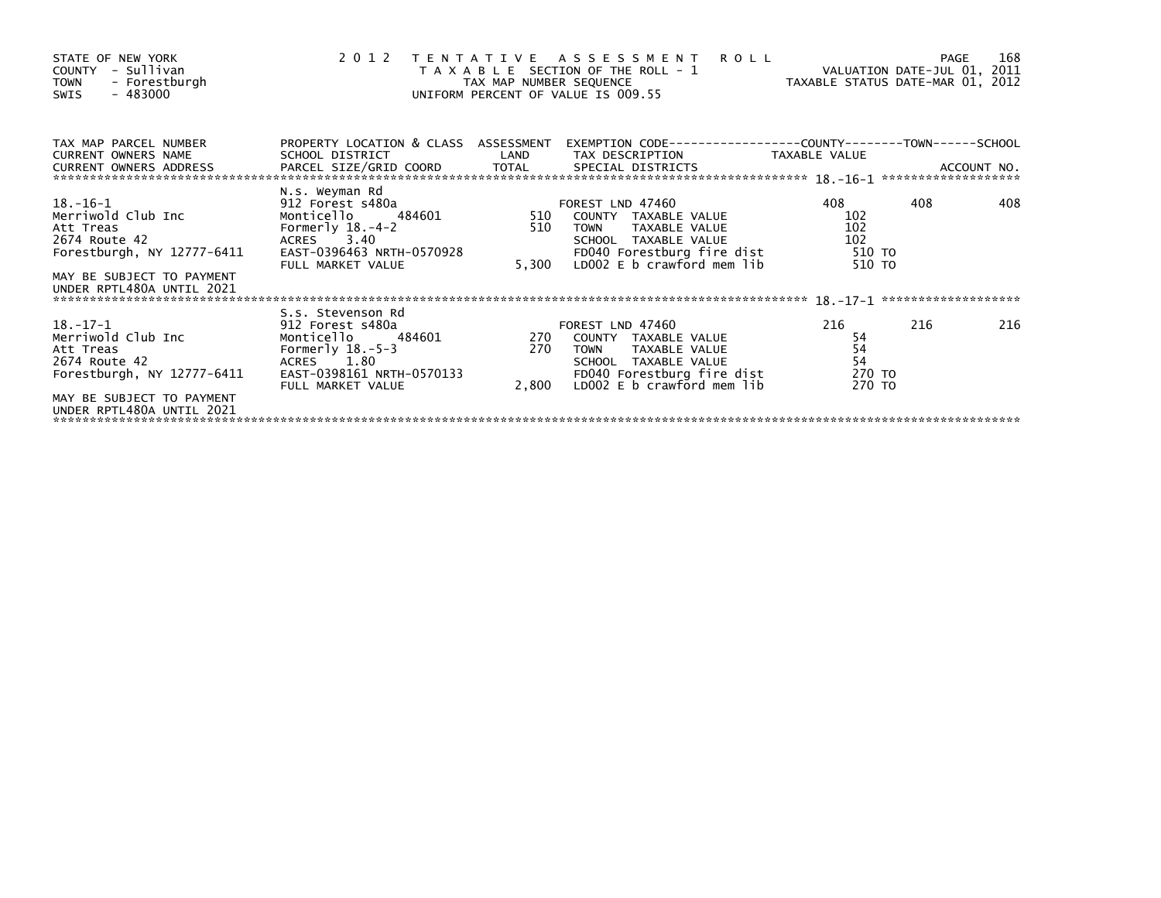| STATE OF NEW YORK<br>COUNTY - Sullivan<br>- Forestburgh<br><b>TOWN</b><br>- 483000<br>SWIS                                                                 | 2 0 1 2                                                                                                                                             | TAX MAP NUMBER SEQUENCE | TENTATIVE ASSESSMENT<br><b>ROLL</b><br>T A X A B L E SECTION OF THE ROLL - 1<br>UNIFORM PERCENT OF VALUE IS 009.55                                           | VALUATION DATE-JUL 01, 2011<br>VALUALING DATE-MAR 01, 2012 | <b>PAGE</b> | 168 |
|------------------------------------------------------------------------------------------------------------------------------------------------------------|-----------------------------------------------------------------------------------------------------------------------------------------------------|-------------------------|--------------------------------------------------------------------------------------------------------------------------------------------------------------|------------------------------------------------------------|-------------|-----|
| TAX MAP PARCEL NUMBER<br><b>CURRENT OWNERS NAME</b>                                                                                                        | PROPERTY LOCATION & CLASS ASSESSMENT<br>SCHOOL DISTRICT                                                                                             | LAND                    | EXEMPTION CODE-----------------COUNTY-------TOWN------SCHOOL<br>TAX DESCRIPTION                                                                              | TAXABLE VALUE                                              |             |     |
| 18.–16–1<br>Merriwold Club Inc<br>Att Treas<br>2674 Route 42<br>Forestburgh, NY 12777-6411                                                                 | N.s. Weyman Rd<br>912 Forest s480a<br>Monticello<br>484601<br>Formerly $18.-4-2$<br>ACRES 3.40<br>EAST-0396463 NRTH-0570928<br>FULL MARKET VALUE    | 510<br>510<br>5,300     | FOREST LND 47460<br>COUNTY TAXABLE VALUE<br>TAXABLE VALUE<br><b>TOWN</b><br>SCHOOL TAXABLE VALUE<br>FD040 Forestburg fire dist<br>LD002 E b crawford mem lib | 408<br>102<br>102<br>102<br>510 TO<br>510 TO               | 408         | 408 |
| MAY BE SUBJECT TO PAYMENT<br>UNDER RPTL480A UNTIL 2021                                                                                                     |                                                                                                                                                     |                         |                                                                                                                                                              |                                                            |             |     |
| $18. - 17 - 1$<br>Merriwold Club Inc<br>Att Treas<br>2674 Route 42<br>Forestburgh, NY 12777-6411<br>MAY BE SUBJECT TO PAYMENT<br>UNDER RPTL480A UNTIL 2021 | S.s. Stevenson Rd<br>912 Forest s480a<br>484601<br>Monticello<br>Formerly $18.-5-3$<br>ACRES 1.80<br>EAST-0398161 NRTH-0570133<br>FULL MARKET VALUE | 270<br>270<br>2,800     | FOREST LND 47460<br>COUNTY TAXABLE VALUE<br>TAXABLE VALUE<br><b>TOWN</b><br>SCHOOL TAXABLE VALUE<br>FD040 Forestburg fire dist<br>LD002 E b crawford mem lib | 216<br>54<br>54<br>54<br>270 TO<br>270 TO                  | 216         | 216 |
|                                                                                                                                                            |                                                                                                                                                     |                         |                                                                                                                                                              |                                                            |             |     |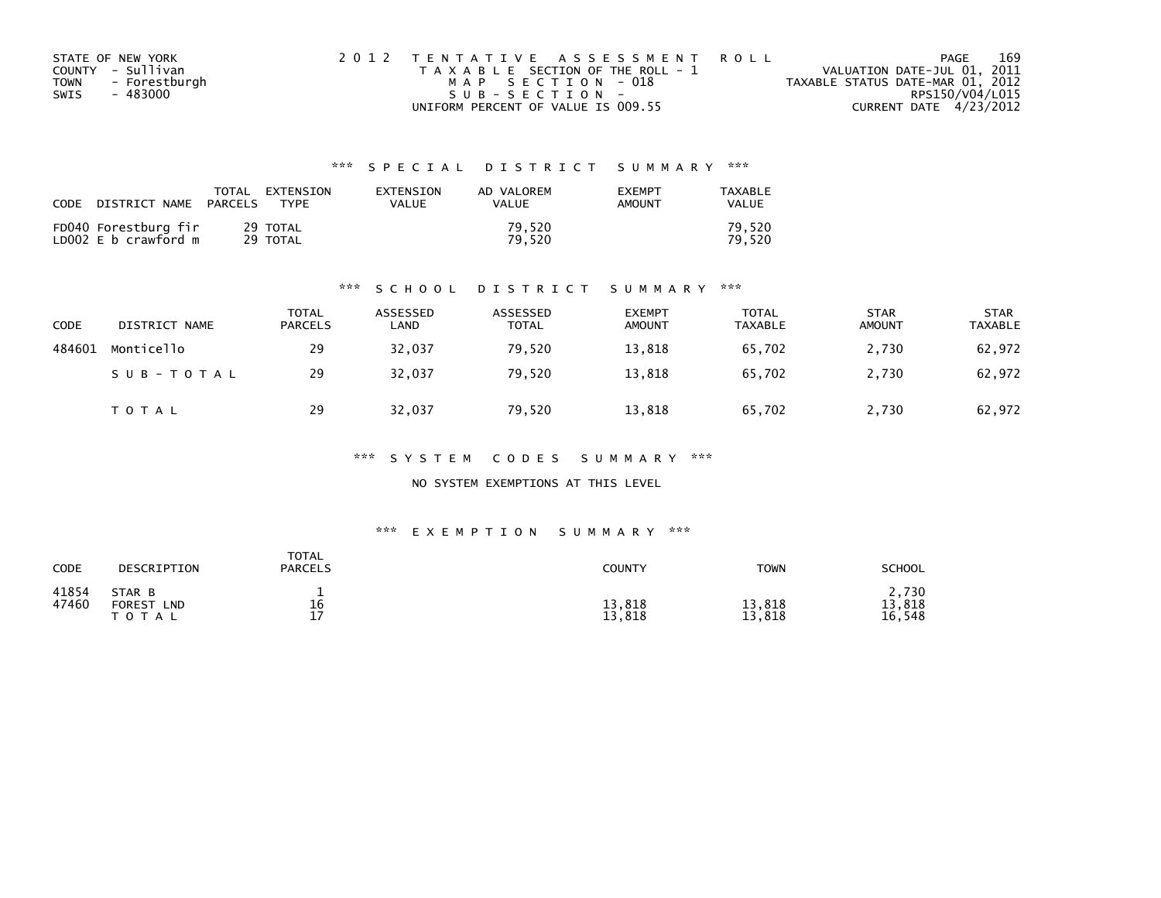| STATE OF NEW YORK            | 2012 TENTATIVE ASSESSMENT ROLL        | 169<br>PAGE                      |  |
|------------------------------|---------------------------------------|----------------------------------|--|
| COUNTY - Sullivan            | T A X A B L E SECTION OF THE ROLL - 1 | VALUATION DATE-JUL 01, 2011      |  |
| - Forestburgh<br><b>TOWN</b> | MAP SECTION - 018                     | TAXABLE STATUS DATE-MAR 01, 2012 |  |
| - 483000<br>SWIS             | SUB-SECTION-                          | RPS150/V04/L015                  |  |
|                              | UNIFORM PERCENT OF VALUE IS 009.55    | CURRENT DATE 4/23/2012           |  |

| CODE | DISTRICT NAME                                | TOTAL<br>PARCELS | EXTENSION<br><b>TYPF</b> | <b>FXTENSTON</b><br>VALUE | AD VALOREM<br>VALUE | <b>EXEMPT</b><br>AMOUNT | TAXABLE<br>VALUE |
|------|----------------------------------------------|------------------|--------------------------|---------------------------|---------------------|-------------------------|------------------|
|      | FD040 Forestburg fir<br>LD002 E b crawford m |                  | 29 TOTAL<br>29 TOTAL     |                           | 79.520<br>79.520    |                         | 79.520<br>79.520 |

#### \*\*\* S C H O O L D I S T R I C T S U M M A R Y \*\*\*

| <b>CODE</b> | DISTRICT NAME | <b>TOTAL</b><br><b>PARCELS</b> | ASSESSED<br>LAND | ASSESSED<br><b>TOTAL</b> | <b>EXEMPT</b><br><b>AMOUNT</b> | TOTAL<br><b>TAXABLE</b> | <b>STAR</b><br><b>AMOUNT</b> | <b>STAR</b><br>TAXABLE |
|-------------|---------------|--------------------------------|------------------|--------------------------|--------------------------------|-------------------------|------------------------------|------------------------|
| 484601      | Monticello    | 29                             | 32,037           | 79,520                   | 13,818                         | 65,702                  | 2,730                        | 62,972                 |
|             | SUB-TOTAL     | 29                             | 32.037           | 79.520                   | 13,818                         | 65.702                  | 2,730                        | 62,972                 |
|             | TOTAL         | 29                             | 32,037           | 79,520                   | 13,818                         | 65,702                  | 2,730                        | 62,972                 |

\*\*\* S Y S T E M C O D E S S U M M A R Y \*\*\*

NO SYSTEM EXEMPTIONS AT THIS LEVEL

#### \*\*\* E X E M P T I O N S U M M A R Y \*\*\*

| CODE           | DESCRIPTION                                  | <b>TOTAL</b><br><b>PARCELS</b> | <b>COUNTY</b>    | <b>TOWN</b>      | SCHOOL                    |
|----------------|----------------------------------------------|--------------------------------|------------------|------------------|---------------------------|
| 41854<br>47460 | STAR B<br><b>FOREST</b><br>LND<br>тот<br>A L | 16<br>17                       | 13,818<br>13,818 | 13,818<br>13,818 | 2,730<br>13,818<br>16.548 |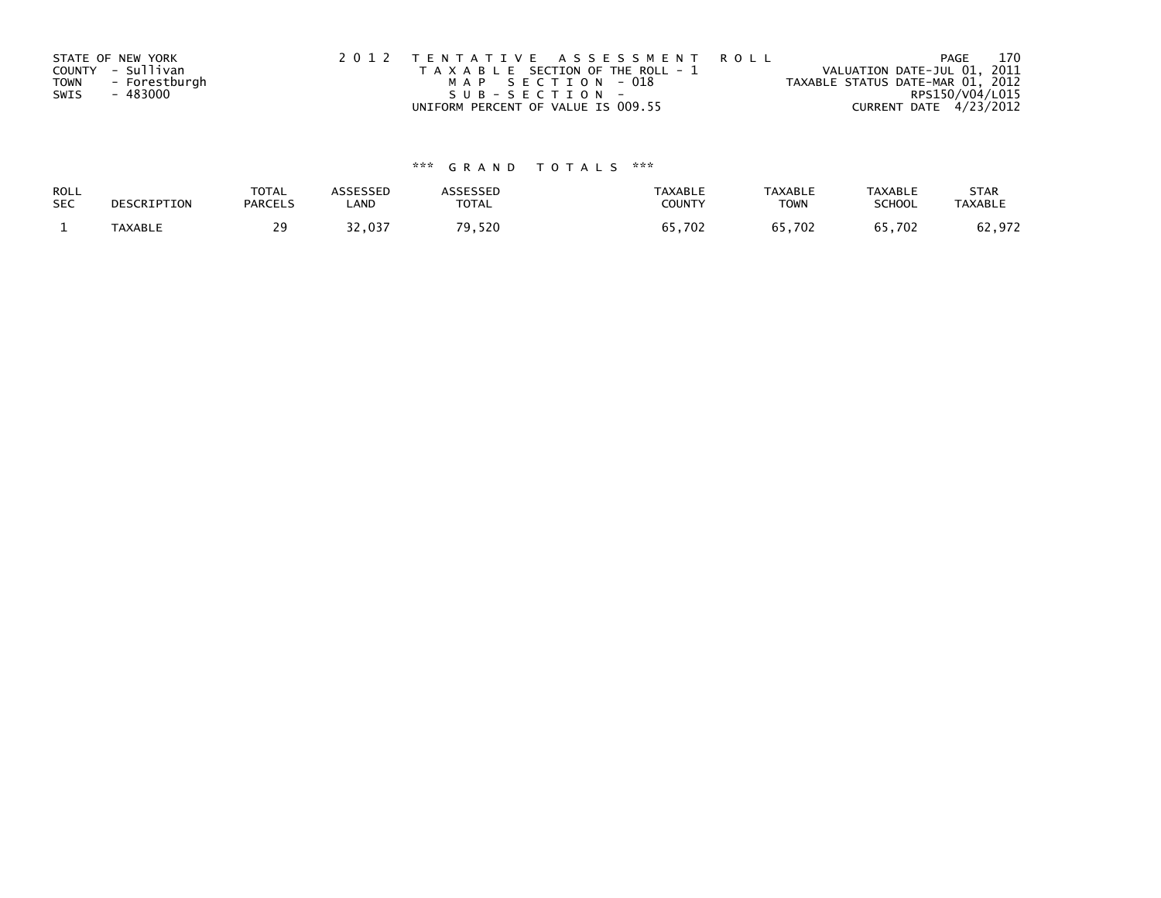|             | STATE OF NEW YORK | 2012 TENTATIVE ASSESSMENT ROLL        | PAGE                             | 170 |
|-------------|-------------------|---------------------------------------|----------------------------------|-----|
|             | COUNTY - Sullivan | T A X A B L E SECTION OF THE ROLL - 1 | VALUATION DATE-JUL 01, 2011      |     |
| <b>TOWN</b> | - Forestburgh     | MAP SECTION - 018                     | TAXABLE STATUS DATE-MAR 01, 2012 |     |
| SWIS        | - 483000          | SUB-SECTION-                          | RPS150/V04/L015                  |     |
|             |                   | UNIFORM PERCENT OF VALUE IS 009.55    | CURRENT DATE 4/23/2012           |     |

| ROLL       | DESCRIPTION    | <b>TOTAL</b>   | <b>ASSESSED</b> | <b><i>SSESSED</i></b> | <b>TAXABLE</b> | <b>TAXABLE</b> | <b>TAXABLE</b> | <b>STAR</b>    |
|------------|----------------|----------------|-----------------|-----------------------|----------------|----------------|----------------|----------------|
| <b>SEC</b> |                | <b>PARCELS</b> | LAND            | <b>TOTAL</b>          | COUNTY         | <b>TOWN</b>    | SCHOOL         | <b>TAXABLE</b> |
|            | <b>TAXABLE</b> | っぺ             | 32,037          | 79,520                | 65,702         | 65,702         | 65,702         | 62,972         |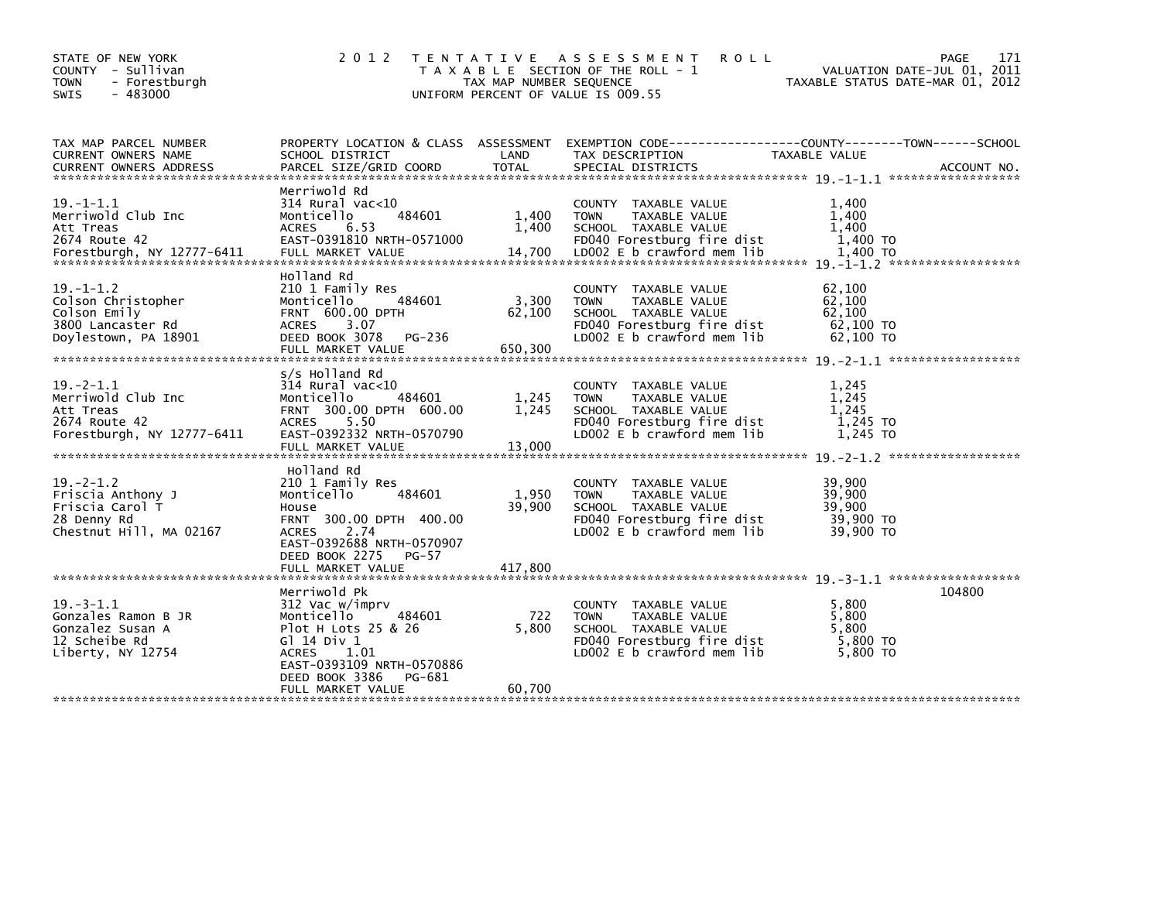| STATE OF NEW YORK<br>COUNTY - Sullivan<br><b>TOWN</b><br>- Forestburgh<br>$-483000$<br>SWIS        | 2 0 1 2                                                                                                                                                                                           | TAX MAP NUMBER SEQUENCE    | TENTATIVE ASSESSMENT<br><b>ROLL</b><br>T A X A B L E SECTION OF THE ROLL - 1<br>UNIFORM PERCENT OF VALUE IS 009.55                       | TAXABLE STATUS DATE-MAR 01, 2012                     | 171<br>PAGE<br>VALUATION DATE-JUL 01, 2011 |
|----------------------------------------------------------------------------------------------------|---------------------------------------------------------------------------------------------------------------------------------------------------------------------------------------------------|----------------------------|------------------------------------------------------------------------------------------------------------------------------------------|------------------------------------------------------|--------------------------------------------|
| TAX MAP PARCEL NUMBER<br><b>CURRENT OWNERS NAME</b><br><b>CURRENT OWNERS ADDRESS</b>               | PROPERTY LOCATION & CLASS ASSESSMENT<br>SCHOOL DISTRICT<br>PARCEL SIZE/GRID COORD                                                                                                                 | LAND<br><b>TOTAL</b>       | EXEMPTION CODE-----------------COUNTY-------TOWN------SCHOOL<br>TAX DESCRIPTION<br>SPECIAL DISTRICTS                                     | TAXABLE VALUE                                        | ACCOUNT NO.                                |
| $19. -1 - 1.1$<br>Merriwold Club Inc<br>Att Treas<br>2674 Route 42                                 | Merriwold Rd<br>$314$ Rural vac< $10$<br>Monticello<br>484601<br><b>ACRES</b><br>6.53<br>EAST-0391810 NRTH-0571000                                                                                | 1,400<br>1,400             | COUNTY TAXABLE VALUE<br><b>TOWN</b><br>TAXABLE VALUE<br>SCHOOL TAXABLE VALUE<br>FD040 Forestburg fire dist                               | 1,400<br>1,400<br>1.400<br>1,400 TO                  |                                            |
| $19. - 1 - 1.2$<br>Colson Christopher<br>Colson Emily<br>3800 Lancaster Rd<br>Doylestown, PA 18901 | Holland Rd<br>210 1 Family Res<br>Monticello<br>484601<br><b>FRNT 600.00 DPTH</b><br><b>ACRES</b><br>3.07<br>DEED BOOK 3078<br>PG-236<br>FULL MARKET VALUE                                        | 3,300<br>62,100<br>650.300 | COUNTY TAXABLE VALUE<br><b>TOWN</b><br>TAXABLE VALUE<br>SCHOOL TAXABLE VALUE<br>FD040 Forestburg fire dist<br>LD002 E b crawford mem lib | 62,100<br>62,100<br>62,100<br>62,100 TO<br>62,100 TO |                                            |
| $19 - 2 - 1.1$<br>Merriwold Club Inc<br>Att Treas<br>2674 Route 42<br>Forestburgh, NY 12777-6411   | s/s Holland Rd<br>$314$ Rural vac<10<br>484601<br>Monticello<br>FRNT 300.00 DPTH 600.00<br><b>ACRES</b><br>5.50<br>EAST-0392332 NRTH-0570790                                                      | 1,245<br>1.245             | COUNTY TAXABLE VALUE<br><b>TOWN</b><br>TAXABLE VALUE<br>SCHOOL TAXABLE VALUE<br>FD040 Forestburg fire dist<br>LD002 E b crawford mem lib | 1,245<br>1,245<br>1.245<br>1,245 TO<br>1,245 TO      |                                            |
| $19 - 2 - 1.2$<br>Friscia Anthony J<br>Friscia Carol T<br>28 Denny Rd<br>Chestnut Hill, MA 02167   | Holland Rd<br>210 1 Family Res<br>Monticello<br>484601<br>House<br>FRNT 300.00 DPTH 400.00<br>2.74<br><b>ACRES</b><br>EAST-0392688 NRTH-0570907<br>DEED BOOK 2275<br>$PG-57$<br>FULL MARKET VALUE | 1,950<br>39,900<br>417,800 | COUNTY TAXABLE VALUE<br><b>TOWN</b><br>TAXABLE VALUE<br>SCHOOL TAXABLE VALUE<br>FD040 Forestburg fire dist<br>LD002 E b crawford mem lib | 39,900<br>39,900<br>39,900<br>39,900 TO<br>39,900 TO |                                            |
| $19 - 3 - 1.1$<br>Gonzales Ramon B JR<br>Gonzalez Susan A<br>12 Scheibe Rd<br>Liberty, NY 12754    | Merriwold Pk<br>312 Vac w/imprv<br>Monticello<br>484601<br>Plot H Lots 25 & 26<br>G1 14 Div 1<br>ACRES<br>1.01<br>EAST-0393109 NRTH-0570886<br>DEED BOOK 3386<br>PG-681<br>FULL MARKET VALUE      | 722<br>5,800<br>60,700     | COUNTY TAXABLE VALUE<br><b>TOWN</b><br>TAXABLE VALUE<br>SCHOOL TAXABLE VALUE<br>FD040 Forestburg fire dist<br>LD002 E b crawford mem lib | 5.800<br>5,800<br>5.800<br>$5,800$ TO<br>5,800 TO    | 104800                                     |
|                                                                                                    |                                                                                                                                                                                                   |                            |                                                                                                                                          |                                                      |                                            |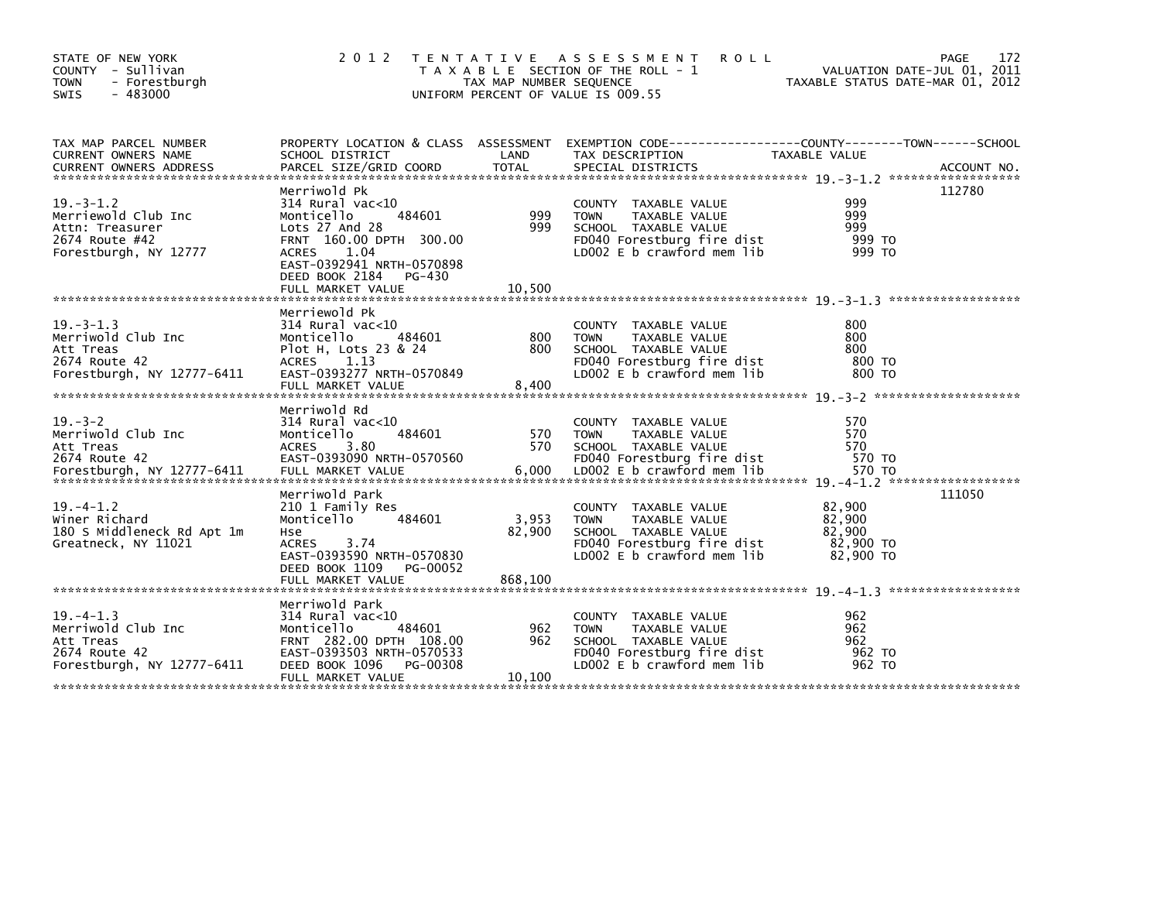| STATE OF NEW YORK<br>COUNTY - Sullivan<br><b>TOWN</b><br>- Forestburgh                                                                                                 | 2 0 1 2                                                                                                                                                                                                       | TAX MAP NUMBER SEQUENCE | TENTATIVE ASSESSMENT<br><b>ROLL</b><br>T A X A B L E SECTION OF THE ROLL - 1                                                             | PAGE<br>VALUATION DATE-JUL 01, 2011<br>TAXABLE STATUS DATE-MAR 01, 2012 | 172         |
|------------------------------------------------------------------------------------------------------------------------------------------------------------------------|---------------------------------------------------------------------------------------------------------------------------------------------------------------------------------------------------------------|-------------------------|------------------------------------------------------------------------------------------------------------------------------------------|-------------------------------------------------------------------------|-------------|
| $-483000$<br><b>SWIS</b>                                                                                                                                               |                                                                                                                                                                                                               |                         | UNIFORM PERCENT OF VALUE IS 009.55                                                                                                       |                                                                         |             |
| TAX MAP PARCEL NUMBER<br>CURRENT OWNERS NAME<br><b>CURRENT OWNERS ADDRESS</b>                                                                                          | SCHOOL DISTRICT<br>PARCEL SIZE/GRID COORD                                                                                                                                                                     | LAND<br><b>TOTAL</b>    | PROPERTY LOCATION & CLASS ASSESSMENT EXEMPTION CODE----------------COUNTY-------TOWN-----SCHOOL<br>TAX DESCRIPTION<br>SPECIAL DISTRICTS  | TAXABLE VALUE                                                           | ACCOUNT NO. |
|                                                                                                                                                                        |                                                                                                                                                                                                               |                         |                                                                                                                                          |                                                                         |             |
| $19 - 3 - 1.2$<br>Merriewold Club Inc<br>Attn: Treasurer<br>2674 Route #42<br>Forestburgh, NY 12777                                                                    | Merriwold Pk<br>$314$ Rural vac<10<br>Monticello<br>484601<br>Lots 27 And 28<br>FRNT 160.00 DPTH 300.00<br><b>ACRES</b><br>1.04<br>EAST-0392941 NRTH-0570898<br>DEED BOOK 2184<br>PG-430<br>FULL MARKET VALUE | 999<br>999<br>10,500    | COUNTY TAXABLE VALUE<br>TAXABLE VALUE<br><b>TOWN</b><br>SCHOOL TAXABLE VALUE<br>FD040 Forestburg fire dist<br>LD002 E b crawford mem lib | 112780<br>999<br>999<br>999<br>999 TO<br>999 TO                         |             |
|                                                                                                                                                                        | Merriewold Pk                                                                                                                                                                                                 |                         |                                                                                                                                          |                                                                         |             |
| $19. -3 - 1.3$<br>Merriwold Club Inc<br>Att Treas<br>2674 Route 42<br>Forestburgh, NY 12777-6411                                                                       | $314$ Rural vac< $10$<br>Monticello<br>484601<br>Plot H, Lots 23 & 24<br>ACRES 1.13<br>EAST-0393277 NRTH-0570849<br>FULL MARKET VALUE                                                                         | 800<br>800<br>8,400     | COUNTY TAXABLE VALUE<br><b>TOWN</b><br>TAXABLE VALUE<br>SCHOOL TAXABLE VALUE<br>FD040 Forestburg fire dist<br>LD002 E b crawford mem lib | 800<br>800<br>800<br>800 TO<br>800 TO                                   |             |
|                                                                                                                                                                        | Merriwold Rd                                                                                                                                                                                                  |                         |                                                                                                                                          |                                                                         |             |
| $19. - 3 - 2$<br>Merriwold Club Inc<br>Att Treas<br>2674 Route 42<br>Forestburgh, NY 12777-6411 FULL MARKET VALUE 50000 6,000 LDOO2 E b crawford mem 11b 570 TO 570 TO | $314$ Rural vac< $10$<br>Monticello<br>484601<br><b>ACRES</b><br>3.80<br>EAST-0393090 NRTH-0570560                                                                                                            | 570<br>570              | COUNTY TAXABLE VALUE<br>TAXABLE VALUE<br><b>TOWN</b><br>SCHOOL TAXABLE VALUE<br>FD040 Forestburg fire dist                               | 570<br>570<br>570<br>570 TO                                             |             |
| $19. - 4 - 1.2$<br>Winer Richard<br>180 S Middleneck Rd Apt 1m<br>Greatneck, NY 11021                                                                                  | Merriwold Park<br>210 1 Family Res<br>Monticello<br>484601<br>Hse<br>3.74<br>ACRES<br>EAST-0393590 NRTH-0570830<br>DEED BOOK 1109<br>PG-00052                                                                 | 3,953<br>82,900         | COUNTY TAXABLE VALUE<br>TAXABLE VALUE<br><b>TOWN</b><br>SCHOOL TAXABLE VALUE<br>FD040 Forestburg fire dist<br>LD002 E b crawford mem lib | 111050<br>82,900<br>82,900<br>82,900<br>82,900 TO<br>82,900 TO          |             |
|                                                                                                                                                                        |                                                                                                                                                                                                               |                         |                                                                                                                                          |                                                                         |             |
| $19. -4 - 1.3$<br>Merriwold Club Inc<br>Att Treas<br>2674 Route 42<br>Forestburgh, NY 12777-6411                                                                       | Merriwold Park<br>314 Rural vac<10<br>484601<br>Monticello<br>FRNT 282.00 DPTH 108.00<br>EAST-0393503 NRTH-0570533<br>DEED BOOK 1096<br>PG-00308<br>FULL MARKET VALUE                                         | 962<br>962<br>10,100    | COUNTY TAXABLE VALUE<br>TAXABLE VALUE<br><b>TOWN</b><br>SCHOOL TAXABLE VALUE<br>FD040 Forestburg fire dist<br>LD002 E b crawford mem lib | 962<br>962<br>962<br>962 TO<br>962 TO                                   |             |
|                                                                                                                                                                        |                                                                                                                                                                                                               |                         |                                                                                                                                          |                                                                         |             |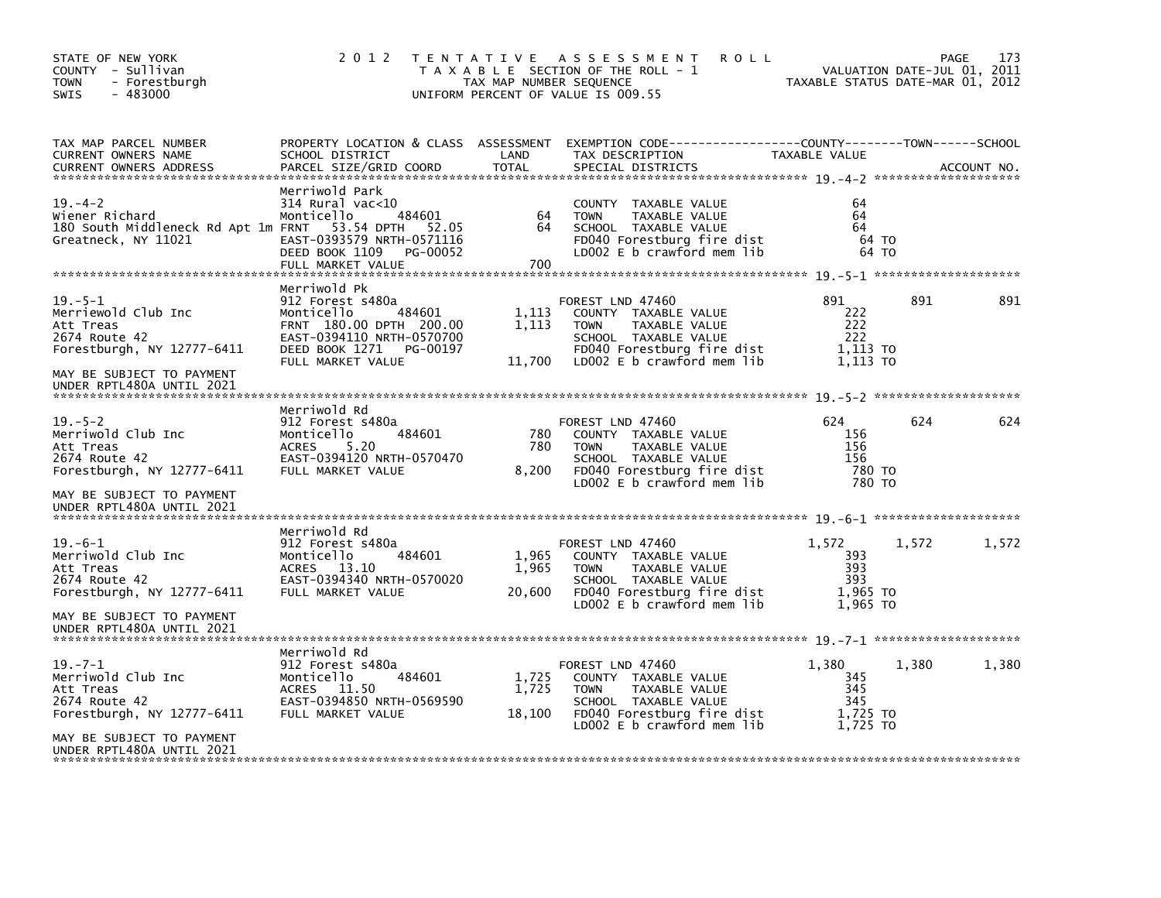| STATE OF NEW YORK<br>COUNTY - Sullivan<br><b>TOWN</b><br>- Forestburgh<br>$-483000$<br><b>SWIS</b> | 2 0 1 2                                                                                                                                                             | TAX MAP NUMBER SEQUENCE  | TENTATIVE ASSESSMENT<br><b>ROLL</b><br>T A X A B L E SECTION OF THE ROLL - 1<br>UNIFORM PERCENT OF VALUE IS 009.55                                           | TAXABLE STATUS DATE-MAR 01, 2012                   | VALUATION DATE-JUL 01, 2011 | 173<br>PAGE |
|----------------------------------------------------------------------------------------------------|---------------------------------------------------------------------------------------------------------------------------------------------------------------------|--------------------------|--------------------------------------------------------------------------------------------------------------------------------------------------------------|----------------------------------------------------|-----------------------------|-------------|
| TAX MAP PARCEL NUMBER<br>CURRENT OWNERS NAME<br><b>CURRENT OWNERS ADDRESS</b>                      | SCHOOL DISTRICT<br>PARCEL SIZE/GRID COORD                                                                                                                           | LAND<br><b>TOTAL</b>     | PROPERTY LOCATION & CLASS ASSESSMENT EXEMPTION CODE----------------COUNTY-------TOWN------SCHOOL<br>TAX DESCRIPTION<br>SPECIAL DISTRICTS                     | TAXABLE VALUE                                      |                             | ACCOUNT NO. |
| $19. - 4 - 2$<br>Wiener Richard<br>180 South Middleneck Rd Apt 1m FRNT<br>Greatneck, NY 11021      | Merriwold Park<br>314 Rural vac<10<br>Monticello<br>484601<br>53.54 DPTH<br>52.05<br>EAST-0393579 NRTH-0571116<br>DEED BOOK 1109<br>PG-00052<br>FULL MARKET VALUE   | 64<br>64<br>700          | COUNTY TAXABLE VALUE<br>TAXABLE VALUE<br><b>TOWN</b><br>SCHOOL TAXABLE VALUE<br>FD040 Forestburg fire dist<br>LD002 E b crawford mem lib                     | 64<br>64<br>64                                     | 64 TO<br>64 TO              |             |
| $19. - 5 - 1$<br>Merriewold Club Inc<br>Att Treas<br>2674 Route 42<br>Forestburgh, NY 12777-6411   | Merriwold Pk<br>912 Forest s480a<br>Monticello<br>484601<br>FRNT 180.00 DPTH 200.00<br>EAST-0394110 NRTH-0570700<br>DEED BOOK 1271<br>PG-00197<br>FULL MARKET VALUE | 1,113<br>1,113<br>11,700 | FOREST LND 47460<br>COUNTY TAXABLE VALUE<br><b>TOWN</b><br>TAXABLE VALUE<br>SCHOOL TAXABLE VALUE<br>FD040 Forestburg fire dist<br>LD002 E b crawford mem lib | 891<br>222<br>222<br>222<br>1,113 TO<br>1.113 TO   | 891                         | 891         |
| MAY BE SUBJECT TO PAYMENT<br>UNDER RPTL480A UNTIL 2021                                             |                                                                                                                                                                     |                          |                                                                                                                                                              |                                                    |                             |             |
| $19. - 5 - 2$<br>Merriwold Club Inc<br>Att Treas<br>2674 Route 42<br>Forestburgh, NY 12777-6411    | Merriwold Rd<br>912 Forest s480a<br>484601<br>Monticello<br><b>ACRES</b><br>5.20<br>EAST-0394120 NRTH-0570470<br>FULL MARKET VALUE                                  | 780<br>780<br>8,200      | FOREST LND 47460<br>COUNTY TAXABLE VALUE<br><b>TOWN</b><br>TAXABLE VALUE<br>SCHOOL TAXABLE VALUE<br>FD040 Forestburg fire dist<br>LD002 E b crawford mem lib | 624<br>156<br>156<br>156<br>780 TO<br>780 TO       | 624                         | 624         |
| MAY BE SUBJECT TO PAYMENT<br>UNDER RPTL480A UNTIL 2021                                             |                                                                                                                                                                     |                          |                                                                                                                                                              |                                                    |                             |             |
| $19. -6 - 1$<br>Merriwold Club Inc<br>Att Treas<br>2674 Route 42<br>Forestburgh, NY 12777-6411     | Merriwold Rd<br>912 Forest s480a<br>Monticello<br>484601<br><b>ACRES</b><br>13.10<br>EAST-0394340 NRTH-0570020<br>FULL MARKET VALUE                                 | 1,965<br>1,965<br>20,600 | FOREST LND 47460<br>COUNTY TAXABLE VALUE<br><b>TOWN</b><br>TAXABLE VALUE<br>SCHOOL TAXABLE VALUE<br>FD040 Forestburg fire dist<br>LD002 E b crawford mem lib | 1,572<br>393<br>393<br>393<br>1.965 TO<br>1.965 TO | 1,572                       | 1,572       |
| MAY BE SUBJECT TO PAYMENT<br>UNDER RPTL480A UNTIL 2021                                             |                                                                                                                                                                     |                          |                                                                                                                                                              |                                                    |                             |             |
| $19. - 7 - 1$<br>Merriwold Club Inc<br>Att Treas<br>2674 Route 42<br>Forestburgh, NY 12777-6411    | Merriwold Rd<br>912 Forest s480a<br>Monticello<br>484601<br>ACRES 11.50<br>EAST-0394850 NRTH-0569590<br>FULL MARKET VALUE                                           | 1,725<br>1,725<br>18,100 | FOREST LND 47460<br>COUNTY TAXABLE VALUE<br><b>TOWN</b><br>TAXABLE VALUE<br>SCHOOL TAXABLE VALUE<br>FD040 Forestburg fire dist<br>LD002 E b crawford mem lib | 1,380<br>345<br>345<br>345<br>1,725 TO<br>1.725 TO | 1,380                       | 1,380       |
| MAY BE SUBJECT TO PAYMENT<br>UNDER RPTL480A UNTIL 2021                                             |                                                                                                                                                                     |                          |                                                                                                                                                              |                                                    |                             |             |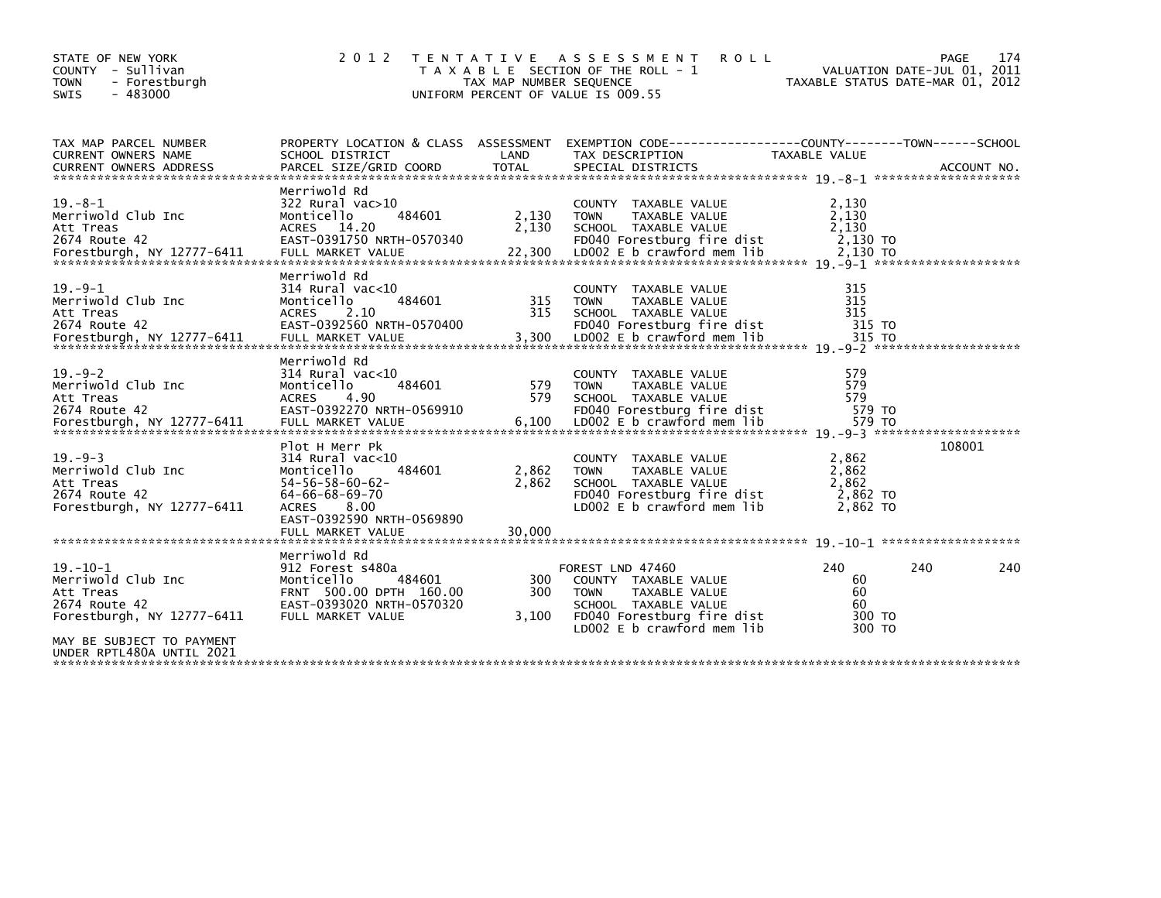| STATE OF NEW YORK<br>COUNTY - Sullivan<br><b>TOWN</b><br>- Forestburgh<br>$-483000$<br><b>SWIS</b>                            | 2 0 1 2                                                                                                                                                                                        | TAX MAP NUMBER SEQUENCE  | TENTATIVE ASSESSMENT<br><b>ROLL</b><br>T A X A B L E SECTION OF THE ROLL - 1<br>UNIFORM PERCENT OF VALUE IS 009.55                                           |                                                 | 174<br><b>PAGE</b><br>VALUATION DATE-JUL 01, 2011<br>TAXABLE STATUS DATE-MAR 01, 2012 |
|-------------------------------------------------------------------------------------------------------------------------------|------------------------------------------------------------------------------------------------------------------------------------------------------------------------------------------------|--------------------------|--------------------------------------------------------------------------------------------------------------------------------------------------------------|-------------------------------------------------|---------------------------------------------------------------------------------------|
| TAX MAP PARCEL NUMBER<br>CURRENT OWNERS NAME                                                                                  | PROPERTY LOCATION & CLASS ASSESSMENT<br>SCHOOL DISTRICT                                                                                                                                        | LAND                     | EXEMPTION CODE-----------------COUNTY-------TOWN------SCHOOL<br>TAX DESCRIPTION                                                                              | <b>TAXABLE VALUE</b>                            |                                                                                       |
| $19. - 8 - 1$<br>Merriwold Club Inc<br>Att Treas<br>2674 Route 42                                                             | Merriwold Rd<br>$322$ Rural vac $>10$<br>484601<br>Monticello<br>ACRES 14.20<br>EAST-0391750 NRTH-0570340                                                                                      | 2,130<br>2,130           | COUNTY TAXABLE VALUE<br><b>TOWN</b><br>TAXABLE VALUE<br>SCHOOL TAXABLE VALUE<br>FD040 Forestburg fire dist                                                   | 2,130<br>2,130<br>2,130<br>2,130 TO             |                                                                                       |
| $19. -9 - 1$<br>Merriwold Club Inc<br>Att Treas<br>2674 Route 42                                                              | Merriwold Rd<br>$314$ Rural vac<10<br>484601<br>Monticello<br><b>ACRES</b><br>2.10<br>EAST-0392560 NRTH-0570400                                                                                | 315<br>315               | COUNTY TAXABLE VALUE<br><b>TAXABLE VALUE</b><br><b>TOWN</b><br>SCHOOL TAXABLE VALUE<br>FD040 Forestburg fire dist                                            | 315<br>315<br>315<br>315 TO                     |                                                                                       |
| $19. - 9 - 2$<br>Merriwold Club Inc<br>Att Treas<br>2674 Route 42                                                             | Merriwold Rd<br>$314$ Rural vac< $10$<br>Monticello<br>484601<br>4.90<br><b>ACRES</b><br>EAST-0392270 NRTH-0569910                                                                             | 579<br>579               | COUNTY TAXABLE VALUE<br><b>TOWN</b><br>TAXABLE VALUE<br>SCHOOL TAXABLE VALUE<br>FD040 Forestburg fire dist                                                   | 579<br>579<br>579<br>579 TO                     |                                                                                       |
| $19. - 9 - 3$<br>Merriwold Club Inc<br>Att Treas<br>2674 Route 42<br>Forestburgh, NY 12777-6411                               | Plot H Merr Pk<br>$314$ Rural vac<10<br>Monticello<br>484601<br>$54 - 56 - 58 - 60 - 62$<br>$64 - 66 - 68 - 69 - 70$<br>8.00<br><b>ACRES</b><br>EAST-0392590 NRTH-0569890<br>FULL MARKET VALUE | 2,862<br>2,862<br>30.000 | COUNTY TAXABLE VALUE<br>TAXABLE VALUE<br><b>TOWN</b><br>SCHOOL TAXABLE VALUE<br>FD040 Forestburg fire dist<br>LD002 E b crawford mem lib                     | 2,862<br>2,862<br>2,862<br>2,862 TO<br>2,862 TO | 108001                                                                                |
| $19. - 10 - 1$<br>Merriwold Club Inc<br>Att Treas<br>2674 Route 42<br>Forestburgh, NY 12777-6411<br>MAY BE SUBJECT TO PAYMENT | Merriwold Rd<br>912 Forest s480a<br>Monticello<br>484601<br>FRNT 500.00 DPTH 160.00<br>EAST-0393020 NRTH-0570320<br>FULL MARKET VALUE                                                          | 300<br>300<br>3,100      | FOREST LND 47460<br>COUNTY TAXABLE VALUE<br>TAXABLE VALUE<br><b>TOWN</b><br>SCHOOL TAXABLE VALUE<br>FD040 Forestburg fire dist<br>LD002 E b crawford mem lib | 240<br>60<br>60<br>60<br>300 TO<br>300 TO       | 240<br>240                                                                            |
| UNDER RPTL480A UNTIL 2021                                                                                                     |                                                                                                                                                                                                |                          |                                                                                                                                                              |                                                 |                                                                                       |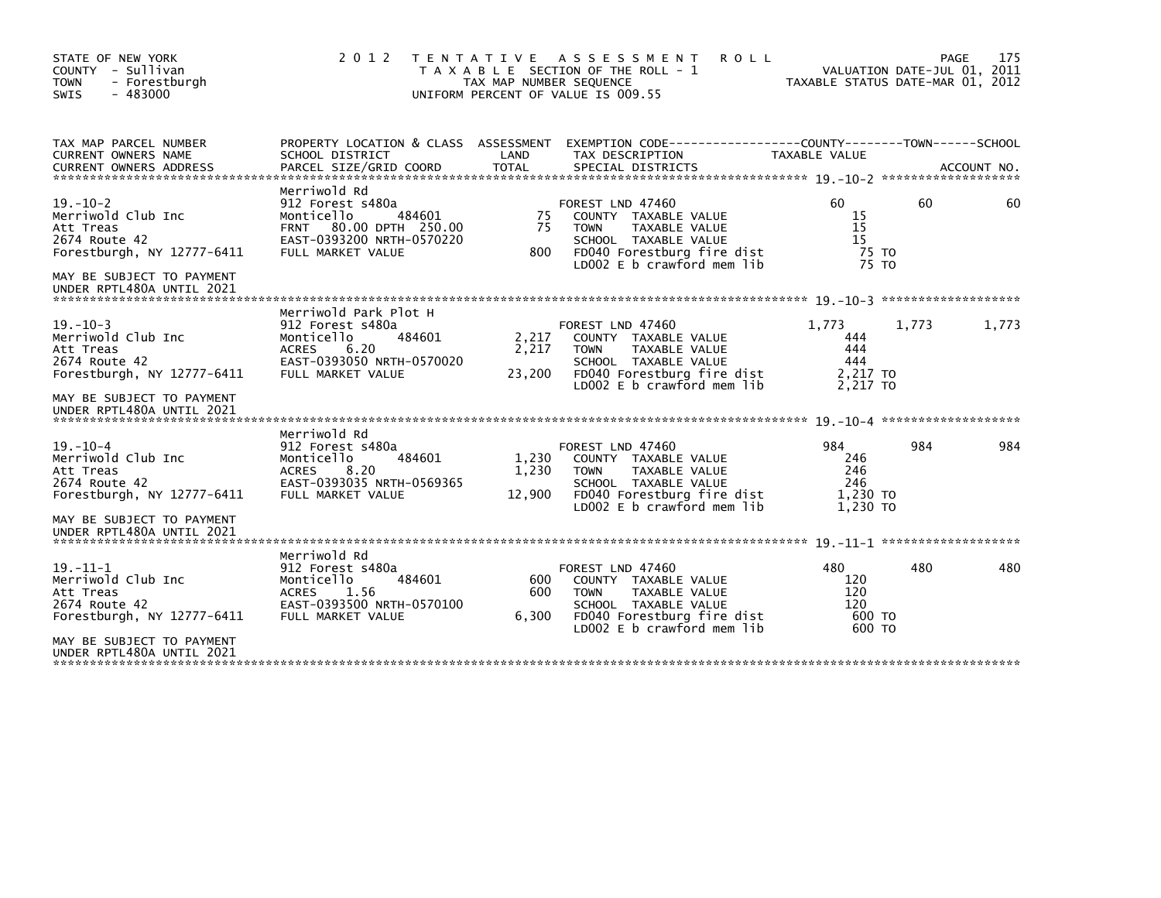| STATE OF NEW YORK<br>COUNTY - Sullivan<br><b>TOWN</b><br>- Forestburgh<br>$-483000$<br><b>SWIS</b>                                                         |                                                                                                                                                | TAX MAP NUMBER SEQUENCE  | 2012 TENTATIVE ASSESSMENT<br><b>ROLL</b><br>T A X A B L E SECTION OF THE ROLL - 1<br>UNIFORM PERCENT OF VALUE IS 009.55                                      | TAXABLE STATUS DATE-MAR 01, 2012                   | VALUATION DATE-JUL 01, 2011 | 175<br><b>PAGE</b> |
|------------------------------------------------------------------------------------------------------------------------------------------------------------|------------------------------------------------------------------------------------------------------------------------------------------------|--------------------------|--------------------------------------------------------------------------------------------------------------------------------------------------------------|----------------------------------------------------|-----------------------------|--------------------|
| TAX MAP PARCEL NUMBER<br><b>CURRENT OWNERS NAME</b><br><b>CURRENT OWNERS ADDRESS</b>                                                                       | SCHOOL DISTRICT<br>PARCEL SIZE/GRID COORD                                                                                                      | LAND<br><b>TOTAL</b>     | PROPERTY LOCATION & CLASS ASSESSMENT EXEMPTION CODE----------------COUNTY-------TOWN------SCHOOL<br>TAX DESCRIPTION<br>SPECIAL DISTRICTS                     | TAXABLE VALUE                                      |                             | ACCOUNT NO.        |
| $19. - 10 - 2$<br>Merriwold Club Inc<br>Att Treas<br>2674 Route 42<br>Forestburgh, NY 12777-6411<br>MAY BE SUBJECT TO PAYMENT<br>UNDER RPTL480A UNTIL 2021 | Merriwold Rd<br>912 Forest s480a<br>484601<br>Monticello<br>80.00 DPTH 250.00<br><b>FRNT</b><br>EAST-0393200 NRTH-0570220<br>FULL MARKET VALUE | 75<br>75<br>800          | FOREST LND 47460<br>COUNTY TAXABLE VALUE<br>TAXABLE VALUE<br><b>TOWN</b><br>SCHOOL TAXABLE VALUE<br>FD040 Forestburg fire dist<br>LD002 E b crawford mem lib | 60.<br>15<br>15<br>15<br>75 TO<br>75 TO            | 60                          | 60                 |
| $19. - 10 - 3$<br>Merriwold Club Inc<br>Att Treas<br>2674 Route 42<br>Forestburgh, NY 12777-6411<br>MAY BE SUBJECT TO PAYMENT<br>UNDER RPTL480A UNTIL 2021 | Merriwold Park Plot H<br>912 Forest s480a<br>Monticello<br>484601<br>6.20<br><b>ACRES</b><br>EAST-0393050 NRTH-0570020<br>FULL MARKET VALUE    | 2,217<br>2,217<br>23,200 | FOREST LND 47460<br>COUNTY TAXABLE VALUE<br>TAXABLE VALUE<br><b>TOWN</b><br>SCHOOL TAXABLE VALUE<br>FD040 Forestburg fire dist<br>LD002 E b crawford mem lib | 1.773<br>444<br>444<br>444<br>2,217 TO<br>2.217 TO | 1,773                       | 1,773              |
| $19. - 10 - 4$<br>Merriwold Club Inc<br>Att Treas<br>2674 Route 42<br>Forestburgh, NY 12777-6411<br>MAY BE SUBJECT TO PAYMENT<br>UNDER RPTL480A UNTIL 2021 | Merriwold Rd<br>912 Forest s480a<br>484601<br>Monticello<br><b>ACRES</b><br>8.20<br>EAST-0393035 NRTH-0569365<br>FULL MARKET VALUE             | 1.230<br>1,230<br>12,900 | FOREST LND 47460<br>COUNTY TAXABLE VALUE<br><b>TOWN</b><br>TAXABLE VALUE<br>SCHOOL TAXABLE VALUE<br>FD040 Forestburg fire dist<br>LD002 E b crawford mem lib | 984<br>246<br>246<br>246<br>1.230 TO<br>1.230 TO   | 984                         | 984                |
| $19. - 11 - 1$<br>Merriwold Club Inc<br>Att Treas<br>2674 Route 42<br>Forestburgh, NY 12777-6411<br>MAY BE SUBJECT TO PAYMENT<br>UNDER RPTL480A UNTIL 2021 | Merriwold Rd<br>912 Forest s480a<br>484601<br>Monticello<br><b>ACRES</b><br>1.56<br>EAST-0393500 NRTH-0570100<br>FULL MARKET VALUE             | 600<br>600<br>6,300      | FOREST LND 47460<br>COUNTY TAXABLE VALUE<br>TAXABLE VALUE<br><b>TOWN</b><br>SCHOOL TAXABLE VALUE<br>FD040 Forestburg fire dist<br>LD002 E b crawford mem lib | 480<br>120<br>120<br>120<br>600 TO<br>600 TO       | 480                         | 480                |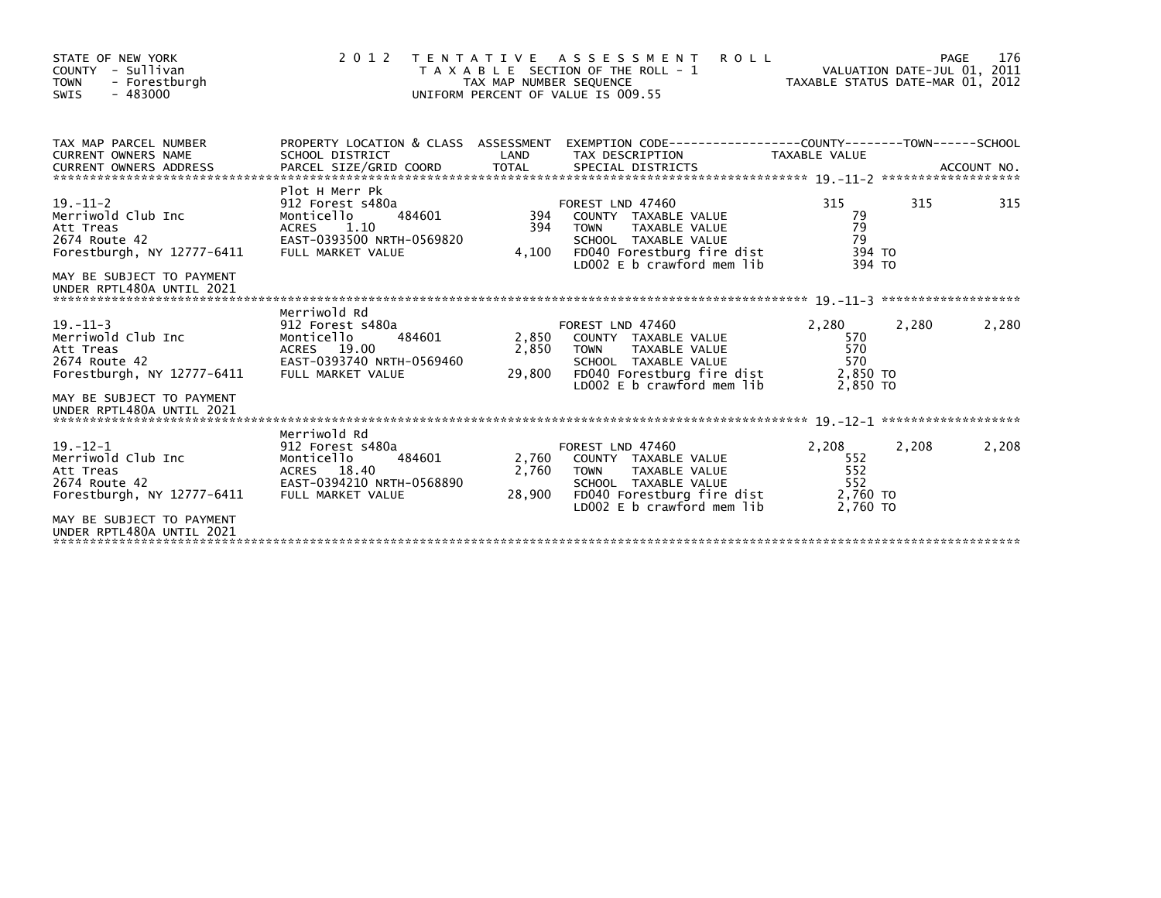| STATE OF NEW YORK<br>COUNTY - Sullivan<br><b>TOWN</b><br>- Forestburgh<br>$-483000$<br>SWIS      | 2 0 1 2                                                                                                                       | TAX MAP NUMBER SEQUENCE  | TENTATIVE ASSESSMENT<br><b>ROLL</b><br>T A X A B L E SECTION OF THE ROLL - 1<br>UNIFORM PERCENT OF VALUE IS 009.55                                           | TAXABLE STATUS DATE-MAR 01, 2012                   | PAGE<br>VALUATION DATE-JUL 01, 2011 | 176   |
|--------------------------------------------------------------------------------------------------|-------------------------------------------------------------------------------------------------------------------------------|--------------------------|--------------------------------------------------------------------------------------------------------------------------------------------------------------|----------------------------------------------------|-------------------------------------|-------|
| TAX MAP PARCEL NUMBER<br><b>CURRENT OWNERS NAME</b>                                              | SCHOOL DISTRICT                                                                                                               | LAND                     | PROPERTY LOCATION & CLASS ASSESSMENT EXEMPTION CODE----------------COUNTY-------TOWN-----SCHOOL<br>TAX DESCRIPTION                                           | <b>TAXABLE VALUE</b>                               |                                     |       |
| $19. - 11 - 2$<br>Merriwold Club Inc<br>Att Treas<br>2674 Route 42<br>Forestburgh, NY 12777-6411 | Plot H Merr Pk<br>912 Forest s480a<br>Monticello<br>484601<br>ACRES<br>1.10<br>EAST-0393500 NRTH-0569820<br>FULL MARKET VALUE | 394<br>394<br>4,100      | FOREST LND 47460<br>COUNTY TAXABLE VALUE<br>TAXABLE VALUE<br><b>TOWN</b><br>SCHOOL TAXABLE VALUE<br>FD040 Forestburg fire dist<br>LD002 E b crawford mem lib | 315<br>79<br>79<br>79<br>394 TO<br>394 TO          | 315                                 | 315   |
| MAY BE SUBJECT TO PAYMENT<br>UNDER RPTL480A UNTIL 2021                                           |                                                                                                                               |                          |                                                                                                                                                              |                                                    |                                     |       |
| $19. - 11 - 3$<br>Merriwold Club Inc<br>Att Treas<br>2674 Route 42<br>Forestburgh, NY 12777-6411 | Merriwold Rd<br>912 Forest s480a<br>484601<br>Monticello<br>ACRES 19.00<br>EAST-0393740 NRTH-0569460<br>FULL MARKET VALUE     | 2,850<br>2,850<br>29,800 | FOREST LND 47460<br>COUNTY TAXABLE VALUE<br><b>TOWN</b><br>TAXABLE VALUE<br>SCHOOL TAXABLE VALUE<br>FD040 Forestburg fire dist<br>LD002 E b crawford mem lib | 2,280<br>570<br>570<br>570<br>2,850 TO<br>2.850 TO | 2,280                               | 2,280 |
| MAY BE SUBJECT TO PAYMENT<br>UNDER RPTL480A UNTIL 2021                                           |                                                                                                                               |                          |                                                                                                                                                              |                                                    |                                     |       |
| $19. - 12 - 1$<br>Merriwold Club Inc<br>Att Treas<br>2674 Route 42<br>Forestburgh, NY 12777-6411 | Merriwold Rd<br>912 Forest s480a<br>484601<br>Monticello<br>ACRES 18.40<br>EAST-0394210 NRTH-0568890<br>FULL MARKET VALUE     | 2,760<br>2,760<br>28,900 | FOREST LND 47460<br>COUNTY TAXABLE VALUE<br><b>TOWN</b><br>TAXABLE VALUE<br>SCHOOL TAXABLE VALUE<br>FD040 Forestburg fire dist<br>LD002 E b crawford mem lib | 2,208<br>552<br>552<br>552<br>2,760 TO<br>2.760 TO | 2,208                               | 2,208 |
| MAY BE SUBJECT TO PAYMENT<br>UNDER RPTL480A UNTIL 2021                                           |                                                                                                                               |                          |                                                                                                                                                              |                                                    |                                     |       |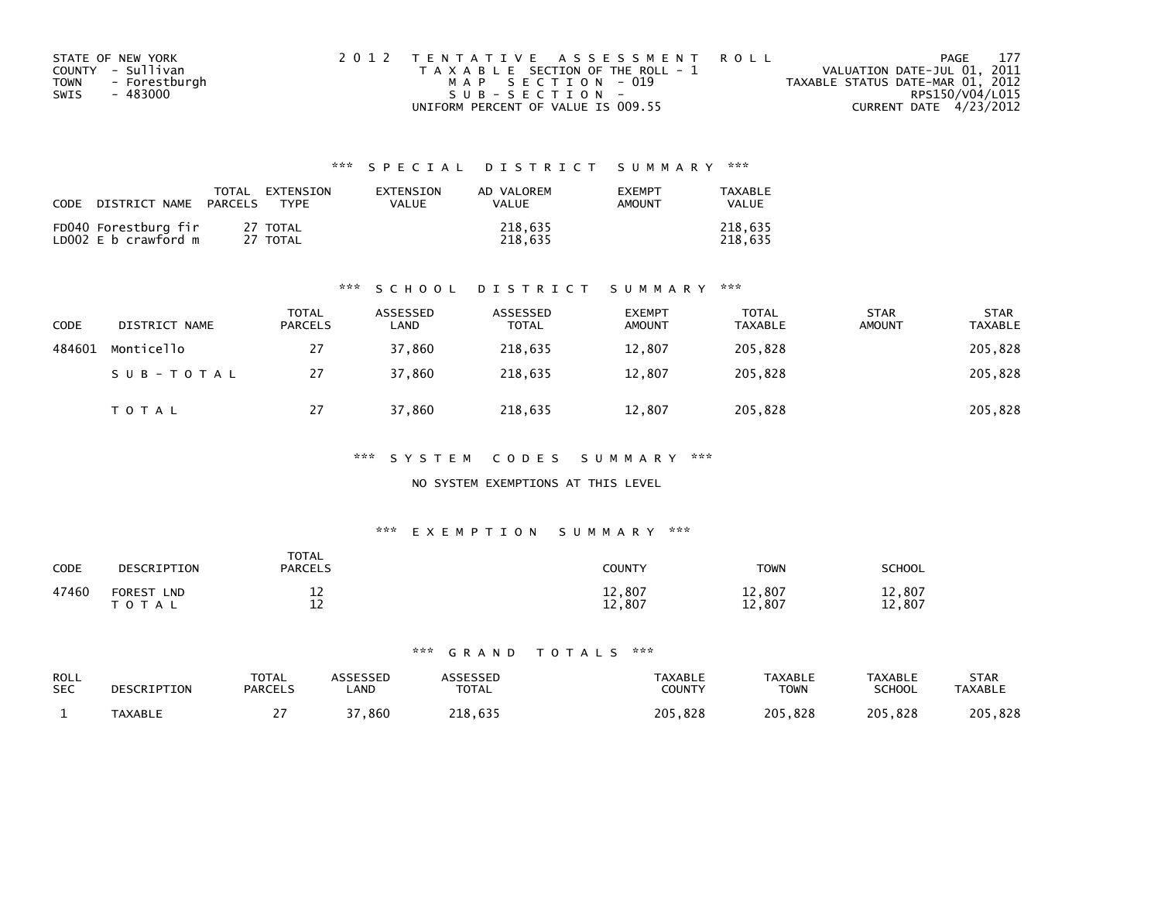| STATE OF NEW YORK            | 2012 TENTATIVE ASSESSMENT ROLL        | 177<br>PAGE                      |
|------------------------------|---------------------------------------|----------------------------------|
| COUNTY - Sullivan            | T A X A B L E SECTION OF THE ROLL - 1 | VALUATION DATE-JUL 01, 2011      |
| - Forestburgh<br><b>TOWN</b> | MAP SECTION - 019                     | TAXABLE STATUS DATE-MAR 01, 2012 |
| - 483000<br>SWIS             | SUB-SECTION-                          | RPS150/V04/L015                  |
|                              | UNIFORM PERCENT OF VALUE IS 009.55    | CURRENT DATE 4/23/2012           |

| <b>CODE</b> | DISTRICT NAME                                | TOTAL<br>PARCELS | EXTENSION<br><b>TYPF</b> | <b>FXTENSTON</b><br>VALUE | AD VALOREM<br>VALUE | <b>EXEMPT</b><br>AMOUNT | <b>TAXARIF</b><br>VALUE |
|-------------|----------------------------------------------|------------------|--------------------------|---------------------------|---------------------|-------------------------|-------------------------|
|             | FD040 Forestburg fir<br>LD002 E b crawford m |                  | 27 TOTAL<br>27 TOTAL     |                           | 218,635<br>218.635  |                         | 218.635<br>218.635      |

#### \*\*\* S C H O O L D I S T R I C T S U M M A R Y \*\*\*

| CODE   | DISTRICT NAME | TOTAL<br><b>PARCELS</b> | ASSESSED<br>∟AND | ASSESSED<br><b>TOTAL</b> | <b>EXEMPT</b><br><b>AMOUNT</b> | <b>TOTAL</b><br><b>TAXABLE</b> | <b>STAR</b><br><b>AMOUNT</b> | <b>STAR</b><br><b>TAXABLE</b> |
|--------|---------------|-------------------------|------------------|--------------------------|--------------------------------|--------------------------------|------------------------------|-------------------------------|
| 484601 | Monticello    | 27                      | 37,860           | 218,635                  | 12,807                         | 205,828                        |                              | 205,828                       |
|        | SUB-TOTAL     | 27                      | 37,860           | 218,635                  | 12,807                         | 205,828                        |                              | 205,828                       |
|        | <b>TOTAL</b>  | 27                      | 37,860           | 218,635                  | 12,807                         | 205,828                        |                              | 205,828                       |

#### \*\*\* S Y S T E M C O D E S S U M M A R Y \*\*\*

### NO SYSTEM EXEMPTIONS AT THIS LEVEL

#### \*\*\* E X E M P T I O N S U M M A R Y \*\*\*

| CODE  | DESCRIPTION                              | <b>TOTAL</b><br><b>PARCELS</b> | <b>COUNTY</b>    | <b>TOWN</b>      | SCHOOL           |
|-------|------------------------------------------|--------------------------------|------------------|------------------|------------------|
| 47460 | <b>FOREST</b><br><b>LND</b><br>T O T A L | ᅩ<br>$\sim$<br>--              | 12,807<br>12,807 | 12,807<br>12,807 | 12,807<br>12,807 |

| <b>ROLL</b> | DESCRIPTION    | <b>TOTAL</b>   | ASSESSED | <b>SSESSED</b> | <b>TAXABLE</b> | <b>TAXABLE</b> | <b>TAXABLE</b> | <b>STAR</b>    |
|-------------|----------------|----------------|----------|----------------|----------------|----------------|----------------|----------------|
| <b>SEC</b>  |                | <b>PARCELS</b> | _AND     | <b>TOTAL</b>   | COUNTY         | ⊤OWN           | SCHOOL         | <b>TAXABLE</b> |
|             | <b>TAXABLE</b> |                | 37,860   | 218.635        | 205.828        | 205,828        | 205.828        | 205,828        |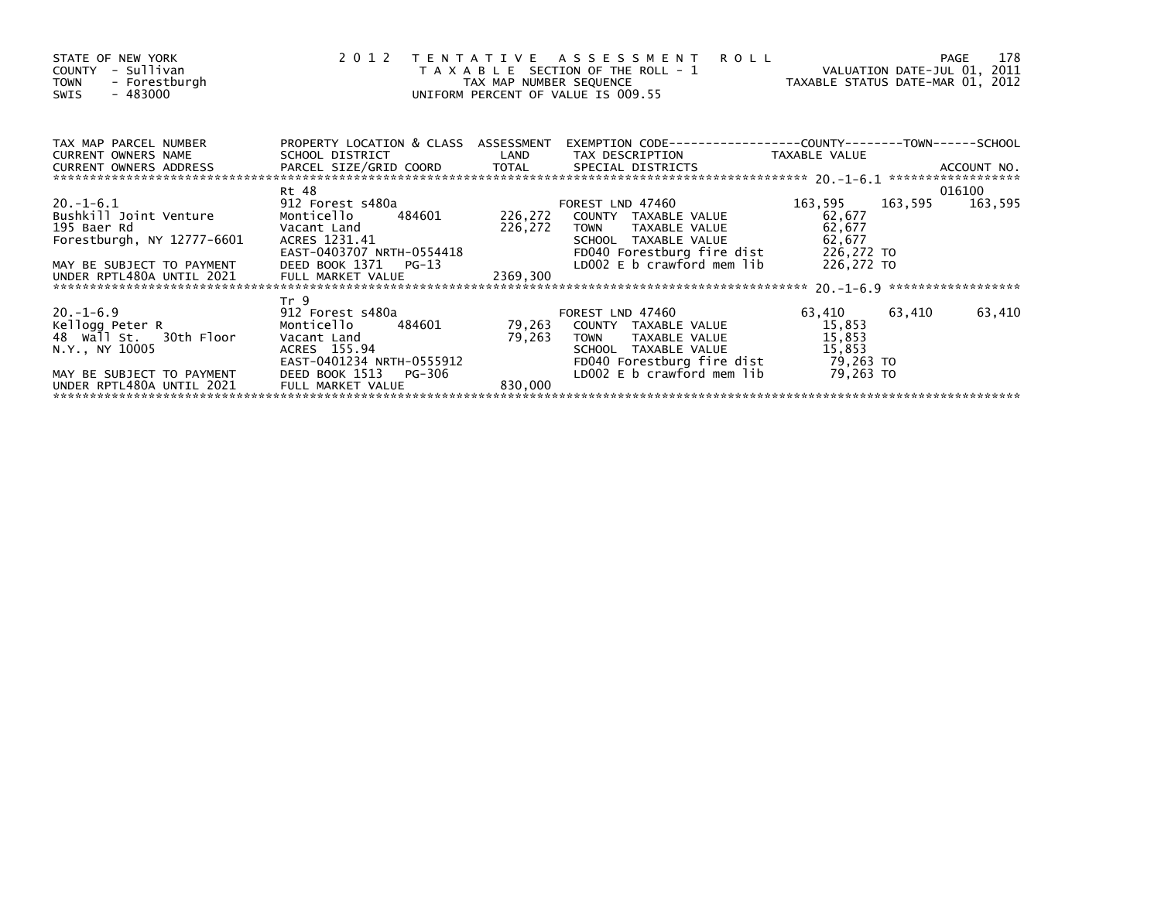| STATE OF NEW YORK<br>COUNTY - Sullivan<br>TOWN - Forestburgh<br>- 483000<br>SWIS                                                           |                                                                                                                                                                                                                                                             |          | 2012 TENTATIVE ASSESSMENT ROLL<br>PAGE 178<br>TAX MAP NUMBER SEQUENCE TAX MAP NOWER SEQUENCE TAX ALUATION DATE-JUL 01, 2011<br>UNIFORM PERCENT OF VALUE IS 009.55                              |                                                       | PAGE 178 |
|--------------------------------------------------------------------------------------------------------------------------------------------|-------------------------------------------------------------------------------------------------------------------------------------------------------------------------------------------------------------------------------------------------------------|----------|------------------------------------------------------------------------------------------------------------------------------------------------------------------------------------------------|-------------------------------------------------------|----------|
| TAX MAP PARCEL NUMBER<br>CURRENT OWNERS NAME                                                                                               |                                                                                                                                                                                                                                                             |          | PROPERTY LOCATION & CLASS ASSESSMENT EXEMPTION CODE----------------COUNTY-------TOWN------SCHOOL<br>SCHOOL DISTRICT                     LAND       TAX DESCRIPTION               TAXABLE VALUE |                                                       |          |
|                                                                                                                                            |                                                                                                                                                                                                                                                             |          |                                                                                                                                                                                                |                                                       |          |
| 20.-1-6.1<br>Bushkill Joint Venture<br>195 Baer Rd<br>Forestburgh, NY 12777-6601<br>MAY BE SUBJECT TO PAYMENT<br>UNDER RPTL480A UNTIL 2021 | Rt 48<br>912 Forest s480a<br>Vacant Land<br>FULL MARKET VALUE                                                                                                                                                                                               | 2369,300 | FOREST LND 47460<br>Monticello 484601 226,272 COUNTY TAXABLE VALUE<br>226,272 TOWN TAXABLE VALUE<br>SCHOOL TAXABLE VALUE                                                                       | 163,595 163,595 163,595<br>62,677<br>62,677<br>62,677 | 016100   |
|                                                                                                                                            |                                                                                                                                                                                                                                                             |          |                                                                                                                                                                                                |                                                       |          |
| $20. -1 - 6.9$<br>Kellogg Peter R<br>48 Wall St. 30th Floor<br>N.Y., NY 10005<br>MAY BE SUBJECT TO PAYMENT                                 | Tr <sub>9</sub><br>912 Forest s480a and the state of the state of the state of the state of the state of the state of the state o<br>Monticello 484601<br>Vacant Land<br>ACRES 155.94<br>ALKES 155.94<br>EAST-0401234 NRTH-0555912<br>DEED BOOK 1513 PG-306 |          | FOREST LND 47460<br>79,263 COUNTY TAXABLE VALUE<br>79,263 TOWN TAXABLE VALUE 15,853<br>LD002 E b crawford mem $lib$ 79,263 TO                                                                  | 63,410 63,410<br>15,853                               | 63,410   |
|                                                                                                                                            | FULL MARKET VALUE                                                                                                                                                                                                                                           | 830,000  |                                                                                                                                                                                                |                                                       |          |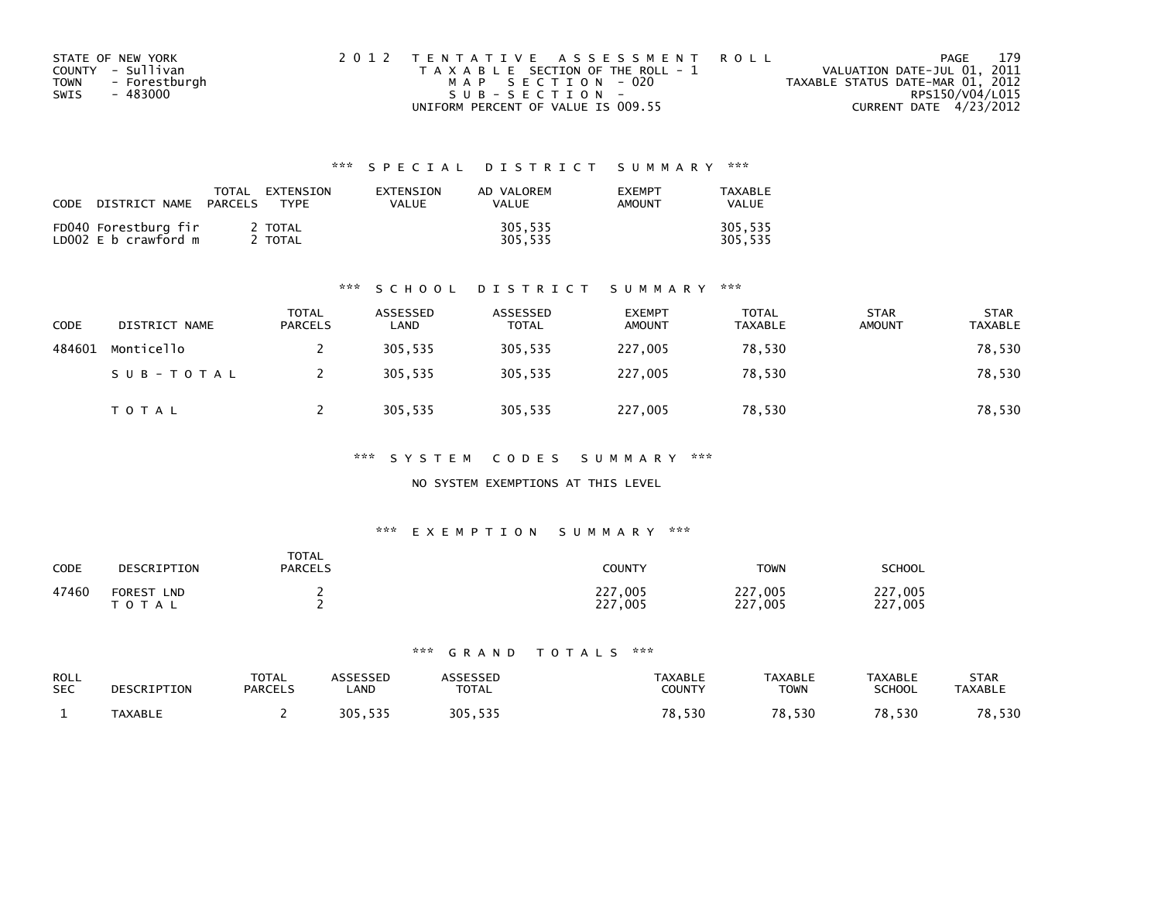| STATE OF NEW YORK     | 2012 TENTATIVE ASSESSMENT ROLL        | 179<br>PAGE                      |
|-----------------------|---------------------------------------|----------------------------------|
| COUNTY - Sullivan     | T A X A B L E SECTION OF THE ROLL - 1 | VALUATION DATE-JUL 01, 2011      |
| - Forestburgh<br>TOWN | MAP SECTION - 020                     | TAXABLE STATUS DATE-MAR 01, 2012 |
| - 483000<br>SWIS      | SUB-SECTION-                          | RPS150/V04/L015                  |
|                       | UNIFORM PERCENT OF VALUE IS 009.55    | CURRENT DATE 4/23/2012           |

| <b>CODE</b> | DISTRICT NAME                                | TOTAL<br>PARCELS | EXTENSION<br>TYPF | <b>FXTENSTON</b><br>VALUE | AD VALOREM<br>VALUE | <b>EXEMPT</b><br>AMOUNT | TAXARI F<br>VALUE  |
|-------------|----------------------------------------------|------------------|-------------------|---------------------------|---------------------|-------------------------|--------------------|
|             | FD040 Forestburg fir<br>LD002 E b crawford m |                  | 2 TOTAL<br>TOTAL  |                           | 305,535<br>305.535  |                         | 305.535<br>305.535 |

#### \*\*\* S C H O O L D I S T R I C T S U M M A R Y \*\*\*

| <b>CODE</b> | DISTRICT NAME | <b>TOTAL</b><br><b>PARCELS</b> | ASSESSED<br>LAND | ASSESSED<br><b>TOTAL</b> | <b>EXEMPT</b><br><b>AMOUNT</b> | <b>TOTAL</b><br>TAXABLE | <b>STAR</b><br><b>AMOUNT</b> | <b>STAR</b><br><b>TAXABLE</b> |
|-------------|---------------|--------------------------------|------------------|--------------------------|--------------------------------|-------------------------|------------------------------|-------------------------------|
| 484601      | Monticello    |                                | 305,535          | 305,535                  | 227,005                        | 78,530                  |                              | 78,530                        |
|             | SUB-TOTAL     |                                | 305.535          | 305,535                  | 227,005                        | 78,530                  |                              | 78,530                        |
|             | T O T A L     |                                | 305,535          | 305,535                  | 227,005                        | 78,530                  |                              | 78,530                        |

\*\*\* S Y S T E M C O D E S S U M M A R Y \*\*\*

#### NO SYSTEM EXEMPTIONS AT THIS LEVEL

#### \*\*\* E X E M P T I O N S U M M A R Y \*\*\*

| <b>CODE</b> | DESCRIPTION                                 | <b>TOTAL</b><br><b>PARCELS</b> | <b>COUNTY</b>          | <b>TOWN</b>             | <b>SCHOOL</b>      |
|-------------|---------------------------------------------|--------------------------------|------------------------|-------------------------|--------------------|
| 47460       | <b>FOREST</b><br><b>LND</b><br><b>TOTAL</b> |                                | .005<br>227<br>227,005 | 227,005<br>227.<br>,005 | 227,005<br>227,005 |

| <b>ROLL</b><br><b>SEC</b> | DESCRIPTION    | <b>TOTAL</b><br><b>PARCELS</b> | <b>\SSESSED</b><br>_AND | <b>TOTAL</b> | <b>TAXABLE</b><br>COUNTY | <b>TAXABLE</b><br><b>TOWN</b> | <b>TAXABLE</b><br>SCHOOL | <b>STAR</b><br><b>TAXABLE</b> |
|---------------------------|----------------|--------------------------------|-------------------------|--------------|--------------------------|-------------------------------|--------------------------|-------------------------------|
|                           | <b>TAXABLE</b> |                                | 525<br><b>205</b>       | 305,535      | ,530<br>70               | 78,530                        | 78,530                   | 78,530                        |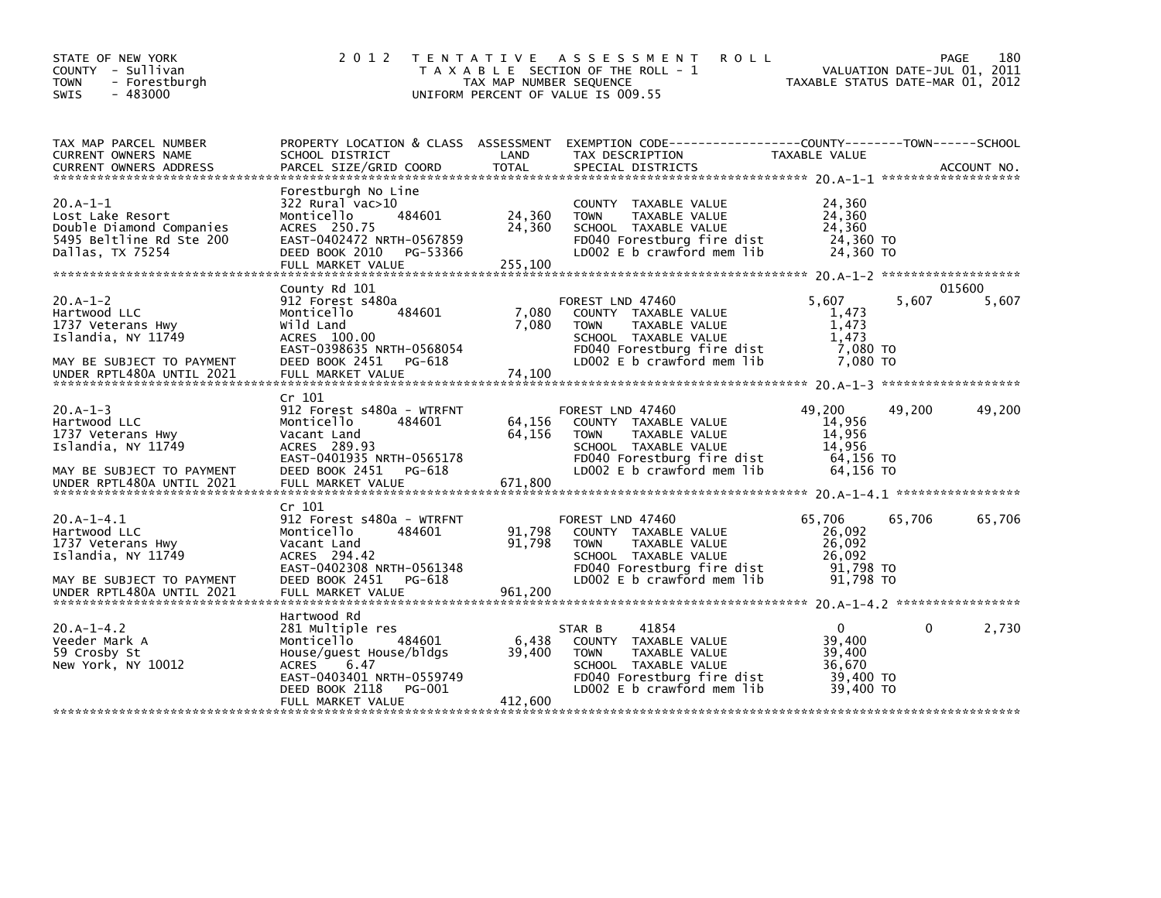| STATE OF NEW YORK<br>COUNTY - Sullivan<br>- Forestburgh<br><b>TOWN</b><br>$-483000$<br><b>SWIS</b>                                  | 2 0 1 2                                                                                                                                                                                  | TAX MAP NUMBER SEQUENCE     | TENTATIVE ASSESSMENT<br><b>ROLL</b><br>T A X A B L E SECTION OF THE ROLL - 1<br>UNIFORM PERCENT OF VALUE IS 009.55                                                  | VALUATION DATE-JUL 01, 2011<br>TAXABLE STATUS DATE-MAR 01, 2012  |        | 180<br>PAGE     |
|-------------------------------------------------------------------------------------------------------------------------------------|------------------------------------------------------------------------------------------------------------------------------------------------------------------------------------------|-----------------------------|---------------------------------------------------------------------------------------------------------------------------------------------------------------------|------------------------------------------------------------------|--------|-----------------|
| TAX MAP PARCEL NUMBER<br>CURRENT OWNERS NAME<br><b>CURRENT OWNERS ADDRESS</b>                                                       | SCHOOL DISTRICT<br>PARCEL SIZE/GRID COORD                                                                                                                                                | LAND<br>TOTAL               | PROPERTY LOCATION & CLASS ASSESSMENT EXEMPTION CODE---------------COUNTY-------TOWN------SCHOOL<br>TAX DESCRIPTION<br>SPECIAL DISTRICTS                             | TAXABLE VALUE                                                    |        | ACCOUNT NO.     |
| $20.A-1-1$<br>Lost Lake Resort<br>Double Diamond Companies<br>5495 Beltline Rd Ste 200<br>Dallas, TX 75254                          | Forestburgh No Line<br>322 Rural vac>10<br>Monticello<br>484601<br>ACRES 250.75<br>EAST-0402472 NRTH-0567859<br>DEED BOOK 2010<br>PG-53366<br>FULL MARKET VALUE                          | 24,360<br>24,360<br>255,100 | COUNTY TAXABLE VALUE<br>TAXABLE VALUE<br><b>TOWN</b><br>SCHOOL TAXABLE VALUE<br>FD040 Forestburg fire dist<br>LD002 $E$ b crawford mem $lib$                        | 24,360<br>24,360<br>24,360<br>24,360 TO<br>24,360 TO             |        |                 |
| $20.A-1-2$<br>Hartwood LLC<br>1737 Veterans Hwy<br>Islandia, NY 11749<br>MAY BE SUBJECT TO PAYMENT<br>UNDER RPTL480A UNTIL 2021     | County Rd 101<br>912 Forest s480a<br>Monticello<br>484601<br>Wild Land<br>ACRES 100.00<br>EAST-0398635 NRTH-0568054<br>DEED BOOK 2451<br>PG-618<br>FULL MARKET VALUE                     | 7,080<br>7,080<br>74.100    | FOREST LND 47460<br>COUNTY TAXABLE VALUE<br><b>TOWN</b><br>TAXABLE VALUE<br>SCHOOL TAXABLE VALUE<br>FD040 Forestburg fire dist<br>LD002 E b crawford mem lib        | 5,607<br>1,473<br>1,473<br>1.473<br>7,080 TO<br>7.080 TO         | 5,607  | 015600<br>5,607 |
| $20.A - 1 - 3$<br>Hartwood LLC<br>1737 Veterans Hwy<br>Islandia, NY 11749<br>MAY BE SUBJECT TO PAYMENT<br>UNDER RPTL480A UNTIL 2021 | Cr 101<br>912 Forest s480a - WTRFNT<br>Monticello<br>484601<br>Vacant Land<br>ACRES 289.93<br>EAST-0401935 NRTH-0565178<br>DEED BOOK 2451<br>PG-618<br>FULL MARKET VALUE                 | 64,156<br>64,156<br>671,800 | FOREST LND 47460<br>COUNTY TAXABLE VALUE<br><b>TOWN</b><br>TAXABLE VALUE<br>SCHOOL TAXABLE VALUE<br>FD040 Forestburg fire dist<br>LD002 $E$ b crawford mem $lib$    | 49,200<br>14,956<br>14,956<br>14,956<br>64,156 TO<br>64.156 TO   | 49,200 | 49,200          |
| $20.A-1-4.1$<br>Hartwood LLC<br>1737 Veterans Hwy<br>Islandia, NY 11749<br>MAY BE SUBJECT TO PAYMENT                                | Cr 101<br>912 Forest s480a - WTRFNT<br>484601<br>Monticello<br>Vacant Land<br>ACRES 294.42<br>EAST-0402308 NRTH-0561348<br>DEED BOOK 2451<br>PG-618                                      | 91,798<br>91,798            | FOREST LND 47460<br>COUNTY TAXABLE VALUE<br><b>TAXABLE VALUE</b><br><b>TOWN</b><br>SCHOOL TAXABLE VALUE<br>FD040 Forestburg fire dist<br>LD002 E b crawford mem lib | 65,706<br>26,092<br>26,092<br>26,092<br>91,798 TO<br>91,798 TO   | 65,706 | 65,706          |
| $20.A - 1 - 4.2$<br>Veeder Mark A<br>59 Crosby St<br>New York, NY 10012                                                             | Hartwood Rd<br>281 Multiple res<br>Monticello<br>484601<br>House/quest House/bldgs<br><b>ACRES</b><br>6.47<br>EAST-0403401 NRTH-0559749<br>PG-001<br>DEED BOOK 2118<br>FULL MARKET VALUE | 6,438<br>39,400<br>412,600  | 41854<br>STAR B<br>COUNTY TAXABLE VALUE<br>TAXABLE VALUE<br><b>TOWN</b><br>SCHOOL TAXABLE VALUE<br>FD040 Forestburg fire dist<br>LD002 E b crawford mem lib         | $\Omega$<br>39,400<br>39,400<br>36,670<br>39,400 TO<br>39.400 TO | 0      | 2,730           |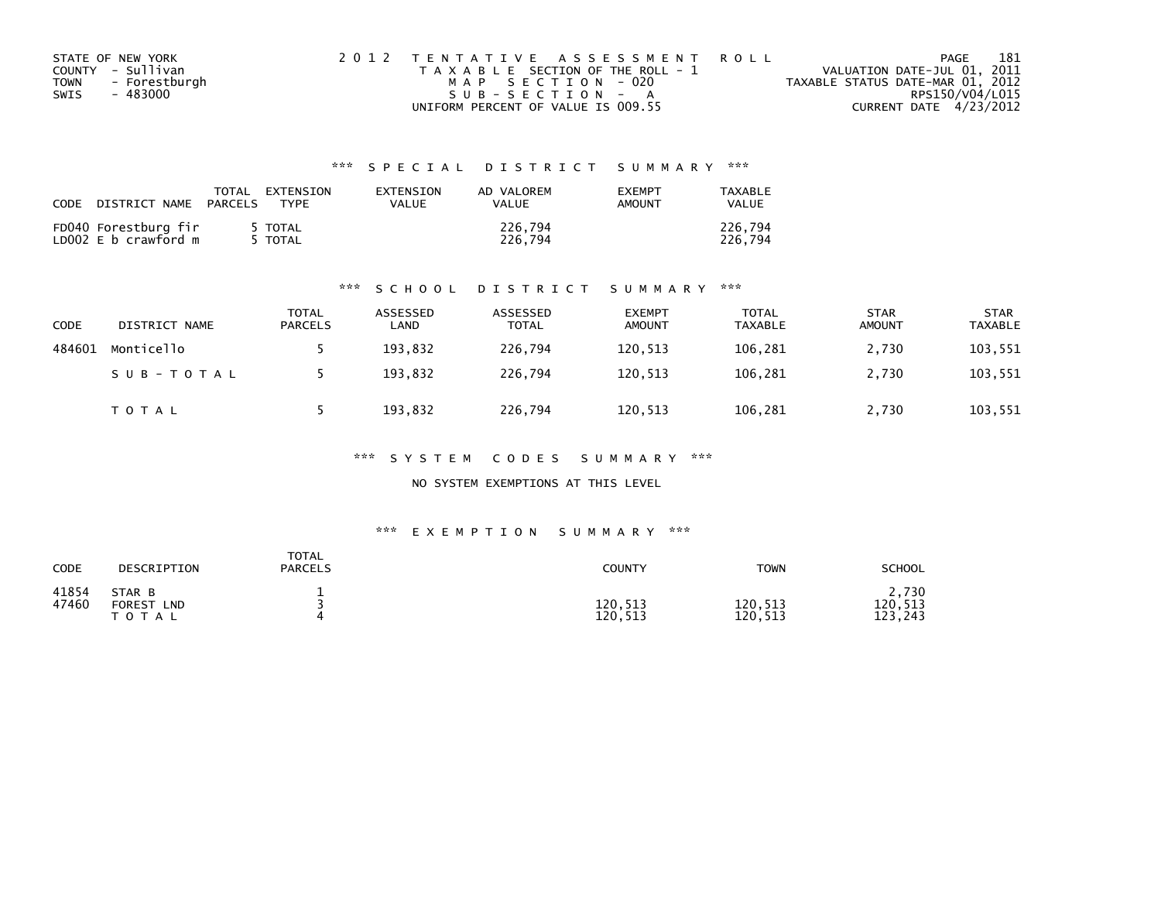| STATE OF NEW YORK |               | 2012 TENTATIVE ASSESSMENT ROLL        |  |                                  |                        | PAGE | 181 |
|-------------------|---------------|---------------------------------------|--|----------------------------------|------------------------|------|-----|
| COUNTY - Sullivan |               | T A X A B L E SECTION OF THE ROLL - 1 |  | VALUATION DATE-JUL 01, 2011      |                        |      |     |
| <b>TOWN</b>       | - Forestburgh | MAP SECTION - 020                     |  | TAXABLE STATUS DATE-MAR 01, 2012 |                        |      |     |
| SWIS              | - 483000      | SUB-SECTION - A                       |  |                                  | RPS150/V04/L015        |      |     |
|                   |               | UNIFORM PERCENT OF VALUE IS 009.55    |  |                                  | CURRENT DATE 4/23/2012 |      |     |

| <b>CODE</b> | DISTRICT NAME                                | TOTAL<br>PARCELS | EXTENSION<br>TYPF | <b>FXTENSTON</b><br>VALUE | AD VALOREM<br>VALUE | <b>EXEMPT</b><br>AMOUNT | TAXABLE<br>VALUE   |
|-------------|----------------------------------------------|------------------|-------------------|---------------------------|---------------------|-------------------------|--------------------|
|             | FD040 Forestburg fir<br>LD002 E b crawford m |                  | TOTAL T<br>TOTAL  |                           | 226,794<br>226.794  |                         | 226.794<br>226.794 |

## \*\*\* S C H O O L D I S T R I C T S U M M A R Y \*\*\*

| CODE   | DISTRICT NAME | TOTAL<br>PARCELS | ASSESSED<br>LAND | ASSESSED<br><b>TOTAL</b> | <b>EXEMPT</b><br><b>AMOUNT</b> | TOTAL<br><b>TAXABLE</b> | <b>STAR</b><br><b>AMOUNT</b> | <b>STAR</b><br><b>TAXABLE</b> |
|--------|---------------|------------------|------------------|--------------------------|--------------------------------|-------------------------|------------------------------|-------------------------------|
| 484601 | Monticello    |                  | 193,832          | 226,794                  | 120,513                        | 106,281                 | 2,730                        | 103,551                       |
|        | SUB-TOTAL     |                  | 193,832          | 226.794                  | 120,513                        | 106,281                 | 2,730                        | 103,551                       |
|        | TOTAL         |                  | 193,832          | 226,794                  | 120,513                        | 106,281                 | 2,730                        | 103,551                       |

\*\*\* S Y S T E M C O D E S S U M M A R Y \*\*\*

NO SYSTEM EXEMPTIONS AT THIS LEVEL

## \*\*\* E X E M P T I O N S U M M A R Y \*\*\*

| CODE           | DESCRIPTION                                           | TOTAL<br><b>PARCELS</b> | COUNTY             | <b>TOWN</b>        | <b>SCHOOL</b>               |
|----------------|-------------------------------------------------------|-------------------------|--------------------|--------------------|-----------------------------|
| 41854<br>47460 | STAR B<br><b>FOREST</b><br>LND<br><b>T O T</b><br>A L |                         | 120,513<br>120,513 | 120,513<br>120,513 | 2,730<br>120,513<br>123,243 |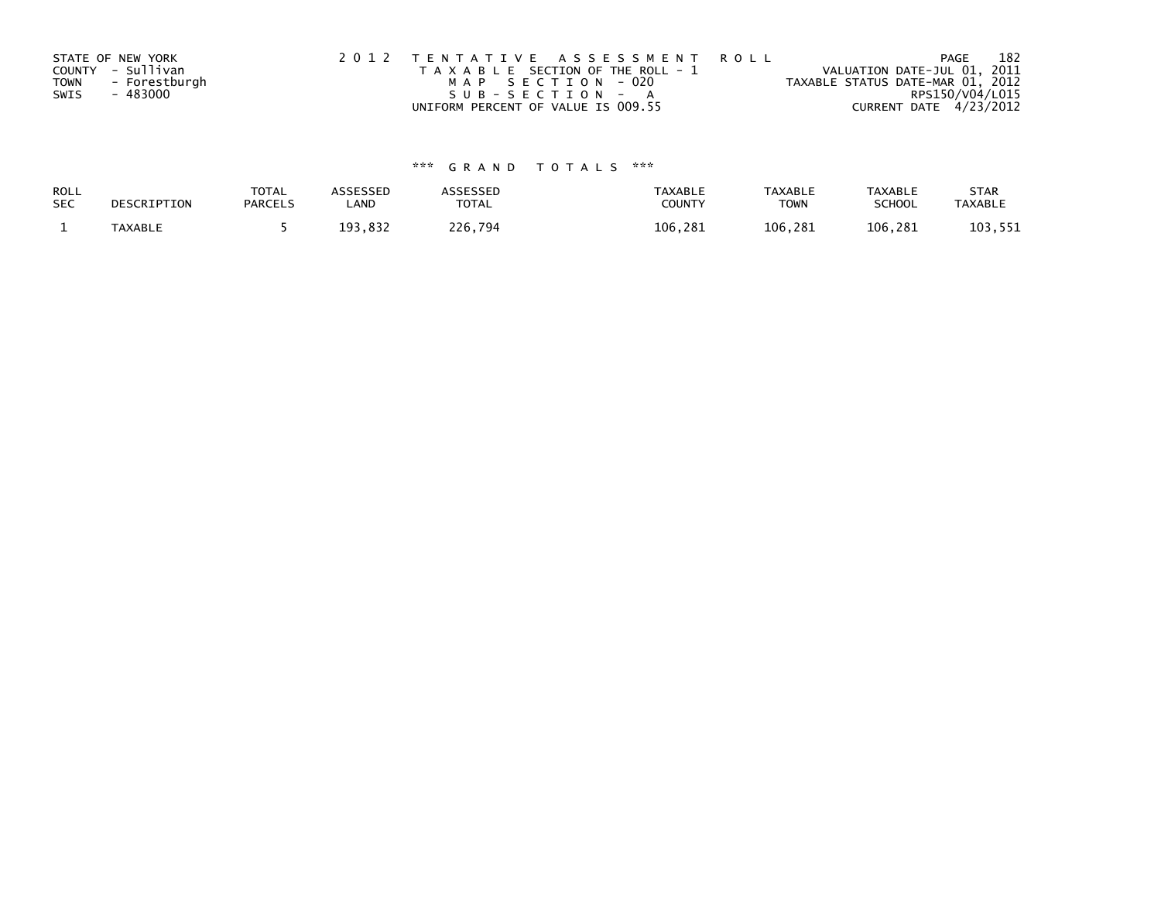|             | STATE OF NEW YORK | 2012 TENTATIVE ASSESSMENT ROLL        | 182<br>PAGE                      |
|-------------|-------------------|---------------------------------------|----------------------------------|
|             | COUNTY - Sullivan | T A X A B L E SECTION OF THE ROLL - 1 | VALUATION DATE-JUL 01, 2011      |
| <b>TOWN</b> | - Forestburgh     | MAP SECTION - 020                     | TAXABLE STATUS DATE-MAR 01, 2012 |
| SWIS        | - 483000          | SUB-SECTION - A                       | RPS150/V04/L015                  |
|             |                   | UNIFORM PERCENT OF VALUE IS 009.55    | CURRENT DATE 4/23/2012           |

| ROLL<br><b>SEC</b> | DESCRIPTION    | <b>TOTAL</b><br><b>PARCELS</b> | <b>\SSESSED</b><br>LAND | <b>\SSESSED</b><br>TOTAL | <b>TAXABLE</b><br><b>COUNT</b> | <b>TAXABLE</b><br><b>TOWN</b> | TAXABLE<br><b>SCHOOL</b> | <b>STAR</b><br><b>TAXABLI</b> |
|--------------------|----------------|--------------------------------|-------------------------|--------------------------|--------------------------------|-------------------------------|--------------------------|-------------------------------|
|                    | <b>TAXABLE</b> |                                | <b>R</b> 31<br>۵R       | 226<br>794               | 106<br>-281                    | 106.<br>.281                  | 106.281                  | 551<br>1 N D                  |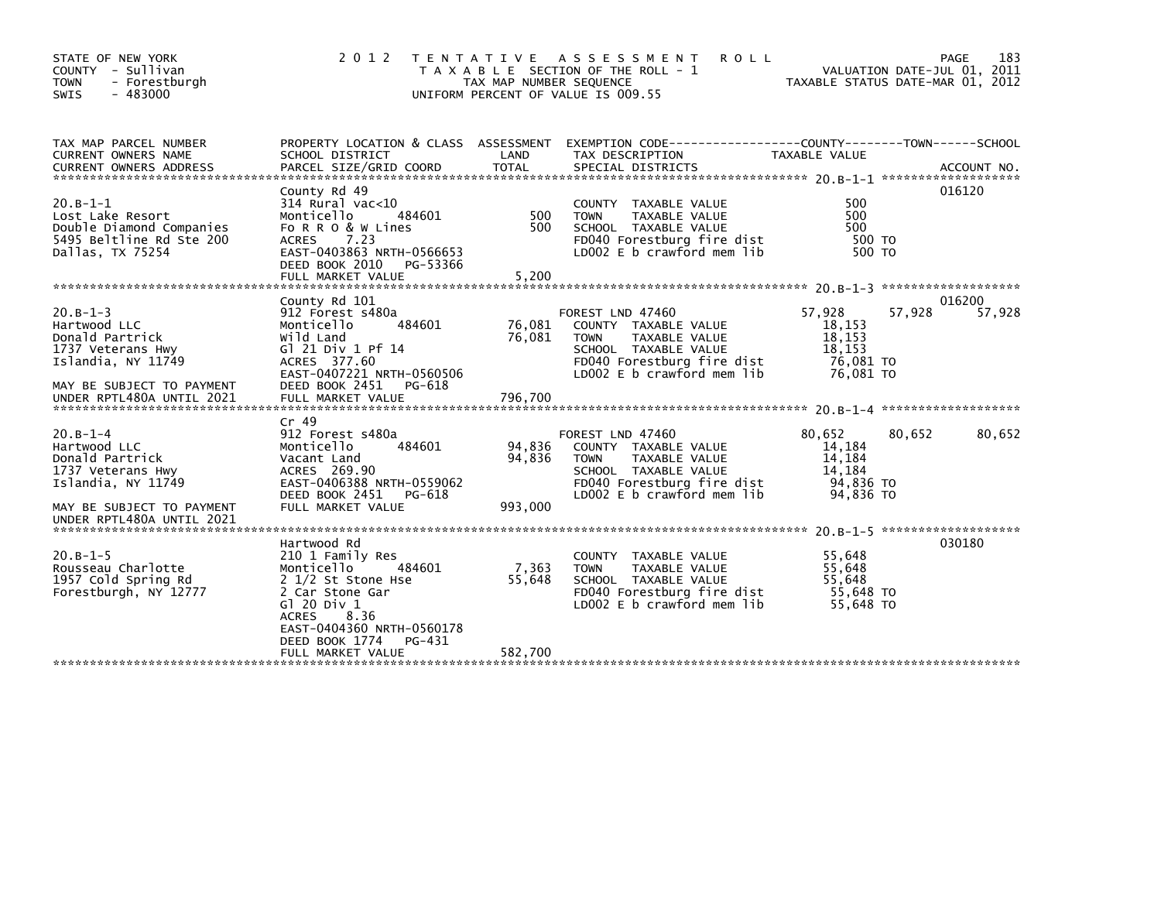| STATE OF NEW YORK<br>COUNTY - Sullivan<br>- Forestburgh<br><b>TOWN</b><br><b>SWIS</b><br>- 483000          | 2012                                                                                                                                                   | TAX MAP NUMBER SEQUENCE | TENTATIVE ASSESSMENT<br><b>ROLL</b><br>T A X A B L E SECTION OF THE ROLL - 1<br>UNIFORM PERCENT OF VALUE IS 009.55                                           | VALUATION DATE-JUL 01, 2011<br>TAXABLE STATUS DATE-MAR 01, 2012 |        | 183<br>PAGE |
|------------------------------------------------------------------------------------------------------------|--------------------------------------------------------------------------------------------------------------------------------------------------------|-------------------------|--------------------------------------------------------------------------------------------------------------------------------------------------------------|-----------------------------------------------------------------|--------|-------------|
| TAX MAP PARCEL NUMBER                                                                                      |                                                                                                                                                        |                         | PROPERTY LOCATION & CLASS ASSESSMENT EXEMPTION CODE----------------COUNTY-------TOWN------SCHOOL                                                             |                                                                 |        |             |
| CURRENT OWNERS NAME<br><b>CURRENT OWNERS ADDRESS</b>                                                       | SCHOOL DISTRICT<br>PARCEL SIZE/GRID COORD                                                                                                              | LAND<br><b>TOTAL</b>    | TAX DESCRIPTION<br>SPECIAL DISTRICTS                                                                                                                         | TAXABLE VALUE                                                   |        | ACCOUNT NO. |
|                                                                                                            | County Rd 49                                                                                                                                           |                         |                                                                                                                                                              |                                                                 |        | 016120      |
| $20.B-1-1$<br>Lost Lake Resort<br>Double Diamond Companies<br>5495 Beltline Rd Ste 200<br>Dallas, TX 75254 | $314$ Rural vac< $10$<br>Monticello<br>484601<br>Fo R R O & W Lines<br>7.23<br><b>ACRES</b><br>EAST-0403863 NRTH-0566653<br>DEED BOOK 2010<br>PG-53366 | 500<br>500              | COUNTY TAXABLE VALUE<br><b>TOWN</b><br>TAXABLE VALUE<br>SCHOOL TAXABLE VALUE<br>FD040 Forestburg fire dist<br>LD002 E b crawford mem lib                     | 500<br>500<br>500<br>500 TO<br>500 TO                           |        |             |
|                                                                                                            | FULL MARKET VALUE                                                                                                                                      | 5,200                   |                                                                                                                                                              |                                                                 |        |             |
|                                                                                                            | County Rd 101                                                                                                                                          |                         |                                                                                                                                                              |                                                                 |        | 016200      |
| $20.B-1-3$<br>Hartwood LLC<br>Donald Partrick<br>1737 Veterans Hwy<br>Islandia, NY 11749                   | 912 Forest s480a<br>Monticello<br>484601<br>Wild Land<br>G1 21 Div 1 Pf 14<br>ACRES 377.60<br>EAST-0407221 NRTH-0560506<br>DEED BOOK 2451<br>PG-618    | 76,081<br>76,081        | FOREST LND 47460<br>COUNTY TAXABLE VALUE<br><b>TOWN</b><br>TAXABLE VALUE<br>SCHOOL TAXABLE VALUE<br>FD040 Forestburg fire dist<br>LD002 E b crawford mem lib | 57,928<br>18,153<br>18,153<br>18,153<br>76,081 TO<br>76,081 TO  | 57,928 | 57,928      |
| MAY BE SUBJECT TO PAYMENT<br>UNDER RPTL480A UNTIL 2021                                                     | FULL MARKET VALUE                                                                                                                                      | 796,700                 |                                                                                                                                                              |                                                                 |        |             |
|                                                                                                            | Cr 49                                                                                                                                                  |                         |                                                                                                                                                              |                                                                 |        |             |
| $20.B-1-4$<br>Hartwood LLC<br>Donald Partrick<br>1737 Veterans Hwy<br>Islandia, NY 11749                   | 912 Forest s480a<br>Monticello<br>484601<br>Vacant Land<br>ACRES 269.90<br>EAST-0406388 NRTH-0559062                                                   | 94,836<br>94,836        | FOREST LND 47460<br>COUNTY TAXABLE VALUE<br>TAXABLE VALUE<br><b>TOWN</b><br>SCHOOL TAXABLE VALUE<br>FD040 Forestburg fire dist                               | 80.652<br>14,184<br>14,184<br>14,184<br>94,836 TO               | 80,652 | 80,652      |
| MAY BE SUBJECT TO PAYMENT                                                                                  | DEED BOOK 2451 PG-618<br>FULL MARKET VALUE                                                                                                             | 993,000                 | LD002 E b crawford mem lib                                                                                                                                   | 94,836 TO                                                       |        |             |
| UNDER RPTL480A UNTIL 2021                                                                                  |                                                                                                                                                        |                         |                                                                                                                                                              |                                                                 |        |             |
|                                                                                                            | Hartwood Rd                                                                                                                                            |                         |                                                                                                                                                              |                                                                 |        | 030180      |
| $20.B-1-5$<br>Rousseau Charlotte<br>1957 Cold Spring Rd<br>Forestburgh, NY 12777                           | 210 1 Family Res<br>Monticello<br>484601<br>2 1/2 St Stone Hse<br>2 Car Stone Gar<br>G1 20 Div 1<br>8.36<br><b>ACRES</b><br>EAST-0404360 NRTH-0560178  | 7,363<br>55,648         | COUNTY TAXABLE VALUE<br><b>TOWN</b><br>TAXABLE VALUE<br>SCHOOL TAXABLE VALUE<br>FD040 Forestburg fire dist<br>LD002 E b crawford mem lib                     | 55,648<br>55,648<br>55.648<br>55,648 TO<br>55,648 TO            |        |             |
|                                                                                                            | PG-431<br>DEED BOOK 1774<br>FULL MARKET VALUE                                                                                                          | 582,700                 |                                                                                                                                                              |                                                                 |        |             |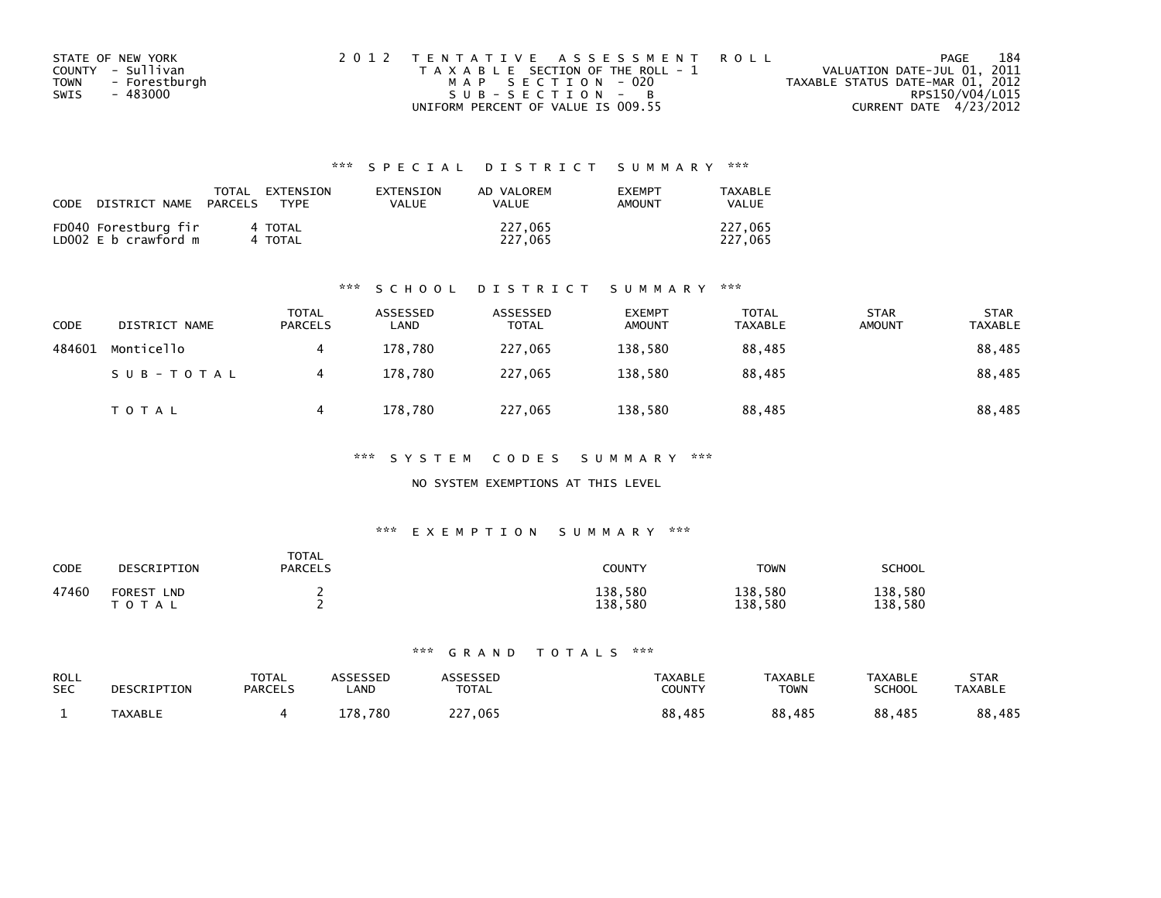| STATE OF NEW YORK     | 2012 TENTATIVE ASSESSMENT ROLL        | 184<br>PAGE                      |
|-----------------------|---------------------------------------|----------------------------------|
| COUNTY - Sullivan     | T A X A B L E SECTION OF THE ROLL - 1 | VALUATION DATE-JUL 01, 2011      |
| - Forestburgh<br>TOWN | MAP SECTION - 020                     | TAXABLE STATUS DATE-MAR 01, 2012 |
| - 483000<br>SWIS      | SUB-SECTION - B                       | RPS150/V04/L015                  |
|                       | UNIFORM PERCENT OF VALUE IS 009.55    | CURRENT DATE 4/23/2012           |

| CODE | DISTRICT NAME                                | TOTAL<br>PARCELS | FXTFNSTON<br><b>TYPF</b> | <b>FXTENSTON</b><br>VALUE | AD VALOREM<br>VALUE | <b>EXEMPT</b><br><b>AMOUNT</b> | TAXARI F<br>VALUE  |
|------|----------------------------------------------|------------------|--------------------------|---------------------------|---------------------|--------------------------------|--------------------|
|      | FD040 Forestburg fir<br>LD002 E b crawford m |                  | 4 TOTAL<br>4 TOTAL       |                           | 227,065<br>227.065  |                                | 227,065<br>227,065 |

## \*\*\* S C H O O L D I S T R I C T S U M M A R Y \*\*\*

| <b>CODE</b> | DISTRICT NAME | <b>TOTAL</b><br>PARCELS | ASSESSED<br>∟AND | ASSESSED<br><b>TOTAL</b> | <b>EXEMPT</b><br><b>AMOUNT</b> | <b>TOTAL</b><br><b>TAXABLE</b> | <b>STAR</b><br><b>AMOUNT</b> | <b>STAR</b><br><b>TAXABLE</b> |
|-------------|---------------|-------------------------|------------------|--------------------------|--------------------------------|--------------------------------|------------------------------|-------------------------------|
| 484601      | Monticello    |                         | 178.780          | 227,065                  | 138,580                        | 88,485                         |                              | 88,485                        |
|             | SUB-TOTAL     |                         | 178.780          | 227,065                  | 138.580                        | 88,485                         |                              | 88,485                        |
|             | T O T A L     |                         | 178,780          | 227,065                  | 138,580                        | 88,485                         |                              | 88,485                        |

\*\*\* S Y S T E M C O D E S S U M M A R Y \*\*\*

## NO SYSTEM EXEMPTIONS AT THIS LEVEL

## \*\*\* E X E M P T I O N S U M M A R Y \*\*\*

| CODE  | DESCRIPTION                              | <b>TOTAL</b><br><b>PARCELS</b> | <b>COUNTY</b>      | <b>TOWN</b>        | <b>SCHOOL</b>      |
|-------|------------------------------------------|--------------------------------|--------------------|--------------------|--------------------|
| 47460 | <b>FOREST</b><br><b>LND</b><br>T O T A L |                                | 138,580<br>138,580 | 138,580<br>138,580 | 138,580<br>138,580 |

| ROLL       | DESCRIPTION    | <b>TOTAL</b>   | ASSESSED | <b>ASSESSED</b> | TAXABLE | <b>TAXABLE</b> | <b>TAXABLE</b> | <b>STAR</b>    |
|------------|----------------|----------------|----------|-----------------|---------|----------------|----------------|----------------|
| <b>SEC</b> |                | <b>PARCELS</b> | _AND     | <b>TOTAL</b>    | COUNTY  | TOWN           | <b>SCHOOL</b>  | <b>TAXABLE</b> |
|            | <b>TAXABLE</b> |                | 178,780  | 227,065         | 88,485  | 88,485         | 88,485         | 88,485         |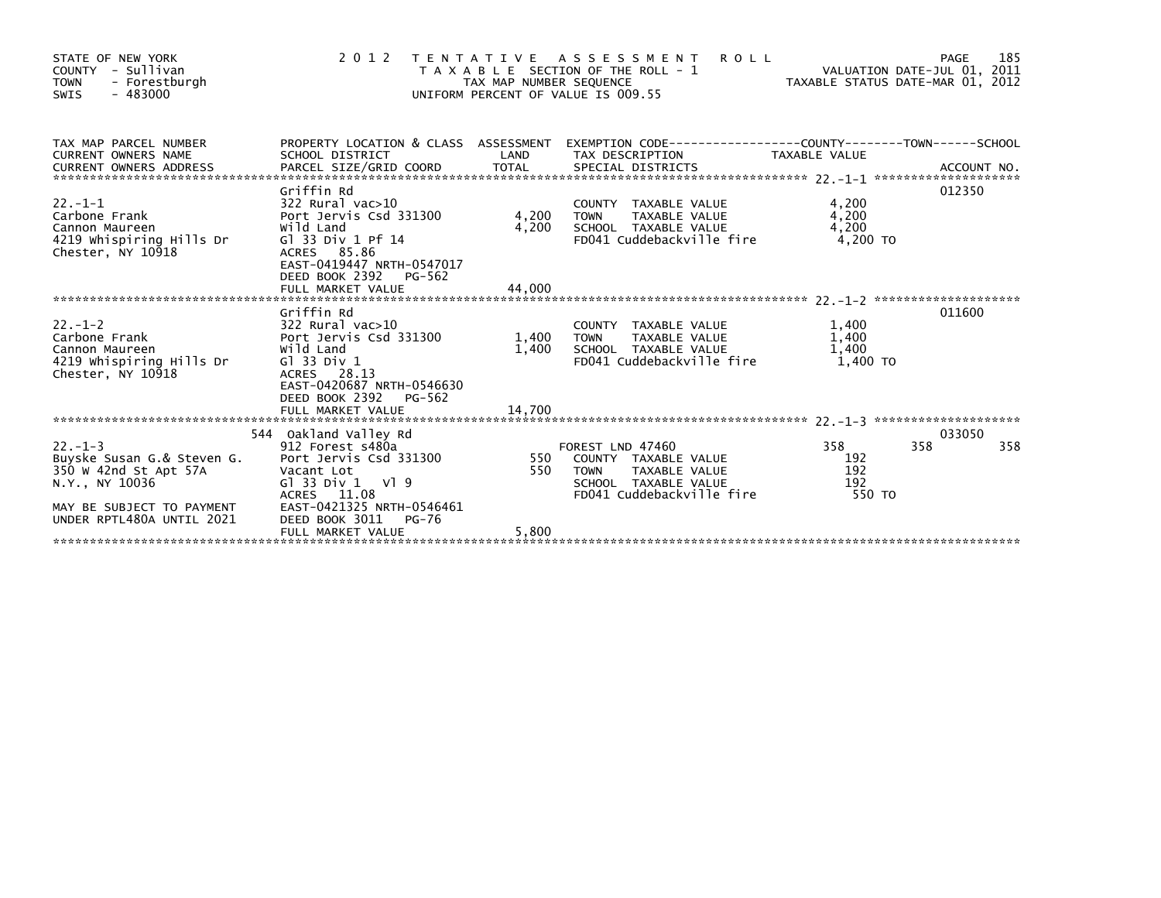| STATE OF NEW YORK<br>COUNTY - Sullivan<br><b>TOWN</b><br>- Forestburgh<br>$-483000$<br>SWIS                                                                                                                                                                                       |                                                                                                                                                                                | TAX MAP NUMBER SEQUENCE | 2012 TENTATIVE ASSESSMENT<br><b>ROLL</b><br>T A X A B L E SECTION OF THE ROLL - 1<br>UNIFORM PERCENT OF VALUE IS 009.55    | VALUATION DATE-JUL 01, 2011<br>VALUATION DATE-JUL 01, 2011<br>TAXABLE STATUS DATE-MAR 01, 2012 | 185<br>PAGE          |
|-----------------------------------------------------------------------------------------------------------------------------------------------------------------------------------------------------------------------------------------------------------------------------------|--------------------------------------------------------------------------------------------------------------------------------------------------------------------------------|-------------------------|----------------------------------------------------------------------------------------------------------------------------|------------------------------------------------------------------------------------------------|----------------------|
| TAX MAP PARCEL NUMBER<br>CURRENT OWNERS NAME<br>CURRENT UNIVERS ANDRESS TO A THE CONFIDENT ON THE CONFIDENT ON THE CONTROL OF A SECTIAL SPECIAL DISTRICTS ACCOUNT NO<br>CURRENT OWNERS ADDRESS PARCEL SIZE/GRID COORD TOTAL SPECIAL DISTRICTS (22.1-1 *************************** | <b>Example 18 Service CAND</b><br>SCHOOL DISTRICT                                                                                                                              |                         | PROPERTY LOCATION & CLASS ASSESSMENT EXEMPTION CODE----------------COUNTY-------TOWN-----SCHOOL<br>TAX DESCRIPTION         | TAXABLE VALUE                                                                                  |                      |
| 22.-1-1<br>Carbone Frank<br>Cannon Maureen<br>4219 Whispiring Hills Dr<br>Chester, NY 10918                                                                                                                                                                                       | Griffin Rd<br>322 Rural vac>10<br>Port Jervis Csd 331300<br>Wild Land<br>G1 33 Div 1 Pf 14<br>ACRES 85.86<br>EAST-0419447 NRTH-0547017<br>DEED BOOK 2392<br>PG-562             | 4,200<br>4,200          | COUNTY TAXABLE VALUE<br>TAXABLE VALUE<br>TAXABLE VALUE<br><b>TOWN</b><br>SCHOOL TAXABLE VALUE<br>FD041 Cuddebackville fire | 4,200<br>4,200<br>4,200<br>4,200 TO                                                            | 012350               |
|                                                                                                                                                                                                                                                                                   |                                                                                                                                                                                |                         |                                                                                                                            |                                                                                                |                      |
| $22 - 1 - 2$<br>Carbone Frank <b>Port Jervis Csd</b> 331300 1.400<br>Cannon Maureen<br>4219 whispiring Hills Dr<br>Chester, NY 10918                                                                                                                                              | Griffin Rd<br>322 Rural vac>10<br>Wild Land<br>G1 33 Div 1<br>ACRES 28.13<br>EAST-0420687 NRTH-0546630<br>DEED BOOK 2392 PG-562                                                | 1,400                   | COUNTY TAXABLE VALUE<br>TAXABLE VALUE<br><b>TOWN</b><br>SCHOOL TAXABLE VALUE<br>FD041 Cuddebackville fire                  | 1,400<br>1,400<br>1,400<br>1.400 TO                                                            | 011600               |
|                                                                                                                                                                                                                                                                                   |                                                                                                                                                                                |                         |                                                                                                                            |                                                                                                |                      |
| $22. -1 - 3$<br>Buyske Susan G.& Steven G.<br>350 W 42nd St Apt 57A<br>N.Y., NY 10036<br>MAY BE SUBJECT TO PAYMENT<br>UNDER RPTL480A UNTIL 2021                                                                                                                                   | 544 Oakland Valley Rd<br>912 Forest s480a<br>Port Jervis Csd 331300<br>Vacant Lot<br>$G1$ 33 Div 1 V1 9<br>ACRES 11.08<br>EAST-0421325 NRTH-0546461<br>DEED BOOK 3011<br>PG-76 | $550$ FC<br>550         | FOREST LND 47460<br>COUNTY TAXABLE VALUE<br>TOWN     TAXABLE VALUE<br>SCHOOL TAXABLE VALUE<br>FD041 Cuddebackville fire    | 358<br>192<br>192<br>192<br>550 TO                                                             | 033050<br>358<br>358 |
|                                                                                                                                                                                                                                                                                   | FULL MARKET VALUE                                                                                                                                                              | 5,800                   |                                                                                                                            |                                                                                                |                      |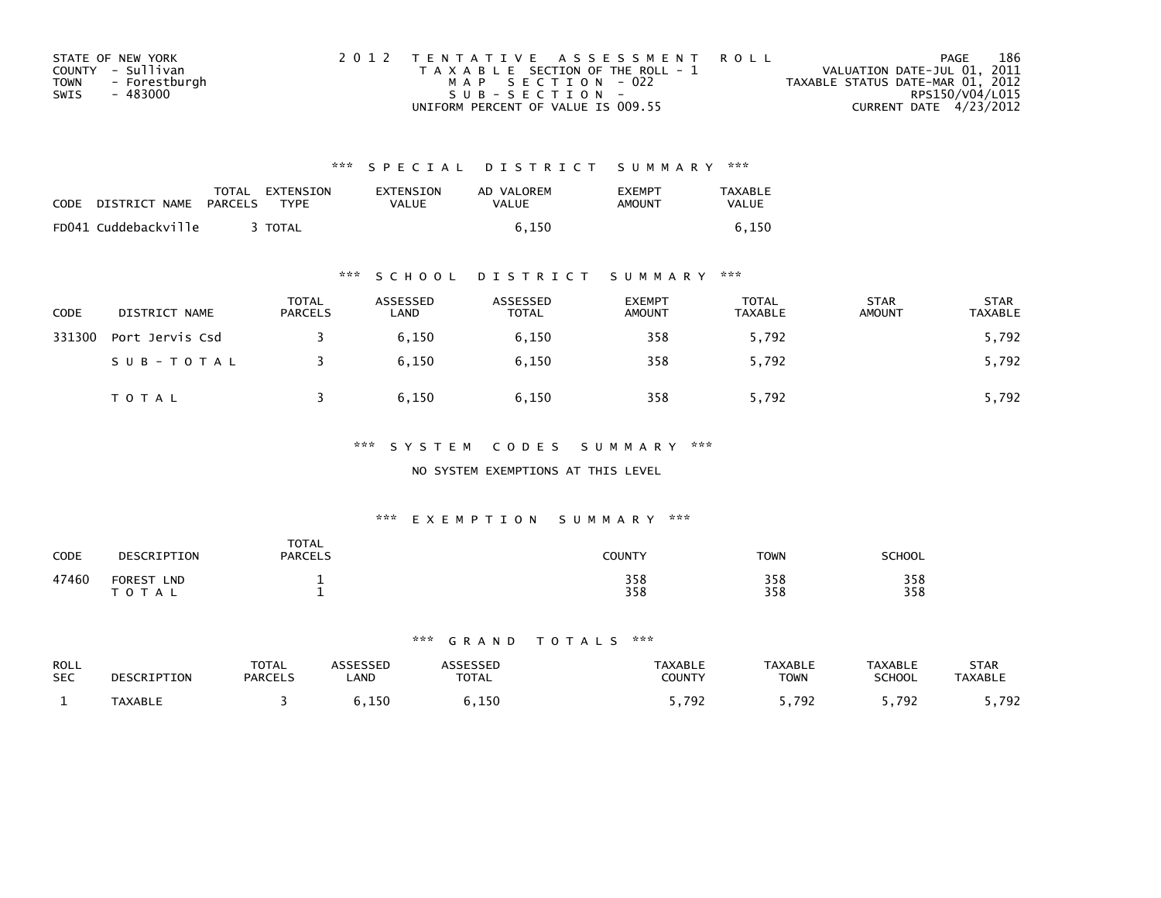| STATE OF NEW YORK            | 2012 TENTATIVE ASSESSMENT ROLL        | PAGE                             | 186 |
|------------------------------|---------------------------------------|----------------------------------|-----|
| COUNTY - Sullivan            | T A X A B L E SECTION OF THE ROLL - 1 | VALUATION DATE-JUL 01, 2011      |     |
| <b>TOWN</b><br>- Forestburgh | MAP SECTION - 022                     | TAXABLE STATUS DATE-MAR 01, 2012 |     |
| SWIS<br>- 483000             | $SUB - SECTION -$                     | RPS150/V04/L015                  |     |
|                              | UNIFORM PERCENT OF VALUE IS 009.55    | CURRENT DATE 4/23/2012           |     |

| <b>CODE</b> | DISTRICT NAME        | <b>PARCELS</b> | TOTAL EXTENSION<br><b>TYPF</b> | <b>EXTENSION</b><br><b>VALUE</b> | AD VALOREM<br>VALUE | <b>FXFMPT</b><br>AMOUNT | <b>TAXABLE</b><br>VALUE |
|-------------|----------------------|----------------|--------------------------------|----------------------------------|---------------------|-------------------------|-------------------------|
|             | FD041 Cuddebackville |                | <b>TOTAL</b>                   |                                  | 6.150               |                         | 6.150                   |

## \*\*\* S C H O O L D I S T R I C T S U M M A R Y \*\*\*

| <b>CODE</b> | DISTRICT NAME   | <b>TOTAL</b><br><b>PARCELS</b> | ASSESSED<br>LAND | ASSESSED<br><b>TOTAL</b> | <b>EXEMPT</b><br><b>AMOUNT</b> | TOTAL<br><b>TAXABLE</b> | <b>STAR</b><br><b>AMOUNT</b> | <b>STAR</b><br>TAXABLE |
|-------------|-----------------|--------------------------------|------------------|--------------------------|--------------------------------|-------------------------|------------------------------|------------------------|
| 331300      | Port Jervis Csd |                                | 6.150            | 6,150                    | 358                            | 5,792                   |                              | 5,792                  |
|             | SUB-TOTAL       |                                | 6.150            | 6,150                    | 358                            | 5,792                   |                              | 5,792                  |
|             | T O T A L       |                                | 6.150            | 6,150                    | 358                            | 5,792                   |                              | 5,792                  |

## \*\*\* S Y S T E M C O D E S S U M M A R Y \*\*\*

## NO SYSTEM EXEMPTIONS AT THIS LEVEL

## \*\*\* E X E M P T I O N S U M M A R Y \*\*\*

| <b>CODE</b> | DESCRIPTION                        | <b>TOTAL</b><br><b>PARCELS</b> | COUNTY     | <b>TOWN</b> | <b>SCHOOL</b> |
|-------------|------------------------------------|--------------------------------|------------|-------------|---------------|
| 47460       | <b>FOREST</b><br><b>LND</b><br>A L |                                | 358<br>358 | 358<br>358  | 358<br>358    |

| ROLL       | DESCRIPTION    | <b>TOTAL</b>   | <b>ASSESSED</b> | <b>ASSESSED</b> | <b>TAXABLE</b> | <b>TAXABLE</b> | TAXABLE       | STAR           |
|------------|----------------|----------------|-----------------|-----------------|----------------|----------------|---------------|----------------|
| <b>SEC</b> |                | <b>PARCELS</b> | <b>_AND</b>     | <b>TOTAL</b>    | COUNTY         | <b>TOWN</b>    | <b>SCHOOL</b> | <b>TAXABLE</b> |
|            | <b>TAXABLE</b> |                | ,150            | 6,150           | , 792          | . 792. ر       | ,792          | 792.           |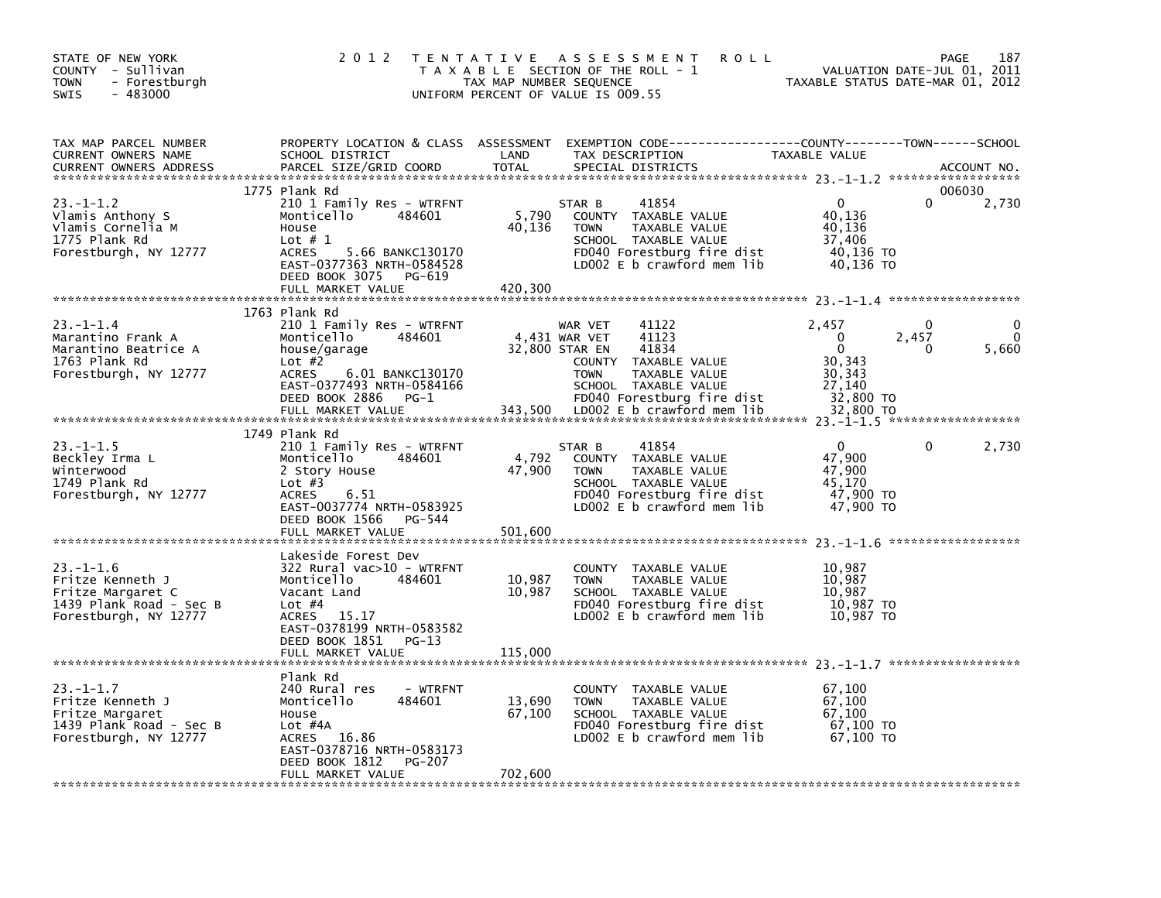| 2 0 1 2                                                                                                                    | ASSESSMENT<br><b>ROLL</b>                                                                                                                                                                 | 187<br>PAGE<br>VALUATION DATE-JUL 01, 2011<br>TAXABLE STATUS DATE-MAR 01, 2012                                                                                                                                                                                                                                                                                                                                                                                                                                      |
|----------------------------------------------------------------------------------------------------------------------------|-------------------------------------------------------------------------------------------------------------------------------------------------------------------------------------------|---------------------------------------------------------------------------------------------------------------------------------------------------------------------------------------------------------------------------------------------------------------------------------------------------------------------------------------------------------------------------------------------------------------------------------------------------------------------------------------------------------------------|
| SCHOOL DISTRICT<br>PARCEL SIZE/GRID COORD                                                                                  | TAX DESCRIPTION<br>LAND<br><b>TOTAL</b><br>SPECIAL DISTRICTS                                                                                                                              | <b>TAXABLE VALUE</b><br>ACCOUNT NO.                                                                                                                                                                                                                                                                                                                                                                                                                                                                                 |
| 484601<br>Monticello<br>House<br>Lot $# 1$<br><b>ACRES</b><br>DEED BOOK 3075<br>PG-619<br>FULL MARKET VALUE                | 41854<br>STAR B<br>5,790<br>COUNTY TAXABLE VALUE<br>40,136<br>TAXABLE VALUE<br><b>TOWN</b><br>SCHOOL TAXABLE VALUE<br>FD040 Forestburg fire dist<br>LD002 E b crawford mem lib            | 006030<br>$\Omega$<br>2,730<br>40,136<br>40,136<br>37,406<br>40,136 TO<br>40,136 TO                                                                                                                                                                                                                                                                                                                                                                                                                                 |
|                                                                                                                            |                                                                                                                                                                                           |                                                                                                                                                                                                                                                                                                                                                                                                                                                                                                                     |
| 484601<br>Monticello<br>house/garage<br>Lot $#2$<br><b>ACRES</b>                                                           | 41122<br>WAR VET<br>4,431 WAR VET<br>41123<br>32,800 STAR EN<br>41834<br>COUNTY TAXABLE VALUE<br><b>TOWN</b><br>TAXABLE VALUE<br>SCHOOL TAXABLE VALUE                                     | 2,457<br>0<br>$\mathbf{0}$<br>2,457<br>$\Omega$<br>$\mathbf{0}$<br>5,660<br>$\Omega$<br>30,343<br>30,343<br>27,140<br>32,800 TO                                                                                                                                                                                                                                                                                                                                                                                     |
| FULL MARKET VALUE                                                                                                          | 343,500<br>LD002 E b crawford mem lib                                                                                                                                                     | 32,800 TO                                                                                                                                                                                                                                                                                                                                                                                                                                                                                                           |
|                                                                                                                            |                                                                                                                                                                                           |                                                                                                                                                                                                                                                                                                                                                                                                                                                                                                                     |
| Monticello<br>484601<br>2 Story House<br>Lot $#3$<br><b>ACRES</b><br>6.51<br>DEED BOOK 1566<br>PG-544<br>FULL MARKET VALUE | 41854<br>STAR B<br>4,792<br>COUNTY TAXABLE VALUE<br>47,900<br><b>TOWN</b><br>TAXABLE VALUE<br>SCHOOL TAXABLE VALUE<br>FD040 Forestburg fire dist<br>LD002 E b crawford mem lib<br>501,600 | $\Omega$<br>2,730<br>0<br>47,900<br>47,900<br>45.170<br>47,900 TO<br>47,900 TO                                                                                                                                                                                                                                                                                                                                                                                                                                      |
|                                                                                                                            |                                                                                                                                                                                           |                                                                                                                                                                                                                                                                                                                                                                                                                                                                                                                     |
| 484601<br>Monticello<br>Vacant Land<br>Lot $#4$<br>ACRES<br>15.17<br>DEED BOOK 1851 PG-13                                  | COUNTY TAXABLE VALUE<br>10,987<br><b>TOWN</b><br>TAXABLE VALUE<br>10,987<br>SCHOOL TAXABLE VALUE<br>FD040 Forestburg fire dist<br>LD002 $E$ b crawford mem lib                            | 10,987<br>10,987<br>10,987<br>10,987 TO<br>10,987 TO                                                                                                                                                                                                                                                                                                                                                                                                                                                                |
|                                                                                                                            |                                                                                                                                                                                           |                                                                                                                                                                                                                                                                                                                                                                                                                                                                                                                     |
| 240 Rural res<br>Monticello<br>484601<br>House<br>Lot $#4A$<br>16.86<br>ACRES<br>PG-207                                    | COUNTY TAXABLE VALUE<br>13,690<br><b>TOWN</b><br>TAXABLE VALUE<br>67,100<br>SCHOOL TAXABLE VALUE<br>FD040 Forestburg fire dist<br>LD002 E b crawford mem lib                              | 67,100<br>67,100<br>67,100<br>67,100 TO<br>67,100 TO                                                                                                                                                                                                                                                                                                                                                                                                                                                                |
| FULL MARKET VALUE                                                                                                          | 702,600                                                                                                                                                                                   |                                                                                                                                                                                                                                                                                                                                                                                                                                                                                                                     |
|                                                                                                                            | 1775 Plank Rd<br>1763 Plank Rd<br>DEED BOOK 2886<br>$PG-1$<br>1749 Plank Rd<br>Lakeside Forest Dev<br>FULL MARKET VALUE<br>Plank Rd<br>EAST-0378716 NRTH-0583173<br>DEED BOOK 1812        | T E N T A T I V E<br>T A X A B L E SECTION OF THE ROLL - 1<br>TAX MAP NUMBER SEQUENCE<br>UNIFORM PERCENT OF VALUE IS 009.55<br>PROPERTY LOCATION & CLASS ASSESSMENT<br>210 1 Family Res - WTRFNT<br>5.66 BANKC130170<br>EAST-0377363 NRTH-0584528<br>420,300<br>210 1 Family Res - WTRFNT<br>6.01 BANKC130170<br>EAST-0377493 NRTH-0584166<br>FD040 Forestburg fire dist<br>210 1 Family Res - WTRFNT<br>EAST-0037774 NRTH-0583925<br>322 Rural vac>10 - WTRFNT<br>EAST-0378199 NRTH-0583582<br>115,000<br>- WTRFNT |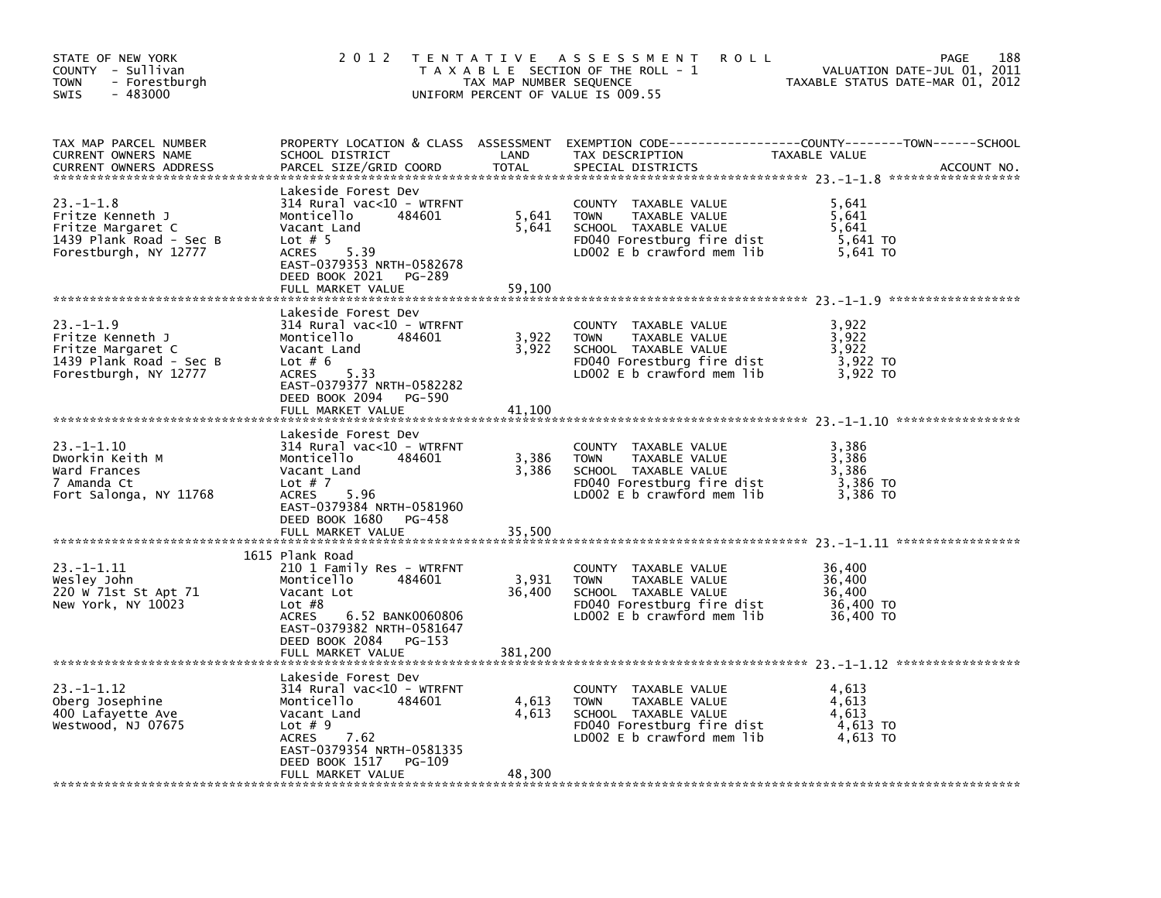| STATE OF NEW YORK<br>COUNTY - Sullivan<br><b>TOWN</b><br>- Forestburgh<br>$-483000$<br><b>SWIS</b>          | 2 0 1 2                                                                                                                                                                                                      | TAX MAP NUMBER SEQUENCE    | TENTATIVE ASSESSMENT<br><b>ROLL</b><br>T A X A B L E SECTION OF THE ROLL - 1<br>UNIFORM PERCENT OF VALUE IS 009.55                       | PAGE<br>VALUATION DATE-JUL 01, 2011<br>TAXABLE STATUS DATE-MAR 01, 2012                                                        | 188 |
|-------------------------------------------------------------------------------------------------------------|--------------------------------------------------------------------------------------------------------------------------------------------------------------------------------------------------------------|----------------------------|------------------------------------------------------------------------------------------------------------------------------------------|--------------------------------------------------------------------------------------------------------------------------------|-----|
| TAX MAP PARCEL NUMBER<br><b>CURRENT OWNERS NAME</b><br><b>CURRENT OWNERS ADDRESS</b>                        | SCHOOL DISTRICT<br>PARCEL SIZE/GRID COORD                                                                                                                                                                    | LAND<br>TOTAL              | TAX DESCRIPTION<br>SPECIAL DISTRICTS                                                                                                     | PROPERTY LOCATION & CLASS ASSESSMENT EXEMPTION CODE---------------COUNTY-------TOWN-----SCHOOL<br>TAXABLE VALUE<br>ACCOUNT NO. |     |
| $23 - 1 - 1.8$<br>Fritze Kenneth J<br>Fritze Margaret C<br>1439 Plank Road - Sec B<br>Forestburgh, NY 12777 | Lakeside Forest Dev<br>314 Rural vac<10 - WTRFNT<br>Monticello<br>484601<br>Vacant Land<br>Lot $# 5$<br>5.39<br><b>ACRES</b><br>EAST-0379353 NRTH-0582678<br>DEED BOOK 2021<br>PG-289<br>FULL MARKET VALUE   | 5,641<br>5,641<br>59,100   | COUNTY TAXABLE VALUE<br>TAXABLE VALUE<br><b>TOWN</b><br>SCHOOL TAXABLE VALUE<br>FD040 Forestburg fire dist<br>LD002 E b crawford mem lib | 5,641<br>5,641<br>5.641<br>5,641 TO<br>5,641 TO                                                                                |     |
| 23. –1–1.9<br>Fritze Kenneth J<br>Fritze Margaret C<br>1439 Plank Road - Sec B<br>Forestburgh, NY 12777     | Lakeside Forest Dev<br>314 Rural vac<10 - WTRFNT<br>Monticello<br>484601<br>Vacant Land<br>Lot $# 6$<br><b>ACRES</b><br>5.33<br>EAST-0379377 NRTH-0582282<br>DEED BOOK 2094<br>PG-590<br>FULL MARKET VALUE   | 3,922<br>3,922<br>41.100   | COUNTY TAXABLE VALUE<br><b>TOWN</b><br>TAXABLE VALUE<br>SCHOOL TAXABLE VALUE<br>FD040 Forestburg fire dist<br>LD002 E b crawford mem lib | 3,922<br>3,922<br>3,922<br>3,922 TO<br>3,922 TO                                                                                |     |
| $23. -1 - 1.10$<br>Dworkin Keith M<br>Ward Frances<br>7 Amanda Ct<br>Fort Salonga, NY 11768                 | Lakeside Forest Dev<br>$314$ Rural vac<10 - WTRFNT<br>Monticello<br>484601<br>Vacant Land<br>Lot $# 7$<br>5.96<br>ACRES<br>EAST-0379384 NRTH-0581960<br>DEED BOOK 1680<br>PG-458<br>FULL MARKET VALUE        | 3,386<br>3,386<br>35,500   | COUNTY TAXABLE VALUE<br><b>TOWN</b><br>TAXABLE VALUE<br>SCHOOL TAXABLE VALUE<br>FD040 Forestburg fire dist<br>LD002 E b crawford mem lib | 3,386<br>3,386<br>3,386<br>3,386 TO<br>3.386 TO                                                                                |     |
| $23. -1 - 1.11$<br>Wesley John<br>220 W 71st St Apt 71<br>New York, NY 10023                                | 1615 Plank Road<br>210 1 Family Res - WTRFNT<br>484601<br>Monticello<br>Vacant Lot<br>Lot $#8$<br>6.52 BANK0060806<br>ACRES<br>EAST-0379382 NRTH-0581647<br>DEED BOOK 2084<br>PG-153<br>FULL MARKET VALUE    | 3,931<br>36,400<br>381,200 | COUNTY TAXABLE VALUE<br>TAXABLE VALUE<br><b>TOWN</b><br>SCHOOL TAXABLE VALUE<br>FD040 Forestburg fire dist<br>LD002 E b crawford mem lib | 36,400<br>36,400<br>36.400<br>36,400 TO<br>36,400 TO                                                                           |     |
| $23. -1 - 1.12$<br>Oberg Josephine<br>400 Lafayette Ave<br>Westwood, NJ 07675                               | Lakeside Forest Dev<br>$314$ Rural vac<10 - WTRFNT<br>Monticello<br>484601<br>Vacant Land<br>Lot $# 9$<br><b>ACRES</b><br>7.62<br>EAST-0379354 NRTH-0581335<br>DEED BOOK 1517<br>PG-109<br>FULL MARKET VALUE | 4,613<br>4,613<br>48,300   | COUNTY TAXABLE VALUE<br><b>TOWN</b><br>TAXABLE VALUE<br>SCHOOL TAXABLE VALUE<br>FD040 Forestburg fire dist<br>LD002 E b crawford mem lib | 4,613<br>4,613<br>4,613<br>4,613 TO<br>4,613 TO                                                                                |     |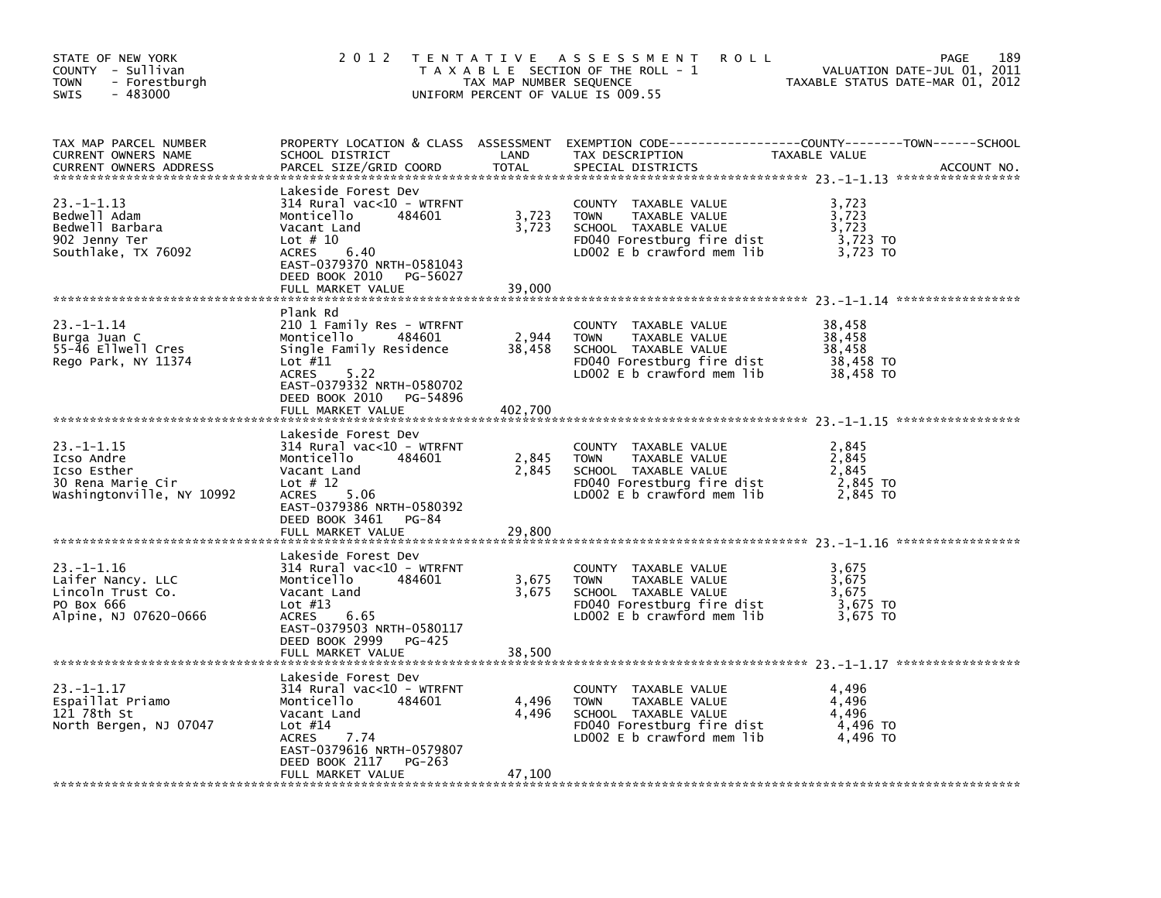| STATE OF NEW YORK<br>COUNTY - Sullivan<br>- Forestburgh<br><b>TOWN</b><br>$-483000$<br><b>SWIS</b> | 2 0 1 2                                                                                                                                                                                             | TAX MAP NUMBER SEQUENCE  | TENTATIVE ASSESSMENT<br><b>ROLL</b><br>T A X A B L E SECTION OF THE ROLL - 1<br>UNIFORM PERCENT OF VALUE IS 009.55                           | VALUATION DATE-JUL 01, 2011<br>TAXABLE STATUS DATE-MAR 01, 2012 | 189<br>PAGE |
|----------------------------------------------------------------------------------------------------|-----------------------------------------------------------------------------------------------------------------------------------------------------------------------------------------------------|--------------------------|----------------------------------------------------------------------------------------------------------------------------------------------|-----------------------------------------------------------------|-------------|
| TAX MAP PARCEL NUMBER<br>CURRENT OWNERS NAME<br><b>CURRENT OWNERS ADDRESS</b>                      | SCHOOL DISTRICT<br>PARCEL SIZE/GRID COORD                                                                                                                                                           | LAND<br>TOTAL            | PROPERTY LOCATION & CLASS ASSESSMENT EXEMPTION CODE---------------COUNTY-------TOWN-----SCHOOL<br>TAX DESCRIPTION<br>SPECIAL DISTRICTS       | TAXABLE VALUE                                                   | ACCOUNT NO. |
| $23. -1 - 1.13$<br>Bedwell Adam<br>Bedwell Barbara<br>902 Jenny Ter<br>Southlake, TX 76092         | Lakeside Forest Dev<br>314 Rural vac<10 - WTRFNT<br>Monticello<br>484601<br>Vacant Land<br>Lot $# 10$<br>6.40<br><b>ACRES</b><br>EAST-0379370 NRTH-0581043<br>DEED BOOK 2010<br>PG-56027            | 3,723<br>3,723           | COUNTY TAXABLE VALUE<br><b>TOWN</b><br>TAXABLE VALUE<br>SCHOOL TAXABLE VALUE<br>FD040 Forestburg fire dist<br>LD002 $E$ b crawford mem $lib$ | 3,723<br>3,723<br>3,723<br>3,723 TO<br>3,723 TO                 |             |
|                                                                                                    | FULL MARKET VALUE                                                                                                                                                                                   | 39,000                   |                                                                                                                                              |                                                                 |             |
| 23. -1-1.14<br>Burga Juan C<br>55-46 Ellwell Cres<br>Rego Park, NY 11374                           | Plank Rd<br>210 1 Family Res - WTRFNT<br>484601<br>Monticello<br>Single Family Residence<br>Lot $#11$<br><b>ACRES</b><br>5.22<br>EAST-0379332 NRTH-0580702                                          | 2,944<br>38,458          | COUNTY TAXABLE VALUE<br><b>TOWN</b><br>TAXABLE VALUE<br>SCHOOL TAXABLE VALUE<br>FD040 Forestburg fire dist<br>LD002 E b crawford mem lib     | 38,458<br>38,458<br>38,458<br>38,458 TO<br>38,458 TO            |             |
|                                                                                                    | DEED BOOK 2010<br>PG-54896<br>FULL MARKET VALUE                                                                                                                                                     | 402.700                  |                                                                                                                                              |                                                                 |             |
|                                                                                                    |                                                                                                                                                                                                     |                          |                                                                                                                                              |                                                                 |             |
| $23 - 1 - 1.15$<br>Icso Andre<br>Icso Esther<br>30 Rena Marie Cir<br>Washingtonville, NY 10992     | Lakeside Forest Dev<br>$314$ Rural vac<10 - WTRFNT<br>Monticello<br>484601<br>Vacant Land<br>Lot $# 12$<br>5.06<br><b>ACRES</b><br>EAST-0379386 NRTH-0580392<br>DEED BOOK 3461 PG-84                | 2,845<br>2,845           | COUNTY TAXABLE VALUE<br>TAXABLE VALUE<br><b>TOWN</b><br>SCHOOL TAXABLE VALUE<br>FD040 Forestburg fire dist<br>LD002 $E$ b crawford mem $lib$ | 2,845<br>2,845<br>2,845<br>2,845 TO<br>2.845 TO                 |             |
|                                                                                                    | FULL MARKET VALUE                                                                                                                                                                                   | 29,800                   |                                                                                                                                              |                                                                 |             |
| $23. -1 - 1.16$<br>Laifer Nancy. LLC<br>Lincoln Trust Co.<br>PO Box 666<br>Alpine, NJ 07620-0666   | Lakeside Forest Dev<br>314 Rural vac<10 - WTRFNT<br>Monticello<br>484601<br>Vacant Land<br>Lot $#13$<br>ACRES<br>6.65<br>EAST-0379503 NRTH-0580117<br>DEED BOOK 2999<br>PG-425<br>FULL MARKET VALUE | 3,675<br>3,675<br>38,500 | COUNTY TAXABLE VALUE<br><b>TOWN</b><br>TAXABLE VALUE<br>SCHOOL TAXABLE VALUE<br>FD040 Forestburg fire dist<br>LD002 $E$ b crawford mem lib   | 3,675<br>3,675<br>3,675<br>3,675 TO<br>3,675 TO                 |             |
|                                                                                                    |                                                                                                                                                                                                     |                          |                                                                                                                                              |                                                                 |             |
| $23. -1 - 1.17$<br>Espaillat Priamo<br>121 78th St<br>North Bergen, NJ 07047                       | Lakeside Forest Dev<br>$314$ Rural vac<10 - WTRFNT<br>Monticello<br>484601<br>Vacant Land<br>Lot $#14$<br>ACRES<br>7.74<br>EAST-0379616 NRTH-0579807<br>DEED BOOK 2117<br>PG-263                    | 4,496<br>4,496<br>47,100 | COUNTY TAXABLE VALUE<br><b>TOWN</b><br>TAXABLE VALUE<br>SCHOOL TAXABLE VALUE<br>FD040 Forestburg fire dist<br>LD002 $E$ b crawford mem $lib$ | 4,496<br>4,496<br>4,496<br>4,496 TO<br>4,496 TO                 |             |
|                                                                                                    | FULL MARKET VALUE                                                                                                                                                                                   |                          |                                                                                                                                              |                                                                 |             |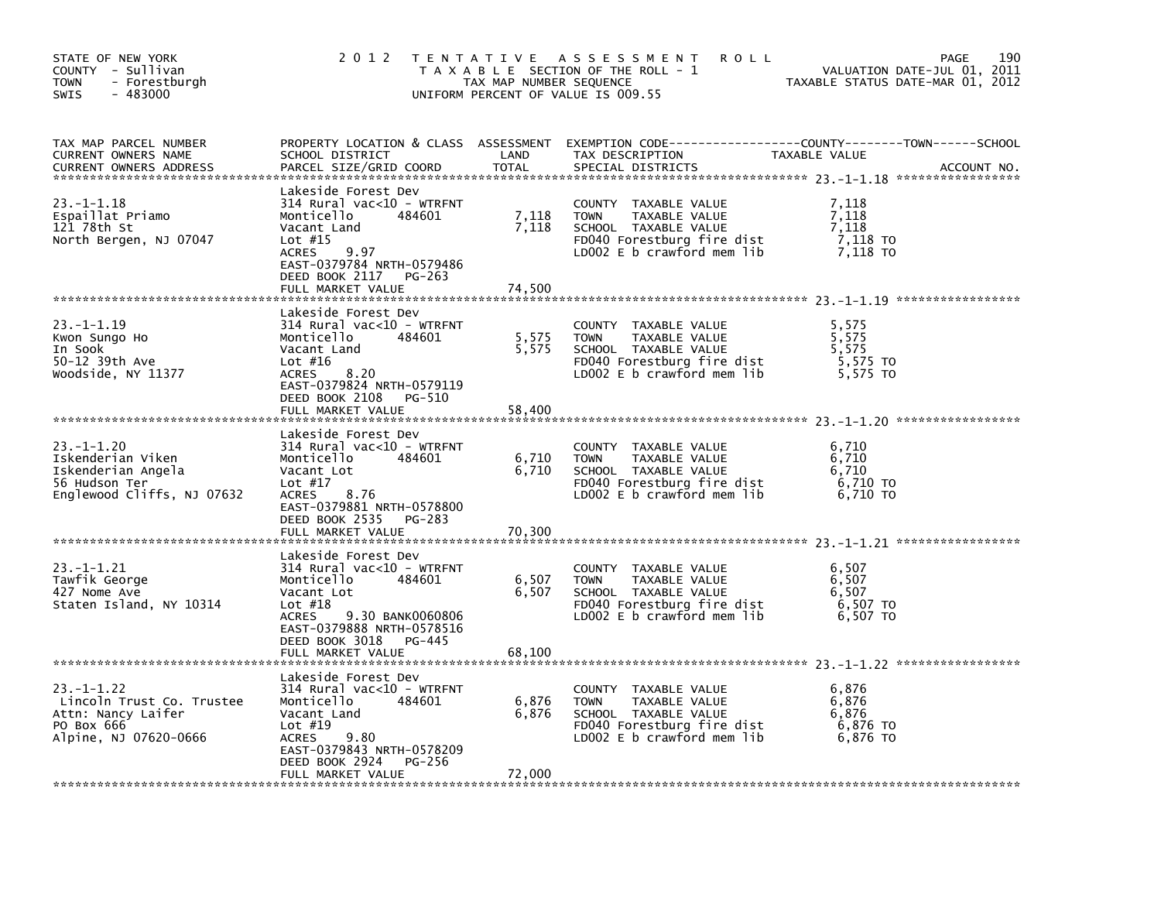| STATE OF NEW YORK<br>COUNTY - Sullivan<br><b>TOWN</b><br>- Forestburgh<br>$-483000$<br><b>SWIS</b>        | 2 0 1 2                                                                                                                                                                                                               | TAX MAP NUMBER SEQUENCE  | TENTATIVE ASSESSMENT<br><b>ROLL</b><br>T A X A B L E SECTION OF THE ROLL - 1<br>UNIFORM PERCENT OF VALUE IS 009.55                       | 190<br>PAGE<br>VALUATION DATE-JUL 01, 2011<br>TAXABLE STATUS DATE-MAR 01, 2012                                                 |
|-----------------------------------------------------------------------------------------------------------|-----------------------------------------------------------------------------------------------------------------------------------------------------------------------------------------------------------------------|--------------------------|------------------------------------------------------------------------------------------------------------------------------------------|--------------------------------------------------------------------------------------------------------------------------------|
| TAX MAP PARCEL NUMBER<br>CURRENT OWNERS NAME<br><b>CURRENT OWNERS ADDRESS</b>                             | SCHOOL DISTRICT<br>PARCEL SIZE/GRID COORD                                                                                                                                                                             | LAND<br><b>TOTAL</b>     | TAX DESCRIPTION<br>SPECIAL DISTRICTS                                                                                                     | PROPERTY LOCATION & CLASS ASSESSMENT EXEMPTION CODE---------------COUNTY-------TOWN-----SCHOOL<br>TAXABLE VALUE<br>ACCOUNT NO. |
| $23. -1 - 1.18$<br>Espaillat Priamo<br>121 78th St<br>North Bergen, NJ 07047                              | Lakeside Forest Dev<br>314 Rural vac<10 - WTRFNT<br>484601<br>Monticello<br>Vacant Land<br>Lot $#15$<br><b>ACRES</b><br>9.97<br>EAST-0379784 NRTH-0579486<br>DEED BOOK 2117<br>PG-263                                 | 7,118<br>7,118           | COUNTY TAXABLE VALUE<br>TAXABLE VALUE<br><b>TOWN</b><br>SCHOOL TAXABLE VALUE<br>FD040 Forestburg fire dist<br>LD002 E b crawford mem lib | 7.118<br>7,118<br>7,118<br>7,118 TO<br>7,118 TO                                                                                |
|                                                                                                           | FULL MARKET VALUE                                                                                                                                                                                                     | 74,500                   |                                                                                                                                          |                                                                                                                                |
| $23. -1 - 1.19$<br>Kwon Sungo Ho<br>In Sook<br>50-12 39th Ave<br>Woodside, NY 11377                       | Lakeside Forest Dev<br>$314$ Rural vac<10 - WTRFNT<br>Monticello<br>484601<br>Vacant Land<br>Lot $#16$<br>8.20<br>ACRES<br>EAST-0379824 NRTH-0579119                                                                  | 5,575<br>5,575           | COUNTY TAXABLE VALUE<br><b>TOWN</b><br>TAXABLE VALUE<br>SCHOOL TAXABLE VALUE<br>FD040 Forestburg fire dist<br>LD002 E b crawford mem lib | 5,575<br>5,575<br>5,575<br>5,575 TO<br>5,575 TO                                                                                |
|                                                                                                           | DEED BOOK 2108<br>PG-510<br>FULL MARKET VALUE                                                                                                                                                                         | 58,400                   |                                                                                                                                          |                                                                                                                                |
| $23. -1 - 1.20$<br>Iskenderian Viken<br>Iskenderian Angela<br>56 Hudson Ter<br>Englewood Cliffs, NJ 07632 | Lakeside Forest Dev<br>$314$ Rural vac<10 - WTRFNT<br>Monticello<br>484601<br>Vacant Lot<br>Lot $#17$<br>8.76<br>ACRES<br>EAST-0379881 NRTH-0578800<br>DEED BOOK 2535 PG-283                                          | 6,710<br>6,710           | COUNTY TAXABLE VALUE<br>TAXABLE VALUE<br><b>TOWN</b><br>SCHOOL TAXABLE VALUE<br>FD040 Forestburg fire dist<br>LD002 E b crawford mem lib | 6,710<br>6,710<br>6,710<br>6,710 TO<br>6.710 TO                                                                                |
|                                                                                                           | FULL MARKET VALUE                                                                                                                                                                                                     | 70,300                   |                                                                                                                                          |                                                                                                                                |
| $23 - 1 - 1.21$<br>Tawfik George<br>427 Nome Ave<br>Staten Island, NY 10314                               | Lakeside Forest Dev<br>314 Rural vac<10 - WTRFNT<br>484601<br>Monticello<br>Vacant Lot<br>Lot $#18$<br>9.30 BANK0060806<br><b>ACRES</b><br>EAST-0379888 NRTH-0578516<br>DEED BOOK 3018<br>PG-445<br>FULL MARKET VALUE | 6,507<br>6,507<br>68,100 | COUNTY TAXABLE VALUE<br>TAXABLE VALUE<br><b>TOWN</b><br>SCHOOL TAXABLE VALUE<br>FD040 Forestburg fire dist<br>LD002 E b crawford mem lib | 6,507<br>6,507<br>6,507<br>6,507 TO<br>6,507 TO                                                                                |
| $23. -1 - 1.22$<br>Lincoln Trust Co. Trustee<br>Attn: Nancy Laifer<br>PO Box 666<br>Alpine, NJ 07620-0666 | Lakeside Forest Dev<br>$314$ Rural vac<10 - WTRFNT<br>Monticello<br>484601<br>Vacant Land<br>Lot $#19$<br>ACRES<br>9.80<br>EAST-0379843 NRTH-0578209<br>DEED BOOK 2924<br>PG-256<br>FULL MARKET VALUE                 | 6,876<br>6,876<br>72,000 | COUNTY TAXABLE VALUE<br><b>TOWN</b><br>TAXABLE VALUE<br>SCHOOL TAXABLE VALUE<br>FD040 Forestburg fire dist<br>LD002 E b crawford mem lib | 6,876<br>6,876<br>6,876<br>6,876 TO<br>6,876 TO                                                                                |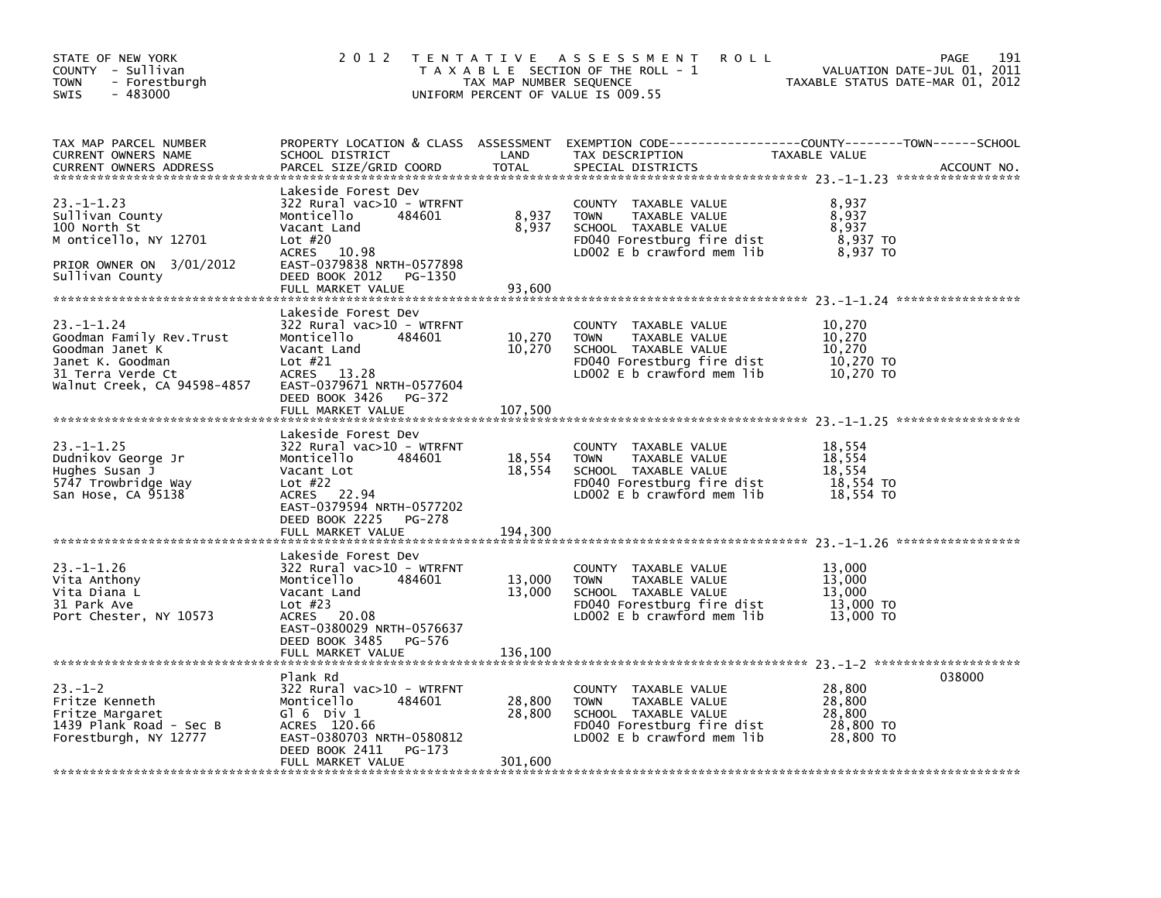| STATE OF NEW YORK<br>COUNTY - Sullivan<br>- Forestburgh<br><b>TOWN</b><br>$-483000$<br>SWIS                                       | 2 0 1 2                                                                                                                                                                                                     | TAX MAP NUMBER SEQUENCE     | TENTATIVE ASSESSMENT<br><b>ROLL</b><br>T A X A B L E SECTION OF THE ROLL - 1<br>UNIFORM PERCENT OF VALUE IS 009.55                         | VALUATION DATE-JUL 01, 2011<br>TAXABLE STATUS DATE-MAR 01, 2012 | 191<br>PAGE |
|-----------------------------------------------------------------------------------------------------------------------------------|-------------------------------------------------------------------------------------------------------------------------------------------------------------------------------------------------------------|-----------------------------|--------------------------------------------------------------------------------------------------------------------------------------------|-----------------------------------------------------------------|-------------|
| TAX MAP PARCEL NUMBER<br>CURRENT OWNERS NAME<br><b>CURRENT OWNERS ADDRESS</b>                                                     | SCHOOL DISTRICT<br>PARCEL SIZE/GRID COORD                                                                                                                                                                   | LAND<br><b>TOTAL</b>        | PROPERTY LOCATION & CLASS ASSESSMENT EXEMPTION CODE---------------COUNTY-------TOWN------SCHOOL<br>TAX DESCRIPTION<br>SPECIAL DISTRICTS    | TAXABLE VALUE                                                   | ACCOUNT NO. |
| 23. –1–1.23<br>Sullivan County<br>100 North St<br>M onticello, NY 12701<br>PRIOR OWNER ON 3/01/2012<br>Sullivan County            | Lakeside Forest Dev<br>322 Rural vac>10 - WTRFNT<br>Monticello<br>484601<br>Vacant Land<br>Lot #20<br>ACRES 10.98<br>EAST-0379838 NRTH-0577898<br>DEED BOOK 2012<br>PG-1350<br>FULL MARKET VALUE            | 8,937<br>8,937<br>93,600    | COUNTY TAXABLE VALUE<br><b>TOWN</b><br>TAXABLE VALUE<br>SCHOOL TAXABLE VALUE<br>FD040 Forestburg fire dist<br>LDOO2 E b crawford mem lib   | 8,937<br>8,937<br>8,937<br>8,937 TO<br>8,937 TO                 |             |
| 23.–1–1.24<br>Goodman Family Rev.Trust<br>Goodman Janet K<br>Janet K. Goodman<br>31 Terra Verde Ct<br>Walnut Creek, CA 94598-4857 | Lakeside Forest Dev<br>322 Rural vac>10 - WTRFNT<br>Monticello<br>484601<br>Vacant Land<br>Lot $#21$<br>13.28<br><b>ACRES</b><br>EAST-0379671 NRTH-0577604<br>DEED BOOK 3426<br>PG-372<br>FULL MARKET VALUE | 10,270<br>10,270<br>107,500 | COUNTY TAXABLE VALUE<br>TAXABLE VALUE<br><b>TOWN</b><br>SCHOOL TAXABLE VALUE<br>FD040 Forestburg fire dist<br>LD002 E b crawford mem lib   | 10,270<br>10,270<br>10,270<br>10,270 TO<br>10,270 TO            |             |
| $23. -1 - 1.25$<br>Dudnikov George Jr<br>Hughes Susan J<br>5747 Trowbridge Way<br>San Hose, CA 95138                              | Lakeside Forest Dev<br>322 Rural vac>10 - WTRFNT<br>Monticello<br>484601<br>Vacant Lot<br>Lot $#22$<br>ACRES 22.94<br>EAST-0379594 NRTH-0577202<br>DEED BOOK 2225<br>PG-278<br>FULL MARKET VALUE            | 18,554<br>18,554<br>194,300 | COUNTY TAXABLE VALUE<br><b>TOWN</b><br>TAXABLE VALUE<br>SCHOOL TAXABLE VALUE<br>FD040 Forestburg fire dist<br>LD002 E b crawford mem lib   | 18,554<br>18,554<br>18,554<br>18,554 TO<br>18,554 TO            |             |
| 23. –1–1.26<br>Vita Anthony<br>Vita Diana L<br>31 Park Ave<br>Port Chester, NY 10573                                              | Lakeside Forest Dev<br>322 Rural vac>10 - WTRFNT<br>Monticello<br>484601<br>Vacant Land<br>Lot $#23$<br>20.08<br><b>ACRES</b><br>EAST-0380029 NRTH-0576637<br>DEED BOOK 3485<br>PG-576<br>FULL MARKET VALUE | 13,000<br>13,000<br>136,100 | COUNTY TAXABLE VALUE<br><b>TOWN</b><br>TAXABLE VALUE<br>SCHOOL TAXABLE VALUE<br>FD040 Forestburg fire dist<br>LD002 $E$ b crawford mem lib | 13,000<br>13,000<br>13,000<br>13,000 TO<br>13,000 TO            |             |
| $23 - 1 - 2$<br>Fritze Kenneth<br>Fritze Margaret<br>1439 Plank Road - Sec B<br>Forestburgh, NY 12777                             | Plank Rd<br>322 Rural vac>10 - WTRFNT<br>Monticello<br>484601<br>$G1 6$ Div $1$<br>ACRES 120.66<br>EAST-0380703 NRTH-0580812<br>DEED BOOK 2411<br>PG-173<br>FULL MARKET VALUE                               | 28,800<br>28,800<br>301,600 | COUNTY TAXABLE VALUE<br>TAXABLE VALUE<br><b>TOWN</b><br>SCHOOL TAXABLE VALUE<br>FD040 Forestburg fire dist<br>LD002 $E$ b crawford mem lib | 28,800<br>28,800<br>28,800<br>28,800 TO<br>28,800 TO            | 038000      |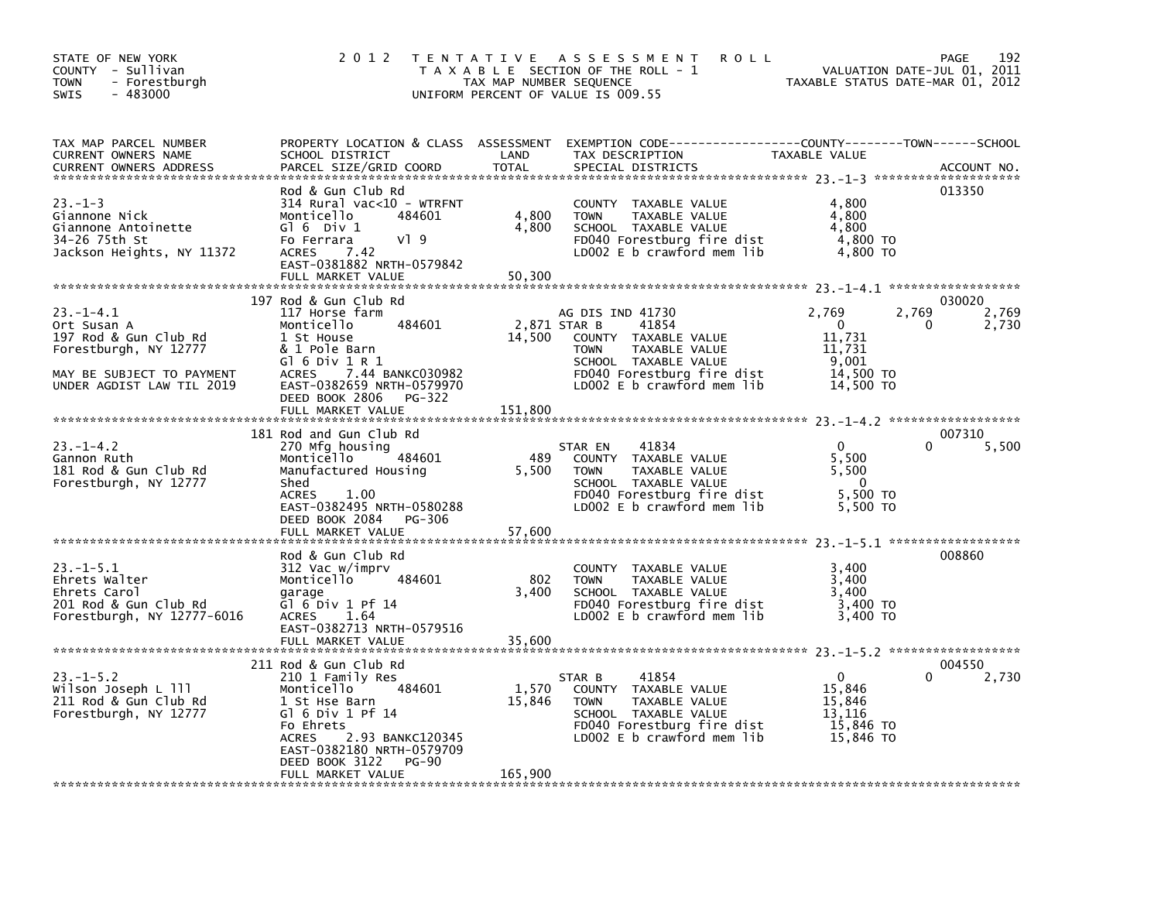| STATE OF NEW YORK<br>COUNTY - Sullivan<br><b>TOWN</b><br>- Forestburgh<br>$-483000$<br>SWIS                                               | 2 0 1 2                                                                                                                                                                                                                                       | T E N T A T I V E<br>TAX MAP NUMBER SEQUENCE | ASSESSMENT<br><b>ROLL</b><br>T A X A B L E SECTION OF THE ROLL - 1<br>UNIFORM PERCENT OF VALUE IS 009.55                                                                              | VALUATION DATE-JUL 01, 2011<br>TAXABLE STATUS DATE-MAR 01, 2012                       | 192<br>PAGE                   |
|-------------------------------------------------------------------------------------------------------------------------------------------|-----------------------------------------------------------------------------------------------------------------------------------------------------------------------------------------------------------------------------------------------|----------------------------------------------|---------------------------------------------------------------------------------------------------------------------------------------------------------------------------------------|---------------------------------------------------------------------------------------|-------------------------------|
| TAX MAP PARCEL NUMBER<br><b>CURRENT OWNERS NAME</b><br><b>CURRENT OWNERS ADDRESS</b>                                                      | PROPERTY LOCATION & CLASS ASSESSMENT<br>SCHOOL DISTRICT<br>PARCEL SIZE/GRID COORD                                                                                                                                                             | LAND<br><b>TOTAL</b>                         | TAX DESCRIPTION<br>SPECIAL DISTRICTS                                                                                                                                                  | TAXABLE VALUE                                                                         | ACCOUNT NO.                   |
| $23. - 1 - 3$<br>Giannone Nick<br>Giannone Antoinette<br>34-26 75th St<br>Jackson Heights, NY 11372                                       | Rod & Gun Club Rd<br>$314$ Rural vac<10 - WTRFNT<br>Monticello<br>484601<br>$G$ 6 Div 1<br>VI 9<br>Fo Ferrara<br>7.42<br><b>ACRES</b><br>EAST-0381882 NRTH-0579842<br>FULL MARKET VALUE                                                       | 4,800<br>4,800<br>50,300                     | COUNTY TAXABLE VALUE<br><b>TOWN</b><br>TAXABLE VALUE<br>SCHOOL TAXABLE VALUE<br>FD040 Forestburg fire dist<br>LD002 E b crawford mem lib                                              | 4,800<br>4,800<br>4,800<br>4,800 TO<br>4,800 TO                                       | 013350                        |
| $23 - 1 - 4.1$<br>Ort Susan A<br>197 Rod & Gun Club Rd<br>Forestburgh, NY 12777<br>MAY BE SUBJECT TO PAYMENT<br>UNDER AGDIST LAW TIL 2019 | 197 Rod & Gun Club Rd<br>117 Horse farm<br>Monticello<br>484601<br>1 St House<br>& 1 Pole Barn<br>G $16$ Div $1R1$<br>7.44 BANKC030982<br><b>ACRES</b><br>EAST-0382659 NRTH-0579970<br>DEED BOOK 2806<br>PG-322<br>FULL MARKET VALUE          | 14,500<br>151,800                            | AG DIS IND 41730<br>41854<br>2,871 STAR B<br>COUNTY TAXABLE VALUE<br><b>TOWN</b><br>TAXABLE VALUE<br>SCHOOL TAXABLE VALUE<br>FD040 Forestburg fire dist<br>LD002 E b crawford mem lib | 2,769<br>2,769<br>$\mathbf{0}$<br>11,731<br>11,731<br>9,001<br>14,500 TO<br>14,500 TO | 030020<br>2,769<br>2,730<br>0 |
| $23. - 1 - 4.2$<br>Gannon Ruth<br>181 Rod & Gun Club Rd<br>Forestburgh, NY 12777                                                          | 181 Rod and Gun Club Rd<br>270 Mfg housing<br>484601<br>Monticello<br>Manufactured Housing<br>Shed<br><b>ACRES</b><br>1.00<br>EAST-0382495 NRTH-0580288<br>DEED BOOK 2084<br>PG-306<br>FULL MARKET VALUE                                      | 489<br>5,500<br>57,600                       | 41834<br>STAR EN<br>COUNTY TAXABLE VALUE<br>TAXABLE VALUE<br><b>TOWN</b><br>SCHOOL TAXABLE VALUE<br>FD040 Forestburg fire dist<br>LD002 E b crawford mem lib                          | $\mathbf{0}$<br>5,500<br>5,500<br>$\Omega$<br>5,500 TO<br>5,500 TO                    | 007310<br>5,500<br>0          |
| $23. -1 - 5.1$<br>Ehrets Walter<br>Ehrets Carol<br>201 Rod & Gun Club Rd<br>Forestburgh, NY 12777-6016                                    | Rod & Gun Club Rd<br>312 Vac w/imprv<br>Monticello<br>484601<br>garage<br>Gl $6$ Div 1 Pf 14<br>1.64<br><b>ACRES</b><br>EAST-0382713 NRTH-0579516<br>FULL MARKET VALUE                                                                        | 802<br>3,400<br>35,600                       | COUNTY TAXABLE VALUE<br>TAXABLE VALUE<br><b>TOWN</b><br>SCHOOL TAXABLE VALUE<br>FD040 Forestburg fire dist<br>LD002 E b crawford mem lib                                              | 3,400<br>3,400<br>3,400<br>3,400 TO<br>3,400 TO                                       | 008860                        |
| 23. –1–5.2<br>Wilson Joseph L 111<br>211 Rod & Gun Club Rd<br>Forestburgh, NY 12777                                                       | 211 Rod & Gun Club Rd<br>210 1 Family Res<br>Monticello<br>484601<br>1 St Hse Barn<br>Gl $6$ Div 1 Pf 14<br>Fo Ehrets<br>2.93 BANKC120345<br><b>ACRES</b><br>EAST-0382180 NRTH-0579709<br>DEED BOOK 3122<br><b>PG-90</b><br>FULL MARKET VALUE | 1,570<br>15,846<br>165,900                   | 41854<br>STAR B<br>COUNTY TAXABLE VALUE<br>TAXABLE VALUE<br><b>TOWN</b><br>SCHOOL TAXABLE VALUE<br>FD040 Forestburg fire dist<br>LDOO2 E b crawford mem lib                           | $\mathbf 0$<br>15,846<br>15,846<br>13,116<br>15,846 TO<br>15,846 TO                   | 004550<br>2,730<br>0          |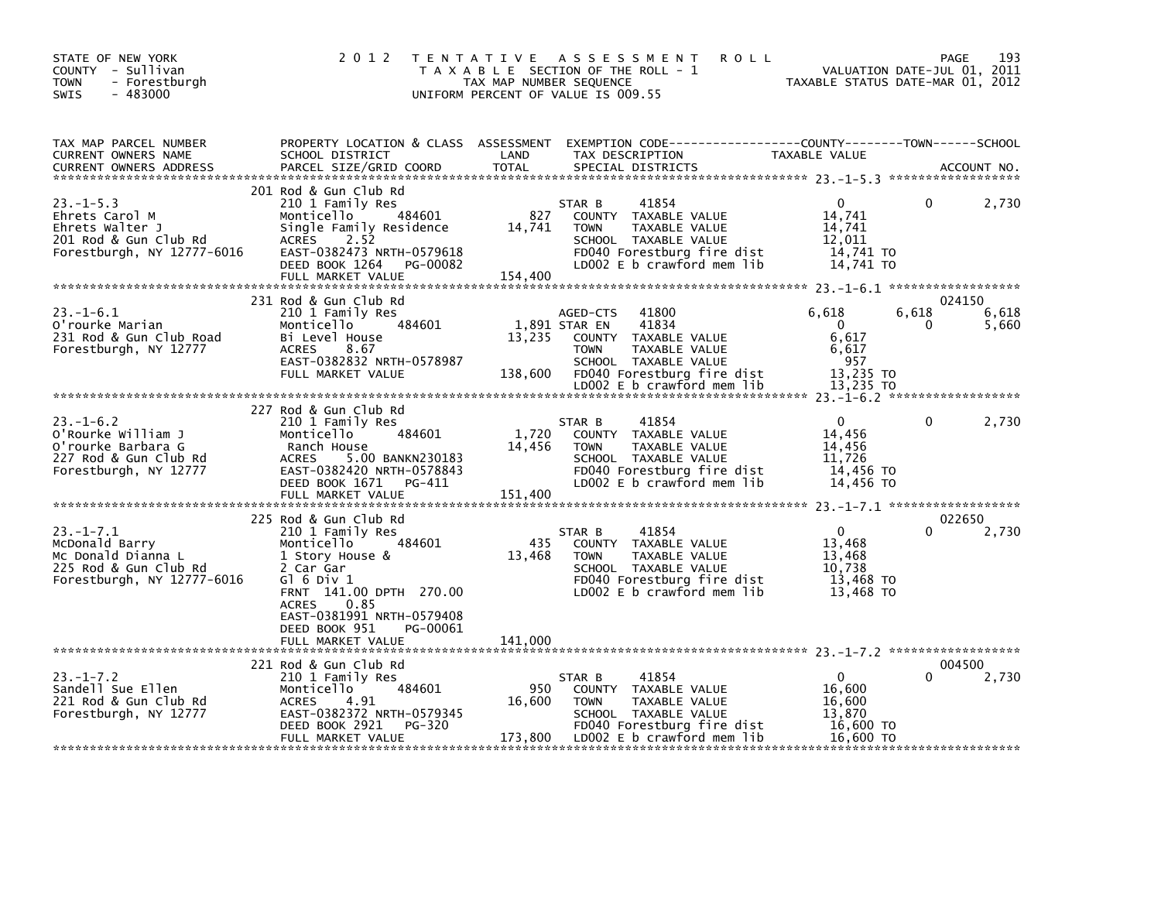| STATE OF NEW YORK<br>COUNTY - Sullivan<br>- Forestburgh<br>TOWN<br>$-483000$<br>SWIS                          | 2 0 1 2                                                                                                                                                                                                                                             | TAX MAP NUMBER SEQUENCE    | TENTATIVE ASSESSMENT<br><b>ROLL</b><br>T A X A B L E SECTION OF THE ROLL - 1<br>UNIFORM PERCENT OF VALUE IS 009.55                                                                      | TAXABLE STATUS DATE-MAR 01, 2012                                         | 193<br>PAGE<br>VALUATION DATE-JUL 01, 2011 |
|---------------------------------------------------------------------------------------------------------------|-----------------------------------------------------------------------------------------------------------------------------------------------------------------------------------------------------------------------------------------------------|----------------------------|-----------------------------------------------------------------------------------------------------------------------------------------------------------------------------------------|--------------------------------------------------------------------------|--------------------------------------------|
| TAX MAP PARCEL NUMBER<br>CURRENT OWNERS NAME<br><b>CURRENT OWNERS ADDRESS</b>                                 | SCHOOL DISTRICT<br>PARCEL SIZE/GRID COORD                                                                                                                                                                                                           | LAND<br><b>TOTAL</b>       | PROPERTY LOCATION & CLASS ASSESSMENT EXEMPTION CODE----------------COUNTY-------TOWN------SCHOOL<br>TAX DESCRIPTION<br>SPECIAL DISTRICTS                                                | TAXABLE VALUE                                                            | ACCOUNT NO.                                |
| $23. -1 - 5.3$<br>Ehrets Carol M<br>Ehrets Walter J<br>201 Rod & Gun Club Rd<br>Forestburgh, NY 12777-6016    | 201 Rod & Gun Club Rd<br>210 1 Family Res<br>484601<br>Monticello<br>Single Family Residence<br>2.52<br>ACRES<br>EAST-0382473 NRTH-0579618<br>DEED BOOK 1264<br>PG-00082<br>FULL MARKET VALUE                                                       | 827<br>14,741<br>154,400   | 41854<br>STAR B<br>COUNTY TAXABLE VALUE<br><b>TOWN</b><br>TAXABLE VALUE<br>SCHOOL TAXABLE VALUE<br>FD040 Forestburg fire dist<br>LD002 E b crawford mem lib                             | $\Omega$<br>14,741<br>14,741<br>12,011<br>14,741 TO<br>14,741 TO         | 2,730<br>0                                 |
| $23. -1 - 6.1$<br>O'rourke Marian<br>231 Rod & Gun Club Road<br>Forestburgh, NY 12777                         | 231 Rod & Gun Club Rd<br>210 1 Family Res<br>484601<br>Monticello<br>Bi Level House<br><b>ACRES</b><br>8.67<br>EAST-0382832 NRTH-0578987<br>FULL MARKET VALUE                                                                                       | 13,235<br>138,600          | AGED-CTS<br>41800<br>1,891 STAR EN<br>41834<br>COUNTY TAXABLE VALUE<br>TAXABLE VALUE<br><b>TOWN</b><br>SCHOOL TAXABLE VALUE<br>FD040 Forestburg fire dist<br>LD002 E b crawford mem lib | 6,618<br>$\mathbf{0}$<br>6,617<br>6,617<br>957<br>13,235 TO<br>13,235 TO | 024150<br>6,618<br>6,618<br>0<br>5,660     |
| $23 - 1 - 6.2$<br>O'Rourke William J<br>O'rourke Barbara G<br>227 Rod & Gun Club Rd<br>Forestburgh, NY 12777  | 227 Rod & Gun Club Rd<br>210 1 Family Res<br>484601<br>Monticello<br>Ranch House<br>5.00 BANKN230183<br>ACRES<br>EAST-0382420 NRTH-0578843<br>DEED BOOK 1671 PG-411<br>FULL MARKET VALUE                                                            | 1,720<br>14,456<br>151,400 | 41854<br>STAR B<br>COUNTY TAXABLE VALUE<br><b>TOWN</b><br>TAXABLE VALUE<br>SCHOOL TAXABLE VALUE<br>FD040 Forestburg fire dist<br>LD002 E b crawford mem lib                             | 0<br>14.456<br>14,456<br>11.726<br>14,456 TO<br>14,456 TO                | 0<br>2,730                                 |
| $23. -1 - 7.1$<br>McDonald Barry<br>Mc Donald Dianna L<br>225 Rod & Gun Club Rd<br>Forestburgh, NY 12777-6016 | 225 Rod & Gun Club Rd<br>210 1 Family Res<br>Monticello<br>484601<br>1 Story House &<br>2 Car Gar<br>$G1$ 6 Div 1<br>FRNT 141.00 DPTH 270.00<br><b>ACRES</b><br>0.85<br>EAST-0381991 NRTH-0579408<br>DEED BOOK 951<br>PG-00061<br>FULL MARKET VALUE | 435<br>13,468<br>141,000   | STAR B<br>41854<br>COUNTY TAXABLE VALUE<br>TAXABLE VALUE<br><b>TOWN</b><br>SCHOOL TAXABLE VALUE<br>FD040 Forestburg fire dist<br>LD002 E b crawford mem lib                             | $\Omega$<br>13,468<br>13.468<br>10,738<br>13,468 TO<br>13,468 TO         | 022650<br>0<br>2,730                       |
| $23. - 1 - 7.2$<br>Sandell Sue Ellen<br>221 Rod & Gun Club Rd<br>Forestburgh, NY 12777                        | 221 Rod & Gun Club Rd<br>210 1 Family Res<br>484601<br>Monticello<br><b>ACRES</b><br>4.91<br>EAST-0382372 NRTH-0579345<br>PG-320<br>DEED BOOK 2921<br>FULL MARKET VALUE                                                                             | 950<br>16,600<br>173,800   | 41854<br>STAR B<br>COUNTY TAXABLE VALUE<br><b>TOWN</b><br>TAXABLE VALUE<br>SCHOOL TAXABLE VALUE<br>FD040 Forestburg fire dist<br>LD002 E b crawford mem lib                             | $\Omega$<br>16,600<br>16,600<br>13,870<br>16,600 TO<br>16,600 TO         | 004500<br>2,730                            |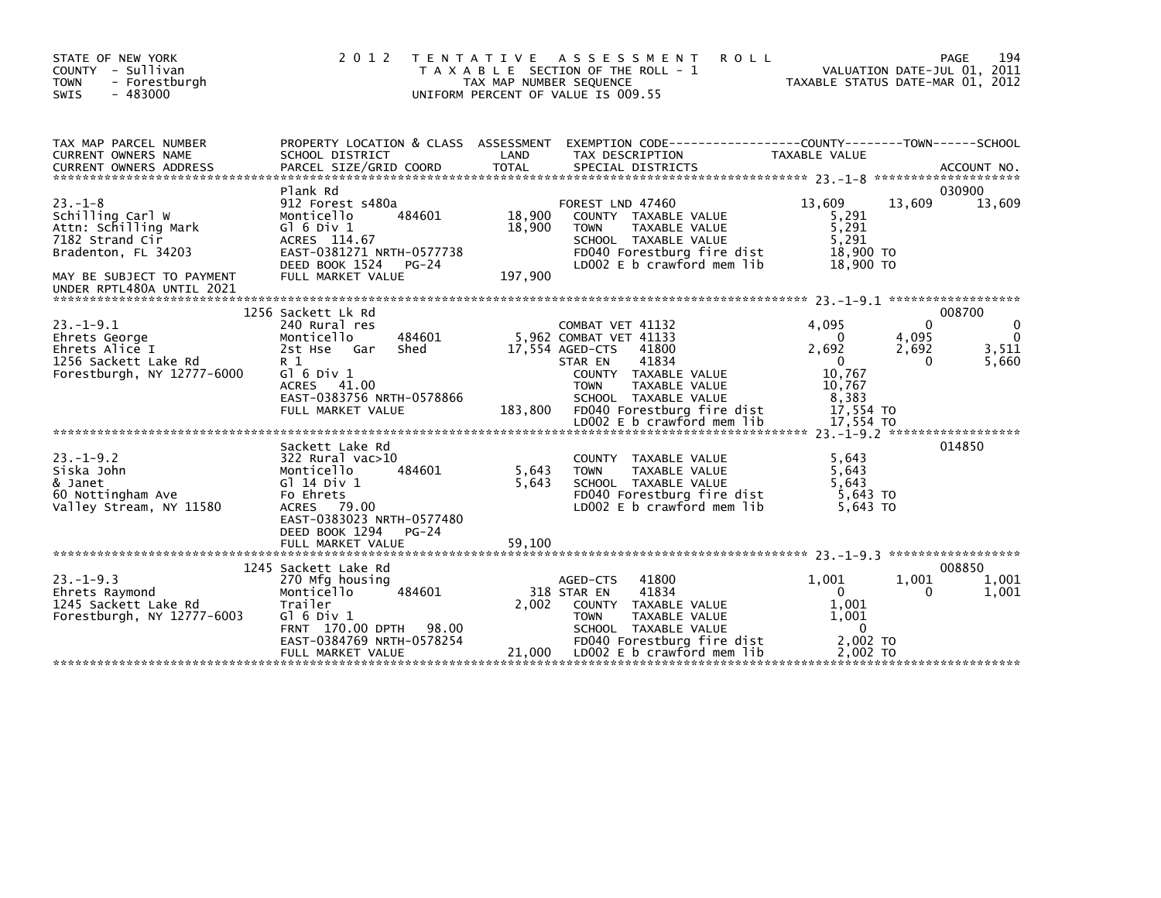| STATE OF NEW YORK<br>COUNTY - Sullivan<br><b>TOWN</b><br>- Forestburgh<br>$-483000$<br>SWIS                                                                  | 2 0 1 2<br>T E N T A T I V E                                                                                                                                                           | TAX MAP NUMBER SEQUENCE     | ASSESSMENT<br><b>ROLL</b><br>T A X A B L E SECTION OF THE ROLL - 1<br>UNIFORM PERCENT OF VALUE IS 009.55                                                                                                 |                                                                           | 194<br>PAGE<br>VALUATION DATE-JUL 01, 2011<br>TAXABLE STATUS DATE-MAR 01, 2012 |
|--------------------------------------------------------------------------------------------------------------------------------------------------------------|----------------------------------------------------------------------------------------------------------------------------------------------------------------------------------------|-----------------------------|----------------------------------------------------------------------------------------------------------------------------------------------------------------------------------------------------------|---------------------------------------------------------------------------|--------------------------------------------------------------------------------|
| TAX MAP PARCEL NUMBER<br>CURRENT OWNERS NAME                                                                                                                 | PROPERTY LOCATION & CLASS ASSESSMENT<br>SCHOOL DISTRICT                                                                                                                                | LAND                        | EXEMPTION CODE-----------------COUNTY-------TOWN------SCHOOL<br>TAX DESCRIPTION                                                                                                                          | TAXABLE VALUE                                                             |                                                                                |
| $23 - 1 - 8$<br>Schilling Carl W<br>Attn: Schilling Mark<br>7182 Strand Cir<br>Bradenton, FL 34203<br>MAY BE SUBJECT TO PAYMENT<br>UNDER RPTL480A UNTIL 2021 | Plank Rd<br>912 Forest s480a<br>484601<br>Monticello<br>$G$ ] 6 Div 1<br>ACRES 114.67<br>EAST-0381271 NRTH-0577738<br>DEED BOOK 1524 PG-24<br>FULL MARKET VALUE                        | 18,900<br>18,900<br>197,900 | FOREST LND 47460<br>COUNTY TAXABLE VALUE<br>TAXABLE VALUE<br><b>TOWN</b><br>SCHOOL TAXABLE VALUE<br>FD040 Forestburg fire dist<br>LD002 E b crawford mem lib                                             | 13,609<br>5,291<br>5,291<br>5,291<br>18,900 TO<br>18,900 TO               | 030900<br>13,609<br>13,609                                                     |
| $23 - 1 - 9.1$<br>Ehrets George<br>Ehrets Alice I<br>1256 Sackett Lake Rd<br>Forestburgh, NY 12777-6000                                                      | 1256 Sackett Lk Rd<br>240 Rural res<br>484601<br>Monticello<br>2st Hse Gar<br>Shed<br>R 1<br>G $\overline{0}$ 6 Div 1<br>ACRES 41.00<br>EAST-0383756 NRTH-0578866<br>FULL MARKET VALUE | 183,800                     | COMBAT VET 41132<br>5,962 COMBAT VET 41133<br>17,554 AGED-CTS<br>41800<br>41834<br>STAR EN<br>COUNTY TAXABLE VALUE<br><b>TOWN</b><br>TAXABLE VALUE<br>SCHOOL TAXABLE VALUE<br>FD040 Forestburg fire dist | 4,095<br>0<br>2,692<br>$\Omega$<br>10,767<br>10,767<br>8,383<br>17,554 TO | 008700<br>$\Omega$<br>$\mathbf 0$<br>4,095<br>3,511<br>2,692<br>5,660<br>0     |
|                                                                                                                                                              |                                                                                                                                                                                        |                             |                                                                                                                                                                                                          |                                                                           |                                                                                |
| $23. - 1 - 9.2$<br>Siska John<br>& Janet<br>60 Nottingham Ave<br>Valley Stream, NY 11580                                                                     | Sackett Lake Rd<br>322 Rural vac>10<br>Monticello<br>484601<br>G] 14 Div 1<br>Fo Ehrets<br>ACRES 79.00<br>EAST-0383023 NRTH-0577480<br>DEED BOOK 1294<br>$PG-24$                       | 5,643<br>5,643              | COUNTY TAXABLE VALUE<br>TAXABLE VALUE<br><b>TOWN</b><br>SCHOOL TAXABLE VALUE<br>FD040 Forestburg fire dist<br>LD002 E b crawford mem lib                                                                 | 5,643<br>5,643<br>5.643<br>5,643 TO<br>5.643 TO                           | 014850                                                                         |
|                                                                                                                                                              | FULL MARKET VALUE                                                                                                                                                                      | 59.100                      |                                                                                                                                                                                                          |                                                                           |                                                                                |
| $23. - 1 - 9.3$<br>Ehrets Raymond<br>1245 Sackett Lake Rd<br>Forestburgh, NY 12777-6003                                                                      | 1245 Sackett Lake Rd<br>270 Mfg housing<br>Monticello<br>484601<br>Trailer<br>$G1$ 6 Div 1<br>FRNT 170.00 DPTH 98.00<br>EAST-0384769 NRTH-0578254                                      | 2,002                       | 41800<br>AGED-CTS<br>318 STAR EN<br>41834<br>COUNTY TAXABLE VALUE<br><b>TOWN</b><br>TAXABLE VALUE<br>SCHOOL TAXABLE VALUE<br>FD040 Forestburg fire dist                                                  | 1,001<br>$\mathbf{0}$<br>1,001<br>1,001<br>$\Omega$<br>2.002 TO           | 008850<br>1,001<br>1,001<br>1,001<br>$\Omega$                                  |
|                                                                                                                                                              | FULL MARKET VALUE                                                                                                                                                                      | 21,000                      | LDOO2 E b crawford mem lib                                                                                                                                                                               | 2,002 TO                                                                  |                                                                                |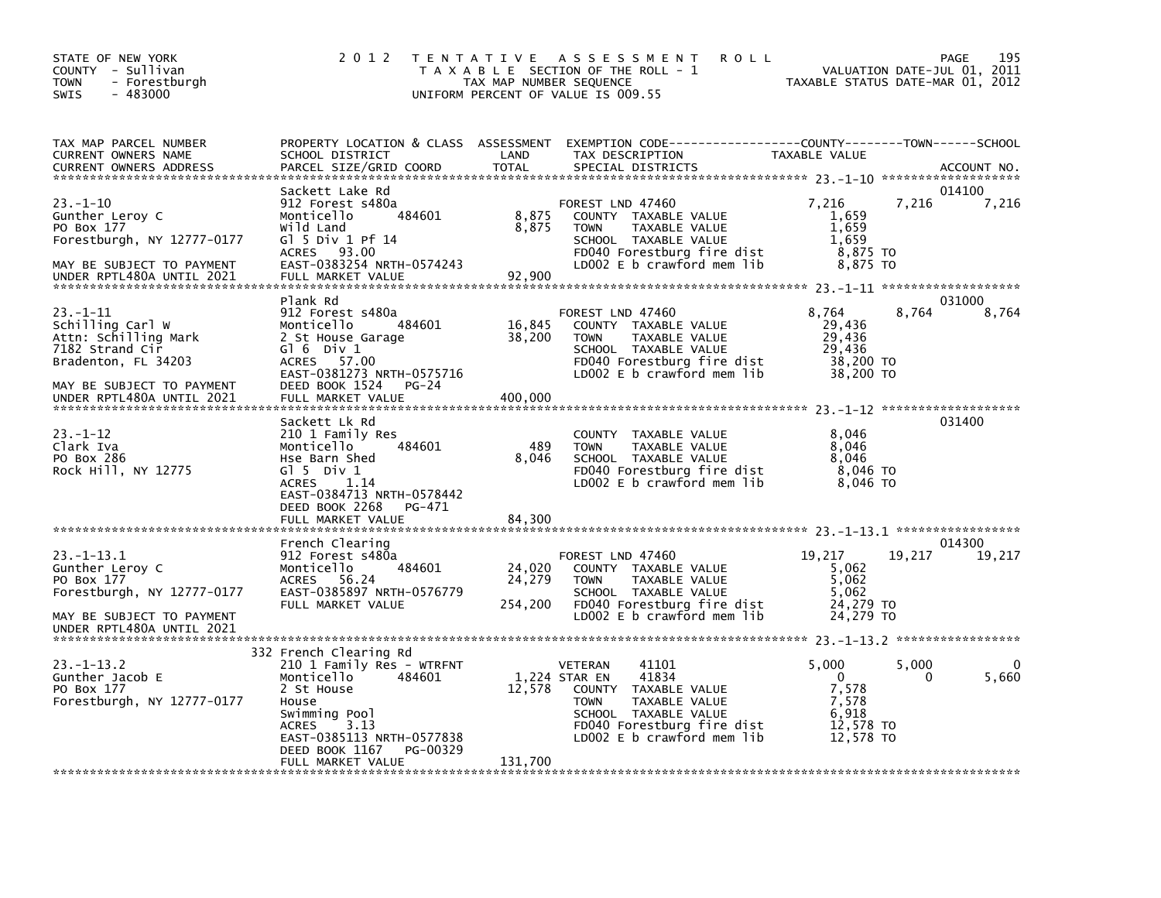| STATE OF NEW YORK<br>COUNTY - Sullivan<br>- Forestburgh<br><b>TOWN</b><br>$-483000$<br><b>SWIS</b> | 2 0 1 2                                                 | T E N T A T I V E<br>TAX MAP NUMBER SEQUENCE | A S S E S S M E N T<br><b>ROLL</b><br>T A X A B L E SECTION OF THE ROLL - 1<br>UNIFORM PERCENT OF VALUE IS 009.55 | TAXABLE STATUS DATE-MAR 01, 2012 | VALUATION DATE-JUL 01, | 195<br>PAGE<br>2011 |
|----------------------------------------------------------------------------------------------------|---------------------------------------------------------|----------------------------------------------|-------------------------------------------------------------------------------------------------------------------|----------------------------------|------------------------|---------------------|
| TAX MAP PARCEL NUMBER                                                                              | PROPERTY LOCATION & CLASS ASSESSMENT                    |                                              | EXEMPTION CODE-----------------COUNTY-------TOWN------SCHOOL                                                      |                                  |                        |                     |
| CURRENT OWNERS NAME<br><b>CURRENT OWNERS ADDRESS</b>                                               | SCHOOL DISTRICT<br>PARCEL SIZE/GRID COORD               | LAND<br><b>TOTAL</b>                         | TAX DESCRIPTION<br>SPECIAL DISTRICTS                                                                              | TAXABLE VALUE                    |                        | ACCOUNT NO.         |
|                                                                                                    | Sackett Lake Rd                                         |                                              |                                                                                                                   |                                  |                        | 014100              |
| $23 - 1 - 10$                                                                                      | 912 Forest s480a                                        |                                              | FOREST LND 47460                                                                                                  | 7,216<br>1,659                   | 7,216                  | 7,216               |
| Gunther Leroy C<br>PO Box 177                                                                      | Monticello<br>484601<br>Wild Land                       | 8,875<br>8,875                               | COUNTY TAXABLE VALUE<br>TAXABLE VALUE<br><b>TOWN</b>                                                              | 1,659                            |                        |                     |
| Forestburgh, NY 12777-0177                                                                         | $G1$ 5 Div 1 Pf 14                                      |                                              | SCHOOL TAXABLE VALUE                                                                                              | 1,659                            |                        |                     |
|                                                                                                    | <b>ACRES</b><br>93.00                                   |                                              | FD040 Forestburg fire dist                                                                                        | 8,875 TO                         |                        |                     |
| MAY BE SUBJECT TO PAYMENT<br>UNDER RPTL480A UNTIL 2021                                             | EAST-0383254 NRTH-0574243<br>FULL MARKET VALUE          | 92,900                                       | LD002 E b crawford mem lib                                                                                        | 8,875 TO                         |                        |                     |
|                                                                                                    |                                                         |                                              |                                                                                                                   |                                  |                        |                     |
|                                                                                                    | Plank Rd                                                |                                              |                                                                                                                   |                                  |                        | 031000              |
| $23 - 1 - 11$<br>Schilling Carl W                                                                  | 912 Forest s480a<br>484601                              |                                              | FOREST LND 47460<br>COUNTY TAXABLE VALUE                                                                          | 8,764<br>29,436                  | 8.764                  | 8,764               |
| Attn: Schilling Mark                                                                               | Monticello<br>2 St House Garage                         | 16,845<br>38,200                             | TAXABLE VALUE<br><b>TOWN</b>                                                                                      | 29,436                           |                        |                     |
| 7182 Strand Cir                                                                                    | G $\overline{0}$ 6 Div 1                                |                                              | SCHOOL TAXABLE VALUE                                                                                              | 29,436                           |                        |                     |
| Bradenton, FL 34203                                                                                | <b>ACRES</b><br>57.00                                   |                                              | FD040 Forestburg fire dist                                                                                        | 38,200 TO                        |                        |                     |
|                                                                                                    | EAST-0381273 NRTH-0575716<br>DEED BOOK 1524             |                                              | LD002 $E$ b crawford mem lib                                                                                      | 38,200 TO                        |                        |                     |
| MAY BE SUBJECT TO PAYMENT<br>UNDER RPTL480A UNTIL 2021                                             | PG-24<br>FULL MARKET VALUE                              | 400,000                                      |                                                                                                                   |                                  |                        |                     |
|                                                                                                    |                                                         |                                              |                                                                                                                   |                                  |                        |                     |
|                                                                                                    | Sackett Lk Rd                                           |                                              |                                                                                                                   |                                  |                        | 031400              |
| $23 - 1 - 12$<br>Clark Iva                                                                         | 210 1 Family Res<br>484601<br>Monticello                | 489                                          | COUNTY TAXABLE VALUE<br><b>TOWN</b><br>TAXABLE VALUE                                                              | 8,046<br>8,046                   |                        |                     |
| PO Box 286                                                                                         | Hse Barn Shed                                           | 8,046                                        | SCHOOL TAXABLE VALUE                                                                                              | 8,046                            |                        |                     |
| Rock Hill, NY 12775                                                                                | G $\overline{1}$ 5 Div 1                                |                                              | FD040 Forestburg fire dist                                                                                        | 8,046 TO                         |                        |                     |
|                                                                                                    | 1.14<br><b>ACRES</b>                                    |                                              | LD002 E b crawford mem lib                                                                                        | 8,046 TO                         |                        |                     |
|                                                                                                    | EAST-0384713 NRTH-0578442<br>DEED BOOK 2268<br>PG-471   |                                              |                                                                                                                   |                                  |                        |                     |
|                                                                                                    | FULL MARKET VALUE                                       | 84.300                                       |                                                                                                                   |                                  |                        |                     |
|                                                                                                    |                                                         |                                              |                                                                                                                   |                                  |                        |                     |
|                                                                                                    | French Clearing                                         |                                              |                                                                                                                   |                                  |                        | 014300              |
| $23. -1 - 13.1$<br>Gunther Leroy C                                                                 | 912 Forest s480a<br>484601<br>Monticello                | 24,020                                       | FOREST LND 47460<br>COUNTY TAXABLE VALUE                                                                          | 19,217<br>5,062                  | 19,217                 | 19,217              |
| PO Box 177                                                                                         | 56.24<br><b>ACRES</b>                                   | 24,279                                       | <b>TOWN</b><br>TAXABLE VALUE                                                                                      | 5,062                            |                        |                     |
| Forestburgh, NY 12777-0177                                                                         | EAST-0385897 NRTH-0576779                               |                                              | SCHOOL TAXABLE VALUE                                                                                              | 5,062                            |                        |                     |
|                                                                                                    | FULL MARKET VALUE                                       | 254,200                                      | FD040 Forestburg fire dist                                                                                        | 24,279 TO                        |                        |                     |
| MAY BE SUBJECT TO PAYMENT<br>UNDER RPTL480A UNTIL 2021                                             |                                                         |                                              | LD002 E b crawford mem lib                                                                                        | 24,279 TO                        |                        |                     |
|                                                                                                    |                                                         |                                              |                                                                                                                   |                                  |                        |                     |
|                                                                                                    | 332 French Clearing Rd                                  |                                              |                                                                                                                   |                                  |                        |                     |
| $23. - 1 - 13.2$                                                                                   | 210 1 Family Res - WTRFNT<br>484601                     |                                              | <b>VETERAN</b><br>41101<br>1,224 STAR EN<br>41834                                                                 | 5,000<br>$\mathbf 0$             | 5,000                  | 0                   |
| Gunther Jacob E<br>PO Box 177                                                                      | Monticello<br>2 St House                                | 12,578                                       | <b>COUNTY</b><br>TAXABLE VALUE                                                                                    | 7,578                            | 0                      | 5,660               |
| Forestburgh, NY 12777-0177                                                                         | House                                                   |                                              | TAXABLE VALUE<br><b>TOWN</b>                                                                                      | 7,578                            |                        |                     |
|                                                                                                    | Swimming Pool                                           |                                              | SCHOOL TAXABLE VALUE                                                                                              | 6.918                            |                        |                     |
|                                                                                                    | 3.13<br><b>ACRES</b>                                    |                                              | FD040 Forestburg fire dist                                                                                        | 12.578 TO                        |                        |                     |
|                                                                                                    | EAST-0385113 NRTH-0577838<br>DEED BOOK 1167<br>PG-00329 |                                              | LD002 $E$ b crawford mem lib                                                                                      | 12.578 TO                        |                        |                     |
|                                                                                                    | FULL MARKET VALUE                                       | 131,700                                      |                                                                                                                   |                                  |                        |                     |
|                                                                                                    |                                                         |                                              |                                                                                                                   |                                  |                        |                     |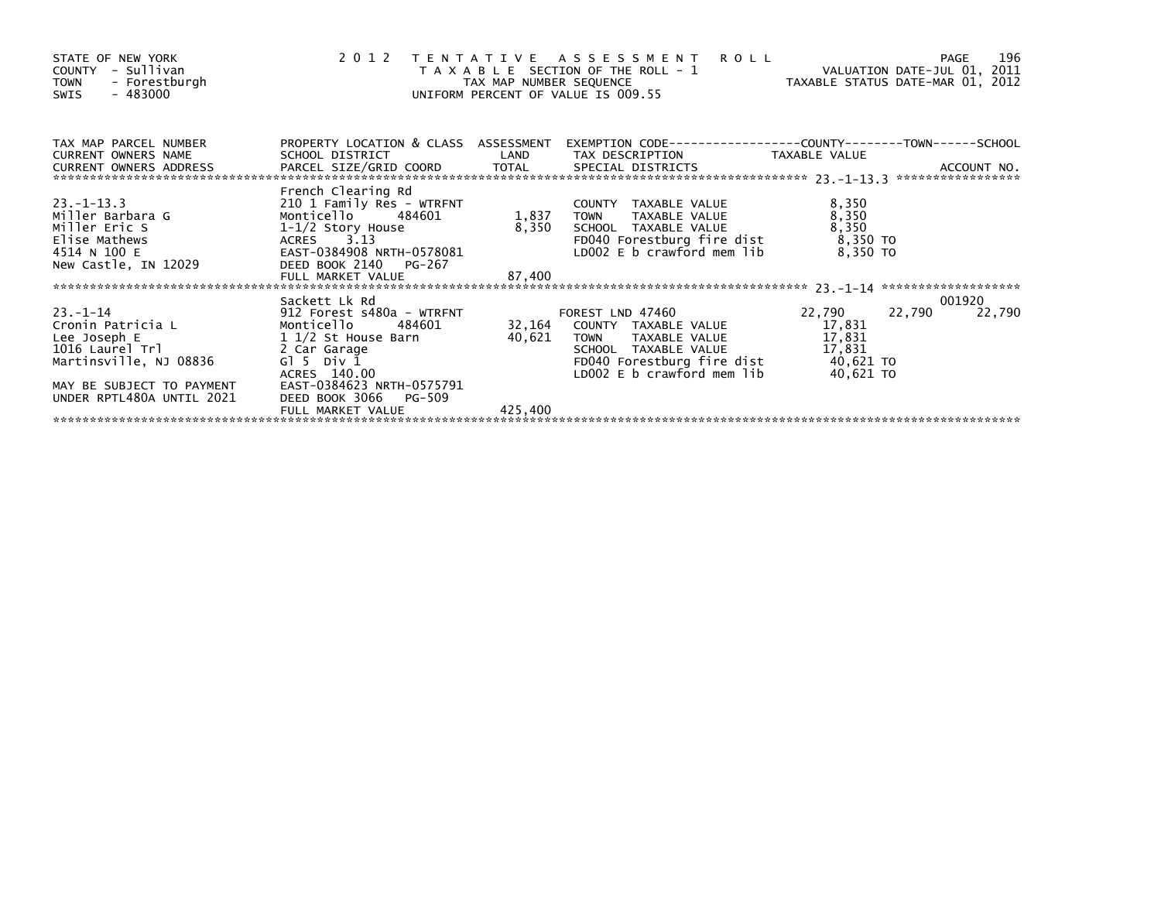| STATE OF NEW YORK<br>COUNTY - Sullivan<br>TOWN - Forestburgh<br>- 483000<br>SWIS                                                                                                                                                                                                  |                                                                                                                                  |         | 2012 TENTATIVE ASSESSMENT ROLL<br>T A X A B L E SECTION OF THE ROLL - 1 VALUATION DATE-JUL 01, 2011<br>TAX MAP NUMBER SEQUENCE TAX TAXABLE STATUS DATE-MAR 01, 2012<br>UNIFORM PERCENT OF VALUE IS 009.55 |                                     | 196<br>PAGE      |
|-----------------------------------------------------------------------------------------------------------------------------------------------------------------------------------------------------------------------------------------------------------------------------------|----------------------------------------------------------------------------------------------------------------------------------|---------|-----------------------------------------------------------------------------------------------------------------------------------------------------------------------------------------------------------|-------------------------------------|------------------|
|                                                                                                                                                                                                                                                                                   |                                                                                                                                  |         |                                                                                                                                                                                                           |                                     |                  |
| $23. -1 - 13.3$<br>Miller Barbara G<br>Miller Eric S<br>Elise Mathews<br>4514 N 100 E<br>New Castle, IN 12029                                                                                                                                                                     | French Clearing Rd<br>1-1/2 Story House<br>ACRES 3.13<br>EAST-0384908 NRTH-0578081<br>DEED BOOK 2140 PG-267<br>FULL MARKET VALUE | 87,400  | COUNTY TAXABLE VALUE<br>TOWN      TAXABLE VALUE<br>LD002 E $b$ crawford mem lib 8,350 TO                                                                                                                  | 8,350<br>8,350<br>8,350<br>8,350 TO |                  |
| 33.-1-14<br>Cronin Patricia L<br>Cronin Patricia L<br>County TAXABLE VALUE<br>Lee Joseph E 11/2 St House Barn<br>1016 Laurel Trl 2 Car Garage<br>Martinsville, NJ 08836 G15 Div 1<br>ACRES 140.00<br>ACRES 140.00<br>CRES 140.00<br>CRES 140.00<br>C<br>UNDER RPTL480A UNTIL 2021 | DEED BOOK 3066<br>PG-509                                                                                                         |         |                                                                                                                                                                                                           | 22,790                              | 001920<br>22,790 |
|                                                                                                                                                                                                                                                                                   | FULL MARKET VALUE                                                                                                                | 425,400 |                                                                                                                                                                                                           |                                     |                  |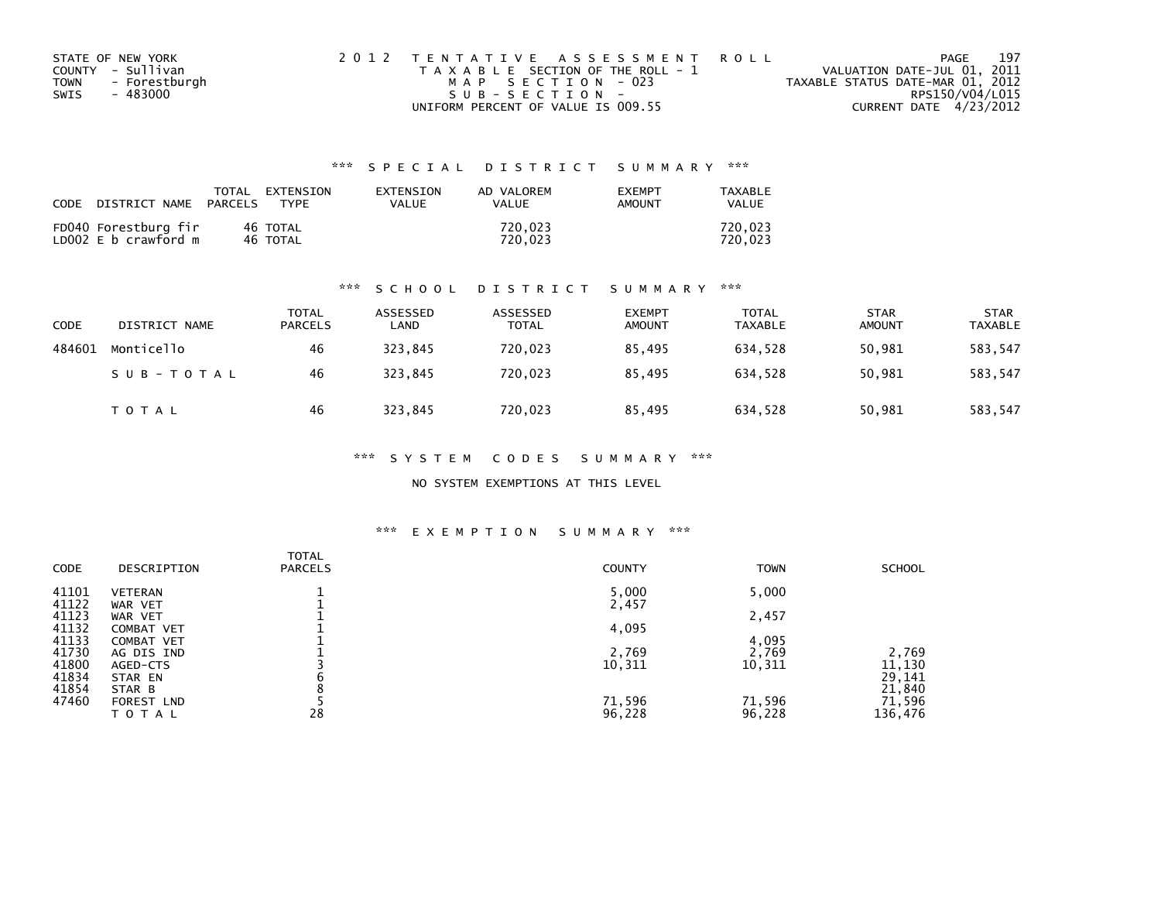| STATE OF NEW YORK            | 2012 TENTATIVE ASSESSMENT ROLL        | PAGE                             | 197 |
|------------------------------|---------------------------------------|----------------------------------|-----|
| COUNTY - Sullivan            | T A X A B L E SECTION OF THE ROLL - 1 | VALUATION DATE-JUL 01, 2011      |     |
| - Forestburgh<br><b>TOWN</b> | MAP SECTION - 023                     | TAXABLE STATUS DATE-MAR 01, 2012 |     |
| - 483000<br>SWIS             | SUB-SECTION-                          | RPS150/V04/L015                  |     |
|                              | UNIFORM PERCENT OF VALUE IS 009.55    | CURRENT DATE 4/23/2012           |     |

| CODE | DISTRICT NAME                                | TOTAL<br>PARCELS | FXTFNSTON<br><b>TYPF</b> | <b>FXTENSTON</b><br>VALUE | AD VALOREM<br>VALUE | <b>EXEMPT</b><br>AMOUNT | TAXARI F<br><b>VALUE</b> |
|------|----------------------------------------------|------------------|--------------------------|---------------------------|---------------------|-------------------------|--------------------------|
|      | FD040 Forestburg fir<br>LD002 E b crawford m |                  | 46 TOTAL<br>46 TOTAL     |                           | 720.023<br>720.023  |                         | 720.023<br>720.023       |

## \*\*\* S C H O O L D I S T R I C T S U M M A R Y \*\*\*

| <b>CODE</b> | DISTRICT NAME | <b>TOTAL</b><br>PARCELS | ASSESSED<br>LAND | ASSESSED<br><b>TOTAL</b> | <b>EXEMPT</b><br><b>AMOUNT</b> | <b>TOTAL</b><br><b>TAXABLE</b> | <b>STAR</b><br><b>AMOUNT</b> | <b>STAR</b><br><b>TAXABLE</b> |
|-------------|---------------|-------------------------|------------------|--------------------------|--------------------------------|--------------------------------|------------------------------|-------------------------------|
| 484601      | Monticello    | 46                      | 323,845          | 720,023                  | 85.495                         | 634.528                        | 50,981                       | 583,547                       |
|             | SUB-TOTAL     | 46                      | 323.845          | 720.023                  | 85.495                         | 634.528                        | 50,981                       | 583,547                       |
|             | T O T A L     | 46                      | 323,845          | 720,023                  | 85.495                         | 634,528                        | 50,981                       | 583,547                       |

## \*\*\* S Y S T E M C O D E S S U M M A R Y \*\*\*

## NO SYSTEM EXEMPTIONS AT THIS LEVEL

## \*\*\* E X E M P T I O N S U M M A R Y \*\*\*

| <b>CODE</b>    | DESCRIPTION                            | <b>TOTAL</b><br><b>PARCELS</b> | <b>COUNTY</b>   | <b>TOWN</b>     | <b>SCHOOL</b>    |
|----------------|----------------------------------------|--------------------------------|-----------------|-----------------|------------------|
| 41101<br>41122 | <b>VETERAN</b><br>WAR VET              |                                | 5,000<br>2,457  | 5,000           |                  |
| 41123          | WAR VET                                |                                |                 | 2,457           |                  |
| 41132<br>41133 | <b>COMBAT VET</b><br><b>COMBAT VET</b> |                                | 4,095           | 4,095           |                  |
| 41730<br>41800 | AG DIS IND<br>AGED-CTS                 |                                | 2,769<br>10,311 | 2,769<br>10,311 | 2,769<br>11,130  |
| 41834          | STAR EN                                | b                              |                 |                 | 29,141           |
| 41854<br>47460 | STAR B<br>FOREST LND                   |                                | 71,596          | 71,596          | 21,840<br>71,596 |
|                | TOTAL                                  | 28                             | 96,228          | 96,228          | 136,476          |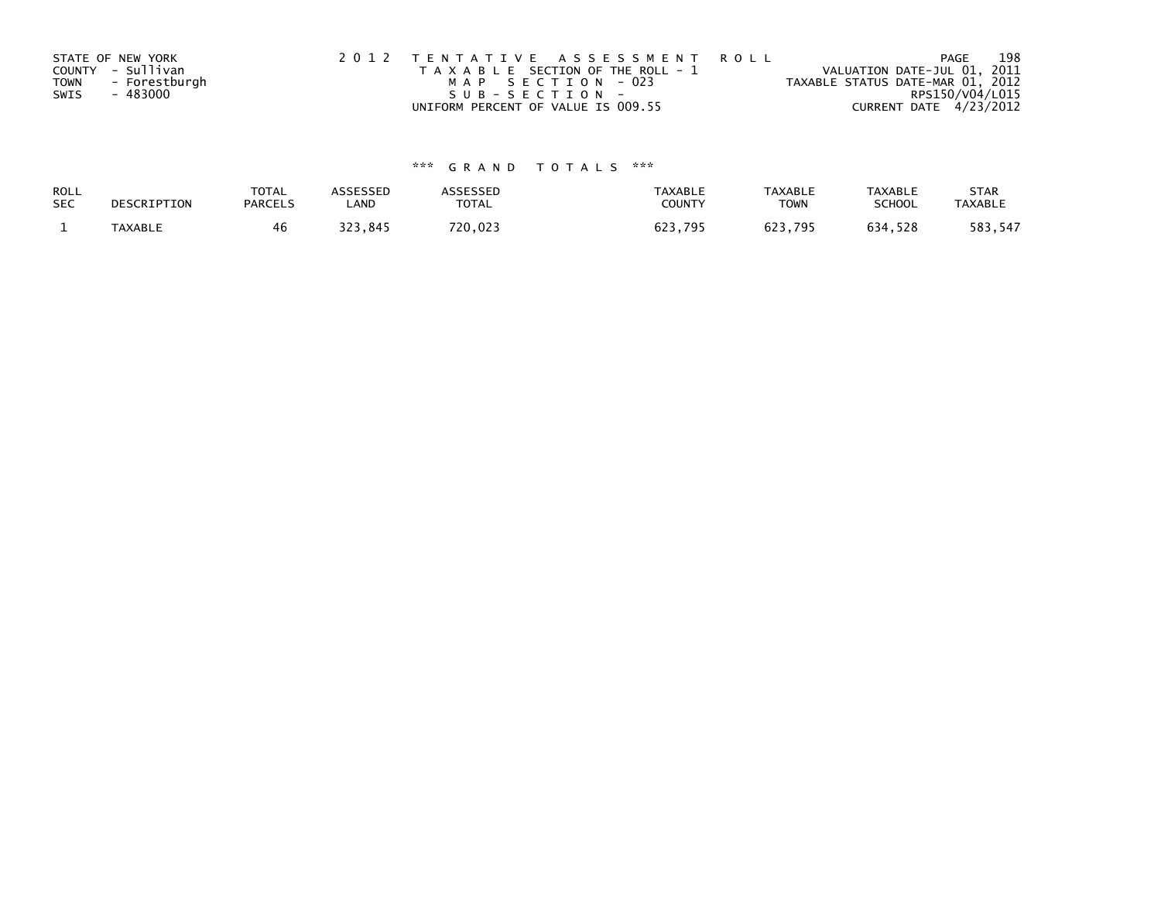|             | STATE OF NEW YORK | 2012 TENTATIVE ASSESSMENT ROLL        | 198<br>PAGE                      |
|-------------|-------------------|---------------------------------------|----------------------------------|
|             | COUNTY - Sullivan | T A X A B L E SECTION OF THE ROLL - 1 | VALUATION DATE-JUL 01, 2011      |
| <b>TOWN</b> | - Forestburgh     | MAP SECTION - 023                     | TAXABLE STATUS DATE-MAR 01, 2012 |
| SWIS        | - 483000          | SUB-SECTION-                          | RPS150/V04/L015                  |
|             |                   | UNIFORM PERCENT OF VALUE IS 009.55    | CURRENT DATE 4/23/2012           |

| ROLL       | DESCRIPTION | <b>TOTAL</b>   | <b>ASSESSED</b> | <b>\SSESSED</b> | <b>TAXABLE</b> | <b>TAXABLE</b> | <b>TAXABLE</b> | <b>STAR</b>    |
|------------|-------------|----------------|-----------------|-----------------|----------------|----------------|----------------|----------------|
| <b>SEC</b> |             | <b>PARCELS</b> | LAND            | <b>TOTAL</b>    | COUNTY         | <b>TOWN</b>    | <b>SCHOOL</b>  | <b>TAXABLE</b> |
|            | TAXABLE     | 46             | つつつ<br>323.845  | 720,023         | 623,795        | 623.795        | 634,528        | 583,547        |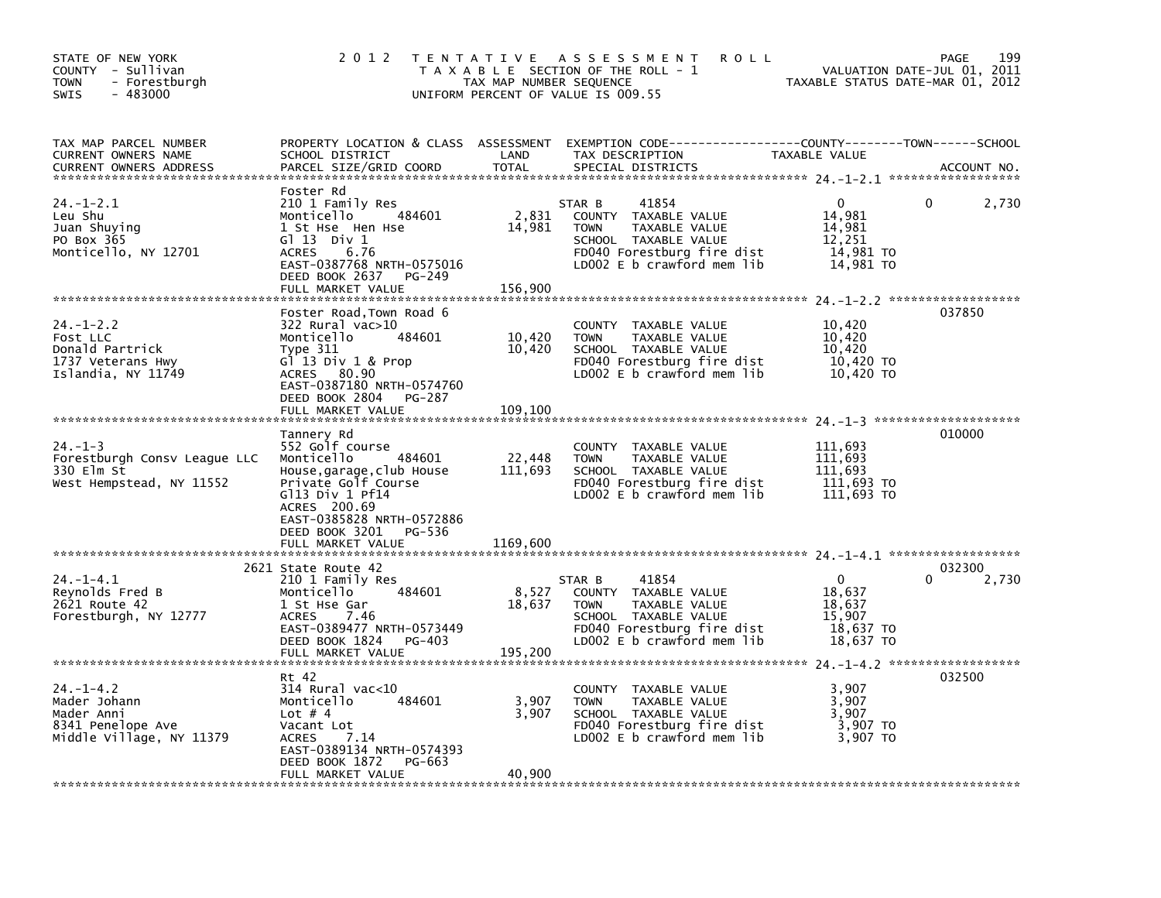| STATE OF NEW YORK<br>COUNTY - Sullivan<br><b>TOWN</b><br>- Forestburgh<br>$-483000$<br><b>SWIS</b> | 2 0 1 2                                                                                                                                                                                | TAX MAP NUMBER SEQUENCE    | TENTATIVE ASSESSMENT<br><b>ROLL</b><br>T A X A B L E SECTION OF THE ROLL - 1<br>UNIFORM PERCENT OF VALUE IS 009.55                                          | TAXABLE STATUS DATE-MAR 01, 2012                                    | 199<br>PAGE<br>VALUATION DATE-JUL 01, 2011 |
|----------------------------------------------------------------------------------------------------|----------------------------------------------------------------------------------------------------------------------------------------------------------------------------------------|----------------------------|-------------------------------------------------------------------------------------------------------------------------------------------------------------|---------------------------------------------------------------------|--------------------------------------------|
| TAX MAP PARCEL NUMBER<br>CURRENT OWNERS NAME<br><b>CURRENT OWNERS ADDRESS</b>                      | SCHOOL DISTRICT<br>PARCEL SIZE/GRID COORD                                                                                                                                              | LAND<br>TOTAL              | PROPERTY LOCATION & CLASS ASSESSMENT EXEMPTION CODE---------------COUNTY-------TOWN-----SCHOOL<br>TAX DESCRIPTION<br>SPECIAL DISTRICTS                      | TAXABLE VALUE                                                       | ACCOUNT NO.                                |
| $24. - 1 - 2.1$<br>Leu Shu<br>Juan Shuying<br>PO Box 365<br>Monticello, NY 12701                   | Foster Rd<br>210 1 Family Res<br>Monticello 484601<br>1 St Hse Hen Hse<br>$G1$ 13 Div 1<br>ACRES<br>6.76<br>EAST-0387768 NRTH-0575016<br>DEED BOOK 2637<br>PG-249<br>FULL MARKET VALUE | 2,831<br>14,981<br>156,900 | 41854<br>STAR B<br>COUNTY TAXABLE VALUE<br><b>TOWN</b><br>TAXABLE VALUE<br>SCHOOL TAXABLE VALUE<br>FD040 Forestburg fire dist<br>LD002 E b crawford mem lib | 0<br>14,981<br>14,981<br>12,251<br>14,981 TO<br>14,981 TO           | 2,730<br>0                                 |
|                                                                                                    |                                                                                                                                                                                        |                            |                                                                                                                                                             |                                                                     |                                            |
| $24. - 1 - 2.2$<br>Fost LLC<br>Donald Partrick<br>1737 Veterans Hwy<br>Islandia, NY 11749          | Foster Road, Town Road 6<br>322 Rural vac>10<br>Monticello<br>484601<br>Type 311<br>$G^{\dagger}$ 13 Div 1 & Prop<br>ACRES 80.90<br>EAST-0387180 NRTH-0574760<br>DEED BOOK 2804 PG-287 | 10,420<br>10,420           | COUNTY TAXABLE VALUE<br><b>TOWN</b><br>TAXABLE VALUE<br>SCHOOL TAXABLE VALUE<br>FD040 Forestburg fire dist<br>LD002 E b crawford mem lib                    | 10,420<br>10,420<br>10,420<br>10,420 TO<br>10,420 TO                | 037850                                     |
|                                                                                                    | FULL MARKET VALUE                                                                                                                                                                      | 109.100                    |                                                                                                                                                             |                                                                     |                                            |
| $24. - 1 - 3$<br>Forestburgh Consv League LLC<br>330 Elm St<br>West Hempstead, NY 11552            | Tannery Rd<br>552 Golf course<br>Monticello<br>484601<br>House, garage, club House<br>Private Golf Course<br>$G113$ Div 1 Pf14<br>ACRES 200.69<br>EAST-0385828 NRTH-0572886            | 22,448<br>111,693          | COUNTY TAXABLE VALUE<br>TAXABLE VALUE<br><b>TOWN</b><br>SCHOOL TAXABLE VALUE<br>FD040 Forestburg fire dist<br>LD002 $E$ b crawford mem $lib$                | 111,693<br>111,693<br>111,693<br>111,693 TO<br>111,693 TO           | 010000                                     |
|                                                                                                    | DEED BOOK 3201 PG-536<br>FULL MARKET VALUE                                                                                                                                             | 1169.600                   |                                                                                                                                                             |                                                                     |                                            |
|                                                                                                    | 2621 State Route 42                                                                                                                                                                    |                            |                                                                                                                                                             |                                                                     | 032300                                     |
| $24. - 1 - 4.1$<br>Reynolds Fred B<br>2621 Route 42<br>Forestburgh, NY 12777                       | 210 1 Family Res<br>484601<br>Monticello<br>1 St Hse Gar<br>ACRES<br>7.46<br>EAST-0389477 NRTH-0573449<br>DEED BOOK 1824 PG-403<br>FULL MARKET VALUE                                   | 8,527<br>18,637<br>195,200 | 41854<br>STAR B<br>COUNTY TAXABLE VALUE<br><b>TOWN</b><br>TAXABLE VALUE<br>SCHOOL TAXABLE VALUE<br>FD040 Forestburg fire dist<br>LDOO2 E b crawford mem lib | $\mathbf 0$<br>18,637<br>18,637<br>15,907<br>18,637 TO<br>18,637 TO | 2,730                                      |
|                                                                                                    |                                                                                                                                                                                        |                            |                                                                                                                                                             |                                                                     |                                            |
| $24. - 1 - 4.2$<br>Mader Johann<br>Mader Anni<br>8341 Penelope Ave<br>Middle Village, NY 11379     | Rt 42<br>314 Rural vac<10<br>484601<br>Monticello<br>Lot $# 4$<br>Vacant Lot<br>ACRES<br>7.14<br>EAST-0389134 NRTH-0574393<br>DEED BOOK 1872<br>PG-663                                 | 3,907<br>3,907             | COUNTY TAXABLE VALUE<br>TAXABLE VALUE<br><b>TOWN</b><br>SCHOOL TAXABLE VALUE<br>FD040 Forestburg fire dist<br>LD002 E b crawford mem lib                    | 3,907<br>3,907<br>3,907<br>3,907 TO<br>3,907 TO                     | 032500                                     |
|                                                                                                    | FULL MARKET VALUE                                                                                                                                                                      | 40,900                     |                                                                                                                                                             |                                                                     |                                            |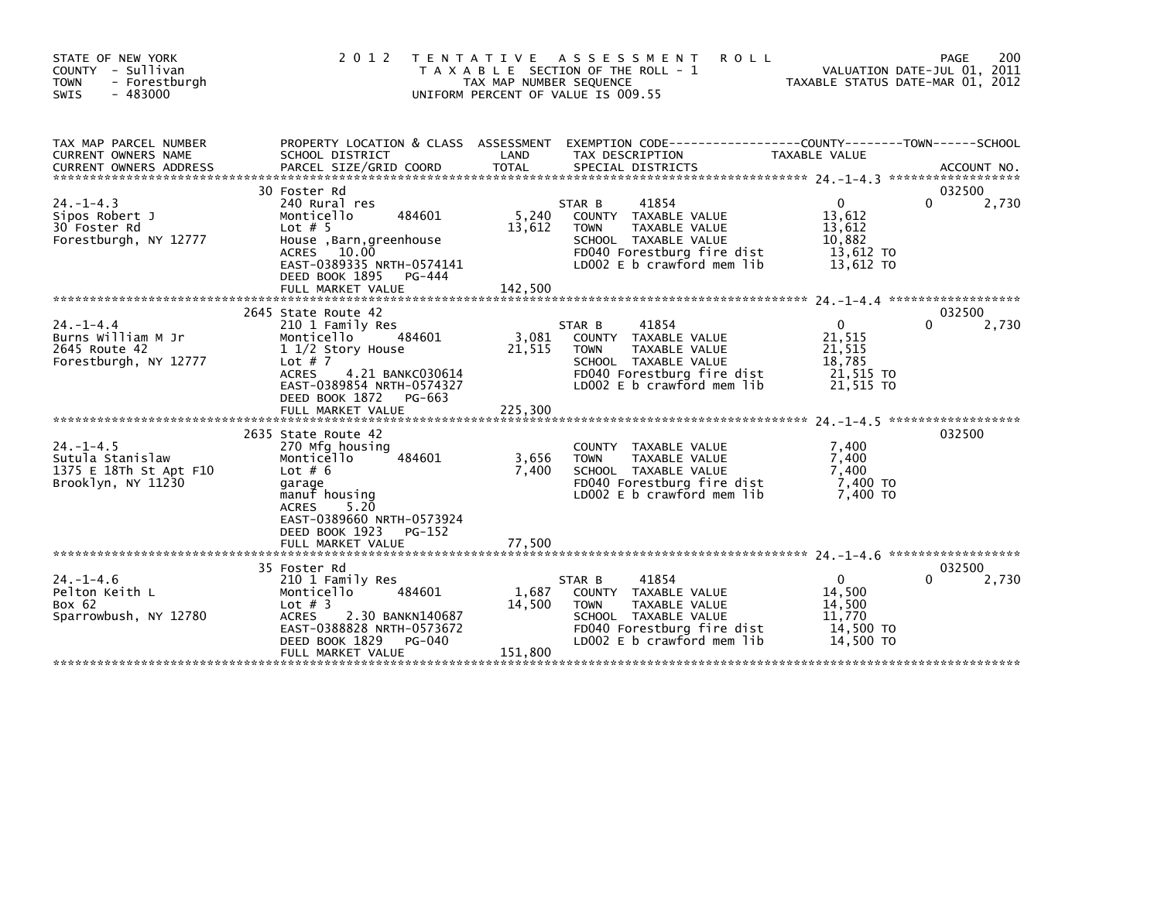| STATE OF NEW YORK<br>COUNTY - Sullivan<br>- Forestburgh<br><b>TOWN</b><br>$-483000$<br>SWIS | 2 0 1 2                                                                                                                                                                                                             | T E N T A T I V E<br>TAX MAP NUMBER SEQUENCE | A S S E S S M E N T<br><b>ROLL</b><br>T A X A B L E SECTION OF THE ROLL - 1<br>UNIFORM PERCENT OF VALUE IS 009.55                                           | TAXABLE STATUS DATE-MAR 01, 2012                                       | 200<br>PAGE<br>VALUATION DATE-JUL 01, 2011 |
|---------------------------------------------------------------------------------------------|---------------------------------------------------------------------------------------------------------------------------------------------------------------------------------------------------------------------|----------------------------------------------|-------------------------------------------------------------------------------------------------------------------------------------------------------------|------------------------------------------------------------------------|--------------------------------------------|
| TAX MAP PARCEL NUMBER<br><b>CURRENT OWNERS NAME</b>                                         | PROPERTY LOCATION & CLASS ASSESSMENT<br>SCHOOL DISTRICT                                                                                                                                                             | LAND                                         | TAX DESCRIPTION                                                                                                                                             | TAXABLE VALUE                                                          |                                            |
| $24. - 1 - 4.3$<br>Sipos Robert J<br>30 Foster Rd<br>Forestburgh, NY 12777                  | 30 Foster Rd<br>240 Rural res<br>Monticello<br>484601<br>Lot $# 5$<br>House , Barn, greenhouse<br>ACRES 10.00<br>EAST-0389335 NRTH-0574141<br>DEED BOOK 1895<br>PG-444<br>FULL MARKET VALUE                         | 5,240<br>13,612<br>142,500                   | 41854<br>STAR B<br>COUNTY TAXABLE VALUE<br>TAXABLE VALUE<br><b>TOWN</b><br>SCHOOL TAXABLE VALUE<br>FD040 Forestburg fire dist<br>LD002 E b crawford mem lib | $\mathbf 0$<br>13,612<br>13,612<br>10,882<br>13,612 TO<br>13,612 TO    | 032500<br>0<br>2,730                       |
| $24. - 1 - 4.4$<br>Burns William M Jr<br>2645 Route 42<br>Forestburgh, NY 12777             | 2645 State Route 42<br>210 1 Family Res<br>484601<br>Monticello<br>1 1/2 Story House<br>Lot $# 7$<br><b>ACRES</b><br>4.21 BANKC030614<br>EAST-0389854 NRTH-0574327<br>DEED BOOK 1872<br>PG-663<br>FULL MARKET VALUE | 3,081<br>21,515<br>225,300                   | STAR B<br>41854<br>COUNTY TAXABLE VALUE<br>TAXABLE VALUE<br><b>TOWN</b><br>SCHOOL TAXABLE VALUE<br>FD040 Forestburg fire dist<br>LD002 E b crawford mem lib | $\overline{0}$<br>21,515<br>21,515<br>18,785<br>21,515 TO<br>21,515 TO | 032500<br>2,730<br>0                       |
| $24. -1 - 4.5$<br>Sutula Stanislaw<br>1375 E 18Th St Apt F10<br>Brooklyn, NY 11230          | 2635 State Route 42<br>270 Mfg housing<br>Monticello<br>484601<br>Lot $# 6$<br>garage<br>manuf housing<br><b>ACRES</b><br>5.20<br>EAST-0389660 NRTH-0573924<br>DEED BOOK 1923<br>PG-152<br>FULL MARKET VALUE        | 3,656<br>7,400<br>77,500                     | COUNTY TAXABLE VALUE<br>TAXABLE VALUE<br><b>TOWN</b><br>SCHOOL TAXABLE VALUE<br>FD040 Forestburg fire dist<br>LD002 E b crawford mem lib                    | 7,400<br>7,400<br>7,400<br>7,400 TO<br>7,400 TO                        | 032500                                     |
| $24. - 1 - 4.6$<br>Pelton Keith L<br>Box 62<br>Sparrowbush, NY 12780                        | 35 Foster Rd<br>210 1 Family Res<br>Monticello<br>484601<br>Lot $#$ 3<br><b>ACRES</b><br>2.30 BANKN140687<br>EAST-0388828 NRTH-0573672<br>DEED BOOK 1829<br>PG-040<br>FULL MARKET VALUE                             | 1,687<br>14,500<br>151,800                   | 41854<br>STAR B<br>COUNTY TAXABLE VALUE<br>TAXABLE VALUE<br><b>TOWN</b><br>SCHOOL TAXABLE VALUE<br>FD040 Forestburg fire dist<br>LD002 E b crawford mem lib | $\mathbf{0}$<br>14,500<br>14,500<br>11.770<br>14,500 TO<br>14.500 TO   | 032500<br>2,730                            |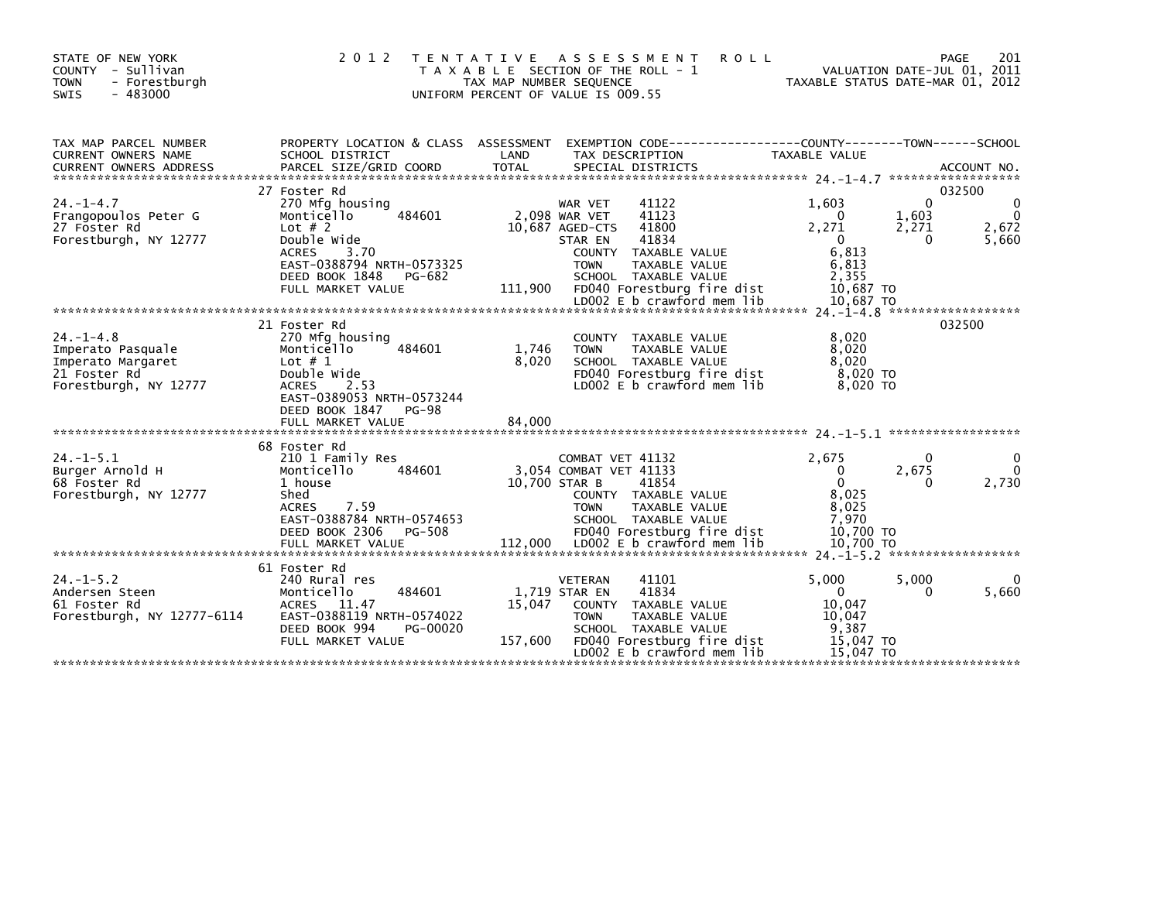| STATE OF NEW YORK<br>- Sullivan<br>COUNTY<br>- Forestburgh<br><b>TOWN</b><br>$-483000$<br>SWIS    | 2 0 1 2                                                                                                                                                                                   | T E N T A T I V E<br>TAX MAP NUMBER SEQUENCE | A S S E S S M E N T<br><b>ROLL</b><br>T A X A B L E SECTION OF THE ROLL - 1<br>UNIFORM PERCENT OF VALUE IS 009.55                                                                                                                             | TAXABLE STATUS DATE-MAR 01, 2012                                                            |                          | 201<br>PAGE<br>VALUATION DATE-JUL 01, 2011       |
|---------------------------------------------------------------------------------------------------|-------------------------------------------------------------------------------------------------------------------------------------------------------------------------------------------|----------------------------------------------|-----------------------------------------------------------------------------------------------------------------------------------------------------------------------------------------------------------------------------------------------|---------------------------------------------------------------------------------------------|--------------------------|--------------------------------------------------|
| TAX MAP PARCEL NUMBER<br><b>CURRENT OWNERS NAME</b>                                               | PROPERTY LOCATION & CLASS ASSESSMENT<br>SCHOOL DISTRICT                                                                                                                                   | LAND                                         | EXEMPTION CODE-----------------COUNTY-------TOWN------SCHOOL<br>TAX DESCRIPTION                                                                                                                                                               | TAXABLE VALUE                                                                               | ******************       | ACCOUNT NO.                                      |
| $24. - 1 - 4.7$<br>Frangopoulos Peter G<br>27 Foster Rd<br>Forestburgh, NY 12777                  | 27 Foster Rd<br>270 Mfg housing<br>484601<br>Monticello<br>Lot $# 2$<br>Double Wide<br><b>ACRES</b><br>3.70<br>EAST-0388794 NRTH-0573325<br>DEED BOOK 1848<br>PG-682<br>FULL MARKET VALUE | 111,900                                      | 41122<br><b>WAR VET</b><br>2,098 WAR VET<br>41123<br>10,687 AGED-CTS<br>41800<br>41834<br>STAR EN<br>COUNTY TAXABLE VALUE<br><b>TOWN</b><br>TAXABLE VALUE<br>SCHOOL TAXABLE VALUE<br>FD040 Forestburg fire dist<br>LD002 E b crawford mem lib | 1,603<br>$\Omega$<br>2,271<br>$\Omega$<br>6,813<br>6,813<br>2.355<br>10,687 TO<br>10.687 TO | 0<br>1,603<br>2,271<br>0 | 032500<br>$\Omega$<br>$\Omega$<br>2,672<br>5,660 |
|                                                                                                   |                                                                                                                                                                                           |                                              |                                                                                                                                                                                                                                               |                                                                                             |                          |                                                  |
| $24. -1 - 4.8$<br>Imperato Pasquale<br>Imperato Margaret<br>21 Foster Rd<br>Forestburgh, NY 12777 | 21 Foster Rd<br>270 Mfg housing<br>Monticello<br>484601<br>Lot $# 1$<br>Double Wide<br><b>ACRES</b><br>2.53<br>EAST-0389053 NRTH-0573244<br>DEED BOOK 1847<br><b>PG-98</b>                | 1,746<br>8,020                               | COUNTY<br>TAXABLE VALUE<br>TAXABLE VALUE<br><b>TOWN</b><br>SCHOOL TAXABLE VALUE<br>FD040 Forestburg fire dist<br>LD002 E b crawford mem lib                                                                                                   | 8,020<br>8.020<br>8.020<br>8.020 TO<br>8,020 TO                                             |                          | 032500                                           |
|                                                                                                   | 68 Foster Rd                                                                                                                                                                              |                                              |                                                                                                                                                                                                                                               |                                                                                             |                          |                                                  |
| $24. -1 - 5.1$<br>Burger Arnold H<br>68 Foster Rd<br>Forestburgh, NY 12777                        | 210 1 Family Res<br>Monticello<br>484601<br>1 house<br>Shed<br>7.59<br><b>ACRES</b><br>EAST-0388784 NRTH-0574653<br>DEED BOOK 2306<br>PG-508<br>FULL MARKET VALUE                         | 10.700 STAR B<br>112,000                     | COMBAT VET 41132<br>3.054 COMBAT VET 41133<br>41854<br>COUNTY TAXABLE VALUE<br>TAXABLE VALUE<br><b>TOWN</b><br>SCHOOL TAXABLE VALUE<br>FD040 Forestburg fire dist<br>LD002 E b crawford mem lib                                               | 2,675<br>$\Omega$<br>$\Omega$<br>8.025<br>8.025<br>7.970<br>10.700 TO<br>10.700 TO          | 0<br>2,675<br>0          | 0<br>0<br>2,730                                  |
|                                                                                                   |                                                                                                                                                                                           |                                              |                                                                                                                                                                                                                                               |                                                                                             |                          |                                                  |
| $24. -1 - 5.2$<br>Andersen Steen<br>61 Foster Rd<br>Forestburgh, NY 12777-6114                    | 61 Foster Rd<br>240 Rural res<br>Monticello<br>484601<br>11.47<br><b>ACRES</b><br>EAST-0388119 NRTH-0574022<br>DEED BOOK 994<br>PG-00020<br>FULL MARKET VALUE                             | 15,047<br>157,600                            | <b>VETERAN</b><br>41101<br>41834<br>1,719 STAR EN<br>COUNTY TAXABLE VALUE<br>TAXABLE VALUE<br><b>TOWN</b><br>SCHOOL TAXABLE VALUE<br>FD040 Forestburg fire dist<br>LD002 E b crawford mem lib                                                 | 5,000<br>$\mathbf{0}$<br>10.047<br>10.047<br>9.387<br>15.047 TO<br>15.047 TO                | 5,000<br>0               | 0<br>5,660                                       |
|                                                                                                   |                                                                                                                                                                                           |                                              |                                                                                                                                                                                                                                               |                                                                                             |                          |                                                  |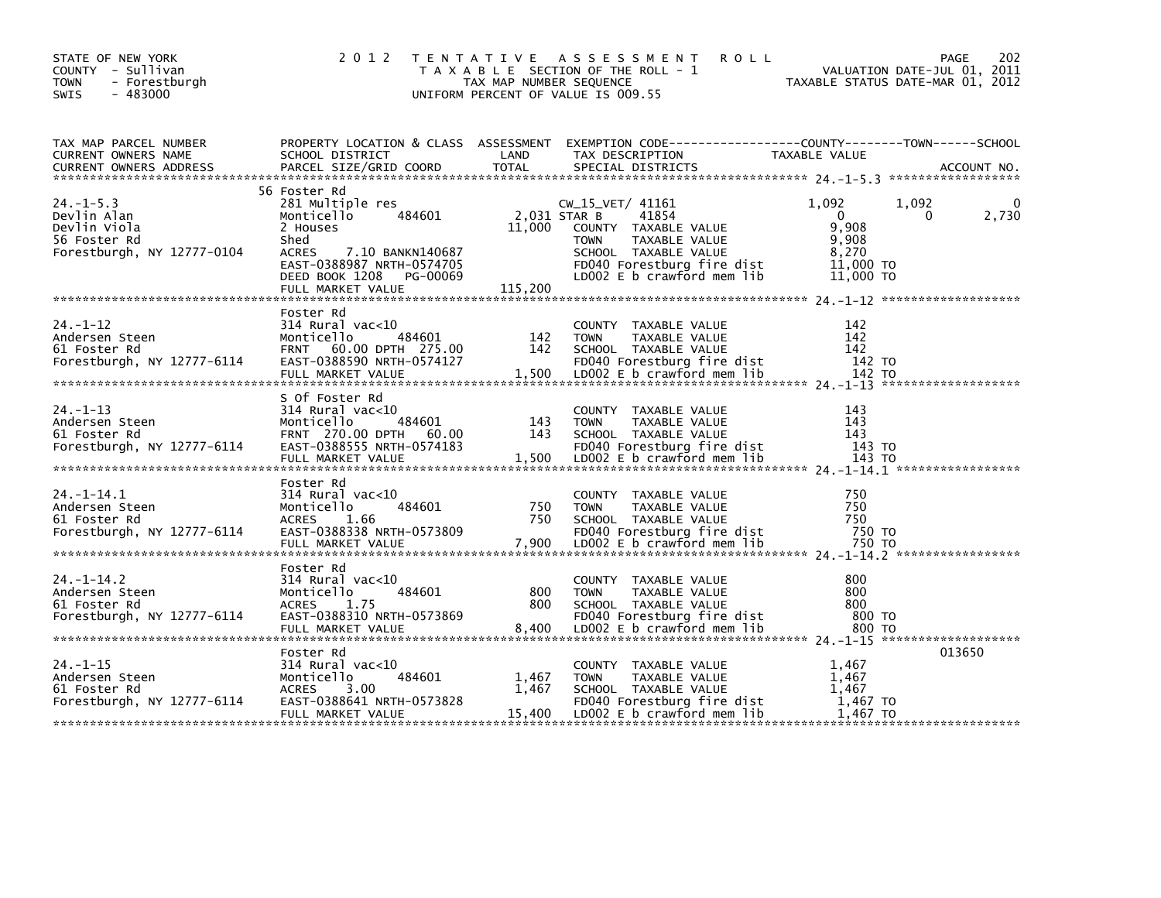| STATE OF NEW YORK<br>COUNTY - Sullivan<br>TOWN<br>- Forestburgh<br>$-483000$<br>SWIS        | 2 0 1 2                                                                                                                                                                                          | TAX MAP NUMBER SEQUENCE           | TENTATIVE ASSESSMENT<br><b>ROLL</b><br>T A X A B L E SECTION OF THE ROLL - 1<br>UNIFORM PERCENT OF VALUE IS 009.55                                                      | VALUATION DATE-JUL 01, 2011<br>VALUATION DATE-JUL 01, 2011<br>TAXABLE STATUS DATE-MAR 01, 2012 | PAGE<br>202 |
|---------------------------------------------------------------------------------------------|--------------------------------------------------------------------------------------------------------------------------------------------------------------------------------------------------|-----------------------------------|-------------------------------------------------------------------------------------------------------------------------------------------------------------------------|------------------------------------------------------------------------------------------------|-------------|
| TAX MAP PARCEL NUMBER<br>CURRENT OWNERS NAME                                                | SCHOOL DISTRICT                                                                                                                                                                                  | LAND                              | PROPERTY LOCATION & CLASS ASSESSMENT EXEMPTION CODE----------------COUNTY-------TOWN-----SCHOOL<br>TAX DESCRIPTION                                                      | TAXABLE VALUE                                                                                  |             |
| $24. -1 - 5.3$<br>Devlin Alan<br>Devlin Viola<br>56 Foster Rd<br>Forestburgh, NY 12777-0104 | 56 Foster Rd<br>281 Multiple res<br>484601<br>Monticello<br>2 Houses<br>Shed<br><b>ACRES</b><br>7.10 BANKN140687<br>EAST-0388987 NRTH-0574705<br>DEED BOOK 1208<br>PG-00069<br>FULL MARKET VALUE | 2,031 STAR B<br>11,000<br>115,200 | $CW_15_VET/ 41161$<br>41854<br>COUNTY TAXABLE VALUE<br><b>TOWN</b><br>TAXABLE VALUE<br>SCHOOL TAXABLE VALUE<br>FD040 Forestburg fire dist<br>LD002 E b crawford mem lib | 1,092<br>1,092<br>$\overline{0}$<br>0<br>9,908<br>9,908<br>8,270<br>11,000 TO<br>11,000 TO     | 0<br>2,730  |
| $24. - 1 - 12$<br>Andersen Steen<br>61 Foster Rd<br>Forestburgh, NY 12777-6114              | Foster Rd<br>314 Rural vac<10<br>484601<br>Monticello<br>FRNT 60.00 DPTH 275.00<br>EAST-0388590 NRTH-0574127                                                                                     | 142<br>142                        | COUNTY TAXABLE VALUE<br>TAXABLE VALUE<br><b>TOWN</b><br>SCHOOL TAXABLE VALUE<br>FD040 Forestburg fire dist<br>1,500 LD002 E b crawford mem lib                          | 142<br>142<br>142<br>142 то                                                                    |             |
| $24. - 1 - 13$<br>Andersen Steen<br>61 Foster Rd                                            | S Of Foster Rd<br>314 Rural vac<10<br>484601<br>Monticello<br>FRNT 270.00 DPTH 60.00                                                                                                             | 143<br>143                        | COUNTY TAXABLE VALUE<br><b>TOWN</b><br>TAXABLE VALUE<br>SCHOOL TAXABLE VALUE                                                                                            | 143<br>143<br>143                                                                              |             |
| $24. -1 - 14.1$<br>Andersen Steen<br>61 Foster Rd<br>Forestburgh, NY 12777-6114             | Foster Rd<br>$314$ Rural vac<10<br>484601<br>Monticello<br><b>ACRES</b><br>1.66<br>EAST-0388338 NRTH-0573809                                                                                     | 750<br>750                        | COUNTY TAXABLE VALUE<br><b>TOWN</b><br>TAXABLE VALUE<br>SCHOOL TAXABLE VALUE<br>FD040 Forestburg fire dist                                                              | 750<br>750<br>750<br>750 TO                                                                    |             |
| $24. -1 - 14.2$<br>Andersen Steen<br>61 Foster Rd<br>Forestburgh, NY 12777-6114             | Foster Rd<br>314 Rural vac<10<br>Monticello<br>484601<br><b>ACRES</b><br>1.75<br>EAST-0388310 NRTH-0573869<br>FULL MARKET VALUE                                                                  | 800<br>800<br>8,400               | COUNTY TAXABLE VALUE<br>TAXABLE VALUE<br><b>TOWN</b><br>SCHOOL TAXABLE VALUE<br>FD040 Forestburg fire dist<br>LD002 E b crawford mem lib                                | 800<br>800<br>800<br>800 то<br>800 то                                                          |             |
| $24. - 1 - 15$<br>Andersen Steen<br>61 Foster Rd<br>Forestburgh, NY 12777-6114              | Foster Rd<br>314 Rural vac<10<br>484601<br>Monticello<br>3.00<br><b>ACRES</b><br>EAST-0388641 NRTH-0573828<br>FULL MARKET VALUE                                                                  | 1,467<br>1,467                    | COUNTY TAXABLE VALUE<br>TAXABLE VALUE<br><b>TOWN</b><br>SCHOOL TAXABLE VALUE<br>FD040 Forestburg fire dist<br>15,400 LDOO2 E b crawford mem lib                         | 1,467<br>1,467<br>1,467<br>1,467 TO<br>1,467 TO                                                | 013650      |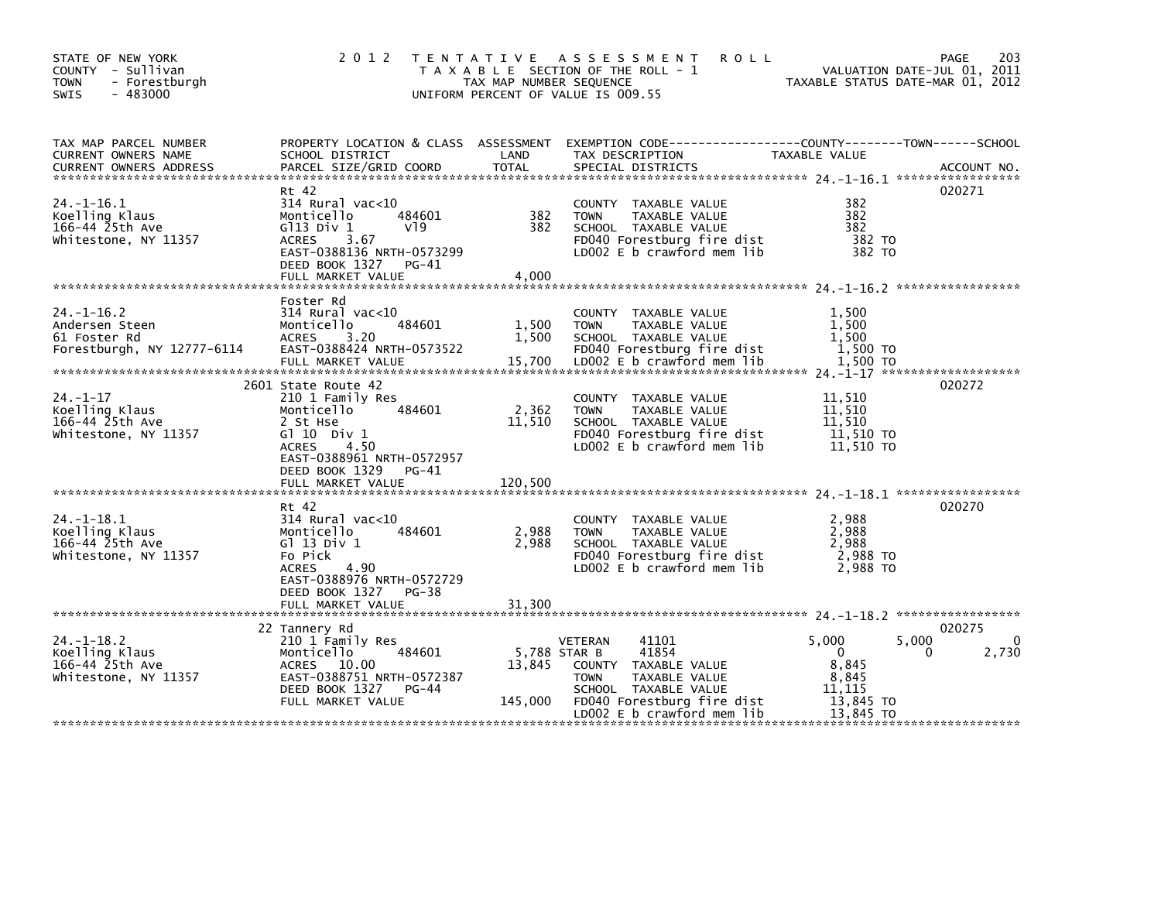| STATE OF NEW YORK<br>COUNTY - Sullivan<br><b>TOWN</b><br>- Forestburgh<br>$-483000$<br><b>SWIS</b> | 2 0 1 2                                                                                                                                                                        | TAX MAP NUMBER SEQUENCE<br>UNIFORM PERCENT OF VALUE IS 009.55 | TENTATIVE ASSESSMENT<br><b>ROLL</b><br>T A X A B L E SECTION OF THE ROLL - 1                                                                                                 | VALUATION DATE-JUL 01, 2011<br>TAXABLE STATUS DATE-MAR 01, 2012                      | 203<br><b>PAGE</b>   |
|----------------------------------------------------------------------------------------------------|--------------------------------------------------------------------------------------------------------------------------------------------------------------------------------|---------------------------------------------------------------|------------------------------------------------------------------------------------------------------------------------------------------------------------------------------|--------------------------------------------------------------------------------------|----------------------|
| TAX MAP PARCEL NUMBER<br>CURRENT OWNERS NAME<br><b>CURRENT OWNERS ADDRESS</b>                      | SCHOOL DISTRICT<br>PARCEL SIZE/GRID COORD                                                                                                                                      | LAND<br><b>TOTAL</b>                                          | PROPERTY LOCATION & CLASS ASSESSMENT EXEMPTION CODE----------------COUNTY-------TOWN------SCHOOL<br>TAX DESCRIPTION<br>SPECIAL DISTRICTS                                     | TAXABLE VALUE                                                                        | ACCOUNT NO.          |
| $24. -1 - 16.1$<br>Koelling Klaus<br>166-44 25th Ave<br>Whitestone, NY 11357                       | Rt 42<br>$314$ Rural vac<10<br>484601<br>Monticello<br>$G113$ Div $1$<br>V19<br><b>ACRES</b><br>3.67<br>EAST-0388136 NRTH-0573299<br>DEED BOOK 1327 PG-41<br>FULL MARKET VALUE | 382<br>382<br>4,000                                           | COUNTY TAXABLE VALUE<br><b>TOWN</b><br>TAXABLE VALUE<br>SCHOOL TAXABLE VALUE<br>FD040 Forestburg fire dist<br>LD002 E b crawford mem lib                                     | 382<br>382<br>382<br>382 TO<br>382 TO                                                | 020271               |
| $24. - 1 - 16.2$<br>Andersen Steen<br>61 Foster Rd<br>Forestburgh, NY 12777-6114                   | Foster Rd<br>314 Rural vac<10<br>484601<br>Monticello<br>3.20<br><b>ACRES</b><br>EAST-0388424 NRTH-0573522                                                                     | 1,500<br>1,500                                                | COUNTY TAXABLE VALUE<br><b>TOWN</b><br>TAXABLE VALUE<br>SCHOOL TAXABLE VALUE<br>FD040 Forestburg fire dist                                                                   | 1,500<br>1,500<br>1.500<br>$1,500$ TO                                                |                      |
| $24. - 1 - 17$<br>Koelling Klaus<br>166-44 25th Ave<br>Whitestone, NY 11357                        | 2601 State Route 42<br>210 1 Family Res<br>Monticello<br>484601<br>2 St Hse<br>G $110$ Div $1$<br>4.50<br><b>ACRES</b><br>EAST-0388961 NRTH-0572957<br>DEED BOOK 1329<br>PG-41 | 2,362<br>11,510                                               | COUNTY TAXABLE VALUE<br><b>TAXABLE VALUE</b><br><b>TOWN</b><br>SCHOOL TAXABLE VALUE<br>FD040 Forestburg fire dist<br>LD002 E b crawford mem lib                              | 11,510<br>11.510<br>11,510<br>11,510 TO<br>11,510 TO                                 | 020272               |
|                                                                                                    | FULL MARKET VALUE                                                                                                                                                              | 120,500                                                       |                                                                                                                                                                              |                                                                                      |                      |
| $24. -1 - 18.1$<br>Koelling Klaus<br>166-44 25th Ave<br>Whitestone, NY 11357                       | Rt 42<br>$314$ Rural vac<10<br>Monticello<br>484601<br>G1 13 Div 1<br>Fo Pick<br><b>ACRES</b><br>4.90<br>EAST-0388976 NRTH-0572729<br>DEED BOOK 1327 PG-38                     | 2,988<br>2,988                                                | COUNTY TAXABLE VALUE<br><b>TOWN</b><br>TAXABLE VALUE<br>SCHOOL TAXABLE VALUE<br>FD040 Forestburg fire dist<br>LD002 $E$ b crawford mem $lib$                                 | 2,988<br>2,988<br>2,988<br>2,988 TO<br>2.988 TO                                      | 020270               |
|                                                                                                    |                                                                                                                                                                                |                                                               |                                                                                                                                                                              |                                                                                      |                      |
| $24. -1 - 18.2$<br>Koelling Klaus<br>166-44 25th Ave<br>Whitestone, NY 11357                       | 22 Tannery Rd<br>210 1 Family Res<br>484601<br>Monticello<br>ACRES 10.00<br>EAST-0388751 NRTH-0572387<br>DEED BOOK 1327<br>PG-44<br>FULL MARKET VALUE                          | 5,788 STAR B<br>13,845<br>145,000                             | 41101<br><b>VETERAN</b><br>41854<br>COUNTY TAXABLE VALUE<br>TAXABLE VALUE<br><b>TOWN</b><br>SCHOOL TAXABLE VALUE<br>FD040 Forestburg fire dist<br>LD002 E b crawford mem lib | 5,000<br>5,000<br>$\mathbf{0}$<br>8,845<br>8,845<br>11.115<br>13,845 TO<br>13,845 TO | 020275<br>0<br>2,730 |
|                                                                                                    |                                                                                                                                                                                |                                                               |                                                                                                                                                                              |                                                                                      |                      |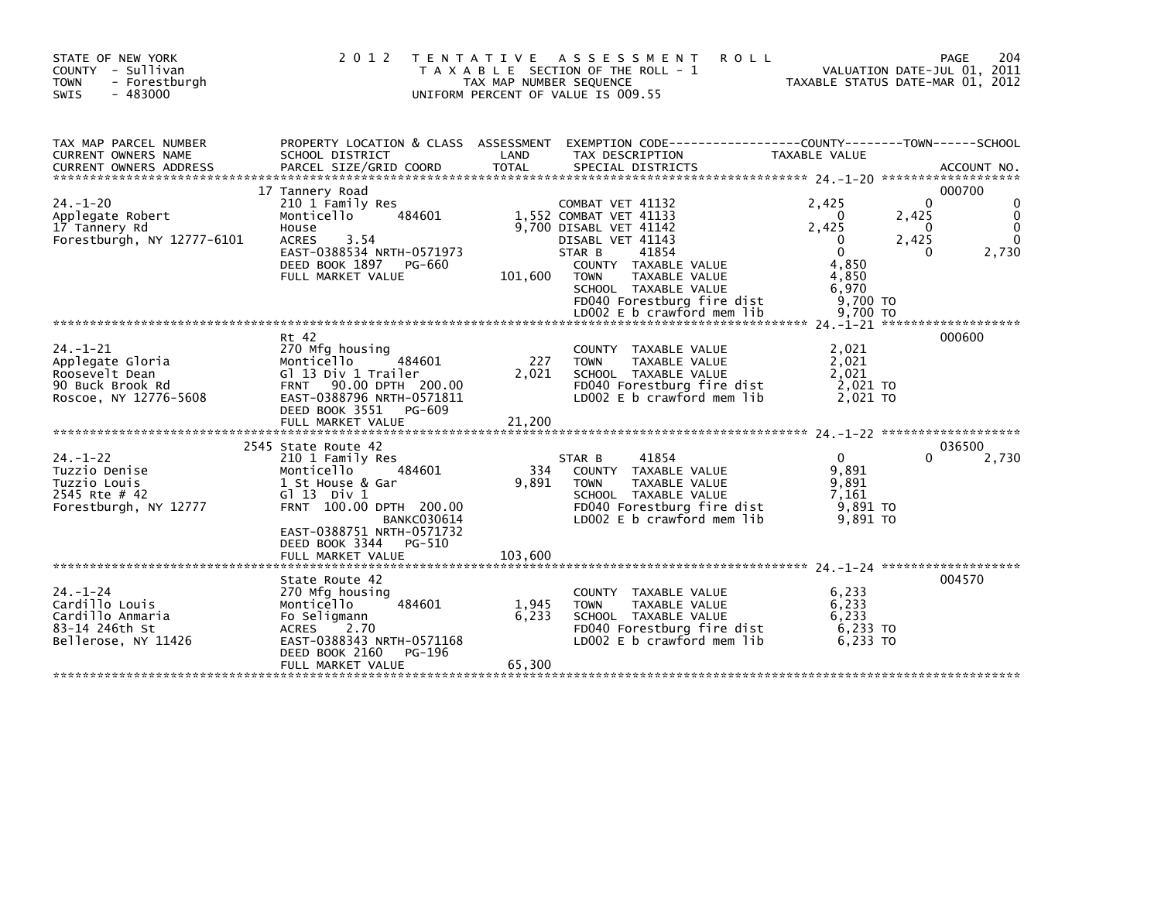| STATE OF NEW YORK<br>COUNTY - Sullivan<br><b>TOWN</b><br>- Forestburgh<br>$-483000$<br><b>SWIS</b> | 2 0 1 2                                                                                                                                                                                                                          | TAX MAP NUMBER SEQUENCE  | TENTATIVE ASSESSMENT<br><b>ROLL</b><br>T A X A B L E SECTION OF THE ROLL - 1<br>UNIFORM PERCENT OF VALUE IS 009.55                                                                                                        |                                                                                               | 204<br>PAGE<br>VALUATION DATE-JUL 01, 2011<br>TAXABLE STATUS DATE-MAR 01, 2012 |
|----------------------------------------------------------------------------------------------------|----------------------------------------------------------------------------------------------------------------------------------------------------------------------------------------------------------------------------------|--------------------------|---------------------------------------------------------------------------------------------------------------------------------------------------------------------------------------------------------------------------|-----------------------------------------------------------------------------------------------|--------------------------------------------------------------------------------|
| TAX MAP PARCEL NUMBER<br><b>CURRENT OWNERS NAME</b><br><b>CURRENT OWNERS ADDRESS</b>               | SCHOOL DISTRICT<br>PARCEL SIZE/GRID COORD                                                                                                                                                                                        | LAND<br><b>TOTAL</b>     | PROPERTY LOCATION & CLASS ASSESSMENT EXEMPTION CODE----------------COUNTY-------TOWN------SCHOOL<br>TAX DESCRIPTION<br>SPECIAL DISTRICTS                                                                                  | TAXABLE VALUE                                                                                 | ACCOUNT NO.                                                                    |
| $24. - 1 - 20$<br>Applegate Robert<br>17 Tannery Rd<br>Forestburgh, NY 12777-6101                  | 17 Tannery Road<br>210 1 Family Res<br>Monticello<br>484601<br>House<br>3.54<br><b>ACRES</b><br>EAST-0388534 NRTH-0571973<br>DEED BOOK 1897 PG-660<br>FULL MARKET VALUE                                                          | 101,600                  | COMBAT VET 41132<br>1,552 COMBAT VET 41133<br>9.700 DISABL VET 41142<br>DISABL VET 41143<br>STAR B<br>41854<br>COUNTY TAXABLE VALUE<br><b>TOWN</b><br>TAXABLE VALUE<br>SCHOOL TAXABLE VALUE<br>FD040 Forestburg fire dist | 2.425<br>$\mathbf{0}$<br>2.425<br>$\Omega$<br>$\Omega$<br>4,850<br>4,850<br>6,970<br>9,700 TO | 000700<br>$\Omega$<br>2,425<br>0<br>2,425<br>2,730<br>$\Omega$                 |
| $24. - 1 - 21$<br>Applegate Gloria<br>Roosevelt Dean<br>90 Buck Brook Rd<br>Roscoe, NY 12776-5608  | Rt 42<br>270 Mfg housing<br>484601<br>Monticello<br>Gl 13 Div 1 Trailer<br>FRNT 90.00 DPTH 200.00<br>EAST-0388796 NRTH-0571811<br>DEED BOOK 3551 PG-609<br>FULL MARKET VALUE                                                     | 227<br>2,021<br>21,200   | COUNTY TAXABLE VALUE<br><b>TOWN</b><br>TAXABLE VALUE<br>SCHOOL TAXABLE VALUE<br>FD040 Forestburg fire dist<br>LD002 E b crawford mem lib                                                                                  | 2,021<br>2,021<br>2,021<br>2,021 TO<br>2.021 TO                                               | 000600                                                                         |
| $24. - 1 - 22$<br>Tuzzio Denise<br>Tuzzio Louis<br>2545 Rte # 42<br>Forestburgh, NY 12777          | 2545 State Route 42<br>210 1 Family Res<br>Monticello<br>484601<br>1 St House & Gar<br>$G1$ 13 Div 1<br>FRNT 100.00 DPTH 200.00<br><b>BANKC030614</b><br>EAST-0388751 NRTH-0571732<br>DEED BOOK 3344 PG-510<br>FULL MARKET VALUE | 334<br>9.891<br>103,600  | 41854<br>STAR B<br>COUNTY TAXABLE VALUE<br>TAXABLE VALUE<br><b>TOWN</b><br>SCHOOL TAXABLE VALUE<br>FD040 Forestburg fire dist<br>LD002 E b crawford mem lib                                                               | $\mathbf{0}$<br>9,891<br>9.891<br>7.161<br>9,891 TO<br>9.891 TO                               | 036500<br>2,730<br>0                                                           |
| $24. - 1 - 24$<br>Cardillo Louis<br>Cardillo Anmaria<br>83-14 246th St<br>Bellerose, NY 11426      | State Route 42<br>270 Mfg housing<br>484601<br>Monticello<br>Fo Seligmann<br>2.70<br><b>ACRES</b><br>EAST-0388343 NRTH-0571168<br>DEED BOOK 2160<br>PG-196<br>FULL MARKET VALUE                                                  | 1,945<br>6,233<br>65,300 | COUNTY TAXABLE VALUE<br><b>TAXABLE VALUE</b><br><b>TOWN</b><br>SCHOOL TAXABLE VALUE<br>FD040 Forestburg fire dist<br>LD002 E b crawford mem lib                                                                           | 6,233<br>6,233<br>6,233<br>6,233 TO<br>6,233 TO                                               | 004570                                                                         |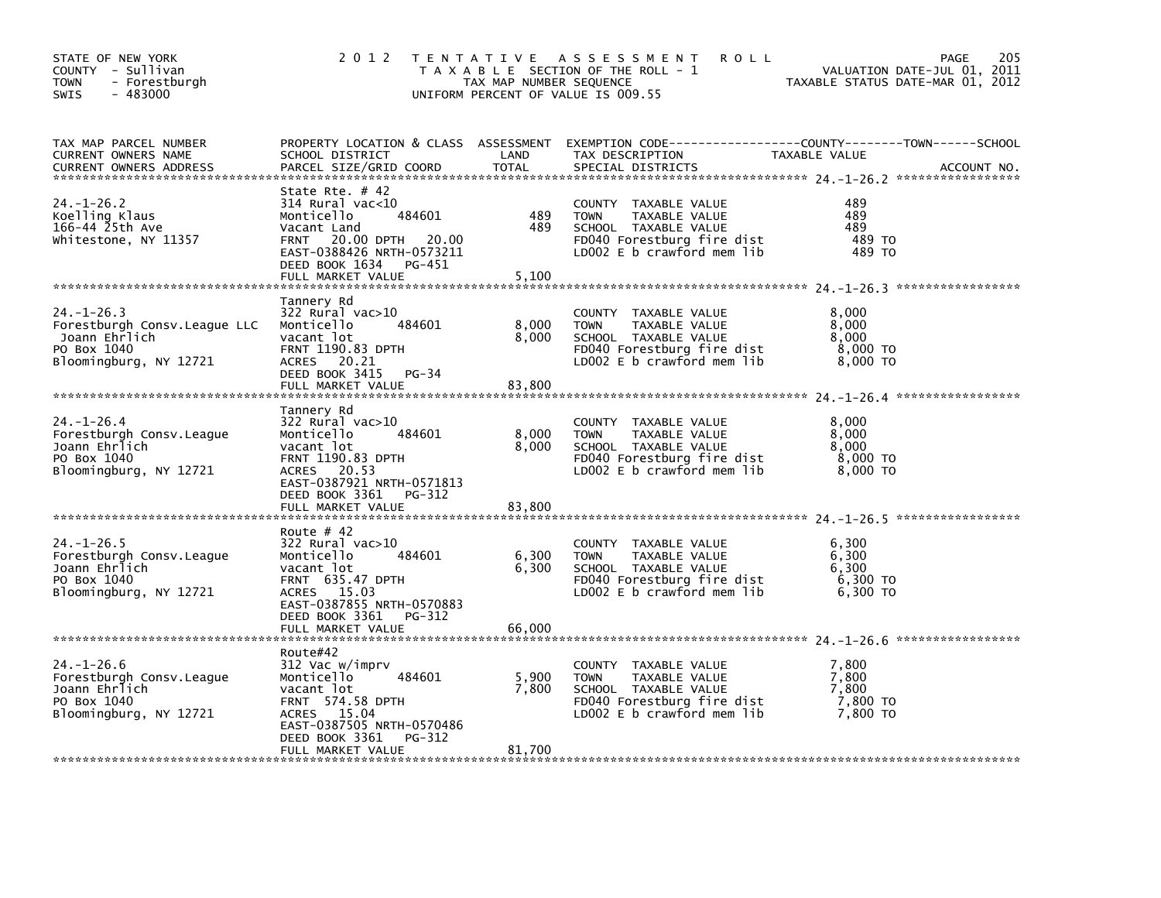| STATE OF NEW YORK<br>COUNTY - Sullivan<br>- Forestburgh<br><b>TOWN</b><br>$-483000$<br><b>SWIS</b>          | 2 0 1 2                                                                                                                                                                                             | TAX MAP NUMBER SEQUENCE  | TENTATIVE ASSESSMENT<br><b>ROLL</b><br>T A X A B L E SECTION OF THE ROLL - 1<br>UNIFORM PERCENT OF VALUE IS 009.55                           | VALUATION DATE-JUL 01, 2011<br>TAXABLE STATUS DATE-MAR 01, 2012 | 205<br>PAGE |
|-------------------------------------------------------------------------------------------------------------|-----------------------------------------------------------------------------------------------------------------------------------------------------------------------------------------------------|--------------------------|----------------------------------------------------------------------------------------------------------------------------------------------|-----------------------------------------------------------------|-------------|
| TAX MAP PARCEL NUMBER<br>CURRENT OWNERS NAME<br><b>CURRENT OWNERS ADDRESS</b>                               | PROPERTY LOCATION & CLASS ASSESSMENT<br>SCHOOL DISTRICT<br>PARCEL SIZE/GRID COORD                                                                                                                   | LAND<br><b>TOTAL</b>     | EXEMPTION CODE-----------------COUNTY-------TOWN------SCHOOL<br>TAX DESCRIPTION<br>SPECIAL DISTRICTS                                         | TAXABLE VALUE                                                   | ACCOUNT NO. |
| $24. - 1 - 26.2$<br>Koelling Klaus<br>166-44 25th Ave<br>Whitestone, NY 11357                               | State Rte. $#$ 42<br>$314$ Rural vac<10<br>Monticello<br>484601<br>Vacant Land<br>20.00 DPTH 20.00<br><b>FRNT</b><br>EAST-0388426 NRTH-0573211<br>DEED BOOK 1634<br>PG-451<br>FULL MARKET VALUE     | 489<br>489<br>5,100      | COUNTY TAXABLE VALUE<br>TAXABLE VALUE<br><b>TOWN</b><br>SCHOOL TAXABLE VALUE<br>FD040 Forestburg fire dist<br>LD002 E b crawford mem lib     | 489<br>489<br>489<br>489 TO<br>489 TO                           |             |
|                                                                                                             |                                                                                                                                                                                                     |                          |                                                                                                                                              |                                                                 |             |
| $24. - 1 - 26.3$<br>Forestburgh Consy. League LLC<br>Joann Ehrlich<br>PO Box 1040<br>Bloomingburg, NY 12721 | Tannery Rd<br>$322$ Rural vac $>10$<br>Monticello<br>484601<br>vacant lot<br><b>FRNT 1190.83 DPTH</b><br>ACRES 20.21<br>DEED BOOK 3415<br>PG-34<br>FULL MARKET VALUE                                | 8,000<br>8,000<br>83,800 | COUNTY TAXABLE VALUE<br>TAXABLE VALUE<br><b>TOWN</b><br>SCHOOL TAXABLE VALUE<br>FD040 Forestburg fire dist<br>LD002 $E$ b crawford mem $lib$ | 8,000<br>8,000<br>8,000<br>8,000 TO<br>8,000 TO                 |             |
|                                                                                                             | Tannery Rd                                                                                                                                                                                          |                          |                                                                                                                                              |                                                                 |             |
| $24. - 1 - 26.4$<br>Forestburgh Consv. League<br>Joann Ehrlich<br>PO Box 1040<br>Bloomingburg, NY 12721     | $322$ Rural vac $>10$<br>Monticello<br>484601<br>vacant lot<br><b>FRNT 1190.83 DPTH</b><br>ACRES 20.53<br>EAST-0387921 NRTH-0571813<br>DEED BOOK 3361<br>PG-312<br>FULL MARKET VALUE                | 8,000<br>8,000<br>83,800 | COUNTY TAXABLE VALUE<br>TAXABLE VALUE<br><b>TOWN</b><br>SCHOOL TAXABLE VALUE<br>FD040 Forestburg fire dist<br>LD002 E b crawford mem lib     | 8.000<br>8,000<br>8,000<br>8,000 TO<br>8,000 TO                 |             |
|                                                                                                             |                                                                                                                                                                                                     |                          |                                                                                                                                              |                                                                 |             |
| $24. - 1 - 26.5$<br>Forestburgh Consv. League<br>Joann Ehrlich<br>PO Box 1040<br>Bloomingburg, NY 12721     | Route $# 42$<br>$322$ Rural vac $>10$<br>Monticello<br>484601<br>vacant lot<br><b>FRNT 635.47 DPTH</b><br>ACRES 15.03<br>EAST-0387855 NRTH-0570883<br>DEED BOOK 3361<br>PG-312<br>FULL MARKET VALUE | 6,300<br>6,300<br>66,000 | COUNTY TAXABLE VALUE<br>TAXABLE VALUE<br><b>TOWN</b><br>SCHOOL TAXABLE VALUE<br>FD040 Forestburg fire dist<br>LD002 E b crawford mem lib     | 6,300<br>6,300<br>6,300<br>6,300 TO<br>6,300 TO                 |             |
|                                                                                                             |                                                                                                                                                                                                     |                          |                                                                                                                                              |                                                                 |             |
| $24. - 1 - 26.6$<br>Forestburgh Consv. League<br>Joann Ehrlich<br>PO Box 1040<br>Bloomingburg, NY 12721     | Route#42<br>312 Vac w/imprv<br>Monticello<br>484601<br>vacant lot<br>FRNT 574.58 DPTH<br>ACRES 15.04<br>EAST-0387505 NRTH-0570486<br>DEED BOOK 3361<br>PG-312                                       | 5,900<br>7,800           | COUNTY TAXABLE VALUE<br>TAXABLE VALUE<br><b>TOWN</b><br>SCHOOL TAXABLE VALUE<br>FD040 Forestburg fire dist<br>LD002 E b crawford mem lib     | 7,800<br>7,800<br>7.800<br>7,800 TO<br>7.800 TO                 |             |
|                                                                                                             | FULL MARKET VALUE                                                                                                                                                                                   | 81,700                   |                                                                                                                                              |                                                                 |             |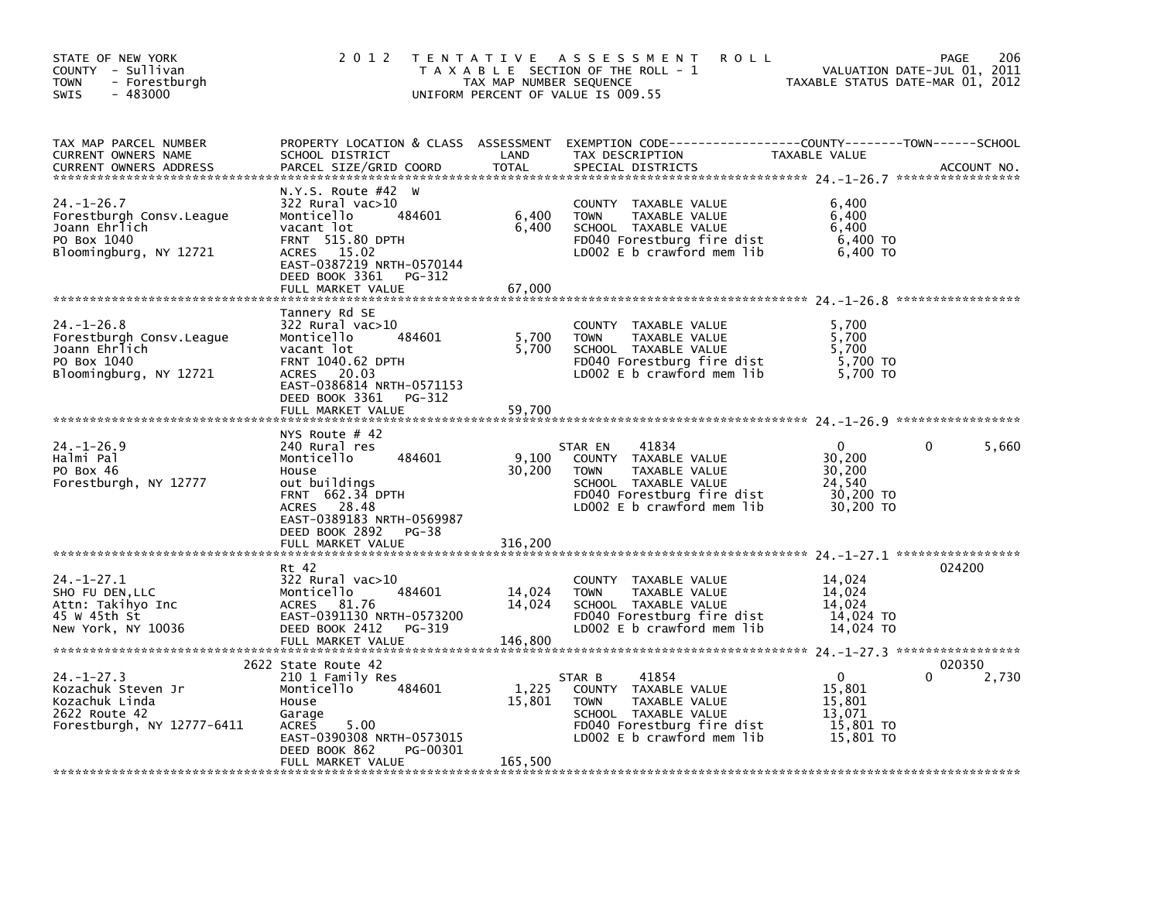| PROPERTY LOCATION & CLASS ASSESSMENT EXEMPTION CODE---------------COUNTY-------TOWN------SCHOOL<br>TAX MAP PARCEL NUMBER<br>LAND<br>CURRENT OWNERS NAME<br>SCHOOL DISTRICT<br>TAX DESCRIPTION<br>TAXABLE VALUE<br><b>TOTAL</b><br>PARCEL SIZE/GRID COORD<br>SPECIAL DISTRICTS<br><b>CURRENT OWNERS ADDRESS</b><br>ACCOUNT NO.<br>N.Y.S. Route #42 W<br>24. –1–26.7<br>$322$ Rural vac $>10$<br>6,400<br>COUNTY TAXABLE VALUE<br>484601<br>6,400<br>6,400<br>Forestburgh Consv. League<br>Monticello<br><b>TOWN</b><br>TAXABLE VALUE<br>Joann Ehrlich<br>6,400<br>SCHOOL TAXABLE VALUE<br>6.400<br>vacant lot<br>PO Box 1040<br><b>FRNT 515.80 DPTH</b><br>FD040 Forestburg fire dist<br>6,400 TO<br>ACRES 15.02<br>LD002 E b crawford mem lib<br>6,400 TO<br>Bloomingburg, NY 12721<br>EAST-0387219 NRTH-0570144<br>DEED BOOK 3361 PG-312<br>67,000<br>FULL MARKET VALUE<br>Tannery Rd SE<br>322 Rural vac>10<br>$24. - 1 - 26.8$<br>5,700<br>COUNTY TAXABLE VALUE<br>5,700<br>5,700<br>Forestburgh Consy. League<br>Monticello<br>484601<br>TAXABLE VALUE<br><b>TOWN</b><br>5,700<br>5,700<br>Joann Ehrlich<br>vacant lot<br>SCHOOL TAXABLE VALUE<br>FD040 Forestburg fire dist<br>PO Box 1040<br>5,700 TO<br><b>FRNT 1040.62 DPTH</b><br>LD002 E b crawford mem lib<br>Bloomingburg, NY 12721<br>ACRES 20.03<br>5,700 TO<br>EAST-0386814 NRTH-0571153<br>DEED BOOK 3361 PG-312<br>NYS Route # 42<br>$24. - 1 - 26.9$<br>$\Omega$<br>$\mathbf{0}$<br>5,660<br>240 Rural res<br>41834<br>STAR EN<br>9,100<br>Halmi Pal<br>484601<br>COUNTY TAXABLE VALUE<br>30,200<br>Monticello<br>PO Box 46<br>30,200<br>TAXABLE VALUE<br>30.200<br>House<br><b>TOWN</b><br>Forestburgh, NY 12777<br>out buildings<br>SCHOOL TAXABLE VALUE<br>24,540<br>FD040 Forestburg fire dist<br>FRNT 662.34 DPTH<br>30,200 TO<br>LD002 E b crawford mem lib<br>ACRES 28.48<br>30,200 TO<br>EAST-0389183 NRTH-0569987<br>DEED BOOK 2892 PG-38<br>316,200<br>FULL MARKET VALUE<br>024200<br>Rt 42<br>$24. - 1 - 27.1$<br>322 Rural vac>10<br>14,024<br>COUNTY TAXABLE VALUE<br>484601<br>14,024<br>14,024<br>SHO FU DEN, LLC<br>Monticello<br><b>TOWN</b><br>TAXABLE VALUE<br>14,024<br>ACRES 81.76<br>SCHOOL TAXABLE VALUE<br>14,024<br>Attn: Takihyo Inc<br>EAST-0391130 NRTH-0573200<br>45 W 45th St<br>FD040 Forestburg fire dist<br>14,024 TO<br>LD002 E b crawford mem lib<br>New York, NY 10036<br>DEED BOOK 2412 PG-319<br>14,024 TO<br>146,800<br>FULL MARKET VALUE<br>2622 State Route 42<br>020350<br>$24. - 1 - 27.3$<br>$\Omega$<br>2,730<br>210 1 Family Res<br>41854<br>0<br>STAR B<br>1,225<br>484601<br>15,801<br>Kozachuk Steven Jr<br>Monticello<br>COUNTY TAXABLE VALUE<br>Kozachuk Linda<br>15,801<br>15,801<br>House<br><b>TOWN</b><br>TAXABLE VALUE<br>2622 Route 42<br>SCHOOL TAXABLE VALUE<br>13,071<br>Garage<br>FD040 Forestburg fire dist<br>15,801 TO<br>Forestburgh, NY 12777-6411<br>5.00<br>ACRES<br>LD002 E b crawford mem lib<br>15,801 TO<br>EAST-0390308 NRTH-0573015<br>DEED BOOK 862<br>PG-00301<br>165,500<br>FULL MARKET VALUE | STATE OF NEW YORK<br>COUNTY - Sullivan<br>- Forestburgh<br>TOWN<br>$-483000$<br>SWIS | 2 0 1 2 | TAX MAP NUMBER SEQUENCE | TENTATIVE ASSESSMENT<br><b>ROLL</b><br>T A X A B L E SECTION OF THE ROLL - 1<br>UNIFORM PERCENT OF VALUE IS 009.55 | VALUATION DATE-JUL 01, 2011<br>TAXABLE STATUS DATE-MAR 01, 2012 | 206<br>PAGE |
|----------------------------------------------------------------------------------------------------------------------------------------------------------------------------------------------------------------------------------------------------------------------------------------------------------------------------------------------------------------------------------------------------------------------------------------------------------------------------------------------------------------------------------------------------------------------------------------------------------------------------------------------------------------------------------------------------------------------------------------------------------------------------------------------------------------------------------------------------------------------------------------------------------------------------------------------------------------------------------------------------------------------------------------------------------------------------------------------------------------------------------------------------------------------------------------------------------------------------------------------------------------------------------------------------------------------------------------------------------------------------------------------------------------------------------------------------------------------------------------------------------------------------------------------------------------------------------------------------------------------------------------------------------------------------------------------------------------------------------------------------------------------------------------------------------------------------------------------------------------------------------------------------------------------------------------------------------------------------------------------------------------------------------------------------------------------------------------------------------------------------------------------------------------------------------------------------------------------------------------------------------------------------------------------------------------------------------------------------------------------------------------------------------------------------------------------------------------------------------------------------------------------------------------------------------------------------------------------------------------------------------------------------------------------------------------------------------------------------------------------------------------------------------------------------------------------------------------------------------------------------------------------------------------------------------------------------------------------------------------------------------------------------------------------|--------------------------------------------------------------------------------------|---------|-------------------------|--------------------------------------------------------------------------------------------------------------------|-----------------------------------------------------------------|-------------|
|                                                                                                                                                                                                                                                                                                                                                                                                                                                                                                                                                                                                                                                                                                                                                                                                                                                                                                                                                                                                                                                                                                                                                                                                                                                                                                                                                                                                                                                                                                                                                                                                                                                                                                                                                                                                                                                                                                                                                                                                                                                                                                                                                                                                                                                                                                                                                                                                                                                                                                                                                                                                                                                                                                                                                                                                                                                                                                                                                                                                                                              |                                                                                      |         |                         |                                                                                                                    |                                                                 |             |
|                                                                                                                                                                                                                                                                                                                                                                                                                                                                                                                                                                                                                                                                                                                                                                                                                                                                                                                                                                                                                                                                                                                                                                                                                                                                                                                                                                                                                                                                                                                                                                                                                                                                                                                                                                                                                                                                                                                                                                                                                                                                                                                                                                                                                                                                                                                                                                                                                                                                                                                                                                                                                                                                                                                                                                                                                                                                                                                                                                                                                                              |                                                                                      |         |                         |                                                                                                                    |                                                                 |             |
|                                                                                                                                                                                                                                                                                                                                                                                                                                                                                                                                                                                                                                                                                                                                                                                                                                                                                                                                                                                                                                                                                                                                                                                                                                                                                                                                                                                                                                                                                                                                                                                                                                                                                                                                                                                                                                                                                                                                                                                                                                                                                                                                                                                                                                                                                                                                                                                                                                                                                                                                                                                                                                                                                                                                                                                                                                                                                                                                                                                                                                              |                                                                                      |         |                         |                                                                                                                    |                                                                 |             |
|                                                                                                                                                                                                                                                                                                                                                                                                                                                                                                                                                                                                                                                                                                                                                                                                                                                                                                                                                                                                                                                                                                                                                                                                                                                                                                                                                                                                                                                                                                                                                                                                                                                                                                                                                                                                                                                                                                                                                                                                                                                                                                                                                                                                                                                                                                                                                                                                                                                                                                                                                                                                                                                                                                                                                                                                                                                                                                                                                                                                                                              |                                                                                      |         |                         |                                                                                                                    |                                                                 |             |
|                                                                                                                                                                                                                                                                                                                                                                                                                                                                                                                                                                                                                                                                                                                                                                                                                                                                                                                                                                                                                                                                                                                                                                                                                                                                                                                                                                                                                                                                                                                                                                                                                                                                                                                                                                                                                                                                                                                                                                                                                                                                                                                                                                                                                                                                                                                                                                                                                                                                                                                                                                                                                                                                                                                                                                                                                                                                                                                                                                                                                                              |                                                                                      |         |                         |                                                                                                                    |                                                                 |             |
|                                                                                                                                                                                                                                                                                                                                                                                                                                                                                                                                                                                                                                                                                                                                                                                                                                                                                                                                                                                                                                                                                                                                                                                                                                                                                                                                                                                                                                                                                                                                                                                                                                                                                                                                                                                                                                                                                                                                                                                                                                                                                                                                                                                                                                                                                                                                                                                                                                                                                                                                                                                                                                                                                                                                                                                                                                                                                                                                                                                                                                              |                                                                                      |         |                         |                                                                                                                    |                                                                 |             |
|                                                                                                                                                                                                                                                                                                                                                                                                                                                                                                                                                                                                                                                                                                                                                                                                                                                                                                                                                                                                                                                                                                                                                                                                                                                                                                                                                                                                                                                                                                                                                                                                                                                                                                                                                                                                                                                                                                                                                                                                                                                                                                                                                                                                                                                                                                                                                                                                                                                                                                                                                                                                                                                                                                                                                                                                                                                                                                                                                                                                                                              |                                                                                      |         |                         |                                                                                                                    |                                                                 |             |
|                                                                                                                                                                                                                                                                                                                                                                                                                                                                                                                                                                                                                                                                                                                                                                                                                                                                                                                                                                                                                                                                                                                                                                                                                                                                                                                                                                                                                                                                                                                                                                                                                                                                                                                                                                                                                                                                                                                                                                                                                                                                                                                                                                                                                                                                                                                                                                                                                                                                                                                                                                                                                                                                                                                                                                                                                                                                                                                                                                                                                                              |                                                                                      |         |                         |                                                                                                                    |                                                                 |             |
|                                                                                                                                                                                                                                                                                                                                                                                                                                                                                                                                                                                                                                                                                                                                                                                                                                                                                                                                                                                                                                                                                                                                                                                                                                                                                                                                                                                                                                                                                                                                                                                                                                                                                                                                                                                                                                                                                                                                                                                                                                                                                                                                                                                                                                                                                                                                                                                                                                                                                                                                                                                                                                                                                                                                                                                                                                                                                                                                                                                                                                              |                                                                                      |         |                         |                                                                                                                    |                                                                 |             |
|                                                                                                                                                                                                                                                                                                                                                                                                                                                                                                                                                                                                                                                                                                                                                                                                                                                                                                                                                                                                                                                                                                                                                                                                                                                                                                                                                                                                                                                                                                                                                                                                                                                                                                                                                                                                                                                                                                                                                                                                                                                                                                                                                                                                                                                                                                                                                                                                                                                                                                                                                                                                                                                                                                                                                                                                                                                                                                                                                                                                                                              |                                                                                      |         |                         |                                                                                                                    |                                                                 |             |
|                                                                                                                                                                                                                                                                                                                                                                                                                                                                                                                                                                                                                                                                                                                                                                                                                                                                                                                                                                                                                                                                                                                                                                                                                                                                                                                                                                                                                                                                                                                                                                                                                                                                                                                                                                                                                                                                                                                                                                                                                                                                                                                                                                                                                                                                                                                                                                                                                                                                                                                                                                                                                                                                                                                                                                                                                                                                                                                                                                                                                                              |                                                                                      |         |                         |                                                                                                                    |                                                                 |             |
|                                                                                                                                                                                                                                                                                                                                                                                                                                                                                                                                                                                                                                                                                                                                                                                                                                                                                                                                                                                                                                                                                                                                                                                                                                                                                                                                                                                                                                                                                                                                                                                                                                                                                                                                                                                                                                                                                                                                                                                                                                                                                                                                                                                                                                                                                                                                                                                                                                                                                                                                                                                                                                                                                                                                                                                                                                                                                                                                                                                                                                              |                                                                                      |         |                         |                                                                                                                    |                                                                 |             |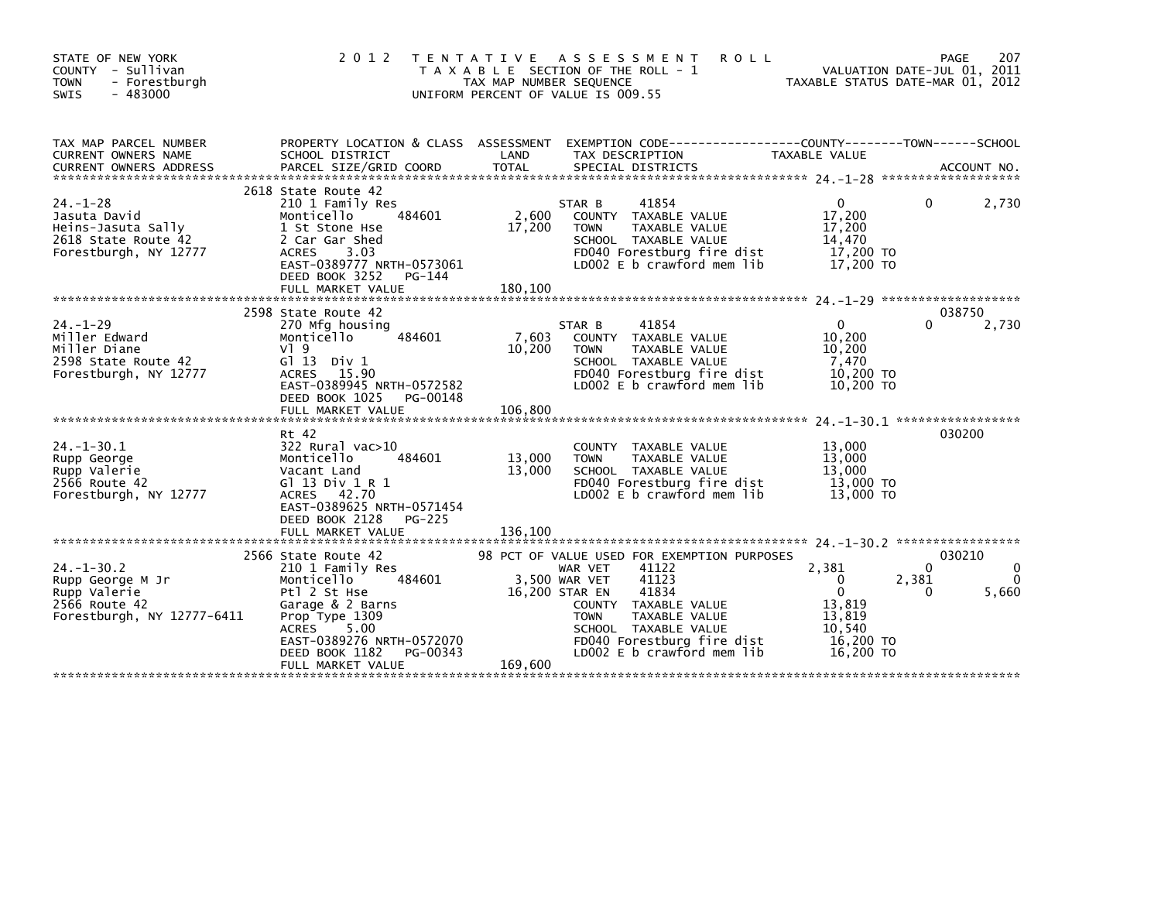| STATE OF NEW YORK<br>COUNTY - Sullivan<br>- Forestburgh<br><b>TOWN</b><br>SWIS<br>$-483000$          | 2 0 1 2<br>T E N T A T I V E                                                                                                                                                                                           | TAX MAP NUMBER SEQUENCE    | A S S E S S M E N T<br><b>ROLL</b><br>T A X A B L E SECTION OF THE ROLL - 1<br>UNIFORM PERCENT OF VALUE IS 009.55                                                                                                                                                |                                                                                | 207<br>PAGE<br>VALUATION DATE-JUL 01, 2011<br>TAXABLE STATUS DATE-MAR 01, 2012 |
|------------------------------------------------------------------------------------------------------|------------------------------------------------------------------------------------------------------------------------------------------------------------------------------------------------------------------------|----------------------------|------------------------------------------------------------------------------------------------------------------------------------------------------------------------------------------------------------------------------------------------------------------|--------------------------------------------------------------------------------|--------------------------------------------------------------------------------|
| TAX MAP PARCEL NUMBER<br><b>CURRENT OWNERS NAME</b>                                                  | PROPERTY LOCATION & CLASS ASSESSMENT<br>SCHOOL DISTRICT                                                                                                                                                                | LAND                       | EXEMPTION CODE-----------------COUNTY-------TOWN------SCHOOL<br>TAX DESCRIPTION                                                                                                                                                                                  | TAXABLE VALUE                                                                  |                                                                                |
| $24. - 1 - 28$<br>Jasuta David<br>Heins-Jasuta Sally<br>2618 State Route 42<br>Forestburgh, NY 12777 | 2618 State Route 42<br>210 1 Family Res<br>484601<br>Monticello<br>1 St Stone Hse<br>2 Car Gar Shed<br><b>ACRES</b><br>3.03<br>EAST-0389777 NRTH-0573061<br>DEED BOOK 3252<br>PG-144<br>FULL MARKET VALUE              | 2,600<br>17,200<br>180,100 | 41854<br>STAR B<br>COUNTY TAXABLE VALUE<br>TAXABLE VALUE<br><b>TOWN</b><br>SCHOOL TAXABLE VALUE<br>FD040 Forestburg fire dist<br>LD002 E b crawford mem lib                                                                                                      | $\Omega$<br>17,200<br>17,200<br>14,470<br>17,200 TO<br>17,200 TO               | 2,730<br>0                                                                     |
| $24. - 1 - 29$<br>Miller Edward<br>Miller Diane<br>2598 State Route 42<br>Forestburgh, NY 12777      | 2598 State Route 42<br>270 Mfg housing<br>Monticello<br>484601<br>$V$ ] 9<br>G $\overline{1}$ 13 Div 1<br>ACRES 15.90<br>EAST-0389945 NRTH-0572582<br>DEED BOOK 1025<br>PG-00148<br>FULL MARKET VALUE                  | 7,603<br>10,200<br>106,800 | 41854<br>STAR B<br>COUNTY TAXABLE VALUE<br>TAXABLE VALUE<br><b>TOWN</b><br>SCHOOL TAXABLE VALUE<br>FD040 Forestburg fire dist<br>LD002 E b crawford mem lib                                                                                                      | $\Omega$<br>10,200<br>10,200<br>7.470<br>10,200 TO<br>10,200 TO                | 038750<br>2,730<br>$\Omega$                                                    |
| $24. - 1 - 30.1$<br>Rupp George<br>Rupp Valerie<br>2566 Route 42<br>Forestburgh, NY 12777            | Rt 42<br>$322$ Rural vac $>10$<br>Monticello<br>484601<br>Vacant Land<br>G $1$ 13 Div 1 R 1<br>ACRES 42.70<br>EAST-0389625 NRTH-0571454<br>DEED BOOK 2128<br>PG-225                                                    | 13,000<br>13,000           | TAXABLE VALUE<br><b>COUNTY</b><br>TAXABLE VALUE<br><b>TOWN</b><br>SCHOOL TAXABLE VALUE<br>FD040 Forestburg fire dist<br>LD002 E b crawford mem lib                                                                                                               | 13,000<br>13,000<br>13,000<br>13,000 TO<br>13,000 TO                           | 030200                                                                         |
| $24. - 1 - 30.2$<br>Rupp George M Jr<br>Rupp Valerie<br>2566 Route 42<br>Forestburgh, NY 12777-6411  | 2566 State Route 42<br>210 1 Family Res<br>484601<br>Monticello<br>Ptl 2 St Hse<br>Garage & 2 Barns<br>Prop Type 1309<br>5.00<br>ACRES<br>EAST-0389276 NRTH-0572070<br>DEED BOOK 1182<br>PG-00343<br>FULL MARKET VALUE | 169,600                    | 98 PCT OF VALUE USED FOR EXEMPTION PURPOSES<br>41122<br>WAR VET<br>41123<br>3.500 WAR VET<br>41834<br>16,200 STAR EN<br>COUNTY TAXABLE VALUE<br>TAXABLE VALUE<br><b>TOWN</b><br>SCHOOL TAXABLE VALUE<br>FD040 Forestburg fire dist<br>LD002 E b crawford mem lib | 2,381<br>0<br>$\Omega$<br>13,819<br>13.819<br>10.540<br>16,200 TO<br>16,200 TO | 030210<br>$\Omega$<br>2,381<br>$\Omega$<br>5,660<br>0                          |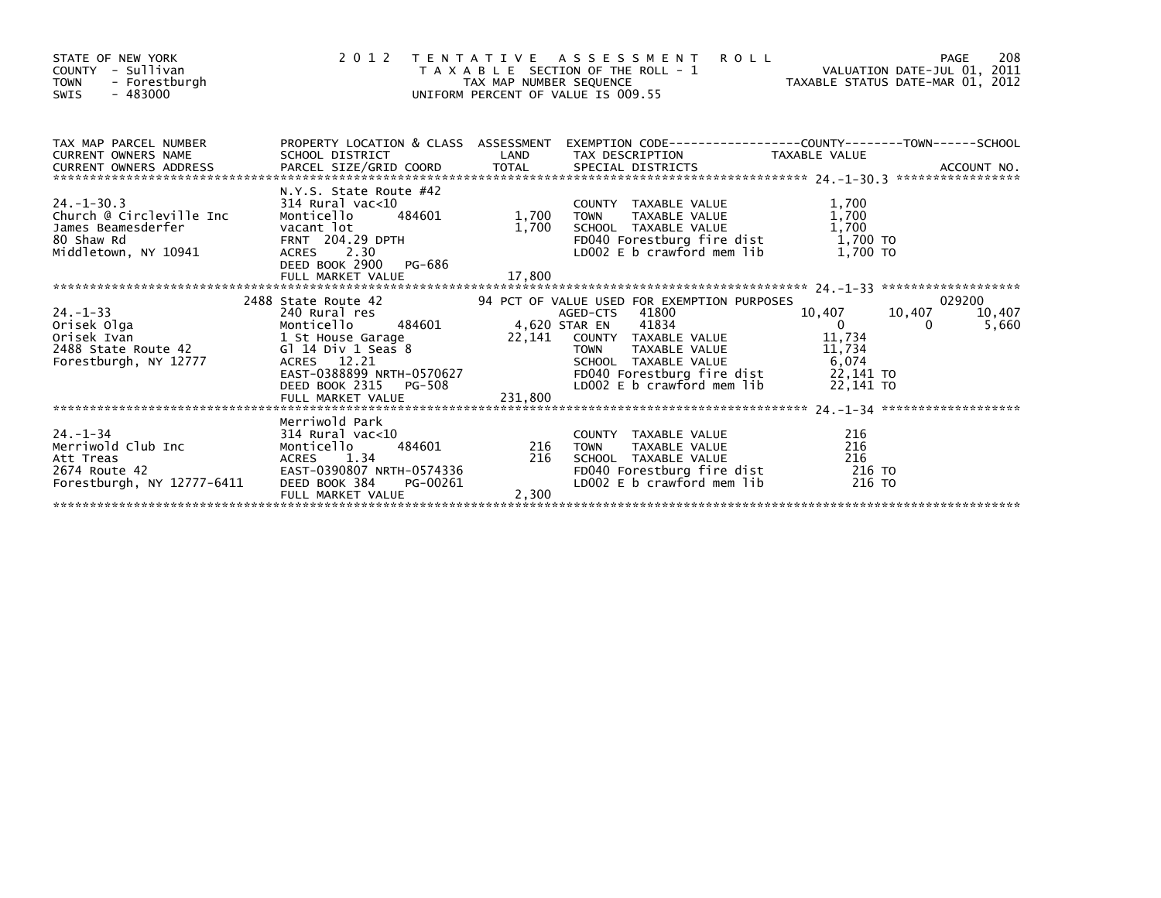| STATE OF NEW YORK<br>COUNTY - Sullivan<br><b>TOWN</b><br>- Forestburgh<br>$-483000$<br>SWIS                                                                                                                                                | 2012 TENTATIVE ASSESSMENI KULL<br>TAXABLE SECTION OF THE ROLL -1 VALUATION DATE-JUL 01, 2011<br>TAX MAP NUMBER SEQUENCE TAXABLE STATUS DATE-MAR 01, 2012<br>UNIFORM PERCENT OF VALUE IS 009.55 |       |                                                                                                                                                                                                                                                      |                    |                           |
|--------------------------------------------------------------------------------------------------------------------------------------------------------------------------------------------------------------------------------------------|------------------------------------------------------------------------------------------------------------------------------------------------------------------------------------------------|-------|------------------------------------------------------------------------------------------------------------------------------------------------------------------------------------------------------------------------------------------------------|--------------------|---------------------------|
| TAX MAP PARCEL NUMBER PROPERTY LOCATION & CLASS ASSESSMENT EXEMPTION CODE---------------COUNTY--------TOWN-----SCHOOL<br>CURRENT OWNERS NAME SCHOOL DISTRICT LAND TAX DESCRIPTION TAXABLE VALUE<br>CURRENT OWNERS ADDRESS PARCEL SIZ       |                                                                                                                                                                                                |       |                                                                                                                                                                                                                                                      |                    |                           |
| 24.-1-30.3<br>Church @ Circleville Inc Montified 10<br>James Beamesderfer vacant lot 1,700<br>80 Shaw Rd (1,700)<br>20011 1,700<br>20011 1,700<br>20011 1,700<br>20011 204.29 DPTH<br>2012 23.0<br>Middletown, NY 10941                    | N.Y.S. State Route #42<br>ACRES 2.30<br>DEED BOOK 2900 PG-686<br>ACRES 2.30                                                                                                                    |       | 1.700<br>1.700<br>20 COUNTY TAXABLE VALUE<br>1.700<br>1.700<br>2010 COUNTY TAXABLE VALUE<br>2010 COUNTY TAXABLE VALUE<br>2010 COUNTY TAXABLE VALUE<br>2010 COUNTAINE VALUE<br>2010 FDD40 Forestburg fire dist<br>2020 Longwing mem lib<br>2020 Longw |                    |                           |
|                                                                                                                                                                                                                                            |                                                                                                                                                                                                |       |                                                                                                                                                                                                                                                      |                    |                           |
| 24.1-33<br>Orisek Olga Montice11o 484601<br>Orisek Ivan 1 St House Garage 10,407 10,40<br>2488 State Route 42 G1 14 Div 1 Seas 8<br>2488 State Route 42 G1 14 Div 1 Seas 8<br>2488 State Route 42 G1 14 Div 1 Seas 8<br>22,141 COUNTY TAXA | 2488 State Route 42                                                                                                                                                                            |       | 94 PCT OF VALUE USED FOR EXEMPTION PURPOSES<br>AGED-CTS 41800 10,407 10                                                                                                                                                                              | 10,407<br>$\Omega$ | 029200<br>10,407<br>5,660 |
|                                                                                                                                                                                                                                            |                                                                                                                                                                                                |       |                                                                                                                                                                                                                                                      |                    |                           |
| Forestburgh, NY 12777-6411                                                                                                                                                                                                                 | FULL MARKET VALUE                                                                                                                                                                              | 2,300 | COUNTY TAXABLE VALUE $216$<br>TOWN TAXABLE VALUE $216$<br>SCHOOL TAXABLE VALUE $216$<br>FDO40 Forestburg fire dist $216$<br>LDO02 E b crawford mem lib $216$ TO<br><b>TOWN</b><br>SCHOOL TAXABLE VALUE                                               |                    |                           |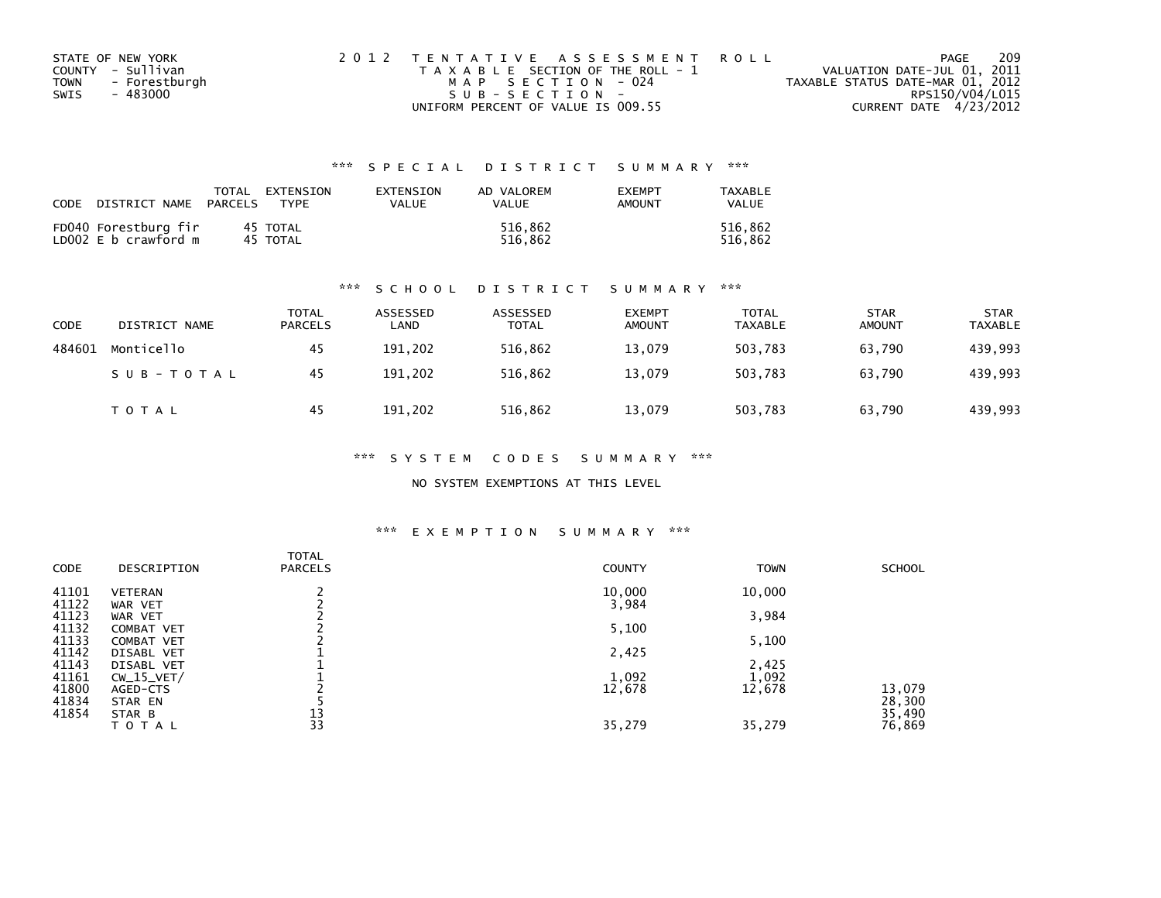|      | STATE OF NEW YORK | 2012 TENTATIVE ASSESSMENT ROLL        | PAGE                             | 209 |
|------|-------------------|---------------------------------------|----------------------------------|-----|
|      | COUNTY - Sullivan | T A X A B L E SECTION OF THE ROLL - 1 | VALUATION DATE-JUL 01, 2011      |     |
| TOWN | - Forestburgh     | MAP SECTION - 024                     | TAXABLE STATUS DATE-MAR 01, 2012 |     |
| SWIS | - 483000          | $SUB - SECTION -$                     | RPS150/V04/L015                  |     |
|      |                   | UNIFORM PERCENT OF VALUE IS 009.55    | CURRENT DATE 4/23/2012           |     |

| CODE | DISTRICT NAME                                | TOTAL<br>PARCELS | EXTENSION<br><b>TYPF</b> | EXTENSION<br>VALUE | AD VALOREM<br>VALUE | <b>EXEMPT</b><br>AMOUNT | TAXABLE<br><b>VALUE</b> |
|------|----------------------------------------------|------------------|--------------------------|--------------------|---------------------|-------------------------|-------------------------|
|      | FD040 Forestburg fir<br>LD002 E b crawford m |                  | 45 TOTAL<br>45 TOTAL     |                    | 516.862<br>516.862  |                         | 516.862<br>516.862      |

## \*\*\* S C H O O L D I S T R I C T S U M M A R Y \*\*\*

| CODE   | DISTRICT NAME | <b>TOTAL</b><br><b>PARCELS</b> | ASSESSED<br>LAND | ASSESSED<br><b>TOTAL</b> | <b>EXEMPT</b><br><b>AMOUNT</b> | <b>TOTAL</b><br><b>TAXABLE</b> | <b>STAR</b><br><b>AMOUNT</b> | <b>STAR</b><br><b>TAXABLE</b> |
|--------|---------------|--------------------------------|------------------|--------------------------|--------------------------------|--------------------------------|------------------------------|-------------------------------|
| 484601 | Monticello    | 45                             | 191,202          | 516,862                  | 13,079                         | 503,783                        | 63.790                       | 439,993                       |
|        | SUB-TOTAL     | 45                             | 191,202          | 516,862                  | 13.079                         | 503.783                        | 63.790                       | 439,993                       |
|        | T O T A L     | 45                             | 191,202          | 516,862                  | 13,079                         | 503,783                        | 63,790                       | 439,993                       |

\*\*\* S Y S T E M C O D E S S U M M A R Y \*\*\*

NO SYSTEM EXEMPTIONS AT THIS LEVEL

## \*\*\* E X E M P T I O N S U M M A R Y \*\*\*

| CODE  | DESCRIPTION       | <b>TOTAL</b><br><b>PARCELS</b> | <b>COUNTY</b> | <b>TOWN</b> | <b>SCHOOL</b> |
|-------|-------------------|--------------------------------|---------------|-------------|---------------|
| 41101 | <b>VETERAN</b>    |                                | 10,000        | 10,000      |               |
| 41122 | WAR VET           |                                | 3,984         |             |               |
| 41123 | WAR VET           |                                |               | 3,984       |               |
| 41132 | <b>COMBAT VET</b> |                                | 5,100         |             |               |
| 41133 | COMBAT VET        |                                |               | 5,100       |               |
| 41142 | DISABL VET        |                                | 2,425         |             |               |
| 41143 | DISABL VET        |                                |               | 2,425       |               |
| 41161 | $CW_15_VET/$      |                                | 1,092         | 1,092       |               |
| 41800 | AGED-CTS          |                                | 12,678        | 12,678      | 13,079        |
| 41834 | STAR EN           |                                |               |             | 28,300        |
| 41854 | STAR B            | 13                             |               |             | 35,490        |
|       | TOTAL             | 33                             | 35,279        | 35,279      | 76,869        |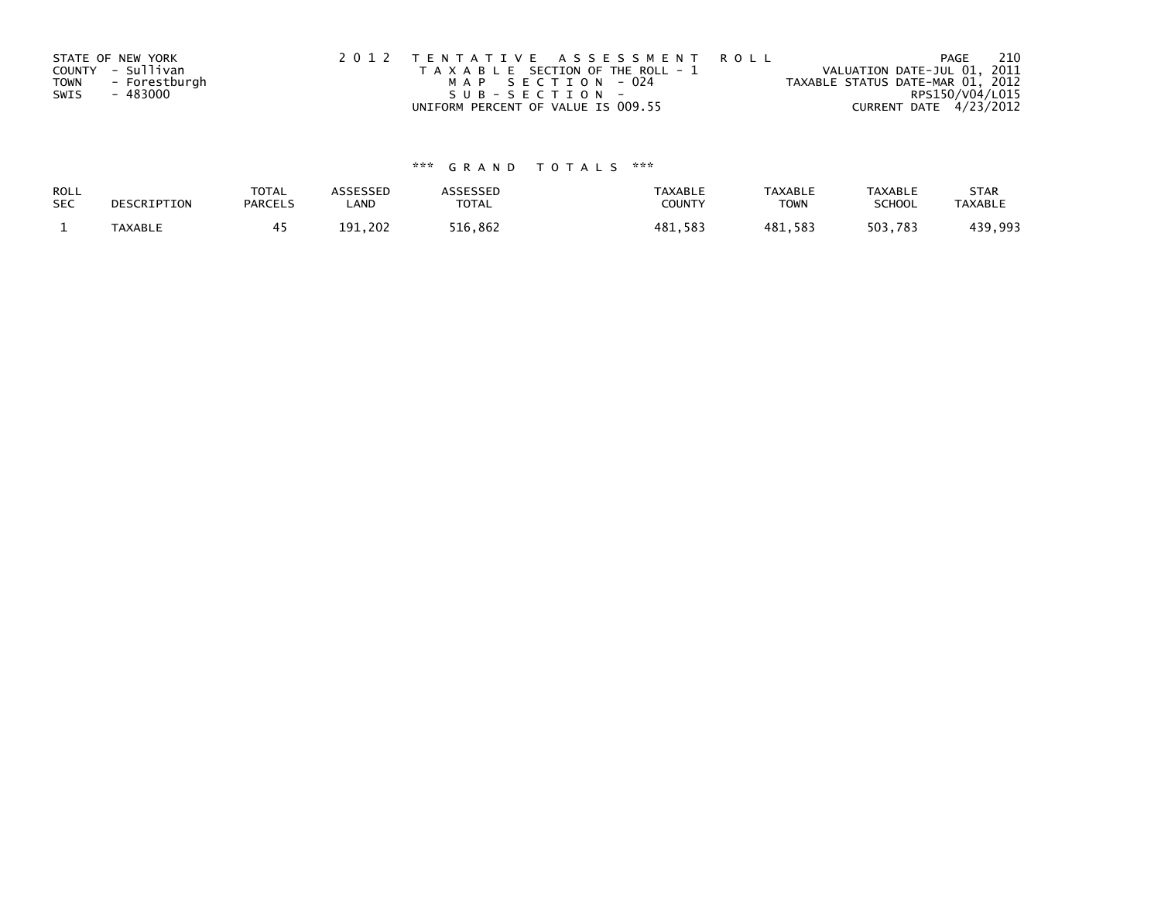|             | STATE OF NEW YORK | 2012 TENTATIVE ASSESSMENT ROLL        | 210<br>PAGE                      |  |
|-------------|-------------------|---------------------------------------|----------------------------------|--|
|             | COUNTY - Sullivan | T A X A B L E SECTION OF THE ROLL - 1 | VALUATION DATE-JUL 01, 2011      |  |
| <b>TOWN</b> | - Forestburgh     | MAP SECTION - 024                     | TAXABLE STATUS DATE-MAR 01, 2012 |  |
| SWIS        | - 483000          | $SUB - SECTION -$                     | RPS150/V04/L015                  |  |
|             |                   | UNIFORM PERCENT OF VALUE IS 009.55    | CURRENT DATE 4/23/2012           |  |

| ROLL       | DESCRIPTION | <b>TOTAL</b>   | ASSESSED | <b>ASSESSED</b> | <b>TAXABLE</b> | <b>TAXABLE</b> | <b>TAXABLE</b> | <b>STAR</b>    |
|------------|-------------|----------------|----------|-----------------|----------------|----------------|----------------|----------------|
| <b>SEC</b> |             | <b>PARCELS</b> | ∟AND     | TOTAL           | <b>COUNTY</b>  | TOWN           | <b>SCHOOL</b>  | <b>TAXABLE</b> |
|            | TAXABLE     |                | 191.202  | 516,862         | 481,583        | 481,583        | 503,783        | 439,993        |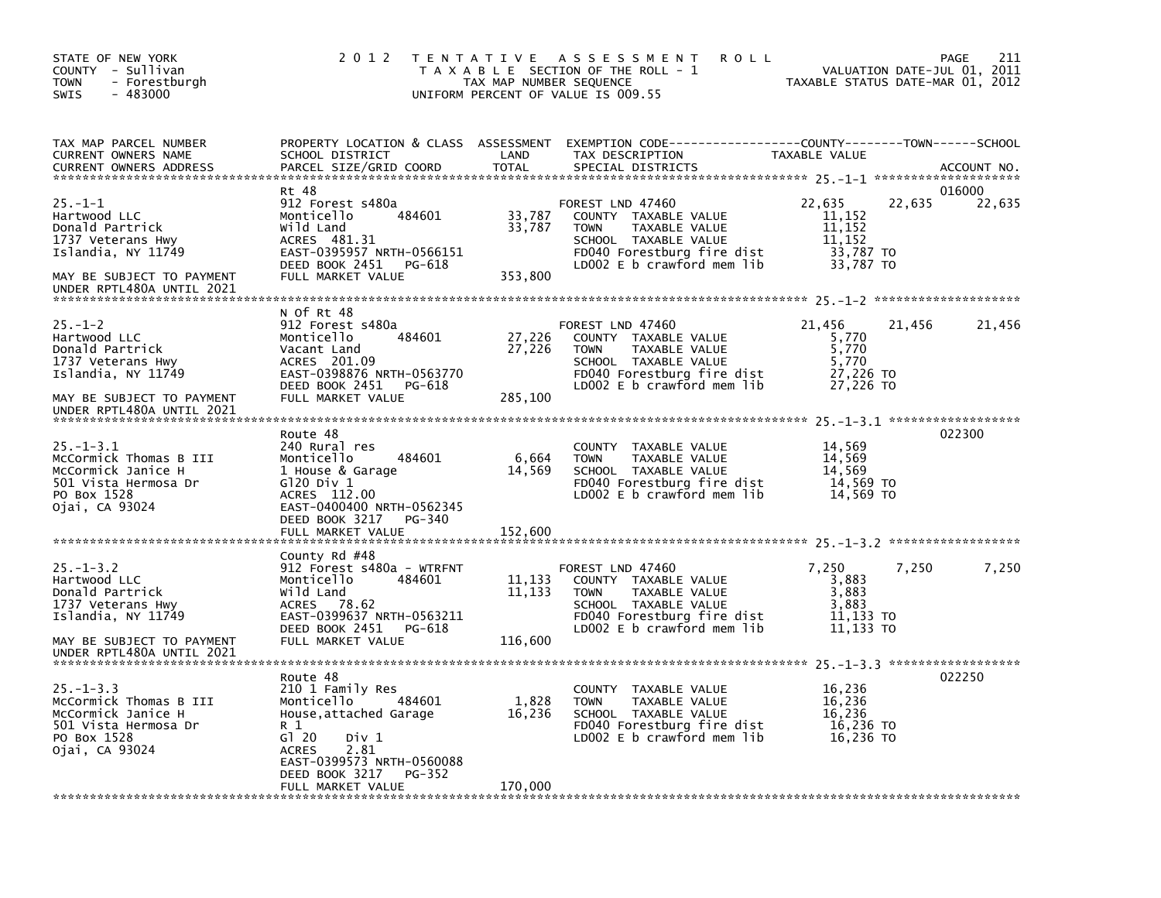| STATE OF NEW YORK<br>COUNTY - Sullivan<br><b>TOWN</b><br>- Forestburgh<br>SWIS<br>- 483000                                                            | 2 0 1 2                                                                                                                                                                                                      | TAX MAP NUMBER SEQUENCE     | TENTATIVE ASSESSMENT<br><b>ROLL</b><br>T A X A B L E SECTION OF THE ROLL - 1<br>UNIFORM PERCENT OF VALUE IS 009.55                                           | TAXABLE STATUS DATE-MAR 01, 2012                               | 211<br>PAGE<br>VALUATION DATE-JUL 01, 2011 |
|-------------------------------------------------------------------------------------------------------------------------------------------------------|--------------------------------------------------------------------------------------------------------------------------------------------------------------------------------------------------------------|-----------------------------|--------------------------------------------------------------------------------------------------------------------------------------------------------------|----------------------------------------------------------------|--------------------------------------------|
| TAX MAP PARCEL NUMBER<br>CURRENT OWNERS NAME<br><b>CURRENT OWNERS ADDRESS</b>                                                                         | PROPERTY LOCATION & CLASS ASSESSMENT<br>SCHOOL DISTRICT<br>PARCEL SIZE/GRID COORD                                                                                                                            | LAND<br><b>TOTAL</b>        | EXEMPTION CODE-----------------COUNTY-------TOWN------SCHOOL<br>TAX DESCRIPTION<br>SPECIAL DISTRICTS                                                         | TAXABLE VALUE                                                  | ACCOUNT NO.                                |
| $25. - 1 - 1$<br>Hartwood LLC<br>Donald Partrick<br>1737 Veterans Hwy<br>Islandia, NY 11749<br>MAY BE SUBJECT TO PAYMENT<br>UNDER RPTL480A UNTIL 2021 | Rt 48<br>912 Forest s480a<br>484601<br>Monticello<br>Wild Land<br>ACRES 481.31<br>EAST-0395957 NRTH-0566151<br>DEED BOOK 2451 PG-618<br>FULL MARKET VALUE                                                    | 33,787<br>33,787<br>353,800 | FOREST LND 47460<br>COUNTY TAXABLE VALUE<br>TAXABLE VALUE<br><b>TOWN</b><br>SCHOOL TAXABLE VALUE<br>FD040 Forestburg fire dist<br>LD002 E b crawford mem lib | 22,635<br>11,152<br>11,152<br>11,152<br>33,787 TO<br>33,787 TO | 016000<br>22,635<br>22,635                 |
|                                                                                                                                                       |                                                                                                                                                                                                              |                             |                                                                                                                                                              |                                                                |                                            |
| $25. - 1 - 2$<br>Hartwood LLC<br>Donald Partrick<br>1737 Veterans Hwy<br>Islandia, NY 11749                                                           | N Of Rt 48<br>912 Forest s480a<br>484601<br>Monticello<br>Vacant Land<br>ACRES 201.09<br>EAST-0398876 NRTH-0563770                                                                                           | 27,226<br>27,226            | FOREST LND 47460<br>COUNTY TAXABLE VALUE<br>TAXABLE VALUE<br>TOWN<br>SCHOOL TAXABLE VALUE<br>FD040 Forestburg fire dist                                      | 21,456<br>5,770<br>5,770<br>5,770<br>27,226 TO                 | 21,456<br>21,456                           |
| MAY BE SUBJECT TO PAYMENT<br>UNDER RPTL480A UNTIL 2021                                                                                                | DEED BOOK 2451 PG-618<br>FULL MARKET VALUE                                                                                                                                                                   | 285,100                     | LDOO2 E b crawford mem lib                                                                                                                                   | 27,226 TO                                                      |                                            |
| $25. -1 - 3.1$<br>McCormick Thomas B III<br>McCormick Janice H<br>501 Vista Hermosa Dr<br>PO Box 1528<br>Ojai, CA 93024                               | Route 48<br>240 Rural res<br>484601<br>Monticello<br>1 House & Garage<br>G120 Div 1<br>ACRES 112.00<br>EAST-0400400 NRTH-0562345<br>DEED BOOK 3217<br>PG-340<br>FULL MARKET VALUE                            | 6,664<br>14,569<br>152,600  | COUNTY TAXABLE VALUE<br><b>TOWN</b><br>TAXABLE VALUE<br>SCHOOL TAXABLE VALUE<br>FD040 Forestburg fire dist<br>LD002 E b crawford mem lib                     | 14,569<br>14,569<br>14,569<br>14,569 TO<br>14,569 TO           | 022300                                     |
|                                                                                                                                                       |                                                                                                                                                                                                              |                             |                                                                                                                                                              |                                                                |                                            |
| $25. - 1 - 3.2$<br>Hartwood LLC<br>Donald Partrick<br>1737 Veterans Hwy<br>Islandia, NY 11749                                                         | County Rd #48<br>912 Forest s480a - WTRFNT<br>Monticello<br>484601<br>Wild Land<br>ACRES 78.62<br>EAST-0399637 NRTH-0563211                                                                                  | 11,133<br>11,133            | FOREST LND 47460<br>COUNTY TAXABLE VALUE<br><b>TOWN</b><br>TAXABLE VALUE<br>SCHOOL TAXABLE VALUE<br>FD040 Forestburg fire dist                               | 7,250<br>3,883<br>3,883<br>3,883<br>11,133 TO                  | 7,250<br>7,250                             |
| MAY BE SUBJECT TO PAYMENT<br>UNDER RPTL480A UNTIL 2021                                                                                                | DEED BOOK 2451 PG-618<br>FULL MARKET VALUE                                                                                                                                                                   | 116,600                     | LD002 $E$ b crawford mem lib                                                                                                                                 | 11,133 TO                                                      |                                            |
| $25. - 1 - 3.3$<br>McCormick Thomas B III<br>McCormick Janice H<br>501 Vista Hermosa Dr<br>PO Box 1528<br>Ojai, CA 93024                              | Route 48<br>210 1 Family Res<br>Monticello<br>484601<br>House, attached Garage<br>R 1<br>G120<br>Div 1<br>2.81<br><b>ACRES</b><br>EAST-0399573 NRTH-0560088<br>DEED BOOK 3217<br>PG-352<br>FULL MARKET VALUE | 1,828<br>16,236<br>170,000  | COUNTY TAXABLE VALUE<br>TAXABLE VALUE<br><b>TOWN</b><br>SCHOOL TAXABLE VALUE<br>FD040 Forestburg fire dist<br>LD002 E b crawford mem lib                     | 16,236<br>16,236<br>16,236<br>16,236 TO<br>16,236 TO           | 022250                                     |
|                                                                                                                                                       |                                                                                                                                                                                                              |                             |                                                                                                                                                              |                                                                |                                            |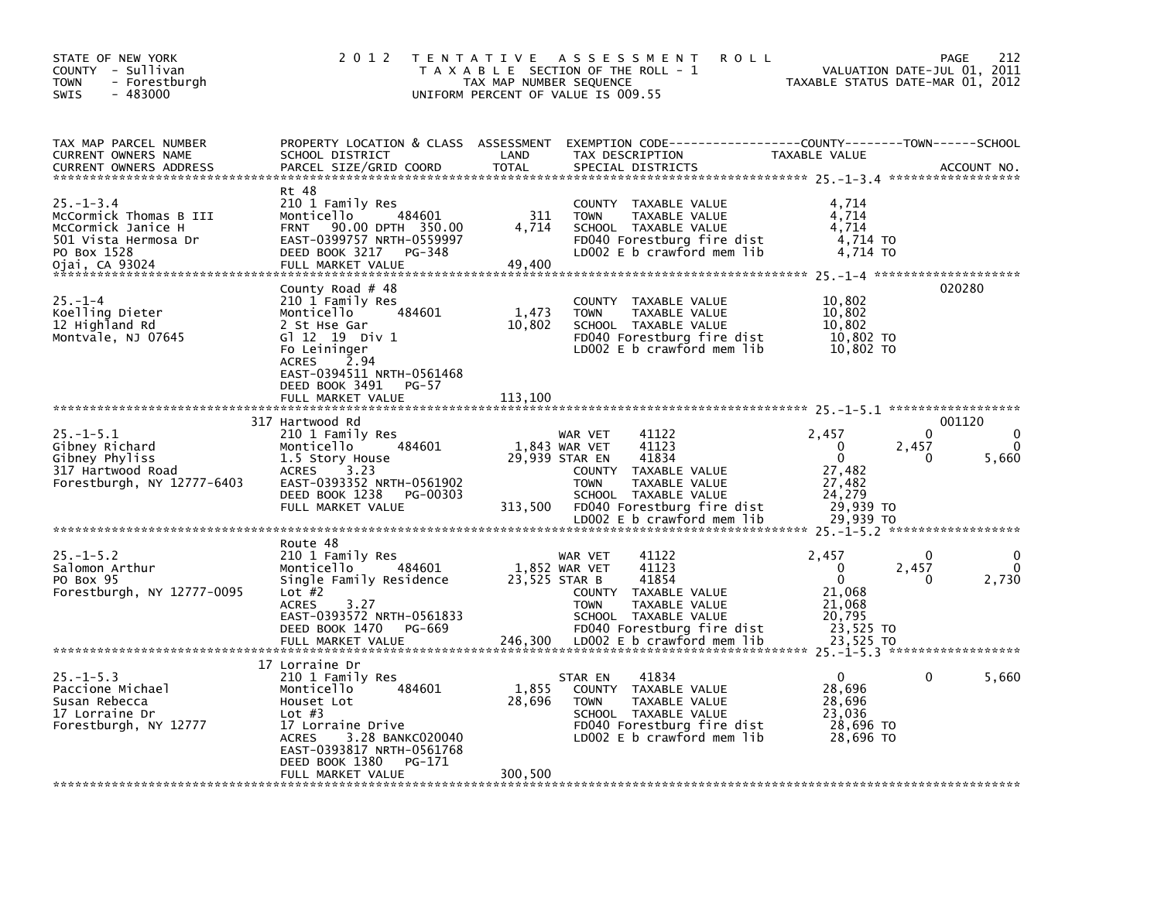| STATE OF NEW YORK<br>COUNTY - Sullivan<br><b>TOWN</b><br>- Forestburgh<br><b>SWIS</b><br>$-483000$                       | 2 0 1 2                                                                                                                                                                                                               | TAX MAP NUMBER SEQUENCE    | TENTATIVE ASSESSMENT<br><b>ROLL</b><br>T A X A B L E SECTION OF THE ROLL - 1<br>UNIFORM PERCENT OF VALUE IS 009.55                                                                              | TAXABLE STATUS DATE-MAR 01, 2012                                                         | 212<br>PAGE<br>VALUATION DATE-JUL 01, 2011 |
|--------------------------------------------------------------------------------------------------------------------------|-----------------------------------------------------------------------------------------------------------------------------------------------------------------------------------------------------------------------|----------------------------|-------------------------------------------------------------------------------------------------------------------------------------------------------------------------------------------------|------------------------------------------------------------------------------------------|--------------------------------------------|
| TAX MAP PARCEL NUMBER<br><b>CURRENT OWNERS NAME</b><br><b>CURRENT OWNERS ADDRESS</b>                                     | SCHOOL DISTRICT<br>PARCEL SIZE/GRID COORD                                                                                                                                                                             | LAND<br><b>TOTAL</b>       | PROPERTY LOCATION & CLASS ASSESSMENT EXEMPTION CODE----------------COUNTY-------TOWN-----SCHOOL<br>TAX DESCRIPTION<br>SPECIAL DISTRICTS                                                         | TAXABLE VALUE                                                                            | ACCOUNT NO.                                |
| $25. - 1 - 3.4$<br>McCormick Thomas B III<br>McCormick Janice H<br>501 Vista Hermosa Dr<br>PO Box 1528<br>Ojai, CA 93024 | Rt 48<br>210 1 Family Res<br>484601<br>Monticello<br>90.00 DPTH 350.00<br>FRNT<br>EAST-0399757 NRTH-0559997<br>DEED BOOK 3217<br>PG-348<br>FULL MARKET VALUE                                                          | 311<br>4,714<br>49,400     | COUNTY TAXABLE VALUE<br>TAXABLE VALUE<br><b>TOWN</b><br>SCHOOL TAXABLE VALUE<br>FD040 Forestburg fire dist<br>LD002 E b crawford mem lib                                                        | 4,714<br>4,714<br>4,714<br>4,714 TO<br>4,714 TO                                          |                                            |
| $25. - 1 - 4$<br>Koelling Dieter<br>12 Highland Rd<br>Montvale, NJ 07645                                                 | County Road $#$ 48<br>210 1 Family Res<br>484601<br>Monticello<br>2 St Hse Gar<br>G1 12 19 Div 1<br>Fo Leininger<br><b>ACRES</b><br>2.94<br>EAST-0394511 NRTH-0561468<br>DEED BOOK 3491<br>PG-57<br>FULL MARKET VALUE | 1,473<br>10,802<br>113,100 | <b>COUNTY</b><br>TAXABLE VALUE<br><b>TOWN</b><br>TAXABLE VALUE<br>SCHOOL TAXABLE VALUE<br>FD040 Forestburg fire dist<br>LD002 E b crawford mem lib                                              | 10,802<br>10,802<br>10,802<br>10,802 TO<br>10,802 TO                                     | 020280                                     |
| $25. - 1 - 5.1$<br>Gibney Richard<br>Gibney Phyliss<br>317 Hartwood Road<br>Forestburgh, NY 12777-6403                   | 317 Hartwood Rd<br>210 1 Family Res<br>484601<br>Monticello<br>1.5 Story House<br><b>ACRES</b><br>3.23<br>EAST-0393352 NRTH-0561902<br>DEED BOOK 1238<br>PG-00303<br>FULL MARKET VALUE                                | 313,500                    | 41122<br>WAR VET<br>1,843 WAR VET<br>41123<br>41834<br>29,939 STAR EN<br>COUNTY TAXABLE VALUE<br>TAXABLE VALUE<br><b>TOWN</b><br>SCHOOL TAXABLE VALUE<br>FD040 Forestburg fire dist             | 2,457<br>0<br>$\Omega$<br>27,482<br>27,482<br>24.279<br>29,939 TO                        | 001120<br>$\Omega$<br>2,457<br>5,660<br>0  |
|                                                                                                                          |                                                                                                                                                                                                                       |                            | LD002 E b crawford mem lib                                                                                                                                                                      | 29.939 TO                                                                                |                                            |
| $25. - 1 - 5.2$<br>Salomon Arthur<br>PO Box 95<br>Forestburgh, NY 12777-0095                                             | Route 48<br>210 1 Family Res<br>Monticello<br>484601<br>Single Family Residence<br>Lot $#2$<br><b>ACRES</b><br>3.27<br>EAST-0393572 NRTH-0561833<br>DEED BOOK 1470<br>PG-669<br>FULL MARKET VALUE                     | 23,525 STAR B<br>246,300   | 41122<br>WAR VET<br>1,852 WAR VET<br>41123<br>41854<br>COUNTY TAXABLE VALUE<br><b>TOWN</b><br>TAXABLE VALUE<br>SCHOOL TAXABLE VALUE<br>FD040 Forestburg fire dist<br>LD002 E b crawford mem lib | 2,457<br>$\Omega$<br>$\mathbf 0$<br>21,068<br>21,068<br>20,795<br>23,525 TO<br>23,525 TO | 0<br>2,457<br>2,730<br>0                   |
|                                                                                                                          | 17 Lorraine Dr                                                                                                                                                                                                        |                            |                                                                                                                                                                                                 |                                                                                          |                                            |
| $25. -1 - 5.3$<br>Paccione Michael<br>Susan Rebecca<br>17 Lorraine Dr<br>Forestburgh, NY 12777                           | 210 1 Family Res<br>Monticello<br>484601<br>Houset Lot<br>Lot $#3$<br>17 Lorraine Drive<br><b>ACRES</b><br>3.28 BANKC020040<br>EAST-0393817 NRTH-0561768<br>DEED BOOK 1380<br>PG-171<br>FULL MARKET VALUE             | 1,855<br>28,696<br>300,500 | 41834<br>STAR EN<br>COUNTY TAXABLE VALUE<br><b>TOWN</b><br>TAXABLE VALUE<br>SCHOOL TAXABLE VALUE<br>FD040 Forestburg fire dist<br>LD002 E b crawford mem lib                                    | 0<br>28,696<br>28,696<br>23,036<br>28,696 TO<br>28,696 TO                                | 5,660<br>0                                 |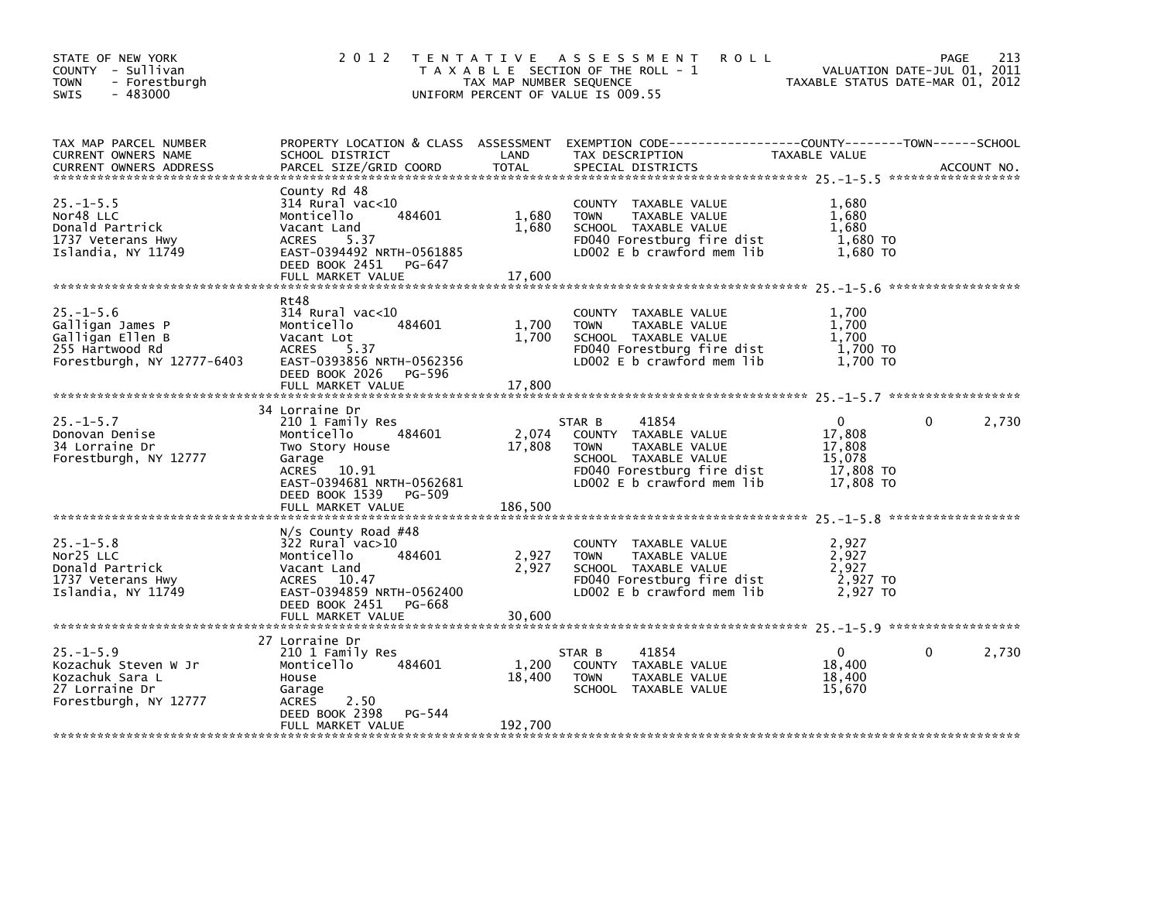| STATE OF NEW YORK<br>COUNTY - Sullivan<br><b>TOWN</b><br>- Forestburgh<br>$-483000$<br>SWIS              | 2 0 1 2                                                                                                                                                                       | TAX MAP NUMBER SEQUENCE  | TENTATIVE ASSESSMENT<br><b>ROLL</b><br>T A X A B L E SECTION OF THE ROLL - 1<br>UNIFORM PERCENT OF VALUE IS 009.55                                          | TAXABLE STATUS DATE-MAR 01, 2012                                     | 213<br>PAGE<br>VALUATION DATE-JUL 01, 2011 |
|----------------------------------------------------------------------------------------------------------|-------------------------------------------------------------------------------------------------------------------------------------------------------------------------------|--------------------------|-------------------------------------------------------------------------------------------------------------------------------------------------------------|----------------------------------------------------------------------|--------------------------------------------|
| TAX MAP PARCEL NUMBER<br>CURRENT OWNERS NAME<br><b>CURRENT OWNERS ADDRESS</b>                            | PROPERTY LOCATION & CLASS ASSESSMENT<br>SCHOOL DISTRICT<br>PARCEL SIZE/GRID COORD                                                                                             | LAND<br>TOTAL            | EXEMPTION CODE-----------------COUNTY-------TOWN------SCHOOL<br>TAX DESCRIPTION<br>SPECIAL DISTRICTS                                                        | TAXABLE VALUE                                                        | ACCOUNT NO.                                |
| $25. -1 - 5.5$<br>Nor48 LLC<br>Donald Partrick<br>1737 Veterans Hwy<br>Islandia, NY 11749                | County Rd 48<br>314 Rural vac<10<br>484601<br>Monticello<br>Vacant Land<br>5.37<br><b>ACRES</b><br>EAST-0394492 NRTH-0561885<br>DEED BOOK 2451<br>PG-647<br>FULL MARKET VALUE | 1,680<br>1,680<br>17,600 | COUNTY TAXABLE VALUE<br><b>TOWN</b><br>TAXABLE VALUE<br>SCHOOL TAXABLE VALUE<br>FD040 Forestburg fire dist<br>LD002 E b crawford mem lib                    | 1,680<br>1,680<br>1,680<br>1,680 TO<br>1,680 TO                      |                                            |
|                                                                                                          |                                                                                                                                                                               |                          |                                                                                                                                                             |                                                                      |                                            |
| $25. - 1 - 5.6$<br>Galligan James P<br>Galligan Ellen B<br>255 Hartwood Rd<br>Forestburgh, NY 12777-6403 | Rt48<br>314 Rural vac<10<br>Monticello<br>484601<br>Vacant Lot<br>5.37<br><b>ACRES</b><br>EAST-0393856 NRTH-0562356<br>DEED BOOK 2026<br>PG-596                               | 1,700<br>1,700           | COUNTY TAXABLE VALUE<br><b>TOWN</b><br>TAXABLE VALUE<br>SCHOOL TAXABLE VALUE<br>FD040 Forestburg fire dist<br>LD002 E b crawford mem lib                    | 1,700<br>1,700<br>1.700<br>1,700 TO<br>1,700 TO                      |                                            |
|                                                                                                          | FULL MARKET VALUE                                                                                                                                                             | 17,800                   |                                                                                                                                                             |                                                                      |                                            |
| $25. - 1 - 5.7$<br>Donovan Denise<br>34 Lorraine Dr<br>Forestburgh, NY 12777                             | 34 Lorraine Dr<br>210 1 Family Res<br>484601<br>Monticello<br>Two Story House<br>Garage<br><b>ACRES</b><br>10.91<br>EAST-0394681 NRTH-0562681                                 | 2,074<br>17,808          | 41854<br>STAR B<br>COUNTY TAXABLE VALUE<br><b>TOWN</b><br>TAXABLE VALUE<br>SCHOOL TAXABLE VALUE<br>FD040 Forestburg fire dist<br>LD002 E b crawford mem lib | $\mathbf{0}$<br>17,808<br>17,808<br>15,078<br>17,808 TO<br>17,808 TO | 2,730<br>$\mathbf{0}$                      |
|                                                                                                          | DEED BOOK 1539<br>PG-509<br>FULL MARKET VALUE                                                                                                                                 | 186,500                  |                                                                                                                                                             |                                                                      |                                            |
| $25. - 1 - 5.8$<br>Nor25 LLC<br>Donald Partrick<br>1737 Veterans Hwy<br>Islandia, NY 11749               | $N/s$ County Road #48<br>322 Rural vac>10<br>Monticello<br>484601<br>Vacant Land<br>ACRES 10.47<br>EAST-0394859 NRTH-0562400<br>DEED BOOK 2451 PG-668                         | 2,927<br>2,927           | COUNTY TAXABLE VALUE<br>TAXABLE VALUE<br><b>TOWN</b><br>SCHOOL TAXABLE VALUE<br>FD040 Forestburg fire dist<br>LD002 $E$ b crawford mem lib                  | 2,927<br>2,927<br>2,927<br>2,927 TO<br>2,927 TO                      |                                            |
|                                                                                                          |                                                                                                                                                                               |                          |                                                                                                                                                             |                                                                      |                                            |
|                                                                                                          | 27 Lorraine Dr                                                                                                                                                                |                          |                                                                                                                                                             |                                                                      |                                            |
| $25. -1 - 5.9$<br>Kozachuk Steven W Jr<br>Kozachuk Sara L<br>27 Lorraine Dr<br>Forestburgh, NY 12777     | 210 1 Family Res<br>484601<br>Monticello<br>House<br>Garage<br>2.50<br><b>ACRES</b><br>DEED BOOK 2398<br>PG-544                                                               | 1,200<br>18,400          | 41854<br>STAR B<br>COUNTY TAXABLE VALUE<br><b>TOWN</b><br>TAXABLE VALUE<br>SCHOOL TAXABLE VALUE                                                             | $\mathbf{0}$<br>18,400<br>18,400<br>15,670                           | 2,730<br>0                                 |
|                                                                                                          | FULL MARKET VALUE                                                                                                                                                             | 192,700                  |                                                                                                                                                             |                                                                      |                                            |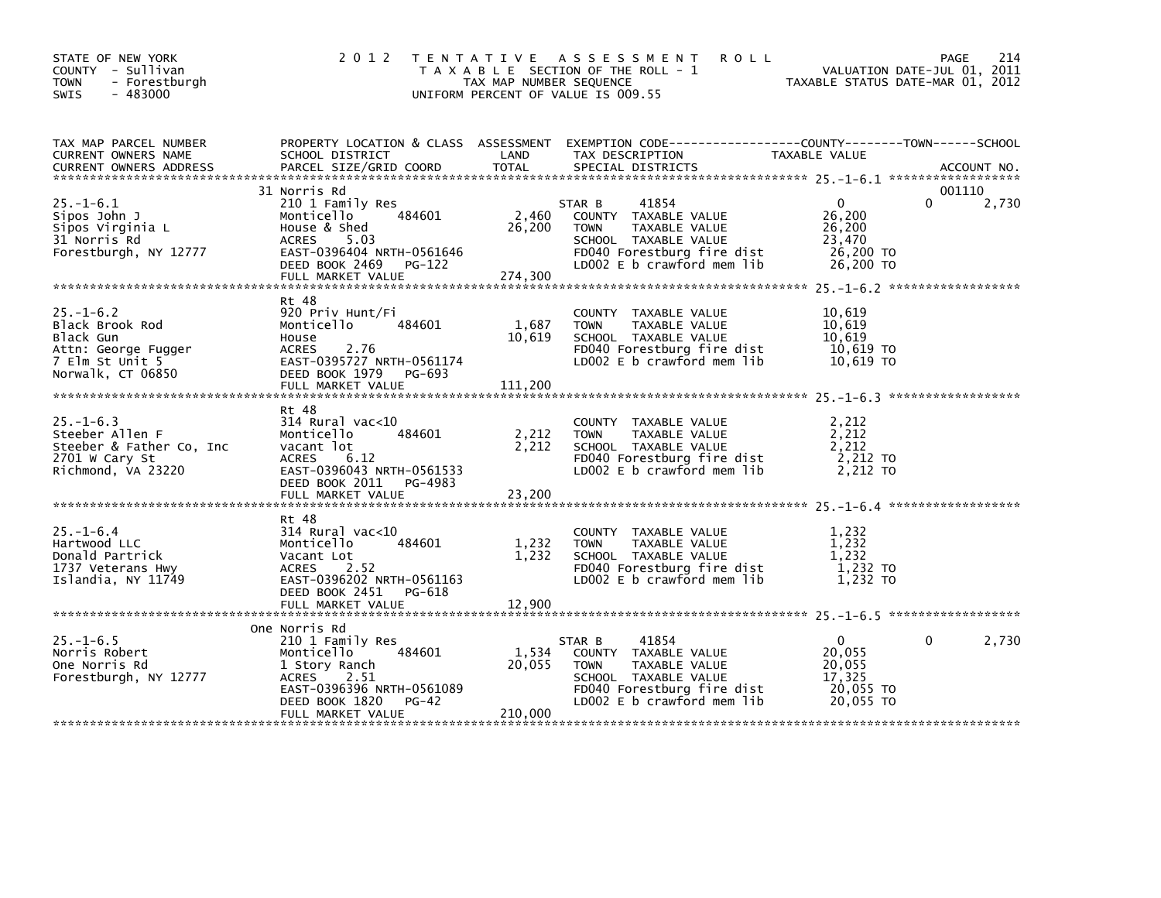| STATE OF NEW YORK<br>COUNTY - Sullivan<br>- Forestburgh<br><b>TOWN</b><br>$-483000$<br>SWIS                    |                                                                                                                                                                          | TAX MAP NUMBER SEQUENCE    | 2012 TENTATIVE ASSESSMENT<br><b>ROLL</b><br>T A X A B L E SECTION OF THE ROLL - 1<br>UNIFORM PERCENT OF VALUE IS 009.55                                     | TAXABLE STATUS DATE-MAR 01, 2012                                     | 214<br>PAGE<br>VALUATION DATE-JUL 01, 2011 |
|----------------------------------------------------------------------------------------------------------------|--------------------------------------------------------------------------------------------------------------------------------------------------------------------------|----------------------------|-------------------------------------------------------------------------------------------------------------------------------------------------------------|----------------------------------------------------------------------|--------------------------------------------|
| TAX MAP PARCEL NUMBER<br>CURRENT OWNERS NAME                                                                   | SCHOOL DISTRICT                                                                                                                                                          | LAND                       | PROPERTY LOCATION & CLASS ASSESSMENT EXEMPTION CODE----------------COUNTY-------TOWN------SCHOOL<br>TAX DESCRIPTION                                         | TAXABLE VALUE                                                        |                                            |
| $25. - 1 - 6.1$<br>Sipos John J<br>Sipos Virginia L<br>31 Norris Rd<br>Forestburgh, NY 12777                   | 31 Norris Rd<br>210 1 Family Res<br>484601<br>Monticello<br>House & Shed<br>ACRES 5.03<br>EAST-0396404 NRTH-0561646<br>DEED BOOK 2469 PG-122<br>FULL MARKET VALUE        | 2,460<br>26,200<br>274,300 | STAR B<br>41854<br>COUNTY TAXABLE VALUE<br><b>TOWN</b><br>TAXABLE VALUE<br>SCHOOL TAXABLE VALUE<br>FD040 Forestburg fire dist<br>LD002 E b crawford mem lib | $\mathbf{0}$<br>26,200<br>26,200<br>23,470<br>26,200 TO<br>26,200 TO | 001110<br>2,730<br>0                       |
| $25. - 1 - 6.2$<br>Black Brook Rod<br>Black Gun<br>Attn: George Fugger<br>7 Elm St Unit 5<br>Norwalk, CT 06850 | Rt 48<br>920 Priv Hunt/Fi<br>Monticello<br>484601<br>House<br>2.76<br><b>ACRES</b><br>EAST-0395727 NRTH-0561174<br>DEED BOOK 1979 PG-693<br>FULL MARKET VALUE            | 1,687<br>10,619<br>111,200 | COUNTY TAXABLE VALUE<br>TAXABLE VALUE<br><b>TOWN</b><br>SCHOOL TAXABLE VALUE<br>FD040 Forestburg fire dist<br>LD002 E b crawford mem lib                    | 10,619<br>10,619<br>10,619<br>10,619 TO<br>10,619 TO                 |                                            |
| $25. - 1 - 6.3$<br>Steeber Allen F<br>Steeber & Father Co, Inc<br>2701 W Cary St<br>Richmond, VA 23220         | Rt 48<br>$314$ Rural vac<10<br>484601<br>Monticello<br>vacant lot<br><b>ACRES</b><br>6.12<br>EAST-0396043 NRTH-0561533<br>DEED BOOK 2011 PG-4983                         | 2,212<br>2,212             | COUNTY TAXABLE VALUE<br>TAXABLE VALUE<br><b>TOWN</b><br>SCHOOL TAXABLE VALUE<br>FD040 Forestburg fire dist<br>LD002 E b crawford mem lib                    | 2,212<br>2,212<br>2,212<br>2,212 TO<br>$2,212$ TO                    |                                            |
| $25. - 1 - 6.4$<br>Hartwood LLC<br>Donald Partrick<br>1737 Veterans Hwy<br>Islandia, NY 11749                  | Rt 48<br>$314$ Rural vac< $10$<br>484601<br>Monticello<br>Vacant Lot<br>2.52<br>ACRES<br>EAST-0396202 NRTH-0561163<br>DEED BOOK 2451<br>PG-618                           | 1,232<br>1,232             | COUNTY TAXABLE VALUE<br>TAXABLE VALUE<br><b>TOWN</b><br>SCHOOL TAXABLE VALUE<br>FD040 Forestburg fire dist<br>LD002 E b crawford mem lib                    | 1,232<br>1,232<br>1.232<br>1,232 TO<br>$1,232$ TO                    |                                            |
| $25. - 1 - 6.5$<br>Norris Robert<br>One Norris Rd<br>Forestburgh, NY 12777                                     | One Norris Rd<br>210 1 Family Res<br>484601<br>Monticello<br>1 Story Ranch<br>ACRES<br>2.51<br>EAST-0396396 NRTH-0561089<br>PG-42<br>DEED BOOK 1820<br>FULL MARKET VALUE | 1,534<br>20,055<br>210,000 | STAR B<br>41854<br>COUNTY TAXABLE VALUE<br><b>TOWN</b><br>TAXABLE VALUE<br>SCHOOL TAXABLE VALUE<br>FD040 Forestburg fire dist<br>LD002 E b crawford mem lib | $\mathbf{0}$<br>20,055<br>20,055<br>17,325<br>20,055 TO<br>20,055 TO | 2,730<br>0                                 |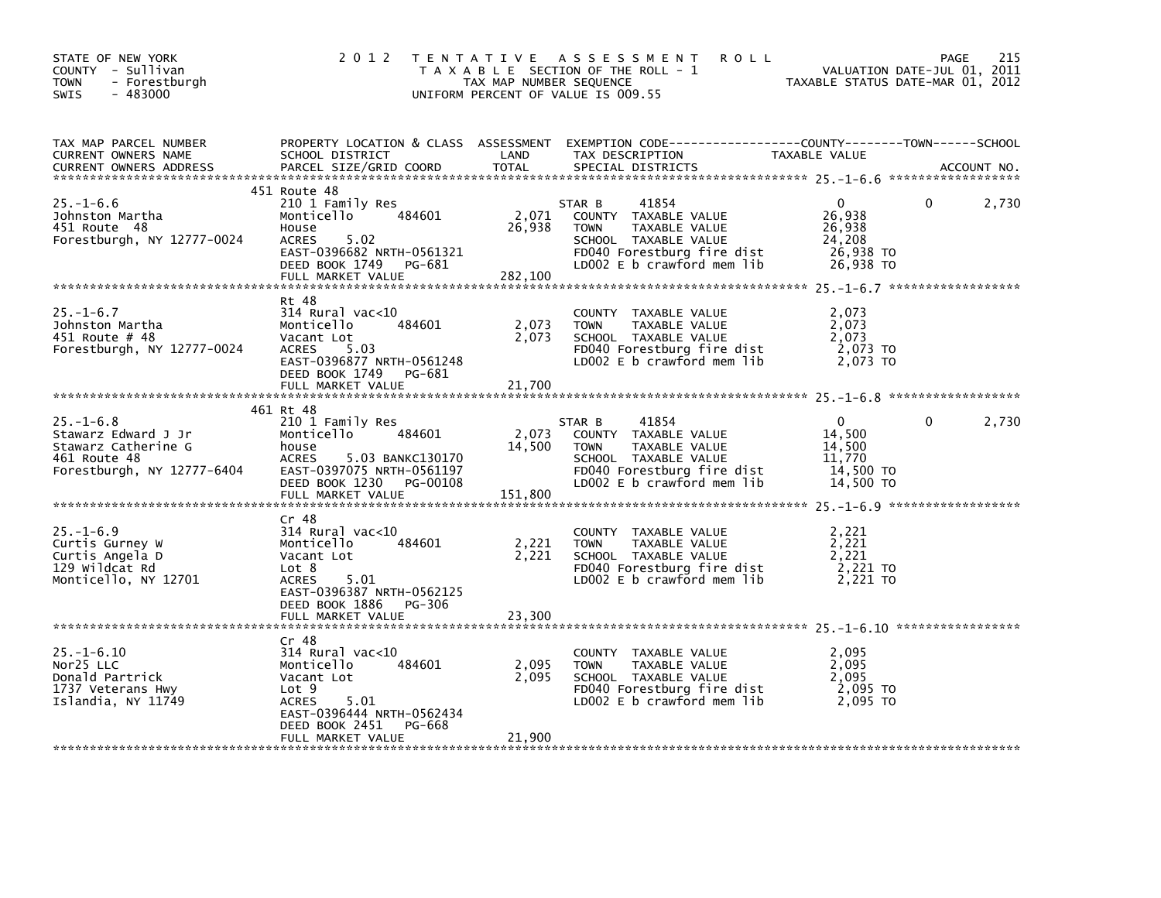| STATE OF NEW YORK<br>COUNTY - Sullivan<br>- Forestburgh<br><b>TOWN</b><br>$-483000$<br><b>SWIS</b>          | 2 0 1 2                                                                                                                                                               | TAX MAP NUMBER SEQUENCE    | TENTATIVE ASSESSMENT<br><b>ROLL</b><br>T A X A B L E SECTION OF THE ROLL - 1<br>UNIFORM PERCENT OF VALUE IS 009.55                                          | TAXABLE STATUS DATE-MAR 01, 2012                                     | 215<br>PAGE<br>VALUATION DATE-JUL 01, 2011 |
|-------------------------------------------------------------------------------------------------------------|-----------------------------------------------------------------------------------------------------------------------------------------------------------------------|----------------------------|-------------------------------------------------------------------------------------------------------------------------------------------------------------|----------------------------------------------------------------------|--------------------------------------------|
| TAX MAP PARCEL NUMBER<br>CURRENT OWNERS NAME<br><b>CURRENT OWNERS ADDRESS</b>                               | SCHOOL DISTRICT<br>PARCEL SIZE/GRID COORD                                                                                                                             | LAND<br><b>TOTAL</b>       | PROPERTY LOCATION & CLASS ASSESSMENT EXEMPTION CODE----------------COUNTY-------TOWN-----SCHOOL<br>TAX DESCRIPTION<br>SPECIAL DISTRICTS                     | TAXABLE VALUE                                                        | ACCOUNT NO.                                |
| $25. - 1 - 6.6$<br>Johnston Martha<br>451 Route 48<br>Forestburgh, NY 12777-0024                            | 451 Route 48<br>210 1 Family Res<br>484601<br>Monticello<br>House<br><b>ACRES</b><br>5.02<br>EAST-0396682 NRTH-0561321<br>DEED BOOK 1749 PG-681<br>FULL MARKET VALUE  | 2,071<br>26,938<br>282,100 | 41854<br>STAR B<br>COUNTY TAXABLE VALUE<br><b>TOWN</b><br>TAXABLE VALUE<br>SCHOOL TAXABLE VALUE<br>FD040 Forestburg fire dist<br>LD002 E b crawford mem lib | $\Omega$<br>26,938<br>26,938<br>24,208<br>26,938 TO<br>26,938 TO     | 2,730<br>0                                 |
| $25. - 1 - 6.7$<br>Johnston Martha<br>451 Route # 48<br>Forestburgh, NY 12777-0024                          | Rt 48<br>314 Rural vac<10<br>484601<br>Monticello<br>Vacant Lot<br>5.03<br><b>ACRES</b><br>EAST-0396877 NRTH-0561248<br>DEED BOOK 1749<br>PG-681<br>FULL MARKET VALUE | 2,073<br>2,073<br>21,700   | COUNTY TAXABLE VALUE<br>TAXABLE VALUE<br><b>TOWN</b><br>SCHOOL TAXABLE VALUE<br>FD040 Forestburg fire dist<br>LD002 $E$ b crawford mem lib                  | 2,073<br>2.073<br>2.073<br>2,073 TO<br>2.073 TO                      |                                            |
|                                                                                                             | 461 Rt 48                                                                                                                                                             |                            |                                                                                                                                                             |                                                                      |                                            |
| $25. - 1 - 6.8$<br>Stawarz Edward J Jr<br>Stawarz Catherine G<br>461 Route 48<br>Forestburgh, NY 12777-6404 | 210 1 Family Res<br>484601<br>Monticello<br>house<br>5.03 BANKC130170<br><b>ACRES</b><br>EAST-0397075 NRTH-0561197<br>DEED BOOK 1230<br>PG-00108<br>FULL MARKET VALUE | 2,073<br>14,500<br>151,800 | STAR B<br>41854<br>COUNTY TAXABLE VALUE<br><b>TOWN</b><br>TAXABLE VALUE<br>SCHOOL TAXABLE VALUE<br>FD040 Forestburg fire dist<br>LD002 E b crawford mem lib | $\mathbf{0}$<br>14,500<br>14,500<br>11,770<br>14,500 TO<br>14,500 TO | 2,730<br>0                                 |
|                                                                                                             | Cr 48                                                                                                                                                                 |                            |                                                                                                                                                             |                                                                      |                                            |
| $25. - 1 - 6.9$<br>Curtis Gurney W<br>Curtis Angela D<br>129 Wildcat Rd<br>Monticello, NY 12701             | $314$ Rural vac<10<br>Monticello<br>484601<br>Vacant Lot<br>Lot 8<br>5.01<br><b>ACRES</b><br>EAST-0396387 NRTH-0562125                                                | 2,221<br>2,221             | COUNTY TAXABLE VALUE<br>TAXABLE VALUE<br><b>TOWN</b><br>SCHOOL TAXABLE VALUE<br>FD040 Forestburg fire dist<br>LDOO2 E b crawford mem lib                    | 2,221<br>2,221<br>2,221<br>2,221 TO<br>2,221 TO                      |                                            |
|                                                                                                             | DEED BOOK 1886<br>PG-306<br>FULL MARKET VALUE                                                                                                                         | 23,300                     |                                                                                                                                                             |                                                                      |                                            |
|                                                                                                             |                                                                                                                                                                       |                            |                                                                                                                                                             |                                                                      |                                            |
| $25. - 1 - 6.10$<br>Nor25 LLC<br>Donald Partrick<br>1737 Veterans Hwy<br>Islandia, NY 11749                 | Cr 48<br>$314$ Rural vac<10<br>Monticello<br>484601<br>Vacant Lot<br>Lot 9<br><b>ACRES</b><br>5.01<br>EAST-0396444 NRTH-0562434<br>DEED BOOK 2451<br>PG-668           | 2,095<br>2,095             | COUNTY TAXABLE VALUE<br>TAXABLE VALUE<br><b>TOWN</b><br>SCHOOL TAXABLE VALUE<br>FD040 Forestburg fire dist<br>LD002 E b crawford mem lib                    | 2,095<br>2,095<br>2,095<br>2,095 TO<br>2.095 TO                      |                                            |
|                                                                                                             | FULL MARKET VALUE                                                                                                                                                     | 21,900                     |                                                                                                                                                             |                                                                      |                                            |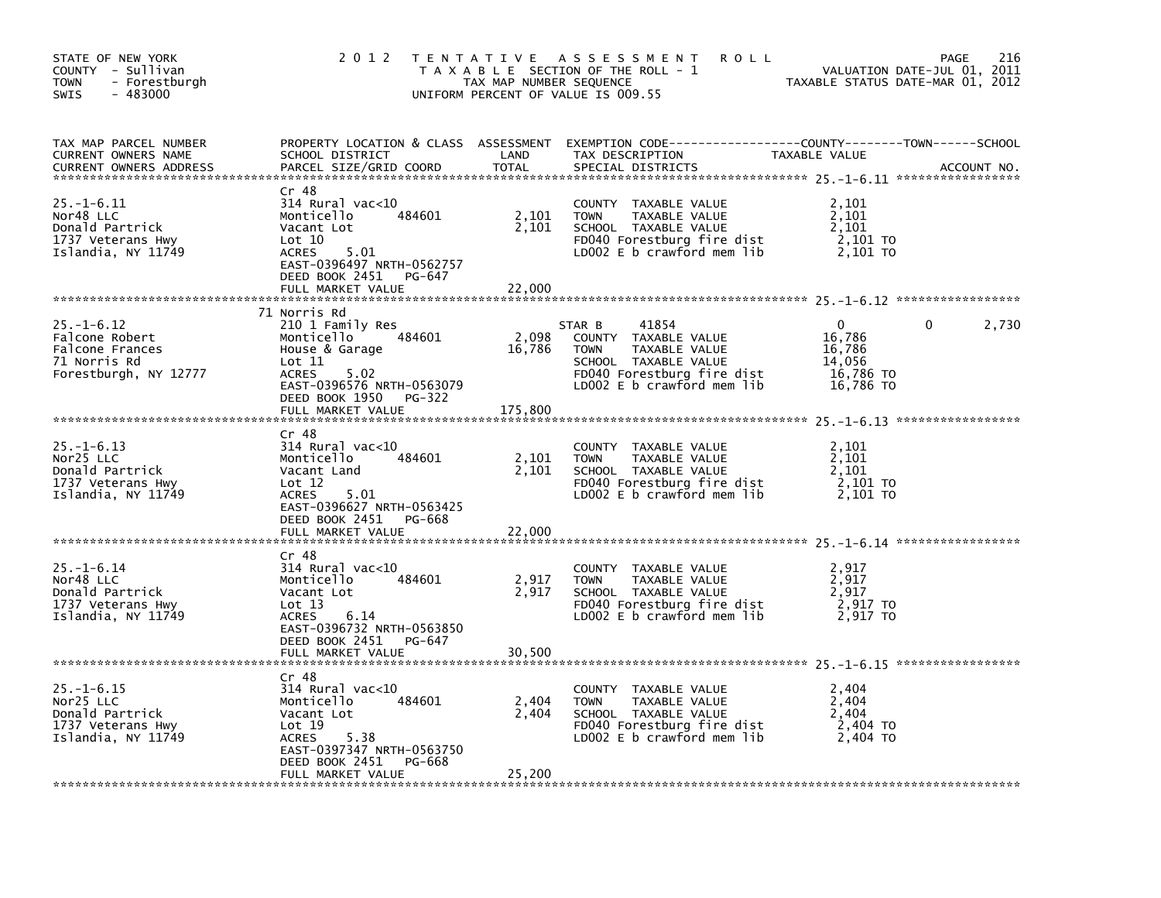| STATE OF NEW YORK<br>COUNTY - Sullivan<br><b>TOWN</b><br>- Forestburgh<br>SWIS<br>$-483000$    | 2 0 1 2                                                                                                                                                                             | TAX MAP NUMBER SEQUENCE | TENTATIVE ASSESSMENT<br><b>ROLL</b><br>T A X A B L E SECTION OF THE ROLL - 1<br>UNIFORM PERCENT OF VALUE IS 009.55                                          | TAXABLE STATUS DATE-MAR 01, 2012                          | 216<br>PAGE<br>VALUATION DATE-JUL 01, 2011 |
|------------------------------------------------------------------------------------------------|-------------------------------------------------------------------------------------------------------------------------------------------------------------------------------------|-------------------------|-------------------------------------------------------------------------------------------------------------------------------------------------------------|-----------------------------------------------------------|--------------------------------------------|
| TAX MAP PARCEL NUMBER<br>CURRENT OWNERS NAME<br><b>CURRENT OWNERS ADDRESS</b>                  | SCHOOL DISTRICT<br>PARCEL SIZE/GRID COORD                                                                                                                                           | LAND<br><b>TOTAL</b>    | PROPERTY LOCATION & CLASS ASSESSMENT EXEMPTION CODE---------------COUNTY-------TOWN-----SCHOOL<br>TAX DESCRIPTION<br>SPECIAL DISTRICTS                      | TAXABLE VALUE                                             | ACCOUNT NO.                                |
| $25. - 1 - 6.11$<br>Nor48 LLC<br>Donald Partrick<br>1737 Veterans Hwy<br>Islandia, NY 11749    | Cr 48<br>314 Rural vac<10<br>484601<br>Monticello<br>Vacant Lot<br>Lot 10<br>5.01<br><b>ACRES</b><br>EAST-0396497 NRTH-0562757<br>DEED BOOK 2451<br>PG-647                          | 2,101<br>2,101          | COUNTY TAXABLE VALUE<br><b>TOWN</b><br>TAXABLE VALUE<br>SCHOOL TAXABLE VALUE<br>FD040 Forestburg fire dist<br>LDOO2 E b crawford mem lib                    | 2,101<br>2,101<br>2,101<br>2,101 TO<br>2,101 TO           |                                            |
|                                                                                                | FULL MARKET VALUE                                                                                                                                                                   | 22,000                  |                                                                                                                                                             |                                                           |                                            |
| $25. - 1 - 6.12$<br>Falcone Robert<br>Falcone Frances<br>71 Norris Rd<br>Forestburgh, NY 12777 | 71 Norris Rd<br>210 1 Family Res<br>484601<br>Monticello<br>House & Garage<br>$\mathsf{Lot} \; 11$<br><b>ACRES</b><br>5.02<br>EAST-0396576 NRTH-0563079<br>DEED BOOK 1950<br>PG-322 | 2,098<br>16,786         | STAR B<br>41854<br>COUNTY TAXABLE VALUE<br><b>TOWN</b><br>TAXABLE VALUE<br>SCHOOL TAXABLE VALUE<br>FD040 Forestburg fire dist<br>LDOO2 E b crawford mem lib | 0<br>16,786<br>16,786<br>14,056<br>16,786 TO<br>16,786 TO | 2,730<br>0                                 |
|                                                                                                | FULL MARKET VALUE                                                                                                                                                                   | 175,800                 |                                                                                                                                                             |                                                           |                                            |
| $25. - 1 - 6.13$<br>Nor25 LLC<br>Donald Partrick<br>1737 Veterans Hwy<br>Islandia, NY 11749    | Cr 48<br>314 Rural vac<10<br>Monticello<br>484601<br>Vacant Land<br>Lot 12<br><b>ACRES</b><br>5.01<br>EAST-0396627 NRTH-0563425                                                     | 2,101<br>2,101          | <b>COUNTY</b><br>TAXABLE VALUE<br><b>TOWN</b><br>TAXABLE VALUE<br>SCHOOL TAXABLE VALUE<br>FD040 Forestburg fire dist<br>LD002 E b crawford mem lib          | 2,101<br>2,101<br>2,101<br>2,101 TO<br>2,101 TO           |                                            |
|                                                                                                | DEED BOOK 2451 PG-668<br>FULL MARKET VALUE                                                                                                                                          | 22,000                  |                                                                                                                                                             |                                                           |                                            |
| $25. - 1 - 6.14$<br>Nor48 LLC<br>Donald Partrick<br>1737 Veterans Hwy<br>Islandia, NY 11749    | Cr 48<br>314 Rural vac<10<br>Monticello<br>484601<br>Vacant Lot<br>Lot 13<br>6.14<br>ACRES<br>EAST-0396732 NRTH-0563850<br>DEED BOOK 2451<br>PG-647                                 | 2,917<br>2,917          | COUNTY TAXABLE VALUE<br>TAXABLE VALUE<br><b>TOWN</b><br>SCHOOL TAXABLE VALUE<br>FD040 Forestburg fire dist<br>LD002 E b crawford mem lib                    | 2,917<br>2,917<br>2,917<br>2,917 TO<br>2,917 TO           |                                            |
|                                                                                                | FULL MARKET VALUE                                                                                                                                                                   | 30,500                  |                                                                                                                                                             |                                                           |                                            |
| $25. - 1 - 6.15$<br>Nor25 LLC<br>Donald Partrick<br>1737 Veterans Hwy<br>Islandia, NY 11749    | Cr 48<br>314 Rural vac<10<br>484601<br>Monticello<br>Vacant Lot<br>Lot 19<br><b>ACRES</b><br>5.38<br>EAST-0397347 NRTH-0563750<br>DEED BOOK 2451<br>PG-668                          | 2,404<br>2,404          | COUNTY TAXABLE VALUE<br><b>TOWN</b><br>TAXABLE VALUE<br>SCHOOL TAXABLE VALUE<br>FD040 Forestburg fire dist<br>LD002 E b crawford mem lib                    | 2,404<br>2,404<br>2,404<br>2,404 TO<br>2,404 TO           |                                            |
|                                                                                                | FULL MARKET VALUE                                                                                                                                                                   | 25,200                  |                                                                                                                                                             |                                                           |                                            |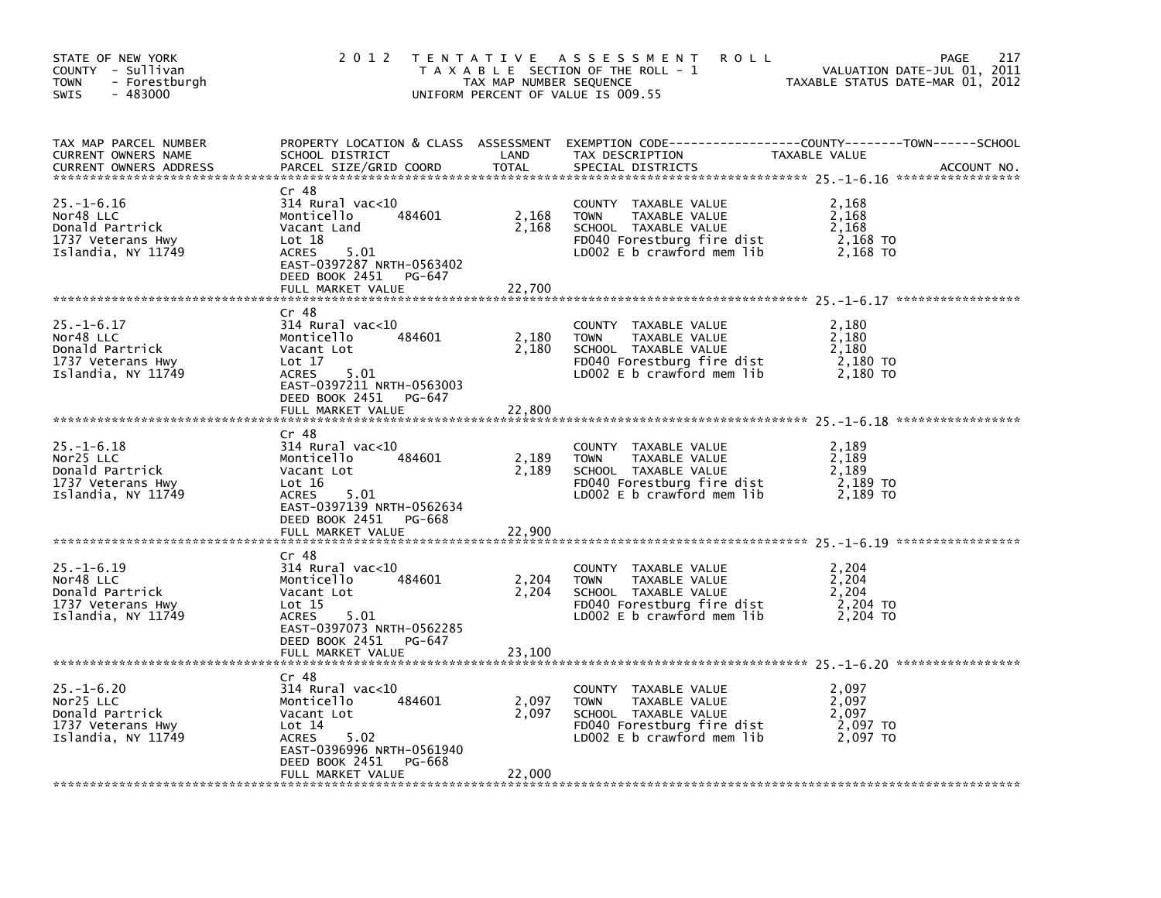| STATE OF NEW YORK<br>COUNTY - Sullivan<br><b>TOWN</b><br>- Forestburgh<br>SWIS<br>$-483000$ | 2 0 1 2                                                                                                                                                       | TAX MAP NUMBER SEQUENCE | TENTATIVE ASSESSMENT<br><b>ROLL</b><br>T A X A B L E SECTION OF THE ROLL - 1<br>UNIFORM PERCENT OF VALUE IS 009.55                                 | 217<br>PAGE<br>VALUATION DATE-JUL 01, 2011<br>TAXABLE STATUS DATE-MAR 01, 2012                                                  |
|---------------------------------------------------------------------------------------------|---------------------------------------------------------------------------------------------------------------------------------------------------------------|-------------------------|----------------------------------------------------------------------------------------------------------------------------------------------------|---------------------------------------------------------------------------------------------------------------------------------|
| TAX MAP PARCEL NUMBER<br>CURRENT OWNERS NAME<br><b>CURRENT OWNERS ADDRESS</b>               | SCHOOL DISTRICT<br>PARCEL SIZE/GRID COORD                                                                                                                     | LAND<br><b>TOTAL</b>    | TAX DESCRIPTION<br>SPECIAL DISTRICTS                                                                                                               | PROPERTY LOCATION & CLASS ASSESSMENT EXEMPTION CODE----------------COUNTY-------TOWN-----SCHOOL<br>TAXABLE VALUE<br>ACCOUNT NO. |
| $25. - 1 - 6.16$<br>Nor48 LLC<br>Donald Partrick<br>1737 Veterans Hwy<br>Islandia, NY 11749 | Cr 48<br>$314$ Rural vac<10<br>484601<br>Monticello<br>Vacant Land<br>Lot 18<br>5.01<br><b>ACRES</b><br>EAST-0397287 NRTH-0563402<br>DEED BOOK 2451<br>PG-647 | 2,168<br>2,168          | COUNTY TAXABLE VALUE<br><b>TOWN</b><br>TAXABLE VALUE<br>SCHOOL TAXABLE VALUE<br>FD040 Forestburg fire dist<br>LDOO2 E b crawford mem lib           | 2,168<br>2,168<br>2,168<br>2,168 TO<br>2,168 TO                                                                                 |
|                                                                                             | FULL MARKET VALUE                                                                                                                                             | 22,700                  |                                                                                                                                                    |                                                                                                                                 |
| $25. - 1 - 6.17$<br>Nor48 LLC<br>Donald Partrick<br>1737 Veterans Hwy<br>Islandia, NY 11749 | Cr 48<br>$314$ Rural vac< $10$<br>484601<br>Monticello<br>Vacant Lot<br>Lot 17<br><b>ACRES</b><br>5.01<br>EAST-0397211 NRTH-0563003                           | 2,180<br>2,180          | COUNTY TAXABLE VALUE<br><b>TOWN</b><br>TAXABLE VALUE<br>SCHOOL TAXABLE VALUE<br>FD040 Forestburg fire dist<br>LD002 E b crawford mem lib           | 2,180<br>2,180<br>2.180<br>2,180 TO<br>2,180 TO                                                                                 |
|                                                                                             | DEED BOOK 2451<br>PG-647<br>FULL MARKET VALUE                                                                                                                 | 22,800                  |                                                                                                                                                    |                                                                                                                                 |
| $25. - 1 - 6.18$<br>Nor25 LLC<br>Donald Partrick<br>1737 Veterans Hwy<br>Islandia, NY 11749 | Cr 48<br>$314$ Rural vac< $10$<br>Monticello<br>484601<br>Vacant Lot<br>Lot 16<br>5.01<br>ACRES<br>EAST-0397139 NRTH-0562634                                  | 2,189<br>2,189          | <b>COUNTY</b><br>TAXABLE VALUE<br><b>TOWN</b><br>TAXABLE VALUE<br>SCHOOL TAXABLE VALUE<br>FD040 Forestburg fire dist<br>LD002 E b crawford mem lib | 2,189<br>2,189<br>2,189<br>$2,189$ TO<br>2,189 TO                                                                               |
|                                                                                             | DEED BOOK 2451 PG-668<br>FULL MARKET VALUE                                                                                                                    | 22,900                  |                                                                                                                                                    |                                                                                                                                 |
| $25. - 1 - 6.19$<br>Nor48 LLC<br>Donald Partrick<br>1737 Veterans Hwy<br>Islandia, NY 11749 | Cr 48<br>314 Rural vac<10<br>Monticello<br>484601<br>Vacant Lot<br>Lot 15<br>5.01<br>ACRES<br>EAST-0397073 NRTH-0562285<br>DEED BOOK 2451<br>PG-647           | 2,204<br>2,204          | COUNTY TAXABLE VALUE<br>TAXABLE VALUE<br><b>TOWN</b><br>SCHOOL TAXABLE VALUE<br>FD040 Forestburg fire dist<br>LD002 $E$ b crawford mem lib         | 2,204<br>2,204<br>2,204<br>2,204 TO<br>2,204 TO                                                                                 |
|                                                                                             | FULL MARKET VALUE                                                                                                                                             | 23,100                  |                                                                                                                                                    |                                                                                                                                 |
| $25. - 1 - 6.20$<br>Nor25 LLC<br>Donald Partrick<br>1737 Veterans Hwy<br>Islandia, NY 11749 | Cr 48<br>314 Rural vac<10<br>484601<br>Monticello<br>Vacant Lot<br>Lot 14<br><b>ACRES</b><br>5.02<br>EAST-0396996 NRTH-0561940<br>DEED BOOK 2451<br>PG-668    | 2,097<br>2,097          | COUNTY TAXABLE VALUE<br>TAXABLE VALUE<br><b>TOWN</b><br>SCHOOL TAXABLE VALUE<br>FD040 Forestburg fire dist<br>LD002 E b crawford mem lib           | 2,097<br>2,097<br>2,097<br>2,097 TO<br>2,097 TO                                                                                 |
|                                                                                             | FULL MARKET VALUE                                                                                                                                             | 22,000                  |                                                                                                                                                    |                                                                                                                                 |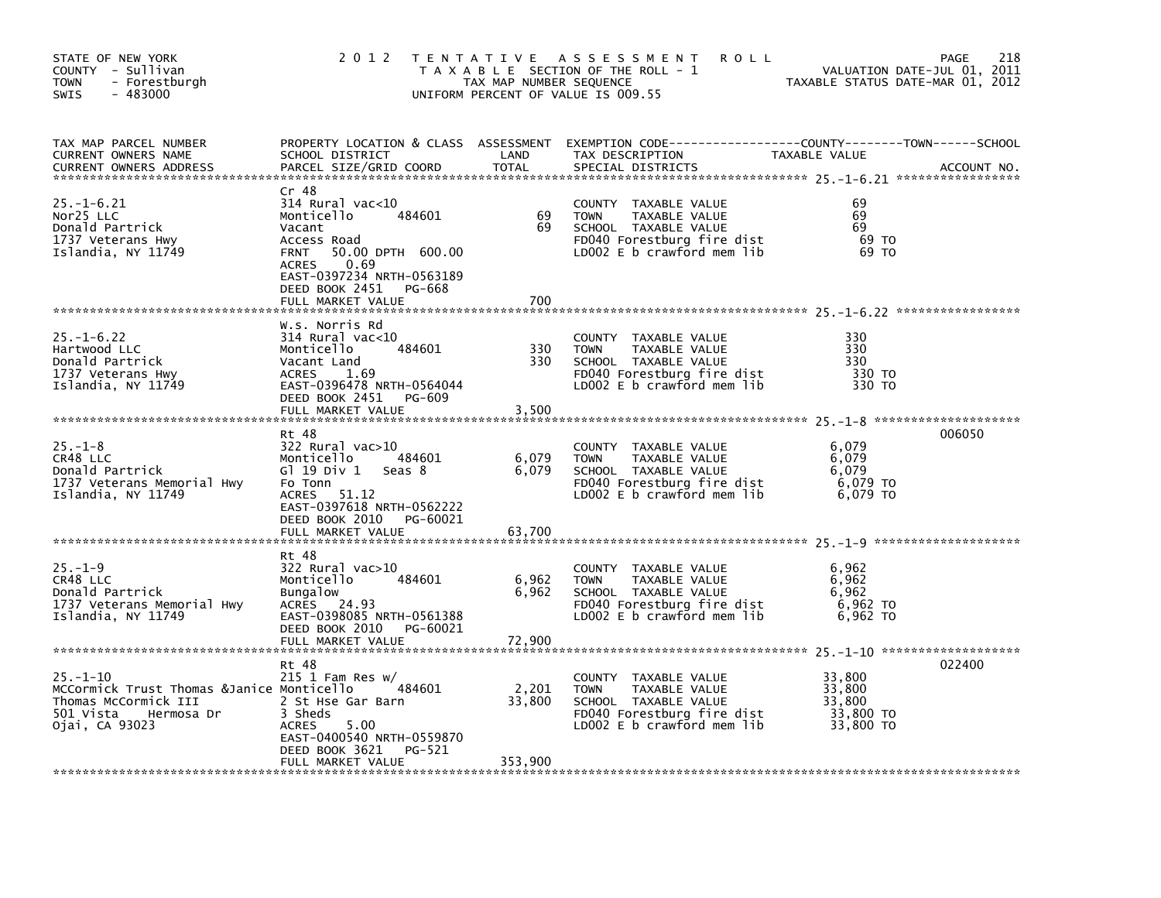| STATE OF NEW YORK<br>COUNTY - Sullivan<br><b>TOWN</b><br>- Forestburgh<br>$-483000$<br>SWIS                                      | 2 0 1 2                                                                                                                                                                                                                   | TAX MAP NUMBER SEQUENCE    | TENTATIVE ASSESSMENT<br><b>ROLL</b><br>T A X A B L E SECTION OF THE ROLL - 1<br>UNIFORM PERCENT OF VALUE IS 009.55                         | TAXABLE STATUS DATE-MAR 01, 2012                     | 218<br>PAGE<br>VALUATION DATE-JUL 01, 2011 |
|----------------------------------------------------------------------------------------------------------------------------------|---------------------------------------------------------------------------------------------------------------------------------------------------------------------------------------------------------------------------|----------------------------|--------------------------------------------------------------------------------------------------------------------------------------------|------------------------------------------------------|--------------------------------------------|
| TAX MAP PARCEL NUMBER<br>CURRENT OWNERS NAME<br><b>CURRENT OWNERS ADDRESS</b>                                                    | SCHOOL DISTRICT<br>PARCEL SIZE/GRID COORD                                                                                                                                                                                 | LAND<br><b>TOTAL</b>       | PROPERTY LOCATION & CLASS ASSESSMENT EXEMPTION CODE----------------COUNTY-------TOWN------SCHOOL<br>TAX DESCRIPTION<br>SPECIAL DISTRICTS   | TAXABLE VALUE                                        | ACCOUNT NO.                                |
| $25. - 1 - 6.21$<br>Nor25 LLC<br>Donald Partrick<br>1737 Veterans Hwy<br>Islandia, NY 11749                                      | Cr 48<br>$314$ Rural vac< $10$<br>484601<br>Monticello<br>Vacant<br>Access Road<br>50.00 DPTH 600.00<br><b>FRNT</b><br>0.69<br><b>ACRES</b><br>EAST-0397234 NRTH-0563189<br>DEED BOOK 2451<br>PG-668<br>FULL MARKET VALUE | 69<br>69<br>700            | COUNTY TAXABLE VALUE<br><b>TOWN</b><br>TAXABLE VALUE<br>SCHOOL TAXABLE VALUE<br>FD040 Forestburg fire dist<br>LD002 E b crawford mem lib   | 69<br>69<br>69<br>69 TO<br>69 TO                     |                                            |
| $25. - 1 - 6.22$<br>Hartwood LLC<br>Donald Partrick<br>1737 Veterans Hwy<br>Islandia, NY 11749                                   | W.s. Norris Rd<br>$314$ Rural vac< $10$<br>484601<br>Monticello<br>Vacant Land<br><b>ACRES</b><br>1.69<br>EAST-0396478 NRTH-0564044<br>DEED BOOK 2451 PG-609<br>FULL MARKET VALUE                                         | 330<br>330<br>3,500        | COUNTY TAXABLE VALUE<br><b>TOWN</b><br>TAXABLE VALUE<br>SCHOOL TAXABLE VALUE<br>FD040 Forestburg fire dist<br>LDOO2 E b crawford mem lib   | 330<br>330<br>330<br>330 TO<br>330 TO                |                                            |
| $25. - 1 - 8$<br>CR48 LLC<br>Donald Partrick<br>1737 Veterans Memorial Hwy<br>Islandia, NY 11749                                 | Rt 48<br>322 Rural vac>10<br>Monticello<br>484601<br>Gl 19 Div 1<br>seas 8<br>Fo Tonn<br>ACRES<br>51.12<br>EAST-0397618 NRTH-0562222<br>DEED BOOK 2010<br>PG-60021<br>FULL MARKET VALUE                                   | 6,079<br>6,079<br>63,700   | COUNTY TAXABLE VALUE<br><b>TOWN</b><br>TAXABLE VALUE<br>SCHOOL TAXABLE VALUE<br>FD040 Forestburg fire dist<br>LD002 E b crawford mem lib   | 6,079<br>6,079<br>6.079<br>6,079 TO<br>6,079 TO      | 006050                                     |
| $25. - 1 - 9$<br>CR48 LLC<br>Donald Partrick<br>1737 Veterans Memorial Hwy<br>Islandia, NY 11749                                 | Rt 48<br>322 Rural vac>10<br>484601<br>Monticello<br><b>Bungalow</b><br>ACRES 24.93<br>EAST-0398085 NRTH-0561388<br>DEED BOOK 2010 PG-60021                                                                               | 6,962<br>6,962             | COUNTY TAXABLE VALUE<br><b>TOWN</b><br>TAXABLE VALUE<br>SCHOOL TAXABLE VALUE<br>FD040 Forestburg fire dist<br>LD002 E b crawford mem lib   | 6,962<br>6,962<br>6,962<br>6,962 TO<br>6,962 TO      |                                            |
| $25. - 1 - 10$<br>MCCormick Trust Thomas &Janice Monticello<br>Thomas McCormick III<br>501 Vista<br>Hermosa Dr<br>Ojai, CA 93023 | Rt 48<br>$215$ 1 Fam Res w/<br>484601<br>2 St Hse Gar Barn<br>3 Sheds<br>5.00<br><b>ACRES</b><br>EAST-0400540 NRTH-0559870<br>DEED BOOK 3621<br>PG-521<br>FULL MARKET VALUE                                               | 2,201<br>33,800<br>353,900 | COUNTY TAXABLE VALUE<br><b>TOWN</b><br>TAXABLE VALUE<br>SCHOOL TAXABLE VALUE<br>FD040 Forestburg fire dist<br>LD002 $E$ b crawford mem lib | 33,800<br>33,800<br>33.800<br>33,800 TO<br>33,800 TO | 022400                                     |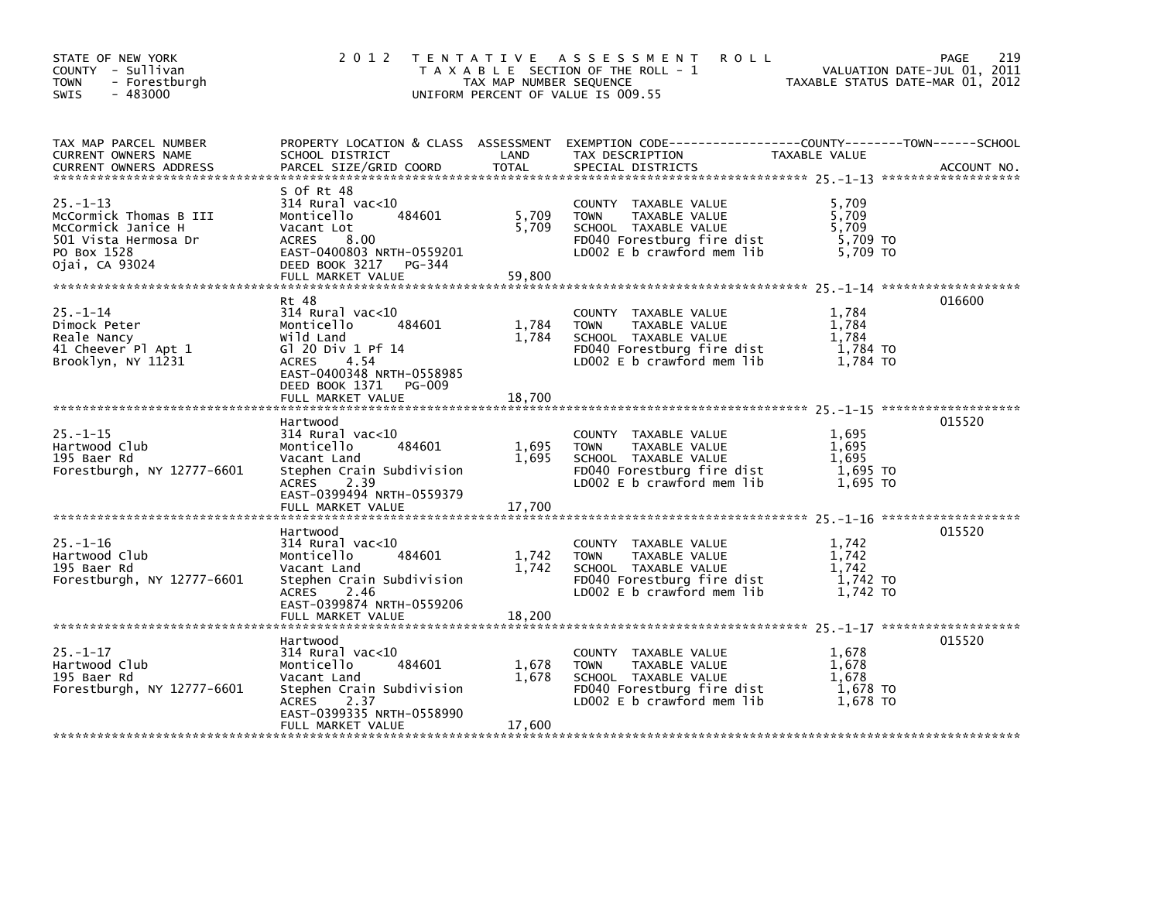| STATE OF NEW YORK<br>COUNTY - Sullivan<br><b>TOWN</b><br>- Forestburgh<br>$-483000$<br><b>SWIS</b>                      | 2 0 1 2                                                                                                                                                                                     | TAX MAP NUMBER SEQUENCE  | TENTATIVE ASSESSMENT<br><b>ROLL</b><br>T A X A B L E SECTION OF THE ROLL - 1<br>UNIFORM PERCENT OF VALUE IS 009.55                       |                                                 | 219<br>PAGE<br>VALUATION DATE-JUL 01, 2011<br>TAXABLE STATUS DATE-MAR 01, 2012 |
|-------------------------------------------------------------------------------------------------------------------------|---------------------------------------------------------------------------------------------------------------------------------------------------------------------------------------------|--------------------------|------------------------------------------------------------------------------------------------------------------------------------------|-------------------------------------------------|--------------------------------------------------------------------------------|
| TAX MAP PARCEL NUMBER<br>CURRENT OWNERS NAME<br><b>CURRENT OWNERS ADDRESS</b>                                           | SCHOOL DISTRICT<br>PARCEL SIZE/GRID COORD                                                                                                                                                   | LAND<br><b>TOTAL</b>     | PROPERTY LOCATION & CLASS ASSESSMENT EXEMPTION CODE----------------COUNTY-------TOWN------SCHOOL<br>TAX DESCRIPTION<br>SPECIAL DISTRICTS | TAXABLE VALUE                                   | ACCOUNT NO.                                                                    |
| $25. - 1 - 13$<br>McCormick Thomas B III<br>McCormick Janice H<br>501 Vista Hermosa Dr<br>PO Box 1528<br>Ojai, CA 93024 | S Of Rt 48<br>314 Rural vac<10<br>484601<br>Monticello<br>Vacant Lot<br><b>ACRES</b><br>8.00<br>EAST-0400803 NRTH-0559201<br>DEED BOOK 3217 PG-344<br>FULL MARKET VALUE                     | 5,709<br>5,709<br>59,800 | COUNTY TAXABLE VALUE<br><b>TOWN</b><br>TAXABLE VALUE<br>SCHOOL TAXABLE VALUE<br>FD040 Forestburg fire dist<br>LD002 E b crawford mem lib | 5,709<br>5,709<br>5.709<br>5,709 TO<br>5.709 TO |                                                                                |
| $25. - 1 - 14$<br>Dimock Peter<br>Reale Nancy<br>41 Cheever Pl Apt 1<br>Brooklyn, NY 11231                              | Rt 48<br>$314$ Rural vac<10<br>Monticello<br>484601<br>Wild Land<br>G1 20 Div 1 Pf 14<br>4.54<br><b>ACRES</b><br>EAST-0400348 NRTH-0558985<br>DEED BOOK 1371<br>PG-009<br>FULL MARKET VALUE | 1,784<br>1,784<br>18,700 | COUNTY TAXABLE VALUE<br>TAXABLE VALUE<br><b>TOWN</b><br>SCHOOL TAXABLE VALUE<br>FD040 Forestburg fire dist<br>LD002 E b crawford mem lib | 1,784<br>1,784<br>1.784<br>1,784 TO<br>1,784 TO | 016600                                                                         |
| $25. - 1 - 15$<br>Hartwood Club<br>195 Baer Rd<br>Forestburgh, NY 12777-6601                                            | Hartwood<br>314 Rural vac<10<br>484601<br>Monticello<br>Vacant Land<br>Stephen Crain Subdivision<br>2.39<br><b>ACRES</b><br>EAST-0399494 NRTH-0559379<br>FULL MARKET VALUE                  | 1,695<br>1,695<br>17,700 | COUNTY TAXABLE VALUE<br>TAXABLE VALUE<br><b>TOWN</b><br>SCHOOL TAXABLE VALUE<br>FD040 Forestburg fire dist<br>LD002 E b crawford mem lib | 1,695<br>1,695<br>1.695<br>1,695 то<br>1,695 TO | 015520                                                                         |
| $25. - 1 - 16$<br>Hartwood Club<br>195 Baer Rd<br>Forestburgh, NY 12777-6601                                            | Hartwood<br>314 Rural vac<10<br>Monticello<br>484601<br>Vacant Land<br>Stephen Crain Subdivision<br>2.46<br>ACRES<br>EAST-0399874 NRTH-0559206<br>FULL MARKET VALUE                         | 1,742<br>1,742<br>18,200 | COUNTY TAXABLE VALUE<br>TAXABLE VALUE<br><b>TOWN</b><br>SCHOOL TAXABLE VALUE<br>FD040 Forestburg fire dist<br>LD002 E b crawford mem lib | 1,742<br>1,742<br>1.742<br>1,742 TO<br>1,742 TO | 015520                                                                         |
| $25. - 1 - 17$<br>Hartwood Club<br>195 Baer Rd<br>Forestburgh, NY 12777-6601                                            | Hartwood<br>$314$ Rural vac< $10$<br>484601<br>Monticello<br>Vacant Land<br>Stephen Crain Subdivision<br><b>ACRES</b><br>2.37<br>EAST-0399335 NRTH-0558990<br>FULL MARKET VALUE             | 1,678<br>1,678<br>17,600 | COUNTY TAXABLE VALUE<br>TAXABLE VALUE<br><b>TOWN</b><br>SCHOOL TAXABLE VALUE<br>FD040 Forestburg fire dist<br>LD002 E b crawford mem lib | 1,678<br>1,678<br>1,678<br>1,678 TO<br>1,678 TO | 015520                                                                         |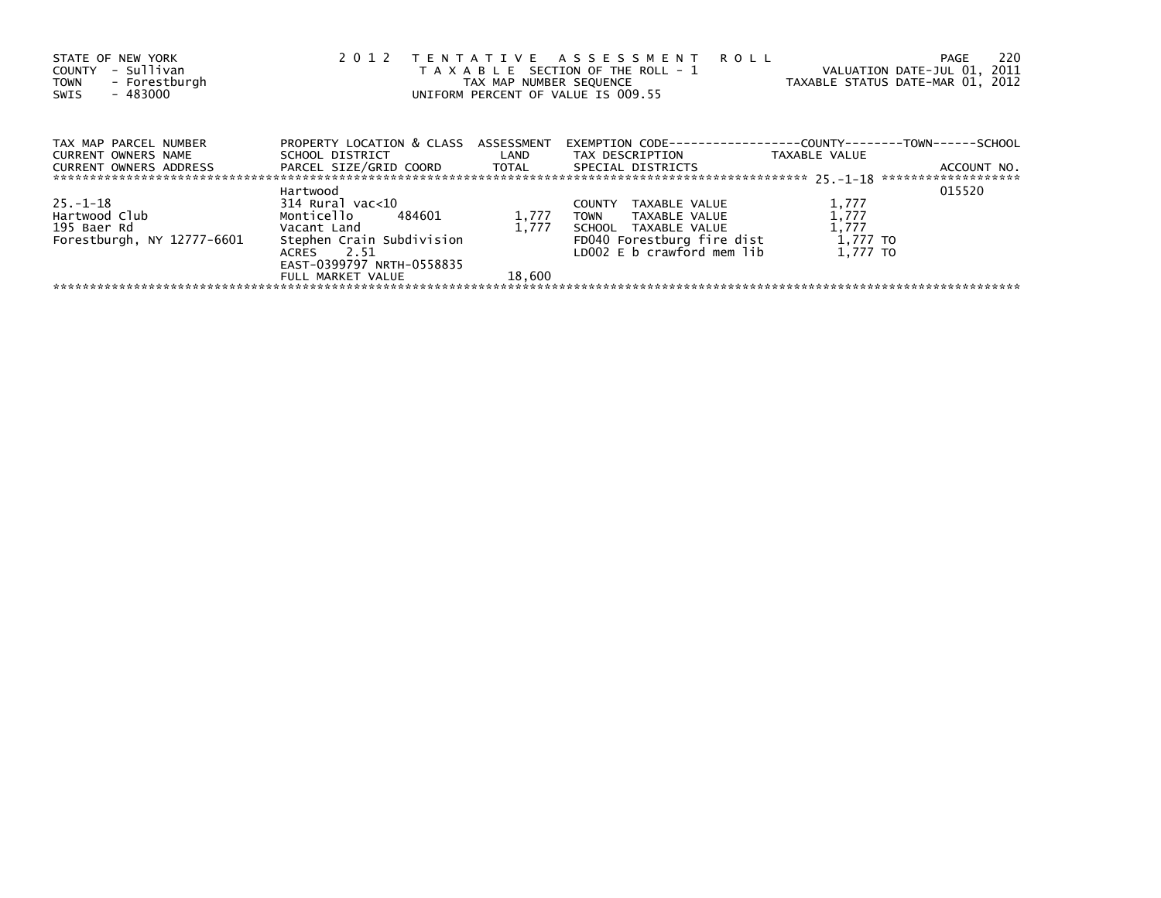| STATE OF NEW YORK<br>- Sullivan<br>COUNTY<br>- Forestburgh<br><b>TOWN</b><br>- 483000<br>SWIS | 2 0 1 2                                                      | TAX MAP NUMBER SEQUENCE | TENTATIVE ASSESSMENT ROLL<br>T A X A B L E SECTION OF THE ROLL - 1<br>UNIFORM PERCENT OF VALUE IS 009.55 | VALUATION DATE-JUL 01, 2011<br>TAXABLE STATUS DATE-MAR 01, 2012 | - 220<br>PAGE |
|-----------------------------------------------------------------------------------------------|--------------------------------------------------------------|-------------------------|----------------------------------------------------------------------------------------------------------|-----------------------------------------------------------------|---------------|
| TAX MAP PARCEL NUMBER<br>CURRENT OWNERS NAME                                                  | PROPERTY LOCATION & CLASS ASSESSMENT<br>SCHOOL DISTRICT LAND |                         | EXEMPTION        CODE-----------------COUNTY-------TOWN------SCHOOL<br>TAX DESCRIPTION                   | TAXABLE VALUE                                                   |               |
| CURRENT OWNERS ADDRESS                                                                        | PARCEL SIZE/GRID COORD   TOTAL   SPECIAL DISTRICTS           |                         |                                                                                                          |                                                                 | ACCOUNT NO.   |
|                                                                                               | Hartwood                                                     |                         |                                                                                                          |                                                                 | 015520        |
| $25. - 1 - 18$                                                                                | 314 Rural vac<10                                             |                         | TAXABLE VALUE<br><b>COUNTY</b>                                                                           | 1,777                                                           |               |
| Hartwood Club                                                                                 | Monticello 484601                                            | 1,777                   | TOWN TAXABLE VALUE                                                                                       | 1,777                                                           |               |
| 195 Baer Rd                                                                                   | Vacant Land                                                  | 1,777                   | SCHOOL TAXABLE VALUE                                                                                     | 1,777                                                           |               |
| Forestburgh, NY 12777-6601                                                                    | Stephen Crain Subdivision                                    |                         | FD040 Forestburg fire dist                                                                               | 1,777 TO                                                        |               |
|                                                                                               | ACRES 2.51                                                   |                         | LD002 $E$ b crawford mem $lib$                                                                           | 1.777 TO                                                        |               |
|                                                                                               | EAST-0399797 NRTH-0558835                                    |                         |                                                                                                          |                                                                 |               |
|                                                                                               | FULL MARKET VALUE                                            | 18,600                  |                                                                                                          |                                                                 |               |
|                                                                                               |                                                              |                         |                                                                                                          |                                                                 |               |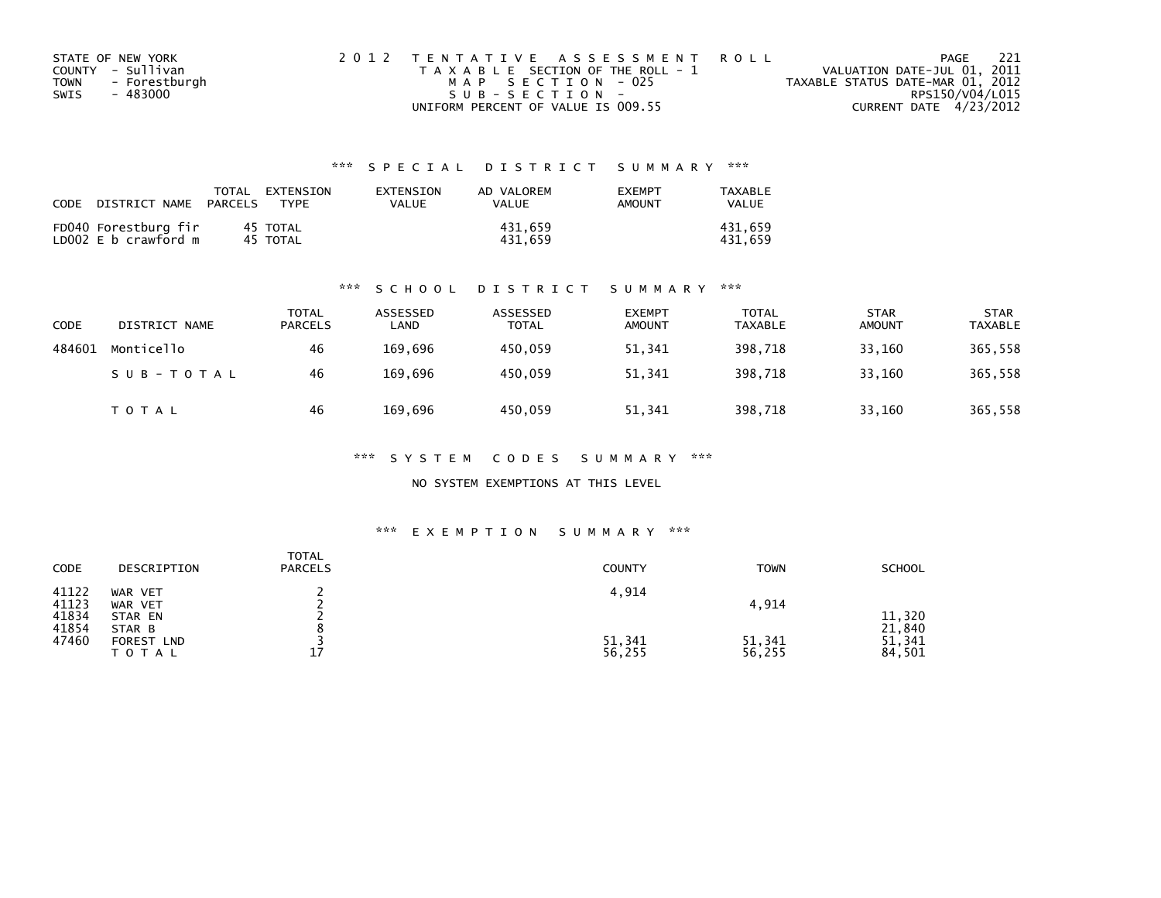|      | STATE OF NEW YORK | 2012 TENTATIVE ASSESSMENT ROLL        | - 221<br>PAGE                    |
|------|-------------------|---------------------------------------|----------------------------------|
|      | COUNTY - Sullivan | T A X A B L E SECTION OF THE ROLL - 1 | VALUATION DATE-JUL 01, 2011      |
| TOWN | - Forestburgh     | MAP SECTION - 025                     | TAXABLE STATUS DATE-MAR 01, 2012 |
| SWIS | - 483000          | $SUB - SECTION -$                     | RPS150/V04/L015                  |
|      |                   | UNIFORM PERCENT OF VALUE IS 009.55    | CURRENT DATE 4/23/2012           |

| CODE | DISTRICT NAME                                | TOTAL<br>PARCELS | EXTENSION<br><b>TYPF</b> | EXTENSION<br>VALUE | AD VALOREM<br>VALUE | <b>EXEMPT</b><br>AMOUNT | TAXABLE<br><b>VALUE</b> |
|------|----------------------------------------------|------------------|--------------------------|--------------------|---------------------|-------------------------|-------------------------|
|      | FD040 Forestburg fir<br>LD002 E b crawford m |                  | 45 TOTAL<br>45 TOTAL     |                    | 431.659<br>431.659  |                         | 431.659<br>431.659      |

#### \*\*\* S C H O O L D I S T R I C T S U M M A R Y \*\*\*

| <b>CODE</b> | DISTRICT NAME | TOTAL<br><b>PARCELS</b> | ASSESSED<br>LAND | ASSESSED<br><b>TOTAL</b> | <b>EXEMPT</b><br><b>AMOUNT</b> | <b>TOTAL</b><br>TAXABLE | <b>STAR</b><br><b>AMOUNT</b> | <b>STAR</b><br><b>TAXABLE</b> |
|-------------|---------------|-------------------------|------------------|--------------------------|--------------------------------|-------------------------|------------------------------|-------------------------------|
| 484601      | Monticello    | 46                      | 169,696          | 450.059                  | 51,341                         | 398,718                 | 33,160                       | 365,558                       |
|             | SUB-TOTAL     | 46                      | 169.696          | 450.059                  | 51,341                         | 398.718                 | 33.160                       | 365,558                       |
|             | T O T A L     | 46                      | 169.696          | 450,059                  | 51,341                         | 398,718                 | 33,160                       | 365,558                       |

\*\*\* S Y S T E M C O D E S S U M M A R Y \*\*\*

NO SYSTEM EXEMPTIONS AT THIS LEVEL

| CODE                                      | DESCRIPTION                                                           | <b>TOTAL</b><br><b>PARCELS</b> | <b>COUNTY</b>             | <b>TOWN</b>               | <b>SCHOOL</b>                        |
|-------------------------------------------|-----------------------------------------------------------------------|--------------------------------|---------------------------|---------------------------|--------------------------------------|
| 41122<br>41123<br>41834<br>41854<br>47460 | WAR VET<br>WAR VET<br>STAR EN<br>STAR B<br>FOREST LND<br><b>TOTAL</b> | 17                             | 4,914<br>51,341<br>56,255 | 4,914<br>51,341<br>56,255 | 11,320<br>21,840<br>51,341<br>84,501 |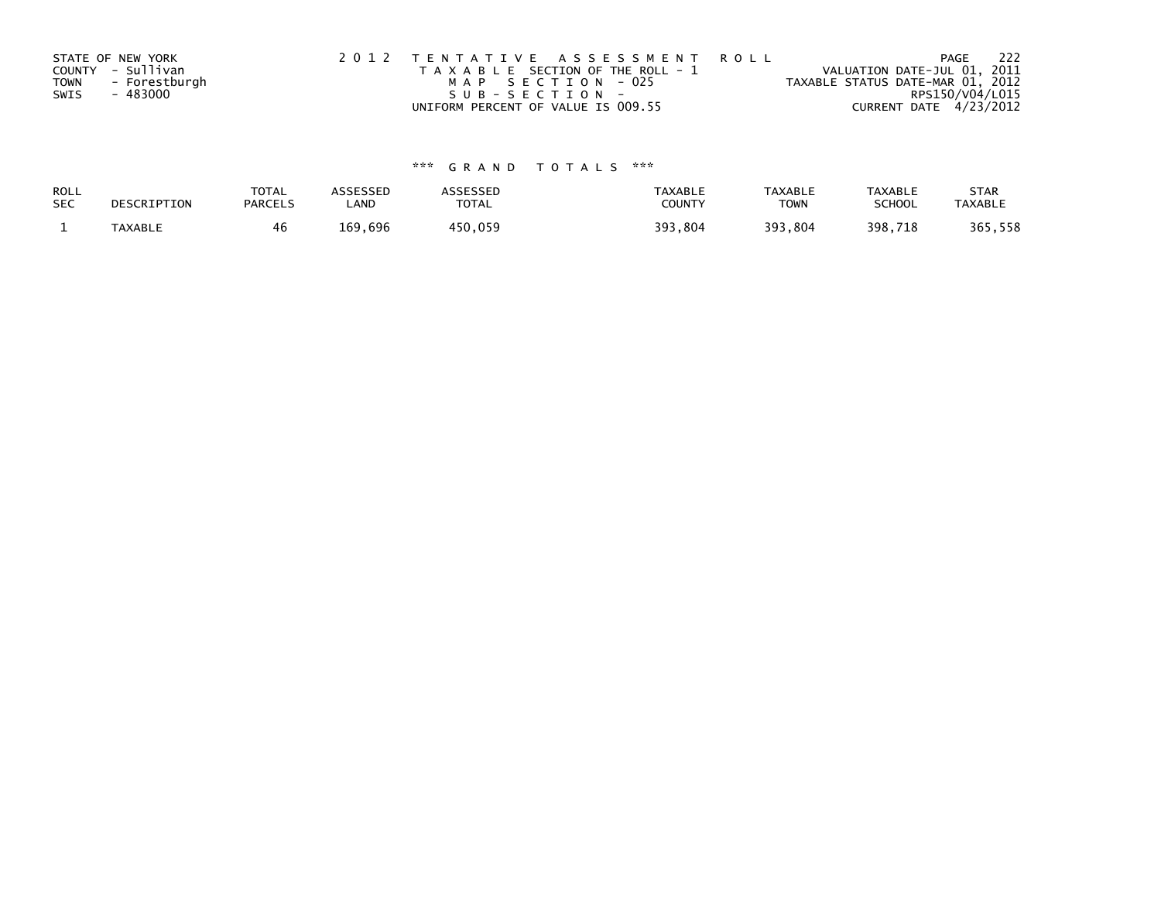| STATE OF NEW YORK            | 2012 TENTATIVE ASSESSMENT ROLL        | - 222<br>PAGE                    |
|------------------------------|---------------------------------------|----------------------------------|
| COUNTY - Sullivan            | T A X A B L E SECTION OF THE ROLL - 1 | VALUATION DATE-JUL 01, 2011      |
| - Forestburgh<br><b>TOWN</b> | MAP SECTION - 025                     | TAXABLE STATUS DATE-MAR 01, 2012 |
| SWIS<br>- 483000             | SUB-SECTION-                          | RPS150/V04/L015                  |
|                              | UNIFORM PERCENT OF VALUE IS 009.55    | CURRENT DATE 4/23/2012           |

| ROLL       | DESCRIPTION | <b>TOTAL</b>   | <b>ASSESSED</b> | <b>\SSESSED</b> | TAXABLE | <b>TAXABLE</b> | <b>TAXABLE</b> | <b>STAR</b>    |
|------------|-------------|----------------|-----------------|-----------------|---------|----------------|----------------|----------------|
| <b>SEC</b> |             | <b>PARCELS</b> | LAND            | <b>TOTAL</b>    | COUNTY  | <b>TOWN</b>    | <b>SCHOOL</b>  | <b>TAXABLE</b> |
|            | TAXABLE     |                | 169,696         | 450,059         | 393,804 | 393,804        | 398,718        | 365,558        |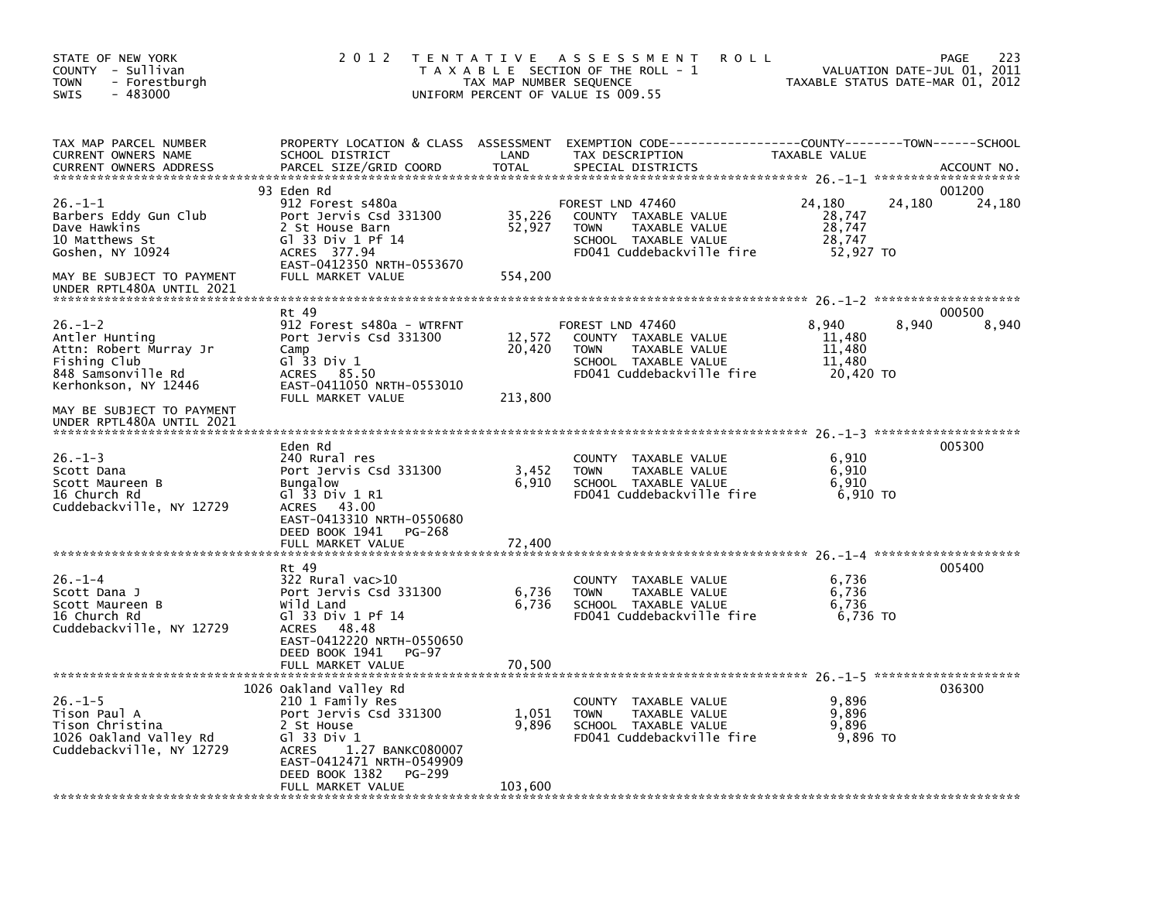| STATE OF NEW YORK<br>COUNTY - Sullivan<br><b>TOWN</b><br>- Forestburgh<br>$-483000$<br><b>SWIS</b>                                                   | 2 0 1 2                                                                                                                                                                                                                    | TAX MAP NUMBER SEQUENCE     | TENTATIVE ASSESSMENT<br><b>ROLL</b><br>T A X A B L E SECTION OF THE ROLL - 1<br>UNIFORM PERCENT OF VALUE IS 009.55                     | VALUATION DATE-JUL 01, 2011<br>TAXABLE STATUS DATE-MAR 01, 2012 | 223<br>PAGE      |
|------------------------------------------------------------------------------------------------------------------------------------------------------|----------------------------------------------------------------------------------------------------------------------------------------------------------------------------------------------------------------------------|-----------------------------|----------------------------------------------------------------------------------------------------------------------------------------|-----------------------------------------------------------------|------------------|
| TAX MAP PARCEL NUMBER<br>CURRENT OWNERS NAME<br><b>CURRENT OWNERS ADDRESS</b>                                                                        | SCHOOL DISTRICT<br>PARCEL SIZE/GRID COORD                                                                                                                                                                                  | LAND<br><b>TOTAL</b>        | PROPERTY LOCATION & CLASS ASSESSMENT EXEMPTION CODE---------------COUNTY-------TOWN-----SCHOOL<br>TAX DESCRIPTION<br>SPECIAL DISTRICTS | TAXABLE VALUE                                                   | ACCOUNT NO.      |
| $26. -1 - 1$<br>Barbers Eddy Gun Club<br>Dave Hawkins<br>10 Matthews St<br>Goshen, NY 10924                                                          | 93 Eden Rd<br>912 Forest s480a<br>Port Jervis Csd 331300<br>2 St House Barn<br>G1 33 Div 1 Pf 14<br>ACRES 377.94<br>EAST-0412350 NRTH-0553670                                                                              | 35,226<br>52,927            | FOREST LND 47460<br>COUNTY TAXABLE VALUE<br><b>TOWN</b><br>TAXABLE VALUE<br>SCHOOL TAXABLE VALUE<br>FD041 Cuddebackville fire          | 24,180<br>24,180<br>28,747<br>28,747<br>28,747<br>52.927 TO     | 001200<br>24,180 |
| MAY BE SUBJECT TO PAYMENT<br>UNDER RPTL480A UNTIL 2021                                                                                               | FULL MARKET VALUE                                                                                                                                                                                                          | 554,200                     |                                                                                                                                        |                                                                 |                  |
| $26. - 1 - 2$<br>Antler Hunting<br>Attn: Robert Murray Jr<br>Fishing Club<br>848 Samsonville Rd<br>Kerhonkson, NY 12446<br>MAY BE SUBJECT TO PAYMENT | Rt 49<br>912 Forest s480a - WTRFNT<br>Port Jervis Csd 331300<br>Camp<br>Gl 33 Div 1<br>85.50<br>ACRES<br>EAST-0411050 NRTH-0553010<br>FULL MARKET VALUE                                                                    | 12,572<br>20,420<br>213,800 | FOREST LND 47460<br>COUNTY TAXABLE VALUE<br>TAXABLE VALUE<br><b>TOWN</b><br>SCHOOL TAXABLE VALUE<br>FD041 Cuddebackville fire          | 8.940<br>8,940<br>11,480<br>11,480<br>11,480<br>20,420 TO       | 000500<br>8,940  |
| UNDER RPTL480A UNTIL 2021<br>$26. - 1 - 3$<br>Scott Dana<br>Scott Maureen B<br>16 Church Rd<br>Cuddebackville, NY 12729                              | Eden Rd<br>240 Rural res<br>Port Jervis Csd 331300<br><b>Bungalow</b><br>Gl 33 Div 1 R1<br>43.00<br>ACRES<br>EAST-0413310 NRTH-0550680<br>DEED BOOK 1941<br>PG-268<br>FULL MARKET VALUE                                    | 3,452<br>6,910<br>72,400    | COUNTY TAXABLE VALUE<br><b>TOWN</b><br>TAXABLE VALUE<br>SCHOOL TAXABLE VALUE<br>FD041 Cuddebackville fire                              | 6,910<br>6,910<br>6.910<br>6,910 TO                             | 005300           |
| $26. - 1 - 4$<br>Scott Dana J<br>Scott Maureen B<br>16 Church Rd                                                                                     | Rt 49<br>322 Rural vac>10<br>Port Jervis Csd 331300<br>Wild Land<br>G1 33 Div 1 Pf 14                                                                                                                                      | 6,736<br>6,736              | COUNTY TAXABLE VALUE<br>TAXABLE VALUE<br><b>TOWN</b><br>SCHOOL TAXABLE VALUE<br>FD041 Cuddebackville fire                              | 6,736<br>6,736<br>6,736<br>6,736 TO                             | 005400           |
| Cuddebackville, NY 12729                                                                                                                             | ACRES<br>48.48<br>EAST-0412220 NRTH-0550650<br>DEED BOOK 1941<br>PG-97<br>FULL MARKET VALUE                                                                                                                                | 70,500                      |                                                                                                                                        |                                                                 |                  |
| $26. - 1 - 5$<br>Tison Paul A<br>Tison Christina<br>1026 Oakland Valley Rd<br>Cuddebackville, NY 12729                                               | 1026 Oakland Valley Rd<br>210 1 Family Res<br>Port Jervis Csd 331300<br>2 St House<br>Gl 33 Div 1<br>1.27 BANKC080007<br><b>ACRES</b><br>EAST-0412471 NRTH-0549909<br>DEED BOOK 1382<br><b>PG-299</b><br>FULL MARKET VALUE | 1,051<br>9,896<br>103,600   | COUNTY TAXABLE VALUE<br>TAXABLE VALUE<br><b>TOWN</b><br>SCHOOL TAXABLE VALUE<br>FD041 Cuddebackville fire                              | 9,896<br>9,896<br>9,896<br>9,896 TO                             | 036300           |
|                                                                                                                                                      |                                                                                                                                                                                                                            |                             |                                                                                                                                        |                                                                 |                  |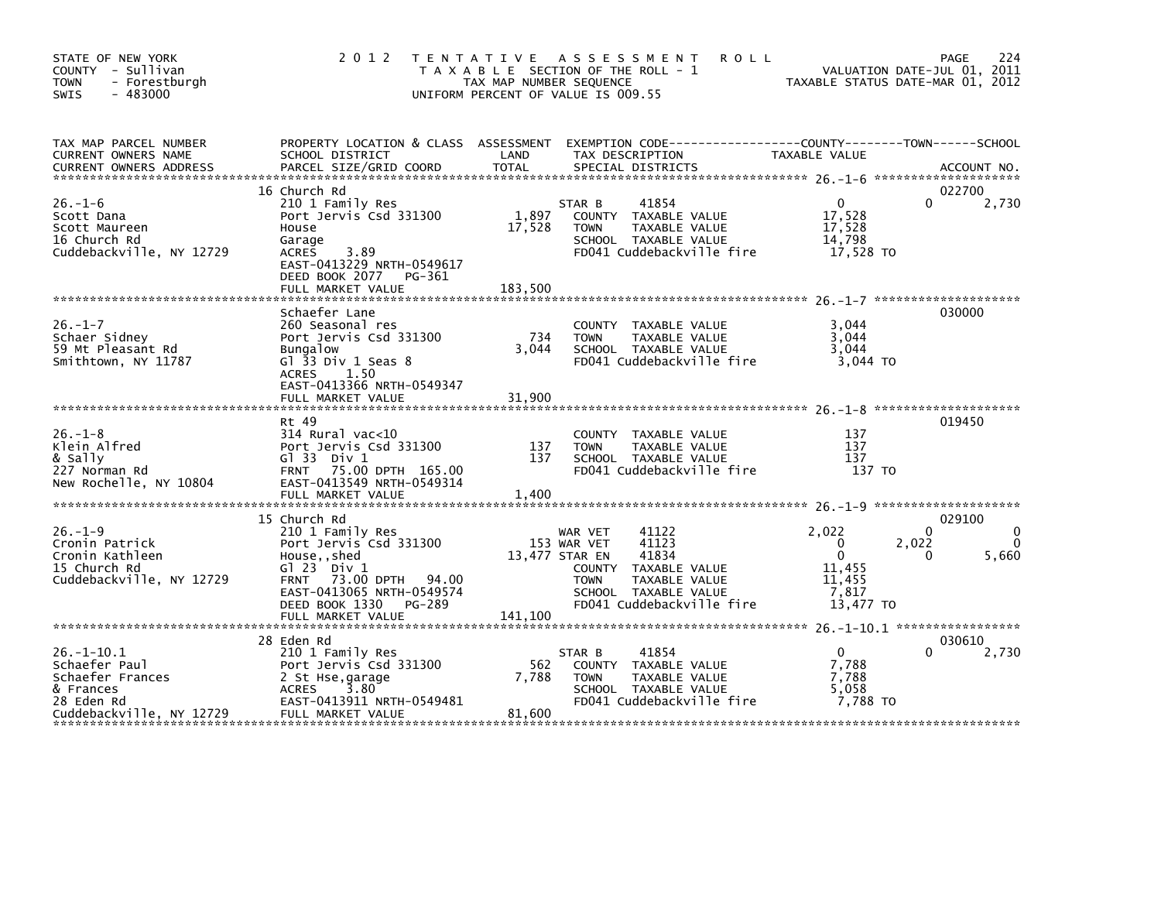| STATE OF NEW YORK<br>COUNTY - Sullivan<br><b>TOWN</b><br>- Forestburgh<br>$-483000$<br>SWIS                  | 2 0 1 2                                                                                                                                                                                                        | TAX MAP NUMBER SEQUENCE    | TENTATIVE ASSESSMENT<br><b>ROLL</b><br>T A X A B L E SECTION OF THE ROLL - 1<br>UNIFORM PERCENT OF VALUE IS 009.55                                                               | VALUATION DATE-JUL 01, 2011<br>TAXABLE STATUS DATE-MAR 01, 2012                 | 224<br>PAGE<br>VALUATION DATE-JUL 01, 2011       |
|--------------------------------------------------------------------------------------------------------------|----------------------------------------------------------------------------------------------------------------------------------------------------------------------------------------------------------------|----------------------------|----------------------------------------------------------------------------------------------------------------------------------------------------------------------------------|---------------------------------------------------------------------------------|--------------------------------------------------|
| TAX MAP PARCEL NUMBER<br>CURRENT OWNERS NAME<br><b>CURRENT OWNERS ADDRESS</b>                                | PROPERTY LOCATION & CLASS ASSESSMENT EXEMPTION CODE----------------COUNTY-------TOWN------SCHOOL<br>SCHOOL DISTRICT<br>PARCEL SIZE/GRID COORD                                                                  | LAND<br><b>TOTAL</b>       | TAX DESCRIPTION<br>SPECIAL DISTRICTS                                                                                                                                             | TAXABLE VALUE                                                                   | ACCOUNT NO.                                      |
| $26. - 1 - 6$<br>Scott Dana<br>Scott Maureen<br>16 Church Rd<br>Cuddebackville, NY 12729                     | 16 Church Rd<br>210 1 Family Res<br>Port Jervis Csd 331300<br>House<br>Garage<br>3.89<br>ACRES<br>EAST-0413229 NRTH-0549617<br>DEED BOOK 2077 PG-361<br>FULL MARKET VALUE                                      | 1,897<br>17,528<br>183,500 | STAR B<br>41854<br>COUNTY TAXABLE VALUE<br>TAXABLE VALUE<br><b>TOWN</b><br>SCHOOL TAXABLE VALUE<br>FD041 Cuddebackville fire                                                     | $\overline{0}$<br>17,528<br>17,528<br>14,798<br>17,528 TO                       | 022700<br>2,730<br>0                             |
| $26. - 1 - 7$<br>Schaer Sidney<br>59 Mt Pleasant Rd<br>Smithtown, NY 11787                                   | Schaefer Lane<br>260 Seasonal res<br>Port Jervis Csd 331300<br><b>Bungalow</b><br>Gl 33 Div 1 Seas 8<br>1.50<br>ACRES<br>EAST-0413366 NRTH-0549347<br>FULL MARKET VALUE                                        | 734<br>3.044<br>31,900     | COUNTY TAXABLE VALUE<br><b>TOWN</b><br>TAXABLE VALUE<br>SCHOOL TAXABLE VALUE<br>FD041 Cuddebackville fire                                                                        | 3.044<br>3,044<br>3,044<br>3,044 TO                                             | 030000                                           |
| $26. - 1 - 8$<br>Klein Alfred<br>& Sally<br>227 Norman Rd<br>New Rochelle, NY 10804                          | Rt 49<br>314 Rural vac<10<br>Port Jervis Csd 331300<br>$G1$ 33 Div 1<br>FRNT 75.00 DPTH 165.00<br>EAST-0413549 NRTH-0549314<br>FULL MARKET VALUE                                                               | 137<br>137<br>1,400        | COUNTY TAXABLE VALUE<br>TAXABLE VALUE<br><b>TOWN</b><br>SCHOOL TAXABLE VALUE<br>FD041 Cuddebackville fire                                                                        | 137<br>137<br>137<br>137 TO                                                     | 019450                                           |
| $26. - 1 - 9$<br>Cronin Patrick<br>Cronin Kathleen<br>15 Church Rd<br>Cuddebackville, NY 12729               | 15 Church Rd<br>210 1 Family Res<br>Port Jervis Csd 331300<br>House,, shed<br>$G1 23$ Div $1$<br>73.00 DPTH 94.00<br><b>FRNT</b><br>EAST-0413065 NRTH-0549574<br>DEED BOOK 1330<br>PG-289<br>FULL MARKET VALUE | 141,100                    | 41122<br>WAR VET<br>41123<br>153 WAR VET<br>13,477 STAR EN<br>41834<br>COUNTY TAXABLE VALUE<br><b>TOWN</b><br>TAXABLE VALUE<br>SCHOOL TAXABLE VALUE<br>FD041 Cuddebackville fire | 2,022<br>$\mathbf{0}$<br>$\mathbf{0}$<br>11,455<br>11.455<br>7,817<br>13.477 TO | 029100<br>$\Omega$<br>2,022<br>5,660<br>$\Omega$ |
| $26. - 1 - 10.1$<br>Schaefer Paul<br>Schaefer Frances<br>& Frances<br>28 Eden Rd<br>Cuddebackville, NY 12729 | 28 Eden Rd<br>210 1 Family Res<br>Port Jervis Csd 331300<br>2 St Hse, garage<br>3.80<br>ACRES<br>EAST-0413911 NRTH-0549481<br>FULL MARKET VALUE                                                                | 562<br>7,788<br>81,600     | 41854<br>STAR B<br>COUNTY TAXABLE VALUE<br>TAXABLE VALUE<br><b>TOWN</b><br>SCHOOL TAXABLE VALUE<br>FD041 Cuddebackville fire                                                     | $\overline{0}$<br>7,788<br>7,788<br>5,058<br>7,788 TO                           | 030610<br>2,730<br>$\Omega$                      |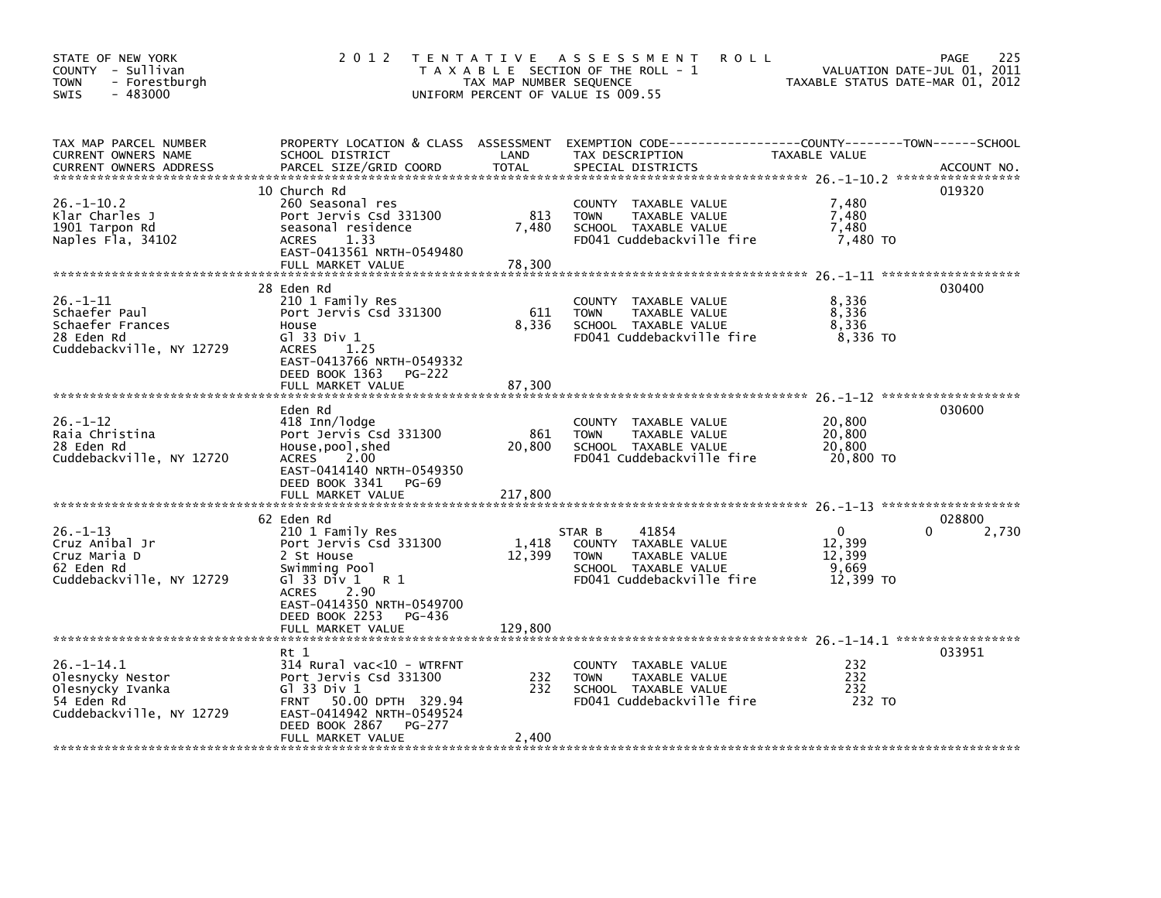| STATE OF NEW YORK<br>COUNTY - Sullivan<br><b>TOWN</b><br>- Forestburgh<br>$-483000$<br><b>SWIS</b> | 2012 TENTATIVE                                                                                                                                                                           | TAX MAP NUMBER SEQUENCE  | A S S E S S M E N T<br><b>ROLL</b><br>T A X A B L E SECTION OF THE ROLL - 1<br>UNIFORM PERCENT OF VALUE IS 009.55            | TAXABLE STATUS DATE-MAR 01, 2012                       | 225<br>PAGE<br>VALUATION DATE-JUL 01, 2011 |
|----------------------------------------------------------------------------------------------------|------------------------------------------------------------------------------------------------------------------------------------------------------------------------------------------|--------------------------|------------------------------------------------------------------------------------------------------------------------------|--------------------------------------------------------|--------------------------------------------|
| TAX MAP PARCEL NUMBER<br>CURRENT OWNERS NAME<br><b>CURRENT OWNERS ADDRESS</b>                      | PROPERTY LOCATION & CLASS ASSESSMENT<br>SCHOOL DISTRICT<br>PARCEL SIZE/GRID COORD                                                                                                        | LAND<br><b>TOTAL</b>     | EXEMPTION CODE-----------------COUNTY-------TOWN------SCHOOL<br>TAX DESCRIPTION<br>SPECIAL DISTRICTS                         | TAXABLE VALUE                                          | ACCOUNT NO.                                |
| $26. - 1 - 10.2$<br>Klar Charles J<br>1901 Tarpon Rd<br>Naples Fla, 34102                          | 10 Church Rd<br>260 Seasonal res<br>Port Jervis Csd 331300<br>seasonal residence<br>1.33<br>ACRES<br>EAST-0413561 NRTH-0549480<br>FULL MARKET VALUE                                      | 813<br>7,480<br>78,300   | COUNTY TAXABLE VALUE<br><b>TOWN</b><br>TAXABLE VALUE<br>SCHOOL TAXABLE VALUE<br>FD041 Cuddebackville fire                    | 7,480<br>7,480<br>7,480<br>7,480 TO                    | 019320                                     |
| $26. - 1 - 11$<br>Schaefer Paul<br>Schaefer Frances<br>28 Eden Rd<br>Cuddebackville, NY 12729      | 28 Eden Rd<br>210 1 Family Res<br>Port Jervis Csd 331300<br>House<br>$G1$ 33 Div 1<br>ACRES<br>1.25<br>EAST-0413766 NRTH-0549332<br>DEED BOOK 1363<br><b>PG-222</b><br>FULL MARKET VALUE | 611<br>8,336<br>87,300   | COUNTY TAXABLE VALUE<br>TAXABLE VALUE<br><b>TOWN</b><br>SCHOOL TAXABLE VALUE<br>FD041 Cuddebackville fire                    | 8,336<br>8,336<br>8,336<br>8,336 TO                    | 030400                                     |
| $26. - 1 - 12$<br>Raia Christina<br>28 Eden Rd<br>Cuddebackville, NY 12720                         | Eden Rd<br>418 Inn/lodge<br>Port Jervis Csd 331300<br>House, pool, shed<br>ACRES<br>2.00<br>EAST-0414140 NRTH-0549350<br>DEED BOOK 3341<br>PG-69<br>FULL MARKET VALUE                    | 861<br>20,800<br>217,800 | COUNTY TAXABLE VALUE<br>TAXABLE VALUE<br><b>TOWN</b><br>SCHOOL TAXABLE VALUE<br>FD041 Cuddebackville fire                    | 20,800<br>20,800<br>20,800<br>20,800 TO                | 030600                                     |
| $26. -1 - 13$<br>Cruz Anibal Jr<br>Cruz Maria D<br>62 Eden Rd<br>Cuddebackville, NY 12729          | 62 Eden Rd<br>210 1 Family Res<br>Port Jervis Csd 331300<br>2 St House<br>Swimming Pool<br>Gl 33 Div $1 \t R 1$<br>2.90<br>ACRES<br>EAST-0414350 NRTH-0549700                            | 1,418<br>12,399          | 41854<br>STAR B<br>COUNTY TAXABLE VALUE<br>TAXABLE VALUE<br><b>TOWN</b><br>SCHOOL TAXABLE VALUE<br>FD041 Cuddebackville fire | $\mathbf{0}$<br>12,399<br>12,399<br>9,669<br>12,399 TO | 028800<br>2,730                            |
|                                                                                                    | DEED BOOK 2253 PG-436<br>FULL MARKET VALUE                                                                                                                                               | 129,800                  |                                                                                                                              |                                                        |                                            |
| $26. -1 - 14.1$<br>Olesnycky Nestor<br>Olesnycky Ivanka<br>54 Eden Rd<br>Cuddebackville, NY 12729  | Rt 1<br>314 Rural vac<10 - WTRFNT<br>Port Jervis Csd 331300<br>G1 33 Div 1<br>FRNT 50.00 DPTH 329.94<br>EAST-0414942 NRTH-0549524<br>DEED BOOK 2867<br>PG-277<br>FULL MARKET VALUE       | 232<br>232<br>2,400      | COUNTY TAXABLE VALUE<br><b>TOWN</b><br>TAXABLE VALUE<br>SCHOOL TAXABLE VALUE<br>FD041 Cuddebackville fire                    | 232<br>232<br>232<br>232 TO                            | 033951                                     |
|                                                                                                    |                                                                                                                                                                                          |                          |                                                                                                                              |                                                        |                                            |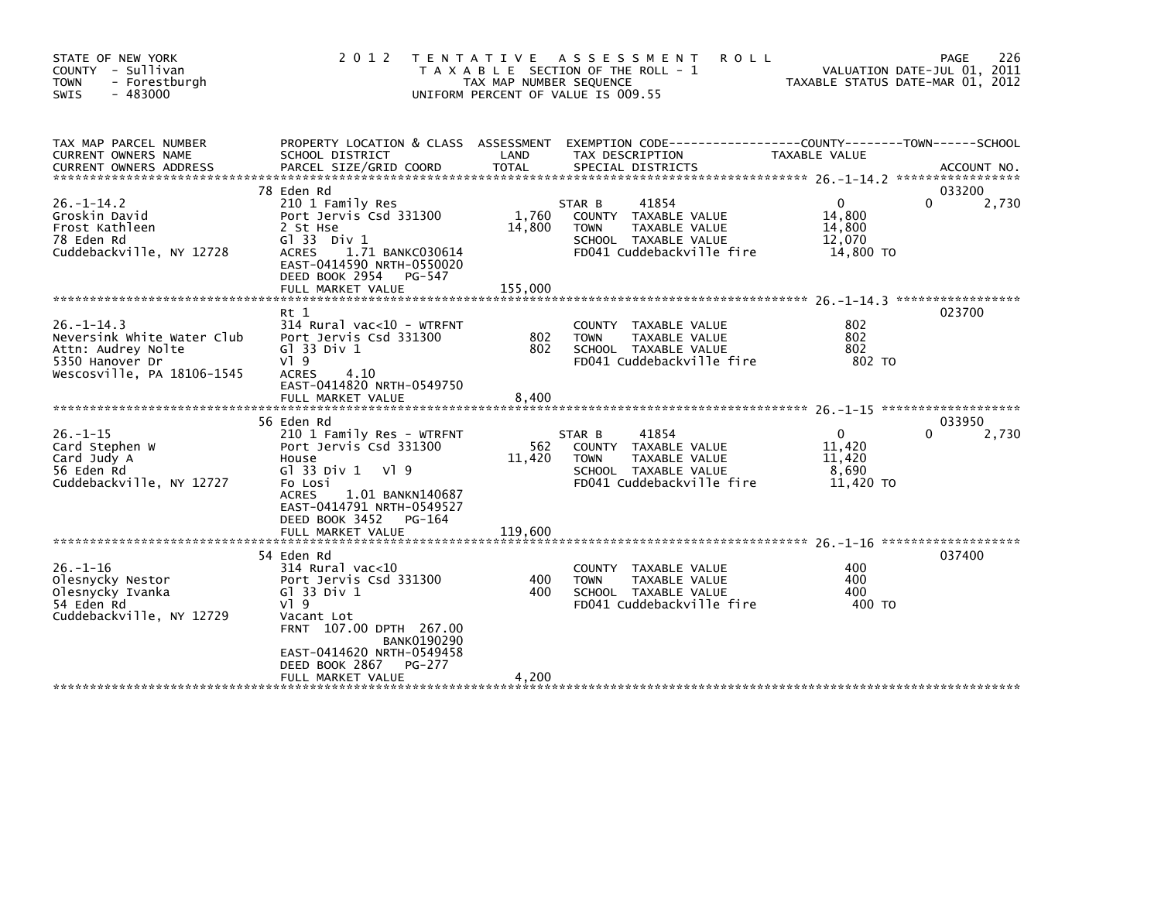| STATE OF NEW YORK<br>COUNTY - Sullivan<br>- Forestburgh<br><b>TOWN</b><br>$-483000$<br><b>SWIS</b>                   | 2 0 1 2                                                                                                                                                                                                                                             | T E N T A T I V E<br>TAX MAP NUMBER SEQUENCE | A S S E S S M E N T<br><b>ROLL</b><br>T A X A B L E SECTION OF THE ROLL - 1<br>UNIFORM PERCENT OF VALUE IS 009.55            | TAXABLE STATUS DATE-MAR 01, 2012                       | 226<br>PAGE<br>VALUATION DATE-JUL 01, 2011 |
|----------------------------------------------------------------------------------------------------------------------|-----------------------------------------------------------------------------------------------------------------------------------------------------------------------------------------------------------------------------------------------------|----------------------------------------------|------------------------------------------------------------------------------------------------------------------------------|--------------------------------------------------------|--------------------------------------------|
| TAX MAP PARCEL NUMBER<br>CURRENT OWNERS NAME                                                                         | SCHOOL DISTRICT                                                                                                                                                                                                                                     | LAND                                         | PROPERTY LOCATION & CLASS ASSESSMENT EXEMPTION CODE----------------COUNTY-------TOWN------SCHOOL<br>TAX DESCRIPTION          | TAXABLE VALUE                                          |                                            |
| $26. -1 - 14.2$<br>Groskin David<br>Frost Kathleen<br>78 Eden Rd<br>Cuddebackville, NY 12728                         | 78 Eden Rd<br>210 1 Family Res<br>Port Jervis Csd 331300<br>2 St Hse<br>G1 33 Div 1<br>1.71 BANKC030614<br><b>ACRES</b><br>EAST-0414590 NRTH-0550020<br>DEED BOOK 2954<br>PG-547<br>FULL MARKET VALUE                                               | 1,760<br>14,800<br>155,000                   | 41854<br>STAR B<br>COUNTY TAXABLE VALUE<br><b>TOWN</b><br>TAXABLE VALUE<br>SCHOOL TAXABLE VALUE<br>FD041 Cuddebackville fire | $\Omega$<br>14,800<br>14,800<br>12,070<br>14,800 TO    | 033200<br>$\Omega$<br>2,730                |
| $26 - 1 - 14.3$<br>Neversink White Water Club<br>Attn: Audrey Nolte<br>5350 Hanover Dr<br>Wescosville, PA 18106-1545 | $Rt$ 1<br>$314$ Rural vac<10 - WTRFNT<br>Port Jervis Csd 331300<br>G1 33 Div 1<br>$V$ ] 9<br><b>ACRES</b><br>4.10<br>EAST-0414820 NRTH-0549750<br>FULL MARKET VALUE                                                                                 | 802<br>802<br>8.400                          | TAXABLE VALUE<br><b>COUNTY</b><br>TAXABLE VALUE<br><b>TOWN</b><br>SCHOOL TAXABLE VALUE<br>FD041 Cuddebackville fire          | 802<br>802<br>802<br>802 TO                            | 023700                                     |
| $26. - 1 - 15$<br>Card Stephen W<br>Card Judy A<br>56 Eden Rd<br>Cuddebackville, NY 12727                            | 56 Eden Rd<br>210 1 Family Res - WTRFNT<br>Port Jervis Csd 331300<br>House<br>G $\overline{3}$ 33 Div 1<br>VI 9<br>Fo Losi<br><b>ACRES</b><br>1.01 BANKN140687<br>EAST-0414791 NRTH-0549527<br>DEED BOOK 3452<br>PG-164<br>FULL MARKET VALUE        | 562<br>11,420<br>119,600                     | 41854<br>STAR B<br>COUNTY TAXABLE VALUE<br>TAXABLE VALUE<br><b>TOWN</b><br>SCHOOL TAXABLE VALUE<br>FD041 Cuddebackville fire | $\mathbf{0}$<br>11,420<br>11,420<br>8,690<br>11,420 TO | 033950<br>2,730<br>0                       |
| $26. - 1 - 16$<br>Olesnycky Nestor<br>Olesnycky Ivanka<br>54 Eden Rd<br>Cuddebackville, NY 12729                     | 54 Eden Rd<br>314 Rural vac<10<br>Port Jervis Csd 331300<br>G $\overline{1}$ 33 Div 1<br>$V1$ 9<br>Vacant Lot<br>FRNT 107.00 DPTH 267.00<br><b>BANK0190290</b><br>EAST-0414620 NRTH-0549458<br>DEED BOOK 2867<br><b>PG-277</b><br>FULL MARKET VALUE | 400<br>400<br>4,200                          | COUNTY TAXABLE VALUE<br><b>TOWN</b><br>TAXABLE VALUE<br>SCHOOL TAXABLE VALUE<br>FD041 Cuddebackville fire                    | 400<br>400<br>400<br>400 TO                            | 037400                                     |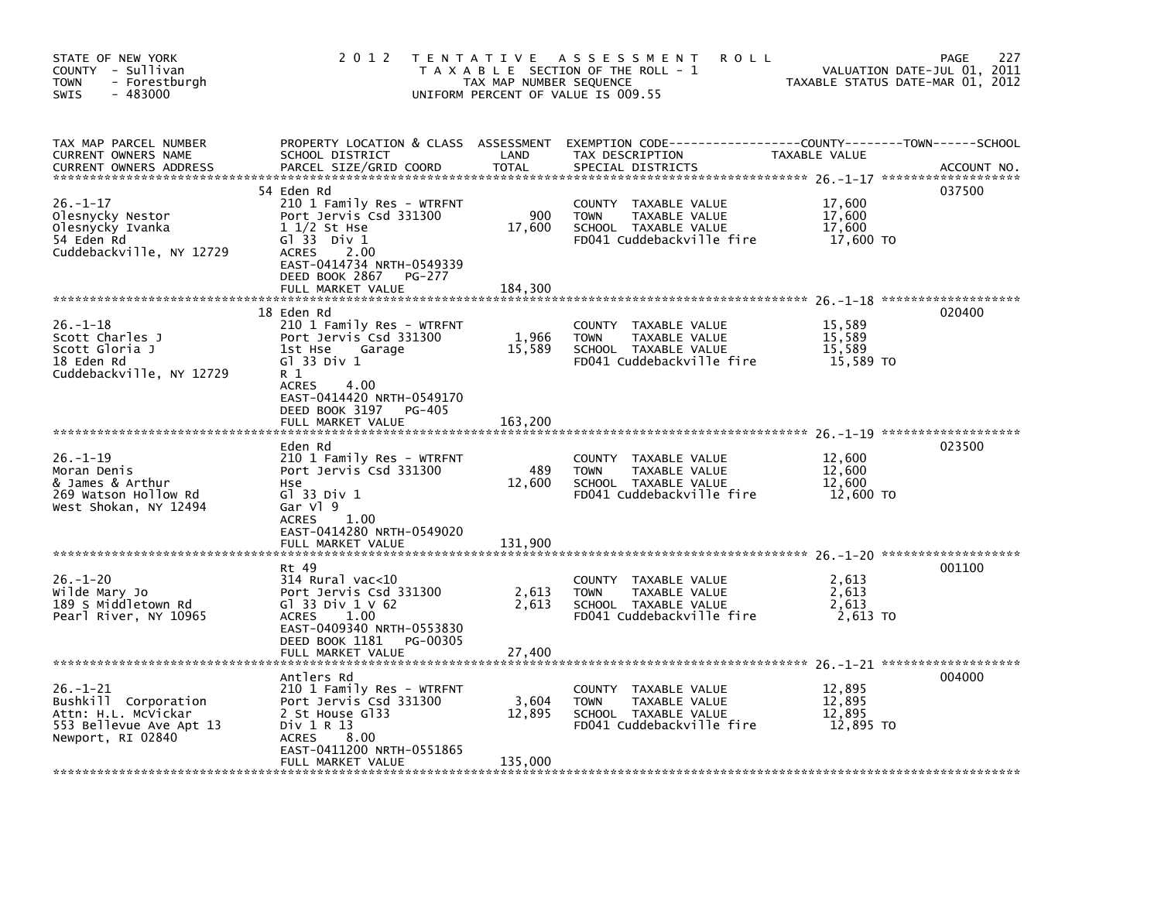| STATE OF NEW YORK<br>COUNTY - Sullivan<br>- Forestburgh<br><b>TOWN</b><br>$-483000$<br><b>SWIS</b>            | 2 0 1 2                                                                                                                                                                                  | T E N T A T I V E<br>TAX MAP NUMBER SEQUENCE | A S S E S S M E N T<br><b>ROLL</b><br>T A X A B L E SECTION OF THE ROLL - 1<br>UNIFORM PERCENT OF VALUE IS 009.55                       | TAXABLE STATUS DATE-MAR 01, 2012        | 227<br>PAGE<br>VALUATION DATE-JUL 01, 2011 |
|---------------------------------------------------------------------------------------------------------------|------------------------------------------------------------------------------------------------------------------------------------------------------------------------------------------|----------------------------------------------|-----------------------------------------------------------------------------------------------------------------------------------------|-----------------------------------------|--------------------------------------------|
| TAX MAP PARCEL NUMBER<br><b>CURRENT OWNERS NAME</b><br><b>CURRENT OWNERS ADDRESS</b>                          | SCHOOL DISTRICT<br>PARCEL SIZE/GRID COORD                                                                                                                                                | LAND<br><b>TOTAL</b>                         | PROPERTY LOCATION & CLASS ASSESSMENT EXEMPTION CODE---------------COUNTY-------TOWN------SCHOOL<br>TAX DESCRIPTION<br>SPECIAL DISTRICTS | TAXABLE VALUE                           | ACCOUNT NO.                                |
| $26. - 1 - 17$<br>Olesnycky Nestor<br>Olesnycky Ivanka<br>54 Eden Rd<br>Cuddebackville, NY 12729              | 54 Eden Rd<br>210 1 Family Res - WTRFNT<br>Port Jervis Csd 331300<br>$11/2$ St Hse<br>$G1$ 33 Div 1<br>2.00<br><b>ACRES</b><br>EAST-0414734 NRTH-0549339<br>DEED BOOK 2867<br>PG-277     | 900<br>17,600                                | COUNTY TAXABLE VALUE<br><b>TOWN</b><br>TAXABLE VALUE<br>SCHOOL TAXABLE VALUE<br>FD041 Cuddebackville fire                               | 17,600<br>17,600<br>17,600<br>17,600 TO | 037500                                     |
| $26. - 1 - 18$<br>Scott Charles J<br>Scott Gloria J<br>18 Eden Rd<br>Cuddebackville, NY 12729                 | FULL MARKET VALUE<br>18 Eden Rd<br>210 1 Family Res - WTRFNT<br>Port Jervis Csd 331300<br>1st Hse<br>Garage<br>$G1$ 33 Div 1<br>R 1<br><b>ACRES</b><br>4.00<br>EAST-0414420 NRTH-0549170 | 184,300<br>1,966<br>15,589                   | COUNTY<br>TAXABLE VALUE<br>TAXABLE VALUE<br><b>TOWN</b><br>SCHOOL TAXABLE VALUE<br>FD041 Cuddebackville fire                            | 15,589<br>15,589<br>15,589<br>15,589 TO | 020400                                     |
| $26. - 1 - 19$                                                                                                | DEED BOOK 3197<br><b>PG-405</b><br>FULL MARKET VALUE<br>Eden Rd<br>210 1 Family Res - WTRFNT                                                                                             | 163,200                                      | TAXABLE VALUE<br>COUNTY                                                                                                                 | 12,600                                  | 023500                                     |
| Moran Denis<br>& James & Arthur<br>269 Watson Hollow Rd<br>West Shokan, NY 12494                              | Port Jervis Csd 331300<br>Hse<br>$G1$ 33 Div 1<br>Gar Vl 9<br><b>ACRES</b><br>1.00<br>EAST-0414280 NRTH-0549020<br>FULL MARKET VALUE                                                     | 489<br>12,600<br>131,900                     | TAXABLE VALUE<br><b>TOWN</b><br>SCHOOL TAXABLE VALUE<br>FD041 Cuddebackville fire                                                       | 12,600<br>12,600<br>12,600 TO           |                                            |
|                                                                                                               | Rt 49                                                                                                                                                                                    |                                              |                                                                                                                                         |                                         | 001100                                     |
| $26. - 1 - 20$<br>Wilde Mary Jo<br>189 S Middletown Rd<br>Pearl River, NY 10965                               | $314$ Rural vac< $10$<br>Port Jervis Csd 331300<br>G] 33 Div $1 \vee 62$<br><b>ACRES</b><br>1.00<br>EAST-0409340 NRTH-0553830<br>DEED BOOK 1181<br>PG-00305                              | 2,613<br>2.613                               | COUNTY TAXABLE VALUE<br>TAXABLE VALUE<br><b>TOWN</b><br>SCHOOL TAXABLE VALUE<br>FD041 Cuddebackville fire                               | 2,613<br>2,613<br>2.613<br>2,613 TO     |                                            |
|                                                                                                               | FULL MARKET VALUE                                                                                                                                                                        | 27,400                                       |                                                                                                                                         |                                         |                                            |
| $26. - 1 - 21$<br>Bushkill Corporation<br>Attn: H.L. McVickar<br>553 Bellevue Ave Apt 13<br>Newport, RI 02840 | Antlers Rd<br>210 1 Family Res - WTRFNT<br>Port Jervis Csd 331300<br>2 St House G133<br>Div 1 R 13<br>8.00<br><b>ACRES</b><br>EAST-0411200 NRTH-0551865<br>FULL MARKET VALUE             | 3,604<br>12,895<br>135,000                   | COUNTY TAXABLE VALUE<br><b>TOWN</b><br>TAXABLE VALUE<br>SCHOOL TAXABLE VALUE<br>FD041 Cuddebackville fire                               | 12,895<br>12.895<br>12,895<br>12,895 TO | 004000                                     |
|                                                                                                               |                                                                                                                                                                                          |                                              |                                                                                                                                         |                                         |                                            |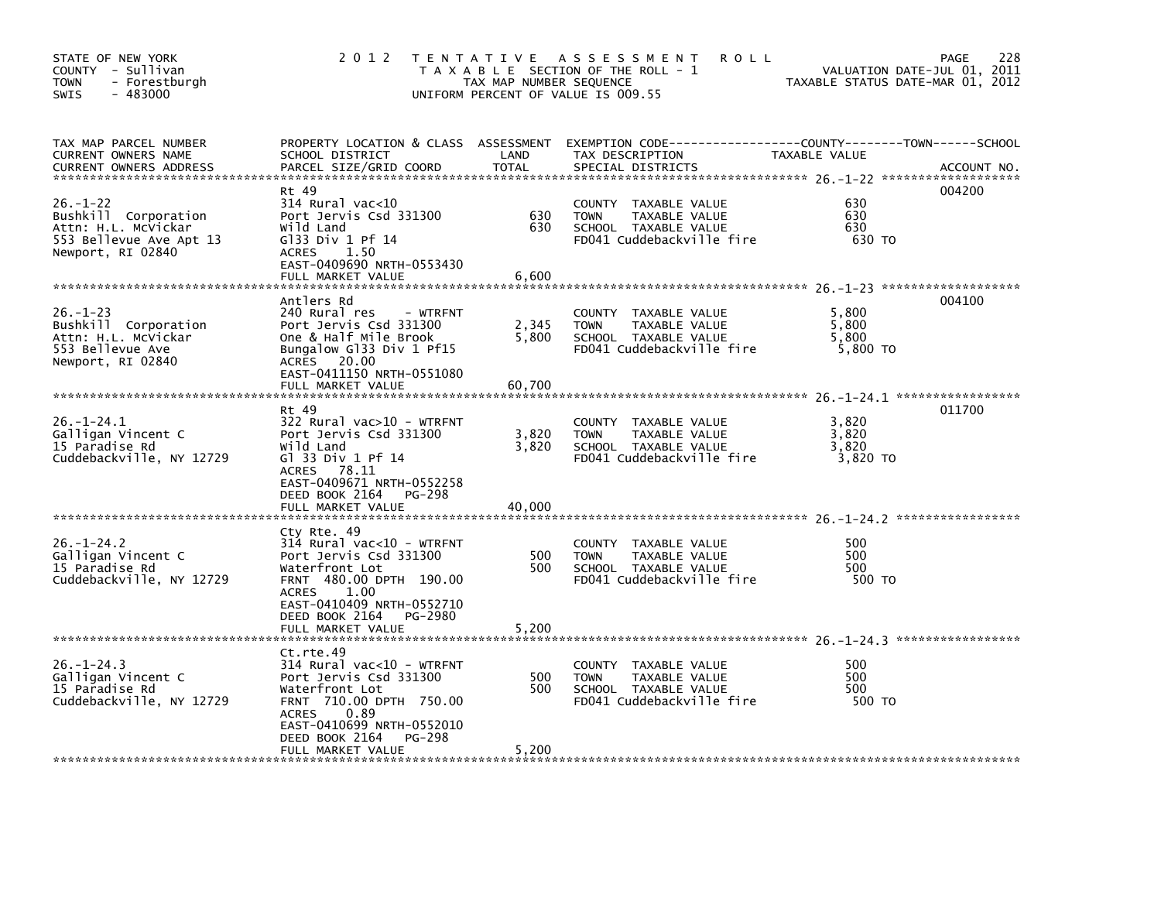| STATE OF NEW YORK<br>COUNTY - Sullivan<br><b>TOWN</b><br>- Forestburgh<br>$-483000$<br>SWIS                   | 2 0 1 2                                                                                                                                                                                                                | TAX MAP NUMBER SEQUENCE  | TENTATIVE ASSESSMENT<br><b>ROLL</b><br>T A X A B L E SECTION OF THE ROLL - 1<br>UNIFORM PERCENT OF VALUE IS 009.55 | TAXABLE STATUS DATE-MAR 01, 2012    | 228<br><b>PAGE</b><br>VALUATION DATE-JUL 01, 2011 |
|---------------------------------------------------------------------------------------------------------------|------------------------------------------------------------------------------------------------------------------------------------------------------------------------------------------------------------------------|--------------------------|--------------------------------------------------------------------------------------------------------------------|-------------------------------------|---------------------------------------------------|
| TAX MAP PARCEL NUMBER<br><b>CURRENT OWNERS NAME</b><br><b>CURRENT OWNERS ADDRESS</b>                          | PROPERTY LOCATION & CLASS ASSESSMENT<br>SCHOOL DISTRICT<br>PARCEL SIZE/GRID COORD                                                                                                                                      | LAND<br><b>TOTAL</b>     | EXEMPTION CODE-----------------COUNTY-------TOWN------SCHOOL<br>TAX DESCRIPTION<br>SPECIAL DISTRICTS               | TAXABLE VALUE                       | ACCOUNT NO.                                       |
| $26. - 1 - 22$<br>Bushkill Corporation<br>Attn: H.L. McVickar<br>553 Bellevue Ave Apt 13<br>Newport, RI 02840 | Rt 49<br>314 Rural vac<10<br>Port Jervis Csd 331300<br>Wild Land<br>$G$ ]33 Div 1 Pf 14<br>1.50<br>ACRES<br>EAST-0409690 NRTH-0553430<br>FULL MARKET VALUE                                                             | 630<br>630<br>6,600      | TAXABLE VALUE<br>COUNTY<br><b>TOWN</b><br>TAXABLE VALUE<br>SCHOOL TAXABLE VALUE<br>FD041 Cuddebackville fire       | 630<br>630<br>630<br>630 TO         | 004200                                            |
|                                                                                                               |                                                                                                                                                                                                                        |                          |                                                                                                                    |                                     |                                                   |
| $26. - 1 - 23$<br>Bushkill Corporation<br>Attn: H.L. McVickar<br>553 Bellevue Ave<br>Newport, RI 02840        | Antlers Rd<br>240 Rural res<br>- WTRFNT<br>Port Jervis Csd 331300<br>One & Half Mile Brook<br>Bungalow Gl33 Div 1 Pf15<br>ACRES 20.00<br>EAST-0411150 NRTH-0551080<br>FULL MARKET VALUE                                | 2,345<br>5,800<br>60,700 | COUNTY<br>TAXABLE VALUE<br><b>TOWN</b><br>TAXABLE VALUE<br>SCHOOL TAXABLE VALUE<br>FD041 Cuddebackville fire       | 5,800<br>5,800<br>5,800<br>5,800 TO | 004100                                            |
|                                                                                                               | Rt 49                                                                                                                                                                                                                  |                          |                                                                                                                    |                                     | 011700                                            |
| $26. - 1 - 24.1$<br>Galligan Vincent C<br>15 Paradise Rd<br>Cuddebackville, NY 12729                          | 322 Rural vac>10 - WTRFNT<br>Port Jervis Csd 331300<br>Wild Land<br>G1 33 Div 1 Pf 14<br>ACRES 78.11<br>EAST-0409671 NRTH-0552258<br>DEED BOOK 2164<br>PG-298<br>FULL MARKET VALUE                                     | 3,820<br>3,820<br>40.000 | COUNTY<br>TAXABLE VALUE<br>TAXABLE VALUE<br><b>TOWN</b><br>SCHOOL TAXABLE VALUE<br>FD041 Cuddebackville fire       | 3.820<br>3,820<br>3,820<br>3,820 TO |                                                   |
|                                                                                                               |                                                                                                                                                                                                                        |                          |                                                                                                                    |                                     |                                                   |
| $26. - 1 - 24.2$<br>Galligan Vincent C<br>15 Paradise Rd<br>Cuddebackville, NY 12729                          | Cty Rte. 49<br>314 Rural vac<10 - WTRFNT<br>Port Jervis Csd 331300<br>Waterfront Lot<br>FRNT 480.00 DPTH 190.00<br>1.00<br><b>ACRES</b><br>EAST-0410409 NRTH-0552710<br>DEED BOOK 2164<br>PG-2980<br>FULL MARKET VALUE | 500<br>500<br>5,200      | COUNTY TAXABLE VALUE<br>TAXABLE VALUE<br><b>TOWN</b><br>SCHOOL TAXABLE VALUE<br>FD041 Cuddebackville fire          | 500<br>500<br>500<br>500 TO         |                                                   |
|                                                                                                               |                                                                                                                                                                                                                        |                          |                                                                                                                    |                                     |                                                   |
| $26. - 1 - 24.3$<br>Galligan Vincent C<br>15 Paradise Rd<br>Cuddebackville, NY 12729                          | Ct.rte.49<br>$314$ Rural vac<10 - WTRFNT<br>Port Jervis Csd 331300<br>Waterfront Lot<br>FRNT 710.00 DPTH 750.00<br><b>ACRES</b><br>0.89<br>EAST-0410699 NRTH-0552010<br>DEED BOOK 2164<br>PG-298                       | 500<br>500               | COUNTY TAXABLE VALUE<br><b>TOWN</b><br>TAXABLE VALUE<br>SCHOOL TAXABLE VALUE<br>FD041 Cuddebackville fire          | 500<br>500<br>500<br>500 TO         |                                                   |
|                                                                                                               | FULL MARKET VALUE                                                                                                                                                                                                      | 5,200                    |                                                                                                                    |                                     |                                                   |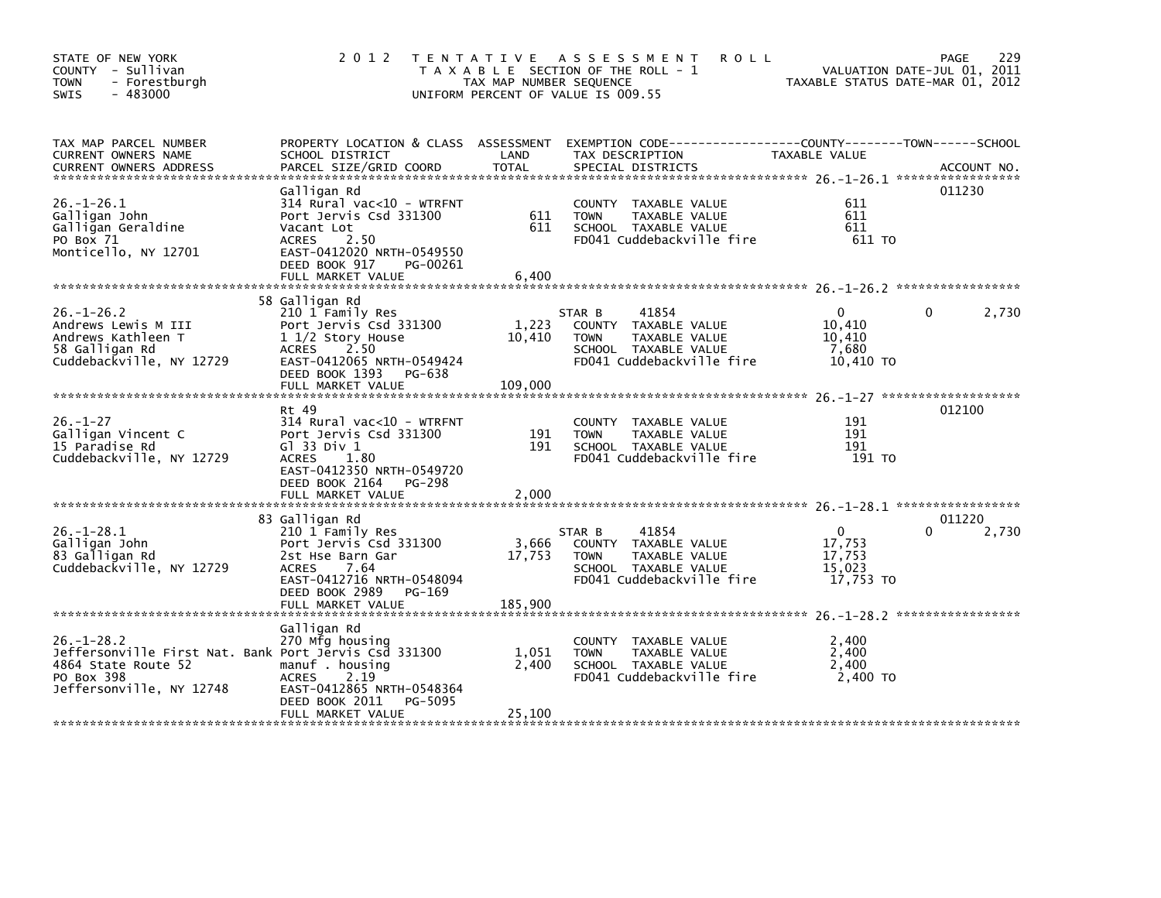| STATE OF NEW YORK<br>COUNTY - Sullivan<br>- Forestburgh<br><b>TOWN</b><br>$-483000$<br><b>SWIS</b>                                                                                                               | 2 0 1 2                                                                                                                                                   | TAX MAP NUMBER SEQUENCE | <b>ROLL</b><br>TENTATIVE ASSESSMENT<br>T A X A B L E SECTION OF THE ROLL - 1<br>UNIFORM PERCENT OF VALUE IS 009.55           | VALUATION DATE-JUL 01, 2011<br>TAXABLE STATIIS DATE-MAP 01, 2011<br>TAXABLE STATUS DATE-MAR 01, 2012 | 229<br><b>PAGE</b> |
|------------------------------------------------------------------------------------------------------------------------------------------------------------------------------------------------------------------|-----------------------------------------------------------------------------------------------------------------------------------------------------------|-------------------------|------------------------------------------------------------------------------------------------------------------------------|------------------------------------------------------------------------------------------------------|--------------------|
| TAX MAP PARCEL NUMBER<br>CURRENT OWNERS NAME<br>CUNNENT OWNERS ADDRESS FORCEL SIZE/GRID COORD TOTAL SPECIAL DISTRICTS 7.1.1 CONNENT OWNERS ADDRESS FARCEL SIZE/GRID COORD TOTAL SPECIAL DISTRICTS 7.1 ACCOUNT NO | SCHOOL DISTRICT                                                                                                                                           | LAND                    | PROPERTY LOCATION & CLASS ASSESSMENT EXEMPTION CODE---------------COUNTY-------TOWN------SCHOOL<br>TAX DESCRIPTION           | TAXABLE VALUE                                                                                        |                    |
| $26. - 1 - 26.1$<br>Galligan John<br>Galligan Geraldine<br>PO Box 71<br>Monticello, NY 12701                                                                                                                     | Galligan Rd<br>314 Rural vac<10 - WTRFNT<br>Port Jervis Csd 331300<br>Vacant Lot<br>ACRES 2.50<br>EAST-0412020 NRTH-0549550<br>DEED BOOK 917<br>PG-00261  | 611<br>611              | COUNTY TAXABLE VALUE<br>TAXABLE VALUE<br><b>TOWN</b><br>SCHOOL TAXABLE VALUE<br>FD041 Cuddebackville fire                    | 611<br>611<br>611<br>611 TO                                                                          | 011230             |
|                                                                                                                                                                                                                  | 58 Galligan Rd                                                                                                                                            |                         |                                                                                                                              |                                                                                                      |                    |
| $26. - 1 - 26.2$<br>Andrews Lewis M III<br>Andrews Kathleen T<br>58 Galligan Rd<br>Cuddebackville, NY 12729                                                                                                      | 210 1 Family Res<br>Port Jervis Csd 331300<br>1 1/2 Story House<br>ACRES 2.50<br>EAST-0412065 NRTH-0549424<br>DEED BOOK 1393 PG-638                       | 1,223<br>10,410         | 41854<br>STAR B<br>COUNTY TAXABLE VALUE<br>TAXABLE VALUE<br><b>TOWN</b><br>SCHOOL TAXABLE VALUE<br>FD041 Cuddebackville fire | $\Omega$<br>10,410<br>10,410<br>7,680<br>10,410 TO                                                   | $\Omega$<br>2,730  |
|                                                                                                                                                                                                                  | FULL MARKET VALUE                                                                                                                                         | 109,000                 |                                                                                                                              |                                                                                                      |                    |
| $26. - 1 - 27$<br>Galligan Vincent C<br>15 Paradise Rd<br>Cuddebackville, NY 12729                                                                                                                               | Rt 49<br>314 Rural vac<10 - WTRFNT<br>Port Jervis Csd 331300<br>G1 33 Div 1<br><b>ACRES</b><br>1.80<br>EAST-0412350 NRTH-0549720<br>DEED BOOK 2164 PG-298 | 191<br>191              | COUNTY TAXABLE VALUE<br><b>TAXABLE VALUE</b><br><b>TOWN</b><br>SCHOOL TAXABLE VALUE<br>FD041 Cuddebackville fire             | 191<br>191<br>191<br>191 TO                                                                          | 012100             |
|                                                                                                                                                                                                                  |                                                                                                                                                           |                         |                                                                                                                              |                                                                                                      |                    |
| $26. - 1 - 28.1$<br>Galligan John<br>83 Galligan Rd<br>Cuddebackville, NY 12729                                                                                                                                  | 83 Galligan Rd<br>210 1 Family Res<br>Port Jervis Csd 331300<br>2st Hse Barn Gar<br>ACRES 7.64<br>EAST-0412716 NRTH-0548094<br>DEED BOOK 2989 PG-169      | 3,666<br>17,753         | 41854<br>STAR B<br>COUNTY TAXABLE VALUE<br>TAXABLE VALUE<br><b>TOWN</b><br>SCHOOL TAXABLE VALUE<br>FD041 Cuddebackville fire | $\overline{0}$<br>17,753<br>17,753<br>15,023<br>17,753 TO                                            | 011220<br>2,730    |
|                                                                                                                                                                                                                  |                                                                                                                                                           |                         |                                                                                                                              |                                                                                                      |                    |
| $26. - 1 - 28.2$<br>Jeffersonville First Nat. Bank Port Jervis Csd 331300<br>4864 State Route 52<br>PO Box 398<br>Jeffersonville, NY 12748                                                                       | Galligan Rd<br>270 Mfg housing<br>manuf . housing<br><b>ACRES</b><br>2.19<br>EAST-0412865 NRTH-0548364                                                    | 1,051<br>2,400          | COUNTY TAXABLE VALUE<br>TAXABLE VALUE<br><b>TOWN</b><br>SCHOOL TAXABLE VALUE<br>FD041 Cuddebackville fire                    | 2,400<br>2,400<br>2,400<br>2,400 TO                                                                  |                    |
|                                                                                                                                                                                                                  | PG-5095<br>DEED BOOK 2011<br>FULL MARKET VALUE                                                                                                            | 25,100                  |                                                                                                                              |                                                                                                      |                    |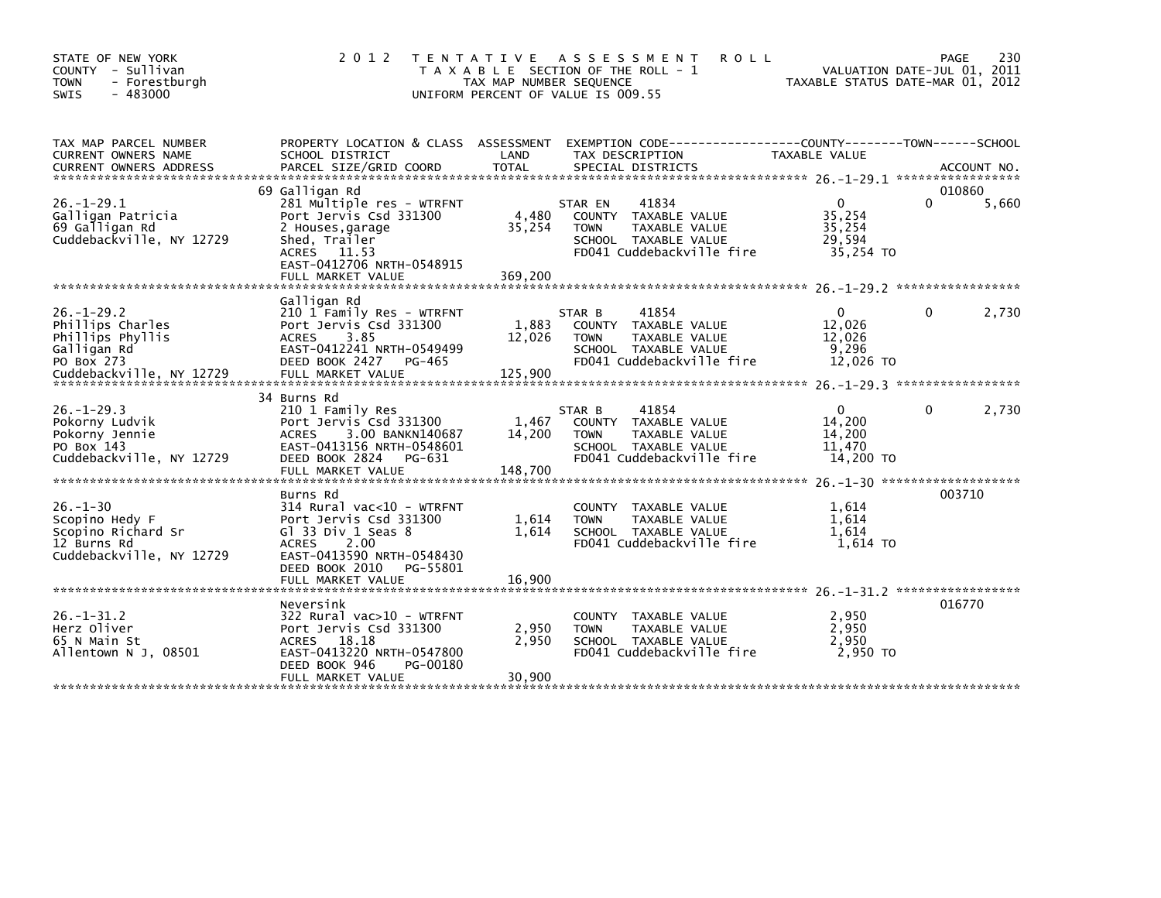| STATE OF NEW YORK<br>- Sullivan<br>COUNTY<br>- Forestburgh<br><b>TOWN</b><br>$-483000$<br>SWIS                    | 2 0 1 2                                                                                                                                                                                         | T E N T A T I V E<br>TAX MAP NUMBER SEQUENCE | A S S E S S M E N T<br><b>ROLL</b><br>T A X A B L E SECTION OF THE ROLL - 1<br>UNIFORM PERCENT OF VALUE IS 009.55                | TAXABLE STATUS DATE-MAR 01, 2012                            | PAGE<br>VALUATION DATE-JUL 01, 2011 | 230   |
|-------------------------------------------------------------------------------------------------------------------|-------------------------------------------------------------------------------------------------------------------------------------------------------------------------------------------------|----------------------------------------------|----------------------------------------------------------------------------------------------------------------------------------|-------------------------------------------------------------|-------------------------------------|-------|
| TAX MAP PARCEL NUMBER<br>CURRENT OWNERS NAME<br><b>CURRENT OWNERS ADDRESS</b>                                     | PROPERTY LOCATION & CLASS ASSESSMENT<br>SCHOOL DISTRICT<br>PARCEL SIZE/GRID COORD                                                                                                               | LAND<br><b>TOTAL</b>                         | EXEMPTION CODE----<br>TAX DESCRIPTION<br>SPECIAL DISTRICTS                                                                       | ------------COUNTY--------TOWN------SCHOOL<br>TAXABLE VALUE | ACCOUNT NO.                         |       |
| $26. -1 - 29.1$<br>Galligan Patricia<br>69 Galligan Rd<br>Cuddebackville, NY 12729                                | 69 Galligan Rd<br>281 Multiple res - WTRFNT<br>Port Jervis Csd 331300<br>2 Houses, garage<br>Shed, Trailer<br>ACRES 11.53<br>EAST-0412706 NRTH-0548915<br>FULL MARKET VALUE                     | 4,480<br>35,254<br>369,200                   | 41834<br>STAR EN<br>COUNTY<br>TAXABLE VALUE<br>TAXABLE VALUE<br><b>TOWN</b><br>SCHOOL TAXABLE VALUE<br>FD041 Cuddebackville fire | $\Omega$<br>35,254<br>35,254<br>29,594<br>35,254 TO         | 010860<br>U                         | 5,660 |
| $26. - 1 - 29.2$<br>Phillips Charles<br>Phillips Phyllis<br>Galligan Rd<br>PO Box 273<br>Cuddebackville, NY 12729 | Galligan Rd<br>210 1 Family Res - WTRFNT<br>Port Jervis Csd 331300<br>3.85<br><b>ACRES</b><br>EAST-0412241 NRTH-0549499<br>DEED BOOK 2427<br>PG-465<br>FULL MARKET VALUE                        | 1,883<br>12,026<br>125,900                   | 41854<br>STAR B<br>TAXABLE VALUE<br>COUNTY<br>TAXABLE VALUE<br><b>TOWN</b><br>SCHOOL TAXABLE VALUE<br>FD041 Cuddebackville fire  | $\Omega$<br>12.026<br>12,026<br>9,296<br>12,026 TO          | 0                                   | 2,730 |
| $26. - 1 - 29.3$<br>Pokorny Ludvik<br>Pokorny Jennie<br>PO Box 143<br>Cuddebackville, NY 12729                    | 34 Burns Rd<br>210 1 Family Res<br>Port Jervis Csd 331300<br><b>ACRES</b><br>3.00 BANKN140687<br>EAST-0413156 NRTH-0548601<br>DEED BOOK 2824<br>PG-631<br>FULL MARKET VALUE                     | 1,467<br>14,200<br>148,700                   | 41854<br>STAR B<br>COUNTY TAXABLE VALUE<br><b>TOWN</b><br>TAXABLE VALUE<br>SCHOOL TAXABLE VALUE<br>FD041 Cuddebackville fire     | $\Omega$<br>14,200<br>14,200<br>11,470<br>14,200 TO         | 0<br>*******************            | 2,730 |
| $26. - 1 - 30$<br>Scopino Hedy F<br>Scopino Richard Sr<br>12 Burns Rd<br>Cuddebackville, NY 12729                 | Burns Rd<br>$314$ Rural vac<10 - WTRFNT<br>Port Jervis Csd 331300<br>Gl 33 Div 1 Seas 8<br><b>ACRES</b><br>2.00<br>EAST-0413590 NRTH-0548430<br>DEED BOOK 2010<br>PG-55801<br>FULL MARKET VALUE | 1,614<br>1,614<br>16,900                     | TAXABLE VALUE<br><b>COUNTY</b><br>TAXABLE VALUE<br><b>TOWN</b><br>SCHOOL TAXABLE VALUE<br>FD041 Cuddebackville fire              | 1,614<br>1,614<br>1,614<br>1,614 TO                         | 003710                              |       |
| $26 - 1 - 31.2$<br>Herz Oliver<br>65 N Main St<br>Allentown N J. 08501                                            | Neversink<br>322 Rural vac>10 - WTRFNT<br>Port Jervis Csd 331300<br>ACRES 18.18<br>EAST-0413220 NRTH-0547800<br>DEED BOOK 946<br>PG-00180<br>FULL MARKET VALUE                                  | 2,950<br>2,950<br>30,900                     | <b>COUNTY</b><br>TAXABLE VALUE<br>TAXABLE VALUE<br>TOWN<br>SCHOOL TAXABLE VALUE<br>FD041 Cuddebackville fire                     | 2,950<br>2,950<br>2,950<br>2.950 TO                         | 016770                              |       |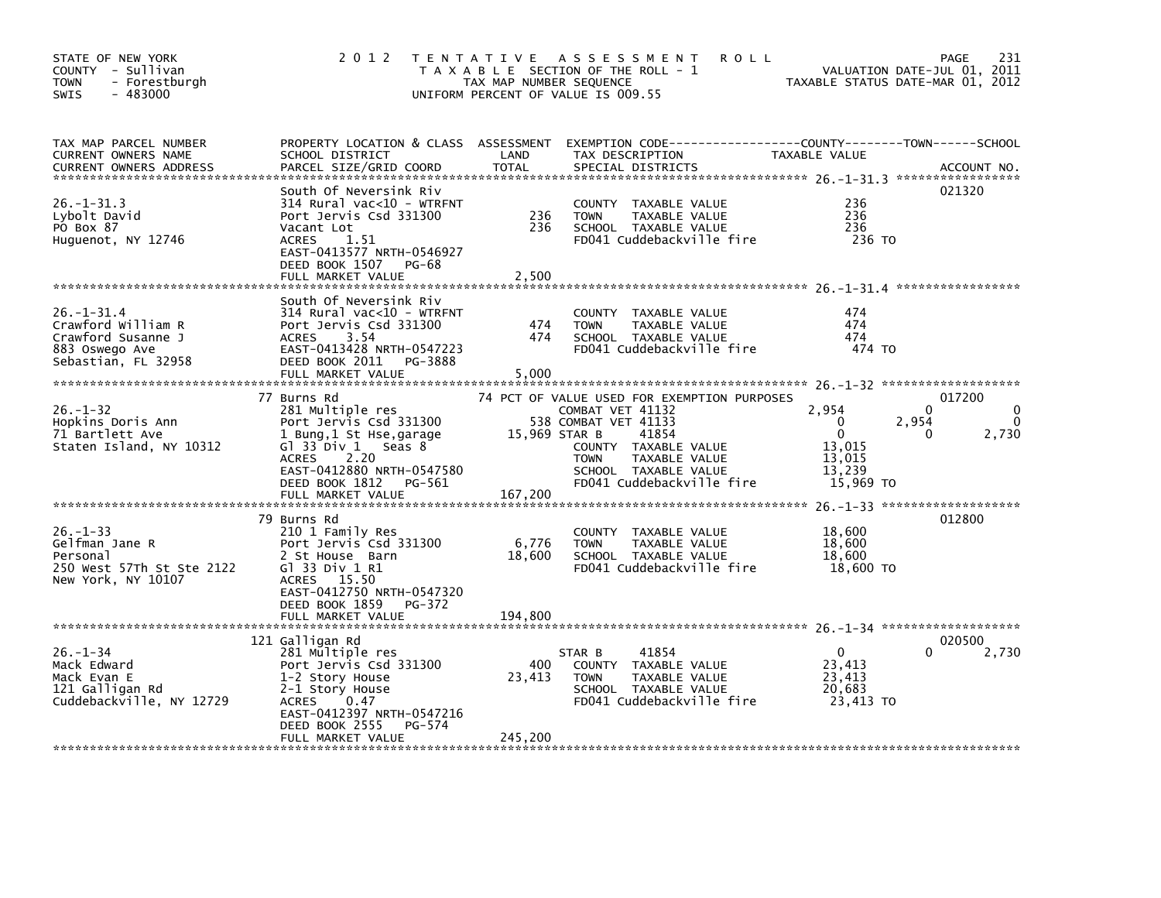| STATE OF NEW YORK<br>COUNTY - Sullivan<br>- Forestburgh<br><b>TOWN</b><br>$-483000$<br><b>SWIS</b>    | 2 0 1 2                                                                                                                                                                                         | T E N T A T I V E<br>TAX MAP NUMBER SEQUENCE | A S S E S S M E N T<br><b>ROLL</b><br>T A X A B L E SECTION OF THE ROLL - 1<br>UNIFORM PERCENT OF VALUE IS 009.55                                                                                             |                                                                                 | 231<br>PAGE<br>VALUATION DATE-JUL 01, 2011<br>TAXABLE STATUS DATE-MAR 01, 2012 |
|-------------------------------------------------------------------------------------------------------|-------------------------------------------------------------------------------------------------------------------------------------------------------------------------------------------------|----------------------------------------------|---------------------------------------------------------------------------------------------------------------------------------------------------------------------------------------------------------------|---------------------------------------------------------------------------------|--------------------------------------------------------------------------------|
| TAX MAP PARCEL NUMBER<br>CURRENT OWNERS NAME<br><b>CURRENT OWNERS ADDRESS</b>                         | PROPERTY LOCATION & CLASS ASSESSMENT<br>SCHOOL DISTRICT<br>PARCEL SIZE/GRID COORD                                                                                                               | LAND<br><b>TOTAL</b>                         | EXEMPTION CODE-----------------COUNTY-------TOWN------SCHOOL<br>TAX DESCRIPTION<br>SPECIAL DISTRICTS                                                                                                          | TAXABLE VALUE                                                                   | ACCOUNT NO.                                                                    |
| $26. -1 - 31.3$<br>Lybolt David<br>PO Box 87<br>Huguenot, NY 12746                                    | South Of Neversink Riv<br>$314$ Rural vac<10 - WTRFNT<br>Port Jervis Csd 331300<br>Vacant Lot<br>1.51<br><b>ACRES</b><br>EAST-0413577 NRTH-0546927<br>DEED BOOK 1507 PG-68                      | 236<br>236                                   | COUNTY TAXABLE VALUE<br><b>TOWN</b><br>TAXABLE VALUE<br>SCHOOL TAXABLE VALUE<br>FD041 Cuddebackville fire                                                                                                     | 236<br>236<br>236<br>236 TO                                                     | 021320                                                                         |
|                                                                                                       | FULL MARKET VALUE                                                                                                                                                                               | 2,500                                        |                                                                                                                                                                                                               |                                                                                 |                                                                                |
| $26. - 1 - 31.4$<br>Crawford William R<br>Crawford Susanne J<br>883 Oswego Ave<br>Sebastian, FL 32958 | South Of Neversink Riv<br>314 Rural vac<10 - WTRFNT<br>Port Jervis Csd 331300<br>3.54<br><b>ACRES</b><br>EAST-0413428 NRTH-0547223<br>DEED BOOK 2011<br>PG-3888<br>FULL MARKET VALUE            | 474<br>474<br>5,000                          | COUNTY TAXABLE VALUE<br><b>TOWN</b><br>TAXABLE VALUE<br>SCHOOL TAXABLE VALUE<br>FD041 Cuddebackville fire                                                                                                     | 474<br>474<br>474<br>474 TO                                                     |                                                                                |
| $26. - 1 - 32$<br>Hopkins Doris Ann<br>71 Bartlett Ave<br>Staten Island, NY 10312                     | 77 Burns Rd<br>281 Multiple res<br>Port Jervis Csd 331300<br>1 Bung, 1 St Hse, garage<br>G1 33 Div 1<br>Seas 8<br>2.20<br><b>ACRES</b><br>EAST-0412880 NRTH-0547580<br>DEED BOOK 1812<br>PG-561 | 15,969 STAR B                                | 74 PCT OF VALUE USED FOR EXEMPTION PURPOSES<br>COMBAT VET 41132<br>538 COMBAT VET 41133<br>41854<br>COUNTY TAXABLE VALUE<br><b>TOWN</b><br>TAXABLE VALUE<br>SCHOOL TAXABLE VALUE<br>FD041 Cuddebackville fire | 2,954<br>$\mathbf 0$<br>$\mathbf{0}$<br>13,015<br>13,015<br>13,239<br>15,969 TO | 017200<br>0<br>2,954<br>0<br>2,730<br>0                                        |
|                                                                                                       | 79 Burns Rd                                                                                                                                                                                     |                                              |                                                                                                                                                                                                               |                                                                                 | 012800                                                                         |
| $26. -1 - 33$<br>Gelfman Jane R<br>Personal<br>250 West 57Th St Ste 2122<br>New York, NY 10107        | 210 1 Family Res<br>Port Jervis Csd 331300<br>2 St House Barn<br>G1 33 Div 1 R1<br>ACRES 15.50<br>EAST-0412750 NRTH-0547320                                                                     | 6,776<br>18,600                              | COUNTY TAXABLE VALUE<br><b>TOWN</b><br>TAXABLE VALUE<br>SCHOOL TAXABLE VALUE<br>FD041 Cuddebackville fire                                                                                                     | 18,600<br>18,600<br>18,600<br>18,600 TO                                         |                                                                                |
|                                                                                                       | DEED BOOK 1859<br>PG-372<br>FULL MARKET VALUE                                                                                                                                                   | 194,800                                      |                                                                                                                                                                                                               |                                                                                 |                                                                                |
| $26. - 1 - 34$                                                                                        | 121 Galligan Rd<br>281 Multiple res                                                                                                                                                             |                                              | 41854<br>STAR B                                                                                                                                                                                               | $\mathbf{0}$                                                                    | 020500<br>2,730<br>0                                                           |
| Mack Edward<br>Mack Evan E<br>121 Galligan Rd<br>Cuddebackville, NY 12729                             | Port Jervis Csd 331300<br>1-2 Story House<br>2-1 Story House<br><b>ACRES</b><br>0.47<br>EAST-0412397 NRTH-0547216<br>DEED BOOK 2555<br>PG-574                                                   | 400<br>23,413                                | COUNTY TAXABLE VALUE<br><b>TOWN</b><br>TAXABLE VALUE<br>SCHOOL TAXABLE VALUE<br>FD041 Cuddebackville fire                                                                                                     | 23,413<br>23,413<br>20,683<br>23,413 TO                                         |                                                                                |
|                                                                                                       | FULL MARKET VALUE                                                                                                                                                                               | 245,200                                      |                                                                                                                                                                                                               |                                                                                 |                                                                                |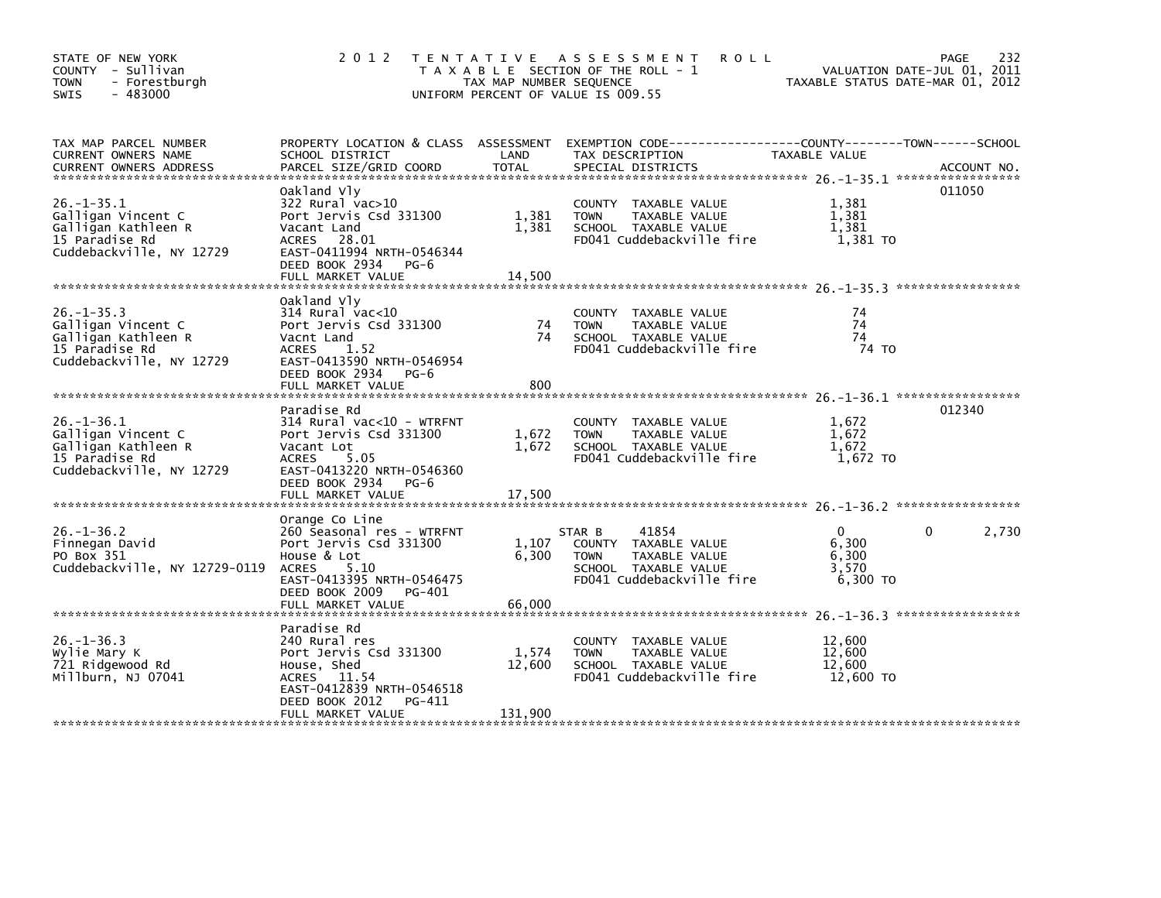| STATE OF NEW YORK<br>COUNTY - Sullivan<br>- Forestburgh<br><b>TOWN</b><br>$-483000$<br>SWIS                 | 2 0 1 2                                                                                                                                                          | TAX MAP NUMBER SEQUENCE    | TENTATIVE ASSESSMENT<br><b>ROLL</b><br>T A X A B L E SECTION OF THE ROLL - 1<br>UNIFORM PERCENT OF VALUE IS 009.55                                                       | VALUATION DATE-JUL 01, 2011<br>TAXABLE STATUS DATE-MAR 01, 2012 | 232<br><b>PAGE</b> |
|-------------------------------------------------------------------------------------------------------------|------------------------------------------------------------------------------------------------------------------------------------------------------------------|----------------------------|--------------------------------------------------------------------------------------------------------------------------------------------------------------------------|-----------------------------------------------------------------|--------------------|
| TAX MAP PARCEL NUMBER<br>CURRENT OWNERS NAME                                                                | SCHOOL DISTRICT                                                                                                                                                  | LAND                       | PROPERTY LOCATION & CLASS ASSESSMENT EXEMPTION CODE---------------COUNTY-------TOWN------SCHOOL<br>SCHOOL DISTRICT (AND TAX DESCRIPTION TAXARLE VALUE<br>TAX DESCRIPTION | TAXABLE VALUE                                                   |                    |
| $26. - 1 - 35.1$<br>Galligan Vincent C<br>Galligan Kathleen R<br>15 Paradise Rd<br>Cuddebackville, NY 12729 | Oakland Vly<br>322 Rural vac>10<br>Port Jervis Csd 331300<br>Vacant Land<br>ACRES 28.01<br>EAST-0411994 NRTH-0546344<br>DEED BOOK 2934 PG-6<br>FULL MARKET VALUE | 1,381<br>1,381<br>14,500   | COUNTY TAXABLE VALUE<br>TAXABLE VALUE<br><b>TOWN</b><br>SCHOOL TAXABLE VALUE<br>FD041 Cuddebackville fire                                                                | 1,381<br>1,381<br>1.381<br>1,381 TO                             | 011050             |
| $26. - 1 - 35.3$<br>Galligan Vincent C<br>Galligan Kathleen R<br>15 Paradise Rd<br>Cuddebackville, NY 12729 | Oakland Vly<br>314 Rural vac<10<br>Port Jervis Csd 331300<br>Vacnt Land<br>ACRES 1.52<br>EAST-0413590 NRTH-0546954<br>DEED BOOK 2934 PG-6<br>FULL MARKET VALUE   | 74<br>74<br>800            | COUNTY TAXABLE VALUE<br>TAXABLE VALUE<br><b>TOWN</b><br>SCHOOL TAXABLE VALUE<br>FD041 Cuddebackville fire                                                                | 74<br>74<br>74<br>74 TO                                         |                    |
| $26. - 1 - 36.1$<br>Galligan Vincent C<br>Galligan Kathleen R<br>15 Paradise Rd<br>Cuddebackville, NY 12729 | Paradise Rd<br>314 Rural vac<10 - WTRFNT<br>Port Jervis Csd 331300<br>Vacant Lot<br>ACRES 5.05<br>EAST-0413220 NRTH-0546360<br>DEED BOOK 2934 PG-6               | 1,672<br>1,672             | COUNTY TAXABLE VALUE<br><b>TOWN</b><br>TAXABLE VALUE<br>SCHOOL TAXABLE VALUE<br>FD041 Cuddebackville fire                                                                | 1,672<br>1.672<br>1,672<br>1,672 TO                             | 012340             |
| $26. - 1 - 36.2$<br>Finnegan David<br>PO Box 351<br>Cuddebackville, NY 12729-0119                           | Orange Co Line<br>260 Seasonal res - WTRFNT<br>Port Jervis Csd 331300<br>House & Lot<br>ACRES 5.10<br>EAST-0413395 NRTH-0546475<br>DEED BOOK 2009 PG-401         | 1,107<br>6,300             | 41854<br>STAR B<br>COUNTY TAXABLE VALUE<br>TAXABLE VALUE<br><b>TOWN</b><br>SCHOOL TAXABLE VALUE<br>FD041 Cuddebackville fire                                             | $\Omega$<br>6,300<br>6,300<br>3,570<br>6,300 TO                 | $\Omega$<br>2,730  |
| $26. - 1 - 36.3$<br>Wylie Mary K<br>721 Ridgewood Rd<br>Millburn, NJ 07041                                  | Paradise Rd<br>240 Rural res<br>Port Jervis Csd 331300<br>House, Shed<br>ACRES 11.54<br>EAST-0412839 NRTH-0546518<br>DEED BOOK 2012 PG-411<br>FULL MARKET VALUE  | 1,574<br>12,600<br>131,900 | COUNTY TAXABLE VALUE<br><b>TOWN</b><br>TAXABLE VALUE<br>SCHOOL TAXABLE VALUE<br>FD041 Cuddebackville fire                                                                | 12,600<br>12,600<br>12,600<br>12,600 TO                         |                    |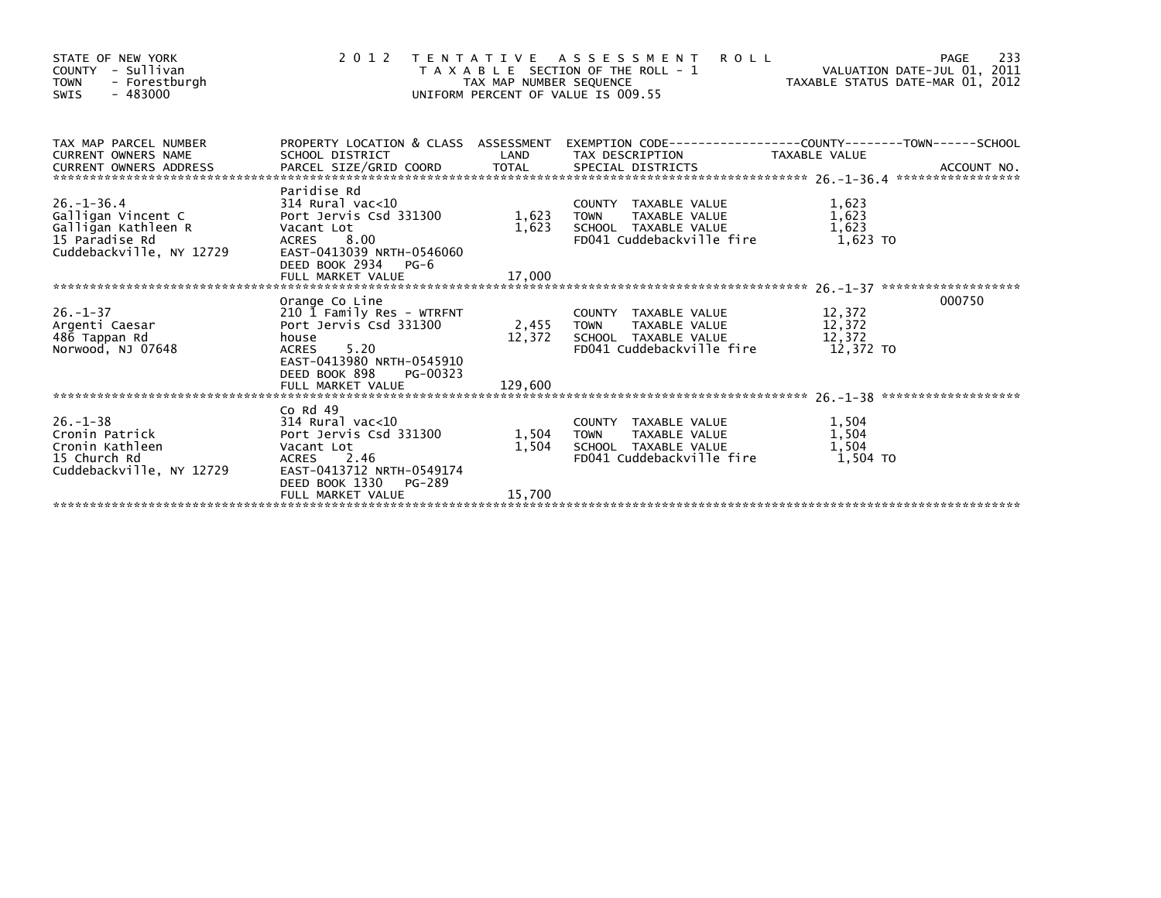| STATE OF NEW YORK<br>COUNTY - Sullivan<br>- Forestburgh<br><b>TOWN</b><br>$-483000$<br><b>SWIS</b>          |                                                                                                                                                                  |                     | <b>ROLL</b><br>2012 TENTATIVE ASSESSMENT<br>PAGE 233<br>VALUATION DATE-JUL 01, 2011 TAX MAP NUMBER SEQUENCE<br>UNIFORM PERCENT OF VALUE IS 009.55                         |                                     | 233<br>PAGE |
|-------------------------------------------------------------------------------------------------------------|------------------------------------------------------------------------------------------------------------------------------------------------------------------|---------------------|---------------------------------------------------------------------------------------------------------------------------------------------------------------------------|-------------------------------------|-------------|
| TAX MAP PARCEL NUMBER                                                                                       |                                                                                                                                                                  |                     | PROPERTY LOCATION & CLASS ASSESSMENT EXEMPTION CODE----------------COUNTY--------TOWN------SCHOOL                                                                         |                                     |             |
| $26. - 1 - 36.4$<br>Galligan Vincent C<br>Galligan Kathleen R<br>15 Paradise Rd<br>Cuddebackville, NY 12729 | Paridise Rd<br>$314$ Rural vac< $10$<br>Port Jervis Csd 331300<br>Vacant Lot<br>ACRES 8.00<br>EAST-0413039 NRTH-0546060<br>DEED BOOK 2934 PG-6                   | 1,623 TOWN          | COUNTY TAXABLE VALUE<br>TAXABLE VALUE<br>1,623 SCHOOL TAXABLE VALUE<br>FD041 Cuddebackville fire                                                                          | 1,623<br>1,623<br>1,623<br>1.623 TO |             |
|                                                                                                             |                                                                                                                                                                  |                     |                                                                                                                                                                           |                                     |             |
| $26. - 1 - 37$<br>Argenti Caesar<br>486 Tappan Rd<br>Norwood, NJ 07648                                      | Orange Co Line<br>210 1 Family Res - WTRFNT<br>Port Jervis Csd 331300<br>house<br>5.20<br><b>ACRES</b><br>EAST-0413980 NRTH-0545910<br>DEED BOOK 898<br>PG-00323 |                     | TAXABLE VALUE 12,372<br>TAXABLE VALUE 12,372<br>TAXABLE VALUE<br>COUNTY TAXABLE VALUE<br>2,455 TOWN<br>12,372 SCHOOL TAXABLE VALUE<br>FD041 Cuddebackville fire 12,372 TO |                                     | 000750      |
|                                                                                                             | Co Rd 49                                                                                                                                                         |                     |                                                                                                                                                                           |                                     |             |
| $26. - 1 - 38$<br>Cronin Patrick<br>Cronin Kathleen<br>15 Church Rd<br>Cuddebackville, NY 12729             | $314$ Rural vac< $10$<br>Port Jervis Csd 331300<br>Vacant Lot<br>ACRES 2.46<br>EAST-0413712 NRTH-0549174<br>DEED BOOK 1330<br>PG-289                             | 1,504 TOWN<br>1,504 | COUNTY TAXABLE VALUE<br>TOWN - TAXABLE VALUE<br>SCHOOL - TAXABLE VALUE<br>FD041 Cuddebackville fire                                                                       | 1,504<br>1,504<br>1,504<br>1.504 TO |             |
|                                                                                                             | FULL MARKET VALUE                                                                                                                                                | 15,700              |                                                                                                                                                                           |                                     |             |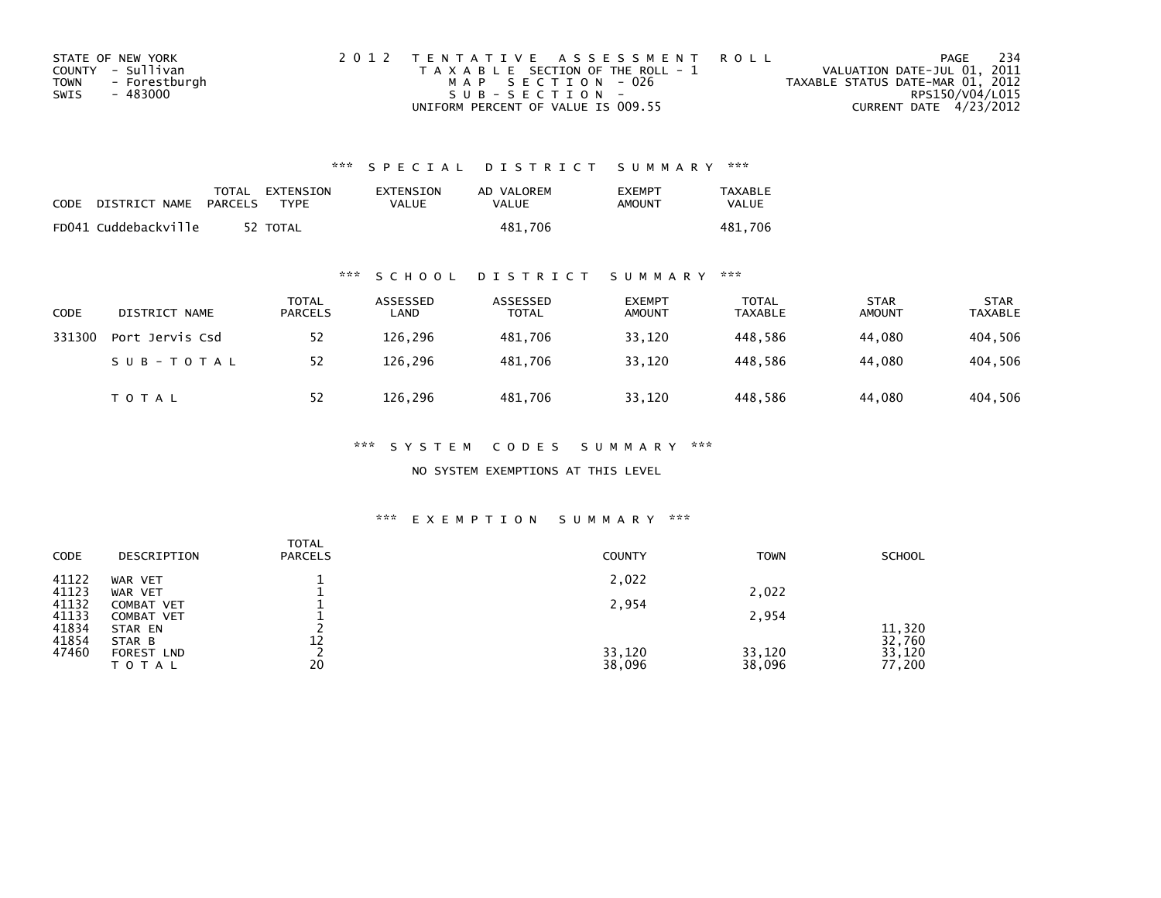| STATE OF NEW YORK            | 2012 TENTATIVE ASSESSMENT ROLL        | - 234<br>PAGE                    |
|------------------------------|---------------------------------------|----------------------------------|
| COUNTY - Sullivan            | T A X A B L E SECTION OF THE ROLL - 1 | VALUATION DATE-JUL 01, 2011      |
| - Forestburgh<br><b>TOWN</b> | MAP SECTION - 026                     | TAXABLE STATUS DATE-MAR 01, 2012 |
| SWIS<br>- 483000             | $SUB - SECTION -$                     | RPS150/V04/L015                  |
|                              | UNIFORM PERCENT OF VALUE IS 009.55    | CURRENT DATE 4/23/2012           |

| CODE | DISTRICT NAME PARCELS | TOTAL EXTENSION<br>TYPF | EXTENSION<br>VALUE | AD VALOREM<br>VALUE | <b>EXEMPT</b><br>AMOUNT | <b>TAXABLE</b><br>VALUE |
|------|-----------------------|-------------------------|--------------------|---------------------|-------------------------|-------------------------|
|      | FD041 Cuddebackville  | 52 TOTAL                |                    | 481.706             |                         | 481.706                 |

## \*\*\* S C H O O L D I S T R I C T S U M M A R Y \*\*\*

| <b>CODE</b> | DISTRICT NAME   | <b>TOTAL</b><br><b>PARCELS</b> | ASSESSED<br>LAND | ASSESSED<br><b>TOTAL</b> | <b>EXEMPT</b><br><b>AMOUNT</b> | TOTAL<br><b>TAXABLE</b> | <b>STAR</b><br><b>AMOUNT</b> | <b>STAR</b><br><b>TAXABLE</b> |
|-------------|-----------------|--------------------------------|------------------|--------------------------|--------------------------------|-------------------------|------------------------------|-------------------------------|
| 331300      | Port Jervis Csd | 52                             | 126,296          | 481.706                  | 33,120                         | 448,586                 | 44,080                       | 404,506                       |
|             | SUB-TOTAL       | 52                             | 126.296          | 481.706                  | 33,120                         | 448.586                 | 44.080                       | 404,506                       |
|             | TOTAL           | 52                             | 126,296          | 481,706                  | 33,120                         | 448,586                 | 44,080                       | 404,506                       |

### \*\*\* S Y S T E M C O D E S S U M M A R Y \*\*\*

NO SYSTEM EXEMPTIONS AT THIS LEVEL

| <b>CODE</b>    | DESCRIPTION                 | <b>TOTAL</b><br><b>PARCELS</b> | <b>COUNTY</b> | <b>TOWN</b> | <b>SCHOOL</b>    |
|----------------|-----------------------------|--------------------------------|---------------|-------------|------------------|
| 41122          | WAR VET                     |                                | 2,022         |             |                  |
| 41123<br>41132 | WAR VET<br>COMBAT VET       |                                | 2,954         | 2,022       |                  |
| 41133          | COMBAT VET                  |                                |               | 2,954       |                  |
| 41834          | STAR EN                     |                                |               |             | 11,320           |
| 41854<br>47460 | STAR B<br><b>FOREST LND</b> | 12                             | 33,120        | 33,120      | 32,760<br>33,120 |
|                | TOTAL                       | 20                             | 38,096        | 38,096      | 77,200           |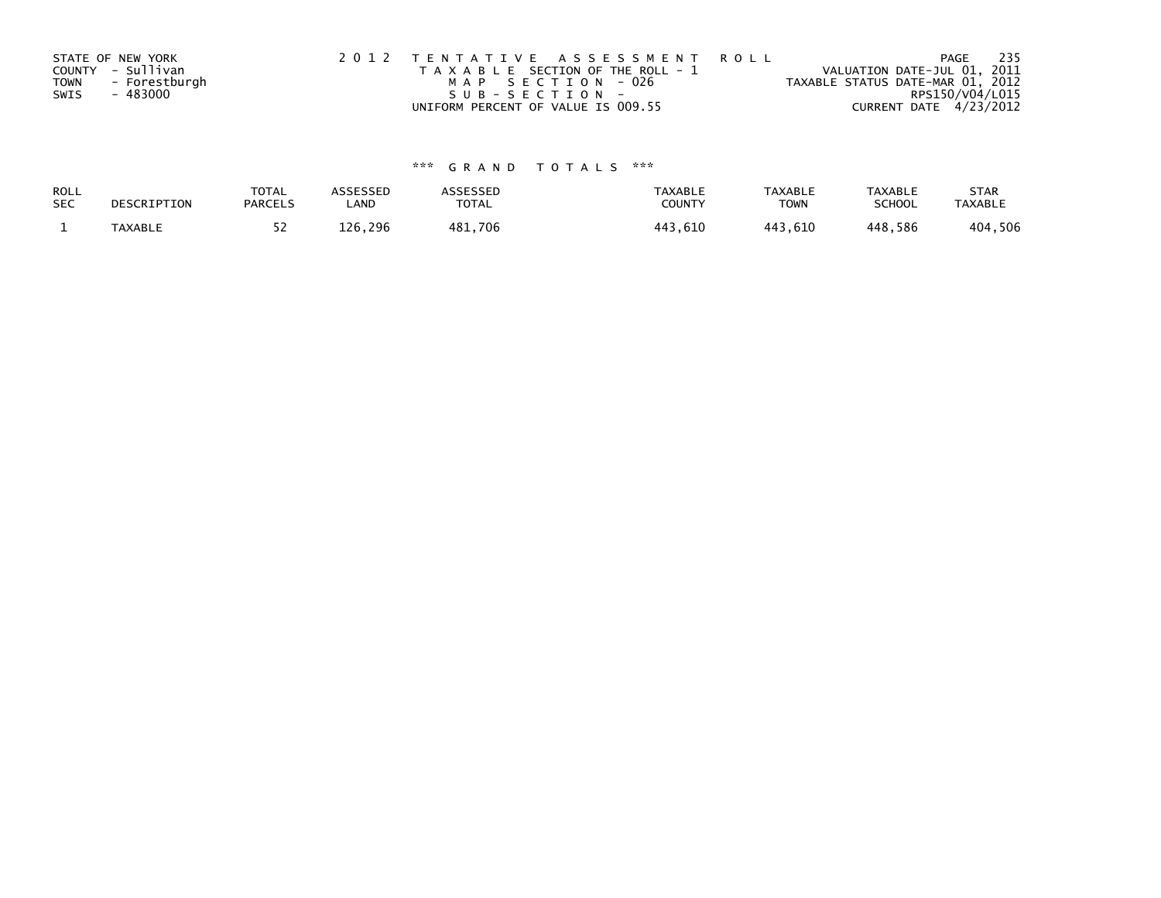|             | STATE OF NEW YORK | 2012 TENTATIVE ASSESSMENT ROLL        | - 235<br>PAGE                    |
|-------------|-------------------|---------------------------------------|----------------------------------|
|             | COUNTY - Sullivan | T A X A B L E SECTION OF THE ROLL - 1 | VALUATION DATE-JUL 01, 2011      |
| <b>TOWN</b> | - Forestburgh     | MAP SECTION - 026                     | TAXABLE STATUS DATE-MAR 01, 2012 |
| SWIS        | - 483000          | SUB-SECTION-                          | RPS150/V04/L015                  |
|             |                   | UNIFORM PERCENT OF VALUE IS 009.55    | CURRENT DATE 4/23/2012           |

| ROLL<br><b>SEC</b> | DESCRIPTION    | <b>TOTAL</b><br><b>PARCELS</b> | ASSESSEP<br>LAND | <b>\SSESSED</b><br>TOTAL | <b>TAXABLE</b><br><b>COUNT</b> | <b>TAXABLE</b><br><b>TOWN</b> | <b>TAXABLE</b><br>SCHOOL | <b>STAR</b><br><b>TAXABLE</b> |
|--------------------|----------------|--------------------------------|------------------|--------------------------|--------------------------------|-------------------------------|--------------------------|-------------------------------|
|                    | <b>TAXABLE</b> |                                | 296<br>126       | 481,706                  | .610<br>443                    | 1 1 2<br><b>610</b>           | 448,586                  | ,506<br>404                   |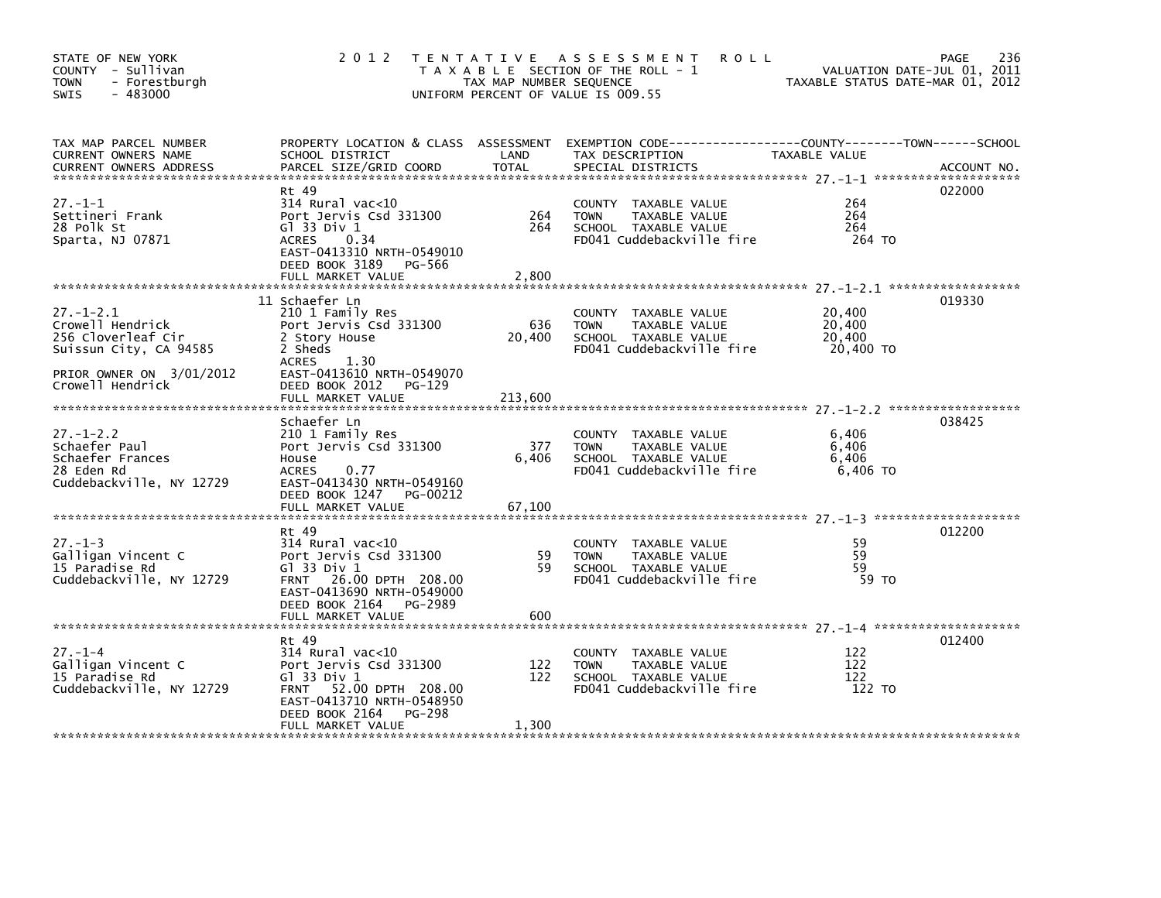| STATE OF NEW YORK<br>COUNTY - Sullivan<br><b>TOWN</b><br>- Forestburgh<br>$-483000$<br>SWIS                                        | 2 0 1 2                                                                                                                                                                                        | TAX MAP NUMBER SEQUENCE  | TENTATIVE ASSESSMENT<br><b>ROLL</b><br>T A X A B L E SECTION OF THE ROLL - 1<br>UNIFORM PERCENT OF VALUE IS 009.55                       | VALUATION DATE-JUL 01, 2011<br>TAXABLE STATUS DATE-MAR 01, 2012 | 236<br>PAGE |
|------------------------------------------------------------------------------------------------------------------------------------|------------------------------------------------------------------------------------------------------------------------------------------------------------------------------------------------|--------------------------|------------------------------------------------------------------------------------------------------------------------------------------|-----------------------------------------------------------------|-------------|
| TAX MAP PARCEL NUMBER<br>CURRENT OWNERS NAME<br><b>CURRENT OWNERS ADDRESS</b>                                                      | SCHOOL DISTRICT<br>PARCEL SIZE/GRID COORD                                                                                                                                                      | LAND<br><b>TOTAL</b>     | PROPERTY LOCATION & CLASS ASSESSMENT EXEMPTION CODE----------------COUNTY-------TOWN------SCHOOL<br>TAX DESCRIPTION<br>SPECIAL DISTRICTS | TAXABLE VALUE                                                   | ACCOUNT NO. |
| $27. - 1 - 1$<br>Settineri Frank<br>28 Polk St<br>Sparta, NJ 07871                                                                 | Rt 49<br>314 Rural vac<10<br>Port Jervis Csd 331300<br>G $\overline{1}$ 33 Div 1<br><b>ACRES</b><br>0.34<br>EAST-0413310 NRTH-0549010<br>DEED BOOK 3189 PG-566<br>FULL MARKET VALUE            | 264<br>264<br>2,800      | COUNTY TAXABLE VALUE<br>TAXABLE VALUE<br><b>TOWN</b><br>SCHOOL TAXABLE VALUE<br>FD041 Cuddebackville fire                                | 264<br>264<br>264<br>264 TO                                     | 022000      |
| $27 - 1 - 2.1$<br>Crowell Hendrick<br>256 Cloverleaf Cir<br>Suissun City, CA 94585<br>PRIOR OWNER ON 3/01/2012<br>Crowell Hendrick | 11 Schaefer Ln<br>210 1 Family Res<br>Port Jervis Csd 331300<br>2 Story House<br>2 Sheds<br>1.30<br><b>ACRES</b><br>EAST-0413610 NRTH-0549070<br>DEED BOOK 2012<br>PG-129<br>FULL MARKET VALUE | 636<br>20,400<br>213,600 | COUNTY TAXABLE VALUE<br><b>TOWN</b><br>TAXABLE VALUE<br>SCHOOL TAXABLE VALUE<br>FD041 Cuddebackville fire                                | 20,400<br>20,400<br>20,400<br>20,400 TO                         | 019330      |
| $27. - 1 - 2.2$<br>Schaefer Paul<br>Schaefer Frances<br>28 Eden Rd<br>Cuddebackville, NY 12729                                     | Schaefer Ln<br>210 1 Family Res<br>Port Jervis Csd 331300<br>House<br><b>ACRES</b><br>0.77<br>EAST-0413430 NRTH-0549160<br>DEED BOOK 1247 PG-00212<br>FULL MARKET VALUE                        | 377<br>6,406<br>67,100   | COUNTY TAXABLE VALUE<br>TAXABLE VALUE<br><b>TOWN</b><br>SCHOOL TAXABLE VALUE<br>FD041 Cuddebackville fire                                | 6,406<br>6,406<br>6,406<br>6,406 TO                             | 038425      |
| $27. - 1 - 3$<br>Galligan Vincent C<br>15 Paradise Rd<br>Cuddebackville, NY 12729                                                  | Rt 49<br>$314$ Rural vac<10<br>Port Jervis Csd 331300<br>G1 33 Div 1<br>FRNT 26.00 DPTH 208.00<br>EAST-0413690 NRTH-0549000<br>DEED BOOK 2164 PG-2989<br>FULL MARKET VALUE                     | 59<br>59<br>600          | COUNTY TAXABLE VALUE<br>TAXABLE VALUE<br><b>TOWN</b><br>SCHOOL TAXABLE VALUE<br>FD041 Cuddebackville fire                                | 59<br>59<br>59<br>59 TO                                         | 012200      |
| $27. - 1 - 4$<br>Galligan Vincent C<br>15 Paradise Rd<br>Cuddebackville, NY 12729                                                  | Rt 49<br>$314$ Rural vac<10<br>Port Jervis Csd 331300<br>G1 33 Div 1<br>FRNT 52.00 DPTH 208.00<br>EAST-0413710 NRTH-0548950<br>DEED BOOK 2164<br>PG-298<br>FULL MARKET VALUE                   | 122<br>122<br>1,300      | COUNTY TAXABLE VALUE<br><b>TOWN</b><br>TAXABLE VALUE<br>SCHOOL TAXABLE VALUE<br>FD041 Cuddebackville fire                                | 122<br>122<br>122<br>122 TO                                     | 012400      |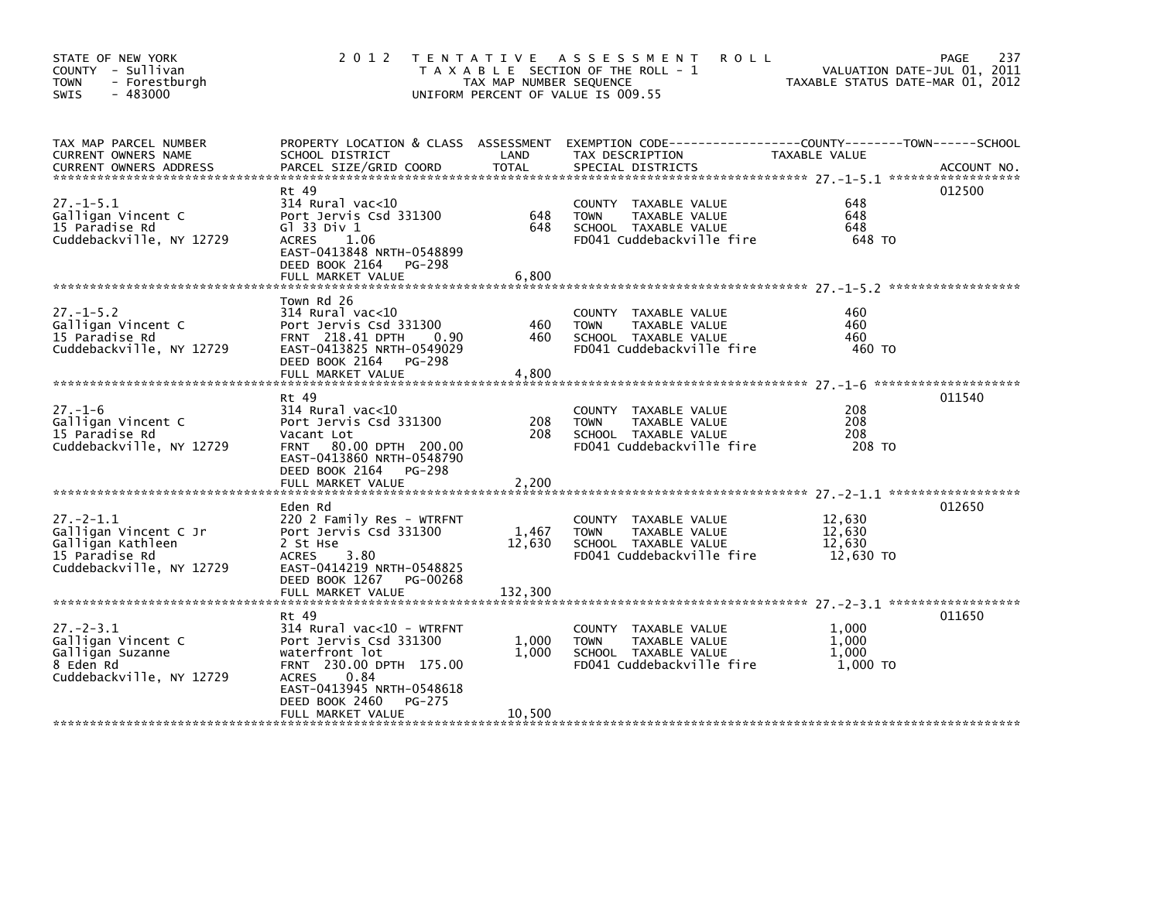| STATE OF NEW YORK<br>COUNTY - Sullivan<br><b>TOWN</b><br>- Forestburgh<br>$-483000$<br>SWIS                 | 2 0 1 2                                                                                                                                                                                    | TAX MAP NUMBER SEQUENCE    | TENTATIVE ASSESSMENT<br><b>ROLL</b><br>T A X A B L E SECTION OF THE ROLL - 1<br>UNIFORM PERCENT OF VALUE IS 009.55 | VALUATION DATE-JUL 01, 2011<br>TAXABLE STATUS DATE-MAR 01, 2012 | 237<br>PAGE |
|-------------------------------------------------------------------------------------------------------------|--------------------------------------------------------------------------------------------------------------------------------------------------------------------------------------------|----------------------------|--------------------------------------------------------------------------------------------------------------------|-----------------------------------------------------------------|-------------|
| TAX MAP PARCEL NUMBER<br>CURRENT OWNERS NAME<br><b>CURRENT OWNERS ADDRESS</b>                               | PROPERTY LOCATION & CLASS ASSESSMENT<br>SCHOOL DISTRICT<br>PARCEL SIZE/GRID COORD                                                                                                          | LAND<br>TOTAL              | EXEMPTION CODE-----------------COUNTY-------TOWN------SCHOOL<br>TAX DESCRIPTION<br>SPECIAL DISTRICTS               | TAXABLE VALUE                                                   | ACCOUNT NO. |
| $27. - 1 - 5.1$<br>Galligan Vincent C<br>15 Paradise Rd<br>Cuddebackville, NY 12729                         | Rt 49<br>$314$ Rural vac<10<br>Port Jervis Csd 331300<br>G $1$ 33 Div $1$<br>ACRES<br>1.06<br>EAST-0413848 NRTH-0548899<br>DEED BOOK 2164<br>PG-298<br>FULL MARKET VALUE                   | 648<br>648<br>6,800        | COUNTY TAXABLE VALUE<br><b>TOWN</b><br>TAXABLE VALUE<br>SCHOOL TAXABLE VALUE<br>FD041 Cuddebackville fire          | 648<br>648<br>648<br>648 TO                                     | 012500      |
| $27. - 1 - 5.2$<br>Galligan Vincent C<br>15 Paradise Rd<br>Cuddebackville, NY 12729                         | Town Rd 26<br>314 Rural vac<10<br>Port Jervis Csd 331300<br>FRNT 218.41 DPTH<br>0.90<br>EAST-0413825 NRTH-0549029<br>DEED BOOK 2164<br>PG-298<br>FULL MARKET VALUE                         | 460<br>460<br>4,800        | COUNTY TAXABLE VALUE<br><b>TOWN</b><br>TAXABLE VALUE<br>SCHOOL TAXABLE VALUE<br>FD041 Cuddebackville fire          | 460<br>460<br>460<br>460 TO                                     |             |
| $27. - 1 - 6$<br>Galligan Vincent C<br>15 Paradise Rd<br>Cuddebackville, NY 12729                           | Rt 49<br>314 Rural vac<10<br>Port Jervis Csd 331300<br>Vacant Lot<br>FRNT 80.00 DPTH 200.00<br>EAST-0413860 NRTH-0548790<br>DEED BOOK 2164<br>PG-298<br>FULL MARKET VALUE                  | 208<br>208<br>2,200        | COUNTY TAXABLE VALUE<br><b>TOWN</b><br>TAXABLE VALUE<br>SCHOOL TAXABLE VALUE<br>FD041 Cuddebackville fire          | 208<br>208<br>208<br>208 TO                                     | 011540      |
| $27. - 2 - 1.1$<br>Galligan Vincent C Jr<br>Galligan Kathleen<br>15 Paradise Rd<br>Cuddebackville, NY 12729 | Eden Rd<br>220 2 Family Res - WTRFNT<br>Port Jervis Csd 331300<br>2 St Hse<br>3.80<br>ACRES<br>EAST-0414219 NRTH-0548825<br>DEED BOOK 1267<br>PG-00268<br>FULL MARKET VALUE                | 1,467<br>12,630<br>132,300 | COUNTY TAXABLE VALUE<br><b>TOWN</b><br>TAXABLE VALUE<br>SCHOOL TAXABLE VALUE<br>FD041 Cuddebackville fire          | 12,630<br>12,630<br>12,630<br>12,630 TO                         | 012650      |
| $27 - 2 - 3.1$<br>Galligan Vincent C<br>Galligan Suzanne<br>8 Eden Rd<br>Cuddebackville, NY 12729           | Rt 49<br>314 Rural vac<10 - WTRFNT<br>Port Jervis Csd 331300<br>waterfront lot<br>FRNT 230.00 DPTH 175.00<br><b>ACRES</b><br>0.84<br>EAST-0413945 NRTH-0548618<br>DEED BOOK 2460<br>PG-275 | 1,000<br>1,000             | COUNTY TAXABLE VALUE<br>TAXABLE VALUE<br><b>TOWN</b><br>SCHOOL TAXABLE VALUE<br>FD041 Cuddebackville fire          | 1,000<br>1,000<br>1,000<br>1,000 TO                             | 011650      |
|                                                                                                             | FULL MARKET VALUE                                                                                                                                                                          | 10,500                     |                                                                                                                    |                                                                 |             |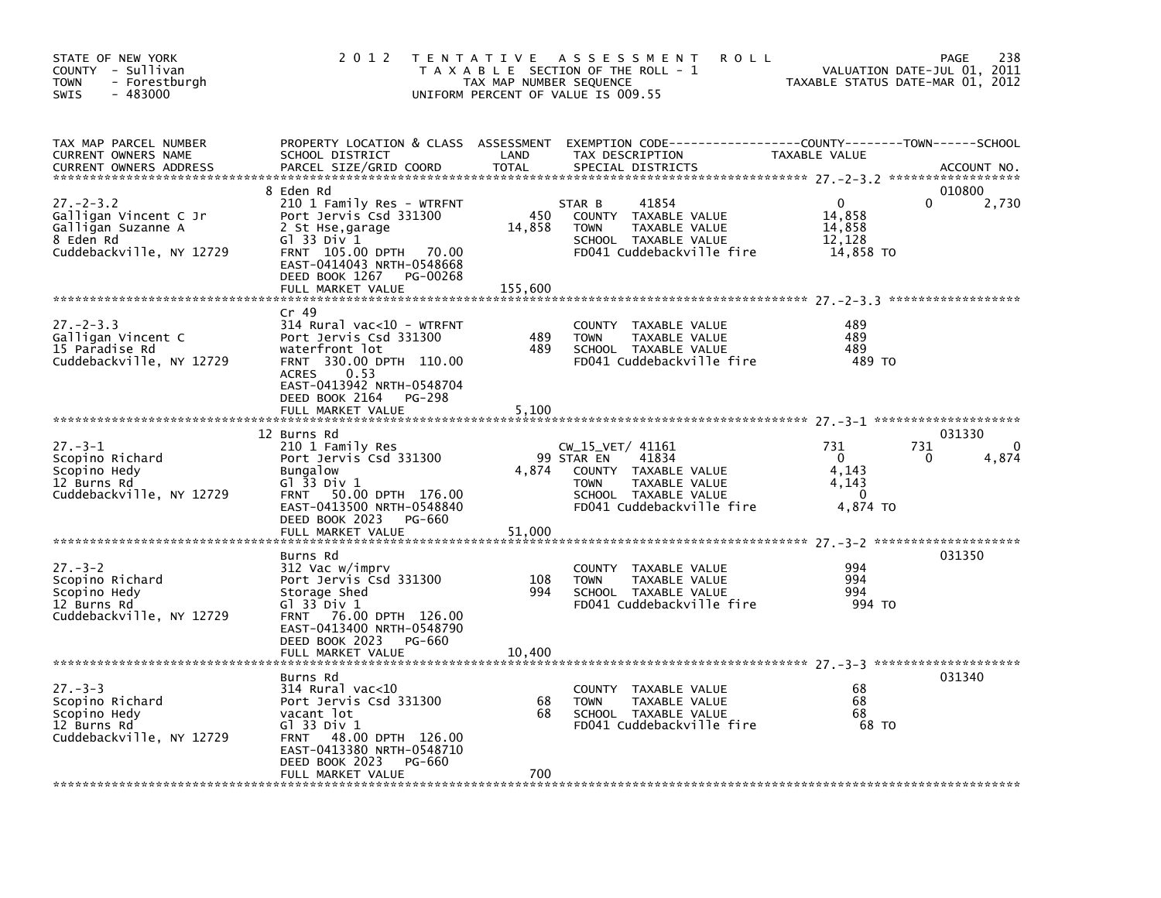| STATE OF NEW YORK<br>COUNTY - Sullivan<br>- Forestburgh<br>TOWN<br><b>SWIS</b><br>- 483000              | 2 0 1 2                                                                                                                                                                                  | TAX MAP NUMBER SEQUENCE | TENTATIVE ASSESSMENT<br><b>ROLL</b><br>T A X A B L E SECTION OF THE ROLL - 1<br>UNIFORM PERCENT OF VALUE IS 009.55                                   | TAXABLE STATUS DATE-MAR 01, 2012                          | 238<br>PAGE<br>VALUATION DATE-JUL 01, 2011 |
|---------------------------------------------------------------------------------------------------------|------------------------------------------------------------------------------------------------------------------------------------------------------------------------------------------|-------------------------|------------------------------------------------------------------------------------------------------------------------------------------------------|-----------------------------------------------------------|--------------------------------------------|
| TAX MAP PARCEL NUMBER<br>CURRENT OWNERS NAME<br><b>CURRENT OWNERS ADDRESS</b>                           | SCHOOL DISTRICT<br>PARCEL SIZE/GRID COORD                                                                                                                                                | LAND<br>TOTAL           | PROPERTY LOCATION & CLASS ASSESSMENT EXEMPTION CODE---------------COUNTY-------TOWN-----SCHOOL<br>TAX DESCRIPTION<br>SPECIAL DISTRICTS               | TAXABLE VALUE                                             | ACCOUNT NO.                                |
| $27. - 2 - 3.2$<br>Galligan Vincent C Jr<br>Galligan Suzanne A<br>8 Eden Rd<br>Cuddebackville, NY 12729 | 8 Eden Rd<br>210 1 Family Res - WTRFNT<br>Port Jervis Csd 331300<br>2 St Hse, garage<br>Gl 33 Div 1<br>FRNT 105.00 DPTH 70.00<br>EAST-0414043 NRTH-0548668<br>DEED BOOK 1267<br>PG-00268 | 450<br>14,858           | 41854<br>STAR B<br>COUNTY TAXABLE VALUE<br>TAXABLE VALUE<br><b>TOWN</b><br>SCHOOL TAXABLE VALUE<br>FD041 Cuddebackville fire                         | $\mathbf{0}$<br>14,858<br>14,858<br>12,128<br>14,858 TO   | 010800<br>0<br>2,730                       |
|                                                                                                         | FULL MARKET VALUE                                                                                                                                                                        | 155,600                 |                                                                                                                                                      |                                                           |                                            |
| $27. - 2 - 3.3$<br>Galligan Vincent C<br>15 Paradise Rd<br>Cuddebackville, NY 12729                     | $Cr$ 49<br>314 Rural vac<10 - WTRFNT<br>Port Jervis Csd 331300<br>waterfront lot<br>FRNT 330.00 DPTH 110.00<br>0.53<br>ACRES<br>EAST-0413942 NRTH-0548704                                | 489<br>489              | COUNTY TAXABLE VALUE<br>TAXABLE VALUE<br><b>TOWN</b><br>SCHOOL TAXABLE VALUE<br>FD041 Cuddebackville fire                                            | 489<br>489<br>489<br>489 TO                               |                                            |
|                                                                                                         | DEED BOOK 2164<br>PG-298<br>FULL MARKET VALUE                                                                                                                                            | 5,100                   |                                                                                                                                                      |                                                           |                                            |
| $27 - 3 - 1$<br>Scopino Richard<br>Scopino Hedy<br>12 Burns Rd<br>Cuddebackville, NY 12729              | 12 Burns Rd<br>210 1 Family Res<br>Port Jervis Csd 331300<br><b>Bungalow</b><br>G1 33 Div 1<br>FRNT 50.00 DPTH 176.00<br>EAST-0413500 NRTH-0548840<br>DEED BOOK 2023<br>PG-660           | 4,874                   | CW_15_VET/ 41161<br>99 STAR EN<br>41834<br>COUNTY TAXABLE VALUE<br><b>TOWN</b><br>TAXABLE VALUE<br>SCHOOL TAXABLE VALUE<br>FD041 Cuddebackville fire | 731<br>$\Omega$<br>4,143<br>4,143<br>$\Omega$<br>4,874 TO | 031330<br>731<br>4,874<br>0                |
|                                                                                                         | FULL MARKET VALUE                                                                                                                                                                        | 51,000                  |                                                                                                                                                      |                                                           |                                            |
| $27 - 3 - 2$<br>Scopino Richard<br>Scopino Hedy<br>12 Burns Rd<br>Cuddebackville, NY 12729              | Burns Rd<br>312 Vac w/imprv<br>Port Jervis Csd 331300<br>Storage Shed<br>G1 33 Div 1<br>FRNT 76.00 DPTH 126.00                                                                           | 108<br>994              | COUNTY TAXABLE VALUE<br><b>TOWN</b><br>TAXABLE VALUE<br>SCHOOL TAXABLE VALUE<br>FD041 Cuddebackville fire                                            | 994<br>994<br>994<br>994 TO                               | 031350                                     |
|                                                                                                         | EAST-0413400 NRTH-0548790<br>DEED BOOK 2023<br>PG-660<br>FULL MARKET VALUE                                                                                                               | 10,400                  |                                                                                                                                                      |                                                           |                                            |
| $27 - 3 - 3$<br>Scopino Richard<br>Scopino Hedy<br>12 Burns Rd<br>Cuddebackville, NY 12729              | Burns Rd<br>$314$ Rural vac< $10$<br>Port Jervis Csd 331300<br>vacant lot<br>G1 33 Div 1<br>FRNT 48.00 DPTH 126.00<br>EAST-0413380 NRTH-0548710<br>DEED BOOK 2023<br>PG-660              | 68<br>68                | COUNTY TAXABLE VALUE<br>TAXABLE VALUE<br><b>TOWN</b><br>SCHOOL TAXABLE VALUE<br>FD041 Cuddebackville fire                                            | 68<br>68<br>68<br>68 TO                                   | 031340                                     |
|                                                                                                         | FULL MARKET VALUE                                                                                                                                                                        | 700                     |                                                                                                                                                      |                                                           |                                            |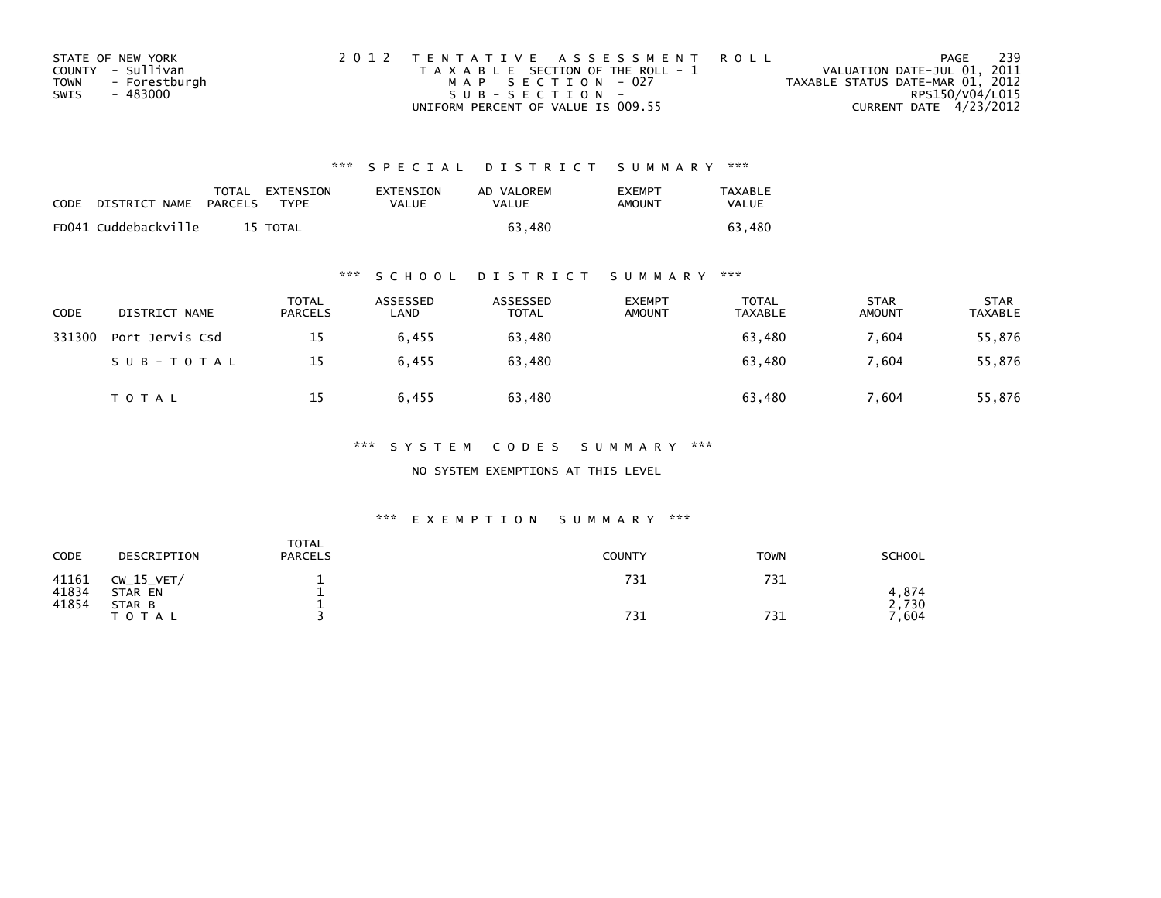|      | STATE OF NEW YORK | 2012 TENTATIVE ASSESSMENT ROLL        | PAGE                             | - 239 |
|------|-------------------|---------------------------------------|----------------------------------|-------|
|      | COUNTY - Sullivan | T A X A B L E SECTION OF THE ROLL - 1 | VALUATION DATE-JUL 01, 2011      |       |
| TOWN | - Forestburgh     | MAP SECTION - 027                     | TAXABLE STATUS DATE-MAR 01, 2012 |       |
| SWIS | - 483000          | $SUB - SECTION -$                     | RPS150/V04/L015                  |       |
|      |                   | UNIFORM PERCENT OF VALUE IS 009.55    | CURRENT DATE 4/23/2012           |       |

| CODE | DISTRICT NAME        | <b>PARCELS</b> | TOTAL EXTENSION<br><b>TYPF</b> | EXTENSION<br>VALUE | AD VALOREM<br>VALUE | <b>FXFMPT</b><br>AMOUNT | <b>TAXABLE</b><br>VALUE |
|------|----------------------|----------------|--------------------------------|--------------------|---------------------|-------------------------|-------------------------|
|      | FD041 Cuddebackville |                | 15 TOTAL                       |                    | 63.480              |                         | 63.<br>480              |

## \*\*\* S C H O O L D I S T R I C T S U M M A R Y \*\*\*

| CODE   | DISTRICT NAME   | <b>TOTAL</b><br><b>PARCELS</b> | ASSESSED<br>LAND | ASSESSED<br>TOTAL | <b>EXEMPT</b><br><b>AMOUNT</b> | TOTAL<br>TAXABLE | <b>STAR</b><br><b>AMOUNT</b> | <b>STAR</b><br>TAXABLE |
|--------|-----------------|--------------------------------|------------------|-------------------|--------------------------------|------------------|------------------------------|------------------------|
| 331300 | Port Jervis Csd | 15                             | 6,455            | 63,480            |                                | 63,480           | 7.604                        | 55,876                 |
|        | SUB-TOTAL       | 15                             | 6.455            | 63.480            |                                | 63.480           | 7.604                        | 55,876                 |
|        | <b>TOTAL</b>    | 15                             | 6.455            | 63,480            |                                | 63,480           | 7.604                        | 55,876                 |

### \*\*\* S Y S T E M C O D E S S U M M A R Y \*\*\*

NO SYSTEM EXEMPTIONS AT THIS LEVEL

| CODE           | DESCRIPTION             | <b>TOTAL</b><br><b>PARCELS</b> | <b>COUNTY</b> | <b>TOWN</b> | <b>SCHOOL</b>           |
|----------------|-------------------------|--------------------------------|---------------|-------------|-------------------------|
| 41161<br>41834 | $CW_15_VET/$<br>STAR EN |                                | 731           | 731         | 4.874                   |
| 41854          | STAR B<br><b>TOTAL</b>  |                                | 731           | 731         | 730<br>$^{\prime}$ ,604 |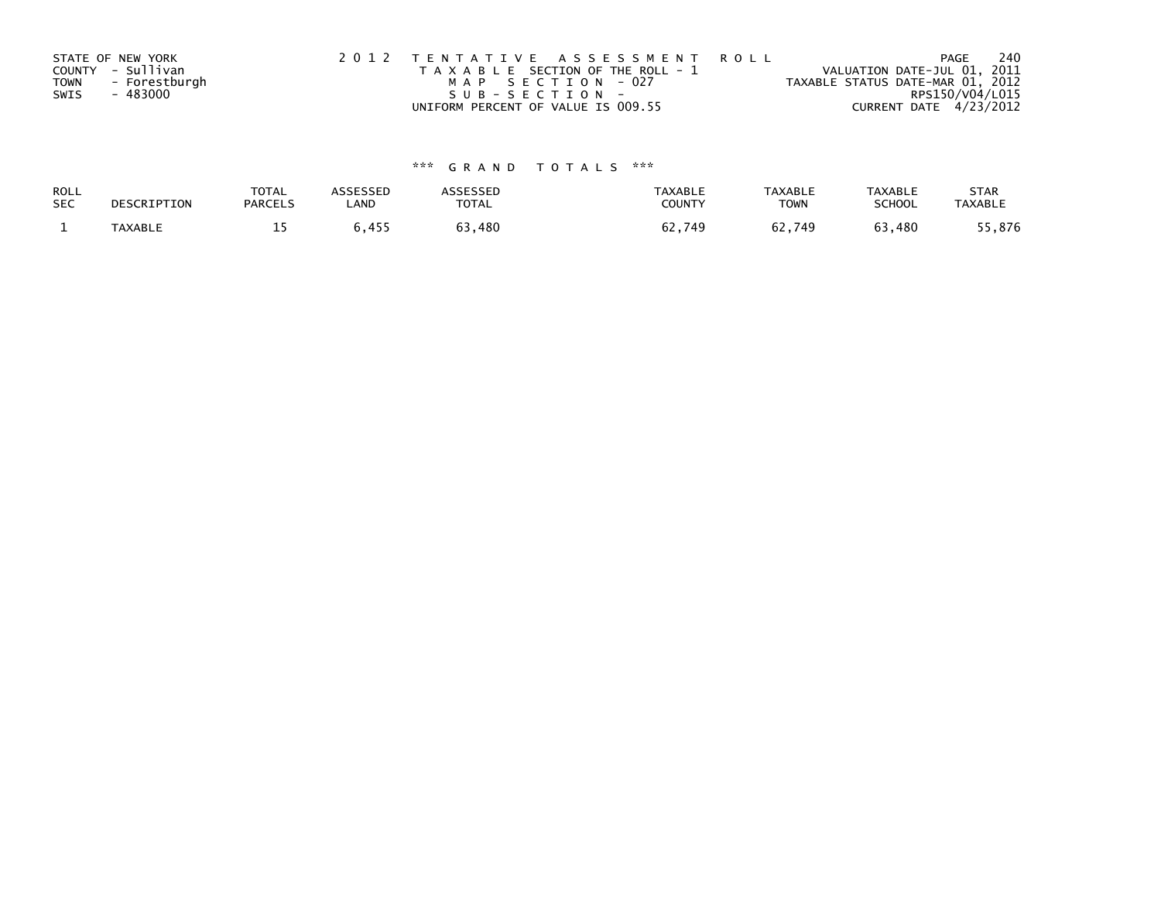| STATE OF NEW YORK            | 2012 TENTATIVE ASSESSMENT ROLL        | PAGE                             | 240 |
|------------------------------|---------------------------------------|----------------------------------|-----|
| COUNTY - Sullivan            | T A X A B L E SECTION OF THE ROLL - 1 | VALUATION DATE-JUL 01, 2011      |     |
| - Forestburgh<br><b>TOWN</b> | MAP SECTION - 027                     | TAXABLE STATUS DATE-MAR 01, 2012 |     |
| SWIS<br>- 483000             | SUB-SECTION-                          | RPS150/V04/L015                  |     |
|                              | UNIFORM PERCENT OF VALUE IS 009.55    | CURRENT DATE 4/23/2012           |     |

| ROLL       | DESCRIPTION | <b>TOTAL</b>   | <b>ASSESSED</b> | <b><i>SSESSED</i></b> | <b>TAXABLE</b> | <b>TAXABLE</b> | <b>TAXABLE</b> | <b>STAR</b>    |
|------------|-------------|----------------|-----------------|-----------------------|----------------|----------------|----------------|----------------|
| <b>SEC</b> |             | <b>PARCELS</b> | LAND            | <b>TOTAL</b>          | COUNTY         | <b>TOWN</b>    | SCHOOL         | <b>TAXABLE</b> |
|            | TAXABLE     | --             | 5,455           | 63,480                | 62,749         | 62,749         | 63,480         | 5,876          |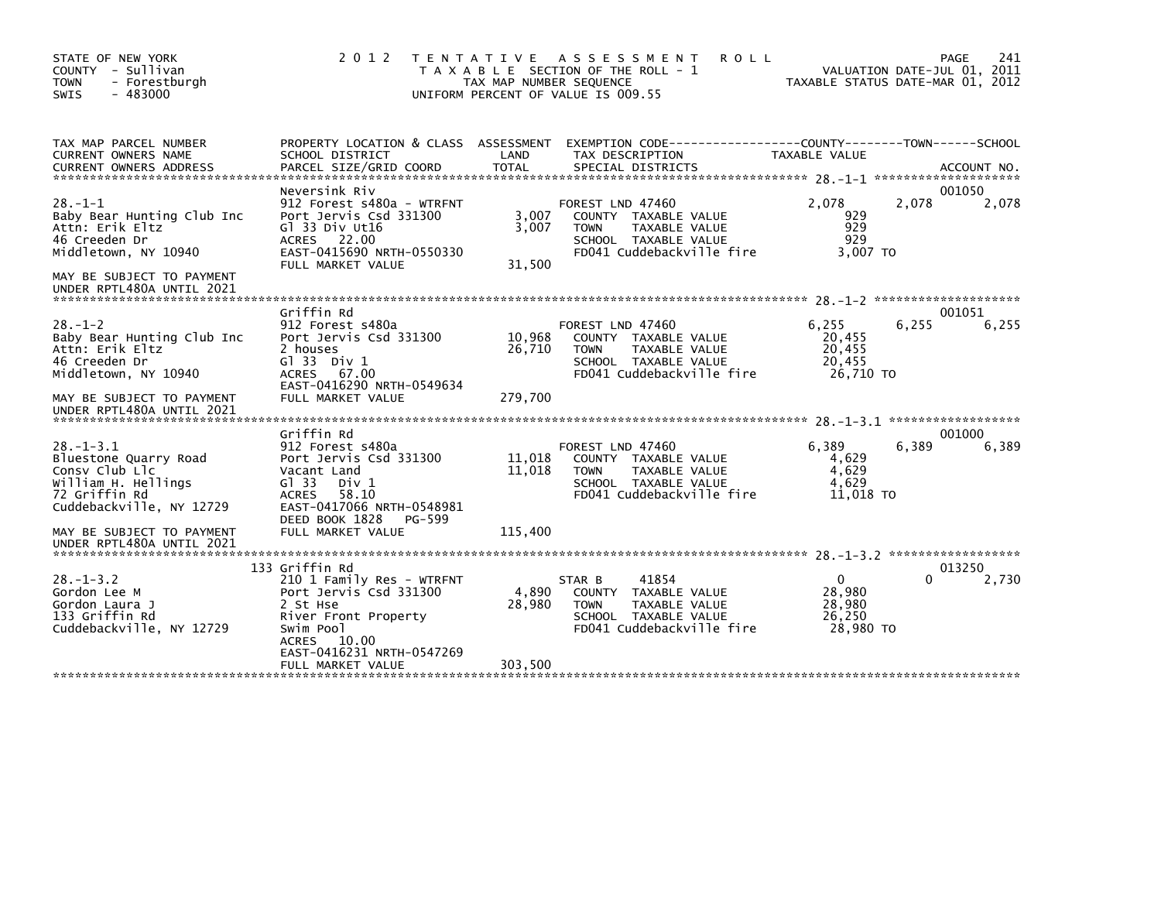| STATE OF NEW YORK<br>COUNTY - Sullivan<br><b>TOWN</b><br>- Forestburgh<br><b>SWIS</b><br>- 483000                                    | 2 0 1 2                                                                                                                                                                     | T E N T A T I V E<br>TAX MAP NUMBER SEQUENCE | ASSESSMENT<br><b>ROLL</b><br>T A X A B L E SECTION OF THE ROLL - 1<br>UNIFORM PERCENT OF VALUE IS 009.55                             | TAXABLE STATUS DATE-MAR 01, 2012                        | 241<br>PAGE<br>VALUATION DATE-JUL 01, 2011 |
|--------------------------------------------------------------------------------------------------------------------------------------|-----------------------------------------------------------------------------------------------------------------------------------------------------------------------------|----------------------------------------------|--------------------------------------------------------------------------------------------------------------------------------------|---------------------------------------------------------|--------------------------------------------|
| TAX MAP PARCEL NUMBER<br>CURRENT OWNERS NAME                                                                                         | PROPERTY LOCATION & CLASS ASSESSMENT<br>SCHOOL DISTRICT                                                                                                                     | LAND                                         | TAX DESCRIPTION                                                                                                                      | TAXABLE VALUE                                           |                                            |
| $28. - 1 - 1$<br>Baby Bear Hunting Club Inc<br>Attn: Erik Eltz<br>46 Creeden Dr<br>Middletown, NY 10940<br>MAY BE SUBJECT TO PAYMENT | Neversink Riv<br>912 Forest s480a - WTRFNT<br>Port Jervis Csd 331300<br>Gl 33 Div Ut16<br>ACRES 22.00<br>EAST-0415690 NRTH-0550330<br>FULL MARKET VALUE                     | 3,007<br>3,007<br>31,500                     | FOREST LND 47460<br>COUNTY TAXABLE VALUE<br><b>TOWN</b><br>TAXABLE VALUE<br>SCHOOL TAXABLE VALUE<br>FD041 Cuddebackville fire        | 2,078<br>929<br>929<br>929<br>3,007 TO                  | 001050<br>2,078<br>2,078                   |
| UNDER RPTL480A UNTIL 2021                                                                                                            |                                                                                                                                                                             |                                              |                                                                                                                                      |                                                         |                                            |
| $28. - 1 - 2$<br>Baby Bear Hunting Club Inc<br>Attn: Erik Eltz<br>46 Creeden Dr<br>Middletown, NY 10940<br>MAY BE SUBJECT TO PAYMENT | Griffin Rd<br>912 Forest s480a<br>Port Jervis Csd 331300<br>2 houses<br>$G1$ 33 Div 1<br>67.00<br><b>ACRES</b><br>EAST-0416290 NRTH-0549634<br>FULL MARKET VALUE            | 10,968<br>26,710<br>279,700                  | FOREST LND 47460<br>COUNTY TAXABLE VALUE<br><b>TAXABLE VALUE</b><br><b>TOWN</b><br>SCHOOL TAXABLE VALUE<br>FD041 Cuddebackville fire | 6,255<br>20,455<br>20,455<br>20.455<br>26.710 TO        | 001051<br>6,255<br>6,255                   |
| UNDER RPTL480A UNTIL 2021                                                                                                            |                                                                                                                                                                             |                                              |                                                                                                                                      |                                                         |                                            |
| $28. -1 - 3.1$<br>Bluestone Quarry Road<br>Consy Club Llc<br>William H. Hellings<br>72 Griffin Rd<br>Cuddebackville, NY 12729        | Griffin Rd<br>912 Forest s480a<br>Port Jervis Csd 331300<br>Vacant Land<br>G1 33<br>Div 1<br><b>ACRES</b><br>58.10<br>EAST-0417066 NRTH-0548981<br>DEED BOOK 1828<br>PG-599 | 11,018<br>11,018                             | FOREST LND 47460<br>COUNTY TAXABLE VALUE<br>TAXABLE VALUE<br><b>TOWN</b><br>SCHOOL TAXABLE VALUE<br>FD041 Cuddebackville fire        | 6.389<br>4,629<br>4,629<br>4,629<br>11,018 TO           | 001000<br>6,389<br>6,389                   |
| MAY BE SUBJECT TO PAYMENT<br>UNDER RPTL480A UNTIL 2021                                                                               | FULL MARKET VALUE                                                                                                                                                           | 115,400                                      |                                                                                                                                      |                                                         |                                            |
| $28 - 1 - 3.2$<br>Gordon Lee M<br>Gordon Laura J<br>133 Griffin Rd<br>Cuddebackville, NY 12729                                       | 133 Griffin Rd<br>210 1 Family Res - WTRFNT<br>Port Jervis Csd 331300<br>2 St Hse<br>River Front Property<br>Swim Pool<br>ACRES 10.00<br>EAST-0416231 NRTH-0547269          | 4,890<br>28,980                              | 41854<br>STAR B<br>COUNTY TAXABLE VALUE<br><b>TOWN</b><br>TAXABLE VALUE<br>SCHOOL TAXABLE VALUE<br>FD041 Cuddebackville fire         | $\mathbf{0}$<br>28,980<br>28,980<br>26,250<br>28,980 TO | 013250<br>0<br>2,730                       |
|                                                                                                                                      | FULL MARKET VALUE                                                                                                                                                           | 303,500                                      |                                                                                                                                      |                                                         |                                            |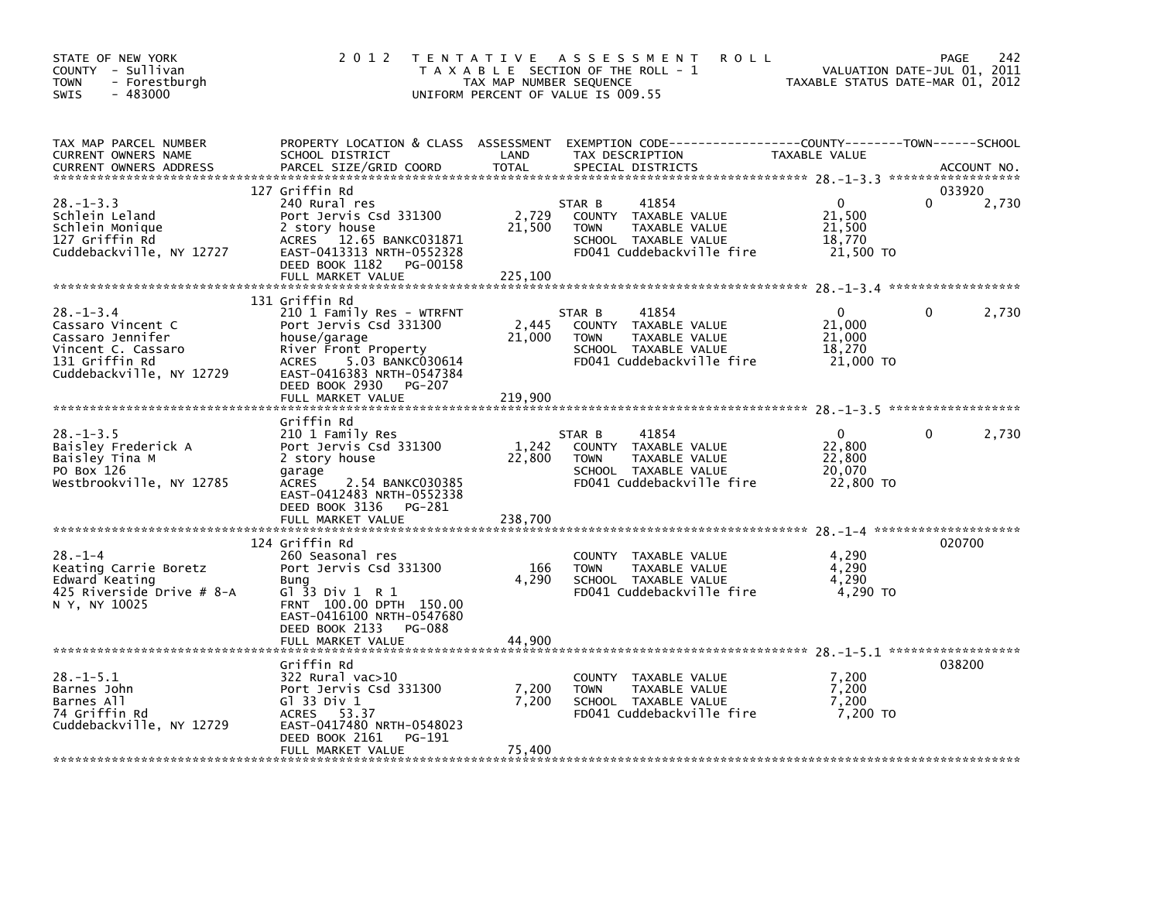| STATE OF NEW YORK<br>COUNTY - Sullivan<br>- Forestburgh<br><b>TOWN</b><br>$-483000$<br>SWIS                                  | 2 0 1 2                                                                                                                                                                                                                  | TAX MAP NUMBER SEQUENCE            | TENTATIVE ASSESSMENT<br><b>ROLL</b><br>T A X A B L E SECTION OF THE ROLL - 1<br>UNIFORM PERCENT OF VALUE IS 009.55                       | TAXABLE STATUS DATE-MAR 01, 2012                    | 242<br>PAGE<br>VALUATION DATE-JUL 01, 2011 |
|------------------------------------------------------------------------------------------------------------------------------|--------------------------------------------------------------------------------------------------------------------------------------------------------------------------------------------------------------------------|------------------------------------|------------------------------------------------------------------------------------------------------------------------------------------|-----------------------------------------------------|--------------------------------------------|
| TAX MAP PARCEL NUMBER<br>CURRENT OWNERS NAME<br><b>CURRENT OWNERS ADDRESS</b>                                                | SCHOOL DISTRICT<br>PARCEL SIZE/GRID COORD                                                                                                                                                                                | LAND<br><b>TOTAL</b>               | PROPERTY LOCATION & CLASS ASSESSMENT EXEMPTION CODE----------------COUNTY-------TOWN------SCHOOL<br>TAX DESCRIPTION<br>SPECIAL DISTRICTS | TAXABLE VALUE                                       | ACCOUNT NO.                                |
| $28. - 1 - 3.3$<br>Schlein Leland<br>Schlein Monique<br>127 Griffin Rd<br>Cuddebackville, NY 12727                           | 127 Griffin Rd<br>240 Rural res<br>Port Jervis Csd 331300<br>2 story house<br>ACRES 12.65 BANKC031871<br>EAST-0413313 NRTH-0552328<br>DEED BOOK 1182<br>PG-00158<br>FULL MARKET VALUE                                    | 2,729<br>21,500<br>225,100         | 41854<br>STAR B<br>COUNTY TAXABLE VALUE<br>TAXABLE VALUE<br><b>TOWN</b><br>SCHOOL TAXABLE VALUE<br>FD041 Cuddebackville fire             | $\Omega$<br>21,500<br>21,500<br>18,770<br>21,500 TO | 033920<br>2,730                            |
| $28. - 1 - 3.4$<br>Cassaro Vincent C<br>Cassaro Jennifer<br>Vincent C. Cassaro<br>131 Griffin Rd<br>Cuddebackville, NY 12729 | 131 Griffin Rd<br>210 1 Family Res - WTRFNT<br>Port Jervis Csd 331300<br>house/garage<br>River Front Property<br>ACRES<br>5.03 BANKC030614<br>EAST-0416383 NRTH-0547384<br>DEED BOOK 2930<br>PG-207<br>FULL MARKET VALUE | 2,445<br>21,000<br>219,900         | STAR B<br>41854<br>COUNTY TAXABLE VALUE<br><b>TOWN</b><br>TAXABLE VALUE<br>SCHOOL TAXABLE VALUE<br>FD041 Cuddebackville fire             | 0<br>21,000<br>21,000<br>18,270<br>21,000 TO        | 0<br>2,730                                 |
| $28. - 1 - 3.5$<br>Baisley Frederick A<br>Baisley Tina M<br>PO Box 126<br>Westbrookville, NY 12785                           | Griffin Rd<br>210 1 Family Res<br>Port Jervis Csd 331300<br>2 story house<br>garage<br>ACRES<br>2.54 BANKC030385<br>EAST-0412483 NRTH-0552338<br>DEED BOOK 3136<br>PG-281<br>FULL MARKET VALUE                           | 1,242<br>22,800<br>238,700         | 41854<br>STAR B<br>COUNTY TAXABLE VALUE<br>TAXABLE VALUE<br><b>TOWN</b><br>SCHOOL TAXABLE VALUE<br>FD041 Cuddebackville fire             | 0<br>22,800<br>22,800<br>20,070<br>22,800 TO        | 2,730<br>0                                 |
| $28. - 1 - 4$<br>Keating Carrie Boretz<br>Edward Keating<br>425 Riverside Drive # 8-A<br>N Y, NY 10025                       | 124 Griffin Rd<br>260 Seasonal res<br>Port Jervis Csd 331300<br>Bung<br>G $1$ 33 Div 1 R 1<br>FRNT 100.00 DPTH 150.00<br>EAST-0416100 NRTH-0547680<br>DEED BOOK 2133<br>PG-088                                           | 166<br>4,290                       | COUNTY<br>TAXABLE VALUE<br>TAXABLE VALUE<br><b>TOWN</b><br>SCHOOL TAXABLE VALUE<br>FD041 Cuddebackville fire                             | 4,290<br>4,290<br>4,290<br>4,290 TO                 | 020700                                     |
| $28. - 1 - 5.1$<br>Barnes John<br>Barnes All<br>74 Griffin Rd<br>Cuddebackville, NY 12729                                    | FULL MARKET VALUE<br>Griffin Rd<br>322 Rural vac>10<br>Port Jervis Csd 331300<br>$G1$ 33 Div 1<br>53.37<br><b>ACRES</b><br>EAST-0417480 NRTH-0548023<br>DEED BOOK 2161<br>PG-191<br>FULL MARKET VALUE                    | 44,900<br>7,200<br>7,200<br>75,400 | COUNTY TAXABLE VALUE<br><b>TOWN</b><br>TAXABLE VALUE<br>SCHOOL TAXABLE VALUE<br>FD041 Cuddebackville fire                                | 7,200<br>7,200<br>7,200<br>7,200 TO                 | 038200                                     |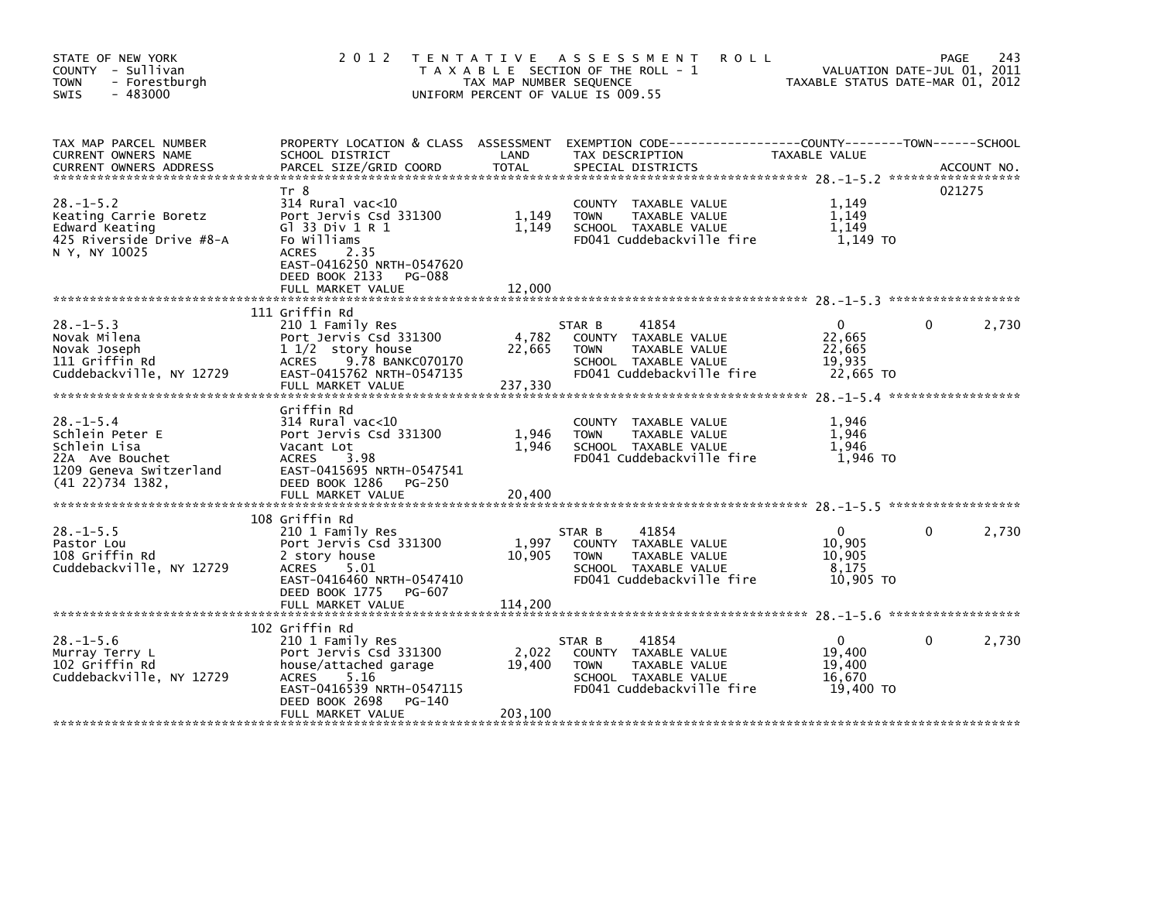| STATE OF NEW YORK<br>COUNTY - Sullivan<br><b>TOWN</b><br>- Forestburgh<br>$-483000$<br>SWIS                         | 2 0 1 2                                                                                                                                                                                      | TAX MAP NUMBER SEQUENCE    | TENTATIVE ASSESSMENT<br><b>ROLL</b><br>T A X A B L E SECTION OF THE ROLL - 1<br>UNIFORM PERCENT OF VALUE IS 009.55           | VALUATION DATE-JUL 01, 2011<br>TAXABLE STATUS DATE-MAR 01, 2012 | PAGE     | 243    |
|---------------------------------------------------------------------------------------------------------------------|----------------------------------------------------------------------------------------------------------------------------------------------------------------------------------------------|----------------------------|------------------------------------------------------------------------------------------------------------------------------|-----------------------------------------------------------------|----------|--------|
| TAX MAP PARCEL NUMBER<br>CURRENT OWNERS NAME                                                                        | SCHOOL DISTRICT                                                                                                                                                                              | LAND                       | PROPERTY_LOCATION & CLASS ASSESSMENT EXEMPTION CODE---------------COUNTY-------TOWN------SCHOOL<br>TAX DESCRIPTION           | TAXABLE VALUE                                                   |          |        |
| $28 - 1 - 5.2$<br>Keating Carrie Boretz<br>Edward Keating<br>425 Riverside Drive #8-A<br>N Y, NY 10025              | Tr 8<br>$314$ Rural vac<10<br>Port Jervis Csd 331300<br>G1 33 Div 1 R 1<br>Fo Williams<br><b>ACRES</b><br>2.35<br>EAST-0416250 NRTH-0547620<br>DEED BOOK 2133<br>PG-088<br>FULL MARKET VALUE | 1,149<br>1,149<br>12,000   | COUNTY TAXABLE VALUE<br>TAXABLE VALUE<br><b>TOWN</b><br>SCHOOL TAXABLE VALUE<br>FD041 Cuddebackville fire                    | 1,149<br>1,149<br>1,149<br>1,149 TO                             |          | 021275 |
|                                                                                                                     | 111 Griffin Rd                                                                                                                                                                               |                            |                                                                                                                              |                                                                 |          |        |
| $28. - 1 - 5.3$<br>Novak Milena<br>Novak Joseph<br>111 Griffin Rd<br>Cuddebackville, NY 12729                       | 210 1 Family Res<br>Port Jervis Csd 331300<br>$11/2$ story house<br>ACRES 9.78 BANKC070170<br>EAST-0415762 NRTH-0547135<br>FULL MARKET VALUE                                                 | 4,782<br>22,665<br>237,330 | 41854<br>STAR B<br>COUNTY TAXABLE VALUE<br>TAXABLE VALUE<br><b>TOWN</b><br>SCHOOL TAXABLE VALUE<br>FD041 Cuddebackville fire | $\overline{0}$<br>22,665<br>22,665<br>19,935<br>22,665 TO       | 0        | 2,730  |
| $28 - 1 - 5.4$<br>Schlein Peter E<br>Schlein Lisa<br>22A Ave Bouchet<br>1209 Geneva Switzerland<br>(41 22)734 1382, | Griffin Rd<br>$314$ Rural vac<10<br>Port Jervis Csd 331300<br>Vacant Lot<br><b>ACRES</b><br>3.98<br>EAST-0415695 NRTH-0547541<br>DEED BOOK 1286 PG-250                                       | 1,946<br>1,946             | COUNTY TAXABLE VALUE<br><b>TOWN</b><br>TAXABLE VALUE<br>SCHOOL TAXABLE VALUE<br>FD041 Cuddebackville fire                    | 1,946<br>1,946<br>1,946<br>1,946 то                             |          |        |
|                                                                                                                     |                                                                                                                                                                                              |                            |                                                                                                                              |                                                                 |          |        |
|                                                                                                                     | 108 Griffin Rd                                                                                                                                                                               |                            |                                                                                                                              |                                                                 |          |        |
| $28. -1 - 5.5$<br>Pastor Lou<br>108 Griffin Rd<br>Cuddebackville, NY 12729                                          | 210 1 Family Res<br>Port Jervis Csd 331300<br>2 story house<br>ACRES<br>5.01<br>EAST-0416460 NRTH-0547410<br>DEED BOOK 1775 PG-607                                                           | 1,997<br>10,905            | 41854<br>STAR B<br>COUNTY TAXABLE VALUE<br>TAXABLE VALUE<br><b>TOWN</b><br>SCHOOL TAXABLE VALUE<br>FD041 Cuddebackville fire | $\mathbf{0}$<br>10,905<br>10,905<br>8,175<br>10,905 TO          | 0        | 2,730  |
|                                                                                                                     |                                                                                                                                                                                              |                            |                                                                                                                              |                                                                 |          |        |
|                                                                                                                     | 102 Griffin Rd                                                                                                                                                                               |                            |                                                                                                                              |                                                                 |          |        |
| $28. - 1 - 5.6$<br>Murray Terry L<br>102 Griffin Rd<br>Cuddebackville, NY 12729                                     | 210 1 Family Res<br>Port Jervis Csd 331300<br>house/attached garage<br>5.16<br>ACRES<br>EAST-0416539 NRTH-0547115<br>DEED BOOK 2698<br>PG-140                                                | 2,022<br>19,400            | 41854<br>STAR B<br>COUNTY TAXABLE VALUE<br>TAXABLE VALUE<br><b>TOWN</b><br>SCHOOL TAXABLE VALUE<br>FD041 Cuddebackville fire | $\mathbf{0}$<br>19,400<br>19,400<br>16,670<br>19,400 TO         | $\Omega$ | 2,730  |
|                                                                                                                     | FULL MARKET VALUE                                                                                                                                                                            | 203,100                    |                                                                                                                              |                                                                 |          |        |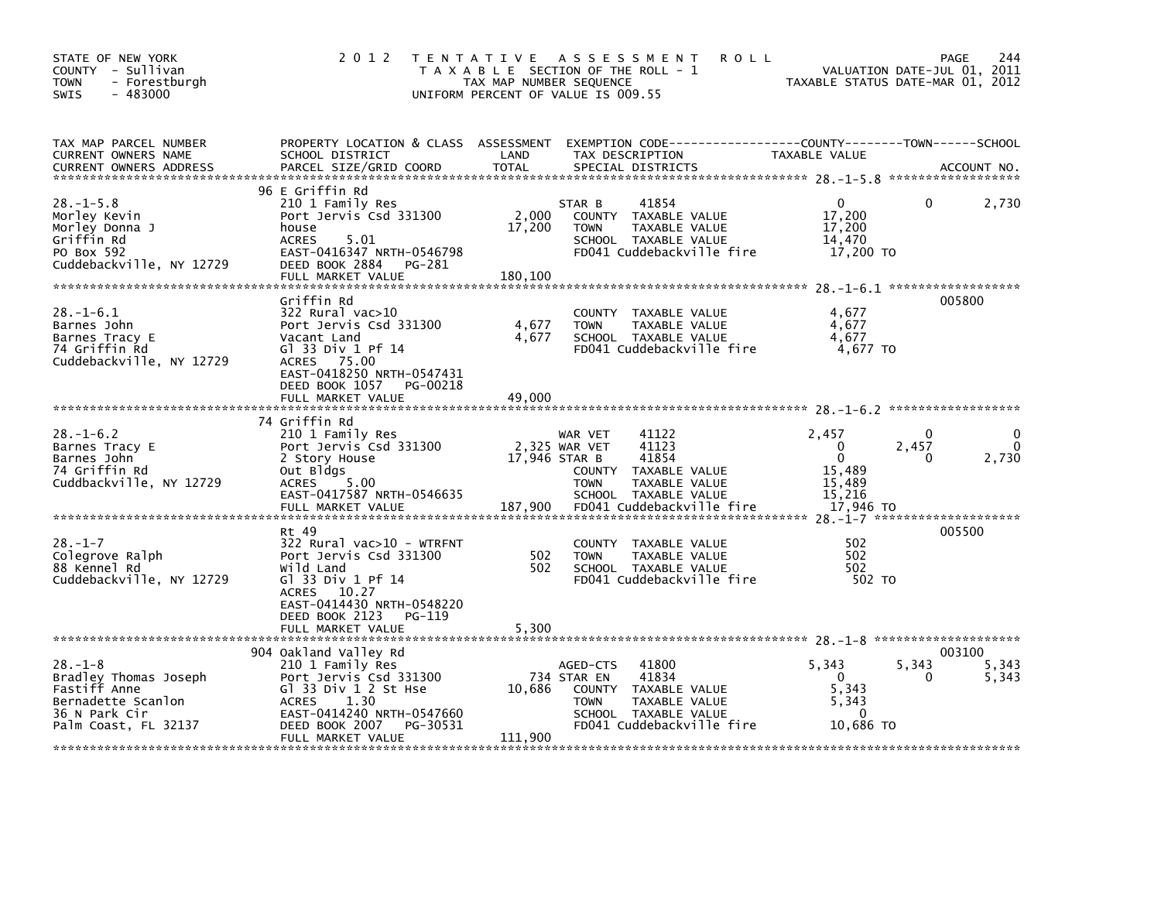| STATE OF NEW YORK<br>COUNTY - Sullivan<br>- Forestburgh<br><b>TOWN</b><br>$-483000$<br>SWIS                           | 2 0 1 2                                                                                                                                                                                   | TAX MAP NUMBER SEQUENCE    | <b>ROLL</b><br>TENTATIVE ASSESSMENT<br>T A X A B L E SECTION OF THE ROLL - 1<br>UNIFORM PERCENT OF VALUE IS 009.55                                               | VALUATION DATE-JUL 01, 2011<br>TAXABLE STATUS DATE-MAR 01, 2012                             | PAGE<br>244                           |
|-----------------------------------------------------------------------------------------------------------------------|-------------------------------------------------------------------------------------------------------------------------------------------------------------------------------------------|----------------------------|------------------------------------------------------------------------------------------------------------------------------------------------------------------|---------------------------------------------------------------------------------------------|---------------------------------------|
| TAX MAP PARCEL NUMBER<br>CURRENT OWNERS NAME<br><b>CURRENT OWNERS ADDRESS</b>                                         | SCHOOL DISTRICT<br>PARCEL SIZE/GRID COORD                                                                                                                                                 | LAND<br><b>TOTAL</b>       | PROPERTY LOCATION & CLASS ASSESSMENT EXEMPTION CODE---------------COUNTY-------TOWN-----SCHOOL<br>TAX DESCRIPTION<br>SPECIAL DISTRICTS                           | TAXABLE VALUE                                                                               | ACCOUNT NO.                           |
| $28. - 1 - 5.8$<br>Morley Kevin<br>Morley Donna J<br>Griffin Rd<br>PO Box 592<br>Cuddebackville, NY 12729             | 96 E Griffin Rd<br>210 1 Family Res<br>Port Jervis Csd 331300<br>house<br>5.01<br><b>ACRES</b><br>EAST-0416347 NRTH-0546798<br>DEED BOOK 2884 PG-281<br>FULL MARKET VALUE                 | 2,000<br>17,200<br>180,100 | 41854<br>STAR B<br>COUNTY TAXABLE VALUE<br><b>TOWN</b><br>TAXABLE VALUE<br>SCHOOL TAXABLE VALUE<br>FD041 Cuddebackville fire                                     | $\mathbf{0}$<br>$\Omega$<br>17,200<br>17,200<br>14,470<br>17,200 TO                         | 2,730                                 |
| $28. - 1 - 6.1$<br>Barnes John<br>Barnes Tracy E<br>74 Griffin Rd<br>Cuddebackville, NY 12729                         | Griffin Rd<br>322 Rural vac>10<br>Port Jervis Csd 331300<br>Vacant Land<br>G1 33 Div 1 Pf 14<br>ACRES 75.00<br>EAST-0418250 NRTH-0547431<br>DEED BOOK 1057 PG-00218<br>FULL MARKET VALUE  | 4,677<br>4,677<br>49,000   | COUNTY TAXABLE VALUE<br><b>TOWN</b><br>TAXABLE VALUE<br>SCHOOL TAXABLE VALUE<br>FD041 Cuddebackville fire                                                        | 4,677<br>4,677<br>4,677<br>4.677 TO                                                         | 005800                                |
| $28. - 1 - 6.2$<br>Barnes Tracy E<br>Barnes John<br>74 Griffin Rd<br>Cuddbackville, NY 12729                          | 74 Griffin Rd<br>210 1 Family Res<br>Port Jervis Csd 331300<br>2 Story House<br>Out Bldgs<br>5.00<br>ACRES<br>EAST-0417587 NRTH-0546635<br>FULL MARKET VALUE                              | 17,946 STAR B<br>187,900   | WAR VET<br>41122<br>2,325 WAR VET<br>41123<br>41854<br>COUNTY TAXABLE VALUE<br><b>TOWN</b><br>TAXABLE VALUE<br>SCHOOL TAXABLE VALUE<br>FD041 Cuddebackville fire | 2,457<br>$\Omega$<br>2,457<br>0<br>$\Omega$<br>0<br>15,489<br>15,489<br>15,216<br>17,946 TO | $\mathbf{0}$<br>$\mathbf{0}$<br>2,730 |
| $28. - 1 - 7$<br>Colegrove Ralph<br>88 Kennel Rd<br>Cuddebackville, NY 12729                                          | Rt 49<br>322 Rural vac>10 - WTRFNT<br>Port Jervis Csd 331300<br>Wild Land<br>G1 33 Div 1 Pf 14<br>ACRES 10.27<br>EAST-0414430 NRTH-0548220<br>DEED BOOK 2123 PG-119<br>FULL MARKET VALUE  | 502<br>502<br>5,300        | COUNTY TAXABLE VALUE<br><b>TOWN</b><br>TAXABLE VALUE<br>SCHOOL TAXABLE VALUE<br>FD041 Cuddebackville fire                                                        | 502<br>502<br>502<br>502 TO                                                                 | 005500                                |
| $28. - 1 - 8$<br>Bradley Thomas Joseph<br>Fastiff Anne<br>Bernadette Scanlon<br>36 N Park Cir<br>Palm Coast, FL 32137 | 904 Oakland Valley Rd<br>210 1 Family Res<br>Port Jervis Csd 331300<br>Gl 33 Div 1 2 St Hse<br>ACRES 1.30<br>EAST-0414240 NRTH-0547660<br>DEED BOOK 2007<br>PG-30531<br>FULL MARKET VALUE | 10,686<br>111,900          | AGED-CTS<br>41800<br>41834<br>734 STAR EN<br>COUNTY TAXABLE VALUE<br>TAXABLE VALUE<br><b>TOWN</b><br>SCHOOL TAXABLE VALUE<br>FD041 Cuddebackville fire           | 5,343<br>5,343<br>$\Omega$<br>5,343<br>5,343<br>$\mathbf{0}$<br>10,686 TO                   | 003100<br>5,343<br>5,343              |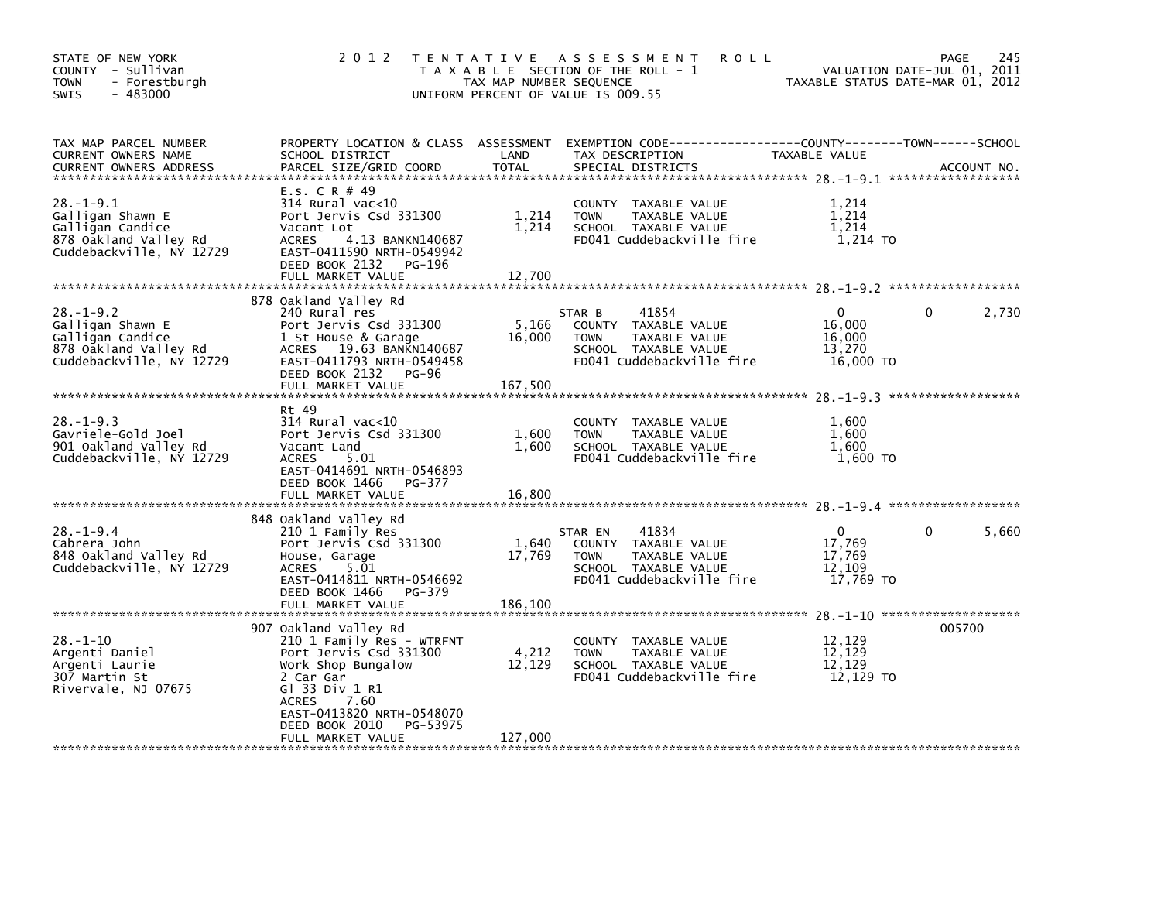| STATE OF NEW YORK<br>COUNTY - Sullivan<br><b>TOWN</b><br>- Forestburgh<br>$-483000$<br>SWIS                  | 2 0 1 2                                                                                                                                                                                                              | TAX MAP NUMBER SEQUENCE    | TENTATIVE ASSESSMENT<br><b>ROLL</b><br>T A X A B L E SECTION OF THE ROLL - 1<br>UNIFORM PERCENT OF VALUE IS 009.55            | TAXABLE STATUS DATE-MAR 01, 2012                    | 245<br>PAGE<br>VALUATION DATE-JUL 01, 2011 |
|--------------------------------------------------------------------------------------------------------------|----------------------------------------------------------------------------------------------------------------------------------------------------------------------------------------------------------------------|----------------------------|-------------------------------------------------------------------------------------------------------------------------------|-----------------------------------------------------|--------------------------------------------|
| TAX MAP PARCEL NUMBER<br>CURRENT OWNERS NAME<br><b>CURRENT OWNERS ADDRESS</b>                                | PROPERTY LOCATION & CLASS ASSESSMENT<br>SCHOOL DISTRICT<br>PARCEL SIZE/GRID COORD                                                                                                                                    | LAND<br><b>TOTAL</b>       | TAX DESCRIPTION<br>SPECIAL DISTRICTS                                                                                          | TAXABLE VALUE                                       | ACCOUNT NO.                                |
| $28. - 1 - 9.1$<br>Galligan Shawn E<br>Galligan Candice<br>878 Oakland Valley Rd<br>Cuddebackville, NY 12729 | E.S. C R # 49<br>314 Rural vac<10<br>Port Jervis Csd 331300<br>Vacant Lot<br>4.13 BANKN140687<br><b>ACRES</b><br>EAST-0411590 NRTH-0549942<br>DEED BOOK 2132<br>PG-196                                               | 1,214<br>1,214             | COUNTY TAXABLE VALUE<br>TAXABLE VALUE<br><b>TOWN</b><br>SCHOOL TAXABLE VALUE<br>FD041 Cuddebackville fire                     | 1,214<br>1,214<br>1,214<br>1,214 TO                 |                                            |
|                                                                                                              | FULL MARKET VALUE                                                                                                                                                                                                    | 12,700                     |                                                                                                                               |                                                     |                                            |
| $28. - 1 - 9.2$<br>Galligan Shawn E<br>Galligan Candice<br>878 Oakland Valley Rd<br>Cuddebackville, NY 12729 | 878 Oakland Valley Rd<br>240 Rural res<br>Port Jervis Csd 331300<br>1 St House & Garage<br>ACRES 19.63 BANKN140687<br>EAST-0411793 NRTH-0549458<br>DEED BOOK 2132 PG-96<br>FULL MARKET VALUE                         | 5,166<br>16,000<br>167,500 | 41854<br>STAR B<br>COUNTY TAXABLE VALUE<br>TAXABLE VALUE<br><b>TOWN</b><br>SCHOOL TAXABLE VALUE<br>FD041 Cuddebackville fire  | $\Omega$<br>16,000<br>16,000<br>13,270<br>16,000 TO | $\mathbf{0}$<br>2,730                      |
|                                                                                                              |                                                                                                                                                                                                                      |                            |                                                                                                                               |                                                     |                                            |
| $28. -1 - 9.3$<br>Gavriele-Gold Joel<br>901 Oakland Valley Rd<br>Cuddebackville, NY 12729                    | Rt 49<br>$314$ Rural vac< $10$<br>Port Jervis Csd 331300<br>Vacant Land<br>ACRES<br>5.01<br>EAST-0414691 NRTH-0546893<br>DEED BOOK 1466<br>PG-377<br>FULL MARKET VALUE                                               | 1,600<br>1,600<br>16,800   | COUNTY TAXABLE VALUE<br><b>TOWN</b><br>TAXABLE VALUE<br>SCHOOL TAXABLE VALUE<br>FD041 Cuddebackville fire                     | 1,600<br>1.600<br>1,600<br>1,600 TO                 |                                            |
|                                                                                                              |                                                                                                                                                                                                                      |                            |                                                                                                                               |                                                     |                                            |
| $28. - 1 - 9.4$<br>Cabrera John<br>848 Oakland Valley Rd<br>Cuddebackville, NY 12729                         | 848 Oakland Valley Rd<br>210 1 Family Res<br>Port Jervis Csd 331300<br>House, Garage<br>5.01<br><b>ACRES</b><br>EAST-0414811 NRTH-0546692<br>DEED BOOK 1466 PG-379                                                   | 1,640<br>17,769            | 41834<br>STAR EN<br>COUNTY TAXABLE VALUE<br><b>TOWN</b><br>TAXABLE VALUE<br>SCHOOL TAXABLE VALUE<br>FD041 Cuddebackville fire | 0<br>17,769<br>17,769<br>12,109<br>17,769 TO        | 5,660<br>0                                 |
|                                                                                                              | FULL MARKET VALUE                                                                                                                                                                                                    | 186,100                    |                                                                                                                               |                                                     |                                            |
| $28. - 1 - 10$<br>Argenti Daniel<br>Argenti Laurie<br>307 Martin St<br>Rivervale, NJ 07675                   | 907 Oakland Valley Rd<br>210 1 Family Res - WTRFNT<br>Port Jervis Csd 331300<br>Work Shop Bungalow<br>2 Car Gar<br>G1 33 Div 1 R1<br>7.60<br><b>ACRES</b><br>EAST-0413820 NRTH-0548070<br>DEED BOOK 2010<br>PG-53975 | 4,212<br>12,129            | COUNTY TAXABLE VALUE<br>TAXABLE VALUE<br><b>TOWN</b><br>SCHOOL TAXABLE VALUE<br>FD041 Cuddebackville fire                     | 12,129<br>12,129<br>12,129<br>12,129 TO             | 005700                                     |
|                                                                                                              | FULL MARKET VALUE                                                                                                                                                                                                    | 127,000                    |                                                                                                                               |                                                     |                                            |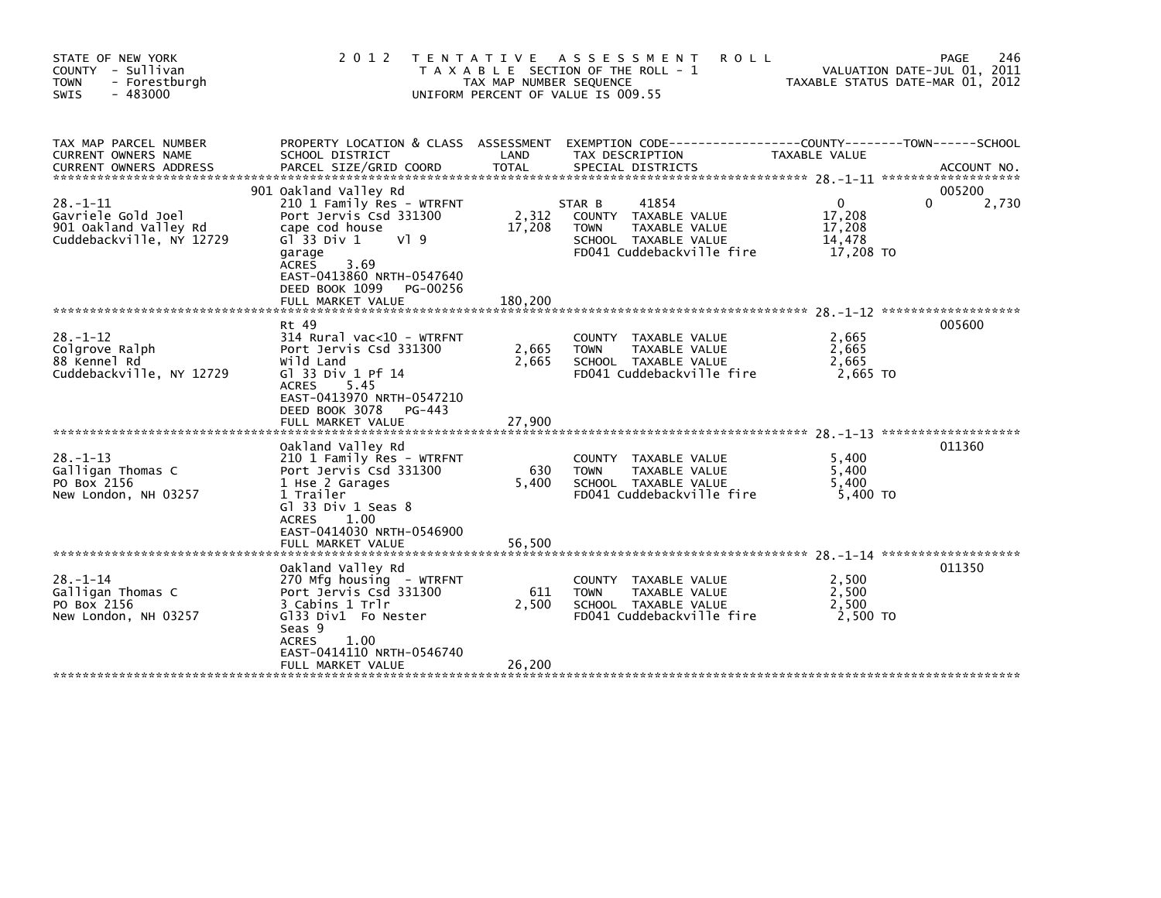| STATE OF NEW YORK<br>COUNTY - Sullivan<br><b>TOWN</b><br>- Forestburgh<br>$-483000$<br><b>SWIS</b> | 2 0 1 2                                                                                                                                                                                                                                              | TAX MAP NUMBER SEQUENCE    | TENTATIVE ASSESSMENT<br><b>ROLL</b><br>T A X A B L E SECTION OF THE ROLL - 1<br>UNIFORM PERCENT OF VALUE IS 009.55           |                                                     | 246<br>PAGE<br>VALUATION DATE-JUL 01, 2011<br>TAXABLE STATUS DATE-MAR 01, 2012 |
|----------------------------------------------------------------------------------------------------|------------------------------------------------------------------------------------------------------------------------------------------------------------------------------------------------------------------------------------------------------|----------------------------|------------------------------------------------------------------------------------------------------------------------------|-----------------------------------------------------|--------------------------------------------------------------------------------|
| TAX MAP PARCEL NUMBER<br>CURRENT OWNERS NAME<br><b>CURRENT OWNERS ADDRESS</b>                      | PROPERTY LOCATION & CLASS ASSESSMENT<br>SCHOOL DISTRICT<br>PARCEL SIZE/GRID COORD                                                                                                                                                                    | LAND<br><b>TOTAL</b>       | EXEMPTION CODE-----------------COUNTY-------TOWN------SCHOOL<br>TAX DESCRIPTION<br>SPECIAL DISTRICTS                         | TAXABLE VALUE                                       | ACCOUNT NO.                                                                    |
| $28. - 1 - 11$<br>Gavriele Gold Joel<br>901 Oakland Valley Rd<br>Cuddebackville, NY 12729          | 901 Oakland Valley Rd<br>210 1 Family Res - WTRFNT<br>Port Jervis Csd 331300<br>cape cod house<br>G $\overline{1}$ 33 Div 1<br>V19<br>garage<br>3.69<br><b>ACRES</b><br>EAST-0413860 NRTH-0547640<br>DEED BOOK 1099<br>PG-00256<br>FULL MARKET VALUE | 2,312<br>17,208<br>180,200 | 41854<br>STAR B<br>COUNTY TAXABLE VALUE<br><b>TOWN</b><br>TAXABLE VALUE<br>SCHOOL TAXABLE VALUE<br>FD041 Cuddebackville fire | $\Omega$<br>17,208<br>17,208<br>14,478<br>17,208 TO | 005200<br>0<br>2,730                                                           |
| $28. - 1 - 12$<br>Colgrove Ralph<br>88 Kennel Rd<br>Cuddebackville, NY 12729                       | Rt 49<br>$314$ Rural vac< $10$ - WTRFNT<br>Port Jervis Csd 331300<br>Wild Land<br>G] 33 Div 1 Pf 14<br>5.45<br><b>ACRES</b><br>EAST-0413970 NRTH-0547210<br>DEED BOOK 3078<br>PG-443<br>FULL MARKET VALUE                                            | 2,665<br>2,665<br>27,900   | COUNTY TAXABLE VALUE<br>TAXABLE VALUE<br><b>TOWN</b><br>SCHOOL TAXABLE VALUE<br>FD041 Cuddebackville fire                    | 2,665<br>2,665<br>2,665<br>2,665 TO                 | 005600                                                                         |
| $28. - 1 - 13$<br>Galligan Thomas C<br>PO Box 2156<br>New London, NH 03257                         | Oakland Valley Rd<br>210 1 Family Res - WTRFNT<br>Port Jervis Csd 331300<br>1 Hse 2 Garages<br>1 Trailer<br>$G1$ 33 Div 1 Seas 8<br>1.00<br>ACRES<br>EAST-0414030 NRTH-0546900<br>FULL MARKET VALUE                                                  | 630<br>5,400<br>56,500     | COUNTY TAXABLE VALUE<br>TAXABLE VALUE<br><b>TOWN</b><br>SCHOOL TAXABLE VALUE<br>FD041 Cuddebackville fire                    | 5,400<br>5,400<br>5.400<br>5,400 TO                 | 011360                                                                         |
| $28. - 1 - 14$<br>Galligan Thomas C<br>PO Box 2156<br>New London, NH 03257                         | Oakland Valley Rd<br>270 Mfg housing - WTRFNT<br>Port Jervis Csd 331300<br>3 Cabins 1 Trlr<br>Gl33 Div1 Fo Nester<br>Seas 9<br>1.00<br><b>ACRES</b><br>EAST-0414110 NRTH-0546740<br>FULL MARKET VALUE                                                | 611<br>2,500<br>26,200     | COUNTY TAXABLE VALUE<br>TAXABLE VALUE<br><b>TOWN</b><br>SCHOOL TAXABLE VALUE<br>FD041 Cuddebackville fire                    | 2,500<br>2,500<br>2,500<br>2,500 TO                 | 011350                                                                         |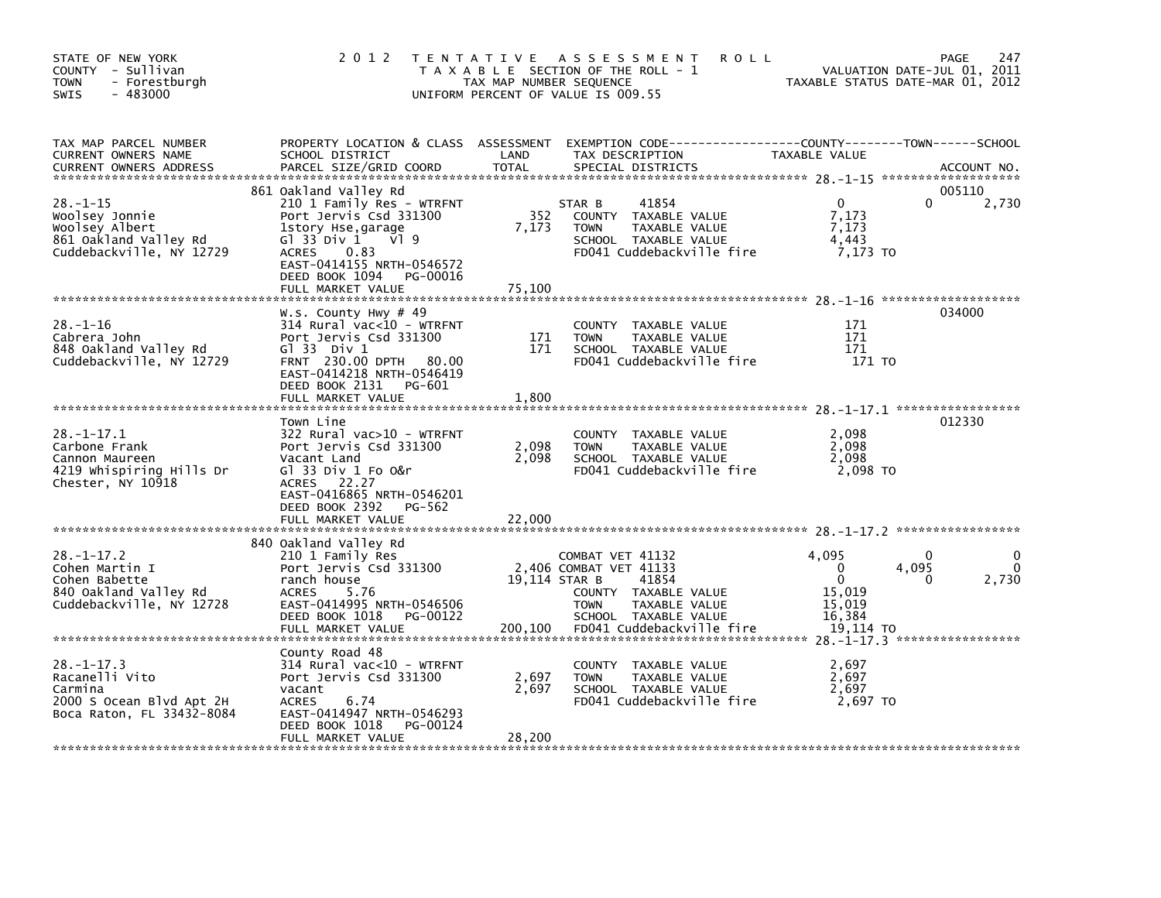| STATE OF NEW YORK<br>COUNTY - Sullivan<br>- Forestburgh<br><b>TOWN</b><br>$-483000$<br><b>SWIS</b>       | 2 0 1 2                                                                                                                                                                                                                            | TAX MAP NUMBER SEQUENCE  | TENTATIVE ASSESSMENT<br><b>ROLL</b><br>T A X A B L E SECTION OF THE ROLL - 1<br>UNIFORM PERCENT OF VALUE IS 009.55                                                                |                                                                                 | 247<br>PAGE<br>VALUATION DATE-JUL 01, 2011<br>TAXABLE STATUS DATE-MAR 01, 2012 |
|----------------------------------------------------------------------------------------------------------|------------------------------------------------------------------------------------------------------------------------------------------------------------------------------------------------------------------------------------|--------------------------|-----------------------------------------------------------------------------------------------------------------------------------------------------------------------------------|---------------------------------------------------------------------------------|--------------------------------------------------------------------------------|
| TAX MAP PARCEL NUMBER<br>CURRENT OWNERS NAME<br><b>CURRENT OWNERS ADDRESS</b>                            | PROPERTY LOCATION & CLASS ASSESSMENT<br>SCHOOL DISTRICT<br>PARCEL SIZE/GRID COORD                                                                                                                                                  | LAND<br><b>TOTAL</b>     | EXEMPTION CODE------------------COUNTY--------TOWN------SCHOOL<br>TAX DESCRIPTION<br>SPECIAL DISTRICTS                                                                            | TAXABLE VALUE                                                                   | ACCOUNT NO.                                                                    |
| $28. - 1 - 15$<br>Woolsey Jonnie<br>Woolsey Albert<br>861 Oakland Valley Rd<br>Cuddebackville, NY 12729  | 861 Oakland Valley Rd<br>210 1 Family Res - WTRFNT<br>Port Jervis Csd 331300<br>1story Hse,garage<br>G $1$ 33 Div $1$<br>VI 9<br><b>ACRES</b><br>0.83<br>EAST-0414155 NRTH-0546572<br>DEED BOOK 1094 PG-00016<br>FULL MARKET VALUE | 352<br>7,173<br>75,100   | 41854<br>STAR B<br>COUNTY TAXABLE VALUE<br><b>TOWN</b><br>TAXABLE VALUE<br>SCHOOL TAXABLE VALUE<br>FD041 Cuddebackville fire                                                      | $\Omega$<br>7,173<br>7,173<br>4,443<br>7,173 TO                                 | 005110<br>2,730<br>0                                                           |
| $28. - 1 - 16$<br>Cabrera John<br>848 Oakland Valley Rd<br>Cuddebackville, NY 12729                      | W.s. County Hwy # 49<br>314 Rural vac<10 - WTRFNT<br>Port Jervis Csd 331300<br>$G$ ] 33 Div 1<br>FRNT 230.00 DPTH 80.00<br>EAST-0414218 NRTH-0546419<br>DEED BOOK 2131 PG-601<br>FULL MARKET VALUE                                 | 171<br>171<br>1,800      | COUNTY TAXABLE VALUE<br><b>TOWN</b><br>TAXABLE VALUE<br>SCHOOL TAXABLE VALUE<br>FD041 Cuddebackville fire                                                                         | 171<br>171<br>171<br>171 TO                                                     | 034000                                                                         |
| $28 - 1 - 17.1$<br>Carbone Frank<br>Cannon Maureen<br>4219 Whispiring Hills Dr<br>Chester, NY 10918      | Town Line<br>322 Rural vac>10 - WTRFNT<br>Port Jervis Csd 331300<br>Vacant Land<br>GT 33 Div 1 Fo O&r<br>ACRES 22.27<br>EAST-0416865 NRTH-0546201<br>DEED BOOK 2392<br>PG-562<br>FULL MARKET VALUE                                 | 2,098<br>2,098<br>22,000 | COUNTY TAXABLE VALUE<br>TAXABLE VALUE<br><b>TOWN</b><br>SCHOOL TAXABLE VALUE<br>FD041 Cuddebackville fire                                                                         | 2,098<br>2,098<br>2,098<br>2,098 TO                                             | 012330                                                                         |
| $28. - 1 - 17.2$<br>Cohen Martin I<br>Cohen Babette<br>840 Oakland Valley Rd<br>Cuddebackville, NY 12728 | 840 Oakland Valley Rd<br>210 1 Family Res<br>Port Jervis Csd 331300<br>ranch house<br>5.76<br><b>ACRES</b><br>EAST-0414995 NRTH-0546506<br>DEED BOOK 1018<br>PG-00122<br>FULL MARKET VALUE                                         | 200,100                  | COMBAT VET 41132<br>2,406 COMBAT VET 41133<br>19,114 STAR B<br>41854<br>COUNTY TAXABLE VALUE<br>TAXABLE VALUE<br><b>TOWN</b><br>SCHOOL TAXABLE VALUE<br>FD041 Cuddebackville fire | 4.095<br>$\mathbf 0$<br>$\mathbf{0}$<br>15,019<br>15,019<br>16,384<br>19,114 TO | $\Omega$<br>4,095<br>2,730<br>0                                                |
| $28. -1 - 17.3$<br>Racanelli Vito<br>Carmina<br>2000 S Ocean Blvd Apt 2H<br>Boca Raton, FL 33432-8084    | County Road 48<br>314 Rural vac<10 - WTRFNT<br>Port Jervis Csd 331300<br>vacant<br><b>ACRES</b><br>6.74<br>EAST-0414947 NRTH-0546293<br>DEED BOOK 1018<br>PG-00124<br>FULL MARKET VALUE                                            | 2,697<br>2,697<br>28,200 | TAXABLE VALUE<br>COUNTY<br>TAXABLE VALUE<br><b>TOWN</b><br>SCHOOL TAXABLE VALUE<br>FD041 Cuddebackville fire                                                                      | 2,697<br>2,697<br>2,697<br>2.697 TO                                             |                                                                                |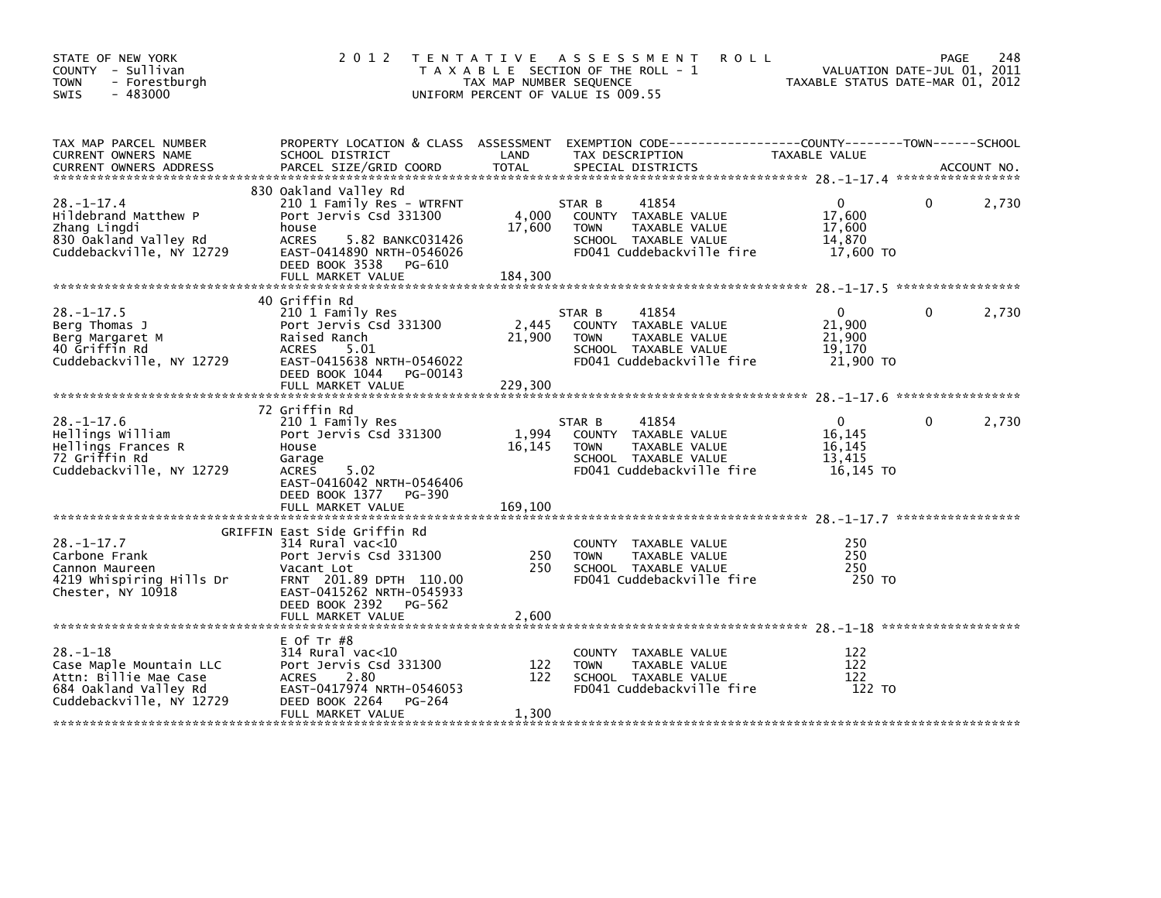| STATE OF NEW YORK<br>COUNTY - Sullivan<br><b>TOWN</b><br>- Forestburgh<br>$-483000$<br>SWIS                             | 2 0 1 2                                                                                                                                                                                              | TAX MAP NUMBER SEQUENCE    | TENTATIVE ASSESSMENT<br><b>ROLL</b><br>T A X A B L E SECTION OF THE ROLL - 1<br>UNIFORM PERCENT OF VALUE IS 009.55           | VALUATION DATE-JUL 01, 2011<br>TAXABLE STATUS DATE-MAR 01, 2012 | PAGE | 248   |
|-------------------------------------------------------------------------------------------------------------------------|------------------------------------------------------------------------------------------------------------------------------------------------------------------------------------------------------|----------------------------|------------------------------------------------------------------------------------------------------------------------------|-----------------------------------------------------------------|------|-------|
| TAX MAP PARCEL NUMBER<br>CURRENT OWNERS NAME                                                                            | SCHOOL DISTRICT                                                                                                                                                                                      | LAND                       | PROPERTY LOCATION & CLASS ASSESSMENT EXEMPTION CODE----------------COUNTY-------TOWN------SCHOOL<br>TAX DESCRIPTION          | TAXABLE VALUE                                                   |      |       |
| $28. - 1 - 17.4$<br>Hildebrand Matthew P<br>Zhang Lingdi<br>830 Oakland Valley Rd<br>Cuddebackville, NY 12729           | 830 Oakland Valley Rd<br>210 1 Family Res - WTRFNT<br>Port Jervis Csd 331300<br>house<br><b>ACRES</b><br>5.82 BANKC031426<br>EAST-0414890 NRTH-0546026<br>DEED BOOK 3538 PG-610<br>FULL MARKET VALUE | 4,000<br>17,600<br>184,300 | 41854<br>STAR B<br>COUNTY TAXABLE VALUE<br>TAXABLE VALUE<br><b>TOWN</b><br>SCHOOL TAXABLE VALUE<br>FD041 Cuddebackville fire | $\mathbf{0}$<br>17,600<br>17,600<br>14,870<br>17,600 TO         | 0    | 2,730 |
| $28. -1 - 17.5$<br>Berg Thomas J<br>Berg Margaret M<br>40 Griffin Rd<br>Cuddebackville, NY 12729                        | 40 Griffin Rd<br>210 1 Family Res<br>Port Jervis Csd 331300<br>Raised Ranch<br>ACRES<br>5.01<br>EAST-0415638 NRTH-0546022<br>DEED BOOK 1044 PG-00143<br>FULL MARKET VALUE                            | 2,445<br>21,900<br>229,300 | 41854<br>STAR B<br>COUNTY TAXABLE VALUE<br><b>TOWN</b><br>TAXABLE VALUE<br>SCHOOL TAXABLE VALUE<br>FD041 Cuddebackville fire | $\mathbf{0}$<br>21,900<br>21,900<br>19.170<br>21,900 TO         | 0    | 2,730 |
|                                                                                                                         |                                                                                                                                                                                                      |                            |                                                                                                                              |                                                                 |      |       |
| $28. - 1 - 17.6$<br>Hellings William<br>Hellings Frances R<br>72 Griffin Rd<br>Cuddebackville, NY 12729                 | 72 Griffin Rd<br>210 1 Family Res<br>Port Jervis Csd 331300<br>House<br>Garage<br><b>ACRES</b><br>5.02<br>EAST-0416042 NRTH-0546406<br>DEED BOOK 1377 PG-390<br>FULL MARKET VALUE                    | 1,994<br>16,145<br>169,100 | 41854<br>STAR B<br>COUNTY TAXABLE VALUE<br><b>TOWN</b><br>TAXABLE VALUE<br>SCHOOL TAXABLE VALUE<br>FD041 Cuddebackville fire | $\mathbf{0}$<br>16,145<br>16,145<br>13,415<br>16,145 TO         | 0    | 2,730 |
| $28. - 1 - 17.7$<br>Carbone Frank<br>Cannon Maureen<br>4219 Whispiring Hills Dr<br>Chester, NY 10918                    | GRIFFIN East Side Griffin Rd<br>314 Rural vac<10<br>Port Jervis Csd 331300<br>Vacant Lot<br>FRNT 201.89 DPTH 110.00<br>EAST-0415262 NRTH-0545933<br>DEED BOOK 2392 PG-562<br>FULL MARKET VALUE       | 250<br>250<br>2,600        | COUNTY TAXABLE VALUE<br>TAXABLE VALUE<br><b>TOWN</b><br>SCHOOL TAXABLE VALUE<br>FD041 Cuddebackville fire                    | 250<br>250<br>250<br>250 TO                                     |      |       |
| $28. - 1 - 18$<br>Case Maple Mountain LLC<br>Attn: Billie Mae Case<br>684 Oakland Valley Rd<br>Cuddebackville, NY 12729 | E Of Tr $#8$<br>314 Rural vac<10<br>Port Jervis Csd 331300<br><b>ACRES</b><br>2.80<br>EAST-0417974 NRTH-0546053<br>DEED BOOK 2264<br>PG-264<br>FULL MARKET VALUE                                     | 122<br>122<br>1,300        | COUNTY TAXABLE VALUE<br>TAXABLE VALUE<br><b>TOWN</b><br>SCHOOL TAXABLE VALUE<br>FD041 Cuddebackville fire                    | 122<br>122<br>122<br>122 TO                                     |      |       |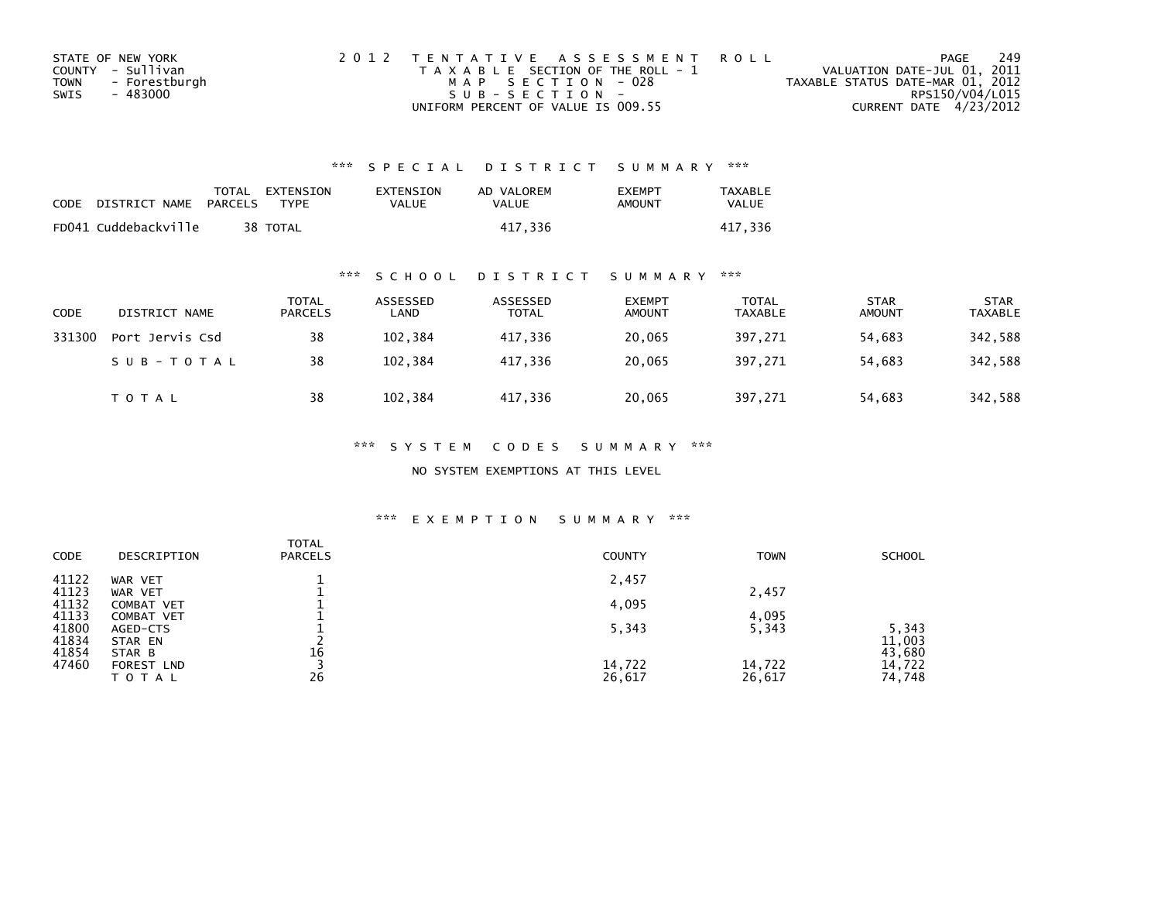| STATE OF NEW YORK |               | 2012 TENTATIVE ASSESSMENT ROLL        |  |                                  | PAGE                   | 249 |
|-------------------|---------------|---------------------------------------|--|----------------------------------|------------------------|-----|
| COUNTY - Sullivan |               | T A X A B L E SECTION OF THE ROLL - 1 |  | VALUATION DATE-JUL 01, 2011      |                        |     |
| <b>TOWN</b>       | - Forestburgh | MAP SECTION - 028                     |  | TAXABLE STATUS DATE-MAR 01, 2012 |                        |     |
| SWIS              | - 483000      | $SUB - SECTION -$                     |  |                                  | RPS150/V04/L015        |     |
|                   |               | UNIFORM PERCENT OF VALUE IS 009.55    |  |                                  | CURRENT DATE 4/23/2012 |     |

| CODE | DISTRICT NAME PARCELS | TOTAL EXTENSION<br>TYPF. | EXTENSION<br>VALUE | AD VALOREM<br><b>VALUE</b> | <b>EXEMPT</b><br><b>AMOUNT</b> | <b>TAXABLE</b><br><b>VALUE</b> |
|------|-----------------------|--------------------------|--------------------|----------------------------|--------------------------------|--------------------------------|
|      | FD041 Cuddebackville  | 38 TOTAL                 |                    | 417.336                    |                                | 417,336                        |

## \*\*\* S C H O O L D I S T R I C T S U M M A R Y \*\*\*

| CODE   | DISTRICT NAME   | <b>TOTAL</b><br><b>PARCELS</b> | ASSESSED<br>LAND | ASSESSED<br><b>TOTAL</b> | <b>EXEMPT</b><br><b>AMOUNT</b> | <b>TOTAL</b><br>TAXABLE | <b>STAR</b><br><b>AMOUNT</b> | <b>STAR</b><br><b>TAXABLE</b> |
|--------|-----------------|--------------------------------|------------------|--------------------------|--------------------------------|-------------------------|------------------------------|-------------------------------|
| 331300 | Port Jervis Csd | 38                             | 102,384          | 417,336                  | 20,065                         | 397,271                 | 54,683                       | 342,588                       |
|        | SUB-TOTAL       | 38                             | 102.384          | 417.336                  | 20,065                         | 397,271                 | 54,683                       | 342,588                       |
|        | <b>TOTAL</b>    | 38                             | 102,384          | 417,336                  | 20,065                         | 397,271                 | 54,683                       | 342,588                       |

### \*\*\* S Y S T E M C O D E S S U M M A R Y \*\*\*

NO SYSTEM EXEMPTIONS AT THIS LEVEL

| CODE           | DESCRIPTION                     | <b>TOTAL</b><br><b>PARCELS</b> | <b>COUNTY</b> | <b>TOWN</b> | <b>SCHOOL</b>    |
|----------------|---------------------------------|--------------------------------|---------------|-------------|------------------|
| 41122<br>41123 | WAR VET<br>WAR VET              |                                | 2,457         | 2,457       |                  |
| 41132<br>41133 | <b>COMBAT VET</b><br>COMBAT VET |                                | 4,095         | 4,095       |                  |
| 41800<br>41834 | AGED-CTS<br>STAR EN             |                                | 5,343         | 5,343       | 5.343<br>11,003  |
| 41854<br>47460 | STAR B<br>FOREST LND            | 16                             | 14,722        | 14,722      | 43,680<br>14,722 |
|                | T O T A L                       | 26                             | 26,617        | 26,617      | 74,748           |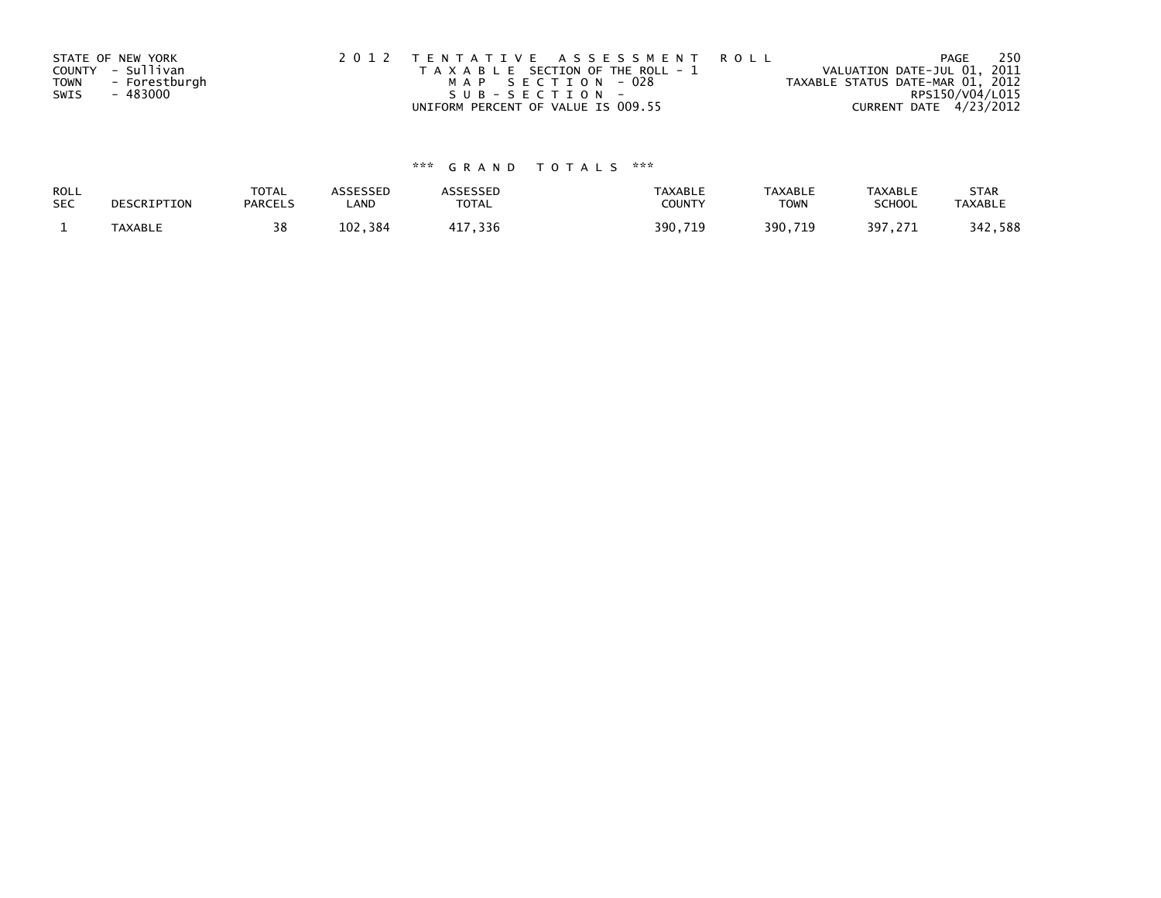|             | STATE OF NEW YORK | 2012 TENTATIVE ASSESSMENT ROLL        | PAGE                             | -250 |
|-------------|-------------------|---------------------------------------|----------------------------------|------|
|             | COUNTY - Sullivan | T A X A B L E SECTION OF THE ROLL - 1 | VALUATION DATE-JUL 01, 2011      |      |
| <b>TOWN</b> | - Forestburgh     | MAP SECTION - 028                     | TAXABLE STATUS DATE-MAR 01, 2012 |      |
| SWIS        | - 483000          | $SUB - SECTION -$                     | RPS150/V04/L015                  |      |
|             |                   | UNIFORM PERCENT OF VALUE IS 009.55    | CURRENT DATE 4/23/2012           |      |

| ROLL       | DESCRIPTION | <b>TOTAL</b>   | ASSESSED | <b>ASSESSED</b> | <b>TAXABLE</b> | <b>TAXABLE</b> | <b>TAXABLE</b> | <b>STAR</b>    |
|------------|-------------|----------------|----------|-----------------|----------------|----------------|----------------|----------------|
| <b>SEC</b> |             | <b>PARCELS</b> | ∟AND     | TOTAL           | <b>COUNTY</b>  | TOWN           | <b>SCHOOL</b>  | <b>TAXABLE</b> |
|            | TAXABLE     | 38             | 102,384  | 417,336         | 390,719        | 390,719<br>719 | 397,271        | 342,588        |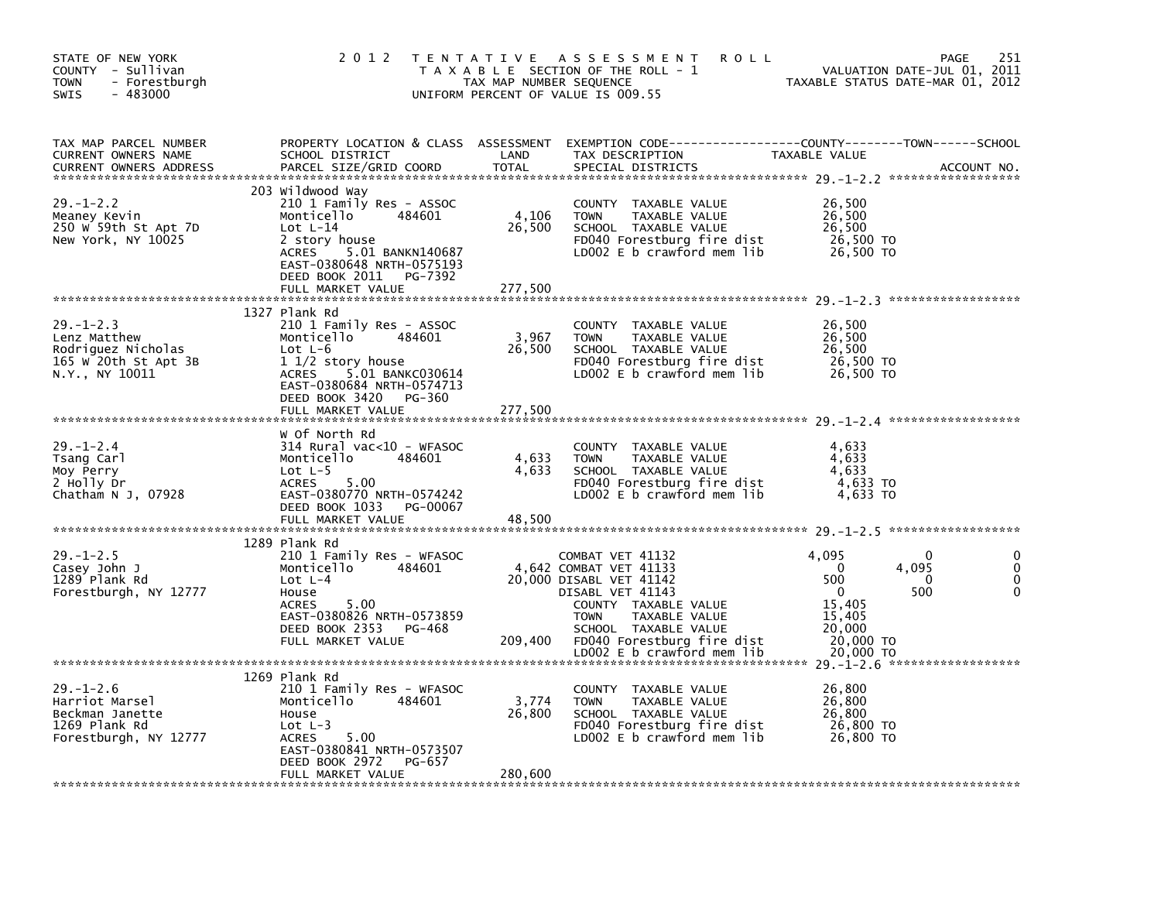| STATE OF NEW YORK<br>COUNTY - Sullivan<br>- Forestburgh<br><b>TOWN</b><br>$-483000$<br><b>SWIS</b> | 2 0 1 2                                                                                                                                                                                        | TAX MAP NUMBER SEQUENCE    | TENTATIVE ASSESSMENT<br><b>ROLL</b><br>T A X A B L E SECTION OF THE ROLL - 1<br>UNIFORM PERCENT OF VALUE IS 009.55                                                                                      | VALUATION DATE-JUL 01, 2011<br>TAXABLE STATUS DATE-MAR 01, 2012                                       | 251<br><b>PAGE</b>                             |
|----------------------------------------------------------------------------------------------------|------------------------------------------------------------------------------------------------------------------------------------------------------------------------------------------------|----------------------------|---------------------------------------------------------------------------------------------------------------------------------------------------------------------------------------------------------|-------------------------------------------------------------------------------------------------------|------------------------------------------------|
| TAX MAP PARCEL NUMBER<br><b>CURRENT OWNERS NAME</b><br><b>CURRENT OWNERS ADDRESS</b>               | SCHOOL DISTRICT<br>PARCEL SIZE/GRID COORD                                                                                                                                                      | LAND<br>TOTAL              | PROPERTY LOCATION & CLASS ASSESSMENT EXEMPTION CODE----------------COUNTY-------TOWN------SCHOOL<br>TAX DESCRIPTION<br>SPECIAL DISTRICTS                                                                | <b>TAXABLE VALUE</b>                                                                                  | ACCOUNT NO.                                    |
| $29. - 1 - 2.2$<br>Meaney Kevin<br>250 W 59th St Apt 7D<br>New York, NY 10025                      | 203 Wildwood Way<br>210 1 Family Res - ASSOC<br>484601<br>Monticello<br>Lot $L-14$<br>2 story house<br>ACRES 5.01 BANKN140687<br>EAST-0380648 NRTH-0575193<br>DEED BOOK 2011 PG-7392           | 4,106<br>26,500            | COUNTY TAXABLE VALUE<br><b>TOWN</b><br>TAXABLE VALUE<br>SCHOOL TAXABLE VALUE<br>FD040 Forestburg fire dist<br>LD002 E b crawford mem lib                                                                | 26,500<br>26,500<br>26,500<br>26,500 TO<br>26,500 TO                                                  |                                                |
|                                                                                                    | FULL MARKET VALUE                                                                                                                                                                              | 277,500                    |                                                                                                                                                                                                         |                                                                                                       |                                                |
| $29. - 1 - 2.3$<br>Lenz Matthew<br>Rodriguez Nicholas<br>165 W 20th St Apt 3B<br>N.Y., NY 10011    | 1327 Plank Rd<br>210 1 Family Res - ASSOC<br>484601<br>Monticello<br>$Lot L-6$<br>$11/2$ story house<br>ACRES 5.01 BANKC030614<br>EAST-0380684 NRTH-0574713                                    | 3,967<br>26,500            | COUNTY TAXABLE VALUE<br><b>TOWN</b><br>TAXABLE VALUE<br>SCHOOL TAXABLE VALUE<br>FD040 Forestburg fire dist<br>LD002 $E$ b crawford mem $lib$                                                            | 26,500<br>26,500<br>26,500<br>26,500 TO<br>26,500 TO                                                  |                                                |
|                                                                                                    | DEED BOOK 3420 PG-360<br>FULL MARKET VALUE                                                                                                                                                     | 277,500                    |                                                                                                                                                                                                         |                                                                                                       |                                                |
| $29. - 1 - 2.4$<br>Tsang Carl<br>Moy Perry<br>2 Holly Dr<br>Chatham $N$ J, 07928                   | w Of North Rd<br>$314$ Rural vac< $10$ - WFASOC<br>Monticello<br>484601<br>Lot $L-5$<br>ACRES<br>5.00<br>EAST-0380770 NRTH-0574242<br>DEED BOOK 1033 PG-00067<br>FULL MARKET VALUE             | 4,633<br>4,633<br>48,500   | COUNTY TAXABLE VALUE<br><b>TOWN</b><br>TAXABLE VALUE<br>SCHOOL TAXABLE VALUE<br>FD040 Forestburg fire dist<br>LD002 E b crawford mem lib                                                                | 4,633<br>4,633<br>4,633<br>4,633 TO<br>4,633 TO                                                       |                                                |
|                                                                                                    |                                                                                                                                                                                                |                            |                                                                                                                                                                                                         |                                                                                                       |                                                |
| $29. - 1 - 2.5$<br>Casey John J<br>1289 Plank Rd<br>Forestburgh, NY 12777                          | 1289 Plank Rd<br>210 1 Family Res - WFASOC<br>Monticello<br>484601<br>Lot $L-4$<br>House<br>5.00<br><b>ACRES</b><br>EAST-0380826 NRTH-0573859<br>DEED BOOK 2353 PG-468<br>FULL MARKET VALUE    | 209,400                    | COMBAT VET 41132<br>4,642 COMBAT VET 41133<br>20,000 DISABL VET 41142<br>DISABL VET 41143<br>COUNTY TAXABLE VALUE<br>TAXABLE VALUE<br><b>TOWN</b><br>SCHOOL TAXABLE VALUE<br>FD040 Forestburg fire dist | 4,095<br>4,095<br>$\overline{0}$<br>500<br>500<br>$\Omega$<br>15.405<br>15,405<br>20,000<br>20,000 TO | 0<br>0<br>$\Omega$<br>$\mathbf{0}$<br>$\Omega$ |
|                                                                                                    |                                                                                                                                                                                                |                            | LD002 E b crawford mem lib                                                                                                                                                                              | 20,000 TO                                                                                             |                                                |
| $29. - 1 - 2.6$<br>Harriot Marsel<br>Beckman Janette<br>1269 Plank Rd<br>Forestburgh, NY 12777     | 1269 Plank Rd<br>210 1 Family Res - WFASOC<br>Monticello<br>484601<br>House<br>Lot $L-3$<br>5.00<br><b>ACRES</b><br>EAST-0380841 NRTH-0573507<br>DEED BOOK 2972<br>PG-657<br>FULL MARKET VALUE | 3,774<br>26,800<br>280,600 | COUNTY TAXABLE VALUE<br>TAXABLE VALUE<br>TOWN<br>SCHOOL TAXABLE VALUE<br>FD040 Forestburg fire dist<br>LD002 E b crawford mem lib                                                                       | 26,800<br>26,800<br>26,800<br>26,800 TO<br>26,800 TO                                                  |                                                |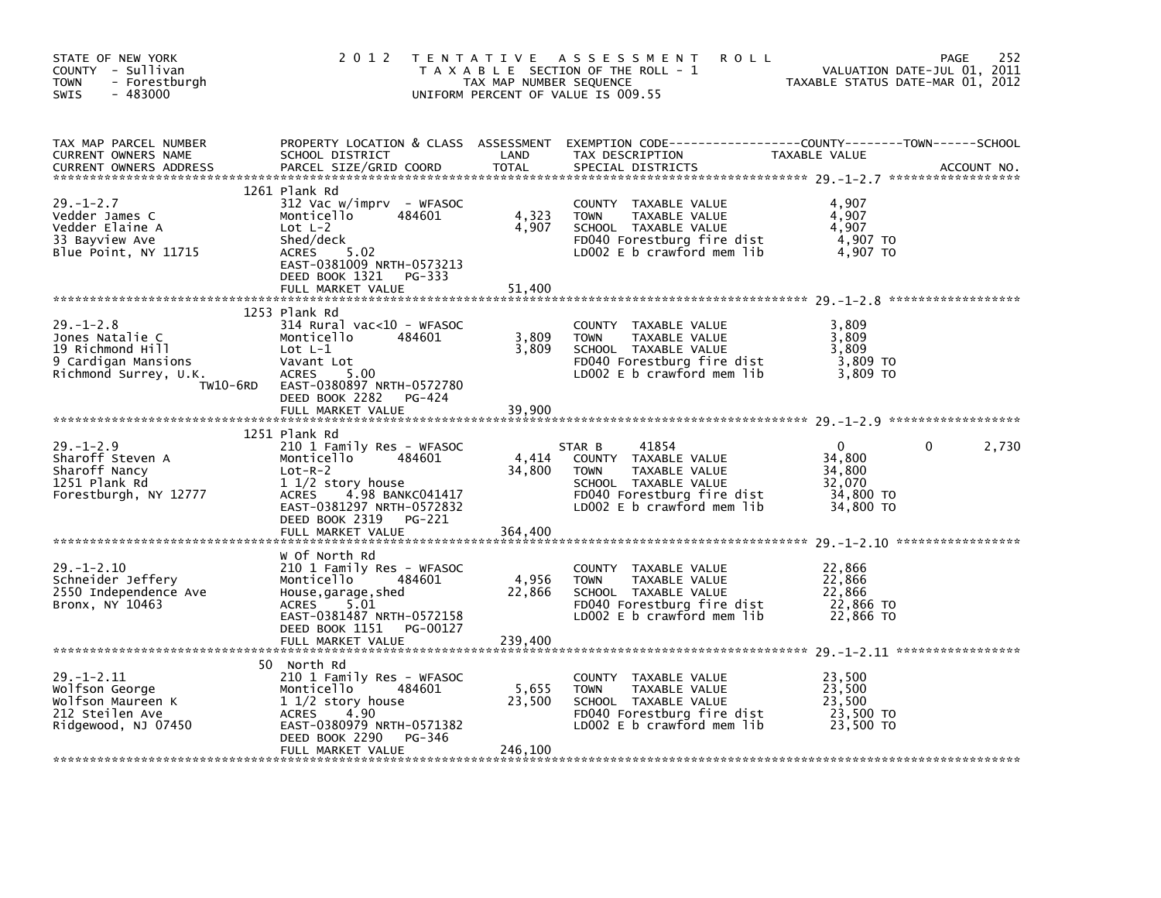| STATE OF NEW YORK<br>COUNTY - Sullivan<br><b>TOWN</b><br>- Forestburgh<br>$-483000$<br><b>SWIS</b>                 | 2 0 1 2                                                                                                                                                                                                                | T E N T A T I V E<br>TAX MAP NUMBER SEQUENCE | A S S E S S M E N T<br><b>ROLL</b><br>T A X A B L E SECTION OF THE ROLL - 1<br>UNIFORM PERCENT OF VALUE IS 009.55                                           | TAXABLE STATUS DATE-MAR 01, 2012                                 | 252<br>PAGE<br>VALUATION DATE-JUL 01, 2011 |
|--------------------------------------------------------------------------------------------------------------------|------------------------------------------------------------------------------------------------------------------------------------------------------------------------------------------------------------------------|----------------------------------------------|-------------------------------------------------------------------------------------------------------------------------------------------------------------|------------------------------------------------------------------|--------------------------------------------|
| TAX MAP PARCEL NUMBER<br>CURRENT OWNERS NAME<br><b>CURRENT OWNERS ADDRESS</b>                                      | SCHOOL DISTRICT<br>PARCEL SIZE/GRID COORD                                                                                                                                                                              | LAND<br><b>TOTAL</b>                         | PROPERTY LOCATION & CLASS ASSESSMENT EXEMPTION CODE----------------COUNTY-------TOWN------SCHOOL<br>TAX DESCRIPTION<br>SPECIAL DISTRICTS                    | TAXABLE VALUE                                                    | ACCOUNT NO.                                |
| $29. - 1 - 2.7$<br>Vedder James C<br>Vedder Elaine A<br>33 Bayview Ave<br>Blue Point, NY 11715                     | 1261 Plank Rd<br>312 Vac w/imprv - WFASOC<br>Monticello<br>484601<br>Lot $L-2$<br>Shed/deck<br>5.02<br>ACRES<br>EAST-0381009 NRTH-0573213<br>DEED BOOK 1321<br>PG-333<br>FULL MARKET VALUE                             | 4,323<br>4,907<br>51,400                     | COUNTY TAXABLE VALUE<br><b>TOWN</b><br>TAXABLE VALUE<br>SCHOOL TAXABLE VALUE<br>FD040 Forestburg fire dist<br>LD002 E b crawford mem lib                    | 4,907<br>4,907<br>4,907<br>4,907 TO<br>4,907 TO                  |                                            |
| $29. - 1 - 2.8$<br>Jones Natalie C<br>19 Richmond Hill<br>9 Cardigan Mansions<br>Richmond Surrey, U.K.<br>TW10-6RD | 1253 Plank Rd<br>314 Rural vac<10 - WFASOC<br>Monticello<br>484601<br>$Lot L-1$<br>Vavant Lot<br><b>ACRES</b><br>5.00<br>EAST-0380897 NRTH-0572780<br>DEED BOOK 2282<br>PG-424<br>FULL MARKET VALUE                    | 3,809<br>3,809<br>39.900                     | COUNTY TAXABLE VALUE<br><b>TOWN</b><br>TAXABLE VALUE<br>SCHOOL TAXABLE VALUE<br>FD040 Forestburg fire dist<br>LD002 $E$ b crawford mem lib                  | 3,809<br>3,809<br>3.809<br>3,809 TO<br>3,809 TO                  |                                            |
| $29. - 1 - 2.9$<br>Sharoff Steven A<br>Sharoff Nancy<br>1251 Plank Rd<br>Forestburgh, NY 12777                     | 1251 Plank Rd<br>210 1 Family Res - WFASOC<br>Monticello<br>484601<br>$Lot-R-2$<br>1 1/2 story house<br><b>ACRES</b><br>4.98 BANKC041417<br>EAST-0381297 NRTH-0572832<br>DEED BOOK 2319<br>PG-221<br>FULL MARKET VALUE | 4,414<br>34,800<br>364,400                   | STAR B<br>41854<br>COUNTY TAXABLE VALUE<br>TAXABLE VALUE<br><b>TOWN</b><br>SCHOOL TAXABLE VALUE<br>FD040 Forestburg fire dist<br>LD002 E b crawford mem lib | $\Omega$<br>34,800<br>34,800<br>32.070<br>34,800 TO<br>34,800 TO | 2,730<br>0                                 |
| $29. - 1 - 2.10$<br>Schneider Jeffery<br>2550 Independence Ave<br>Bronx, NY 10463                                  | W Of North Rd<br>210 1 Family Res - WFASOC<br>Monticello<br>484601<br>House, garage, shed<br>5.01<br><b>ACRES</b><br>EAST-0381487 NRTH-0572158<br>DEED BOOK 1151<br>PG-00127<br>FULL MARKET VALUE                      | 4,956<br>22,866<br>239,400                   | COUNTY<br>TAXABLE VALUE<br>TAXABLE VALUE<br><b>TOWN</b><br>SCHOOL TAXABLE VALUE<br>FD040 Forestburg fire dist<br>LD002 $E$ b crawford mem lib               | 22,866<br>22,866<br>22,866<br>22,866 TO<br>22,866 TO             |                                            |
| $29. - 1 - 2.11$<br>Wolfson George<br>Wolfson Maureen K<br>212 Steilen Ave<br>Ridgewood, NJ 07450                  | 50 North Rd<br>210 1 Family Res - WFASOC<br>Monticello<br>484601<br>1 1/2 story house<br>4.90<br><b>ACRES</b><br>EAST-0380979 NRTH-0571382<br>DEED BOOK 2290<br>PG-346<br>FULL MARKET VALUE                            | 5,655<br>23,500<br>246,100                   | COUNTY TAXABLE VALUE<br><b>TOWN</b><br>TAXABLE VALUE<br>SCHOOL TAXABLE VALUE<br>FD040 Forestburg fire dist<br>LD002 E b crawford mem lib                    | 23,500<br>23,500<br>23.500<br>23,500 TO<br>23,500 TO             |                                            |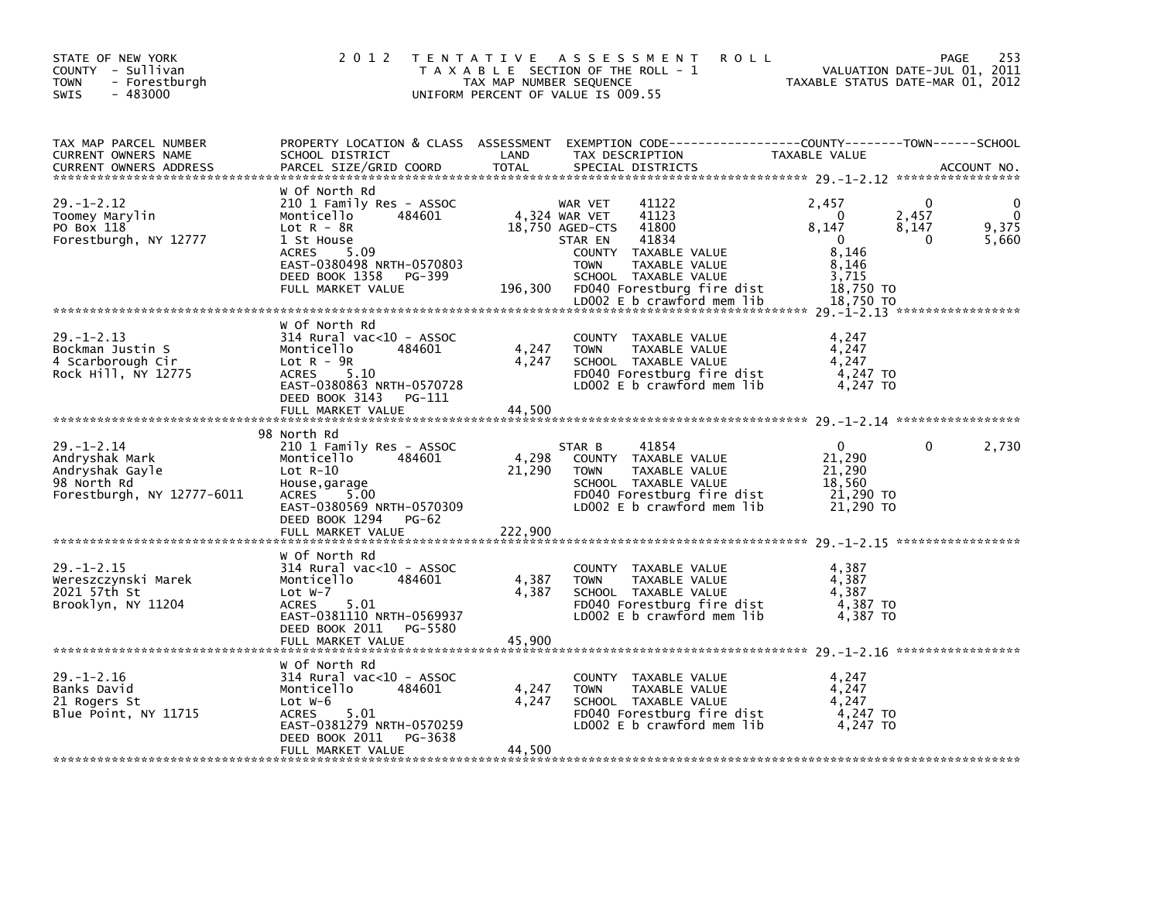| STATE OF NEW YORK<br>COUNTY - Sullivan<br>- Forestburgh<br><b>TOWN</b><br>$-483000$<br><b>SWIS</b> | 2 0 1 2                                                                                                                                                                                               | TAX MAP NUMBER SEQUENCE                            | TENTATIVE ASSESSMENT<br><b>ROLL</b><br>T A X A B L E SECTION OF THE ROLL - 1<br>UNIFORM PERCENT OF VALUE IS 009.55                                                                                                                     |                                                                                      | 253<br>PAGE<br>VALUATION DATE-JUL 01, 2011<br>TAXABLE STATUS DATE-MAR 01, 2012 |
|----------------------------------------------------------------------------------------------------|-------------------------------------------------------------------------------------------------------------------------------------------------------------------------------------------------------|----------------------------------------------------|----------------------------------------------------------------------------------------------------------------------------------------------------------------------------------------------------------------------------------------|--------------------------------------------------------------------------------------|--------------------------------------------------------------------------------|
| TAX MAP PARCEL NUMBER<br>CURRENT OWNERS NAME<br><b>CURRENT OWNERS ADDRESS</b>                      | PROPERTY LOCATION & CLASS ASSESSMENT<br>SCHOOL DISTRICT<br>PARCEL SIZE/GRID COORD                                                                                                                     | LAND<br><b>TOTAL</b>                               | EXEMPTION CODE-----------------COUNTY-------TOWN------SCHOOL<br>TAX DESCRIPTION<br>SPECIAL DISTRICTS                                                                                                                                   | TAXABLE VALUE                                                                        | ACCOUNT NO.                                                                    |
| $29. - 1 - 2.12$<br>Toomey Marylin<br>PO Box 118<br>Forestburgh, NY 12777                          | W Of North Rd<br>210 1 Family Res - ASSOC<br>Monticello<br>484601<br>Lot $R - 8R$<br>1 St House<br><b>ACRES</b><br>5.09<br>EAST-0380498 NRTH-0570803<br>DEED BOOK 1358<br>PG-399<br>FULL MARKET VALUE | 196,300                                            | WAR VET<br>41122<br>41123<br>4,324 WAR VET<br>18,750 AGED-CTS<br>41800<br>41834<br>STAR EN<br>COUNTY TAXABLE VALUE<br><b>TOWN</b><br>TAXABLE VALUE<br>SCHOOL TAXABLE VALUE<br>FD040 Forestburg fire dist<br>LD002 E b crawford mem lib | 2,457<br>0<br>8,147<br>$\Omega$<br>8.146<br>8,146<br>3,715<br>18,750 TO<br>18,750 TO | 0<br>2,457<br>0<br>9,375<br>8,147<br>5,660<br>0                                |
| $29. - 1 - 2.13$<br>Bockman Justin S<br>4 Scarborough Cir<br>Rock Hill, NY 12775                   | w of North Rd<br>$314$ Rural vac< $10$ - ASSOC<br>Monticello<br>484601<br>$Lot R - 9R$<br>5.10<br><b>ACRES</b><br>EAST-0380863 NRTH-0570728<br>DEED BOOK 3143<br>PG-111<br>FULL MARKET VALUE          | 4,247<br>4,247<br>44,500                           | COUNTY TAXABLE VALUE<br>TAXABLE VALUE<br><b>TOWN</b><br>SCHOOL TAXABLE VALUE<br>FD040 Forestburg fire dist<br>LD002 E b crawford mem lib                                                                                               | 4,247<br>4,247<br>4,247<br>4,247 TO<br>4,247 TO                                      |                                                                                |
| $29. - 1 - 2.14$<br>Andryshak Mark<br>Andryshak Gayle<br>98 North Rd<br>Forestburgh, NY 12777-6011 | 98 North Rd<br>210 1 Family Res - ASSOC<br>Monticello<br>484601<br>$Lot R-10$<br>House, garage<br>5.00<br>ACRES<br>EAST-0380569 NRTH-0570309<br>DEED BOOK 1294<br>PG-62<br>FULL MARKET VALUE          | 4,298<br>21,290<br>222,900                         | 41854<br>STAR B<br>COUNTY TAXABLE VALUE<br><b>TOWN</b><br>TAXABLE VALUE<br>SCHOOL TAXABLE VALUE<br>FD040 Forestburg fire dist<br>LD002 E b crawford mem lib                                                                            | 0<br>21,290<br>21,290<br>18,560<br>21,290 TO<br>21,290 TO                            | 2,730<br>0                                                                     |
| $29. - 1 - 2.15$<br>Wereszczynski Marek<br>2021 57th St<br>Brooklyn, NY 11204                      | w Of North Rd<br>$314$ Rural vac< $10$ - ASSOC<br>Monticello<br>484601<br>Lot $W-7$<br><b>ACRES</b><br>5.01<br>EAST-0381110 NRTH-0569937<br>DEED BOOK 2011<br>PG-5580<br>FULL MARKET VALUE            | 4,387<br>4,387<br>45.900                           | COUNTY TAXABLE VALUE<br><b>TOWN</b><br>TAXABLE VALUE<br>SCHOOL TAXABLE VALUE<br>FD040 Forestburg fire dist<br>LD002 E b crawford mem lib                                                                                               | 4,387<br>4,387<br>4,387<br>4,387 TO<br>4,387 TO                                      |                                                                                |
| $29. - 1 - 2.16$<br>Banks David<br>21 Rogers St<br>Blue Point, NY 11715                            | w Of North Rd<br>314 Rural vac<10 - ASSOC<br>Monticello<br>484601<br>Lot $W-6$<br><b>ACRES</b><br>5.01<br>EAST-0381279 NRTH-0570259<br>DEED BOOK 2011<br>PG-3638<br>FULL MARKET VALUE                 | 4,247<br>4,247<br>44,500<br>وہ بڑھ بڑھ بڑھ بڑھ بڑھ | COUNTY TAXABLE VALUE<br><b>TOWN</b><br>TAXABLE VALUE<br>SCHOOL TAXABLE VALUE<br>FD040 Forestburg fire dist<br>LD002 E b crawford mem lib                                                                                               | 4,247<br>4,247<br>4,247<br>4,247 TO<br>4.247 TO                                      |                                                                                |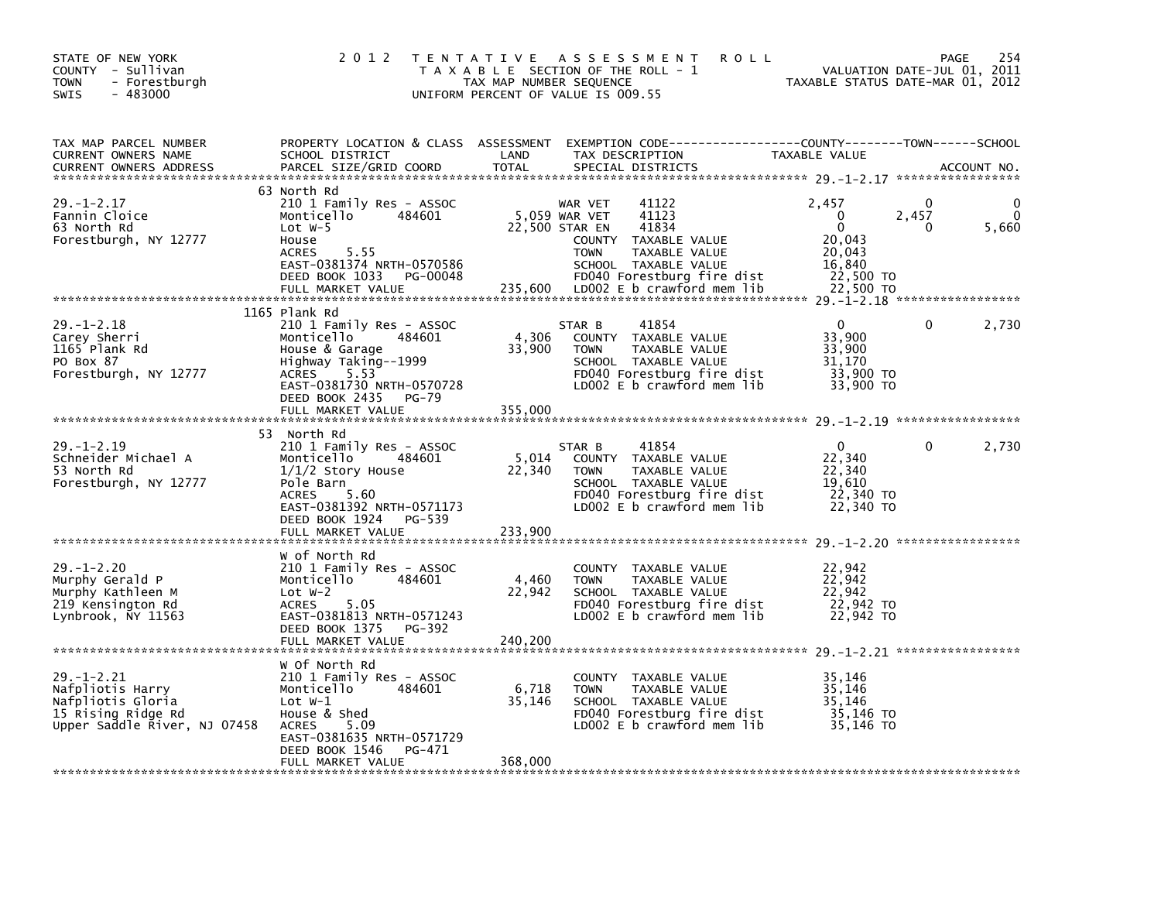| STATE OF NEW YORK<br>COUNTY - Sullivan<br><b>TOWN</b><br>- Forestburgh<br><b>SWIS</b><br>$-483000$              | 2 0 1 2                                                                                                                                                                                                       | T E N T A T I V E<br>A S S E S S M E N T<br>T A X A B L E SECTION OF THE ROLL - 1<br>TAX MAP NUMBER SEQUENCE<br>UNIFORM PERCENT OF VALUE IS 009.55                                                                           | <b>ROLL</b><br>VALUATION DATE-JUL 01, 2011<br>TAXABLE STATUS DATE-MAR 01, 2012                                  | 254<br>PAGE |
|-----------------------------------------------------------------------------------------------------------------|---------------------------------------------------------------------------------------------------------------------------------------------------------------------------------------------------------------|------------------------------------------------------------------------------------------------------------------------------------------------------------------------------------------------------------------------------|-----------------------------------------------------------------------------------------------------------------|-------------|
| TAX MAP PARCEL NUMBER<br>CURRENT OWNERS NAME<br><b>CURRENT OWNERS ADDRESS</b>                                   | PROPERTY LOCATION & CLASS ASSESSMENT<br>SCHOOL DISTRICT<br>PARCEL SIZE/GRID COORD                                                                                                                             | LAND<br>TAX DESCRIPTION<br>TOTAL<br>SPECIAL DISTRICTS                                                                                                                                                                        | EXEMPTION CODE-----------------COUNTY-------TOWN------SCHOOL<br>TAXABLE VALUE                                   | ACCOUNT NO. |
| $29. - 1 - 2.17$<br>Fannin Cloice<br>63 North Rd<br>Forestburgh, NY 12777                                       | 63 North Rd<br>210 1 Family Res - ASSOC<br>484601<br>Monticello<br>Lot $W-5$<br>House<br>5.55<br><b>ACRES</b><br>EAST-0381374 NRTH-0570586<br>DEED BOOK 1033<br>PG-00048<br>FULL MARKET VALUE                 | 41122<br>WAR VET<br>41123<br>5,059 WAR VET<br>22,500 STAR EN<br>41834<br>COUNTY TAXABLE VALUE<br><b>TOWN</b><br>TAXABLE VALUE<br>SCHOOL TAXABLE VALUE<br>FD040 Forestburg fire dist<br>235,600<br>LD002 E b crawford mem lib | 2,457<br>0<br>$\mathbf{0}$<br>2,457<br>$\mathbf 0$<br>0<br>20,043<br>20,043<br>16,840<br>22,500 TO<br>22,500 TO | 0<br>5,660  |
| $29. - 1 - 2.18$<br>Carey Sherri<br>1165 Plank Rd<br>PO Box 87<br>Forestburgh, NY 12777                         | 1165 Plank Rd<br>210 1 Family Res - ASSOC<br>Monticello<br>484601<br>House & Garage<br>Highway Taking--1999<br>5.53<br><b>ACRES</b><br>EAST-0381730 NRTH-0570728<br>DEED BOOK 2435 PG-79<br>FULL MARKET VALUE | 41854<br>STAR B<br>4,306<br>COUNTY TAXABLE VALUE<br>33,900<br><b>TOWN</b><br>TAXABLE VALUE<br>SCHOOL TAXABLE VALUE<br>FD040 Forestburg fire dist<br>LD002 $E$ b crawford mem $lib$<br>355,000                                | $\Omega$<br>0<br>33,900<br>33,900<br>31,170<br>33,900 TO<br>33,900 TO                                           | 2,730       |
| $29. - 1 - 2.19$<br>Schneider Michael A<br>53 North Rd<br>Forestburgh, NY 12777                                 | 53 North Rd<br>210 1 Family Res - ASSOC<br>Monticello<br>484601<br>$1/1/2$ Story House<br>Pole Barn<br>5.60<br><b>ACRES</b><br>EAST-0381392 NRTH-0571173<br>DEED BOOK 1924 PG-539                             | 41854<br>STAR B<br>5,014<br>COUNTY TAXABLE VALUE<br>22,340<br><b>TOWN</b><br>TAXABLE VALUE<br>SCHOOL TAXABLE VALUE<br>FD040 Forestburg fire dist<br>LD002 E b crawford mem lib                                               | $\Omega$<br>$\Omega$<br>22,340<br>22,340<br>19,610<br>22,340 TO<br>22,340 TO                                    | 2,730       |
|                                                                                                                 | FULL MARKET VALUE                                                                                                                                                                                             | 233,900                                                                                                                                                                                                                      |                                                                                                                 |             |
| $29. - 1 - 2.20$<br>Murphy Gerald P<br>Murphy Kathleen M<br>219 Kensington Rd<br>Lynbrook, NY 11563             | W of North Rd<br>210 1 Family Res - ASSOC<br>484601<br>Monticello<br>Lot $W-2$<br><b>ACRES</b><br>5.05<br>EAST-0381813 NRTH-0571243<br>DEED BOOK 1375<br>PG-392<br>FULL MARKET VALUE                          | COUNTY<br>TAXABLE VALUE<br>4,460<br>TAXABLE VALUE<br><b>TOWN</b><br>22,942<br>SCHOOL TAXABLE VALUE<br>FD040 Forestburg fire dist<br>LD002 E b crawford mem lib<br>240.200                                                    | 22,942<br>22,942<br>22.942<br>22,942 TO<br>22,942 TO                                                            |             |
|                                                                                                                 | W Of North Rd                                                                                                                                                                                                 |                                                                                                                                                                                                                              |                                                                                                                 |             |
| $29. - 1 - 2.21$<br>Nafpliotis Harry<br>Nafpliotis Gloria<br>15 Rising Ridge Rd<br>Upper Saddle River, NJ 07458 | 210 1 Family Res - ASSOC<br>Monticello<br>484601<br>Lot $W-1$<br>House & Shed<br><b>ACRES</b><br>5.09<br>EAST-0381635 NRTH-0571729<br>DEED BOOK 1546<br>PG-471                                                | COUNTY TAXABLE VALUE<br>6,718<br><b>TOWN</b><br>TAXABLE VALUE<br>35,146<br>SCHOOL TAXABLE VALUE<br>FD040 Forestburg fire dist<br>LD002 $E$ b crawford mem lib                                                                | 35,146<br>35,146<br>35,146<br>35,146 TO<br>35,146 TO                                                            |             |
|                                                                                                                 | FULL MARKET VALUE                                                                                                                                                                                             | 368,000                                                                                                                                                                                                                      |                                                                                                                 |             |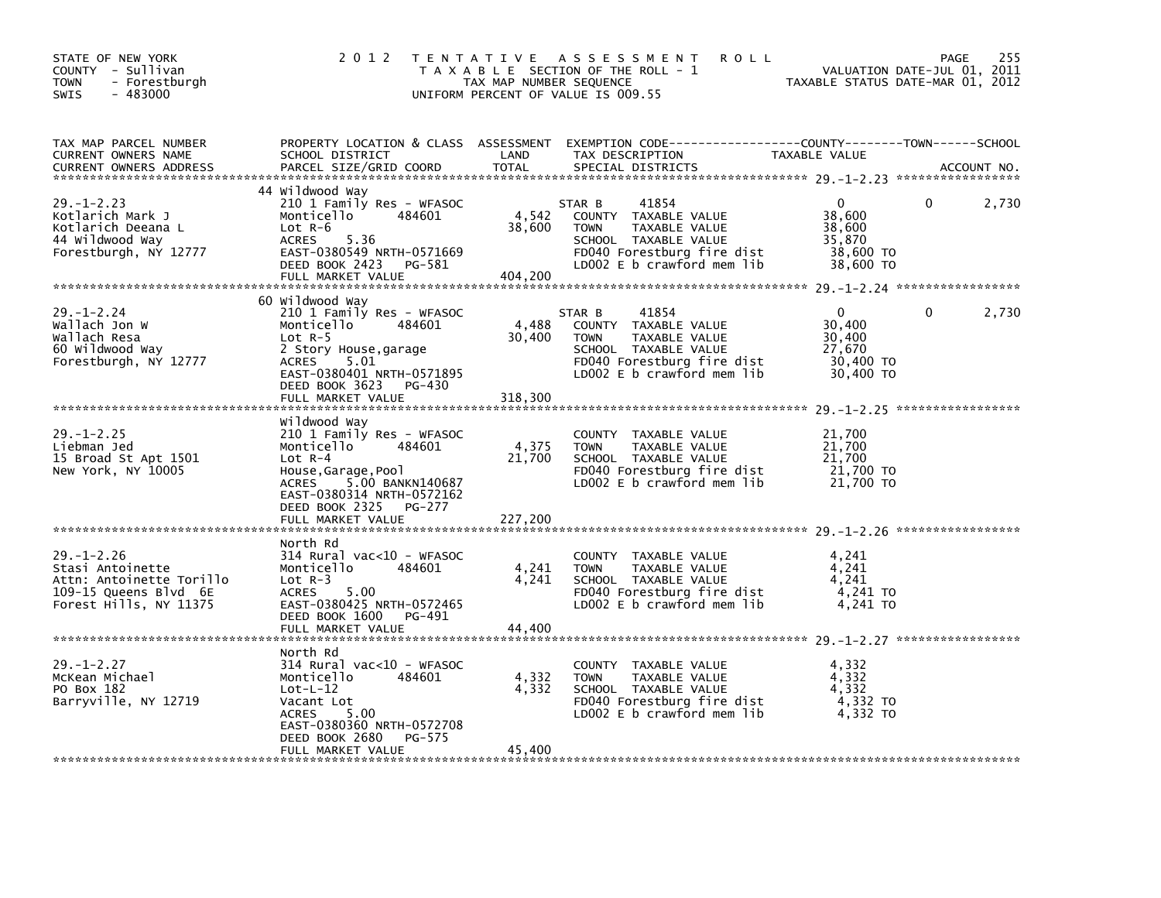| STATE OF NEW YORK<br>COUNTY - Sullivan<br>- Forestburgh<br><b>TOWN</b><br>$-483000$<br>SWIS                         | 2 0 1 2                                                                                                                                                                                                                 | TAX MAP NUMBER SEQUENCE    | TENTATIVE ASSESSMENT<br><b>ROLL</b><br>T A X A B L E SECTION OF THE ROLL - 1<br>UNIFORM PERCENT OF VALUE IS 009.55                                          | VALUATION DATE-JUL 01, 2011<br>TAXABLE STATUS DATE-MAR 01, 2012  | PAGE     | 255         |
|---------------------------------------------------------------------------------------------------------------------|-------------------------------------------------------------------------------------------------------------------------------------------------------------------------------------------------------------------------|----------------------------|-------------------------------------------------------------------------------------------------------------------------------------------------------------|------------------------------------------------------------------|----------|-------------|
| TAX MAP PARCEL NUMBER<br>CURRENT OWNERS NAME<br><b>CURRENT OWNERS ADDRESS</b>                                       | PROPERTY LOCATION & CLASS ASSESSMENT<br>SCHOOL DISTRICT<br>PARCEL SIZE/GRID COORD                                                                                                                                       | LAND<br><b>TOTAL</b>       | TAX DESCRIPTION<br>SPECIAL DISTRICTS                                                                                                                        | TAXABLE VALUE                                                    |          | ACCOUNT NO. |
| $29. - 1 - 2.23$<br>Kotlarich Mark J<br>Kotlarich Deeana L<br>44 Wildwood Way<br>Forestburgh, NY 12777              | 44 Wildwood Way<br>210 1 Family Res - WFASOC<br>Monticello<br>484601<br>$Lot R-6$<br>5.36<br><b>ACRES</b><br>EAST-0380549 NRTH-0571669<br>DEED BOOK 2423<br>PG-581<br>FULL MARKET VALUE                                 | 4,542<br>38,600<br>404,200 | 41854<br>STAR B<br>COUNTY TAXABLE VALUE<br><b>TOWN</b><br>TAXABLE VALUE<br>SCHOOL TAXABLE VALUE<br>FD040 Forestburg fire dist<br>LD002 E b crawford mem lib | 0<br>38,600<br>38,600<br>35,870<br>38,600 TO<br>38,600 TO        | 0        | 2,730       |
| $29. - 1 - 2.24$<br>Wallach Jon W<br>Wallach Resa<br>60 Wildwood Way<br>Forestburgh, NY 12777                       | 60 Wildwood Way<br>210 1 Family Res - WFASOC<br>Monticello<br>484601<br>Lot $R-5$<br>2 Story House, garage<br>5.01<br>ACRES<br>EAST-0380401 NRTH-0571895<br>DEED BOOK 3623<br>PG-430<br>FULL MARKET VALUE               | 4,488<br>30,400<br>318,300 | 41854<br>STAR B<br>COUNTY TAXABLE VALUE<br>TAXABLE VALUE<br><b>TOWN</b><br>SCHOOL TAXABLE VALUE<br>FD040 Forestburg fire dist<br>LD002 E b crawford mem lib | $\Omega$<br>30,400<br>30,400<br>27,670<br>30,400 TO<br>30,400 TO | $\Omega$ | 2,730       |
| $29. - 1 - 2.25$<br>Liebman Jed<br>15 Broad St Apt 1501<br>New York, NY 10005                                       | Wildwood Way<br>210 1 Family Res - WFASOC<br>Monticello<br>484601<br>$Lot R-4$<br>House, Garage, Pool<br>5.00 BANKN140687<br><b>ACRES</b><br>EAST-0380314 NRTH-0572162<br>DEED BOOK 2325<br>PG-277<br>FULL MARKET VALUE | 4,375<br>21,700<br>227,200 | COUNTY TAXABLE VALUE<br><b>TOWN</b><br>TAXABLE VALUE<br>SCHOOL TAXABLE VALUE<br>FD040 Forestburg fire dist<br>$LD002 E b$ crawford mem lib                  | 21,700<br>21,700<br>21,700<br>21,700 TO<br>21,700 TO             |          |             |
| $29. - 1 - 2.26$<br>Stasi Antoinette<br>Attn: Antoinette Torillo<br>109-15 Queens Blvd 6E<br>Forest Hills, NY 11375 | North Rd<br>$314$ Rural vac< $10$ - WFASOC<br>Monticello<br>484601<br>$Lot R-3$<br>ACRES<br>5.00<br>EAST-0380425 NRTH-0572465<br>DEED BOOK 1600<br>PG-491<br>FULL MARKET VALUE                                          | 4,241<br>4,241<br>44.400   | COUNTY TAXABLE VALUE<br><b>TOWN</b><br>TAXABLE VALUE<br>SCHOOL TAXABLE VALUE<br>FD040 Forestburg fire dist<br>LD002 E b crawford mem lib                    | 4,241<br>4.241<br>4,241<br>4,241 TO<br>4,241 TO                  |          |             |
| $29. - 1 - 2.27$<br>McKean Michael<br>PO Box 182<br>Barryville, NY 12719                                            | North Rd<br>314 Rural vac<10 - WFASOC<br>Monticello<br>484601<br>$Lot-L-12$<br>Vacant Lot<br><b>ACRES</b><br>5.00<br>EAST-0380360 NRTH-0572708<br>DEED BOOK 2680<br>PG-575<br>FULL MARKET VALUE                         | 4,332<br>4,332<br>45,400   | COUNTY TAXABLE VALUE<br><b>TOWN</b><br>TAXABLE VALUE<br>SCHOOL TAXABLE VALUE<br>FD040 Forestburg fire dist<br>LD002 E b crawford mem lib                    | 4,332<br>4,332<br>4,332<br>4,332 TO<br>4,332 TO                  |          |             |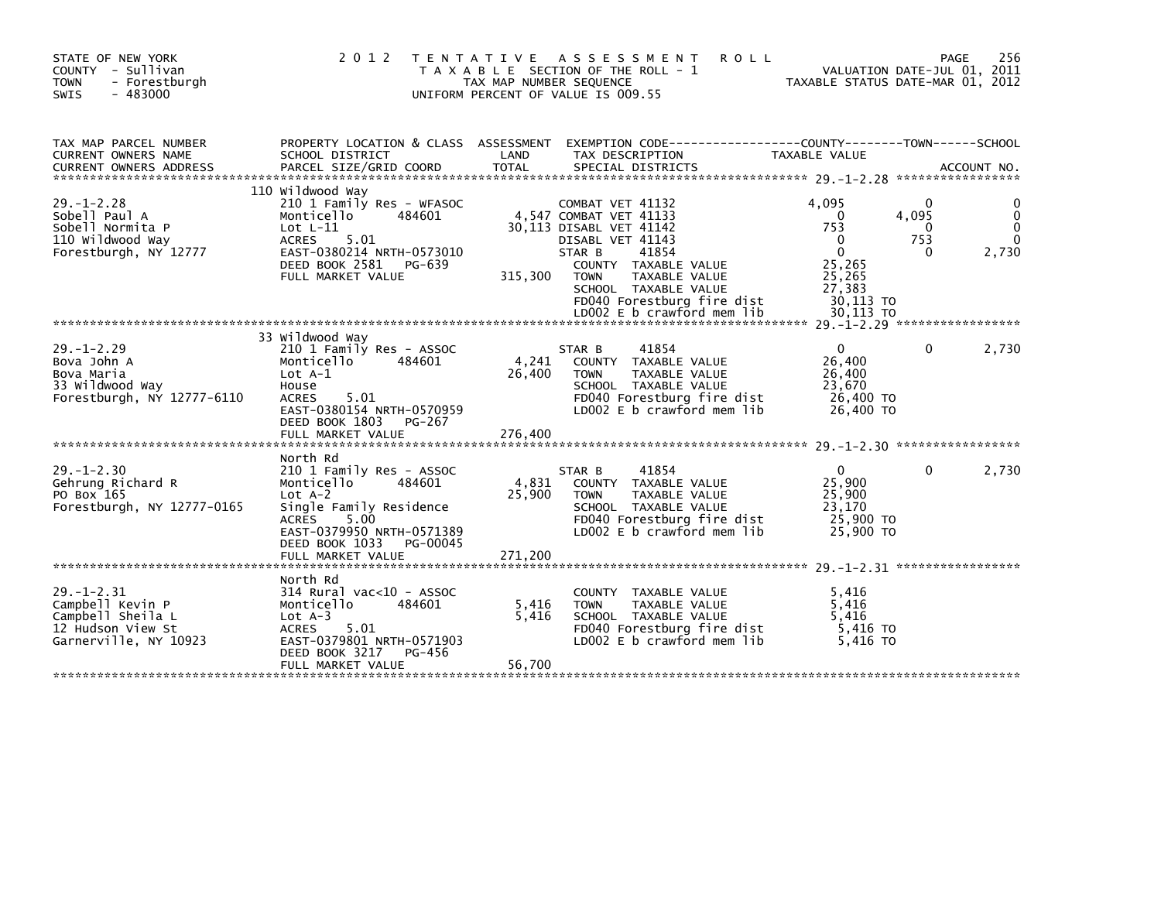| STATE OF NEW YORK<br>COUNTY - Sullivan<br>- Forestburgh<br><b>TOWN</b><br>$-483000$<br><b>SWIS</b>      | 2 0 1 2                                                                                                                                                                                                      | T E N T A T I V E<br>A S S E S S M E N T<br><b>ROLL</b><br>T A X A B L E SECTION OF THE ROLL - 1<br>TAX MAP NUMBER SEQUENCE<br>UNIFORM PERCENT OF VALUE IS 009.55                                                                     | VALUATION DATE-JUL 01, 2011<br>TAXABLE STATUS DATE-MAR 01, 2012                                                     | 256<br>PAGE                            |
|---------------------------------------------------------------------------------------------------------|--------------------------------------------------------------------------------------------------------------------------------------------------------------------------------------------------------------|---------------------------------------------------------------------------------------------------------------------------------------------------------------------------------------------------------------------------------------|---------------------------------------------------------------------------------------------------------------------|----------------------------------------|
| TAX MAP PARCEL NUMBER<br>CURRENT OWNERS NAME                                                            | PROPERTY LOCATION & CLASS ASSESSMENT<br>SCHOOL DISTRICT                                                                                                                                                      | LAND<br>TAX DESCRIPTION                                                                                                                                                                                                               | TAXABLE VALUE                                                                                                       |                                        |
| $29. - 1 - 2.28$<br>Sobell Paul A<br>Sobell Normita P<br>110 Wildwood Way<br>Forestburgh, NY 12777      | 110 Wildwood Way<br>210 1 Family Res - WFASOC<br>Monticello<br>484601<br>$Lot L-11$<br>5.01<br><b>ACRES</b><br>EAST-0380214 NRTH-0573010<br>DEED BOOK 2581<br>PG-639<br>FULL MARKET VALUE                    | COMBAT VET 41132<br>4,547 COMBAT VET 41133<br>30,113 DISABL VET 41142<br>DISABL VET 41143<br>41854<br>STAR B<br>COUNTY TAXABLE VALUE<br>315,300<br>TAXABLE VALUE<br><b>TOWN</b><br>SCHOOL TAXABLE VALUE<br>FD040 Forestburg fire dist | 4.095<br>4,095<br>$\mathbf{0}$<br>753<br>753<br>$\Omega$<br>$\mathbf{0}$<br>25,265<br>25,265<br>27.383<br>30,113 TO | 0<br>$\mathbf{0}$<br>2,730<br>$\Omega$ |
| $29. - 1 - 2.29$<br>Bova John A<br>Bova Maria<br>33 Wildwood Way<br>Forestburgh, NY 12777-6110          | 33 Wildwood Way<br>210 1 Family Res - ASSOC<br>484601<br>Monticello<br>Lot $A-1$<br>House<br>5.01<br><b>ACRES</b><br>EAST-0380154 NRTH-0570959<br>DEED BOOK 1803<br>PG-267<br>FULL MARKET VALUE              | 41854<br>STAR B<br>4,241<br>COUNTY TAXABLE VALUE<br>26,400<br><b>TOWN</b><br>TAXABLE VALUE<br>SCHOOL TAXABLE VALUE<br>FD040 Forestburg fire dist<br>LD002 E b crawford mem lib<br>276,400                                             | $\Omega$<br>26,400<br>26,400<br>23,670<br>26,400 TO<br>26,400 TO                                                    | 2,730<br>0                             |
| $29. - 1 - 2.30$<br>Gehrung Richard R<br>PO Box 165<br>Forestburgh, NY 12777-0165                       | North Rd<br>210 1 Family Res - ASSOC<br>Monticello<br>484601<br>$Lot A-2$<br>Single Family Residence<br>5.00<br><b>ACRES</b><br>EAST-0379950 NRTH-0571389<br>DEED BOOK 1033<br>PG-00045<br>FULL MARKET VALUE | 41854<br>STAR B<br>4,831<br>COUNTY TAXABLE VALUE<br>25,900<br>TAXABLE VALUE<br><b>TOWN</b><br>SCHOOL TAXABLE VALUE<br>FD040 Forestburg fire dist<br>LD002 E b crawford mem lib<br>271.200                                             | $\mathbf{0}$<br>25,900<br>25,900<br>23.170<br>25,900 TO<br>25,900 TO                                                | 2,730<br>0                             |
| $29. - 1 - 2.31$<br>Campbell Kevin P<br>Campbell Sheila L<br>12 Hudson View St<br>Garnerville, NY 10923 | North Rd<br>314 Rural vac<10 - ASSOC<br>Monticello<br>484601<br>$Lot A-3$<br>5.01<br><b>ACRES</b><br>EAST-0379801 NRTH-0571903<br>DEED BOOK 3217<br>PG-456<br>FULL MARKET VALUE                              | COUNTY TAXABLE VALUE<br>5,416<br><b>TOWN</b><br>TAXABLE VALUE<br>5,416<br>SCHOOL TAXABLE VALUE<br>FD040 Forestburg fire dist<br>LD002 E b crawford mem lib<br>56,700                                                                  | 5,416<br>5,416<br>5,416<br>5,416 TO<br>5.416 TO                                                                     |                                        |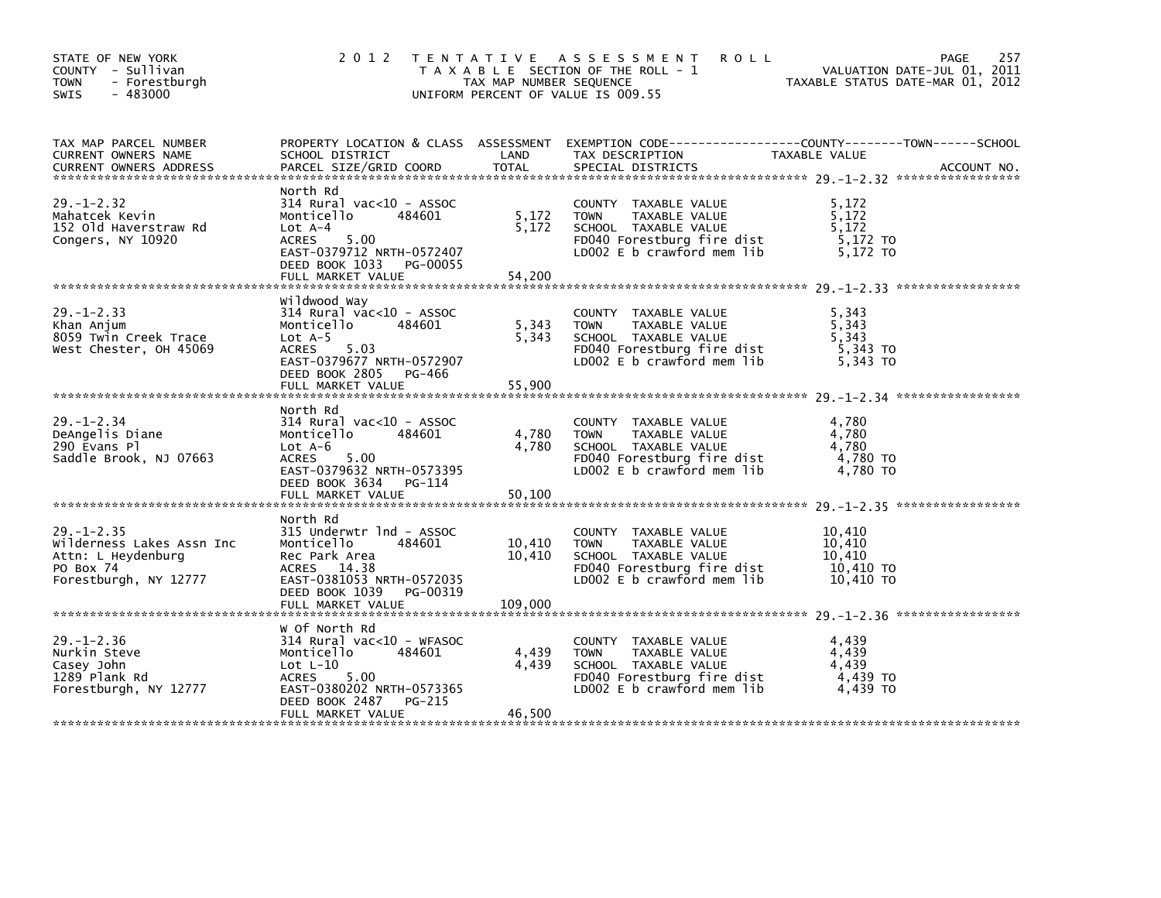| STATE OF NEW YORK<br>COUNTY - Sullivan<br><b>TOWN</b><br>- Forestburgh<br>$-483000$<br>SWIS               | 2 0 1 2                                                                                                                                                                             | TAX MAP NUMBER SEQUENCE     | TENTATIVE ASSESSMENT<br><b>ROLL</b><br>T A X A B L E SECTION OF THE ROLL - 1<br>UNIFORM PERCENT OF VALUE IS 009.55                         | VALUATION DATE-JUL 01, 2011<br>TAXABLE STATUS DATE-MAR 01, 2012 | 257<br>PAGE |
|-----------------------------------------------------------------------------------------------------------|-------------------------------------------------------------------------------------------------------------------------------------------------------------------------------------|-----------------------------|--------------------------------------------------------------------------------------------------------------------------------------------|-----------------------------------------------------------------|-------------|
| TAX MAP PARCEL NUMBER<br>CURRENT OWNERS NAME<br><b>CURRENT OWNERS ADDRESS</b>                             | SCHOOL DISTRICT<br>PARCEL SIZE/GRID COORD                                                                                                                                           | LAND<br><b>TOTAL</b>        | PROPERTY LOCATION & CLASS ASSESSMENT EXEMPTION CODE----------------COUNTY-------TOWN-----SCHOOL<br>TAX DESCRIPTION<br>SPECIAL DISTRICTS    | TAXABLE VALUE                                                   | ACCOUNT NO. |
| $29. - 1 - 2.32$<br>Mahatcek Kevin<br>152 Old Haverstraw Rd<br>Congers, NY 10920                          | North Rd<br>$314$ Rural vac< $10$ - ASSOC<br>Monticello<br>484601<br>$Lot A-4$<br><b>ACRES</b><br>5.00<br>EAST-0379712 NRTH-0572407<br>DEED BOOK 1033 PG-00055<br>FULL MARKET VALUE | 5,172<br>5,172<br>54,200    | COUNTY TAXABLE VALUE<br>TAXABLE VALUE<br><b>TOWN</b><br>SCHOOL TAXABLE VALUE<br>FD040 Forestburg fire dist<br>LD002 E b crawford mem lib   | 5,172<br>5.172<br>5.172<br>5,172 TO<br>5.172 TO                 |             |
|                                                                                                           |                                                                                                                                                                                     |                             |                                                                                                                                            |                                                                 |             |
| $29. - 1 - 2.33$<br>Khan Anjum<br>8059 Twin Creek Trace<br>West Chester, OH 45069                         | Wildwood Way<br>314 Rural vac<10 - ASSOC<br>Monticello<br>484601<br>Lot $A-5$<br><b>ACRES</b><br>5.03<br>EAST-0379677 NRTH-0572907<br>DEED BOOK 2805 PG-466                         | 5,343<br>5,343              | COUNTY TAXABLE VALUE<br>TAXABLE VALUE<br><b>TOWN</b><br>SCHOOL TAXABLE VALUE<br>FD040 Forestburg fire dist<br>LD002 E b crawford mem lib   | 5.343<br>5.343<br>5,343<br>5,343 TO<br>5,343 TO                 |             |
|                                                                                                           | FULL MARKET VALUE                                                                                                                                                                   | 55,900                      |                                                                                                                                            |                                                                 |             |
| $29. - 1 - 2.34$<br>DeAngelis Diane<br>290 Evans Pl<br>Saddle Brook, NJ 07663                             | North Rd<br>$314$ Rural vac< $10$ - ASSOC<br>Monticello<br>484601<br>$Lot A-6$<br>5.00<br>ACRES<br>EAST-0379632 NRTH-0573395<br>DEED BOOK 3634 PG-114                               | 4,780<br>4,780              | COUNTY TAXABLE VALUE<br><b>TOWN</b><br>TAXABLE VALUE<br>SCHOOL TAXABLE VALUE<br>FD040 Forestburg fire dist<br>LD002 E b crawford mem lib   | 4,780<br>4,780<br>4,780<br>4,780 TO<br>$4,780$ TO               |             |
|                                                                                                           |                                                                                                                                                                                     |                             |                                                                                                                                            |                                                                 |             |
| $29. - 1 - 2.35$<br>Wilderness Lakes Assn Inc<br>Attn: L Heydenburg<br>PO Box 74<br>Forestburgh, NY 12777 | North Rd<br>315 Underwtr 1nd - ASSOC<br>Monticello<br>484601<br>Rec Park Area<br>ACRES 14.38<br>EAST-0381053 NRTH-0572035<br>DEED BOOK 1039<br>PG-00319<br>FULL MARKET VALUE        | 10,410<br>10.410<br>109,000 | COUNTY TAXABLE VALUE<br><b>TOWN</b><br>TAXABLE VALUE<br>SCHOOL TAXABLE VALUE<br>FD040 Forestburg fire dist<br>$LD002 E b$ crawford mem lib | 10,410<br>10,410<br>10.410<br>10,410 TO<br>10.410 TO            |             |
|                                                                                                           |                                                                                                                                                                                     |                             |                                                                                                                                            |                                                                 |             |
| $29. - 1 - 2.36$<br>Nurkin Steve<br>Casey John<br>1289 Plank Rd<br>Forestburgh, NY 12777                  | W Of North Rd<br>$314$ Rural vac< $10$ - WFASOC<br>Monticello<br>484601<br>Lot $L-10$<br><b>ACRES</b><br>5.00<br>EAST-0380202 NRTH-0573365<br>DEED BOOK 2487<br>PG-215              | 4,439<br>4,439              | COUNTY TAXABLE VALUE<br><b>TOWN</b><br>TAXABLE VALUE<br>SCHOOL TAXABLE VALUE<br>FD040 Forestburg fire dist<br>LD002 E b crawford mem lib   | 4,439<br>4,439<br>4,439<br>4,439 TO<br>4,439 TO                 |             |
|                                                                                                           | FULL MARKET VALUE                                                                                                                                                                   | 46,500                      |                                                                                                                                            |                                                                 |             |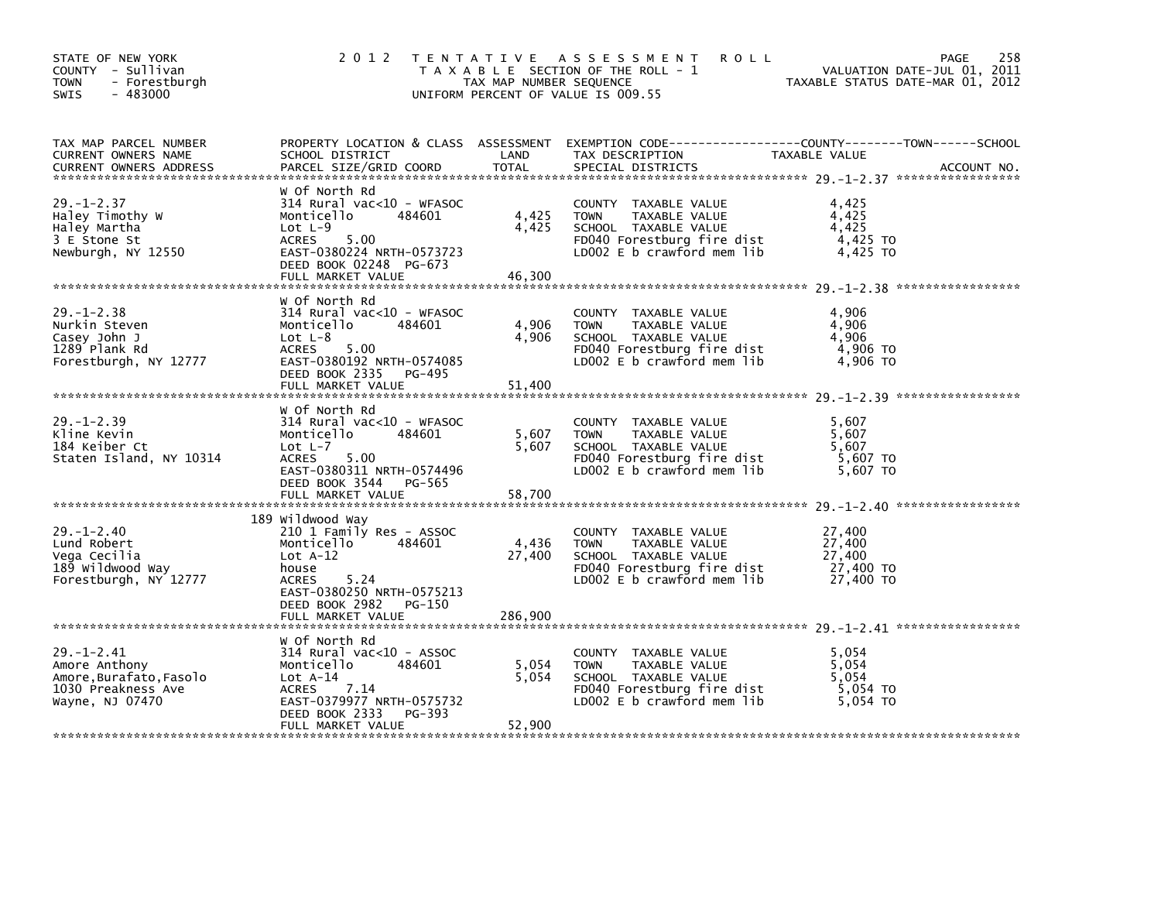| STATE OF NEW YORK<br>COUNTY - Sullivan<br>- Forestburgh<br><b>TOWN</b><br>$-483000$<br><b>SWIS</b>  | 2 0 1 2                                                                                                                                                                                    | TAX MAP NUMBER SEQUENCE    | TENTATIVE ASSESSMENT<br><b>ROLL</b><br>T A X A B L E SECTION OF THE ROLL - 1<br>UNIFORM PERCENT OF VALUE IS 009.55                       | VALUATION DATE-JUL 01, 2011<br>TAXABLE STATUS DATE-MAR 01, 2012 | 258<br><b>PAGE</b> |
|-----------------------------------------------------------------------------------------------------|--------------------------------------------------------------------------------------------------------------------------------------------------------------------------------------------|----------------------------|------------------------------------------------------------------------------------------------------------------------------------------|-----------------------------------------------------------------|--------------------|
| TAX MAP PARCEL NUMBER<br>CURRENT OWNERS NAME<br><b>CURRENT OWNERS ADDRESS</b>                       | SCHOOL DISTRICT<br>PARCEL SIZE/GRID COORD                                                                                                                                                  | LAND<br>TOTAL              | PROPERTY LOCATION & CLASS ASSESSMENT EXEMPTION CODE----------------COUNTY-------TOWN------SCHOOL<br>TAX DESCRIPTION<br>SPECIAL DISTRICTS | TAXABLE VALUE                                                   | ACCOUNT NO.        |
| $29. - 1 - 2.37$<br>Haley Timothy W<br>Haley Martha<br>3 E Stone St<br>Newburgh, NY 12550           | W Of North Rd<br>$314$ Rural vac< $10$ - WFASOC<br>Monticello<br>484601<br>Lot $L-9$<br>5.00<br>ACRES<br>EAST-0380224 NRTH-0573723<br>DEED BOOK 02248 PG-673<br>FULL MARKET VALUE          | 4,425<br>4,425<br>46,300   | COUNTY TAXABLE VALUE<br><b>TOWN</b><br>TAXABLE VALUE<br>SCHOOL TAXABLE VALUE<br>FD040 Forestburg fire dist<br>LD002 E b crawford mem lib | 4,425<br>4,425<br>4.425<br>$4,425$ TO<br>4,425 TO               |                    |
| $29. - 1 - 2.38$<br>Nurkin Steven<br>Casey John J<br>1289 Plank Rd<br>Forestburgh, NY 12777         | w Of North Rd<br>$314$ Rural vac< $10$ - WFASOC<br>Monticello<br>484601<br>Lot $L-8$<br>5.00<br><b>ACRES</b><br>EAST-0380192 NRTH-0574085<br>DEED BOOK 2335<br>PG-495<br>FULL MARKET VALUE | 4,906<br>4,906<br>51,400   | COUNTY TAXABLE VALUE<br><b>TOWN</b><br>TAXABLE VALUE<br>SCHOOL TAXABLE VALUE<br>FD040 Forestburg fire dist<br>LD002 E b crawford mem lib | 4,906<br>4,906<br>4,906<br>4,906 TO<br>4,906 TO                 |                    |
| $29. - 1 - 2.39$<br>Kline Kevin<br>184 Keiber Ct<br>Staten Island, NY 10314                         | w of North Rd<br>$314$ Rural vac< $10$ - WFASOC<br>Monticello<br>484601<br>$Lot L-7$<br>5.00<br>ACRES<br>EAST-0380311 NRTH-0574496<br>DEED BOOK 3544<br>PG-565<br>FULL MARKET VALUE        | 5,607<br>5,607<br>58,700   | COUNTY TAXABLE VALUE<br><b>TOWN</b><br>TAXABLE VALUE<br>SCHOOL TAXABLE VALUE<br>FD040 Forestburg fire dist<br>LD002 E b crawford mem lib | 5,607<br>5,607<br>5.607<br>5,607 TO<br>5,607 TO                 |                    |
| $29. - 1 - 2.40$<br>Lund Robert<br>Vega Cecilia<br>189 wildwood way<br>Forestburgh, NY 12777        | 189 Wildwood Way<br>210 1 Family Res - ASSOC<br>484601<br>Monticello<br>$Lot A-12$<br>house<br>5.24<br>ACRES<br>EAST-0380250 NRTH-0575213<br>DEED BOOK 2982<br>PG-150<br>FULL MARKET VALUE | 4,436<br>27,400<br>286,900 | COUNTY TAXABLE VALUE<br>TAXABLE VALUE<br><b>TOWN</b><br>SCHOOL TAXABLE VALUE<br>FD040 Forestburg fire dist<br>LD002 E b crawford mem lib | 27,400<br>27,400<br>27,400<br>27,400 TO<br>27,400 TO            |                    |
| $29. - 1 - 2.41$<br>Amore Anthony<br>Amore.Burafato.Fasolo<br>1030 Preakness Ave<br>Wayne, NJ 07470 | w Of North Rd<br>$314$ Rural vac< $10$ - ASSOC<br>Monticello<br>484601<br>$Lot A-14$<br>7.14<br><b>ACRES</b><br>EAST-0379977 NRTH-0575732<br>DEED BOOK 2333<br>PG-393<br>FULL MARKET VALUE | 5,054<br>5,054<br>52,900   | COUNTY TAXABLE VALUE<br>TAXABLE VALUE<br><b>TOWN</b><br>SCHOOL TAXABLE VALUE<br>FD040 Forestburg fire dist<br>LD002 E b crawford mem lib | 5,054<br>5,054<br>5.054<br>5,054 TO<br>5.054 TO                 |                    |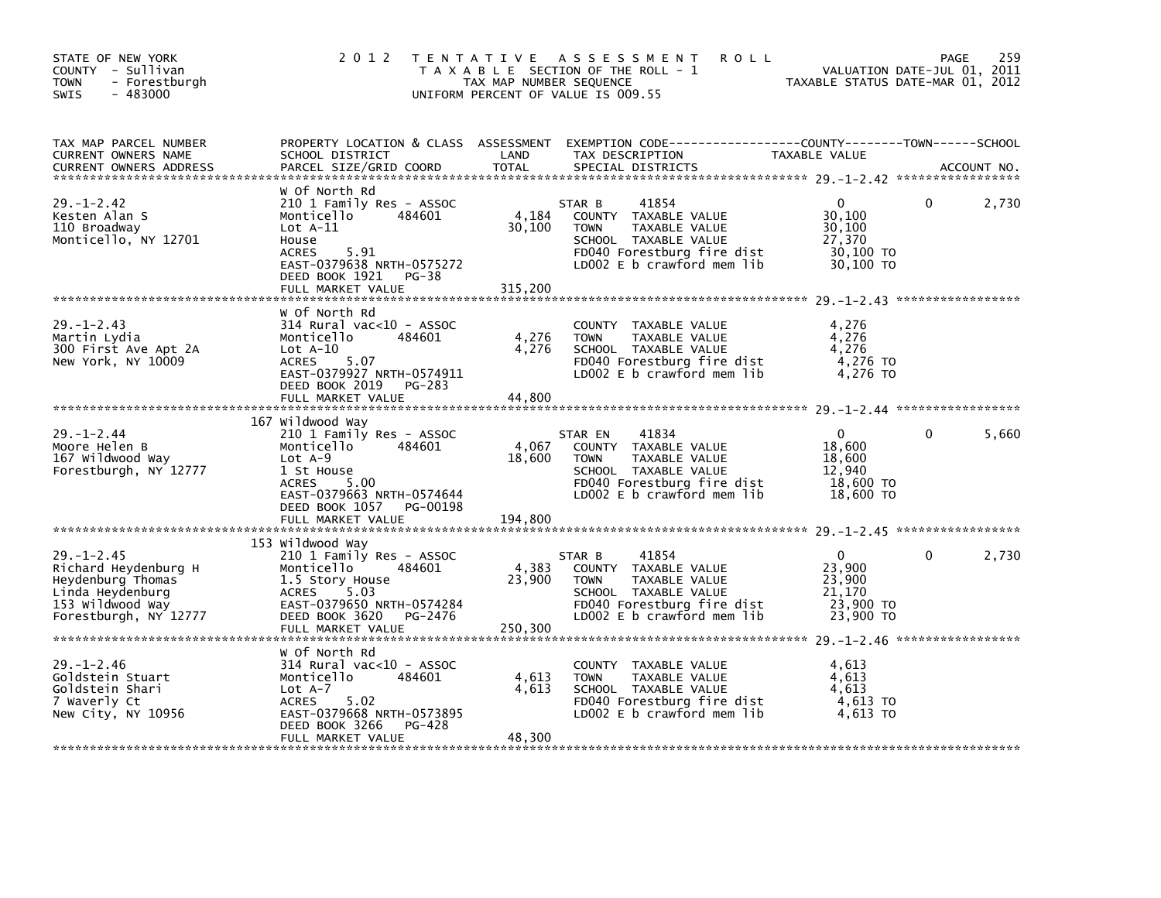| STATE OF NEW YORK<br>COUNTY - Sullivan<br>- Forestburgh<br><b>TOWN</b><br>$-483000$<br>SWIS                                    | 2 0 1 2                                                                                                                                                                                                 | T E N T A T I V E<br>TAX MAP NUMBER SEQUENCE | A S S E S S M E N T<br><b>ROLL</b><br>T A X A B L E SECTION OF THE ROLL - 1<br>UNIFORM PERCENT OF VALUE IS 009.55                                            | VALUATION DATE-JUL 01, 2011<br>TAXABLE STATUS DATE-MAR 01, 2012      | PAGE     | 259         |
|--------------------------------------------------------------------------------------------------------------------------------|---------------------------------------------------------------------------------------------------------------------------------------------------------------------------------------------------------|----------------------------------------------|--------------------------------------------------------------------------------------------------------------------------------------------------------------|----------------------------------------------------------------------|----------|-------------|
| TAX MAP PARCEL NUMBER<br>CURRENT OWNERS NAME<br><b>CURRENT OWNERS ADDRESS</b>                                                  | PROPERTY LOCATION & CLASS ASSESSMENT<br>SCHOOL DISTRICT<br>PARCEL SIZE/GRID COORD                                                                                                                       | LAND<br><b>TOTAL</b>                         | EXEMPTION CODE-----------------COUNTY-------TOWN------SCHOOL<br>TAX DESCRIPTION<br>SPECIAL DISTRICTS                                                         | TAXABLE VALUE                                                        |          | ACCOUNT NO. |
| $29. - 1 - 2.42$<br>Kesten Alan S<br>110 Broadway<br>Monticello, NY 12701                                                      | W Of North Rd<br>210 1 Family Res - ASSOC<br>Monticello<br>484601<br>$Lot A-11$<br>House<br>5.91<br><b>ACRES</b><br>EAST-0379638 NRTH-0575272<br>DEED BOOK 1921<br>PG-38<br>FULL MARKET VALUE           | 4,184<br>30,100<br>315,200                   | 41854<br>STAR B<br>COUNTY TAXABLE VALUE<br><b>TOWN</b><br>TAXABLE VALUE<br>SCHOOL TAXABLE VALUE<br>FD040 Forestburg fire dist<br>LD002 E b crawford mem lib  | $\Omega$<br>30,100<br>30,100<br>27,370<br>30,100 TO<br>30,100 TO     | 0        | 2,730       |
| $29. - 1 - 2.43$<br>Martin Lydia<br>300 First Ave Apt 2A<br>New York, NY 10009                                                 | W Of North Rd<br>$314$ Rural vac< $10$ - ASSOC<br>Monticello<br>484601<br>Lot $A-10$<br>5.07<br><b>ACRES</b><br>EAST-0379927 NRTH-0574911<br>DEED BOOK 2019<br>PG-283<br>FULL MARKET VALUE              | 4,276<br>4,276<br>44.800                     | COUNTY TAXABLE VALUE<br><b>TOWN</b><br>TAXABLE VALUE<br>SCHOOL TAXABLE VALUE<br>FD040 Forestburg fire dist<br>LD002 E b crawford mem lib                     | 4,276<br>4,276<br>4,276<br>4,276 TO<br>4,276 TO                      |          |             |
| $29. - 1 - 2.44$<br>Moore Helen B<br>167 Wildwood Way<br>Forestburgh, NY 12777                                                 | 167 Wildwood Way<br>210 1 Family Res - ASSOC<br>Monticello<br>484601<br>$Lot A-9$<br>1 St House<br>5.00<br><b>ACRES</b><br>EAST-0379663 NRTH-0574644<br>DEED BOOK 1057<br>PG-00198<br>FULL MARKET VALUE | 4,067<br>18,600<br>194,800                   | 41834<br>STAR EN<br>COUNTY TAXABLE VALUE<br><b>TOWN</b><br>TAXABLE VALUE<br>SCHOOL TAXABLE VALUE<br>FD040 Forestburg fire dist<br>LD002 E b crawford mem lib | $\mathbf{0}$<br>18,600<br>18,600<br>12,940<br>18,600 TO<br>18,600 TO | $\Omega$ | 5,660       |
| $29. - 1 - 2.45$<br>Richard Heydenburg H<br>Heydenburg Thomas<br>Linda Heydenburg<br>153 Wildwood Way<br>Forestburgh, NY 12777 | 153 Wildwood Way<br>210 1 Family Res - ASSOC<br>Monticello<br>484601<br>1.5 Story House<br>5.03<br>ACRES<br>EAST-0379650 NRTH-0574284<br>DEED BOOK 3620<br>PG-2476<br>FULL MARKET VALUE                 | 4,383<br>23,900<br>250,300                   | 41854<br>STAR B<br>COUNTY TAXABLE VALUE<br><b>TOWN</b><br>TAXABLE VALUE<br>SCHOOL TAXABLE VALUE<br>FD040 Forestburg fire dist<br>LD002 E b crawford mem lib  | $\mathbf{0}$<br>23,900<br>23,900<br>21,170<br>23,900 TO<br>23,900 TO | 0        | 2,730       |
| $29. - 1 - 2.46$<br>Goldstein Stuart<br>Goldstein Shari<br>7 Waverly Ct<br>New City, NY 10956                                  | W Of North Rd<br>$314$ Rural vac< $10$ - ASSOC<br>Monticello<br>484601<br>$Lot A-7$<br><b>ACRES</b><br>5.02<br>EAST-0379668 NRTH-0573895<br>DEED BOOK 3266<br>PG-428<br>FULL MARKET VALUE               | 4,613<br>4,613<br>48,300                     | COUNTY TAXABLE VALUE<br><b>TOWN</b><br>TAXABLE VALUE<br>SCHOOL TAXABLE VALUE<br>FD040 Forestburg fire dist<br>LD002 E b crawford mem lib                     | 4,613<br>4,613<br>4,613<br>4,613 TO<br>4,613 TO                      |          |             |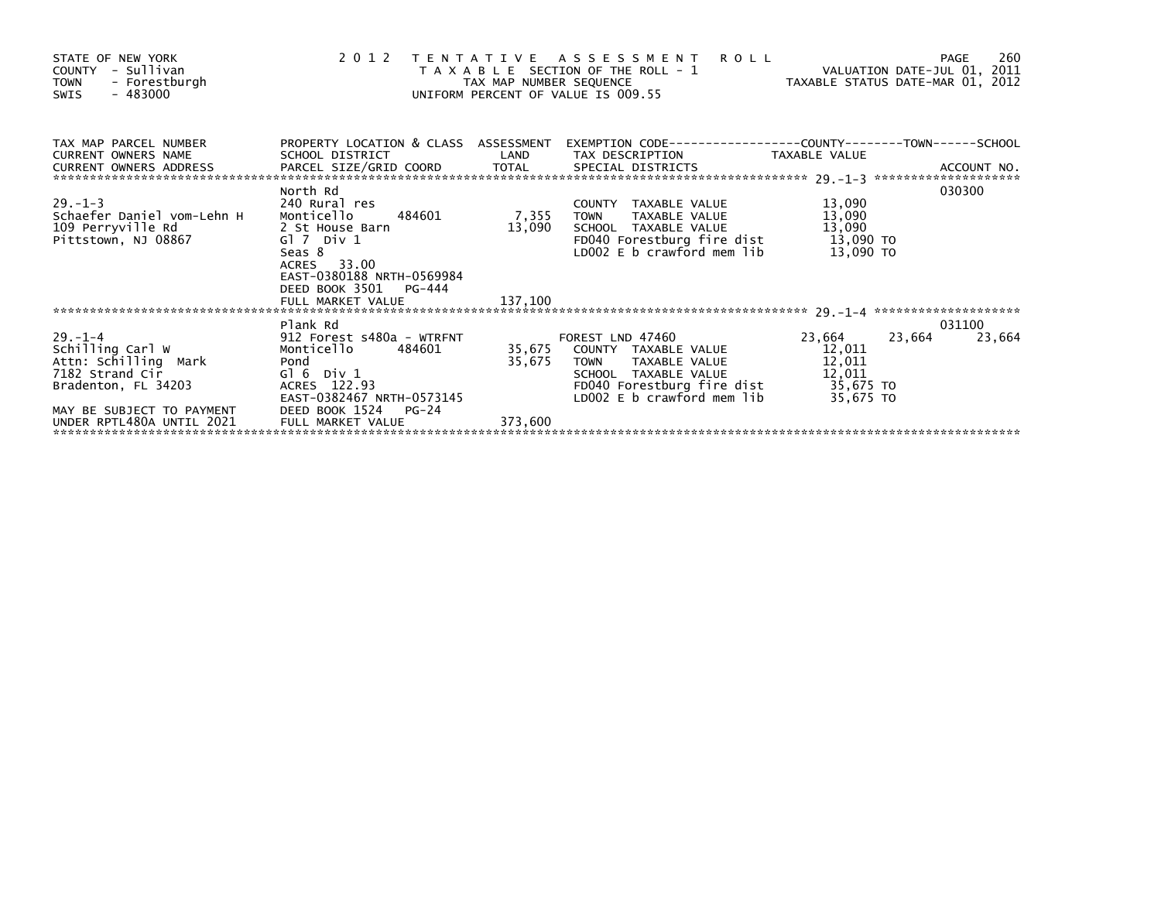| STATE OF NEW YORK<br>COUNTY - Sullivan<br><b>TOWN</b><br>- Forestburgh<br>$-483000$<br>SWIS                                      | 2 0 1 2                                                                                                                                                                                                 |         | TENTATIVE ASSESSMENT<br><b>ROLL</b><br>T A X A B L E SECTION OF THE ROLL - 1 VALUATION DATE-JUL 01, 2011<br>TAX MAP NUMBER SEQUENCE TAXABLE STATUS DATE-MAR 01, 2012<br>JNIFORM PERCENT OF VALUE IS 009.55<br>UNIFORM PERCENT OF VALUE IS 009.55 |                                         | 260<br>PAGE      |
|----------------------------------------------------------------------------------------------------------------------------------|---------------------------------------------------------------------------------------------------------------------------------------------------------------------------------------------------------|---------|--------------------------------------------------------------------------------------------------------------------------------------------------------------------------------------------------------------------------------------------------|-----------------------------------------|------------------|
| TAX MAP PARCEL NUMBER<br><b>CURRENT OWNERS NAME</b>                                                                              | SCHOOL DISTRICT                                                                                                                                                                                         |         | PROPERTY LOCATION & CLASS ASSESSMENT EXEMPTION CODE---------------COUNTY-------TOWN------SCHOOL<br>LAND TAX DESCRIPTION TAXABLE VALUE                                                                                                            |                                         |                  |
| $29. - 1 - 3$<br>Schaefer Daniel vom-Lehn H Monticello 484601<br>109 Perryville Rd 2 St House Barn<br>Pittstown, NJ 08867        | North Rd<br>240 Rural res<br>Gl 7 Div 1<br>Seas 8<br>ACRES 33.00<br>EAST-0380188 NRTH-0569984<br>DEED BOOK 3501<br>PG-444                                                                               | 13,090  | COUNTY TAXABLE VALUE<br>7,355 TOWN TAXABLE VALUE<br>SCHOOL TAXABLE VALUE 13,090<br>FD040 Forestburg fire dist 13,090 TO<br>LDOO2 E b crawford mem lib                                                                                            | 13,090<br>13,090<br>13,090 TO           | 030300           |
|                                                                                                                                  |                                                                                                                                                                                                         |         |                                                                                                                                                                                                                                                  |                                         |                  |
| $29. - 1 - 4$<br>Schilling Carl W<br>Attn: Schilling Mark<br>7182 Strand Cir<br>Bradenton, FL 34203<br>MAY BE SUBJECT TO PAYMENT | Plank Rd<br>912 Forest s480a - WTRFNT<br>Monticello      484601            35.675<br>484601<br>Monticello<br>Pond<br>Gl 6 Div 1<br>ACRES 122.93<br>EAST-0382467 NRTH-0573145<br>DEED BOOK 1524<br>PG-24 | 35,675  | FOREST LND 47460<br>35,675 COUNTY TAXABLE VALUE<br>TAXABLE VALUE 12,011<br><b>TOWN</b><br>LD002 E b crawford mem lib                                                                                                                             | 23,664<br>23,664<br>12,011<br>35,675 TO | 031100<br>23,664 |
| UNDER RPTL480A UNTIL 2021                                                                                                        | FULL MARKET VALUE                                                                                                                                                                                       | 373,600 |                                                                                                                                                                                                                                                  |                                         |                  |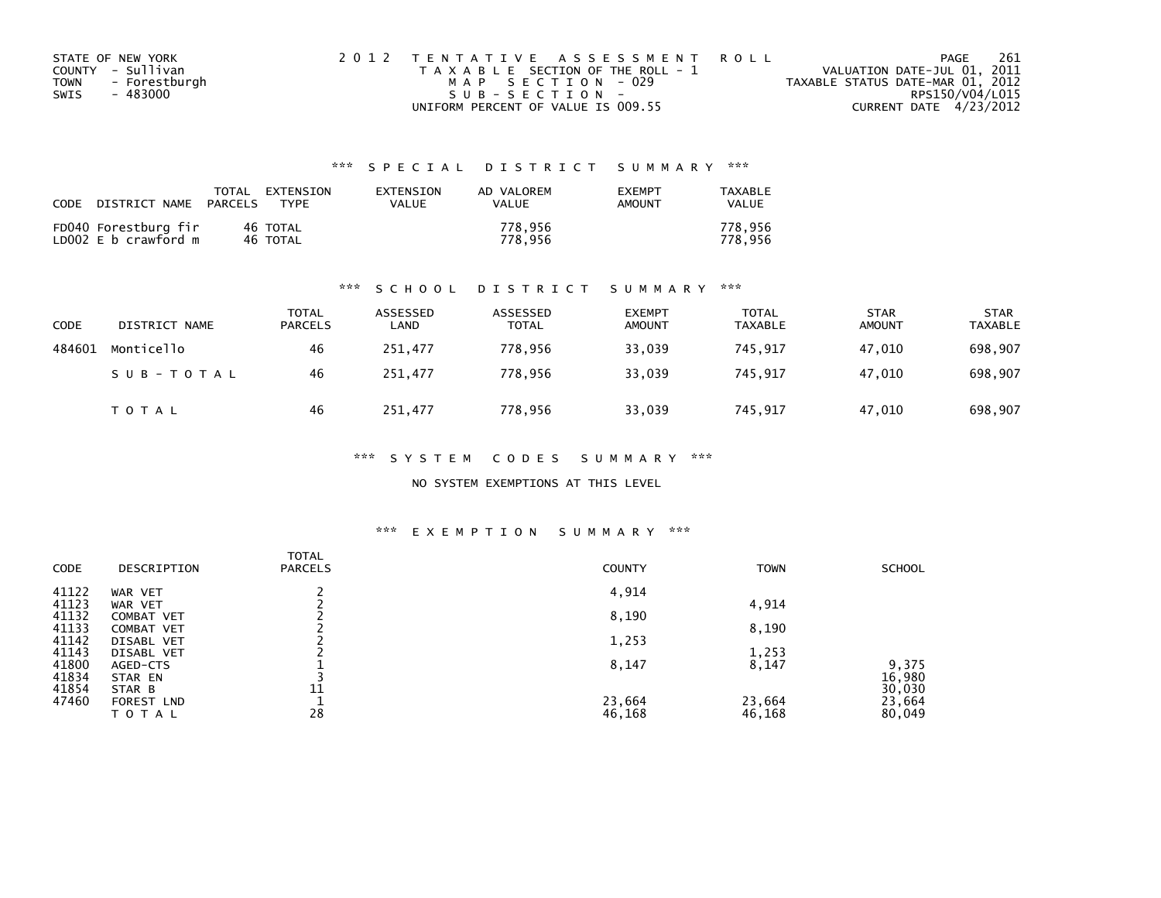| STATE OF NEW YORK            | 2012 TENTATIVE ASSESSMENT ROLL        | 261<br>PAGE                      |
|------------------------------|---------------------------------------|----------------------------------|
| COUNTY - Sullivan            | T A X A B L E SECTION OF THE ROLL - 1 | VALUATION DATE-JUL 01, 2011      |
| - Forestburgh<br><b>TOWN</b> | MAP SECTION - 029                     | TAXABLE STATUS DATE-MAR 01, 2012 |
| - 483000<br>SWIS             | SUB-SECTION-                          | RPS150/V04/L015                  |
|                              | UNIFORM PERCENT OF VALUE IS 009.55    | CURRENT DATE 4/23/2012           |

| CODE | DISTRICT NAME                                | TOTAL<br>PARCELS | EXTENSION<br>TYPF    | EXTENSION<br>VALUE | AD VALOREM<br>VALUE | <b>EXEMPT</b><br><b>AMOUNT</b> | TAXABLE<br>VALUE   |
|------|----------------------------------------------|------------------|----------------------|--------------------|---------------------|--------------------------------|--------------------|
|      | FD040 Forestburg fir<br>LD002 E b crawford m |                  | 46 TOTAL<br>46 TOTAL |                    | 778.956<br>778.956  |                                | 778.956<br>778.956 |

#### \*\*\* S C H O O L D I S T R I C T S U M M A R Y \*\*\*

| CODE   | DISTRICT NAME | <b>TOTAL</b><br><b>PARCELS</b> | ASSESSED<br>∟AND | ASSESSED<br>TOTAL | <b>EXEMPT</b><br><b>AMOUNT</b> | <b>TOTAL</b><br><b>TAXABLE</b> | <b>STAR</b><br><b>AMOUNT</b> | <b>STAR</b><br><b>TAXABLE</b> |
|--------|---------------|--------------------------------|------------------|-------------------|--------------------------------|--------------------------------|------------------------------|-------------------------------|
| 484601 | Monticello    | 46                             | 251,477          | 778.956           | 33,039                         | 745,917                        | 47,010                       | 698,907                       |
|        | SUB-TOTAL     | 46                             | 251,477          | 778.956           | 33,039                         | 745.917                        | 47.010                       | 698,907                       |
|        | <b>TOTAL</b>  | 46                             | 251,477          | 778,956           | 33,039                         | 745,917                        | 47,010                       | 698,907                       |

\*\*\* S Y S T E M C O D E S S U M M A R Y \*\*\*

NO SYSTEM EXEMPTIONS AT THIS LEVEL

#### \*\*\* E X E M P T I O N S U M M A R Y \*\*\*

| CODE           | DESCRIPTION              | <b>TOTAL</b><br><b>PARCELS</b> | <b>COUNTY</b> | <b>TOWN</b> | <b>SCHOOL</b>   |
|----------------|--------------------------|--------------------------------|---------------|-------------|-----------------|
| 41122          | WAR VET                  |                                | 4,914         |             |                 |
| 41123          | WAR VET                  |                                |               | 4,914       |                 |
| 41132<br>41133 | COMBAT VET<br>COMBAT VET |                                | 8,190         | 8,190       |                 |
| 41142          | DISABL VET               |                                | 1,253         |             |                 |
| 41143          | DISABL VET               |                                |               | 1,253       |                 |
| 41800<br>41834 | AGED-CTS<br>STAR EN      |                                | 8,147         | 8,147       | 9,375<br>16,980 |
| 41854          | STAR B                   | 11                             |               |             | 30,030          |
| 47460          | FOREST LND               |                                | 23,664        | 23,664      | 23,664          |
|                | <b>TOTAL</b>             | 28                             | 46,168        | 46,168      | 80,049          |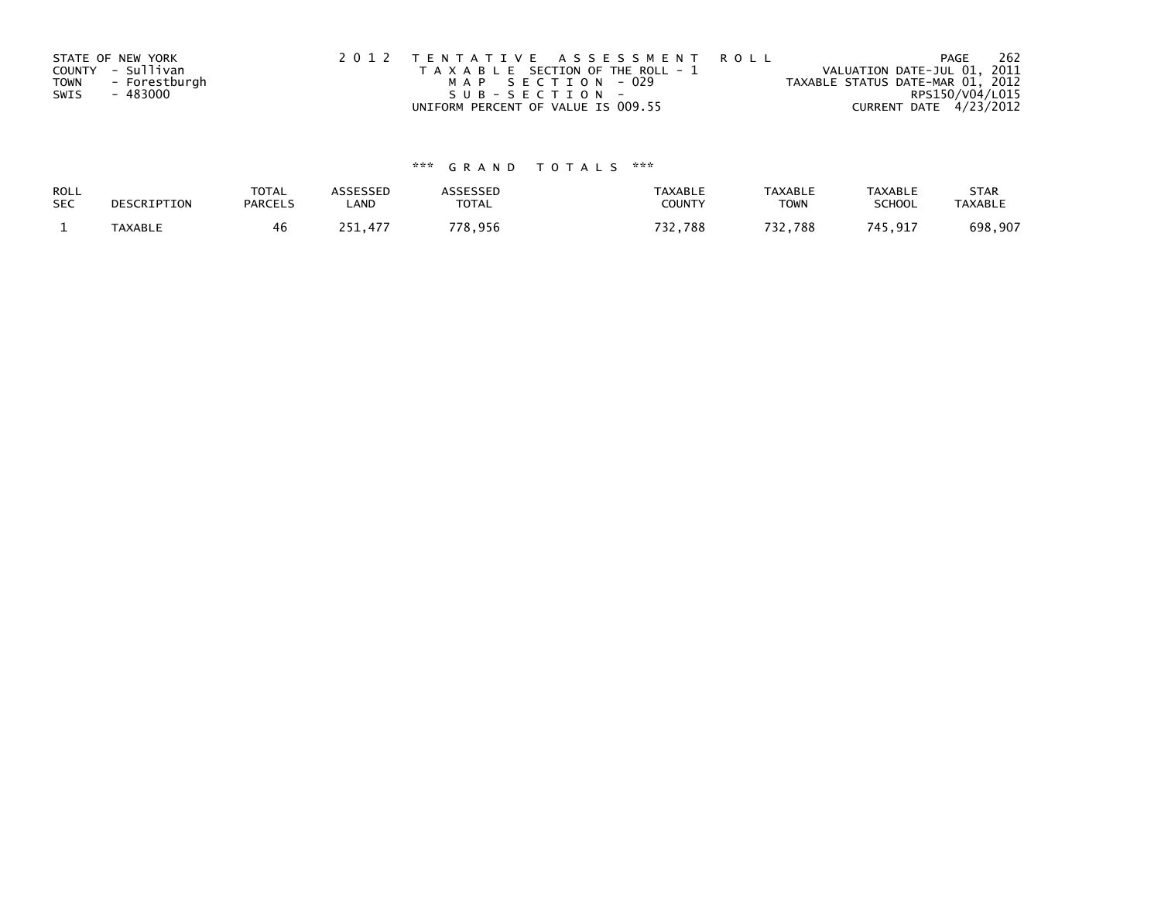|             | STATE OF NEW YORK | 2012 TENTATIVE ASSESSMENT ROLL        | 262<br>PAGE                      |
|-------------|-------------------|---------------------------------------|----------------------------------|
|             | COUNTY - Sullivan | T A X A B L E SECTION OF THE ROLL - 1 | VALUATION DATE-JUL 01, 2011      |
| <b>TOWN</b> | - Forestburgh     | MAP SECTION - 029                     | TAXABLE STATUS DATE-MAR 01, 2012 |
| SWIS        | - 483000          | SUB-SECTION-                          | RPS150/V04/L015                  |
|             |                   | UNIFORM PERCENT OF VALUE IS 009.55    | CURRENT DATE 4/23/2012           |

| ROLL       | DESCRIPTION | <b>TOTAL</b>   | <b>ASSESSED</b> | <b>\SSESSED</b> | <b>TAXABLE</b> | <b>TAXABLE</b> | TAXABLE       | <b>STAR</b>    |
|------------|-------------|----------------|-----------------|-----------------|----------------|----------------|---------------|----------------|
| <b>SEC</b> |             | <b>PARCELS</b> | LAND            | <b>TOTAL</b>    | COUNTY         | TOWN           | <b>SCHOOL</b> | <b>TAXABLE</b> |
|            | TAXABLE     |                | .477            | 778,956         | フつつ<br>32,788  | 732,788        | 745,917       | 698,907        |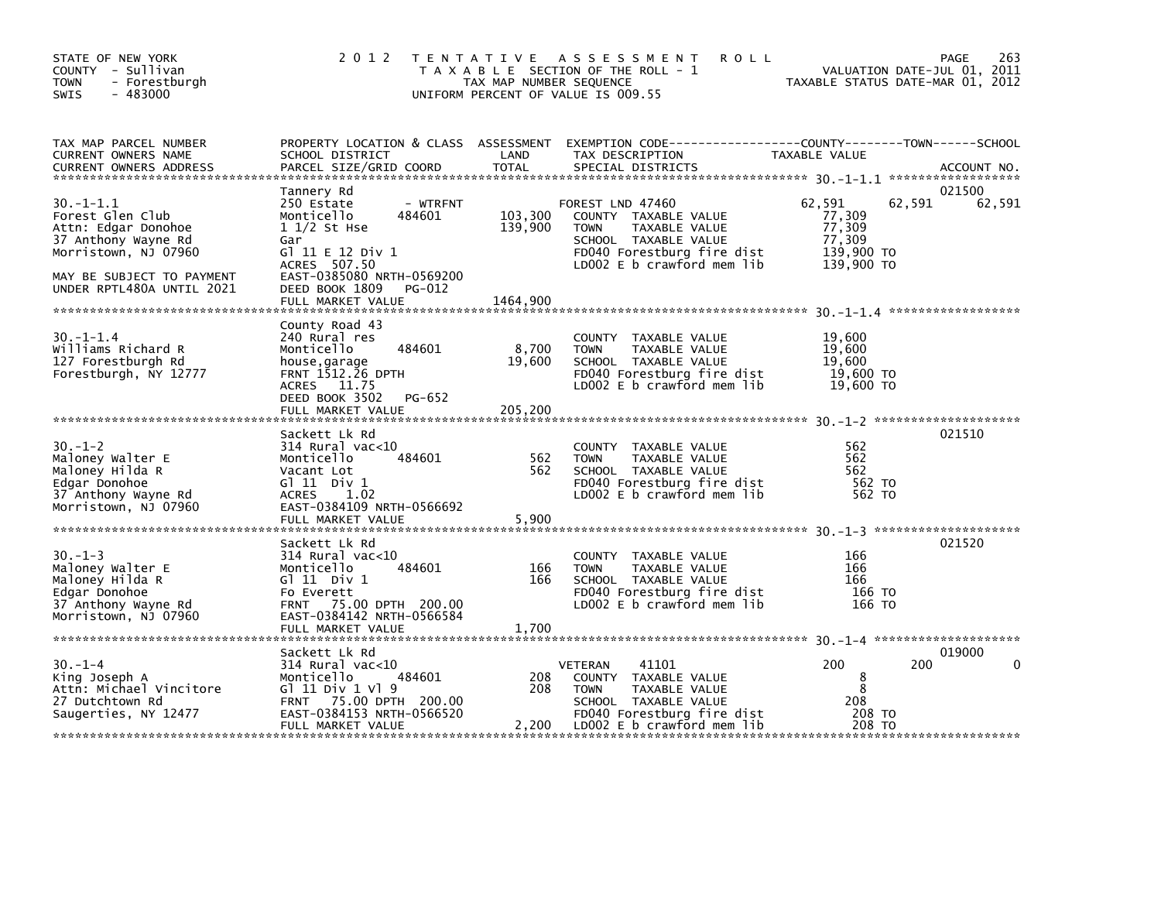| STATE OF NEW YORK<br>COUNTY - Sullivan<br>- Forestburgh<br><b>TOWN</b><br>$-483000$<br>SWIS                                                                        | 2 0 1 2                                                                                                                                                                                             | TAX MAP NUMBER SEQUENCE        | TENTATIVE ASSESSMENT<br><b>ROLL</b><br>T A X A B L E SECTION OF THE ROLL - 1<br>UNIFORM PERCENT OF VALUE IS 009.55                                           | TAXABLE STATUS DATE-MAR 01, 2012                                 | 263<br>PAGE<br>VALUATION DATE-JUL 01, 2011 |
|--------------------------------------------------------------------------------------------------------------------------------------------------------------------|-----------------------------------------------------------------------------------------------------------------------------------------------------------------------------------------------------|--------------------------------|--------------------------------------------------------------------------------------------------------------------------------------------------------------|------------------------------------------------------------------|--------------------------------------------|
| TAX MAP PARCEL NUMBER<br>CURRENT OWNERS NAME<br><b>CURRENT OWNERS ADDRESS</b>                                                                                      | PROPERTY LOCATION & CLASS ASSESSMENT<br>SCHOOL DISTRICT<br>PARCEL SIZE/GRID COORD                                                                                                                   | LAND<br><b>TOTAL</b>           | EXEMPTION CODE-----------------COUNTY-------TOWN------SCHOOL<br>TAX DESCRIPTION<br>SPECIAL DISTRICTS                                                         | TAXABLE VALUE                                                    | ACCOUNT NO.                                |
| $30. -1 - 1.1$<br>Forest Glen Club<br>Attn: Edgar Donohoe<br>37 Anthony Wayne Rd<br>Morristown, NJ 07960<br>MAY BE SUBJECT TO PAYMENT<br>UNDER RPTL480A UNTIL 2021 | Tannery Rd<br>250 Estate<br>- WTRFNT<br>484601<br>Monticello<br>$11/2$ St Hse<br>Gar<br>G] 11 E 12 Div 1<br>ACRES 507.50<br>EAST-0385080 NRTH-0569200<br>DEED BOOK 1809 PG-012<br>FULL MARKET VALUE | 103,300<br>139,900<br>1464,900 | FOREST LND 47460<br>COUNTY TAXABLE VALUE<br>TAXABLE VALUE<br><b>TOWN</b><br>SCHOOL TAXABLE VALUE<br>FD040 Forestburg fire dist<br>LD002 E b crawford mem lib | 62,591<br>77,309<br>77,309<br>77,309<br>139,900 TO<br>139,900 TO | 021500<br>62,591<br>62,591                 |
|                                                                                                                                                                    | County Road 43                                                                                                                                                                                      |                                |                                                                                                                                                              |                                                                  |                                            |
| $30. -1 - 1.4$<br>Williams Richard R<br>127 Forestburgh Rd<br>Forestburgh, NY 12777                                                                                | 240 Rural res<br>484601<br>Monticello<br>house, garage<br>FRNT 1512.26 DPTH<br>ACRES 11.75<br>DEED BOOK 3502<br>PG-652                                                                              | 8,700<br>19,600                | COUNTY TAXABLE VALUE<br>TAXABLE VALUE<br><b>TOWN</b><br>SCHOOL TAXABLE VALUE<br>FD040 Forestburg fire dist<br>LD002 E b crawford mem lib                     | 19,600<br>19,600<br>19,600<br>19,600 TO<br>19,600 TO             |                                            |
|                                                                                                                                                                    |                                                                                                                                                                                                     |                                |                                                                                                                                                              |                                                                  |                                            |
| $30. - 1 - 2$<br>Maloney Walter E<br>Maloney Hilda R<br>Edgar Donohoe<br>37 Anthony Wayne Rd<br>Morristown, NJ 07960                                               | Sackett Lk Rd<br>$314$ Rural vac< $10$<br>484601<br>Monticello<br>Vacant Lot<br>G $11$ Div $1$<br><b>ACRES</b><br>1.02<br>EAST-0384109 NRTH-0566692                                                 | 562<br>562                     | COUNTY TAXABLE VALUE<br>TAXABLE VALUE<br><b>TOWN</b><br>SCHOOL TAXABLE VALUE<br>FD040 Forestburg fire dist<br>LD002 E b crawford mem lib                     | 562<br>562<br>562<br>562 TO<br>562 TO                            | 021510                                     |
|                                                                                                                                                                    | Sackett Lk Rd                                                                                                                                                                                       |                                |                                                                                                                                                              |                                                                  | 021520                                     |
| $30. -1 - 3$<br>Maloney Walter E<br>Maloney Hilda R<br>Edgar Donohoe<br>37 Anthony Wayne Rd<br>Morristown, NJ 07960                                                | $314$ Rural vac< $10$<br>484601<br>Monticello<br>G $\overline{11}$ Div 1<br>Fo Everett<br>FRNT 75.00 DPTH 200.00<br>EAST-0384142 NRTH-0566584                                                       | 166<br>166                     | COUNTY TAXABLE VALUE<br>TAXABLE VALUE<br><b>TOWN</b><br>SCHOOL TAXABLE VALUE<br>FD040 Forestburg fire dist<br>LD002 E b crawford mem lib                     | 166<br>166<br>166<br>166 TO<br>166 TO                            |                                            |
|                                                                                                                                                                    | FULL MARKET VALUE                                                                                                                                                                                   | 1,700                          |                                                                                                                                                              |                                                                  |                                            |
| $30. - 1 - 4$<br>King Joseph A<br>Attn: Michael Vincitore<br>27 Dutchtown Rd<br>Saugerties, NY 12477                                                               | Sackett Lk Rd<br>314 Rural vac<10<br>484601<br>Monticello<br>G1 11 Div 1 V1 9<br>FRNT 75.00 DPTH 200.00<br>EAST-0384153 NRTH-0566520<br>FULL MARKET VALUE                                           | 208<br>208<br>2,200            | 41101<br>VETERAN<br>COUNTY TAXABLE VALUE<br>TAXABLE VALUE<br><b>TOWN</b><br>SCHOOL TAXABLE VALUE<br>FD040 Forestburg fire dist<br>LD002 E b crawford mem lib | 200<br>8<br>8<br>208<br>208 TO<br>208 TO                         | 019000<br>200                              |
|                                                                                                                                                                    |                                                                                                                                                                                                     |                                |                                                                                                                                                              |                                                                  |                                            |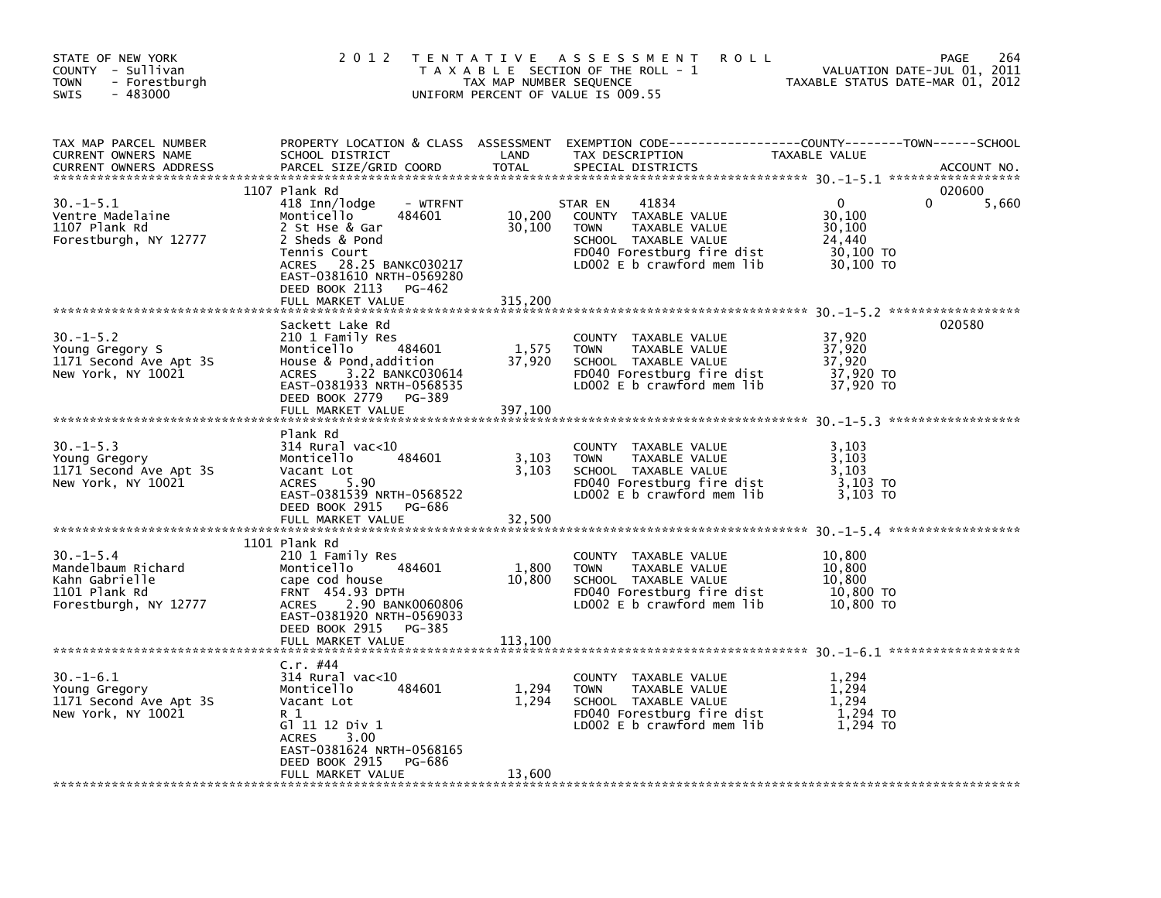| STATE OF NEW YORK<br>COUNTY - Sullivan<br><b>TOWN</b><br>- Forestburgh<br>$-483000$<br><b>SWIS</b> | 2 0 1 2                                                                                                                                                                                                                                   | T E N T A T I V E<br>TAX MAP NUMBER SEQUENCE | A S S E S S M E N T<br><b>ROLL</b><br>T A X A B L E SECTION OF THE ROLL - 1<br>UNIFORM PERCENT OF VALUE IS 009.55                                                 | TAXABLE STATUS DATE-MAR 01, 2012                                 | 264<br>PAGE<br>VALUATION DATE-JUL 01, 2011 |
|----------------------------------------------------------------------------------------------------|-------------------------------------------------------------------------------------------------------------------------------------------------------------------------------------------------------------------------------------------|----------------------------------------------|-------------------------------------------------------------------------------------------------------------------------------------------------------------------|------------------------------------------------------------------|--------------------------------------------|
| TAX MAP PARCEL NUMBER<br>CURRENT OWNERS NAME                                                       | PROPERTY LOCATION & CLASS ASSESSMENT<br>SCHOOL DISTRICT                                                                                                                                                                                   | LAND                                         | TAX DESCRIPTION                                                                                                                                                   | TAXABLE VALUE                                                    |                                            |
| $30. -1 - 5.1$<br>Ventre Madelaine<br>1107 Plank Rd<br>Forestburgh, NY 12777                       | 1107 Plank Rd<br>418 Inn/lodge<br>- WTRFNT<br>Monticello<br>484601<br>2 St Hse & Gar<br>2 Sheds & Pond<br>Tennis Court<br>28.25 BANKC030217<br><b>ACRES</b><br>EAST-0381610 NRTH-0569280<br>DEED BOOK 2113<br>PG-462<br>FULL MARKET VALUE | 10,200<br>30,100<br>315,200                  | 41834<br>STAR EN<br>COUNTY<br>TAXABLE VALUE<br><b>TOWN</b><br>TAXABLE VALUE<br>SCHOOL TAXABLE VALUE<br>FD040 Forestburg fire dist<br>LD002 $E$ b crawford mem lib | $\Omega$<br>30,100<br>30,100<br>24,440<br>30,100 TO<br>30,100 TO | 020600<br>U<br>5,660                       |
| $30. -1 - 5.2$<br>Young Gregory S<br>1171 Second Ave Apt 3S<br>New York, NY 10021                  | Sackett Lake Rd<br>210 1 Family Res<br>Monticello<br>484601<br>House & Pond, addition<br>3.22 BANKC030614<br><b>ACRES</b><br>EAST-0381933 NRTH-0568535<br>DEED BOOK 2779<br>PG-389<br>FULL MARKET VALUE                                   | 1,575<br>37,920<br>397,100                   | COUNTY TAXABLE VALUE<br><b>TOWN</b><br>TAXABLE VALUE<br>SCHOOL TAXABLE VALUE<br>FD040 Forestburg fire dist<br>LD002 E b crawford mem lib                          | 37,920<br>37,920<br>37,920<br>37,920 TO<br>37,920 TO             | 020580                                     |
| $30. -1 - 5.3$<br>Young Gregory<br>1171 Second Ave Apt 3S<br>New York, NY 10021                    | Plank Rd<br>$314$ Rural vac< $10$<br>484601<br>Monticello<br>Vacant Lot<br>5.90<br><b>ACRES</b><br>EAST-0381539 NRTH-0568522<br>DEED BOOK 2915<br>PG-686<br>FULL MARKET VALUE                                                             | 3,103<br>3,103<br>32,500                     | COUNTY TAXABLE VALUE<br><b>TAXABLE VALUE</b><br><b>TOWN</b><br>SCHOOL TAXABLE VALUE<br>FD040 Forestburg fire dist<br>LD002 $E$ b crawford mem lib                 | 3,103<br>3.103<br>3.103<br>3,103 TO<br>3,103 TO                  |                                            |
| $30. - 1 - 5.4$<br>Mandelbaum Richard<br>Kahn Gabrielle<br>1101 Plank Rd<br>Forestburgh, NY 12777  | 1101 Plank Rd<br>210 1 Family Res<br>Monticello<br>484601<br>cape cod house<br><b>FRNT 454.93 DPTH</b><br>2.90 BANK0060806<br><b>ACRES</b><br>EAST-0381920 NRTH-0569033<br>DEED BOOK 2915<br>PG-385<br>FULL MARKET VALUE                  | 1,800<br>10,800<br>113,100                   | COUNTY TAXABLE VALUE<br>TAXABLE VALUE<br><b>TOWN</b><br>SCHOOL TAXABLE VALUE<br>FD040 Forestburg fire dist<br>LD002 E b crawford mem lib                          | 10,800<br>10.800<br>10,800<br>10,800 TO<br>10,800 TO             |                                            |
| $30. - 1 - 6.1$<br>Young Gregory<br>1171 Second Ave Apt 3S<br>New York, NY 10021                   | C.r. #44<br>$314$ Rural vac<10<br>Monticello<br>484601<br>Vacant Lot<br>R 1<br>G1 11 12 Div 1<br><b>ACRES</b><br>3.00<br>EAST-0381624 NRTH-0568165<br>DEED BOOK 2915<br>PG-686<br>FULL MARKET VALUE                                       | 1,294<br>1,294<br>13,600                     | <b>COUNTY</b><br>TAXABLE VALUE<br><b>TOWN</b><br>TAXABLE VALUE<br>SCHOOL TAXABLE VALUE<br>FD040 Forestburg fire dist<br>LD002 E b crawford mem lib                | 1,294<br>1,294<br>1.294<br>1,294 TO<br>1.294 TO                  |                                            |
|                                                                                                    |                                                                                                                                                                                                                                           |                                              |                                                                                                                                                                   |                                                                  |                                            |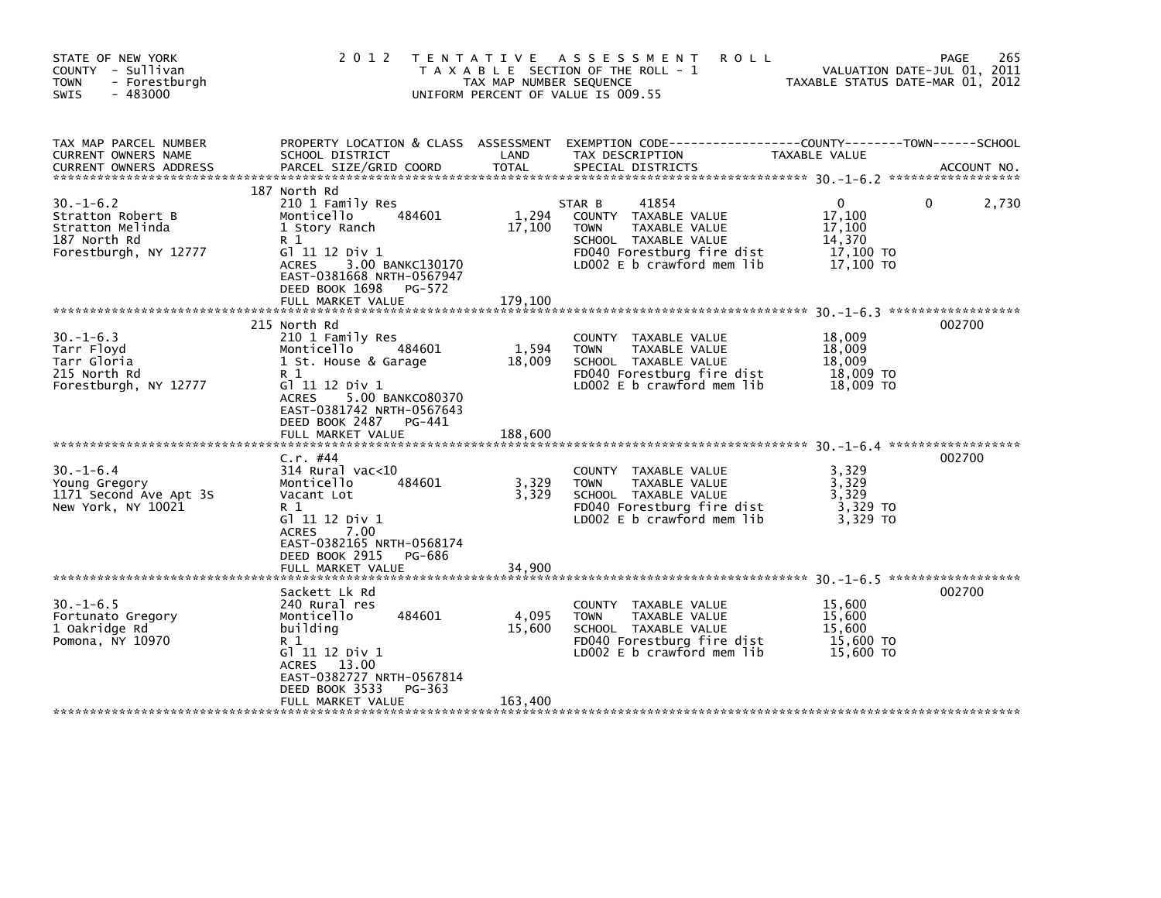| STATE OF NEW YORK<br>COUNTY - Sullivan<br><b>TOWN</b><br>- Forestburgh<br>$-483000$<br>SWIS      | 2 0 1 2                                                                                                                                                                                                              | TAX MAP NUMBER SEQUENCE    | TENTATIVE ASSESSMENT<br><b>ROLL</b><br>T A X A B L E SECTION OF THE ROLL - 1<br>UNIFORM PERCENT OF VALUE IS 009.55                                          | TAXABLE STATUS DATE-MAR 01, 2012                                 | 265<br><b>PAGE</b><br>VALUATION DATE-JUL 01, 2011 |
|--------------------------------------------------------------------------------------------------|----------------------------------------------------------------------------------------------------------------------------------------------------------------------------------------------------------------------|----------------------------|-------------------------------------------------------------------------------------------------------------------------------------------------------------|------------------------------------------------------------------|---------------------------------------------------|
| TAX MAP PARCEL NUMBER<br>CURRENT OWNERS NAME                                                     | PROPERTY LOCATION & CLASS ASSESSMENT<br>SCHOOL DISTRICT                                                                                                                                                              | LAND                       | TAX DESCRIPTION                                                                                                                                             | TAXABLE VALUE                                                    |                                                   |
| $30. -1 - 6.2$<br>Stratton Robert B<br>Stratton Melinda<br>187 North Rd<br>Forestburgh, NY 12777 | 187 North Rd<br>210 1 Family Res<br>Monticello<br>484601<br>1 Story Ranch<br>R 1<br>G] 11 12 Div 1<br>3.00 BANKC130170<br><b>ACRES</b><br>EAST-0381668 NRTH-0567947<br>DEED BOOK 1698<br>PG-572<br>FULL MARKET VALUE | 1.294<br>17,100<br>179.100 | 41854<br>STAR B<br>COUNTY TAXABLE VALUE<br>TAXABLE VALUE<br><b>TOWN</b><br>SCHOOL TAXABLE VALUE<br>FD040 Forestburg fire dist<br>LD002 E b crawford mem lib | $\Omega$<br>17,100<br>17,100<br>14,370<br>17,100 TO<br>17,100 TO | 2,730<br>0                                        |
|                                                                                                  |                                                                                                                                                                                                                      |                            |                                                                                                                                                             |                                                                  |                                                   |
| $30. -1 - 6.3$<br>Tarr Floyd<br>Tarr Gloria<br>215 North Rd<br>Forestburgh, NY 12777             | 215 North Rd<br>210 1 Family Res<br>484601<br>Monticello<br>1 St. House & Garage<br>R 1<br>G1 11 12 Div 1<br><b>ACRES</b><br>5.00 BANKC080370<br>EAST-0381742 NRTH-0567643<br>DEED BOOK 2487 PG-441                  | 1,594<br>18,009            | TAXABLE VALUE<br>COUNTY<br>TAXABLE VALUE<br><b>TOWN</b><br>SCHOOL TAXABLE VALUE<br>FD040 Forestburg fire dist<br>LD002 E b crawford mem lib                 | 18,009<br>18,009<br>18,009<br>18,009 TO<br>18,009 TO             | 002700                                            |
|                                                                                                  | FULL MARKET VALUE                                                                                                                                                                                                    | 188,600                    |                                                                                                                                                             |                                                                  |                                                   |
| $30. - 1 - 6.4$<br>Young Gregory<br>1171 Second Ave Apt 3S<br>New York, NY 10021                 | $C.r.$ #44<br>$314$ Rural vac<10<br>484601<br>Monticello<br>Vacant Lot<br>R 1<br>G] 11 12 Div 1<br>7.00<br><b>ACRES</b><br>EAST-0382165 NRTH-0568174<br>DEED BOOK 2915<br>PG-686                                     | 3,329<br>3,329             | COUNTY TAXABLE VALUE<br>TAXABLE VALUE<br><b>TOWN</b><br>SCHOOL TAXABLE VALUE<br>FD040 Forestburg fire dist<br>LD002 E b crawford mem lib                    | 3,329<br>3,329<br>3,329<br>3,329 TO<br>3.329 TO                  | 002700                                            |
|                                                                                                  | FULL MARKET VALUE                                                                                                                                                                                                    | 34,900                     |                                                                                                                                                             |                                                                  |                                                   |
| $30. -1 - 6.5$<br>Fortunato Gregory<br>1 Oakridge Rd<br>Pomona, NY 10970                         | Sackett Lk Rd<br>240 Rural res<br>484601<br>Monticello<br>building<br>R 1<br>G1 11 12 Div 1<br>ACRES 13.00<br>EAST-0382727 NRTH-0567814<br>DEED BOOK 3533<br>PG-363                                                  | 4,095<br>15,600            | COUNTY TAXABLE VALUE<br><b>TOWN</b><br>TAXABLE VALUE<br>SCHOOL TAXABLE VALUE<br>FD040 Forestburg fire dist<br>LD002 E b crawford mem lib                    | 15,600<br>15,600<br>15.600<br>15,600 TO<br>15,600 TO             | 002700                                            |
|                                                                                                  | FULL MARKET VALUE                                                                                                                                                                                                    | 163,400                    |                                                                                                                                                             |                                                                  |                                                   |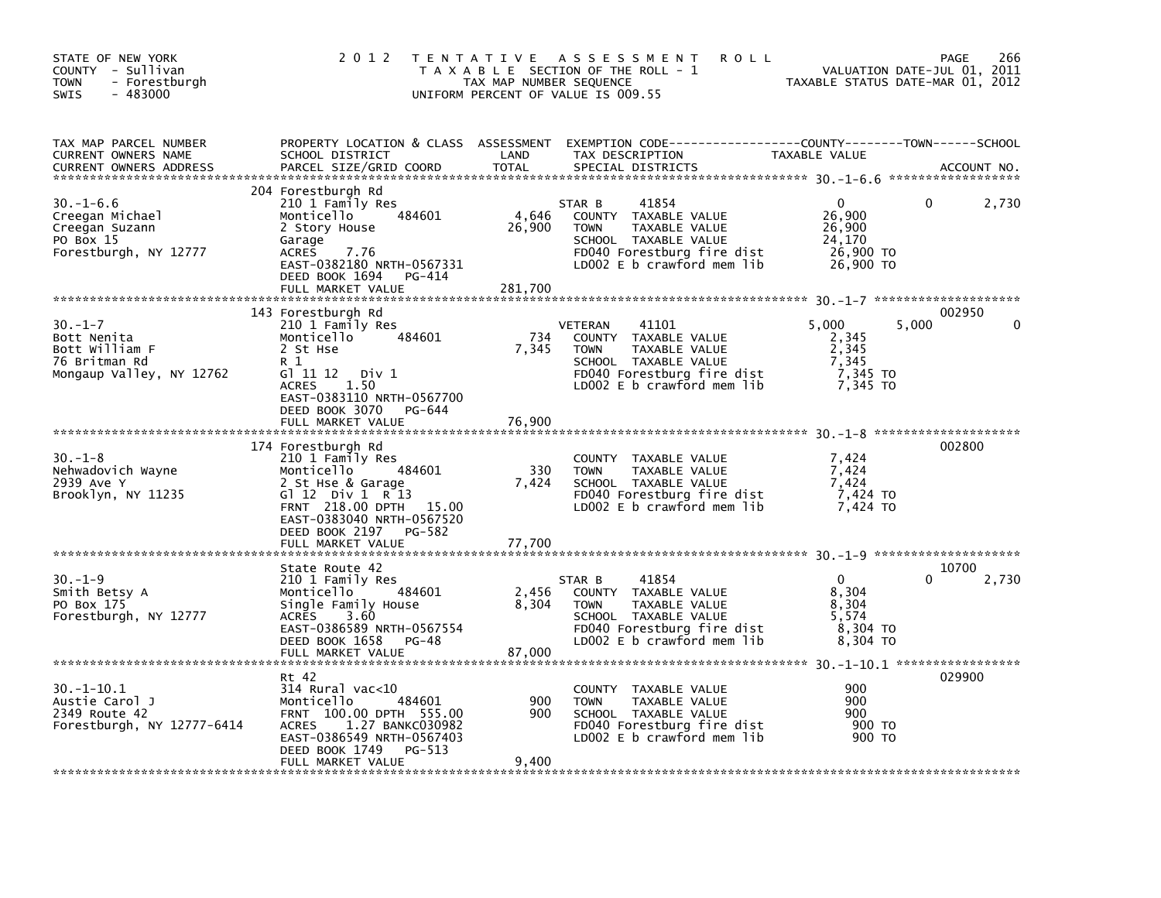| STATE OF NEW YORK<br>COUNTY - Sullivan<br><b>TOWN</b><br>- Forestburgh<br>$-483000$<br><b>SWIS</b> | 2 0 1 2                                                                                                                                                                                                       | TAX MAP NUMBER SEQUENCE    | TENTATIVE ASSESSMENT<br><b>ROLL</b><br>T A X A B L E SECTION OF THE ROLL - 1<br>UNIFORM PERCENT OF VALUE IS 009.55                                           | TAXABLE STATUS DATE-MAR 01, 2012                                | 266<br>PAGE<br>VALUATION DATE-JUL 01, 2011 |
|----------------------------------------------------------------------------------------------------|---------------------------------------------------------------------------------------------------------------------------------------------------------------------------------------------------------------|----------------------------|--------------------------------------------------------------------------------------------------------------------------------------------------------------|-----------------------------------------------------------------|--------------------------------------------|
| TAX MAP PARCEL NUMBER<br>CURRENT OWNERS NAME<br><b>CURRENT OWNERS ADDRESS</b>                      | SCHOOL DISTRICT<br>PARCEL SIZE/GRID COORD                                                                                                                                                                     | LAND<br><b>TOTAL</b>       | PROPERTY LOCATION & CLASS ASSESSMENT EXEMPTION CODE---------------COUNTY-------TOWN-----SCHOOL<br>TAX DESCRIPTION<br>SPECIAL DISTRICTS                       | TAXABLE VALUE                                                   | ACCOUNT NO.                                |
| 30. –1–6.6<br>Creegan Michael<br>Creegan Suzann<br>PO Box 15<br>Forestburgh, NY 12777              | 204 Forestburgh Rd<br>210 1 Family Res<br>484601<br>Monticello<br>2 Story House<br>Garage<br><b>ACRES</b><br>7.76<br>EAST-0382180 NRTH-0567331<br>DEED BOOK 1694<br>PG-414<br>FULL MARKET VALUE               | 4,646<br>26,900<br>281.700 | 41854<br>STAR B<br>COUNTY TAXABLE VALUE<br><b>TOWN</b><br>TAXABLE VALUE<br>SCHOOL TAXABLE VALUE<br>FD040 Forestburg fire dist<br>LD002 E b crawford mem lib  | 0<br>26,900<br>26,900<br>24,170<br>26,900 TO<br>26,900 TO       | 2,730<br>0                                 |
| $30. -1 - 7$<br>Bott Nenita<br>Bott William F<br>76 Britman Rd<br>Mongaup Valley, NY 12762         | 143 Forestburgh Rd<br>210 1 Family Res<br>484601<br>Monticello<br>2 St Hse<br>R 1<br>G1 11 12 Div 1<br><b>ACRES</b><br>1.50<br>EAST-0383110 NRTH-0567700<br>DEED BOOK 3070<br>PG-644<br>FULL MARKET VALUE     | 734<br>7,345<br>76,900     | 41101<br>VETERAN<br>COUNTY TAXABLE VALUE<br><b>TOWN</b><br>TAXABLE VALUE<br>SCHOOL TAXABLE VALUE<br>FD040 Forestburg fire dist<br>LD002 E b crawford mem lib | 5,000<br>2,345<br>2,345<br>7,345<br>7,345 TO<br>7,345 TO        | 002950<br>5,000                            |
| $30. - 1 - 8$<br>Nehwadovich Wayne<br>2939 Ave Y<br>Brooklyn, NY 11235                             | 174 Forestburgh Rd<br>210 1 Family Res<br>Monticello<br>484601<br>2 St Hse & Garage<br>G $12$ Div 1 R 13<br>FRNT 218.00 DPTH 15.00<br>EAST-0383040 NRTH-0567520<br>DEED BOOK 2197 PG-582<br>FULL MARKET VALUE | 330<br>7,424<br>77,700     | COUNTY TAXABLE VALUE<br><b>TOWN</b><br>TAXABLE VALUE<br>SCHOOL TAXABLE VALUE<br>FD040 Forestburg fire dist<br>LD002 E b crawford mem lib                     | 7,424<br>7,424<br>7,424<br>7,424 TO<br>7.424 TO                 | 002800                                     |
| $30. - 1 - 9$<br>Smith Betsy A<br>PO Box 175<br>Forestburgh, NY 12777                              | State Route 42<br>210 1 Family Res<br>484601<br>Monticello<br>Single Family House<br><b>ACRES</b><br>3.60<br>EAST-0386589 NRTH-0567554<br>DEED BOOK 1658<br>PG-48<br>FULL MARKET VALUE                        | 2,456<br>8,304<br>87.000   | 41854<br>STAR B<br>COUNTY TAXABLE VALUE<br><b>TOWN</b><br>TAXABLE VALUE<br>SCHOOL TAXABLE VALUE<br>FD040 Forestburg fire dist<br>LD002 E b crawford mem lib  | $\mathbf{0}$<br>8,304<br>8,304<br>5,574<br>8,304 TO<br>8,304 TO | 10700<br>2,730<br>$\Omega$                 |
| $30. -1 - 10.1$<br>Austie Carol J<br>2349 Route 42<br>Forestburgh, NY 12777-6414                   | Rt 42<br>$314$ Rural vac<10<br>484601<br>Monticello<br>FRNT 100.00 DPTH 555.00<br>1.27 BANKC030982<br><b>ACRES</b><br>EAST-0386549 NRTH-0567403<br>DEED BOOK 1749<br>PG-513<br>FULL MARKET VALUE              | 900<br>900<br>9,400        | COUNTY TAXABLE VALUE<br><b>TOWN</b><br>TAXABLE VALUE<br>SCHOOL TAXABLE VALUE<br>FD040 Forestburg fire dist<br>LD002 $E$ b crawford mem lib                   | 900<br>900<br>900<br>900 TO<br>900 TO                           | 029900                                     |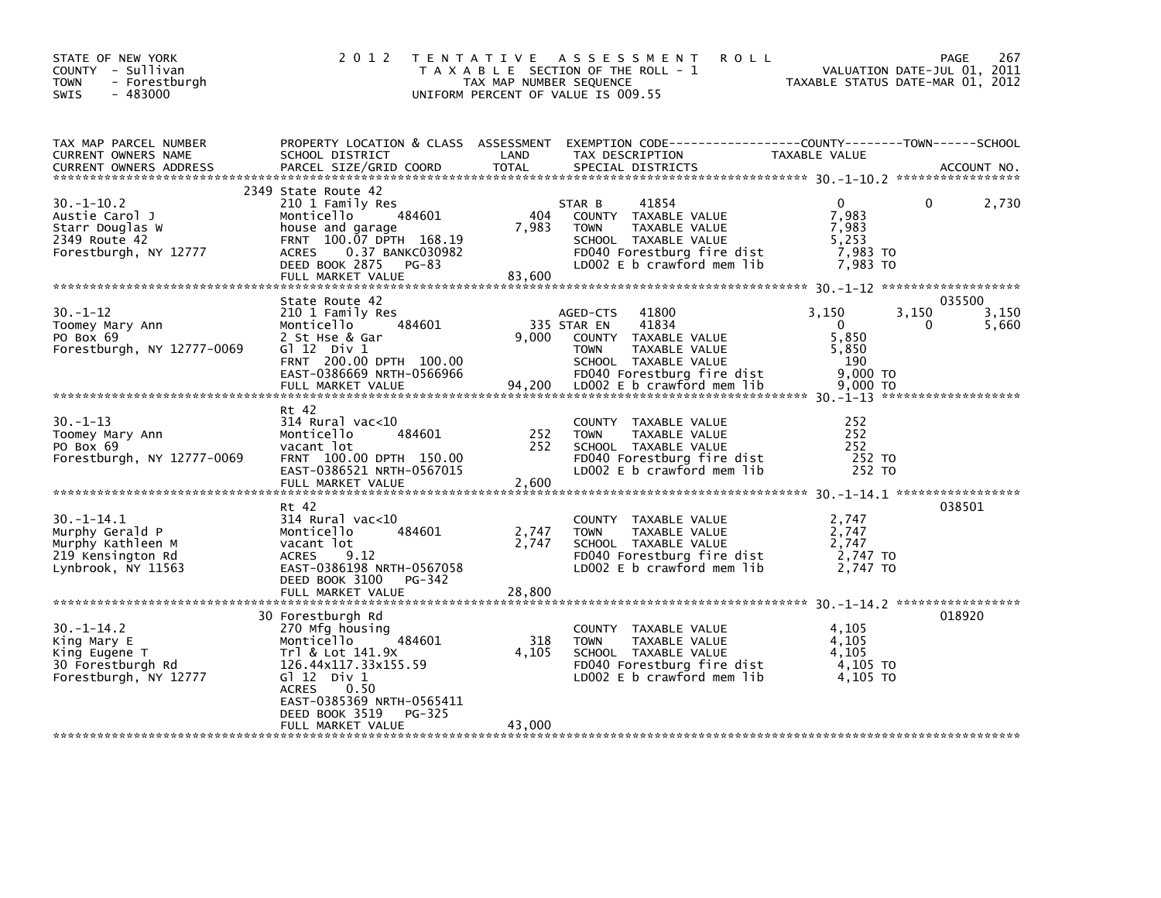| TAX MAP PARCEL NUMBER<br>CURRENT OWNERS NAME<br>2349 State Route 42<br>41854<br>$30. -1 - 10.2$<br>210 1 Family Res<br>$\mathbf{0}$<br>$\mathbf{0}$<br>2,730<br>STAR B<br>404<br>7,983<br>484601<br>COUNTY TAXABLE VALUE<br>Austie Carol J<br>Monticello<br>Starr Douglas W<br>7,983<br>TAXABLE VALUE<br>7,983<br>house and garage<br><b>TOWN</b><br>FRNT 100.07 DPTH 168.19<br>5,253<br>2349 Route 42<br>SCHOOL TAXABLE VALUE<br>0.37 BANKC030982<br>FD040 Forestburg fire dist<br>7,983 то<br>Forestburgh, NY 12777<br><b>ACRES</b><br>LD002 E b crawford mem lib<br>DEED BOOK 2875 PG-83<br>7,983 TO<br>83,600<br>FULL MARKET VALUE<br>035500<br>State Route 42<br>$30. - 1 - 12$<br>3,150<br>3,150<br>3,150<br>210 1 Family Res<br>41800<br>AGED-CTS<br>41834<br>484601<br>335 STAR EN<br>$\overline{0}$<br>Toomey Mary Ann<br>Monticello<br>$\Omega$<br>5,660<br>9.000<br>5.850<br>2 St Hse & Gar<br>COUNTY TAXABLE VALUE<br>PO Box 69<br>5,850<br>Forestburgh, NY 12777-0069<br>TAXABLE VALUE<br><b>TOWN</b><br>GT 12 DIV 1<br>FRNT 200.00 DPTH 100.00<br>COCCO UPTH DEGGGGG<br>SCHOOL TAXABLE VALUE<br>190<br>Rt 42<br>$30 - 1 - 13$<br>$314$ Rural vac< $10$<br>252<br>COUNTY TAXABLE VALUE<br>252<br>252<br>Monticello<br>484601<br>TAXABLE VALUE<br>Toomey Mary Ann<br><b>TOWN</b><br>252<br>vacant lot<br>SCHOOL TAXABLE VALUE<br>252<br>PO Box 69<br>Forestburgh, NY 12777-0069<br>FRNT 100.00 DPTH 150.00<br>FD040 Forestburg fire dist<br>252 TO<br>LD002 E b crawford mem lib<br>EAST-0386521 NRTH-0567015<br>252 TO<br>FULL MARKET VALUE<br>2,600<br>038501<br>Rt 42<br>$30. -1 - 14.1$<br>$314$ Rural vac< $10$<br>COUNTY TAXABLE VALUE<br>2,747<br>484601<br>2,747<br>Murphy Gerald P<br>Monticello<br>2,747<br>TAXABLE VALUE<br><b>TOWN</b><br>2,747<br>Murphy Kathleen M<br>SCHOOL TAXABLE VALUE<br>2,747<br>vacant lot<br>219 Kensington Rd<br>ACRES 9.12<br>FD040 Forestburg fire dist<br>2,747 TO<br>LD002 E b crawford mem lib<br>Lynbrook, NY 11563<br>EAST-0386198 NRTH-0567058<br>2.747 TO<br>DEED BOOK 3100 PG-342<br>28,800<br>FULL MARKET VALUE<br>018920<br>30 Forestburgh Rd<br>$30. -1 - 14.2$<br>270 Mfg housing<br>4,105<br>COUNTY TAXABLE VALUE<br>318<br>Monticello<br>484601<br>TAXABLE VALUE<br>4,105<br>King Mary E<br><b>TOWN</b><br>Trl & Lot 141.9X<br>4,105<br>SCHOOL TAXABLE VALUE<br>4,105<br>King Eugene T<br>4,105 TO<br>126.44x117.33x155.59<br>FD040 Forestburg fire dist | STATE OF NEW YORK<br>COUNTY - Sullivan<br>- Forestburgh<br><b>TOWN</b><br>$-483000$<br><b>SWIS</b> | 2 0 1 2<br>T E N T A T I V E | TAX MAP NUMBER SEQUENCE | A S S E S S M E N T<br><b>ROLL</b><br>T A X A B L E SECTION OF THE ROLL - 1<br>UNIFORM PERCENT OF VALUE IS 009.55 | VALUATION DATE-JUL 01, 2011<br>TAXABLE STATUS DATE-MAR 01, 2012 | 267<br><b>PAGE</b> |
|-----------------------------------------------------------------------------------------------------------------------------------------------------------------------------------------------------------------------------------------------------------------------------------------------------------------------------------------------------------------------------------------------------------------------------------------------------------------------------------------------------------------------------------------------------------------------------------------------------------------------------------------------------------------------------------------------------------------------------------------------------------------------------------------------------------------------------------------------------------------------------------------------------------------------------------------------------------------------------------------------------------------------------------------------------------------------------------------------------------------------------------------------------------------------------------------------------------------------------------------------------------------------------------------------------------------------------------------------------------------------------------------------------------------------------------------------------------------------------------------------------------------------------------------------------------------------------------------------------------------------------------------------------------------------------------------------------------------------------------------------------------------------------------------------------------------------------------------------------------------------------------------------------------------------------------------------------------------------------------------------------------------------------------------------------------------------------------------------------------------------------------------------------------------------------------------------------------------------------------------------------------------------------------------------------------------------------------------------------------------------------------------------------------------------------|----------------------------------------------------------------------------------------------------|------------------------------|-------------------------|-------------------------------------------------------------------------------------------------------------------|-----------------------------------------------------------------|--------------------|
|                                                                                                                                                                                                                                                                                                                                                                                                                                                                                                                                                                                                                                                                                                                                                                                                                                                                                                                                                                                                                                                                                                                                                                                                                                                                                                                                                                                                                                                                                                                                                                                                                                                                                                                                                                                                                                                                                                                                                                                                                                                                                                                                                                                                                                                                                                                                                                                                                             |                                                                                                    |                              |                         |                                                                                                                   |                                                                 |                    |
|                                                                                                                                                                                                                                                                                                                                                                                                                                                                                                                                                                                                                                                                                                                                                                                                                                                                                                                                                                                                                                                                                                                                                                                                                                                                                                                                                                                                                                                                                                                                                                                                                                                                                                                                                                                                                                                                                                                                                                                                                                                                                                                                                                                                                                                                                                                                                                                                                             |                                                                                                    |                              |                         |                                                                                                                   |                                                                 |                    |
|                                                                                                                                                                                                                                                                                                                                                                                                                                                                                                                                                                                                                                                                                                                                                                                                                                                                                                                                                                                                                                                                                                                                                                                                                                                                                                                                                                                                                                                                                                                                                                                                                                                                                                                                                                                                                                                                                                                                                                                                                                                                                                                                                                                                                                                                                                                                                                                                                             |                                                                                                    |                              |                         |                                                                                                                   |                                                                 |                    |
|                                                                                                                                                                                                                                                                                                                                                                                                                                                                                                                                                                                                                                                                                                                                                                                                                                                                                                                                                                                                                                                                                                                                                                                                                                                                                                                                                                                                                                                                                                                                                                                                                                                                                                                                                                                                                                                                                                                                                                                                                                                                                                                                                                                                                                                                                                                                                                                                                             |                                                                                                    |                              |                         |                                                                                                                   |                                                                 |                    |
|                                                                                                                                                                                                                                                                                                                                                                                                                                                                                                                                                                                                                                                                                                                                                                                                                                                                                                                                                                                                                                                                                                                                                                                                                                                                                                                                                                                                                                                                                                                                                                                                                                                                                                                                                                                                                                                                                                                                                                                                                                                                                                                                                                                                                                                                                                                                                                                                                             |                                                                                                    |                              |                         |                                                                                                                   |                                                                 |                    |
| LDOO2 E b crawford mem lib<br><b>ACRES</b><br>0.50<br>EAST-0385369 NRTH-0565411<br>DEED BOOK 3519 PG-325<br>43,000<br>FULL MARKET VALUE                                                                                                                                                                                                                                                                                                                                                                                                                                                                                                                                                                                                                                                                                                                                                                                                                                                                                                                                                                                                                                                                                                                                                                                                                                                                                                                                                                                                                                                                                                                                                                                                                                                                                                                                                                                                                                                                                                                                                                                                                                                                                                                                                                                                                                                                                     | 30 Forestburgh Rd<br>Forestburgh, NY 12777                                                         | G $\overline{1}$ 12 Div 1    |                         |                                                                                                                   | 4,105 TO                                                        |                    |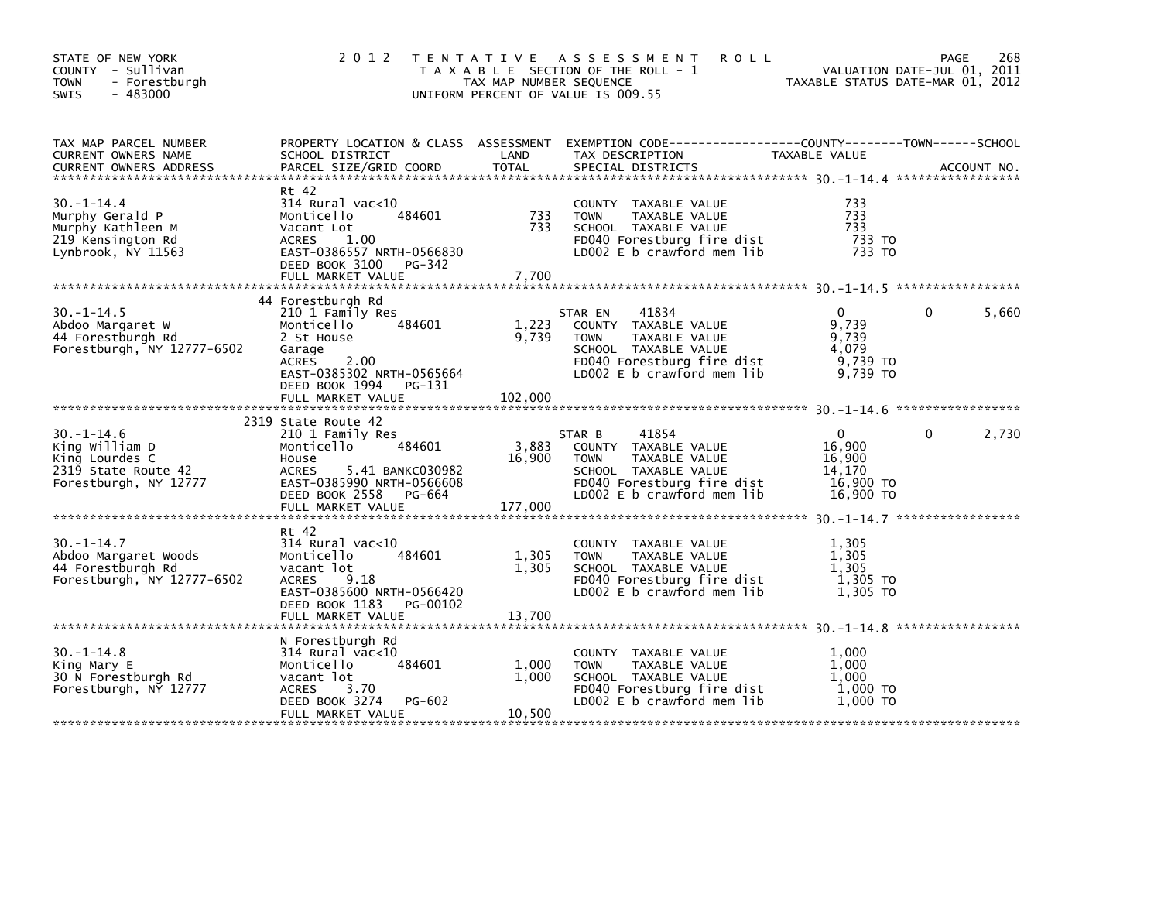| STATE OF NEW YORK<br>COUNTY - Sullivan<br><b>TOWN</b><br>- Forestburgh<br>$-483000$<br>SWIS         | 2 0 1 2                                                                                                                                                                        | TAX MAP NUMBER SEQUENCE    | <b>ROLL</b><br>TENTATIVE ASSESSMENT<br>T A X A B L E SECTION OF THE ROLL - 1<br>UNIFORM PERCENT OF VALUE IS 009.55                                                                   | VALUATION DATE-JUL 01, 2011<br>TAXABLE STATUS DATE-MAR 01, 2012        | 268<br>PAGE           |
|-----------------------------------------------------------------------------------------------------|--------------------------------------------------------------------------------------------------------------------------------------------------------------------------------|----------------------------|--------------------------------------------------------------------------------------------------------------------------------------------------------------------------------------|------------------------------------------------------------------------|-----------------------|
| TAX MAP PARCEL NUMBER<br>CURRENT OWNERS NAME<br><b>CURRENT OWNERS ADDRESS</b>                       | PARCEL SIZE/GRID COORD                                                                                                                                                         | <b>TOTAL</b>               | SPECIAL DISTRICTS                                                                                                                                                                    |                                                                        | ACCOUNT NO.           |
| $30. -1 - 14.4$<br>Murphy Gerald P<br>Murphy Kathleen M<br>219 Kensington Rd<br>Lynbrook, NY 11563  | Rt 42<br>$314$ Rural vac< $10$<br>484601<br>Monticello<br>Vacant Lot<br>ACRES 1.00<br>EAST-0386557 NRTH-0566830<br>DEED BOOK 3100 PG-342                                       | 733<br>733                 | COUNTY TAXABLE VALUE<br><b>TOWN</b><br>TAXABLE VALUE<br>SCHOOL TAXABLE VALUE<br>FD040 Forestburg fire dist<br>LD002 E b crawford mem lib                                             | 733<br>733<br>733<br>733 TO<br>733 TO                                  |                       |
| $30. -1 - 14.5$<br>Abdoo Margaret W<br>44 Forestburgh Rd<br>Forestburgh, NY 12777-6502              | 44 Forestburgh Rd<br>210 1 Family Res<br>Monticello<br>484601<br>2 St House<br>Garage<br>ACRES 2.00<br>EAST-0385302 NRTH-0565664<br>DEED BOOK 1994 PG-131<br>FULL MARKET VALUE | 1,223<br>9,739<br>102,000  | 41834<br>STAR EN<br>COUNTY TAXABLE VALUE<br><b>TOWN</b><br>TAXABLE VALUE<br>SCHOOL TAXABLE VALUE<br>SCHOOL TAXABLE VALUE<br>FD040 Forestburg fire dist<br>LD002 E b crawford mem lib | $\Omega$<br>9,739<br>9,739<br>4.079<br>9,739 то<br>9,739 TO            | $\mathbf{0}$<br>5,660 |
| $30. -1 - 14.6$<br>King William D<br>King Lourdes C<br>2319 State Route 42<br>Forestburgh, NY 12777 | 2319 State Route 42<br>210 1 Family Res<br>Monticello 484601<br>House<br>ACRES<br>5.41 BANKC030982<br>EAST-0385990 NRTH-0566608<br>DEED BOOK 2558 PG-664<br>FULL MARKET VALUE  | 3,883<br>16,900<br>177.000 | 41854<br>STAR B<br>COUNTY TAXABLE VALUE<br>TAXABLE VALUE<br><b>TOWN</b><br>SCHOOL TAXABLE VALUE<br>FD040 Forestburg fire dist<br>LD002 E b crawford mem lib                          | $\overline{0}$<br>16,900<br>16,900<br>14.170<br>16,900 TO<br>16.900 TO | $\mathbf{0}$<br>2,730 |
| $30. -1 - 14.7$<br>Abdoo Margaret Woods<br>44 Forestburgh Rd<br>Forestburgh, NY 12777-6502          | Rt 42<br>314 Rural vac<10<br>484601<br>Monticello<br>vacant lot<br>ACRES<br>9.18<br>EAST-0385600 NRTH-0566420<br>DEED BOOK 1183 PG-00102<br>FULL MARKET VALUE                  | 1,305<br>1,305<br>13,700   | COUNTY TAXABLE VALUE<br>TAXABLE VALUE<br><b>TOWN</b><br>SCHOOL TAXABLE VALUE<br>FD040 Forestburg fire dist<br>LD002 E b crawford mem lib                                             | 1,305<br>1,305<br>1,305<br>1,305 TO<br>1,305 TO                        |                       |
| $30. -1 - 14.8$<br>King Mary E<br>30 N Forestburgh Rd<br>Forestburgh, NY 12777                      | N Forestburgh Rd<br>314 Rural vac<10<br>Monticello<br>484601<br>vacant lot<br>ACRES<br>3.70<br>DEED BOOK 3274 PG-602<br>FULL MARKET VALUE                                      | 1,000<br>1,000<br>10,500   | COUNTY TAXABLE VALUE<br><b>TOWN</b><br>TAXABLE VALUE<br>SCHOOL TAXABLE VALUE<br>FD040 Forestburg fire dist<br>LD002 E b crawford mem lib                                             | 1,000<br>1,000<br>1,000<br>1,000 TO<br>$1.000$ TO                      |                       |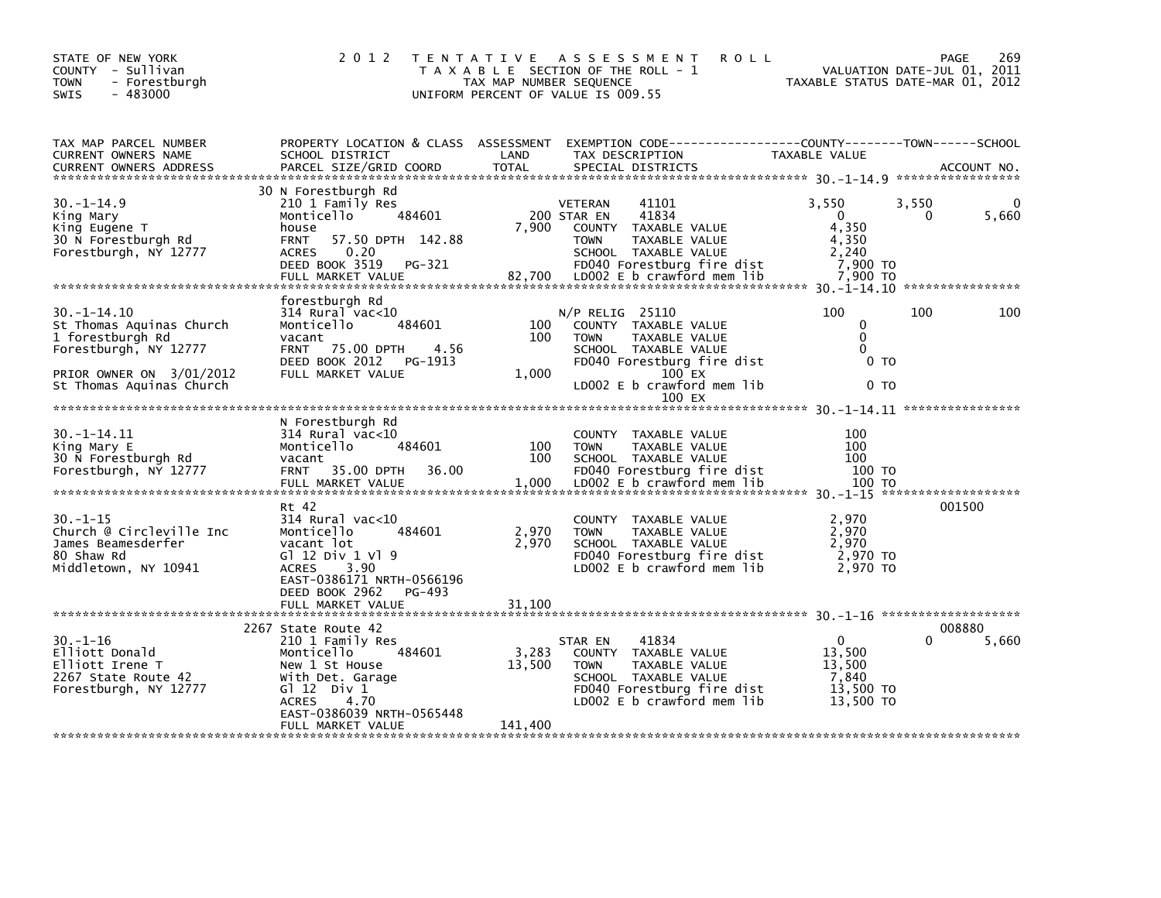| STATE OF NEW YORK<br>COUNTY - Sullivan<br><b>TOWN</b><br>- Forestburgh<br>$-483000$<br><b>SWIS</b>                                                | 2 0 1 2                                                                                                                                                                                           | TAX MAP NUMBER SEQUENCE    | TENTATIVE ASSESSMENT<br><b>ROLL</b><br>T A X A B L E SECTION OF THE ROLL - 1<br>UNIFORM PERCENT OF VALUE IS 009.55                                                                   |                                                                          | 269<br>PAGE<br>VALUATION DATE-JUL 01, 2011<br>TAXABLE STATUS DATE-MAR 01, 2012 |
|---------------------------------------------------------------------------------------------------------------------------------------------------|---------------------------------------------------------------------------------------------------------------------------------------------------------------------------------------------------|----------------------------|--------------------------------------------------------------------------------------------------------------------------------------------------------------------------------------|--------------------------------------------------------------------------|--------------------------------------------------------------------------------|
| TAX MAP PARCEL NUMBER<br>CURRENT OWNERS NAME<br><b>CURRENT OWNERS ADDRESS</b>                                                                     | PROPERTY LOCATION & CLASS ASSESSMENT<br>SCHOOL DISTRICT<br>PARCEL SIZE/GRID COORD                                                                                                                 | LAND<br><b>TOTAL</b>       | EXEMPTION CODE-----------------COUNTY-------TOWN------SCHOOL<br>TAX DESCRIPTION<br>SPECIAL DISTRICTS                                                                                 | TAXABLE VALUE                                                            | ACCOUNT NO.                                                                    |
| $30 - 1 - 14.9$<br>King Mary<br>King Eugene T<br>30 N Forestburgh Rd<br>Forestburgh, NY 12777                                                     | 30 N Forestburgh Rd<br>210 1 Family Res<br>484601<br>Monticello<br>house<br>57.50 DPTH 142.88<br><b>FRNT</b><br><b>ACRES</b><br>0.20<br>DEED BOOK 3519 PG-321<br>FULL MARKET VALUE                | 7,900<br>82,700            | 41101<br>VETERAN<br>41834<br>200 STAR EN<br>COUNTY TAXABLE VALUE<br><b>TOWN</b><br>TAXABLE VALUE<br>SCHOOL TAXABLE VALUE<br>FD040 Forestburg fire dist<br>LD002 E b crawford mem lib | 3,550<br>$\mathbf{0}$<br>4.350<br>4,350<br>2,240<br>7,900 TO<br>7,900 TO | 3,550<br>5,660<br>0                                                            |
| $30. -1 - 14.10$<br>St Thomas Aquinas Church<br>1 forestburgh Rd<br>Forestburgh, NY 12777<br>PRIOR OWNER ON 3/01/2012<br>St Thomas Aquinas Church | forestburgh Rd<br>$314$ Rural vac< $10$<br>484601<br>Monticello<br>vacant<br>75.00 DPTH<br>4.56<br><b>FRNT</b><br>DEED BOOK 2012 PG-1913<br>FULL MARKET VALUE                                     | 100<br>100<br>1,000        | $N/P$ RELIG 25110<br>COUNTY TAXABLE VALUE<br><b>TOWN</b><br>TAXABLE VALUE<br>SCHOOL TAXABLE VALUE<br>FD040 Forestburg fire dist<br>$100$ EX<br>LD002 E b crawford mem lib<br>100 EX  | 100<br>0<br>$\mathbf{0}$<br>$\Omega$<br>0 <sub>T</sub><br>0 <sub>T</sub> | 100<br>100                                                                     |
| $30. -1 - 14.11$<br>King Mary E<br>30 N Forestburgh Rd<br>Forestburgh, NY 12777                                                                   | N Forestburgh Rd<br>$314$ Rural vac<10<br>Monticello<br>484601<br>vacant<br>35.00 DPTH<br>36.00<br><b>FRNT</b><br>FULL MARKET VALUE<br>Rt 42                                                      | 100<br>100<br>1,000        | COUNTY TAXABLE VALUE<br>TAXABLE VALUE<br><b>TOWN</b><br>SCHOOL TAXABLE VALUE<br>FD040 Forestburg fire dist<br>LD002 E b crawford mem lib                                             | 100<br>100<br>100<br>100 TO<br>100 TO                                    | 001500                                                                         |
| $30. - 1 - 15$<br>Church @ Circleville Inc<br>James Beamesderfer<br>80 Shaw Rd<br>Middletown, NY 10941                                            | 314 Rural vac<10<br>Monticello<br>484601<br>vacant lot<br>G1 12 Div 1 V1 9<br>ACRES<br>3.90<br>EAST-0386171 NRTH-0566196<br>DEED BOOK 2962<br>PG-493<br>FULL MARKET VALUE                         | 2,970<br>2,970<br>31,100   | COUNTY TAXABLE VALUE<br>TAXABLE VALUE<br><b>TOWN</b><br>SCHOOL TAXABLE VALUE<br>FD040 Forestburg fire dist<br>LD002 E b crawford mem lib                                             | 2,970<br>2.970<br>2,970<br>2,970 TO<br>2,970 TO                          |                                                                                |
| $30. - 1 - 16$<br>Elliott Donald<br>Elliott Irene T<br>2267 State Route 42<br>Forestburgh, NY 12777                                               | 2267 State Route 42<br>210 1 Family Res<br>Monticello<br>484601<br>New 1 St House<br>With Det. Garage<br>G $1$ 12 Div 1<br><b>ACRES</b><br>4.70<br>EAST-0386039 NRTH-0565448<br>FULL MARKET VALUE | 3,283<br>13,500<br>141,400 | 41834<br>STAR EN<br>COUNTY TAXABLE VALUE<br>TAXABLE VALUE<br><b>TOWN</b><br>SCHOOL TAXABLE VALUE<br>FD040 Forestburg fire dist<br>LD002 E b crawford mem lib                         | $\mathbf{0}$<br>13,500<br>13,500<br>7,840<br>13,500 TO<br>13,500 TO      | 008880<br>5,660                                                                |
|                                                                                                                                                   |                                                                                                                                                                                                   |                            |                                                                                                                                                                                      |                                                                          |                                                                                |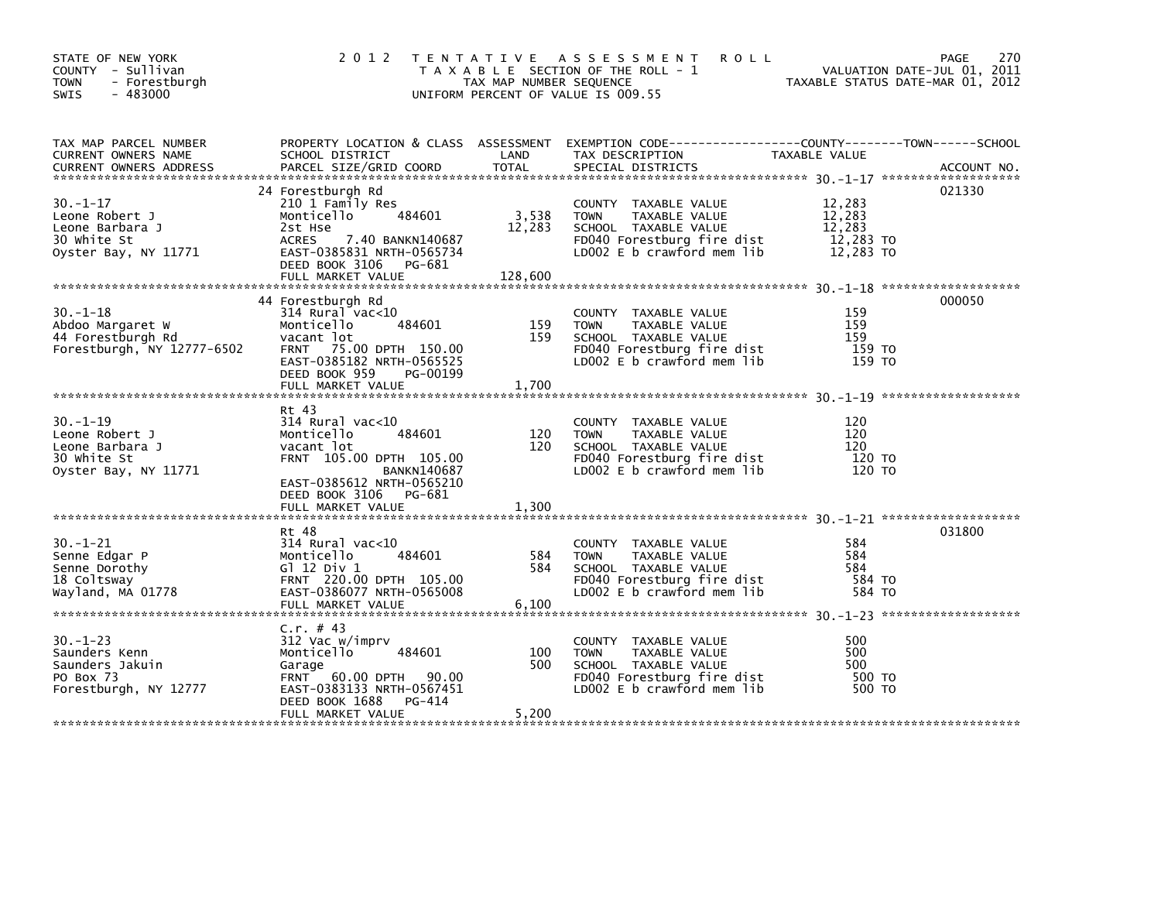| STATE OF NEW YORK<br>COUNTY - Sullivan<br><b>TOWN</b><br>- Forestburgh<br>$-483000$<br>SWIS                                                                                                           | 2012                                                                                                                                                                                        | TAX MAP NUMBER SEQUENCE    | TENTATIVE ASSESSMENT<br><b>ROLL</b><br>T A X A B L E SECTION OF THE ROLL - 1<br>UNIFORM PERCENT OF VALUE IS 009.55                       |                                                      | 270<br>PAGE<br>VALUATION DATE-JUL 01, 2011<br>TAXABLE STATUS DATE-MAR 01, 2012 |
|-------------------------------------------------------------------------------------------------------------------------------------------------------------------------------------------------------|---------------------------------------------------------------------------------------------------------------------------------------------------------------------------------------------|----------------------------|------------------------------------------------------------------------------------------------------------------------------------------|------------------------------------------------------|--------------------------------------------------------------------------------|
| TAX MAP PARCEL NUMBER<br>CURRENT OWNERS NAME<br>CURRENT OWNERS ADDRESS PARCEL SIZE/GRID COORD TOTAL SPECIAL DISTRICTS AND MESS ADDRESS PARCEL SIZE/GRID COORD TOTAL SPECIAL DISTRICTS AND ACCOUNT NO. | SCHOOL DISTRICT                                                                                                                                                                             | LAND                       | PROPERTY LOCATION & CLASS ASSESSMENT EXEMPTION CODE----------------COUNTY-------TOWN------SCHOOL<br>TAX DESCRIPTION                      | TAXABLE VALUE                                        |                                                                                |
| $30 - 1 - 17$<br>Leone Robert J<br>Leone Barbara J<br>30 white St<br>Oyster Bay, NY 11771                                                                                                             | 24 Forestburgh Rd<br>210 1 Family Res<br>Monticello<br>484601<br>2st Hse<br>7.40 BANKN140687<br>ACRES<br>EAST-0385831 NRTH-0565734<br>DEED BOOK 3106 PG-681<br>FULL MARKET VALUE            | 3,538<br>12,283<br>128,600 | COUNTY TAXABLE VALUE<br>TAXABLE VALUE<br><b>TOWN</b><br>SCHOOL TAXABLE VALUE<br>FD040 Forestburg fire dist<br>LD002 E b crawford mem lib | 12,283<br>12,283<br>12,283<br>12,283 TO<br>12,283 TO | 021330                                                                         |
| $30. - 1 - 18$<br>Abdoo Margaret W<br>44 Forestburgh Rd<br>Forestburgh, NY 12777-6502                                                                                                                 | 44 Forestburgh Rd<br>$314$ Rural vac<10<br>Monticello<br>484601<br>vacant lot<br>FRNT 75.00 DPTH 150.00<br>EAST-0385182 NRTH-0565525<br>DEED BOOK 959<br>PG-00199<br>FULL MARKET VALUE      | 159<br>159<br>1,700        | COUNTY TAXABLE VALUE<br>TAXABLE VALUE<br><b>TOWN</b><br>SCHOOL TAXABLE VALUE<br>FD040 Forestburg fire dist<br>LD002 E b crawford mem lib | 159<br>159<br>159<br>159 TO<br>159 TO                | 000050                                                                         |
| $30. - 1 - 19$<br>Leone Robert J<br>Leone Barbara J<br>30 white St<br>Oyster Bay, NY 11771                                                                                                            | Rt 43<br>314 Rural vac<10<br>Monticello<br>484601<br>vacant lot<br>FRNT 105.00 DPTH 105.00<br><b>BANKN140687</b><br>EAST-0385612 NRTH-0565210<br>DEED BOOK 3106 PG-681<br>FULL MARKET VALUE | 120<br>120<br>1,300        | COUNTY TAXABLE VALUE<br>TAXABLE VALUE<br><b>TOWN</b><br>SCHOOL TAXABLE VALUE<br>FD040 Forestburg fire dist<br>LD002 E b crawford mem lib | 120<br>120<br>120<br>120 TO<br>120 TO                |                                                                                |
| $30 - 1 - 21$<br>Senne Edgar P<br>Senne Dorothy<br>18 Coltsway<br>Wayland, MA 01778                                                                                                                   | Rt 48<br>$314$ Rural vac< $10$<br>Monticello<br>484601<br>G $12$ Div $1$<br>FRNT 220.00 DPTH 105.00<br>EAST-0386077 NRTH-0565008<br>FULL MARKET VALUE                                       | 584<br>584<br>6,100        | COUNTY TAXABLE VALUE<br>TAXABLE VALUE<br><b>TOWN</b><br>SCHOOL TAXABLE VALUE<br>FD040 Forestburg fire dist<br>LD002 E b crawford mem lib | 584<br>584<br>584<br>584 TO<br>584 TO                | 031800                                                                         |
| $30. - 1 - 23$<br>Saunders Kenn<br>Saunders Jakuin<br>PO Box 73<br>Forestburgh, NY 12777                                                                                                              | C.r. # 43<br>312 Vac w/imprv<br>484601<br>Monticello<br>Garage<br>FRNT 60.00 DPTH 90.00<br>EAST-0383133 NRTH-0567451<br>DEED BOOK 1688<br>PG-414<br>FULL MARKET VALUE                       | 100<br>500<br>5,200        | COUNTY TAXABLE VALUE<br><b>TOWN</b><br>TAXABLE VALUE<br>SCHOOL TAXABLE VALUE<br>FD040 Forestburg fire dist<br>LD002 E b crawford mem lib | 500<br>500<br>500<br>500 TO<br>500 TO                |                                                                                |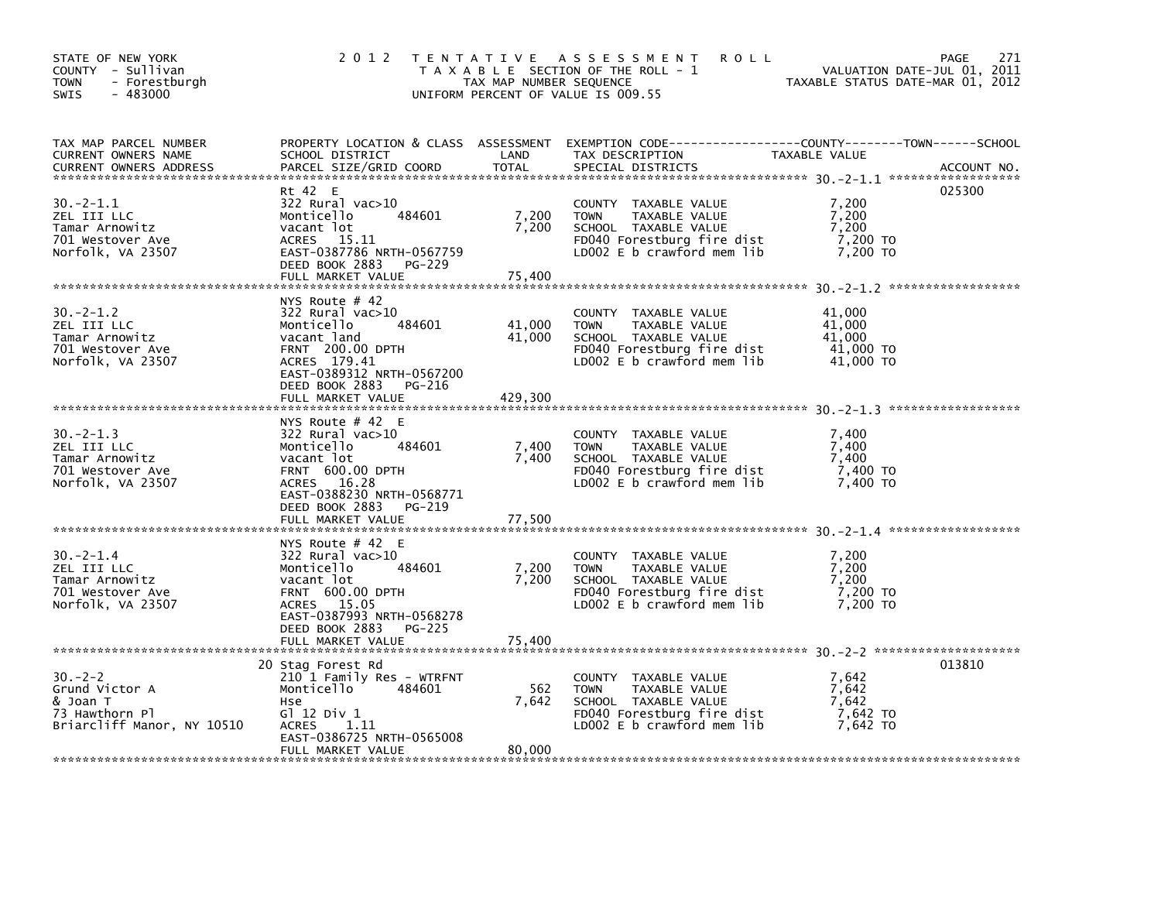| STATE OF NEW YORK<br>COUNTY - Sullivan<br>- Forestburgh<br><b>TOWN</b><br>$-483000$<br><b>SWIS</b> | 2 0 1 2                                                                                                                                                                                                   | TAX MAP NUMBER SEQUENCE     | TENTATIVE ASSESSMENT<br><b>ROLL</b><br>T A X A B L E SECTION OF THE ROLL - 1<br>UNIFORM PERCENT OF VALUE IS 009.55                         | PAGE<br>VALUATION DATE-JUL 01, 2011<br>TAXABLE STATUS DATE-MAR 01, 2012 | 271         |
|----------------------------------------------------------------------------------------------------|-----------------------------------------------------------------------------------------------------------------------------------------------------------------------------------------------------------|-----------------------------|--------------------------------------------------------------------------------------------------------------------------------------------|-------------------------------------------------------------------------|-------------|
| TAX MAP PARCEL NUMBER<br><b>CURRENT OWNERS NAME</b><br><b>CURRENT OWNERS ADDRESS</b>               | SCHOOL DISTRICT<br>PARCEL SIZE/GRID COORD                                                                                                                                                                 | LAND<br><b>TOTAL</b>        | PROPERTY LOCATION & CLASS ASSESSMENT EXEMPTION CODE----------------COUNTY-------TOWN------SCHOOL<br>TAX DESCRIPTION<br>SPECIAL DISTRICTS   | TAXABLE VALUE                                                           | ACCOUNT NO. |
| $30 - 2 - 1.1$<br>ZEL III LLC<br>Tamar Arnowitz<br>701 Westover Ave<br>Norfolk, VA 23507           | Rt 42 E<br>322 Rural vac>10<br>484601<br>Monticello<br>vacant lot<br>ACRES<br>15.11<br>EAST-0387786 NRTH-0567759<br>DEED BOOK 2883<br>PG-229<br>FULL MARKET VALUE                                         | 7,200<br>7,200<br>75,400    | COUNTY TAXABLE VALUE<br>TAXABLE VALUE<br><b>TOWN</b><br>SCHOOL TAXABLE VALUE<br>FD040 Forestburg fire dist<br>LD002 $E$ b crawford mem lib | 025300<br>7,200<br>7,200<br>7,200<br>7,200 TO<br>7,200 TO               |             |
| $30 - 2 - 1.2$<br>ZEL III LLC<br>Tamar Arnowitz<br>701 Westover Ave<br>Norfolk, VA 23507           | NYS Route $#$ 42<br>$322$ Rural vac $>10$<br>484601<br>Monticello<br>vacant land<br><b>FRNT 200.00 DPTH</b><br>ACRES 179.41<br>EAST-0389312 NRTH-0567200<br>DEED BOOK 2883<br>PG-216<br>FULL MARKET VALUE | 41,000<br>41,000<br>429,300 | COUNTY TAXABLE VALUE<br><b>TOWN</b><br>TAXABLE VALUE<br>SCHOOL TAXABLE VALUE<br>FD040 Forestburg fire dist<br>LD002 E b crawford mem lib   | 41,000<br>41,000<br>41,000<br>41,000 TO<br>41,000 TO                    |             |
| $30 - 2 - 1.3$<br>ZEL III LLC<br>Tamar Arnowitz<br>701 Westover Ave<br>Norfolk, VA 23507           | NYS Route $#$ 42 E<br>$322$ Rural vac $>10$<br>Monticello<br>484601<br>vacant lot<br><b>FRNT 600.00 DPTH</b><br>ACRES 16.28<br>EAST-0388230 NRTH-0568771<br>DEED BOOK 2883<br>PG-219                      | 7,400<br>7,400              | COUNTY TAXABLE VALUE<br>TAXABLE VALUE<br><b>TOWN</b><br>SCHOOL TAXABLE VALUE<br>FD040 Forestburg fire dist<br>LD002 E b crawford mem lib   | 7.400<br>7,400<br>7,400<br>$7,400$ TO<br>7,400 TO                       |             |
|                                                                                                    | FULL MARKET VALUE                                                                                                                                                                                         | 77,500                      |                                                                                                                                            |                                                                         |             |
| $30. -2 - 1.4$<br>ZEL III LLC<br>Tamar Arnowitz<br>701 Westover Ave<br>Norfolk, VA 23507           | NYS Route $#$ 42 E<br>322 Rural vac>10<br>Monticello<br>484601<br>vacant lot<br>FRNT 600.00 DPTH<br>ACRES 15.05<br>EAST-0387993 NRTH-0568278                                                              | 7,200<br>7,200              | COUNTY TAXABLE VALUE<br><b>TOWN</b><br>TAXABLE VALUE<br>SCHOOL TAXABLE VALUE<br>FD040 Forestburg fire dist<br>LD002 E b crawford mem lib   | 7,200<br>7,200<br>7.200<br>7,200 TO<br>7,200 TO                         |             |
|                                                                                                    | DEED BOOK 2883<br>PG-225<br>FULL MARKET VALUE                                                                                                                                                             | 75,400                      |                                                                                                                                            |                                                                         |             |
| $30 - 2 - 2$<br>Grund Victor A<br>& Joan T<br>73 Hawthorn Pl<br>Briarcliff Manor, NY 10510         | 20 Stag Forest Rd<br>210 1 Family Res - WTRFNT<br>Monticello<br>484601<br>Hse<br>$G1$ 12 Div 1<br><b>ACRES</b><br>1.11<br>EAST-0386725 NRTH-0565008<br>FULL MARKET VALUE                                  | 562<br>7,642<br>80,000      | COUNTY TAXABLE VALUE<br><b>TOWN</b><br>TAXABLE VALUE<br>SCHOOL TAXABLE VALUE<br>FD040 Forestburg fire dist<br>LD002 E b crawford mem lib   | 013810<br>7,642<br>7,642<br>7,642<br>7,642 TO<br>7,642 TO               |             |
|                                                                                                    |                                                                                                                                                                                                           |                             |                                                                                                                                            |                                                                         |             |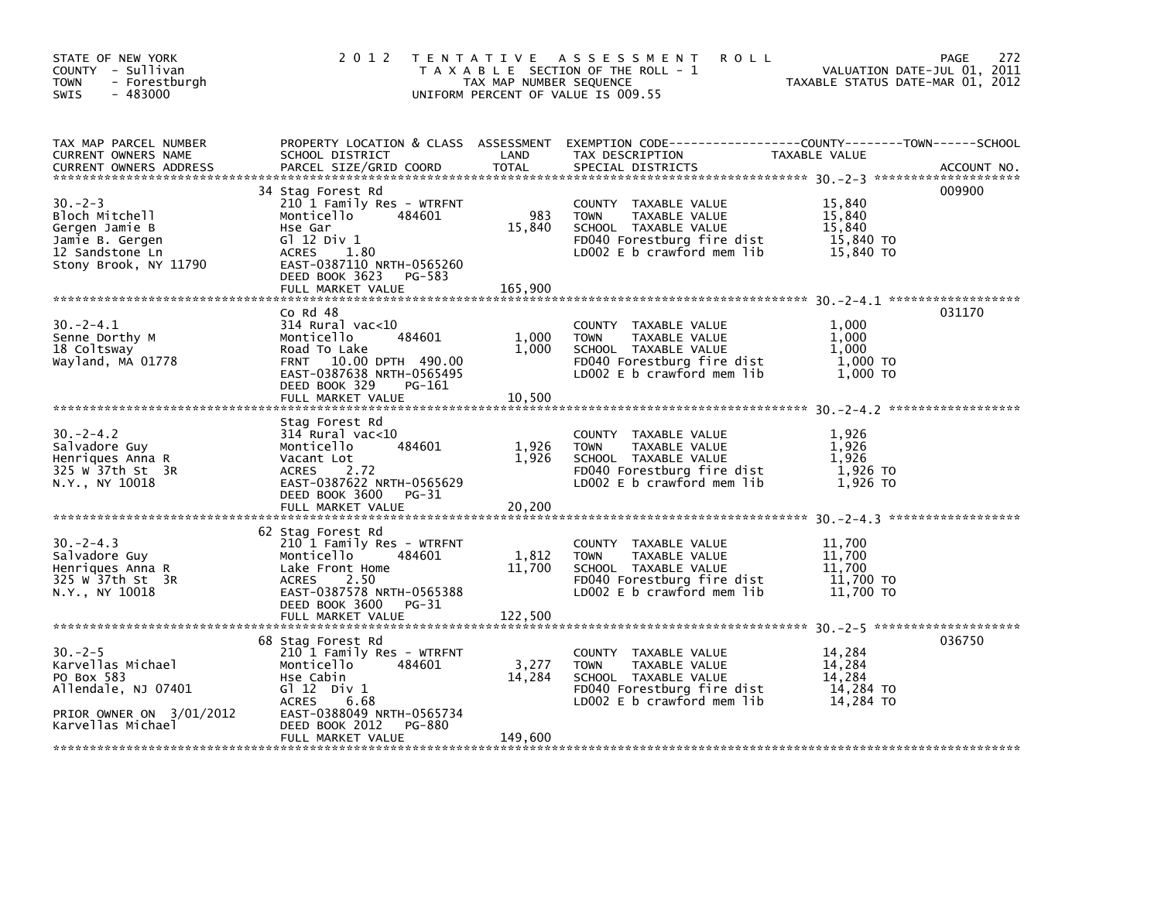| STATE OF NEW YORK<br>COUNTY - Sullivan<br><b>TOWN</b><br>- Forestburgh<br>$-483000$<br>SWIS                     | 2 0 1 2                                                                                                                                                                                        | TAX MAP NUMBER SEQUENCE    | <b>ROLL</b><br>TENTATIVE ASSESSMENT<br>T A X A B L E SECTION OF THE ROLL - 1<br>UNIFORM PERCENT OF VALUE IS 009.55                         | TAXABLE STATUS DATE-MAR 01, 2012                     | 272<br>PAGE<br>VALUATION DATE-JUL 01, 2011 |
|-----------------------------------------------------------------------------------------------------------------|------------------------------------------------------------------------------------------------------------------------------------------------------------------------------------------------|----------------------------|--------------------------------------------------------------------------------------------------------------------------------------------|------------------------------------------------------|--------------------------------------------|
| TAX MAP PARCEL NUMBER<br>CURRENT OWNERS NAME<br><b>CURRENT OWNERS ADDRESS</b>                                   | PROPERTY LOCATION & CLASS ASSESSMENT<br>SCHOOL DISTRICT<br>PARCEL SIZE/GRID COORD                                                                                                              | LAND<br><b>TOTAL</b>       | EXEMPTION CODE-----------------COUNTY-------TOWN------SCHOOL<br>TAX DESCRIPTION<br>SPECIAL DISTRICTS                                       | TAXABLE VALUE                                        | ACCOUNT NO.                                |
| $30 - 2 - 3$<br>Bloch Mitchell<br>Gergen Jamie B<br>Jamie B. Gergen<br>12 Sandstone Ln<br>Stony Brook, NY 11790 | 34 Stag Forest Rd<br>210 1 Family Res - WTRFNT<br>Monticello<br>484601<br>Hse Gar<br>$G1$ 12 Div 1<br>ACRES<br>1.80<br>EAST-0387110 NRTH-0565260<br>DEED BOOK 3623 PG-583<br>FULL MARKET VALUE | 983<br>15,840<br>165,900   | COUNTY TAXABLE VALUE<br><b>TOWN</b><br>TAXABLE VALUE<br>SCHOOL TAXABLE VALUE<br>FD040 Forestburg fire dist<br>LD002 E b crawford mem lib   | 15,840<br>15,840<br>15,840<br>15,840 TO<br>15,840 TO | 009900                                     |
|                                                                                                                 |                                                                                                                                                                                                |                            |                                                                                                                                            |                                                      |                                            |
| $30. -2 - 4.1$<br>Senne Dorthy M<br>18 Coltsway<br>Wayland, MA 01778                                            | Co Rd 48<br>314 Rural vac<10<br>484601<br>Monticello<br>Road To Lake<br>FRNT 10.00 DPTH 490.00<br>EAST-0387638 NRTH-0565495<br>DEED BOOK 329<br>PG-161                                         | 1,000<br>1,000             | COUNTY TAXABLE VALUE<br><b>TOWN</b><br>TAXABLE VALUE<br>SCHOOL TAXABLE VALUE<br>FD040 Forestburg fire dist<br>LD002 E b crawford mem lib   | 1,000<br>1,000<br>1,000<br>1,000 TO<br>1,000 TO      | 031170                                     |
|                                                                                                                 | FULL MARKET VALUE                                                                                                                                                                              | 10,500                     |                                                                                                                                            |                                                      |                                            |
| $30 - 2 - 4.2$<br>Salvadore Guy<br>Henriques Anna R<br>325 W 37th St 3R<br>N.Y., NY 10018                       | Stag Forest Rd<br>$314$ Rural vac< $10$<br>484601<br>Monticello<br>Vacant Lot<br>2.72<br>ACRES<br>EAST-0387622 NRTH-0565629<br>DEED BOOK 3600 PG-31<br>FULL MARKET VALUE                       | 1,926<br>1,926<br>20,200   | COUNTY TAXABLE VALUE<br>TAXABLE VALUE<br>TOWN<br>SCHOOL TAXABLE VALUE<br>FD040 Forestburg fire dist<br>LD002 E b crawford mem lib          | 1.926<br>1,926<br>1,926<br>1,926 то<br>1,926 TO      |                                            |
| $30 - 2 - 4.3$<br>Salvadore Guy<br>Henriques Anna R<br>325 w 37th St 3R<br>N.Y., NY 10018                       | 62 Stag Forest Rd<br>210 1 Family Res - WTRFNT<br>Monticello<br>484601<br>Lake Front Home<br>ACRES<br>2.50<br>EAST-0387578 NRTH-0565388<br>DEED BOOK 3600<br>PG-31<br>FULL MARKET VALUE        | 1,812<br>11,700<br>122.500 | COUNTY TAXABLE VALUE<br><b>TOWN</b><br>TAXABLE VALUE<br>SCHOOL TAXABLE VALUE<br>FD040 Forestburg fire dist<br>LD002 $E$ b crawford mem lib | 11,700<br>11,700<br>11,700<br>11,700 TO<br>11,700 TO |                                            |
|                                                                                                                 |                                                                                                                                                                                                |                            |                                                                                                                                            |                                                      |                                            |
| $30 - 2 - 5$<br>Karvellas Michael<br>PO Box 583<br>Allendale, NJ 07401                                          | 68 Stag Forest Rd<br>210 1 Family Res - WTRFNT<br>Monticello<br>484601<br>Hse Cabin<br>$G1 12$ Div 1<br>ACRES<br>6.68                                                                          | 3,277<br>14,284            | COUNTY TAXABLE VALUE<br><b>TOWN</b><br>TAXABLE VALUE<br>SCHOOL TAXABLE VALUE<br>FD040 Forestburg fire dist<br>LD002 E b crawford mem lib   | 14,284<br>14,284<br>14,284<br>14,284 TO<br>14,284 TO | 036750                                     |
| PRIOR OWNER ON 3/01/2012<br>Karvellas Michael                                                                   | EAST-0388049 NRTH-0565734<br>DEED BOOK 2012<br>PG-880<br>FULL MARKET VALUE                                                                                                                     | 149,600                    |                                                                                                                                            |                                                      |                                            |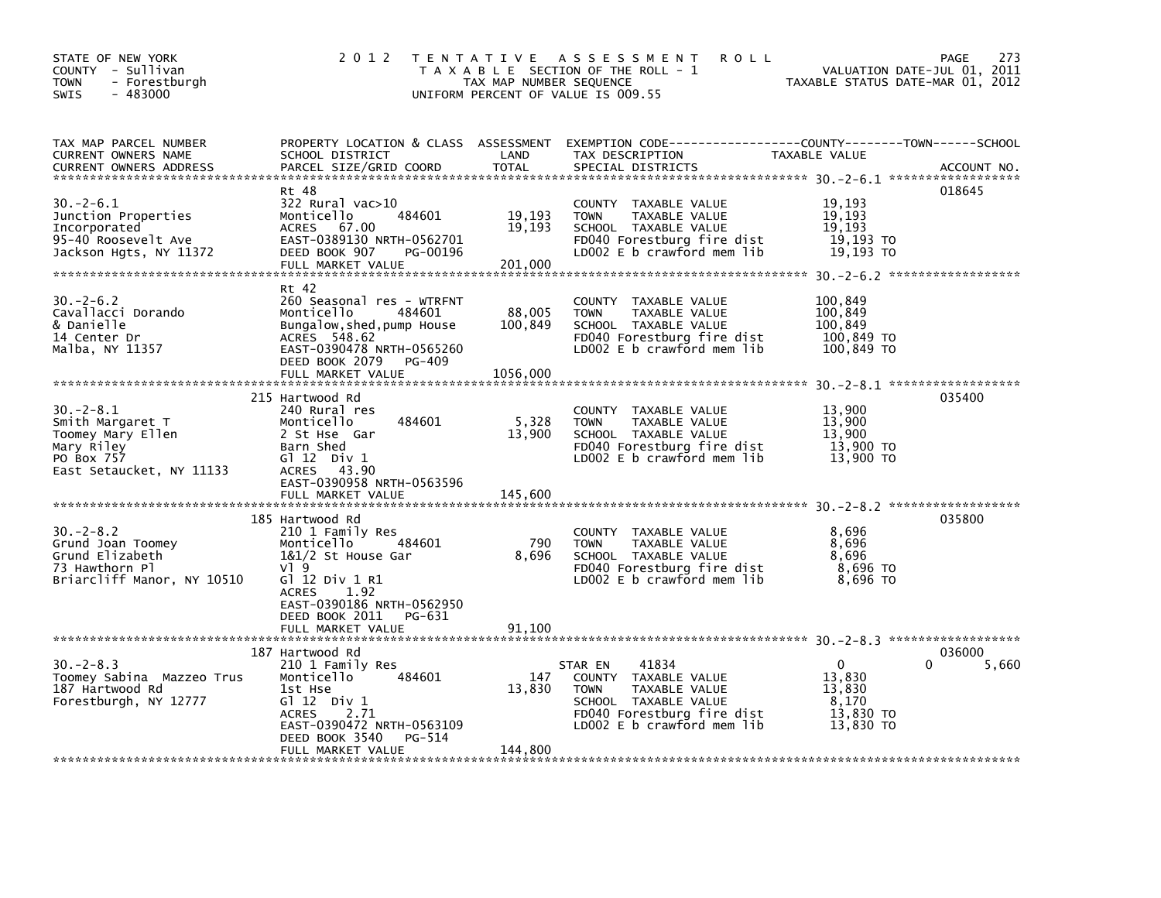| STATE OF NEW YORK<br>COUNTY - Sullivan<br><b>TOWN</b><br>- Forestburgh<br>$-483000$<br><b>SWIS</b>              | 2 0 1 2                                                                                                                                                                                                              | TAX MAP NUMBER SEQUENCE       | <b>ROLL</b><br>TENTATIVE ASSESSMENT<br>T A X A B L E SECTION OF THE ROLL - 1<br>UNIFORM PERCENT OF VALUE IS 009.55                                               | VALUATION DATE-JUL 01, 2011<br>TAXABLE STATUS DATE-MAR 01, 2012    | 273<br>PAGE          |
|-----------------------------------------------------------------------------------------------------------------|----------------------------------------------------------------------------------------------------------------------------------------------------------------------------------------------------------------------|-------------------------------|------------------------------------------------------------------------------------------------------------------------------------------------------------------|--------------------------------------------------------------------|----------------------|
| TAX MAP PARCEL NUMBER<br>CURRENT OWNERS NAME<br><b>CURRENT OWNERS ADDRESS</b>                                   | SCHOOL DISTRICT<br>PARCEL SIZE/GRID COORD                                                                                                                                                                            | LAND<br><b>TOTAL</b>          | PROPERTY LOCATION & CLASS ASSESSMENT EXEMPTION CODE---------------COUNTY-------TOWN------SCHOOL<br>TAX DESCRIPTION<br>SPECIAL DISTRICTS                          | TAXABLE VALUE                                                      | ACCOUNT NO.          |
| 30. – 2–6.1<br>Junction Properties<br>Incorporated<br>95-40 Roosevelt Ave<br>Jackson Hgts, NY 11372             | Rt 48<br>322 Rural vac>10<br>484601<br>Monticello<br>67.00<br><b>ACRES</b><br>EAST-0389130 NRTH-0562701<br>DEED BOOK 907<br>PG-00196<br>FULL MARKET VALUE                                                            | 19,193<br>19,193<br>201,000   | COUNTY TAXABLE VALUE<br>TAXABLE VALUE<br><b>TOWN</b><br>SCHOOL TAXABLE VALUE<br>FD040 Forestburg fire dist<br>LD002 $E$ b crawford mem lib                       | 19,193<br>19,193<br>19,193<br>19,193 TO<br>19,193 TO               | 018645               |
| $30 - 2 - 6.2$<br>Cavallacci Dorando<br>& Danielle<br>14 Center Dr<br>Malba, NY 11357                           | Rt 42<br>260 Seasonal res - WTRFNT<br>Monticello<br>484601<br>Bungalow, shed, pump House<br>ACRES 548.62<br>EAST-0390478 NRTH-0565260<br>DEED BOOK 2079 PG-409<br>FULL MARKET VALUE                                  | 88,005<br>100,849<br>1056,000 | COUNTY TAXABLE VALUE<br><b>TOWN</b><br>TAXABLE VALUE<br>SCHOOL TAXABLE VALUE<br>FD040 Forestburg fire dist<br>LD002 $E$ b crawford mem lib                       | 100,849<br>100,849<br>100,849<br>100,849 TO<br>100,849 TO          |                      |
| $30 - 2 - 8.1$<br>Smith Margaret T<br>Toomey Mary Ellen<br>Mary Riley<br>PO Box 757<br>East Setaucket, NY 11133 | 215 Hartwood Rd<br>240 Rural res<br>484601<br>Monticello<br>2 St Hse Gar<br>Barn Shed<br>$G1 12$ Div $1$<br>ACRES 43.90<br>EAST-0390958 NRTH-0563596<br>FULL MARKET VALUE                                            | 5,328<br>13,900<br>145,600    | COUNTY TAXABLE VALUE<br>TAXABLE VALUE<br><b>TOWN</b><br>SCHOOL TAXABLE VALUE<br>FD040 Forestburg fire dist<br>LD002 $E$ b crawford mem $lib$                     | 13,900<br>13,900<br>13.900<br>13,900 TO<br>13,900 TO               | 035400               |
| $30 - 2 - 8.2$<br>Grund Joan Toomey<br>Grund Elizabeth<br>73 Hawthorn Pl<br>Briarcliff Manor, NY 10510          | 185 Hartwood Rd<br>210 1 Family Res<br>Monticello<br>484601<br>1&1/2 St House Gar<br>$V$ ] 9<br>G1 12 Div 1 R1<br>1.92<br><b>ACRES</b><br>EAST-0390186 NRTH-0562950<br>DEED BOOK 2011<br>PG-631<br>FULL MARKET VALUE | 790<br>8,696<br>91,100        | COUNTY TAXABLE VALUE<br><b>TOWN</b><br>TAXABLE VALUE<br>SCHOOL TAXABLE VALUE<br>FD040 Forestburg fire dist<br>LD002 E b crawford mem lib                         | 8,696<br>8,696<br>8,696<br>8,696 то<br>8,696 TO                    | 035800               |
| $30 - 2 - 8.3$<br>Toomey Sabina Mazzeo Trus<br>187 Hartwood Rd<br>Forestburgh, NY 12777                         | 187 Hartwood Rd<br>210 1 Family Res<br>Monticello<br>484601<br>1st Hse<br>$G1 12$ Div 1<br><b>ACRES</b><br>2.71<br>EAST-0390472 NRTH-0563109<br>DEED BOOK 3540<br>PG-514<br>FULL MARKET VALUE                        | 147<br>13,830<br>144,800      | 41834<br>STAR EN<br>COUNTY TAXABLE VALUE<br><b>TOWN</b><br>TAXABLE VALUE<br>SCHOOL TAXABLE VALUE<br>FD040 Forestburg fire dist<br>LD002 $E$ b crawford mem $lib$ | $\mathbf 0$<br>13,830<br>13,830<br>8,170<br>13,830 TO<br>13,830 TO | 036000<br>0<br>5,660 |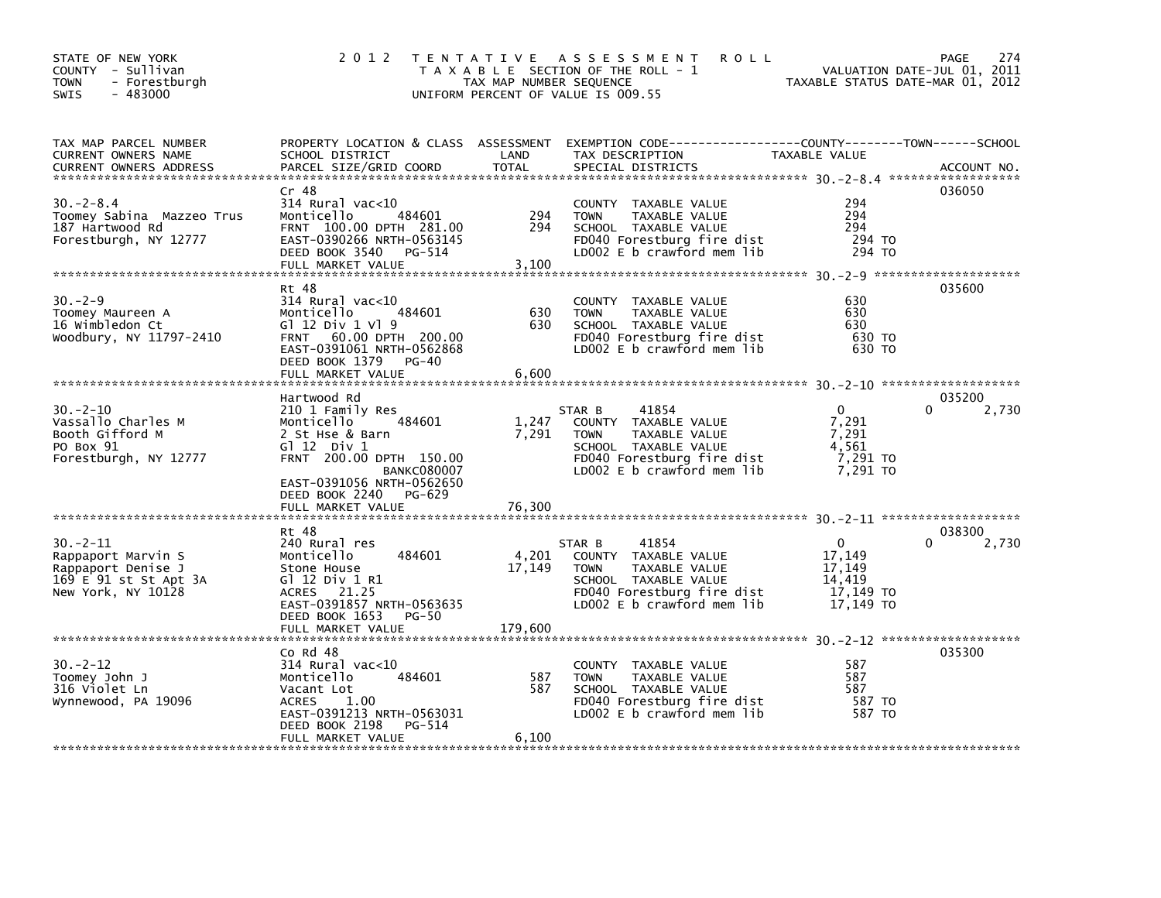| STATE OF NEW YORK<br>COUNTY - Sullivan<br><b>TOWN</b><br>- Forestburgh<br>$-483000$<br><b>SWIS</b>       | 2 0 1 2                                                                                                                                                                                              | TAX MAP NUMBER SEQUENCE | TENTATIVE ASSESSMENT<br><b>ROLL</b><br>T A X A B L E SECTION OF THE ROLL - 1<br>UNIFORM PERCENT OF VALUE IS 009.55                                              | TAXABLE STATUS DATE-MAR 01, 2012                                     | 274<br>PAGE<br>VALUATION DATE-JUL 01, 2011 |
|----------------------------------------------------------------------------------------------------------|------------------------------------------------------------------------------------------------------------------------------------------------------------------------------------------------------|-------------------------|-----------------------------------------------------------------------------------------------------------------------------------------------------------------|----------------------------------------------------------------------|--------------------------------------------|
| TAX MAP PARCEL NUMBER<br>CURRENT OWNERS NAME<br><b>CURRENT OWNERS ADDRESS</b>                            | SCHOOL DISTRICT<br>PARCEL SIZE/GRID COORD                                                                                                                                                            | LAND<br><b>TOTAL</b>    | PROPERTY LOCATION & CLASS ASSESSMENT EXEMPTION CODE---------------COUNTY-------TOWN-----SCHOOL<br>TAX DESCRIPTION<br>SPECIAL DISTRICTS                          | TAXABLE VALUE                                                        | ACCOUNT NO.                                |
| $30 - 2 - 8.4$<br>Toomey Sabina Mazzeo Trus<br>187 Hartwood Rd<br>Forestburgh, NY 12777                  | Cr 48<br>$314$ Rural vac< $10$<br>Monticello<br>484601<br>FRNT 100.00 DPTH 281.00<br>EAST-0390266 NRTH-0563145<br>DEED BOOK 3540 PG-514<br>FULL MARKET VALUE                                         | 294<br>294<br>3,100     | COUNTY TAXABLE VALUE<br>TAXABLE VALUE<br><b>TOWN</b><br>SCHOOL TAXABLE VALUE<br>FD040 Forestburg fire dist<br>LD002 E b crawford mem lib                        | 294<br>294<br>294<br>294 TO<br>294 TO                                | 036050                                     |
| $30 - 2 - 9$<br>Toomey Maureen A<br>16 Wimbledon Ct<br>Woodbury, NY 11797-2410                           | Rt 48<br>$314$ Rural vac<10<br>Monticello<br>484601<br>G1 12 Div 1 V1 9<br>FRNT 60.00 DPTH 200.00<br>EAST-0391061 NRTH-0562868<br>DEED BOOK 1379<br>PG-40<br>FULL MARKET VALUE                       | 630<br>630<br>6,600     | COUNTY TAXABLE VALUE<br><b>TOWN</b><br>TAXABLE VALUE<br>SCHOOL TAXABLE VALUE<br>FD040 Forestburg fire dist<br>LD002 E b crawford mem lib                        | 630<br>630<br>630<br>630 TO<br>630 TO                                | 035600                                     |
| $30 - 2 - 10$<br>Vassallo Charles M<br>Booth Gifford M<br>PO Box 91<br>Forestburgh, NY 12777             | Hartwood Rd<br>210 1 Family Res<br>484601<br>Monticello<br>2 St Hse & Barn<br>$G1 12$ Div $1$<br>FRNT 200.00 DPTH 150.00<br><b>BANKC080007</b><br>EAST-0391056 NRTH-0562650<br>DEED BOOK 2240 PG-629 | 1,247<br>7,291          | 41854<br>STAR B<br>COUNTY TAXABLE VALUE<br><b>TOWN</b><br>TAXABLE VALUE<br>SCHOOL TAXABLE VALUE<br>FD040 Forestburg fire dist<br>LD002 E b crawford mem lib     | $\mathbf{0}$<br>7,291<br>7,291<br>4,561<br>7,291 TO<br>7,291 TO      | 035200<br>0<br>2,730                       |
|                                                                                                          | FULL MARKET VALUE                                                                                                                                                                                    | 76,300                  |                                                                                                                                                                 |                                                                      |                                            |
| $30 - 2 - 11$<br>Rappaport Marvin S<br>Rappaport Denise J<br>169 E 91 st St Apt 3A<br>New York, NY 10128 | Rt 48<br>240 Rural res<br>Monticello<br>484601<br>Stone House<br>G1 12 Div 1 R1<br>ACRES 21.25<br>EAST-0391857 NRTH-0563635                                                                          | 4,201<br>17,149         | 41854<br>STAR B<br>COUNTY TAXABLE VALUE<br><b>TOWN</b><br>TAXABLE VALUE<br>SCHOOL TAXABLE VALUE<br>FD040 Forestburg fire dist<br>LD002 $E$ b crawford mem $lib$ | $\mathbf{0}$<br>17,149<br>17,149<br>14,419<br>17,149 TO<br>17,149 TO | 038300<br>2,730<br>0                       |
|                                                                                                          | DEED BOOK 1653<br>PG-50<br>FULL MARKET VALUE                                                                                                                                                         | 179,600                 |                                                                                                                                                                 |                                                                      |                                            |
| $30 - 2 - 12$<br>Toomey John J<br>316 Violet Ln<br>Wynnewood, PA 19096                                   | Co Rd 48<br>314 Rural vac<10<br>Monticello<br>484601<br>Vacant Lot<br><b>ACRES</b><br>1.00<br>EAST-0391213 NRTH-0563031<br>DEED BOOK 2198<br>PG-514<br>FULL MARKET VALUE                             | 587<br>587<br>6,100     | COUNTY<br>TAXABLE VALUE<br><b>TOWN</b><br>TAXABLE VALUE<br>SCHOOL TAXABLE VALUE<br>FD040 Forestburg fire dist<br>LD002 E b crawford mem lib                     | 587<br>587<br>587<br>587 TO<br>587 TO                                | 035300                                     |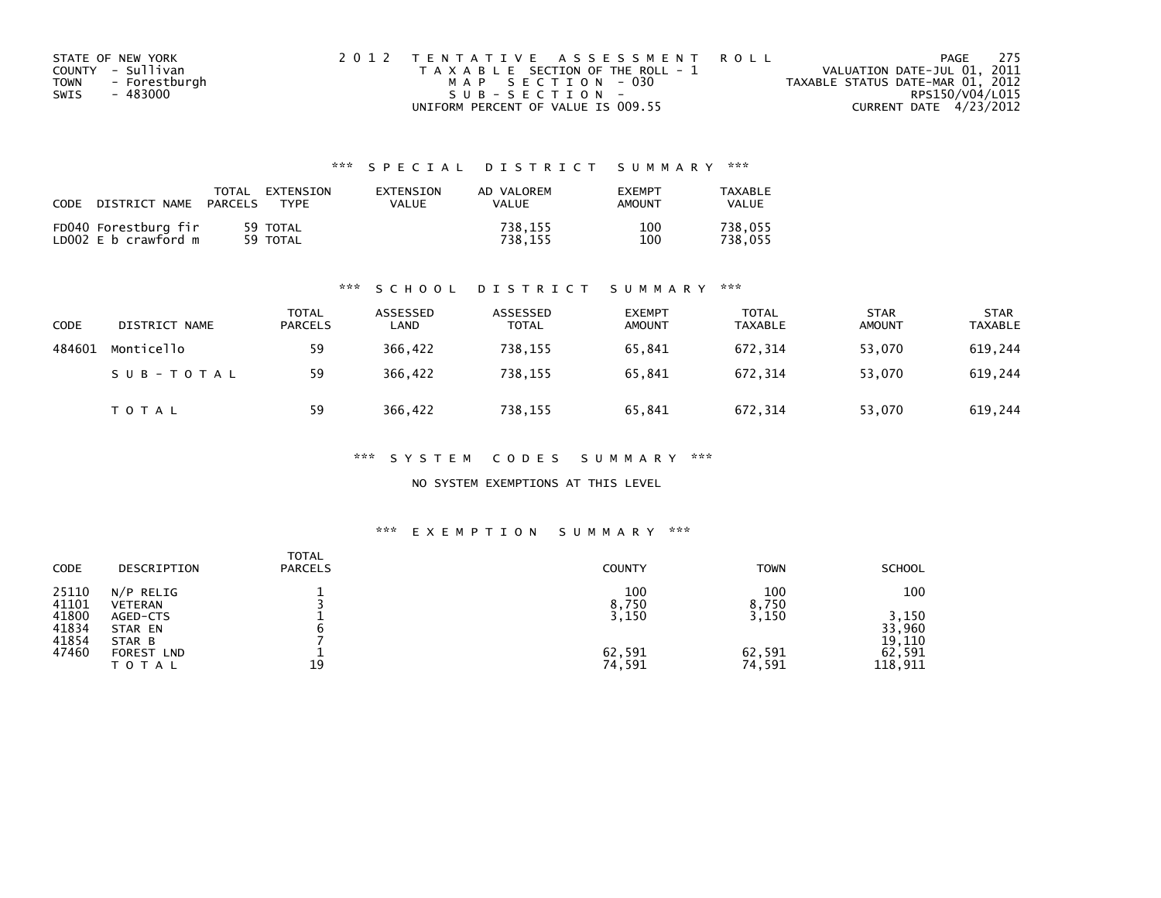| STATE OF NEW YORK     | 2012 TENTATIVE ASSESSMENT ROLL        | 275<br>PAGE                      |
|-----------------------|---------------------------------------|----------------------------------|
| COUNTY - Sullivan     | T A X A B L E SECTION OF THE ROLL - 1 | VALUATION DATE-JUL 01, 2011      |
| - Forestburgh<br>TOWN | MAP SECTION - 030                     | TAXABLE STATUS DATE-MAR 01, 2012 |
| - 483000<br>SWIS      | SUB-SECTION-                          | RPS150/V04/L015                  |
|                       | UNIFORM PERCENT OF VALUE IS 009.55    | CURRENT DATE 4/23/2012           |

| CODE                                         | TOTAL          | EXTENSION            | <b>FXTENSTON</b> | AD VALOREM         | <b>EXEMPT</b> | TAXARI F           |
|----------------------------------------------|----------------|----------------------|------------------|--------------------|---------------|--------------------|
| DISTRICT NAME                                | <b>PARCELS</b> | TYPF                 | VALUE            | <b>VALUE</b>       | AMOUNT        | VALUE              |
| FD040 Forestburg fir<br>LD002 E b crawford m |                | 59 TOTAL<br>59 TOTAL |                  | 738.155<br>738.155 | 100<br>100    | 738.055<br>738.055 |

#### \*\*\* S C H O O L D I S T R I C T S U M M A R Y \*\*\*

| CODE   | DISTRICT NAME | <b>TOTAL</b><br><b>PARCELS</b> | ASSESSED<br>LAND | ASSESSED<br><b>TOTAL</b> | <b>EXEMPT</b><br><b>AMOUNT</b> | <b>TOTAL</b><br><b>TAXABLE</b> | <b>STAR</b><br><b>AMOUNT</b> | <b>STAR</b><br><b>TAXABLE</b> |
|--------|---------------|--------------------------------|------------------|--------------------------|--------------------------------|--------------------------------|------------------------------|-------------------------------|
| 484601 | Monticello    | 59                             | 366.422          | 738,155                  | 65,841                         | 672.314                        | 53.070                       | 619,244                       |
|        | SUB-TOTAL     | 59                             | 366.422          | 738,155                  | 65,841                         | 672.314                        | 53.070                       | 619,244                       |
|        | TOTAL         | 59                             | 366,422          | 738,155                  | 65,841                         | 672,314                        | 53,070                       | 619,244                       |

\*\*\* S Y S T E M C O D E S S U M M A R Y \*\*\*

NO SYSTEM EXEMPTIONS AT THIS LEVEL

#### \*\*\* E X E M P T I O N S U M M A R Y \*\*\*

| CODE           | DESCRIPTION                 | <b>TOTAL</b><br><b>PARCELS</b> | <b>COUNTY</b> | <b>TOWN</b>  | <b>SCHOOL</b>    |
|----------------|-----------------------------|--------------------------------|---------------|--------------|------------------|
| 25110<br>41101 | N/P RELIG<br><b>VETERAN</b> |                                | 100<br>8,750  | 100<br>8,750 | 100              |
| 41800<br>41834 | AGED-CTS<br>STAR EN         |                                | 3,150         | 3,150        | 3,150<br>33,960  |
| 41854<br>47460 | STAR B<br><b>FOREST LND</b> |                                | 62,591        | 62,591       | 19,110<br>62,591 |
|                | ΤΟΤΑΙ                       | 19                             | 74,591        | 74,591       | 118,911          |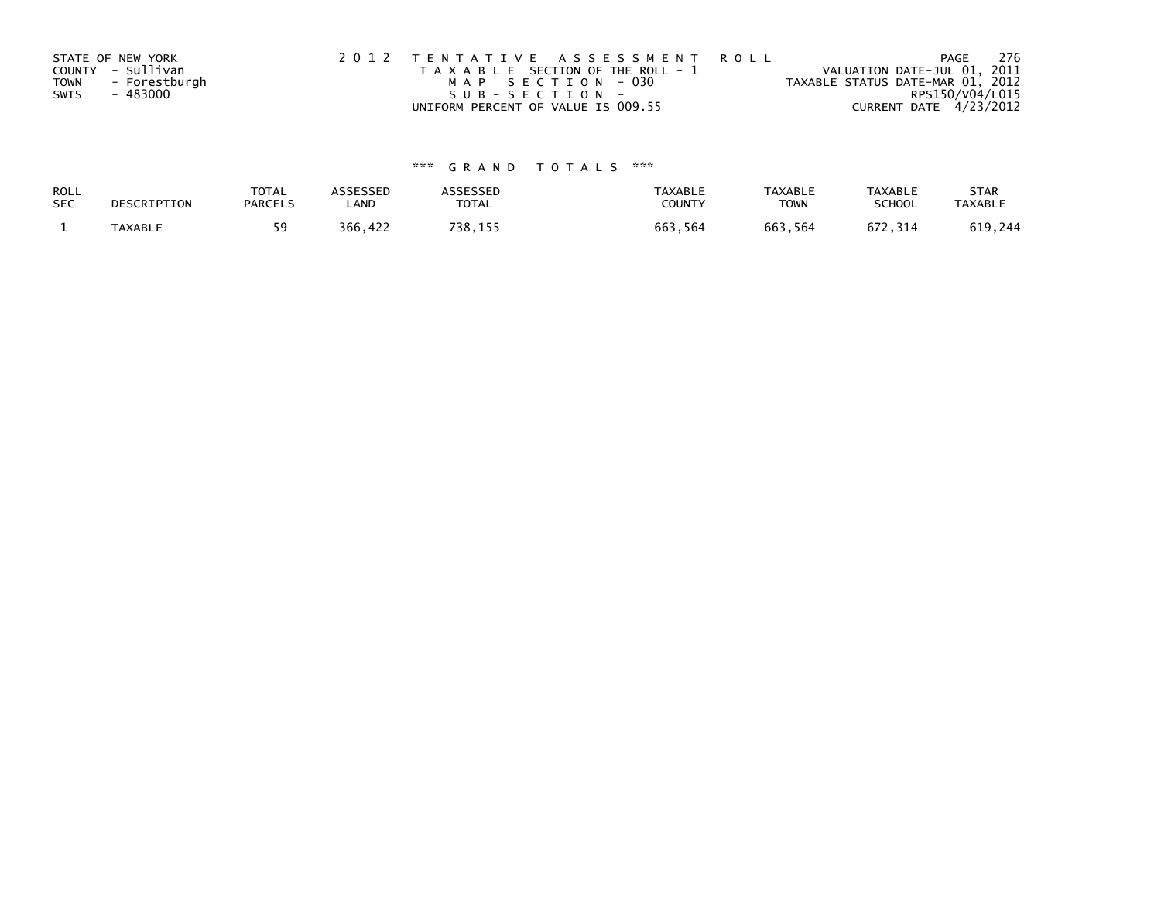|             | STATE OF NEW YORK | 2012 TENTATIVE ASSESSMENT ROLL        | PAGE                             | -276 |
|-------------|-------------------|---------------------------------------|----------------------------------|------|
|             | COUNTY - Sullivan | T A X A B L E SECTION OF THE ROLL - 1 | VALUATION DATE-JUL 01, 2011      |      |
| <b>TOWN</b> | - Forestburgh     | MAP SECTION - 030                     | TAXABLE STATUS DATE-MAR 01, 2012 |      |
| SWIS        | - 483000          | SUB-SECTION-                          | RPS150/V04/L015                  |      |
|             |                   | UNIFORM PERCENT OF VALUE IS 009.55    | CURRENT DATE 4/23/2012           |      |

| ROLL       | DESCRIPTION    | <b>TOTAL</b>   | ASSESSED | ASSESSED | <b>TAXABLE</b> | <b>TAXABLE</b> | <b>TAXABLE</b> | <b>STAR</b>    |
|------------|----------------|----------------|----------|----------|----------------|----------------|----------------|----------------|
| <b>SEC</b> |                | <b>PARCELS</b> | ∟AND     | TOTAL    | <b>COUNTY</b>  | TOWN           | <b>SCHOOL</b>  | <b>TAXABLE</b> |
|            | <b>TAXABLE</b> |                | 366,422  | 738,155  | 663,564        | 663,564        | 672.314        | 619,244        |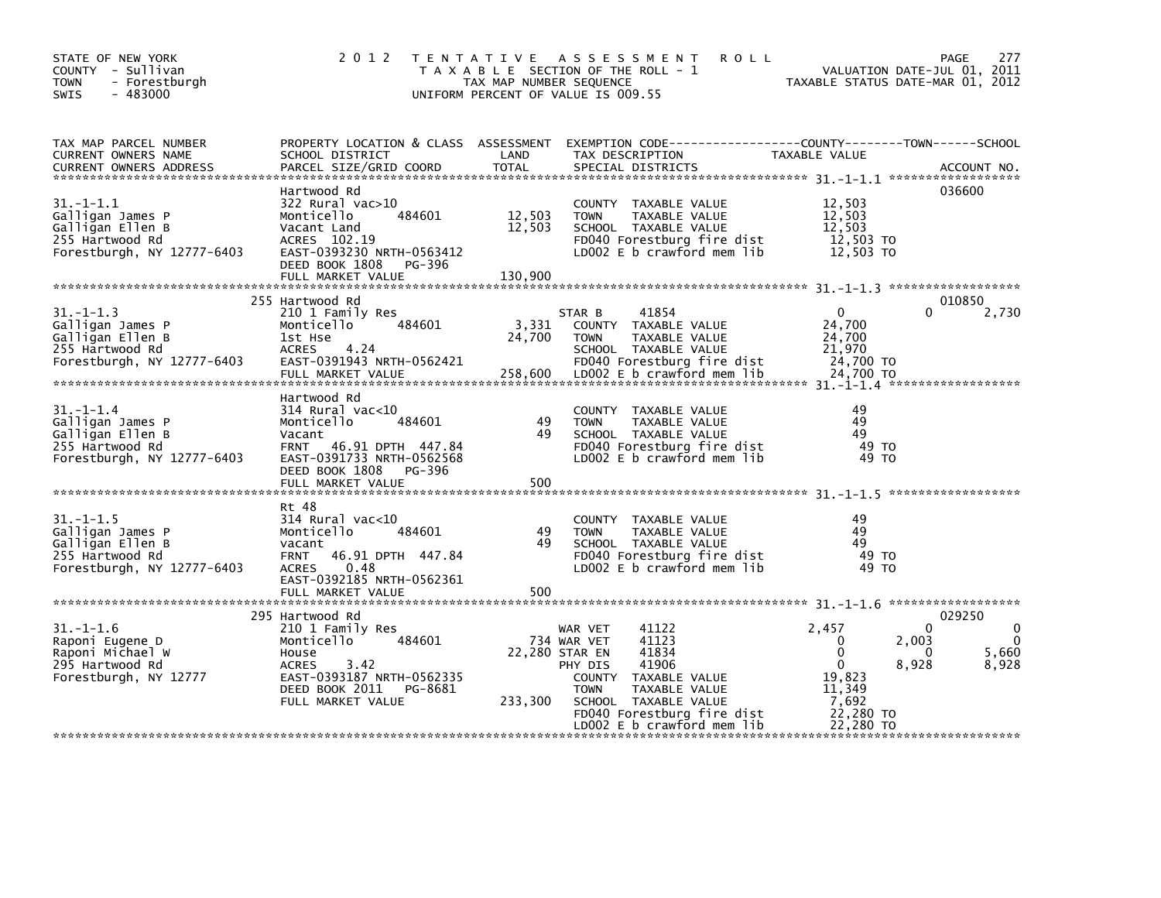| STATE OF NEW YORK<br>COUNTY - Sullivan<br>- Forestburgh<br><b>TOWN</b><br>$-483000$<br><b>SWIS</b>       | 2 0 1 2                                                                                                                                                                     | TAX MAP NUMBER SEQUENCE     | <b>ROLL</b><br>TENTATIVE ASSESSMENT<br>T A X A B L E SECTION OF THE ROLL - 1<br>UNIFORM PERCENT OF VALUE IS 009.55                                                                                                    | VALUATION DATE-JUL 01, 2011<br>VALUATION DATE-JUL 01, 2011<br>TAXABLE STATUS DATE-MAR 01, 2012                                        | PAGE<br>277                                          |
|----------------------------------------------------------------------------------------------------------|-----------------------------------------------------------------------------------------------------------------------------------------------------------------------------|-----------------------------|-----------------------------------------------------------------------------------------------------------------------------------------------------------------------------------------------------------------------|---------------------------------------------------------------------------------------------------------------------------------------|------------------------------------------------------|
| TAX MAP PARCEL NUMBER<br>CURRENT OWNERS NAME<br><b>CURRENT OWNERS ADDRESS</b>                            | SCHOOL DISTRICT<br>PARCEL SIZE/GRID COORD                                                                                                                                   | LAND<br>TOTAL               | PROPERTY LOCATION & CLASS ASSESSMENT EXEMPTION CODE---------------COUNTY-------TOWN------SCHOOL<br>TAX DESCRIPTION<br>SPECIAL DISTRICTS                                                                               | TAXABLE VALUE                                                                                                                         | ACCOUNT NO.                                          |
| $31. - 1 - 1.1$<br>Galligan James P<br>Galligan Ellen B<br>255 Hartwood Rd<br>Forestburgh, NY 12777-6403 | Hartwood Rd<br>322 Rural vac>10<br>484601<br>Monticello<br>Vacant Land<br>ACRES 102.19<br>EAST-0393230 NRTH-0563412<br>DEED BOOK 1808 PG-396<br>FULL MARKET VALUE           | 12,503<br>12,503<br>130,900 | COUNTY TAXABLE VALUE<br><b>TOWN</b><br>TAXABLE VALUE<br>SCHOOL TAXABLE VALUE<br>FD040 Forestburg fire dist<br>LD002 E b crawford mem lib                                                                              | 12,503<br>12,503<br>12.503<br>12,503 TO<br>12,503 TO                                                                                  | 036600                                               |
| $31. - 1 - 1.3$<br>Galligan James P<br>Galligan Ellen B<br>255 Hartwood Rd<br>Forestburgh, NY 12777-6403 | 255 Hartwood Rd<br>210 1 Family Res<br>484601<br>Monticello<br>1st Hse<br>ACRES 4.24<br>EAST-0391943 NRTH-0562421<br>FULL MARKET VALUE                                      | 24,700                      | 41854<br>STAR B<br>3,331 COUNTY TAXABLE VALUE<br>TAXABLE VALUE<br><b>TOWN</b><br>SCHOOL TAXABLE VALUE<br>FD040 Forestburg fire dist<br>258,600 LD002 E b crawford mem lib                                             | $\Omega$<br>24,700<br>24,700<br>21,970<br>24.700 TO<br>24,700 TO                                                                      | 010850<br>2,730                                      |
| $31. - 1 - 1.4$<br>Galligan James P<br>Galligan Ellen B<br>255 Hartwood Rd<br>Forestburgh, NY 12777-6403 | Hartwood Rd<br>$314$ Rural vac< $10$<br>484601<br>Monticello<br>Vacant<br>FRNT 46.91 DPTH 447.84<br>EAST-0391733 NRTH-0562568<br>DEED BOOK 1808 PG-396<br>FULL MARKET VALUE | 49<br>49<br>500             | COUNTY TAXABLE VALUE<br><b>TOWN</b><br>TAXABLE VALUE<br>SCHOOL TAXABLE VALUE<br>FD040 Forestburg fire dist<br>LD002 E b crawford mem lib                                                                              | 49<br>49<br>49<br>49 TO<br>49 TO                                                                                                      |                                                      |
| $31. - 1 - 1.5$<br>Galligan James P<br>Galligan Ellen B<br>255 Hartwood Rd<br>Forestburgh, NY 12777-6403 | Rt 48<br>$314$ Rural vac< $10$<br>Monticello<br>484601<br>vacant<br>FRNT 46.91 DPTH 447.84<br><b>ACRES</b><br>0.48<br>EAST-0392185 NRTH-0562361<br>FULL MARKET VALUE        | 49<br>49<br>500             | COUNTY TAXABLE VALUE<br>TAXABLE VALUE<br><b>TOWN</b><br>SCHOOL TAXABLE VALUE<br>FD040 Forestburg fire dist<br>LD002 E b crawford mem lib                                                                              | 49<br>49<br>49<br>49 TO<br>49 TO                                                                                                      |                                                      |
| $31. - 1 - 1.6$<br>Raponi Eugene D<br>Raponi Michael W<br>295 Hartwood Rd<br>Forestburgh, NY 12777       | 295 Hartwood Rd<br>210 1 Family Res<br>484601<br>Monticello<br>House<br><b>ACRES</b><br>3.42<br>EAST-0393187 NRTH-0562335<br>DEED BOOK 2011 PG-8681<br>FULL MARKET VALUE    | 22,280 STAR EN<br>233,300   | 41122<br>WAR VET<br>41123<br>734 WAR VET<br>41834<br>PHY DIS<br>41906<br>COUNTY TAXABLE VALUE<br>TAXABLE VALUE<br><b>TOWN</b><br>SCHOOL TAXABLE VALUE<br>FD040 Forestburg fire dist<br>LD002 $E$ b crawford mem $lib$ | 2,457<br>$\Omega$<br>$\mathbf 0$<br>2,003<br>$\mathbf{0}$<br>$\Omega$<br>8,928<br>19,823<br>11,349<br>7,692<br>22,280 TO<br>22.280 TO | 029250<br>$\mathbf{0}$<br>$\Omega$<br>5,660<br>8,928 |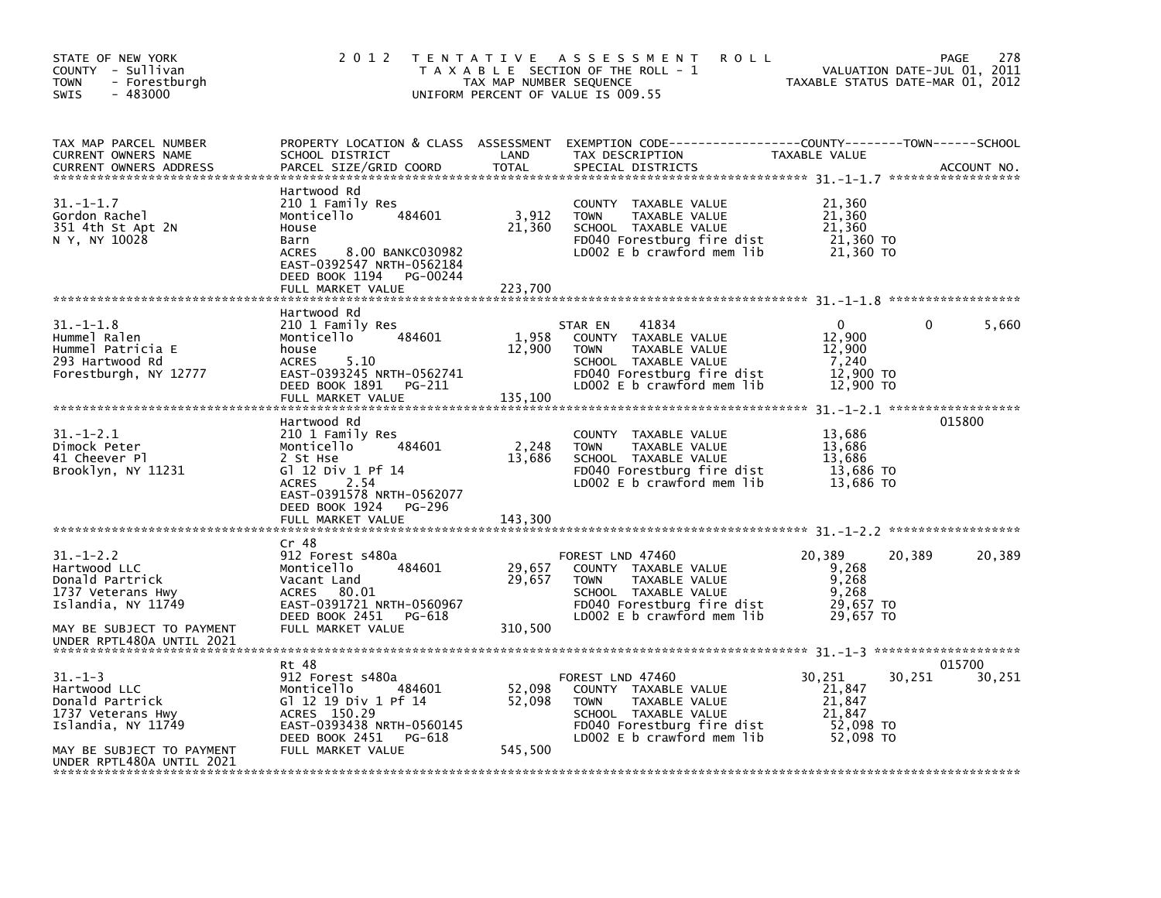| STATE OF NEW YORK<br>COUNTY - Sullivan<br>- Forestburgh<br><b>TOWN</b><br>$-483000$<br>SWIS                                                           | 2 0 1 2                                                                                                                                                                                               | TAX MAP NUMBER SEQUENCE     | TENTATIVE ASSESSMENT<br><b>ROLL</b><br>T A X A B L E SECTION OF THE ROLL - 1<br>UNIFORM PERCENT OF VALUE IS 009.55                                           |                                                                | 278<br>PAGE<br>VALUATION DATE-JUL 01, 2011<br>TAXABLE STATUS DATE-MAR 01, 2012 |
|-------------------------------------------------------------------------------------------------------------------------------------------------------|-------------------------------------------------------------------------------------------------------------------------------------------------------------------------------------------------------|-----------------------------|--------------------------------------------------------------------------------------------------------------------------------------------------------------|----------------------------------------------------------------|--------------------------------------------------------------------------------|
| TAX MAP PARCEL NUMBER<br>CURRENT OWNERS NAME<br><b>CURRENT OWNERS ADDRESS</b>                                                                         | SCHOOL DISTRICT<br>PARCEL SIZE/GRID COORD                                                                                                                                                             | LAND<br><b>TOTAL</b>        | PROPERTY LOCATION & CLASS ASSESSMENT EXEMPTION CODE---------------COUNTY-------TOWN-----SCHOOL<br>TAX DESCRIPTION<br>SPECIAL DISTRICTS                       | TAXABLE VALUE                                                  | ACCOUNT NO.                                                                    |
| $31. - 1 - 1.7$<br>Gordon Rachel<br>351 4th St Apt 2N<br>N Y, NY 10028                                                                                | Hartwood Rd<br>210 1 Family Res<br>484601<br>Monticello<br>House<br>Barn<br>8.00 BANKC030982<br><b>ACRES</b><br>EAST-0392547 NRTH-0562184<br>DEED BOOK 1194<br>PG-00244<br>FULL MARKET VALUE          | 3,912<br>21,360<br>223,700  | COUNTY TAXABLE VALUE<br><b>TOWN</b><br>TAXABLE VALUE<br>SCHOOL TAXABLE VALUE<br>FD040 Forestburg fire dist<br>LD002 E b crawford mem lib                     | 21,360<br>21,360<br>21.360<br>21,360 TO<br>21,360 TO           |                                                                                |
|                                                                                                                                                       |                                                                                                                                                                                                       |                             |                                                                                                                                                              |                                                                |                                                                                |
| $31. - 1 - 1.8$<br>Hummel Ralen<br>Hummel Patricia E<br>293 Hartwood Rd<br>Forestburgh, NY 12777                                                      | Hartwood Rd<br>210 1 Family Res<br>Monticello<br>484601<br>house<br><b>ACRES</b><br>5.10<br>EAST-0393245 NRTH-0562741<br>DEED BOOK 1891<br>PG-211<br>FULL MARKET VALUE                                | 1,958<br>12,900<br>135,100  | 41834<br>STAR EN<br>COUNTY TAXABLE VALUE<br><b>TOWN</b><br>TAXABLE VALUE<br>SCHOOL TAXABLE VALUE<br>FD040 Forestburg fire dist<br>LD002 E b crawford mem lib | 0<br>12,900<br>12,900<br>7,240<br>12,900 TO<br>12,900 TO       | 5,660<br>0                                                                     |
| $31. - 1 - 2.1$<br>Dimock Peter<br>41 Cheever Pl<br>Brooklyn, NY 11231                                                                                | Hartwood Rd<br>210 1 Family Res<br>484601<br>Monticello<br>2 St Hse<br>G] 12 Div 1 Pf 14<br>2.54<br><b>ACRES</b><br>EAST-0391578 NRTH-0562077<br>DEED BOOK 1924<br><b>PG-296</b><br>FULL MARKET VALUE | 2,248<br>13,686<br>143,300  | <b>COUNTY</b><br>TAXABLE VALUE<br><b>TOWN</b><br>TAXABLE VALUE<br>SCHOOL TAXABLE VALUE<br>FD040 Forestburg fire dist<br>LD002 E b crawford mem lib           | 13,686<br>13,686<br>13.686<br>13,686 TO<br>13,686 TO           | 015800                                                                         |
|                                                                                                                                                       | Cr 48                                                                                                                                                                                                 |                             |                                                                                                                                                              |                                                                |                                                                                |
| $31. - 1 - 2.2$<br>Hartwood LLC<br>Donald Partrick<br>1737 Veterans Hwy<br>Islandia, NY 11749<br>MAY BE SUBJECT TO PAYMENT                            | 912 Forest s480a<br>Monticello<br>484601<br>Vacant Land<br>ACRES 80.01<br>EAST-0391721 NRTH-0560967<br>DEED BOOK 2451<br>PG-618<br>FULL MARKET VALUE                                                  | 29,657<br>29,657<br>310.500 | FOREST LND 47460<br>COUNTY TAXABLE VALUE<br><b>TOWN</b><br>TAXABLE VALUE<br>SCHOOL TAXABLE VALUE<br>FD040 Forestburg fire dist<br>LD002 E b crawford mem lib | 20,389<br>9,268<br>9,268<br>9,268<br>29,657 TO<br>29,657 TO    | 20,389<br>20,389                                                               |
| UNDER RPTL480A UNTIL 2021                                                                                                                             |                                                                                                                                                                                                       |                             |                                                                                                                                                              |                                                                |                                                                                |
| $31. - 1 - 3$<br>Hartwood LLC<br>Donald Partrick<br>1737 Veterans Hwy<br>Islandia, NY 11749<br>MAY BE SUBJECT TO PAYMENT<br>UNDER RPTL480A UNTIL 2021 | Rt 48<br>912 Forest s480a<br>Monticello<br>484601<br>G1 12 19 Div 1 Pf 14<br>ACRES 150.29<br>EAST-0393438 NRTH-0560145<br>DEED BOOK 2451 PG-618<br>FULL MARKET VALUE                                  | 52,098<br>52,098<br>545,500 | FOREST LND 47460<br>COUNTY TAXABLE VALUE<br><b>TOWN</b><br>TAXABLE VALUE<br>SCHOOL TAXABLE VALUE<br>FD040 Forestburg fire dist<br>LD002 E b crawford mem lib | 30.251<br>21,847<br>21,847<br>21,847<br>52,098 TO<br>52,098 TO | 015700<br>30,251<br>30,251                                                     |
|                                                                                                                                                       |                                                                                                                                                                                                       |                             |                                                                                                                                                              |                                                                |                                                                                |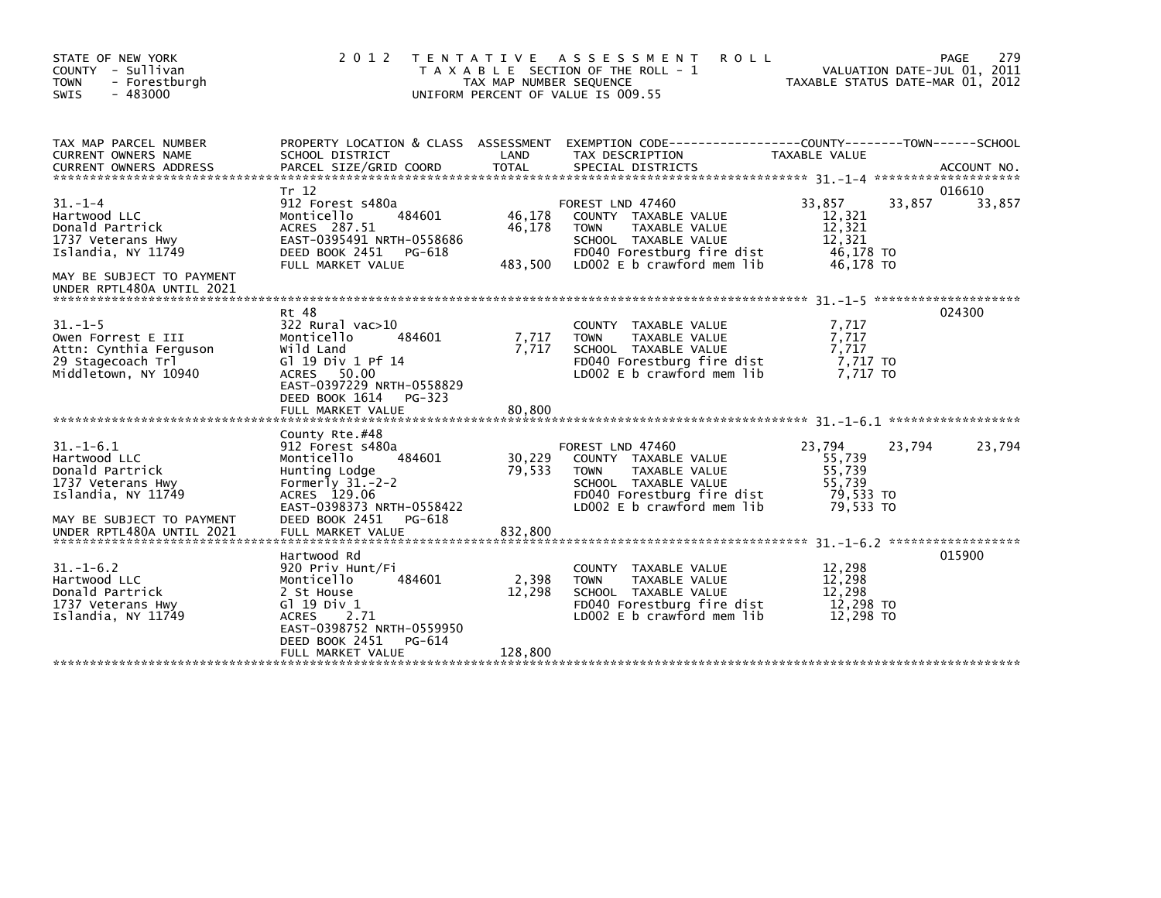| STATE OF NEW YORK<br>COUNTY - Sullivan<br><b>TOWN</b><br>- Forestburgh<br>$-483000$<br>SWIS                                                          | 2 0 1 2                                                                                                                                                                                         | T E N T A T I V E<br>TAX MAP NUMBER SEQUENCE | A S S E S S M E N T<br><b>ROLL</b><br>T A X A B L E SECTION OF THE ROLL - 1<br>UNIFORM PERCENT OF VALUE IS 009.55                                            |                                                                | 279<br>PAGE<br>VALUATION DATE-JUL 01, 2011<br>TAXABLE STATUS DATE-MAR 01, 2012 |
|------------------------------------------------------------------------------------------------------------------------------------------------------|-------------------------------------------------------------------------------------------------------------------------------------------------------------------------------------------------|----------------------------------------------|--------------------------------------------------------------------------------------------------------------------------------------------------------------|----------------------------------------------------------------|--------------------------------------------------------------------------------|
| TAX MAP PARCEL NUMBER<br><b>CURRENT OWNERS NAME</b>                                                                                                  | PROPERTY LOCATION & CLASS ASSESSMENT<br>SCHOOL DISTRICT                                                                                                                                         | LAND                                         | EXEMPTION CODE------------------COUNTY--------TOWN------SCHOOL<br>TAX DESCRIPTION                                                                            | <b>TAXABLE VALUE</b>                                           |                                                                                |
| $31 - 1 - 4$<br>Hartwood LLC<br>Donald Partrick<br>1737 Veterans Hwy<br>Islandia, NY 11749<br>MAY BE SUBJECT TO PAYMENT<br>UNDER RPTL480A UNTIL 2021 | Tr 12<br>912 Forest s480a<br>Monticello<br>484601<br>ACRES 287.51<br>EAST-0395491 NRTH-0558686<br>DEED BOOK 2451<br>PG-618<br>FULL MARKET VALUE                                                 | 46,178<br>46,178<br>483,500                  | FOREST LND 47460<br>COUNTY TAXABLE VALUE<br><b>TOWN</b><br>TAXABLE VALUE<br>SCHOOL TAXABLE VALUE<br>FD040 Forestburg fire dist<br>LD002 E b crawford mem lib | 33,857<br>12,321<br>12,321<br>12,321<br>46,178 TO<br>46.178 TO | 016610<br>33,857<br>33,857                                                     |
| $31. -1 - 5$<br>Owen Forrest E III<br>Attn: Cynthia Ferguson<br>29 Stagecoach Trl<br>Middletown, NY 10940                                            | Rt 48<br>322 Rural vac>10<br>Monticello<br>484601<br>Wild Land<br>G1 19 Div 1 Pf 14<br>ACRES 50.00<br>EAST-0397229 NRTH-0558829<br>DEED BOOK 1614<br>$PG-323$<br>FULL MARKET VALUE              | 7,717<br>7.717<br>80,800                     | TAXABLE VALUE<br>COUNTY<br>TAXABLE VALUE<br><b>TOWN</b><br>SCHOOL TAXABLE VALUE<br>FD040 Forestburg fire dist<br>LD002 E b crawford mem lib                  | 7,717<br>7,717<br>7,717<br>7,717 TO<br>7.717 TO                | 024300                                                                         |
| $31.-1-6.1$<br>Hartwood LLC<br>Donald Partrick<br>1737 Veterans Hwy<br>Islandia, NY 11749<br>MAY BE SUBJECT TO PAYMENT<br>UNDER RPTL480A UNTIL 2021  | County Rte.#48<br>912 Forest s480a<br>Monticello<br>484601<br>Hunting Lodge<br>Formerly $31.-2-2$<br>ACRES 129.06<br>EAST-0398373 NRTH-0558422<br>DEED BOOK 2451<br>PG-618<br>FULL MARKET VALUE | 30,229<br>79,533<br>832,800                  | FOREST LND 47460<br>COUNTY TAXABLE VALUE<br><b>TOWN</b><br>TAXABLE VALUE<br>SCHOOL TAXABLE VALUE<br>FD040 Forestburg fire dist<br>LD002 E b crawford mem lib | 23,794<br>55,739<br>55,739<br>55.739<br>79,533 TO<br>79.533 TO | 23,794<br>23,794                                                               |
| $31. - 1 - 6.2$<br>Hartwood LLC<br>Donald Partrick<br>1737 Veterans Hwy<br>Islandia, NY 11749                                                        | Hartwood Rd<br>920 Priv Hunt/Fi<br>Monticello<br>484601<br>2 St House<br>G $1$ 19 Div 1<br><b>ACRES</b><br>2.71<br>EAST-0398752 NRTH-0559950<br>DEED BOOK 2451<br>PG-614<br>FULL MARKET VALUE   | 2,398<br>12,298<br>128,800                   | COUNTY TAXABLE VALUE<br><b>TOWN</b><br>TAXABLE VALUE<br>SCHOOL TAXABLE VALUE<br>FD040 Forestburg fire dist<br>LD002 E b crawford mem lib                     | 12,298<br>12,298<br>12.298<br>12,298 TO<br>12,298 TO           | 015900                                                                         |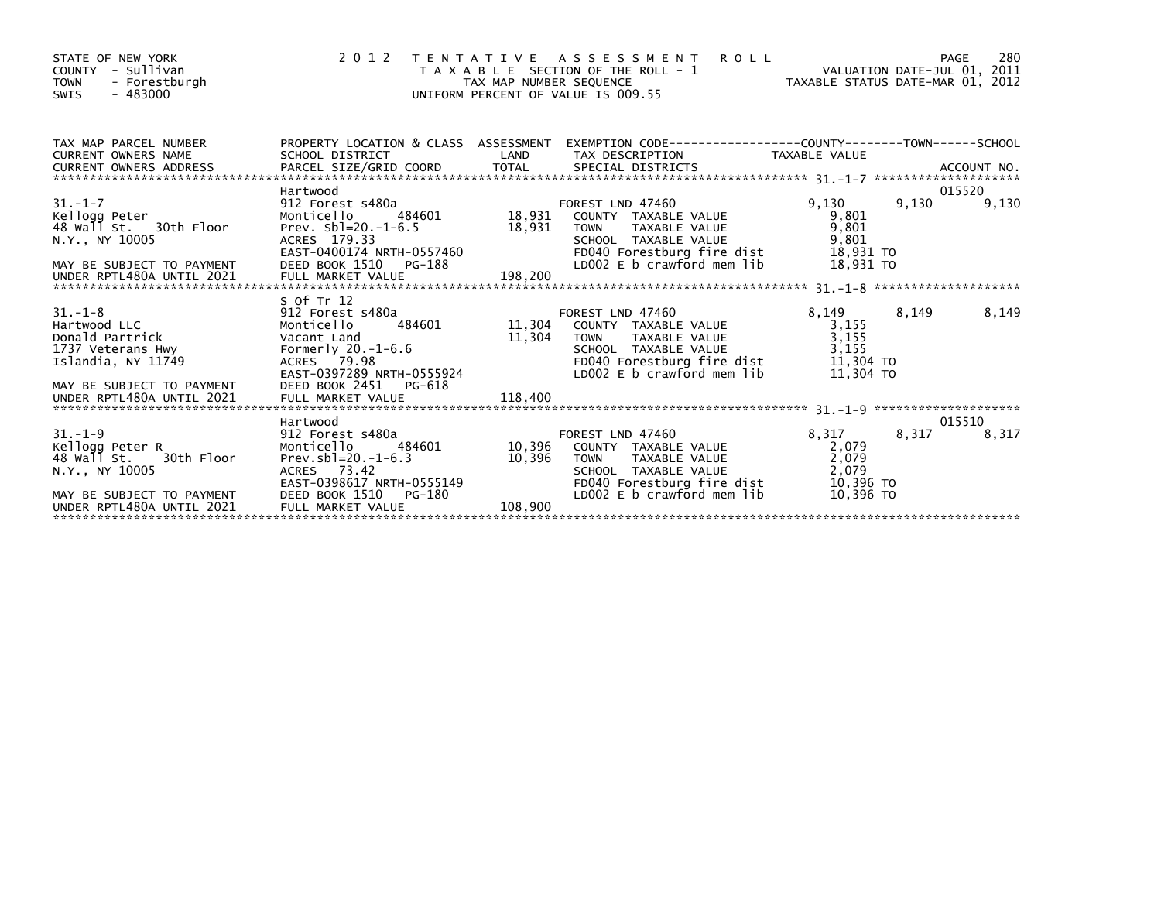| STATE OF NEW YORK<br>COUNTY - Sullivan<br><b>TOWN</b><br>- Forestburgh<br>$-483000$<br>SWIS                                                                          | 2 0 1 2                                                                                                                       |                   | TENTATIVE ASSESSMENT ROLL<br>T A X A B L E SECTION OF THE ROLL - 1<br>TAX MAP NUMBER SEQUENCE<br>UNIFORM PERCENT OF VALUE IS 009.55                                                                    |                                                            |       | 280<br>PAGE     |
|----------------------------------------------------------------------------------------------------------------------------------------------------------------------|-------------------------------------------------------------------------------------------------------------------------------|-------------------|--------------------------------------------------------------------------------------------------------------------------------------------------------------------------------------------------------|------------------------------------------------------------|-------|-----------------|
| TAX MAP PARCEL NUMBER<br><b>CURRENT OWNERS NAME</b>                                                                                                                  | SCHOOL DISTRICT                                                                                                               |                   | PROPERTY LOCATION & CLASS ASSESSMENT EXEMPTION CODE----------------COUNTY-------TOWN------SCHOOL<br>LAND TAX DESCRIPTION TAXABLE VALUE                                                                 |                                                            |       |                 |
|                                                                                                                                                                      |                                                                                                                               |                   |                                                                                                                                                                                                        |                                                            |       |                 |
| $31. - 1 - 7$<br>31.-1-7<br>Kellogg Peter<br>48 Wall St30th Floor<br>N.Y., NY 10005<br>MAY BE SUBJECT TO PAYMENT<br>UNDER RPTL480A UNTIL 2021                        | Hartwood<br>ACRES 179.33                                                                                                      |                   | TOWN       TAXABLE  VALUE<br>SCHOOL    TAXABLE  VALUE<br>FD040 Forestburg fire dist<br>LD002 E b crawford mem lib                                                                                      | 9.130<br>9.801<br>9,801<br>9,801<br>18,931 TO<br>18.931 TO | 9,130 | 015520<br>9,130 |
| 31.-1-8<br>Hartwood LLC<br>Donald Partrick<br>1737 Veterans Hwy<br>Islandia, NY 11749<br>MAY BE SUBJECT TO PAYMENT                                                   | S Of Tr 12<br>912 Forest s480a<br>Monticello<br>Vacant Land<br>Formerly $20.-1-6.6$<br>DEED BOOK 2451 PG-618                  |                   | FD040 Forestburg fire dist<br>LD002 E b crawford mem lib                                                                                                                                               | 8,149<br>3,155<br>3,155<br>3,155<br>11,304 TO<br>11,304 TO | 8,149 | 8,149           |
|                                                                                                                                                                      |                                                                                                                               |                   |                                                                                                                                                                                                        |                                                            |       |                 |
| $31 - 1 - 9$                                                                                                                                                         | Hartwood<br>912 Forest s480a                                                                                                  |                   | FOREST LND 47460                                                                                                                                                                                       | 8,317 8,317                                                |       | 015510<br>8,317 |
| Kellogg Peter R<br>48 wall st. 30th Floor<br>N.Y., NY 10005<br>MITT, MT 19999<br>MAY BE SUBJECT TO PAYMENT<br>UNDER RPTL480A UNTIL 2021<br>UNDER RPTL480A UNTIL 2021 | Monticello<br>Prev.sbl= $20.-1-6.3$<br>ACRES 73.42<br>EAST-0398617 NRTH-0555149<br>DEED BOOK 1510 PG-180<br>FULL MARKET VALUE | 10,396<br>108,900 | 484601 10,396 COUNTY TAXABLE VALUE<br>TAXABLE VALUE<br><b>TOWN</b><br>SCHOOL TAXABLE VALUE<br>FD040 Forestburg fire dist               10,396 TO<br>LD002 E b crawford mem lib               10,396 TO | 2,079<br>2,079<br>2,079                                    |       |                 |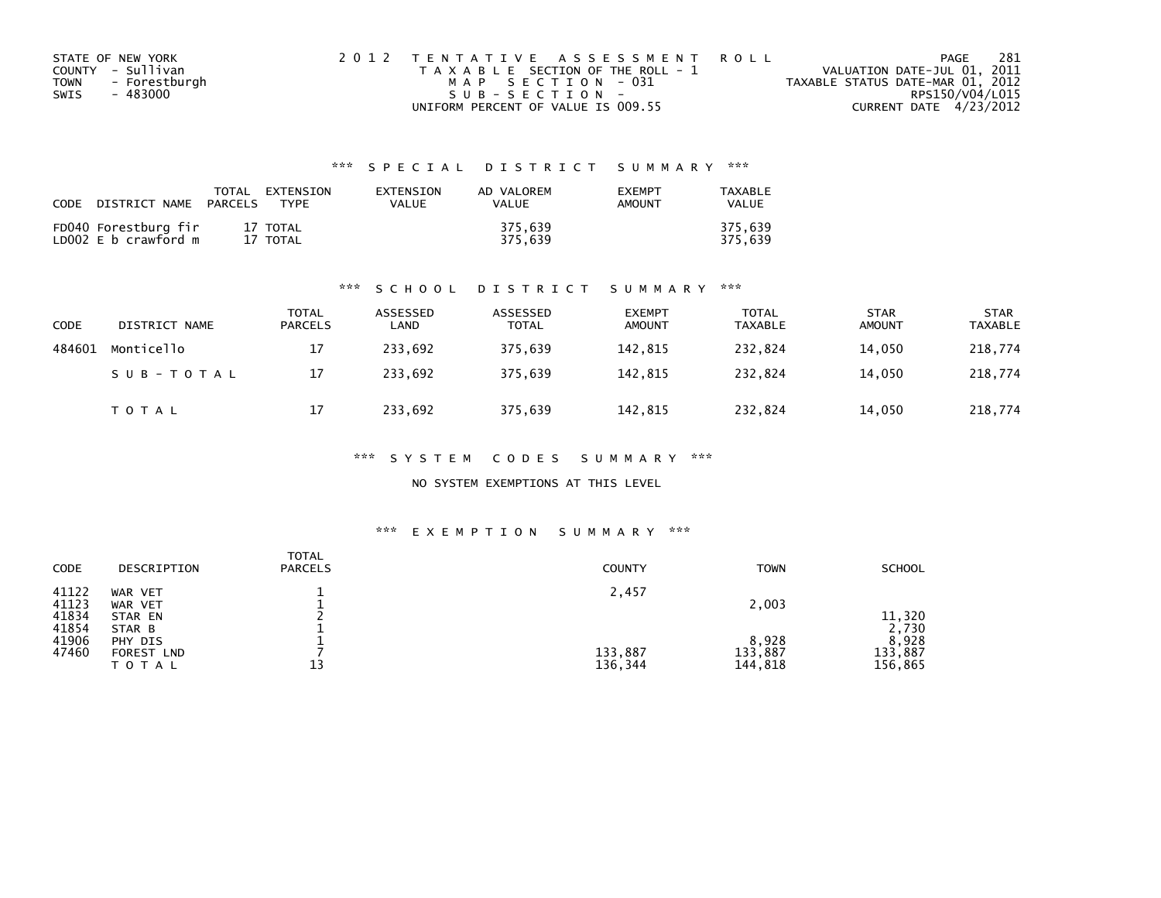| STATE OF NEW YORK |               | 2012 TENTATIVE ASSESSMENT ROLL        |  |                                  | PAGE                   | -281 |
|-------------------|---------------|---------------------------------------|--|----------------------------------|------------------------|------|
| COUNTY - Sullivan |               | T A X A B L E SECTION OF THE ROLL - 1 |  | VALUATION DATE-JUL 01, 2011      |                        |      |
| TOWN              | - Forestburgh | MAP SECTION - 031                     |  | TAXABLE STATUS DATE-MAR 01, 2012 |                        |      |
| SWIS              | - 483000      | $SUB - SECTION -$                     |  |                                  | RPS150/V04/L015        |      |
|                   |               | UNIFORM PERCENT OF VALUE IS 009.55    |  |                                  | CURRENT DATE 4/23/2012 |      |

| CODE | DISTRICT NAME PARCELS                        | TOTAL EXTENSION<br>TYPF | EXTENSION<br>VALUE | AD VALOREM<br>VALUE | <b>EXEMPT</b><br><b>AMOUNT</b> | TAXABLE<br>VALUE   |
|------|----------------------------------------------|-------------------------|--------------------|---------------------|--------------------------------|--------------------|
|      | FD040 Forestburg fir<br>LD002 E b crawford m | 17 TOTAL<br>17 TOTAL    |                    | 375.639<br>375.639  |                                | 375.639<br>375.639 |

#### \*\*\* S C H O O L D I S T R I C T S U M M A R Y \*\*\*

| <b>CODE</b> | DISTRICT NAME | <b>TOTAL</b><br>PARCELS | ASSESSED<br>LAND | ASSESSED<br><b>TOTAL</b> | <b>EXEMPT</b><br><b>AMOUNT</b> | <b>TOTAL</b><br><b>TAXABLE</b> | <b>STAR</b><br><b>AMOUNT</b> | <b>STAR</b><br><b>TAXABLE</b> |
|-------------|---------------|-------------------------|------------------|--------------------------|--------------------------------|--------------------------------|------------------------------|-------------------------------|
| 484601      | Monticello    | 17                      | 233,692          | 375,639                  | 142,815                        | 232,824                        | 14,050                       | 218,774                       |
|             | SUB-TOTAL     | 17                      | 233.692          | 375.639                  | 142.815                        | 232.824                        | 14.050                       | 218,774                       |
|             | <b>TOTAL</b>  | 17                      | 233,692          | 375,639                  | 142,815                        | 232,824                        | 14,050                       | 218,774                       |

\*\*\* S Y S T E M C O D E S S U M M A R Y \*\*\*

NO SYSTEM EXEMPTIONS AT THIS LEVEL

#### \*\*\* E X E M P T I O N S U M M A R Y \*\*\*

| <b>CODE</b>    | DESCRIPTION                | <b>TOTAL</b><br><b>PARCELS</b> | <b>COUNTY</b>      | <b>TOWN</b>        | <b>SCHOOL</b>      |
|----------------|----------------------------|--------------------------------|--------------------|--------------------|--------------------|
| 41122<br>41123 | WAR VET<br>WAR VET         |                                | 2,457              | 2,003              |                    |
| 41834          | STAR EN                    |                                |                    |                    | 11,320             |
| 41854<br>41906 | STAR B<br>PHY DIS          |                                |                    | 8,928              | 2,730<br>8,928     |
| 47460          | <b>FOREST LND</b><br>TOTAL | 13                             | 133,887<br>136,344 | 133,887<br>144,818 | 133,887<br>156,865 |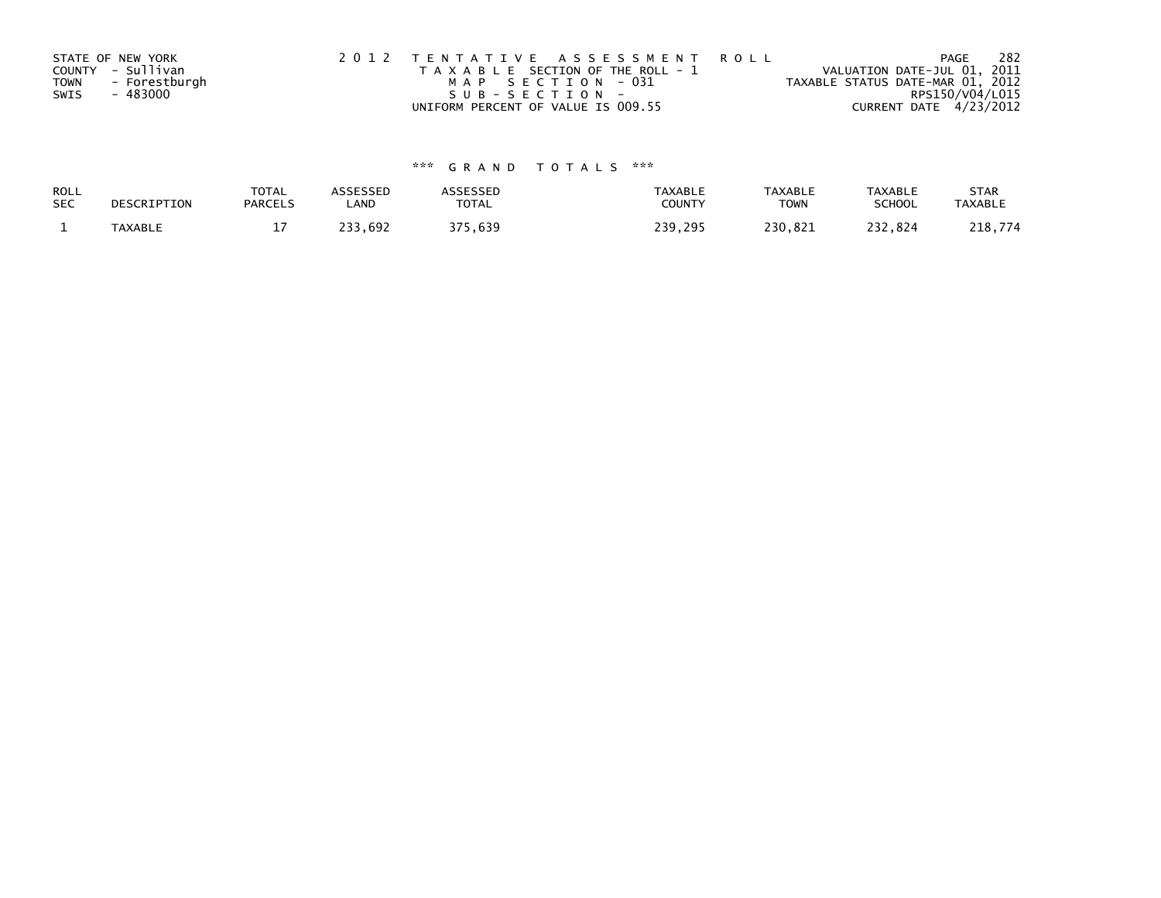|             | STATE OF NEW YORK | 2012 TENTATIVE ASSESSMENT ROLL        | PAGE                             | 282 |
|-------------|-------------------|---------------------------------------|----------------------------------|-----|
|             | COUNTY - Sullivan | T A X A B L E SECTION OF THE ROLL - 1 | VALUATION DATE-JUL 01, 2011      |     |
| <b>TOWN</b> | - Forestburgh     | MAP SECTION - 031                     | TAXABLE STATUS DATE-MAR 01, 2012 |     |
| SWIS        | - 483000          | SUB-SECTION-                          | RPS150/V04/L015                  |     |
|             |                   | UNIFORM PERCENT OF VALUE IS 009.55    | CURRENT DATE 4/23/2012           |     |

| ROLL       | DESCRIPTION    | <b>TOTAL</b>   | <b>ASSESSED</b> | <b>\SSESSED</b> | <b>TAXABLE</b> | <b>TAXABLE</b> | <b>TAXABLE</b> | <b>STAR</b>    |
|------------|----------------|----------------|-----------------|-----------------|----------------|----------------|----------------|----------------|
| <b>SEC</b> |                | <b>PARCELS</b> | ∟AND            | <b>TOTAL</b>    | COUNTY         | TOWN           | <b>SCHOOL</b>  | <b>TAXABLE</b> |
|            | <b>TAXABLE</b> | <b>. .</b>     | 233,692         | 375,639         | 239,295        | 230.821        | 232,824        | 218,774        |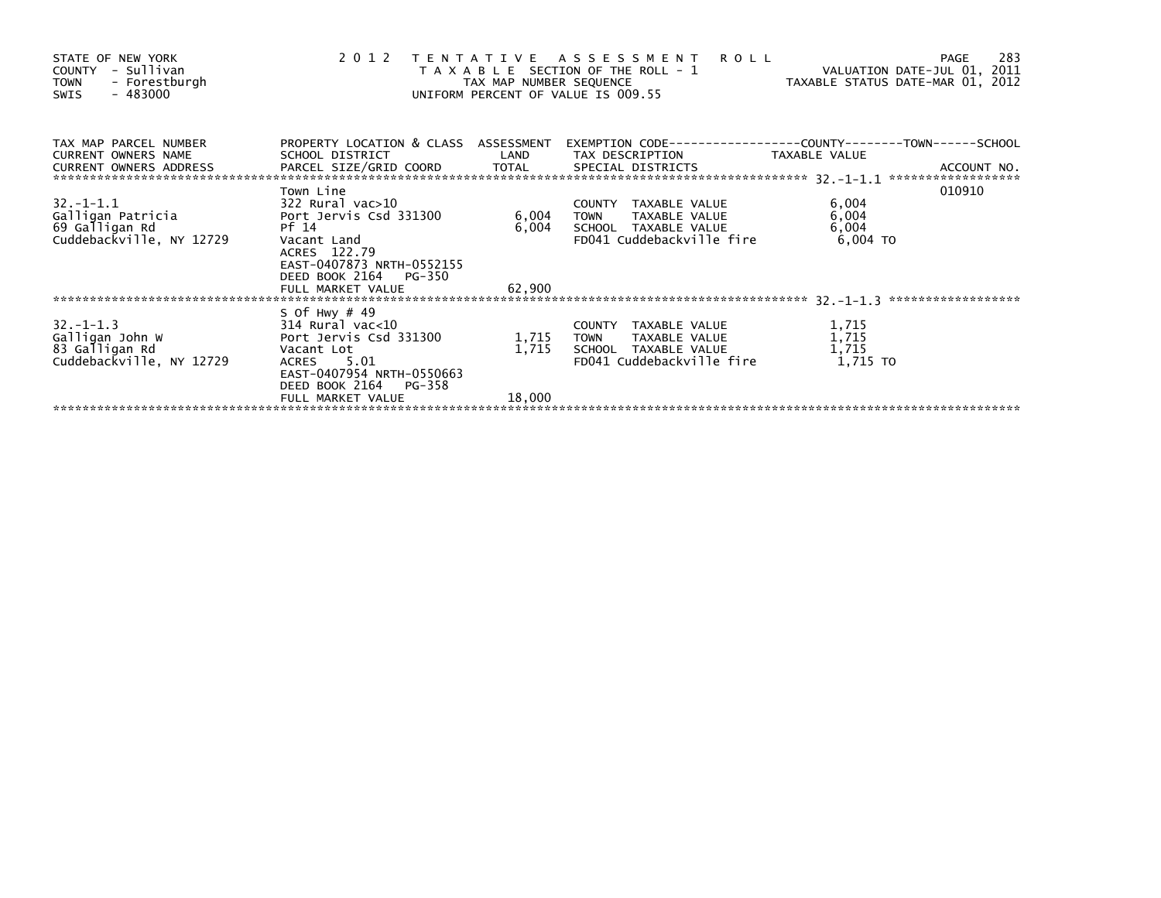| STATE OF NEW YORK<br>- Sullivan<br>COUNTY<br><b>TOWN</b><br>- Forestburgh<br>- 483000<br>SWIS | 2012                                                                                       | TAX MAP NUMBER SEQUENCE | TENTATIVE ASSESSMENT<br><b>ROLL</b><br>T A X A B L E SECTION OF THE ROLL - 1<br>UNIFORM PERCENT OF VALUE IS 009.55       | VALUATION DATE-JUL 01, 2011<br>TAXABLE STATUS DATE-MAR 01, 2012 | -283<br>PAGE |
|-----------------------------------------------------------------------------------------------|--------------------------------------------------------------------------------------------|-------------------------|--------------------------------------------------------------------------------------------------------------------------|-----------------------------------------------------------------|--------------|
| TAX MAP PARCEL NUMBER<br>CURRENT OWNERS NAME                                                  | SCHOOL DISTRICT                                                                            |                         | PROPERTY LOCATION & CLASS ASSESSMENT EXEMPTION CODE----------------COUNTY-------TOWN------SCHOOL<br>LAND TAX DESCRIPTION | TAXABLE VALUE                                                   |              |
| CURRENT OWNERS ADDRESS                                                                        |                                                                                            |                         |                                                                                                                          |                                                                 |              |
|                                                                                               | Town Line                                                                                  |                         |                                                                                                                          |                                                                 | 010910       |
| $32. -1 - 1.1$                                                                                | 322 Rural vac>10                                                                           |                         | COUNTY TAXABLE VALUE                                                                                                     | 6,004                                                           |              |
| Galligan Patricia                                                                             | Port Jervis Csd 331300                                                                     | 6,004                   | TAXABLE VALUE<br><b>TOWN</b>                                                                                             | 6,004                                                           |              |
| 69 Galligan Rd<br>Cuddebackville, NY 12729                                                    | Pf 14<br>Vacant Land<br>ACRES 122.79<br>EAST-0407873 NRTH-0552155<br>DEED BOOK 2164 PG-350 | 6,004                   | SCHOOL TAXABLE VALUE<br>FD041 Cuddebackville fire                                                                        | 6,004<br>$6,004$ TO                                             |              |
|                                                                                               | FULL MARKET VALUE                                                                          | 62,900                  |                                                                                                                          |                                                                 |              |
|                                                                                               | S Of Hwy $#49$                                                                             |                         |                                                                                                                          |                                                                 |              |
| $32. -1 - 1.3$                                                                                | 314 Rural vac<10                                                                           |                         | COUNTY TAXABLE VALUE                                                                                                     | 1,715                                                           |              |
| Galligan John W                                                                               | Port Jervis Csd 331300                                                                     | 1,715                   | TAXABLE VALUE<br><b>TOWN</b>                                                                                             | 1,715                                                           |              |
| 83 Galligan Rd                                                                                | Vacant Lot                                                                                 | 1,715                   | SCHOOL TAXABLE VALUE                                                                                                     | 1,715                                                           |              |
| Cuddebackville, NY 12729                                                                      | ACRES 5.01<br>EAST-0407954 NRTH-0550663<br>DEED BOOK 2164 PG-358                           |                         | FD041 Cuddebackville fire                                                                                                | 1,715 TO                                                        |              |
|                                                                                               | FULL MARKET VALUE                                                                          | 18,000                  |                                                                                                                          |                                                                 |              |
|                                                                                               |                                                                                            |                         |                                                                                                                          |                                                                 |              |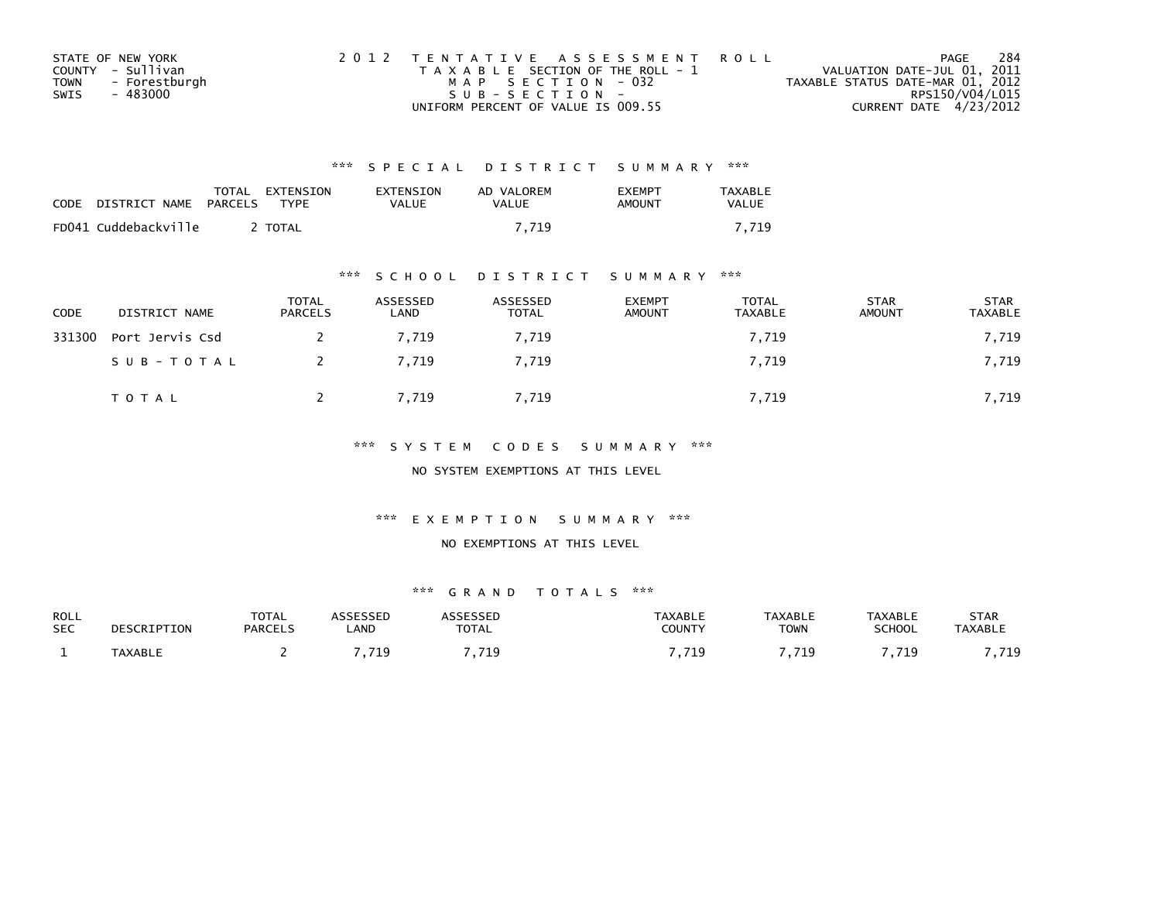| STATE OF NEW YORK |               | 2012 TENTATIVE ASSESSMENT ROLL        |  |                                  | PAGE                   | -284 |
|-------------------|---------------|---------------------------------------|--|----------------------------------|------------------------|------|
| COUNTY - Sullivan |               | T A X A B L E SECTION OF THE ROLL - 1 |  | VALUATION DATE-JUL 01, 2011      |                        |      |
| <b>TOWN</b>       | - Forestburgh | MAP SECTION - 032                     |  | TAXABLE STATUS DATE-MAR 01, 2012 |                        |      |
| SWIS              | - 483000      | $SUB - SECTION -$                     |  |                                  | RPS150/V04/L015        |      |
|                   |               | UNIFORM PERCENT OF VALUE IS 009.55    |  |                                  | CURRENT DATE 4/23/2012 |      |

| <b>CODE</b> | DISTRICT NAME        | PARCELS | TOTAL EXTENSION<br>TYPF | EXTENSION<br>VALUE | AD VALOREM<br>VALUE | <b>FXFMPT</b><br>AMOUNT | <b>TAXABLE</b><br><b>VALUE</b> |
|-------------|----------------------|---------|-------------------------|--------------------|---------------------|-------------------------|--------------------------------|
|             | FD041 Cuddebackville |         | <b>TOTAL</b>            |                    | 7.719               |                         | 7.719                          |

## \*\*\* S C H O O L D I S T R I C T S U M M A R Y \*\*\*

| <b>CODE</b> | DISTRICT NAME   | <b>TOTAL</b><br><b>PARCELS</b> | ASSESSED<br>LAND | ASSESSED<br><b>TOTAL</b> | <b>EXEMPT</b><br>AMOUNT | TOTAL<br>TAXABLE | <b>STAR</b><br>AMOUNT | <b>STAR</b><br>TAXABLE |
|-------------|-----------------|--------------------------------|------------------|--------------------------|-------------------------|------------------|-----------------------|------------------------|
| 331300      | Port Jervis Csd |                                | 7.719            | 7.719                    |                         | 7,719            |                       | 7,719                  |
|             | SUB-TOTAL       |                                | 7.719            | 7,719                    |                         | 7,719            |                       | 7,719                  |
|             | T O T A L       |                                | 7,719            | 7,719                    |                         | 7,719            |                       | 7,719                  |

## \*\*\* S Y S T E M C O D E S S U M M A R Y \*\*\*

NO SYSTEM EXEMPTIONS AT THIS LEVEL

#### \*\*\* E X E M P T I O N S U M M A R Y \*\*\*

### NO EXEMPTIONS AT THIS LEVEL

| ROLL<br><b>SEC</b> | DESCRIPTION | <b>TOTAL</b><br><b>PARCELS</b> | <b>SESSED</b><br><b>AND</b> | <b>TOTAL</b> | <b>TAXABLE</b><br>COUNTY | <b>TAXABLE</b><br><b>TOWN</b> | <b>TAXABLE</b><br><b>SCHOOL</b> | <b>STAR</b><br>TAXABLE |
|--------------------|-------------|--------------------------------|-----------------------------|--------------|--------------------------|-------------------------------|---------------------------------|------------------------|
|                    | TAXABLE     |                                | 71(<br>.                    | -719<br>.    |                          | 71 Q<br>.                     | .719                            | <b>710</b>             |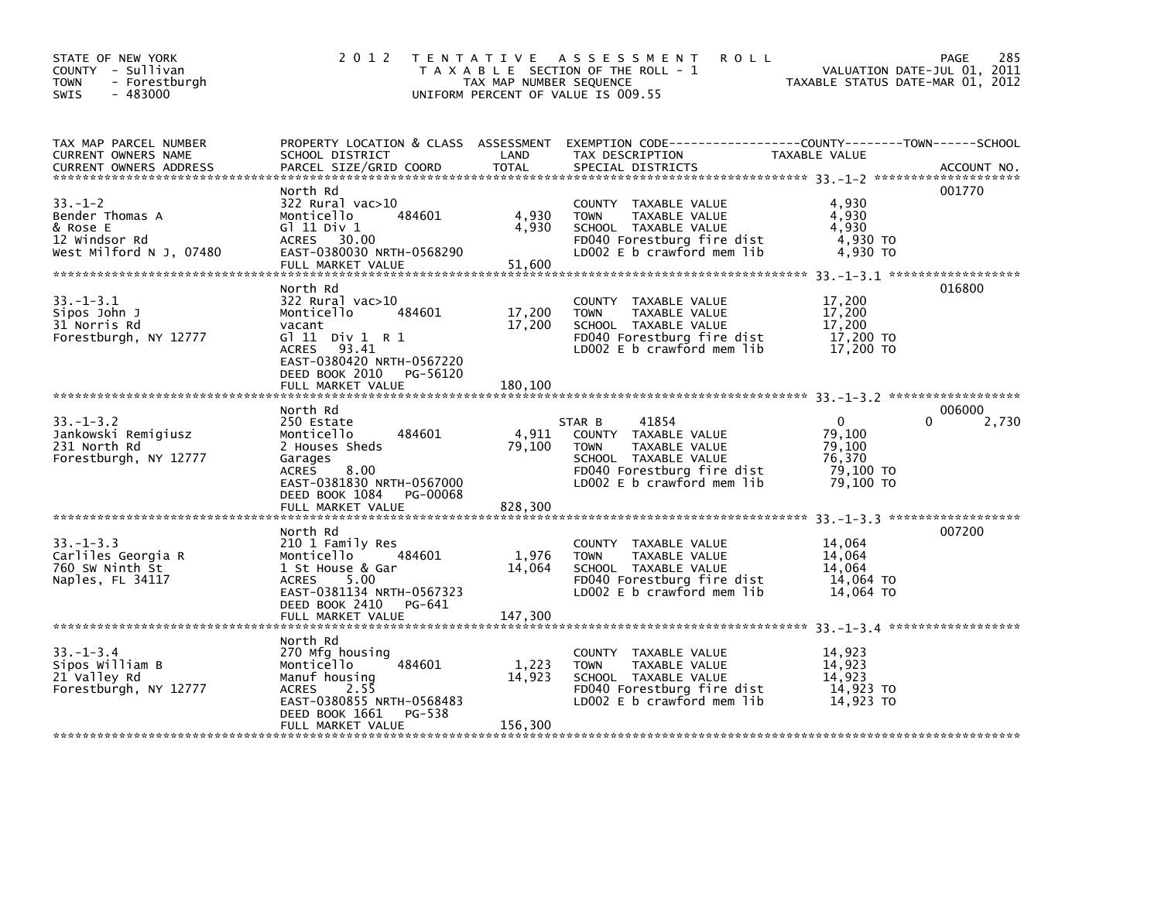| STATE OF NEW YORK<br>COUNTY - Sullivan<br>- Forestburgh<br><b>TOWN</b><br>$-483000$<br><b>SWIS</b> | 2 0 1 2                                                                                                                                                                               | TAX MAP NUMBER SEQUENCE     | <b>ROLL</b><br>TENTATIVE ASSESSMENT<br>T A X A B L E SECTION OF THE ROLL - 1<br>UNIFORM PERCENT OF VALUE IS 009.55                                          | VALUATION DATE-JUL 01,<br>TAXABLE STATUS DATE-MAR 01, 2012           | PAGE<br>285<br>2011  |
|----------------------------------------------------------------------------------------------------|---------------------------------------------------------------------------------------------------------------------------------------------------------------------------------------|-----------------------------|-------------------------------------------------------------------------------------------------------------------------------------------------------------|----------------------------------------------------------------------|----------------------|
| TAX MAP PARCEL NUMBER<br>CURRENT OWNERS NAME<br><b>CURRENT OWNERS ADDRESS</b>                      | SCHOOL DISTRICT<br>PARCEL SIZE/GRID COORD                                                                                                                                             | LAND<br><b>TOTAL</b>        | PROPERTY LOCATION & CLASS ASSESSMENT EXEMPTION CODE----------------COUNTY-------TOWN------SCHOOL<br>TAX DESCRIPTION<br>SPECIAL DISTRICTS                    | TAXABLE VALUE                                                        | ACCOUNT NO.          |
| $33. - 1 - 2$<br>Bender Thomas A<br>& Rose E<br>12 Windsor Rd<br>West Milford N J, 07480           | North Rd<br>322 Rural vac>10<br>Monticello<br>484601<br>G1 11 Div 1<br>ACRES 30.00<br>EAST-0380030 NRTH-0568290<br>FULL MARKET VALUE                                                  | 4,930<br>4,930<br>51,600    | COUNTY TAXABLE VALUE<br>TAXABLE VALUE<br><b>TOWN</b><br>SCHOOL TAXABLE VALUE<br>FD040 Forestburg fire dist<br>LD002 E b crawford mem lib                    | 4,930<br>4,930<br>4,930<br>4,930 TO<br>4,930 TO                      | 001770               |
| $33. - 1 - 3.1$<br>Sipos John J<br>31 Norris Rd<br>Forestburgh, NY 12777                           | North Rd<br>322 Rural vac>10<br>484601<br>Monticello<br>vacant<br>G $11$ Div $1$ R $1$<br>ACRES 93.41<br>EAST-0380420 NRTH-0567220<br>DEED BOOK 2010<br>PG-56120<br>FULL MARKET VALUE | 17,200<br>17,200<br>180,100 | COUNTY TAXABLE VALUE<br><b>TOWN</b><br>TAXABLE VALUE<br>SCHOOL TAXABLE VALUE<br>FD040 Forestburg fire dist<br>LD002 E b crawford mem lib                    | 17,200<br>17,200<br>17,200<br>17,200 TO<br>17,200 TO                 | 016800               |
| $33. - 1 - 3.2$<br>Jankowski Remigiusz<br>231 North Rd<br>Forestburgh, NY 12777                    | North Rd<br>250 Estate<br>484601<br>Monticello<br>2 Houses Sheds<br>Garages<br>8.00<br><b>ACRES</b><br>EAST-0381830 NRTH-0567000<br>DEED BOOK 1084<br>PG-00068                        | 4,911<br>79,100             | 41854<br>STAR B<br>COUNTY TAXABLE VALUE<br><b>TOWN</b><br>TAXABLE VALUE<br>SCHOOL TAXABLE VALUE<br>FD040 Forestburg fire dist<br>LD002 E b crawford mem lib | $\mathbf{0}$<br>79,100<br>79,100<br>76,370<br>79,100 TO<br>79,100 TO | 006000<br>0<br>2,730 |
|                                                                                                    | FULL MARKET VALUE                                                                                                                                                                     | 828,300                     |                                                                                                                                                             |                                                                      |                      |
| $33. - 1 - 3.3$<br>Carliles Georgia R<br>760 SW Ninth St<br>Naples, FL 34117                       | North Rd<br>210 1 Family Res<br>Monticello<br>484601<br>1 St House & Gar<br>5.00<br>ACRES<br>EAST-0381134 NRTH-0567323<br>DEED BOOK 2410<br>PG-641<br>FULL MARKET VALUE               | 1,976<br>14,064<br>147,300  | COUNTY TAXABLE VALUE<br>TAXABLE VALUE<br><b>TOWN</b><br>SCHOOL TAXABLE VALUE<br>FD040 Forestburg fire dist<br>LD002 E b crawford mem lib                    | 14,064<br>14,064<br>14.064<br>14,064 TO<br>14,064 TO                 | 007200               |
|                                                                                                    |                                                                                                                                                                                       |                             |                                                                                                                                                             |                                                                      |                      |
| $33. - 1 - 3.4$<br>Sipos William B<br>21 Valley Rd<br>Forestburgh, NY 12777                        | North Rd<br>270 Mfg housing<br>484601<br>Monticello<br>Manuf housing<br><b>ACRES</b><br>2.55<br>EAST-0380855 NRTH-0568483<br>PG-538<br>DEED BOOK 1661                                 | 1,223<br>14,923             | COUNTY TAXABLE VALUE<br>TAXABLE VALUE<br><b>TOWN</b><br>SCHOOL TAXABLE VALUE<br>FD040 Forestburg fire dist<br>LD002 E b crawford mem lib                    | 14,923<br>14,923<br>14.923<br>14,923 TO<br>14,923 TO                 |                      |
|                                                                                                    | FULL MARKET VALUE                                                                                                                                                                     | 156,300                     |                                                                                                                                                             |                                                                      |                      |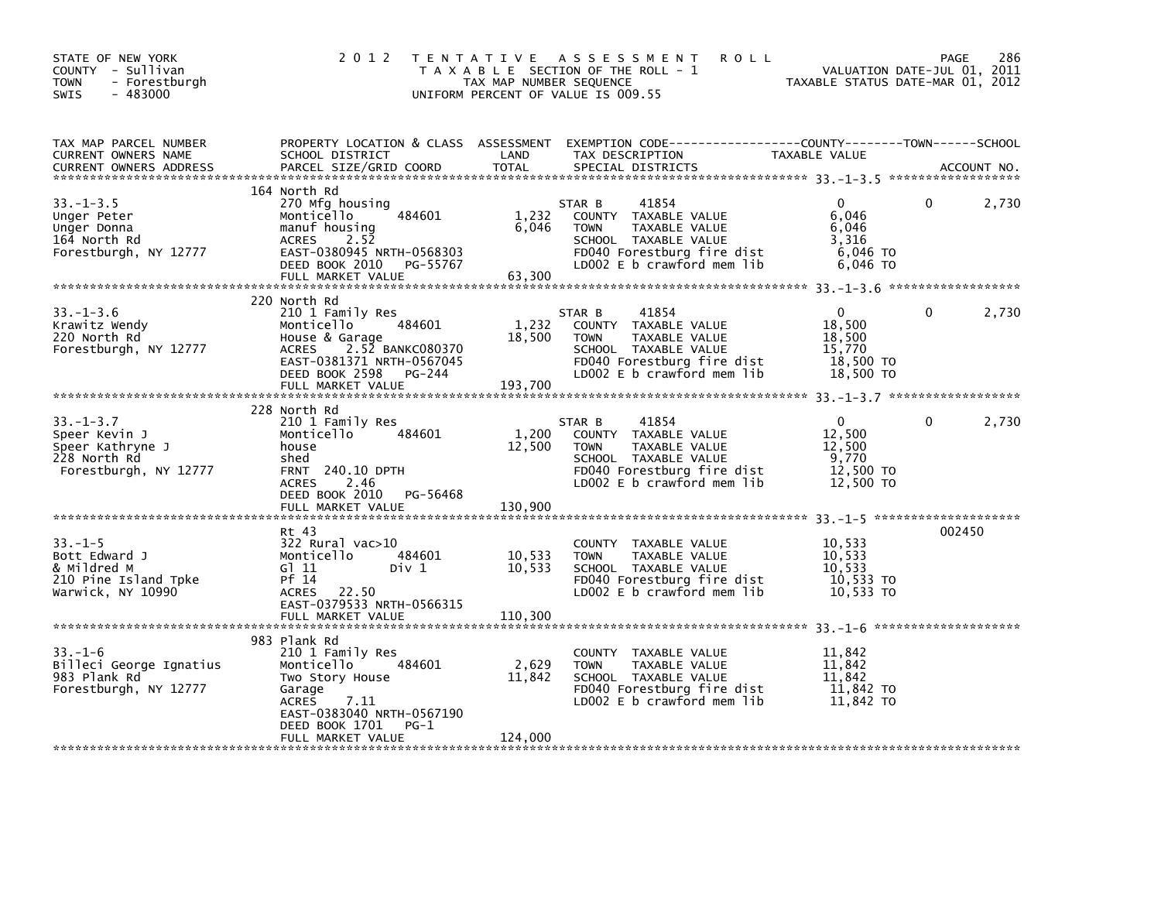| STATE OF NEW YORK<br>COUNTY - Sullivan<br><b>TOWN</b><br>- Forestburgh<br>$-483000$<br>SWIS   | 2 0 1 2                                                                                                                                                                                   | TAX MAP NUMBER SEQUENCE     | <b>ROLL</b><br>TENTATIVE ASSESSMENT<br>T A X A B L E SECTION OF THE ROLL - 1<br>UNIFORM PERCENT OF VALUE IS 009.55                                          | VALUATION DATE-JOL V1, 2012<br>TAXABLE STATUS DATE-MAR 01, 2012      | 286<br>PAGE |
|-----------------------------------------------------------------------------------------------|-------------------------------------------------------------------------------------------------------------------------------------------------------------------------------------------|-----------------------------|-------------------------------------------------------------------------------------------------------------------------------------------------------------|----------------------------------------------------------------------|-------------|
| TAX MAP PARCEL NUMBER<br>CURRENT OWNERS NAME<br><b>CURRENT OWNERS ADDRESS</b>                 | SCHOOL DISTRICT<br>PARCEL SIZE/GRID COORD                                                                                                                                                 | LAND<br>TOTAL               | PROPERTY LOCATION & CLASS ASSESSMENT EXEMPTION CODE---------------COUNTY-------TOWN-----SCHOOL<br>TAX DESCRIPTION<br>SPECIAL DISTRICTS                      | TAXABLE VALUE                                                        | ACCOUNT NO. |
| $33. - 1 - 3.5$<br>Unger Peter<br>Unger Donna<br>164 North Rd<br>Forestburgh, NY 12777        | 164 North Rd<br>270 Mfg housing<br>484601<br>Monticello<br>manuf housing<br>2.52<br><b>ACRES</b><br>EAST-0380945 NRTH-0568303<br>DEED BOOK 2010 PG-55767<br>FULL MARKET VALUE             | 1,232<br>6,046<br>63,300    | 41854<br>STAR B<br>COUNTY TAXABLE VALUE<br>TAXABLE VALUE<br><b>TOWN</b><br>SCHOOL TAXABLE VALUE<br>FD040 Forestburg fire dist<br>LD002 E b crawford mem lib | $\Omega$<br>6,046<br>6,046<br>3,316<br>6,046 TO<br>6,046 TO          | 2,730<br>0  |
| $33. - 1 - 3.6$<br>Krawitz Wendy<br>220 North Rd<br>Forestburgh, NY 12777                     | 220 North Rd<br>210 1 Family Res<br>484601<br>Monticello<br>House & Garage<br>ACRES 2.52 BANKC080370<br>EAST-0381371 NRTH-0567045<br>DEED BOOK 2598<br>PG-244<br>FULL MARKET VALUE        | 1,232<br>18,500<br>193.700  | STAR B<br>41854<br>COUNTY TAXABLE VALUE<br><b>TOWN</b><br>TAXABLE VALUE<br>SCHOOL TAXABLE VALUE<br>FD040 Forestburg fire dist<br>LD002 E b crawford mem lib | $\mathbf{0}$<br>18,500<br>18,500<br>15,770<br>18,500 TO<br>18,500 TO | 0<br>2,730  |
| $33. - 1 - 3.7$<br>Speer Kevin J<br>Speer Kathryne J<br>228 North Rd<br>Forestburgh, NY 12777 | 228 North Rd<br>210 1 Family Res<br>484601<br>Monticello<br>house<br>shed<br><b>FRNT 240.10 DPTH</b><br><b>ACRES</b><br>2.46<br>DEED BOOK 2010 PG-56468<br>FULL MARKET VALUE              | 1,200<br>12,500<br>130,900  | 41854<br>STAR B<br>COUNTY TAXABLE VALUE<br>TAXABLE VALUE<br><b>TOWN</b><br>SCHOOL TAXABLE VALUE<br>FD040 Forestburg fire dist<br>LD002 E b crawford mem lib | $\Omega$<br>12,500<br>12,500<br>9,770<br>12,500 TO<br>12,500 TO      | 0<br>2,730  |
| $33 - 1 - 5$<br>Bott Edward J<br>& Mildred M<br>210 Pine Island Tpke<br>Warwick, NY 10990     | Rt 43<br>322 Rural vac>10<br>484601<br>Monticello<br>G1 11<br>Div 1<br>Pf 14<br>ACRES 22.50<br>EAST-0379533 NRTH-0566315<br>FULL MARKET VALUE                                             | 10,533<br>10,533<br>110,300 | COUNTY TAXABLE VALUE<br><b>TOWN</b><br>TAXABLE VALUE<br>SCHOOL TAXABLE VALUE<br>FD040 Forestburg fire dist<br>LD002 E b crawford mem lib                    | 10,533<br>10,533<br>10,533<br>10,533 TO<br>10,533 TO                 | 002450      |
| $33. - 1 - 6$<br>Billeci George Ignatius<br>983 Plank Rd<br>Forestburgh, NY 12777             | 983 Plank Rd<br>210 1 Family Res<br>484601<br>Monticello<br>Two Story House<br>Garage<br><b>ACRES</b><br>7.11<br>EAST-0383040 NRTH-0567190<br>DEED BOOK 1701<br>PG-1<br>FULL MARKET VALUE | 2,629<br>11,842<br>124,000  | COUNTY TAXABLE VALUE<br><b>TOWN</b><br>TAXABLE VALUE<br>SCHOOL TAXABLE VALUE<br>FD040 Forestburg fire dist<br>LD002 E b crawford mem lib                    | 11,842<br>11,842<br>11,842<br>11,842 TO<br>11,842 TO                 |             |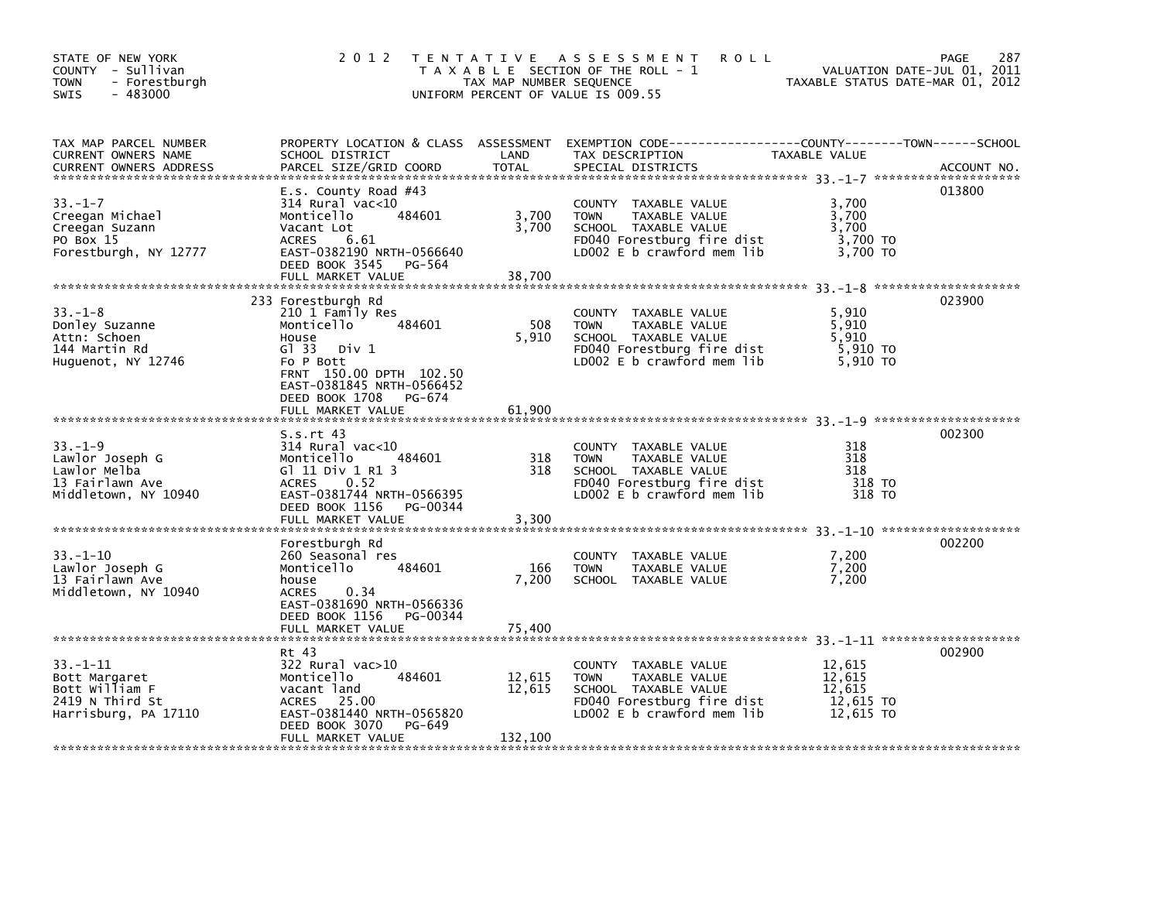| STATE OF NEW YORK<br>COUNTY - Sullivan<br>- Forestburgh<br><b>TOWN</b><br>$-483000$<br>SWIS | 2 0 1 2                                                                                                                                                                                                         | TAX MAP NUMBER SEQUENCE    | TENTATIVE ASSESSMENT<br><b>ROLL</b><br>T A X A B L E SECTION OF THE ROLL - 1<br>UNIFORM PERCENT OF VALUE IS 009.55                           | VALUATION DATE-JUL 01, 2011<br>TAXABLE STATUS DATE-MAR 01, 2012 | 287<br>PAGE |
|---------------------------------------------------------------------------------------------|-----------------------------------------------------------------------------------------------------------------------------------------------------------------------------------------------------------------|----------------------------|----------------------------------------------------------------------------------------------------------------------------------------------|-----------------------------------------------------------------|-------------|
| TAX MAP PARCEL NUMBER<br><b>CURRENT OWNERS NAME</b><br><b>CURRENT OWNERS ADDRESS</b>        | SCHOOL DISTRICT<br>PARCEL SIZE/GRID COORD                                                                                                                                                                       | LAND<br>TOTAL              | PROPERTY LOCATION & CLASS ASSESSMENT EXEMPTION CODE----------------COUNTY-------TOWN------SCHOOL<br>TAX DESCRIPTION<br>SPECIAL DISTRICTS     | TAXABLE VALUE                                                   | ACCOUNT NO. |
| $33. - 1 - 7$<br>Creegan Michael<br>Creegan Suzann<br>PO Box 15<br>Forestburgh, NY 12777    | E.s. County Road $#43$<br>$314$ Rural vac< $10$<br>484601<br>Monticello<br>Vacant Lot<br><b>ACRES</b><br>6.61<br>EAST-0382190 NRTH-0566640<br>DEED BOOK 3545<br>PG-564<br>FULL MARKET VALUE                     | 3,700<br>3,700<br>38,700   | COUNTY TAXABLE VALUE<br><b>TOWN</b><br>TAXABLE VALUE<br>SCHOOL TAXABLE VALUE<br>FD040 Forestburg fire dist<br>LD002 E b crawford mem lib     | 3,700<br>3,700<br>3,700<br>3,700 TO<br>3,700 TO                 | 013800      |
| $33. - 1 - 8$<br>Donley Suzanne<br>Attn: Schoen<br>144 Martin Rd<br>Huguenot, NY 12746      | 233 Forestburgh Rd<br>210 1 Family Res<br>Monticello<br>484601<br>House<br>G1 33<br>Div 1<br>Fo P Bott<br>FRNT 150.00 DPTH 102.50<br>EAST-0381845 NRTH-0566452<br>DEED BOOK 1708<br>PG-674<br>FULL MARKET VALUE | 508<br>5,910<br>61,900     | COUNTY TAXABLE VALUE<br><b>TOWN</b><br>TAXABLE VALUE<br>SCHOOL TAXABLE VALUE<br>FD040 Forestburg fire dist<br>LD002 $E$ b crawford mem $lib$ | 5,910<br>5,910<br>5,910<br>$5,910$ TO<br>5,910 TO               | 023900      |
| $33 - 1 - 9$<br>Lawlor Joseph G<br>Lawlor Melba<br>13 Fairlawn Ave<br>Middletown, NY 10940  | S.s.rt 43<br>$314$ Rural vac<10<br>Monticello<br>484601<br>G1 11 Div 1 R1 3<br><b>ACRES</b><br>0.52<br>EAST-0381744 NRTH-0566395<br>DEED BOOK 1156<br>PG-00344<br>FULL MARKET VALUE                             | 318<br>318<br>3,300        | COUNTY TAXABLE VALUE<br>TAXABLE VALUE<br><b>TOWN</b><br>SCHOOL TAXABLE VALUE<br>FD040 Forestburg fire dist<br>LD002 E b crawford mem lib     | 318<br>318<br>318<br>318 TO<br>318 TO                           | 002300      |
| $33. - 1 - 10$<br>Lawlor Joseph G<br>13 Fairlawn Ave<br>Middletown, NY 10940                | Forestburgh Rd<br>260 Seasonal res<br>Monticello<br>484601<br>house<br><b>ACRES</b><br>0.34<br>EAST-0381690 NRTH-0566336<br>DEED BOOK 1156<br>PG-00344                                                          | 166<br>7.200               | <b>COUNTY</b><br>TAXABLE VALUE<br><b>TOWN</b><br>TAXABLE VALUE<br>SCHOOL TAXABLE VALUE                                                       | 7,200<br>7,200<br>7,200                                         | 002200      |
| 33.–1–11<br>Bott Margaret<br>Bott William F<br>2419 N Third St<br>Harrisburg, PA 17110      | FULL MARKET VALUE<br>Rt 43<br>322 Rural vac>10<br>Monticello<br>484601<br>vacant land<br>25.00<br>ACRES<br>EAST-0381440 NRTH-0565820<br>DEED BOOK 3070<br>PG-649                                                | 75,400<br>12,615<br>12,615 | COUNTY TAXABLE VALUE<br><b>TOWN</b><br>TAXABLE VALUE<br>SCHOOL TAXABLE VALUE<br>FD040 Forestburg fire dist<br>LD002 E b crawford mem lib     | 12,615<br>12,615<br>12,615<br>12,615 TO<br>12,615 TO            | 002900      |
|                                                                                             | FULL MARKET VALUE                                                                                                                                                                                               | 132,100                    |                                                                                                                                              |                                                                 |             |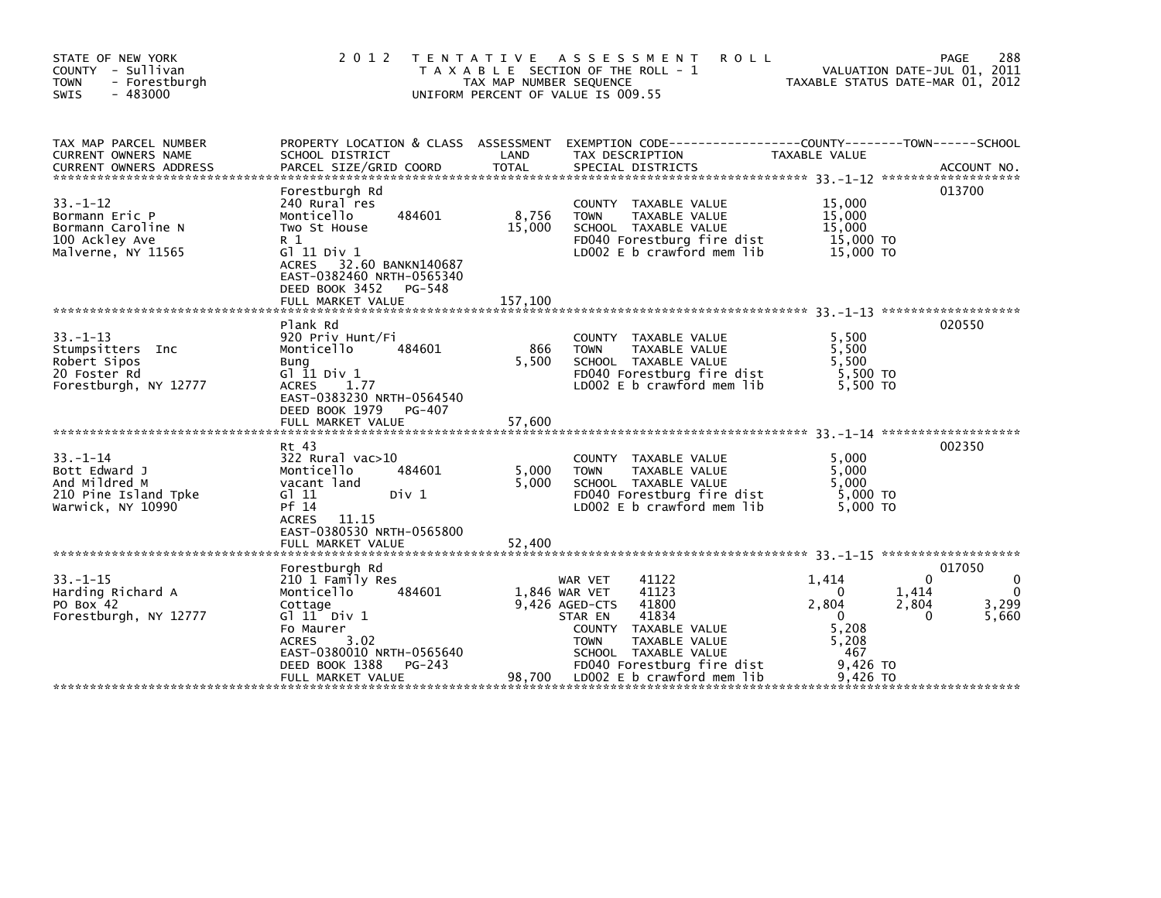| STATE OF NEW YORK<br>COUNTY - Sullivan<br>- Forestburgh<br><b>TOWN</b><br>$-483000$<br><b>SWIS</b> | 2 0 1 2<br>T E N T A T I V E                                                                                                                                                                                  | TAX MAP NUMBER SEQUENCE  | A S S E S S M E N T<br><b>ROLL</b><br>T A X A B L E SECTION OF THE ROLL - 1<br>UNIFORM PERCENT OF VALUE IS 009.55                                                                                                    | VALUATION DATE-JUL 01, 2011<br>TAXABLE STATUS DATE-MAR 01, 2012                                                                   | 288<br>PAGE                                   |
|----------------------------------------------------------------------------------------------------|---------------------------------------------------------------------------------------------------------------------------------------------------------------------------------------------------------------|--------------------------|----------------------------------------------------------------------------------------------------------------------------------------------------------------------------------------------------------------------|-----------------------------------------------------------------------------------------------------------------------------------|-----------------------------------------------|
| TAX MAP PARCEL NUMBER<br>CURRENT OWNERS NAME                                                       | PROPERTY LOCATION & CLASS ASSESSMENT<br>SCHOOL DISTRICT                                                                                                                                                       | LAND                     | EXEMPTION        CODE-----------------COUNTY-------TOWN------SCHOOL<br>TAX DESCRIPTION                                                                                                                               | <b>TAXABLE VALUE</b>                                                                                                              |                                               |
| $33 - 1 - 12$<br>Bormann Eric P<br>Bormann Caroline N<br>100 Ackley Ave<br>Malverne, NY 11565      | Forestburgh Rd<br>240 Rural res<br>Monticello<br>484601<br>Two St House<br>R 1<br>G1 11 Div 1<br>ACRES 32.60 BANKN140687<br>EAST-0382460 NRTH-0565340<br>DEED BOOK 3452 PG-548                                | 8,756<br>15,000          | COUNTY TAXABLE VALUE<br>TAXABLE VALUE<br><b>TOWN</b><br>SCHOOL TAXABLE VALUE<br>FD040 Forestburg fire dist<br>LD002 E b crawford mem lib                                                                             | 15,000<br>15,000<br>15,000<br>15,000 TO<br>15,000 TO                                                                              | 013700                                        |
| $33. - 1 - 13$<br>Stumpsitters Inc<br>Robert Sipos<br>20 Foster Rd<br>Forestburgh, NY 12777        | Plank Rd<br>920 Priv Hunt/Fi<br>Monticello<br>484601<br>Bung<br>G $11$ Div $1$<br>1.77<br><b>ACRES</b><br>EAST-0383230 NRTH-0564540<br>DEED BOOK 1979<br>PG-407                                               | 866<br>5,500             | COUNTY TAXABLE VALUE<br><b>TOWN</b><br>TAXABLE VALUE<br>SCHOOL TAXABLE VALUE<br>FD040 Forestburg fire dist<br>LD002 E b crawford mem lib                                                                             | 5,500<br>5,500<br>5,500<br>5,500 TO<br>5.500 TO                                                                                   | 020550                                        |
| $33. - 1 - 14$<br>Bott Edward J<br>And Mildred M<br>210 Pine Island Tpke<br>Warwick, NY 10990      | Rt 43<br>322 Rural vac>10<br>Monticello<br>484601<br>vacant land<br>G1 11<br>Div 1<br>Pf 14<br>ACRES 11.15<br>EAST-0380530 NRTH-0565800<br>FULL MARKET VALUE                                                  | 5,000<br>5.000<br>52,400 | COUNTY TAXABLE VALUE<br>TAXABLE VALUE<br><b>TOWN</b><br>SCHOOL TAXABLE VALUE<br>FD040 Forestburg fire dist<br>LD002 E b crawford mem lib                                                                             | 5.000<br>5,000<br>5.000<br>5,000 TO<br>5,000 TO                                                                                   | 002350                                        |
| $33. - 1 - 15$<br>Harding Richard A<br>PO Box 42<br>Forestburgh, NY 12777                          | Forestburgh Rd<br>210 1 Family Res<br>Monticello<br>484601<br>Cottage<br>$G1$ $11$ $Div 1$<br>Fo Maurer<br>3.02<br><b>ACRES</b><br>EAST-0380010 NRTH-0565640<br>DEED BOOK 1388<br>PG-243<br>FULL MARKET VALUE | 1,846 WAR VET<br>98,700  | 41122<br>WAR VET<br>41123<br>9.426 AGED-CTS<br>41800<br>41834<br>STAR EN<br>COUNTY TAXABLE VALUE<br>TAXABLE VALUE<br><b>TOWN</b><br>SCHOOL TAXABLE VALUE<br>FD040 Forestburg fire dist<br>LD002 E b crawford mem lib | $\Omega$<br>1,414<br>1,414<br>$\Omega$<br>2,804<br>2,804<br>$\Omega$<br>$\Omega$<br>5.208<br>5,208<br>467<br>9,426 TO<br>9.426 TO | 017050<br>0<br>$\mathbf{0}$<br>3,299<br>5,660 |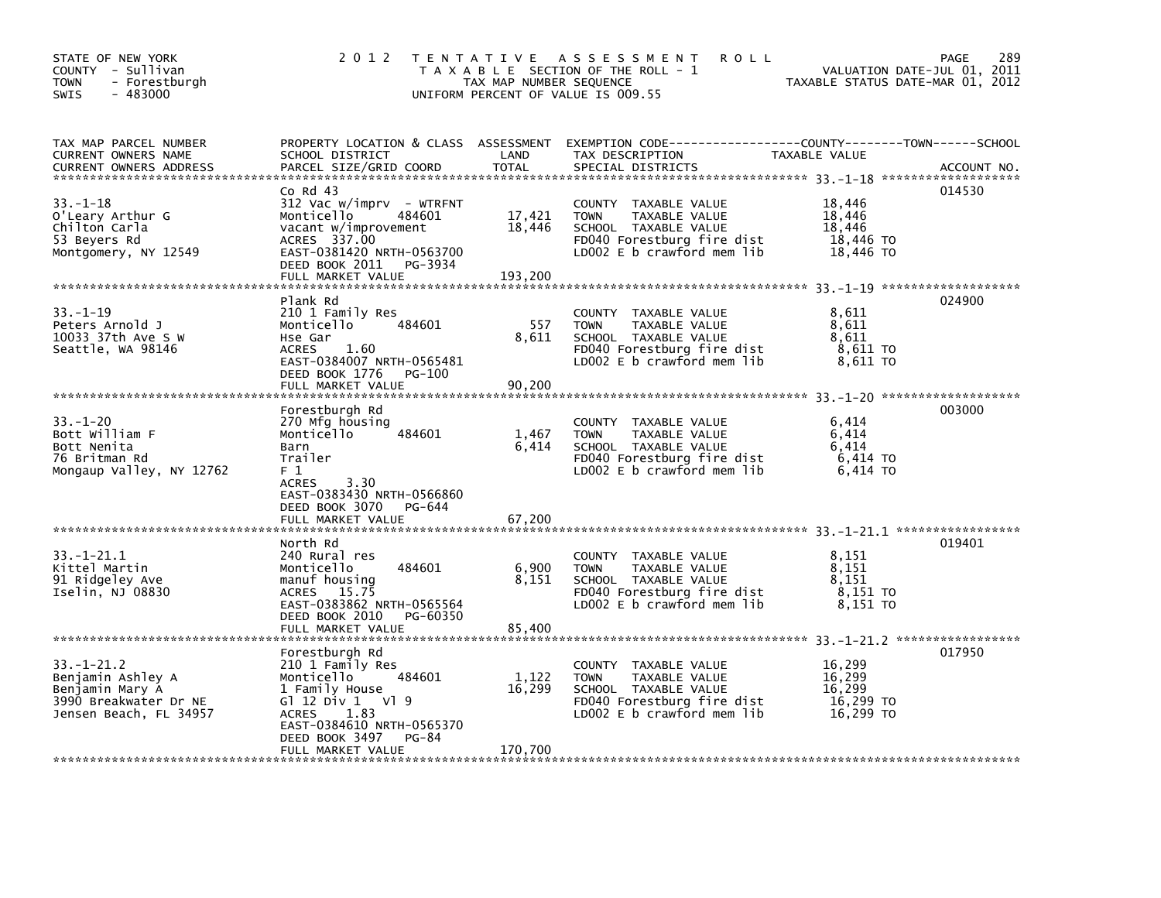| STATE OF NEW YORK<br>COUNTY - Sullivan<br>- Forestburgh<br>TOWN<br>$-483000$<br>SWIS                        | 2 0 1 2                                                                                                                                                                                                     | TAX MAP NUMBER SEQUENCE     | TENTATIVE ASSESSMENT<br><b>ROLL</b><br>T A X A B L E SECTION OF THE ROLL - 1<br>UNIFORM PERCENT OF VALUE IS 009.55                                   | VALUATION DATE-JUL 01,<br>TAXABLE STATUS DATE-MAR 01, 2012 | 289<br>PAGE<br>2011 |
|-------------------------------------------------------------------------------------------------------------|-------------------------------------------------------------------------------------------------------------------------------------------------------------------------------------------------------------|-----------------------------|------------------------------------------------------------------------------------------------------------------------------------------------------|------------------------------------------------------------|---------------------|
| TAX MAP PARCEL NUMBER<br>CURRENT OWNERS NAME                                                                | PROPERTY LOCATION & CLASS ASSESSMENT EXEMPTION CODE---------<br>SCHOOL DISTRICT                                                                                                                             | LAND                        | TAX DESCRIPTION                                                                                                                                      | -----COUNTY--------TOWN------SCHOOL<br>TAXABLE VALUE       |                     |
| $33. - 1 - 18$<br>O'Leary Arthur G<br>Chilton Carla<br>53 Beyers Rd<br>Montgomery, NY 12549                 | $Co$ Rd $43$<br>$312$ Vac w/imprv - WTRFNT<br>Monticello<br>484601<br>vacant w/improvement<br>ACRES 337.00<br>EAST-0381420 NRTH-0563700<br>DEED BOOK 2011<br>PG-3934<br>FULL MARKET VALUE                   | 17,421<br>18,446<br>193.200 | COUNTY TAXABLE VALUE<br>TAXABLE VALUE<br><b>TOWN</b><br>SCHOOL TAXABLE VALUE<br>FD040 Forestburg fire dist<br>LD002 E b crawford mem lib             | 18,446<br>18.446<br>18,446<br>18,446 TO<br>18,446 TO       | 014530              |
|                                                                                                             |                                                                                                                                                                                                             |                             |                                                                                                                                                      |                                                            |                     |
| $33. - 1 - 19$<br>Peters Arnold J<br>10033 37th Ave S W<br>Seattle, WA 98146                                | Plank Rd<br>210 1 Family Res<br>484601<br>Monticello<br>Hse Gar<br><b>ACRES</b><br>1.60<br>EAST-0384007 NRTH-0565481<br>DEED BOOK 1776<br>PG-100                                                            | 557<br>8,611                | COUNTY TAXABLE VALUE<br><b>TOWN</b><br>TAXABLE VALUE<br>SCHOOL TAXABLE VALUE<br>FD040 Forestburg fire dist<br>LD002 E b crawford mem lib             | 8,611<br>8,611<br>8,611<br>8,611 TO<br>8,611 TO            | 024900              |
|                                                                                                             | FULL MARKET VALUE                                                                                                                                                                                           | 90,200                      |                                                                                                                                                      |                                                            |                     |
| $33. - 1 - 20$<br>Bott William F<br>Bott Nenita<br>76 Britman Rd<br>Mongaup Valley, NY 12762                | Forestburgh Rd<br>270 Mfg housing<br>Monticello<br>484601<br>Barn<br>Trailer<br>F 1<br>3.30<br><b>ACRES</b>                                                                                                 | 1,467<br>6.414              | COUNTY TAXABLE VALUE<br><b>TAXABLE VALUE</b><br><b>TOWN</b><br>SCHOOL TAXABLE VALUE<br>FD040 Forestburg fire dist<br>LD002 E b crawford mem lib      | 6.414<br>6.414<br>6.414<br>6,414 TO<br>6,414 TO            | 003000              |
|                                                                                                             | EAST-0383430 NRTH-0566860<br>DEED BOOK 3070<br>PG-644<br>FULL MARKET VALUE                                                                                                                                  | 67,200                      |                                                                                                                                                      |                                                            |                     |
| $33 - 1 - 21.1$<br>Kittel Martin<br>91 Ridgeley Ave<br>Iselin, NJ 08830                                     | North Rd<br>240 Rural res<br>Monticello<br>484601<br>manuf housing<br>15.75<br><b>ACRES</b><br>EAST-0383862 NRTH-0565564<br>DEED BOOK 2010<br>PG-60350                                                      | 6,900<br>8,151              | COUNTY TAXABLE VALUE<br><b>TOWN</b><br>TAXABLE VALUE<br>SCHOOL TAXABLE VALUE<br>FD040 Forestburg fire dist<br>LD002 E b crawford mem lib             | 8.151<br>8.151<br>8.151<br>8,151 TO<br>8,151 TO            | 019401              |
|                                                                                                             | FULL MARKET VALUE                                                                                                                                                                                           | 85,400                      |                                                                                                                                                      |                                                            |                     |
| $33. - 1 - 21.2$<br>Benjamin Ashley A<br>Benjamin Mary A<br>3990 Breakwater Dr NE<br>Jensen Beach, FL 34957 | Forestburgh Rd<br>210 1 Family Res<br>Monticello<br>484601<br>1 Family House<br>G $1$ 12 Div 1 V $1$ 9<br><b>ACRES</b><br>1.83<br>EAST-0384610 NRTH-0565370<br>DEED BOOK 3497<br>PG-84<br>FULL MARKET VALUE | 1,122<br>16,299<br>170,700  | TAXABLE VALUE<br><b>COUNTY</b><br><b>TOWN</b><br>TAXABLE VALUE<br>SCHOOL TAXABLE VALUE<br>FD040 Forestburg fire dist<br>$LD002 E b$ crawford mem lib | 16.299<br>16,299<br>16,299<br>16,299 TO<br>16,299 TO       | 017950              |
| ***********************                                                                                     |                                                                                                                                                                                                             |                             |                                                                                                                                                      |                                                            |                     |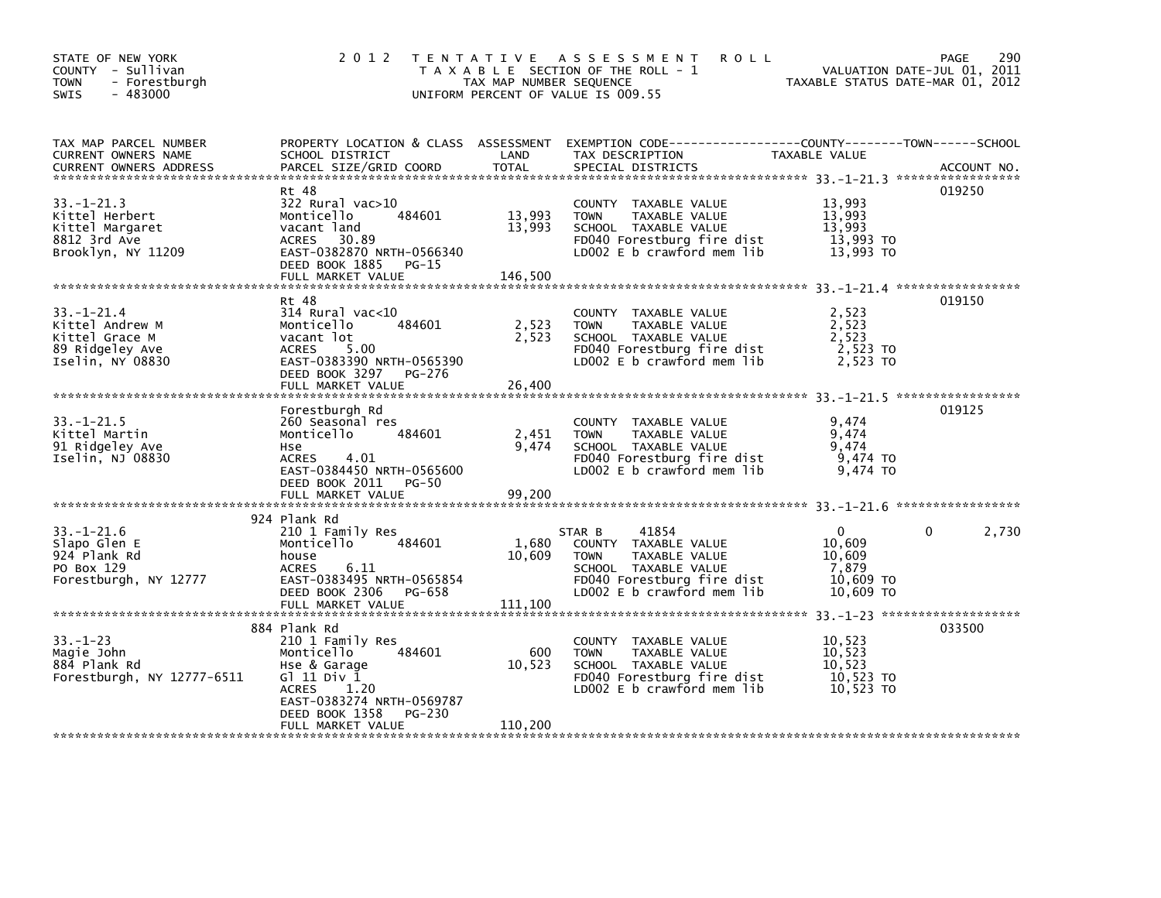| STATE OF NEW YORK<br>COUNTY - Sullivan<br><b>TOWN</b><br>- Forestburgh<br>$-483000$<br><b>SWIS</b> | 2 0 1 2                                                                                                                                                                  | T E N T A T I V E<br>TAX MAP NUMBER SEQUENCE | <b>ROLL</b><br>A S S E S S M E N T<br>T A X A B L E SECTION OF THE ROLL - 1<br>UNIFORM PERCENT OF VALUE IS 009.55                                           | VALUATION DATE-JUL 01, 2011<br>TAXABLE STATUS DATE-MAR 01, 2012 | 290<br>PAGE |
|----------------------------------------------------------------------------------------------------|--------------------------------------------------------------------------------------------------------------------------------------------------------------------------|----------------------------------------------|-------------------------------------------------------------------------------------------------------------------------------------------------------------|-----------------------------------------------------------------|-------------|
| TAX MAP PARCEL NUMBER<br>CURRENT OWNERS NAME<br><b>CURRENT OWNERS ADDRESS</b>                      | SCHOOL DISTRICT<br>PARCEL SIZE/GRID COORD                                                                                                                                | LAND<br><b>TOTAL</b>                         | PROPERTY LOCATION & CLASS ASSESSMENT EXEMPTION CODE---------------COUNTY-------TOWN------SCHOOL<br>TAX DESCRIPTION<br>SPECIAL DISTRICTS                     | TAXABLE VALUE                                                   | ACCOUNT NO. |
| $33. - 1 - 21.3$<br>Kittel Herbert<br>Kittel Margaret<br>8812 3rd Ave<br>Brooklyn, NY 11209        | Rt 48<br>322 Rural vac>10<br>Monticello<br>484601<br>vacant land<br><b>ACRES</b><br>30.89<br>EAST-0382870 NRTH-0566340<br>DEED BOOK 1885<br>$PG-15$<br>FULL MARKET VALUE | 13,993<br>13,993<br>146,500                  | COUNTY TAXABLE VALUE<br>TAXABLE VALUE<br><b>TOWN</b><br>SCHOOL TAXABLE VALUE<br>FD040 Forestburg fire dist<br>LD002 E b crawford mem lib                    | 13,993<br>13,993<br>13,993<br>13,993 TO<br>13,993 TO            | 019250      |
| $33 - 1 - 21.4$<br>Kittel Andrew M<br>Kittel Grace M<br>89 Ridgeley Ave<br>Iselin, NY 08830        | Rt 48<br>$314$ Rural vac<10<br>484601<br>Monticello<br>vacant lot<br><b>ACRES</b><br>5.00<br>EAST-0383390 NRTH-0565390<br>DEED BOOK 3297<br>PG-276                       | 2,523<br>2,523                               | COUNTY TAXABLE VALUE<br><b>TOWN</b><br>TAXABLE VALUE<br>SCHOOL TAXABLE VALUE<br>FD040 Forestburg fire dist<br>LD002 E b crawford mem lib                    | 2,523<br>2,523<br>2,523<br>2,523 TO<br>2,523 TO                 | 019150      |
| $33. - 1 - 21.5$                                                                                   | FULL MARKET VALUE<br>Forestburgh Rd<br>260 Seasonal res                                                                                                                  | 26,400                                       | <b>COUNTY</b><br>TAXABLE VALUE                                                                                                                              | 9,474                                                           | 019125      |
| Kittel Martin<br>91 Ridgeley Ave<br>Iselin, NJ 08830                                               | Monticello<br>484601<br>Hse<br>4.01<br>ACRES<br>EAST-0384450 NRTH-0565600<br>DEED BOOK 2011<br>PG-50                                                                     | 2,451<br>9,474                               | <b>TOWN</b><br>TAXABLE VALUE<br>SCHOOL TAXABLE VALUE<br>FD040 Forestburg fire dist<br>LD002 E b crawford mem lib                                            | 9,474<br>9,474<br>9,474 TO<br>9,474 TO                          |             |
|                                                                                                    | FULL MARKET VALUE                                                                                                                                                        | 99,200                                       |                                                                                                                                                             |                                                                 |             |
| $33. - 1 - 21.6$<br>Slapo Glen E<br>924 Plank Rd<br>PO Box 129<br>Forestburgh, NY 12777            | 924 Plank Rd<br>210 1 Family Res<br>Monticello<br>484601<br>house<br><b>ACRES</b><br>6.11<br>EAST-0383495 NRTH-0565854<br>DEED BOOK 2306<br>PG-658                       | 1,680<br>10.609                              | 41854<br>STAR B<br>COUNTY TAXABLE VALUE<br><b>TOWN</b><br>TAXABLE VALUE<br>SCHOOL TAXABLE VALUE<br>FD040 Forestburg fire dist<br>LD002 E b crawford mem lib | $\Omega$<br>10,609<br>10,609<br>7,879<br>10.609 TO<br>10.609 TO | 0<br>2,730  |
|                                                                                                    | FULL MARKET VALUE                                                                                                                                                        | 111,100                                      |                                                                                                                                                             |                                                                 |             |
|                                                                                                    | 884 Plank Rd                                                                                                                                                             |                                              |                                                                                                                                                             |                                                                 | 033500      |
| $33. - 1 - 23$<br>Magie John<br>884 Plank Rd<br>Forestburgh, NY 12777-6511                         | 210 1 Family Res<br>484601<br>Monticello<br>Hse & Garage<br>G1 11 Div 1<br><b>ACRES</b><br>1.20<br>EAST-0383274 NRTH-0569787                                             | 600<br>10,523                                | COUNTY TAXABLE VALUE<br><b>TOWN</b><br>TAXABLE VALUE<br>SCHOOL TAXABLE VALUE<br>FD040 Forestburg fire dist<br>LD002 E b crawford mem lib                    | 10,523<br>10,523<br>10,523<br>10,523 TO<br>10,523 TO            |             |
|                                                                                                    | DEED BOOK 1358<br>PG-230<br>FULL MARKET VALUE                                                                                                                            | 110,200                                      |                                                                                                                                                             |                                                                 |             |
|                                                                                                    |                                                                                                                                                                          |                                              |                                                                                                                                                             |                                                                 |             |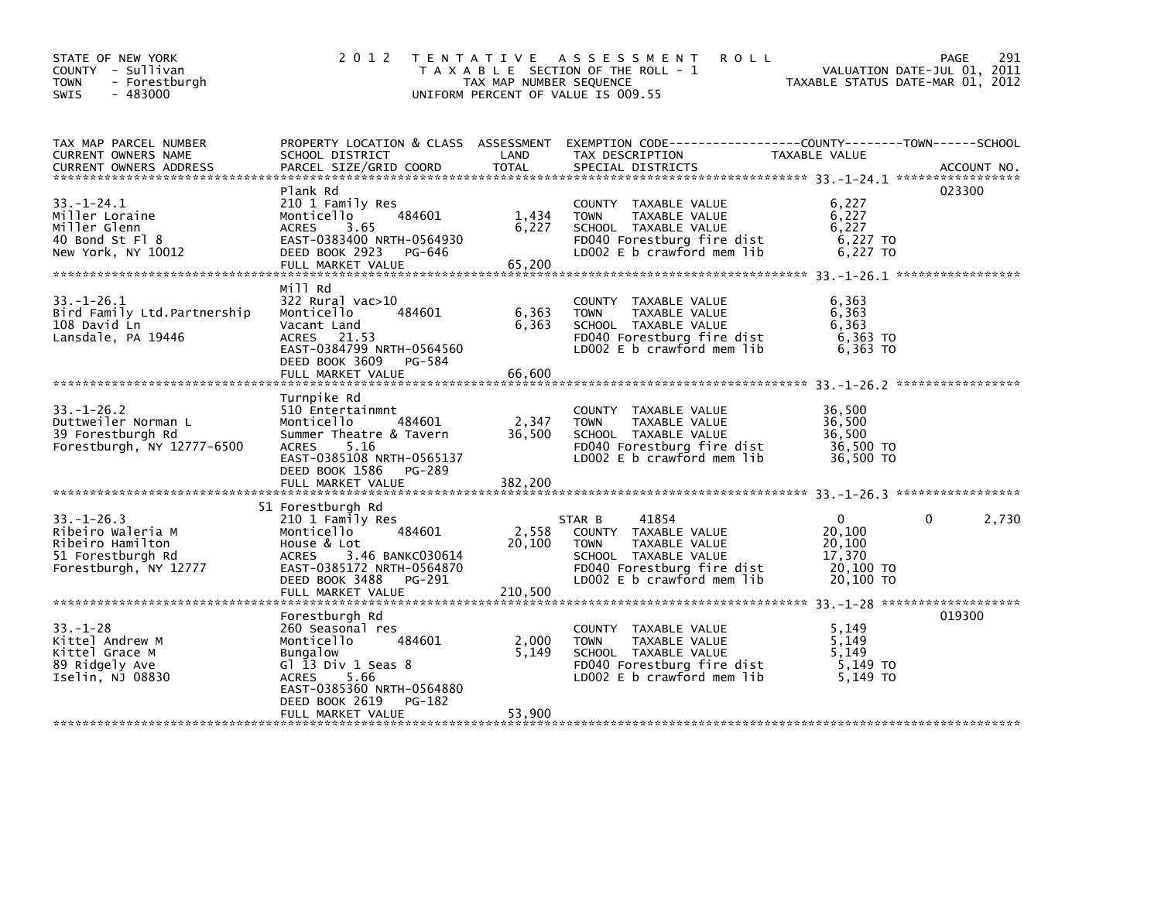| STATE OF NEW YORK<br>COUNTY - Sullivan<br><b>TOWN</b><br>- Forestburgh<br>$-483000$<br><b>SWIS</b>      | 2 0 1 2                                                                                                                                                                                        | TAX MAP NUMBER SEQUENCE    | <b>ROLL</b><br>TENTATIVE ASSESSMENT<br>T A X A B L E SECTION OF THE ROLL - 1<br>UNIFORM PERCENT OF VALUE IS 009.55                                          | VALUATION DATE-JUL 01,<br>TAXABLE STATUS DATE-MAR 01, 2012       | 291<br>PAGE<br>2011 |
|---------------------------------------------------------------------------------------------------------|------------------------------------------------------------------------------------------------------------------------------------------------------------------------------------------------|----------------------------|-------------------------------------------------------------------------------------------------------------------------------------------------------------|------------------------------------------------------------------|---------------------|
| TAX MAP PARCEL NUMBER<br>CURRENT OWNERS NAME<br><b>CURRENT OWNERS ADDRESS</b>                           | PROPERTY LOCATION & CLASS ASSESSMENT<br>SCHOOL DISTRICT<br>PARCEL SIZE/GRID COORD                                                                                                              | LAND<br><b>TOTAL</b>       | EXEMPTION CODE-----------------COUNTY-------TOWN------SCHOOL<br>TAX DESCRIPTION<br>SPECIAL DISTRICTS                                                        | TAXABLE VALUE                                                    | ACCOUNT NO.         |
| $33. - 1 - 24.1$<br>Miller Loraine<br>Miller Glenn<br>40 Bond St Fl 8<br>New York, NY 10012             | Plank Rd<br>210 1 Family Res<br>484601<br>Monticello<br><b>ACRES</b><br>3.65<br>EAST-0383400 NRTH-0564930<br>DEED BOOK 2923<br>PG-646                                                          | 1,434<br>6,227             | COUNTY TAXABLE VALUE<br><b>TOWN</b><br>TAXABLE VALUE<br>SCHOOL TAXABLE VALUE<br>FD040 Forestburg fire dist<br>LD002 $E$ b crawford mem lib                  | 6,227<br>6,227<br>6.227<br>6,227 TO<br>6,227 TO                  | 023300              |
| $33. - 1 - 26.1$<br>Bird Family Ltd.Partnership<br>108 David Ln<br>Lansdale, PA 19446                   | Mill Rd<br>$322$ Rural vac $>10$<br>484601<br>Monticello<br>Vacant Land<br>ACRES 21.53<br>EAST-0384799 NRTH-0564560<br>DEED BOOK 3609<br>PG-584                                                | 6,363<br>6,363             | COUNTY TAXABLE VALUE<br><b>TOWN</b><br>TAXABLE VALUE<br>SCHOOL TAXABLE VALUE<br>FD040 Forestburg fire dist<br>LD002 $E$ b crawford mem lib                  | 6,363<br>6,363<br>6,363<br>$6,363$ TO<br>6,363 TO                |                     |
| $33 - 1 - 26.2$<br>Duttweiler Norman L<br>39 Forestburgh Rd<br>Forestburgh, NY 12777-6500               | Turnpike Rd<br>510 Entertainmnt<br>Monticello<br>484601<br>Summer Theatre & Tavern<br><b>ACRES</b><br>5.16<br>EAST-0385108 NRTH-0565137<br>DEED BOOK 1586<br>PG-289                            | 2,347<br>36,500            | COUNTY TAXABLE VALUE<br>TAXABLE VALUE<br><b>TOWN</b><br>SCHOOL TAXABLE VALUE<br>FD040 Forestburg fire dist<br>LD002 E b crawford mem lib                    | 36,500<br>36,500<br>36.500<br>36,500 TO<br>36,500 TO             |                     |
| $33. - 1 - 26.3$<br>Ribeiro Waleria M<br>Ribeiro Hamilton<br>51 Forestburgh Rd<br>Forestburgh, NY 12777 | 51 Forestburgh Rd<br>210 1 Family Res<br>484601<br>Monticello<br>House & Lot<br>3.46 BANKC030614<br><b>ACRES</b><br>EAST-0385172 NRTH-0564870<br>DEED BOOK 3488<br>PG-291<br>FULL MARKET VALUE | 2,558<br>20,100<br>210,500 | 41854<br>STAR B<br>COUNTY TAXABLE VALUE<br>TAXABLE VALUE<br><b>TOWN</b><br>SCHOOL TAXABLE VALUE<br>FD040 Forestburg fire dist<br>LD002 E b crawford mem lib | $\Omega$<br>20.100<br>20,100<br>17,370<br>20,100 TO<br>20,100 TO | 0<br>2,730          |
| $33. - 1 - 28$<br>Kittel Andrew M<br>Kittel Grace M<br>89 Ridgely Ave<br>Iselin, NJ 08830               | Forestburgh Rd<br>260 Seasonal res<br>Monticello<br>484601<br>Bungalow<br>Gl 13 Div 1 Seas 8<br>5.66<br><b>ACRES</b><br>EAST-0385360 NRTH-0564880<br>DEED BOOK 2619<br>PG-182                  | 2,000<br>5,149             | <b>COUNTY</b><br>TAXABLE VALUE<br>TAXABLE VALUE<br><b>TOWN</b><br>SCHOOL TAXABLE VALUE<br>FD040 Forestburg fire dist<br>LD002 E b crawford mem lib          | 5.149<br>5,149<br>5.149<br>$5,149$ TO<br>5,149 TO                | 019300              |
|                                                                                                         | FULL MARKET VALUE                                                                                                                                                                              | 53,900                     |                                                                                                                                                             |                                                                  |                     |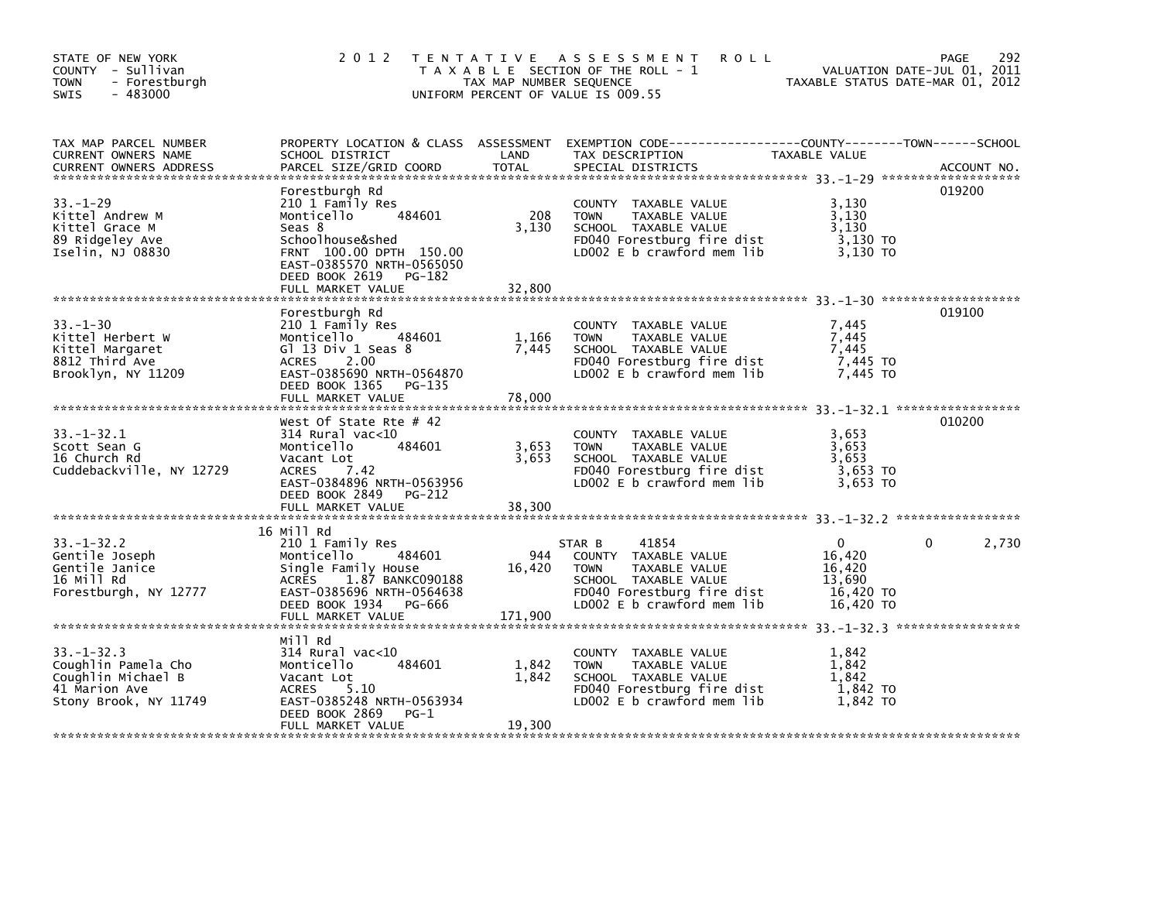| STATE OF NEW YORK<br>COUNTY - Sullivan<br><b>TOWN</b><br>- Forestburgh<br>$-483000$<br><b>SWIS</b>      | 2 0 1 2                                                                                                                                                                                           | TAX MAP NUMBER SEQUENCE  | TENTATIVE ASSESSMENT<br><b>ROLL</b><br>T A X A B L E SECTION OF THE ROLL - 1<br>UNIFORM PERCENT OF VALUE IS 009.55                           | TAXABLE STATUS DATE-MAR 01, 2012                    | 292<br>PAGE<br>VALUATION DATE-JUL 01, 2011 |
|---------------------------------------------------------------------------------------------------------|---------------------------------------------------------------------------------------------------------------------------------------------------------------------------------------------------|--------------------------|----------------------------------------------------------------------------------------------------------------------------------------------|-----------------------------------------------------|--------------------------------------------|
| TAX MAP PARCEL NUMBER<br>CURRENT OWNERS NAME<br><b>CURRENT OWNERS ADDRESS</b>                           | PROPERTY LOCATION & CLASS ASSESSMENT<br>SCHOOL DISTRICT<br>PARCEL SIZE/GRID COORD                                                                                                                 | LAND<br>TOTAL            | TAX DESCRIPTION<br>SPECIAL DISTRICTS                                                                                                         | TAXABLE VALUE                                       | ACCOUNT NO.                                |
| $33 - 1 - 29$<br>Kittel Andrew M<br>Kittel Grace M<br>89 Ridgeley Ave<br>Iselin, NJ 08830               | Forestburgh Rd<br>210 1 Family Res<br>484601<br>Monticello<br>Seas 8<br>Schoolhouse&shed<br>FRNT 100.00 DPTH 150.00<br>EAST-0385570 NRTH-0565050<br>DEED BOOK 2619<br>PG-182<br>FULL MARKET VALUE | 208<br>3,130<br>32,800   | COUNTY TAXABLE VALUE<br><b>TOWN</b><br>TAXABLE VALUE<br>SCHOOL TAXABLE VALUE<br>FD040 Forestburg fire dist<br>LD002 E b crawford mem lib     | 3,130<br>3,130<br>3.130<br>3,130 TO<br>3.130 TO     | 019200                                     |
| $33 - 1 - 30$<br>Kittel Herbert W<br>Kittel Margaret<br>8812 Third Ave<br>Brooklyn, NY 11209            | Forestburgh Rd<br>210 1 Family Res<br>484601<br>Monticello<br>Gl 13 Div 1 Seas 8<br>ACRES<br>2.00<br>EAST-0385690 NRTH-0564870<br>DEED BOOK 1365<br>PG-135<br>FULL MARKET VALUE                   | 1,166<br>7,445<br>78,000 | COUNTY TAXABLE VALUE<br><b>TOWN</b><br>TAXABLE VALUE<br>SCHOOL TAXABLE VALUE<br>FD040 Forestburg fire dist<br>LD002 $E$ b crawford mem $lib$ | 7,445<br>7,445<br>7,445<br>7,445 TO<br>7.445 TO     | 019100                                     |
| $33. - 1 - 32.1$<br>Scott Sean G<br>16 Church Rd<br>Cuddebackville, NY 12729                            | West Of State Rte $#$ 42<br>$314$ Rural vac<10<br>484601<br>Monticello<br>Vacant Lot<br>ACRES<br>7.42<br>EAST-0384896 NRTH-0563956<br>DEED BOOK 2849<br>PG-212<br>FULL MARKET VALUE               | 3,653<br>3,653<br>38,300 | COUNTY TAXABLE VALUE<br><b>TOWN</b><br>TAXABLE VALUE<br>SCHOOL TAXABLE VALUE<br>FD040 Forestburg fire dist<br>LD002 $E$ b crawford mem $lib$ | 3,653<br>3,653<br>3,653<br>3,653 TO<br>3,653 TO     | 010200                                     |
|                                                                                                         | 16 Mill Rd                                                                                                                                                                                        |                          |                                                                                                                                              |                                                     |                                            |
| $33. - 1 - 32.2$<br>Gentile Joseph<br>Gentile Janice<br>16 Mill Rd<br>Forestburgh, NY 12777             | 210 1 Family Res<br>Monticello<br>484601<br>Single Family House<br>1.87 BANKC090188<br><b>ACRES</b><br>EAST-0385696 NRTH-0564638                                                                  | 944<br>16,420            | 41854<br>STAR B<br>COUNTY TAXABLE VALUE<br>TAXABLE VALUE<br><b>TOWN</b><br>SCHOOL TAXABLE VALUE<br>FD040 Forestburg fire dist                | $\Omega$<br>16,420<br>16,420<br>13,690<br>16,420 TO | 2,730<br>0                                 |
|                                                                                                         | DEED BOOK 1934 PG-666<br>FULL MARKET VALUE                                                                                                                                                        | 171,900                  | LD002 E b crawford mem lib                                                                                                                   | 16,420 TO                                           |                                            |
| $33. - 1 - 32.3$<br>Coughlin Pamela Cho<br>Coughlin Michael B<br>41 Marion Ave<br>Stony Brook, NY 11749 | Mill Rd<br>314 Rural vac<10<br>Monticello<br>484601<br>Vacant Lot<br><b>ACRES</b><br>5.10<br>EAST-0385248 NRTH-0563934<br>DEED BOOK 2869<br>$PG-1$<br>FULL MARKET VALUE                           | 1,842<br>1,842<br>19,300 | COUNTY TAXABLE VALUE<br>TAXABLE VALUE<br><b>TOWN</b><br>SCHOOL TAXABLE VALUE<br>FD040 Forestburg fire dist<br>LD002 E b crawford mem lib     | 1,842<br>1,842<br>1,842<br>1,842 TO<br>1,842 TO     |                                            |
|                                                                                                         |                                                                                                                                                                                                   |                          |                                                                                                                                              |                                                     |                                            |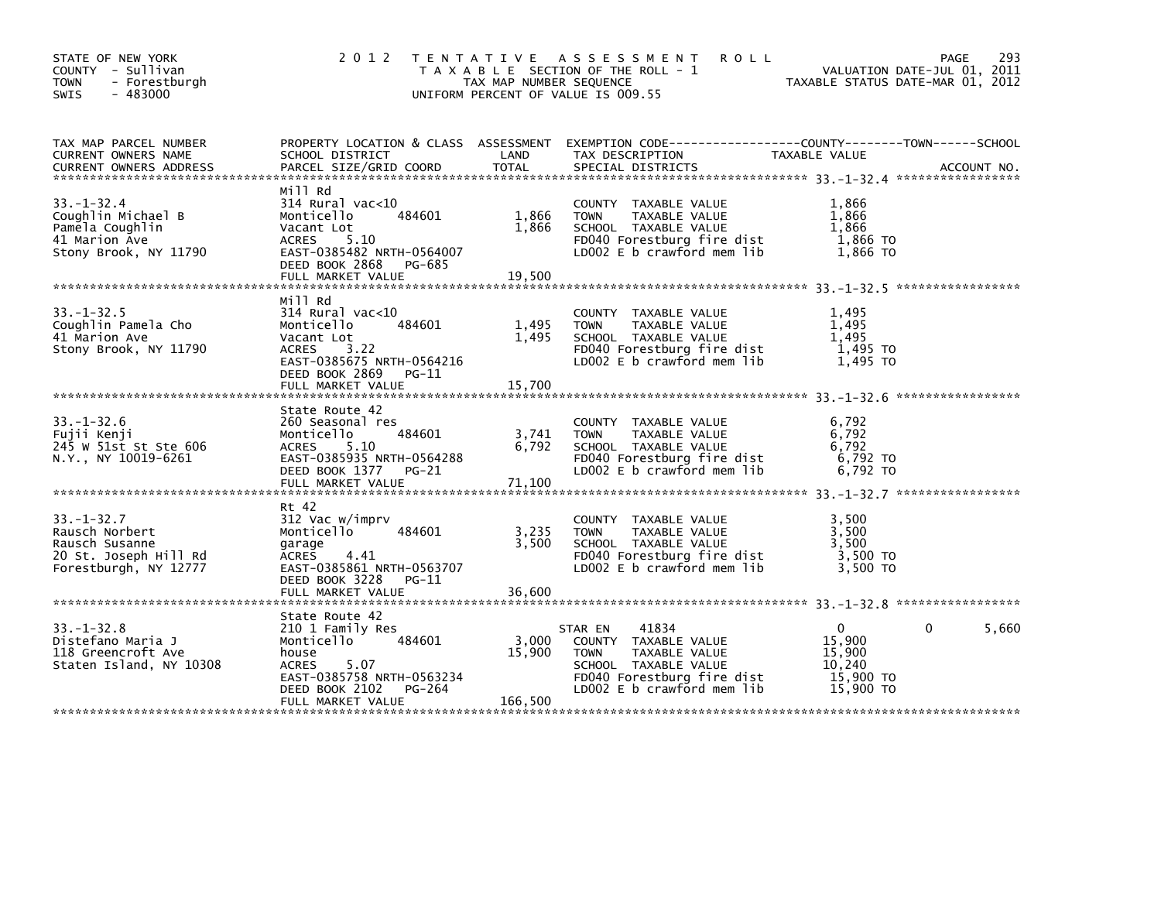| STATE OF NEW YORK<br>COUNTY - Sullivan<br><b>TOWN</b><br>- Forestburgh<br>$-483000$<br><b>SWIS</b>     | 2 0 1 2                                                                                                                                                                   | TAX MAP NUMBER SEQUENCE    | TENTATIVE ASSESSMENT<br><b>ROLL</b><br>T A X A B L E SECTION OF THE ROLL - 1<br>UNIFORM PERCENT OF VALUE IS 009.55                                           |                                                                  | 293<br>PAGE<br>VALUATION DATE-JUL 01, 2011<br>TAXABLE STATUS DATE-MAR 01, 2012 |
|--------------------------------------------------------------------------------------------------------|---------------------------------------------------------------------------------------------------------------------------------------------------------------------------|----------------------------|--------------------------------------------------------------------------------------------------------------------------------------------------------------|------------------------------------------------------------------|--------------------------------------------------------------------------------|
| TAX MAP PARCEL NUMBER<br>CURRENT OWNERS NAME                                                           | SCHOOL DISTRICT                                                                                                                                                           | LAND                       | PROPERTY LOCATION & CLASS ASSESSMENT EXEMPTION CODE---------------COUNTY-------TOWN-----SCHOOL<br>TAX DESCRIPTION                                            | TAXABLE VALUE                                                    |                                                                                |
| $33. - 1 - 32.4$<br>Coughlin Michael B<br>Pamela Coughlin<br>41 Marion Ave<br>Stony Brook, NY 11790    | Mill Rd<br>314 Rural vac<10<br>484601<br>Monticello<br>Vacant Lot<br>ACRES<br>5.10<br>EAST-0385482 NRTH-0564007<br>DEED BOOK 2868<br>PG-685<br>FULL MARKET VALUE          | 1,866<br>1,866<br>19,500   | COUNTY TAXABLE VALUE<br><b>TOWN</b><br>TAXABLE VALUE<br>SCHOOL TAXABLE VALUE<br>FD040 Forestburg fire dist<br>LD002 E b crawford mem lib                     | 1,866<br>1,866<br>1,866<br>1,866 TO<br>1.866 TO                  |                                                                                |
| $33. - 1 - 32.5$<br>Coughlin Pamela Cho<br>41 Marion Ave<br>Stony Brook, NY 11790                      | Mill Rd<br>314 Rural vac<10<br>Monticello<br>484601<br>Vacant Lot<br><b>ACRES</b><br>3.22<br>EAST-0385675 NRTH-0564216<br>DEED BOOK 2869<br>PG-11<br>FULL MARKET VALUE    | 1,495<br>1.495<br>15,700   | COUNTY TAXABLE VALUE<br><b>TOWN</b><br>TAXABLE VALUE<br>SCHOOL TAXABLE VALUE<br>FD040 Forestburg fire dist<br>LD002 $E$ b crawford mem $lib$                 | 1,495<br>1,495<br>1.495<br>1,495 TO<br>1,495 TO                  |                                                                                |
| $33. - 1 - 32.6$<br>Fujii Kenji<br>245 W 51st St Ste 606<br>N.Y., NY 10019-6261                        | State Route 42<br>260 Seasonal res<br>484601<br>Monticello<br>5.10<br>ACRES<br>EAST-0385935 NRTH-0564288<br>DEED BOOK 1377 PG-21<br>FULL MARKET VALUE                     | 3,741<br>6,792<br>71,100   | COUNTY TAXABLE VALUE<br>TAXABLE VALUE<br><b>TOWN</b><br>SCHOOL TAXABLE VALUE<br>FD040 Forestburg fire dist<br>LD002 E b crawford mem lib                     | 6,792<br>6,792<br>6,792<br>6,792 TO<br>6.792 TO                  |                                                                                |
| $33. - 1 - 32.7$<br>Rausch Norbert<br>Rausch Susanne<br>20 St. Joseph Hill Rd<br>Forestburgh, NY 12777 | Rt 42<br>312 Vac w/imprv<br>Monticello<br>484601<br>garage<br>ACRES<br>4.41<br>EAST-0385861 NRTH-0563707<br>DEED BOOK 3228 PG-11                                          | 3,235<br>3,500             | COUNTY TAXABLE VALUE<br>TAXABLE VALUE<br><b>TOWN</b><br>SCHOOL TAXABLE VALUE<br>FD040 Forestburg fire dist<br>LD002 E b crawford mem lib                     | 3,500<br>3,500<br>3,500<br>3,500 TO<br>3,500 TO                  |                                                                                |
| $33. - 1 - 32.8$<br>Distefano Maria J<br>118 Greencroft Ave<br>Staten Island, NY 10308                 | State Route 42<br>210 1 Family Res<br>Monticello<br>484601<br>house<br>5.07<br><b>ACRES</b><br>EAST-0385758 NRTH-0563234<br>DEED BOOK 2102<br>PG-264<br>FULL MARKET VALUE | 3,000<br>15,900<br>166,500 | 41834<br>STAR EN<br>COUNTY TAXABLE VALUE<br><b>TOWN</b><br>TAXABLE VALUE<br>SCHOOL TAXABLE VALUE<br>FD040 Forestburg fire dist<br>LD002 E b crawford mem lib | $\Omega$<br>15,900<br>15,900<br>10,240<br>15,900 TO<br>15,900 TO | 5,660<br>$\Omega$                                                              |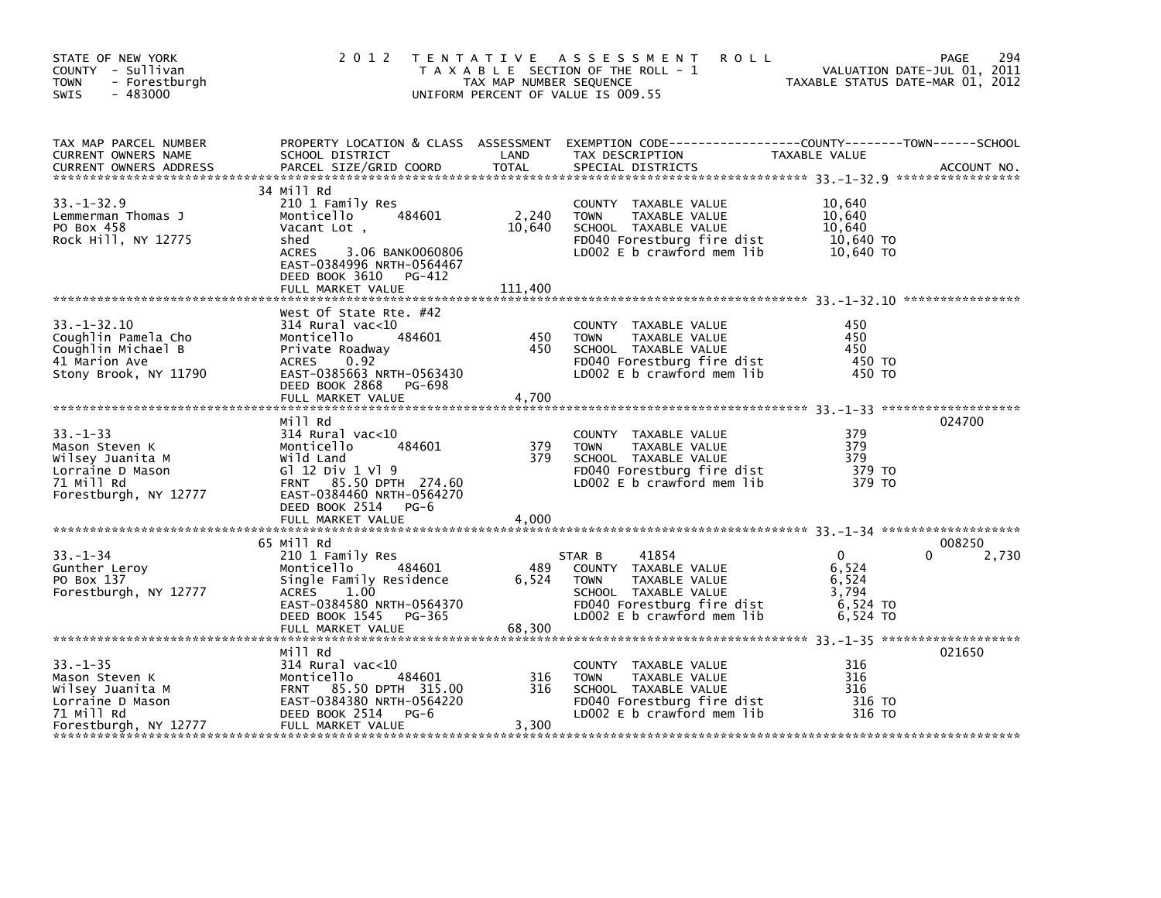| STATE OF NEW YORK<br>COUNTY - Sullivan<br>- Forestburgh<br><b>TOWN</b><br>$-483000$<br><b>SWIS</b> | 2 0 1 2                                                                                                 | TAX MAP NUMBER SEQUENCE | TENTATIVE ASSESSMENT<br><b>ROLL</b><br>T A X A B L E SECTION OF THE ROLL - 1<br>UNIFORM PERCENT OF VALUE IS 009.55                       | TAXABLE STATUS DATE-MAR 01, 2012 | 294<br>PAGE<br>VALUATION DATE-JUL 01, 2011 |
|----------------------------------------------------------------------------------------------------|---------------------------------------------------------------------------------------------------------|-------------------------|------------------------------------------------------------------------------------------------------------------------------------------|----------------------------------|--------------------------------------------|
| TAX MAP PARCEL NUMBER<br>CURRENT OWNERS NAME<br><b>CURRENT OWNERS ADDRESS</b>                      | SCHOOL DISTRICT<br>PARCEL SIZE/GRID COORD                                                               | LAND<br><b>TOTAL</b>    | PROPERTY LOCATION & CLASS ASSESSMENT EXEMPTION CODE----------------COUNTY-------TOWN------SCHOOL<br>TAX DESCRIPTION<br>SPECIAL DISTRICTS | TAXABLE VALUE                    | ACCOUNT NO.                                |
|                                                                                                    | 34 Mill Rd                                                                                              |                         |                                                                                                                                          |                                  |                                            |
| $33. - 1 - 32.9$                                                                                   | 210 1 Family Res<br>484601                                                                              |                         | COUNTY TAXABLE VALUE                                                                                                                     | 10,640                           |                                            |
| Lemmerman Thomas J<br>PO Box 458                                                                   | Monticello<br>Vacant Lot,                                                                               | 2,240<br>10,640         | TAXABLE VALUE<br><b>TOWN</b><br>SCHOOL TAXABLE VALUE                                                                                     | 10,640<br>10,640                 |                                            |
| Rock Hill, NY 12775                                                                                | shed                                                                                                    |                         | FD040 Forestburg fire dist                                                                                                               | 10,640 TO                        |                                            |
|                                                                                                    | ACRES<br>3.06 BANK0060806<br>EAST-0384996 NRTH-0564467<br>DEED BOOK 3610<br>PG-412<br>FULL MARKET VALUE | 111,400                 | LD002 E b crawford mem lib                                                                                                               | 10,640 TO                        |                                            |
|                                                                                                    |                                                                                                         |                         |                                                                                                                                          |                                  |                                            |
|                                                                                                    | West Of State Rte. #42                                                                                  |                         |                                                                                                                                          |                                  |                                            |
| $33 - 1 - 32.10$                                                                                   | $314$ Rural vac<10                                                                                      |                         | COUNTY TAXABLE VALUE                                                                                                                     | 450                              |                                            |
| Coughlin Pamela Cho<br>Coughlin Michael B                                                          | 484601<br>Monticello<br>Private Roadway                                                                 | 450<br>450              | TAXABLE VALUE<br><b>TOWN</b><br>SCHOOL TAXABLE VALUE                                                                                     | 450<br>450                       |                                            |
| 41 Marion Ave                                                                                      | ACRES<br>0.92                                                                                           |                         | FD040 Forestburg fire dist                                                                                                               | 450 TO                           |                                            |
| Stony Brook, NY 11790                                                                              | EAST-0385663 NRTH-0563430                                                                               |                         | LD002 E b crawford mem lib                                                                                                               | 450 TO                           |                                            |
|                                                                                                    | DEED BOOK 2868<br>PG-698                                                                                |                         |                                                                                                                                          |                                  |                                            |
|                                                                                                    | FULL MARKET VALUE                                                                                       | 4,700                   |                                                                                                                                          |                                  |                                            |
|                                                                                                    | Mill Rd                                                                                                 |                         |                                                                                                                                          |                                  | 024700                                     |
| $33 - 1 - 33$                                                                                      | 314 Rural vac<10                                                                                        |                         | COUNTY TAXABLE VALUE                                                                                                                     | 379                              |                                            |
| Mason Steven K                                                                                     | 484601<br>Monticello                                                                                    | 379                     | <b>TOWN</b><br>TAXABLE VALUE                                                                                                             | 379                              |                                            |
| Wilsey Juanita M                                                                                   | Wild Land                                                                                               | 379                     | SCHOOL TAXABLE VALUE                                                                                                                     | 379                              |                                            |
| Lorraine D Mason                                                                                   | G1 12 Div 1 V1 9                                                                                        |                         | FD040 Forestburg fire dist                                                                                                               | 379 TO                           |                                            |
| 71 Mill Rd                                                                                         | FRNT 85.50 DPTH 274.60                                                                                  |                         | LD002 $E$ b crawford mem $lib$                                                                                                           | 379 TO                           |                                            |
| Forestburgh, NY 12777                                                                              | EAST-0384460 NRTH-0564270                                                                               |                         |                                                                                                                                          |                                  |                                            |
|                                                                                                    | DEED BOOK 2514 PG-6                                                                                     |                         |                                                                                                                                          |                                  |                                            |
|                                                                                                    |                                                                                                         |                         |                                                                                                                                          |                                  |                                            |
|                                                                                                    | 65 Mill Rd                                                                                              |                         |                                                                                                                                          |                                  | 008250                                     |
| $33. - 1 - 34$                                                                                     | 210 1 Family Res                                                                                        |                         | 41854<br>STAR B                                                                                                                          | $\mathbf{0}$                     | 2,730<br>0                                 |
| Gunther Leroy                                                                                      | 484601<br>Monticello                                                                                    | 489                     | COUNTY TAXABLE VALUE                                                                                                                     | 6,524                            |                                            |
| PO Box 137                                                                                         | Single Family Residence                                                                                 | 6,524                   | TAXABLE VALUE<br><b>TOWN</b>                                                                                                             | 6,524                            |                                            |
| Forestburgh, NY 12777                                                                              | 1.00<br>ACRES<br>EAST-0384580 NRTH-0564370                                                              |                         | SCHOOL TAXABLE VALUE                                                                                                                     | 3,794<br>6,524 TO                |                                            |
|                                                                                                    | DEED BOOK 1545 PG-365                                                                                   |                         | FD040 Forestburg fire dist<br>LD002 $E$ b crawford mem $lib$                                                                             | 6,524 TO                         |                                            |
|                                                                                                    | FULL MARKET VALUE                                                                                       | 68,300                  |                                                                                                                                          |                                  |                                            |
|                                                                                                    |                                                                                                         |                         |                                                                                                                                          |                                  |                                            |
|                                                                                                    | Mill Rd                                                                                                 |                         |                                                                                                                                          |                                  | 021650                                     |
| $33. - 1 - 35$                                                                                     | $314$ Rural vac< $10$                                                                                   |                         | COUNTY TAXABLE VALUE                                                                                                                     | 316                              |                                            |
| Mason Steven K                                                                                     | 484601<br>Monticello                                                                                    | 316                     | <b>TOWN</b><br>TAXABLE VALUE                                                                                                             | 316<br>316                       |                                            |
| Wilsey Juanita M<br>Lorraine D Mason                                                               | FRNT 85.50 DPTH 315.00<br>EAST-0384380 NRTH-0564220                                                     | 316                     | SCHOOL TAXABLE VALUE<br>FD040 Forestburg fire dist                                                                                       | 316 TO                           |                                            |
| 71 Mill Rd                                                                                         | DEED BOOK 2514<br>$PG-6$                                                                                |                         | LD002 E b crawford mem lib                                                                                                               | 316 TO                           |                                            |
| Forestburgh, NY 12777                                                                              | FULL MARKET VALUE                                                                                       | 3,300                   |                                                                                                                                          |                                  |                                            |
|                                                                                                    |                                                                                                         |                         |                                                                                                                                          |                                  |                                            |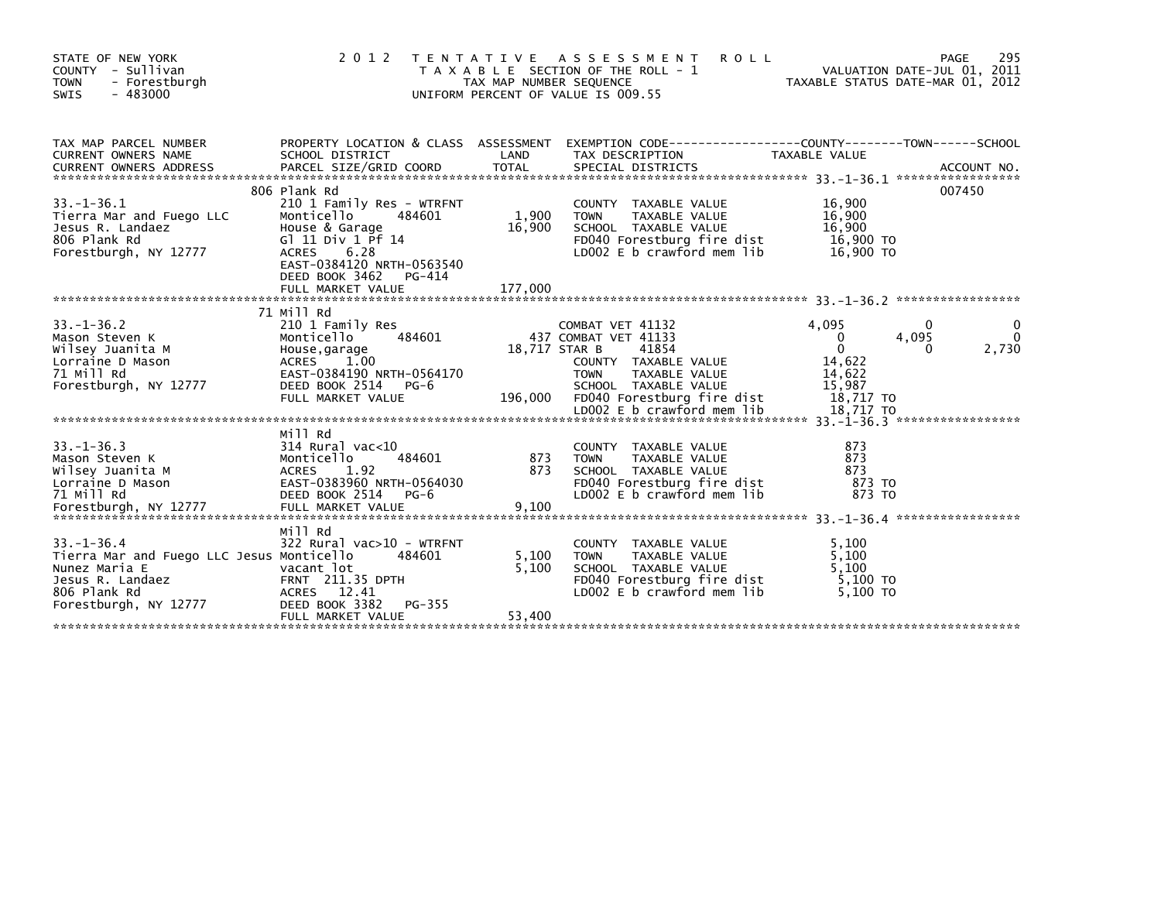| STATE OF NEW YORK<br>COUNTY - Sullivan<br><b>TOWN</b><br>- Forestburgh<br>$-483000$<br><b>SWIS</b>                                          | 2 0 1 2                                                                                                                                                                                               | TAX MAP NUMBER SEQUENCE    | <b>ROLL</b><br>TENTATIVE ASSESSMENT<br>T A X A B L E SECTION OF THE ROLL - 1<br>UNIFORM PERCENT OF VALUE IS 009.55                                                                | VALUATION DATE-JUL 01, 2011<br>TAXABLE STATUS DATE-MAR 01, 2012 | 295<br>PAGE                              |
|---------------------------------------------------------------------------------------------------------------------------------------------|-------------------------------------------------------------------------------------------------------------------------------------------------------------------------------------------------------|----------------------------|-----------------------------------------------------------------------------------------------------------------------------------------------------------------------------------|-----------------------------------------------------------------|------------------------------------------|
| TAX MAP PARCEL NUMBER<br>CURRENT OWNERS NAME                                                                                                | SCHOOL DISTRICT                                                                                                                                                                                       | LAND                       | PROPERTY LOCATION & CLASS ASSESSMENT EXEMPTION CODE----------------COUNTY-------TOWN------SCHOOL<br>TAX DESCRIPTION                                                               | TAXABLE VALUE                                                   |                                          |
|                                                                                                                                             |                                                                                                                                                                                                       |                            |                                                                                                                                                                                   |                                                                 |                                          |
| $33. - 1 - 36.1$<br>Tierra Mar and Fuego LLC<br>Jesus R. Landaez<br>806 Plank Rd<br>Forestburgh, NY 12777                                   | 806 Plank Rd<br>210 1 Family Res - WTRFNT<br>484601<br>Montice<br>House & Garage<br>Gl 11 Div 1 Pf<br>G1 11 Div 1 Pf 14<br>6.28<br><b>ACRES</b><br>EAST-0384120 NRTH-0563540<br>DEED BOOK 3462 PG-414 | 1,900<br>16,900            | COUNTY TAXABLE VALUE<br>TAXABLE VALUE<br><b>TOWN</b><br>SCHOOL TAXABLE VALUE<br>FD040 Forestburg fire dist 16,900 TO<br>LD002 E b crawford mem lib                                | 16,900<br>16,900<br>16,900<br>16,900 TO                         | 007450                                   |
|                                                                                                                                             |                                                                                                                                                                                                       |                            |                                                                                                                                                                                   |                                                                 |                                          |
| $33. - 1 - 36.2$<br>Mason Steven K<br>Wilsey Juanita M<br>Lorraine D Mason<br>71 Mill Rd<br>Forestburgh, NY 12777                           | 71 Mill Rd<br>210 1 Family Res<br>484601<br>Monticello<br>Honcreerio<br>House,garage<br>ACRES 1.00<br>ACRES 1.00<br>EAST-0384190 NRTH-0564170<br>DEED BOOK 2514 PG-6<br>FULL MARKET VALUE             | 18,717 STAR B              | COMBAT VET 41132<br>437 COMBAT VET 41133<br>41854<br>COUNTY TAXABLE VALUE<br>TAXABLE VALUE<br><b>TOWN</b><br>SCHOOL TAXABLE VALUE<br>196,000 FD040 Forestburg fire dist 18,717 TO | 4.095<br>$\mathbf{0}$<br>$\Omega$<br>14,622<br>14,622<br>15,987 | 0<br>4,095<br>$\mathbf{0}$<br>2,730<br>0 |
| $33. - 1 - 36.3$<br>Mason Steven K<br>Wilsey Juanita M<br>Lorraine D Mason<br>71 Mill Rd<br>Forestburgh, NY 12777                           | Mill Rd<br>314 Rural vac<10<br>484601<br>Monticello<br>ACRES 1.92<br>EAST-0383960 NRTH-0564030<br>DEED BOOK 2514 PG-6<br>FULL MARKET VALUE                                                            | $\frac{873}{872}$<br>9,100 | COUNTY TAXABLE VALUE<br>TAXABLE VALUE<br>TOWN<br>SCHOOL TAXABLE VALUE<br>FD040 Forestburg fire dist<br>LD002 E b crawford mem lib                                                 | 873<br>873<br>873<br>873 TO<br>873 TO                           |                                          |
| $33. - 1 - 36.4$<br>Tierra Mar and Fuego LLC Jesus Monticello<br>Nunez Maria E<br>Jesus R. Landaez<br>806 Plank Rd<br>Forestburgh, NY 12777 | Mill Rd<br>322 Rural vac>10 - WTRFNT<br>484601<br>vacant lot<br>Vacant lot<br>FRNT 211.35 DPTH<br>ACRES 12.41<br>ACRES 12.41<br>PG-355<br>DEED BOOK 3382<br>FULL MARKET VALUE                         | 5,100<br>5,100<br>53,400   | COUNTY TAXABLE VALUE<br><b>TOWN</b><br>TAXABLE VALUE<br>SCHOOL TAXABLE VALUE<br>FD040 Forestburg fire dist<br>LD002 E b crawford mem lib                                          | 5,100<br>5,100<br>5,100<br>5,100 TO<br>5,100 TO                 |                                          |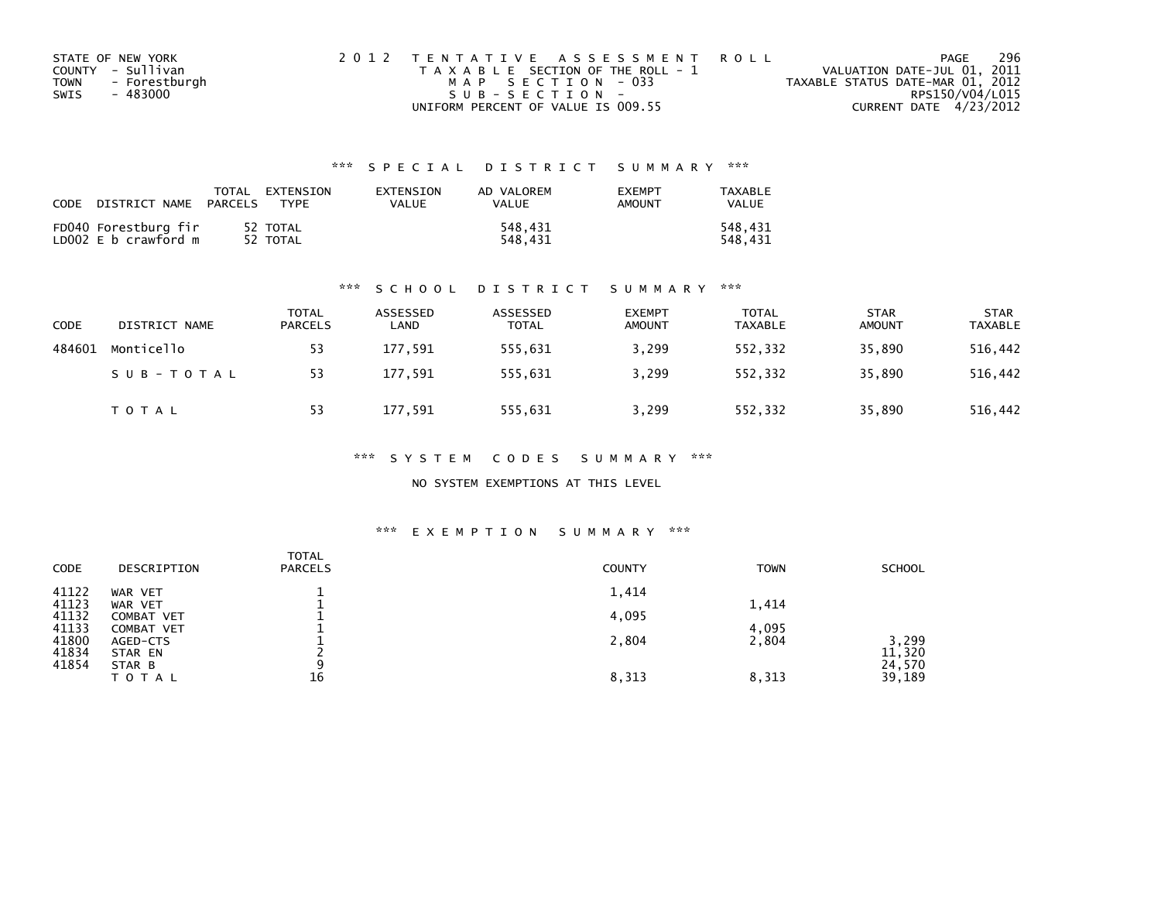|      | STATE OF NEW YORK | 2012 TENTATIVE ASSESSMENT ROLL        | PAGE                             | 296 |
|------|-------------------|---------------------------------------|----------------------------------|-----|
|      | COUNTY - Sullivan | T A X A B L E SECTION OF THE ROLL - 1 | VALUATION DATE-JUL 01, 2011      |     |
| TOWN | - Forestburgh     | MAP SECTION - 033                     | TAXABLE STATUS DATE-MAR 01, 2012 |     |
| SWIS | - 483000          | SUB-SECTION-                          | RPS150/V04/L015                  |     |
|      |                   | UNIFORM PERCENT OF VALUE IS 009.55    | CURRENT DATE 4/23/2012           |     |

| CODE<br>DISTRICT NAME                        | TOTAL<br>EXTENSION<br>PARCELS<br><b>TYPF</b> | EXTENSION<br>VALUE | AD VALOREM<br>VALUE | <b>EXEMPT</b><br>AMOUNT | TAXABLE<br><b>VALUE</b> |
|----------------------------------------------|----------------------------------------------|--------------------|---------------------|-------------------------|-------------------------|
| FD040 Forestburg fir<br>LD002 E b crawford m | 52 TOTAL<br>52 TOTAL                         |                    | 548.431<br>548.431  |                         | 548.431<br>548.431      |

#### \*\*\* S C H O O L D I S T R I C T S U M M A R Y \*\*\*

| <b>CODE</b> | DISTRICT NAME | TOTAL<br><b>PARCELS</b> | ASSESSED<br>LAND | ASSESSED<br><b>TOTAL</b> | <b>EXEMPT</b><br><b>AMOUNT</b> | <b>TOTAL</b><br><b>TAXABLE</b> | <b>STAR</b><br><b>AMOUNT</b> | <b>STAR</b><br><b>TAXABLE</b> |
|-------------|---------------|-------------------------|------------------|--------------------------|--------------------------------|--------------------------------|------------------------------|-------------------------------|
| 484601      | Monticello    | 53                      | 177,591          | 555,631                  | 3,299                          | 552,332                        | 35,890                       | 516,442                       |
|             | SUB-TOTAL     | 53                      | 177,591          | 555.631                  | 3,299                          | 552.332                        | 35,890                       | 516,442                       |
|             | TOTAL         | 53                      | 177,591          | 555,631                  | 3,299                          | 552,332                        | 35,890                       | 516,442                       |

\*\*\* S Y S T E M C O D E S S U M M A R Y \*\*\*

NO SYSTEM EXEMPTIONS AT THIS LEVEL

| CODE           | DESCRIPTION                            | <b>TOTAL</b><br><b>PARCELS</b> | <b>COUNTY</b> | <b>TOWN</b> | <b>SCHOOL</b>    |
|----------------|----------------------------------------|--------------------------------|---------------|-------------|------------------|
| 41122<br>41123 | WAR VET<br>WAR VET                     |                                | 1,414         | 1,414       |                  |
| 41132<br>41133 | <b>COMBAT VET</b><br><b>COMBAT VET</b> |                                | 4,095         | 4,095       |                  |
| 41800<br>41834 | AGED-CTS<br>STAR EN                    |                                | 2,804         | 2,804       | 3,299<br>11,320  |
| 41854          | STAR B<br>TOTAL                        | a<br>16                        | 8,313         | 8,313       | 24,570<br>39,189 |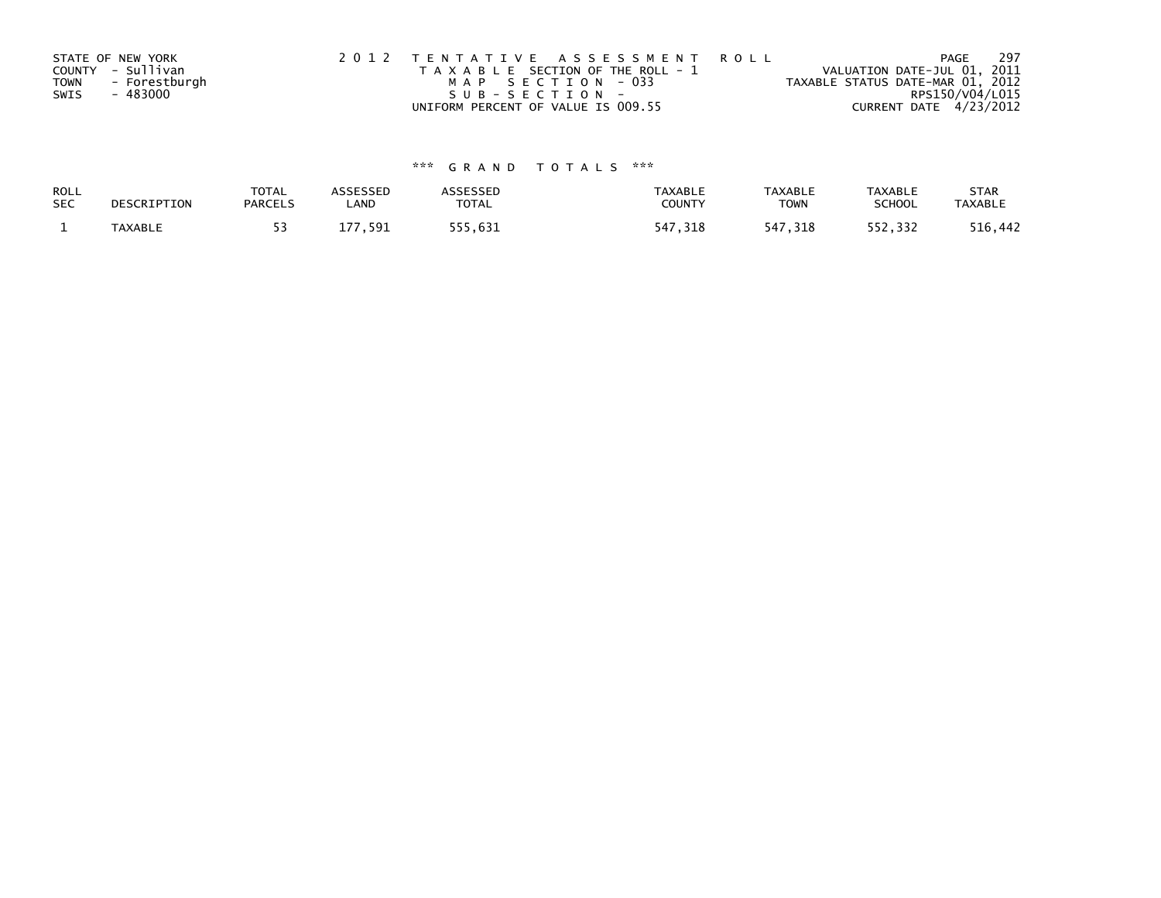| STATE OF NEW YORK            | 2012 TENTATIVE ASSESSMENT ROLL        | PAGE                             | - 297 |
|------------------------------|---------------------------------------|----------------------------------|-------|
| COUNTY - Sullivan            | T A X A B L E SECTION OF THE ROLL - 1 | VALUATION DATE-JUL 01, 2011      |       |
| - Forestburgh<br><b>TOWN</b> | MAP SECTION - 033                     | TAXABLE STATUS DATE-MAR 01, 2012 |       |
| SWIS<br>- 483000             | SUB-SECTION-                          | RPS150/V04/L015                  |       |
|                              | UNIFORM PERCENT OF VALUE IS 009.55    | CURRENT DATE 4/23/2012           |       |

| ROLL<br><b>SEC</b> | DESCRIPTION    | <b>TOTAL</b><br><b>PARCELS</b> | <b>ISSESSED</b><br>LAND | `SSESSED<br>TOTAL | <b>TAXABLE</b><br><b>COUNT</b> | <b>TAXABLE</b><br><b>TOWN</b> | <b>TAXABLE</b><br>SCHOOL | <b>STAR</b><br><b>TAXABLE</b> |
|--------------------|----------------|--------------------------------|-------------------------|-------------------|--------------------------------|-------------------------------|--------------------------|-------------------------------|
|                    | <b>TAXABLE</b> |                                | 591                     |                   | - 47                           |                               | 2.332                    | .442                          |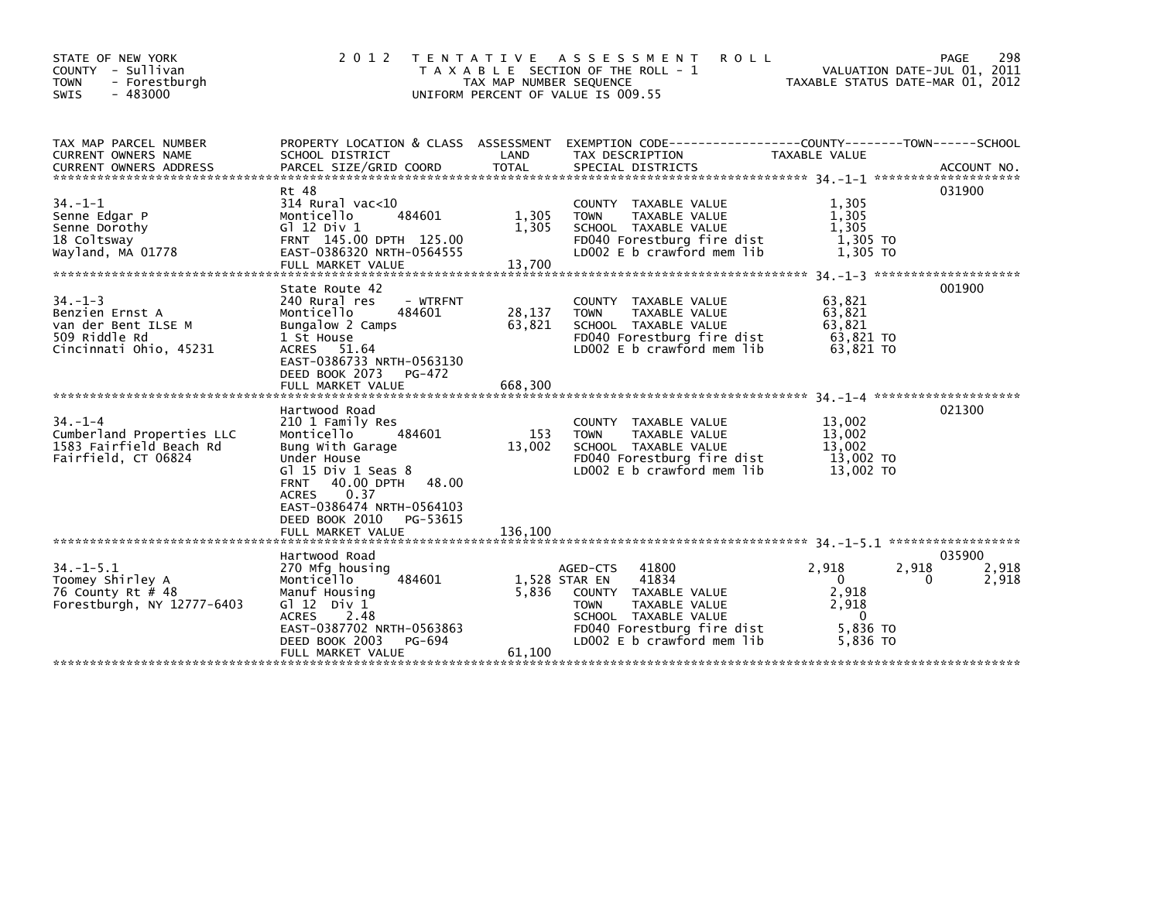| STATE OF NEW YORK<br>COUNTY - Sullivan<br>- Forestburgh<br><b>TOWN</b><br>$-483000$<br>SWIS       | 2 0 1 2                                                                                                                                                                                                                                                 | T E N T A T I V E<br>TAX MAP NUMBER SEQUENCE<br>UNIFORM PERCENT OF VALUE IS 009.55 | A S S E S S M E N T<br><b>ROLL</b><br>T A X A B L E SECTION OF THE ROLL - 1                                                                                                             | VALUATION DATE-JUL 01, 2011<br>TAXABLE STATUS DATE-MAR 01, 2012               | 298<br><b>PAGE</b>            |
|---------------------------------------------------------------------------------------------------|---------------------------------------------------------------------------------------------------------------------------------------------------------------------------------------------------------------------------------------------------------|------------------------------------------------------------------------------------|-----------------------------------------------------------------------------------------------------------------------------------------------------------------------------------------|-------------------------------------------------------------------------------|-------------------------------|
| TAX MAP PARCEL NUMBER<br><b>CURRENT OWNERS NAME</b>                                               | PROPERTY LOCATION & CLASS ASSESSMENT<br>SCHOOL DISTRICT                                                                                                                                                                                                 | LAND                                                                               | EXEMPTION CODE-----------------COUNTY-------TOWN------SCHOOL<br>TAX DESCRIPTION                                                                                                         | TAXABLE VALUE                                                                 |                               |
| $34. - 1 - 1$<br>Senne Edgar P<br>Senne Dorothy<br>18 Coltsway<br>Wayland, MA 01778               | Rt 48<br>$314$ Rural vac<10<br>Monticello<br>484601<br>G $12$ Div $1$<br>FRNT 145.00 DPTH 125.00<br>EAST-0386320 NRTH-0564555<br>FULL MARKET VALUE                                                                                                      | 1,305<br>1,305<br>13,700                                                           | COUNTY TAXABLE VALUE<br><b>TOWN</b><br>TAXABLE VALUE<br>SCHOOL TAXABLE VALUE<br>FD040 Forestburg fire dist<br>LD002 E b crawford mem lib                                                | 1,305<br>1,305<br>1.305<br>1,305 TO<br>1,305 TO                               | 031900                        |
| $34. -1 - 3$<br>Benzien Ernst A<br>van der Bent ILSE M<br>509 Riddle Rd<br>Cincinnati Ohio, 45231 | State Route 42<br>240 Rural res<br>- WTRFNT<br>484601<br>Monticello<br>Bungalow 2 Camps<br>1 St House<br>ACRES 51.64<br>EAST-0386733 NRTH-0563130<br>DEED BOOK 2073<br>PG-472<br>FULL MARKET VALUE                                                      | 28,137<br>63,821<br>668,300                                                        | COUNTY TAXABLE VALUE<br>TAXABLE VALUE<br><b>TOWN</b><br>SCHOOL TAXABLE VALUE<br>FD040 Forestburg fire dist<br>LD002 E b crawford mem lib                                                | 63,821<br>63,821<br>63.821<br>63,821 TO<br>63.821 TO                          | 001900                        |
| $34. - 1 - 4$<br>Cumberland Properties LLC<br>1583 Fairfield Beach Rd<br>Fairfield, CT 06824      | Hartwood Road<br>210 1 Family Res<br>Monticello<br>484601<br>Bung With Garage<br>Under House<br>Gl 15 Div 1 Seas 8<br>40.00 DPTH<br><b>FRNT</b><br>0.37<br><b>ACRES</b><br>EAST-0386474 NRTH-0564103<br>DEED BOOK 2010<br>PG-53615<br>FULL MARKET VALUE | 153<br>13,002<br>48.00<br>136.100                                                  | COUNTY TAXABLE VALUE<br>TAXABLE VALUE<br><b>TOWN</b><br>SCHOOL TAXABLE VALUE<br>FD040 Forestburg fire dist<br>LD002 E b crawford mem lib                                                | 13,002<br>13,002<br>13,002<br>13,002 TO<br>13,002 TO                          | 021300<br>******************  |
| $34. - 1 - 5.1$<br>Toomey Shirley A<br>76 County Rt # 48<br>Forestburgh, NY 12777-6403            | Hartwood Road<br>270 Mfg housing<br>Monticello<br>484601<br>Manuf Housing<br>G $12$ Div $1$<br>2.48<br><b>ACRES</b><br>EAST-0387702 NRTH-0563863<br>DEED BOOK 2003<br>PG-694<br>FULL MARKET VALUE                                                       | 5,836<br>61,100                                                                    | 41800<br>AGED-CTS<br>1,528 STAR EN<br>41834<br>COUNTY TAXABLE VALUE<br>TAXABLE VALUE<br><b>TOWN</b><br>SCHOOL TAXABLE VALUE<br>FD040 Forestburg fire dist<br>LD002 E b crawford mem lib | 2,918<br>2,918<br>$\mathbf{0}$<br>2,918<br>2,918<br>0<br>5,836 TO<br>5.836 TO | 035900<br>2,918<br>0<br>2,918 |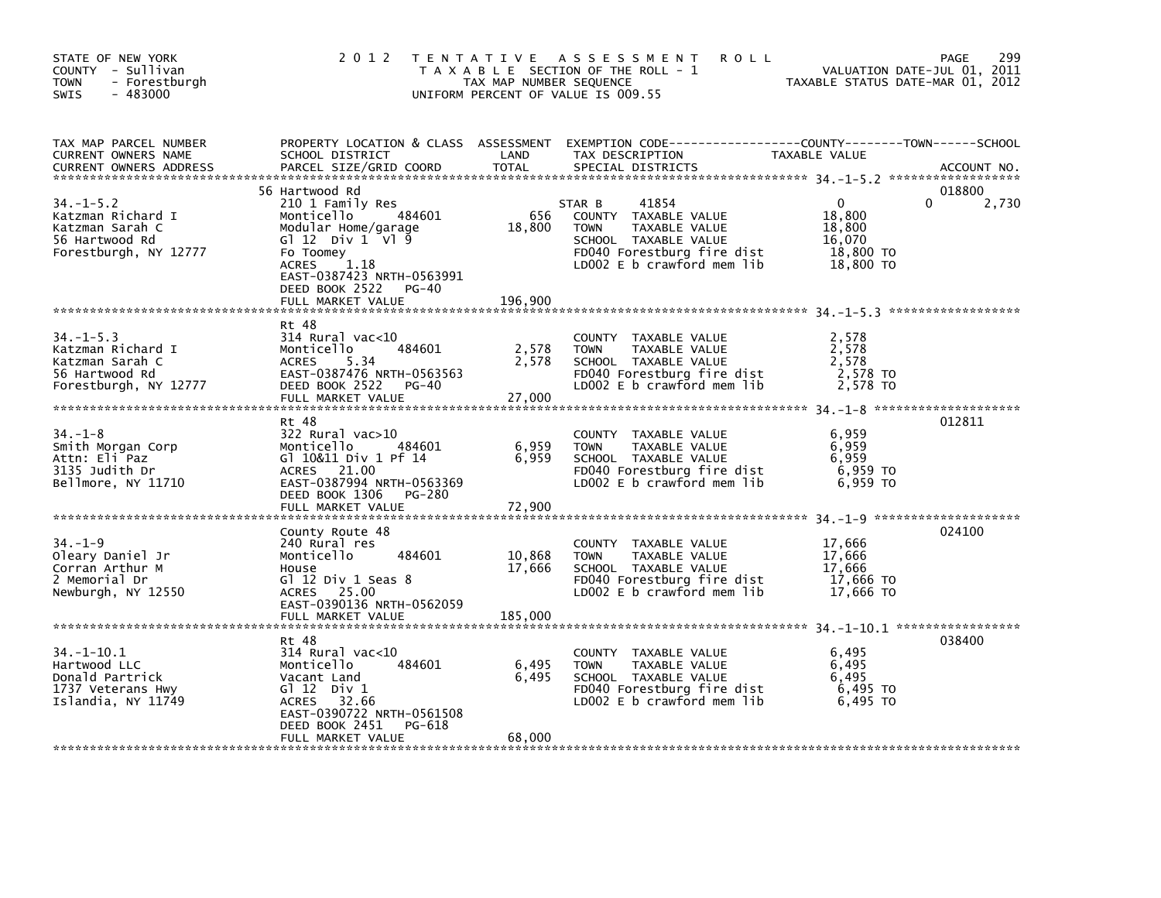| STATE OF NEW YORK<br>COUNTY - Sullivan<br><b>TOWN</b><br>- Forestburgh<br>$-483000$<br>SWIS        |                                                                                                                                                                                                                       | TAX MAP NUMBER SEQUENCE     | 2012 TENTATIVE ASSESSMENT<br><b>ROLL</b><br>T A X A B L E SECTION OF THE ROLL - 1<br>UNIFORM PERCENT OF VALUE IS 009.55                                     | TAXABLE STATUS DATE-MAR 01, 2012                                     | 299<br>PAGE<br>VALUATION DATE-JUL 01, 2011 |
|----------------------------------------------------------------------------------------------------|-----------------------------------------------------------------------------------------------------------------------------------------------------------------------------------------------------------------------|-----------------------------|-------------------------------------------------------------------------------------------------------------------------------------------------------------|----------------------------------------------------------------------|--------------------------------------------|
| TAX MAP PARCEL NUMBER<br>CURRENT OWNERS NAME<br><b>CURRENT OWNERS ADDRESS</b>                      | SCHOOL DISTRICT<br>PARCEL SIZE/GRID COORD                                                                                                                                                                             | LAND<br><b>TOTAL</b>        | PROPERTY LOCATION & CLASS ASSESSMENT EXEMPTION CODE----------------COUNTY-------TOWN------SCHOOL<br>TAX DESCRIPTION<br>SPECIAL DISTRICTS                    | TAXABLE VALUE                                                        | ACCOUNT NO.                                |
| $34. - 1 - 5.2$<br>Katzman Richard I<br>Katzman Sarah C<br>56 Hartwood Rd<br>Forestburgh, NY 12777 | 56 Hartwood Rd<br>210 1 Family Res<br>484601<br>Monticello<br>Modular Home/garage<br>G $12$ Div $1$ V $19$<br>Fo Toomey<br>1.18<br>ACRES<br>EAST-0387423 NRTH-0563991<br>DEED BOOK 2522<br>PG-40<br>FULL MARKET VALUE | 656<br>18,800<br>196,900    | 41854<br>STAR B<br>COUNTY TAXABLE VALUE<br>TAXABLE VALUE<br><b>TOWN</b><br>SCHOOL TAXABLE VALUE<br>FD040 Forestburg fire dist<br>LD002 E b crawford mem lib | $\mathbf{0}$<br>18,800<br>18,800<br>16,070<br>18,800 TO<br>18,800 TO | 018800<br>0<br>2,730                       |
| $34. -1 - 5.3$<br>Katzman Richard I<br>Katzman Sarah C<br>56 Hartwood Rd<br>Forestburgh, NY 12777  | Rt 48<br>$314$ Rural vac<10<br>484601<br>Monticello<br><b>ACRES</b><br>5.34<br>EAST-0387476 NRTH-0563563<br>DEED BOOK 2522 PG-40<br>FULL MARKET VALUE                                                                 | 2,578<br>2,578<br>27,000    | COUNTY TAXABLE VALUE<br><b>TOWN</b><br>TAXABLE VALUE<br>SCHOOL TAXABLE VALUE<br>FD040 Forestburg fire dist<br>LD002 E b crawford mem lib                    | 2,578<br>2,578<br>2.578<br>2,578 TO<br>2,578 TO                      |                                            |
| $34. - 1 - 8$<br>Smith Morgan Corp<br>Attn: Eli Paz<br>3135 Judith Dr<br>Bellmore, NY 11710        | Rt 48<br>$322$ Rural vac $>10$<br>Monticello<br>484601<br>G1 10&11 Div 1 Pf 14<br>ACRES 21.00<br>EAST-0387994 NRTH-0563369<br>DEED BOOK 1306 PG-280                                                                   | 6,959<br>6,959              | COUNTY TAXABLE VALUE<br>TAXABLE VALUE<br><b>TOWN</b><br>SCHOOL TAXABLE VALUE<br>FD040 Forestburg fire dist<br>LD002 E b crawford mem lib                    | 6,959<br>6,959<br>6.959<br>6,959 TO<br>6,959 то                      | 012811                                     |
| $34. - 1 - 9$<br>Oleary Daniel Jr<br>Corran Arthur M<br>2 Memorial Dr<br>Newburgh, NY 12550        | County Route 48<br>240 Rural res<br>Monticello<br>484601<br>House<br>Gl 12 Div 1 Seas 8<br>ACRES 25.00<br>EAST-0390136 NRTH-0562059<br>FULL MARKET VALUE                                                              | 10,868<br>17,666<br>185,000 | COUNTY TAXABLE VALUE<br><b>TOWN</b><br>TAXABLE VALUE<br>SCHOOL TAXABLE VALUE<br>FD040 Forestburg fire dist<br>LD002 E b crawford mem lib                    | 17,666<br>17,666<br>17,666<br>17,666 TO<br>17,666 TO                 | 024100                                     |
| $34. - 1 - 10.1$<br>Hartwood LLC<br>Donald Partrick<br>1737 Veterans Hwy<br>Islandia, NY 11749     | Rt 48<br>$314$ Rural vac<10<br>Monticello<br>484601<br>Vacant Land<br>G $12$ Div 1<br>ACRES 32.66<br>EAST-0390722 NRTH-0561508<br>DEED BOOK 2451<br>PG-618<br>FULL MARKET VALUE                                       | 6,495<br>6,495<br>68,000    | COUNTY TAXABLE VALUE<br><b>TOWN</b><br>TAXABLE VALUE<br>SCHOOL TAXABLE VALUE<br>FD040 Forestburg fire dist<br>LD002 E b crawford mem lib                    | 6,495<br>6,495<br>6,495<br>6,495 то<br>6,495 TO                      | 038400                                     |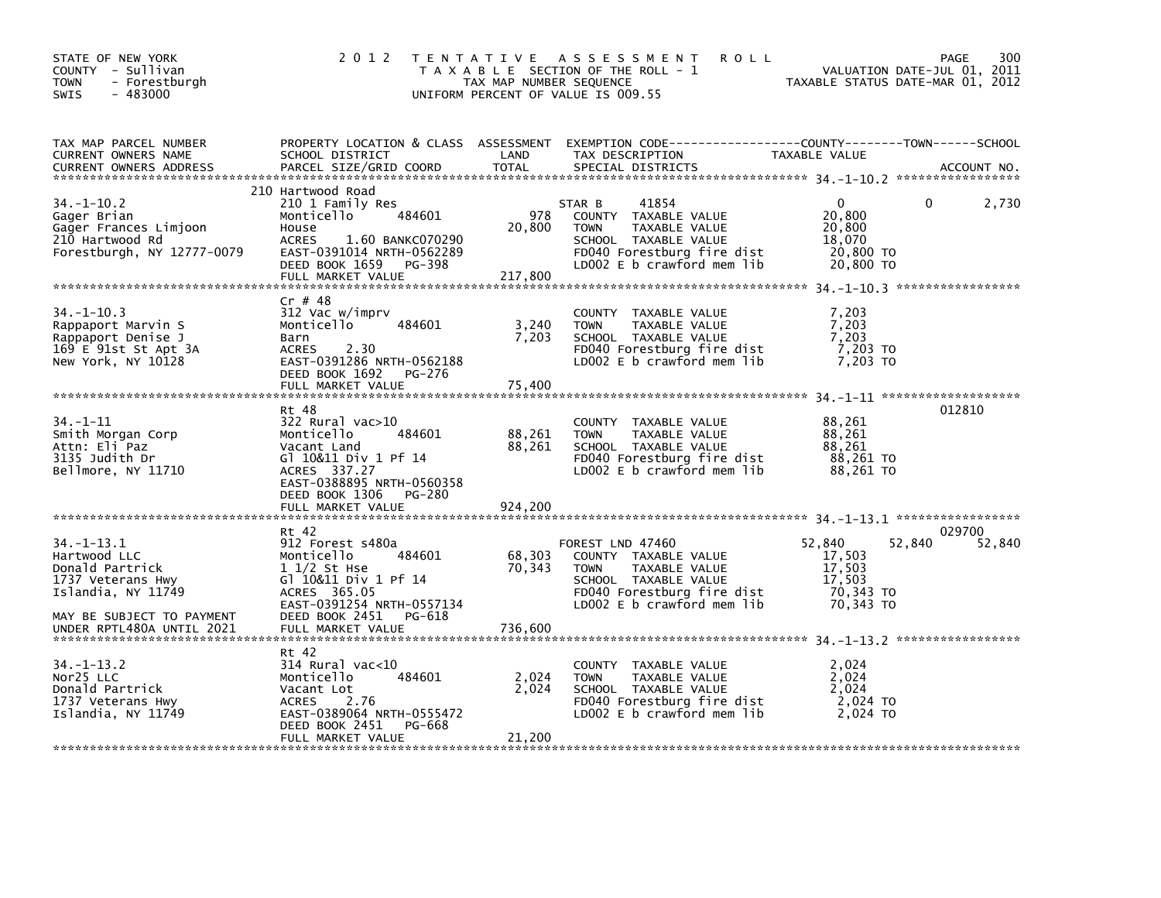| STATE OF NEW YORK<br>COUNTY - Sullivan<br><b>TOWN</b><br>- Forestburgh<br>$-483000$<br><b>SWIS</b>         | 2 0 1 2                                                                                                                                                                                  | TAX MAP NUMBER SEQUENCE  | TENTATIVE ASSESSMENT<br><b>ROLL</b><br>T A X A B L E SECTION OF THE ROLL - 1<br>UNIFORM PERCENT OF VALUE IS 009.55                                           |                                                                      | 300<br>PAGE<br>VALUATION DATE-JUL 01, 2011<br>TAXABLE STATUS DATE-MAR 01, 2012 |
|------------------------------------------------------------------------------------------------------------|------------------------------------------------------------------------------------------------------------------------------------------------------------------------------------------|--------------------------|--------------------------------------------------------------------------------------------------------------------------------------------------------------|----------------------------------------------------------------------|--------------------------------------------------------------------------------|
| TAX MAP PARCEL NUMBER<br>CURRENT OWNERS NAME<br><b>CURRENT OWNERS ADDRESS</b>                              | PROPERTY LOCATION & CLASS ASSESSMENT<br>SCHOOL DISTRICT<br>PARCEL SIZE/GRID COORD                                                                                                        | LAND<br><b>TOTAL</b>     | EXEMPTION CODE-----------------COUNTY-------TOWN------SCHOOL<br>TAX DESCRIPTION<br>SPECIAL DISTRICTS                                                         | TAXABLE VALUE                                                        | ACCOUNT NO.                                                                    |
| $34. -1 - 10.2$<br>Gager Brian<br>Gager Frances Limjoon<br>210 Hartwood Rd<br>Forestburgh, NY 12777-0079   | 210 Hartwood Road<br>210 1 Family Res<br>484601<br>Monticello<br>House<br><b>ACRES</b><br>1.60 BANKC070290<br>EAST-0391014 NRTH-0562289<br>DEED BOOK 1659<br>PG-398<br>FULL MARKET VALUE | 978<br>20,800<br>217,800 | 41854<br>STAR B<br>COUNTY TAXABLE VALUE<br>TAXABLE VALUE<br><b>TOWN</b><br>SCHOOL TAXABLE VALUE<br>FD040 Forestburg fire dist<br>LD002 E b crawford mem lib  | $\mathbf{0}$<br>20,800<br>20,800<br>18,070<br>20,800 TO<br>20,800 TO | 2,730<br>$\Omega$                                                              |
| $34. - 1 - 10.3$<br>Rappaport Marvin S<br>Rappaport Denise J<br>169 E 91st St Apt 3A<br>New York, NY 10128 | $Cr$ # 48<br>312 Vac w/imprv<br>Monticello<br>484601<br>Barn<br><b>ACRES</b><br>2.30<br>EAST-0391286 NRTH-0562188<br>DEED BOOK 1692<br>PG-276<br>FULL MARKET VALUE                       | 3,240<br>7,203<br>75,400 | COUNTY TAXABLE VALUE<br><b>TOWN</b><br>TAXABLE VALUE<br>SCHOOL TAXABLE VALUE<br>FD040 Forestburg fire dist<br>LD002 $E$ b crawford mem $lib$                 | 7,203<br>7,203<br>7,203<br>7,203 TO<br>7,203 TO                      |                                                                                |
| $34. - 1 - 11$<br>Smith Morgan Corp<br>Attn: Eli Paz<br>3135 Judith Dr<br>Bellmore, NY 11710               | Rt 48<br>$322$ Rural vac $>10$<br>Monticello<br>484601<br>Vacant Land<br>Gl 10&11 Div 1 Pf 14<br>ACRES 337.27<br>EAST-0388895 NRTH-0560358<br>DEED BOOK 1306<br>PG-280                   | 88,261<br>88,261         | COUNTY TAXABLE VALUE<br><b>TOWN</b><br>TAXABLE VALUE<br>SCHOOL TAXABLE VALUE<br>FD040 Forestburg fire dist<br>LD002 E b crawford mem lib                     | 88,261<br>88,261<br>88,261<br>88,261 TO<br>88.261 TO                 | 012810                                                                         |
|                                                                                                            | FULL MARKET VALUE                                                                                                                                                                        | 924,200                  |                                                                                                                                                              |                                                                      |                                                                                |
| $34. - 1 - 13.1$<br>Hartwood LLC<br>Donald Partrick<br>1737 Veterans Hwy<br>Islandia, NY 11749             | Rt 42<br>912 Forest s480a<br>Monticello<br>484601<br>$11/2$ St Hse<br>Gl 10&11 Div 1 Pf 14<br>ACRES 365.05<br>EAST-0391254 NRTH-0557134                                                  | 68,303<br>70,343         | FOREST LND 47460<br>COUNTY TAXABLE VALUE<br>TAXABLE VALUE<br><b>TOWN</b><br>SCHOOL TAXABLE VALUE<br>FD040 Forestburg fire dist<br>LD002 E b crawford mem lib | 52,840<br>17,503<br>17,503<br>17,503<br>70,343 TO<br>70.343 TO       | 029700<br>52,840<br>52,840                                                     |
| MAY BE SUBJECT TO PAYMENT<br>UNDER RPTL480A UNTIL 2021                                                     | DEED BOOK 2451<br>PG-618<br>FULL MARKET VALUE                                                                                                                                            | 736,600                  |                                                                                                                                                              |                                                                      |                                                                                |
| $34. - 1 - 13.2$<br>Nor25 LLC<br>Donald Partrick<br>1737 Veterans Hwy<br>Islandia, NY 11749                | Rt 42<br>314 Rural vac<10<br>484601<br>Monticello<br>Vacant Lot<br>2.76<br><b>ACRES</b><br>EAST-0389064 NRTH-0555472<br>DEED BOOK 2451<br>PG-668<br>FULL MARKET VALUE                    | 2,024<br>2,024<br>21,200 | COUNTY TAXABLE VALUE<br>TAXABLE VALUE<br><b>TOWN</b><br>SCHOOL TAXABLE VALUE<br>FD040 Forestburg fire dist<br>LD002 $E$ b crawford mem $lib$                 | 2,024<br>2,024<br>2,024<br>2,024 TO<br>2,024 TO                      |                                                                                |
|                                                                                                            |                                                                                                                                                                                          |                          |                                                                                                                                                              |                                                                      |                                                                                |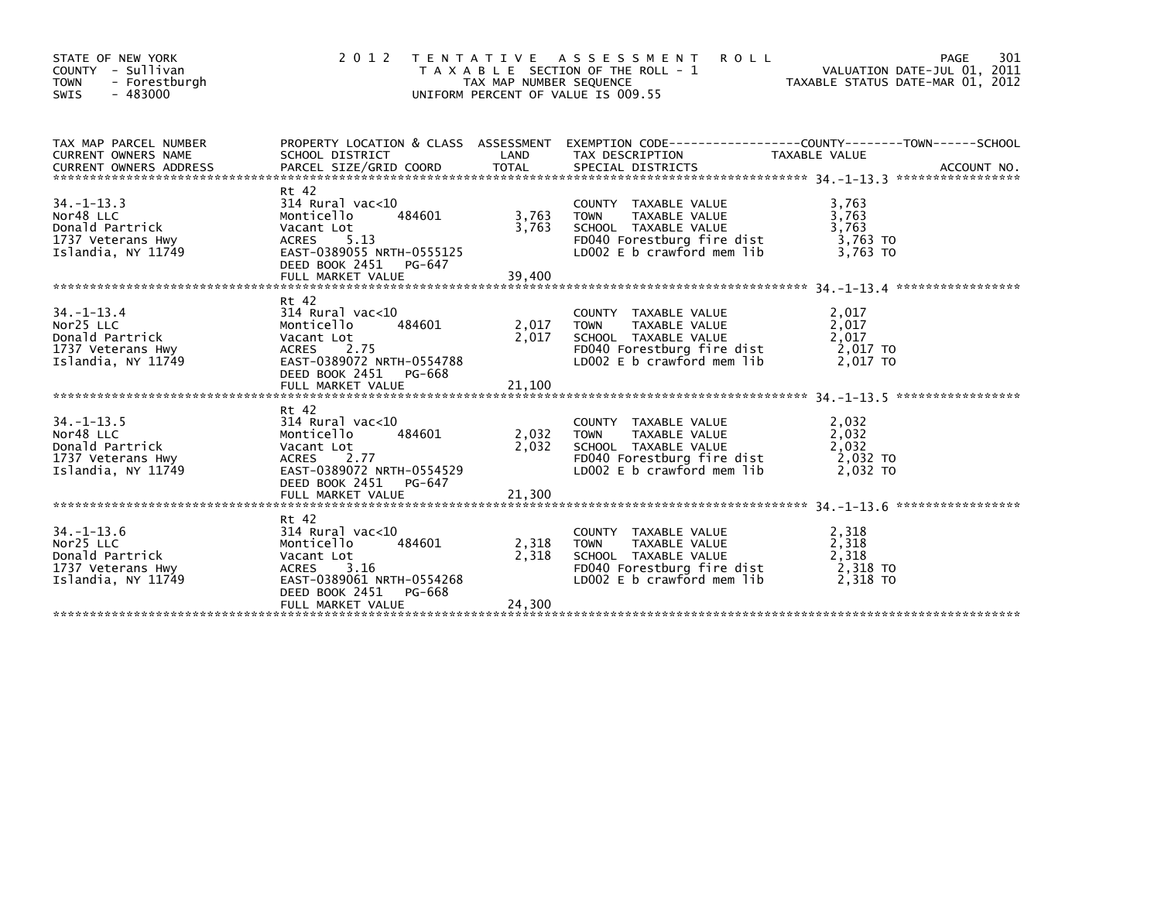| STATE OF NEW YORK<br>COUNTY - Sullivan<br><b>TOWN</b><br>- Forestburgh<br>SWIS<br>$-483000$ | 2012                                                                                                                                                           | TAX MAP NUMBER SEQUENCE  | TENTATIVE ASSESSMENT<br><b>ROLL</b><br>T A X A B L E SECTION OF THE ROLL - 1<br>UNIFORM PERCENT OF VALUE IS 009.55                                  | 901 - MAGE<br>VALUATION DATE-JUL 01, 2011<br>TAYARLE STATIS NATE :::-<br>TAXABLE STATUS DATE-MAR 01, 2012 | 301<br>PAGE |
|---------------------------------------------------------------------------------------------|----------------------------------------------------------------------------------------------------------------------------------------------------------------|--------------------------|-----------------------------------------------------------------------------------------------------------------------------------------------------|-----------------------------------------------------------------------------------------------------------|-------------|
| TAX MAP PARCEL NUMBER<br>CURRENT OWNERS NAME                                                | SCHOOL DISTRICT                                                                                                                                                | <b>Example 12</b>        | PROPERTY LOCATION & CLASS ASSESSMENT EXEMPTION CODE---------------COUNTY-------TOWN------SCHOOL<br>TAX DESCRIPTION                                  | TAXABLE VALUE                                                                                             |             |
| $34. -1 - 13.3$<br>Nor48 LLC<br>Donald Partrick<br>1737 Veterans Hwy<br>Islandia, NY 11749  | Rt 42<br>314 Rural vac<10<br>Monticello<br>484601<br>Vacant Lot<br>ACRES 5.13<br>EAST-0389055 NRTH-0555125<br>DEED BOOK 2451<br>PG-647                         | 3.763<br>3,763           | COUNTY TAXABLE VALUE<br>TAXABLE VALUE<br><b>TOWN</b><br>SCHOOL TAXABLE VALUE<br>FD040 Forestburg fire dist<br>LD002 E b crawford mem lib            | 3,763<br>3,763<br>3,763<br>3,763 TO<br>3.763 TO                                                           |             |
| $34. - 1 - 13.4$<br>Nor25 LLC<br>Donald Partrick<br>1737 Veterans Hwy<br>Islandia, NY 11749 | Rt 42<br>314 Rural vac<10<br>484601<br>Monticello<br>Vacant Lot<br>ACRES<br>2.75<br>EAST-0389072 NRTH-0554788<br>DEED BOOK 2451 PG-668<br>FULL MARKET VALUE    | 2,017<br>2,017<br>21,100 | COUNTY TAXABLE VALUE<br>TAXABLE VALUE<br><b>TOWN</b><br>SCHOOL TAXABLE VALUE<br>FD040 Forestburg fire dist $2,017$ TO<br>LDOO2 E b crawford mem lib | 2,017<br>2,017<br>2,017<br>2.017 TO                                                                       |             |
|                                                                                             | Rt 42                                                                                                                                                          |                          |                                                                                                                                                     |                                                                                                           |             |
| $34 - 1 - 13.5$<br>Nor48 LLC<br>Donald Partrick<br>1737 Veterans Hwy<br>Islandia, NY 11749  | 314 Rural vac<10<br>Monticello<br>484601<br>Vacant Lot<br>ACRES 2.77<br>EAST-0389072 NRTH-0554529<br>DEED BOOK 2451 PG-647                                     | 2,032 TOWN<br>2,032      | COUNTY TAXABLE VALUE<br>TAXABLE VALUE<br>SCHOOL TAXABLE VALUE<br>FD040 Forestburg fire dist<br>LD002 E b crawford mem lib                           | 2,032<br>2,032<br>2,032<br>2,032 TO<br>2,032 TO                                                           |             |
|                                                                                             |                                                                                                                                                                |                          |                                                                                                                                                     |                                                                                                           |             |
| $34. -1 - 13.6$<br>Nor25 LLC<br>Donald Partrick<br>1737 Veterans Hwy<br>Islandia, NY 11749  | Rt 42<br>314 Rural vac<10<br>Monticello<br>484601<br>Vacant Lot<br>3.16<br>ACRES<br>EAST-0389061 NRTH-0554268<br>DEED BOOK 2451<br>PG-668<br>FULL MARKET VALUE | 2,318<br>2,318<br>24,300 | COUNTY TAXABLE VALUE<br>TAXABLE VALUE<br>TOWN<br>SCHOOL TAXABLE VALUE<br>FD040 Forestburg fire dist<br>LD002 E b crawford mem lib                   | 2,318<br>2,318<br>2,318<br>2,318 TO<br>2,318 TO                                                           |             |
|                                                                                             |                                                                                                                                                                |                          |                                                                                                                                                     |                                                                                                           |             |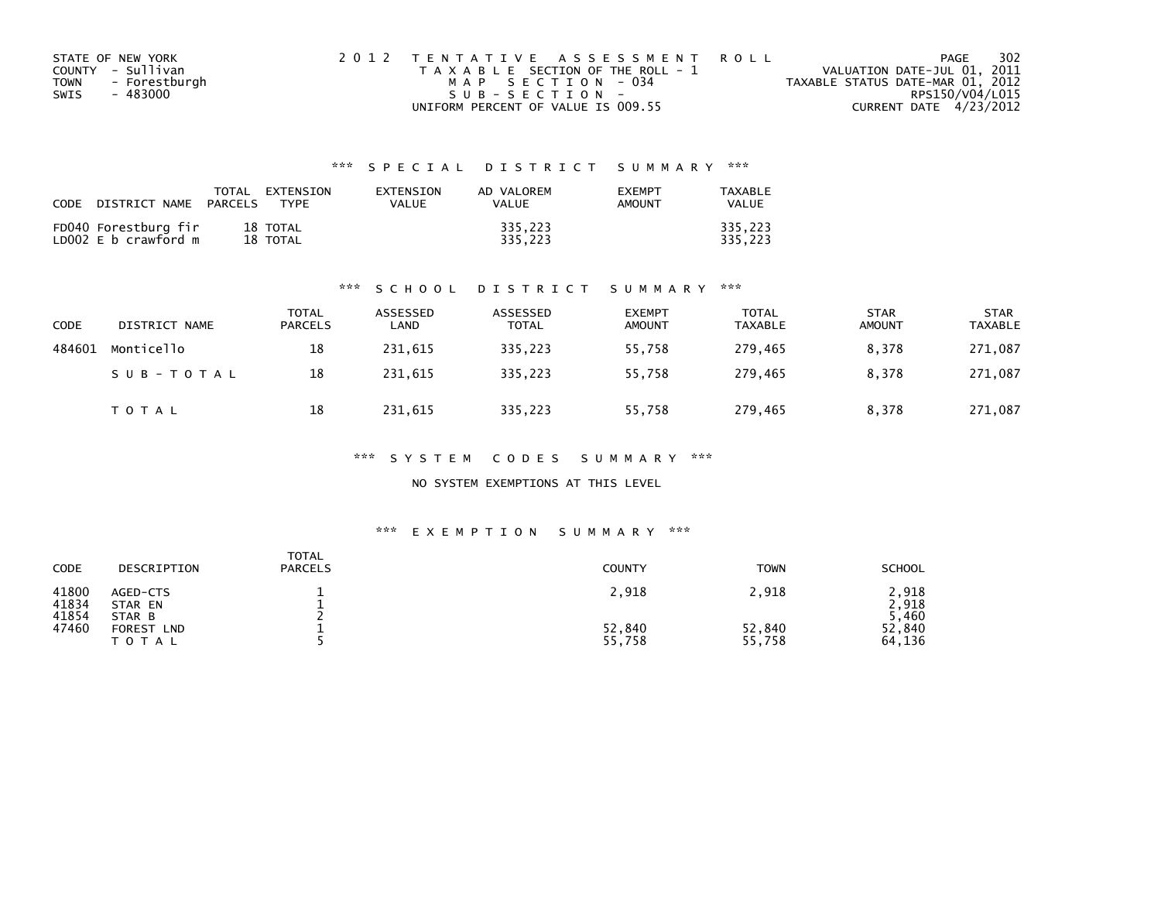| STATE OF NEW YORK            | 2012 TENTATIVE ASSESSMENT ROLL        | 302<br>PAGE                      |
|------------------------------|---------------------------------------|----------------------------------|
| COUNTY - Sullivan            | T A X A B L E SECTION OF THE ROLL - 1 | VALUATION DATE-JUL 01, 2011      |
| - Forestburgh<br><b>TOWN</b> | MAP SECTION - 034                     | TAXABLE STATUS DATE-MAR 01, 2012 |
| - 483000<br>SWIS             | SUB-SECTION-                          | RPS150/V04/L015                  |
|                              | UNIFORM PERCENT OF VALUE IS 009.55    | CURRENT DATE 4/23/2012           |

| <b>CODE</b> | DISTRICT NAME                                | TOTAL<br>PARCELS | EXTENSION<br><b>TYPF</b> | FXTENSTON<br>VALUE | AD VALOREM<br>VALUE | <b>FXFMPT</b><br>AMOUNT | TAXABLE<br><b>VALUE</b> |
|-------------|----------------------------------------------|------------------|--------------------------|--------------------|---------------------|-------------------------|-------------------------|
|             | FD040 Forestburg fir<br>LD002 E b crawford m |                  | 18 TOTAL<br>18 TOTAL     |                    | 335.223<br>335.223  |                         | 335,223<br>335.223      |

#### \*\*\* S C H O O L D I S T R I C T S U M M A R Y \*\*\*

| CODE   | DISTRICT NAME | TOTAL<br><b>PARCELS</b> | ASSESSED<br>LAND | ASSESSED<br>TOTAL | <b>EXEMPT</b><br><b>AMOUNT</b> | <b>TOTAL</b><br><b>TAXABLE</b> | <b>STAR</b><br><b>AMOUNT</b> | <b>STAR</b><br><b>TAXABLE</b> |
|--------|---------------|-------------------------|------------------|-------------------|--------------------------------|--------------------------------|------------------------------|-------------------------------|
| 484601 | Monticello    | 18                      | 231,615          | 335,223           | 55,758                         | 279,465                        | 8,378                        | 271,087                       |
|        | SUB-TOTAL     | 18                      | 231.615          | 335.223           | 55.758                         | 279.465                        | 8.378                        | 271,087                       |
|        | <b>TOTAL</b>  | 18                      | 231,615          | 335,223           | 55,758                         | 279,465                        | 8.378                        | 271,087                       |

#### \*\*\* S Y S T E M C O D E S S U M M A R Y \*\*\*

#### NO SYSTEM EXEMPTIONS AT THIS LEVEL

| CODE                    | DESCRIPTION                              | TOTAL<br><b>PARCELS</b> | <b>COUNTY</b>    | <b>TOWN</b>      | <b>SCHOOL</b>        |
|-------------------------|------------------------------------------|-------------------------|------------------|------------------|----------------------|
| 41800<br>41834<br>41854 | AGED-CTS<br>STAR EN<br>STAR B            |                         | 2,918            | 2,918            | .918<br>.918<br>,460 |
| 47460                   | <b>FOREST</b><br><b>LND</b><br>T O T A L |                         | 52,840<br>55,758 | 52,840<br>55,758 | 52,840<br>64,136     |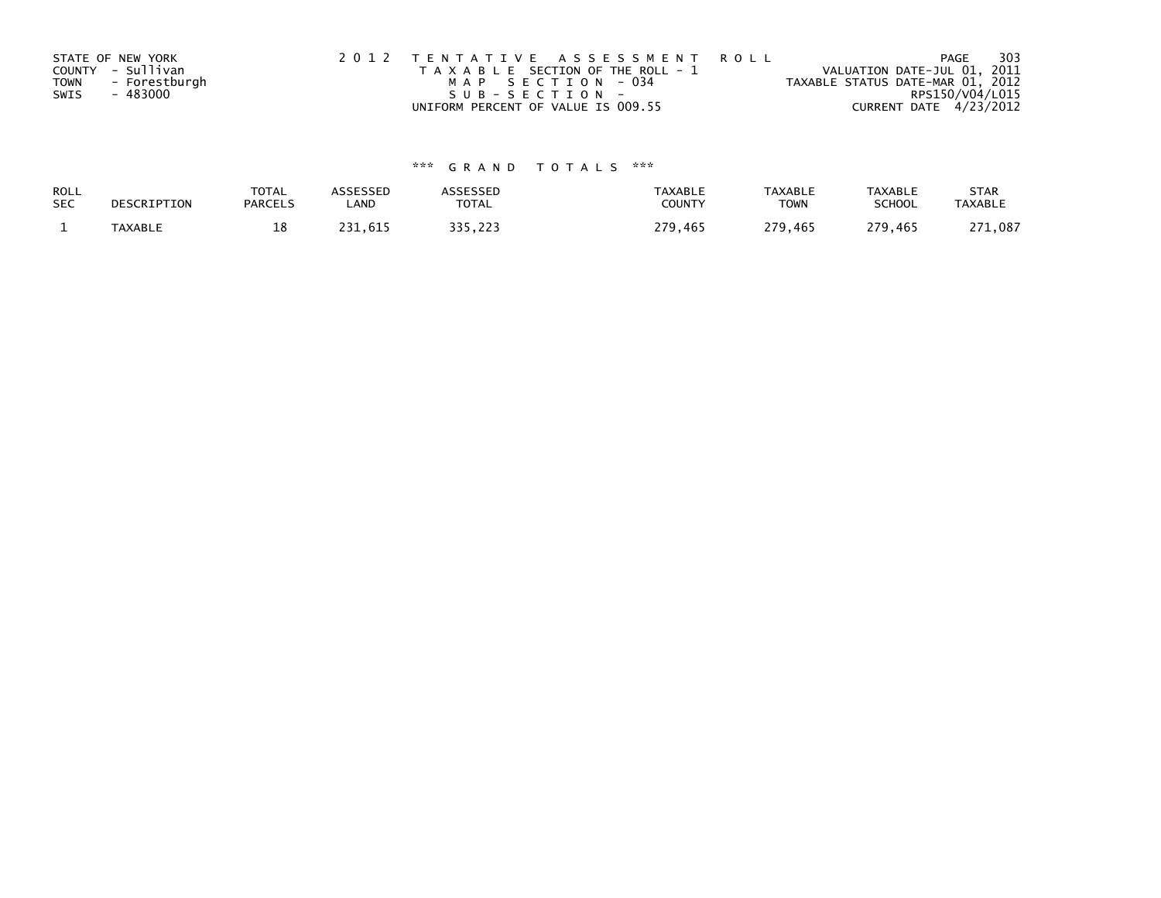|             | STATE OF NEW YORK | 2012 TENTATIVE ASSESSMENT ROLL        | PAGE                             | 303 |
|-------------|-------------------|---------------------------------------|----------------------------------|-----|
|             | COUNTY - Sullivan | T A X A B L E SECTION OF THE ROLL - 1 | VALUATION DATE-JUL 01, 2011      |     |
| <b>TOWN</b> | - Forestburgh     | MAP SECTION - 034                     | TAXABLE STATUS DATE-MAR 01, 2012 |     |
| SWIS        | - 483000          | $SUB - SECTION -$                     | RPS150/V04/L015                  |     |
|             |                   | UNIFORM PERCENT OF VALUE IS 009.55    | CURRENT DATE 4/23/2012           |     |

| ROLL       | DESCRIPTION    | <b>TOTAL</b>   | <b>ASSESSED</b> | <b>\SSESSED</b> | <b>TAXABLE</b> | <b>TAXABLE</b> | <b>TAXABLE</b> | <b>STAR</b>    |
|------------|----------------|----------------|-----------------|-----------------|----------------|----------------|----------------|----------------|
| <b>SEC</b> |                | <b>PARCELS</b> | ∟AND            | <b>TOTAL</b>    | COUNTY         | TOWN           | <b>SCHOOL</b>  | <b>TAXABLE</b> |
|            | <b>TAXABLE</b> | 18             | 231.615         | 335.223         | 279,465        | 279.465        | 279,465        | 271,087        |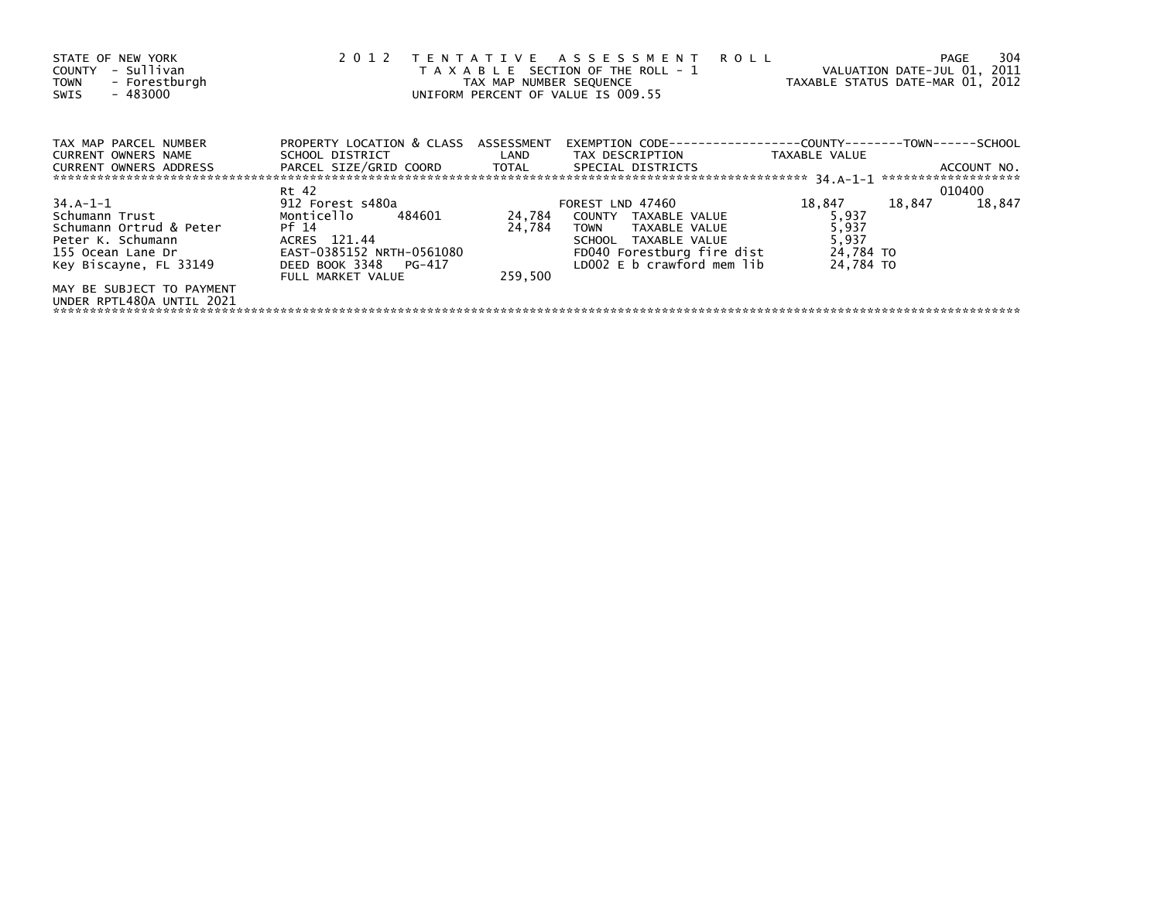| STATE OF NEW YORK<br>- Sullivan<br>COUNTY<br>- Forestburgh<br><b>TOWN</b><br>$-483000$<br>SWIS                            |                                                                                                                                           | TAX MAP NUMBER SEQUENCE     | 2012 TENTATIVE ASSESSMENT<br><b>ROLL</b><br>T A X A B L E SECTION OF THE ROLL - 1<br>UNIFORM PERCENT OF VALUE IS 009.55                                      | VALUATION DATE-JUL 01, 2011<br>TAXABLE STATUS DATE-MAR 01, 2012 |                     | PAGE        | 304    |
|---------------------------------------------------------------------------------------------------------------------------|-------------------------------------------------------------------------------------------------------------------------------------------|-----------------------------|--------------------------------------------------------------------------------------------------------------------------------------------------------------|-----------------------------------------------------------------|---------------------|-------------|--------|
| TAX MAP PARCEL NUMBER<br>CURRENT OWNERS NAME<br>CURRENT OWNERS ADDRESS THE PARCEL SIZE/GRID COORD TOTAL SPECIAL DISTRICTS | PROPERTY LOCATION & CLASS ASSESSMENT<br>SCHOOL DISTRICT LAND                                                                              |                             | EXEMPTION        CODE-----------------COUNTY--------TOWN------SCHOOL<br>TAX DESCRIPTION                                                                      | TAXABLE VALUE                                                   |                     | ACCOUNT NO. |        |
|                                                                                                                           | Rt 42                                                                                                                                     |                             |                                                                                                                                                              |                                                                 | ******************* | 010400      |        |
| 34.A-1-1<br>Schumann Trust<br>Schumann Ortrud & Peter<br>Peter K. Schumann<br>155 Ocean Lane Dr<br>Key Biscayne, FL 33149 | 912 Forest s480a<br>Monticello 484601<br>Pf 14<br>ACRES 121.44<br>EAST-0385152 NRTH-0561080<br>DEED BOOK 3348 PG-417<br>FULL MARKET VALUE | 24,784<br>24.784<br>259.500 | FOREST LND 47460<br>COUNTY TAXABLE VALUE<br><b>TOWN</b><br>TAXABLE VALUE<br>SCHOOL TAXABLE VALUE<br>FD040 Forestburg fire dist<br>LD002 E b crawford mem lib | 18,847<br>5,937<br>5,937<br>5,937<br>24,784 TO<br>24.784 TO     | 18,847              |             | 18,847 |
| MAY BE SUBJECT TO PAYMENT<br>UNDER RPTL480A UNTIL 2021                                                                    |                                                                                                                                           |                             |                                                                                                                                                              |                                                                 |                     |             |        |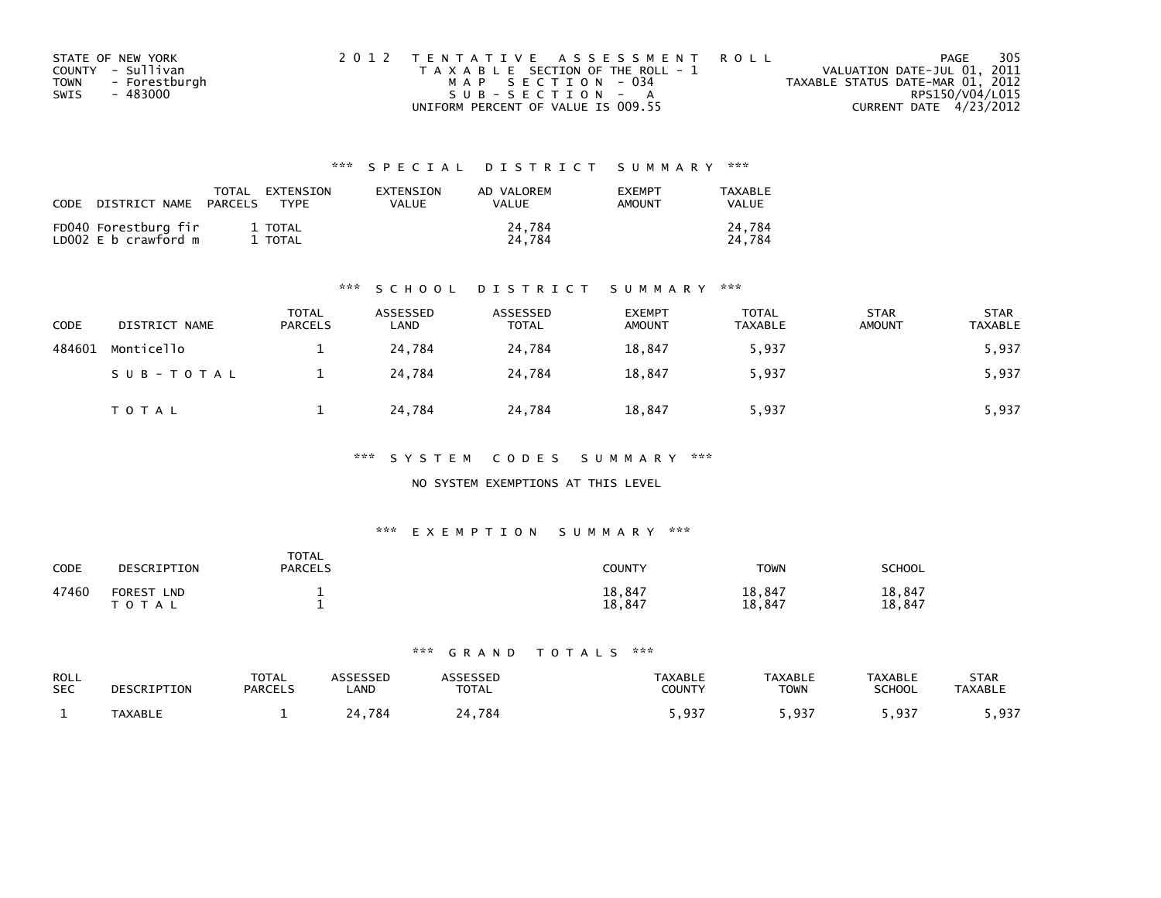| STATE OF NEW YORK            | 2012 TENTATIVE ASSESSMENT ROLL        | PAGE                             | 305 |
|------------------------------|---------------------------------------|----------------------------------|-----|
| COUNTY - Sullivan            | T A X A B L E SECTION OF THE ROLL - 1 | VALUATION DATE-JUL 01, 2011      |     |
| - Forestburgh<br><b>TOWN</b> | MAP SECTION - 034                     | TAXABLE STATUS DATE-MAR 01, 2012 |     |
| - 483000<br>SWIS             | SUB-SECTION - A                       | RPS150/V04/L015                  |     |
|                              | UNIFORM PERCENT OF VALUE IS 009.55    | CURRENT DATE 4/23/2012           |     |

| CODE | DISTRICT NAME                                | TOTAL<br>PARCELS | EXTENSION<br><b>TYPF</b> | <b>FXTENSTON</b><br>VALUE | AD VALOREM<br>VALUE | <b>EXEMPT</b><br><b>AMOUNT</b> | TAXABLE<br>VALUE |
|------|----------------------------------------------|------------------|--------------------------|---------------------------|---------------------|--------------------------------|------------------|
|      | FD040 Forestburg fir<br>LD002 E b crawford m |                  | 1 TOTAL<br>TOTAL         |                           | 24.784<br>24.784    |                                | 24.784<br>24.784 |

#### \*\*\* S C H O O L D I S T R I C T S U M M A R Y \*\*\*

| CODE   | DISTRICT NAME | TOTAL<br><b>PARCELS</b> | ASSESSED<br>LAND | ASSESSED<br><b>TOTAL</b> | <b>EXEMPT</b><br><b>AMOUNT</b> | <b>TOTAL</b><br><b>TAXABLE</b> | <b>STAR</b><br><b>AMOUNT</b> | <b>STAR</b><br><b>TAXABLE</b> |
|--------|---------------|-------------------------|------------------|--------------------------|--------------------------------|--------------------------------|------------------------------|-------------------------------|
| 484601 | Monticello    |                         | 24,784           | 24,784                   | 18,847                         | 5,937                          |                              | 5,937                         |
|        | SUB-TOTAL     |                         | 24.784           | 24.784                   | 18,847                         | 5,937                          |                              | 5,937                         |
|        | <b>TOTAL</b>  |                         | 24,784           | 24,784                   | 18,847                         | 5,937                          |                              | 5,937                         |

#### \*\*\* S Y S T E M C O D E S S U M M A R Y \*\*\*

### NO SYSTEM EXEMPTIONS AT THIS LEVEL

#### \*\*\* E X E M P T I O N S U M M A R Y \*\*\*

| CODE  | DESCRIPTION                              | <b>TOTAL</b><br><b>PARCELS</b> | COUNTY           | TOWN             | SCHOOL           |
|-------|------------------------------------------|--------------------------------|------------------|------------------|------------------|
| 47460 | <b>FOREST</b><br><b>LND</b><br>T O T A L |                                | 18,847<br>18,847 | 18,847<br>18,847 | 18,847<br>18.847 |

| ROLL<br><b>SEC</b> | DESCRIPTION    | <b>TOTAL</b><br><b>PARCELS</b> | <b>SSESSED</b><br>.AND | <b>TOTAL</b> | <b>TAXABLE</b><br>COUNTY | <b>TAXABLE</b><br><b>TOWN</b> | <b>TAXABLE</b><br>SCHOOL | STAR<br><b>TAXABLE</b> |
|--------------------|----------------|--------------------------------|------------------------|--------------|--------------------------|-------------------------------|--------------------------|------------------------|
|                    | <b>TAXABLE</b> |                                | 784                    | .784         | <b>Q37</b><br>، د د ,    | ຸດຊ=                          | 5,937                    | . 937<br>.             |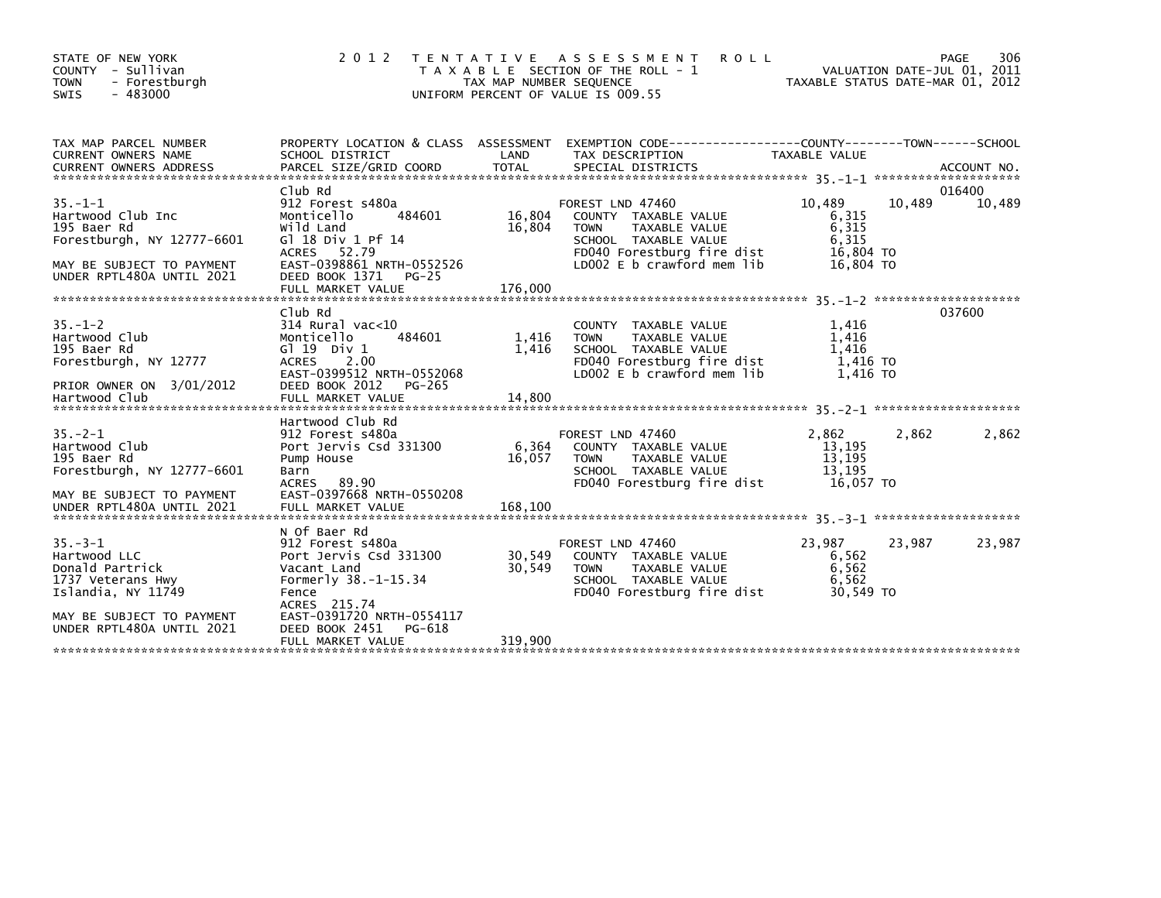| STATE OF NEW YORK<br>COUNTY - Sullivan<br>- Forestburgh<br><b>TOWN</b><br>$-483000$<br><b>SWIS</b>                                       | 2 0 1 2                                                                                                                                                        | T E N T A T I V E<br>TAX MAP NUMBER SEQUENCE | A S S E S S M E N T<br><b>ROLL</b><br>T A X A B L E SECTION OF THE ROLL - 1<br>UNIFORM PERCENT OF VALUE IS 009.55                                            | TAXABLE STATUS DATE-MAR 01, 2012                            | PAGE<br>306<br>VALUATION DATE-JUL 01, 2011 |
|------------------------------------------------------------------------------------------------------------------------------------------|----------------------------------------------------------------------------------------------------------------------------------------------------------------|----------------------------------------------|--------------------------------------------------------------------------------------------------------------------------------------------------------------|-------------------------------------------------------------|--------------------------------------------|
| TAX MAP PARCEL NUMBER<br><b>CURRENT OWNERS NAME</b>                                                                                      | PROPERTY LOCATION & CLASS ASSESSMENT<br>SCHOOL DISTRICT                                                                                                        | LAND                                         | EXEMPTION CODE-----------------COUNTY-------TOWN------SCHOOL<br>TAX DESCRIPTION                                                                              | TAXABLE VALUE                                               | ACCOUNT NO.<br>*********************       |
| $35. -1 - 1$<br>Hartwood Club Inc<br>195 Baer Rd<br>Forestburgh, NY 12777-6601<br>MAY BE SUBJECT TO PAYMENT<br>UNDER RPTL480A UNTIL 2021 | Club Rd<br>912 Forest s480a<br>Monticello<br>484601<br>Wild Land<br>G] 18 Div 1 Pf 14<br>ACRES 52.79<br>EAST-0398861 NRTH-0552526<br>DEED BOOK 1371<br>$PG-25$ | 16,804<br>16,804                             | FOREST LND 47460<br>COUNTY TAXABLE VALUE<br><b>TOWN</b><br>TAXABLE VALUE<br>SCHOOL TAXABLE VALUE<br>FD040 Forestburg fire dist<br>LD002 E b crawford mem lib | 10,489<br>6.315<br>6,315<br>6,315<br>16.804 TO<br>16,804 TO | 016400<br>10,489<br>10,489                 |
|                                                                                                                                          |                                                                                                                                                                |                                              |                                                                                                                                                              |                                                             |                                            |
| $35. - 1 - 2$<br>Hartwood Club<br>195 Baer Rd<br>Forestburgh, NY 12777<br>PRIOR OWNER ON 3/01/2012                                       | Club Rd<br>$314$ Rural vac<10<br>484601<br>Monticello<br>$G1 19$ Div $1$<br>2.00<br><b>ACRES</b><br>EAST-0399512 NRTH-0552068<br>DEED BOOK 2012<br>PG-265      | 1,416<br>1,416                               | COUNTY TAXABLE VALUE<br><b>TOWN</b><br>TAXABLE VALUE<br>SCHOOL TAXABLE VALUE<br>FD040 Forestburg fire dist<br>LD002 E b crawford mem lib                     | 1,416<br>1,416<br>1,416<br>1,416 TO<br>1.416 TO             | 037600                                     |
| Hartwood Club                                                                                                                            | FULL MARKET VALUE                                                                                                                                              | 14,800                                       |                                                                                                                                                              |                                                             |                                            |
| $35. -2 - 1$<br>Hartwood Club<br>195 Baer Rd<br>Forestburgh, NY 12777-6601<br>MAY BE SUBJECT TO PAYMENT<br>UNDER RPTL480A UNTIL 2021     | Hartwood Club Rd<br>912 Forest s480a<br>Port Jervis Csd 331300<br>Pump House<br>Barn<br>ACRES 89.90<br>EAST-0397668 NRTH-0550208<br>FULL MARKET VALUE          | 6,364<br>16,057<br>168,100                   | FOREST LND 47460<br>COUNTY TAXABLE VALUE<br><b>TOWN</b><br>TAXABLE VALUE<br>SCHOOL TAXABLE VALUE<br>FD040 Forestburg fire dist                               | 2,862<br>13,195<br>13.195<br>13,195<br>16.057 TO            | 2,862<br>2,862                             |
| $35. - 3 - 1$<br>Hartwood LLC                                                                                                            | N Of Baer Rd<br>912 Forest s480a<br>Port Jervis Csd 331300                                                                                                     | 30,549                                       | FOREST LND 47460<br>COUNTY TAXABLE VALUE                                                                                                                     | 23,987<br>6,562                                             | 23,987<br>23,987                           |
| Donald Partrick<br>1737 Veterans Hwy<br>Islandia, NY 11749                                                                               | Vacant Land<br>Formerly 38.-1-15.34<br>Fence                                                                                                                   | 30,549                                       | TAXABLE VALUE<br><b>TOWN</b><br>SCHOOL TAXABLE VALUE<br>FD040 Forestburg fire dist                                                                           | 6,562<br>6.562<br>30.549 TO                                 |                                            |
| MAY BE SUBJECT TO PAYMENT<br>UNDER RPTL480A UNTIL 2021                                                                                   | ACRES 215.74<br>EAST-0391720 NRTH-0554117<br>DEED BOOK 2451<br>PG-618<br>FULL MARKET VALUE                                                                     | 319,900                                      |                                                                                                                                                              |                                                             |                                            |
|                                                                                                                                          |                                                                                                                                                                |                                              |                                                                                                                                                              |                                                             |                                            |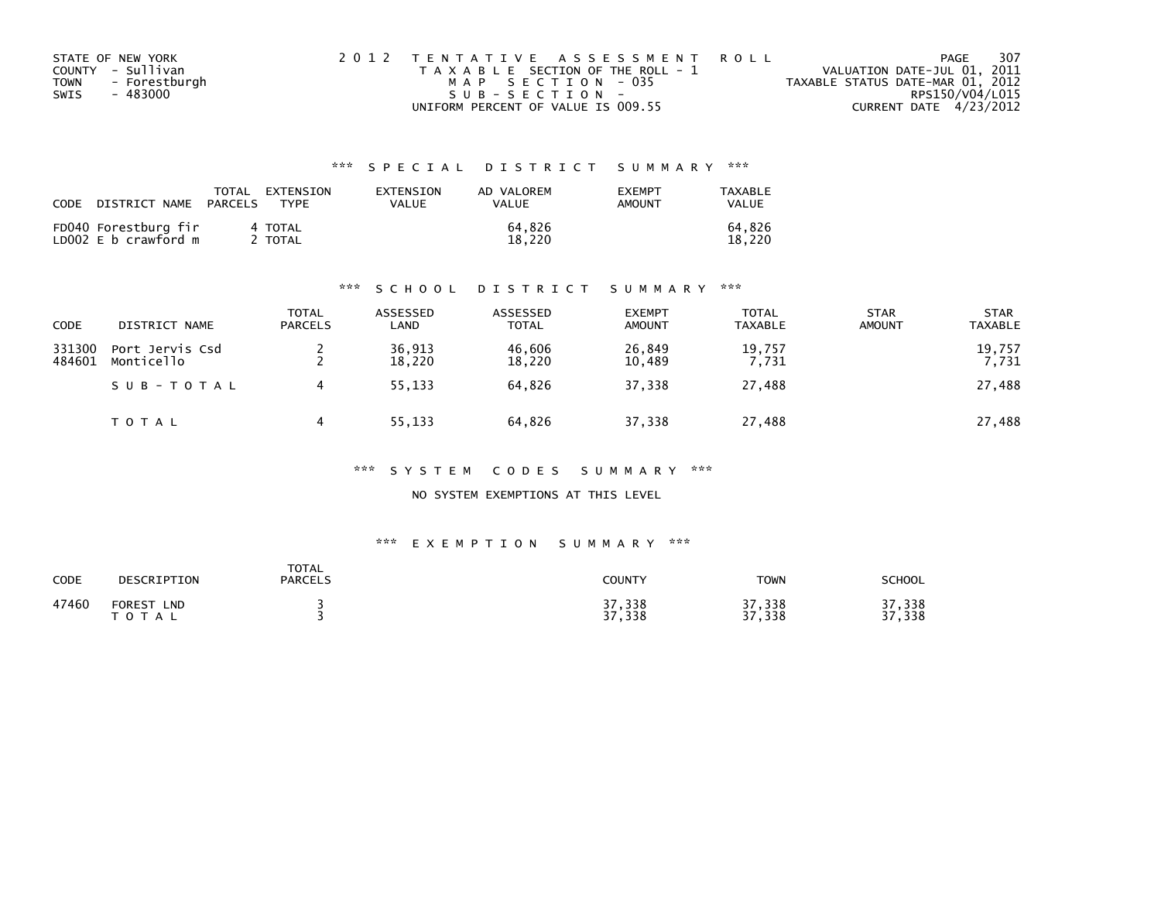| STATE OF NEW YORK            | 2012 TENTATIVE ASSESSMENT ROLL        | PAGE                             | - 307 |
|------------------------------|---------------------------------------|----------------------------------|-------|
| COUNTY - Sullivan            | T A X A B L E SECTION OF THE ROLL - 1 | VALUATION DATE-JUL 01, 2011      |       |
| - Forestburgh<br><b>TOWN</b> | MAP SECTION - 035                     | TAXABLE STATUS DATE-MAR 01, 2012 |       |
| SWIS<br>- 483000             | SUB-SECTION-                          | RPS150/V04/L015                  |       |
|                              | UNIFORM PERCENT OF VALUE IS 009.55    | CURRENT DATE 4/23/2012           |       |

| CODE | DISTRICT NAME                                | TOTAL<br>PARCELS | EXTENSION<br><b>TYPF</b> | EXTENSION<br>VALUE | AD VALOREM<br><b>VALUE</b> | <b>EXEMPT</b><br>AMOUNT | TAXABLE<br>VALUE |
|------|----------------------------------------------|------------------|--------------------------|--------------------|----------------------------|-------------------------|------------------|
|      | FD040 Forestburg fir<br>LD002 E b crawford m |                  | 4 TOTAL<br>TOTAL         |                    | 64.826<br>18.220           |                         | 64.826<br>18.220 |

#### \*\*\* S C H O O L D I S T R I C T S U M M A R Y \*\*\*

| <b>CODE</b>      | DISTRICT NAME                 | <b>TOTAL</b><br><b>PARCELS</b> | ASSESSED<br>LAND | ASSESSED<br><b>TOTAL</b> | <b>EXEMPT</b><br><b>AMOUNT</b> | <b>TOTAL</b><br><b>TAXABLE</b> | <b>STAR</b><br><b>AMOUNT</b> | <b>STAR</b><br><b>TAXABLE</b> |
|------------------|-------------------------------|--------------------------------|------------------|--------------------------|--------------------------------|--------------------------------|------------------------------|-------------------------------|
| 331300<br>484601 | Port Jervis Csd<br>Monticello |                                | 36,913<br>18,220 | 46.606<br>18,220         | 26,849<br>10,489               | 19,757<br>7,731                |                              | 19,757<br>7,731               |
|                  | SUB-TOTAL                     |                                | 55,133           | 64,826                   | 37,338                         | 27,488                         |                              | 27,488                        |
|                  | T O T A L                     |                                | 55,133           | 64,826                   | 37,338                         | 27,488                         |                              | 27,488                        |

#### \*\*\* S Y S T E M C O D E S S U M M A R Y \*\*\*

NO SYSTEM EXEMPTIONS AT THIS LEVEL

| CODE  | DESCRIPTION                        | <b>TOTAL</b><br><b>PARCELS</b> | COUNTY           | TOWN             | <b>SCHOOL</b>        |
|-------|------------------------------------|--------------------------------|------------------|------------------|----------------------|
| 47460 | <b>FOREST</b><br><b>LND</b><br>тот |                                | 37,338<br>37,338 | 37,338<br>37,338 | ,338<br>っっ<br>37,338 |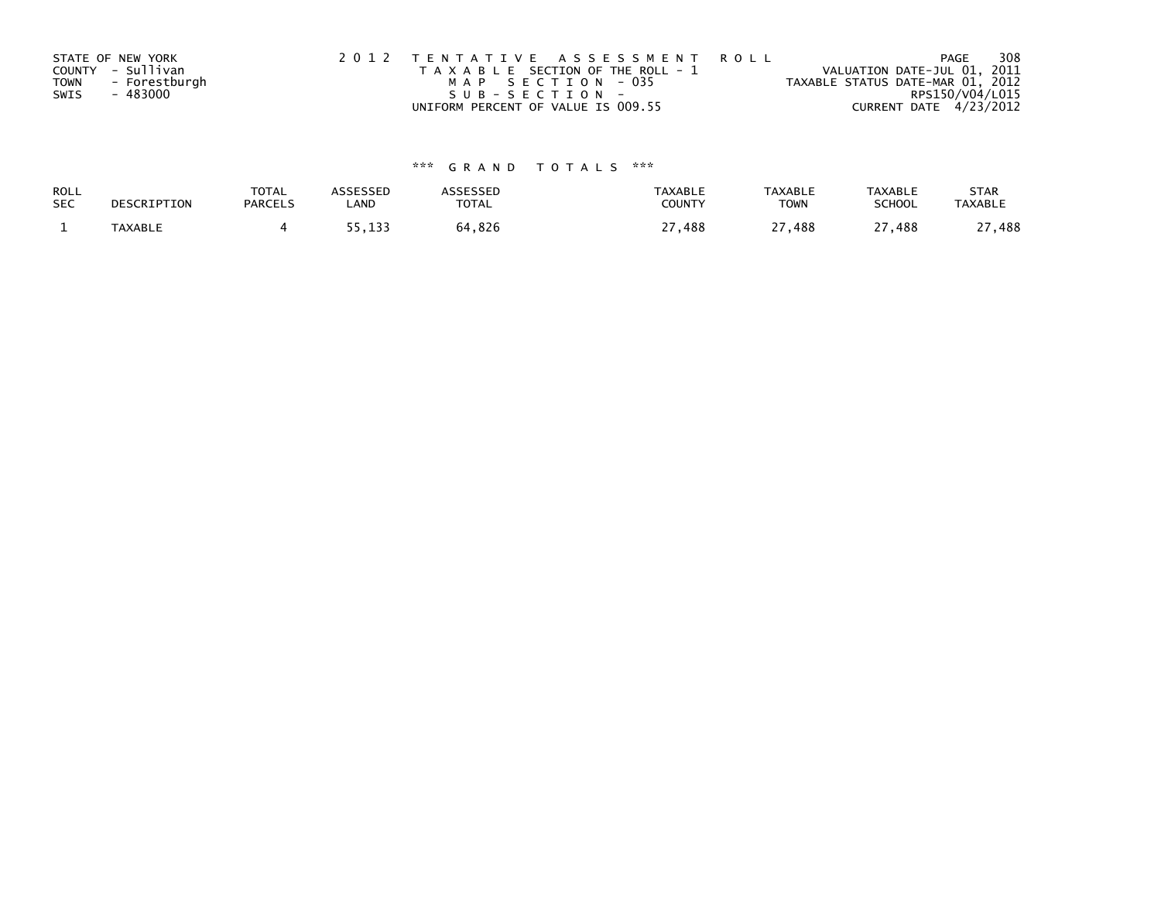|             | STATE OF NEW YORK | 2012 TENTATIVE ASSESSMENT ROLL        | 308<br>PAGE                      |
|-------------|-------------------|---------------------------------------|----------------------------------|
|             | COUNTY - Sullivan | T A X A B L E SECTION OF THE ROLL - 1 | VALUATION DATE-JUL 01, 2011      |
| <b>TOWN</b> | - Forestburgh     | MAP SECTION - 035                     | TAXABLE STATUS DATE-MAR 01, 2012 |
| SWIS        | - 483000          | $SUB - SECTION -$                     | RPS150/V04/L015                  |
|             |                   | UNIFORM PERCENT OF VALUE IS 009.55    | CURRENT DATE 4/23/2012           |

| ROLL       | DESCRIPTION | <b>TOTAL</b>   | <b>ASSESSED</b> | <b>\SSESSED</b> | <b>TAXABLE</b> | <b>TAXABLE</b> | TAXABLE       | <b>STAR</b>    |
|------------|-------------|----------------|-----------------|-----------------|----------------|----------------|---------------|----------------|
| <b>SEC</b> |             | <b>PARCELS</b> | LAND            | TOTAL           | COUNTY         | <b>TOWN</b>    | <b>SCHOOL</b> | <b>TAXABLE</b> |
|            | TAXABLE     |                | 55,133          | 64,826          | .488           | າາ<br>27,488   | 27,488        | ,488           |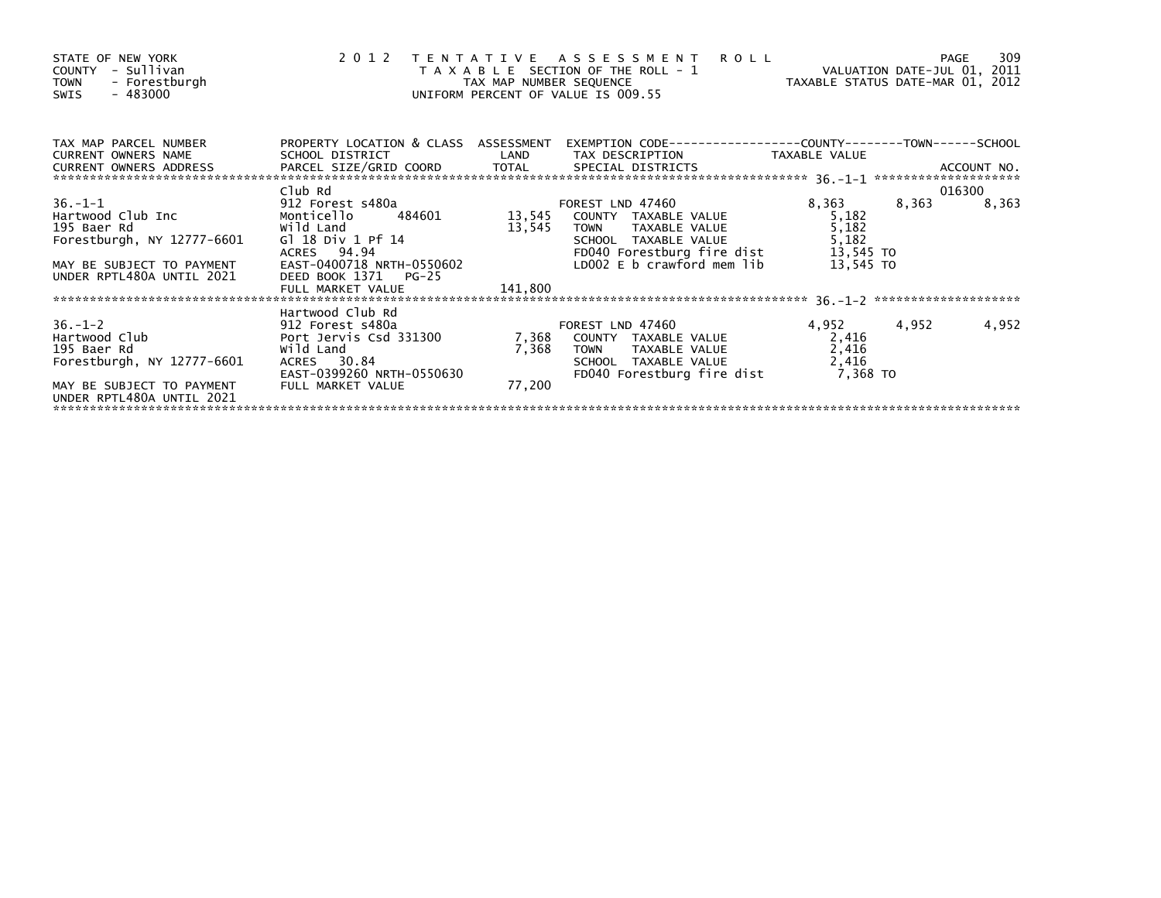| STATE OF NEW YORK<br>COUNTY - Sullivan<br>TOWN - Forestburgh<br>- 483000<br>SWIS                                                                                                                                                                              |                                                               |         | 2012 TENTATIVE ASSESSMENT ROLL PAGE 309<br>TAXABLE SECTION OF THE ROLL - 1 VALUATION DATE-JUL 01, 2011<br>TAX MAP NUMBER SEQUENCE TAXABLE STATUS DATE-MAR 01, 2012<br>UNIFORM PERCENT OF VALUE IS 009.55 |             |       |        |
|---------------------------------------------------------------------------------------------------------------------------------------------------------------------------------------------------------------------------------------------------------------|---------------------------------------------------------------|---------|----------------------------------------------------------------------------------------------------------------------------------------------------------------------------------------------------------|-------------|-------|--------|
| TAX MAP PARCEL NUMBER<br>A MART PARTICLE IN THE SCHOOL DISTRICT WAS ARRESTED TO THE THE THE THE THAT ON TAXABLE VALUE<br>CURRENT OWNERS ADDRESS TO PARCEL SIZE/GRID COORD TOTAL SPECIAL DISTRICTS AND TAXABLE VALUE ACCOUNT NO.<br>************************** |                                                               |         | PROPERTY LOCATION & CLASS ASSESSMENT EXEMPTION CODE----------------COUNTY-------TOWN------SCHOOL                                                                                                         |             |       |        |
|                                                                                                                                                                                                                                                               |                                                               |         |                                                                                                                                                                                                          |             |       |        |
|                                                                                                                                                                                                                                                               | Club Rd                                                       |         |                                                                                                                                                                                                          |             |       | 016300 |
| 36.-1-1<br>Hartwood Club Inc and the Monticello Monticello 484601<br>13,545 COUNTY TAXABLE VALUE 5,182<br>195 Baer Rd wild Land 13,545 COUNTY TAXABLE VALUE 5,182<br>Forestburgh, NY 12777-6601 Gl 18 Div 1 Pf 14<br>MAY BE SUBJECT TO P                      |                                                               |         |                                                                                                                                                                                                          |             | 8,363 | 8,363  |
|                                                                                                                                                                                                                                                               |                                                               |         |                                                                                                                                                                                                          |             |       |        |
|                                                                                                                                                                                                                                                               |                                                               |         |                                                                                                                                                                                                          |             |       |        |
|                                                                                                                                                                                                                                                               |                                                               |         |                                                                                                                                                                                                          |             |       |        |
|                                                                                                                                                                                                                                                               |                                                               |         |                                                                                                                                                                                                          |             |       |        |
| UNDER RPTL480A UNTIL 2021                                                                                                                                                                                                                                     | DEED BOOK 1371 PG-25                                          |         |                                                                                                                                                                                                          |             |       |        |
|                                                                                                                                                                                                                                                               | FULL MARKET VALUE                                             | 141,800 |                                                                                                                                                                                                          |             |       |        |
|                                                                                                                                                                                                                                                               |                                                               |         |                                                                                                                                                                                                          |             |       |        |
|                                                                                                                                                                                                                                                               |                                                               |         |                                                                                                                                                                                                          |             |       |        |
|                                                                                                                                                                                                                                                               |                                                               |         |                                                                                                                                                                                                          | 4,952 4,952 |       | 4,952  |
|                                                                                                                                                                                                                                                               |                                                               |         |                                                                                                                                                                                                          | 2,416       |       |        |
|                                                                                                                                                                                                                                                               |                                                               |         |                                                                                                                                                                                                          | 2,416       |       |        |
| Forestburgh, NY 12777-6601                                                                                                                                                                                                                                    | ACRES 30.84<br>EAST-0399260 NRTH-0550630<br>EULL MARKET VILLE |         |                                                                                                                                                                                                          |             |       |        |
|                                                                                                                                                                                                                                                               |                                                               |         |                                                                                                                                                                                                          |             |       |        |
| MAY BE SUBJECT TO PAYMENT<br>UNDER RPTL480A UNTIL 2021                                                                                                                                                                                                        | FULL MARKET VALUE                                             | 77,200  |                                                                                                                                                                                                          |             |       |        |
|                                                                                                                                                                                                                                                               |                                                               |         |                                                                                                                                                                                                          |             |       |        |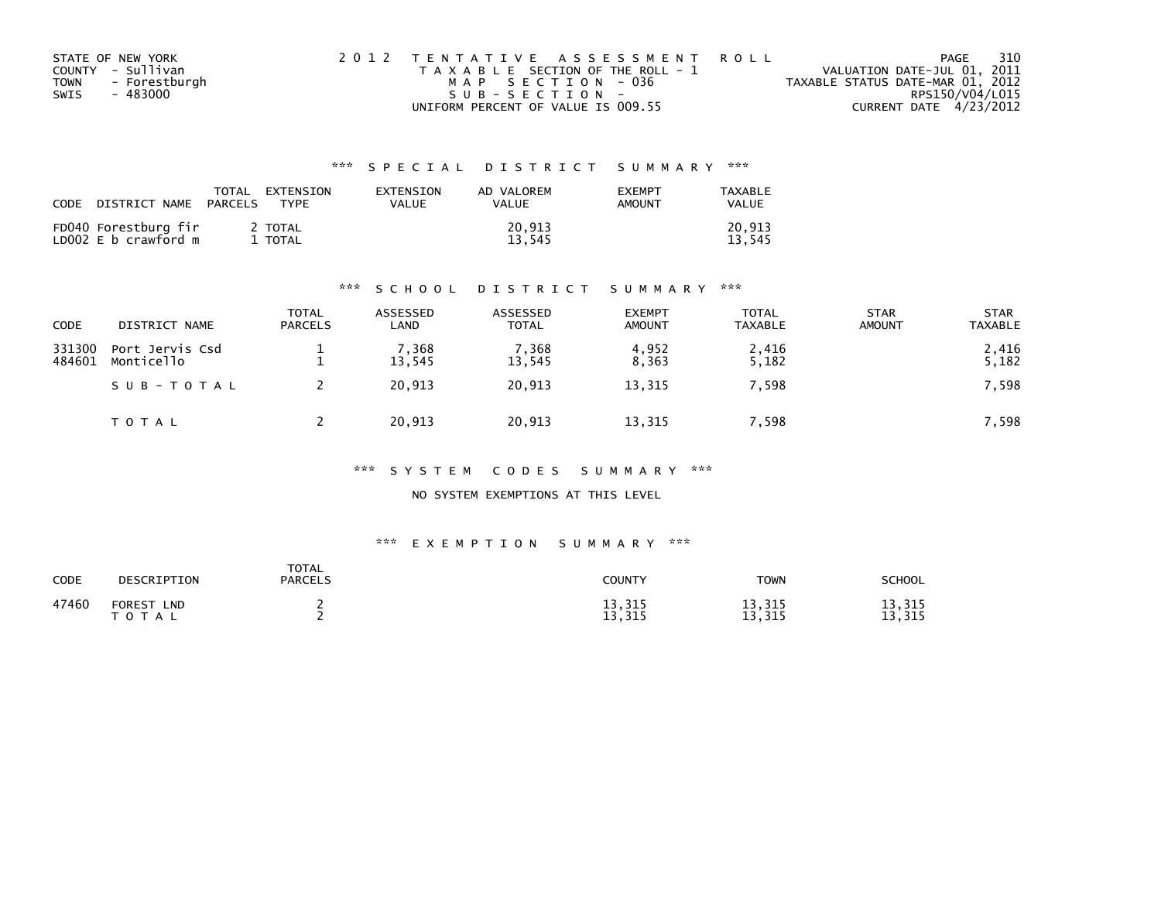| STATE OF NEW YORK     | 2012 TENTATIVE ASSESSMENT ROLL        | 310<br>PAGE                      |
|-----------------------|---------------------------------------|----------------------------------|
| COUNTY - Sullivan     | T A X A B L E SECTION OF THE ROLL - 1 | VALUATION DATE-JUL 01, 2011      |
| - Forestburgh<br>TOWN | MAP SECTION - 036                     | TAXABLE STATUS DATE-MAR 01, 2012 |
| - 483000<br>SWIS      | SUB-SECTION-                          | RPS150/V04/L015                  |
|                       | UNIFORM PERCENT OF VALUE IS 009.55    | CURRENT DATE 4/23/2012           |

| CODE | DISTRICT NAME                                | TOTAL<br>PARCELS | EXTENSION<br><b>TYPF</b> | <b>FXTENSTON</b><br>VALUE | AD VALOREM<br>VALUE | <b>EXEMPT</b><br>AMOUNT | TAXABLE<br><b>VALUE</b> |
|------|----------------------------------------------|------------------|--------------------------|---------------------------|---------------------|-------------------------|-------------------------|
|      | FD040 Forestburg fir<br>LD002 E b crawford m |                  | ' TOTAL<br>TOTAL         |                           | 20.913<br>13.545    |                         | 20.913<br>13.545        |

#### \*\*\* S C H O O L D I S T R I C T S U M M A R Y \*\*\*

| <b>CODE</b>      | DISTRICT NAME                 | <b>TOTAL</b><br><b>PARCELS</b> | ASSESSED<br>LAND | ASSESSED<br><b>TOTAL</b> | <b>EXEMPT</b><br><b>AMOUNT</b> | <b>TOTAL</b><br><b>TAXABLE</b> | <b>STAR</b><br><b>AMOUNT</b> | <b>STAR</b><br><b>TAXABLE</b> |
|------------------|-------------------------------|--------------------------------|------------------|--------------------------|--------------------------------|--------------------------------|------------------------------|-------------------------------|
| 331300<br>484601 | Port Jervis Csd<br>Monticello |                                | 7,368<br>13,545  | 7,368<br>13,545          | 4,952<br>8,363                 | 2,416<br>5,182                 |                              | 2,416<br>5,182                |
|                  | SUB-TOTAL                     |                                | 20.913           | 20,913                   | 13,315                         | 7,598                          |                              | 7,598                         |
|                  | TOTAL                         |                                | 20,913           | 20,913                   | 13,315                         | 7,598                          |                              | 7,598                         |

#### \*\*\* S Y S T E M C O D E S S U M M A R Y \*\*\*

NO SYSTEM EXEMPTIONS AT THIS LEVEL

| CODE  | DESCRIPTION                                 | <b>TOTAL</b><br><b>PARCELS</b> | COUNTY           | <b>TOWN</b>      | <b>SCHOOL</b>                             |
|-------|---------------------------------------------|--------------------------------|------------------|------------------|-------------------------------------------|
| 47460 | <b>FOREST</b><br><b>LND</b><br><b>T O T</b> |                                | 13,315<br>13,315 | 13,315<br>13,315 | , 315<br>1.<br>ـ د ۱<br>, 315<br>1.<br>⊥⊃ |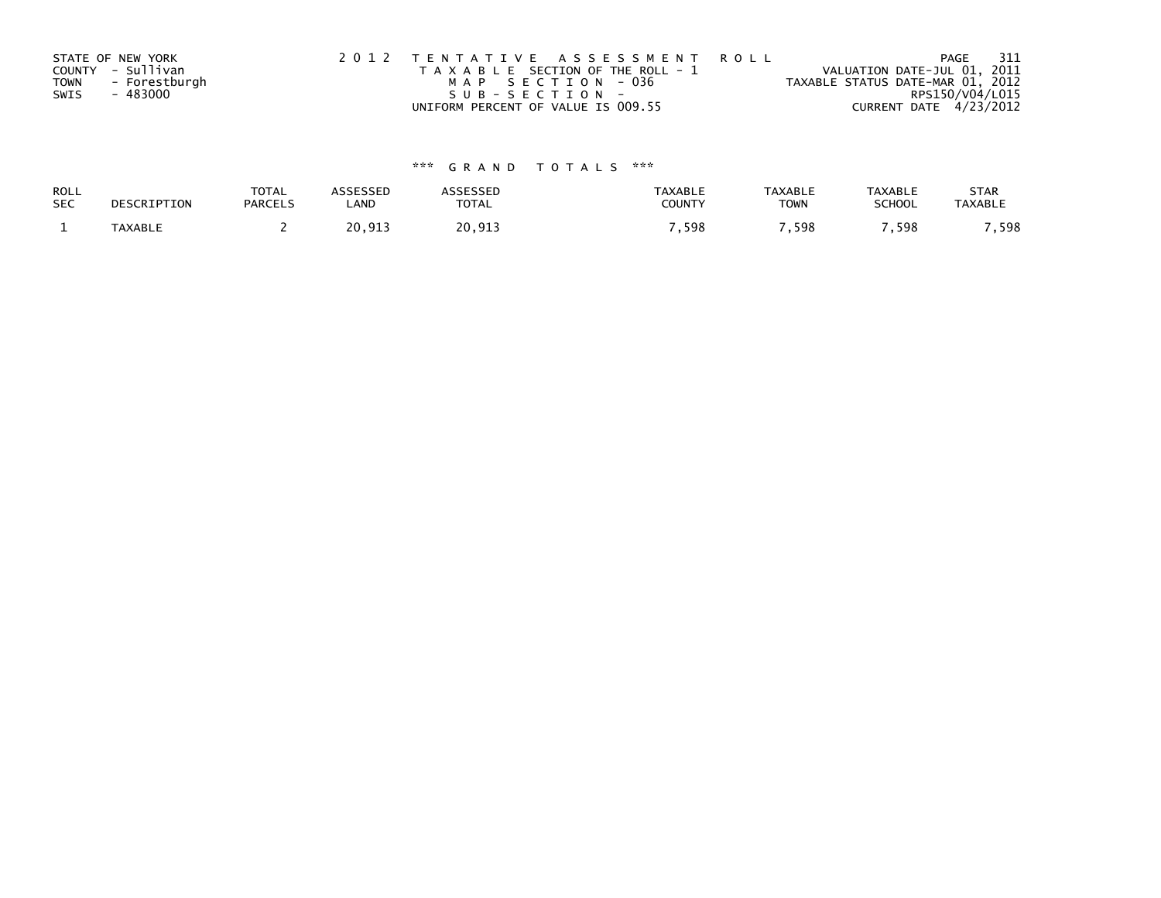|      | STATE OF NEW YORK | 2012 TENTATIVE ASSESSMENT ROLL        | - 311<br>PAGE                    |  |
|------|-------------------|---------------------------------------|----------------------------------|--|
|      | COUNTY - Sullivan | T A X A B L E SECTION OF THE ROLL - 1 | VALUATION DATE-JUL 01, 2011      |  |
| TOWN | - Forestburgh     | MAP SECTION - 036                     | TAXABLE STATUS DATE-MAR 01, 2012 |  |
| SWIS | - 483000          | SUB-SECTION-                          | RPS150/V04/L015                  |  |
|      |                   | UNIFORM PERCENT OF VALUE IS 009.55    | CURRENT DATE 4/23/2012           |  |

| ROLL       | DESCRIPTION    | <b>TOTAL</b>   | ASSESSED | <b>\SSESSED</b> | <b>TAXABLE</b> | <b>TAXABLE</b> | <b>TAXABLE</b> | <b>STAR</b>    |
|------------|----------------|----------------|----------|-----------------|----------------|----------------|----------------|----------------|
| <b>SEC</b> |                | <b>PARCELS</b> | _AND     | <b>TOTAL</b>    | COUNTY         | <b>TOWN</b>    | <b>SCHOOL</b>  | <b>TAXABLE</b> |
|            | <b>TAXABLE</b> |                | 20,913   | 20,913          | .598           | . 598          | ,598           | .598           |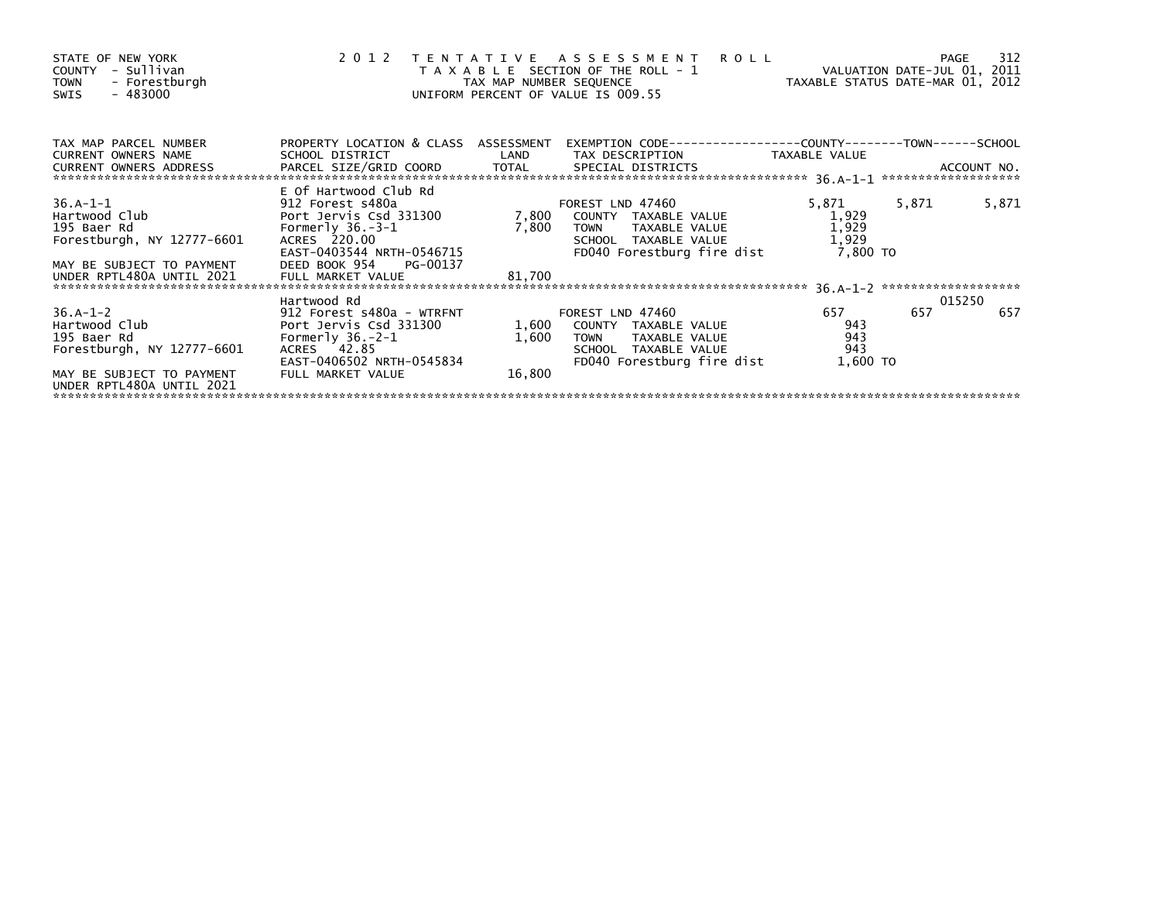| STATE OF NEW YORK<br>- Sullivan<br>COUNTY<br>- Forestburgh<br><b>TOWN</b><br>$-483000$<br>SWIS                                     |                                                                                                                                            | TAX MAP NUMBER SEQUENCE  | 2012 TENTATIVE ASSESSMENT<br>T A X A B L E SECTION OF THE ROLL - 1<br>UNIFORM PERCENT OF VALUE IS 009.55                       | <b>ROLL</b><br>TAXABLE STATUS DATE-MAR 01, 2012 | VALUATION DATE-JUL 01, 2011 | 312<br>PAGE |
|------------------------------------------------------------------------------------------------------------------------------------|--------------------------------------------------------------------------------------------------------------------------------------------|--------------------------|--------------------------------------------------------------------------------------------------------------------------------|-------------------------------------------------|-----------------------------|-------------|
| TAX MAP PARCEL NUMBER<br>CURRENT OWNERS NAME                                                                                       | PROPERTY LOCATION & CLASS ASSESSMENT<br>SCHOOL DISTRICT                                                                                    | LAND                     | EXEMPTION CODE-----------------COUNTY-------TOWN------SCHOOL<br>TAX DESCRIPTION                                                | TAXABLE VALUE                                   |                             |             |
| <b>CURRENT OWNERS ADDRESS</b>                                                                                                      | PARCEL SIZE/GRID COORD                                                                                                                     | TOTAL                    | SPECIAL DISTRICTS                                                                                                              |                                                 |                             | ACCOUNT NO. |
|                                                                                                                                    | E Of Hartwood Club Rd                                                                                                                      |                          |                                                                                                                                |                                                 |                             |             |
| $36.A-1-1$<br>Hartwood Club<br>195 Baer Rd<br>Forestburgh, NY 12777-6601<br>MAY BE SUBJECT TO PAYMENT                              | 912 Forest s480a<br>Port Jervis Csd 331300<br>Formerly $36.-3-1$<br>ACRES 220.00<br>EAST-0403544 NRTH-0546715<br>DEED BOOK 954<br>PG-00137 | 7,800<br>7,800           | FOREST LND 47460<br>COUNTY TAXABLE VALUE<br>TAXABLE VALUE<br>TOWN<br>SCHOOL TAXABLE VALUE<br>FD040 Forestburg fire dist        | 5,871<br>1,929<br>1,929<br>1,929<br>7,800 TO    | 5,871                       | 5,871       |
| UNDER RPTL480A UNTIL 2021                                                                                                          | FULL MARKET VALUE                                                                                                                          | 81,700                   |                                                                                                                                |                                                 |                             |             |
|                                                                                                                                    | Hartwood Rd                                                                                                                                |                          |                                                                                                                                |                                                 |                             | 015250      |
| $36.A-1-2$<br>Hartwood Club<br>195 Baer Rd<br>Forestburgh, NY 12777-6601<br>MAY BE SUBJECT TO PAYMENT<br>UNDER RPTL480A UNTIL 2021 | 912 Forest s480a - WTRFNT<br>Port Jervis Csd 331300<br>Formerly $36.-2-1$<br>ACRES 42.85<br>EAST-0406502 NRTH-0545834<br>FULL MARKET VALUE | 1,600<br>1,600<br>16,800 | FOREST LND 47460<br>COUNTY TAXABLE VALUE<br>TAXABLE VALUE<br><b>TOWN</b><br>SCHOOL TAXABLE VALUE<br>FD040 Forestburg fire dist | 657<br>943<br>943<br>943<br>1,600 TO            | 657                         | 657         |
|                                                                                                                                    |                                                                                                                                            |                          |                                                                                                                                |                                                 |                             |             |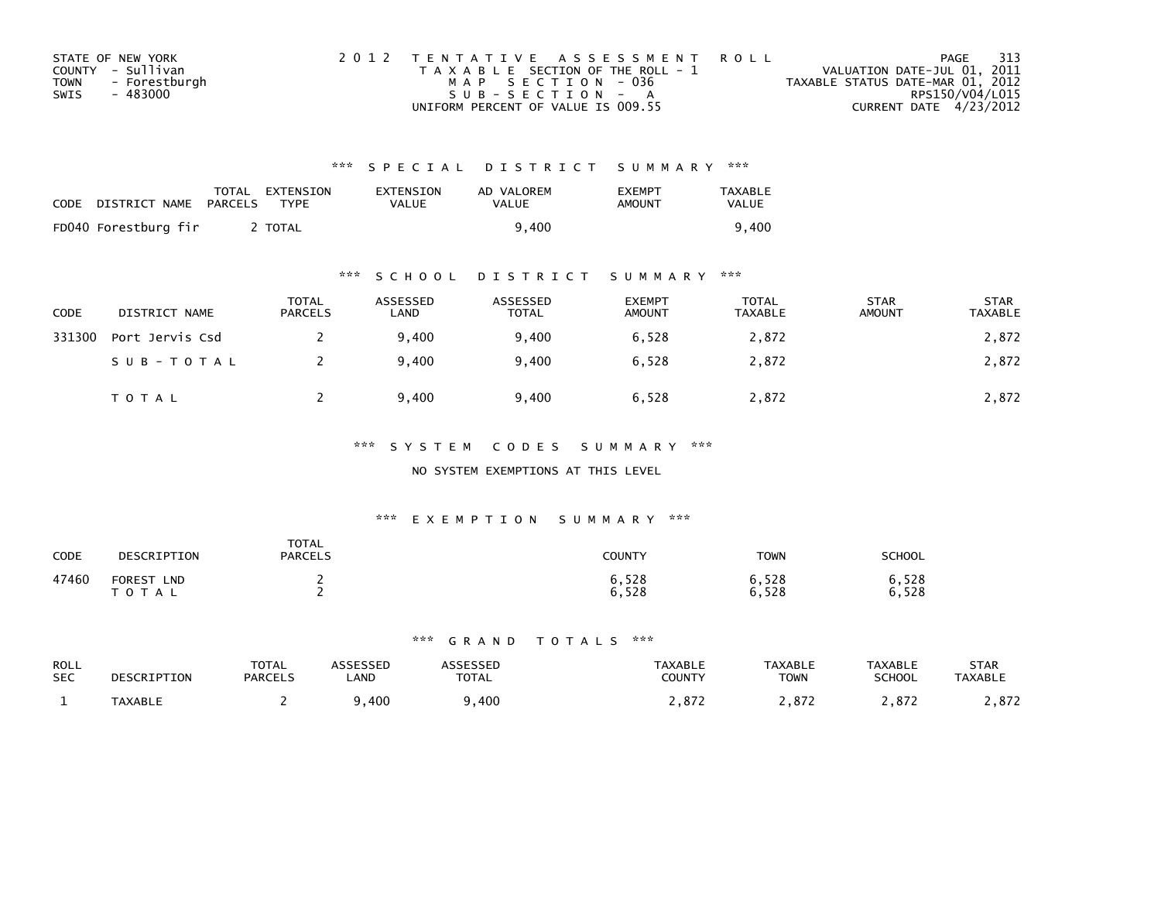|             | STATE OF NEW YORK | 2012 TENTATIVE ASSESSMENT ROLL        | 313<br>PAGE                      |  |
|-------------|-------------------|---------------------------------------|----------------------------------|--|
|             | COUNTY - Sullivan | T A X A B L E SECTION OF THE ROLL - 1 | VALUATION DATE-JUL 01, 2011      |  |
| <b>TOWN</b> | - Forestburgh     | MAP SECTION - 036                     | TAXABLE STATUS DATE-MAR 01, 2012 |  |
| SWIS        | - 483000          | SUB-SECTION - A                       | RPS150/V04/L015                  |  |
|             |                   | UNIFORM PERCENT OF VALUE IS 009.55    | CURRENT DATE 4/23/2012           |  |

| CODE | DISTRICT NAME PARCELS | TOTAL EXTENSION<br><b>TYPF</b> | EXTENSION<br><b>VALUE</b> | AD VALOREM<br>VALUE | <b>FXFMPT</b><br>AMOUNT | <b>TAXABLE</b><br>VALUE |
|------|-----------------------|--------------------------------|---------------------------|---------------------|-------------------------|-------------------------|
|      | FD040 Forestburg fir  | TOTAL                          |                           | 9.400               |                         | 9.400                   |

## \*\*\* S C H O O L D I S T R I C T S U M M A R Y \*\*\*

| <b>CODE</b> | DISTRICT NAME   | <b>TOTAL</b><br><b>PARCELS</b> | ASSESSED<br>LAND | ASSESSED<br>TOTAL | <b>EXEMPT</b><br><b>AMOUNT</b> | TOTAL<br>TAXABLE | <b>STAR</b><br><b>AMOUNT</b> | <b>STAR</b><br>TAXABLE |
|-------------|-----------------|--------------------------------|------------------|-------------------|--------------------------------|------------------|------------------------------|------------------------|
| 331300      | Port Jervis Csd |                                | 9,400            | 9,400             | 6,528                          | 2,872            |                              | 2,872                  |
|             | SUB-TOTAL       |                                | 9.400            | 9.400             | 6.528                          | 2,872            |                              | 2,872                  |
|             | T O T A L       |                                | 9.400            | 9,400             | 6,528                          | 2,872            |                              | 2,872                  |

### \*\*\* S Y S T E M C O D E S S U M M A R Y \*\*\*

### NO SYSTEM EXEMPTIONS AT THIS LEVEL

### \*\*\* E X E M P T I O N S U M M A R Y \*\*\*

| CODE  | DESCRIPTION                      | <b>TOTAL</b><br><b>PARCELS</b> | COUNTY         | <b>TOWN</b>    | <b>SCHOOL</b>  |
|-------|----------------------------------|--------------------------------|----------------|----------------|----------------|
| 47460 | <b>FOREST</b><br><b>LND</b><br>A |                                | 6,528<br>6,528 | 6,528<br>6,528 | 6,528<br>6,528 |

| <b>ROLL</b><br><b>SEC</b> | DESCRIPTION    | $T\cap T$ $\wedge$<br>UIAL<br><b>PARCELS</b> | LAND | TOTAL | TAXABLE<br>COUNTY | <b>TAXABLE</b><br><b>TOWN</b> | TAXABLE<br><b>SCHOOL</b> | STAR<br><b>TAXABLE</b> |
|---------------------------|----------------|----------------------------------------------|------|-------|-------------------|-------------------------------|--------------------------|------------------------|
|                           | <b>TAXABLL</b> |                                              | 400  | 400   | 07'<br>.012       | 07 <sup>2</sup>               |                          | 0.77<br>. . o . z      |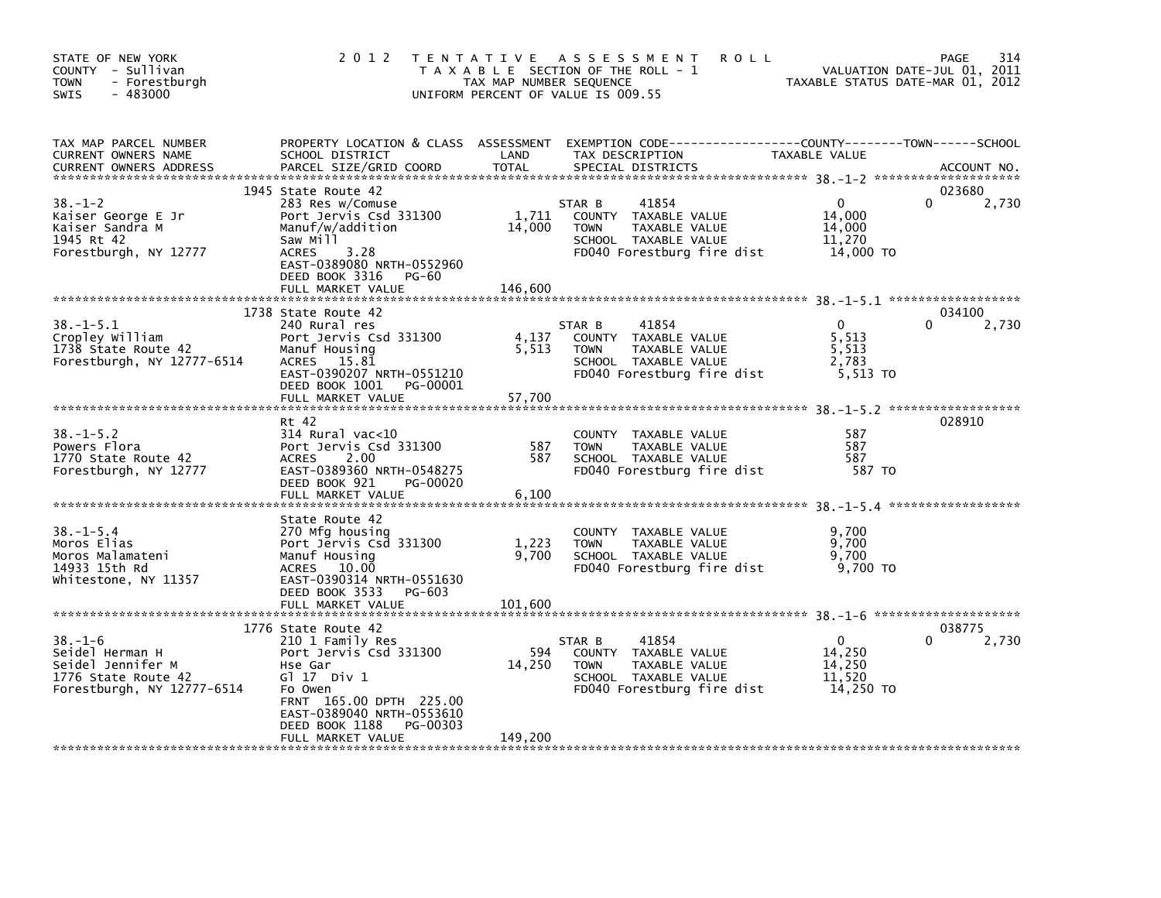| STATE OF NEW YORK<br>COUNTY - Sullivan<br>- Forestburgh<br><b>TOWN</b><br>$-483000$<br><b>SWIS</b>         | 2 0 1 2                                                                                                                                                                                                               | TAX MAP NUMBER SEQUENCE    | TENTATIVE ASSESSMENT<br>T A X A B L E SECTION OF THE ROLL - 1<br>UNIFORM PERCENT OF VALUE IS 009.55                           | <b>ROLL</b><br>TAXABLE STATUS DATE-MAR 01, 2012         | 314<br>PAGE<br>VALUATION DATE-JUL 01, 2011 |
|------------------------------------------------------------------------------------------------------------|-----------------------------------------------------------------------------------------------------------------------------------------------------------------------------------------------------------------------|----------------------------|-------------------------------------------------------------------------------------------------------------------------------|---------------------------------------------------------|--------------------------------------------|
| TAX MAP PARCEL NUMBER<br>CURRENT OWNERS NAME<br><b>CURRENT OWNERS ADDRESS</b>                              | PROPERTY LOCATION & CLASS ASSESSMENT<br>SCHOOL DISTRICT<br>PARCEL SIZE/GRID COORD                                                                                                                                     | LAND<br><b>TOTAL</b>       | TAX DESCRIPTION<br>SPECIAL DISTRICTS                                                                                          | TAXABLE VALUE                                           | ACCOUNT NO.                                |
| $38. - 1 - 2$<br>Kaiser George E Jr<br>Kaiser Sandra M<br>1945 Rt 42<br>Forestburgh, NY 12777              | 1945 State Route 42<br>283 Res w/Comuse<br>Port Jervis Csd 331300<br>Manuf/w/addition<br>Saw Mill<br>3.28<br><b>ACRES</b><br>EAST-0389080 NRTH-0552960<br>DEED BOOK 3316<br>PG-60<br>FULL MARKET VALUE                | 1,711<br>14,000<br>146,600 | 41854<br>STAR B<br>COUNTY TAXABLE VALUE<br><b>TOWN</b><br>TAXABLE VALUE<br>SCHOOL TAXABLE VALUE<br>FD040 Forestburg fire dist | $\mathbf{0}$<br>14.000<br>14,000<br>11,270<br>14,000 TO | 023680<br>0<br>2,730                       |
| $38. -1 - 5.1$<br>Cropley William<br>1738 State Route 42<br>Forestburgh, NY 12777-6514                     | 1738 State Route 42<br>240 Rural res<br>Port Jervis Csd 331300<br>Manuf Housing<br>ACRES 15.81<br>EAST-0390207 NRTH-0551210<br>DEED BOOK 1001 PG-00001<br>FULL MARKET VALUE                                           | 4,137<br>5,513<br>57,700   | 41854<br>STAR B<br>COUNTY TAXABLE VALUE<br>TAXABLE VALUE<br><b>TOWN</b><br>SCHOOL TAXABLE VALUE<br>FD040 Forestburg fire dist | $\mathbf{0}$<br>5,513<br>5,513<br>2.783<br>5,513 TO     | 034100<br>2,730                            |
| $38. - 1 - 5.2$<br>Powers Flora<br>1770 State Route 42<br>Forestburgh, NY 12777                            | Rt 42<br>314 Rural vac<10<br>Port Jervis Csd 331300<br>2.00<br><b>ACRES</b><br>EAST-0389360 NRTH-0548275<br>DEED BOOK 921<br>PG-00020<br>FULL MARKET VALUE                                                            | 587<br>587<br>6,100        | COUNTY TAXABLE VALUE<br><b>TOWN</b><br>TAXABLE VALUE<br>SCHOOL TAXABLE VALUE<br>FD040 Forestburg fire dist                    | 587<br>587<br>587<br>587 TO                             | 028910                                     |
| $38. - 1 - 5.4$<br>Moros Elias<br>Moros Malamateni<br>14933 15th Rd<br>Whitestone, NY 11357                | State Route 42<br>270 Mfg housing<br>Port Jervis Csd 331300<br>Manuf Housing<br>ACRES 10.00<br>EAST-0390314 NRTH-0551630<br>DEED BOOK 3533 PG-603<br>FULL MARKET VALUE                                                | 1,223<br>9,700<br>101,600  | <b>COUNTY</b><br>TAXABLE VALUE<br>TAXABLE VALUE<br><b>TOWN</b><br>SCHOOL TAXABLE VALUE<br>FD040 Forestburg fire dist          | 9,700<br>9,700<br>9,700<br>9.700 TO                     |                                            |
| $38. - 1 - 6$<br>Seidel Herman H<br>Seidel Jennifer M<br>1776 State Route 42<br>Forestburgh, NY 12777-6514 | 1776 State Route 42<br>210 1 Family Res<br>Port Jervis Csd 331300<br>Hse Gar<br>$G1 17$ Div $1$<br>Fo Owen<br>FRNT 165.00 DPTH 225.00<br>EAST-0389040 NRTH-0553610<br>DEED BOOK 1188<br>PG-00303<br>FULL MARKET VALUE | 594<br>14,250<br>149,200   | 41854<br>STAR B<br>COUNTY TAXABLE VALUE<br>TAXABLE VALUE<br><b>TOWN</b><br>SCHOOL TAXABLE VALUE<br>FD040 Forestburg fire dist | $\Omega$<br>14,250<br>14,250<br>11,520<br>14,250 TO     | 038775<br>2,730<br>0                       |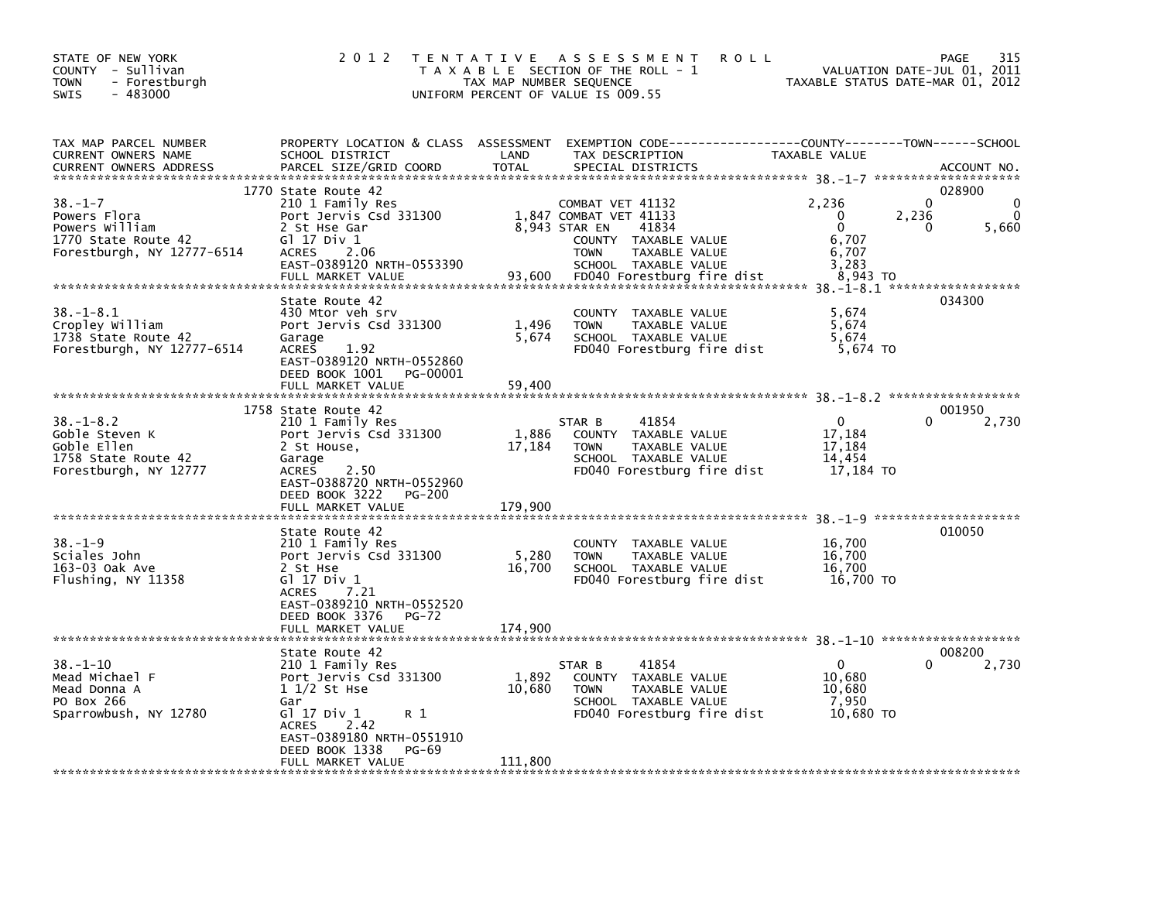| STATE OF NEW YORK<br>COUNTY - Sullivan<br><b>TOWN</b><br>- Forestburgh<br>$-483000$<br>SWIS          | 2 0 1 2                                                                                                                                                                                                         | TAX MAP NUMBER SEQUENCE    | TENTATIVE ASSESSMENT<br>T A X A B L E SECTION OF THE ROLL - 1<br>UNIFORM PERCENT OF VALUE IS 009.55                                                                                | <b>ROLL</b>                                                   | 315<br>PAGE<br>VALUATION DATE-JUL 01, 2011<br>TAXABLE STATUS DATE-MAR 01, 2012 |
|------------------------------------------------------------------------------------------------------|-----------------------------------------------------------------------------------------------------------------------------------------------------------------------------------------------------------------|----------------------------|------------------------------------------------------------------------------------------------------------------------------------------------------------------------------------|---------------------------------------------------------------|--------------------------------------------------------------------------------|
| TAX MAP PARCEL NUMBER<br>CURRENT OWNERS NAME<br><b>CURRENT OWNERS ADDRESS</b>                        | PROPERTY LOCATION & CLASS ASSESSMENT<br>SCHOOL DISTRICT<br>PARCEL SIZE/GRID COORD                                                                                                                               | LAND<br><b>TOTAL</b>       | TAX DESCRIPTION<br>SPECIAL DISTRICTS                                                                                                                                               | TAXABLE VALUE                                                 | ACCOUNT NO.                                                                    |
| $38. - 1 - 7$<br>Powers Flora<br>Powers William<br>1770 State Route 42<br>Forestburgh, NY 12777-6514 | 1770 State Route 42<br>210 1 Family Res<br>Port Jervis Csd 331300<br>2 St Hse Gar<br>G1 17 Div 1<br><b>ACRES</b><br>2.06<br>EAST-0389120 NRTH-0553390<br>FULL MARKET VALUE                                      | 93,600                     | COMBAT VET 41132<br>1,847 COMBAT VET 41133<br>8,943 STAR EN<br>41834<br>COUNTY TAXABLE VALUE<br>TAXABLE VALUE<br><b>TOWN</b><br>SCHOOL TAXABLE VALUE<br>FD040 Forestburg fire dist | 2.236<br>$\Omega$<br>0<br>6,707<br>6,707<br>3,283<br>8,943 TO | 028900<br>$\Omega$<br>2,236<br>5,660<br>0                                      |
| $38. - 1 - 8.1$<br>Cropley William<br>1738 State Route 42<br>Forestburgh, NY 12777-6514              | State Route 42<br>430 Mtor veh srv<br>Port Jervis Csd 331300<br>Garage<br><b>ACRES</b><br>1.92<br>EAST-0389120 NRTH-0552860<br>DEED BOOK 1001<br>PG-00001<br>FULL MARKET VALUE                                  | 1,496<br>5,674<br>59.400   | COUNTY TAXABLE VALUE<br>TAXABLE VALUE<br><b>TOWN</b><br>SCHOOL TAXABLE VALUE<br>FD040 Forestburg fire dist                                                                         | 5,674<br>5,674<br>5,674<br>5,674 TO                           | 034300                                                                         |
| $38. - 1 - 8.2$<br>Goble Steven K<br>Goble Ellen<br>1758 State Route 42<br>Forestburgh, NY 12777     | 1758 State Route 42<br>210 1 Family Res<br>Port Jervis Csd 331300<br>2 St House,<br>Garage<br><b>ACRES</b><br>2.50<br>EAST-0388720 NRTH-0552960<br>DEED BOOK 3222<br>PG-200<br>FULL MARKET VALUE                | 1,886<br>17,184<br>179,900 | 41854<br>STAR B<br>COUNTY TAXABLE VALUE<br><b>TOWN</b><br>TAXABLE VALUE<br>SCHOOL TAXABLE VALUE<br>FD040 Forestburg fire dist                                                      | 0<br>17,184<br>17,184<br>14,454<br>17,184 TO                  | 001950<br>2,730                                                                |
| $38. - 1 - 9$<br>Sciales John<br>163-03 Oak Ave<br>Flushing, NY 11358                                | State Route 42<br>210 1 Family Res<br>Port Jervis Csd 331300<br>2 St Hse<br>Gl 17 Div 1<br>7.21<br><b>ACRES</b><br>EAST-0389210 NRTH-0552520<br>DEED BOOK 3376<br><b>PG-72</b><br>FULL MARKET VALUE             | 5,280<br>16,700<br>174,900 | COUNTY TAXABLE VALUE<br><b>TOWN</b><br>TAXABLE VALUE<br>SCHOOL TAXABLE VALUE<br>FD040 Forestburg fire dist                                                                         | 16,700<br>16,700<br>16,700<br>16,700 TO                       | 010050                                                                         |
| 38. –1–10<br>Mead Michael F<br>Mead Donna A<br>PO Box 266<br>Sparrowbush, NY 12780                   | State Route 42<br>210 1 Family Res<br>Port Jervis Csd 331300<br>$11/2$ St Hse<br>Gar<br>G1 17 Div 1<br>R 1<br>2.42<br><b>ACRES</b><br>EAST-0389180 NRTH-0551910<br>DEED BOOK 1338<br>PG-69<br>FULL MARKET VALUE | 1,892<br>10,680<br>111,800 | 41854<br>STAR B<br>COUNTY TAXABLE VALUE<br><b>TOWN</b><br>TAXABLE VALUE<br>SCHOOL TAXABLE VALUE<br>FD040 Forestburg fire dist                                                      | 0<br>10,680<br>10,680<br>7.950<br>10,680 TO                   | 008200<br>2,730                                                                |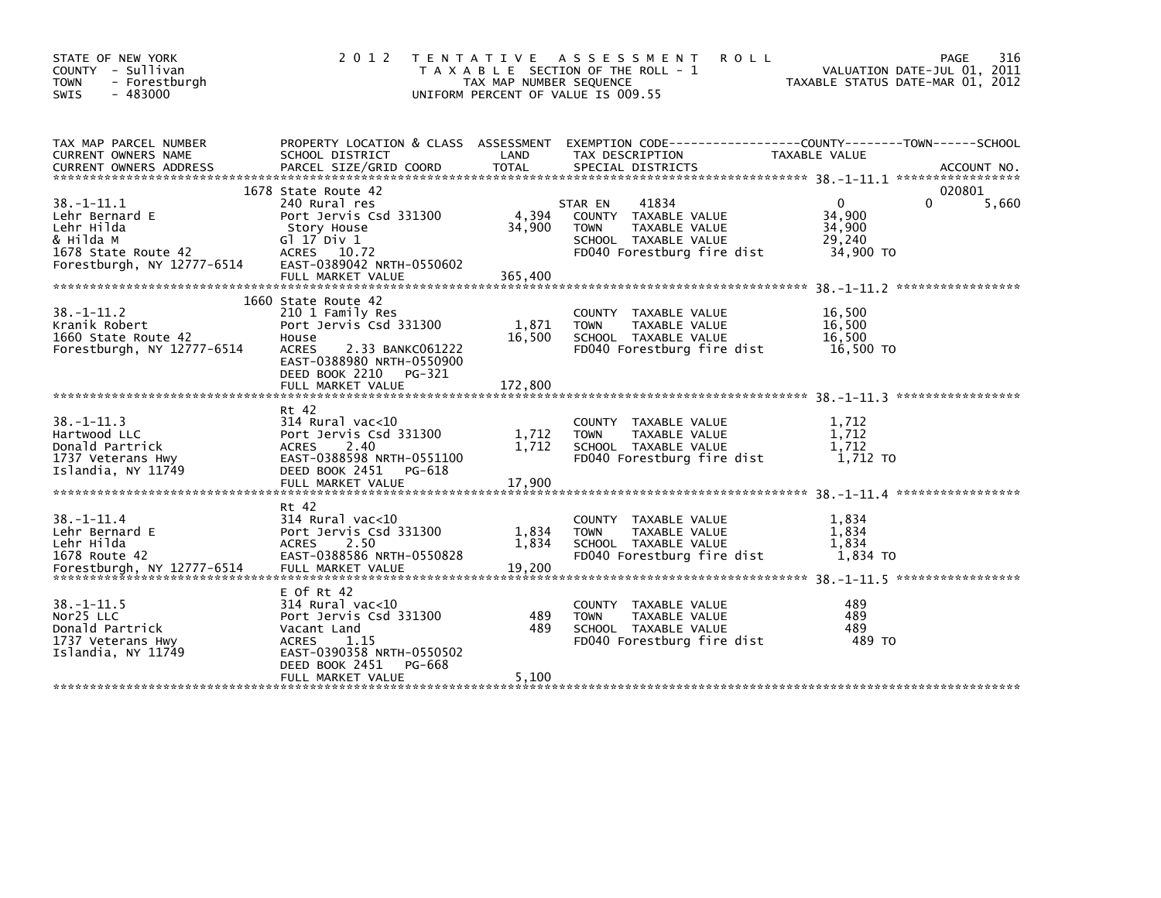| STATE OF NEW YORK<br>COUNTY - Sullivan<br>- Forestburgh<br><b>TOWN</b><br>$-483000$<br><b>SWIS</b>            | 2 0 1 2                                                                                                                                                                                      | T E N T A T I V E<br>TAX MAP NUMBER SEQUENCE | A S S E S S M E N T<br><b>ROLL</b><br>T A X A B L E SECTION OF THE ROLL - 1<br>UNIFORM PERCENT OF VALUE IS 009.55              | VALUATION DATE-JUL 01, 2011<br>TAXABLE STATUS DATE-MAR 01, 2012 | 316<br>PAGE                 |
|---------------------------------------------------------------------------------------------------------------|----------------------------------------------------------------------------------------------------------------------------------------------------------------------------------------------|----------------------------------------------|--------------------------------------------------------------------------------------------------------------------------------|-----------------------------------------------------------------|-----------------------------|
| TAX MAP PARCEL NUMBER<br>CURRENT OWNERS NAME<br><b>CURRENT OWNERS ADDRESS</b>                                 | PROPERTY LOCATION & CLASS ASSESSMENT<br>SCHOOL DISTRICT<br>PARCEL SIZE/GRID COORD                                                                                                            | LAND<br><b>TOTAL</b>                         | TAX DESCRIPTION<br>SPECIAL DISTRICTS                                                                                           | TAXABLE VALUE                                                   | ACCOUNT NO.                 |
| 38. -1-11.1<br>Lehr Bernard E<br>Lehr Hilda<br>& Hilda M<br>1678 State Route 42<br>Forestburgh, NY 12777-6514 | 1678 State Route 42<br>240 Rural res<br>Port Jervis Csd 331300<br>Story House<br>G1 17 Div 1<br>ACRES 10.72<br>EAST-0389042 NRTH-0550602<br>FULL MARKET VALUE                                | 4,394<br>34,900<br>365,400                   | 41834<br>STAR EN<br>COUNTY TAXABLE VALUE<br>TAXABLE VALUE<br><b>TOWN</b><br>SCHOOL TAXABLE VALUE<br>FD040 Forestburg fire dist | $\Omega$<br>34,900<br>34,900<br>29.240<br>34,900 TO             | 020801<br>$\Omega$<br>5,660 |
| $38. - 1 - 11.2$<br>Kranik Robert<br>1660 State Route 42<br>Forestburgh, NY 12777-6514                        | 1660 State Route 42<br>210 1 Family Res<br>Port Jervis Csd 331300<br>House<br><b>ACRES</b><br>2.33 BANKC061222<br>EAST-0388980 NRTH-0550900<br>DEED BOOK 2210<br>PG-321<br>FULL MARKET VALUE | 1,871<br>16,500<br>172,800                   | COUNTY TAXABLE VALUE<br><b>TOWN</b><br>TAXABLE VALUE<br>SCHOOL TAXABLE VALUE<br>FD040 Forestburg fire dist                     | 16,500<br>16,500<br>16,500<br>16,500 TO                         | *****************           |
| $38. - 1 - 11.3$<br>Hartwood LLC<br>Donald Partrick<br>1737 Veterans Hwy<br>Islandia, NY 11749                | Rt 42<br>$314$ Rural vac<10<br>Port Jervis Csd 331300<br>2.40<br><b>ACRES</b><br>EAST-0388598 NRTH-0551100<br>DEED BOOK 2451<br>PG-618<br>FULL MARKET VALUE                                  | 1.712<br>1,712<br>17,900                     | COUNTY TAXABLE VALUE<br>TAXABLE VALUE<br><b>TOWN</b><br>SCHOOL TAXABLE VALUE<br>FD040 Forestburg fire dist                     | 1,712<br>1,712<br>1.712<br>1,712 TO                             |                             |
| $38. - 1 - 11.4$<br>Lehr Bernard E<br>Lehr Hilda<br>1678 Route 42<br>Forestburgh, NY 12777-6514               | Rt 42<br>$314$ Rural vac< $10$<br>Port Jervis Csd 331300<br>2.50<br><b>ACRES</b><br>EAST-0388586 NRTH-0550828<br>FULL MARKET VALUE                                                           | 1,834<br>1,834<br>19.200                     | COUNTY TAXABLE VALUE<br><b>TOWN</b><br>TAXABLE VALUE<br>SCHOOL TAXABLE VALUE<br>FD040 Forestburg fire dist                     | 1,834<br>1,834<br>1,834<br>1,834 TO                             |                             |
| $38. -1 - 11.5$<br>Nor25 LLC<br>Donald Partrick<br>1737 Veterans Hwy<br>Islandia, NY 11749                    | $E$ Of Rt 42<br>$314$ Rural vac< $10$<br>Port Jervis Csd 331300<br>Vacant Land<br>ACRES<br>1.15<br>EAST-0390358 NRTH-0550502<br>DEED BOOK 2451<br>PG-668                                     | 489<br>489                                   | COUNTY TAXABLE VALUE<br>TAXABLE VALUE<br><b>TOWN</b><br>SCHOOL TAXABLE VALUE<br>FD040 Forestburg fire dist                     | 489<br>489<br>489<br>489 TO                                     |                             |
|                                                                                                               | FULL MARKET VALUE                                                                                                                                                                            | 5,100                                        |                                                                                                                                |                                                                 |                             |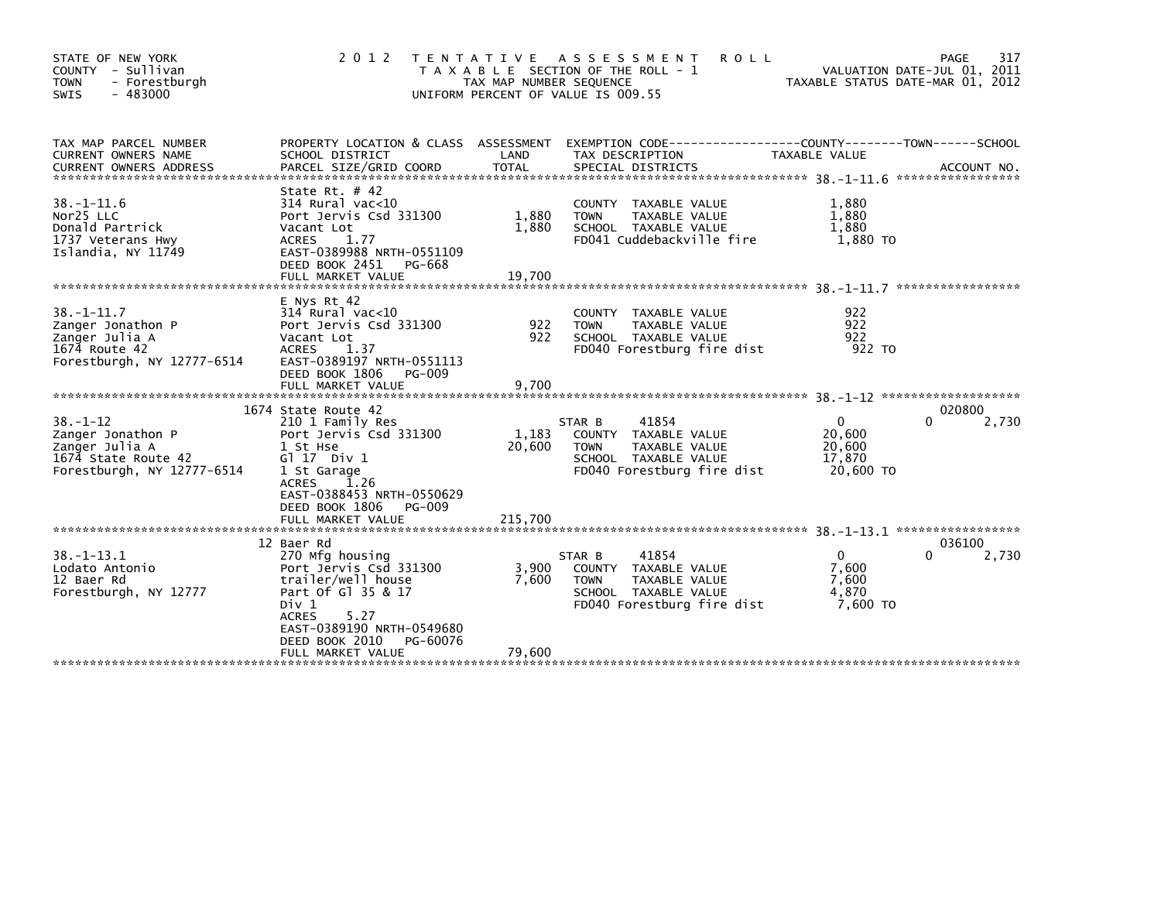| STATE OF NEW YORK<br>COUNTY - Sullivan<br><b>TOWN</b><br>- Forestburgh<br>$-483000$<br>SWIS                | 2 0 1 2                                                                                                                                                                                                               | T E N T A T I V E<br>TAX MAP NUMBER SEQUENCE<br>UNIFORM PERCENT OF VALUE IS 009.55 | A S S E S S M E N T<br>T A X A B L E SECTION OF THE ROLL - 1                                                                  | <b>ROLL</b>                                         | 317<br>PAGE<br>VALUATION DATE-JUL 01, 2011<br>TAXABLE STATUS DATE-MAR 01, 2012 |
|------------------------------------------------------------------------------------------------------------|-----------------------------------------------------------------------------------------------------------------------------------------------------------------------------------------------------------------------|------------------------------------------------------------------------------------|-------------------------------------------------------------------------------------------------------------------------------|-----------------------------------------------------|--------------------------------------------------------------------------------|
| TAX MAP PARCEL NUMBER<br>CURRENT OWNERS NAME<br><b>CURRENT OWNERS ADDRESS</b>                              | PROPERTY LOCATION & CLASS ASSESSMENT EXEMPTION CODE----------------COUNTY-------TOWN------SCHOOL<br>SCHOOL DISTRICT<br>PARCEL SIZE/GRID COORD                                                                         | LAND<br><b>TOTAL</b>                                                               | TAX DESCRIPTION<br>SPECIAL DISTRICTS                                                                                          | TAXABLE VALUE                                       | ACCOUNT NO.                                                                    |
| $38 - 1 - 11.6$<br>Nor25 LLC<br>Donald Partrick<br>1737 Veterans Hwy<br>Islandia, NY 11749                 | State Rt. $#$ 42<br>314 Rural vac<10<br>Port Jervis Csd 331300<br>Vacant Lot<br><b>ACRES</b><br>1.77<br>EAST-0389988 NRTH-0551109<br>DEED BOOK 2451<br>PG-668<br>FULL MARKET VALUE                                    | 1,880<br>1.880<br>19,700                                                           | COUNTY TAXABLE VALUE<br><b>TOWN</b><br>TAXABLE VALUE<br>SCHOOL TAXABLE VALUE<br>FD041 Cuddebackville fire                     | 1,880<br>1,880<br>1.880<br>1,880 TO                 |                                                                                |
| 38.–1–11.7<br>Zanger Jonathon P<br>Zanger Julia A<br>1674 Route 42<br>Forestburgh, NY 12777-6514           | E Nys Rt 42<br>$314$ Rural vac< $10$<br>Port Jervis Csd 331300<br>Vacant Lot<br>1.37<br><b>ACRES</b><br>EAST-0389197 NRTH-0551113<br>DEED BOOK 1806<br>PG-009<br>FULL MARKET VALUE                                    | 922<br>922<br>9,700                                                                | COUNTY TAXABLE VALUE<br>TAXABLE VALUE<br><b>TOWN</b><br>SCHOOL TAXABLE VALUE<br>FD040 Forestburg fire dist                    | 922<br>922<br>922<br>922 TO                         |                                                                                |
|                                                                                                            |                                                                                                                                                                                                                       |                                                                                    |                                                                                                                               |                                                     |                                                                                |
| $38. - 1 - 12$<br>Zanger Jonathon P<br>Zanger Julia A<br>1674 State Route 42<br>Forestburgh, NY 12777-6514 | 1674 State Route 42<br>210 1 Family Res<br>Port Jervis Csd 331300<br>1 St Hse<br>$G1 17$ Div $1$<br>1 St Garage<br>1.26<br><b>ACRES</b><br>EAST-0388453 NRTH-0550629<br>DEED BOOK 1806<br>PG-009<br>FULL MARKET VALUE | 1,183<br>20,600<br>215,700                                                         | 41854<br>STAR B<br>COUNTY TAXABLE VALUE<br><b>TOWN</b><br>TAXABLE VALUE<br>SCHOOL TAXABLE VALUE<br>FD040 Forestburg fire dist | $\Omega$<br>20,600<br>20,600<br>17,870<br>20,600 TO | 020800<br>$\Omega$<br>2,730                                                    |
|                                                                                                            |                                                                                                                                                                                                                       |                                                                                    |                                                                                                                               |                                                     |                                                                                |
| $38. - 1 - 13.1$<br>Lodato Antonio<br>12 Baer Rd<br>Forestburgh, NY 12777                                  | 12 Baer Rd<br>270 Mfg housing<br>Port Jervis Csd 331300<br>trailer/well house<br>Part Of G1 35 & 17<br>Div 1<br>5.27<br><b>ACRES</b><br>EAST-0389190 NRTH-0549680<br>DEED BOOK 2010<br>PG-60076<br>FULL MARKET VALUE  | 3,900<br>7.600<br>79.600                                                           | 41854<br>STAR B<br>COUNTY TAXABLE VALUE<br>TAXABLE VALUE<br><b>TOWN</b><br>SCHOOL TAXABLE VALUE<br>FD040 Forestburg fire dist | $\Omega$<br>7,600<br>7.600<br>4,870<br>7,600 TO     | 036100<br>0<br>2,730                                                           |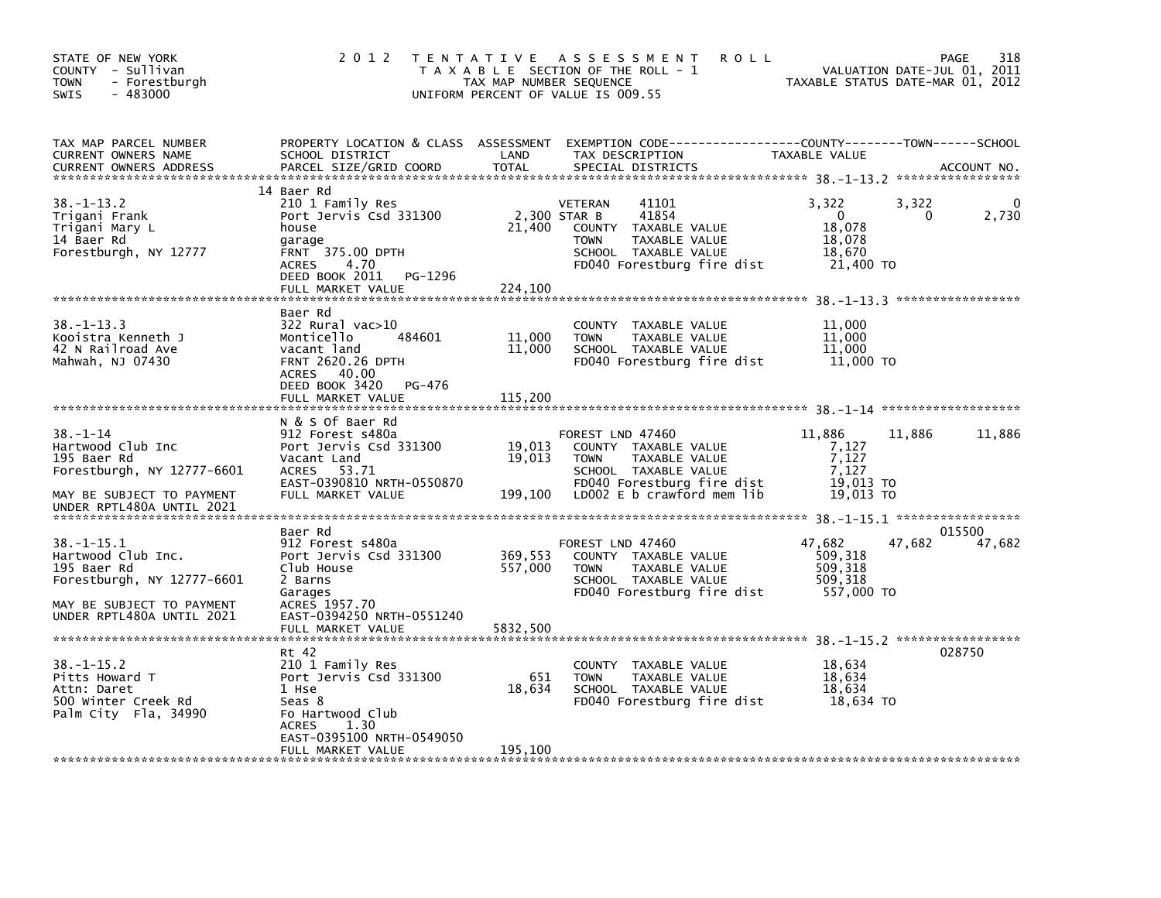| STATE OF NEW YORK<br>COUNTY - Sullivan<br>- Forestburgh<br>TOWN<br>$-483000$<br>SWIS                                                                                       | 2 0 1 2                                                                                                                                                                   | TAX MAP NUMBER SEQUENCE        | TENTATIVE ASSESSMENT<br><b>ROLL</b><br>T A X A B L E SECTION OF THE ROLL - 1<br>UNIFORM PERCENT OF VALUE IS 009.55                                           | TAXABLE STATUS DATE-MAR 01, 2012                                      | 318<br>PAGE<br>VALUATION DATE-JUL 01, 2011 |
|----------------------------------------------------------------------------------------------------------------------------------------------------------------------------|---------------------------------------------------------------------------------------------------------------------------------------------------------------------------|--------------------------------|--------------------------------------------------------------------------------------------------------------------------------------------------------------|-----------------------------------------------------------------------|--------------------------------------------|
| TAX MAP PARCEL NUMBER<br>CURRENT OWNERS NAME<br><b>CURRENT OWNERS ADDRESS</b>                                                                                              | PROPERTY LOCATION & CLASS ASSESSMENT<br>SCHOOL DISTRICT<br>PARCEL SIZE/GRID COORD                                                                                         | LAND<br><b>TOTAL</b>           | TAX DESCRIPTION<br>SPECIAL DISTRICTS                                                                                                                         | TAXABLE VALUE                                                         | ACCOUNT NO.                                |
| $38. - 1 - 13.2$<br>Trigani Frank<br>Trigani Mary L<br>14 Baer Rd<br>Forestburgh, NY 12777                                                                                 | 14 Baer Rd<br>210 1 Family Res<br>Port Jervis Csd 331300<br>house<br>garage<br>FRNT 375.00 DPTH<br>4.70<br><b>ACRES</b><br>PG-1296<br>DEED BOOK 2011<br>FULL MARKET VALUE | 21,400<br>224,100              | 41101<br>VETERAN<br>2,300 STAR B<br>41854<br>COUNTY TAXABLE VALUE<br><b>TOWN</b><br>TAXABLE VALUE<br>SCHOOL TAXABLE VALUE<br>FD040 Forestburg fire dist      | 3,322<br>$\Omega$<br>18,078<br>18,078<br>18,670<br>21,400 TO          | 3,322<br>2,730<br>0                        |
| $38. - 1 - 13.3$<br>Kooistra Kenneth J<br>42 N Railroad Ave<br>Mahwah, NJ 07430                                                                                            | Baer Rd<br>322 Rural vac>10<br>Monticello<br>484601<br>vacant land<br><b>FRNT 2620.26 DPTH</b><br>ACRES 40.00<br>DEED BOOK 3420<br>PG-476<br>FULL MARKET VALUE            | 11,000<br>11,000<br>115,200    | COUNTY TAXABLE VALUE<br><b>TOWN</b><br>TAXABLE VALUE<br>SCHOOL TAXABLE VALUE<br>FD040 Forestburg fire dist                                                   | 11,000<br>11,000<br>11,000<br>11,000 TO                               | *****************                          |
| $38. - 1 - 14$<br>Hartwood Club Inc<br>195 Baer Rd<br>Forestburgh, NY 12777-6601<br>MAY BE SUBJECT TO PAYMENT                                                              | N & S Of Baer Rd<br>912 Forest s480a<br>Port Jervis Csd 331300<br>Vacant Land<br>ACRES 53.71<br>EAST-0390810 NRTH-0550870<br>FULL MARKET VALUE                            | 19,013<br>19,013<br>199,100    | FOREST LND 47460<br>COUNTY TAXABLE VALUE<br>TAXABLE VALUE<br><b>TOWN</b><br>SCHOOL TAXABLE VALUE<br>FD040 Forestburg fire dist<br>LD002 E b crawford mem lib | 11,886<br>11,886<br>7,127<br>7,127<br>7,127<br>19,013 TO<br>19,013 TO | 11,886                                     |
| UNDER RPTL480A UNTIL 2021<br>$38. - 1 - 15.1$<br>Hartwood Club Inc.<br>195 Baer Rd<br>Forestburgh, NY 12777-6601<br>MAY BE SUBJECT TO PAYMENT<br>UNDER RPTL480A UNTIL 2021 | Baer Rd<br>912 Forest s480a<br>Port Jervis Csd 331300<br>Club House<br>2 Barns<br>Garages<br>ACRES 1957.70<br>EAST-0394250 NRTH-0551240<br>FULL MARKET VALUE              | 369,553<br>557,000<br>5832,500 | FOREST LND 47460<br>COUNTY TAXABLE VALUE<br><b>TOWN</b><br>TAXABLE VALUE<br>SCHOOL TAXABLE VALUE<br>FD040 Forestburg fire dist                               | 47,682<br>47,682<br>509,318<br>509.318<br>509,318<br>557,000 TO       | 015500<br>47,682                           |
| $38 - 1 - 15.2$<br>Pitts Howard T<br>Attn: Daret<br>500 Winter Creek Rd<br>Palm City Fla, 34990                                                                            | Rt 42<br>210 1 Family Res<br>Port Jervis Csd 331300<br>1 Hse<br>Seas 8<br>Fo Hartwood Club<br>1.30<br><b>ACRES</b><br>EAST-0395100 NRTH-0549050<br>FULL MARKET VALUE      | 651<br>18,634<br>195,100       | COUNTY<br>TAXABLE VALUE<br><b>TOWN</b><br>TAXABLE VALUE<br>SCHOOL TAXABLE VALUE<br>FD040 Forestburg fire dist                                                | 18,634<br>18,634<br>18,634<br>18,634 TO                               | 028750                                     |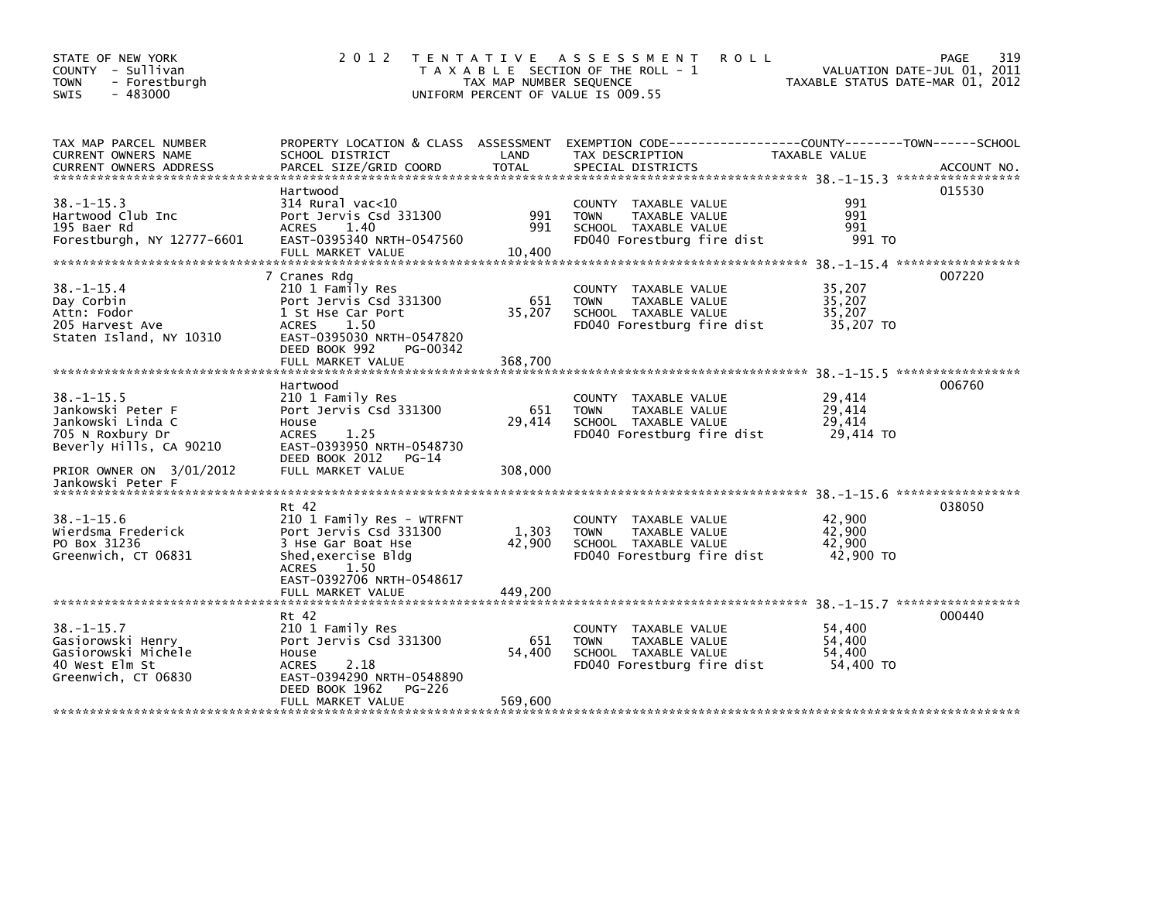| STATE OF NEW YORK<br>COUNTY - Sullivan<br><b>TOWN</b><br>- Forestburgh<br><b>SWIS</b><br>$-483000$                                    | 2 0 1 2                                                                                                                                                                                | TAX MAP NUMBER SEQUENCE    | TENTATIVE ASSESSMENT<br><b>ROLL</b><br>T A X A B L E SECTION OF THE ROLL - 1<br>UNIFORM PERCENT OF VALUE IS 009.55   | TAXABLE STATUS DATE-MAR 01, 2012        | 319<br>PAGE<br>VALUATION DATE-JUL 01, 2011 |
|---------------------------------------------------------------------------------------------------------------------------------------|----------------------------------------------------------------------------------------------------------------------------------------------------------------------------------------|----------------------------|----------------------------------------------------------------------------------------------------------------------|-----------------------------------------|--------------------------------------------|
| TAX MAP PARCEL NUMBER<br>CURRENT OWNERS NAME<br><b>CURRENT OWNERS ADDRESS</b>                                                         | PROPERTY LOCATION & CLASS ASSESSMENT<br>SCHOOL DISTRICT<br>PARCEL SIZE/GRID COORD                                                                                                      | LAND<br>TOTAL              | EXEMPTION CODE-----------------COUNTY-------TOWN------SCHOOL<br>TAX DESCRIPTION<br>SPECIAL DISTRICTS                 | TAXABLE VALUE                           | ACCOUNT NO.                                |
| $38. -1 - 15.3$<br>Hartwood Club Inc<br>195 Baer Rd<br>Forestburgh, NY 12777-6601                                                     | Hartwood<br>314 Rural vac<10<br>Port Jervis Csd 331300<br><b>ACRES</b><br>1.40<br>EAST-0395340 NRTH-0547560<br>FULL MARKET VALUE                                                       | 991<br>991<br>10.400       | COUNTY TAXABLE VALUE<br>TAXABLE VALUE<br><b>TOWN</b><br>SCHOOL TAXABLE VALUE<br>FD040 Forestburg fire dist           | 991<br>991<br>991<br>991 TO             | 015530                                     |
| $38. - 1 - 15.4$<br>Day Corbin<br>Attn: Fodor<br>205 Harvest Ave<br>Staten Island, NY 10310                                           | 7 Cranes Rdg<br>210 1 Family Res<br>Port Jervis Csd 331300<br>1 St Hse Car Port<br>1.50<br><b>ACRES</b><br>EAST-0395030 NRTH-0547820<br>DEED BOOK 992<br>PG-00342<br>FULL MARKET VALUE | 651<br>35,207<br>368,700   | COUNTY TAXABLE VALUE<br><b>TOWN</b><br>TAXABLE VALUE<br>SCHOOL TAXABLE VALUE<br>FD040 Forestburg fire dist           | 35,207<br>35.207<br>35,207<br>35,207 TO | 007220                                     |
| $38. - 1 - 15.5$<br>Jankowski Peter F<br>Jankowski Linda C<br>705 N Roxbury Dr<br>Beverly Hills, CA 90210<br>PRIOR OWNER ON 3/01/2012 | Hartwood<br>210 1 Family Res<br>Port Jervis Csd 331300<br>House<br>1.25<br><b>ACRES</b><br>EAST-0393950 NRTH-0548730<br>DEED BOOK 2012<br>$PG-14$<br>FULL MARKET VALUE                 | 651<br>29,414<br>308,000   | COUNTY TAXABLE VALUE<br><b>TAXABLE VALUE</b><br><b>TOWN</b><br>SCHOOL TAXABLE VALUE<br>FD040 Forestburg fire dist    | 29,414<br>29,414<br>29,414<br>29,414 TO | 006760                                     |
| Jankowski Peter F<br>$38. - 1 - 15.6$<br>Wierdsma Frederick<br>PO Box 31236<br>Greenwich, CT 06831                                    | Rt 42<br>210 1 Family Res - WTRFNT<br>Port Jervis Csd 331300<br>3 Hse Gar Boat Hse<br>Shed, exercise Bldg<br>1.50<br>ACRES<br>EAST-0392706 NRTH-0548617<br>FULL MARKET VALUE           | 1,303<br>42,900<br>449,200 | COUNTY TAXABLE VALUE<br><b>TOWN</b><br>TAXABLE VALUE<br>SCHOOL TAXABLE VALUE<br>FD040 Forestburg fire dist           | 42,900<br>42,900<br>42,900<br>42,900 TO | 038050                                     |
| $38. - 1 - 15.7$<br>Gasiorowski Henry<br>Gasiorowski Michele<br>40 West Elm St<br>Greenwich, CT 06830                                 | Rt 42<br>210 1 Family Res<br>Port Jervis Csd 331300<br>House<br><b>ACRES</b><br>2.18<br>EAST-0394290 NRTH-0548890<br>DEED BOOK 1962<br>PG-226<br>FULL MARKET VALUE                     | 651<br>54,400<br>569,600   | <b>COUNTY</b><br>TAXABLE VALUE<br>TAXABLE VALUE<br><b>TOWN</b><br>SCHOOL TAXABLE VALUE<br>FD040 Forestburg fire dist | 54,400<br>54,400<br>54,400<br>54,400 TO | 000440                                     |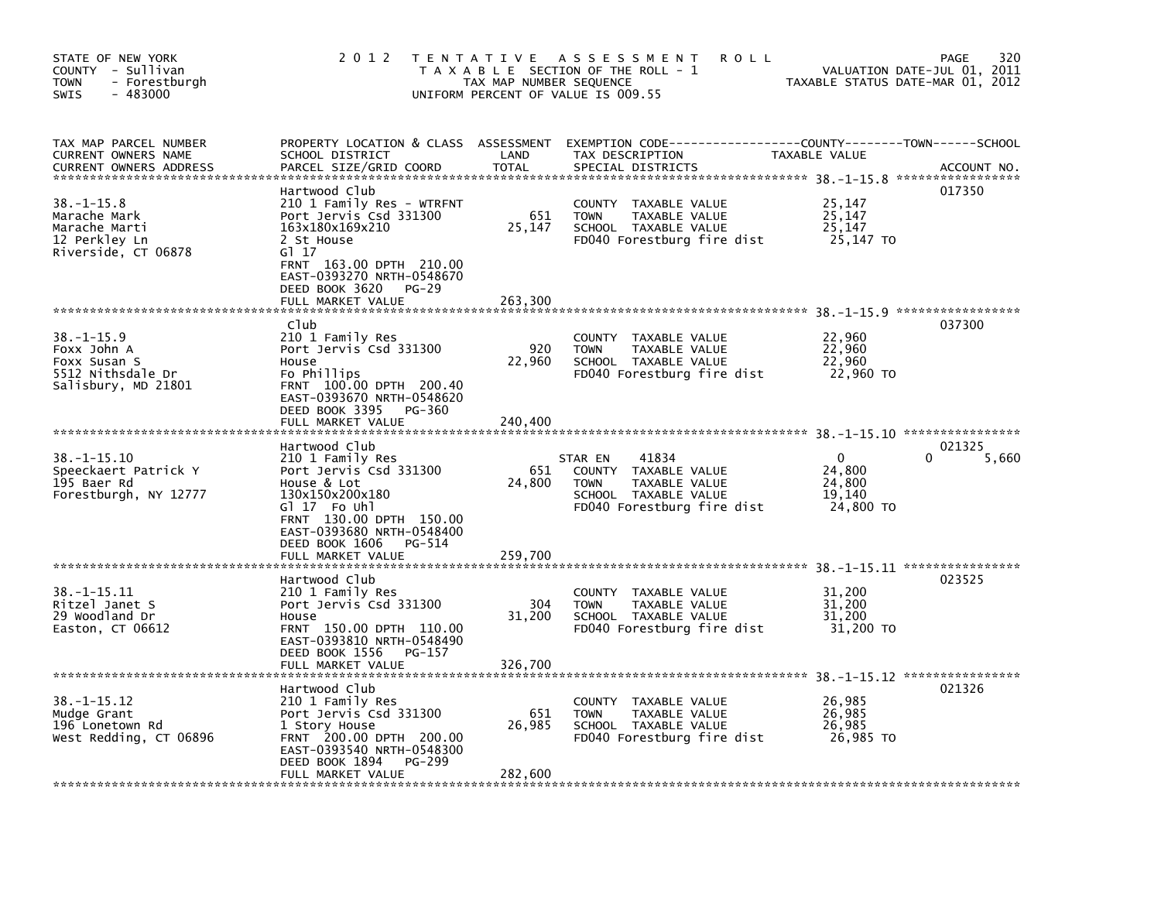| 2 0 1 2                                                                                                                                                                                           |                                                                                                                           |                                                                                                                        |                                                                                                                                           | 320<br>PAGE<br>2011                                                                                                                                                                                                                                                       |
|---------------------------------------------------------------------------------------------------------------------------------------------------------------------------------------------------|---------------------------------------------------------------------------------------------------------------------------|------------------------------------------------------------------------------------------------------------------------|-------------------------------------------------------------------------------------------------------------------------------------------|---------------------------------------------------------------------------------------------------------------------------------------------------------------------------------------------------------------------------------------------------------------------------|
| SCHOOL DISTRICT<br>PARCEL SIZE/GRID COORD                                                                                                                                                         | LAND<br><b>TOTAL</b>                                                                                                      | TAX DESCRIPTION<br>SPECIAL DISTRICTS                                                                                   |                                                                                                                                           | ACCOUNT NO.                                                                                                                                                                                                                                                               |
| Hartwood Club<br>210 1 Family Res - WTRFNT<br>Port Jervis Csd 331300<br>163x180x169x210<br>2 St House<br>G1 17<br>FRNT 163.00 DPTH 210.00<br>EAST-0393270 NRTH-0548670<br>DEED BOOK 3620<br>PG-29 | 651<br>25,147                                                                                                             | COUNTY TAXABLE VALUE<br>TAXABLE VALUE<br><b>TOWN</b><br>SCHOOL TAXABLE VALUE<br>FD040 Forestburg fire dist             | 25,147<br>25,147<br>25,147<br>25,147 TO                                                                                                   | 017350                                                                                                                                                                                                                                                                    |
|                                                                                                                                                                                                   |                                                                                                                           |                                                                                                                        |                                                                                                                                           |                                                                                                                                                                                                                                                                           |
| C <sub>1</sub> ub<br>210 1 Family Res<br>Port Jervis Csd 331300<br>House<br>Fo Phillips<br>FRNT 100.00 DPTH 200.40<br>EAST-0393670 NRTH-0548620<br>DEED BOOK 3395<br>PG-360                       | 920<br>22,960                                                                                                             | COUNTY TAXABLE VALUE<br>TAXABLE VALUE<br><b>TOWN</b><br>SCHOOL TAXABLE VALUE<br>FD040 Forestburg fire dist             | 22,960<br>22,960<br>22,960<br>22,960 TO                                                                                                   | 037300                                                                                                                                                                                                                                                                    |
|                                                                                                                                                                                                   |                                                                                                                           |                                                                                                                        |                                                                                                                                           |                                                                                                                                                                                                                                                                           |
| 210 1 Family Res<br>Port Jervis Csd 331300<br>House & Lot<br>130x150x200x180<br>GI 17 Fo Uhl<br>FRNT 130.00 DPTH 150.00<br>EAST-0393680 NRTH-0548400<br>DEED BOOK 1606<br>PG-514                  | 651<br>24,800                                                                                                             | 41834<br>COUNTY<br>TAXABLE VALUE<br>TAXABLE VALUE<br><b>TOWN</b><br>SCHOOL TAXABLE VALUE<br>FD040 Forestburg fire dist | $\Omega$<br>24,800<br>24,800<br>19,140<br>24,800 TO                                                                                       | 021325<br>5,660                                                                                                                                                                                                                                                           |
|                                                                                                                                                                                                   |                                                                                                                           |                                                                                                                        |                                                                                                                                           |                                                                                                                                                                                                                                                                           |
| 210 1 Family Res<br>Port Jervis Csd 331300<br>House<br>FRNT 150.00 DPTH 110.00<br>EAST-0393810 NRTH-0548490                                                                                       | 304<br>31,200                                                                                                             | COUNTY TAXABLE VALUE<br>TAXABLE VALUE<br><b>TOWN</b><br>SCHOOL TAXABLE VALUE<br>FD040 Forestburg fire dist             | 31,200<br>31,200<br>31,200<br>31,200 TO                                                                                                   | 023525                                                                                                                                                                                                                                                                    |
| FULL MARKET VALUE                                                                                                                                                                                 | 326.700                                                                                                                   |                                                                                                                        |                                                                                                                                           |                                                                                                                                                                                                                                                                           |
| Hartwood Club<br>210 1 Family Res<br>Port Jervis Csd 331300<br>1 Story House<br>FRNT 200.00 DPTH 200.00<br>EAST-0393540 NRTH-0548300<br>DEED BOOK 1894<br><b>PG-299</b><br>FULL MARKET VALUE      | 651<br>26,985<br>282,600                                                                                                  | COUNTY<br>TAXABLE VALUE<br>TAXABLE VALUE<br><b>TOWN</b><br>SCHOOL TAXABLE VALUE<br>FD040 Forestburg fire dist          | 26,985<br>26,985<br>26,985<br>26,985 TO                                                                                                   | 021326                                                                                                                                                                                                                                                                    |
|                                                                                                                                                                                                   | FULL MARKET VALUE<br>FULL MARKET VALUE<br>Hartwood Club<br>FULL MARKET VALUE<br>Hartwood Club<br>DEED BOOK 1556<br>PG-157 | 263,300<br>240,400<br>259,700                                                                                          | TENTATIVE ASSESSMENT<br>T A X A B L E SECTION OF THE ROLL - 1<br>TAX MAP NUMBER SEQUENCE<br>UNIFORM PERCENT OF VALUE IS 009.55<br>STAR EN | <b>ROLL</b><br>VALUATION DATE-JUL 01,<br>TAXABLE STATUS DATE-MAR 01, 2012<br>PROPERTY LOCATION & CLASS ASSESSMENT EXEMPTION CODE----------------COUNTY-------TOWN------SCHOOL<br><b>TAXABLE VALUE</b><br>38. -1-15.11 *****************<br>38. -1-15.12 ***************** |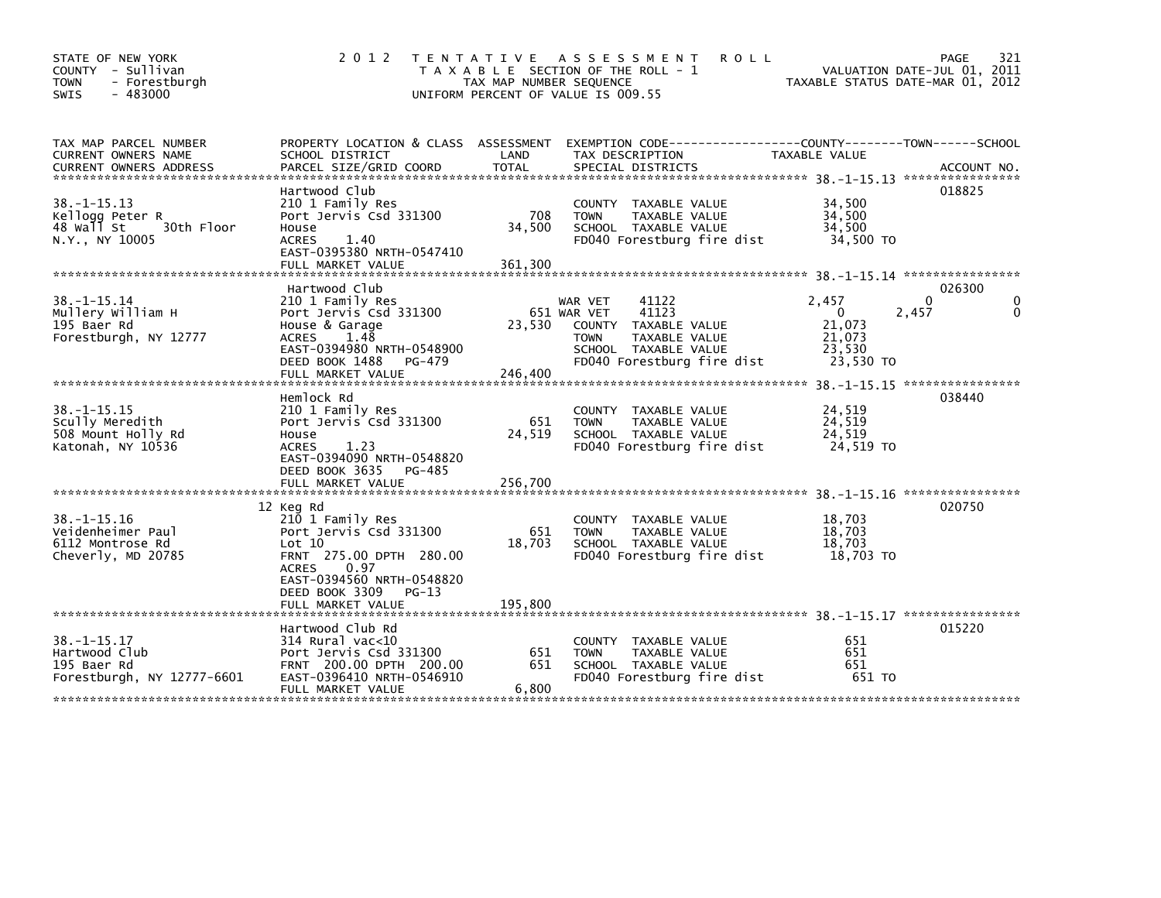| STATE OF NEW YORK<br>COUNTY - Sullivan<br><b>TOWN</b><br>- Forestburgh<br>$-483000$<br>SWIS | 2 0 1 2                                                                                                                                                                                           | TAX MAP NUMBER SEQUENCE  | TENTATIVE ASSESSMENT<br><b>ROLL</b><br>T A X A B L E SECTION OF THE ROLL - 1<br>UNIFORM PERCENT OF VALUE IS 009.55                              | VALUATION DATE-JUL 01, 2011<br>TAXABLE STATUS DATE-MAR 01, 2012            | 321<br>PAGE |
|---------------------------------------------------------------------------------------------|---------------------------------------------------------------------------------------------------------------------------------------------------------------------------------------------------|--------------------------|-------------------------------------------------------------------------------------------------------------------------------------------------|----------------------------------------------------------------------------|-------------|
| TAX MAP PARCEL NUMBER<br>CURRENT OWNERS NAME                                                | PROPERTY LOCATION & CLASS ASSESSMENT<br>SCHOOL DISTRICT                                                                                                                                           | LAND                     | EXEMPTION CODE-----------------COUNTY-------TOWN------SCHOOL<br>TAX DESCRIPTION                                                                 | TAXABLE VALUE                                                              |             |
| $38. -1 - 15.13$<br>Kellogg Peter R<br>48 Wall St<br>30th Floor<br>N.Y., NY 10005           | Hartwood Club<br>210 1 Family Res<br>Port Jervis Csd 331300<br>House<br><b>ACRES</b><br>1.40<br>EAST-0395380 NRTH-0547410<br>FULL MARKET VALUE                                                    | 708<br>34,500<br>361,300 | COUNTY TAXABLE VALUE<br><b>TAXABLE VALUE</b><br><b>TOWN</b><br>SCHOOL TAXABLE VALUE<br>FD040 Forestburg fire dist                               | 34,500<br>34,500<br>34,500<br>34,500 TO                                    | 018825      |
|                                                                                             | Hartwood Club                                                                                                                                                                                     |                          |                                                                                                                                                 |                                                                            | 026300      |
| $38. - 1 - 15.14$<br>Mullery William H<br>195 Baer Rd<br>Forestburgh, NY 12777              | 210 1 Family Res<br>Port Jervis Csd 331300<br>House & Garage<br><b>ACRES</b><br>1.48<br>EAST-0394980 NRTH-0548900<br>DEED BOOK 1488<br>PG-479                                                     | 23,530                   | 41122<br>WAR VET<br>41123<br>651 WAR VET<br>COUNTY TAXABLE VALUE<br>TAXABLE VALUE<br>TOWN<br>SCHOOL TAXABLE VALUE<br>FD040 Forestburg fire dist | 2,457<br>2,457<br>$\Omega$<br>21,073<br>21,073<br>23.530<br>23,530 TO      | 0<br>∩<br>0 |
|                                                                                             | FULL MARKET VALUE                                                                                                                                                                                 | 246,400                  |                                                                                                                                                 |                                                                            |             |
| $38. -1 - 15.15$<br>Scully Meredith<br>508 Mount Holly Rd<br>Katonah, NY 10536              | Hemlock Rd<br>210 1 Family Res<br>Port Jervis Csd 331300<br>House<br><b>ACRES</b><br>1.23<br>EAST-0394090 NRTH-0548820<br>DEED BOOK 3635<br>PG-485                                                | 651<br>24,519            | COUNTY TAXABLE VALUE<br><b>TAXABLE VALUE</b><br><b>TOWN</b><br>SCHOOL TAXABLE VALUE<br>FD040 Forestburg fire dist                               | 38. -1-15. 15 *****************<br>24,519<br>24,519<br>24,519<br>24,519 TO | 038440      |
|                                                                                             |                                                                                                                                                                                                   |                          |                                                                                                                                                 |                                                                            |             |
| $38. -1 - 15.16$<br>Veidenheimer Paul<br>6112 Montrose Rd<br>Cheverly, MD 20785             | 12 Keg Rd<br>210 1 Family Res<br>Port Jervis Csd 331300<br>Lot 10<br>FRNT 275.00 DPTH 280.00<br><b>ACRES</b><br>0.97<br>EAST-0394560 NRTH-0548820<br>DEED BOOK 3309<br>PG-13<br>FULL MARKET VALUE | 651<br>18,703<br>195,800 | COUNTY TAXABLE VALUE<br>TAXABLE VALUE<br><b>TOWN</b><br>SCHOOL TAXABLE VALUE<br>FD040 Forestburg fire dist                                      | 18,703<br>18,703<br>18,703<br>18,703 TO                                    | 020750      |
|                                                                                             |                                                                                                                                                                                                   |                          |                                                                                                                                                 |                                                                            |             |
| $38. -1 - 15.17$<br>Hartwood Club<br>195 Baer Rd<br>Forestburgh, NY 12777-6601              | Hartwood Club Rd<br>$314$ Rural vac<10<br>Port Jervis Csd 331300<br>FRNT 200.00 DPTH 200.00<br>EAST-0396410 NRTH-0546910<br>FULL MARKET VALUE                                                     | 651<br>651<br>6,800      | COUNTY TAXABLE VALUE<br><b>TOWN</b><br><b>TAXABLE VALUE</b><br>SCHOOL TAXABLE VALUE<br>FD040 Forestburg fire dist                               | 651<br>651<br>651<br>651 TO                                                | 015220      |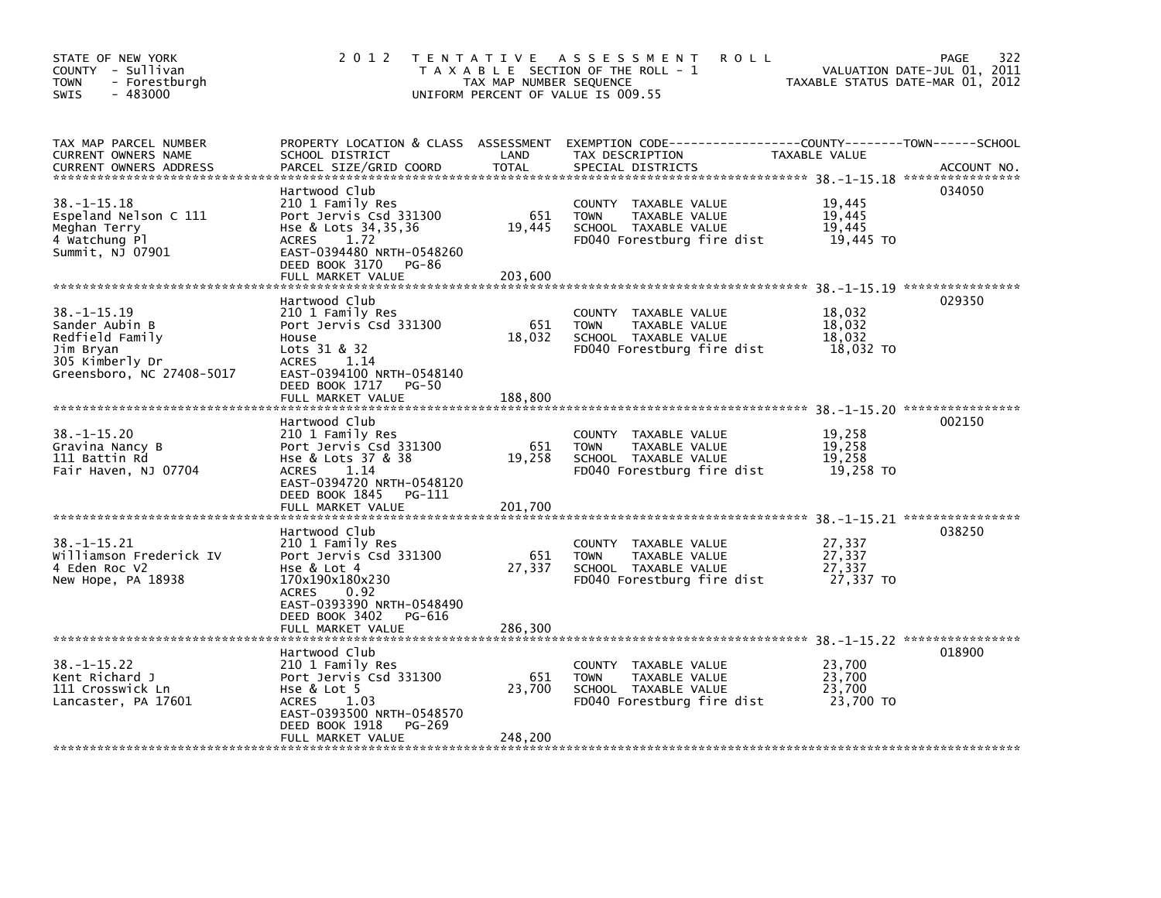| STATE OF NEW YORK<br>COUNTY - Sullivan<br>- Forestburgh<br><b>TOWN</b><br>$-483000$<br>SWIS                         | 2 0 1 2                                                                                                                                                                                 | TAX MAP NUMBER SEQUENCE  | TENTATIVE ASSESSMENT<br><b>ROLL</b><br>T A X A B L E SECTION OF THE ROLL - 1<br>UNIFORM PERCENT OF VALUE IS 009.55                       | VALUATION DATE-JUL 01, 2011<br>TAXABLE STATUS DATE-MAR 01, 2012 | 322<br><b>PAGE</b> |
|---------------------------------------------------------------------------------------------------------------------|-----------------------------------------------------------------------------------------------------------------------------------------------------------------------------------------|--------------------------|------------------------------------------------------------------------------------------------------------------------------------------|-----------------------------------------------------------------|--------------------|
| TAX MAP PARCEL NUMBER<br>CURRENT OWNERS NAME<br><b>CURRENT OWNERS ADDRESS</b>                                       | SCHOOL DISTRICT<br>PARCEL SIZE/GRID COORD                                                                                                                                               | LAND<br><b>TOTAL</b>     | PROPERTY LOCATION & CLASS ASSESSMENT EXEMPTION CODE----------------COUNTY-------TOWN------SCHOOL<br>TAX DESCRIPTION<br>SPECIAL DISTRICTS | TAXABLE VALUE                                                   | ACCOUNT NO.        |
| $38. - 1 - 15.18$<br>Espeland Nelson C 111<br>Meghan Terry<br>4 Watchung Pl<br>Summit, NJ 07901                     | Hartwood Club<br>210 1 Family Res<br>Port Jervis Csd 331300<br>Hse & Lots 34,35,36<br><b>ACRES</b><br>1.72<br>EAST-0394480 NRTH-0548260<br>DEED BOOK 3170<br>PG-86<br>FULL MARKET VALUE | 651<br>19,445<br>203.600 | COUNTY TAXABLE VALUE<br><b>TAXABLE VALUE</b><br><b>TOWN</b><br>SCHOOL TAXABLE VALUE<br>FD040 Forestburg fire dist                        | 19,445<br>19,445<br>19,445<br>19,445 TO                         | 034050             |
|                                                                                                                     |                                                                                                                                                                                         |                          |                                                                                                                                          |                                                                 |                    |
| $38. - 1 - 15.19$<br>Sander Aubin B<br>Redfield Family<br>Jim Bryan<br>305 Kimberly Dr<br>Greensboro, NC 27408-5017 | Hartwood Club<br>210 1 Family Res<br>Port Jervis Csd 331300<br>House<br>Lots 31 & 32<br><b>ACRES</b><br>1.14<br>EAST-0394100 NRTH-0548140                                               | 651<br>18,032            | COUNTY TAXABLE VALUE<br>TAXABLE VALUE<br><b>TOWN</b><br>SCHOOL TAXABLE VALUE<br>FD040 Forestburg fire dist                               | 18,032<br>18.032<br>18,032<br>18,032 TO                         | 029350             |
|                                                                                                                     | DEED BOOK 1717<br><b>PG-50</b><br>FULL MARKET VALUE                                                                                                                                     | 188,800                  |                                                                                                                                          |                                                                 |                    |
|                                                                                                                     |                                                                                                                                                                                         |                          |                                                                                                                                          |                                                                 |                    |
| $38. -1 - 15.20$<br>Gravina Nancy B<br>111 Battin Rd<br>Fair Haven, NJ 07704                                        | Hartwood Club<br>210 1 Family Res<br>Port Jervis Csd 331300<br>Hse & Lots 37 & 38<br><b>ACRES</b><br>1.14<br>EAST-0394720 NRTH-0548120<br>DEED BOOK 1845<br>PG-111<br>FULL MARKET VALUE | 651<br>19,258<br>201.700 | COUNTY TAXABLE VALUE<br><b>TOWN</b><br>TAXABLE VALUE<br>SCHOOL TAXABLE VALUE<br>FD040 Forestburg fire dist                               | 19,258<br>19.258<br>19,258<br>19,258 TO                         | 002150             |
|                                                                                                                     |                                                                                                                                                                                         |                          |                                                                                                                                          | 38. -1-15.21 *****************                                  |                    |
| $38. -1 - 15.21$<br>Williamson Frederick IV<br>4 Eden Roc V2<br>New Hope, PA 18938                                  | Hartwood Club<br>210 1 Family Res<br>Port Jervis Csd 331300<br>Hse & Lot 4<br>170x190x180x230<br><b>ACRES</b><br>0.92<br>EAST-0393390 NRTH-0548490                                      | 651<br>27,337            | COUNTY TAXABLE VALUE<br><b>TOWN</b><br>TAXABLE VALUE<br>SCHOOL TAXABLE VALUE<br>FD040 Forestburg fire dist                               | 27,337<br>27,337<br>27,337<br>27,337 TO                         | 038250             |
|                                                                                                                     | DEED BOOK 3402<br>PG-616<br>FULL MARKET VALUE                                                                                                                                           | 286,300                  |                                                                                                                                          |                                                                 |                    |
|                                                                                                                     | Hartwood Club                                                                                                                                                                           |                          |                                                                                                                                          |                                                                 | 018900             |
| $38. -1 - 15.22$<br>Kent Richard J<br>111 Crosswick Ln<br>Lancaster, PA 17601                                       | 210 1 Family Res<br>Port Jervis Csd 331300<br>Hse $&$ Lot $&$<br>ACRES<br>1.03<br>EAST-0393500 NRTH-0548570                                                                             | 651<br>23,700            | COUNTY TAXABLE VALUE<br>TAXABLE VALUE<br><b>TOWN</b><br>SCHOOL TAXABLE VALUE<br>FD040 Forestburg fire dist                               | 23,700<br>23,700<br>23,700<br>23,700 TO                         |                    |
|                                                                                                                     | DEED BOOK 1918<br><b>PG-269</b><br>FULL MARKET VALUE                                                                                                                                    | 248,200                  |                                                                                                                                          |                                                                 |                    |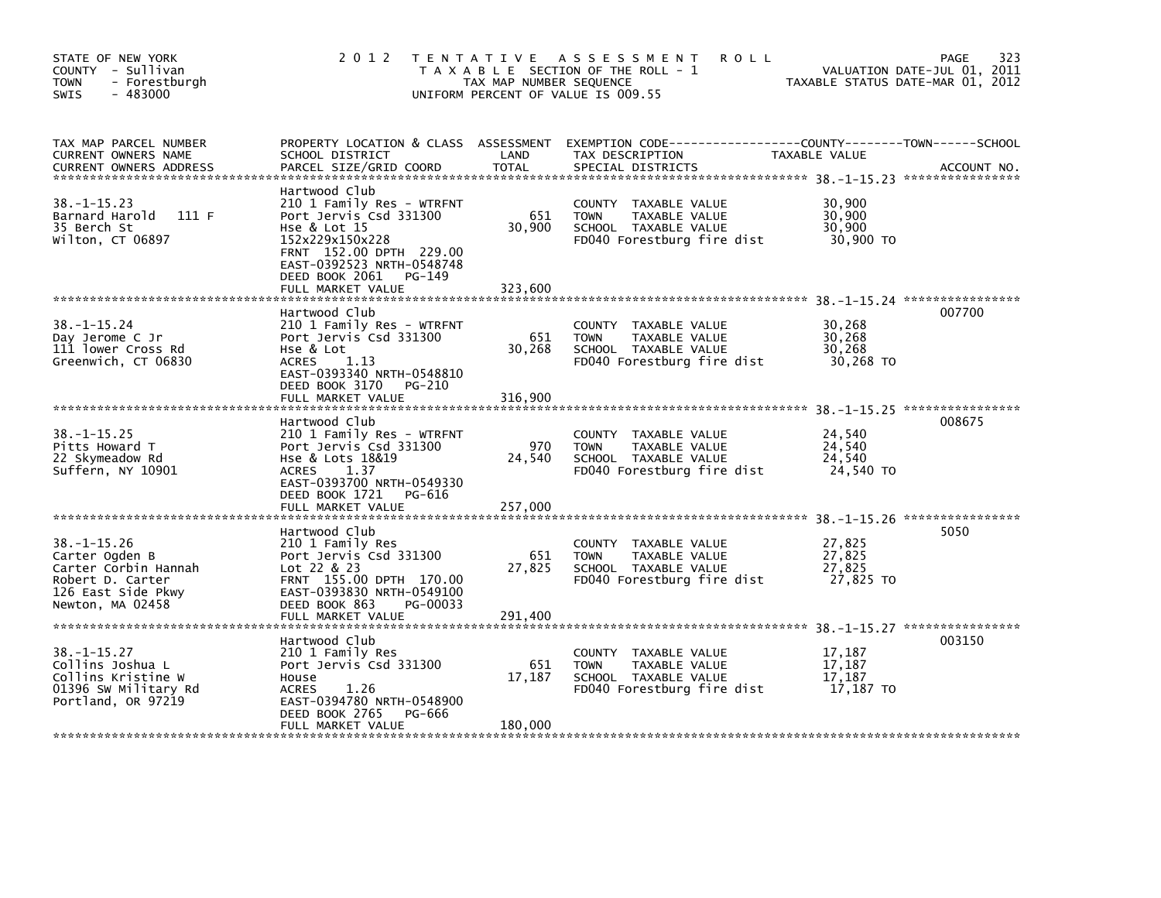| STATE OF NEW YORK<br>COUNTY - Sullivan<br><b>TOWN</b><br>- Forestburgh<br>$-483000$<br><b>SWIS</b>                        | 2 0 1 2                                                                                                                                                                                                          | TAX MAP NUMBER SEQUENCE  | TENTATIVE ASSESSMENT<br><b>ROLL</b><br>T A X A B L E SECTION OF THE ROLL - 1<br>UNIFORM PERCENT OF VALUE IS 009.55 |                                         | 323<br>PAGE<br>VALUATION DATE-JUL 01, 2011<br>TAXABLE STATUS DATE-MAR 01, 2012 |
|---------------------------------------------------------------------------------------------------------------------------|------------------------------------------------------------------------------------------------------------------------------------------------------------------------------------------------------------------|--------------------------|--------------------------------------------------------------------------------------------------------------------|-----------------------------------------|--------------------------------------------------------------------------------|
| TAX MAP PARCEL NUMBER<br>CURRENT OWNERS NAME<br><b>CURRENT OWNERS ADDRESS</b>                                             | PROPERTY LOCATION & CLASS ASSESSMENT<br>SCHOOL DISTRICT<br>PARCEL SIZE/GRID COORD                                                                                                                                | LAND<br><b>TOTAL</b>     | TAX DESCRIPTION<br>SPECIAL DISTRICTS                                                                               | TAXABLE VALUE                           | ACCOUNT NO.                                                                    |
| $38. -1 - 15.23$<br>Barnard Harold<br>111F<br>35 Berch St<br>Wilton, CT 06897                                             | Hartwood Club<br>210 1 Family Res - WTRFNT<br>Port Jervis Csd 331300<br>Hse & Lot 15<br>152x229x150x228<br>FRNT 152.00 DPTH 229.00<br>EAST-0392523 NRTH-0548748<br>DEED BOOK 2061<br>PG-149<br>FULL MARKET VALUE | 651<br>30,900<br>323,600 | COUNTY TAXABLE VALUE<br>TAXABLE VALUE<br><b>TOWN</b><br>SCHOOL TAXABLE VALUE<br>FD040 Forestburg fire dist         | 30,900<br>30,900<br>30,900<br>30,900 TO |                                                                                |
| $38. - 1 - 15.24$<br>Day Jerome C Jr<br>111 lower Cross Rd<br>Greenwich, CT 06830                                         | Hartwood Club<br>210 1 Family Res - WTRFNT<br>Port Jervis Csd 331300<br>Hse & Lot<br>ACRES<br>1.13<br>EAST-0393340 NRTH-0548810<br>DEED BOOK 3170<br>PG-210<br>FULL MARKET VALUE                                 | 651<br>30,268<br>316,900 | COUNTY TAXABLE VALUE<br><b>TOWN</b><br>TAXABLE VALUE<br>SCHOOL TAXABLE VALUE<br>FD040 Forestburg fire dist         | 30,268<br>30,268<br>30,268<br>30,268 TO | 007700                                                                         |
| $38. - 1 - 15.25$<br>Pitts Howard T<br>22 Skymeadow Rd<br>Suffern, NY 10901                                               | Hartwood Club<br>210 1 Family Res - WTRFNT<br>Port Jervis Csd 331300<br>Hse & Lots 18&19<br>ACRES<br>1.37<br>EAST-0393700 NRTH-0549330<br>DEED BOOK 1721<br>PG-616<br>FULL MARKET VALUE                          | 970<br>24,540<br>257,000 | COUNTY TAXABLE VALUE<br><b>TOWN</b><br>TAXABLE VALUE<br>SCHOOL TAXABLE VALUE<br>FD040 Forestburg fire dist         | 24,540<br>24.540<br>24.540<br>24,540 TO | 008675                                                                         |
| $38. - 1 - 15.26$<br>Carter Ogden B<br>Carter Corbin Hannah<br>Robert D. Carter<br>126 East Side Pkwy<br>Newton, MA 02458 | Hartwood Club<br>210 1 Family Res<br>Port Jervis Csd 331300<br>Lot 22 & 23<br>FRNT 155.00 DPTH 170.00<br>EAST-0393830 NRTH-0549100<br>DEED BOOK 863<br>PG-00033<br>FULL MARKET VALUE                             | 651<br>27,825<br>291,400 | COUNTY TAXABLE VALUE<br>TAXABLE VALUE<br><b>TOWN</b><br>SCHOOL TAXABLE VALUE<br>FD040 Forestburg fire dist         | 27,825<br>27,825<br>27,825<br>27,825 TO | 5050                                                                           |
| $38. - 1 - 15.27$<br>Collins Joshua L<br>Collins Kristine W<br>01396 SW Military Rd<br>Portland, OR 97219                 | Hartwood Club<br>210 1 Family Res<br>Port Jervis Csd 331300<br>House<br>1.26<br><b>ACRES</b><br>EAST-0394780 NRTH-0548900<br>DEED BOOK 2765<br>PG-666<br>FULL MARKET VALUE                                       | 651<br>17,187<br>180,000 | COUNTY TAXABLE VALUE<br><b>TOWN</b><br>TAXABLE VALUE<br>SCHOOL TAXABLE VALUE<br>FD040 Forestburg fire dist         | 17,187<br>17,187<br>17,187<br>17,187 TO | 003150                                                                         |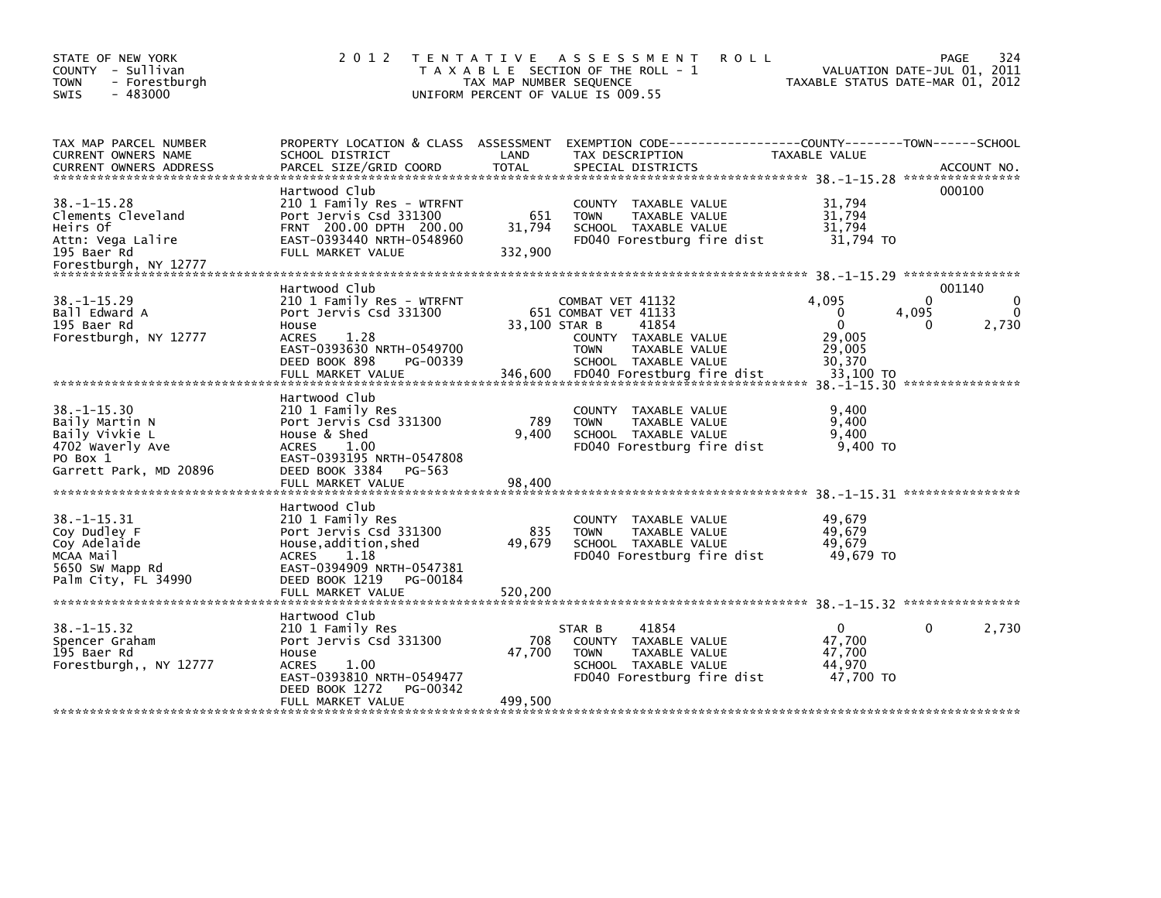| STATE OF NEW YORK<br>COUNTY - Sullivan<br><b>TOWN</b><br>- Forestburgh<br>$-483000$<br><b>SWIS</b>                                        | 2 0 1 2                                                                                                                                                                               | TENTATIVE ASSESSMENT<br><b>ROLL</b><br>T A X A B L E SECTION OF THE ROLL - 1<br>TAX MAP NUMBER SEQUENCE<br>UNIFORM PERCENT OF VALUE IS 009.55                                               | 324<br>PAGE<br>VALUATION DATE-JUL 01, 2011<br>TAXABLE STATUS DATE-MAR 01, 2012                                 |
|-------------------------------------------------------------------------------------------------------------------------------------------|---------------------------------------------------------------------------------------------------------------------------------------------------------------------------------------|---------------------------------------------------------------------------------------------------------------------------------------------------------------------------------------------|----------------------------------------------------------------------------------------------------------------|
| TAX MAP PARCEL NUMBER<br>CURRENT OWNERS NAME<br><b>CURRENT OWNERS ADDRESS</b>                                                             | PROPERTY LOCATION & CLASS ASSESSMENT<br>SCHOOL DISTRICT<br>PARCEL SIZE/GRID COORD                                                                                                     | LAND<br>TAX DESCRIPTION<br><b>TOTAL</b><br>SPECIAL DISTRICTS                                                                                                                                | EXEMPTION CODE-----------------COUNTY-------TOWN------SCHOOL<br>TAXABLE VALUE<br>ACCOUNT NO.                   |
| $38. -1 - 15.28$<br>Clements Cleveland<br>Heirs Of<br>Attn: Vega Lalire<br>195 Baer Rd<br>Forestburgh, NY 12777                           | Hartwood Club<br>210 1 Family Res - WTRFNT<br>Port Jervis Csd 331300<br>FRNT 200.00 DPTH 200.00<br>EAST-0393440 NRTH-0548960<br>FULL MARKET VALUE                                     | COUNTY TAXABLE VALUE<br>651<br><b>TOWN</b><br>TAXABLE VALUE<br>31,794<br>SCHOOL TAXABLE VALUE<br>FD040 Forestburg fire dist<br>332,900                                                      | 000100<br>31,794<br>31,794<br>31,794<br>31,794 TO                                                              |
| $38. - 1 - 15.29$<br>Ball Edward A<br>195 Baer Rd<br>Forestburgh, NY 12777                                                                | Hartwood Club<br>210 1 Family Res - WTRFNT<br>Port Jervis Csd 331300<br>House<br>1.28<br><b>ACRES</b><br>EAST-0393630 NRTH-0549700<br>DEED BOOK 898<br>PG-00339<br>FULL MARKET VALUE  | COMBAT VET 41132<br>651 COMBAT VET 41133<br>33,100 STAR B<br>41854<br>COUNTY TAXABLE VALUE<br><b>TOWN</b><br>TAXABLE VALUE<br>SCHOOL TAXABLE VALUE<br>346,600<br>FD040 Forestburg fire dist | 001140<br>4,095<br>0<br>$\Omega$<br>4,095<br>$\Omega$<br>2,730<br>0<br>29,005<br>29,005<br>30,370<br>33.100 TO |
| $38. - 1 - 15.30$<br>Baily Martin N<br>Baily Vivkie L<br>4702 Waverly Ave<br>PO Box 1<br>Garrett Park, MD 20896                           | Hartwood Club<br>210 1 Family Res<br>Port Jervis Csd 331300<br>House & Shed<br>ACRES<br>1.00<br>EAST-0393195 NRTH-0547808<br>DEED BOOK 3384<br>PG-563<br>FULL MARKET VALUE            | COUNTY TAXABLE VALUE<br>789<br><b>TOWN</b><br>TAXABLE VALUE<br>9.400<br>SCHOOL TAXABLE VALUE<br>FD040 Forestburg fire dist<br>98,400                                                        | 9,400<br>9,400<br>9.400<br>9,400 TO                                                                            |
| $38. -1 - 15.31$<br>Coy Dudley F<br>Coy Adelaide<br>MCAA Mail<br>5650 SW Mapp Rd<br>Palm City, FL 34990<br>****************************** | Hartwood Club<br>210 1 Family Res<br>Port Jervis Csd 331300<br>House, addition, shed<br>1.18<br>ACRES<br>EAST-0394909 NRTH-0547381<br>DEED BOOK 1219<br>PG-00184<br>FULL MARKET VALUE | COUNTY TAXABLE VALUE<br>835<br><b>TOWN</b><br>TAXABLE VALUE<br>49.679<br>SCHOOL TAXABLE VALUE<br>FD040 Forestburg fire dist<br>520,200                                                      | 49.679<br>49,679<br>49,679<br>49,679 TO                                                                        |
| $38. -1 - 15.32$<br>Spencer Graham<br>195 Baer Rd<br>Forestburgh,, NY 12777                                                               | Hartwood Club<br>210 1 Family Res<br>Port Jervis Csd 331300<br>House<br>1.00<br><b>ACRES</b><br>EAST-0393810 NRTH-0549477<br>DEED BOOK 1272<br>PG-00342<br>FULL MARKET VALUE          | 41854<br>STAR B<br>708<br>COUNTY TAXABLE VALUE<br>47,700<br>TAXABLE VALUE<br><b>TOWN</b><br>SCHOOL TAXABLE VALUE<br>FD040 Forestburg fire dist<br>499,500                                   | 2,730<br>$\mathbf{0}$<br>0<br>47,700<br>47,700<br>44,970<br>47,700 TO                                          |
|                                                                                                                                           |                                                                                                                                                                                       |                                                                                                                                                                                             |                                                                                                                |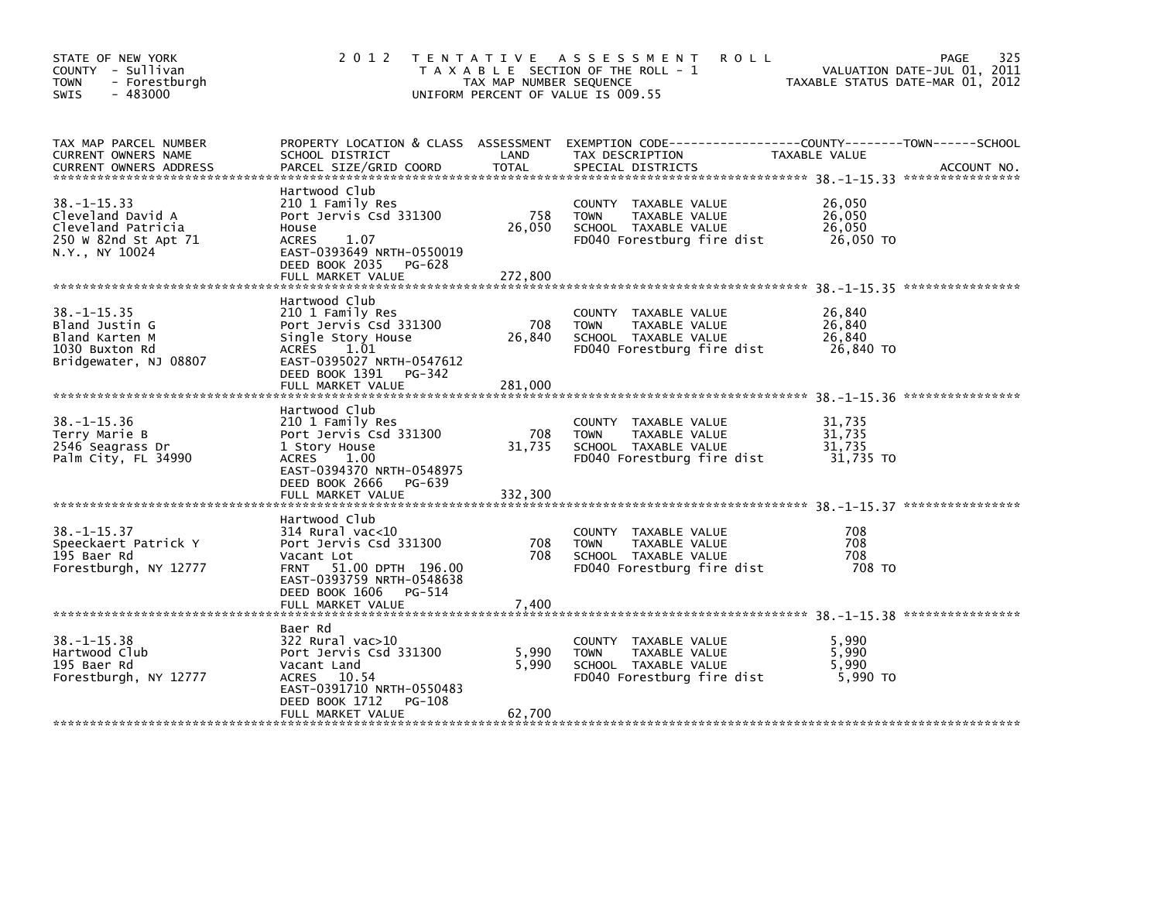| STATE OF NEW YORK<br>COUNTY - Sullivan<br><b>TOWN</b><br>- Forestburgh<br>$-483000$<br><b>SWIS</b>     | 2 0 1 2                                                                                                                                                                       | TAX MAP NUMBER SEQUENCE  | TENTATIVE ASSESSMENT<br>T A X A B L E SECTION OF THE ROLL - 1<br>UNIFORM PERCENT OF VALUE IS 009.55           | <b>ROLL</b>                             | 325<br><b>PAGE</b><br>VALUATION DATE-JUL 01, 2011<br>TAXABLE STATUS DATE-MAR 01, 2012 |
|--------------------------------------------------------------------------------------------------------|-------------------------------------------------------------------------------------------------------------------------------------------------------------------------------|--------------------------|---------------------------------------------------------------------------------------------------------------|-----------------------------------------|---------------------------------------------------------------------------------------|
| TAX MAP PARCEL NUMBER<br>CURRENT OWNERS NAME<br><b>CURRENT OWNERS ADDRESS</b>                          | PROPERTY LOCATION & CLASS ASSESSMENT<br>SCHOOL DISTRICT<br>PARCEL SIZE/GRID COORD                                                                                             | LAND<br>TOTAL            | TAX DESCRIPTION<br>SPECIAL DISTRICTS                                                                          | TAXABLE VALUE                           | ACCOUNT NO.                                                                           |
| $38. - 1 - 15.33$<br>Cleveland David A<br>Cleveland Patricia<br>250 W 82nd St Apt 71<br>N.Y., NY 10024 | Hartwood Club<br>210 1 Family Res<br>Port Jervis Csd 331300<br>House<br><b>ACRES</b><br>1.07<br>EAST-0393649 NRTH-0550019<br>DEED BOOK 2035 PG-628<br>FULL MARKET VALUE       | 758<br>26,050<br>272,800 | COUNTY TAXABLE VALUE<br>TAXABLE VALUE<br><b>TOWN</b><br>SCHOOL TAXABLE VALUE<br>FD040 Forestburg fire dist    | 26,050<br>26,050<br>26,050<br>26,050 TO |                                                                                       |
| $38. - 1 - 15.35$<br>Bland Justin G<br>Bland Karten M<br>1030 Buxton Rd<br>Bridgewater, NJ 08807       | Hartwood Club<br>210 1 Family Res<br>Port Jervis Csd 331300<br>Single Story House<br>ACRES<br>1.01<br>EAST-0395027 NRTH-0547612<br>DEED BOOK 1391 PG-342<br>FULL MARKET VALUE | 708<br>26,840<br>281,000 | COUNTY TAXABLE VALUE<br>TAXABLE VALUE<br><b>TOWN</b><br>SCHOOL TAXABLE VALUE<br>FD040 Forestburg fire dist    | 26,840<br>26,840<br>26,840<br>26,840 TO |                                                                                       |
| $38. - 1 - 15.36$<br>Terry Marie B<br>2546 Seagrass Dr<br>Palm City, FL 34990                          | Hartwood Club<br>210 1 Family Res<br>Port Jervis Csd 331300<br>1 Story House<br>1.00<br>ACRES<br>EAST-0394370 NRTH-0548975<br>DEED BOOK 2666<br>PG-639<br>FULL MARKET VALUE   | 708<br>31,735<br>332,300 | COUNTY<br>TAXABLE VALUE<br>TAXABLE VALUE<br><b>TOWN</b><br>SCHOOL TAXABLE VALUE<br>FD040 Forestburg fire dist | 31,735<br>31,735<br>31,735<br>31.735 TO |                                                                                       |
| $38. - 1 - 15.37$<br>Speeckaert Patrick Y<br>195 Baer Rd<br>Forestburgh, NY 12777                      | Hartwood Club<br>$314$ Rural vac< $10$<br>Port Jervis Csd 331300<br>Vacant Lot<br>FRNT 51.00 DPTH 196.00<br>EAST-0393759 NRTH-0548638<br>DEED BOOK 1606<br>PG-514             | 708<br>708               | COUNTY TAXABLE VALUE<br><b>TOWN</b><br>TAXABLE VALUE<br>SCHOOL TAXABLE VALUE<br>FD040 Forestburg fire dist    | 708<br>708<br>708<br>708 TO             |                                                                                       |
| $38. - 1 - 15.38$<br>Hartwood Club<br>195 Baer Rd<br>Forestburgh, NY 12777                             | Baer Rd<br>322 Rural vac>10<br>Port Jervis Csd 331300<br>Vacant Land<br>ACRES 10.54<br>EAST-0391710 NRTH-0550483<br>DEED BOOK 1712<br>PG-108<br>FULL MARKET VALUE             | 5,990<br>5,990<br>62,700 | COUNTY<br>TAXABLE VALUE<br><b>TOWN</b><br>TAXABLE VALUE<br>SCHOOL TAXABLE VALUE<br>FD040 Forestburg fire dist | 5.990<br>5,990<br>5,990<br>5.990 TO     |                                                                                       |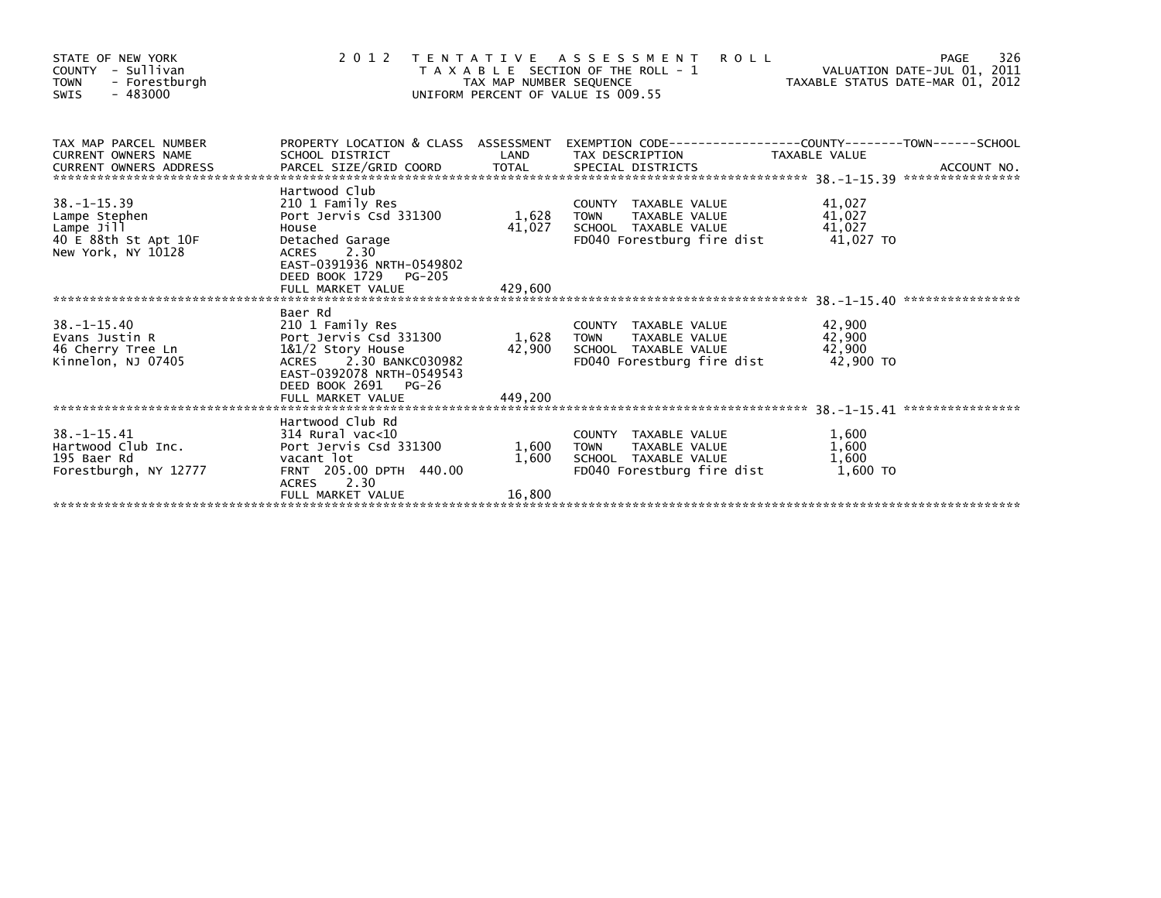| STATE OF NEW YORK<br>COUNTY - Sullivan<br>- Forestburgh<br><b>TOWN</b><br>$-483000$<br>SWIS    |                                                                                                                                                                       | TAX MAP NUMBER SEQUENCE | 2012 TENTATIVE ASSESSMENT<br><b>ROLL</b><br>T A X A B L E SECTION OF THE ROLL - 1<br>UNIFORM PERCENT OF VALUE IS 009.55 | VALUATION DATE-JUL 01, 2011<br>VALUATION DATE-JUL 01, 2011<br>TAXABLE STATUS DATE-MAR 01, 2012 | 326<br>PAGE |
|------------------------------------------------------------------------------------------------|-----------------------------------------------------------------------------------------------------------------------------------------------------------------------|-------------------------|-------------------------------------------------------------------------------------------------------------------------|------------------------------------------------------------------------------------------------|-------------|
| TAX MAP PARCEL NUMBER<br><b>CURRENT OWNERS NAME</b><br>CURRENT OWNERS ADDRESS                  | SCHOOL DISTRICT                                                                                                                                                       | LAND                    | PROPERTY LOCATION & CLASS ASSESSMENT EXEMPTION CODE----------------COUNTY-------TOWN-----SCHOOL<br>TAX DESCRIPTION      | <b>TAXABLE VALUE</b>                                                                           |             |
| $38. - 1 - 15.39$<br>Lampe Stephen<br>Lampe Jill<br>40 E 88th St Apt 10F<br>New York, NY 10128 | Hartwood Club<br>210 1 Family Res<br>Port Jervis Csd 331300<br>House<br>Detached Garage<br><b>ACRES</b><br>2.30<br>EAST-0391936 NRTH-0549802<br>DEED BOOK 1729 PG-205 | 1,628 TOWN<br>41,027    | COUNTY TAXABLE VALUE<br>TAXABLE VALUE<br>SCHOOL TAXABLE VALUE<br>FD040 Forestburg fire dist                             | 41,027<br>41,027<br>41,027<br>41,027 TO                                                        |             |
|                                                                                                |                                                                                                                                                                       |                         |                                                                                                                         |                                                                                                |             |
| $38. - 1 - 15.40$<br>Evans Justin R<br>46 Cherry Tree Ln<br>Kinnelon, NJ 07405                 | Baer Rd<br>210 1 Family Res<br>Port Jervis Csd 331300<br>1&1/2 Story House<br>ACRES 2.30 BANKC030982<br>EAST-0392078 NRTH-0549543<br>DEED BOOK 2691 PG-26             | 1,628 TOWN<br>42,900    | COUNTY TAXABLE VALUE<br>TAXABLE VALUE<br>SCHOOL TAXABLE VALUE<br>FD040 Forestburg fire dist                             | 42,900<br>42,900<br>42,900<br>42.900 TO                                                        |             |
|                                                                                                |                                                                                                                                                                       |                         |                                                                                                                         |                                                                                                |             |
| $38. - 1 - 15.41$<br>Hartwood Club Inc.<br>195 Baer Rd<br>Forestburgh, NY 12777                | Hartwood Club Rd<br>314 Rural vac<10<br>Port Jervis Csd 331300<br>vacant lot<br>FRNT 205.00 DPTH 440.00<br>ACRES 2.30                                                 | 1,600 TOWN<br>1,600     | COUNTY TAXABLE VALUE<br>TAXABLE VALUE<br>SCHOOL TAXABLE VALUE<br>FD040 Forestburg fire dist                             | 1,600<br>1,600<br>1,600<br>1,600 TO                                                            |             |
|                                                                                                | FULL MARKET VALUE                                                                                                                                                     | 16,800                  |                                                                                                                         |                                                                                                |             |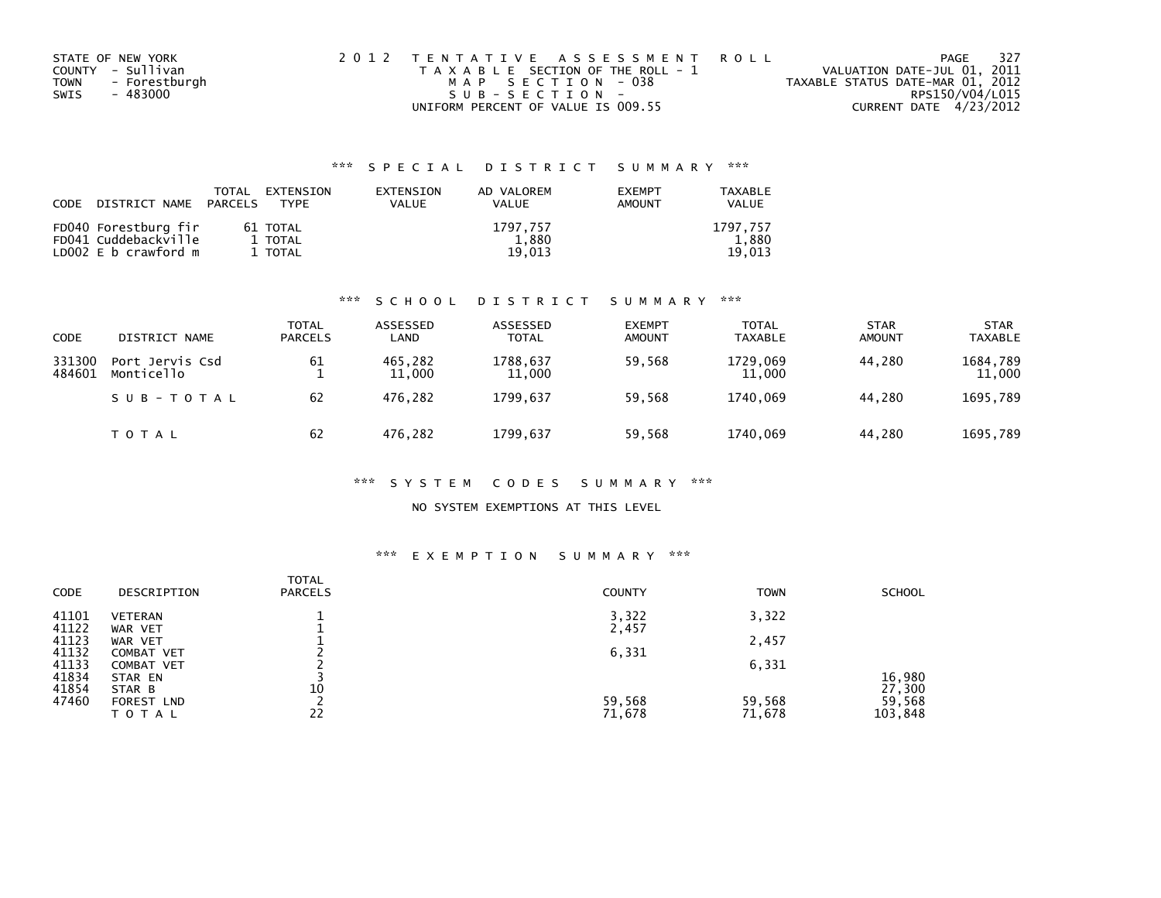| STATE OF NEW YORK            | 2012 TENTATIVE ASSESSMENT ROLL        | PAGE                             | - 327 |
|------------------------------|---------------------------------------|----------------------------------|-------|
| COUNTY - Sullivan            | T A X A B L E SECTION OF THE ROLL - 1 | VALUATION DATE-JUL 01, 2011      |       |
| - Forestburgh<br><b>TOWN</b> | MAP SECTION - 038                     | TAXABLE STATUS DATE-MAR 01, 2012 |       |
| SWIS<br>- 483000             | SUB-SECTION-                          | RPS150/V04/L015                  |       |
|                              | UNIFORM PERCENT OF VALUE IS 009.55    | CURRENT DATE 4/23/2012           |       |

| <b>CODE</b> | DISTRICT NAME                                                              | TOTAL<br>PARCELS | EXTENSION<br><b>TYPF</b>       | EXTENSION<br>VALUE | AD VALOREM<br><b>VALUE</b>  | <b>EXEMPT</b><br>AMOUNT | <b>TAXABLE</b><br>VALUE     |
|-------------|----------------------------------------------------------------------------|------------------|--------------------------------|--------------------|-----------------------------|-------------------------|-----------------------------|
|             | FD040 Forestburg fir<br>FD041 Cuddebackville<br>LD $002 \, E$ b crawford m |                  | 61 TOTAL<br>1 TOTAL<br>1 TOTAL |                    | 1797.757<br>1,880<br>19.013 |                         | 1797.757<br>1.880<br>19.013 |

### \*\*\* S C H O O L D I S T R I C T S U M M A R Y \*\*\*

| <b>CODE</b>      | DISTRICT NAME                 | <b>TOTAL</b><br><b>PARCELS</b> | ASSESSED<br>LAND  | ASSESSED<br><b>TOTAL</b> | <b>EXEMPT</b><br><b>AMOUNT</b> | <b>TOTAL</b><br><b>TAXABLE</b> | <b>STAR</b><br><b>AMOUNT</b> | <b>STAR</b><br><b>TAXABLE</b> |
|------------------|-------------------------------|--------------------------------|-------------------|--------------------------|--------------------------------|--------------------------------|------------------------------|-------------------------------|
| 331300<br>484601 | Port Jervis Csd<br>Monticello | 61                             | 465,282<br>11,000 | 1788.637<br>11,000       | 59.568                         | 1729.069<br>11,000             | 44.280                       | 1684,789<br>11,000            |
|                  | SUB-TOTAL                     | 62                             | 476.282           | 1799.637                 | 59.568                         | 1740.069                       | 44.280                       | 1695,789                      |
|                  | T O T A L                     | 62                             | 476.282           | 1799,637                 | 59,568                         | 1740,069                       | 44.280                       | 1695,789                      |

### \*\*\* S Y S T E M C O D E S S U M M A R Y \*\*\*

### NO SYSTEM EXEMPTIONS AT THIS LEVEL

# \*\*\* E X E M P T I O N S U M M A R Y \*\*\*

| <b>CODE</b> | DESCRIPTION       | <b>TOTAL</b><br><b>PARCELS</b> | <b>COUNTY</b> | <b>TOWN</b> | <b>SCHOOL</b> |
|-------------|-------------------|--------------------------------|---------------|-------------|---------------|
| 41101       | <b>VETERAN</b>    |                                | 3,322         | 3,322       |               |
| 41122       | WAR VET           |                                | 2,457         |             |               |
| 41123       | WAR VET           |                                |               | 2,457       |               |
| 41132       | <b>COMBAT VET</b> |                                | 6,331         |             |               |
| 41133       | <b>COMBAT VET</b> |                                |               | 6,331       |               |
| 41834       | STAR EN           |                                |               |             | 16,980        |
| 41854       | STAR B            | 10                             |               |             | 27,300        |
| 47460       | <b>FOREST LND</b> |                                | 59,568        | 59,568      | 59,568        |
|             | ΤΟΤΑΙ             | 22                             | 71,678        | 71,678      | 103,848       |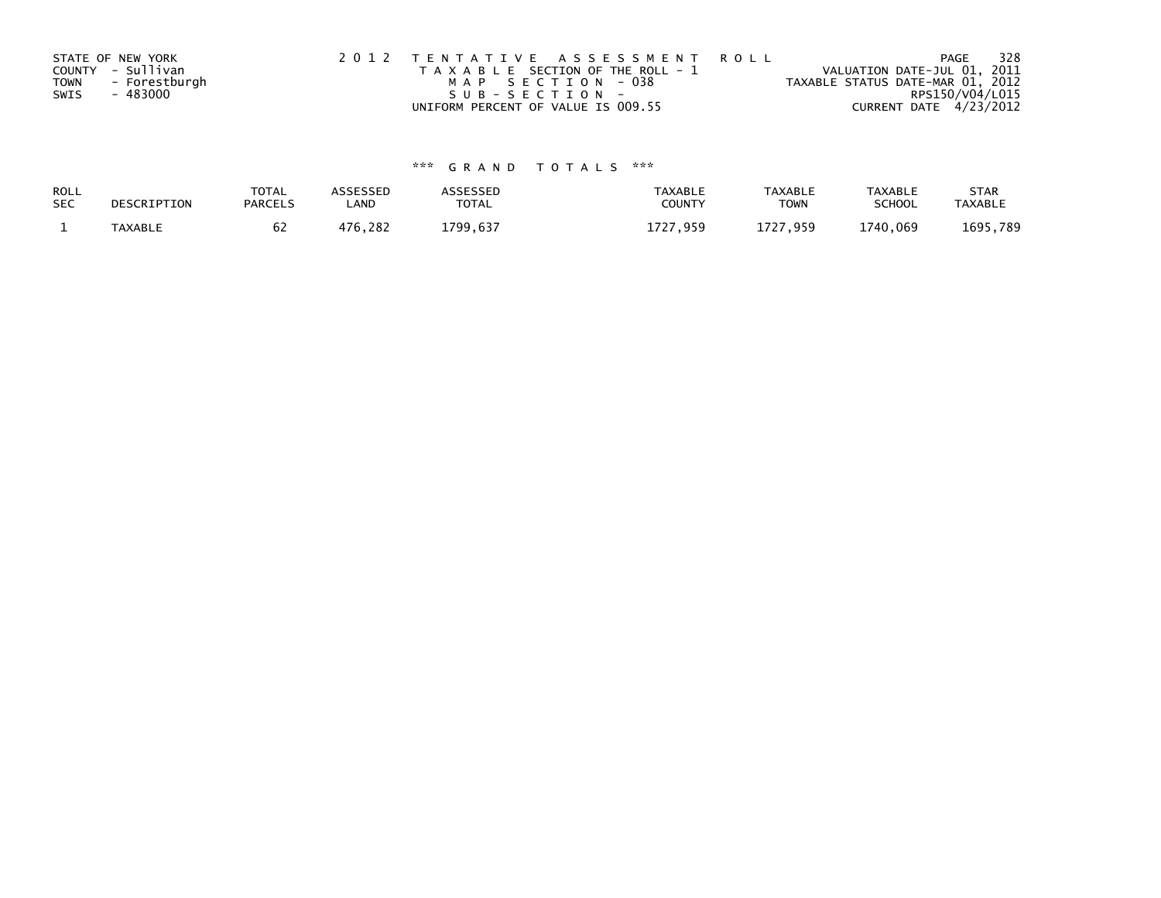|             | STATE OF NEW YORK | 2012 TENTATIVE ASSESSMENT ROLL        | PAGE                             | 328 |
|-------------|-------------------|---------------------------------------|----------------------------------|-----|
|             | COUNTY - Sullivan | T A X A B L E SECTION OF THE ROLL - 1 | VALUATION DATE-JUL 01, 2011      |     |
| <b>TOWN</b> | - Forestburgh     | MAP SECTION - 038                     | TAXABLE STATUS DATE-MAR 01, 2012 |     |
| SWIS        | - 483000          | $SUB - SECTION -$                     | RPS150/V04/L015                  |     |
|             |                   | UNIFORM PERCENT OF VALUE IS 009.55    | CURRENT DATE 4/23/2012           |     |

| ROLL<br><b>SEC</b> | DESCRIPTION    | <b>TOTAL</b><br><b>PARCELS</b> | ASSESSEP<br>LAND | `SSESSED<br>TOTAL    | <b>TAXABLE</b><br><b>COUNT</b> | <b>TAXABLE</b><br><b>TOWN</b> | TAXABLE<br><b>SCHOOL</b> | <b>STAR</b><br><b>TAXABLE</b> |
|--------------------|----------------|--------------------------------|------------------|----------------------|--------------------------------|-------------------------------|--------------------------|-------------------------------|
|                    | <b>TAXABLE</b> | o۷                             | 282<br>17C       | $\sim$ $\sim$<br>700 | $172 -$<br><b>Q50</b>          | 959<br>. J J J                | L740.069                 | 1695<br>789                   |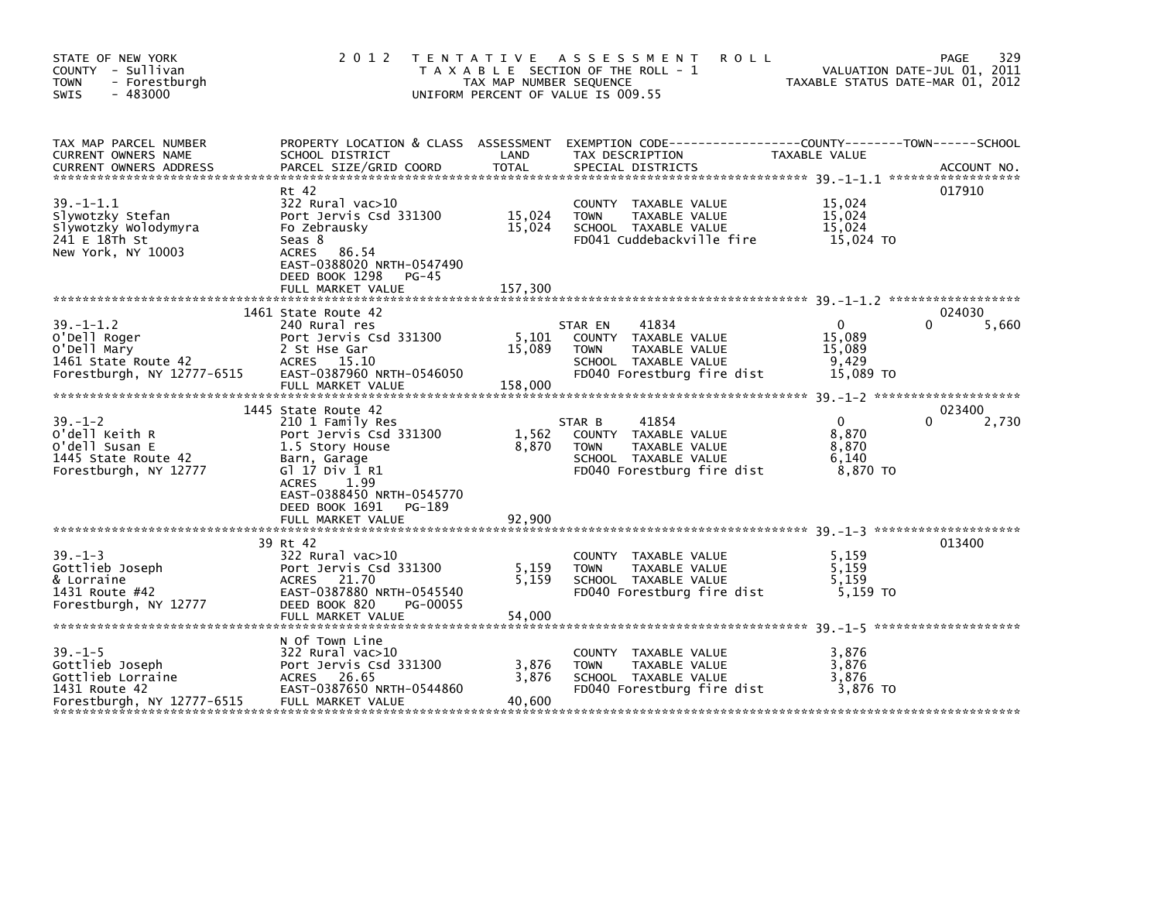| STATE OF NEW YORK<br>COUNTY - Sullivan<br><b>TOWN</b><br>- Forestburgh<br>$-483000$<br><b>SWIS</b>   | 2 0 1 2                                                                                                                                                                          | TAX MAP NUMBER SEQUENCE     | TENTATIVE ASSESSMENT<br><b>ROLL</b><br>T A X A B L E SECTION OF THE ROLL - 1<br>UNIFORM PERCENT OF VALUE IS 009.55             | TAXABLE STATUS DATE-MAR 01, 2012                    | 329<br>PAGE<br>VALUATION DATE-JUL 01, 2011 |
|------------------------------------------------------------------------------------------------------|----------------------------------------------------------------------------------------------------------------------------------------------------------------------------------|-----------------------------|--------------------------------------------------------------------------------------------------------------------------------|-----------------------------------------------------|--------------------------------------------|
| TAX MAP PARCEL NUMBER<br>CURRENT OWNERS NAME<br><b>CURRENT OWNERS ADDRESS</b>                        | PROPERTY LOCATION & CLASS ASSESSMENT<br>SCHOOL DISTRICT<br>PARCEL SIZE/GRID COORD                                                                                                | LAND<br><b>TOTAL</b>        | EXEMPTION CODE-----------------COUNTY-------TOWN------SCHOOL<br>TAX DESCRIPTION<br>SPECIAL DISTRICTS                           | TAXABLE VALUE                                       | ACCOUNT NO.                                |
| $39. - 1 - 1.1$<br>Slywotzky Stefan<br>Slywotzky Wolodymyra<br>241 E 18Th St<br>New York, NY 10003   | Rt 42<br>322 Rural vac>10<br>Port Jervis Csd 331300<br>Fo Zebrausky<br>Seas 8<br>ACRES 86.54<br>EAST-0388020 NRTH-0547490<br>DEED BOOK 1298<br>PG-45<br>FULL MARKET VALUE        | 15,024<br>15,024<br>157,300 | COUNTY TAXABLE VALUE<br>TAXABLE VALUE<br><b>TOWN</b><br>SCHOOL TAXABLE VALUE<br>FD041 Cuddebackville fire                      | 15,024<br>15,024<br>15,024<br>15,024 TO             | 017910                                     |
|                                                                                                      |                                                                                                                                                                                  |                             |                                                                                                                                |                                                     |                                            |
| $39. - 1 - 1.2$<br>O'Dell Roger<br>O'Dell Mary<br>1461 State Route 42<br>Forestburgh, NY 12777-6515  | 1461 State Route 42<br>240 Rural res<br>Port Jervis Csd 331300<br>2 St Hse Gar<br>ACRES 15.10<br>EAST-0387960 NRTH-0546050<br>FULL MARKET VALUE                                  | 5,101<br>15,089<br>158,000  | 41834<br>STAR EN<br>COUNTY TAXABLE VALUE<br>TAXABLE VALUE<br><b>TOWN</b><br>SCHOOL TAXABLE VALUE<br>FD040 Forestburg fire dist | $\Omega$<br>15,089<br>15,089<br>9.429<br>15,089 TO  | 024030<br>5,660<br>0                       |
|                                                                                                      | 1445 State Route 42                                                                                                                                                              |                             |                                                                                                                                |                                                     | 023400                                     |
| $39. - 1 - 2$<br>o'dell Keith R<br>O'dell Susan E<br>1445 State Route 42<br>Forestburgh, NY 12777    | 210 1 Family Res<br>Port Jervis Csd 331300<br>1.5 Story House<br>Barn, Garage<br>G1 17 Div 1 R1<br><b>ACRES</b><br>1.99<br>EAST-0388450 NRTH-0545770<br>DEED BOOK 1691<br>PG-189 | 1,562<br>8,870              | 41854<br>STAR B<br>COUNTY TAXABLE VALUE<br>TAXABLE VALUE<br><b>TOWN</b><br>SCHOOL TAXABLE VALUE<br>FD040 Forestburg fire dist  | $\mathbf{0}$<br>8,870<br>8,870<br>6.140<br>8,870 TO | 2,730                                      |
|                                                                                                      | FULL MARKET VALUE                                                                                                                                                                | 92,900                      |                                                                                                                                |                                                     |                                            |
| $39. - 1 - 3$<br>Gottlieb Joseph<br>& Lorraine<br>1431 Route #42<br>Forestburgh, NY 12777            | 39 Rt 42<br>322 Rural vac>10<br>Port Jervis Csd 331300<br>ACRES 21.70<br>EAST-0387880 NRTH-0545540<br>DEED BOOK 820<br>PG-00055<br>FULL MARKET VALUE                             | 5,159<br>5,159<br>54,000    | COUNTY TAXABLE VALUE<br>TAXABLE VALUE<br><b>TOWN</b><br>SCHOOL TAXABLE VALUE<br>FD040 Forestburg fire dist                     | 5,159<br>5,159<br>5,159<br>5,159 TO                 | 013400                                     |
| $39. - 1 - 5$<br>Gottlieb Joseph<br>Gottlieb Lorraine<br>1431 Route 42<br>Forestburgh, NY 12777-6515 | N Of Town Line<br>322 Rural vac>10<br>Port Jervis Csd 331300<br>ACRES 26.65<br>EAST-0387650 NRTH-0544860<br>FULL MARKET VALUE                                                    | 3,876<br>3,876<br>40,600    | COUNTY TAXABLE VALUE<br>TAXABLE VALUE<br><b>TOWN</b><br>SCHOOL TAXABLE VALUE<br>FD040 Forestburg fire dist                     | 3,876<br>3.876<br>3,876<br>3.876 TO                 |                                            |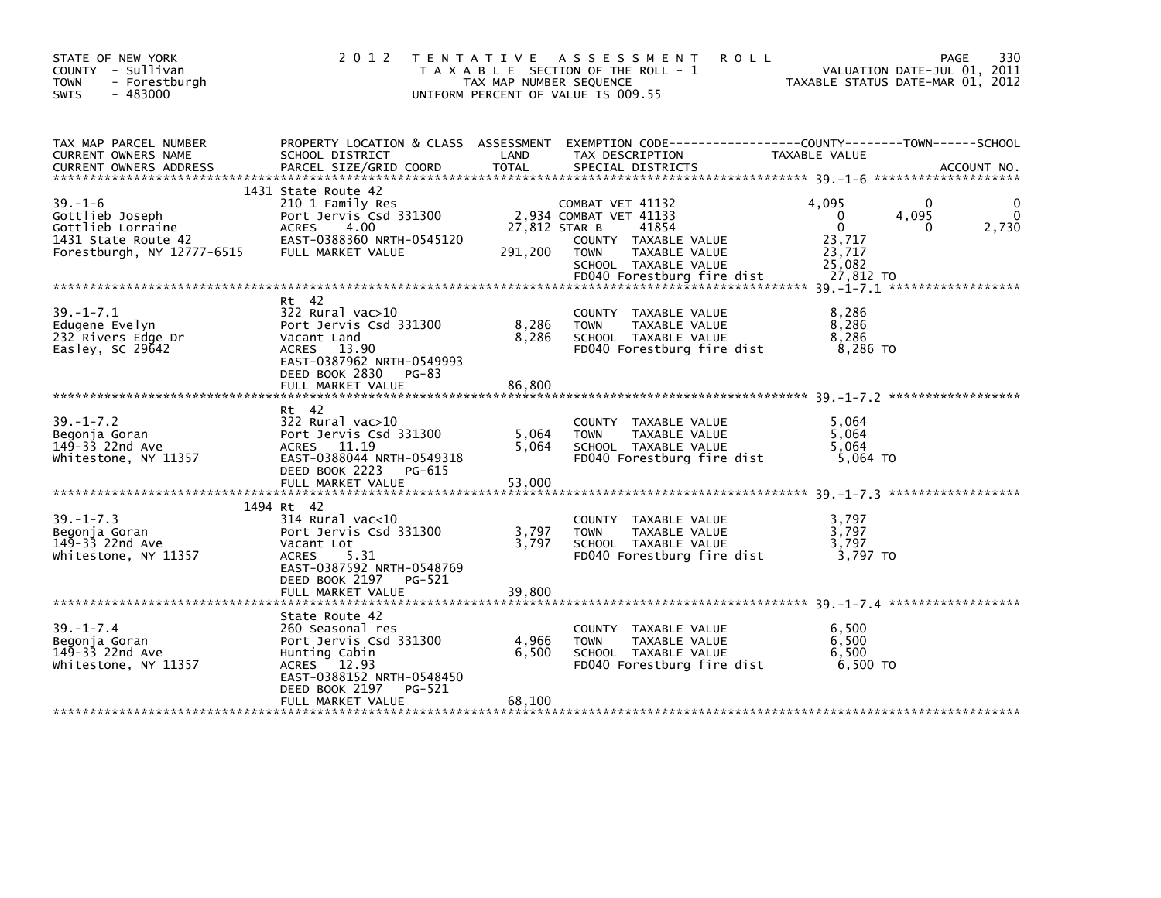| STATE OF NEW YORK<br>COUNTY - Sullivan<br><b>TOWN</b><br>- Forestburgh<br>$-483000$<br><b>SWIS</b>         | 2012                                                                                                                                                                       | TAX MAP NUMBER SEQUENCE  | TENTATIVE ASSESSMENT<br>T A X A B L E SECTION OF THE ROLL - 1<br>UNIFORM PERCENT OF VALUE IS 009.55                                                               | <b>ROLL</b><br>TAXABLE STATUS DATE-MAR 01, 2012                          | 330<br>PAGE<br>VALUATION DATE-JUL 01, 2011 |
|------------------------------------------------------------------------------------------------------------|----------------------------------------------------------------------------------------------------------------------------------------------------------------------------|--------------------------|-------------------------------------------------------------------------------------------------------------------------------------------------------------------|--------------------------------------------------------------------------|--------------------------------------------|
| TAX MAP PARCEL NUMBER<br>CURRENT OWNERS NAME                                                               | PROPERTY LOCATION & CLASS ASSESSMENT EXEMPTION CODE---------------COUNTY-------TOWN-----SCHOOL<br>SCHOOL DISTRICT                                                          | LAND                     | TAX DESCRIPTION                                                                                                                                                   | TAXABLE VALUE                                                            |                                            |
| $39. - 1 - 6$<br>Gottlieb Joseph<br>Gottlieb Lorraine<br>1431 State Route 42<br>Forestburgh, NY 12777-6515 | 1431 State Route 42<br>210 1 Family Res<br>Port Jervis Csd 331300<br>ACRES 4.00<br>EAST-0388360 NRTH-0545120<br>FULL MARKET VALUE                                          | 27,812 STAR B<br>291,200 | COMBAT VET 41132<br>2,934 COMBAT VET 41133<br>41854<br>COUNTY TAXABLE VALUE<br><b>TOWN</b><br>TAXABLE VALUE<br>SCHOOL TAXABLE VALUE<br>FD040 Forestburg fire dist | 4.095<br>$\Omega$<br>$\Omega$<br>23,717<br>23,717<br>25,082<br>27,812 TO | $\Omega$<br>4,095<br>2,730<br>0            |
| $39. - 1 - 7.1$<br>Edugene Evelyn<br>232 Rivers Edge Dr<br>Easley, SC $29642$                              | Rt 42<br>322 Rural vac>10<br>Port Jervis Csd 331300<br>Vacant Land<br>ACRES 13.90<br>EAST-0387962 NRTH-0549993<br>DEED BOOK 2830<br>PG-83<br>FULL MARKET VALUE             | 8,286<br>8,286<br>86,800 | COUNTY TAXABLE VALUE<br>TAXABLE VALUE<br><b>TOWN</b><br>SCHOOL TAXABLE VALUE<br>FD040 Forestburg fire dist                                                        | 8,286<br>8,286<br>8,286<br>8,286 TO                                      |                                            |
| $39. - 1 - 7.2$<br>Begonja Goran<br>149-33 22nd Ave<br>Whitestone, NY 11357                                | Rt 42<br>322 Rural vac>10<br>Port Jervis Csd 331300<br>ACRES 11.19<br>EAST-0388044 NRTH-0549318<br>DEED BOOK 2223 PG-615<br>FULL MARKET VALUE                              | 5,064<br>5,064<br>53,000 | COUNTY TAXABLE VALUE<br>TAXABLE VALUE<br><b>TOWN</b><br>SCHOOL TAXABLE VALUE<br>FD040 Forestburg fire dist                                                        | 5,064<br>5.064<br>5,064<br>5,064 TO                                      |                                            |
| $39. - 1 - 7.3$<br>Begonja Goran<br>149-33 22nd Ave<br>Whitestone, NY 11357                                | 1494 Rt 42<br>$314$ Rural vac<10<br>Port Jervis Csd 331300<br>Vacant Lot<br>ACRES 5.31<br>EAST-0387592 NRTH-0548769<br>FULL MARKET VALUE                                   | 3,797<br>3,797<br>39,800 | COUNTY TAXABLE VALUE<br>TAXABLE VALUE<br><b>TOWN</b><br>SCHOOL TAXABLE VALUE<br>FD040 Forestburg fire dist                                                        | 3,797<br>3,797<br>3,797<br>3,797 TO                                      |                                            |
| $39. - 1 - 7.4$<br>Begonja Goran<br>149-33 22nd Ave<br>Whitestone, NY 11357                                | State Route 42<br>260 Seasonal res<br>Port Jervis Csd 331300<br>Hunting Cabin<br>ACRES 12.93<br>EAST-0388152 NRTH-0548450<br>DEED BOOK 2197<br>PG-521<br>FULL MARKET VALUE | 4,966<br>6,500<br>68,100 | COUNTY TAXABLE VALUE<br><b>TOWN</b><br>TAXABLE VALUE<br>SCHOOL TAXABLE VALUE<br>FD040 Forestburg fire dist                                                        | 6.500<br>6,500<br>6,500<br>6,500 TO                                      |                                            |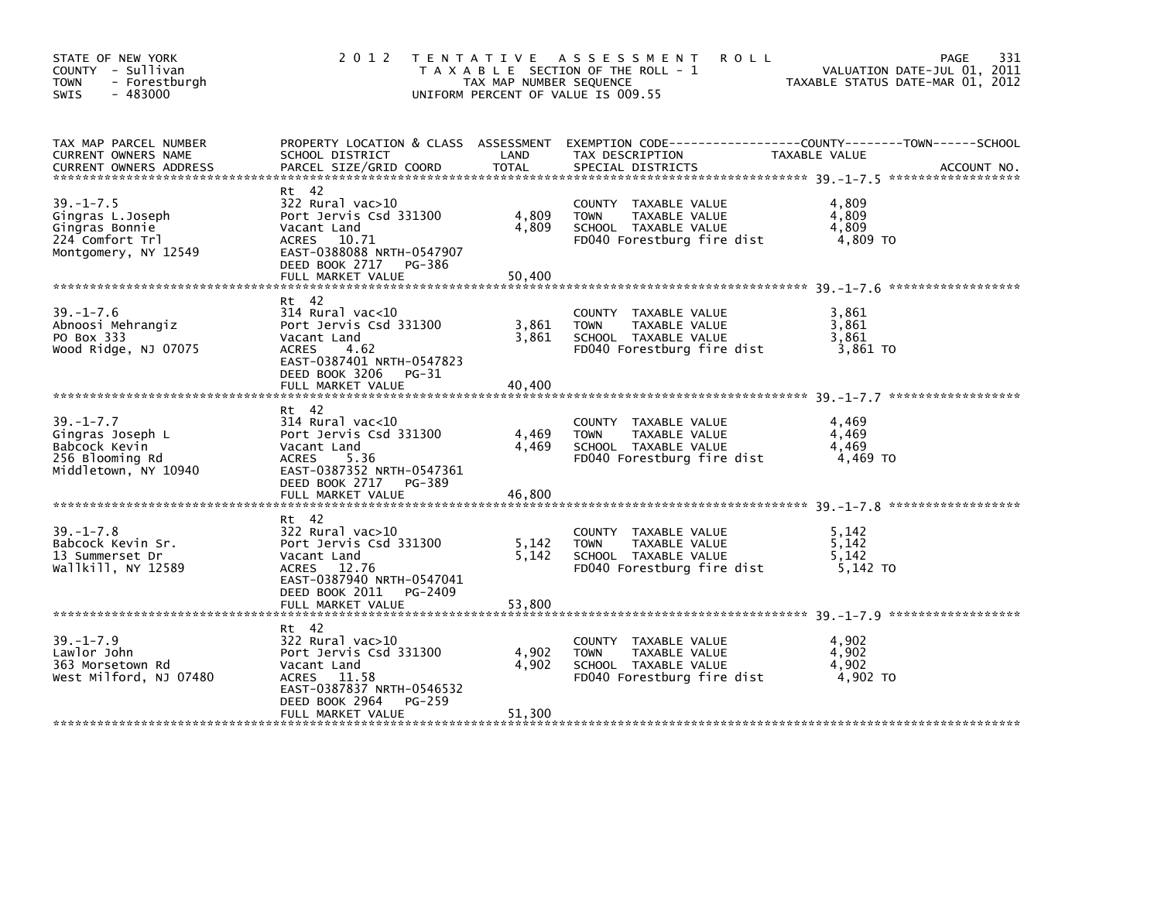| STATE OF NEW YORK<br>COUNTY - Sullivan<br><b>TOWN</b><br>- Forestburgh<br>$-483000$<br><b>SWIS</b> | 2 0 1 2                                                                                                                                          | TAX MAP NUMBER SEQUENCE | TENTATIVE ASSESSMENT<br><b>ROLL</b><br>T A X A B L E SECTION OF THE ROLL - 1<br>UNIFORM PERCENT OF VALUE IS 009.55 | VALUATION DATE-JUL 01, 2011<br>TAXABLE STATUS DATE-MAR 01, 2012 | 331<br>PAGE |
|----------------------------------------------------------------------------------------------------|--------------------------------------------------------------------------------------------------------------------------------------------------|-------------------------|--------------------------------------------------------------------------------------------------------------------|-----------------------------------------------------------------|-------------|
| TAX MAP PARCEL NUMBER<br>CURRENT OWNERS NAME                                                       | PROPERTY LOCATION & CLASS ASSESSMENT EXEMPTION CODE---------------COUNTY-------TOWN------SCHOOL<br>SCHOOL DISTRICT                               | LAND                    | TAX DESCRIPTION                                                                                                    | TAXABLE VALUE                                                   |             |
| $39. - 1 - 7.5$<br>Gingras L.Joseph<br>Gingras Bonnie<br>224 Comfort Trl<br>Montgomery, NY 12549   | Rt 42<br>$322$ Rural vac $>10$<br>Port Jervis Csd 331300<br>Vacant Land<br>ACRES 10.71<br>EAST-0388088 NRTH-0547907<br>DEED BOOK 2717 PG-386     | 4,809<br>4,809          | COUNTY TAXABLE VALUE<br>TAXABLE VALUE<br><b>TOWN</b><br>SCHOOL TAXABLE VALUE<br>FD040 Forestburg fire dist         | 4.809<br>4,809<br>4,809<br>4,809 TO                             |             |
|                                                                                                    | FULL MARKET VALUE                                                                                                                                | 50,400                  |                                                                                                                    |                                                                 |             |
| $39. - 1 - 7.6$<br>Abnoosi Mehrangiz<br>PO Box 333<br>Wood Ridge, NJ 07075                         | Rt 42<br>$314$ Rural vac< $10$<br>Port Jervis Csd 331300<br>Vacant Land<br><b>ACRES</b><br>4.62<br>EAST-0387401 NRTH-0547823                     | 3,861<br>3,861          | COUNTY TAXABLE VALUE<br>TAXABLE VALUE<br><b>TOWN</b><br>SCHOOL TAXABLE VALUE<br>FD040 Forestburg fire dist         | 3.861<br>3,861<br>3,861<br>3,861 TO                             |             |
|                                                                                                    | DEED BOOK 3206 PG-31<br>FULL MARKET VALUE                                                                                                        | 40,400                  |                                                                                                                    |                                                                 |             |
| $39. - 1 - 7.7$<br>Gingras Joseph L<br>Babcock Kevin<br>256 Blooming Rd<br>Middletown, NY 10940    | Rt 42<br>$314$ Rural vac< $10$<br>Port Jervis Csd 331300<br>Vacant Land<br>ACRES<br>5.36<br>EAST-0387352 NRTH-0547361<br>DEED BOOK 2717 PG-389   | 4,469<br>4,469          | COUNTY TAXABLE VALUE<br>TAXABLE VALUE<br><b>TOWN</b><br>SCHOOL TAXABLE VALUE<br>FD040 Forestburg fire dist         | 4,469<br>4,469<br>4,469<br>4.469 TO                             |             |
|                                                                                                    | FULL MARKET VALUE                                                                                                                                | 46,800                  |                                                                                                                    |                                                                 |             |
| $39. - 1 - 7.8$<br>Babcock Kevin Sr.<br>13 Summerset Dr<br>Wallkill, NY 12589                      | Rt 42<br>$322$ Rural vac $>10$<br>Port Jervis Csd 331300<br>Vacant Land<br>ACRES 12.76<br>EAST-0387940 NRTH-0547041<br>DEED BOOK 2011<br>PG-2409 | 5,142<br>5,142          | COUNTY TAXABLE VALUE<br><b>TOWN</b><br>TAXABLE VALUE<br>SCHOOL TAXABLE VALUE<br>FD040 Forestburg fire dist         | 5,142<br>5,142<br>5,142<br>5,142 TO                             |             |
|                                                                                                    |                                                                                                                                                  |                         |                                                                                                                    |                                                                 |             |
| $39. - 1 - 7.9$<br>Lawlor John<br>363 Morsetown Rd<br>West Milford, NJ 07480                       | Rt 42<br>322 Rural vac>10<br>Port Jervis Csd 331300<br>Vacant Land<br>ACRES 11.58<br>EAST-0387837 NRTH-0546532<br>DEED BOOK 2964<br>PG-259       | 4,902<br>4,902          | COUNTY TAXABLE VALUE<br><b>TOWN</b><br>TAXABLE VALUE<br>SCHOOL TAXABLE VALUE<br>FD040 Forestburg fire dist         | 4,902<br>4,902<br>4,902<br>4.902 TO                             |             |
|                                                                                                    | FULL MARKET VALUE                                                                                                                                | 51,300                  |                                                                                                                    |                                                                 |             |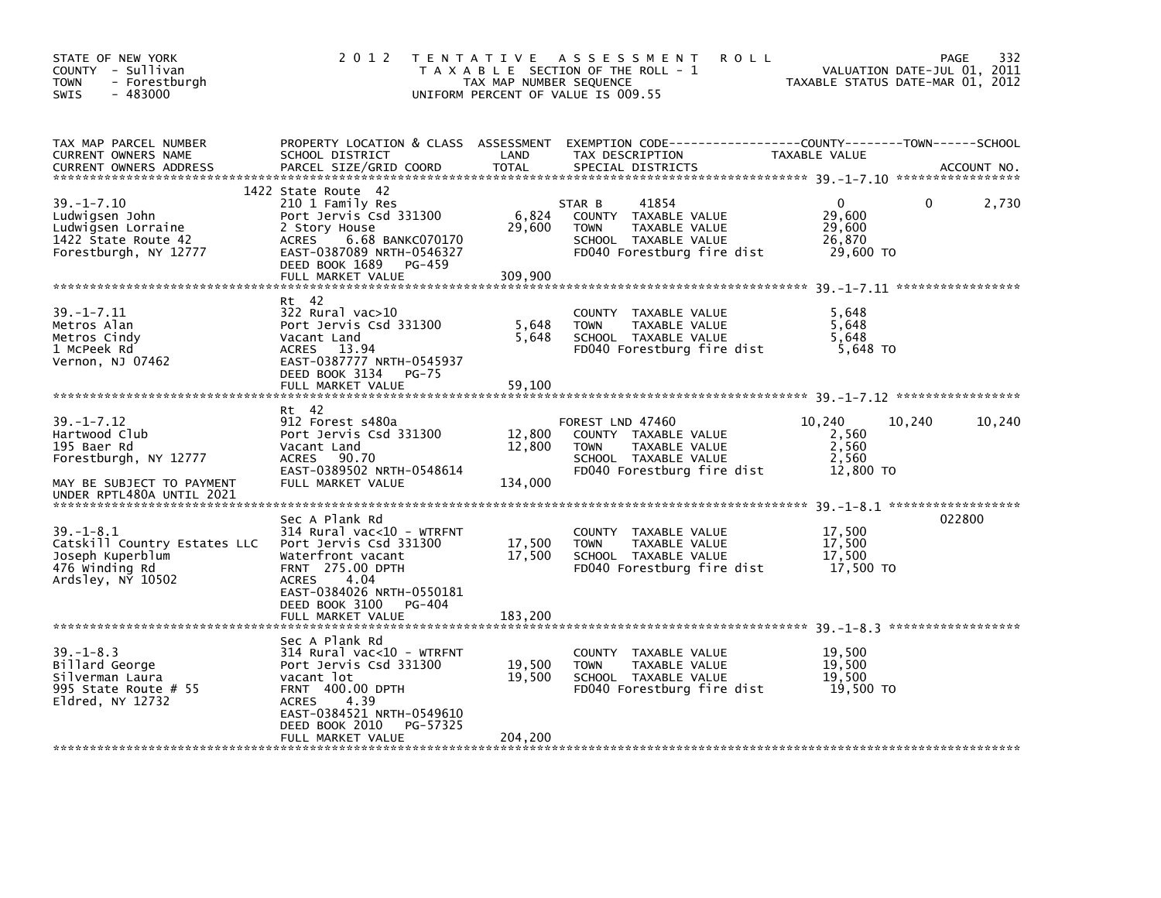| STATE OF NEW YORK<br>COUNTY - Sullivan<br>- Forestburgh<br><b>TOWN</b><br>$-483000$<br><b>SWIS</b>                                  | 2 0 1 2                                                                                                                                                                                                                                     | T E N T A T I V E<br>TAX MAP NUMBER SEQUENCE | ASSESSMENT<br><b>ROLL</b><br>T A X A B L E SECTION OF THE ROLL - 1<br>UNIFORM PERCENT OF VALUE IS 009.55                               | TAXABLE STATUS DATE-MAR 01, 2012                         | 332<br>PAGE<br>VALUATION DATE-JUL 01, 2011 |
|-------------------------------------------------------------------------------------------------------------------------------------|---------------------------------------------------------------------------------------------------------------------------------------------------------------------------------------------------------------------------------------------|----------------------------------------------|----------------------------------------------------------------------------------------------------------------------------------------|----------------------------------------------------------|--------------------------------------------|
| TAX MAP PARCEL NUMBER<br>CURRENT OWNERS NAME<br><b>CURRENT OWNERS ADDRESS</b>                                                       | SCHOOL DISTRICT<br>PARCEL SIZE/GRID COORD                                                                                                                                                                                                   | LAND<br><b>TOTAL</b>                         | PROPERTY LOCATION & CLASS ASSESSMENT EXEMPTION CODE---------------COUNTY-------TOWN-----SCHOOL<br>TAX DESCRIPTION<br>SPECIAL DISTRICTS | TAXABLE VALUE                                            | ACCOUNT NO.                                |
| $39. - 1 - 7.10$<br>Ludwigsen John<br>Ludwigsen Lorraine<br>1422 State Route 42<br>Forestburgh, NY 12777                            | 1422 State Route 42<br>210 1 Family Res<br>Port Jervis Csd 331300<br>2 Story House<br>6.68 BANKC070170<br>ACRES<br>EAST-0387089 NRTH-0546327<br>DEED BOOK 1689<br>PG-459<br>FULL MARKET VALUE                                               | 6,824<br>29,600<br>309,900                   | 41854<br>STAR B<br>COUNTY TAXABLE VALUE<br><b>TOWN</b><br>TAXABLE VALUE<br>SCHOOL TAXABLE VALUE<br>FD040 Forestburg fire dist          | 0<br>29,600<br>29,600<br>26,870<br>29,600 TO             | 0<br>2,730                                 |
| $39. - 1 - 7.11$<br>Metros Alan<br>Metros Cindy<br>1 McPeek Rd<br>Vernon, NJ 07462                                                  | Rt 42<br>$322$ Rural vac $>10$<br>Port Jervis Csd 331300<br>Vacant Land<br>ACRES 13.94<br>EAST-0387777 NRTH-0545937<br>DEED BOOK 3134<br><b>PG-75</b><br>FULL MARKET VALUE                                                                  | 5,648<br>5,648<br>59,100                     | COUNTY TAXABLE VALUE<br>TAXABLE VALUE<br><b>TOWN</b><br>SCHOOL TAXABLE VALUE<br>FD040 Forestburg fire dist                             | 5,648<br>5,648<br>5,648<br>5,648 TO                      |                                            |
| $39. - 1 - 7.12$<br>Hartwood Club<br>195 Baer Rd<br>Forestburgh, NY 12777<br>MAY BE SUBJECT TO PAYMENT<br>UNDER RPTL480A UNTIL 2021 | Rt 42<br>912 Forest s480a<br>Port Jervis Csd 331300<br>Vacant Land<br>ACRES 90.70<br>EAST-0389502 NRTH-0548614<br>FULL MARKET VALUE                                                                                                         | 12,800<br>12,800<br>134,000                  | FOREST LND 47460<br>COUNTY TAXABLE VALUE<br>TAXABLE VALUE<br><b>TOWN</b><br>SCHOOL TAXABLE VALUE<br>FD040 Forestburg fire dist         | 10,240<br>10,240<br>2,560<br>2,560<br>2,560<br>12,800 TO | 10,240                                     |
| $39. - 1 - 8.1$<br>Catskill Country Estates LLC<br>Joseph Kuperblum<br>476 Winding Rd<br>Ardsley, NY 10502                          | Sec A Plank Rd<br>314 Rural vac<10 - WTRFNT<br>Port Jervis Csd 331300<br>Waterfront vacant<br>FRNT 275.00 DPTH<br>4.04<br><b>ACRES</b><br>EAST-0384026 NRTH-0550181<br>DEED BOOK 3100<br>PG-404                                             | 17,500<br>17,500                             | COUNTY TAXABLE VALUE<br>TAXABLE VALUE<br><b>TOWN</b><br>SCHOOL TAXABLE VALUE<br>FD040 Forestburg fire dist                             | 17,500<br>17,500<br>17,500<br>17,500 TO                  | 022800                                     |
| $39. - 1 - 8.3$<br>Billard George<br>Silverman Laura<br>995 State Route $# 55$<br>Eldred, NY 12732                                  | FULL MARKET VALUE<br>Sec A Plank Rd<br>314 Rural vac<10 - WTRFNT<br>Port Jervis Csd 331300<br>vacant lot<br><b>FRNT 400.00 DPTH</b><br>4.39<br><b>ACRES</b><br>EAST-0384521 NRTH-0549610<br>DEED BOOK 2010<br>PG-57325<br>FULL MARKET VALUE | 183,200<br>19,500<br>19,500<br>204,200       | COUNTY TAXABLE VALUE<br><b>TOWN</b><br>TAXABLE VALUE<br>SCHOOL TAXABLE VALUE<br>FD040 Forestburg fire dist                             | 19,500<br>19,500<br>19,500<br>19,500 TO                  |                                            |
|                                                                                                                                     |                                                                                                                                                                                                                                             |                                              |                                                                                                                                        |                                                          |                                            |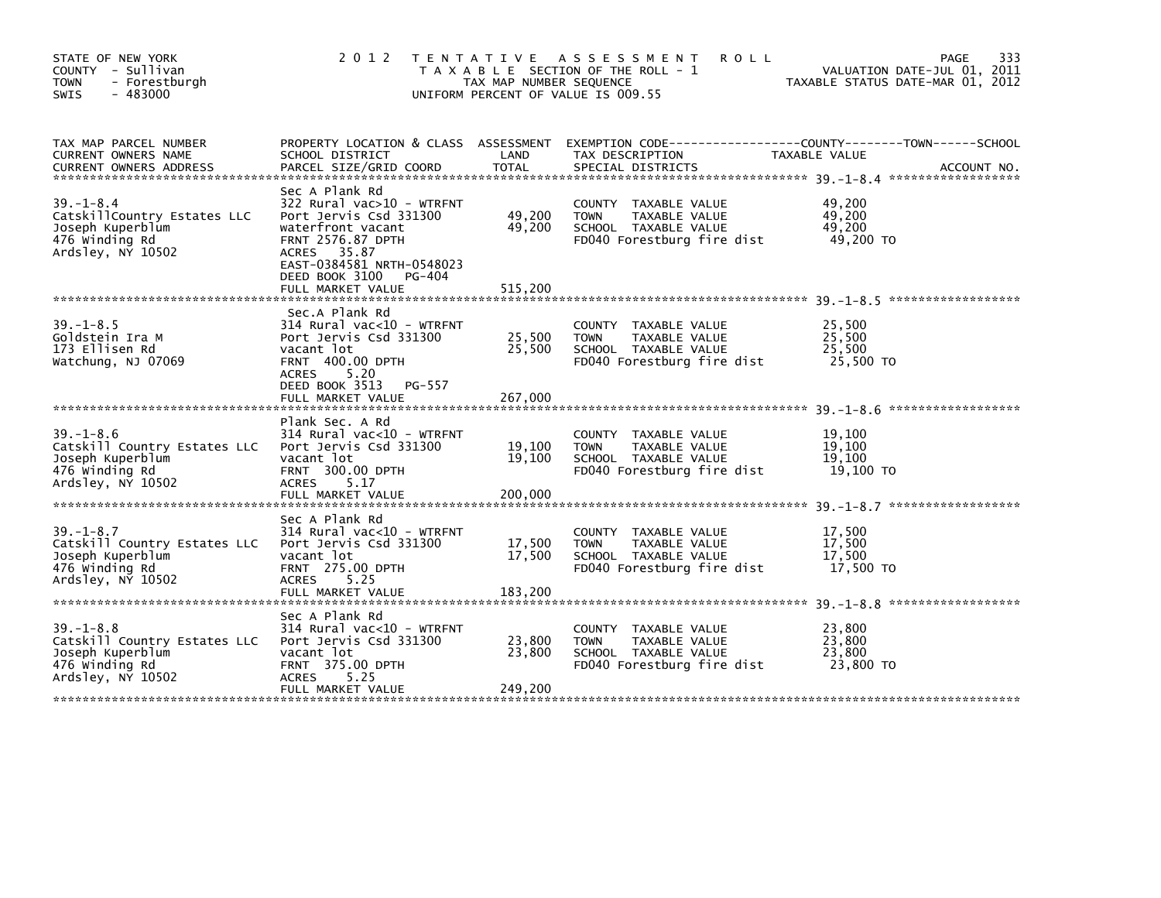| STATE OF NEW YORK<br>COUNTY - Sullivan<br><b>TOWN</b><br>- Forestburgh<br>$-483000$<br>SWIS                | 2 0 1 2                                                                                                                                                                                                   | TAX MAP NUMBER SEQUENCE     | TENTATIVE ASSESSMENT<br><b>ROLL</b><br>T A X A B L E SECTION OF THE ROLL - 1<br>UNIFORM PERCENT OF VALUE IS 009.55 | PAGE<br>VALUATION DATE-JUL 01, 2011<br>TAXABLE STATUS DATE-MAR 01, 2012                                         | 333         |
|------------------------------------------------------------------------------------------------------------|-----------------------------------------------------------------------------------------------------------------------------------------------------------------------------------------------------------|-----------------------------|--------------------------------------------------------------------------------------------------------------------|-----------------------------------------------------------------------------------------------------------------|-------------|
| TAX MAP PARCEL NUMBER<br>CURRENT OWNERS NAME<br><b>CURRENT OWNERS ADDRESS</b>                              | SCHOOL DISTRICT<br>PARCEL SIZE/GRID COORD                                                                                                                                                                 | LAND<br><b>TOTAL</b>        | TAX DESCRIPTION<br>SPECIAL DISTRICTS                                                                               | PROPERTY LOCATION & CLASS ASSESSMENT EXEMPTION CODE---------------COUNTY-------TOWN-----SCHOOL<br>TAXABLE VALUE | ACCOUNT NO. |
| $39. - 1 - 8.4$<br>CatskillCountry Estates LLC<br>Joseph Kuperblum<br>476 Winding Rd<br>Ardsley, NY 10502  | Sec A Plank Rd<br>322 Rural vac>10 - WTRFNT<br>Port Jervis Csd 331300<br>waterfront vacant<br>FRNT 2576.87 DPTH<br>ACRES 35.87<br>EAST-0384581 NRTH-0548023<br>DEED BOOK 3100 PG-404<br>FULL MARKET VALUE | 49,200<br>49,200<br>515,200 | COUNTY TAXABLE VALUE<br><b>TOWN</b><br>TAXABLE VALUE<br>SCHOOL TAXABLE VALUE<br>FD040 Forestburg fire dist         | 49,200<br>49,200<br>49,200<br>49,200 TO                                                                         |             |
| $39. - 1 - 8.5$<br>Goldstein Ira M<br>173 Ellisen Rd<br>Watchung, NJ 07069                                 | Sec.A Plank Rd<br>314 Rural vac<10 - WTRFNT<br>Port Jervis Csd 331300<br>vacant lot<br><b>FRNT 400.00 DPTH</b><br><b>ACRES</b><br>5.20<br>DEED BOOK 3513<br>PG-557<br>FULL MARKET VALUE                   | 25,500<br>25,500<br>267,000 | COUNTY TAXABLE VALUE<br><b>TOWN</b><br>TAXABLE VALUE<br>SCHOOL TAXABLE VALUE<br>FD040 Forestburg fire dist         | 25,500<br>25,500<br>25.500<br>25,500 TO                                                                         |             |
| $39. - 1 - 8.6$<br>Catskill Country Estates LLC<br>Joseph Kuperblum<br>476 Winding Rd<br>Ardsley, NY 10502 | Plank Sec. A Rd<br>314 Rural vac<10 - WTRFNT<br>Port Jervis Csd 331300<br>vacant lot<br>FRNT 300.00 DPTH<br><b>ACRES</b><br>5.17<br>FULL MARKET VALUE                                                     | 19,100<br>19,100<br>200,000 | COUNTY TAXABLE VALUE<br>TAXABLE VALUE<br><b>TOWN</b><br>SCHOOL TAXABLE VALUE<br>FD040 Forestburg fire dist         | 19,100<br>19,100<br>19,100<br>19,100 TO                                                                         |             |
| $39. - 1 - 8.7$<br>Catskill Country Estates LLC<br>Joseph Kuperblum<br>476 winding Rd<br>Ardsley, NY 10502 | Sec A Plank Rd<br>314 Rural vac<10 - WTRFNT<br>Port Jervis Csd 331300<br>vacant lot<br>FRNT 275.00 DPTH<br>ACRES<br>5.25<br>FULL MARKET VALUE                                                             | 17,500<br>17,500<br>183,200 | COUNTY TAXABLE VALUE<br>TAXABLE VALUE<br><b>TOWN</b><br>SCHOOL TAXABLE VALUE<br>FD040 Forestburg fire dist         | 17,500<br>17,500<br>17.500<br>17,500 TO                                                                         |             |
| $39. - 1 - 8.8$<br>Catskill Country Estates LLC<br>Joseph Kuperblum<br>476 Winding Rd<br>Ardsley, NY 10502 | Sec A Plank Rd<br>314 Rural vac<10 - WTRFNT<br>Port Jervis Csd 331300<br>vacant lot<br><b>FRNT 375.00 DPTH</b><br><b>ACRES</b><br>5.25<br>FULL MARKET VALUE                                               | 23,800<br>23,800<br>249,200 | COUNTY TAXABLE VALUE<br><b>TOWN</b><br>TAXABLE VALUE<br>SCHOOL TAXABLE VALUE<br>FD040 Forestburg fire dist         | 23,800<br>23,800<br>23,800<br>23,800 TO                                                                         |             |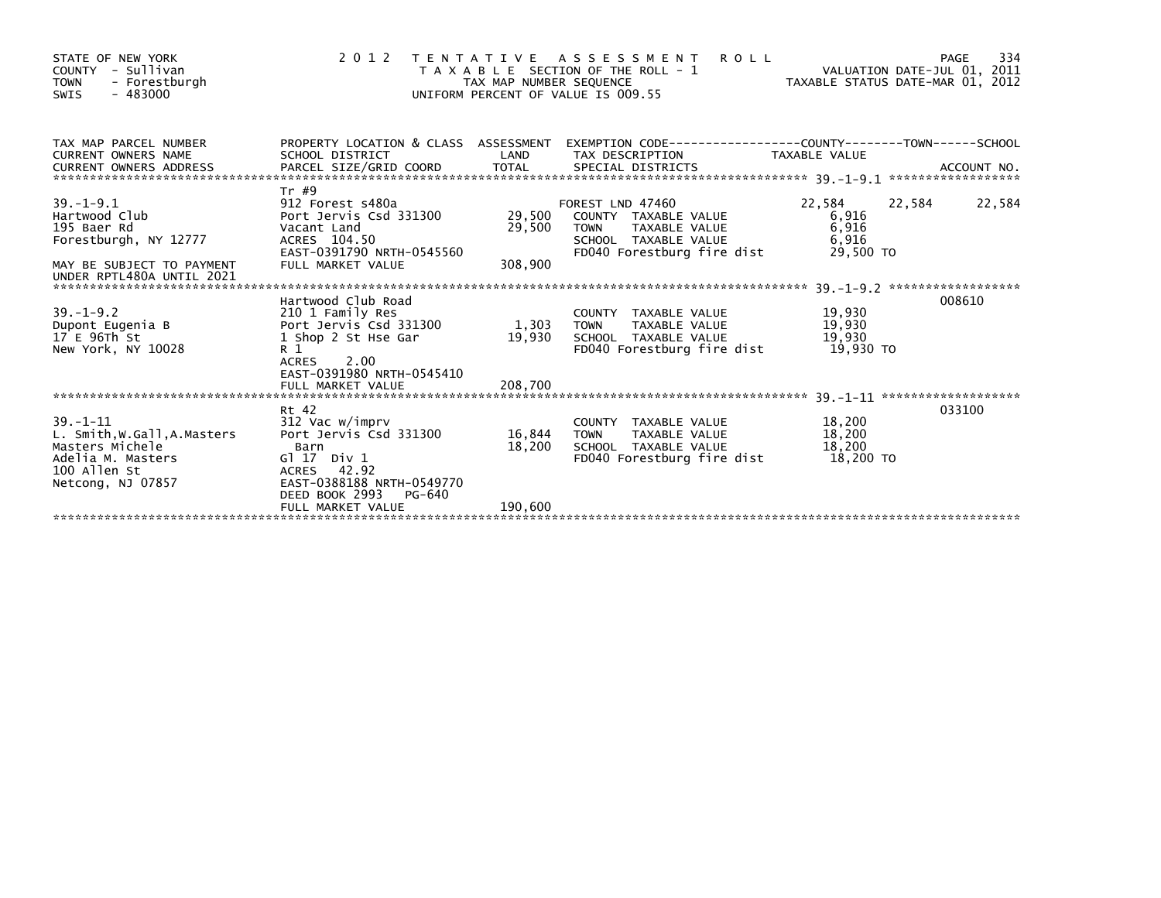| STATE OF NEW YORK<br>COUNTY - Sullivan<br><b>TOWN</b><br>- Forestburgh<br>$-483000$<br>SWIS                                |                                                                                                                                              | TAX MAP NUMBER SEQUENCE | <b>ROLL</b><br>2012 TENTATIVE ASSESSMENT<br>T A X A B L E SECTION OF THE ROLL - 1<br>UNIFORM PERCENT OF VALUE IS 009.55 | VALUATION DATE-JUL 01, 2011<br>VALUATION DATE-JUL 01, 2011<br>TAXABLE STATUS DATE-MAR 01, 2012 | 334<br>PAGE |
|----------------------------------------------------------------------------------------------------------------------------|----------------------------------------------------------------------------------------------------------------------------------------------|-------------------------|-------------------------------------------------------------------------------------------------------------------------|------------------------------------------------------------------------------------------------|-------------|
| TAX MAP PARCEL NUMBER<br><b>CURRENT OWNERS NAME</b>                                                                        | PROPERTY LOCATION & CLASS ASSESSMENT<br>SCHOOL DISTRICT                                                                                      | LAND                    | TAX DESCRIPTION                                                                                                         | TAXABLE VALUE                                                                                  |             |
| <b>CURRENT OWNERS ADDRESS</b>                                                                                              |                                                                                                                                              |                         |                                                                                                                         |                                                                                                |             |
|                                                                                                                            | Tr #9                                                                                                                                        |                         |                                                                                                                         |                                                                                                |             |
| $39. - 1 - 9.1$<br>Hartwood Club<br>195 Baer Rd<br>Forestburgh, NY 12777                                                   | 912 Forest s480a<br>Port Jervis Csd 331300<br>Vacant Land<br>ACRES 104.50                                                                    | 29,500<br>29,500        | FOREST LND 47460<br>COUNTY TAXABLE VALUE<br><b>TOWN</b><br>TAXABLE VALUE<br>SCHOOL TAXABLE VALUE                        | 22,584<br>22,584<br>6,916<br>6,916<br>6,916                                                    | 22,584      |
| MAY BE SUBJECT TO PAYMENT<br>UNDER RPTL480A UNTIL 2021                                                                     | EAST-0391790 NRTH-0545560<br>FULL MARKET VALUE                                                                                               | 308,900                 | FD040 Forestburg fire dist                                                                                              | 29.500 TO                                                                                      |             |
|                                                                                                                            | Hartwood Club Road                                                                                                                           |                         |                                                                                                                         |                                                                                                | 008610      |
| $39. - 1 - 9.2$<br>Dupont Eugenia B<br>17 E 96Th St<br>New York, NY 10028                                                  | 210 1 Family Res<br>Port Jervis Csd 331300<br>1 Shop 2 St Hse Gar<br>R <sub>1</sub><br>ACRES<br>2.00<br>EAST-0391980 NRTH-0545410            | 1,303<br>19,930         | COUNTY TAXABLE VALUE<br>TAXABLE VALUE<br><b>TOWN</b><br>SCHOOL TAXABLE VALUE<br>FD040 Forestburg fire dist              | 19,930<br>19,930<br>19,930<br>19,930 TO                                                        |             |
|                                                                                                                            | FULL MARKET VALUE                                                                                                                            | 208,700                 |                                                                                                                         |                                                                                                |             |
|                                                                                                                            | Rt 42                                                                                                                                        |                         |                                                                                                                         |                                                                                                | 033100      |
| $39. - 1 - 11$<br>L. Smith, W.Gall, A.Masters<br>Masters Michele<br>Adelia M. Masters<br>100 Allen St<br>Netcong, NJ 07857 | 312 Vac w/imprv<br>Port Jervis Csd 331300<br>Barn<br>$G1 17$ Div $1$<br>ACRES 42.92<br>EAST-0388188 NRTH-0549770<br>DEED BOOK 2993<br>PG-640 | 16,844<br>18,200        | COUNTY TAXABLE VALUE<br>TAXABLE VALUE<br><b>TOWN</b><br>SCHOOL TAXABLE VALUE<br>FD040 Forestburg fire dist              | 18,200<br>18,200<br>18,200<br>18,200 TO                                                        |             |
|                                                                                                                            | FULL MARKET VALUE                                                                                                                            | 190,600                 |                                                                                                                         |                                                                                                |             |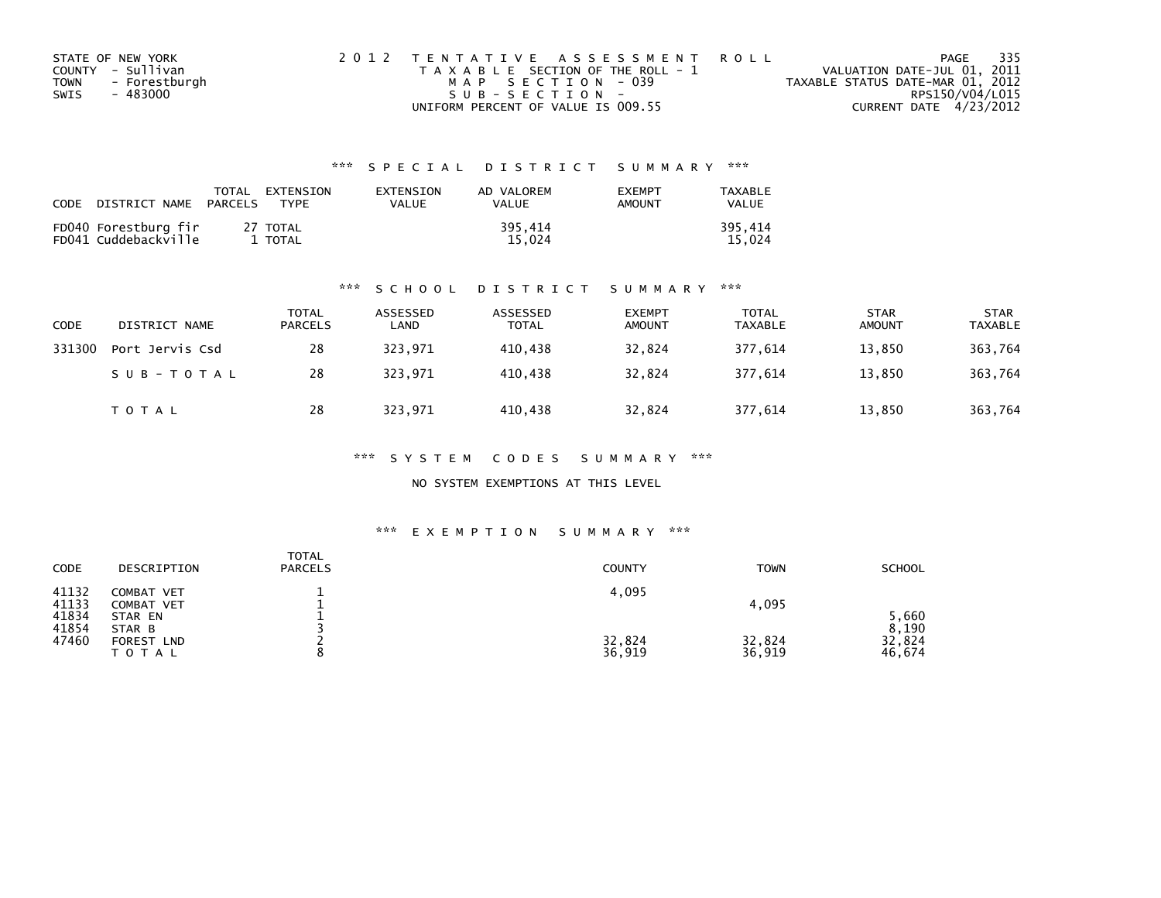| STATE OF NEW YORK     | 2012 TENTATIVE ASSESSMENT ROLL        |                                  | PAGE | 335 |
|-----------------------|---------------------------------------|----------------------------------|------|-----|
| COUNTY - Sullivan     | T A X A B L E SECTION OF THE ROLL - 1 | VALUATION DATE-JUL 01, 2011      |      |     |
| - Forestburgh<br>TOWN | MAP SECTION - 039                     | TAXABLE STATUS DATE-MAR 01, 2012 |      |     |
| - 483000<br>SWIS      | $SUB - SECTION -$                     | RPS150/V04/L015                  |      |     |
|                       | UNIFORM PERCENT OF VALUE IS 009.55    | CURRENT DATE 4/23/2012           |      |     |

| CODE | DISTRICT NAME                                | TOTAL<br>PARCELS | <b>FXTENSTON</b><br><b>TYPF</b> | <b>FXTENSTON</b><br>VALUE | AD VALOREM<br>VALUE | <b>FXFMPT</b><br>AMOUNT | TAXABLE<br><b>VALUE</b> |
|------|----------------------------------------------|------------------|---------------------------------|---------------------------|---------------------|-------------------------|-------------------------|
|      | FD040 Forestburg fir<br>FD041 Cuddebackville |                  | 27 TOTAL<br>TOTAL               |                           | 395,414<br>15.024   |                         | 395,414<br>15.024       |

### \*\*\* S C H O O L D I S T R I C T S U M M A R Y \*\*\*

| CODE   | DISTRICT NAME   | <b>TOTAL</b><br>PARCELS | ASSESSED<br>∟AND | ASSESSED<br><b>TOTAL</b> | <b>EXEMPT</b><br><b>AMOUNT</b> | <b>TOTAL</b><br><b>TAXABLE</b> | <b>STAR</b><br><b>AMOUNT</b> | <b>STAR</b><br><b>TAXABLE</b> |
|--------|-----------------|-------------------------|------------------|--------------------------|--------------------------------|--------------------------------|------------------------------|-------------------------------|
| 331300 | Port Jervis Csd | 28                      | 323,971          | 410.438                  | 32,824                         | 377.614                        | 13,850                       | 363,764                       |
|        | SUB-TOTAL       | 28                      | 323.971          | 410.438                  | 32,824                         | 377.614                        | 13,850                       | 363,764                       |
|        | <b>TOTAL</b>    | 28                      | 323,971          | 410,438                  | 32,824                         | 377,614                        | 13,850                       | 363,764                       |

\*\*\* S Y S T E M C O D E S S U M M A R Y \*\*\*

NO SYSTEM EXEMPTIONS AT THIS LEVEL

### \*\*\* E X E M P T I O N S U M M A R Y \*\*\*

| <b>CODE</b>             | DESCRIPTION                             | <b>TOTAL</b><br><b>PARCELS</b> | <b>COUNTY</b>    | <b>TOWN</b>      | <b>SCHOOL</b>             |
|-------------------------|-----------------------------------------|--------------------------------|------------------|------------------|---------------------------|
| 41132<br>41133<br>41834 | COMBAT VET<br>COMBAT VET<br>STAR EN     |                                | 4,095            | 4,095            | 5,660                     |
| 41854<br>47460          | STAR B<br>FOREST<br><b>LND</b><br>TOTAL | ິດ                             | 32,824<br>36,919 | 32,824<br>36,919 | 8,190<br>32,824<br>46,674 |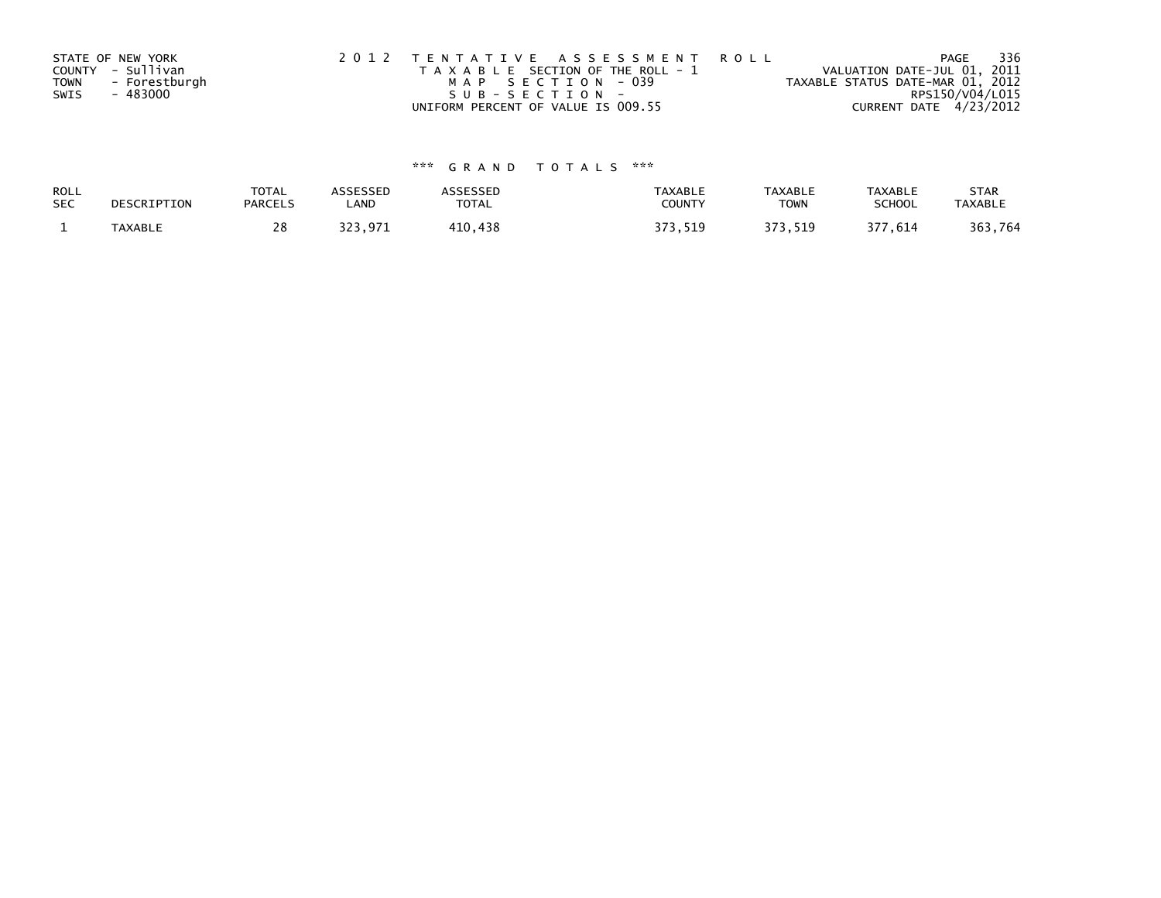|             | STATE OF NEW YORK | 2012 TENTATIVE ASSESSMENT ROLL        | PAGE                             | 336 |
|-------------|-------------------|---------------------------------------|----------------------------------|-----|
|             | COUNTY - Sullivan | T A X A B L E SECTION OF THE ROLL - 1 | VALUATION DATE-JUL 01, 2011      |     |
| <b>TOWN</b> | - Forestburgh     | MAP SECTION - 039                     | TAXABLE STATUS DATE-MAR 01, 2012 |     |
| SWIS        | - 483000          | $SUB - SECTION -$                     | RPS150/V04/L015                  |     |
|             |                   | UNIFORM PERCENT OF VALUE IS 009.55    | CURRENT DATE 4/23/2012           |     |

| ROLL       | DESCRIPTION | <b>TOTAL</b>   | ASSESSED | ASSESSED | <b>TAXABLE</b> | <b>TAXABLE</b> | <b>TAXABLE</b> | <b>STAR</b>    |
|------------|-------------|----------------|----------|----------|----------------|----------------|----------------|----------------|
| <b>SEC</b> |             | <b>PARCELS</b> | ∟AND     | TOTAL    | <b>COUNTY</b>  | <b>TOWN</b>    | <b>SCHOOL</b>  | <b>TAXABLE</b> |
|            | TAXABLE     |                | 323.971  | 410,438  | 373.519        | 373,519        | 377,614        | 363,764        |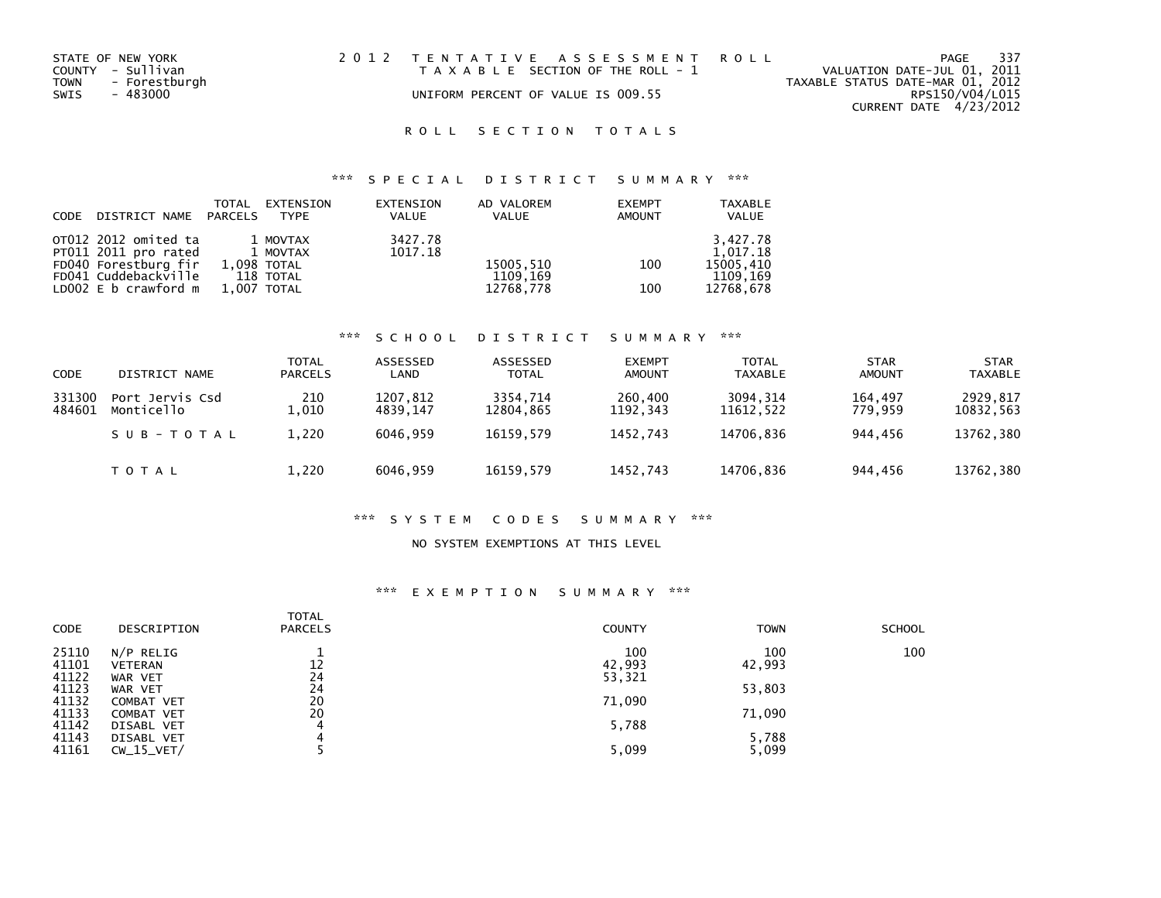| STATE OF NEW YORK     | 2012 TENTATIVE ASSESSMENT ROLL        | - 337<br>PAGE                    |
|-----------------------|---------------------------------------|----------------------------------|
| COUNTY - Sullivan     | T A X A B L E SECTION OF THE ROLL - 1 | VALUATION DATE-JUL 01, 2011      |
| TOWN<br>- Forestburgh |                                       | TAXABLE STATUS DATE-MAR 01, 2012 |
| SWIS<br>- 483000      | UNIFORM PERCENT OF VALUE IS 009.55    | RPS150/V04/L015                  |
|                       |                                       | CURRENT DATE 4/23/2012           |

# ROLL SECTION TOTALS

# \*\*\* S P E C I A L D I S T R I C T S U M M A R Y \*\*\*

| <b>CODE</b> | DISTRICT NAME PARCELS | TOTAL       | EXTENSION<br>TYPE | EXTENSION<br><b>VALUE</b> | AD VALOREM<br><b>VALUE</b> | <b>EXEMPT</b><br><b>AMOUNT</b> | <b>TAXABLE</b><br>VALUE |
|-------------|-----------------------|-------------|-------------------|---------------------------|----------------------------|--------------------------------|-------------------------|
|             | OT012 2012 omited ta  |             | 1 MOVTAX          | 3427.78                   |                            |                                | 3,427.78                |
|             | PT011 2011 pro rated  |             | 1 MOVTAX          | 1017.18                   |                            |                                | 1.017.18                |
|             | FD040 Forestburg fir  | 1.098 TOTAL |                   |                           | 15005,510                  | 100                            | 15005.410               |
|             | FD041 Cuddebackville  |             | 118 TOTAL         |                           | 1109,169                   |                                | 1109,169                |
|             | LD002 E b crawford m  | 1.007 TOTAL |                   |                           | 12768,778                  | 100                            | 12768,678               |

### \*\*\* S C H O O L D I S T R I C T S U M M A R Y \*\*\*

| CODE             | DISTRICT NAME                 | TOTAL<br><b>PARCELS</b> | ASSESSED<br>LAND     | ASSESSED<br><b>TOTAL</b> | <b>EXEMPT</b><br><b>AMOUNT</b> | TOTAL<br>TAXABLE       | STAR<br><b>AMOUNT</b> | <b>STAR</b><br><b>TAXABLE</b> |
|------------------|-------------------------------|-------------------------|----------------------|--------------------------|--------------------------------|------------------------|-----------------------|-------------------------------|
| 331300<br>484601 | Port Jervis Csd<br>Monticello | 210<br>1.010            | 1207,812<br>4839.147 | 3354.714<br>12804.865    | 260,400<br>1192.343            | 3094, 314<br>11612.522 | 164,497<br>779.959    | 2929,817<br>10832,563         |
|                  | SUB-TOTAL                     | 1,220                   | 6046.959             | 16159.579                | 1452.743                       | 14706.836              | 944.456               | 13762,380                     |
|                  | <b>TOTAL</b>                  | 1,220                   | 6046.959             | 16159.579                | 1452,743                       | 14706,836              | 944,456               | 13762,380                     |

### \*\*\* S Y S T E M C O D E S S U M M A R Y \*\*\*

### NO SYSTEM EXEMPTIONS AT THIS LEVEL

### \*\*\* E X E M P T I O N S U M M A R Y \*\*\*

| DESCRIPTION    | <b>TOTAL</b><br><b>PARCELS</b>                                     | <b>COUNTY</b>            | <b>TOWN</b>                         | <b>SCHOOL</b>                       |
|----------------|--------------------------------------------------------------------|--------------------------|-------------------------------------|-------------------------------------|
| N/P RELIG      |                                                                    | 100                      | 100                                 | 100                                 |
| <b>VETERAN</b> | 12                                                                 |                          |                                     |                                     |
| WAR VET        | 24                                                                 |                          |                                     |                                     |
| WAR VET        |                                                                    |                          |                                     |                                     |
|                |                                                                    |                          |                                     |                                     |
|                |                                                                    |                          |                                     |                                     |
|                |                                                                    |                          |                                     |                                     |
|                |                                                                    |                          |                                     |                                     |
| $CW_15_VET/$   |                                                                    | 5,099                    | 5,099                               |                                     |
|                | <b>COMBAT VET</b><br><b>COMBAT VET</b><br>DISABL VET<br>DISABL VET | 24<br>20<br>20<br>4<br>4 | 42,993<br>53,321<br>71,090<br>5,788 | 42,993<br>53,803<br>71,090<br>5,788 |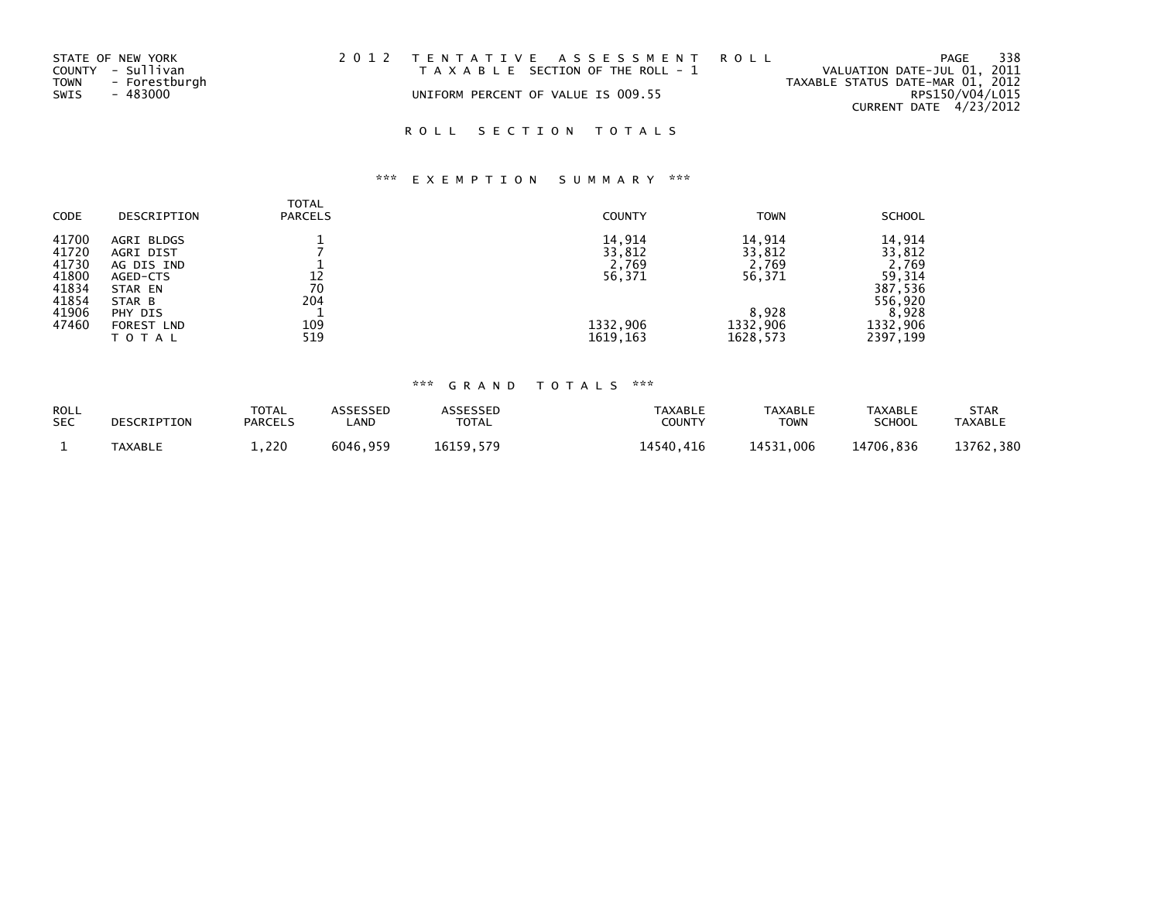| STATE OF NEW YORK     | 2012 TENTATIVE ASSESSMENT ROLL        | PAGE                             | 338 |
|-----------------------|---------------------------------------|----------------------------------|-----|
| COUNTY - Sullivan     | T A X A B L E SECTION OF THE ROLL - 1 | VALUATION DATE-JUL 01, 2011      |     |
| - Forestburgh<br>TOWN |                                       | TAXABLE STATUS DATE-MAR 01, 2012 |     |
| SWIS<br>- 483000      | UNIFORM PERCENT OF VALUE IS 009.55    | RPS150/V04/L015                  |     |
|                       |                                       | CURRENT DATE 4/23/2012           |     |

# ROLL SECTION TOTALS

# \*\*\* E X E M P T I O N S U M M A R Y \*\*\*

| <b>CODE</b>                                                          | DESCRIPTION                                                                                              | <b>TOTAL</b><br><b>PARCELS</b> | <b>COUNTY</b>                                                | <b>TOWN</b>                                                          | <b>SCHOOL</b>                                                                              |
|----------------------------------------------------------------------|----------------------------------------------------------------------------------------------------------|--------------------------------|--------------------------------------------------------------|----------------------------------------------------------------------|--------------------------------------------------------------------------------------------|
| 41700<br>41720<br>41730<br>41800<br>41834<br>41854<br>41906<br>47460 | AGRI BLDGS<br>AGRI DIST<br>AG DIS IND<br>AGED-CTS<br>STAR EN<br>STAR B<br>PHY DIS<br>FOREST LND<br>TOTAL | 12<br>70<br>204<br>109<br>519  | 14,914<br>33,812<br>2,769<br>56,371<br>1332,906<br>1619, 163 | 14.914<br>33,812<br>2,769<br>56,371<br>8,928<br>1332,906<br>1628,573 | 14,914<br>33,812<br>2,769<br>59,314<br>387,536<br>556,920<br>8,928<br>1332,906<br>2397,199 |

| <b>ROLL</b> | DESCRIPTION    | <b>TOTAL</b>   | <b>ASSESSED</b> | <b>ASSESSED</b> | TAXABLE       | <b>TAXABLE</b> | <b>TAXABLE</b> | STAR           |
|-------------|----------------|----------------|-----------------|-----------------|---------------|----------------|----------------|----------------|
| <b>SEC</b>  |                | <b>PARCELS</b> | _AND            | <b>TOTAL</b>    | <b>COUNTY</b> | TOWN           | <b>SCHOOL</b>  | <b>TAXABLE</b> |
|             | <b>TAXABLE</b> | $\pm 0.220$    | 6046.959        | 16159.579       | 14540.416     | 14531.006      | 14706.836      | 13762,380      |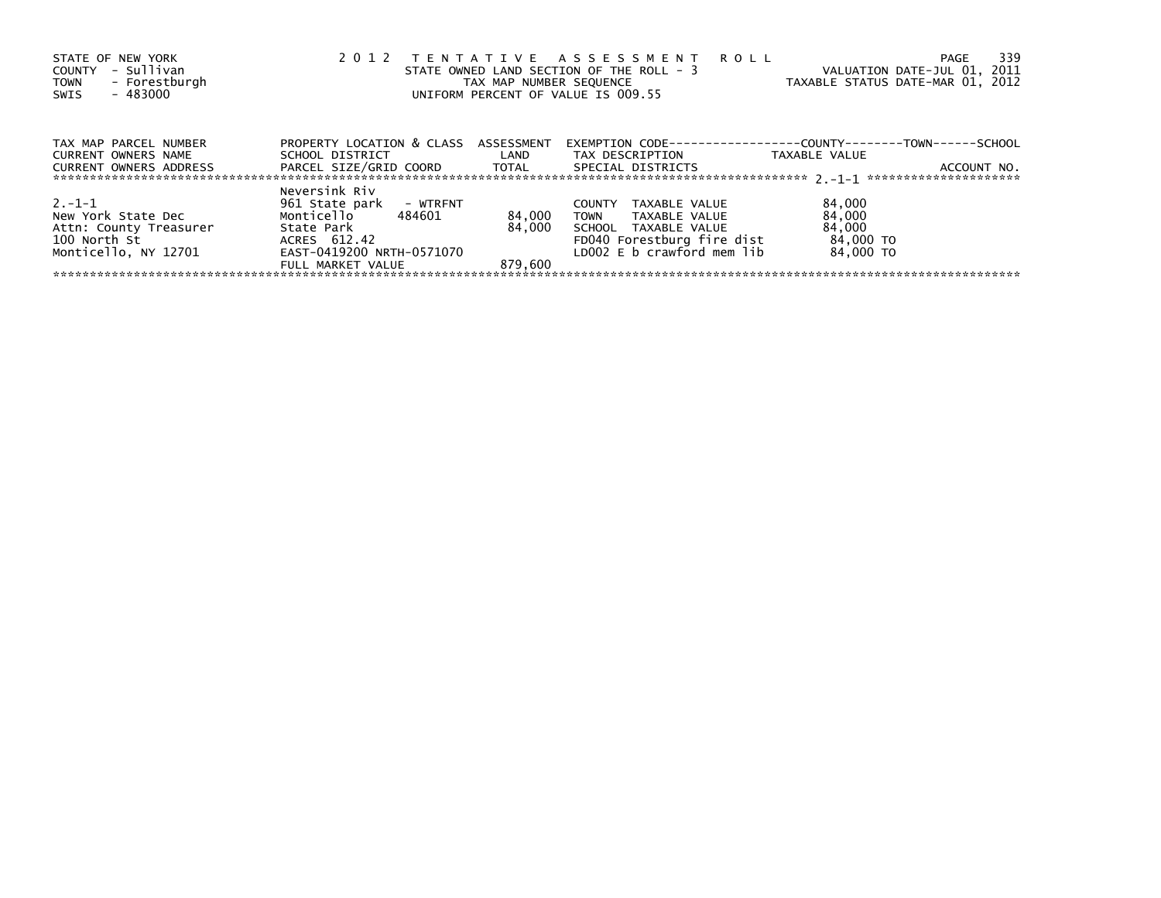| STATE OF NEW YORK<br>- Sullivan<br>COUNTY<br>TOWN - Forestburgh<br>- 483000<br>SWIS |                                                         | TAX MAP NUMBER SEQUENCE | 2012 TENTATIVE ASSESSMENT ROLL<br>STATE OWNED LAND SECTION OF THE ROLL - 3<br>UNIFORM PERCENT OF VALUE IS 009.55 | PAGE<br>VALUATION DATE-JUL 01, 2011<br>TAXABLE STATUS DATE-MAR 01, 2012              | -339 |
|-------------------------------------------------------------------------------------|---------------------------------------------------------|-------------------------|------------------------------------------------------------------------------------------------------------------|--------------------------------------------------------------------------------------|------|
| TAX MAP PARCEL NUMBER<br><b>CURRENT OWNERS NAME</b>                                 | PROPERTY LOCATION & CLASS ASSESSMENT<br>SCHOOL DISTRICT | LAND                    | TAX DESCRIPTION                                                                                                  | EXEMPTION        CODE-----------------COUNTY-------TOWN------SCHOOL<br>TAXABLE VALUE |      |
| <b>CURRENT OWNERS ADDRESS</b>                                                       | PARCEL SIZE/GRID COORD TOTAL                            |                         | SPECIAL DISTRICTS                                                                                                | ACCOUNT NO.                                                                          |      |
| $2. -1 - 1$                                                                         | Neversink Riv<br>961 State park - WTRFNT                |                         | TAXABLE VALUE<br><b>COUNTY</b>                                                                                   | 84,000                                                                               |      |
| New York State Dec<br>Attn: County Treasurer<br>100 North St                        | Monticello 484601<br>State Park<br>ACRES 612.42         | 84,000<br>84.000        | TOWN TAXABLE VALUE<br>SCHOOL TAXABLE VALUE<br>FD040 Forestburg fire dist                                         | 84,000<br>84,000<br>84,000 TO                                                        |      |
| Monticello, NY 12701                                                                | EAST-0419200 NRTH-0571070<br>FULL MARKET VALUE          | 879.600                 | LD002 E b crawford mem lib                                                                                       | 84.000 TO                                                                            |      |
|                                                                                     |                                                         |                         |                                                                                                                  |                                                                                      |      |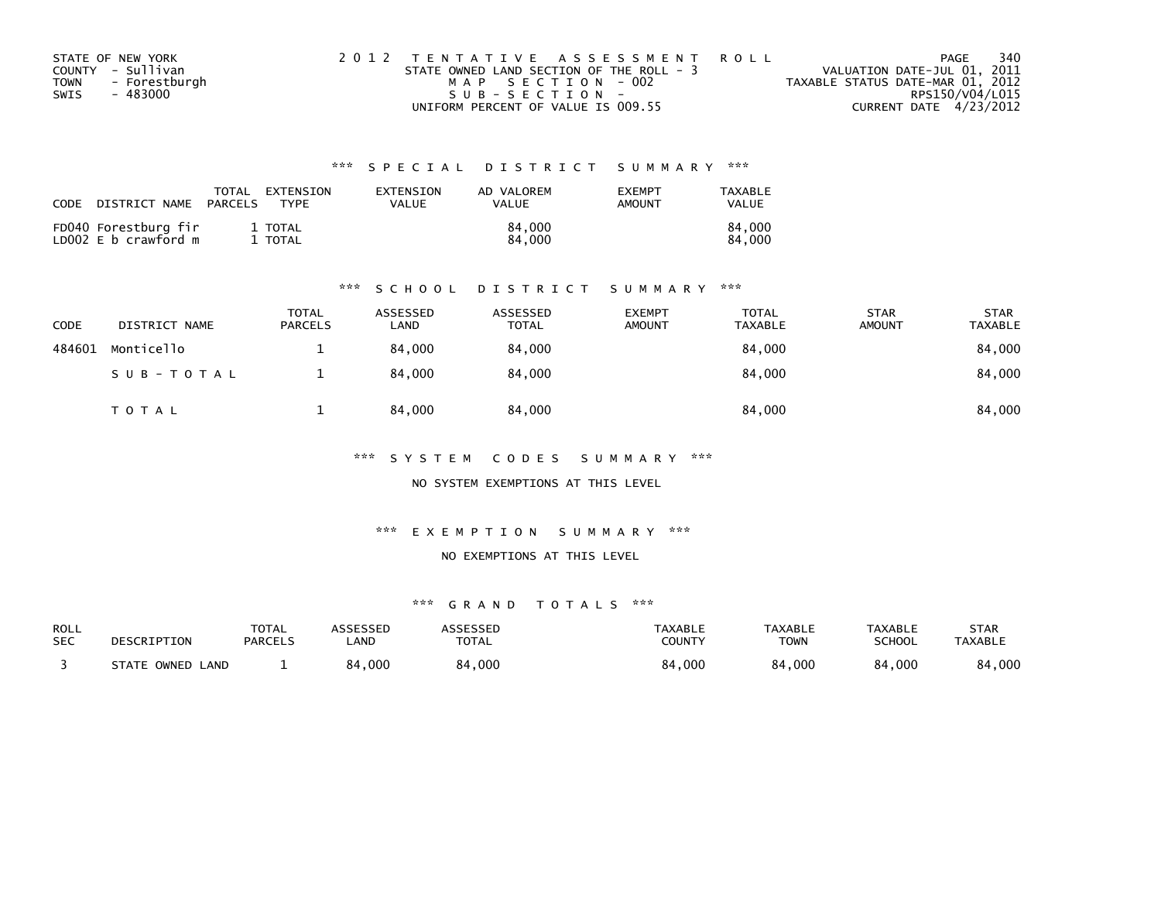| STATE OF NEW YORK            | 2012 TENTATIVE ASSESSMENT ROLL           | 340<br>PAGE                      |
|------------------------------|------------------------------------------|----------------------------------|
| COUNTY - Sullivan            | STATE OWNED LAND SECTION OF THE ROLL - 3 | VALUATION DATE-JUL 01, 2011      |
| - Forestburgh<br><b>TOWN</b> | MAP SECTION - 002                        | TAXABLE STATUS DATE-MAR 01, 2012 |
| SWIS<br>- 483000             | SUB-SECTION-                             | RPS150/V04/L015                  |
|                              | UNIFORM PERCENT OF VALUE IS 009.55       | CURRENT DATE 4/23/2012           |

| CODE | DISTRICT NAME                                | TOTAL<br>PARCELS | EXTENSION<br>TYPF | EXTENSION<br>VALUE | AD VALOREM<br><b>VALUE</b> | <b>FXFMPT</b><br>AMOUNT | TAXABLE<br>VALUE |
|------|----------------------------------------------|------------------|-------------------|--------------------|----------------------------|-------------------------|------------------|
|      | FD040 Forestburg fir<br>LD002 E b crawford m |                  | 1 TOTAL<br>TOTAL  |                    | 84,000<br>84,000           |                         | 84.000<br>84.000 |

### \*\*\* S C H O O L D I S T R I C T S U M M A R Y \*\*\*

| CODE   | DISTRICT NAME | <b>TOTAL</b><br><b>PARCELS</b> | ASSESSED<br>LAND | ASSESSED<br><b>TOTAL</b> | <b>EXEMPT</b><br><b>AMOUNT</b> | <b>TOTAL</b><br>TAXABLE | <b>STAR</b><br><b>AMOUNT</b> | <b>STAR</b><br>TAXABLE |
|--------|---------------|--------------------------------|------------------|--------------------------|--------------------------------|-------------------------|------------------------------|------------------------|
| 484601 | Monticello    |                                | 84.000           | 84,000                   |                                | 84,000                  |                              | 84,000                 |
|        | SUB-TOTAL     |                                | 84.000           | 84,000                   |                                | 84,000                  |                              | 84,000                 |
|        | <b>TOTAL</b>  |                                | 84.000           | 84,000                   |                                | 84,000                  |                              | 84,000                 |

\*\*\* S Y S T E M C O D E S S U M M A R Y \*\*\*

NO SYSTEM EXEMPTIONS AT THIS LEVEL

\*\*\* E X E M P T I O N S U M M A R Y \*\*\*

NO EXEMPTIONS AT THIS LEVEL

| ROLL       | DESCRIPTION      | <b>TOTAL</b>   | ASSESSED   | <b>ASSESSED</b> | TAXABLE       | <b>TAXABLE</b> | <b>TAXABLE</b> | STAR           |
|------------|------------------|----------------|------------|-----------------|---------------|----------------|----------------|----------------|
| <b>SEC</b> |                  | <b>PARCELS</b> | <b>AND</b> | <b>TOTAL</b>    | <b>COUNTY</b> | <b>TOWN</b>    | <b>SCHOOL</b>  | <b>TAXABLE</b> |
|            | STATE OWNED LAND |                | 84,000     | 84,000          | 84,000        | 84,000         | 84,000         | 84,000         |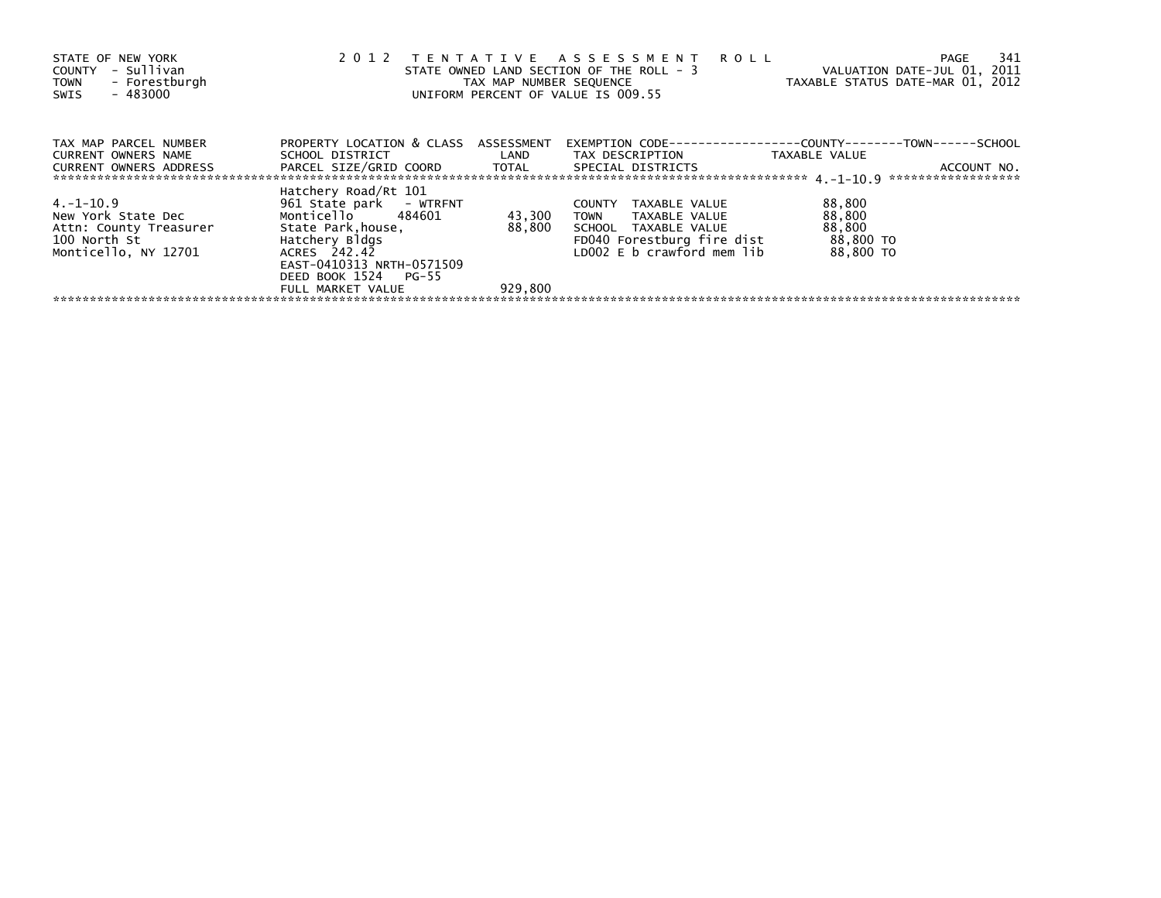| STATE OF NEW YORK<br>- Sullivan<br>COUNTY<br>- Forestburgh<br><b>TOWN</b><br>$-483000$<br>SWIS    | 2 0 1 2                                                                                                                                                                                               | TAX MAP NUMBER SEQUENCE     | TENTATIVE ASSESSMENT ROLL<br>STATE OWNED LAND SECTION OF THE ROLL - 3<br>UNIFORM PERCENT OF VALUE IS 009.55                    | 341<br>PAGE<br>VALUATION DATE-JUL 01, 2011<br>TAXABLE STATUS DATE-MAR 01, 2012                       |
|---------------------------------------------------------------------------------------------------|-------------------------------------------------------------------------------------------------------------------------------------------------------------------------------------------------------|-----------------------------|--------------------------------------------------------------------------------------------------------------------------------|------------------------------------------------------------------------------------------------------|
| TAX MAP PARCEL NUMBER<br>CURRENT OWNERS NAME<br><b>CURRENT OWNERS ADDRESS</b>                     | PROPERTY LOCATION & CLASS ASSESSMENT<br>PARCEL SIZE/GRID COORD TOTAL SPECIAL DISTRICTS                                                                                                                |                             |                                                                                                                                | EXEMPTION        CODE-----------------COUNTY--------TOWN------SCHOOL<br>TAXABLE VALUE<br>ACCOUNT NO. |
| 4.-1-10.9<br>New York State Dec<br>Attn: County Treasurer<br>100 North St<br>Monticello, NY 12701 | Hatchery Road/Rt 101<br>961 State park - WTRFNT<br>Monticello 484601<br>State Park.house.<br>Hatchery Bldgs<br>ACRES 242.42<br>EAST-0410313 NRTH-0571509<br>DEED BOOK 1524 PG-55<br>FULL MARKET VALUE | 43,300<br>88,800<br>929,800 | COUNTY TAXABLE VALUE<br>TOWN TAXABLE VALUE<br>SCHOOL TAXABLE VALUE<br>FD040 Forestburg fire dist<br>LD002 E b crawford mem lib | 88,800<br>88,800<br>88,800<br>88,800 TO<br>88.800 TO                                                 |
|                                                                                                   |                                                                                                                                                                                                       |                             |                                                                                                                                |                                                                                                      |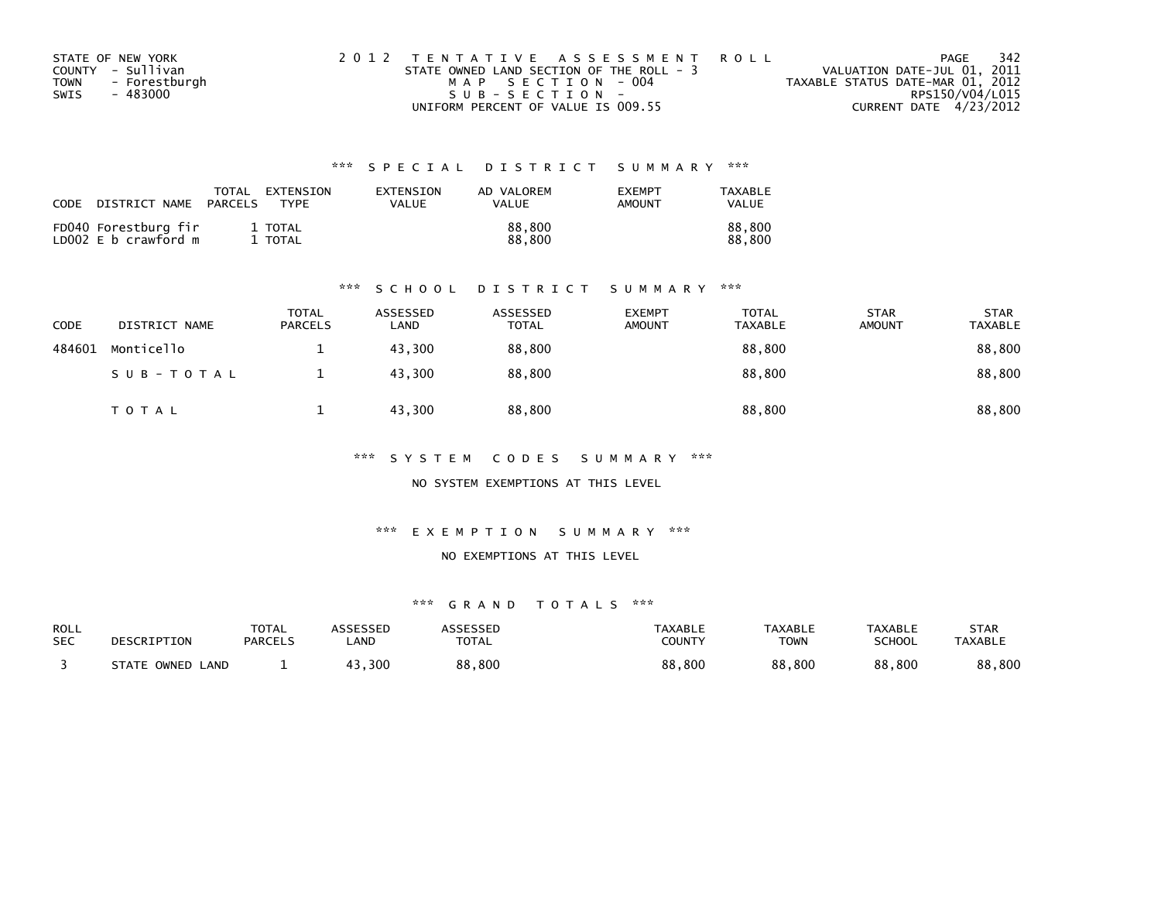| STATE OF NEW YORK            | 2012 TENTATIVE ASSESSMENT ROLL           | -342<br>PAGE                     |
|------------------------------|------------------------------------------|----------------------------------|
| COUNTY - Sullivan            | STATE OWNED LAND SECTION OF THE ROLL - 3 | VALUATION DATE-JUL 01, 2011      |
| - Forestburgh<br><b>TOWN</b> | MAP SECTION - 004                        | TAXABLE STATUS DATE-MAR 01, 2012 |
| SWIS<br>- 483000             | SUB-SECTION-                             | RPS150/V04/L015                  |
|                              | UNIFORM PERCENT OF VALUE IS 009.55       | CURRENT DATE 4/23/2012           |

| CODE | DISTRICT NAME                                | TOTAL<br>PARCELS | EXTENSION<br>TYPF | EXTENSION<br>VALUE | AD VALOREM<br>VALUE | <b>EXEMPT</b><br>AMOUNT | TAXABLE<br>VALUE |
|------|----------------------------------------------|------------------|-------------------|--------------------|---------------------|-------------------------|------------------|
|      | FD040 Forestburg fir<br>LD002 E b crawford m |                  | 1 TOTAL<br>TOTAL  |                    | 88,800<br>88,800    |                         | 88.800<br>88.800 |

### \*\*\* S C H O O L D I S T R I C T S U M M A R Y \*\*\*

| CODE   | DISTRICT NAME | <b>TOTAL</b><br><b>PARCELS</b> | ASSESSED<br>LAND | ASSESSED<br><b>TOTAL</b> | <b>EXEMPT</b><br><b>AMOUNT</b> | <b>TOTAL</b><br><b>TAXABLE</b> | <b>STAR</b><br><b>AMOUNT</b> | <b>STAR</b><br>TAXABLE |
|--------|---------------|--------------------------------|------------------|--------------------------|--------------------------------|--------------------------------|------------------------------|------------------------|
| 484601 | Monticello    | <b>T</b>                       | 43,300           | 88,800                   |                                | 88,800                         |                              | 88,800                 |
|        | SUB-TOTAL     |                                | 43,300           | 88,800                   |                                | 88,800                         |                              | 88,800                 |
|        | <b>TOTAL</b>  |                                | 43,300           | 88,800                   |                                | 88,800                         |                              | 88,800                 |

\*\*\* S Y S T E M C O D E S S U M M A R Y \*\*\*

NO SYSTEM EXEMPTIONS AT THIS LEVEL

\*\*\* E X E M P T I O N S U M M A R Y \*\*\*

### NO EXEMPTIONS AT THIS LEVEL

| ROLL       | DESCRIPTION      | <b>TOTAL</b>   | ASSESSED    | <b>ASSESSED</b> | TAXABLE       | <b>TAXABLE</b> | <b>TAXABLE</b> | STAR           |
|------------|------------------|----------------|-------------|-----------------|---------------|----------------|----------------|----------------|
| <b>SEC</b> |                  | <b>PARCELS</b> | <b>_AND</b> | <b>TOTAL</b>    | <b>COUNTY</b> | <b>TOWN</b>    | <b>SCHOOL</b>  | <b>TAXABLE</b> |
|            | STATE OWNED LAND |                | 43,300      | 88,800          | 88,800        | 88,800         | 88,800         | 88,800         |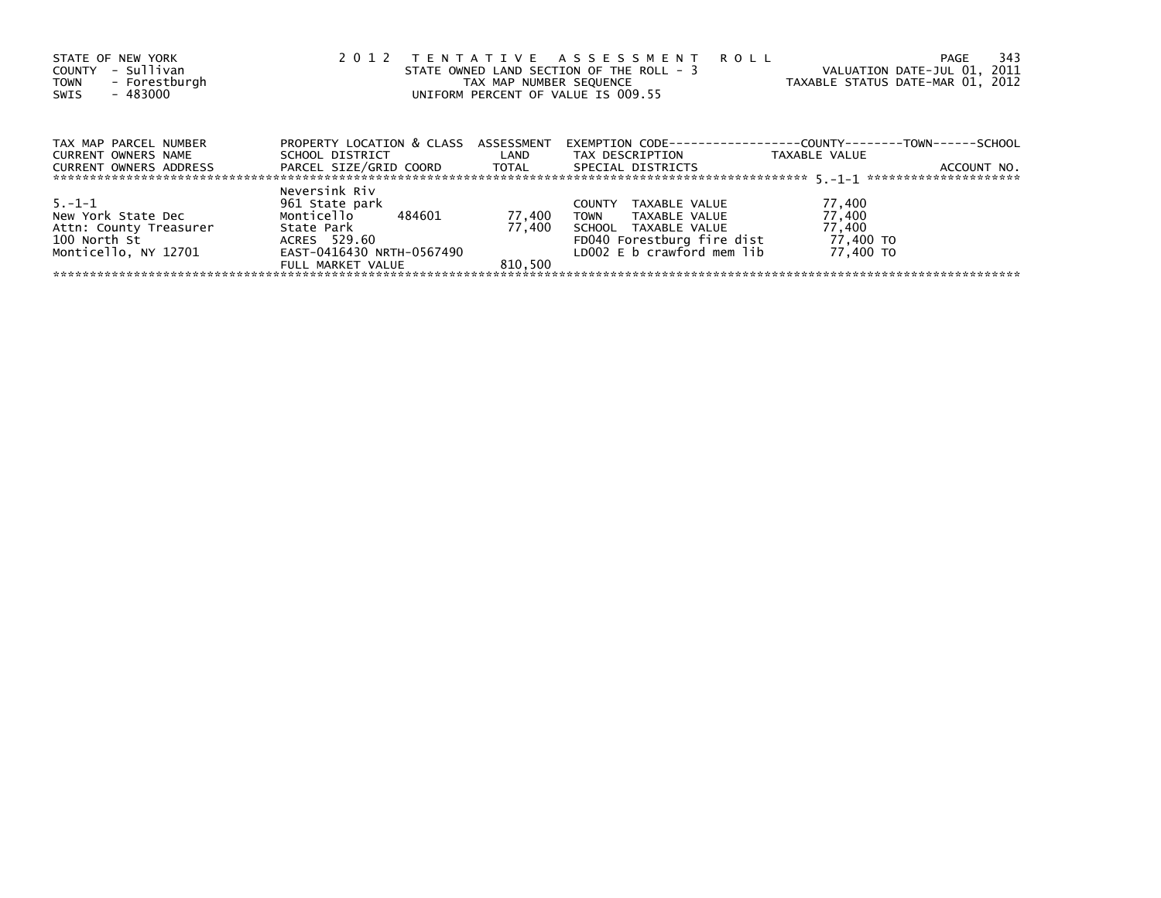| STATE OF NEW YORK<br>- Sullivan<br>COUNTY<br>- Forestburgh<br><b>TOWN</b><br>- 483000<br>SWIS | 2 0 1 2                                                           | TAX MAP NUMBER SEQUENCE | TENTATIVE ASSESSMENT ROLL<br>STATE OWNED LAND SECTION OF THE ROLL - 3<br>UNIFORM PERCENT OF VALUE IS 009.55 | - 343<br>PAGE<br>VALUATION DATE-JUL 01, 2011<br>TAXABLE STATUS DATE-MAR 01, 2012 |
|-----------------------------------------------------------------------------------------------|-------------------------------------------------------------------|-------------------------|-------------------------------------------------------------------------------------------------------------|----------------------------------------------------------------------------------|
| TAX MAP PARCEL NUMBER                                                                         | PROPERTY LOCATION & CLASS ASSESSMENT                              |                         |                                                                                                             | EXEMPTION        CODE-----------------COUNTY-------TOWN------SCHOOL              |
| <b>CURRENT OWNERS NAME</b><br>CURRENT OWNERS ADDRESS                                          | SCHOOL DISTRICT<br>PARCEL SIZE/GRID COORD TOTAL SPECIAL DISTRICTS | <b>Example 1</b>        | TAX DESCRIPTION                                                                                             | TAXABLE VALUE<br>ACCOUNT NO.                                                     |
| $5. - 1 - 1$                                                                                  | Neversink Riv<br>961 State park                                   |                         | TAXABLE VALUE<br><b>COUNTY</b>                                                                              | 77,400                                                                           |
| New York State Dec<br>Attn: County Treasurer                                                  | Monticello 484601<br>State Park                                   | 77,400<br>77.400        | TOWN TAXABLE VALUE<br>SCHOOL TAXABLE VALUE                                                                  | 77,400<br>77,400                                                                 |
| 100 North St<br>Monticello, NY 12701                                                          | ACRES 529.60<br>EAST-0416430 NRTH-0567490                         |                         | FD040 Forestburg fire dist<br>LD002 E b crawford mem lib                                                    | 77,400 TO<br>77.400 TO                                                           |
|                                                                                               | FULL MARKET VALUE                                                 | 810.500                 |                                                                                                             |                                                                                  |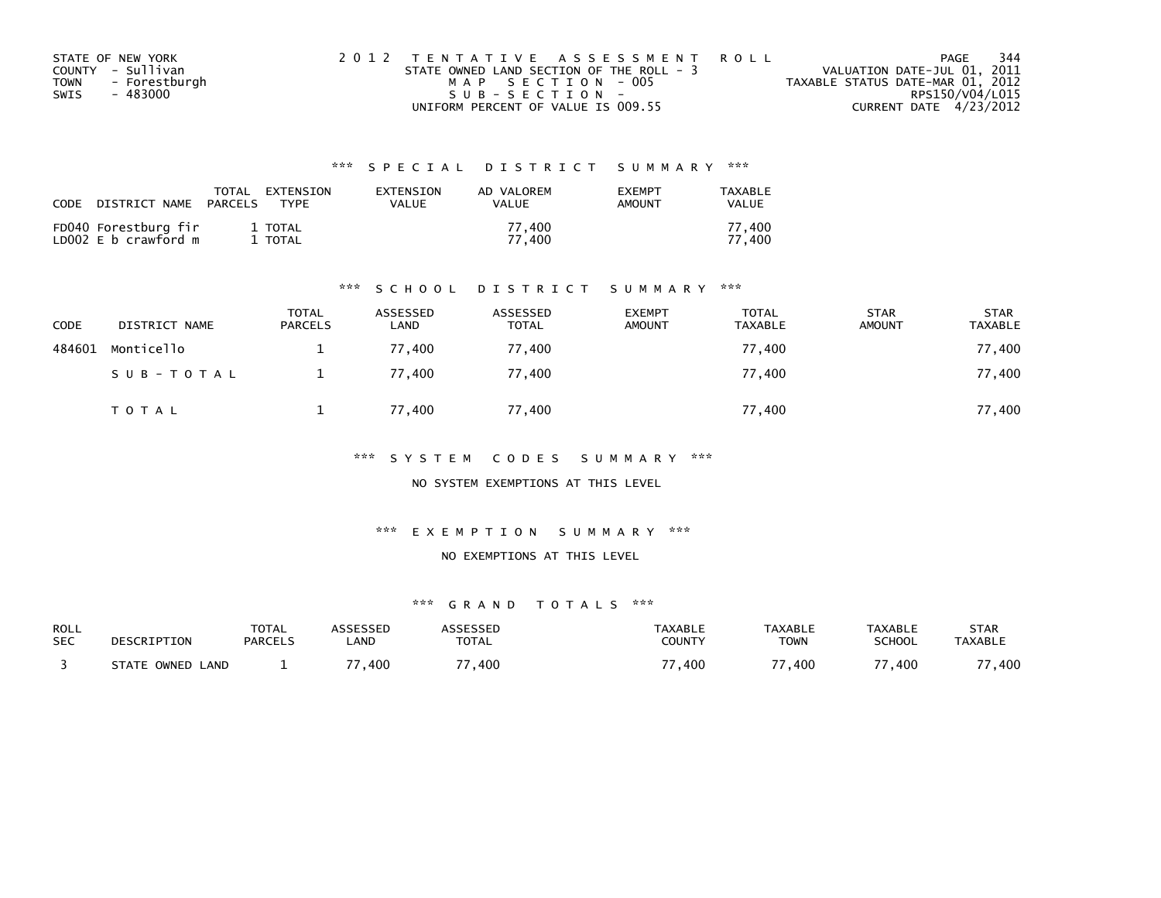| STATE OF NEW YORK     | 2012 TENTATIVE ASSESSMENT ROLL           | PAGE                             | 344 |
|-----------------------|------------------------------------------|----------------------------------|-----|
| COUNTY - Sullivan     | STATE OWNED LAND SECTION OF THE ROLL - 3 | VALUATION DATE-JUL 01, 2011      |     |
| - Forestburgh<br>TOWN | MAP SECTION - 005                        | TAXABLE STATUS DATE-MAR 01, 2012 |     |
| - 483000<br>SWIS      | SUB-SECTION-                             | RPS150/V04/L015                  |     |
|                       | UNIFORM PERCENT OF VALUE IS 009.55       | CURRENT DATE 4/23/2012           |     |

| CODE | DISTRICT NAME                                | TOTAL<br>PARCELS | EXTENSION<br><b>TYPF</b> | <b>FXTENSTON</b><br><b>VALUE</b> | AD VALOREM<br><b>VALUE</b> | <b>EXEMPT</b><br>AMOUNT | TAXABLE<br><b>VALUE</b> |
|------|----------------------------------------------|------------------|--------------------------|----------------------------------|----------------------------|-------------------------|-------------------------|
|      | FD040 Forestburg fir<br>LD002 E b crawford m |                  | 1 TOTAL<br>1 TOTAL       |                                  | 77.400<br>77.400           |                         | 77.400<br>77.400        |

### \*\*\* S C H O O L D I S T R I C T S U M M A R Y \*\*\*

| CODE   | DISTRICT NAME | <b>TOTAL</b><br><b>PARCELS</b> | ASSESSED<br>LAND | ASSESSED<br><b>TOTAL</b> | <b>EXEMPT</b><br><b>AMOUNT</b> | <b>TOTAL</b><br><b>TAXABLE</b> | <b>STAR</b><br><b>AMOUNT</b> | <b>STAR</b><br><b>TAXABLE</b> |
|--------|---------------|--------------------------------|------------------|--------------------------|--------------------------------|--------------------------------|------------------------------|-------------------------------|
| 484601 | Monticello    |                                | 77.400           | 77.400                   |                                | 77,400                         |                              | 77,400                        |
|        | SUB-TOTAL     |                                | 77,400           | 77,400                   |                                | 77,400                         |                              | 77,400                        |
|        | TOTAL         |                                | 77,400           | 77,400                   |                                | 77,400                         |                              | 77,400                        |

\*\*\* S Y S T E M C O D E S S U M M A R Y \*\*\*

NO SYSTEM EXEMPTIONS AT THIS LEVEL

\*\*\* E X E M P T I O N S U M M A R Y \*\*\*

### NO EXEMPTIONS AT THIS LEVEL

| ROLL       | DESCRIPTION         | <b>TOTAL</b>   | ASSESSED | <b>ASSESSED</b>  | <b>TAXABLE</b> | <b>TAXABLE</b> | TAXABLE       | STAR           |
|------------|---------------------|----------------|----------|------------------|----------------|----------------|---------------|----------------|
| <b>SEC</b> |                     | <b>PARCELS</b> | _AND     | <b>TOTAL</b>     | COUNTY         | TOWN           | <b>SCHOOL</b> | <b>TAXABLE</b> |
|            | STATE OWNED<br>LAND |                | ,400     | $^{\prime}$ ,400 | ,400           | ,400           | ,400          | 400            |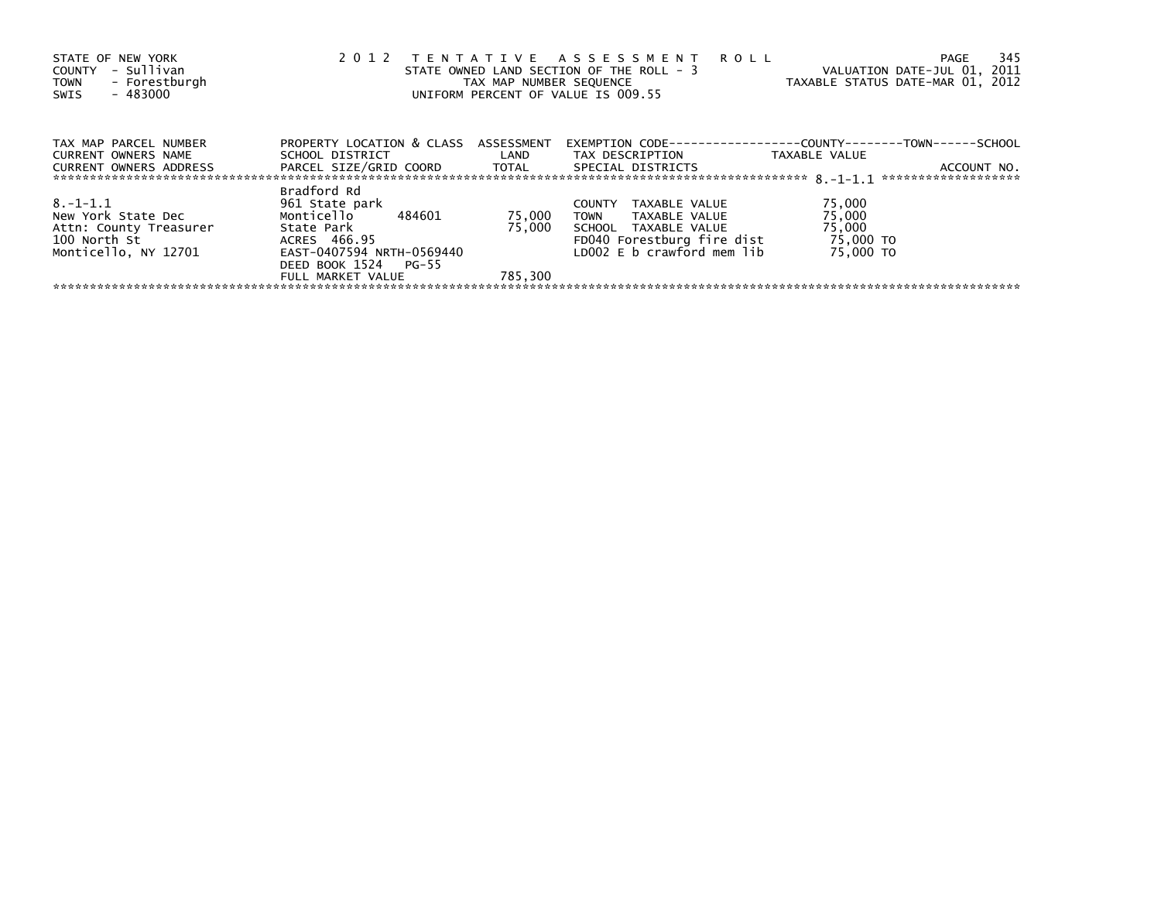| STATE OF NEW YORK<br>- Sullivan<br>COUNTY<br>- Forestburgh<br><b>TOWN</b><br>$-483000$<br>SWIS | 2 0 1 2                                              | TAX MAP NUMBER SEQUENCE | TENTATIVE ASSESSMENT ROLL<br>STATE OWNED LAND SECTION OF THE ROLL - 3<br>UNIFORM PERCENT OF VALUE IS 009.55 | VALUATION DATE-JUL 01, 2011<br>TAXABLE STATUS DATE-MAR 01, 2012 | - 345<br>PAGE |
|------------------------------------------------------------------------------------------------|------------------------------------------------------|-------------------------|-------------------------------------------------------------------------------------------------------------|-----------------------------------------------------------------|---------------|
| TAX MAP PARCEL NUMBER                                                                          | PROPERTY LOCATION & CLASS ASSESSMENT                 |                         | EXEMPTION        CODE-----------------COUNTY-------TOWN------SCHOOL                                         |                                                                 |               |
| <b>CURRENT OWNERS NAME</b><br>CURRENT OWNERS ADDRESS                                           | SCHOOL DISTRICT LAND<br>PARCEL SIZE/GRID COORD TOTAL |                         | TAX DESCRIPTION<br>SPECIAL DISTRICTS                                                                        | TAXABLE VALUE                                                   | ACCOUNT NO.   |
|                                                                                                | Bradford Rd                                          |                         |                                                                                                             |                                                                 |               |
| $8. -1 - 1.1$<br>New York State Dec                                                            | 961 State park<br>Monticello 484601                  | 75,000                  | COUNTY TAXABLE VALUE<br>TOWN TAXABLE VALUE                                                                  | 75,000<br>75,000                                                |               |
| Attn: County Treasurer<br>100 North St                                                         | State Park<br>ACRES 466.95                           | 75.000                  | SCHOOL TAXABLE VALUE<br>FD040 Forestburg fire dist                                                          | 75,000<br>75,000 TO                                             |               |
| Monticello, NY 12701                                                                           | EAST-0407594 NRTH-0569440<br>DEED BOOK 1524 PG-55    |                         | LD002 E b crawford mem lib                                                                                  | 75,000 TO                                                       |               |
|                                                                                                | FULL MARKET VALUE                                    | 785.300                 |                                                                                                             |                                                                 |               |
|                                                                                                |                                                      |                         |                                                                                                             |                                                                 |               |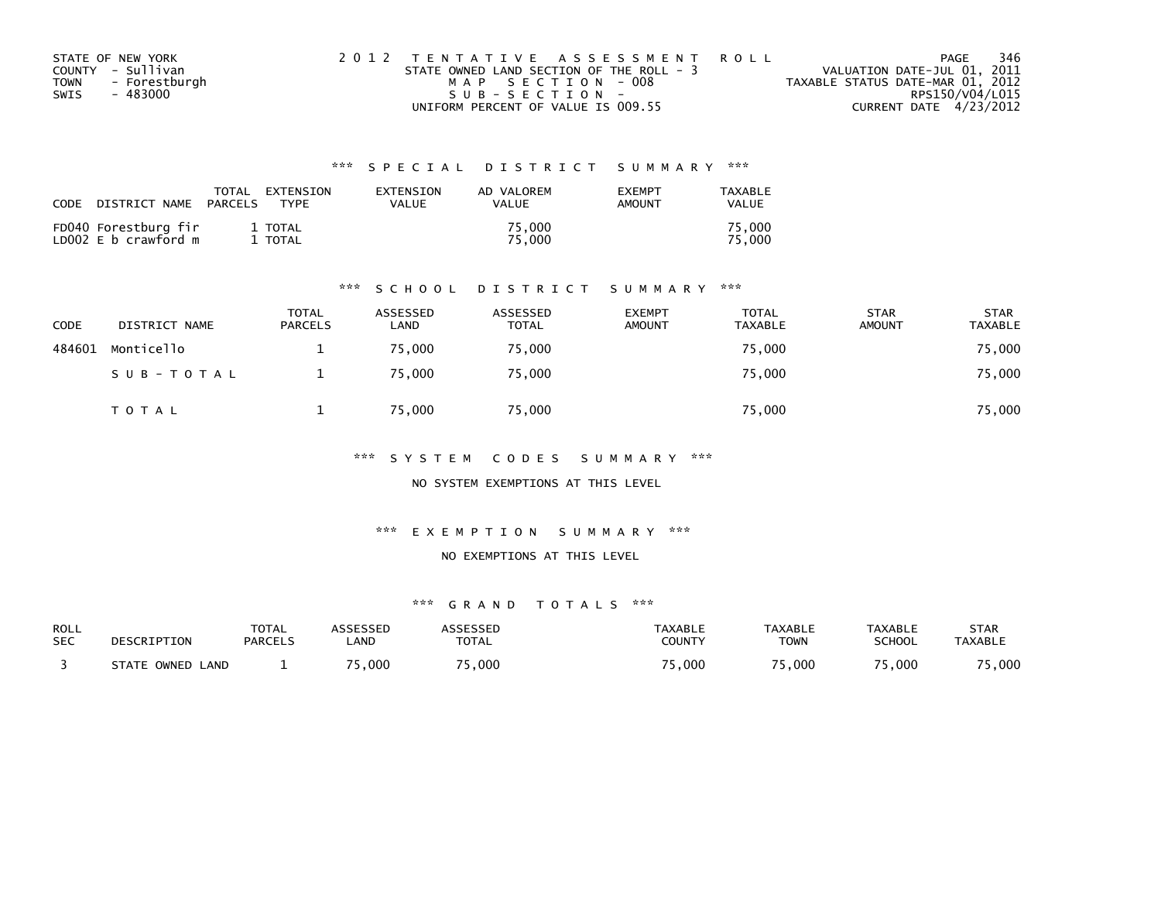| STATE OF NEW YORK            | 2012 TENTATIVE ASSESSMENT ROLL           | 346<br>PAGE                      |
|------------------------------|------------------------------------------|----------------------------------|
| COUNTY - Sullivan            | STATE OWNED LAND SECTION OF THE ROLL - 3 | VALUATION DATE-JUL 01, 2011      |
| - Forestburgh<br><b>TOWN</b> | MAP SECTION - 008                        | TAXABLE STATUS DATE-MAR 01, 2012 |
| - 483000<br>SWIS             | $SUB - SECTION -$                        | RPS150/V04/L015                  |
|                              | UNIFORM PERCENT OF VALUE IS 009.55       | CURRENT DATE 4/23/2012           |

| CODE | DISTRICT NAME                                | TOTAL<br>PARCELS | EXTENSION<br><b>TYPF</b> | EXTENSION<br><b>VALUE</b> | AD VALOREM<br>VALUE | <b>EXEMPT</b><br>AMOUNT | TAXABLE<br><b>VALUE</b> |
|------|----------------------------------------------|------------------|--------------------------|---------------------------|---------------------|-------------------------|-------------------------|
|      | FD040 Forestburg fir<br>LD002 E b crawford m |                  | 1 TOTAL<br>TOTAL         |                           | 75.000<br>75.000    |                         | 75.000<br>75.000        |

### \*\*\* S C H O O L D I S T R I C T S U M M A R Y \*\*\*

| <b>CODE</b> | DISTRICT NAME | <b>TOTAL</b><br><b>PARCELS</b> | ASSESSED<br>LAND | ASSESSED<br><b>TOTAL</b> | <b>EXEMPT</b><br><b>AMOUNT</b> | <b>TOTAL</b><br><b>TAXABLE</b> | <b>STAR</b><br><b>AMOUNT</b> | <b>STAR</b><br><b>TAXABLE</b> |
|-------------|---------------|--------------------------------|------------------|--------------------------|--------------------------------|--------------------------------|------------------------------|-------------------------------|
| 484601      | Monticello    |                                | 75.000           | 75,000                   |                                | 75,000                         |                              | 75,000                        |
|             | SUB-TOTAL     |                                | 75,000           | 75,000                   |                                | 75,000                         |                              | 75,000                        |
|             | T O T A L     |                                | 75,000           | 75,000                   |                                | 75,000                         |                              | 75,000                        |

\*\*\* S Y S T E M C O D E S S U M M A R Y \*\*\*

NO SYSTEM EXEMPTIONS AT THIS LEVEL

\*\*\* E X E M P T I O N S U M M A R Y \*\*\*

### NO EXEMPTIONS AT THIS LEVEL

| ROLL       | DESCRIPTION         | <b>TOTAL</b>   | ASSESSED | <b>ASSESSED</b> | <b>TAXABLE</b> | <b>TAXABLE</b> | <b>TAXABLE</b> | STAR           |
|------------|---------------------|----------------|----------|-----------------|----------------|----------------|----------------|----------------|
| <b>SEC</b> |                     | <b>PARCELS</b> | _AND     | <b>TOTAL</b>    | COUNTY         | TOWN           | <b>SCHOOL</b>  | <b>TAXABLE</b> |
|            | STATE OWNED<br>LAND |                | 5,000    | 5,000           | 5,000          | 000. د         | 5,000          | 5,000          |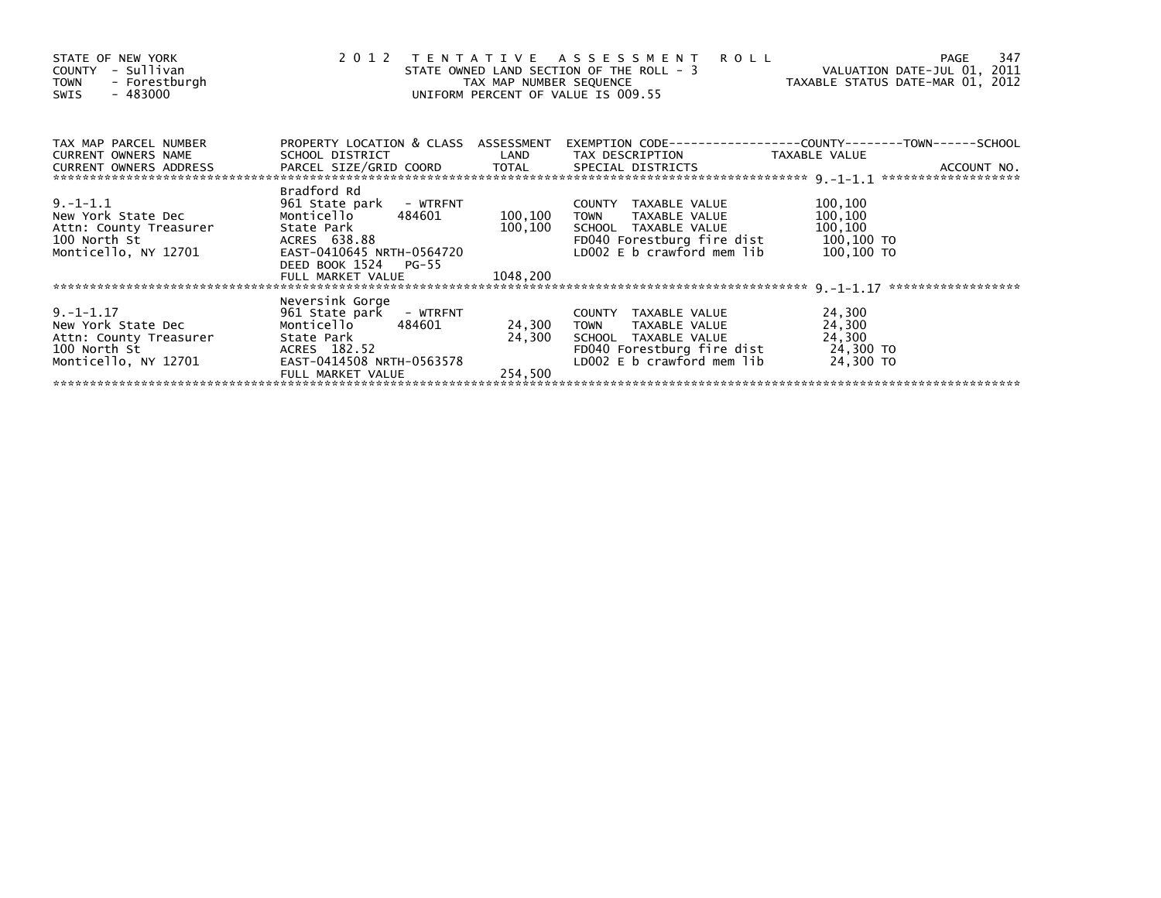| STATE OF NEW YORK<br>- Sullivan<br>COUNTY<br>- Forestburgh<br><b>TOWN</b><br>- 483000<br>SWIS          | 2 0 1 2                                                                                                                                                                | TAX MAP NUMBER SEQUENCE        | TENTATIVE ASSESSMENT<br><b>ROLL</b><br>STATE OWNED LAND SECTION OF THE ROLL - 3<br>UNIFORM PERCENT OF VALUE IS 009.55                    | VALUATION DATE-JUL 01, 2011<br>TAXABLE STATUS DATE-MAR 01, 2012 | 347<br><b>PAGE</b> |
|--------------------------------------------------------------------------------------------------------|------------------------------------------------------------------------------------------------------------------------------------------------------------------------|--------------------------------|------------------------------------------------------------------------------------------------------------------------------------------|-----------------------------------------------------------------|--------------------|
| TAX MAP PARCEL NUMBER<br><b>CURRENT OWNERS NAME</b>                                                    | PROPERTY LOCATION & CLASS ASSESSMENT<br>SCHOOL DISTRICT                                                                                                                | LAND                           | TAX DESCRIPTION                                                                                                                          | TAXABLE VALUE                                                   |                    |
| CURRENT OWNERS ADDRESS PARCEL SIZE/GRID COORD TOTAL SPECIAL DISTRICTS                                  |                                                                                                                                                                        |                                |                                                                                                                                          |                                                                 | ACCOUNT NO.        |
| $9. - 1 - 1.1$<br>New York State Dec<br>Attn: County Treasurer<br>100 North St<br>Monticello, NY 12701 | Bradford Rd<br>961 State park - WTRFNT<br>484601<br>Monticello<br>State Park<br>ACRES 638.88<br>EAST-0410645 NRTH-0564720<br>DEED BOOK 1524 PG-55<br>FULL MARKET VALUE | 100,100<br>100,100<br>1048,200 | COUNTY TAXABLE VALUE<br>TAXABLE VALUE<br><b>TOWN</b><br>SCHOOL TAXABLE VALUE<br>FD040 Forestburg fire dist<br>LD002 E b crawford mem lib | 100,100<br>100,100<br>100,100<br>100,100 TO<br>100,100 TO       |                    |
|                                                                                                        |                                                                                                                                                                        |                                |                                                                                                                                          |                                                                 | ****************** |
| $9. -1 - 1.17$<br>New York State Dec<br>Attn: County Treasurer<br>100 North St<br>Monticello, NY 12701 | Neversink Gorge<br>961 State park - WTRFNT<br>Monticello<br>484601<br>State Park<br>ACRES 182.52<br>EAST-0414508 NRTH-0563578<br>FULL MARKET VALUE                     | 24,300<br>24,300<br>254.500    | COUNTY TAXABLE VALUE<br><b>TOWN</b><br>TAXABLE VALUE<br>SCHOOL TAXABLE VALUE<br>FD040 Forestburg fire dist<br>LD002 E b crawford mem lib | 24,300<br>24,300<br>24,300<br>24,300 TO<br>24,300 TO            |                    |
|                                                                                                        |                                                                                                                                                                        |                                |                                                                                                                                          |                                                                 |                    |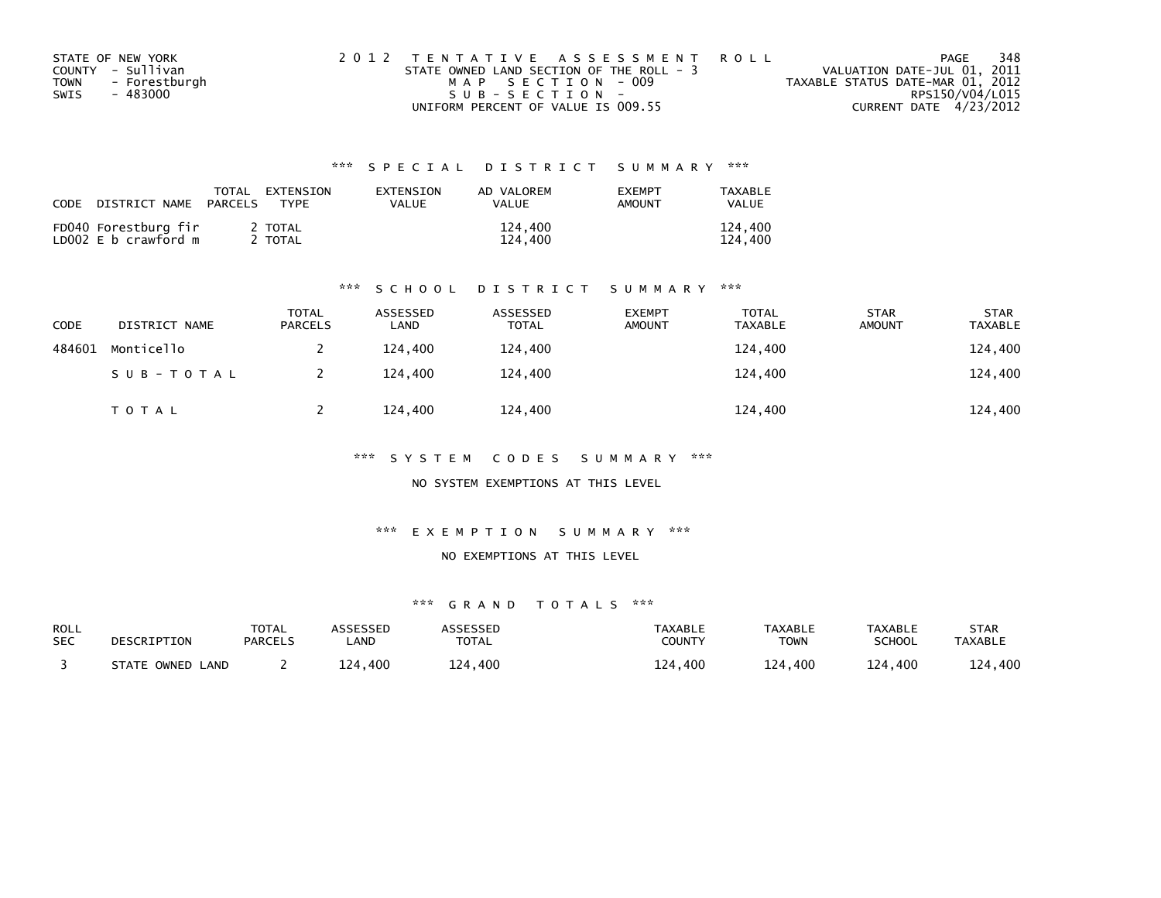| STATE OF NEW YORK            | 2012 TENTATIVE ASSESSMENT ROLL           | 348<br>PAGE                      |
|------------------------------|------------------------------------------|----------------------------------|
| COUNTY - Sullivan            | STATE OWNED LAND SECTION OF THE ROLL - 3 | VALUATION DATE-JUL 01, 2011      |
| - Forestburgh<br><b>TOWN</b> | MAP SECTION - 009                        | TAXABLE STATUS DATE-MAR 01, 2012 |
| - 483000<br>SWIS             | $SUB - SECTION -$                        | RPS150/V04/L015                  |
|                              | UNIFORM PERCENT OF VALUE IS 009.55       | CURRENT DATE 4/23/2012           |

| CODE DISTRICT NAME                           | TOTAL<br>PARCELS | EXTENSION<br>TYPF | EXTENSION<br>VALUE | AD VALOREM<br>VAI UF | <b>EXEMPT</b><br>AMOUNT | TAXABLE<br>VALUE   |
|----------------------------------------------|------------------|-------------------|--------------------|----------------------|-------------------------|--------------------|
| FD040 Forestburg fir<br>LD002 E b crawford m |                  | 2 TOTAL<br>TOTAL  |                    | 124,400<br>124,400   |                         | 124,400<br>124,400 |

### \*\*\* S C H O O L D I S T R I C T S U M M A R Y \*\*\*

| CODE   | DISTRICT NAME | TOTAL<br><b>PARCELS</b> | ASSESSED<br>LAND | ASSESSED<br><b>TOTAL</b> | <b>EXEMPT</b><br><b>AMOUNT</b> | <b>TOTAL</b><br><b>TAXABLE</b> | <b>STAR</b><br><b>AMOUNT</b> | <b>STAR</b><br><b>TAXABLE</b> |
|--------|---------------|-------------------------|------------------|--------------------------|--------------------------------|--------------------------------|------------------------------|-------------------------------|
| 484601 | Monticello    |                         | 124.400          | 124,400                  |                                | 124,400                        |                              | 124,400                       |
|        | SUB-TOTAL     |                         | 124,400          | 124,400                  |                                | 124,400                        |                              | 124,400                       |
|        | T O T A L     |                         | 124,400          | 124,400                  |                                | 124,400                        |                              | 124,400                       |

\*\*\* S Y S T E M C O D E S S U M M A R Y \*\*\*

NO SYSTEM EXEMPTIONS AT THIS LEVEL

\*\*\* E X E M P T I O N S U M M A R Y \*\*\*

NO EXEMPTIONS AT THIS LEVEL

| ROLL       | DESCRIPTION      | <b>TOTAL</b>   | ASSESSED   | ASSESSED     | TAXABLE       | <b>TAXABLE</b> | TAXABLE       | STAR           |
|------------|------------------|----------------|------------|--------------|---------------|----------------|---------------|----------------|
| <b>SEC</b> |                  | <b>PARCELS</b> | <b>AND</b> | <b>TOTAL</b> | <b>COUNTY</b> | TOWN           | <b>SCHOOL</b> | <b>TAXABLE</b> |
|            | STATE OWNED LAND |                | 124.400    | 124,400      | 400،<br>124   | 124,400        | 124,400       | 124,400        |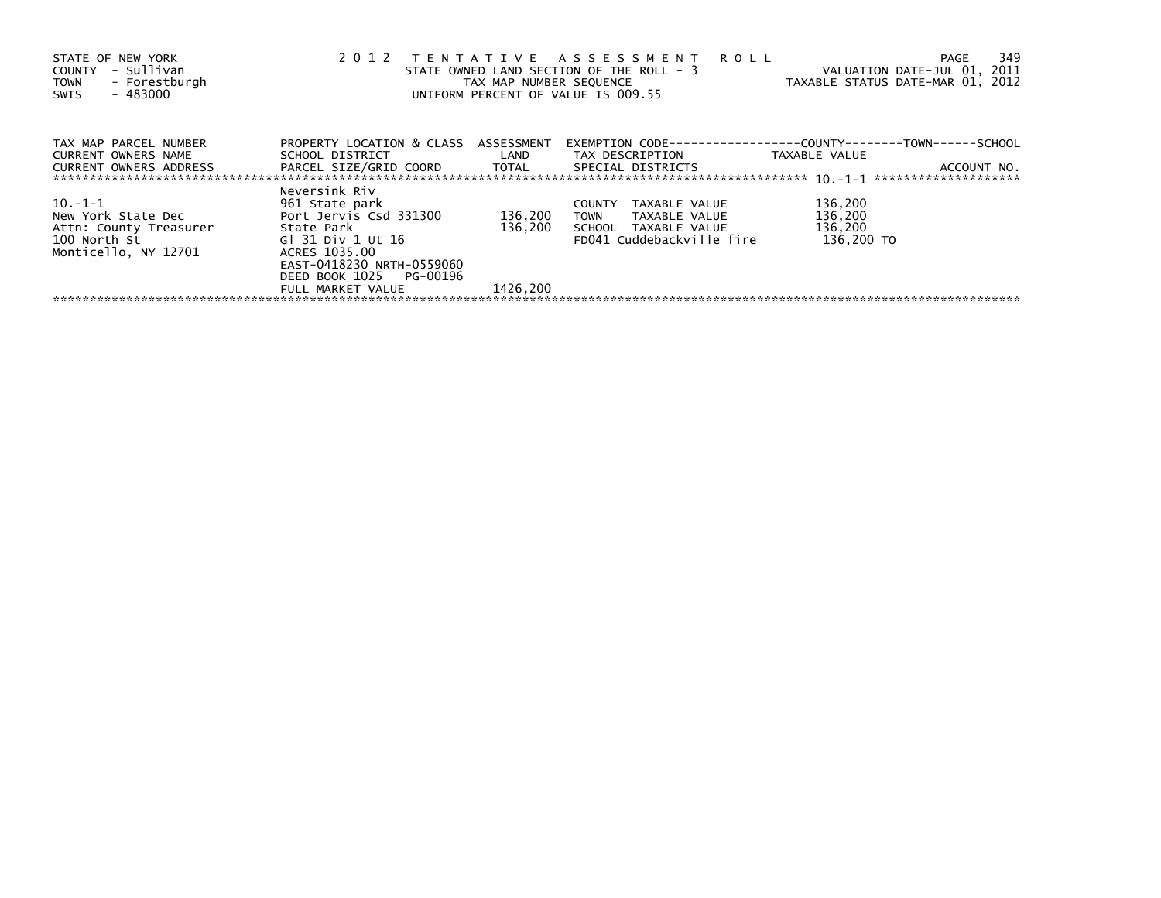| STATE OF NEW YORK<br>- Sullivan<br>COUNTY<br>- Forestburgh<br><b>TOWN</b><br>- 483000<br>SWIS        | 2012<br>TENTATIVE ASSESSMENT<br><b>ROLL</b><br>STATE OWNED LAND SECTION OF THE ROLL - 3<br>VALUATION DATE-JUL 01, 2011<br>TAXABLE STATUS DATE-MAR 01, 2012<br>TAX MAP NUMBER SEQUENCE<br>UNIFORM PERCENT OF VALUE IS 009.55 |                                |                                                                                                           |                                             |  |  |
|------------------------------------------------------------------------------------------------------|-----------------------------------------------------------------------------------------------------------------------------------------------------------------------------------------------------------------------------|--------------------------------|-----------------------------------------------------------------------------------------------------------|---------------------------------------------|--|--|
| TAX MAP PARCEL NUMBER<br>CURRENT OWNERS NAME<br><b>CURRENT OWNERS ADDRESS</b>                        | PROPERTY LOCATION & CLASS ASSESSMENT                                                                                                                                                                                        |                                |                                                                                                           | TAXABLE VALUE                               |  |  |
| $10. -1 - 1$<br>New York State Dec<br>Attn: County Treasurer<br>100 North St<br>Monticello, NY 12701 | Neversink Riv<br>961 State park<br>Port Jervis Csd 331300<br>State Park<br>Gl 31 Div 1 Ut 16<br>ACRES 1035.00<br>EAST-0418230 NRTH-0559060<br>DEED BOOK 1025 PG-00196<br>FULL MARKET VALUE                                  | 136,200<br>136,200<br>1426.200 | TAXABLE VALUE<br><b>COUNTY</b><br>TOWN TAXABLE VALUE<br>SCHOOL TAXABLE VALUE<br>FD041 Cuddebackville fire | 136,200<br>136,200<br>136,200<br>136,200 TO |  |  |
|                                                                                                      |                                                                                                                                                                                                                             |                                |                                                                                                           |                                             |  |  |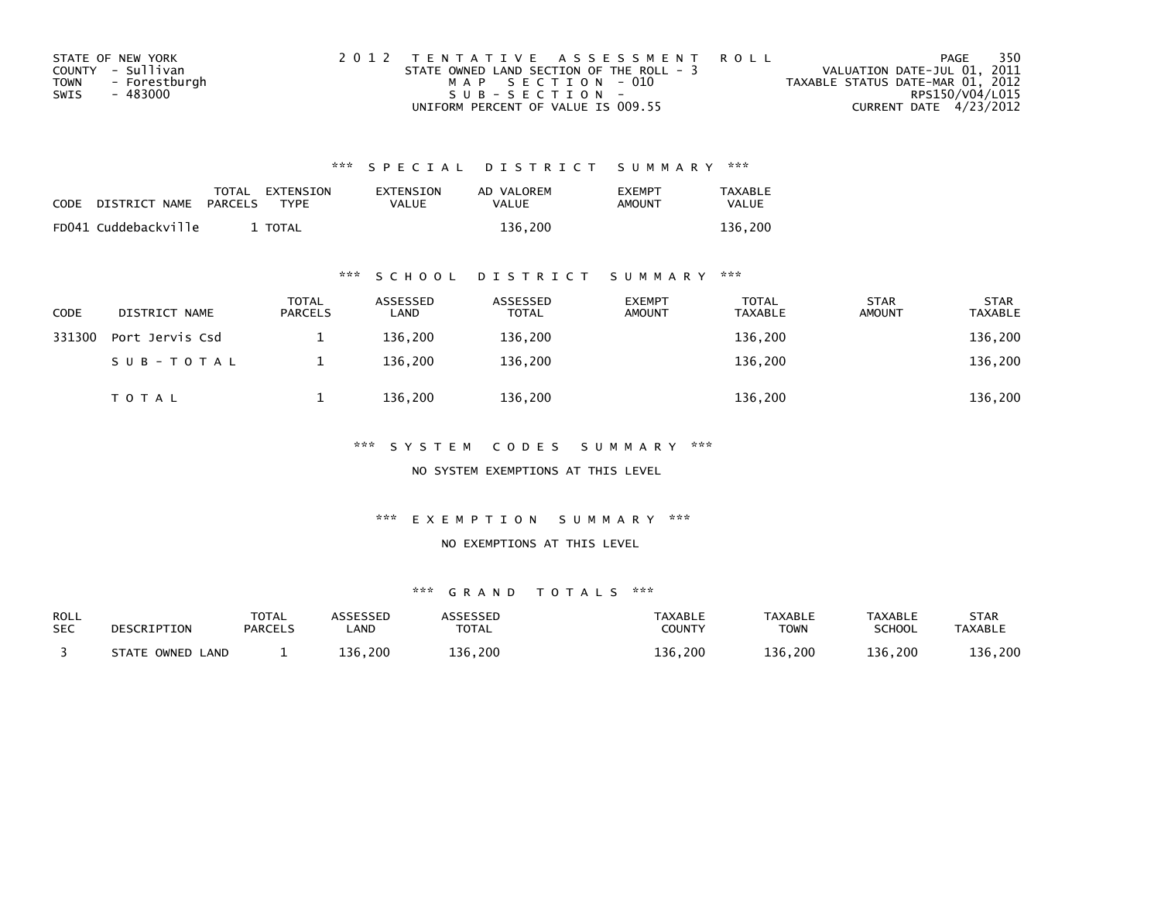| STATE OF NEW YORK     | 2012 TENTATIVE ASSESSMENT ROLL           | PAGE                             | 350 |
|-----------------------|------------------------------------------|----------------------------------|-----|
| COUNTY - Sullivan     | STATE OWNED LAND SECTION OF THE ROLL - 3 | VALUATION DATE-JUL 01, 2011      |     |
| - Forestburgh<br>TOWN | MAP SECTION - 010                        | TAXABLE STATUS DATE-MAR 01, 2012 |     |
| - 483000<br>SWIS      | SUB-SECTION-                             | RPS150/V04/L015                  |     |
|                       | UNIFORM PERCENT OF VALUE IS 009.55       | CURRENT DATE 4/23/2012           |     |

| <b>CODE</b> | DISTRICT NAME        | PARCELS | TOTAL EXTENSION<br><b>TYPF</b> | EXTENSION<br>VALUE | AD VALOREM<br>VALUE | <b>EXEMPT</b><br>AMOUNT | <b>TAXABLE</b><br><b>VALUE</b> |
|-------------|----------------------|---------|--------------------------------|--------------------|---------------------|-------------------------|--------------------------------|
|             | FD041 Cuddebackville |         | TOTAL                          |                    | 136.200             |                         | 136.200                        |

### \*\*\* S C H O O L D I S T R I C T S U M M A R Y \*\*\*

| <b>CODE</b> | DISTRICT NAME   | <b>TOTAL</b><br><b>PARCELS</b> | ASSESSED<br>LAND | ASSESSED<br><b>TOTAL</b> | <b>EXEMPT</b><br>AMOUNT | <b>TOTAL</b><br><b>TAXABLE</b> | <b>STAR</b><br>AMOUNT | <b>STAR</b><br><b>TAXABLE</b> |
|-------------|-----------------|--------------------------------|------------------|--------------------------|-------------------------|--------------------------------|-----------------------|-------------------------------|
| 331300      | Port Jervis Csd |                                | 136.200          | 136,200                  |                         | 136,200                        |                       | 136,200                       |
|             | SUB-TOTAL       |                                | 136.200          | 136,200                  |                         | 136,200                        |                       | 136,200                       |
|             | TOTAL           |                                | 136,200          | 136,200                  |                         | 136,200                        |                       | 136,200                       |

### \*\*\* S Y S T E M C O D E S S U M M A R Y \*\*\*

NO SYSTEM EXEMPTIONS AT THIS LEVEL

### \*\*\* E X E M P T I O N S U M M A R Y \*\*\*

### NO EXEMPTIONS AT THIS LEVEL

| <b>ROLL</b> | DESCRIPTION      | <b>TOTAL</b>   | ASSESSED | <b>ASSESSED</b> | TAXABLE | <b>TAXABLE</b> | <b>TAXABLE</b> | <b>STAR</b>    |
|-------------|------------------|----------------|----------|-----------------|---------|----------------|----------------|----------------|
| <b>SEC</b>  |                  | <b>PARCELS</b> | _AND     | <b>TOTAL</b>    | COUNTY  | <b>TOWN</b>    | SCHOOL         | <b>TAXABLE</b> |
|             | STATE OWNED LAND |                | 136,200  | 136,200         | 136,200 | 136,200        | 136,200        | 136,200        |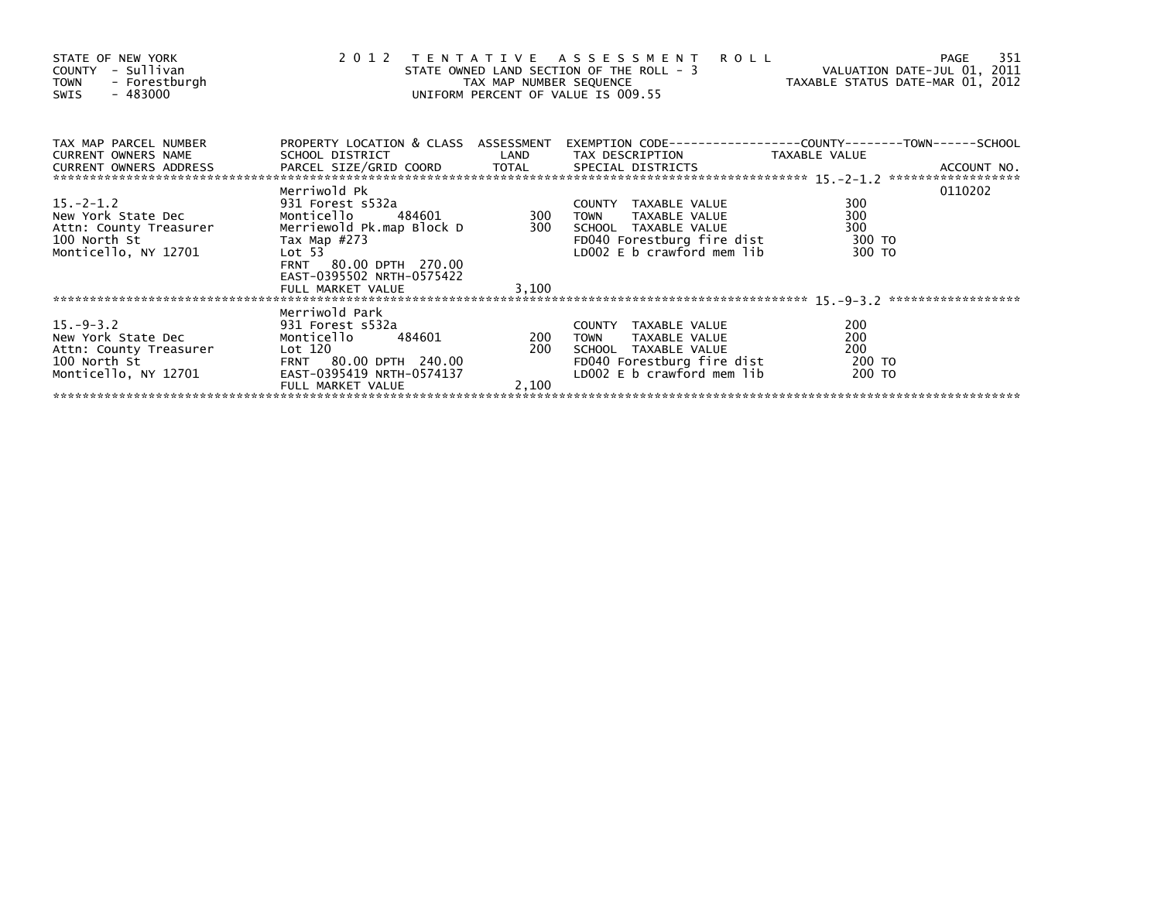| STATE OF NEW YORK<br>COUNTY - Sullivan<br>- Forestburgh<br>TOWN<br>$-483000$<br>SWIS                    | 2012 TENTATIVE ASSESSMENT<br>STATE OWNED LAND SECTION OF THE ROLL - 3<br>TAX MAP NUMBER SEQUENCE<br>UNIFORM PERCENT OF VALUE IS 009.55                                            | <b>ROLL</b><br>ROLL - 3<br>TAXABLE STATUS DATE-MAR 01, 2012 | -351<br>PAGE                                                                                                                             |                                       |         |
|---------------------------------------------------------------------------------------------------------|-----------------------------------------------------------------------------------------------------------------------------------------------------------------------------------|-------------------------------------------------------------|------------------------------------------------------------------------------------------------------------------------------------------|---------------------------------------|---------|
| TAX MAP PARCEL NUMBER<br>CURRENT OWNERS NAME                                                            | PROPERTY LOCATION & CLASS ASSESSMENT<br>SCHOOL DISTRICT                                                                                                                           |                                                             | EXEMPTION CODE-----------------COUNTY-------TOWN------SCHOOL<br>LAND TAX DESCRIPTION TAXABLE VALUE                                       |                                       |         |
| $15. - 2 - 1.2$<br>New York State Dec<br>Attn: County Treasurer<br>100 North St<br>Monticello, NY 12701 | Merriwold Pk<br>931 Forest s532a<br>484601<br>Monticello<br>Merriewold Pk.map Block D<br>Тах Мар #273<br>Lot <sub>53</sub><br>FRNT 80.00 DPTH 270.00<br>EAST-0395502 NRTH-0575422 | <b>COUNTY</b><br>300 TOWN                                   | COUNTY TAXABLE VALUE<br>TAXABLE VALUE<br>300 SCHOOL TAXABLE VALUE<br>FD040 Forestburg fire dist<br>LD002 E b crawford mem lib            | 300<br>300<br>300<br>300 TO<br>300 TO | 0110202 |
|                                                                                                         |                                                                                                                                                                                   |                                                             |                                                                                                                                          |                                       |         |
| $15.-9-3.2$<br>New York State Dec<br>Attn: County Treasurer<br>100 North St<br>Monticello, NY 12701     | Merriwold Park<br>931 Forest s532a<br>484601 200<br>Monticello<br>Lot 120<br>FRNT 80.00 DPTH 240.00<br>EAST-0395419 NRTH-0574137                                                  | 200                                                         | COUNTY TAXABLE VALUE<br><b>TOWN</b><br>TAXABLE VALUE<br>SCHOOL TAXABLE VALUE<br>FD040 Forestburg fire dist<br>LD002 E b crawford mem lib | 200<br>200<br>200<br>200 TO<br>200 TO |         |
|                                                                                                         | FULL MARKET VALUE                                                                                                                                                                 | 2.100                                                       |                                                                                                                                          |                                       |         |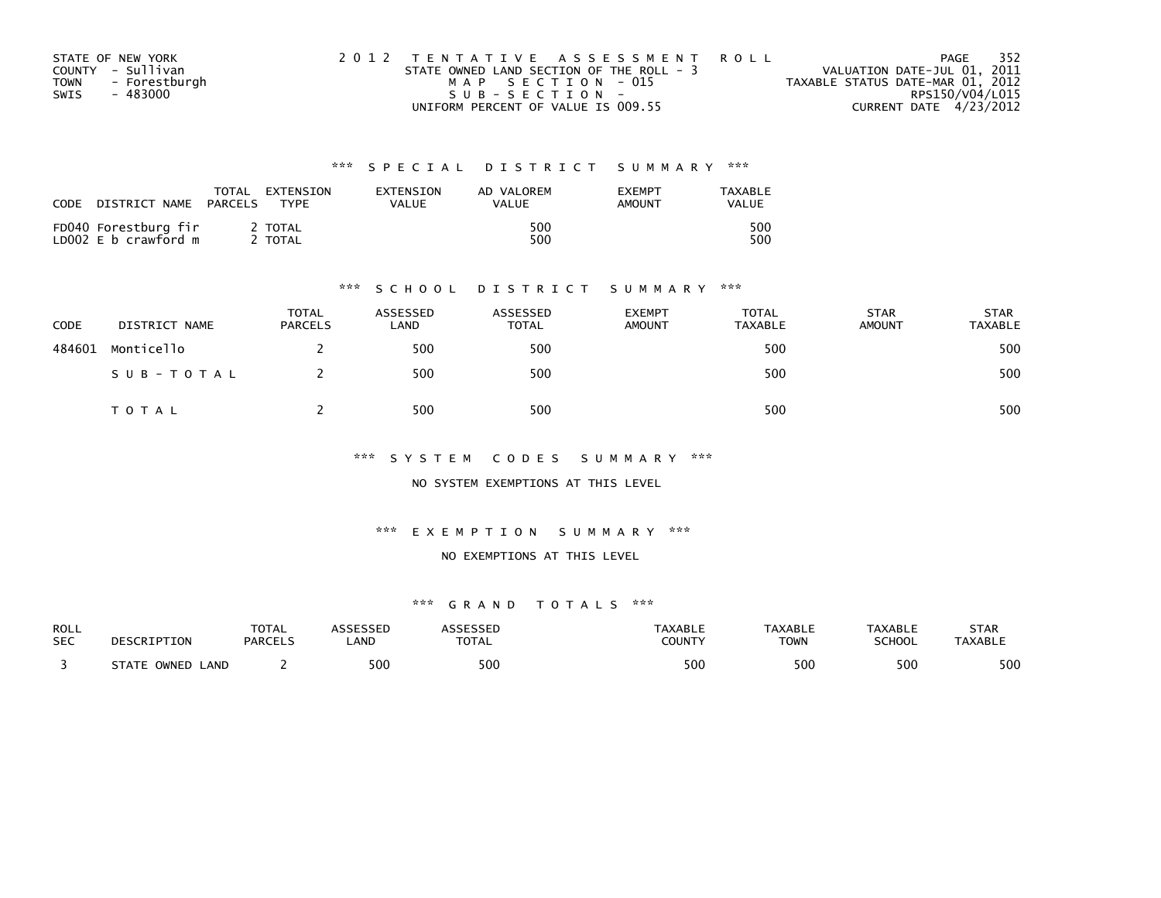| STATE OF NEW YORK            | 2012 TENTATIVE ASSESSMENT ROLL           | - 352<br>PAGE                    |
|------------------------------|------------------------------------------|----------------------------------|
| COUNTY - Sullivan            | STATE OWNED LAND SECTION OF THE ROLL - 3 | VALUATION DATE-JUL 01, 2011      |
| - Forestburgh<br><b>TOWN</b> | MAP SECTION - 015                        | TAXABLE STATUS DATE-MAR 01, 2012 |
| SWIS<br>- 483000             | SUB-SECTION-                             | RPS150/V04/L015                  |
|                              | UNIFORM PERCENT OF VALUE IS 009.55       | CURRENT DATE 4/23/2012           |

| CODE<br>DISTRICT NAME                        | TOTAL<br>EXTENSION<br>PARCELS<br><b>TYPF</b> | EXTENSION<br>VALUE | AD VALOREM<br><b>VALUE</b> | <b>EXEMPT</b><br>AMOUNT | TAXABLE<br>VALUE |
|----------------------------------------------|----------------------------------------------|--------------------|----------------------------|-------------------------|------------------|
| FD040 Forestburg fir<br>LD002 E b crawford m | <b>TOTAL</b><br><b>TOTAL</b>                 |                    | 500<br>500                 |                         | 500<br>500       |

### \*\*\* S C H O O L D I S T R I C T S U M M A R Y \*\*\*

| CODE   | DISTRICT NAME | <b>TOTAL</b><br><b>PARCELS</b> | ASSESSED<br>LAND | ASSESSED<br><b>TOTAL</b> | <b>EXEMPT</b><br><b>AMOUNT</b> | TOTAL<br><b>TAXABLE</b> | <b>STAR</b><br><b>AMOUNT</b> | <b>STAR</b><br>TAXABLE |
|--------|---------------|--------------------------------|------------------|--------------------------|--------------------------------|-------------------------|------------------------------|------------------------|
| 484601 | Monticello    |                                | 500              | 500                      |                                | 500                     |                              | 500                    |
|        | SUB-TOTAL     |                                | 500              | 500                      |                                | 500                     |                              | 500                    |
|        | T O T A L     |                                | 500              | 500                      |                                | 500                     |                              | 500                    |

\*\*\* S Y S T E M C O D E S S U M M A R Y \*\*\*

NO SYSTEM EXEMPTIONS AT THIS LEVEL

\*\*\* E X E M P T I O N S U M M A R Y \*\*\*

### NO EXEMPTIONS AT THIS LEVEL

| ROLL       | DESCRIPTION                     | <b>TOTAL</b>   | <b>\SSESSED</b> | ASSESSED     | <b>TAXABLE</b> | <b>TAXABLE</b> | TAXABLE       | STAR           |
|------------|---------------------------------|----------------|-----------------|--------------|----------------|----------------|---------------|----------------|
| <b>SEC</b> |                                 | <b>PARCELS</b> | _AND            | <b>TOTAL</b> | COUNTY         | <b>TOWN</b>    | <b>SCHOOL</b> | <b>TAXABLE</b> |
|            | <b>STATE L</b><br>LAND<br>OWNED |                | 500             | 500          | 500            | 500            | 500           | 500            |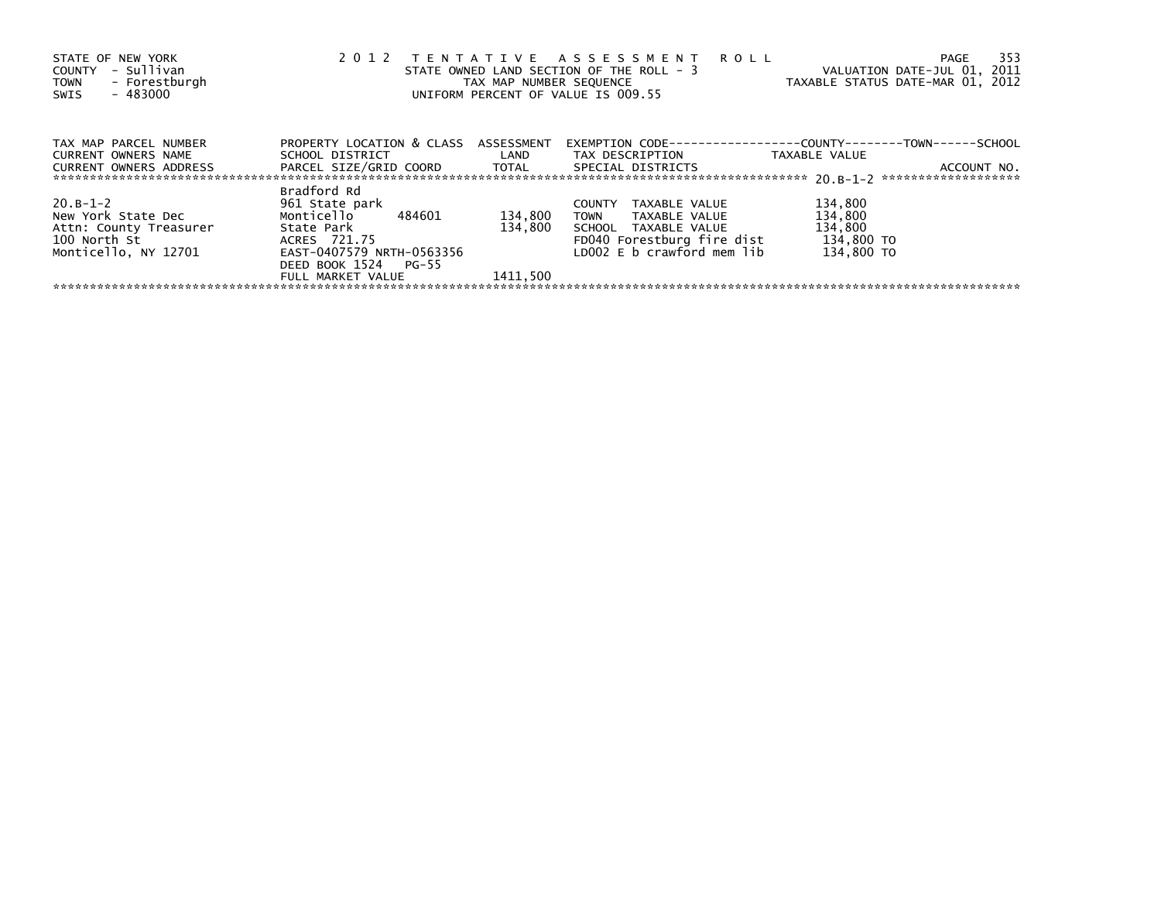| STATE OF NEW YORK<br>COUNTY - Sullivan<br>- Forestburgh<br>TOWN<br>- 483000<br>SWIS | 2 0 1 2                                        | TAX MAP NUMBER SEQUENCE | TENTATIVE ASSESSMENT ROLL<br>STATE OWNED LAND SECTION OF THE ROLL - 3<br>UNIFORM PERCENT OF VALUE IS 009.55 | - 353<br>PAGE<br>VALUATION DATE-JUL 01, 2011<br>TAXABLE STATUS DATE-MAR 01, 2012 |
|-------------------------------------------------------------------------------------|------------------------------------------------|-------------------------|-------------------------------------------------------------------------------------------------------------|----------------------------------------------------------------------------------|
| TAX MAP PARCEL NUMBER                                                               | PROPERTY LOCATION & CLASS ASSESSMENT           |                         |                                                                                                             | EXEMPTION        CODE-----------------COUNTY-------TOWN------SCHOOL              |
| <b>CURRENT OWNERS NAME</b>                                                          | SCHOOL DISTRICT TAX DESCRIPTION                |                         |                                                                                                             | TAXABLE VALUE                                                                    |
| CURRENT OWNERS ADDRESS                                                              | PARCEL SIZE/GRID COORD TOTAL SPECIAL DISTRICTS |                         |                                                                                                             | ACCOUNT NO.                                                                      |
|                                                                                     | Bradford Rd                                    |                         |                                                                                                             |                                                                                  |
| $20. B - 1 - 2$                                                                     | 961 State park                                 |                         | COUNTY TAXABLE VALUE                                                                                        | 134,800                                                                          |
| New York State Dec                                                                  | Monticello 484601                              | 134,800                 | TOWN TAXABLE VALUE                                                                                          | 134,800                                                                          |
| Attn: County Treasurer                                                              | State Park                                     | 134,800                 | SCHOOL TAXABLE VALUE                                                                                        | 134,800                                                                          |
| 100 North St                                                                        | ACRES 721.75                                   |                         | FD040 Forestburg fire dist                                                                                  | 134,800 TO                                                                       |
| Monticello, NY 12701                                                                | EAST-0407579 NRTH-0563356                      |                         | LD002 $E$ b crawford mem $lib$                                                                              | 134,800 TO                                                                       |
|                                                                                     | DEED BOOK 1524 PG-55                           |                         |                                                                                                             |                                                                                  |
|                                                                                     | FULL MARKET VALUE                              | 1411.500                |                                                                                                             |                                                                                  |
|                                                                                     |                                                |                         |                                                                                                             |                                                                                  |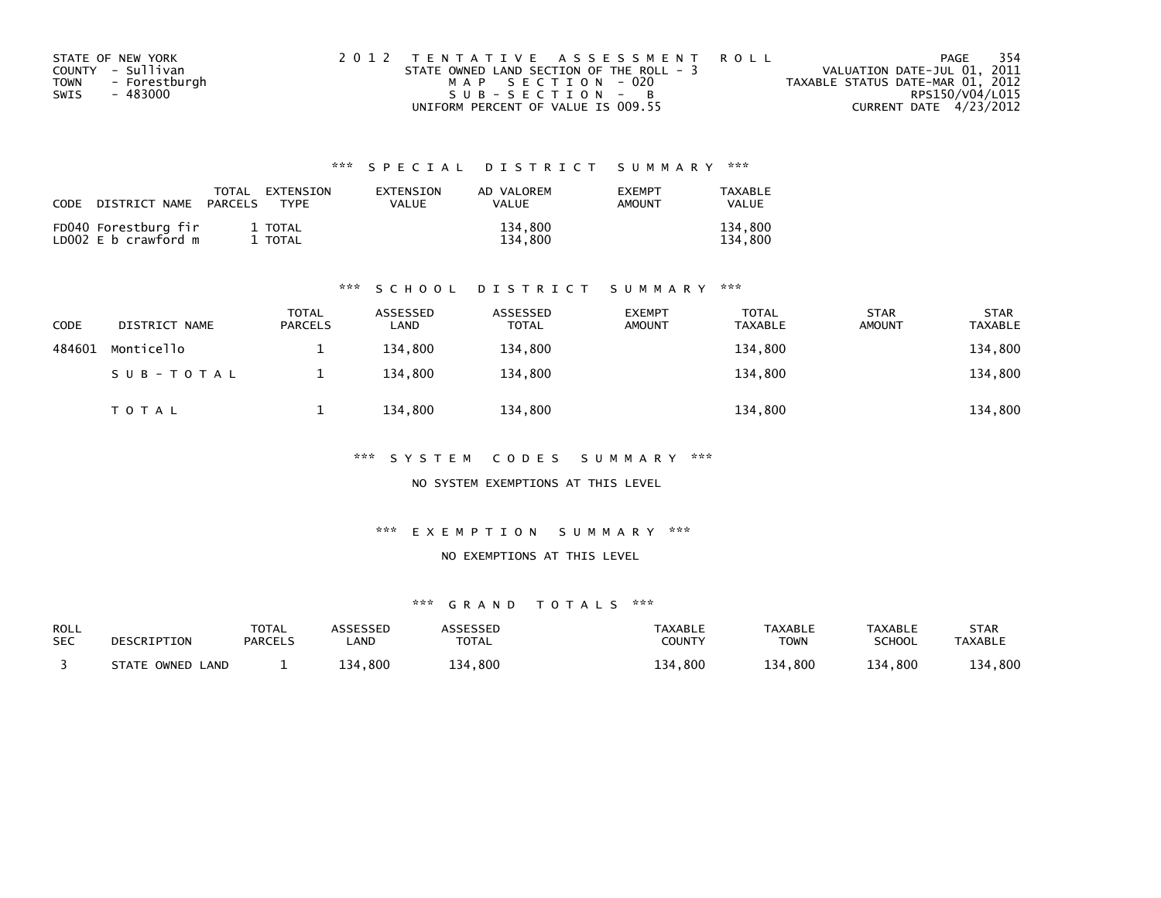| STATE OF NEW YORK            | 2012 TENTATIVE ASSESSMENT ROLL           | - 354<br>PAGE                    |
|------------------------------|------------------------------------------|----------------------------------|
| COUNTY - Sullivan            | STATE OWNED LAND SECTION OF THE ROLL - 3 | VALUATION DATE-JUL 01, 2011      |
| - Forestburgh<br><b>TOWN</b> | MAP SECTION - 020                        | TAXABLE STATUS DATE-MAR 01, 2012 |
| SWIS<br>- 483000             | $SUB - SECTION - B$                      | RPS150/V04/L015                  |
|                              | UNIFORM PERCENT OF VALUE IS 009.55       | CURRENT DATE 4/23/2012           |

| CODE | DISTRICT NAME                                | TOTAL<br>PARCELS | EXTENSION<br><b>TYPF</b> | EXTENSION<br>VALUE | AD VALOREM<br><b>VALUE</b> | <b>EXEMPT</b><br><b>AMOUNT</b> | TAXABLE<br><b>VALUE</b> |
|------|----------------------------------------------|------------------|--------------------------|--------------------|----------------------------|--------------------------------|-------------------------|
|      | FD040 Forestburg fir<br>LD002 E b crawford m |                  | 1 TOTAL<br>TOTAL         |                    | 134.800<br>134.800         |                                | 134.800<br>134.800      |

### \*\*\* S C H O O L D I S T R I C T S U M M A R Y \*\*\*

| CODE   | DISTRICT NAME | TOTAL<br><b>PARCELS</b> | ASSESSED<br>LAND | ASSESSED<br><b>TOTAL</b> | <b>EXEMPT</b><br><b>AMOUNT</b> | TOTAL<br><b>TAXABLE</b> | <b>STAR</b><br><b>AMOUNT</b> | <b>STAR</b><br><b>TAXABLE</b> |
|--------|---------------|-------------------------|------------------|--------------------------|--------------------------------|-------------------------|------------------------------|-------------------------------|
| 484601 | Monticello    |                         | 134.800          | 134,800                  |                                | 134,800                 |                              | 134,800                       |
|        | SUB-TOTAL     |                         | 134.800          | 134.800                  |                                | 134,800                 |                              | 134,800                       |
|        | TOTAL         |                         | 134.800          | 134,800                  |                                | 134,800                 |                              | 134,800                       |

\*\*\* S Y S T E M C O D E S S U M M A R Y \*\*\*

NO SYSTEM EXEMPTIONS AT THIS LEVEL

\*\*\* E X E M P T I O N S U M M A R Y \*\*\*

NO EXEMPTIONS AT THIS LEVEL

| <b>ROLL</b><br><b>SEC</b> | DESCRIPTION         | <b>TOTAL</b><br><b>PARCELS</b> | <b>ASSESSED</b><br>_AND | <b>ARRESSED</b><br><b>TOTAL</b> | <b>TAXABLE</b><br><b>COUNTY</b> | <b>TAXABLE</b><br><b>TOWN</b> | <b>TAXABLE</b><br>SCHOOL | STAR<br><b>TAXABLE</b> |
|---------------------------|---------------------|--------------------------------|-------------------------|---------------------------------|---------------------------------|-------------------------------|--------------------------|------------------------|
|                           | STATE OWNED<br>LAND |                                | 134.800                 | 134,800                         | ,800<br>134                     | 134,800                       | 134,800                  | 134,800                |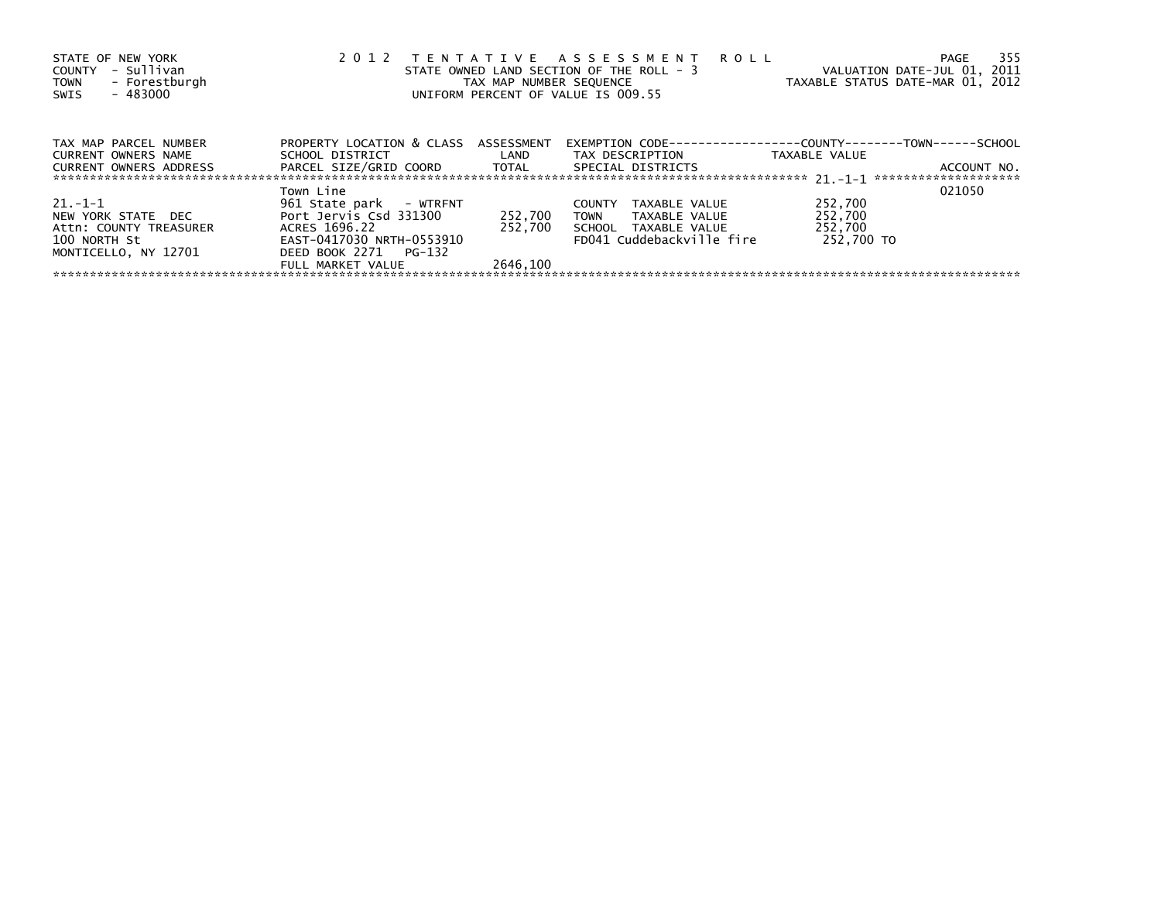| STATE OF NEW YORK<br>- Sullivan<br>COUNTY<br>- Forestburgh<br><b>TOWN</b><br>- 483000<br>SWIS | 2 0 1 2                                        | TAX MAP NUMBER SEQUENCE | TENTATIVE ASSESSMENT ROLL<br>STATE OWNED LAND SECTION OF THE ROLL - 3<br>UNIFORM PERCENT OF VALUE IS 009.55 | VALUATION DATE-JUL 01, 2011<br>TAXABLE STATUS DATE-MAR 01, 2012 | - 355<br>PAGE |
|-----------------------------------------------------------------------------------------------|------------------------------------------------|-------------------------|-------------------------------------------------------------------------------------------------------------|-----------------------------------------------------------------|---------------|
| TAX MAP PARCEL NUMBER                                                                         | PROPERTY LOCATION & CLASS ASSESSMENT           |                         | EXEMPTION        CODE-----------------COUNTY--------TOWN------SCHOOL                                        |                                                                 |               |
| CURRENT OWNERS NAME                                                                           | SCHOOL DISTRICT                                | <b>Example 12</b>       | TAX DESCRIPTION                                                                                             | TAXABLE VALUE                                                   |               |
| <b>CURRENT OWNERS ADDRESS</b>                                                                 | PARCEL SIZE/GRID COORD TOTAL SPECIAL DISTRICTS |                         |                                                                                                             |                                                                 | ACCOUNT NO.   |
|                                                                                               | Town Line                                      |                         |                                                                                                             |                                                                 | 021050        |
| $21. - 1 - 1$                                                                                 | 961 State park - WTRFNT                        |                         | <b>COUNTY</b><br>TAXABLE VALUE                                                                              | 252,700                                                         |               |
| NEW YORK STATE DEC                                                                            | Port Jervis Csd 331300                         | 252,700                 | <b>TOWN</b><br>TAXABLE VALUE                                                                                | 252,700                                                         |               |
| Attn: COUNTY TREASURER                                                                        | ACRES 1696.22                                  | 252.700                 | SCHOOL TAXABLE VALUE                                                                                        | 252,700                                                         |               |
| 100 NORTH St                                                                                  | EAST-0417030 NRTH-0553910                      |                         | FD041 Cuddebackville fire                                                                                   | 252.700 TO                                                      |               |
| MONTICELLO, NY 12701                                                                          | DEED BOOK 2271 PG-132                          |                         |                                                                                                             |                                                                 |               |
|                                                                                               | FULL MARKET VALUE                              | 2646.100                |                                                                                                             |                                                                 |               |
|                                                                                               |                                                |                         |                                                                                                             |                                                                 |               |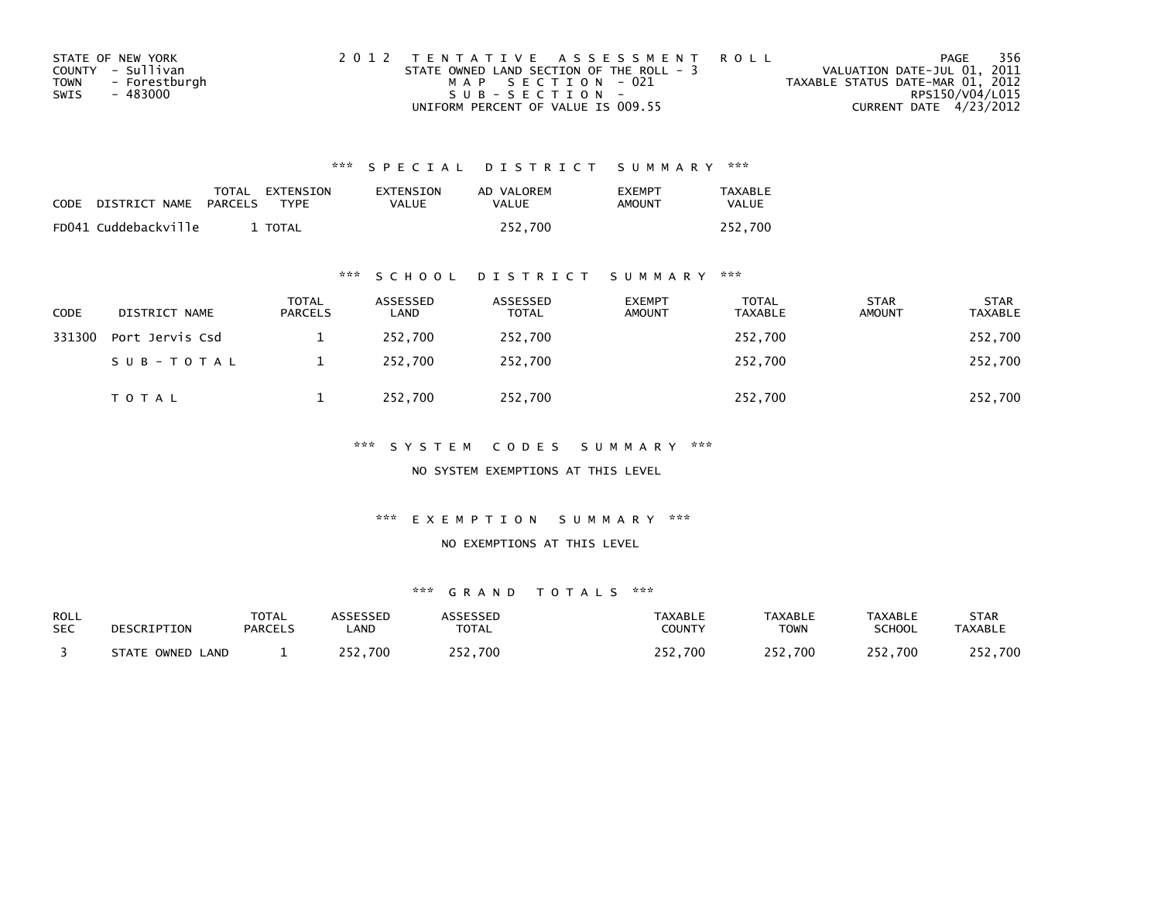| STATE OF NEW YORK |               | 2012 TENTATIVE ASSESSMENT ROLL           |                   |  |                                  |                        | PAGE | - 356 |
|-------------------|---------------|------------------------------------------|-------------------|--|----------------------------------|------------------------|------|-------|
| COUNTY - Sullivan |               | STATE OWNED LAND SECTION OF THE ROLL - 3 |                   |  | VALUATION DATE-JUL 01, 2011      |                        |      |       |
| <b>TOWN</b>       | - Forestburgh |                                          | MAP SECTION - 021 |  | TAXABLE STATUS DATE-MAR 01, 2012 |                        |      |       |
| SWIS              | - 483000      |                                          | $SUB - SECTION -$ |  |                                  | RPS150/V04/L015        |      |       |
|                   |               | UNIFORM PERCENT OF VALUE IS 009.55       |                   |  |                                  | CURRENT DATE 4/23/2012 |      |       |

| CODE | DISTRICT NAME PARCELS | TOTAL EXTENSION<br><b>TYPF</b> | EXTENSION<br>VALUE | AD VALOREM<br>VALUE | <b>FXFMPT</b><br>AMOUNT | TAXABLE<br><b>VALUE</b> |
|------|-----------------------|--------------------------------|--------------------|---------------------|-------------------------|-------------------------|
|      | FD041 Cuddebackville  | <b>TOTAL</b>                   |                    | 252.700             |                         | 252.700                 |

### \*\*\* S C H O O L D I S T R I C T S U M M A R Y \*\*\*

| <b>CODE</b> | DISTRICT NAME   | <b>TOTAL</b><br><b>PARCELS</b> | ASSESSED<br>LAND | ASSESSED<br><b>TOTAL</b> | <b>EXEMPT</b><br>AMOUNT | <b>TOTAL</b><br>TAXABLE | <b>STAR</b><br>AMOUNT | <b>STAR</b><br>TAXABLE |
|-------------|-----------------|--------------------------------|------------------|--------------------------|-------------------------|-------------------------|-----------------------|------------------------|
| 331300      | Port Jervis Csd |                                | 252.700          | 252,700                  |                         | 252,700                 |                       | 252,700                |
|             | SUB-TOTAL       |                                | 252.700          | 252,700                  |                         | 252,700                 |                       | 252,700                |
|             | TOTAL           |                                | 252,700          | 252,700                  |                         | 252,700                 |                       | 252,700                |

### \*\*\* S Y S T E M C O D E S S U M M A R Y \*\*\*

NO SYSTEM EXEMPTIONS AT THIS LEVEL

### \*\*\* E X E M P T I O N S U M M A R Y \*\*\*

### NO EXEMPTIONS AT THIS LEVEL

| <b>ROLL</b> | DESCRIPTION      | <b>TOTAL</b>   | <b>ASSESSED</b> | ASSESSED     | TAXABLE | <b>TAXABLE</b> | TAXABLE | <b>STAR</b>    |
|-------------|------------------|----------------|-----------------|--------------|---------|----------------|---------|----------------|
| <b>SEC</b>  |                  | <b>PARCELS</b> | .AND            | <b>TOTAL</b> | COUNTY  | <b>TOWN</b>    | SCHOOL  | <b>TAXABLE</b> |
|             | STATE OWNED LAND |                | 252.700         | 252,700      | 252,700 | 252,700        | 252,700 | 252,700        |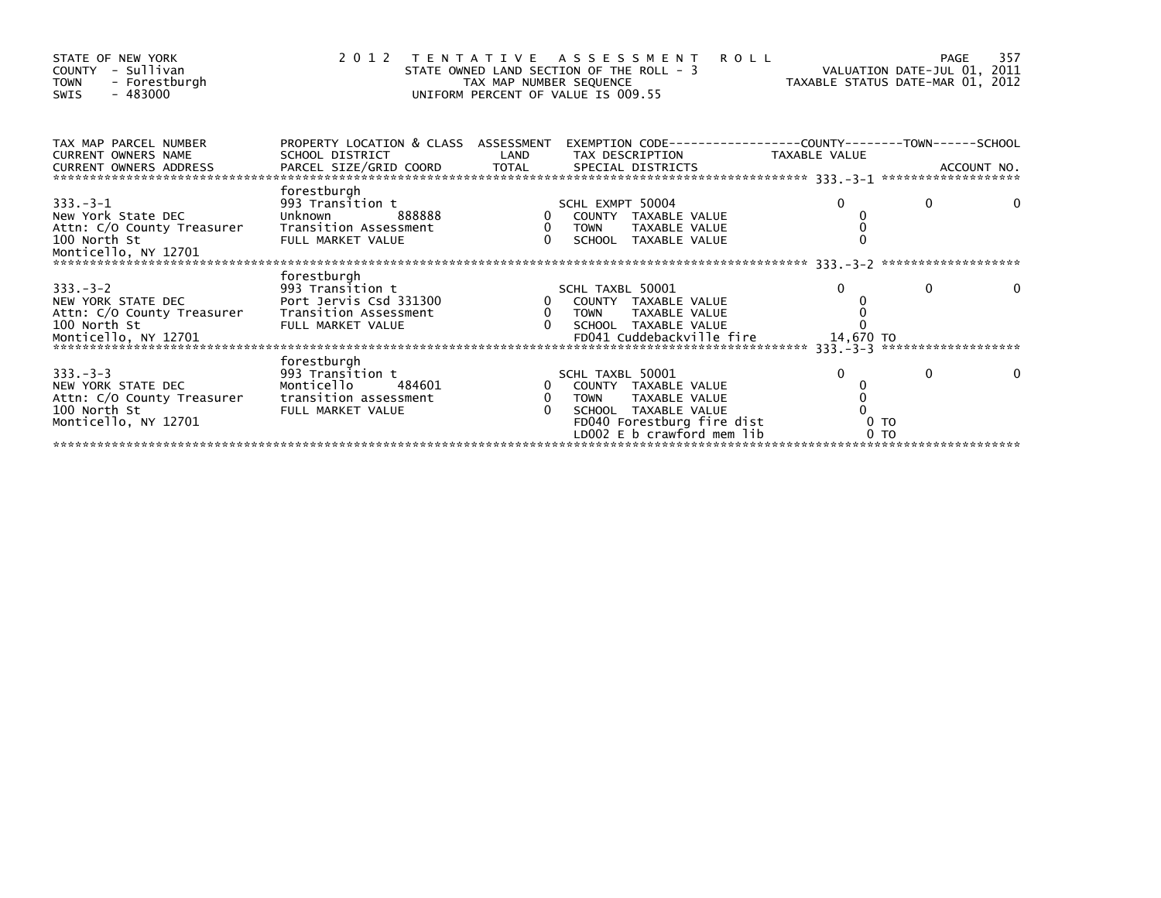| STATE OF NEW YORK<br>- Sullivan<br>COUNTY<br>- Forestburgh<br><b>TOWN</b><br>- 483000<br>SWIS                                                                                                                                                                  |                                                         | TAX MAP NUMBER SEQUENCE | <b>ROLL</b><br>2012 TENTATIVE ASSESSMENT<br>STATE OWNED LAND SECTION OF THE ROLL - 3<br>UNIFORM PERCENT OF VALUE IS 009.55 | VALUATION DATE-JUL 01, 2011<br>VALUATION DATE-MAR 01, 2012 | <b>PAGE</b> | 357 |
|----------------------------------------------------------------------------------------------------------------------------------------------------------------------------------------------------------------------------------------------------------------|---------------------------------------------------------|-------------------------|----------------------------------------------------------------------------------------------------------------------------|------------------------------------------------------------|-------------|-----|
| TAX MAP PARCEL NUMBER<br><b>CURRENT OWNERS NAME</b>                                                                                                                                                                                                            | PROPERTY LOCATION & CLASS ASSESSMENT<br>SCHOOL DISTRICT | LAND                    | EXEMPTION        CODE-----------------COUNTY-------TOWN------SCHOOL<br>TAX DESCRIPTION                                     | TAXABLE VALUE                                              |             |     |
| CURRENT OWNERS ADDRESS FORCEL SIZE/GRID COORD TOTAL SPECIAL DISTRICTS TO SALL ON A ACCOUNT NO.<br>- ACCOUNT NO ARCEL SIZE/GRID COORD TOTAL SPECIAL DISTRICTS (1997) 2014 - 2014 - 2014 - 2014 - 2014 - 2014 - 20<br>- --------------<br>CURRENT OWNERS ADDRESS |                                                         |                         |                                                                                                                            |                                                            |             |     |
|                                                                                                                                                                                                                                                                | forestburgh                                             |                         |                                                                                                                            |                                                            |             |     |
| $333. -3 - 1$<br>New York State DEC                                                                                                                                                                                                                            | 993 Transition t<br>Unknown 888888                      |                         | SCHL EXMPT 50004                                                                                                           | $\Omega$                                                   | $\Omega$    |     |
| Attn: C/O County Treasurer                                                                                                                                                                                                                                     | Transition Assessment                                   | $\overline{0}$          | 0 COUNTY TAXABLE VALUE<br><b>TOWN</b><br>TAXABLE VALUE                                                                     |                                                            |             |     |
| 100 North St                                                                                                                                                                                                                                                   | FULL MARKET VALUE                                       | $\Omega$                | SCHOOL TAXABLE VALUE                                                                                                       |                                                            |             |     |
|                                                                                                                                                                                                                                                                |                                                         |                         |                                                                                                                            |                                                            |             |     |
|                                                                                                                                                                                                                                                                | forestburgh                                             |                         |                                                                                                                            |                                                            |             |     |
| $333. -3 - 2$                                                                                                                                                                                                                                                  | 993 Transition t                                        |                         | SCHL TAXBL 50001                                                                                                           | $\Omega$                                                   | $\Omega$    |     |
| NEW YORK STATE DEC                                                                                                                                                                                                                                             | Port Jervis Csd 331300                                  |                         | 0 COUNTY TAXABLE VALUE                                                                                                     |                                                            |             |     |
| Attn: C/O County Treasurer Transition Assessment                                                                                                                                                                                                               |                                                         | 0 TOWN<br>0 SCHOO       | TAXABLE VALUE                                                                                                              |                                                            |             |     |
| 100 North St                                                                                                                                                                                                                                                   | FULL MARKET VALUE                                       |                         | 0 SCHOOL TAXABLE VALUE                                                                                                     |                                                            |             |     |
|                                                                                                                                                                                                                                                                |                                                         |                         |                                                                                                                            | 14,670 TO                                                  |             |     |
|                                                                                                                                                                                                                                                                | forestburgh                                             |                         |                                                                                                                            |                                                            |             |     |
| $333. -3 -3$                                                                                                                                                                                                                                                   | 993 Transition t                                        |                         | SCHL TAXBL 50001                                                                                                           | $\Omega$                                                   | $\Omega$    |     |
| NEW YORK STATE DEC                                                                                                                                                                                                                                             | Monticello<br>484601                                    |                         | 0 COUNTY TAXABLE VALUE                                                                                                     |                                                            |             |     |
| Attn: C/O County Treasurer                                                                                                                                                                                                                                     | transition assessment                                   | $\mathbf{0}$            | <b>TOWN</b><br>TAXABLE VALUE                                                                                               |                                                            |             |     |
| 100 North St                                                                                                                                                                                                                                                   | FULL MARKET VALUE                                       |                         | SCHOOL TAXABLE VALUE                                                                                                       |                                                            |             |     |
| Monticello, NY 12701                                                                                                                                                                                                                                           |                                                         |                         | FD040 Forestburg fire dist<br>LD002 E b crawford mem lib                                                                   | 0 <sub>T</sub>                                             |             |     |
|                                                                                                                                                                                                                                                                |                                                         |                         |                                                                                                                            | 0 <sub>T</sub>                                             |             |     |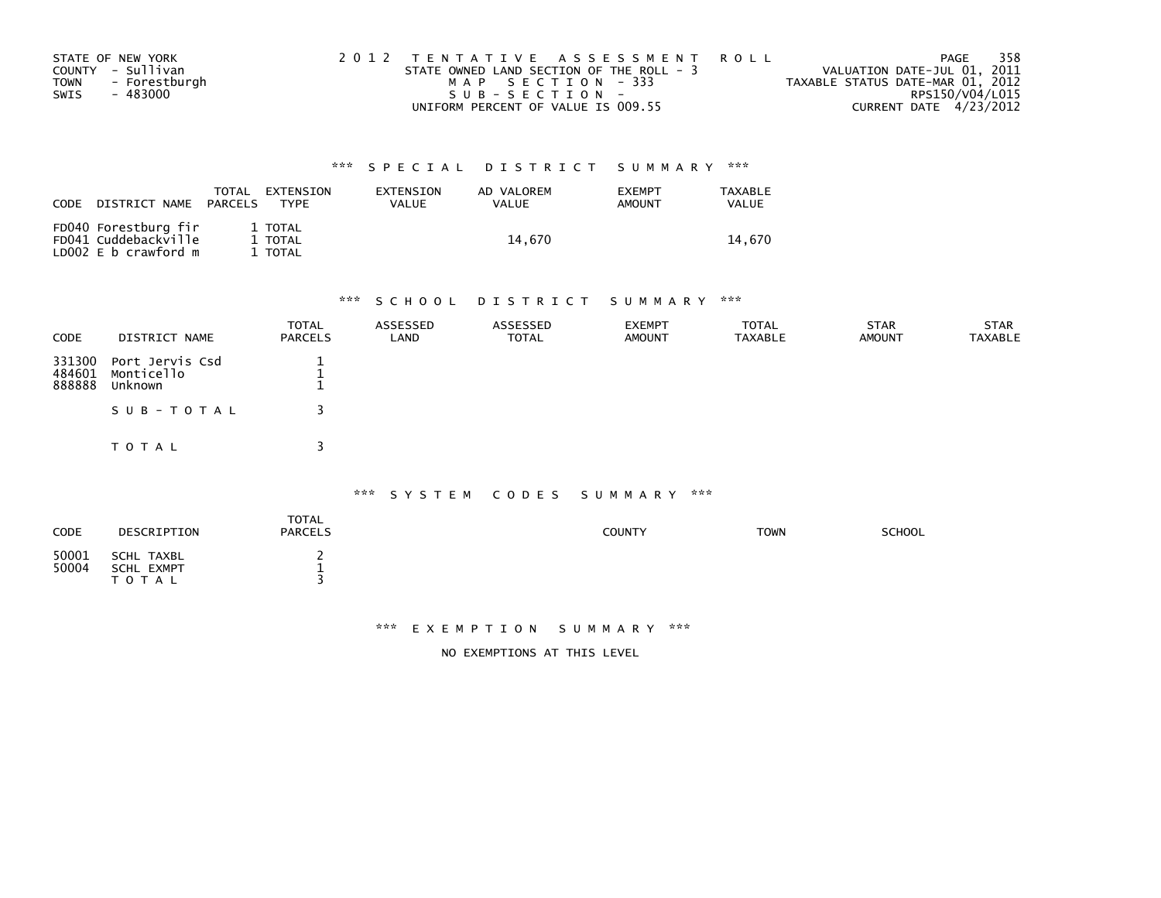|             | STATE OF NEW YORK | 2012 TENTATIVE ASSESSMENT ROLL           | PAGE                             | 358 |
|-------------|-------------------|------------------------------------------|----------------------------------|-----|
|             | COUNTY - Sullivan | STATE OWNED LAND SECTION OF THE ROLL - 3 | VALUATION DATE-JUL 01, 2011      |     |
| <b>TOWN</b> | - Forestburgh     | MAP SECTION - 333                        | TAXABLE STATUS DATE-MAR 01, 2012 |     |
| SWIS        | - 483000          | $SUB - SECTION -$                        | RPS150/V04/L015                  |     |
|             |                   | UNIFORM PERCENT OF VALUE IS 009.55       | CURRENT DATE 4/23/2012           |     |

| CODE | DISTRICT NAME                                                              | TOTAL<br>PARCELS | EXTENSION<br><b>TYPE</b>      | EXTENSION<br>VALUE | AD VALOREM<br><b>VALUE</b> | <b>EXEMPT</b><br><b>AMOUNT</b> | TAXABLE<br>VALUE |
|------|----------------------------------------------------------------------------|------------------|-------------------------------|--------------------|----------------------------|--------------------------------|------------------|
|      | FD040 Forestburg fir<br>FD041 Cuddebackville<br>LD $002 \, E$ b crawford m |                  | 1 TOTAL<br>1 TOTAL<br>1 TOTAL |                    | 14.670                     |                                | 14.670           |

# \*\*\* S C H O O L D I S T R I C T S U M M A R Y \*\*\*

| <b>CODE</b>                | DISTRICT NAME                            | <b>TOTAL</b><br><b>PARCELS</b> | ASSESSED<br>LAND | ASSESSED<br><b>TOTAL</b> | <b>EXEMPT</b><br><b>AMOUNT</b> | <b>TOTAL</b><br><b>TAXABLE</b> | <b>STAR</b><br><b>AMOUNT</b> | <b>STAR</b><br><b>TAXABLE</b> |
|----------------------------|------------------------------------------|--------------------------------|------------------|--------------------------|--------------------------------|--------------------------------|------------------------------|-------------------------------|
| 331300<br>484601<br>888888 | Port Jervis Csd<br>Monticello<br>Unknown |                                |                  |                          |                                |                                |                              |                               |
|                            | SUB-TOTAL                                |                                |                  |                          |                                |                                |                              |                               |
|                            | TOTAL                                    | ર                              |                  |                          |                                |                                |                              |                               |

### \*\*\* S Y S T E M C O D E S S U M M A R Y \*\*\*

| <b>CODE</b>    | DESCRIPTION                                  | TOTAL<br><b>PARCELS</b> | COUNTY | <b>TOWN</b> | <b>SCHOOL</b> |
|----------------|----------------------------------------------|-------------------------|--------|-------------|---------------|
| 50001<br>50004 | SCHL TAXBL<br><b>SCHL EXMPT</b><br>T O T A L | <b>.</b>                |        |             |               |

### \*\*\* E X E M P T I O N S U M M A R Y \*\*\*

NO EXEMPTIONS AT THIS LEVEL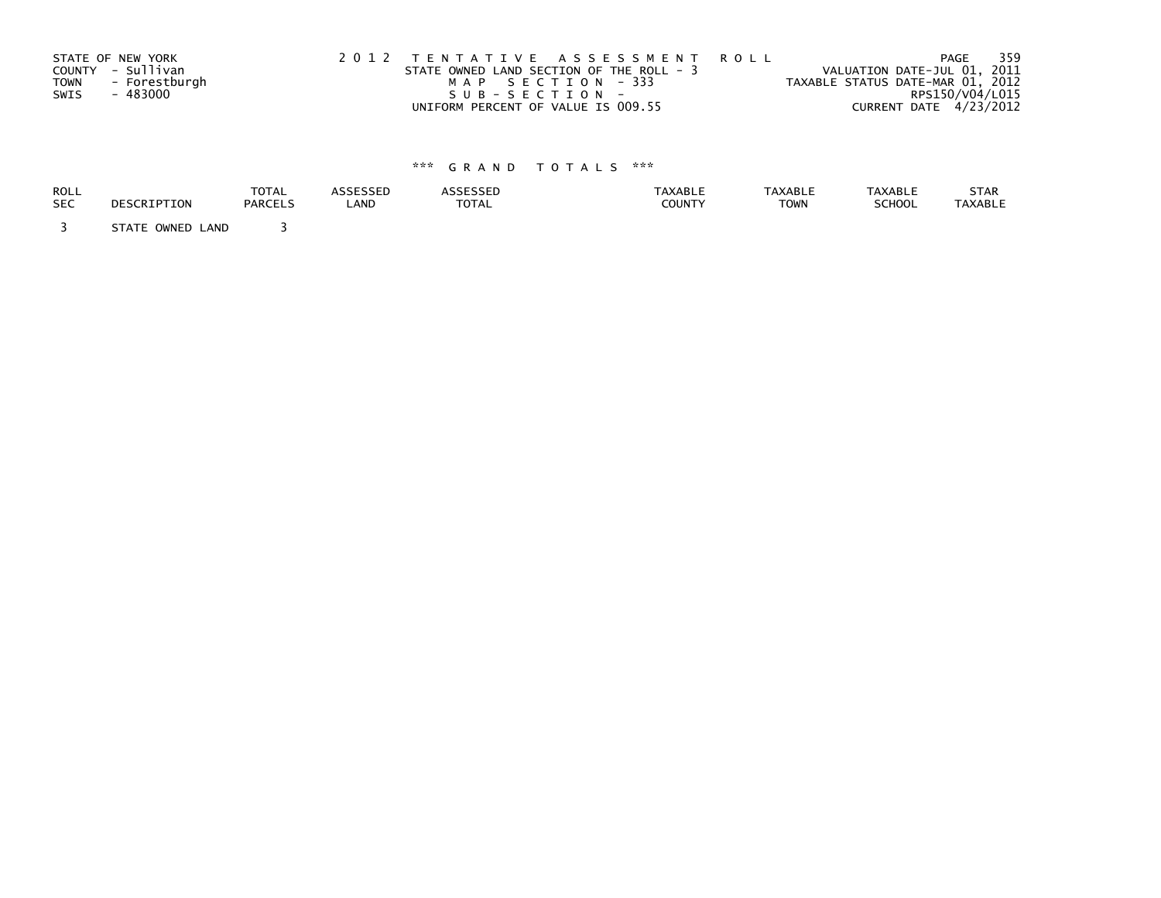|      | STATE OF NEW YORK | 2012 TENTATIVE ASSESSMENT ROLL           | PAGE                             | 359             |
|------|-------------------|------------------------------------------|----------------------------------|-----------------|
|      | COUNTY - Sullivan | STATE OWNED LAND SECTION OF THE ROLL - 3 | VALUATION DATE-JUL 01, 2011      |                 |
| TOWN | - Forestburgh     | MAP SECTION - 333                        | TAXABLE STATUS DATE-MAR 01, 2012 |                 |
| SWIS | - 483000          | SUB-SECTION-                             |                                  | RPS150/V04/L015 |
|      |                   | UNIFORM PERCENT OF VALUE IS 009.55       | CURRENT DATE 4/23/2012           |                 |

| ROLL       | DESCRIPTION         | <b>TOTAL</b>   | <b>ASSESSED</b> | <b>ASSESSED</b> | <b>TAXABLE</b> | <b>TAXABLE</b> | <b>TAXABLE</b> | STAR           |
|------------|---------------------|----------------|-----------------|-----------------|----------------|----------------|----------------|----------------|
| <b>SEC</b> |                     | <b>PARCELS</b> | LAND            | <b>TOTAL</b>    | <b>COUNTY</b>  | <b>TOWN</b>    | <b>SCHOOL</b>  | <b>TAXABLE</b> |
|            | STATE OWNED<br>LAND |                |                 |                 |                |                |                |                |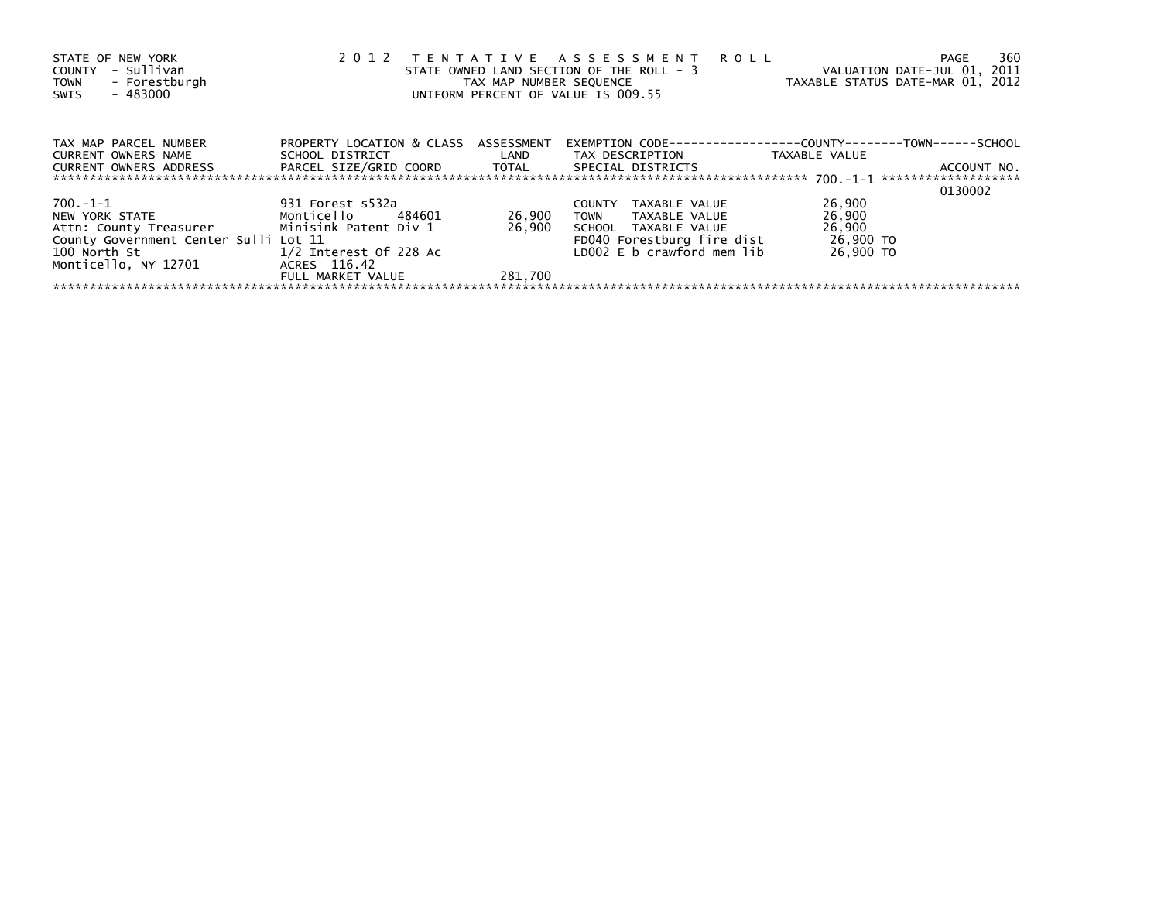| STATE OF NEW YORK<br>- Sullivan<br>COUNTY<br>- Forestburgh<br><b>TOWN</b><br>$-483000$<br>SWIS                                                                                                                                 | 2012                                                         | TAX MAP NUMBER SEQUENCE | TENTATIVE ASSESSMENT ROLL<br>STATE OWNED LAND SECTION OF THE ROLL - 3<br>UNIFORM PERCENT OF VALUE IS 009.55 | VALUATION DATE-JUL 01, 2011<br>TAXABLE STATUS DATE-MAR 01, 2012 | 360<br>PAGE |
|--------------------------------------------------------------------------------------------------------------------------------------------------------------------------------------------------------------------------------|--------------------------------------------------------------|-------------------------|-------------------------------------------------------------------------------------------------------------|-----------------------------------------------------------------|-------------|
| TAX MAP PARCEL NUMBER<br>CURRENT OWNERS NAME                                                                                                                                                                                   | PROPERTY LOCATION & CLASS ASSESSMENT<br>SCHOOL DISTRICT LAND |                         | EXEMPTION        CODE-----------------COUNTY--------TOWN------SCHOOL<br>TAX DESCRIPTION                     | TAXABLE VALUE                                                   |             |
| CURRENT OWNERS ADDRESS                                                                                                                                                                                                         | PARCEL SIZE/GRID COORD TOTAL                                 |                         | SPECIAL DISTRICTS                                                                                           |                                                                 | ACCOUNT NO. |
|                                                                                                                                                                                                                                |                                                              |                         |                                                                                                             |                                                                 | 0130002     |
| 700.-1-1                                                                                                                                                                                                                       | 931 Forest s532a                                             |                         | COUNTY TAXABLE VALUE                                                                                        | 26,900                                                          |             |
| NEW YORK STATE NEWSLESS AND THE STATE OF THE STATE OF THE STATE OF THE STATE OF THE STATE OF THE STATE OF THE STATE OF THE STATE OF THE STATE OF THE STATE OF THE STATE OF THE STATE OF THE STATE OF THE STATE OF THE STATE OF | Monticello 484601                                            | 26,900                  | TOWN TAXABLE VALUE                                                                                          | 26,900                                                          |             |
| Attn: County Treasurer Minisink Patent Div 1                                                                                                                                                                                   |                                                              | 26.900                  | SCHOOL TAXABLE VALUE                                                                                        | 26,900                                                          |             |
| County Government Center Sulli Lot 11                                                                                                                                                                                          |                                                              |                         | FD040 Forestburg fire dist                                                                                  | 26,900 TO                                                       |             |
| 100 North St                                                                                                                                                                                                                   | $1/2$ Interest Of 228 Ac                                     |                         | LD002 E b crawford mem lib                                                                                  | 26,900 TO                                                       |             |
| Monticello, NY 12701                                                                                                                                                                                                           | ACRES 116.42                                                 |                         |                                                                                                             |                                                                 |             |
|                                                                                                                                                                                                                                | FULL MARKET VALUE                                            | 281.700                 |                                                                                                             |                                                                 |             |
|                                                                                                                                                                                                                                |                                                              |                         |                                                                                                             |                                                                 |             |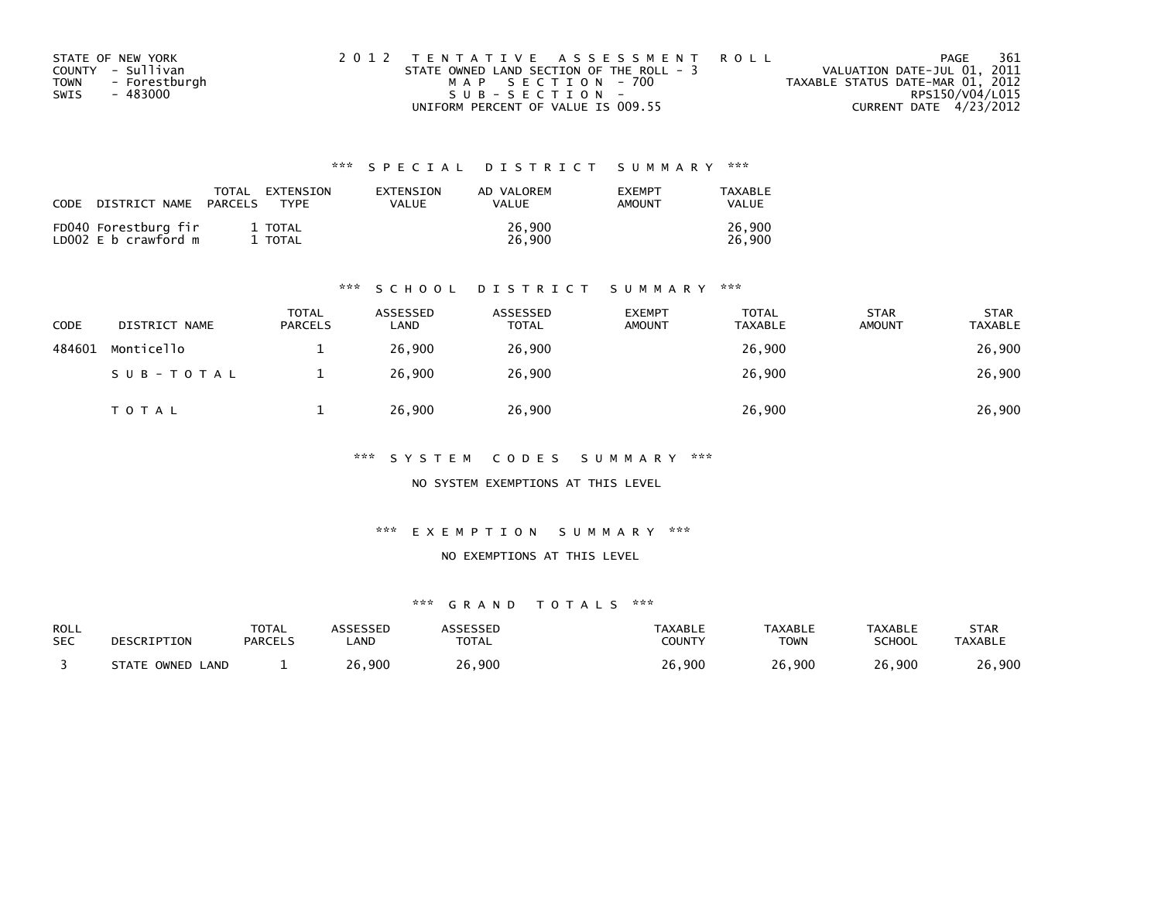| STATE OF NEW YORK            | 2012 TENTATIVE ASSESSMENT ROLL           | 361<br>PAGE                      |
|------------------------------|------------------------------------------|----------------------------------|
| COUNTY - Sullivan            | STATE OWNED LAND SECTION OF THE ROLL - 3 | VALUATION DATE-JUL 01, 2011      |
| - Forestburgh<br><b>TOWN</b> | MAP SECTION - 700                        | TAXABLE STATUS DATE-MAR 01, 2012 |
| - 483000<br>SWIS             | $SUB - SECTION -$                        | RPS150/V04/L015                  |
|                              | UNIFORM PERCENT OF VALUE IS 009.55       | CURRENT DATE 4/23/2012           |

| CODE | DISTRICT NAME                                | TOTAL<br>PARCELS | EXTENSION<br>TYPF | EXTENSION<br>VALUE | AD VALOREM<br>VALUE | <b>EXEMPT</b><br><b>AMOUNT</b> | TAXABLE<br><b>VALUE</b> |
|------|----------------------------------------------|------------------|-------------------|--------------------|---------------------|--------------------------------|-------------------------|
|      | FD040 Forestburg fir<br>LD002 E b crawford m |                  | 1 TOTAL<br>TOTAL  |                    | 26,900<br>26.900    |                                | 26.900<br>26.900        |

#### \*\*\* S C H O O L D I S T R I C T S U M M A R Y \*\*\*

| CODE   | DISTRICT NAME | <b>TOTAL</b><br><b>PARCELS</b> | ASSESSED<br>LAND | ASSESSED<br><b>TOTAL</b> | <b>EXEMPT</b><br><b>AMOUNT</b> | <b>TOTAL</b><br><b>TAXABLE</b> | <b>STAR</b><br><b>AMOUNT</b> | <b>STAR</b><br><b>TAXABLE</b> |
|--------|---------------|--------------------------------|------------------|--------------------------|--------------------------------|--------------------------------|------------------------------|-------------------------------|
| 484601 | Monticello    |                                | 26.900           | 26,900                   |                                | 26,900                         |                              | 26,900                        |
|        | SUB-TOTAL     |                                | 26,900           | 26,900                   |                                | 26,900                         |                              | 26,900                        |
|        | T O T A L     |                                | 26,900           | 26,900                   |                                | 26,900                         |                              | 26,900                        |

\*\*\* S Y S T E M C O D E S S U M M A R Y \*\*\*

NO SYSTEM EXEMPTIONS AT THIS LEVEL

\*\*\* E X E M P T I O N S U M M A R Y \*\*\*

NO EXEMPTIONS AT THIS LEVEL

| ROLL       | DESCRIPTION      | <b>TOTAL</b>   | ASSESSED    | <b>ASSESSED</b> | TAXABLE       | <b>TAXABLE</b> | <b>TAXABLE</b> | STAR           |
|------------|------------------|----------------|-------------|-----------------|---------------|----------------|----------------|----------------|
| <b>SEC</b> |                  | <b>PARCELS</b> | <b>_AND</b> | <b>TOTAL</b>    | <b>COUNTY</b> | <b>TOWN</b>    | <b>SCHOOL</b>  | <b>TAXABLE</b> |
|            | STATE OWNED LAND |                | 26,900      | 26,900          | 26,900        | 26,900         | 26,900         | 26,900         |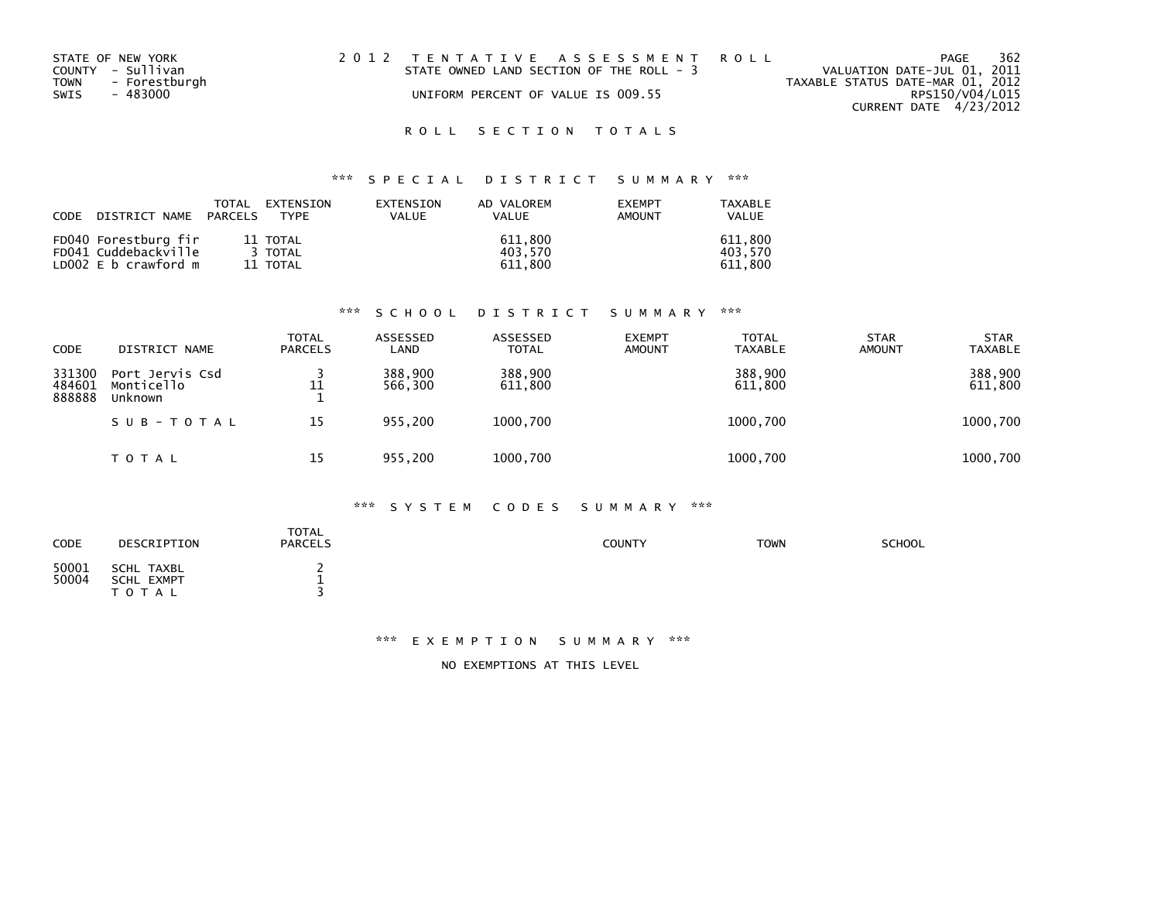| STATE OF NEW YORK  | 2012 TENTATIVE ASSESSMENT ROLL           | 362<br>PAGE                      |
|--------------------|------------------------------------------|----------------------------------|
| COUNTY - Sullivan  | STATE OWNED LAND SECTION OF THE ROLL - 3 | VALUATION DATE-JUL 01, 2011      |
| TOWN - Forestburgh |                                          | TAXABLE STATUS DATE-MAR 01, 2012 |
| SWIS<br>- 483000   | UNIFORM PERCENT OF VALUE IS 009.55       | RPS150/V04/L015                  |
|                    |                                          | CURRENT DATE 4/23/2012           |

## \*\*\* S P E C I A L D I S T R I C T S U M M A R Y \*\*\*

| CODE DISTRICT NAME PARCELS | TOTAL | EXTENSION<br><b>TYPF</b> | EXTENSION<br><b>VALUE</b> | AD VALOREM<br>VALUE | <b>FXFMPT</b><br>AMOUNT | TAXABLE<br><b>VALUE</b> |
|----------------------------|-------|--------------------------|---------------------------|---------------------|-------------------------|-------------------------|
| FD040 Forestburg fir       |       | 11 TOTAL                 |                           | 611.800             |                         | 611.800                 |
| FD041 Cuddebackville       |       | 3 TOTAL                  |                           | 403.570             |                         | 403.570                 |
| LD $002 \, E$ b crawford m |       | 11 TOTAL                 |                           | 611.800             |                         | 611.800                 |

#### \*\*\* S C H O O L D I S T R I C T S U M M A R Y \*\*\*

| CODE                       | DISTRICT NAME                            | TOTAL<br><b>PARCELS</b> | ASSESSED<br>LAND   | ASSESSED<br><b>TOTAL</b> | <b>EXEMPT</b><br><b>AMOUNT</b> | <b>TOTAL</b><br><b>TAXABLE</b> | <b>STAR</b><br><b>AMOUNT</b> | <b>STAR</b><br><b>TAXABLE</b> |
|----------------------------|------------------------------------------|-------------------------|--------------------|--------------------------|--------------------------------|--------------------------------|------------------------------|-------------------------------|
| 331300<br>484601<br>888888 | Port Jervis Csd<br>Monticello<br>Unknown | 11                      | 388,900<br>566,300 | 388,900<br>611,800       |                                | 388,900<br>611,800             |                              | 388,900<br>611,800            |
|                            | SUB-TOTAL                                | 15                      | 955.200            | 1000,700                 |                                | 1000,700                       |                              | 1000,700                      |
|                            | T O T A L                                | 15                      | 955.200            | 1000,700                 |                                | 1000,700                       |                              | 1000,700                      |

### \*\*\* S Y S T E M C O D E S S U M M A R Y \*\*\*

| <b>CODE</b>    | DESCRIPTION                           | <b>TOTAL</b><br><b>PARCELS</b> | <b>COUNTY</b> | <b>TOWN</b> | <b>SCHOOL</b> |
|----------------|---------------------------------------|--------------------------------|---------------|-------------|---------------|
| 50001<br>50004 | SCHL TAXBL<br>SCHL EXMPT<br>T O T A L | <b>.</b>                       |               |             |               |

#### \*\*\* E X E M P T I O N S U M M A R Y \*\*\*

NO EXEMPTIONS AT THIS LEVEL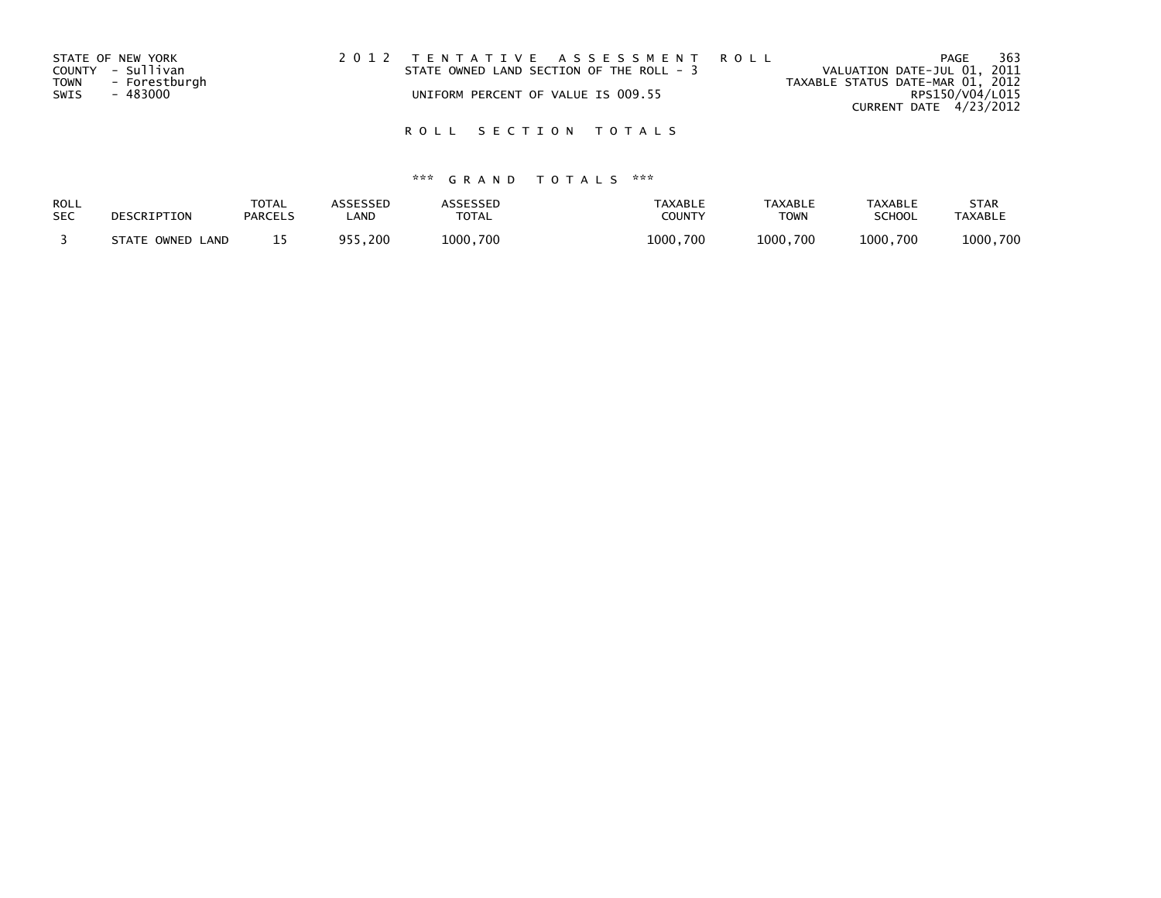| STATE OF NEW YORK            | 2012 TENTATIVE ASSESSMENT ROLL           | 363<br>PAGE                      |
|------------------------------|------------------------------------------|----------------------------------|
| COUNTY - Sullivan            | STATE OWNED LAND SECTION OF THE ROLL - 3 | VALUATION DATE-JUL 01, 2011      |
| <b>TOWN</b><br>- Forestburgh |                                          | TAXABLE STATUS DATE-MAR 01, 2012 |
| SWIS<br>- 483000             | UNIFORM PERCENT OF VALUE IS 009.55       | RPS150/V04/L015                  |
|                              |                                          | CURRENT DATE 4/23/2012           |

| ROLL       | DESCRIPTION      | <b>TOTAL</b>   | <b>ASSESSED</b> | <b>ASSESSED</b> | <b>TAXABLE</b> | <b>TAXABLE</b> | <b>TAXABLE</b> | <b>STAR</b>    |
|------------|------------------|----------------|-----------------|-----------------|----------------|----------------|----------------|----------------|
| <b>SEC</b> |                  | <b>PARCELS</b> | _AND            | TOTAL           | COUNTY         | <b>TOWN</b>    | SCHOOL         | <b>TAXABLE</b> |
|            | STATE OWNED LAND |                | 955.200         | 1000.700        | 1000.700       | 1000.700       | 1000.700       | 1000.700       |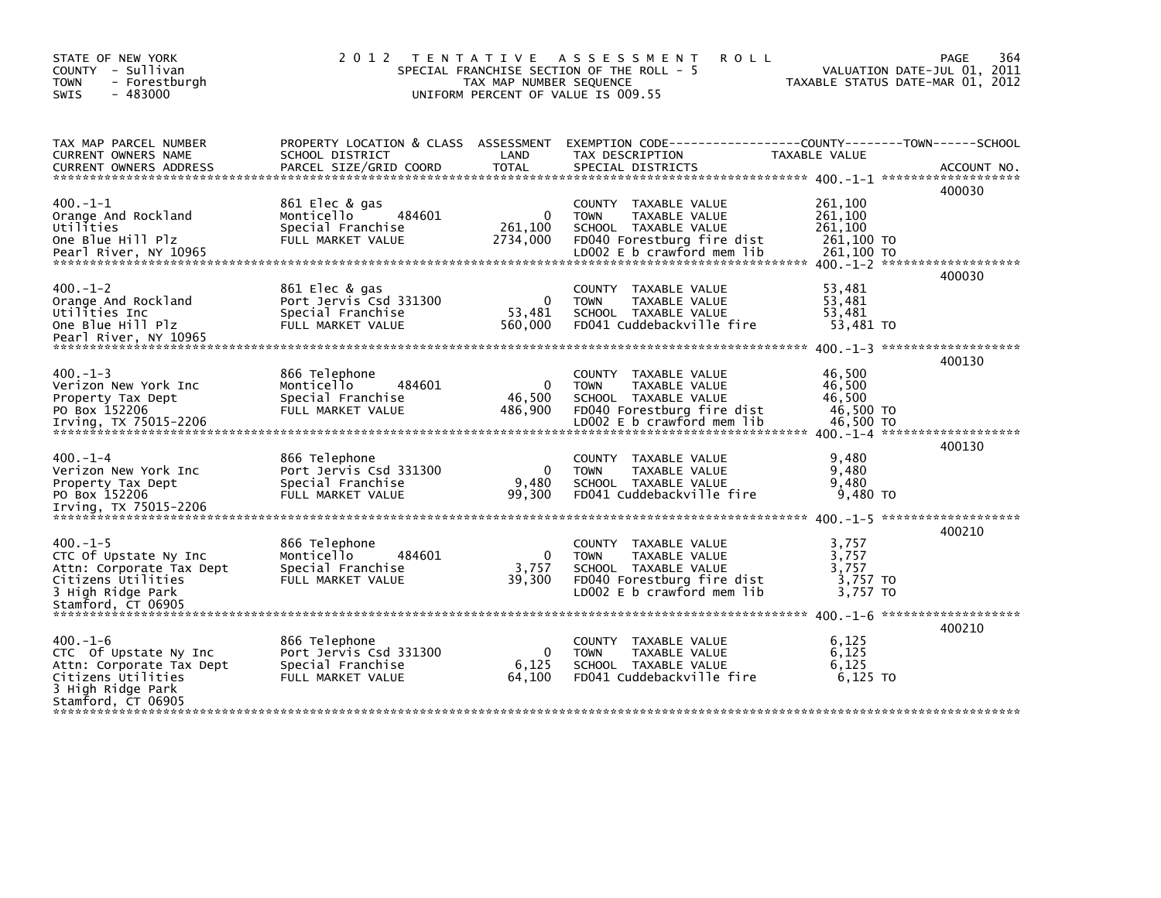| STATE OF NEW YORK<br>COUNTY - Sullivan<br>- Forestburgh<br><b>TOWN</b><br>$-483000$<br><b>SWIS</b>                                  | 2012 TENTATIVE                                                                     | TAX MAP NUMBER SEQUENCE         | A S S E S S M E N T<br><b>ROLL</b><br>SPECIAL FRANCHISE SECTION OF THE ROLL - 5<br>UNIFORM PERCENT OF VALUE IS 009.55                         |                                                      | 364<br>PAGE<br>VALUATION DATE-JUL 01, 2011<br>TAXABLE STATUS DATE-MAR 01, 2012 |
|-------------------------------------------------------------------------------------------------------------------------------------|------------------------------------------------------------------------------------|---------------------------------|-----------------------------------------------------------------------------------------------------------------------------------------------|------------------------------------------------------|--------------------------------------------------------------------------------|
| TAX MAP PARCEL NUMBER<br>CURRENT OWNERS NAME<br><b>CURRENT OWNERS ADDRESS</b>                                                       | PROPERTY LOCATION & CLASS ASSESSMENT<br>SCHOOL DISTRICT<br>PARCEL SIZE/GRID COORD  | LAND<br>TOTAL                   | EXEMPTION CODE------------------COUNTY--------TOWN------SCHOOL<br>TAX DESCRIPTION<br>SPECIAL DISTRICTS                                        | TAXABLE VALUE                                        | ACCOUNT NO.                                                                    |
| $400. -1 - 1$<br>Orange And Rockland<br>Utilities<br>One Blue Hill Plz                                                              | 861 Elec & gas<br>484601<br>Monticello<br>Special Franchise<br>FULL MARKET VALUE   | 0<br>261,100<br>2734,000        | COUNTY TAXABLE VALUE<br><b>TOWN</b><br>TAXABLE VALUE<br>SCHOOL TAXABLE VALUE<br>FD040 Forestburg fire dist<br>LD002 E b crawford mem lib      | 261,100<br>261,100<br>261,100<br>261,100 TO          | 400030                                                                         |
| $400 - 1 - 2$<br>Orange And Rockland<br>Utilities Inc<br>One Blue Hill Plz<br>Pearl River, NY 10965                                 | 861 Elec & gas<br>Port Jervis Csd 331300<br>Special Franchise<br>FULL MARKET VALUE | $\Omega$<br>53,481<br>560,000   | COUNTY TAXABLE VALUE<br>TAXABLE VALUE<br><b>TOWN</b><br>SCHOOL TAXABLE VALUE<br>FD041 Cuddebackville fire                                     | 53,481<br>53,481<br>53,481<br>53,481 TO              | 400030                                                                         |
| $400 - 1 - 3$<br>Verizon New York Inc<br>Property Tax Dept<br>PO Box 152206<br>Irving, TX 75015-2206                                | 866 Telephone<br>Monticello<br>484601<br>Special Franchise<br>FULL MARKET VALUE    | $\Omega$<br>46,500<br>486,900   | COUNTY TAXABLE VALUE<br><b>TOWN</b><br>TAXABLE VALUE<br>SCHOOL TAXABLE VALUE<br>FD040 Forestburg fire dist<br>LD002 E b crawford mem lib      | 46,500<br>46,500<br>46.500<br>46,500 TO<br>46.500 TO | 400130                                                                         |
| $400 - 1 - 4$<br>Verizon New York Inc<br>Property Tax Dept<br>PO Box 152206                                                         | 866 Telephone<br>Port Jervis Csd 331300<br>Special Franchise<br>FULL MARKET VALUE  | $\Omega$<br>9,480<br>99,300     | TAXABLE VALUE<br><b>COUNTY</b><br>TAXABLE VALUE<br><b>TOWN</b><br>SCHOOL TAXABLE VALUE<br>FD041 Cuddebackville fire                           | 9,480<br>9,480<br>9.480<br>9,480 TO                  | 400130                                                                         |
| $400. -1 - 5$<br>CTC Of Upstate Ny Inc<br>Attn: Corporate Tax Dept<br>Citizens Utilities<br>3 High Ridge Park<br>Stamford, CT 06905 | 866 Telephone<br>Monticello<br>484601<br>Special Franchise<br>FULL MARKET VALUE    | $\mathbf{0}$<br>3,757<br>39,300 | COUNTY<br>TAXABLE VALUE<br><b>TOWN</b><br>TAXABLE VALUE<br>SCHOOL TAXABLE VALUE<br>FD040 Forestburg fire dist<br>$LD002 E b$ crawford mem lib | 3,757<br>3,757<br>3,757<br>3,757 TO<br>3.757 TO      | 400210                                                                         |
| $400. -1 - 6$<br>CTC Of Upstate Ny Inc<br>Attn: Corporate Tax Dept<br>Citizens Utilities<br>3 High Ridge Park<br>Stamford, CT 06905 | 866 Telephone<br>Port Jervis Csd 331300<br>Special Franchise<br>FULL MARKET VALUE  | $\mathbf{0}$<br>6,125<br>64,100 | COUNTY TAXABLE VALUE<br><b>TAXABLE VALUE</b><br><b>TOWN</b><br>SCHOOL TAXABLE VALUE<br>FD041 Cuddebackville fire                              | 6,125<br>6,125<br>6,125<br>$6,125$ TO                | 400210                                                                         |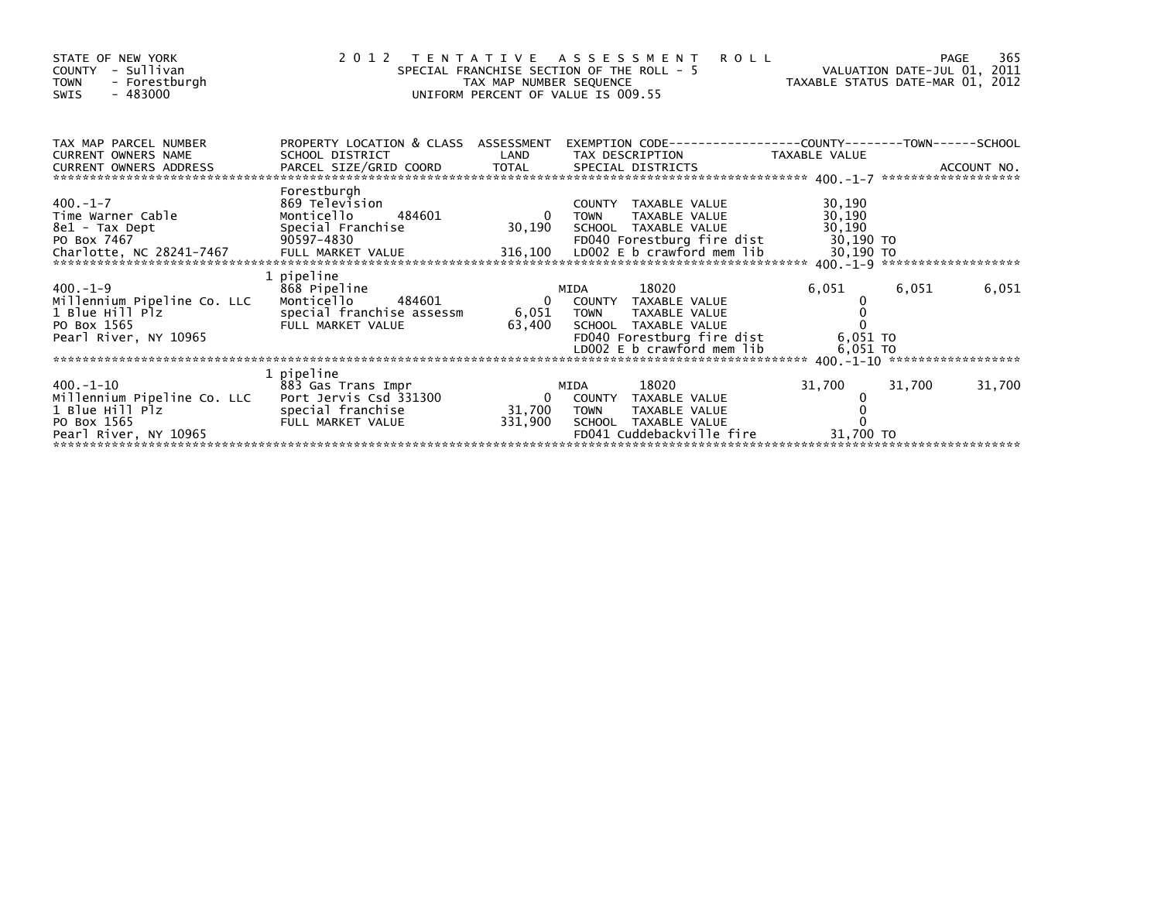| STATE OF NEW YORK<br>- Sullivan<br><b>COUNTY</b><br><b>TOWN</b><br>- Forestburgh<br>- 483000<br><b>SWIS</b>                     | 2012 TENTATIVE ASSESSMENT                                                                            | TAX MAP NUMBER SEQUENCE           | SPECIAL FRANCHISE SECTION OF THE ROLL - 5<br>UNIFORM PERCENT OF VALUE IS 009.55 | <b>ROLL</b>                                                                        | VALUATION DATE-JUL 01, 2011<br>VALUATION DATE-NOT TO THE TAXABLE STATUS DATE-MAR 01, 2012 |        | 365<br><b>PAGE</b> |
|---------------------------------------------------------------------------------------------------------------------------------|------------------------------------------------------------------------------------------------------|-----------------------------------|---------------------------------------------------------------------------------|------------------------------------------------------------------------------------|-------------------------------------------------------------------------------------------|--------|--------------------|
| TAX MAP PARCEL NUMBER<br><b>CURRENT OWNERS NAME</b><br>CURRENT OWNERS ADDRESS                                                   | PROPERTY LOCATION & CLASS ASSESSMENT<br>SCHOOL DISTRICT                                              | LAND                              | TAX DESCRIPTION                                                                 |                                                                                    | TAXABLE VALUE                                                                             |        |                    |
| $400.-1-7$<br>Time Warner Cable<br>8e1 - Tax Dept<br>PO Box 7467                                                                | Forestburgh<br>869 Television<br>484601<br>Monticello<br>Special Franchise<br>90597–4830             | $\overline{0}$<br>30,190          | COUNTY TAXABLE VALUE<br><b>TOWN</b><br>SCHOOL TAXABLE VALUE                     | TAXABLE VALUE<br>FD040 Forestburg fire dist                                        | 30,190<br>30,190<br>30,190<br>30,190 TO                                                   |        |                    |
| $400. -1 - 9$<br>Millennium Pipeline Co. LLC<br>1 Blue Hill Plz<br>PO Box 1565<br>Pearl River, NY 10965                         | 1 pipeline<br>868 Pipeline<br>Monticello<br>484601<br>special franchise assessm<br>FULL MARKET VALUE | 6,051 TOWN<br>63,400              | MIDA<br>0 COUNTY TAXABLE VALUE<br>SCHOOL TAXABLE VALUE                          | 18020<br>TAXABLE VALUE<br>FD040 Forestburg fire dist<br>LD002 E b crawford mem lib | 6,051<br>6,051 TO<br>6,051 TO                                                             | 6,051  | 6,051              |
| $400. -1 - 10$<br>Millennium Pipeline Co. LLC Port Jervis Csd 331300<br>1 Blue Hill Plz<br>PO Box 1565<br>Pearl River, NY 10965 | 1 pipeline<br>883 Gas Trans Impr<br>special franchise<br>FULL MARKET VALUE                           | $\mathbf{0}$<br>31,700<br>331,900 | MIDA<br>COUNTY TAXABLE VALUE<br>TOWN<br>SCHOOL TAXABLE VALUE                    | 18020<br>TAXABLE VALUE<br>FD041 Cuddebackville fire                                | 31,700<br>31,700 TO                                                                       | 31,700 | 31,700             |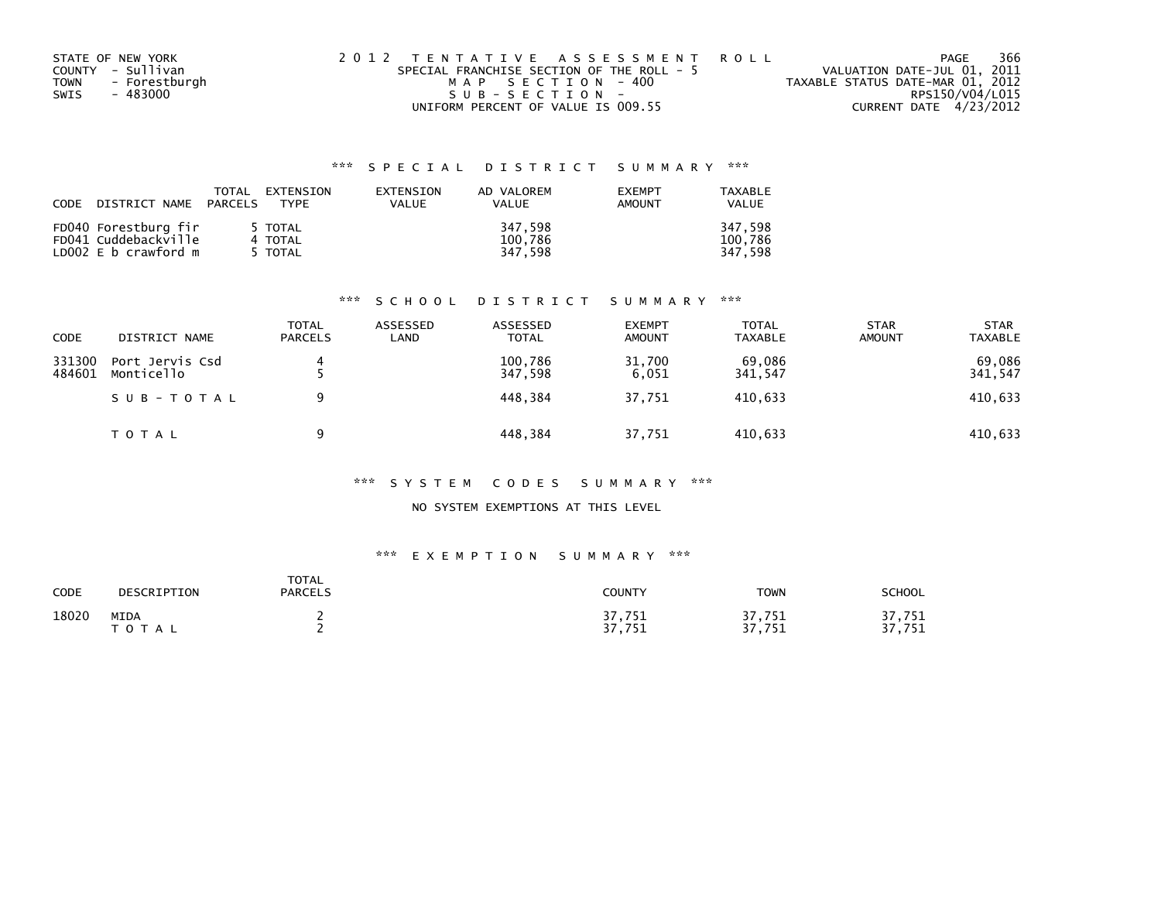|      | STATE OF NEW YORK | 2012 TENTATIVE ASSESSMENT ROLL            | PAGE                             | 366 |
|------|-------------------|-------------------------------------------|----------------------------------|-----|
|      | COUNTY - Sullivan | SPECIAL FRANCHISE SECTION OF THE ROLL - 5 | VALUATION DATE-JUL 01, 2011      |     |
| TOWN | - Forestburgh     | MAP SECTION - 400                         | TAXABLE STATUS DATE-MAR 01, 2012 |     |
| SWIS | - 483000          | SUB-SECTION-                              | RPS150/V04/L015                  |     |
|      |                   | UNIFORM PERCENT OF VALUE IS 009.55        | CURRENT DATE 4/23/2012           |     |

| CODE | DISTRICT NAME PARCELS                                                | <b>TOTAL</b> | EXTENSION<br>TYPF             | EXTENSION<br>VALUE | AD VALOREM<br><b>VALUE</b>    | <b>EXEMPT</b><br>AMOUNT | TAXABLE<br>VALUE              |
|------|----------------------------------------------------------------------|--------------|-------------------------------|--------------------|-------------------------------|-------------------------|-------------------------------|
|      | FD040 Forestburg fir<br>FD041 Cuddebackville<br>LD002 E b crawford m |              | 5 TOTAL<br>4 TOTAL<br>5 TOTAL |                    | 347.598<br>100,786<br>347.598 |                         | 347.598<br>100,786<br>347.598 |

#### \*\*\* S C H O O L D I S T R I C T S U M M A R Y \*\*\*

| CODE             | DISTRICT NAME                 | TOTAL<br><b>PARCELS</b> | ASSESSED<br>LAND | ASSESSED<br><b>TOTAL</b> | <b>EXEMPT</b><br><b>AMOUNT</b> | <b>TOTAL</b><br><b>TAXABLE</b> | <b>STAR</b><br><b>AMOUNT</b> | <b>STAR</b><br><b>TAXABLE</b> |
|------------------|-------------------------------|-------------------------|------------------|--------------------------|--------------------------------|--------------------------------|------------------------------|-------------------------------|
| 331300<br>484601 | Port Jervis Csd<br>Monticello | 4                       |                  | 100.786<br>347.598       | 31,700<br>6.051                | 69.086<br>341,547              |                              | 69,086<br>341,547             |
|                  | SUB-TOTAL                     | Q                       |                  | 448.384                  | 37.751                         | 410.633                        |                              | 410,633                       |
|                  | T O T A L                     | Q                       |                  | 448,384                  | 37,751                         | 410,633                        |                              | 410,633                       |

#### \*\*\* S Y S T E M C O D E S S U M M A R Y \*\*\*

### NO SYSTEM EXEMPTIONS AT THIS LEVEL

## \*\*\* E X E M P T I O N S U M M A R Y \*\*\*

| CODE  | DESCRIPTION               | <b>TOTAL</b><br><b>PARCELS</b> | <b>COUNTY</b>                                | <b>TOWN</b>      | <b>SCHOOL</b>                     |
|-------|---------------------------|--------------------------------|----------------------------------------------|------------------|-----------------------------------|
| 18020 | <b>MIDA</b><br>ο τ<br>A L |                                | '.751<br>— ד<br>ד כ<br>751<br>. <i>. .</i> . | 37,751<br>37,751 | .751<br>. .<br>77<br>フロッ<br>7 J T |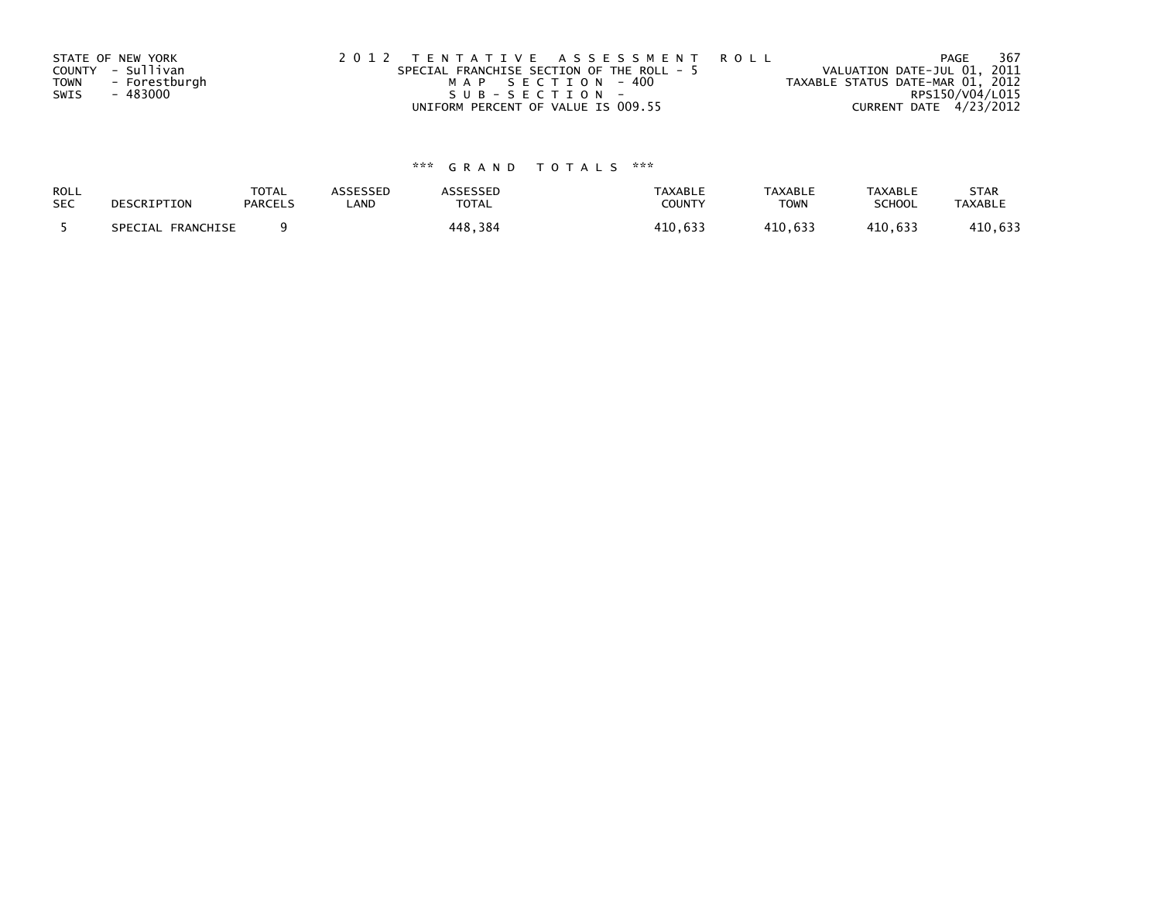|             | STATE OF NEW YORK | 2012 TENTATIVE ASSESSMENT ROLL                                           | PAGE                   | 367 |
|-------------|-------------------|--------------------------------------------------------------------------|------------------------|-----|
|             | COUNTY - Sullivan | VALUATION DATE-JUL 01, 2011<br>SPECIAL FRANCHISE SECTION OF THE ROLL - 5 |                        |     |
| <b>TOWN</b> | - Forestburgh     | TAXABLE STATUS DATE-MAR 01, 2012<br>MAP SECTION - 400                    |                        |     |
| SWIS        | - 483000          | SUB-SECTION-                                                             | RPS150/V04/L015        |     |
|             |                   | UNIFORM PERCENT OF VALUE IS 009.55                                       | CURRENT DATE 4/23/2012 |     |

| ROLL       | DESCRIPTION       | <b>TOTAL</b>   | ASSESSED | ASSESSED     | <b>TAXABLE</b> | <b>TAXABLE</b> | <b>TAXABLE</b> | <b>STAR</b>    |
|------------|-------------------|----------------|----------|--------------|----------------|----------------|----------------|----------------|
| <b>SEC</b> |                   | <b>PARCELS</b> | _AND     | <b>TOTAL</b> | COUNTY         | <b>TOWN</b>    | <b>SCHOOL</b>  | <b>TAXABLE</b> |
|            | SPECIAL FRANCHISE |                |          | 448.384      | 410.633        | 410.633        | 410,633        | 410,633        |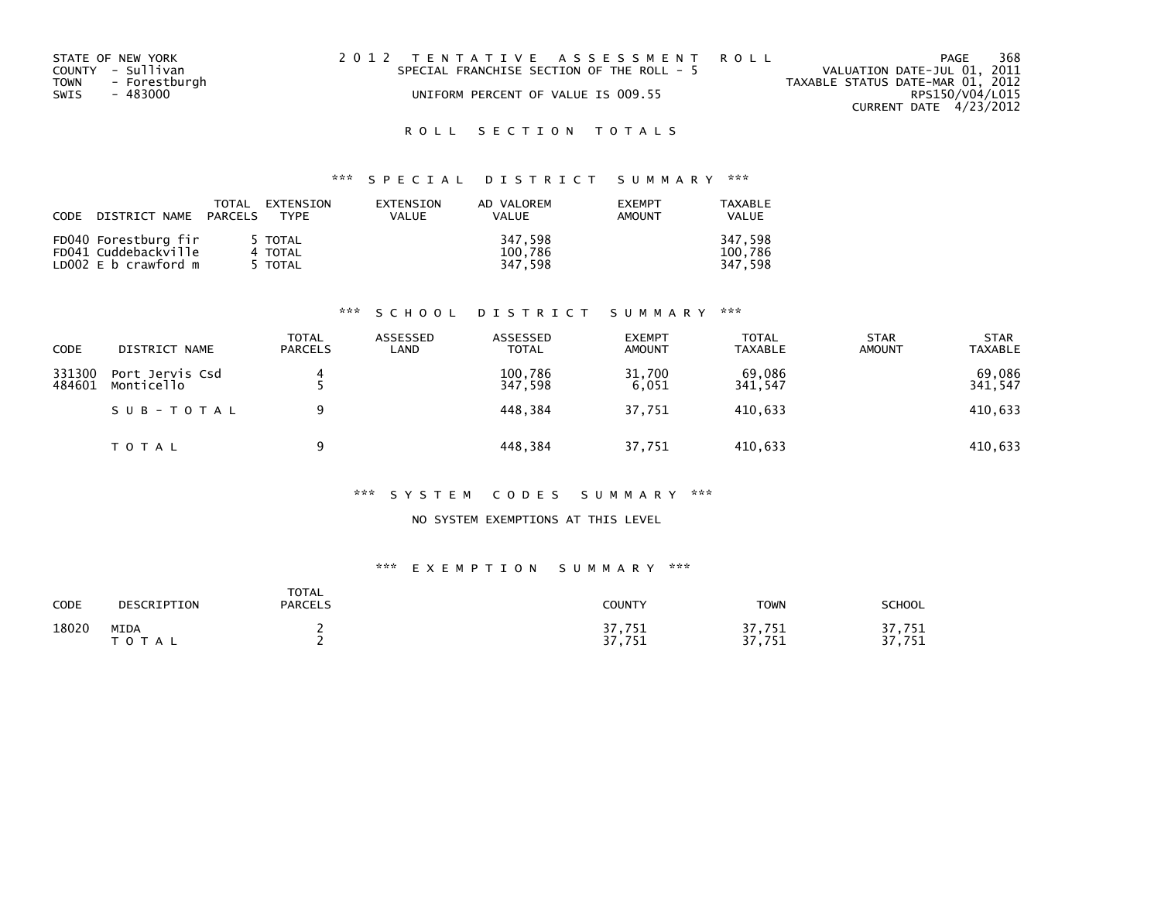| STATE OF NEW YORK     | 2012 TENTATIVE ASSESSMENT ROLL            | 368<br>PAGE                      |
|-----------------------|-------------------------------------------|----------------------------------|
| COUNTY - Sullivan     | SPECIAL FRANCHISE SECTION OF THE ROLL - 5 | VALUATION DATE-JUL 01, 2011      |
| - Forestburgh<br>TOWN |                                           | TAXABLE STATUS DATE-MAR 01, 2012 |
| SWIS<br>- 483000      | UNIFORM PERCENT OF VALUE IS 009.55        | RPS150/V04/L015                  |
|                       |                                           | CURRENT DATE 4/23/2012           |

## \*\*\* S P E C I A L D I S T R I C T S U M M A R Y \*\*\*

| CODE | DISTRICT NAME PARCELS | TOTAL<br>EXTENSION<br>TYPE | EXTENSION<br><b>VALUE</b> | AD VALOREM<br><b>VALUE</b> | <b>FXFMPT</b><br>AMOUNT | TAXABLE<br><b>VALUE</b> |
|------|-----------------------|----------------------------|---------------------------|----------------------------|-------------------------|-------------------------|
|      | FD040 Forestburg fir  | 5 TOTAL                    |                           | 347,598                    |                         | 347.598                 |
|      | FD041 Cuddebackville  | 4 TOTAL                    |                           | 100,786                    |                         | 100.786                 |
|      | LD002 E b crawford m  | 5 TOTAL                    |                           | 347.598                    |                         | 347.598                 |

#### \*\*\* S C H O O L D I S T R I C T S U M M A R Y \*\*\*

| <b>CODE</b>      | DISTRICT NAME                 | <b>TOTAL</b><br><b>PARCELS</b> | ASSESSED<br>LAND | ASSESSED<br><b>TOTAL</b> | <b>EXEMPT</b><br><b>AMOUNT</b> | <b>TOTAL</b><br>TAXABLE | <b>STAR</b><br><b>AMOUNT</b> | <b>STAR</b><br><b>TAXABLE</b> |
|------------------|-------------------------------|--------------------------------|------------------|--------------------------|--------------------------------|-------------------------|------------------------------|-------------------------------|
| 331300<br>484601 | Port Jervis Csd<br>Monticello |                                |                  | 100.786<br>347,598       | 31.700<br>6.051                | 69.086<br>341,547       |                              | 69,086<br>341,547             |
|                  | SUB-TOTAL                     | q                              |                  | 448.384                  | 37.751                         | 410.633                 |                              | 410,633                       |
|                  | T O T A L                     | Q                              |                  | 448,384                  | 37,751                         | 410,633                 |                              | 410,633                       |

#### \*\*\* S Y S T E M C O D E S S U M M A R Y \*\*\*

#### NO SYSTEM EXEMPTIONS AT THIS LEVEL

#### \*\*\* E X E M P T I O N S U M M A R Y \*\*\*

| <b>CODE</b> | DESCRIPTION          | <b>TOTAL</b><br><b>PARCELS</b> | COUNTY           | <b>TOWN</b>           | SCHOOL           |
|-------------|----------------------|--------------------------------|------------------|-----------------------|------------------|
| 18020       | MIDA<br><b>TOTAL</b> |                                | 37,751<br>37,751 | 37,751<br>つフ<br>751,' | 37,751<br>37,751 |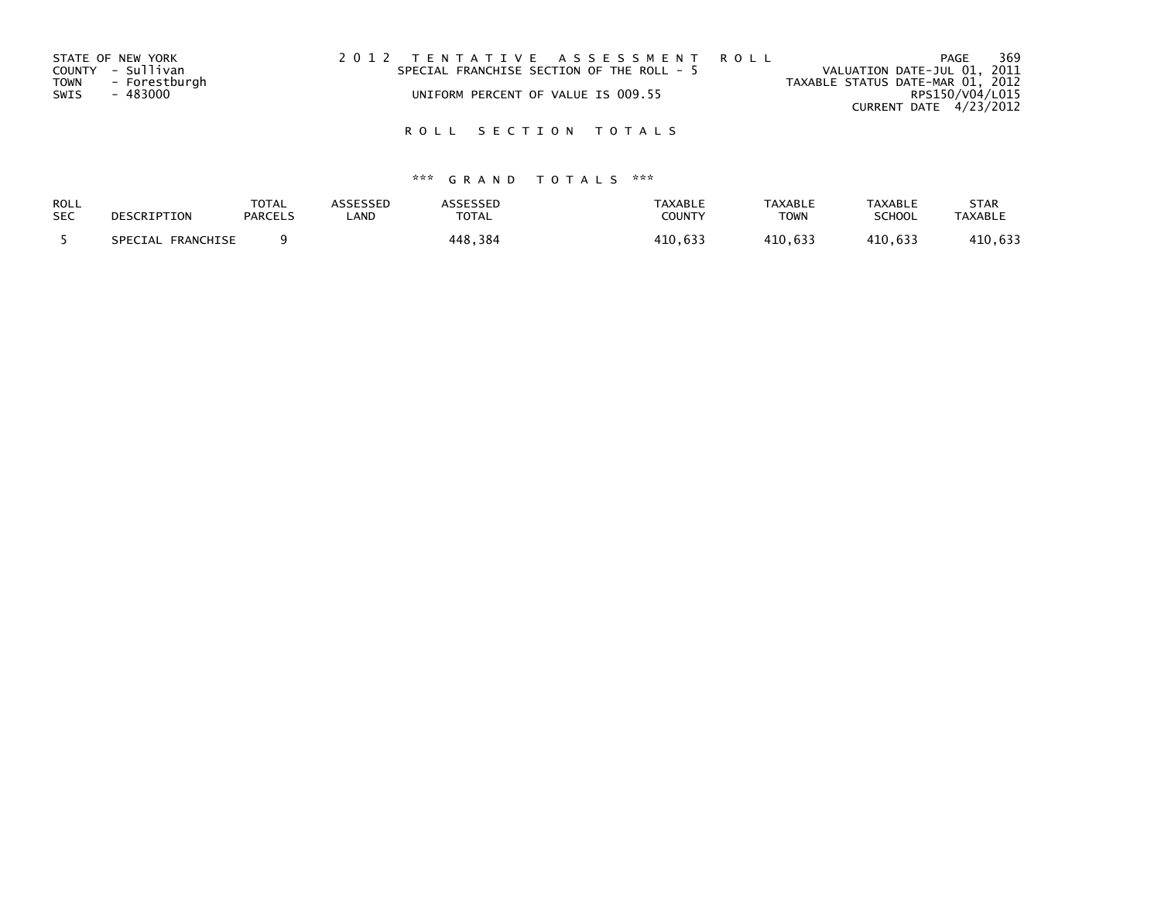| VALUATION DATE-JUL 01, 2011      |
|----------------------------------|
| TAXABLE STATUS DATE-MAR 01, 2012 |
| RPS150/V04/L015                  |
| CURRENT DATE 4/23/2012           |
|                                  |

| ROLL       | DESCRIPTION       | <b>TOTAL</b>   | <b>ASSESSED</b> | <b>ASSESSED</b> | <b>TAXABLE</b> | <b>TAXABLE</b> | <b>TAXABLE</b> | <b>STAR</b>    |
|------------|-------------------|----------------|-----------------|-----------------|----------------|----------------|----------------|----------------|
| <b>SEC</b> |                   | <b>PARCELS</b> | _AND            | TOTAL           | COUNTY         | <b>TOWN</b>    | SCHOOL         | <b>TAXABLE</b> |
|            | SPECIAL FRANCHISE |                |                 | 448,384         | 410,633        | 410.633        | 410.633        | 410,633        |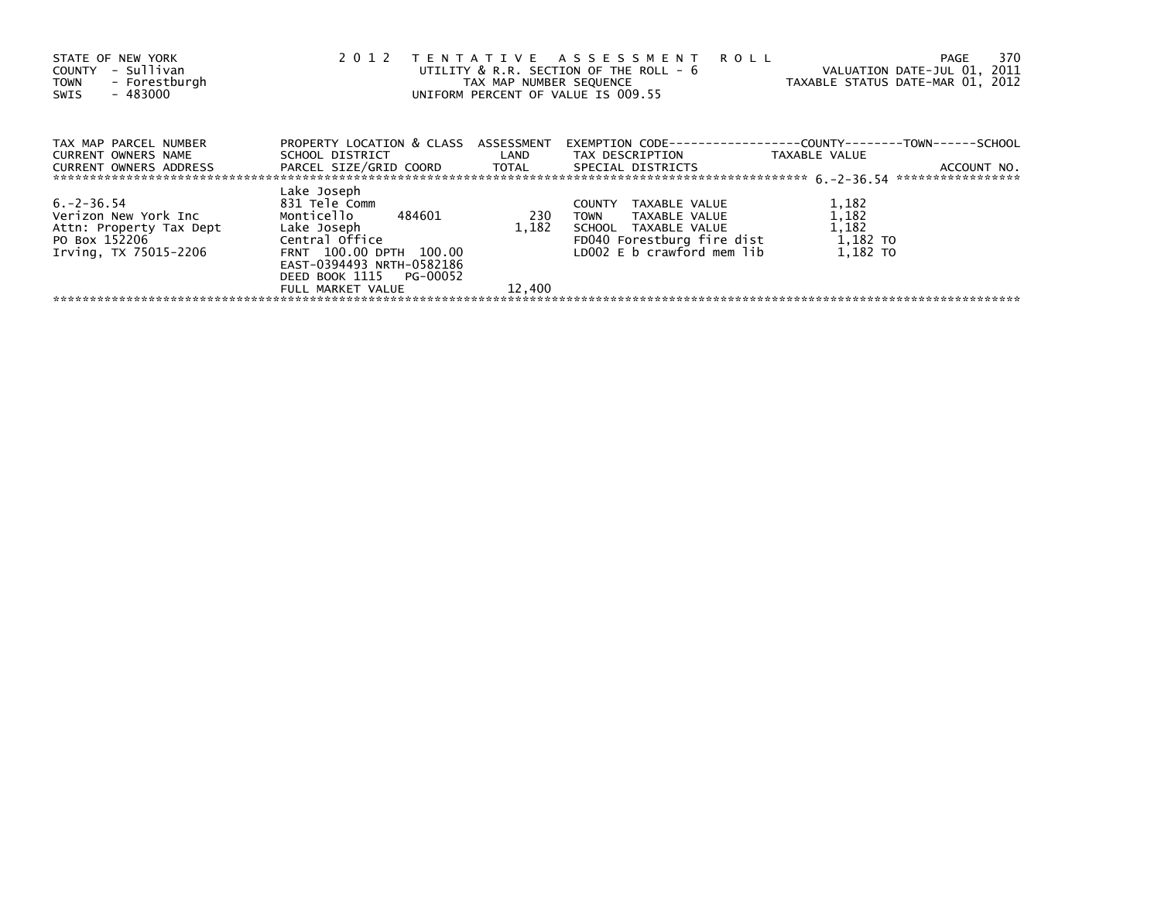| STATE OF NEW YORK<br>- Sullivan<br>COUNTY<br>- Forestburgh<br><b>TOWN</b><br>$-483000$<br>SWIS                        | 2 0 1 2                                                                                                                                                                                    | TAX MAP NUMBER SEQUENCE | TENTATIVE ASSESSMENT ROLL<br>UTILITY & R.R. SECTION OF THE ROLL - 6<br>UNIFORM PERCENT OF VALUE IS 009.55                                      | - 370<br>PAGE<br>VALUATION DATE-JUL 01, 2011<br>TAXABLE STATUS DATE-MAR 01, 2012   |
|-----------------------------------------------------------------------------------------------------------------------|--------------------------------------------------------------------------------------------------------------------------------------------------------------------------------------------|-------------------------|------------------------------------------------------------------------------------------------------------------------------------------------|------------------------------------------------------------------------------------|
| TAX MAP PARCEL NUMBER<br>CURRENT OWNERS NAME<br>CURRENT OWNERS ADDRESS PARCEL SIZE/GRID COORD TOTAL SPECIAL DISTRICTS | PROPERTY LOCATION & CLASS ASSESSMENT                                                                                                                                                       |                         | SCHOOL DISTRICT                      LAND        TAX DESCRIPTION                 TAXABLE VALUE                                                 | EXEMPTION        CODE-----------------COUNTY-------TOWN------SCHOOL<br>ACCOUNT NO. |
| $6. -2 - 36.54$<br>Verizon New York Inc<br>Attn: Property Tax Dept<br>PO Box 152206<br>Irving, TX 75015-2206          | Lake Joseph<br>831 Tele Comm<br>Monticello 484601<br>Lake Joseph<br>Central Office<br>FRNT 100.00 DPTH 100.00<br>EAST-0394493 NRTH-0582186<br>DEED BOOK 1115 PG-00052<br>FULL MARKET VALUE | 230<br>1.182<br>12,400  | TAXABLE VALUE<br>COUNTY<br>TOWN TAXABLE VALUE<br>SCHOOL TAXABLE VALUE<br>FD040 Forestburg fire dist 1,182 TO<br>LD002 $E$ b crawford mem $lib$ | 1,182<br>1,182<br>1,182<br>1.182 TO                                                |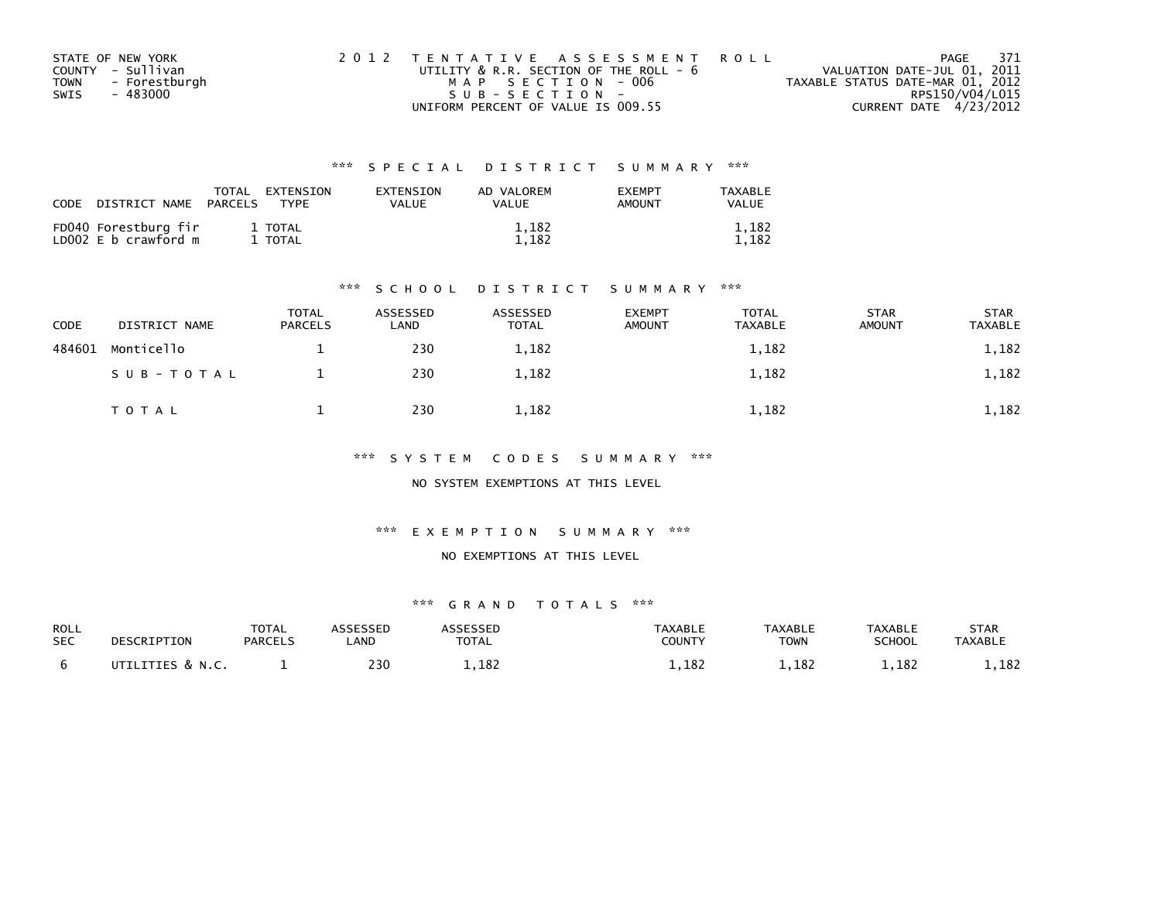| STATE OF NEW YORK     | 2012 TENTATIVE ASSESSMENT ROLL         | PAGE                             | - 371 |
|-----------------------|----------------------------------------|----------------------------------|-------|
| COUNTY - Sullivan     | UTILITY & R.R. SECTION OF THE ROLL - 6 | VALUATION DATE-JUL 01, 2011      |       |
| - Forestburgh<br>TOWN | MAP SECTION - 006                      | TAXABLE STATUS DATE-MAR 01, 2012 |       |
| - 483000<br>SWIS      | SUB-SECTION-                           | RPS150/V04/L015                  |       |
|                       | UNIFORM PERCENT OF VALUE IS 009.55     | CURRENT DATE 4/23/2012           |       |

| CODE | DISTRICT NAME                                | TOTAL<br>PARCELS | EXTENSION<br><b>TYPF</b> | <b>EXTENSION</b><br>VALUE | AD VALOREM<br>VALUE | <b>EXEMPT</b><br><b>AMOUNT</b> | TAXABLE<br><b>VALUE</b> |
|------|----------------------------------------------|------------------|--------------------------|---------------------------|---------------------|--------------------------------|-------------------------|
|      | FD040 Forestburg fir<br>LD002 E b crawford m |                  | 1 TOTAL<br>1 TOTAL       |                           | 1,182<br>1.182      |                                | 1,182<br>1,182          |

#### \*\*\* S C H O O L D I S T R I C T S U M M A R Y \*\*\*

| CODE   | DISTRICT NAME | <b>TOTAL</b><br><b>PARCELS</b> | ASSESSED<br>LAND | ASSESSED<br><b>TOTAL</b> | <b>EXEMPT</b><br><b>AMOUNT</b> | <b>TOTAL</b><br><b>TAXABLE</b> | <b>STAR</b><br><b>AMOUNT</b> | <b>STAR</b><br><b>TAXABLE</b> |
|--------|---------------|--------------------------------|------------------|--------------------------|--------------------------------|--------------------------------|------------------------------|-------------------------------|
| 484601 | Monticello    |                                | 230              | 1,182                    |                                | 1,182                          |                              | 1,182                         |
|        | SUB-TOTAL     |                                | 230              | 1,182                    |                                | 1,182                          |                              | 1,182                         |
|        | T O T A L     |                                | 230              | 1,182                    |                                | 1,182                          |                              | 1,182                         |

\*\*\* S Y S T E M C O D E S S U M M A R Y \*\*\*

NO SYSTEM EXEMPTIONS AT THIS LEVEL

\*\*\* E X E M P T I O N S U M M A R Y \*\*\*

#### NO EXEMPTIONS AT THIS LEVEL

| <b>ROLL</b><br><b>SEC</b> | DESCRIPTION                 | <b>TOTAL</b><br><b>PARCELS</b> | _AND | <b>ASSESSED</b><br>TOTAL | TAXABLE<br>COUNTY | <b>TAXABLE</b><br>TOWN | <b>TAXABLE</b><br><b>SCHOOL</b> | STAR<br><b>TAXABLE</b> |
|---------------------------|-----------------------------|--------------------------------|------|--------------------------|-------------------|------------------------|---------------------------------|------------------------|
|                           | <b>UTTLITTES &amp; N.C.</b> |                                | 230  | L, LOZ                   | .,182             | 1,182                  | .,182                           | ., 182                 |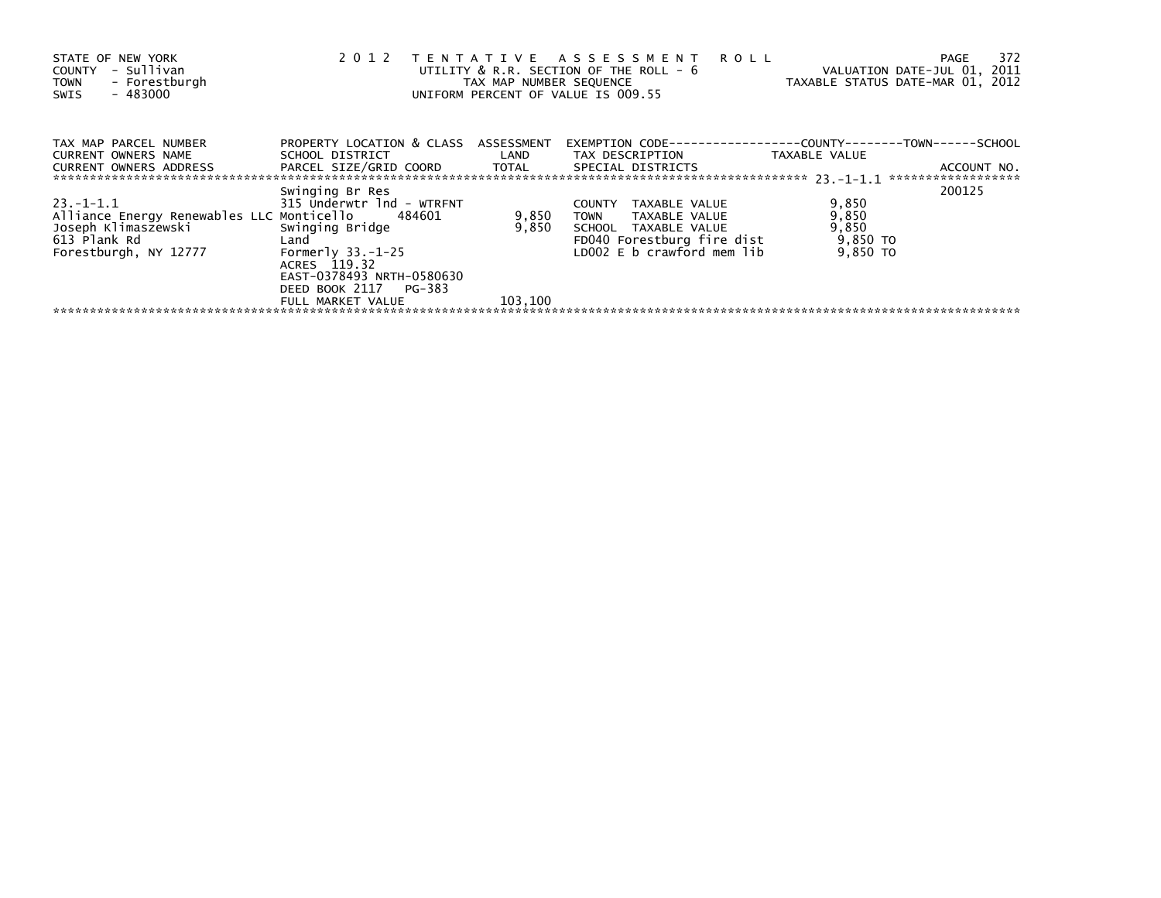| STATE OF NEW YORK<br>- Sullivan<br>COUNTY<br>- Forestburgh<br><b>TOWN</b><br>$-483000$<br>SWIS                                 | 2 0 1 2                                                                                                                                                                                   | TAX MAP NUMBER SEQUENCE   | TENTATIVE ASSESSMENT<br><b>ROLL</b><br>UTILITY & R.R. SECTION OF THE ROLL - 6<br>UNIFORM PERCENT OF VALUE IS 009.55                                | TAXABLE STATUS DATE-MAR 01, 2012                | 372<br>PAGE<br>VALUATION DATE-JUL 01, 2011 |
|--------------------------------------------------------------------------------------------------------------------------------|-------------------------------------------------------------------------------------------------------------------------------------------------------------------------------------------|---------------------------|----------------------------------------------------------------------------------------------------------------------------------------------------|-------------------------------------------------|--------------------------------------------|
| TAX MAP PARCEL NUMBER<br>CURRENT OWNERS NAME<br>CURRENT OWNERS ADDRESS                                                         | PROPERTY LOCATION & CLASS ASSESSMENT<br>SCHOOL DISTRICT<br>PARCEL SIZE/GRID COORD TOTAL                                                                                                   | LAND                      | TAX DESCRIPTION<br>SPECIAL DISTRICTS                                                                                                               | TAXABLE VALUE                                   | ACCOUNT NO.<br>******************          |
| 23. –1–1.1<br>Alliance Energy Renewables LLC Monticello 484601<br>Joseph Klimaszewski<br>613 Plank Rd<br>Forestburgh, NY 12777 | Swinging Br Res<br>315 Underwtr 1nd - WTRFNT<br>Swinging Bridge<br>Land<br>Formerly $33.-1-25$<br>ACRES 119.32<br>EAST-0378493 NRTH-0580630<br>DEED BOOK 2117 PG-383<br>FULL MARKET VALUE | 9,850<br>9,850<br>103,100 | <b>COUNTY</b><br>TAXABLE VALUE<br>TAXABLE VALUE<br><b>TOWN</b><br>SCHOOL TAXABLE VALUE<br>FD040 Forestburg fire dist<br>LD002 E b crawford mem lib | 9,850<br>9,850<br>9,850<br>9,850 TO<br>9,850 TO | 200125                                     |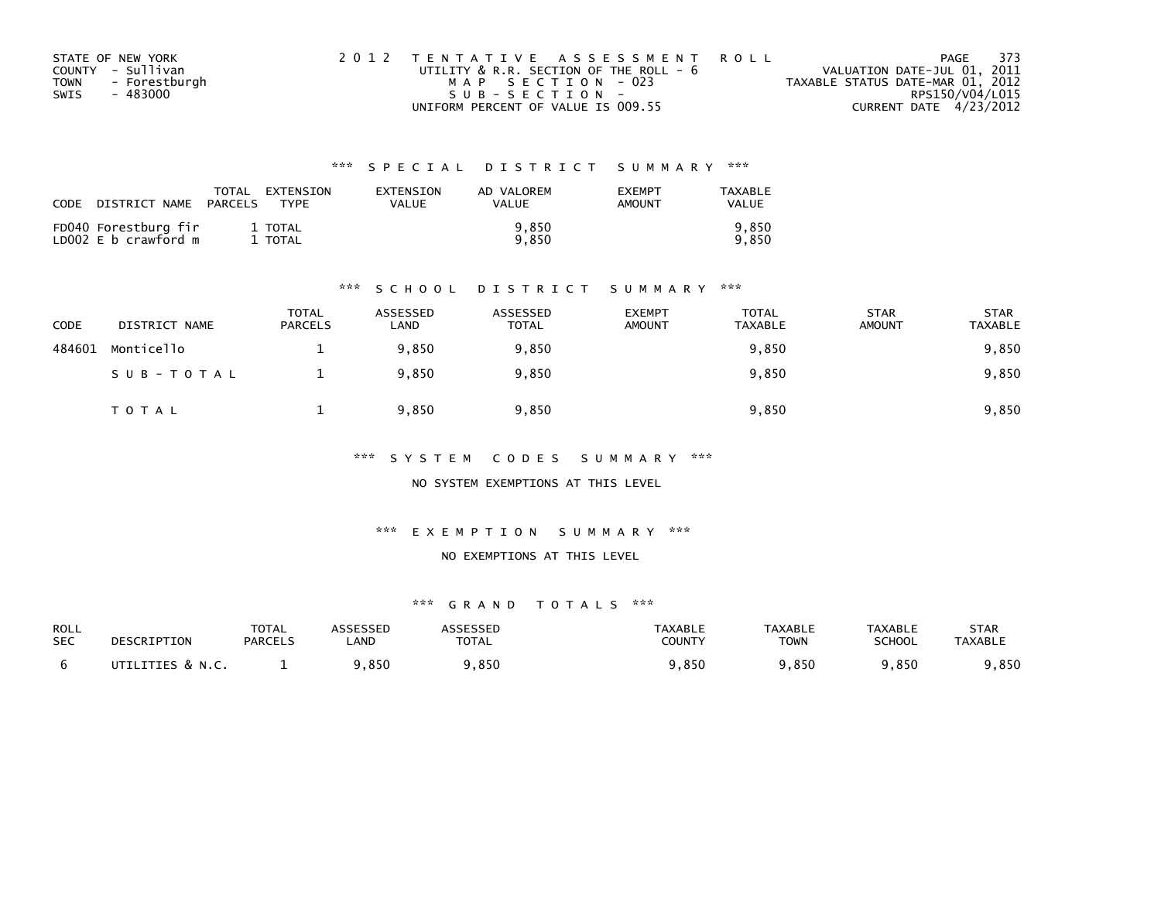| STATE OF NEW YORK     | 2012 TENTATIVE ASSESSMENT ROLL         | PAGE                             | 373 |
|-----------------------|----------------------------------------|----------------------------------|-----|
| COUNTY - Sullivan     | UTILITY & R.R. SECTION OF THE ROLL - 6 | VALUATION DATE-JUL 01, 2011      |     |
| - Forestburgh<br>TOWN | MAP SECTION - 023                      | TAXABLE STATUS DATE-MAR 01, 2012 |     |
| - 483000<br>SWIS      | SUB-SECTION-                           | RPS150/V04/L015                  |     |
|                       | UNIFORM PERCENT OF VALUE IS 009.55     | CURRENT DATE 4/23/2012           |     |

| CODE | DISTRICT NAME                                | TOTAL<br>PARCELS | EXTENSION<br><b>TYPF</b> | EXTENSION<br>VALUE | AD VALOREM<br>VALUE | <b>EXEMPT</b><br>AMOUNT | TAXABLE<br><b>VALUE</b> |
|------|----------------------------------------------|------------------|--------------------------|--------------------|---------------------|-------------------------|-------------------------|
|      | FD040 Forestburg fir<br>LD002 E b crawford m |                  | 1 TOTAL<br>TOTAL         |                    | 9.850<br>9.850      |                         | 9.850<br>9.850          |

#### \*\*\* S C H O O L D I S T R I C T S U M M A R Y \*\*\*

| CODE   | DISTRICT NAME | <b>TOTAL</b><br><b>PARCELS</b> | ASSESSED<br>LAND | ASSESSED<br><b>TOTAL</b> | <b>EXEMPT</b><br><b>AMOUNT</b> | TOTAL<br><b>TAXABLE</b> | <b>STAR</b><br><b>AMOUNT</b> | <b>STAR</b><br><b>TAXABLE</b> |
|--------|---------------|--------------------------------|------------------|--------------------------|--------------------------------|-------------------------|------------------------------|-------------------------------|
| 484601 | Monticello    |                                | 9.850            | 9,850                    |                                | 9,850                   |                              | 9,850                         |
|        | SUB-TOTAL     |                                | 9,850            | 9,850                    |                                | 9,850                   |                              | 9,850                         |
|        | TOTAL         |                                | 9,850            | 9,850                    |                                | 9,850                   |                              | 9,850                         |

\*\*\* S Y S T E M C O D E S S U M M A R Y \*\*\*

NO SYSTEM EXEMPTIONS AT THIS LEVEL

\*\*\* E X E M P T I O N S U M M A R Y \*\*\*

#### NO EXEMPTIONS AT THIS LEVEL

| ROLL       | DESCRIPTION      | <b>TOTAL</b>   | ASSESSED   | <b>ASSESSED</b> | TAXABLE       | <b>TAXABLE</b> | <b>TAXABLE</b> | STAR           |
|------------|------------------|----------------|------------|-----------------|---------------|----------------|----------------|----------------|
| <b>SEC</b> |                  | <b>PARCELS</b> | <b>AND</b> | <b>TOTAL</b>    | <b>COUNTY</b> | TOWN           | <b>SCHOOL</b>  | <b>TAXABLE</b> |
|            | UTILITIES & N.C. |                | 9,850      | ,850            | 9,850         | 9,850          | 9,850          | ,850           |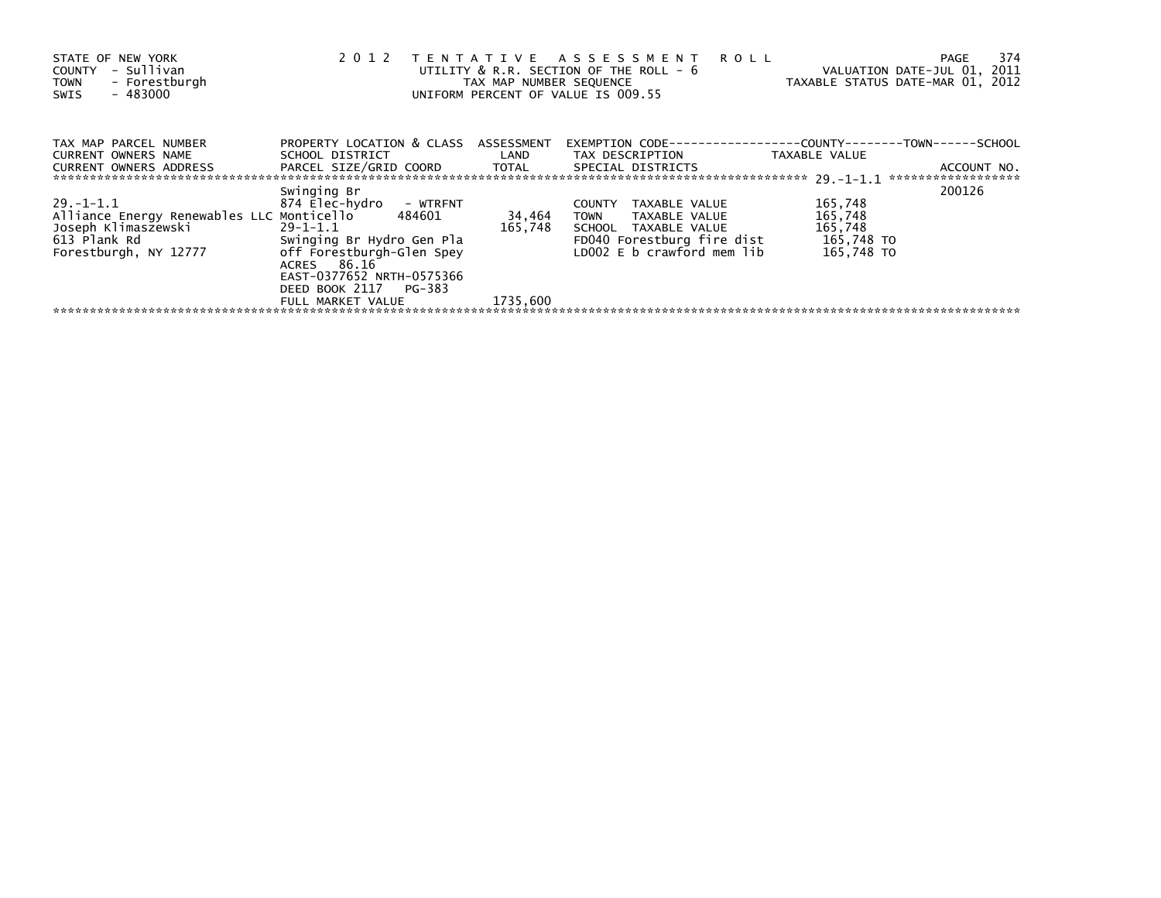| STATE OF NEW YORK<br>- Sullivan<br>COUNTY<br>- Forestburgh<br><b>TOWN</b><br>$-483000$<br>SWIS                                 | 2012                                                                                                                                                                                                      | TAX MAP NUMBER SEQUENCE       | TENTATIVE ASSESSMENT<br><b>ROLL</b><br>UTILITY & R.R. SECTION OF THE ROLL - 6<br>UNIFORM PERCENT OF VALUE IS 009.55                                | VALUATION DATE-JUL 01, 2011<br>TAXABLE STATUS DATE-MAR 01, 2012 | 374<br>PAGE                       |
|--------------------------------------------------------------------------------------------------------------------------------|-----------------------------------------------------------------------------------------------------------------------------------------------------------------------------------------------------------|-------------------------------|----------------------------------------------------------------------------------------------------------------------------------------------------|-----------------------------------------------------------------|-----------------------------------|
| TAX MAP PARCEL NUMBER<br>CURRENT OWNERS NAME                                                                                   | PROPERTY LOCATION & CLASS ASSESSMENT<br>SCHOOL DISTRICT                                                                                                                                                   | LAND                          | TAX DESCRIPTION                                                                                                                                    | TAXABLE VALUE                                                   |                                   |
| CURRENT OWNERS ADDRESS                                                                                                         | PARCEL SIZE/GRID COORD                                                                                                                                                                                    | TOTAL                         | SPECIAL DISTRICTS                                                                                                                                  |                                                                 | ACCOUNT NO.<br>****************** |
| 29. –1–1.1<br>Alliance Energy Renewables LLC Monticello 484601<br>Joseph Klimaszewski<br>613 Plank Rd<br>Forestburgh, NY 12777 | Swinging Br<br>874 Elec-hydro<br>- WTRFNT<br>29-1-1.1<br>Swinging Br Hydro Gen Pla<br>off Forestburgh-Glen Spey<br>ACRES 86.16<br>EAST-0377652 NRTH-0575366<br>DEED BOOK 2117 PG-383<br>FULL MARKET VALUE | 34,464<br>165,748<br>1735.600 | TAXABLE VALUE<br><b>COUNTY</b><br><b>TOWN</b><br>TAXABLE VALUE<br>SCHOOL TAXABLE VALUE<br>FD040 Forestburg fire dist<br>LD002 E b crawford mem lib | 165,748<br>165,748<br>165,748<br>165,748 TO<br>165,748 TO       | 200126                            |
|                                                                                                                                |                                                                                                                                                                                                           |                               |                                                                                                                                                    |                                                                 |                                   |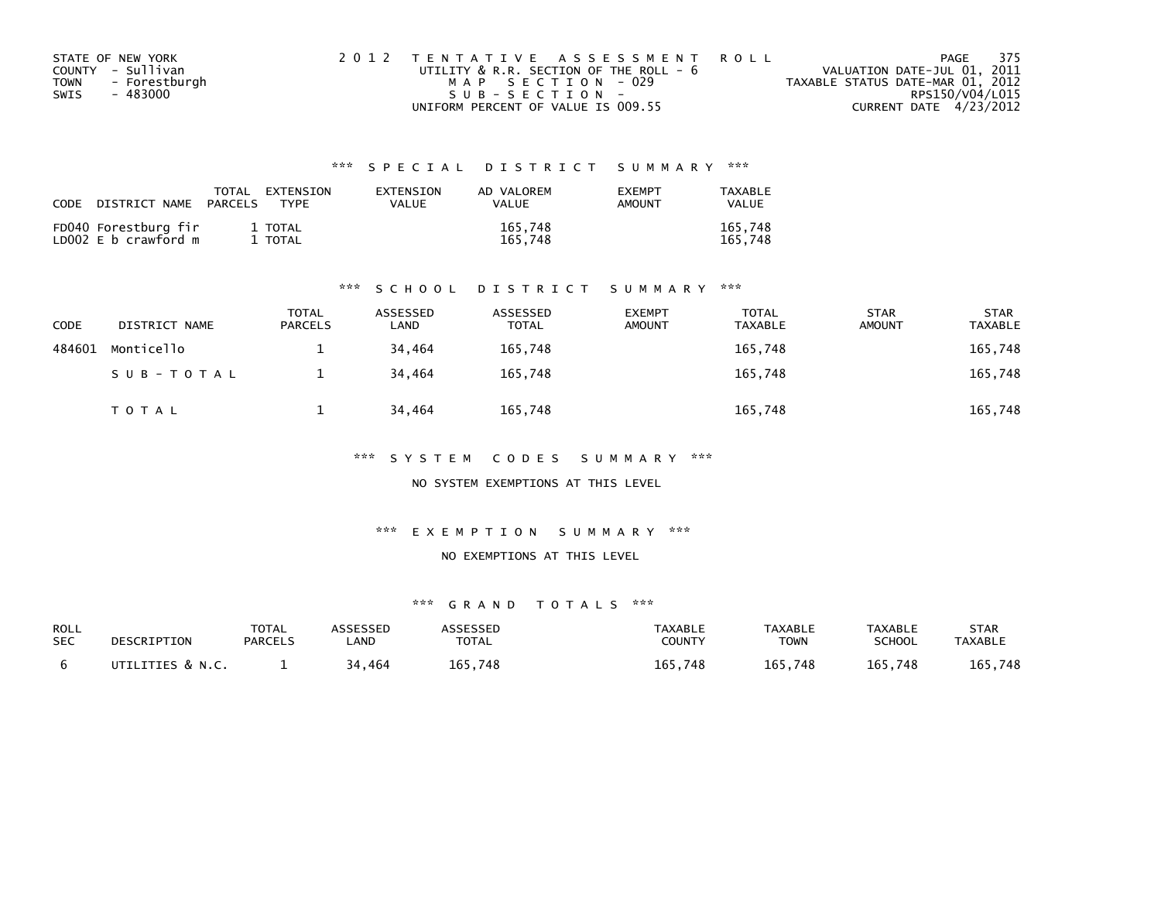| STATE OF NEW YORK     | 2012 TENTATIVE ASSESSMENT ROLL         | PAGE                             | 375 |
|-----------------------|----------------------------------------|----------------------------------|-----|
| COUNTY - Sullivan     | UTILITY & R.R. SECTION OF THE ROLL - 6 | VALUATION DATE-JUL 01, 2011      |     |
| - Forestburgh<br>TOWN | MAP SECTION - 029                      | TAXABLE STATUS DATE-MAR 01, 2012 |     |
| - 483000<br>SWIS      | SUB-SECTION-                           | RPS150/V04/L015                  |     |
|                       | UNIFORM PERCENT OF VALUE IS 009.55     | CURRENT DATE 4/23/2012           |     |

| CODE | DISTRICT NAME                                | TOTAL<br>PARCELS | EXTENSION<br>TYPF  | EXTENSION<br>VALUE | AD VALOREM<br><b>VALUE</b> | <b>EXEMPT</b><br>AMOUNT | TAXABLE<br>VALUE   |
|------|----------------------------------------------|------------------|--------------------|--------------------|----------------------------|-------------------------|--------------------|
|      | FD040 Forestburg fir<br>LD002 E b crawford m |                  | 1 TOTAL<br>1 TOTAL |                    | 165,748<br>165.748         |                         | 165,748<br>165.748 |

#### \*\*\* S C H O O L D I S T R I C T S U M M A R Y \*\*\*

| <b>CODE</b> | DISTRICT NAME | <b>TOTAL</b><br><b>PARCELS</b> | ASSESSED<br>LAND | ASSESSED<br><b>TOTAL</b> | <b>EXEMPT</b><br><b>AMOUNT</b> | <b>TOTAL</b><br><b>TAXABLE</b> | <b>STAR</b><br><b>AMOUNT</b> | <b>STAR</b><br><b>TAXABLE</b> |
|-------------|---------------|--------------------------------|------------------|--------------------------|--------------------------------|--------------------------------|------------------------------|-------------------------------|
| 484601      | Monticello    |                                | 34.464           | 165,748                  |                                | 165,748                        |                              | 165,748                       |
|             | SUB-TOTAL     |                                | 34.464           | 165,748                  |                                | 165,748                        |                              | 165,748                       |
|             | T O T A L     |                                | 34.464           | 165,748                  |                                | 165,748                        |                              | 165,748                       |

\*\*\* S Y S T E M C O D E S S U M M A R Y \*\*\*

NO SYSTEM EXEMPTIONS AT THIS LEVEL

\*\*\* E X E M P T I O N S U M M A R Y \*\*\*

#### NO EXEMPTIONS AT THIS LEVEL

| ROLL<br><b>SEC</b> | DESCRIPTION      | <b>TOTAL</b><br><b>PARCELS</b> | ASSESSED<br>.AND | ASSESSED<br><b>TOTAL</b> | <b>TAXABLE</b><br>COUNTY | <b>TAXABLE</b><br>TOWN | TAXABLE<br><b>SCHOOL</b> | STAR<br><b>TAXABLE</b> |
|--------------------|------------------|--------------------------------|------------------|--------------------------|--------------------------|------------------------|--------------------------|------------------------|
|                    | UTILITIES & N.C. |                                | 34,464           | 165.748                  | 165,748                  | 165,748                | 165,748                  | 165,748                |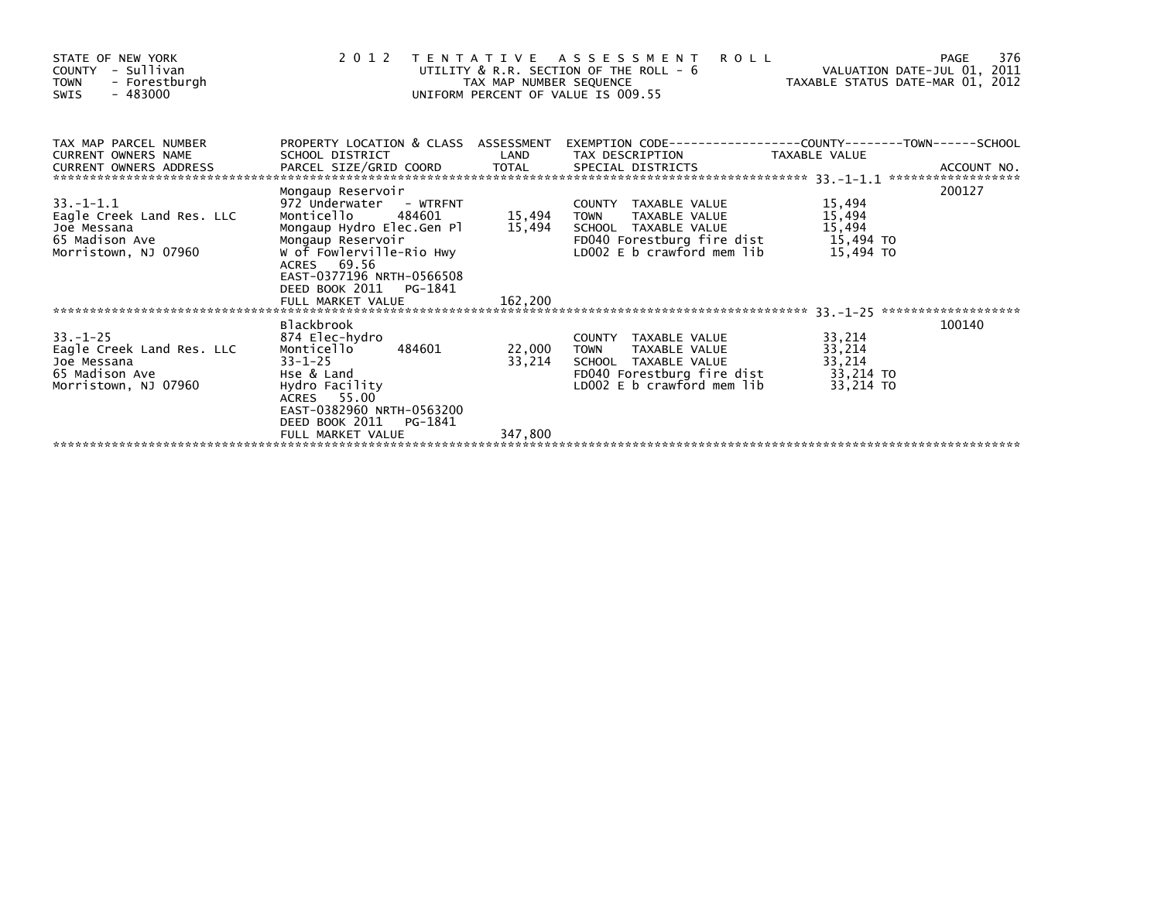| STATE OF NEW YORK<br>- Sullivan<br>COUNTY<br><b>TOWN</b><br>- Forestburgh<br>$-483000$<br><b>SWIS</b>                                                                                                                                |                                                                                                | TAX MAP NUMBER SEQUENCE | 2012 TENTATIVE ASSESSMENT<br><b>ROLL</b><br>UTILITY & R.R. SECTION OF THE ROLL - 6<br>UNIFORM PERCENT OF VALUE IS 009.55 | VALUATION DATE-JUL 01, 2011<br>TAXABLE STATUS DATE-MAR 01, 2012 | 376<br>PAGE |
|--------------------------------------------------------------------------------------------------------------------------------------------------------------------------------------------------------------------------------------|------------------------------------------------------------------------------------------------|-------------------------|--------------------------------------------------------------------------------------------------------------------------|-----------------------------------------------------------------|-------------|
| TAX MAP PARCEL NUMBER<br><b>CURRENT OWNERS NAME</b><br>CURRENT OWNERS ADDRESS TO THE TIME THE SPECIAL SPECIAL DISTRICTS TO THE THE SERVE AND THE SERVE TO TALL SPECIAL SPECIAL DISTRICTS AND A ACCOUNT NO.<br>CURRENT OWNERS ADDRESS | PROPERTY LOCATION & CLASS ASSESSMENT<br>SCHOOL DISTRICT                                        | LAND                    | EXEMPTION        CODE-----------------COUNTY-------TOWN------SCHOOL                                                      |                                                                 |             |
| $33. -1 - 1.1$                                                                                                                                                                                                                       | Mongaup Reservoir<br>972 Underwater - WTRFNT                                                   |                         | COUNTY TAXABLE VALUE                                                                                                     | 15,494                                                          | 200127      |
| Eagle Creek Land Res. LLC                                                                                                                                                                                                            | 484601<br>Monticello                                                                           | 15,494                  | TOWN<br>TAXABLE VALUE                                                                                                    | 15,494                                                          |             |
| Joe Messana                                                                                                                                                                                                                          | Mongaup Hydro Elec.Gen Pl                                                                      |                         | 15,494 SCHOOL TAXABLE VALUE                                                                                              | 15,494                                                          |             |
| 65 Madison Ave                                                                                                                                                                                                                       | Mongaup Reservoir                                                                              |                         | FD040 Forestburg fire dist                                                                                               | 15,494 TO                                                       |             |
| Morristown, NJ 07960                                                                                                                                                                                                                 | W of Fowlerville-Rio Hwy<br>ACRES 69.56<br>EAST-0377196 NRTH-0566508<br>DEED BOOK 2011 PG-1841 |                         | LDOO2 E b crawford mem lib                                                                                               | 15,494 TO                                                       |             |
|                                                                                                                                                                                                                                      | FULL MARKET VALUE                                                                              | 162,200                 |                                                                                                                          |                                                                 |             |
|                                                                                                                                                                                                                                      |                                                                                                |                         |                                                                                                                          |                                                                 |             |
| $33. - 1 - 25$                                                                                                                                                                                                                       | <b>Blackbrook</b><br>874 Elec-hydro                                                            |                         | COUNTY TAXABLE VALUE                                                                                                     | 33,214                                                          | 100140      |
| Eagle Creek Land Res. LLC                                                                                                                                                                                                            | 484601<br>Monticello                                                                           | 22,000                  | TAXABLE VALUE<br>TOWN                                                                                                    | 33,214                                                          |             |
| Joe Messana                                                                                                                                                                                                                          | $33 - 1 - 25$                                                                                  | 33,214                  | SCHOOL TAXABLE VALUE                                                                                                     | 33,214                                                          |             |
| 65 Madison Ave                                                                                                                                                                                                                       | Hse & Land                                                                                     |                         | FD040 Forestburg fire dist                                                                                               | 33,214 TO                                                       |             |
| Morristown, NJ 07960                                                                                                                                                                                                                 | Hydro Facility<br>ACRES 55.00<br>EAST-0382960 NRTH-0563200<br>DEED BOOK 2011<br>PG-1841        |                         | LD002 E b crawford mem lib                                                                                               | 33,214 TO                                                       |             |
|                                                                                                                                                                                                                                      | FULL MARKET VALUE                                                                              | 347,800                 |                                                                                                                          |                                                                 |             |
|                                                                                                                                                                                                                                      |                                                                                                |                         |                                                                                                                          |                                                                 |             |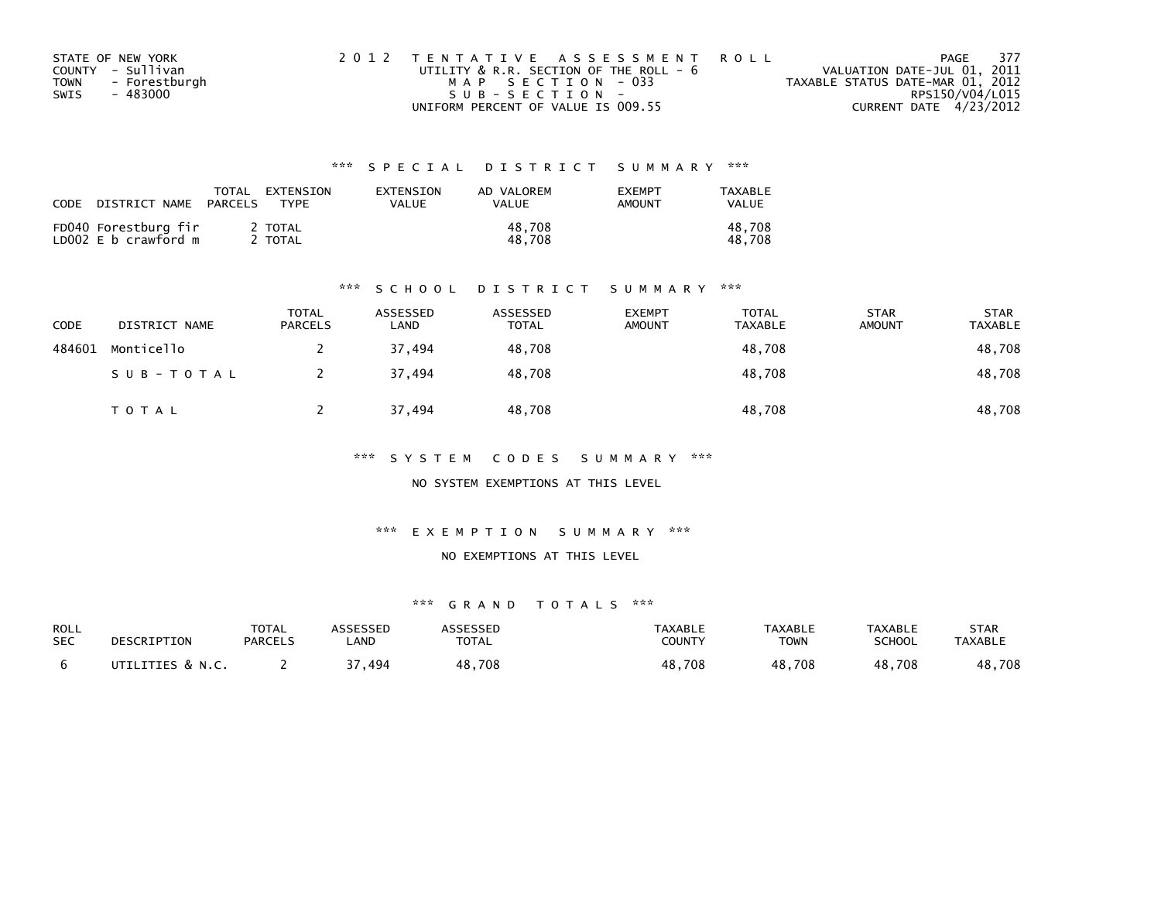| STATE OF NEW YORK     | 2012 TENTATIVE ASSESSMENT ROLL         | PAGE                             | 377 |
|-----------------------|----------------------------------------|----------------------------------|-----|
| COUNTY - Sullivan     | UTILITY & R.R. SECTION OF THE ROLL - 6 | VALUATION DATE-JUL 01, 2011      |     |
| - Forestburgh<br>TOWN | MAP SECTION - 033                      | TAXABLE STATUS DATE-MAR 01, 2012 |     |
| - 483000<br>SWIS      | SUB-SECTION-                           | RPS150/V04/L015                  |     |
|                       | UNIFORM PERCENT OF VALUE IS 009.55     | CURRENT DATE 4/23/2012           |     |

| CODE | DISTRICT NAME                                | TOTAL<br>PARCELS | EXTENSION<br><b>TYPF</b> | EXTENSION<br><b>VALUE</b> | AD VALOREM<br>VALUE | <b>EXEMPT</b><br>AMOUNT | TAXABLE<br>VALUE |
|------|----------------------------------------------|------------------|--------------------------|---------------------------|---------------------|-------------------------|------------------|
|      | FD040 Forestburg fir<br>LD002 E b crawford m |                  | 2 TOTAL<br>TOTAL         |                           | 48.708<br>48.708    |                         | 48.708<br>48.708 |

#### \*\*\* S C H O O L D I S T R I C T S U M M A R Y \*\*\*

| CODE   | DISTRICT NAME | <b>TOTAL</b><br><b>PARCELS</b> | ASSESSED<br>LAND | ASSESSED<br><b>TOTAL</b> | <b>EXEMPT</b><br><b>AMOUNT</b> | <b>TOTAL</b><br><b>TAXABLE</b> | <b>STAR</b><br><b>AMOUNT</b> | <b>STAR</b><br><b>TAXABLE</b> |
|--------|---------------|--------------------------------|------------------|--------------------------|--------------------------------|--------------------------------|------------------------------|-------------------------------|
| 484601 | Monticello    |                                | 37.494           | 48,708                   |                                | 48,708                         |                              | 48,708                        |
|        | SUB-TOTAL     |                                | 37,494           | 48,708                   |                                | 48,708                         |                              | 48,708                        |
|        | TOTAL         |                                | 37,494           | 48,708                   |                                | 48,708                         |                              | 48,708                        |

\*\*\* S Y S T E M C O D E S S U M M A R Y \*\*\*

NO SYSTEM EXEMPTIONS AT THIS LEVEL

\*\*\* E X E M P T I O N S U M M A R Y \*\*\*

#### NO EXEMPTIONS AT THIS LEVEL

| ROLL       | DESCRIPTION      | <b>TOTAL</b>   | ASSESSED   | ASSESSED     | TAXABLE       | <b>TAXABLE</b> | <b>TAXABLE</b> | STAR           |
|------------|------------------|----------------|------------|--------------|---------------|----------------|----------------|----------------|
| <b>SEC</b> |                  | <b>PARCELS</b> | <b>AND</b> | <b>TOTAL</b> | <b>COUNTY</b> | <b>TOWN</b>    | <b>SCHOOL</b>  | <b>TAXABLE</b> |
|            | UTILITIES & N.C. |                | 494, 7د    | 48,708       | 48,708        | 48,708         | 48,708         | 48,708         |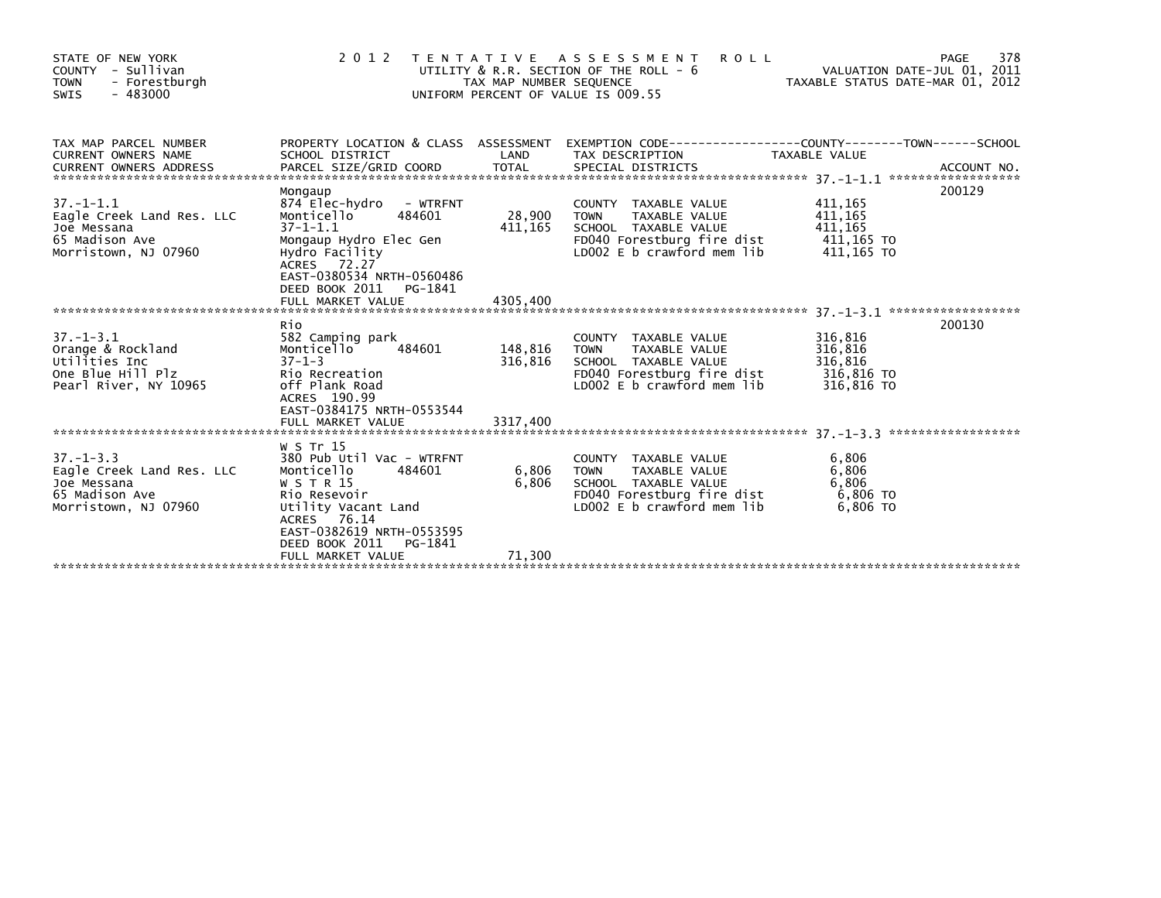| STATE OF NEW YORK<br>COUNTY - Sullivan<br><b>TOWN</b><br>- Forestburgh<br>$-483000$<br>SWIS           | 2 0 1 2                                                                                                                                                                                                        | TAX MAP NUMBER SEQUENCE  | TENTATIVE ASSESSMENT<br><b>ROLL</b><br>UTILITY & R.R. SECTION OF THE ROLL - 6<br>UNIFORM PERCENT OF VALUE IS 009.55                                   | TAXABLE STATUS DATE-MAR 01, 2012                | 378<br>PAGE<br>VALUATION DATE-JUL 01, 2011 |
|-------------------------------------------------------------------------------------------------------|----------------------------------------------------------------------------------------------------------------------------------------------------------------------------------------------------------------|--------------------------|-------------------------------------------------------------------------------------------------------------------------------------------------------|-------------------------------------------------|--------------------------------------------|
| TAX MAP PARCEL NUMBER<br>CURRENT OWNERS NAME<br><b>CURRENT OWNERS ADDRESS</b>                         | SCHOOL DISTRICT                                                                                                                                                                                                | LAND                     | PROPERTY LOCATION & CLASS ASSESSMENT EXEMPTION CODE----------------COUNTY-------TOWN------SCHOOL<br>TAX DESCRIPTION                                   | TAXABLE VALUE                                   |                                            |
| $37. - 1 - 1.1$<br>Eagle Creek Land Res. LLC<br>Joe Messana<br>65 Madison Ave<br>Morristown, NJ 07960 | Mongaup<br>874 Elec-hydro - WTRFNT<br>Monticello<br>484601<br>$37 - 1 - 1.1$<br>Mongaup Hydro Elec Gen<br>Hydro Facility<br>ACRES 72.27<br>EAST-0380534 NRTH-0560486<br>DEED BOOK 2011<br>PG-1841              | 28,900<br>411,165        | COUNTY TAXABLE VALUE<br>TAXABLE VALUE<br><b>TOWN</b><br>SCHOOL TAXABLE VALUE<br>FD040 Forestburg fire dist $411,165$ TO<br>LD002 E b crawford mem lib | 411,165<br>411,165<br>411,165<br>411,165 TO     | 200129                                     |
|                                                                                                       |                                                                                                                                                                                                                |                          |                                                                                                                                                       |                                                 |                                            |
| $37. - 1 - 3.1$<br>Orange & Rockland<br>Utilities Inc<br>One Blue Hill Plz<br>Pearl River, NY 10965   | Rio<br>582 Camping park<br>484601<br>Monticello<br>$37 - 1 - 3$<br>Rio Recreation<br>off Plank Road<br>ACRES 190.99<br>EAST-0384175 NRTH-0553544                                                               | 148,816<br>316,816       | COUNTY TAXABLE VALUE<br>TAXABLE VALUE<br><b>TOWN</b><br>SCHOOL TAXABLE VALUE<br>FD040 Forestburg fire dist 316,816 TO<br>LD002 E b crawford mem lib   | 316,816<br>316,816<br>316,816<br>316,816 TO     | 200130                                     |
|                                                                                                       |                                                                                                                                                                                                                |                          |                                                                                                                                                       |                                                 |                                            |
| $37. - 1 - 3.3$<br>Eagle Creek Land Res. LLC<br>Joe Messana<br>65 Madison Ave<br>Morristown, NJ 07960 | W S Tr 15<br>380 Pub Util Vac - WTRFNT<br>Monticello<br>484601<br>W S T R 15<br>Rio Resevoir<br>Utility Vacant Land<br>ACRES 76.14<br>EAST-0382619 NRTH-0553595<br>DEED BOOK 2011 PG-1841<br>FULL MARKET VALUE | 6,806<br>6,806<br>71,300 | COUNTY TAXABLE VALUE<br>TAXABLE VALUE<br><b>TOWN</b><br>SCHOOL TAXABLE VALUE<br>FD040 Forestburg fire dist<br>LD002 E b crawford mem lib              | 6,806<br>6,806<br>6,806<br>6,806 TO<br>6,806 TO |                                            |
|                                                                                                       |                                                                                                                                                                                                                |                          |                                                                                                                                                       |                                                 |                                            |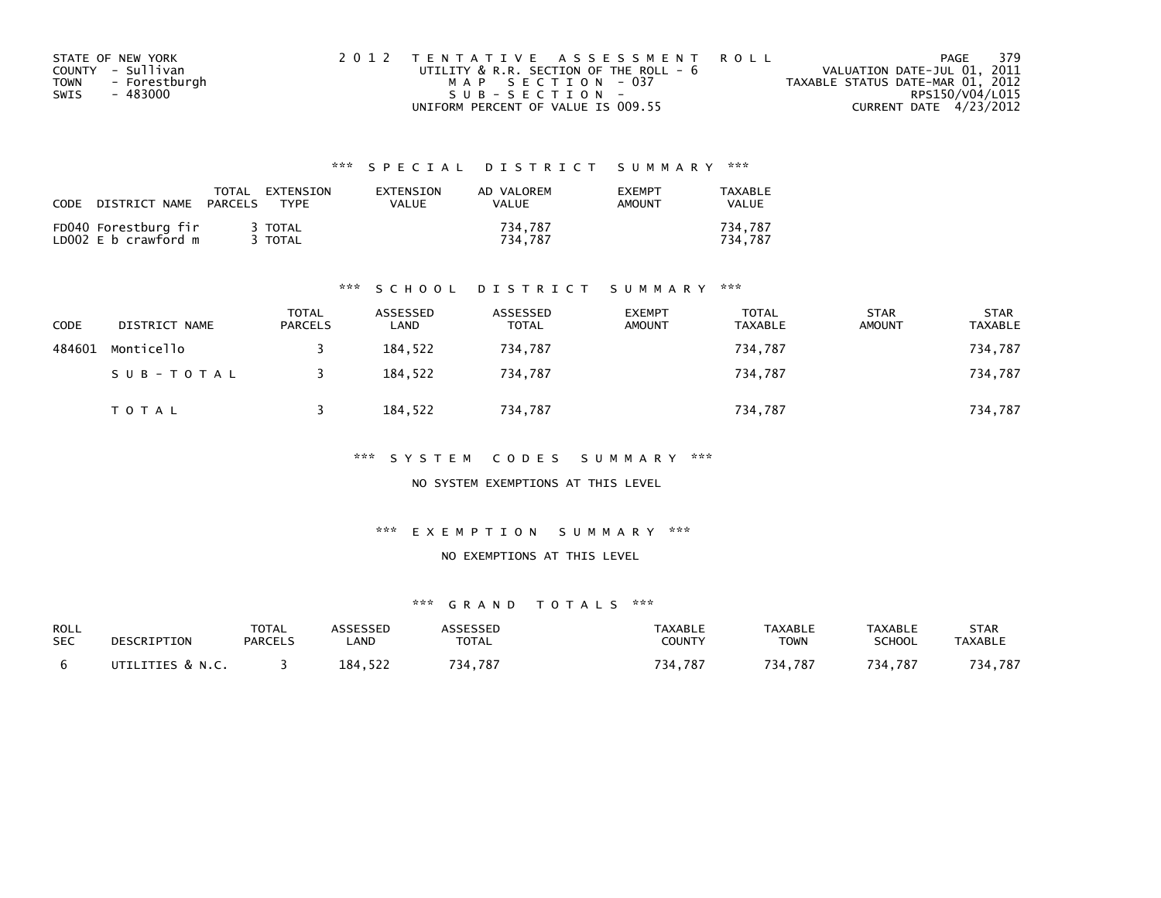| STATE OF NEW YORK            | 2012 TENTATIVE ASSESSMENT ROLL              | PAGE                             | - 379 |
|------------------------------|---------------------------------------------|----------------------------------|-------|
| COUNTY - Sullivan            | UTILITY $\&$ R.R. SECTION OF THE ROLL - $6$ | VALUATION DATE-JUL 01, 2011      |       |
| - Forestburgh<br><b>TOWN</b> | MAP SECTION - 037                           | TAXABLE STATUS DATE-MAR 01, 2012 |       |
| - 483000<br>SWIS             | SUB-SECTION-                                | RPS150/V04/L015                  |       |
|                              | UNIFORM PERCENT OF VALUE IS 009.55          | CURRENT DATE 4/23/2012           |       |

| CODE | DISTRICT NAME                                | TOTAL<br>PARCELS | EXTENSION<br>TYPF  | EXTENSION<br>VALUE | AD VALOREM<br>VALUE | <b>EXEMPT</b><br><b>AMOUNT</b> | TAXABLE<br><b>VALUE</b> |
|------|----------------------------------------------|------------------|--------------------|--------------------|---------------------|--------------------------------|-------------------------|
|      | FD040 Forestburg fir<br>LD002 E b crawford m |                  | 3 TOTAL<br>3 TOTAL |                    | 734,787<br>734.787  |                                | 734.787<br>734.787      |

#### \*\*\* S C H O O L D I S T R I C T S U M M A R Y \*\*\*

| CODE   | DISTRICT NAME | <b>TOTAL</b><br><b>PARCELS</b> | ASSESSED<br>LAND | ASSESSED<br><b>TOTAL</b> | <b>EXEMPT</b><br><b>AMOUNT</b> | <b>TOTAL</b><br><b>TAXABLE</b> | <b>STAR</b><br><b>AMOUNT</b> | <b>STAR</b><br><b>TAXABLE</b> |
|--------|---------------|--------------------------------|------------------|--------------------------|--------------------------------|--------------------------------|------------------------------|-------------------------------|
| 484601 | Monticello    |                                | 184.522          | 734,787                  |                                | 734,787                        |                              | 734,787                       |
|        | SUB-TOTAL     |                                | 184,522          | 734,787                  |                                | 734,787                        |                              | 734,787                       |
|        | T O T A L     |                                | 184,522          | 734,787                  |                                | 734,787                        |                              | 734,787                       |

\*\*\* S Y S T E M C O D E S S U M M A R Y \*\*\*

NO SYSTEM EXEMPTIONS AT THIS LEVEL

\*\*\* E X E M P T I O N S U M M A R Y \*\*\*

#### NO EXEMPTIONS AT THIS LEVEL

| ROLL       | DESCRIPTION      | <b>TOTAL</b>   | ASSESSED | ASSESSED     | TAXABLE       | <b>TAXABLE</b> | TAXABLE       | STAR           |
|------------|------------------|----------------|----------|--------------|---------------|----------------|---------------|----------------|
| <b>SEC</b> |                  | <b>PARCELS</b> | _AND     | <b>TOTAL</b> | <b>COUNTY</b> | TOWN           | <b>SCHOOL</b> | <b>TAXABLE</b> |
|            | UTILITIES & N.C. |                | 184,522  | 734.787      | 734,787       | 734.787        | 734.787       | 734,787        |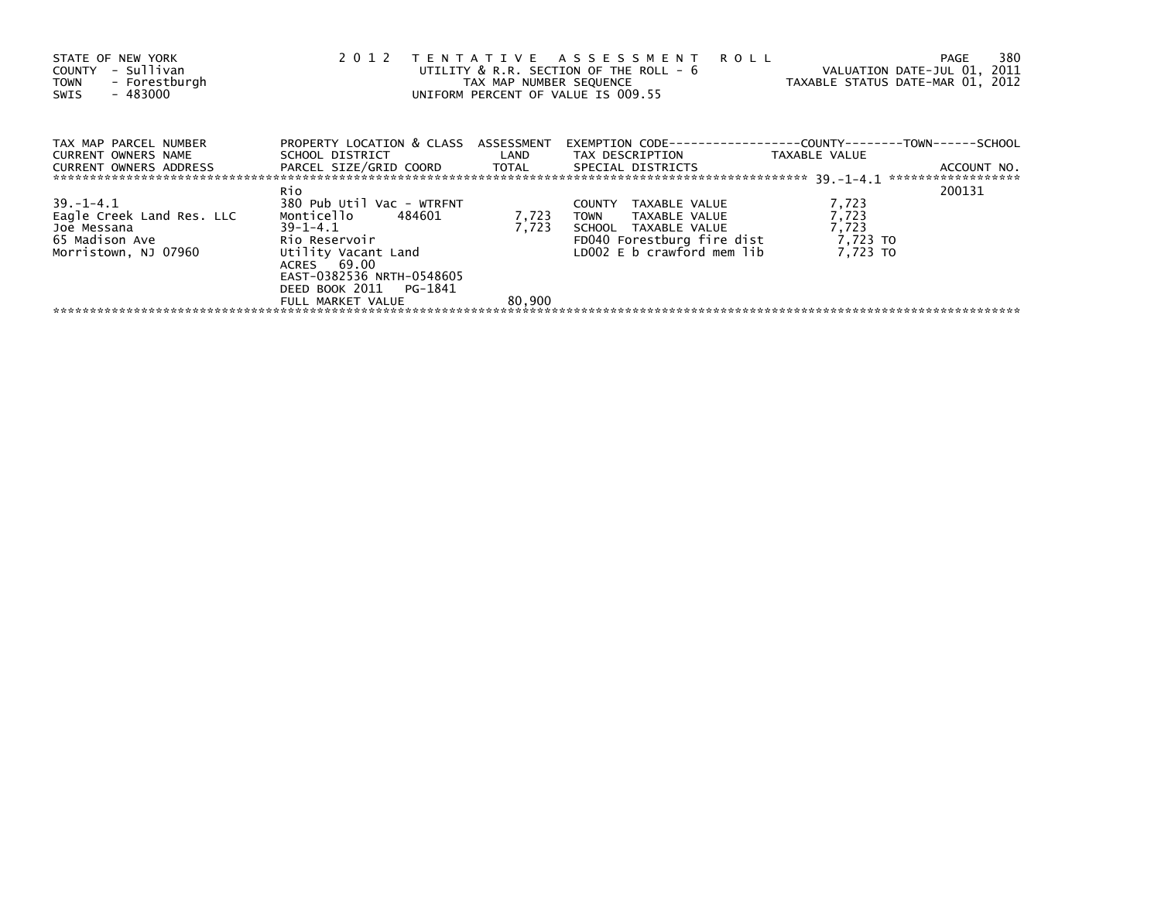| STATE OF NEW YORK<br>COUNTY - Sullivan<br>TOWN - Forestburgh<br>- 483000<br>SWIS | 2012                                                                                                          |        | TENTATIVE ASSESSMENT ROLL<br>UTILITY & R.R. SECTION OF THE ROLL - 6<br>TAX MAP NUMBER SEQUENCE TAXABLE STATUS DATE-MAR 01, 2012<br>UNIFORM PERCENT OF VALUE IS 009.55 | VALUATION DATE-JUL 01, 2011 | 380<br>PAGE |
|----------------------------------------------------------------------------------|---------------------------------------------------------------------------------------------------------------|--------|-----------------------------------------------------------------------------------------------------------------------------------------------------------------------|-----------------------------|-------------|
| TAX MAP PARCEL NUMBER<br>CURRENT OWNERS NAME                                     | PROPERTY LOCATION & CLASS ASSESSMENT                                                                          |        | SCHOOL DISTRICT                         LAND         TAX DESCRIPTION                   TAXABLE VALUE                                                                  |                             |             |
| CURRENT OWNERS ADDRESS                                                           | PARCEL SIZE/GRID COORD TOTAL SPECIAL DISTRICTS                                                                |        |                                                                                                                                                                       |                             | ACCOUNT NO. |
|                                                                                  | Rio                                                                                                           |        |                                                                                                                                                                       |                             | 200131      |
| 39.–1–4.1                                                                        | 380 Pub Util Vac - WTRFNT                                                                                     |        | COUNTY<br>TAXABLE VALUE                                                                                                                                               | 7,723                       |             |
| Eagle Creek Land Res. LLC                                                        | Monticello 484601                                                                                             | 7,723  | TOWN TAXABLE VALUE                                                                                                                                                    | 7,723                       |             |
| Joe Messana                                                                      | $39-1-4.1$                                                                                                    | 7,723  | SCHOOL TAXABLE VALUE                                                                                                                                                  | 7,723                       |             |
| 65 Madison Ave                                                                   |                                                                                                               |        | FD040 Forestburg fire dist $7,723$ TO                                                                                                                                 |                             |             |
| Morristown, NJ 07960                                                             | Rio Reservoir<br>Utility Vacant Land<br>ACRES 69.00<br>EAST-0382536 NRTH-0548605<br>DEED BOOK 2011    PG-1841 |        | LD002 E b crawford mem lib                                                                                                                                            | 7.723 TO                    |             |
|                                                                                  | FULL MARKET VALUE                                                                                             | 80,900 |                                                                                                                                                                       |                             |             |
|                                                                                  |                                                                                                               |        |                                                                                                                                                                       |                             |             |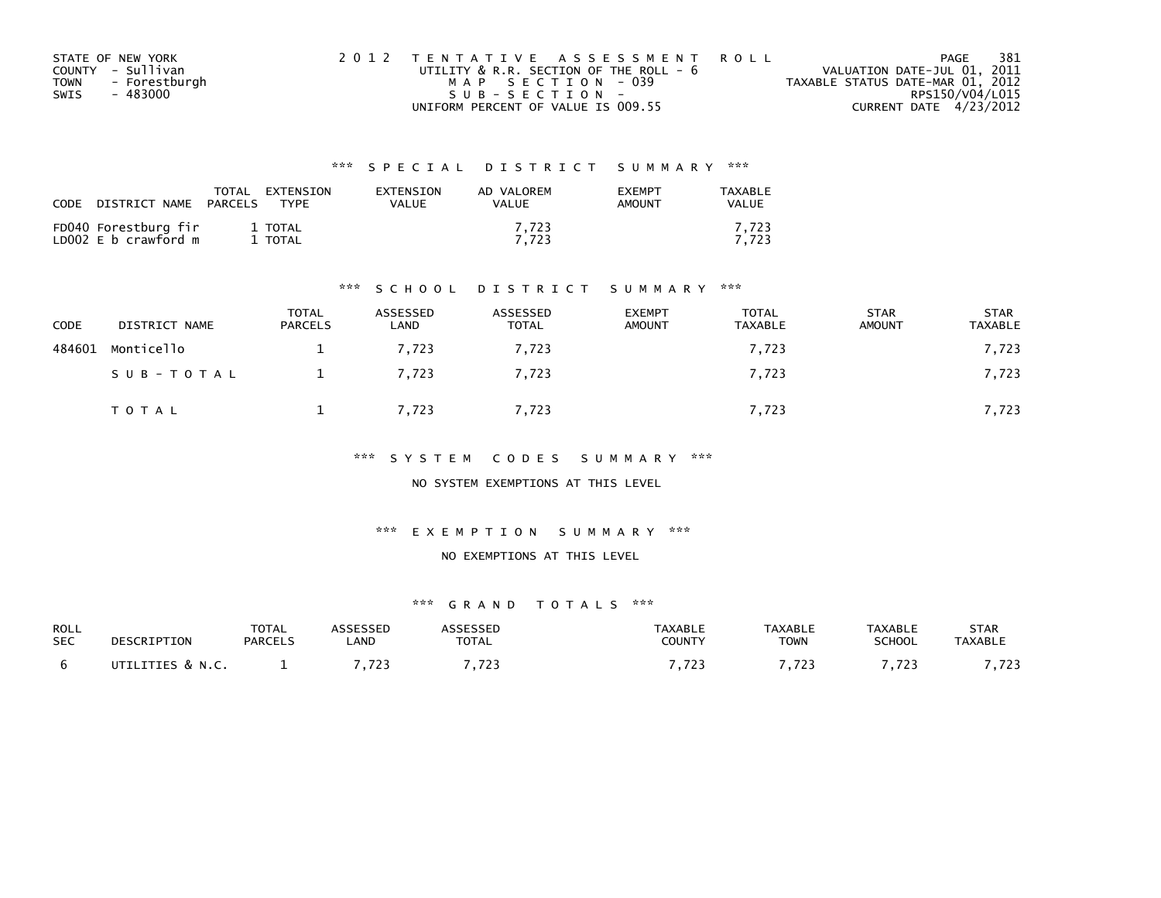| STATE OF NEW YORK            | 2012 TENTATIVE ASSESSMENT ROLL              | PAGE                             | 381 |
|------------------------------|---------------------------------------------|----------------------------------|-----|
| COUNTY - Sullivan            | UTILITY $\&$ R.R. SECTION OF THE ROLL - $6$ | VALUATION DATE-JUL 01, 2011      |     |
| - Forestburgh<br><b>TOWN</b> | MAP SECTION - 039                           | TAXABLE STATUS DATE-MAR 01, 2012 |     |
| - 483000<br>SWIS             | SUB-SECTION-                                | RPS150/V04/L015                  |     |
|                              | UNIFORM PERCENT OF VALUE IS 009.55          | CURRENT DATE 4/23/2012           |     |

| CODE<br>DISTRICT NAME                        | EXTENSION<br>TOTAL<br>PARCELS<br>TYPF | EXTENSION<br>VALUE | AD VALOREM<br>VALUE | <b>EXEMPT</b><br>AMOUNT | TAXABLE<br>VALUE |
|----------------------------------------------|---------------------------------------|--------------------|---------------------|-------------------------|------------------|
| FD040 Forestburg fir<br>LD002 E b crawford m | 1 TOTAL<br>TOTAL                      |                    | 7.723<br>7.723      |                         | 7.723<br>7.723   |

#### \*\*\* S C H O O L D I S T R I C T S U M M A R Y \*\*\*

| <b>CODE</b> | DISTRICT NAME | <b>TOTAL</b><br><b>PARCELS</b> | ASSESSED<br>LAND | ASSESSED<br><b>TOTAL</b> | <b>EXEMPT</b><br><b>AMOUNT</b> | <b>TOTAL</b><br><b>TAXABLE</b> | <b>STAR</b><br><b>AMOUNT</b> | <b>STAR</b><br><b>TAXABLE</b> |
|-------------|---------------|--------------------------------|------------------|--------------------------|--------------------------------|--------------------------------|------------------------------|-------------------------------|
| 484601      | Monticello    |                                | 7.723            | 7.723                    |                                | 7,723                          |                              | 7,723                         |
|             | SUB-TOTAL     |                                | 7,723            | 7,723                    |                                | 7,723                          |                              | 7,723                         |
|             | TOTAL         |                                | 7,723            | 7,723                    |                                | 7,723                          |                              | 7,723                         |

\*\*\* S Y S T E M C O D E S S U M M A R Y \*\*\*

NO SYSTEM EXEMPTIONS AT THIS LEVEL

\*\*\* E X E M P T I O N S U M M A R Y \*\*\*

#### NO EXEMPTIONS AT THIS LEVEL

| ROLL       | DESCRIPTION      | <b>TOTAL</b>   | <b>ASSESSED</b> | <b>ASSESSED</b> | <b>TAXABLE</b> | <b>TAXABLE</b> | <b>TAXABLE</b> | <b>STAR</b>    |
|------------|------------------|----------------|-----------------|-----------------|----------------|----------------|----------------|----------------|
| <b>SEC</b> |                  | <b>PARCELS</b> | LAND            | TOTAL           | COUNTY         | <b>TOWN</b>    | <b>SCHOOL</b>  | <b>TAXABLE</b> |
|            | UTILITIES & N.C. |                | 722<br>.        | 7.703<br>.      | -723<br>.      | - 702          | 722<br>ر ے ہیں | 702<br>,723    |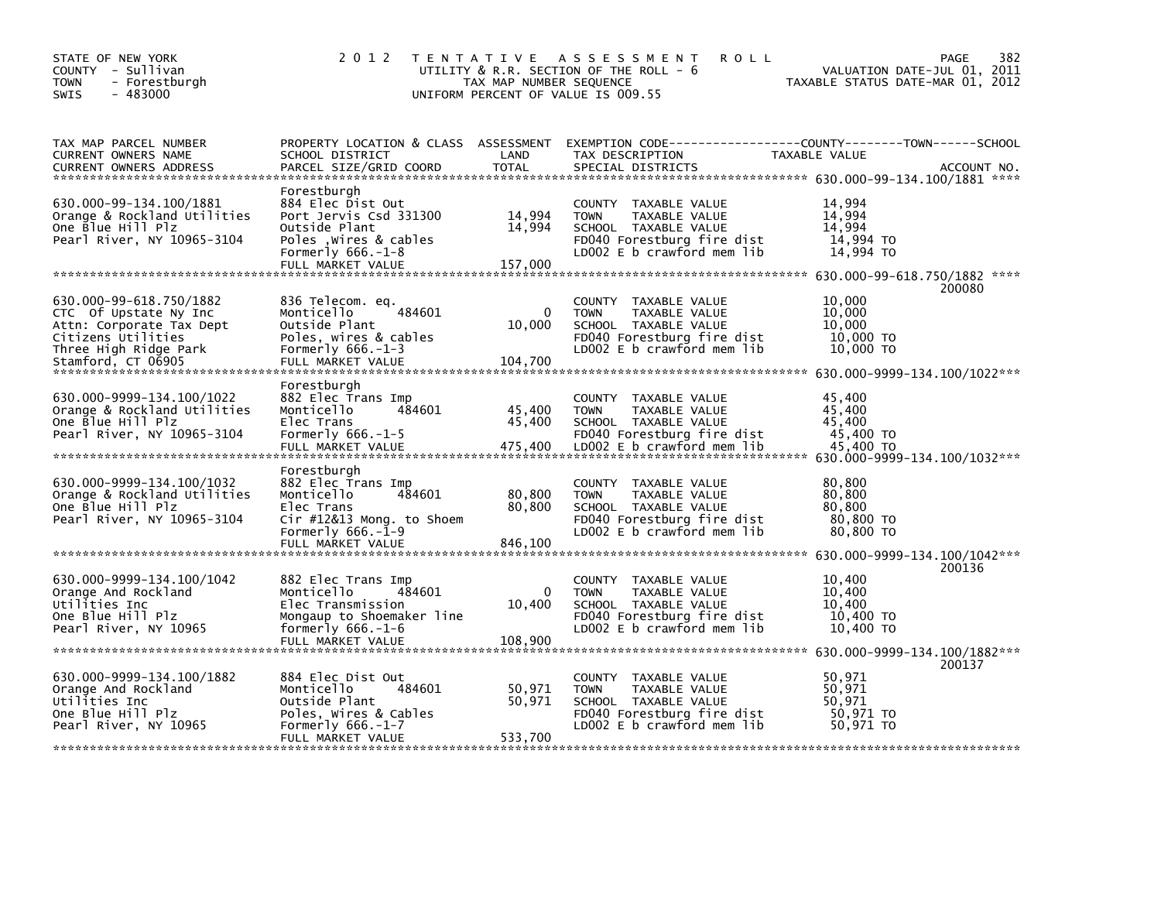| STATE OF NEW YORK<br>COUNTY - Sullivan<br><b>TOWN</b><br>- Forestburgh<br>$-483000$<br>SWIS                                                       | 2 0 1 2                                                                                                                                  | TAX MAP NUMBER SEQUENCE       | TENTATIVE ASSESSMENT<br><b>ROLL</b><br>UTILITY & R.R. SECTION OF THE ROLL - 6<br>UNIFORM PERCENT OF VALUE IS 009.55                                                                                                                                       | TAXABLE STATUS DATE-MAR 01, 2012                     | 382<br>PAGE<br>VALUATION DATE-JUL 01, 2011                                                                                |
|---------------------------------------------------------------------------------------------------------------------------------------------------|------------------------------------------------------------------------------------------------------------------------------------------|-------------------------------|-----------------------------------------------------------------------------------------------------------------------------------------------------------------------------------------------------------------------------------------------------------|------------------------------------------------------|---------------------------------------------------------------------------------------------------------------------------|
| TAX MAP PARCEL NUMBER<br>CURRENT OWNERS NAME<br><b>CURRENT OWNERS ADDRESS</b>                                                                     | SCHOOL DISTRICT<br>PARCEL SIZE/GRID COORD                                                                                                | LAND<br><b>TOTAL</b>          | PROPERTY LOCATION & CLASS ASSESSMENT EXEMPTION CODE----------------COUNTY-------TOWN------SCHOOL<br>TAX DESCRIPTION<br>SPECIAL DISTRICTS                                                                                                                  | TAXABLE VALUE                                        | ACCOUNT NO.                                                                                                               |
| 630.000-99-134.100/1881<br>Orange & Rockland Utilities<br>One Blue Hill Plz<br>Pearl River, NY 10965-3104                                         | Forestburgh<br>884 Elec Dist Out<br>Port Jervis Csd 331300<br>Outside Plant<br>Poles , wires & cables<br>Formerly $666.-1-8$             | 14,994<br>14,994              | COUNTY TAXABLE VALUE<br><b>TOWN</b><br>TAXABLE VALUE<br>SCHOOL TAXABLE VALUE<br>FD040 Forestburg fire dist<br>LD002 E b crawford mem lib                                                                                                                  | 14,994<br>14,994<br>14,994<br>14,994 TO<br>14,994 TO |                                                                                                                           |
|                                                                                                                                                   |                                                                                                                                          |                               |                                                                                                                                                                                                                                                           |                                                      | 200080                                                                                                                    |
| 630.000-99-618.750/1882<br>CTC Of Upstate Ny Inc<br>Attn: Corporate Tax Dept<br>Citizens Utilities<br>Three High Ridge Park<br>Stamford, CT 06905 | 836 Telecom. eq.<br>484601<br>Monticello<br>Outside Plant<br>Poles, wires & cables<br>Formerly $666.-1-3$<br>FULL MARKET VALUE           | 0<br>10,000<br>104,700        | COUNTY TAXABLE VALUE<br><b>TOWN</b><br>TAXABLE VALUE<br>SCHOOL TAXABLE VALUE<br>FD040 Forestburg fire dist<br>LD002 E b crawford mem lib                                                                                                                  | 10,000<br>10,000<br>10.000<br>10,000 TO<br>10,000 TO |                                                                                                                           |
|                                                                                                                                                   | Forestburgh                                                                                                                              |                               |                                                                                                                                                                                                                                                           |                                                      |                                                                                                                           |
| 630.000-9999-134.100/1022<br>Orange & Rockland Utilities<br>One Blue Hill Plz<br>Pearl River, NY 10965-3104                                       | 882 Elec Trans Imp<br>Monticello<br>484601<br>Elec Trans<br>Formerly $666.-1-5$<br>FULL MARKET VALUE                                     | 45,400<br>45,400<br>475,400   | COUNTY TAXABLE VALUE<br><b>TOWN</b><br>TAXABLE VALUE<br>SCHOOL TAXABLE VALUE<br>FD040 Forestburg fire dist<br>LD002 E b crawford mem lib                                                                                                                  | 45,400<br>45,400<br>45,400<br>45,400 TO<br>45,400 TO |                                                                                                                           |
|                                                                                                                                                   | Forestburgh                                                                                                                              |                               |                                                                                                                                                                                                                                                           |                                                      |                                                                                                                           |
| 630.000-9999-134.100/1032<br>Orange & Rockland Utilities<br>One Blue Hill Plz<br>Pearl River, NY 10965-3104                                       | 882 Elec Trans Imp<br>Monticello<br>484601<br>Elec Trans<br>Cir #12&13 Mong. to Shoem<br>Formerly $666.-1-9$                             | 80,800<br>80,800              | COUNTY TAXABLE VALUE<br>TAXABLE VALUE<br><b>TOWN</b><br>SCHOOL TAXABLE VALUE<br>FD040 Forestburg fire dist<br>LD002 E b crawford mem lib                                                                                                                  | 80,800<br>80,800<br>80,800<br>80,800 TO<br>80,800 TO |                                                                                                                           |
| **********************************                                                                                                                | FULL MARKET VALUE                                                                                                                        | 846,100                       |                                                                                                                                                                                                                                                           |                                                      |                                                                                                                           |
| 630.000-9999-134.100/1042<br>Orange And Rockland<br>Utilities Inc<br>One Blue Hill Plz<br>Pearl River, NY 10965                                   | 882 Elec Trans Imp<br>Monticello<br>484601<br>Elec Transmission<br>Mongaup to Shoemaker line<br>formerly $666.-1-6$<br>FULL MARKET VALUE | $\Omega$<br>10,400<br>108,900 | COUNTY TAXABLE VALUE<br>TAXABLE VALUE<br><b>TOWN</b><br>SCHOOL TAXABLE VALUE<br>FD040 Forestburg fire dist<br>LD002 E b crawford mem lib                                                                                                                  | 10,400<br>10,400<br>10,400<br>10,400 TO<br>10,400 TO | 200136                                                                                                                    |
|                                                                                                                                                   |                                                                                                                                          |                               |                                                                                                                                                                                                                                                           |                                                      |                                                                                                                           |
| 630.000-9999-134.100/1882<br>Orange And Rockland<br>Utilities Inc<br>One Blue Hill Plz<br>Pearl River, NY 10965                                   | 884 Elec Dist Out<br>Monticello<br>484601<br>Outside Plant<br>Poles, Wires & Cables<br>Formerly $666. -1 - 7$<br>FULL MARKET VALUE       | 50,971<br>50,971<br>533,700   | COUNTY TAXABLE VALUE<br>TAXABLE VALUE<br><b>TOWN</b><br>SCHOOL TAXABLE VALUE<br>FD040 Forestburg fire dist<br>LD002 E b crawford mem lib<br>ا میں ایک میں ایک میں ایک میں ایک میں ایک میں ایک میں ایک میں ایک میں ایک میں ایک میں ایک میں ایک میں ایک میں | 50,971<br>50,971<br>50,971<br>50,971 TO<br>50.971 TO | 200137<br>واید مراہد مراہد مراہد مراہد مراہد مراہد مراہد مراہد مراہد مراہد مراہد مراہد مراہد مراہد مراہد مراہد مراہد مراہ |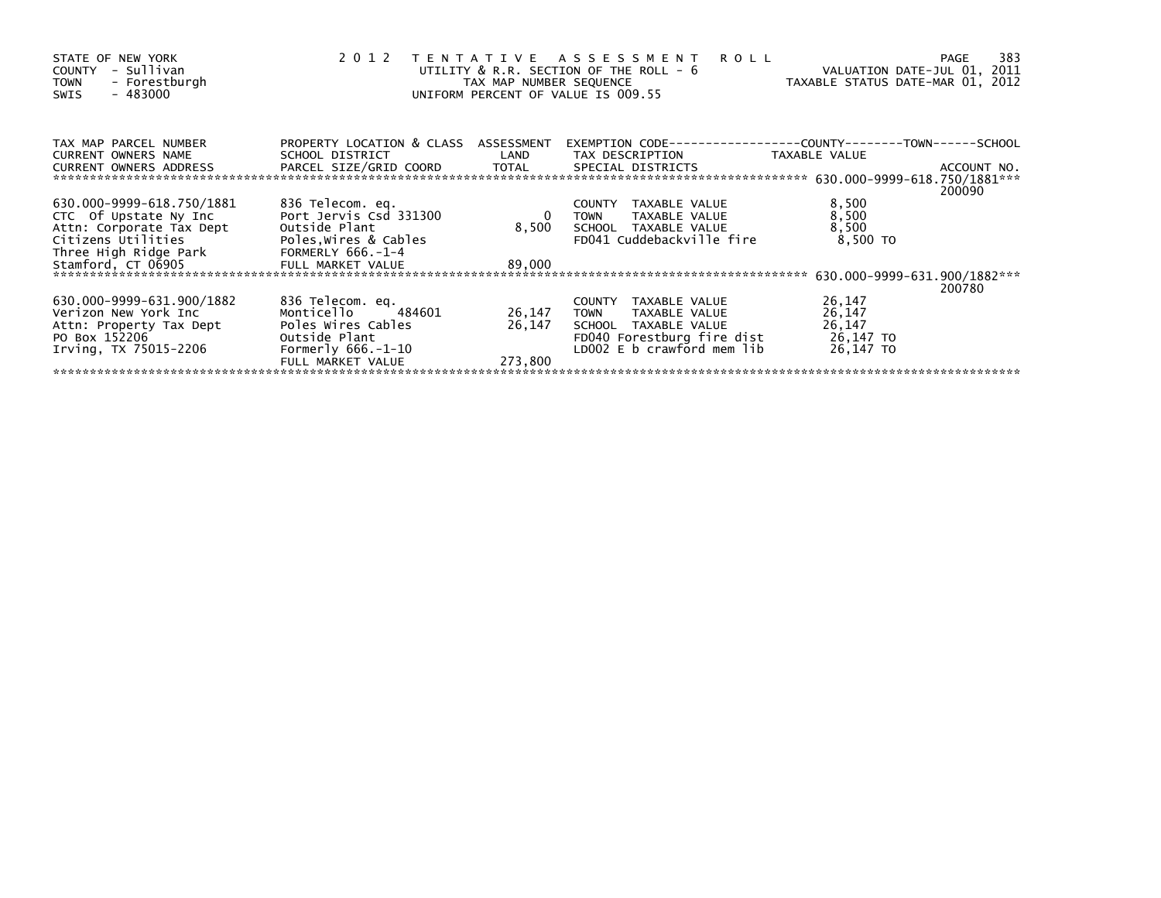| STATE OF NEW YORK<br>COUNTY - Sullivan<br>- Forestburgh<br><b>TOWN</b><br>$-483000$<br>SWIS                                | 2012                                                    | TAX MAP NUMBER SEQUENCE | TENTATIVE ASSESSMENT<br><b>ROLL</b><br>UTILITY & R.R. SECTION OF THE ROLL - 6<br>UNIFORM PERCENT OF VALUE IS 009.55 | VALUATION DATE-JUL 01, 2011<br>TAXABLE STATUS DATE-MAR 01, 2012 | 383<br>PAGE |
|----------------------------------------------------------------------------------------------------------------------------|---------------------------------------------------------|-------------------------|---------------------------------------------------------------------------------------------------------------------|-----------------------------------------------------------------|-------------|
| TAX MAP PARCEL NUMBER<br>CURRENT OWNERS NAME                                                                               | PROPERTY LOCATION & CLASS ASSESSMENT<br>SCHOOL DISTRICT | LAND                    | TAX DESCRIPTION                                                                                                     | TAXABLE VALUE                                                   |             |
| .CURRENT OWNERS ADDRESS PARCEL SIZE/GRID COORD TOTAL SPECIAL DISTRICTS 650.000-9999-618.750/1881<br>CURRENT OWNERS ADDRESS |                                                         |                         |                                                                                                                     |                                                                 | 200090      |
| 630.000-9999-618.750/1881                                                                                                  | 836 Telecom. eq.                                        |                         | TAXABLE VALUE<br>COUNTY                                                                                             | 8,500                                                           |             |
| CTC Of Upstate Ny Inc                                                                                                      | Port Jervis Csd 331300                                  | $\mathbf 0$             | TAXABLE VALUE<br>TOWN                                                                                               | 8,500                                                           |             |
| Attn: Corporate Tax Dept                                                                                                   | Outside Plant                                           | 8,500                   | SCHOOL TAXABLE VALUE                                                                                                | 8,500                                                           |             |
| Citizens Utilities                                                                                                         | Poles, Wires & Cables                                   |                         | FD041 Cuddebackville fire                                                                                           | 8,500 TO                                                        |             |
| Three High Ridge Park                                                                                                      | FORMERLY 666.-1-4                                       |                         |                                                                                                                     |                                                                 |             |
| Stamford, CT 06905                                                                                                         | FULL MARKET VALUE                                       | 89,000                  |                                                                                                                     |                                                                 |             |
|                                                                                                                            |                                                         |                         |                                                                                                                     | 630.000-9999-631.900/1882***                                    | 200780      |
| 630.000-9999-631.900/1882                                                                                                  | 836 Telecom. eq.                                        |                         | COUNTY TAXABLE VALUE                                                                                                | 26,147                                                          |             |
| Verizon New York Inc                                                                                                       | Monticello<br>484601                                    | 26,147                  | <b>TOWN</b><br>TAXABLE VALUE                                                                                        | 26,147                                                          |             |
| Attn: Property Tax Dept                                                                                                    | Poles Wires Cables                                      | 26,147                  | SCHOOL TAXABLE VALUE                                                                                                | 26,147                                                          |             |
| PO Box 152206                                                                                                              | Outside Plant                                           |                         | FD040 Forestburg fire dist                                                                                          | 26,147 TO                                                       |             |
| Irving, TX 75015-2206                                                                                                      | Formerly $666.-1-10$                                    |                         | LD002 E b crawford mem lib                                                                                          | 26,147 TO                                                       |             |
|                                                                                                                            | FULL MARKET VALUE                                       | 273.800                 |                                                                                                                     |                                                                 |             |
|                                                                                                                            |                                                         |                         |                                                                                                                     |                                                                 |             |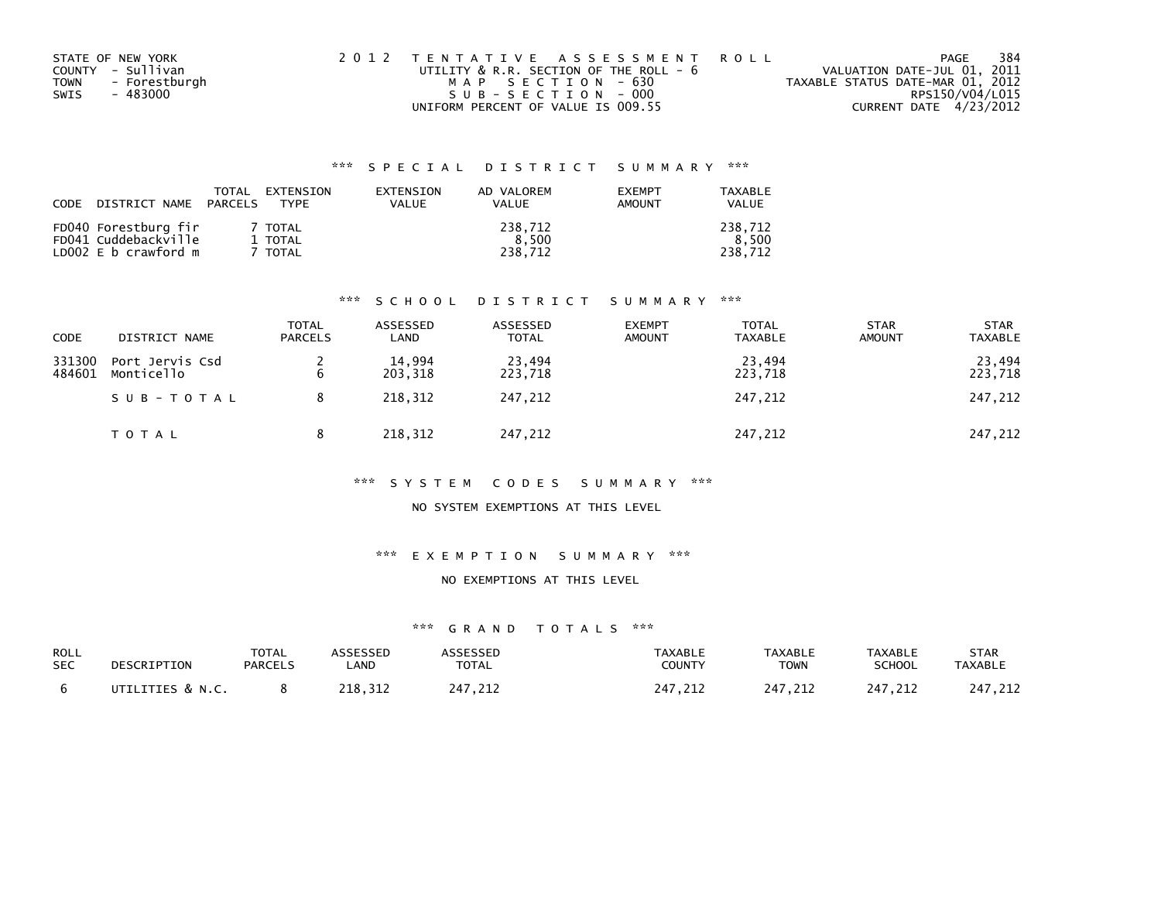| STATE OF NEW YORK     | 2012 TENTATIVE ASSESSMENT ROLL         | PAGE                             | 384 |
|-----------------------|----------------------------------------|----------------------------------|-----|
| COUNTY - Sullivan     | UTILITY & R.R. SECTION OF THE ROLL - 6 | VALUATION DATE-JUL 01, 2011      |     |
| - Forestburgh<br>TOWN | MAP SECTION - 630                      | TAXABLE STATUS DATE-MAR 01, 2012 |     |
| - 483000<br>SWIS      | SUB-SECTION - 000                      | RPS150/V04/L015                  |     |
|                       | UNIFORM PERCENT OF VALUE IS 009.55     | CURRENT DATE 4/23/2012           |     |

| CODE | DISTRICT NAME                                                        | <b>TOTAL</b><br>PARCELS | EXTENSION<br><b>TYPF</b>      | EXTENSION<br>VALUE | AD VALOREM<br><b>VALUE</b>  | <b>EXEMPT</b><br><b>AMOUNT</b> | <b>TAXABLE</b><br><b>VALUE</b> |
|------|----------------------------------------------------------------------|-------------------------|-------------------------------|--------------------|-----------------------------|--------------------------------|--------------------------------|
|      | FD040 Forestburg fir<br>FD041 Cuddebackville<br>LD002 E b crawford m |                         | 7 TOTAL<br>1 TOTAL<br>' TOTAL |                    | 238,712<br>8.500<br>238.712 |                                | 238.712<br>8.500<br>238.712    |

### \*\*\* S C H O O L D I S T R I C T S U M M A R Y \*\*\*

| CODE             | DISTRICT NAME                 | <b>TOTAL</b><br><b>PARCELS</b> | ASSESSED<br>LAND  | ASSESSED<br><b>TOTAL</b> | <b>EXEMPT</b><br><b>AMOUNT</b> | TOTAL<br><b>TAXABLE</b> | <b>STAR</b><br><b>AMOUNT</b> | <b>STAR</b><br><b>TAXABLE</b> |
|------------------|-------------------------------|--------------------------------|-------------------|--------------------------|--------------------------------|-------------------------|------------------------------|-------------------------------|
| 331300<br>484601 | Port Jervis Csd<br>Monticello | 6                              | 14,994<br>203,318 | 23,494<br>223,718        |                                | 23,494<br>223,718       |                              | 23,494<br>223,718             |
|                  | SUB-TOTAL                     |                                | 218.312           | 247,212                  |                                | 247,212                 |                              | 247,212                       |
|                  | TOTAL                         |                                | 218,312           | 247,212                  |                                | 247,212                 |                              | 247,212                       |

#### \*\*\* S Y S T E M C O D E S S U M M A R Y \*\*\*

### NO SYSTEM EXEMPTIONS AT THIS LEVEL

#### \*\*\* E X E M P T I O N S U M M A R Y \*\*\*

#### NO EXEMPTIONS AT THIS LEVEL

| ROLL       | DESCRIPTION      | TOTAL          | <b>ASSESSED</b> | <b>ASSESSED</b> | TAXABLE       | <b>TAXABLE</b> | <b>TAXABLE</b> | <b>STAR</b>    |
|------------|------------------|----------------|-----------------|-----------------|---------------|----------------|----------------|----------------|
| <b>SEC</b> |                  | <b>PARCELS</b> | .AND            | <b>TOTAL</b>    | <b>COUNTY</b> | <b>TOWN</b>    | <b>SCHOOL</b>  | <b>TAXABLE</b> |
|            | UTILITIES & N.C. |                | 218.312         | 247,212         | 247,212       | 247.212        | 247.212        | 247,212        |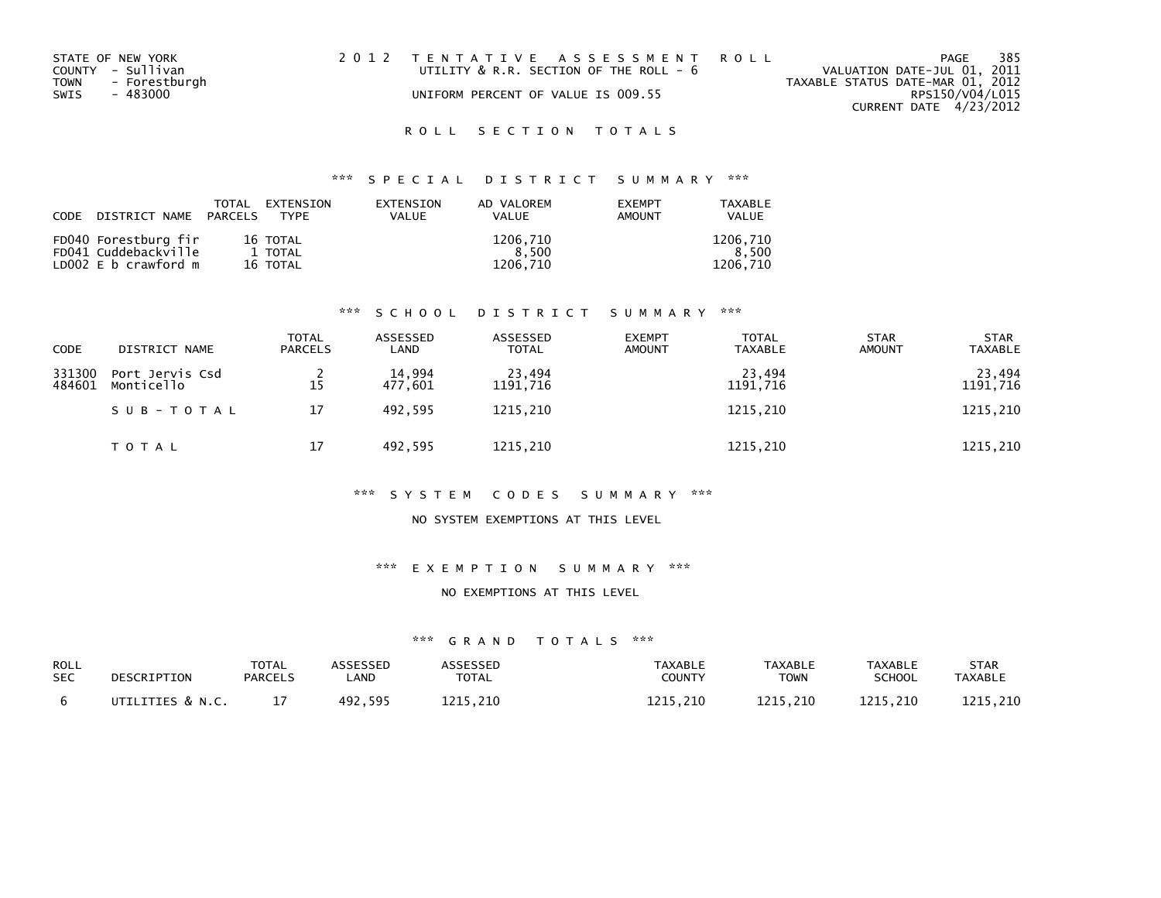| STATE OF NEW YORK     | 2012 TENTATIVE ASSESSMENT ROLL         | 385<br>PAGE                      |
|-----------------------|----------------------------------------|----------------------------------|
| COUNTY - Sullivan     | UTILITY & R.R. SECTION OF THE ROLL - 6 | VALUATION DATE-JUL 01, 2011      |
| TOWN<br>- Forestburgh |                                        | TAXABLE STATUS DATE-MAR 01, 2012 |
| SWIS<br>- 483000      | UNIFORM PERCENT OF VALUE IS 009.55     | RPS150/V04/L015                  |
|                       |                                        | CURRENT DATE 4/23/2012           |

## \*\*\* S P E C I A L D I S T R I C T S U M M A R Y \*\*\*

| CODE DISTRICT NAME PARCELS TYPE | TOTAL | EXTENSION | <b>FXTENSTON</b><br><b>VALUE</b> | AD VALOREM<br>VALUE | <b>FXFMPT</b><br><b>AMOUNT</b> | TAXABLE<br>VALUE |
|---------------------------------|-------|-----------|----------------------------------|---------------------|--------------------------------|------------------|
| FD040 Forestburg fir            |       | 16 TOTAL  |                                  | 1206.710            |                                | 1206.710         |
| FD041 Cuddebackville            |       | 1 TOTAL   |                                  | 8.500               |                                | 8.500            |
| LD $002 \, E$ b crawford m      |       | 16 TOTAL  |                                  | 1206.710            |                                | 1206.710         |

### \*\*\* S C H O O L D I S T R I C T S U M M A R Y \*\*\*

| <b>CODE</b>      | DISTRICT NAME                 | TOTAL<br><b>PARCELS</b> | ASSESSED<br>LAND  | ASSESSED<br><b>TOTAL</b> | <b>EXEMPT</b><br><b>AMOUNT</b> | <b>TOTAL</b><br><b>TAXABLE</b> | <b>STAR</b><br><b>AMOUNT</b> | <b>STAR</b><br><b>TAXABLE</b> |
|------------------|-------------------------------|-------------------------|-------------------|--------------------------|--------------------------------|--------------------------------|------------------------------|-------------------------------|
| 331300<br>484601 | Port Jervis Csd<br>Monticello | 15                      | 14,994<br>477,601 | 23,494<br>1191,716       |                                | 23,494<br>1191,716             |                              | 23,494<br>1191,716            |
|                  | SUB-TOTAL                     | 17                      | 492.595           | 1215,210                 |                                | 1215,210                       |                              | 1215,210                      |
|                  | TOTAL                         | 17                      | 492,595           | 1215,210                 |                                | 1215,210                       |                              | 1215,210                      |

#### \*\*\* S Y S T E M C O D E S S U M M A R Y \*\*\*

#### NO SYSTEM EXEMPTIONS AT THIS LEVEL

## \*\*\* E X E M P T I O N S U M M A R Y \*\*\*

#### NO EXEMPTIONS AT THIS LEVEL

| ROLL       | DESCRIPTION      | TOTAL          | ASSESSED | ASSESSED     | TAXABLE  | <b>TAXABLE</b> | <b>TAXABLE</b> | STAR     |
|------------|------------------|----------------|----------|--------------|----------|----------------|----------------|----------|
| <b>SEC</b> |                  | <b>PARCELS</b> | _AND     | <b>TOTAL</b> | COUNTY   | <b>TOWN</b>    | <b>SCHOOL</b>  | TAXABLE  |
|            | UTILITIES & N.C. |                | 492.595  | 1215.210     | 1215.210 | 1215.210       | 1215.210       | 1215.210 |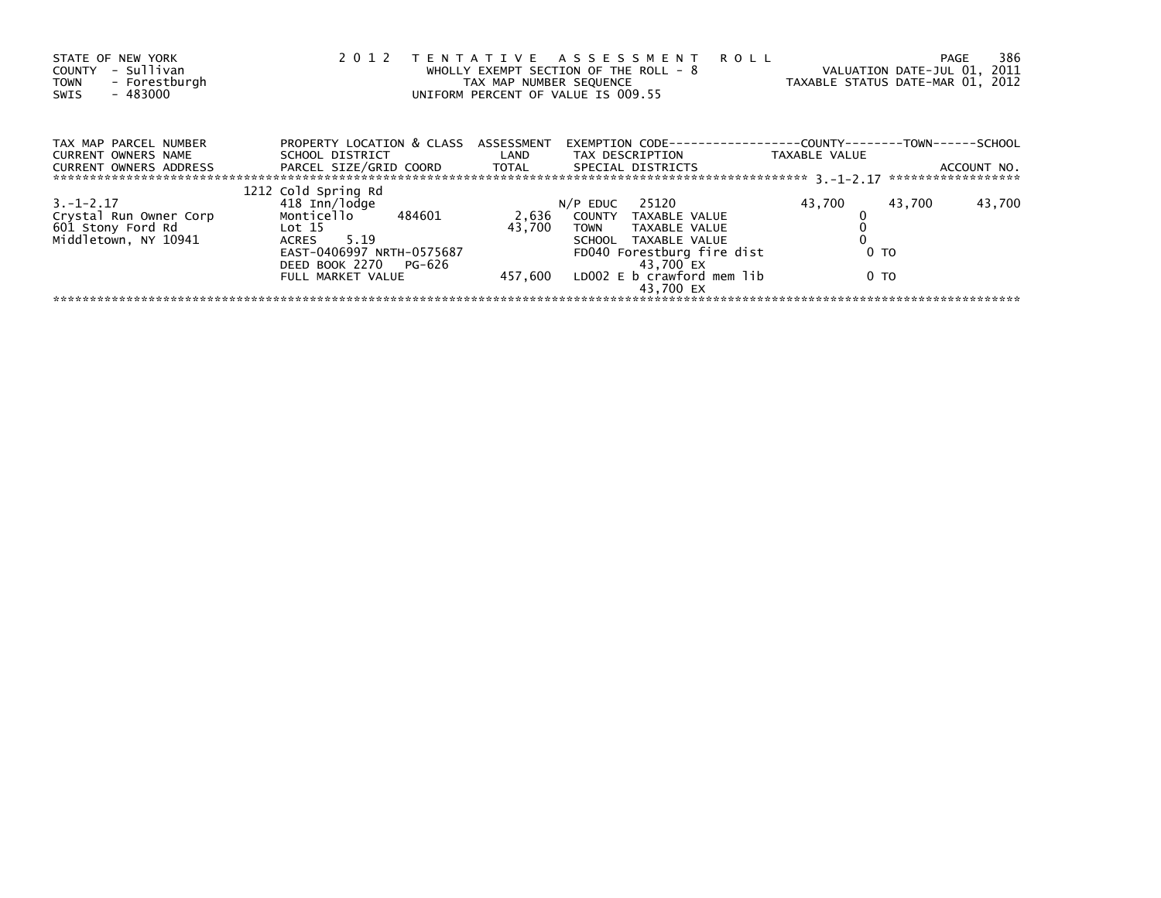| STATE OF NEW YORK<br>- Sullivan<br>COUNTY<br>- Forestburgh<br><b>TOWN</b><br>$-483000$<br>SWIS | 2 0 1 2                                                 | TAX MAP NUMBER SEQUENCE         | TENTATIVE ASSESSMENT ROLL<br>WHOLLY EXEMPT SECTION OF THE ROLL - 8<br>UNIFORM PERCENT OF VALUE IS 009.55 | VALUATION DATE-JUL 01, 2011<br>TAXABLE STATUS DATE-MAR 01, 2012 | 386<br>PAGE                       |
|------------------------------------------------------------------------------------------------|---------------------------------------------------------|---------------------------------|----------------------------------------------------------------------------------------------------------|-----------------------------------------------------------------|-----------------------------------|
| TAX MAP PARCEL NUMBER<br><b>CURRENT OWNERS NAME</b>                                            | PROPERTY LOCATION & CLASS ASSESSMENT<br>SCHOOL DISTRICT | <b>Example 18 Decision CAND</b> | EXEMPTION CODE---<br>TAX DESCRIPTION                                                                     | --------------COUNTY--------TOWN------SCHOOL<br>TAXABLE VALUE   |                                   |
| <b>CURRENT OWNERS ADDRESS</b>                                                                  | PARCEL SIZE/GRID COORD TOTAL                            |                                 | SPECIAL DISTRICTS                                                                                        |                                                                 | ACCOUNT NO.<br>****************** |
|                                                                                                | 1212 Cold Spring Rd                                     |                                 |                                                                                                          |                                                                 |                                   |
| $3. -1 - 2.17$                                                                                 | 418 Inn/lodge                                           |                                 | $N/P$ EDUC 25120                                                                                         | 43,700<br>43,700                                                | 43,700                            |
| Crystal Run Owner Corp                                                                         | Monticello 484601<br>Lot 15                             | 2,636<br>43.700                 | COUNTY TAXABLE VALUE                                                                                     |                                                                 |                                   |
| 601 Stony Ford Rd<br>Middletown, NY 10941                                                      | ACRES 5.19                                              |                                 | TAXABLE VALUE<br>TOWN<br>SCHOOL TAXABLE VALUE                                                            |                                                                 |                                   |
|                                                                                                | EAST-0406997 NRTH-0575687<br>DEED BOOK 2270 PG-626      |                                 | FD040 Forestburg fire dist<br>43.700 EX                                                                  | 0 TO                                                            |                                   |
|                                                                                                | FULL MARKET VALUE                                       | 457,600                         | LDOO2 E b crawford mem lib<br>43.700 EX                                                                  | 0 TO                                                            |                                   |
|                                                                                                |                                                         |                                 |                                                                                                          |                                                                 |                                   |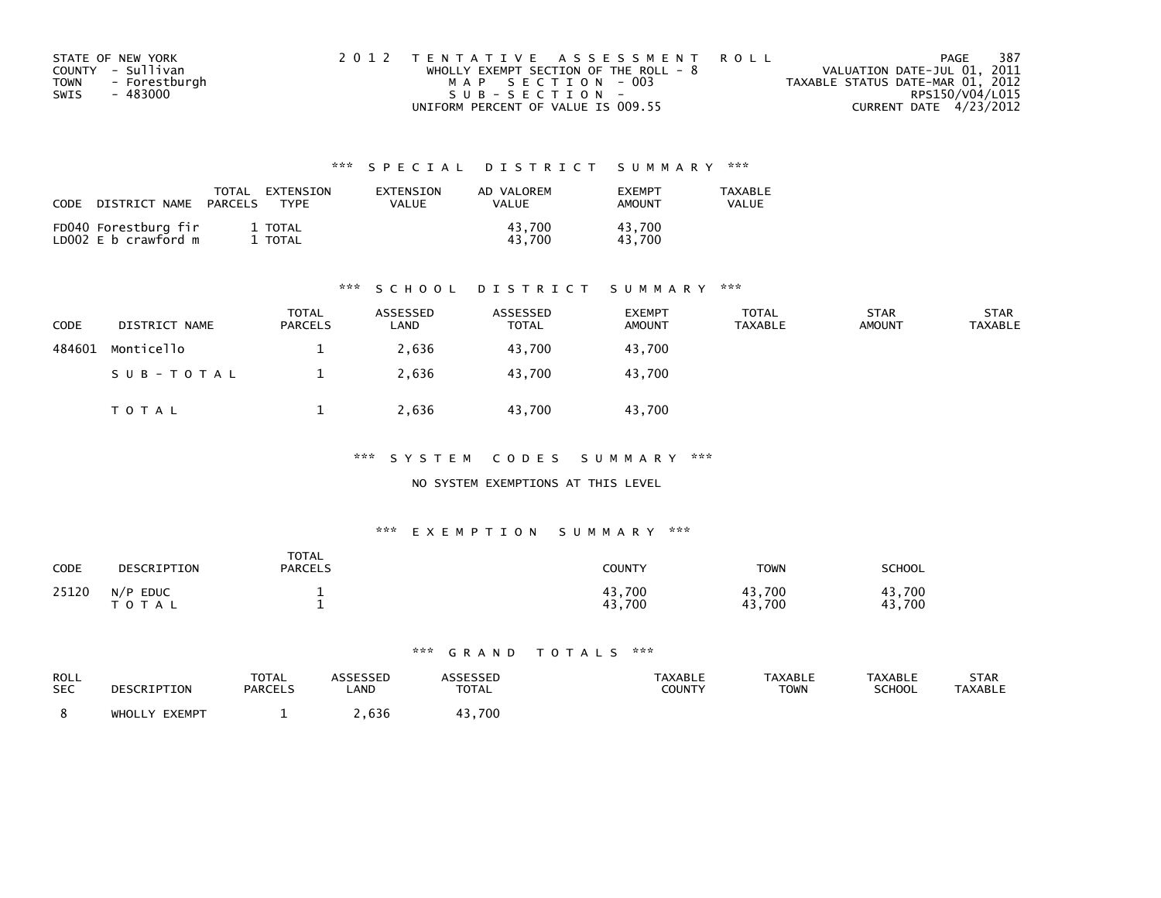| STATE OF NEW YORK            | 2012 TENTATIVE ASSESSMENT ROLL          | PAGE                             | - 387           |
|------------------------------|-----------------------------------------|----------------------------------|-----------------|
| COUNTY - Sullivan            | WHOLLY EXEMPT SECTION OF THE ROLL - $8$ | VALUATION DATE-JUL 01, 2011      |                 |
| <b>TOWN</b><br>- Forestburgh | MAP SECTION - 003                       | TAXABLE STATUS DATE-MAR 01, 2012 |                 |
| SWIS<br>- 483000             | SUB-SECTION-                            |                                  | RPS150/V04/L015 |
|                              | UNIFORM PERCENT OF VALUE IS 009.55      | CURRENT DATE 4/23/2012           |                 |

| CODE | DISTRICT NAME                                | TOTAL<br>PARCELS | EXTENSION<br><b>TYPF</b> | EXTENSION<br>VALUE | AD VALOREM<br>VALUE | <b>FXFMPT</b><br><b>AMOUNT</b> | <b>TAXABLE</b><br>VALUE |
|------|----------------------------------------------|------------------|--------------------------|--------------------|---------------------|--------------------------------|-------------------------|
|      | FD040 Forestburg fir<br>LD002 E b crawford m |                  | 1 TOTAL<br>TOTAL         |                    | 43.700<br>43.700    | 43.700<br>43.700               |                         |

#### \*\*\* S C H O O L D I S T R I C T S U M M A R Y \*\*\*

| CODE   | DISTRICT NAME | <b>TOTAL</b><br><b>PARCELS</b> | ASSESSED<br>∟AND | ASSESSED<br><b>TOTAL</b> | <b>EXEMPT</b><br><b>AMOUNT</b> | <b>TOTAL</b><br>TAXABLE | <b>STAR</b><br><b>AMOUNT</b> | <b>STAR</b><br><b>TAXABLE</b> |
|--------|---------------|--------------------------------|------------------|--------------------------|--------------------------------|-------------------------|------------------------------|-------------------------------|
| 484601 | Monticello    |                                | 2,636            | 43.700                   | 43,700                         |                         |                              |                               |
|        | SUB-TOTAL     |                                | 2,636            | 43.700                   | 43.700                         |                         |                              |                               |
|        | TOTAL         |                                | 2,636            | 43,700                   | 43,700                         |                         |                              |                               |

\*\*\* S Y S T E M C O D E S S U M M A R Y \*\*\*

#### NO SYSTEM EXEMPTIONS AT THIS LEVEL

#### \*\*\* E X E M P T I O N S U M M A R Y \*\*\*

| CODE  | DESCRIPTION             | <b>TOTAL</b><br><b>PARCELS</b> | <b>COUNTY</b>    | <b>TOWN</b>      | SCHOOL           |
|-------|-------------------------|--------------------------------|------------------|------------------|------------------|
| 25120 | $N/P$ EDUC<br>T O T A L |                                | 43,700<br>43,700 | 43,700<br>43,700 | 43.700<br>43,700 |

| ROLL       | DESCRIPTION   | TOTAL   | ASSESSED | <b>ASSESSED</b> | <b>TAXABLE</b> | <b>TAXABLE</b> | TAXABLE       | STAR           |
|------------|---------------|---------|----------|-----------------|----------------|----------------|---------------|----------------|
| <b>SEC</b> |               | PARCELS | LAND     | <b>TOTAL</b>    | COUNTY         | <b>TOWN</b>    | <b>SCHOOL</b> | <b>TAXABLE</b> |
|            | WHOLLY EXEMPT |         | .636     | 43.700          |                |                |               |                |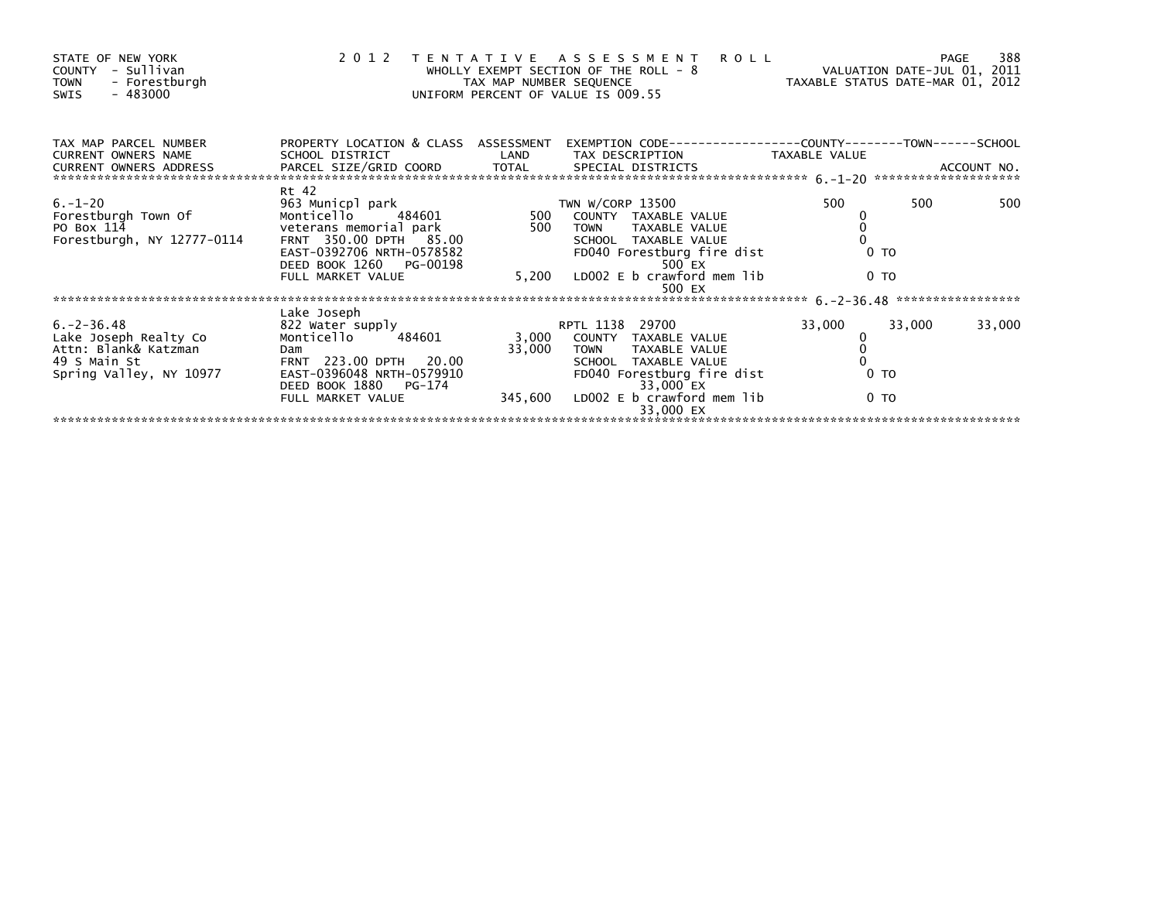| STATE OF NEW YORK<br>COUNTY - Sullivan<br>- Forestburgh<br><b>TOWN</b><br>$-483000$<br>SWIS |                                                         |        | 2012 TENTATIVE ASSESSMENT ROLL<br>E N T A T I V E A 3 3 L J 3  - 8<br>WHOLLY EXEMPT SECTION OF THE ROLL - 8 TAXABLE STATUS DATE-MAR 01, 2012<br>UNIFORM PERCENT OF VALUE IS 009.55 |               |                | 388<br>PAGE |
|---------------------------------------------------------------------------------------------|---------------------------------------------------------|--------|------------------------------------------------------------------------------------------------------------------------------------------------------------------------------------|---------------|----------------|-------------|
| TAX MAP PARCEL NUMBER<br><b>CURRENT OWNERS NAME</b><br>CURRENT OWNERS ADDRESS               | PROPERTY LOCATION & CLASS ASSESSMENT<br>SCHOOL DISTRICT | LAND   | EXEMPTION        CODE-----------------COUNTY-------TOWN------SCHOOL<br>TAX DESCRIPTION                                                                                             | TAXABLE VALUE |                |             |
|                                                                                             |                                                         |        |                                                                                                                                                                                    |               |                |             |
| Forestburgh Town Of The Monticello<br>PO Box 114                                            | Rt 42                                                   | 500    | TWN W/CORP 13500                                                                                                                                                                   |               | 500<br>500     | 500         |
|                                                                                             | Monticello 484601<br>veterans memorial park             |        | COUNTY TAXABLE VALUE<br>500 TOWN TAXABLE VALUE                                                                                                                                     |               |                |             |
| Forestburgh, NY 12777-0114                                                                  | FRNT 350.00 DPTH 85.00                                  |        | SCHOOL TAXABLE VALUE                                                                                                                                                               |               |                |             |
|                                                                                             | EAST-0392706 NRTH-0578582<br>DEED BOOK 1260 PG-00198    |        | FD040 Forestburg fire dist<br>500 EX                                                                                                                                               |               | 0 <sub>T</sub> |             |
|                                                                                             | FULL MARKET VALUE                                       |        | 5,200 LD002 E b crawford mem lib<br>500 EX                                                                                                                                         |               | 0 <sub>T</sub> |             |
|                                                                                             |                                                         |        |                                                                                                                                                                                    |               |                |             |
| $6. - 2 - 36.48$                                                                            | Lake Joseph<br>822 Water supply                         |        | RPTL 1138 29700                                                                                                                                                                    | 33,000        | 33,000         | 33,000      |
| Lake Joseph Realty Co                                                                       | Monticello 484601                                       | 3,000  | COUNTY TAXABLE VALUE                                                                                                                                                               |               | 0              |             |
| Attn: Blank& Katzman                                                                        | Dam                                                     | 33,000 | <b>TOWN</b><br>TAXABLE VALUE                                                                                                                                                       |               |                |             |
| 49 S Main St                                                                                | FRNT 223.00 DPTH 20.00                                  |        | SCHOOL TAXABLE VALUE                                                                                                                                                               |               |                |             |
| Spring Valley, NY 10977                                                                     | EAST-0396048 NRTH-0579910<br>DEED BOOK 1880 PG-174      |        | FD040 Forestburg fire dist<br>33,000 EX                                                                                                                                            |               | 0 <sub>T</sub> |             |
|                                                                                             | FULL MARKET VALUE                                       |        | $345,600$ LD002 E b crawford mem lib<br>33,000 EX                                                                                                                                  |               | 0 TO           |             |
|                                                                                             |                                                         |        |                                                                                                                                                                                    |               |                |             |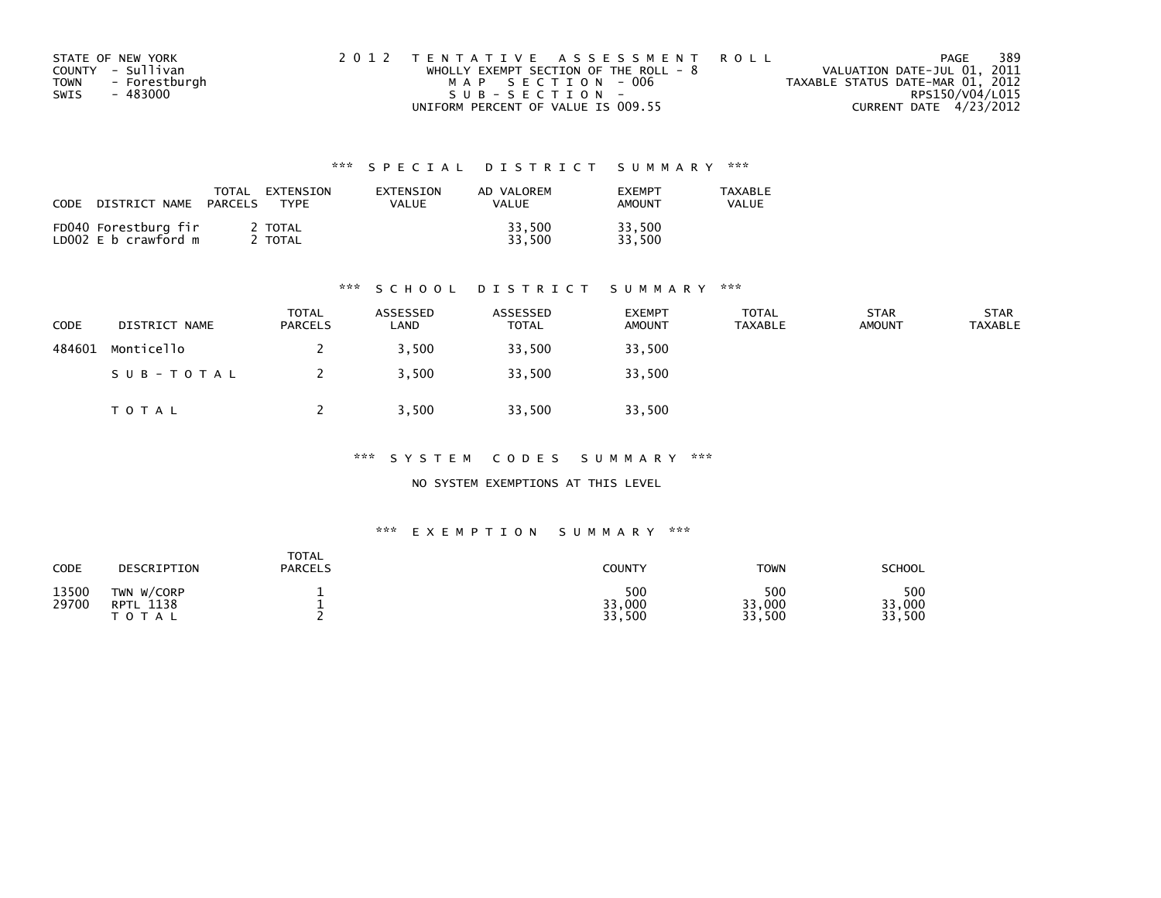| STATE OF NEW YORK            | 2012 TENTATIVE ASSESSMENT ROLL          | PAGE                             | 389             |
|------------------------------|-----------------------------------------|----------------------------------|-----------------|
| COUNTY - Sullivan            | WHOLLY EXEMPT SECTION OF THE ROLL - $8$ | VALUATION DATE-JUL 01, 2011      |                 |
| <b>TOWN</b><br>- Forestburgh | MAP SECTION - 006                       | TAXABLE STATUS DATE-MAR 01, 2012 |                 |
| SWIS<br>- 483000             | SUB-SECTION-                            |                                  | RPS150/V04/L015 |
|                              | UNIFORM PERCENT OF VALUE IS 009.55      | CURRENT DATE 4/23/2012           |                 |

| CODE<br>DISTRICT NAME                        | TOTAL<br>EXTENSION<br><b>TYPF</b><br>PARCELS | EXTENSION<br>VALUE | AD VALOREM<br>VALUE | <b>FXFMPT</b><br><b>AMOUNT</b> | <b>TAXABLE</b><br>VALUE |
|----------------------------------------------|----------------------------------------------|--------------------|---------------------|--------------------------------|-------------------------|
| FD040 Forestburg fir<br>LD002 E b crawford m | 2 TOTAL<br>TOTAL                             |                    | 33,500<br>33.500    | 33,500<br>33.500               |                         |

#### \*\*\* S C H O O L D I S T R I C T S U M M A R Y \*\*\*

| <b>CODE</b> | DISTRICT NAME | <b>TOTAL</b><br><b>PARCELS</b> | ASSESSED<br>∟AND | ASSESSED<br>TOTAL | <b>EXEMPT</b><br><b>AMOUNT</b> | <b>TOTAL</b><br><b>TAXABLE</b> | <b>STAR</b><br><b>AMOUNT</b> | <b>STAR</b><br><b>TAXABLE</b> |
|-------------|---------------|--------------------------------|------------------|-------------------|--------------------------------|--------------------------------|------------------------------|-------------------------------|
| 484601      | Monticello    |                                | 3.500            | 33,500            | 33,500                         |                                |                              |                               |
|             | SUB-TOTAL     |                                | 3,500            | 33,500            | 33,500                         |                                |                              |                               |
|             | TOTAL         |                                | 3,500            | 33,500            | 33,500                         |                                |                              |                               |

\*\*\* S Y S T E M C O D E S S U M M A R Y \*\*\*

NO SYSTEM EXEMPTIONS AT THIS LEVEL

#### \*\*\* E X E M P T I O N S U M M A R Y \*\*\*

| CODE           | DESCRIPTION                                    | <b>TOTAL</b><br><b>PARCELS</b> | <b>COUNTY</b>           | TOWN                    | <b>SCHOOL</b>           |
|----------------|------------------------------------------------|--------------------------------|-------------------------|-------------------------|-------------------------|
| 13500<br>29700 | TWN W/CORP<br>1138<br><b>RPTL</b><br>T O T A L |                                | 500<br>33,000<br>33,500 | 500<br>33,000<br>33,500 | 500<br>33,000<br>33,500 |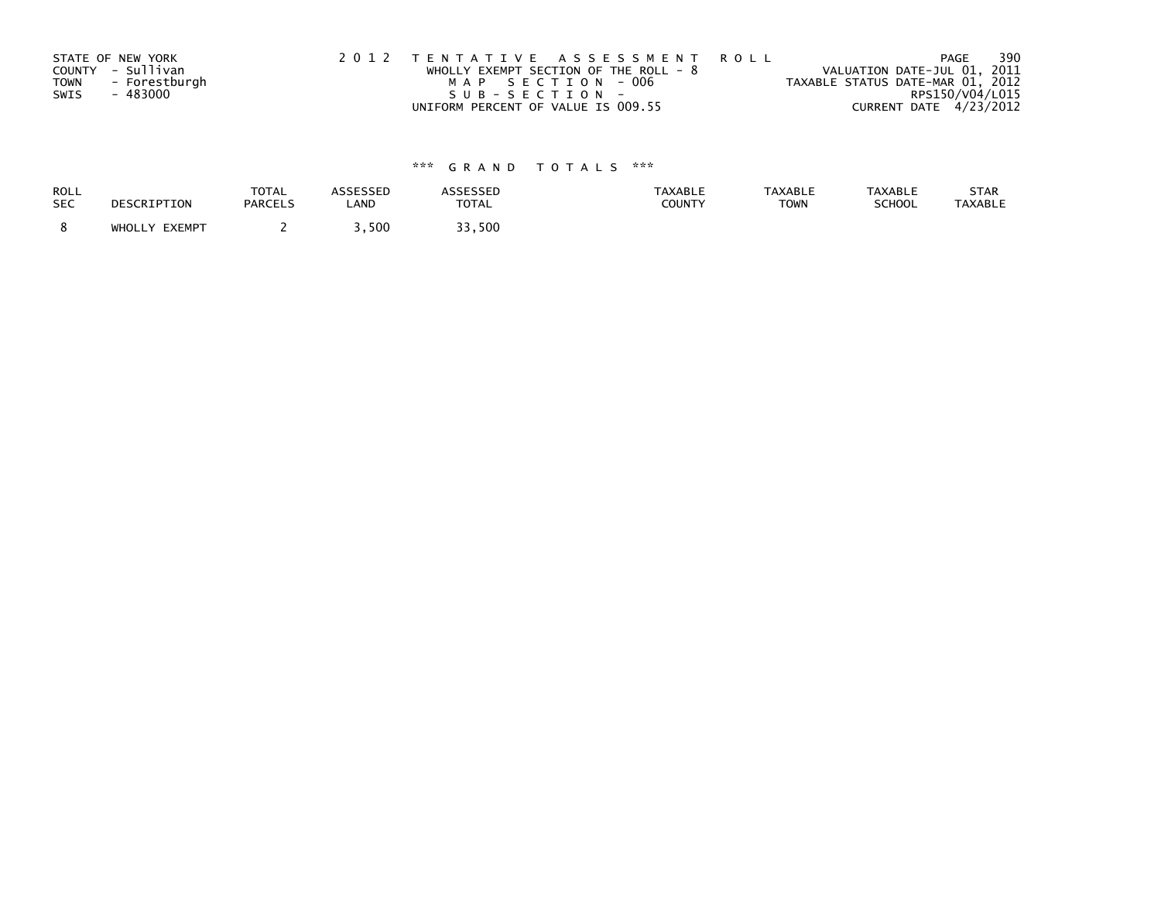|             | STATE OF NEW YORK | 2012 TENTATIVE ASSESSMENT ROLL          | 390<br>PAGE                      |
|-------------|-------------------|-----------------------------------------|----------------------------------|
|             | COUNTY - Sullivan | WHOLLY EXEMPT SECTION OF THE ROLL - $8$ | VALUATION DATE-JUL 01, 2011      |
| <b>TOWN</b> | - Forestburgh     | MAP SECTION - 006                       | TAXABLE STATUS DATE-MAR 01, 2012 |
| SWIS        | - 483000          | $SUB - SECTION -$                       | RPS150/V04/L015                  |
|             |                   | UNIFORM PERCENT OF VALUE IS 009.55      | CURRENT DATE 4/23/2012           |

| ROLL       | DESCRIPTION   | <b>TOTAL</b>   | ASSESSED | <b>ASSESSED</b> | <b>TAXABLE</b> | <b>TAXABLE</b> | <b>TAXABLE</b> | STAR    |
|------------|---------------|----------------|----------|-----------------|----------------|----------------|----------------|---------|
| <b>SEC</b> |               | <b>PARCELS</b> | LAND     | <b>TOTAL</b>    | COUNTY         | <b>TOWN</b>    | SCHOOL         | TAXABLE |
|            | WHOLLY EXEMPT |                | 3,500    | 33,500          |                |                |                |         |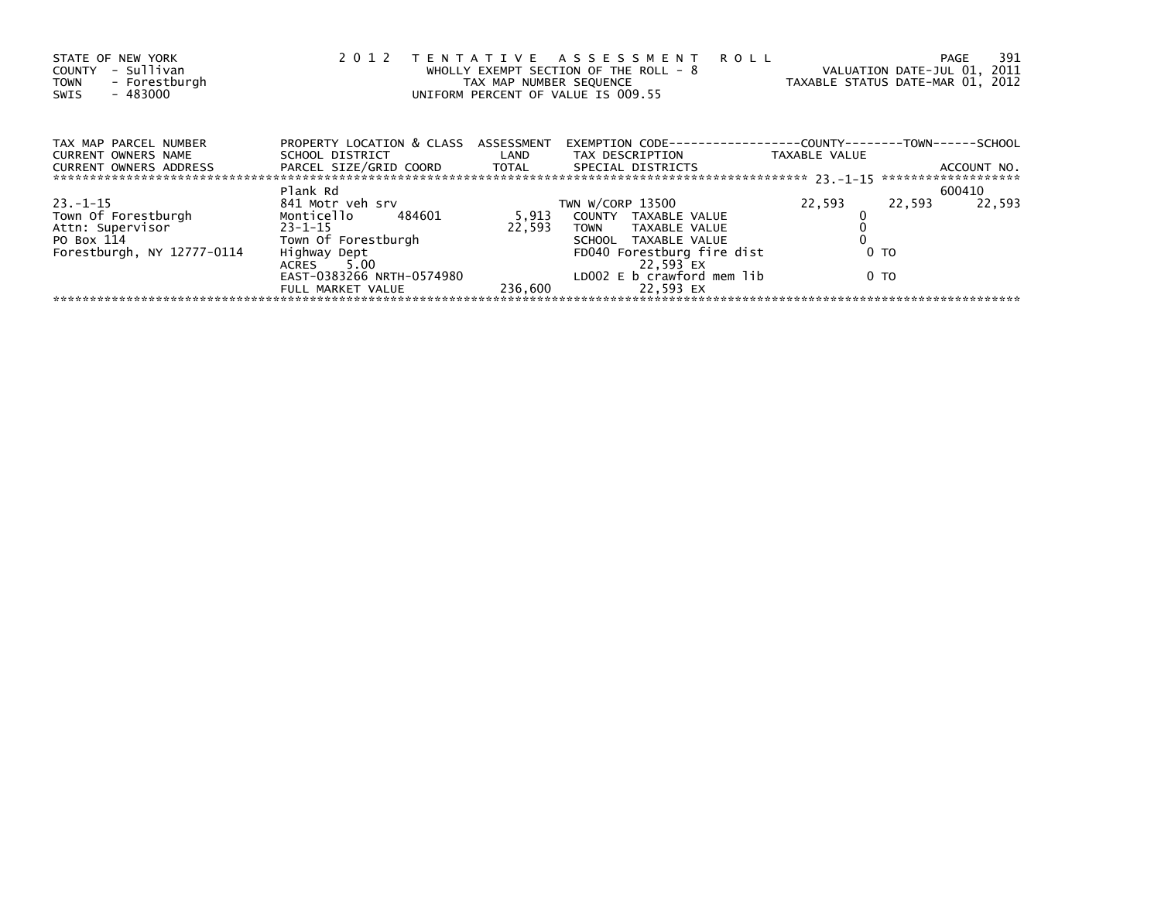| PROPERTY LOCATION & CLASS ASSESSMENT<br>TAX MAP PARCEL NUMBER<br>EXEMPTION        CODE-----------------COUNTY-------TOWN------SCHOOL<br>SCHOOL DISTRICT                        LAND        TAX DESCRIPTION                  TAXABLE VALUE<br><b>CURRENT OWNERS NAME</b><br>PARCEL SIZE/GRID COORD TOTAL SPECIAL DISTRICTS<br>CURRENT OWNERS ADDRESS<br>ACCOUNT NO.<br>Plank Rd<br>600410<br>22,593<br>22,593<br>22,593<br>841 Motr veh srv<br>TWN W/CORP 13500<br>Town Of Forestburgh Monticello 484601<br>Attn: Supervisor 23-1-15<br>Monticello 484601<br>5,913 COUNTY TAXABLE VALUE<br>22,593<br>TOWN TAXABLE VALUE<br>PO Box 114<br>SCHOOL TAXABLE VALUE<br>Forestburgh, NY 12777-0114<br>FD040 Forestburg fire dist<br>0 TO<br>22,593 EX<br>ACRES 5.00<br>LDOO2 E b crawford mem lib<br>EAST-0383266 NRTH-0574980<br>0 TO<br>236,600<br>22.593 EX<br>FULL MARKET VALUE | STATE OF NEW YORK<br>- Sullivan<br>COUNTY<br>- Forestburgh<br><b>TOWN</b><br>- 483000<br>SWIS | 2 0 1 2 | TAX MAP NUMBER SEQUENCE | TENTATIVE ASSESSMENT ROLL<br>WHOLLY EXEMPT SECTION OF THE ROLL - 8<br>UNIFORM PERCENT OF VALUE IS 009.55 | 391<br>PAGE<br>VALUATION DATE-JUL 01, 2011<br>TAXABLE STATUS DATE-MAR 01, 2012 |
|-----------------------------------------------------------------------------------------------------------------------------------------------------------------------------------------------------------------------------------------------------------------------------------------------------------------------------------------------------------------------------------------------------------------------------------------------------------------------------------------------------------------------------------------------------------------------------------------------------------------------------------------------------------------------------------------------------------------------------------------------------------------------------------------------------------------------------------------------------------------------------|-----------------------------------------------------------------------------------------------|---------|-------------------------|----------------------------------------------------------------------------------------------------------|--------------------------------------------------------------------------------|
|                                                                                                                                                                                                                                                                                                                                                                                                                                                                                                                                                                                                                                                                                                                                                                                                                                                                             |                                                                                               |         |                         |                                                                                                          |                                                                                |
|                                                                                                                                                                                                                                                                                                                                                                                                                                                                                                                                                                                                                                                                                                                                                                                                                                                                             |                                                                                               |         |                         |                                                                                                          |                                                                                |
|                                                                                                                                                                                                                                                                                                                                                                                                                                                                                                                                                                                                                                                                                                                                                                                                                                                                             |                                                                                               |         |                         |                                                                                                          |                                                                                |
|                                                                                                                                                                                                                                                                                                                                                                                                                                                                                                                                                                                                                                                                                                                                                                                                                                                                             | $23 - 1 - 15$                                                                                 |         |                         |                                                                                                          |                                                                                |
|                                                                                                                                                                                                                                                                                                                                                                                                                                                                                                                                                                                                                                                                                                                                                                                                                                                                             |                                                                                               |         |                         |                                                                                                          |                                                                                |
|                                                                                                                                                                                                                                                                                                                                                                                                                                                                                                                                                                                                                                                                                                                                                                                                                                                                             |                                                                                               |         |                         |                                                                                                          |                                                                                |
|                                                                                                                                                                                                                                                                                                                                                                                                                                                                                                                                                                                                                                                                                                                                                                                                                                                                             |                                                                                               |         |                         |                                                                                                          |                                                                                |
|                                                                                                                                                                                                                                                                                                                                                                                                                                                                                                                                                                                                                                                                                                                                                                                                                                                                             |                                                                                               |         |                         |                                                                                                          |                                                                                |
|                                                                                                                                                                                                                                                                                                                                                                                                                                                                                                                                                                                                                                                                                                                                                                                                                                                                             |                                                                                               |         |                         |                                                                                                          |                                                                                |
|                                                                                                                                                                                                                                                                                                                                                                                                                                                                                                                                                                                                                                                                                                                                                                                                                                                                             |                                                                                               |         |                         |                                                                                                          |                                                                                |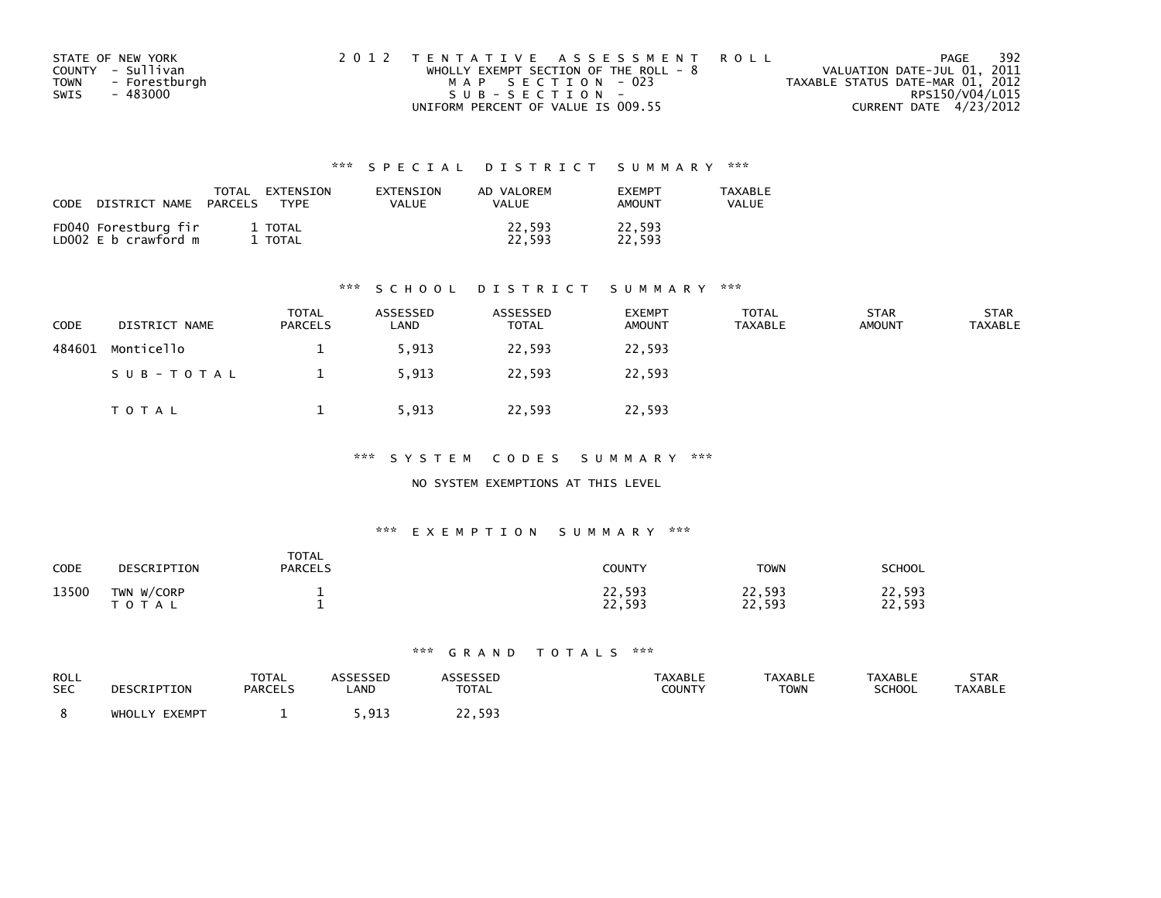| STATE OF NEW YORK            | 2012 TENTATIVE ASSESSMENT ROLL        | PAGE                             | 392 |
|------------------------------|---------------------------------------|----------------------------------|-----|
| COUNTY - Sullivan            | WHOLLY EXEMPT SECTION OF THE ROLL - 8 | VALUATION DATE-JUL 01, 2011      |     |
| - Forestburgh<br><b>TOWN</b> | MAP SECTION - 023                     | TAXABLE STATUS DATE-MAR 01, 2012 |     |
| - 483000<br>SWIS             | SUB-SECTION-                          | RPS150/V04/L015                  |     |
|                              | UNIFORM PERCENT OF VALUE IS 009.55    | CURRENT DATE 4/23/2012           |     |

| CODE<br>DISTRICT NAME                        | TOTAL<br>EXTENSION<br>PARCELS<br><b>TYPF</b> | EXTENSION<br>VALUE | AD VALOREM<br>VALUE | <b>FXFMPT</b><br><b>AMOUNT</b> | <b>TAXABLE</b><br>VALUE |
|----------------------------------------------|----------------------------------------------|--------------------|---------------------|--------------------------------|-------------------------|
| FD040 Forestburg fir<br>LD002 E b crawford m | 1 TOTAL<br>TOTAL                             |                    | 22,593<br>22.593    | 22,593<br>22.593               |                         |

#### \*\*\* S C H O O L D I S T R I C T S U M M A R Y \*\*\*

| <b>CODE</b> | DISTRICT NAME | <b>TOTAL</b><br><b>PARCELS</b> | ASSESSED<br>∟AND | ASSESSED<br><b>TOTAL</b> | <b>EXEMPT</b><br><b>AMOUNT</b> | <b>TOTAL</b><br>TAXABLE | <b>STAR</b><br><b>AMOUNT</b> | <b>STAR</b><br><b>TAXABLE</b> |
|-------------|---------------|--------------------------------|------------------|--------------------------|--------------------------------|-------------------------|------------------------------|-------------------------------|
| 484601      | Monticello    |                                | 5,913            | 22,593                   | 22,593                         |                         |                              |                               |
|             | SUB-TOTAL     |                                | 5,913            | 22,593                   | 22,593                         |                         |                              |                               |
|             | TOTAL         |                                | 5,913            | 22,593                   | 22,593                         |                         |                              |                               |

\*\*\* S Y S T E M C O D E S S U M M A R Y \*\*\*

### NO SYSTEM EXEMPTIONS AT THIS LEVEL

#### \*\*\* E X E M P T I O N S U M M A R Y \*\*\*

| CODE  | DESCRIPTION             | <b>TOTAL</b><br><b>PARCELS</b> | <b>COUNTY</b>    | <b>TOWN</b>      | SCHOOL           |
|-------|-------------------------|--------------------------------|------------------|------------------|------------------|
| 13500 | TWN W/CORP<br>T O T A L |                                | 22,593<br>22,593 | 22,593<br>22,593 | 22,593<br>22,593 |

| ROLL       | DESCRIPTION   | <b>TOTAL</b>   | <b>ASSESSED</b> | ASSESSED     | <b>TAXABLE</b> | <b>TAXABLE</b> | <b>TAXABLE</b> | STAR           |
|------------|---------------|----------------|-----------------|--------------|----------------|----------------|----------------|----------------|
| <b>SEC</b> |               | <b>PARCELS</b> | LAND            | <b>TOTAL</b> | COUNTY         | TOWN           | <b>SCHOOL</b>  | <b>TAXABLE</b> |
|            | WHOLLY EXEMPT |                | -913<br>,,,,,   | 22,593       |                |                |                |                |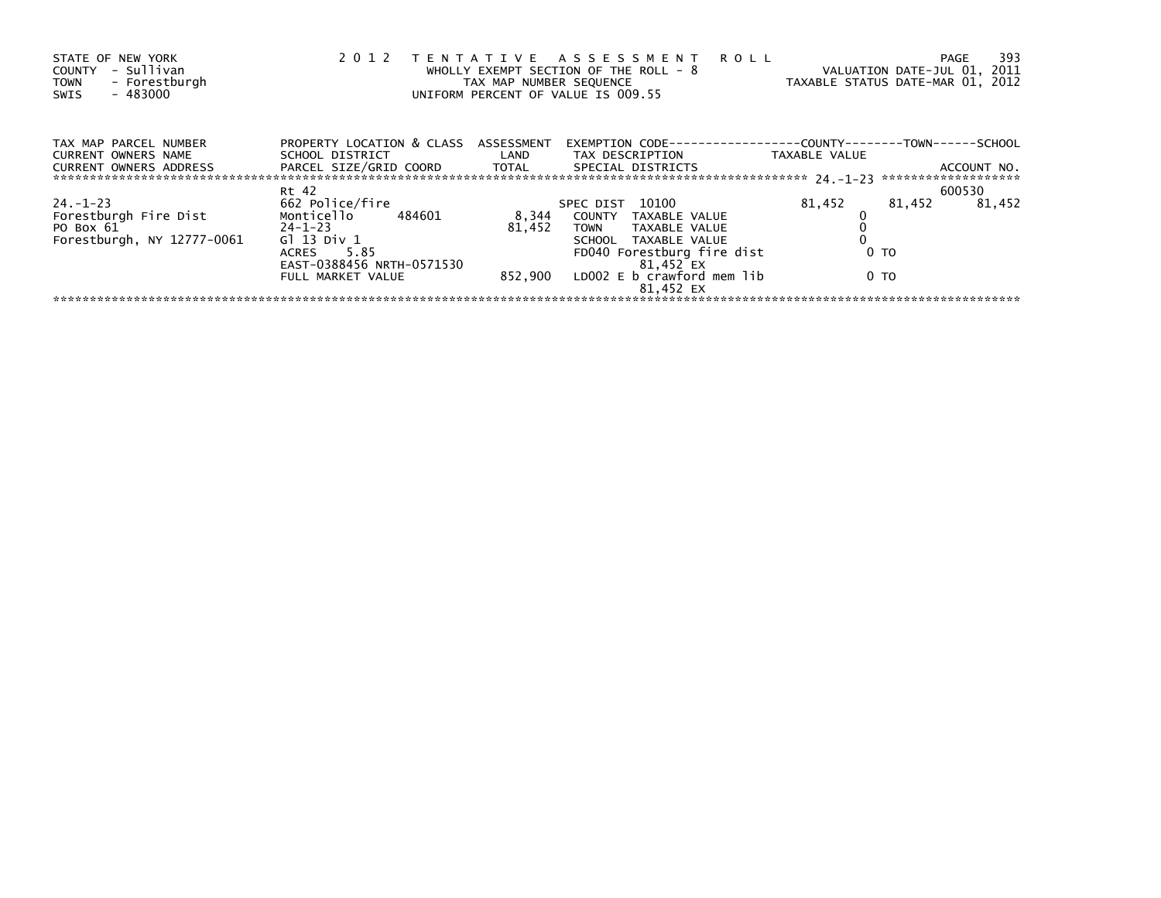| STATE OF NEW YORK<br>- Sullivan<br>COUNTY<br>- Forestburgh<br><b>TOWN</b><br>$-483000$<br>SWIS | 2 0 1 2                                                 | TAX MAP NUMBER SEQUENCE | TENTATIVE ASSESSMENT ROLL<br>WHOLLY EXEMPT SECTION OF THE ROLL - 8<br>UNIFORM PERCENT OF VALUE IS 009.55 |                | -393<br><b>PAGE</b><br>VALUATION DATE-JUL 01, 2011<br>TAXABLE STATUS DATE-MAR 01, 2012 |
|------------------------------------------------------------------------------------------------|---------------------------------------------------------|-------------------------|----------------------------------------------------------------------------------------------------------|----------------|----------------------------------------------------------------------------------------|
| TAX MAP PARCEL NUMBER<br>CURRENT OWNERS NAME                                                   | PROPERTY LOCATION & CLASS ASSESSMENT<br>SCHOOL DISTRICT |                         | EXEMPTION        CODE-----------------COUNTY-------TOWN------SCHOOL<br>LAND TAX DESCRIPTION              | TAXABLE VALUE  |                                                                                        |
| <b>CURRENT OWNERS ADDRESS</b>                                                                  | PARCEL SIZE/GRID COORD TOTAL                            |                         | SPECIAL DISTRICTS                                                                                        |                | ACCOUNT NO.                                                                            |
|                                                                                                | Rt 42                                                   |                         |                                                                                                          |                | 600530                                                                                 |
| $24. - 1 - 23$                                                                                 | 662 Police/fire                                         |                         | SPEC DIST 10100                                                                                          | 81,452         | 81,452<br>81.452                                                                       |
| Forestburgh Fire Dist Monticello 484601                                                        |                                                         | 8,344                   | COUNTY TAXABLE VALUE                                                                                     |                |                                                                                        |
| $24 - 1 - 23$<br>PO Box 61                                                                     |                                                         | 81.452                  | TOWN TAXABLE VALUE                                                                                       |                |                                                                                        |
| Forestburgh, NY 12777-0061                                                                     | Gl 13 Div 1                                             |                         | SCHOOL TAXABLE VALUE                                                                                     |                |                                                                                        |
|                                                                                                | ACRES 5.85                                              |                         | FD040 Forestburg fire dist                                                                               | 0 <sub>T</sub> |                                                                                        |
|                                                                                                | EAST-0388456 NRTH-0571530                               |                         | 81,452 EX                                                                                                |                |                                                                                        |
|                                                                                                | FULL MARKET VALUE                                       |                         | 852,900 LDOO2 E b crawford mem lib                                                                       | 0 TO           |                                                                                        |
|                                                                                                |                                                         |                         | 81.452 EX                                                                                                |                |                                                                                        |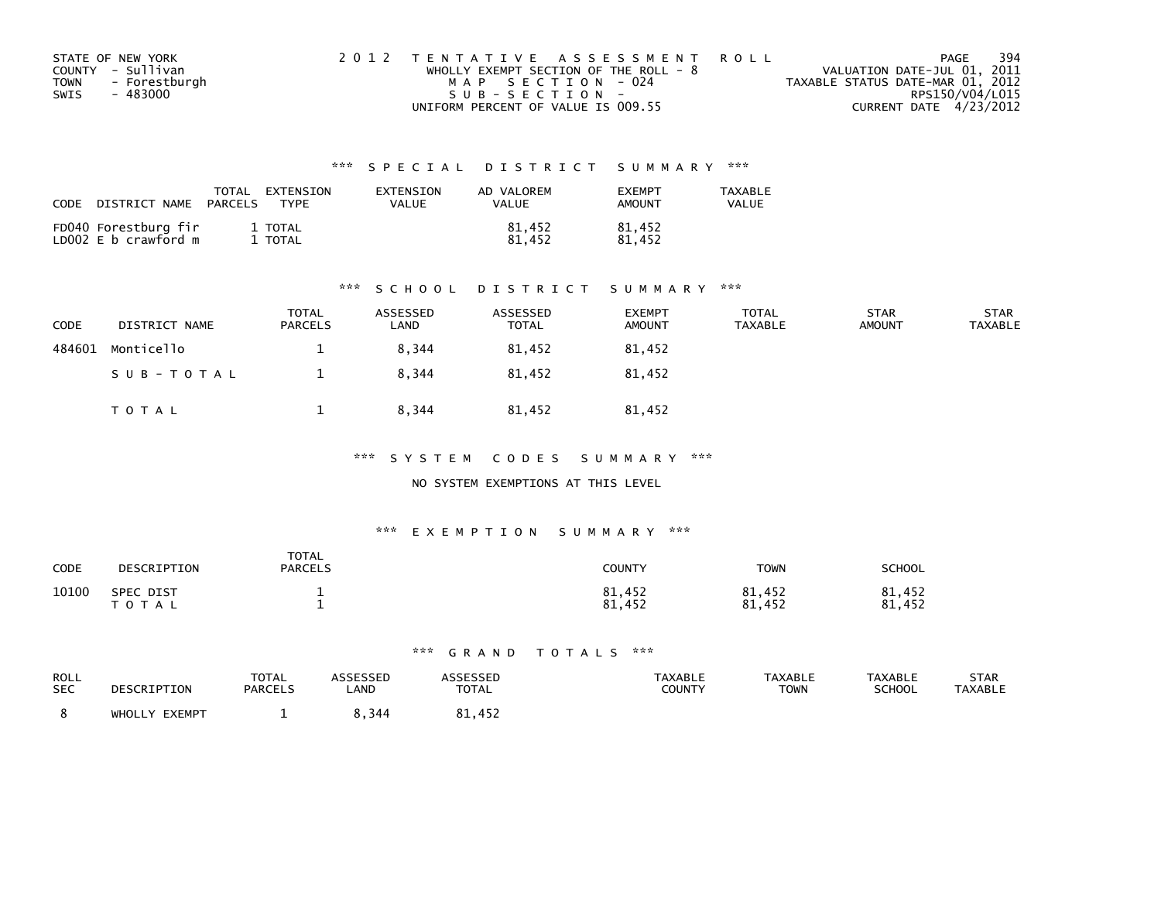| STATE OF NEW YORK            | 2012 TENTATIVE ASSESSMENT ROLL          | PAGE                             | 394 |
|------------------------------|-----------------------------------------|----------------------------------|-----|
| COUNTY - Sullivan            | WHOLLY EXEMPT SECTION OF THE ROLL - $8$ | VALUATION DATE-JUL 01, 2011      |     |
| <b>TOWN</b><br>- Forestburgh | MAP SECTION - 024                       | TAXABLE STATUS DATE-MAR 01, 2012 |     |
| SWIS<br>- 483000             | SUB-SECTION-                            | RPS150/V04/L015                  |     |
|                              | UNIFORM PERCENT OF VALUE IS 009.55      | CURRENT DATE 4/23/2012           |     |

| CODE | DISTRICT NAME                                | TOTAL<br>PARCELS | EXTENSION<br><b>TYPF</b> | EXTENSION<br>VALUE | AD VALOREM<br>VALUE | <b>FXFMPT</b><br><b>AMOUNT</b> | <b>TAXABLE</b><br>VALUE |
|------|----------------------------------------------|------------------|--------------------------|--------------------|---------------------|--------------------------------|-------------------------|
|      | FD040 Forestburg fir<br>LD002 E b crawford m |                  | 1 TOTAL<br>TOTAL         |                    | 81,452<br>81.452    | 81,452<br>81.452               |                         |

#### \*\*\* S C H O O L D I S T R I C T S U M M A R Y \*\*\*

| <b>CODE</b> | DISTRICT NAME | <b>TOTAL</b><br><b>PARCELS</b> | ASSESSED<br>∟AND | ASSESSED<br><b>TOTAL</b> | <b>EXEMPT</b><br><b>AMOUNT</b> | <b>TOTAL</b><br>TAXABLE | <b>STAR</b><br><b>AMOUNT</b> | <b>STAR</b><br><b>TAXABLE</b> |
|-------------|---------------|--------------------------------|------------------|--------------------------|--------------------------------|-------------------------|------------------------------|-------------------------------|
| 484601      | Monticello    |                                | 8,344            | 81,452                   | 81,452                         |                         |                              |                               |
|             | SUB-TOTAL     |                                | 8,344            | 81,452                   | 81,452                         |                         |                              |                               |
|             | T O T A L     |                                | 8,344            | 81,452                   | 81,452                         |                         |                              |                               |

\*\*\* S Y S T E M C O D E S S U M M A R Y \*\*\*

NO SYSTEM EXEMPTIONS AT THIS LEVEL

#### \*\*\* E X E M P T I O N S U M M A R Y \*\*\*

| CODE  | DESCRIPTION            | <b>TOTAL</b><br><b>PARCELS</b> | <b>COUNTY</b>    | <b>TOWN</b>      | SCHOOL           |
|-------|------------------------|--------------------------------|------------------|------------------|------------------|
| 10100 | SPEC DIST<br>T O T A L |                                | 81,452<br>81,452 | 81,452<br>81,452 | 81,452<br>81,452 |

| ROLL       | DESCRIPTION   | <b>TOTAL</b>   | ASSESSED    | <b>ASSESSED</b>              | <b>TAXABLE</b> | <b>TAXABLE</b> | <b>TAXABLE</b> | STAR           |
|------------|---------------|----------------|-------------|------------------------------|----------------|----------------|----------------|----------------|
| <b>SEC</b> |               | <b>PARCELS</b> | <b>_AND</b> | <b>TOTAL</b>                 | COUNTY         | <b>TOWN</b>    | <b>SCHOOL</b>  | <b>TAXABLE</b> |
|            | WHOLLY EXEMPT |                | 8.344       | O <sub>1</sub><br>452<br>õΙ. |                |                |                |                |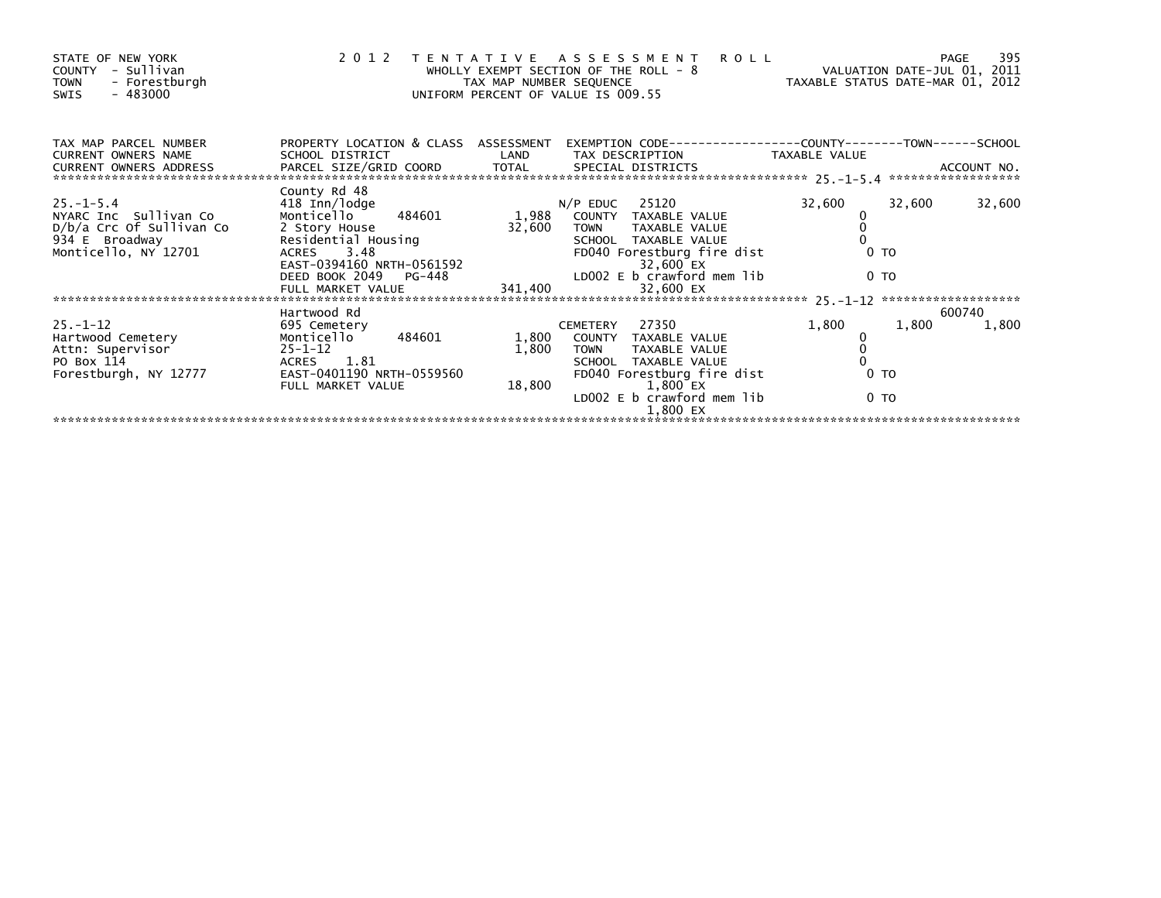| STATE OF NEW YORK<br>- Sullivan<br>COUNTY<br><b>TOWN</b><br>- Forestburgh<br>- 483000<br><b>SWIS</b> | 2012 TENTATIVE                                                                                                                                                                                                                           | TAX MAP NUMBER SEQUENCE | A S S E S S M E N T<br>WHOLLY EXEMPT SECTION OF THE ROLL - 8<br>UNIFORM PERCENT OF VALUE IS 009.55 | <b>ROLL</b><br>VALUATION DATE-MAR 01, 2012 |                | 395<br>PAGE |
|------------------------------------------------------------------------------------------------------|------------------------------------------------------------------------------------------------------------------------------------------------------------------------------------------------------------------------------------------|-------------------------|----------------------------------------------------------------------------------------------------|--------------------------------------------|----------------|-------------|
| TAX MAP PARCEL NUMBER                                                                                | PROPERTY LOCATION & CLASS ASSESSMENT                                                                                                                                                                                                     |                         | EXEMPTION CODE-----------------COUNTY--------TOWN------SCHOOL                                      |                                            |                |             |
| <b>CURRENT OWNERS NAME</b>                                                                           | SCHOOL DISTRICT                                                                                                                                                                                                                          | LAND                    | TAX DESCRIPTION                                                                                    | TAXABLE VALUE                              |                |             |
| $25. - 1 - 5.4$                                                                                      | County Rd 48<br>418 Inn/lodge                                                                                                                                                                                                            |                         | $N/P$ EDUC 25120                                                                                   | 32,600                                     | 32,600         | 32,600      |
| NYARC Inc Sullivan Co                                                                                | 484601<br>Monticello                                                                                                                                                                                                                     | 1,988                   | COUNTY TAXABLE VALUE                                                                               |                                            |                |             |
| D/b/a Crc Of Sullivan Co<br>934 E Broadway                                                           | 2 Story House<br>2 Story House 32,600 TOWN TAXABLE VALUE<br>Residential Housing SCHOOL TAXABLE VALUE<br>ACRES 3.48 FD040 Forestburg fire dist<br>EAST-0394160 NRTH-0561592 32,600 EX<br>DEED BOOK 2049 PG-448 LD002 E b_crawford mem lib | 32,600                  |                                                                                                    |                                            |                |             |
| Monticello, NY 12701                                                                                 |                                                                                                                                                                                                                                          |                         |                                                                                                    |                                            | 0 <sub>T</sub> |             |
|                                                                                                      |                                                                                                                                                                                                                                          |                         |                                                                                                    |                                            |                |             |
|                                                                                                      |                                                                                                                                                                                                                                          |                         |                                                                                                    |                                            | 0 <sub>T</sub> |             |
|                                                                                                      | FULL MARKET VALUE                                                                                                                                                                                                                        | 341,400                 | 32,600 EX                                                                                          |                                            |                |             |
|                                                                                                      | Hartwood Rd                                                                                                                                                                                                                              |                         |                                                                                                    |                                            |                | 600740      |
| $25. - 1 - 12$                                                                                       | 695 Cemetery                                                                                                                                                                                                                             |                         | CEMETERY 27350                                                                                     | 1,800                                      | 1,800          | 1,800       |
| Hartwood Cemetery                                                                                    | Monticello<br>484601<br>$25 - 1 - 12$                                                                                                                                                                                                    | 1,800                   | COUNTY TAXABLE VALUE                                                                               |                                            |                |             |
| Attn: Supervisor<br>PO Box 114                                                                       | ACRES 1.81                                                                                                                                                                                                                               | 1,800                   | TAXABLE VALUE<br><b>TOWN</b><br>SCHOOL TAXABLE VALUE                                               |                                            |                |             |
| Forestburgh, NY 12777                                                                                | EAST-0401190 NRTH-0559560                                                                                                                                                                                                                |                         | FD040 Forestburg fire dist                                                                         |                                            | 0 <sub>T</sub> |             |
|                                                                                                      | FULL MARKET VALUE                                                                                                                                                                                                                        | 18,800                  | 1,800 EX                                                                                           |                                            |                |             |
|                                                                                                      |                                                                                                                                                                                                                                          |                         | LD002 E b crawford mem lib                                                                         |                                            | 0 TO           |             |
|                                                                                                      |                                                                                                                                                                                                                                          |                         | 1,800 EX                                                                                           |                                            |                |             |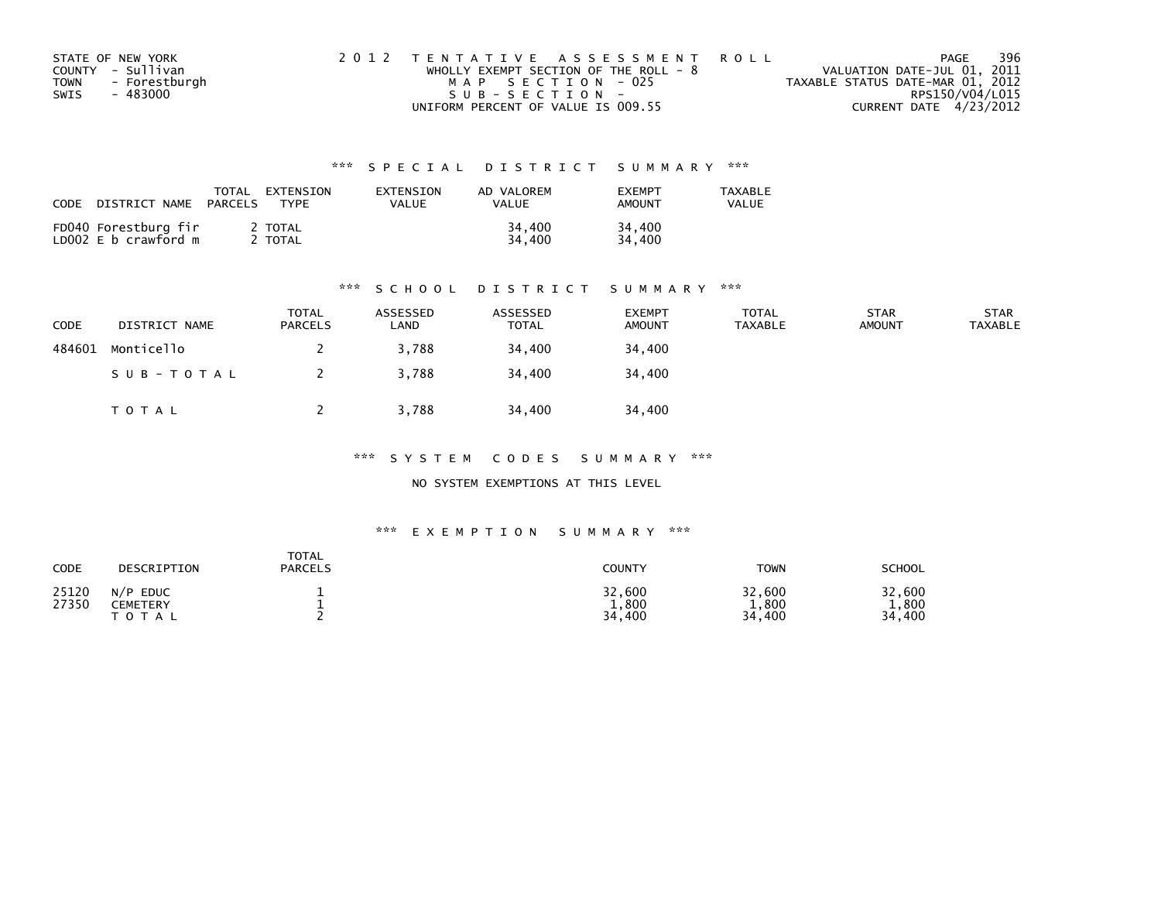| STATE OF NEW YORK            | 2012 TENTATIVE ASSESSMENT ROLL        | PAGE                             | 396 |
|------------------------------|---------------------------------------|----------------------------------|-----|
| COUNTY - Sullivan            | WHOLLY EXEMPT SECTION OF THE ROLL - 8 | VALUATION DATE-JUL 01, 2011      |     |
| - Forestburgh<br><b>TOWN</b> | MAP SECTION - 025                     | TAXABLE STATUS DATE-MAR 01, 2012 |     |
| SWIS<br>- 483000             | $SUB - SECTION -$                     | RPS150/V04/L015                  |     |
|                              | UNIFORM PERCENT OF VALUE IS 009.55    | CURRENT DATE 4/23/2012           |     |

| CODE | DISTRICT NAME                                | TOTAL<br>PARCELS | EXTENSION<br>TYPF | EXTENSION<br>VALUE | AD VALOREM<br>VALUE | <b>FXFMPT</b><br>AMOUNT | TAXABLE<br>VALUE |
|------|----------------------------------------------|------------------|-------------------|--------------------|---------------------|-------------------------|------------------|
|      | FD040 Forestburg fir<br>LD002 E b crawford m |                  | 2 TOTAL<br>TOTAL  |                    | 34,400<br>34,400    | 34,400<br>34.400        |                  |

#### \*\*\* S C H O O L D I S T R I C T S U M M A R Y \*\*\*

| <b>CODE</b> | DISTRICT NAME | TOTAL<br><b>PARCELS</b> | ASSESSED<br>LAND | ASSESSED<br><b>TOTAL</b> | <b>EXEMPT</b><br><b>AMOUNT</b> | <b>TOTAL</b><br><b>TAXABLE</b> | <b>STAR</b><br><b>AMOUNT</b> | <b>STAR</b><br><b>TAXABLE</b> |
|-------------|---------------|-------------------------|------------------|--------------------------|--------------------------------|--------------------------------|------------------------------|-------------------------------|
| 484601      | Monticello    |                         | 3,788            | 34,400                   | 34,400                         |                                |                              |                               |
|             | SUB-TOTAL     |                         | 3,788            | 34,400                   | 34,400                         |                                |                              |                               |
|             | T O T A L     |                         | 3,788            | 34,400                   | 34,400                         |                                |                              |                               |

\*\*\* S Y S T E M C O D E S S U M M A R Y \*\*\*

NO SYSTEM EXEMPTIONS AT THIS LEVEL

#### \*\*\* E X E M P T I O N S U M M A R Y \*\*\*

| CODE           | DESCRIPTION                                         | <b>TOTAL</b><br><b>PARCELS</b> | COUNTY                    | <b>TOWN</b>               | <b>SCHOOL</b>                 |
|----------------|-----------------------------------------------------|--------------------------------|---------------------------|---------------------------|-------------------------------|
| 25120<br>27350 | N/P<br><b>EDUC</b><br><b>CEMETERY</b><br>тот<br>A L |                                | 32,600<br>1,800<br>34,400 | 32,600<br>1,800<br>34,400 | 32,600<br>1,800<br>400<br>34. |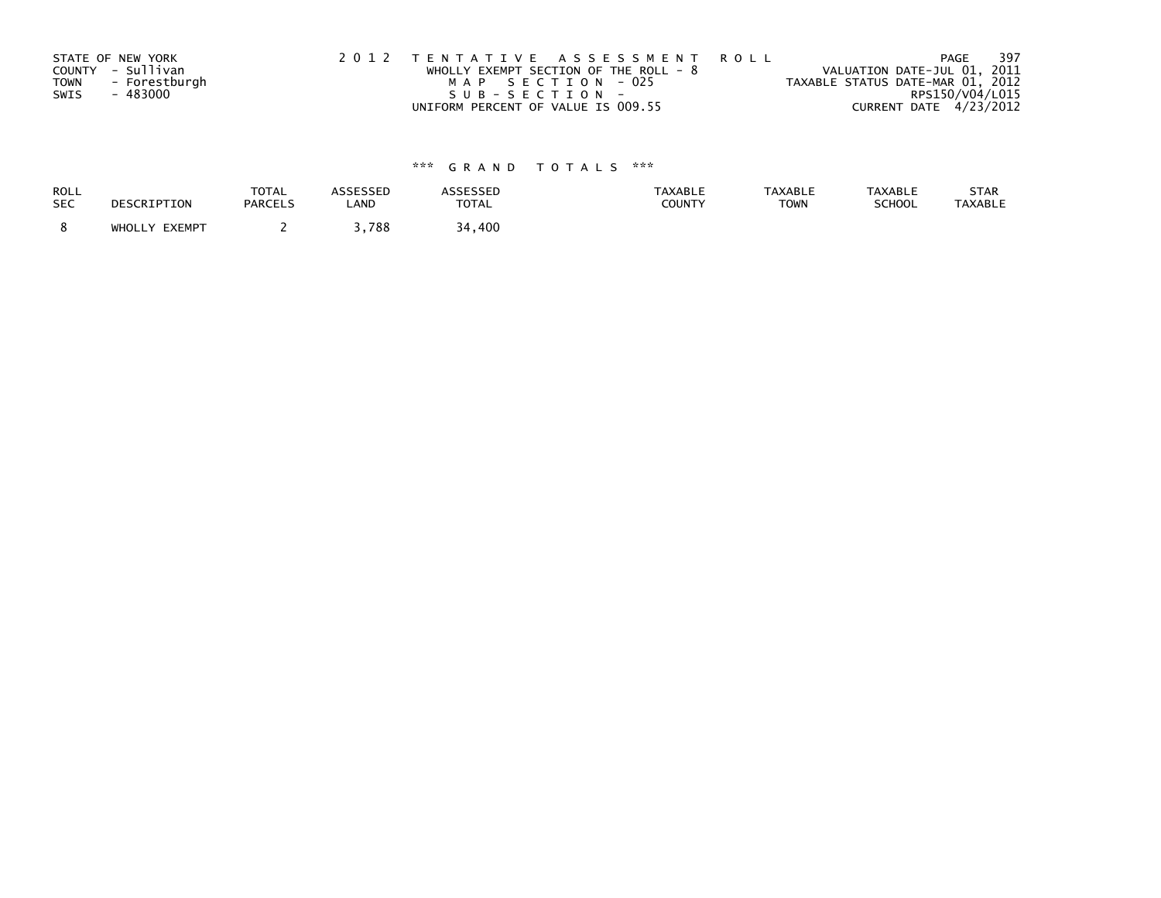|             | STATE OF NEW YORK | 2012 TENTATIVE ASSESSMENT ROLL          | -397<br>PAGE                     |
|-------------|-------------------|-----------------------------------------|----------------------------------|
|             | COUNTY - Sullivan | WHOLLY EXEMPT SECTION OF THE ROLL - $8$ | VALUATION DATE-JUL 01, 2011      |
| <b>TOWN</b> | - Forestburgh     | MAP SECTION - 025                       | TAXABLE STATUS DATE-MAR 01, 2012 |
| SWIS        | - 483000          | $SUB - SECTION -$                       | RPS150/V04/L015                  |
|             |                   | UNIFORM PERCENT OF VALUE IS 009.55      | CURRENT DATE 4/23/2012           |

| ROLL       | DESCRIPTION   | <b>TOTAL</b>   | ASSESSED | <b>ASSESSED</b> | <b>TAXABLE</b> | <b>TAXABLE</b> | <b>TAXABLE</b> | STAR           |
|------------|---------------|----------------|----------|-----------------|----------------|----------------|----------------|----------------|
| <b>SEC</b> |               | <b>PARCELS</b> | LAND     | <b>TOTAL</b>    | <b>COUNTY</b>  | <b>TOWN</b>    | <b>SCHOOL</b>  | <b>TAXABLE</b> |
|            | WHOLLY EXEMPT |                | 788,،    | 34.<br>400      |                |                |                |                |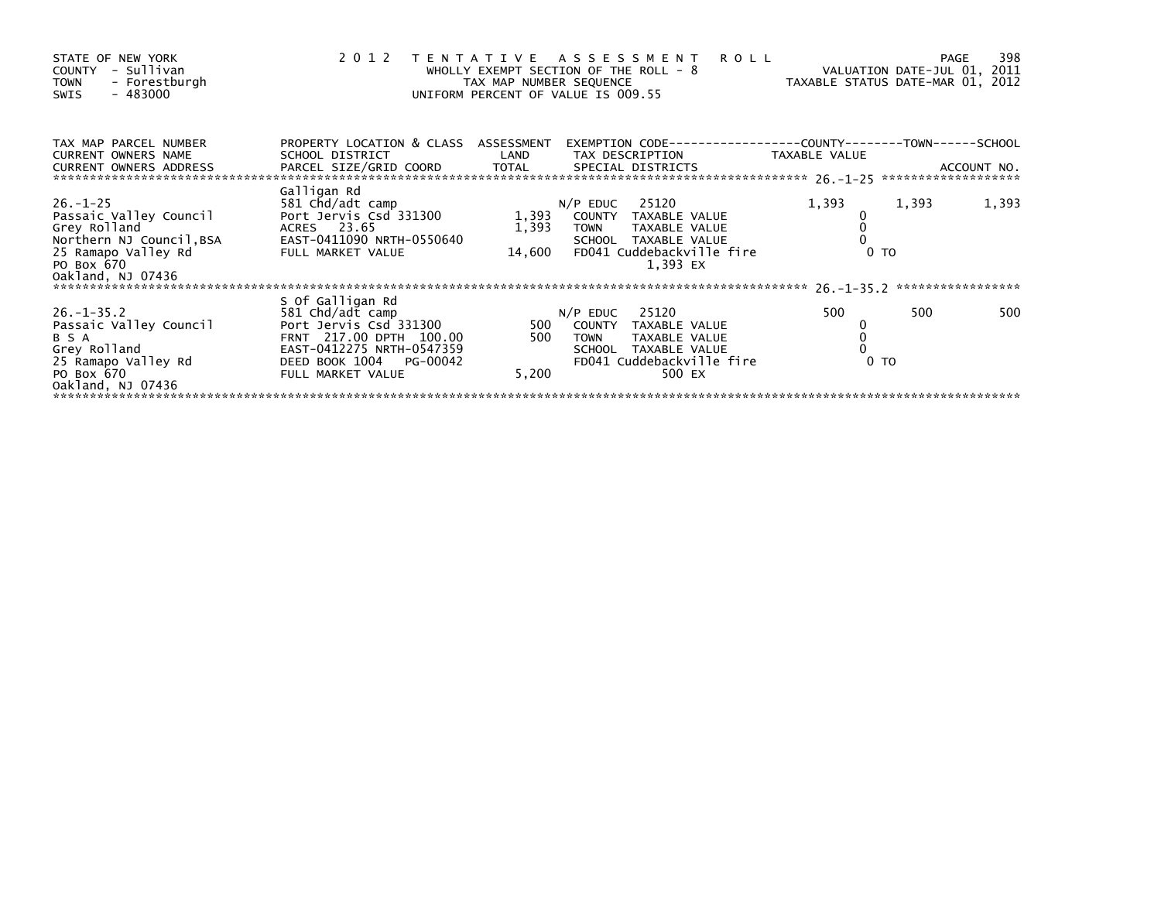| 1,393             |
|-------------------|
| ***************** |
| 500               |
|                   |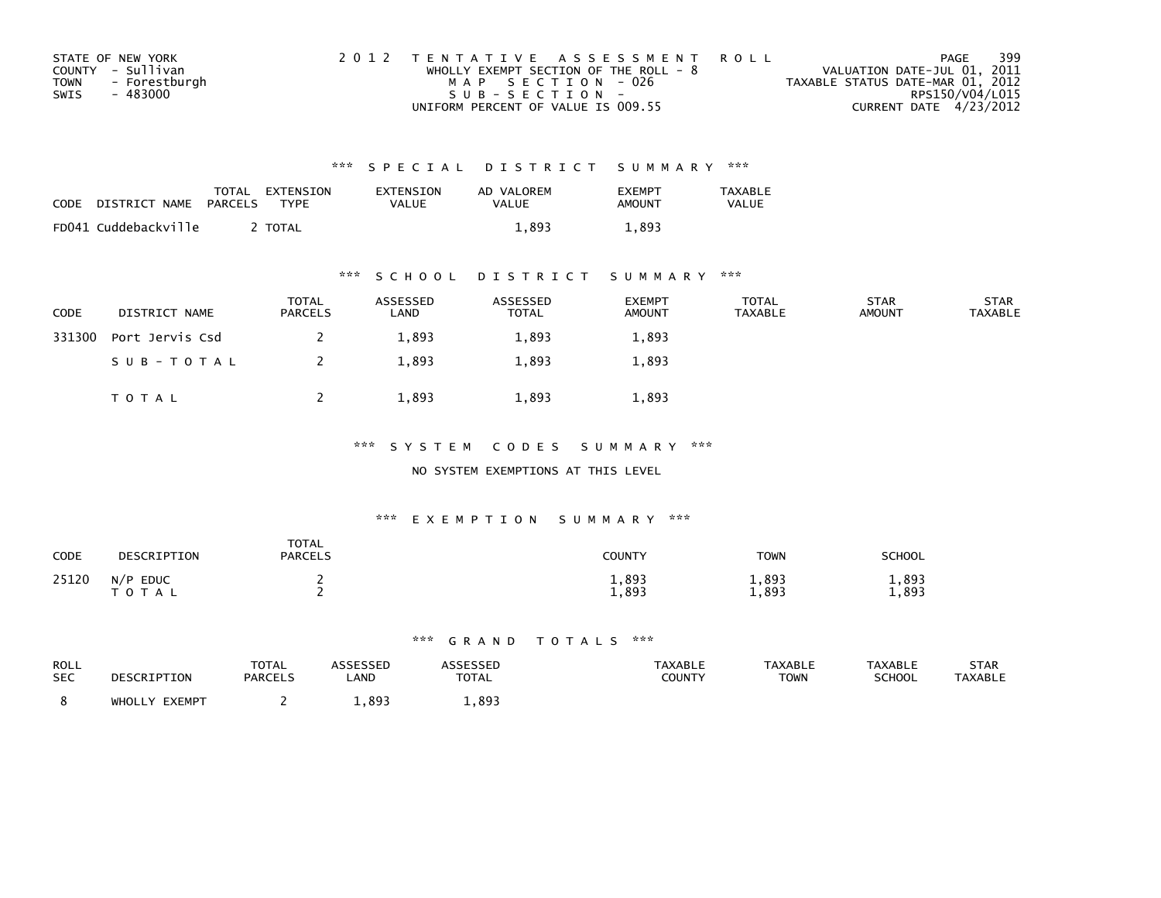| STATE OF NEW YORK            | 2012 TENTATIVE ASSESSMENT ROLL          | PAGE                             | 399 |
|------------------------------|-----------------------------------------|----------------------------------|-----|
| COUNTY - Sullivan            | WHOLLY EXEMPT SECTION OF THE ROLL - $8$ | VALUATION DATE-JUL 01, 2011      |     |
| - Forestburgh<br><b>TOWN</b> | MAP SECTION - 026                       | TAXABLE STATUS DATE-MAR 01, 2012 |     |
| SWIS<br>- 483000             | $SUB - SECTION -$                       | RPS150/V04/L015                  |     |
|                              | UNIFORM PERCENT OF VALUE IS 009.55      | CURRENT DATE 4/23/2012           |     |

| CODE | DISTRICT NAME        | TOTAL<br>PARCELS | EXTENSION<br>TYPF | EXTENSION<br><b>VALUE</b> | AD VALOREM<br>VALUE | <b>FXFMPT</b><br>AMOUNT | <b>TAXABLE</b><br><b>VALUE</b> |
|------|----------------------|------------------|-------------------|---------------------------|---------------------|-------------------------|--------------------------------|
|      | FD041 Cuddebackville |                  | <b>TOTAL</b>      |                           | 1.893               | 1,893                   |                                |

### \*\*\* S C H O O L D I S T R I C T S U M M A R Y \*\*\*

| <b>CODE</b> | DISTRICT NAME   | <b>TOTAL</b><br>PARCELS | ASSESSED<br>LAND | ASSESSED<br><b>TOTAL</b> | <b>EXEMPT</b><br><b>AMOUNT</b> | <b>TOTAL</b><br>TAXABLE | <b>STAR</b><br><b>AMOUNT</b> | <b>STAR</b><br><b>TAXABLE</b> |
|-------------|-----------------|-------------------------|------------------|--------------------------|--------------------------------|-------------------------|------------------------------|-------------------------------|
| 331300      | Port Jervis Csd |                         | 1,893            | 1,893                    | 1,893                          |                         |                              |                               |
|             | SUB-TOTAL       |                         | 1,893            | 1,893                    | 1,893                          |                         |                              |                               |
|             | T O T A L       |                         | 1,893            | 1,893                    | 1,893                          |                         |                              |                               |

\*\*\* S Y S T E M C O D E S S U M M A R Y \*\*\*

NO SYSTEM EXEMPTIONS AT THIS LEVEL

### \*\*\* E X E M P T I O N S U M M A R Y \*\*\*

| <b>CODE</b> | DESCRIPTION             | <b>TOTAL</b><br><b>PARCELS</b> | COUNTY         | <b>TOWN</b>    | SCHOOL         |
|-------------|-------------------------|--------------------------------|----------------|----------------|----------------|
| 25120       | N/P<br><b>EDUC</b><br>A |                                | 1,893<br>1,893 | 1,893<br>1,893 | 1,893<br>1,893 |

| ROLL<br><b>SEC</b> | <b>RIPTION</b>               | <b>TOTAL</b><br><b>PARCELS</b> | LAND | <b>TOTAL</b> | <b>TAXABLE</b><br>COUNTY | <b>TAXABLI</b><br><b>TOWN</b> | TAXABLI<br><b>SCHOOL</b> | <b>STAR</b><br><b>AXABLE</b> |
|--------------------|------------------------------|--------------------------------|------|--------------|--------------------------|-------------------------------|--------------------------|------------------------------|
|                    | <b>EVEMDT</b><br><b>WHO!</b> |                                | ΩQ   | 893          |                          |                               |                          |                              |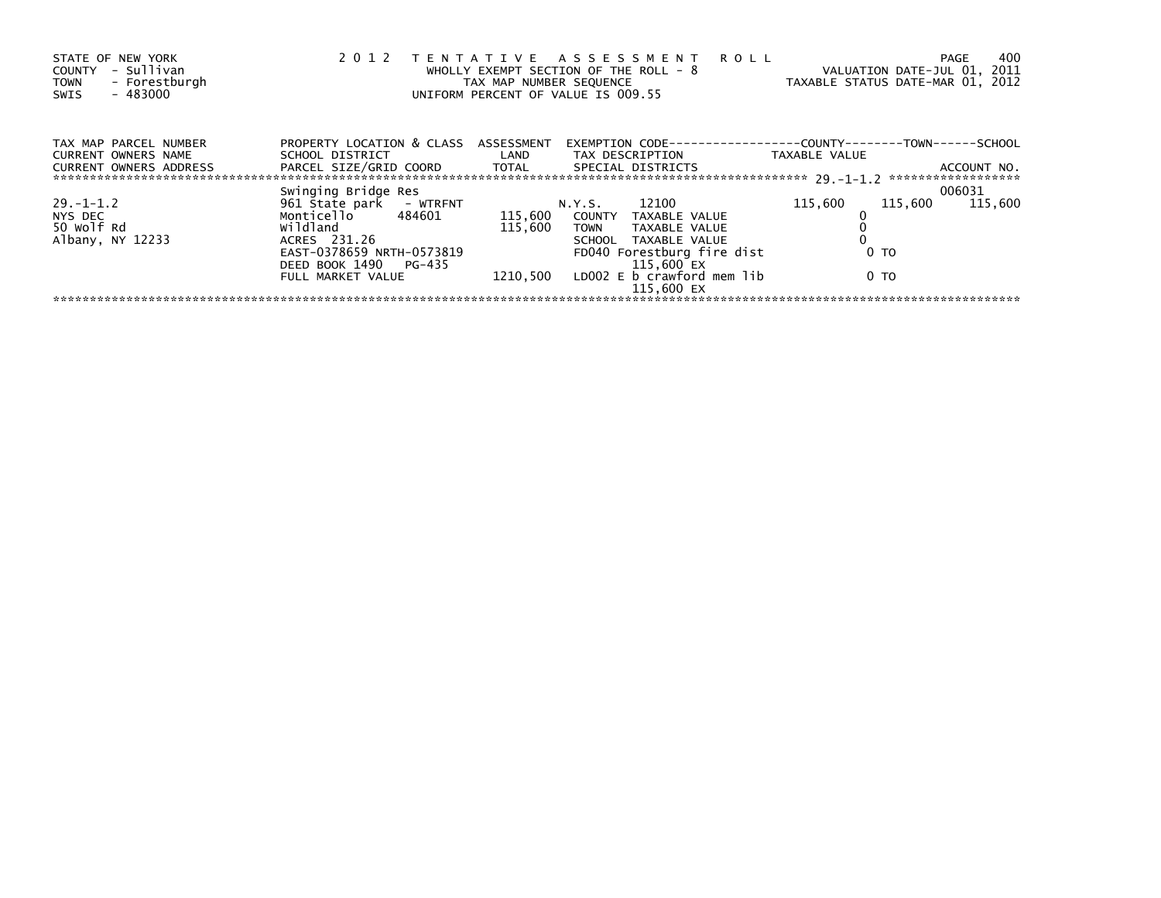| STATE OF NEW YORK<br>- Sullivan<br>COUNTY<br>- Forestburgh<br><b>TOWN</b><br>$-483000$<br>SWIS | 2 0 1 2                                                                                                                                               | TAX MAP NUMBER SEQUENCE | TENTATIVE ASSESSMENT ROLL<br>WHOLLY EXEMPT SECTION OF THE ROLL - 8<br>UNIFORM PERCENT OF VALUE IS 009.55 | TAXABLE STATUS DATE-MAR 01, 2012 | PAGE<br>VALUATION DATE-JUL 01, 2011 | 400 |
|------------------------------------------------------------------------------------------------|-------------------------------------------------------------------------------------------------------------------------------------------------------|-------------------------|----------------------------------------------------------------------------------------------------------|----------------------------------|-------------------------------------|-----|
| TAX MAP PARCEL NUMBER<br>CURRENT OWNERS NAME                                                   | PROPERTY LOCATION & CLASS ASSESSMENT                                                                                                                  |                         | EXEMPTION        CODE------------------COUNTY-------TOWN------SCHOOL                                     |                                  |                                     |     |
| <b>CURRENT OWNERS ADDRESS</b>                                                                  | SCHOOL DISTRICT                        LAND         TAX DESCRIPTION                   TAXABLE VALUE<br>PARCEL SIZE/GRID COORD TOTAL SPECIAL DISTRICTS |                         |                                                                                                          |                                  | ACCOUNT NO.                         |     |
|                                                                                                | Swinging Bridge Res                                                                                                                                   |                         |                                                                                                          |                                  | 006031                              |     |
| $29. - 1 - 1.2$                                                                                | 961 Štate park - WTRFNT                                                                                                                               |                         | N.Y.S. 12100                                                                                             | 115,600                          | 115,600<br>115,600                  |     |
| NYS DEC                                                                                        | Monticello 484601 115,600 COUNTY TAXABLE VALUE                                                                                                        |                         |                                                                                                          |                                  |                                     |     |
| 50 Wolf Rd                                                                                     | wildland                                                                                                                                              | 115.600                 | TOWN TAXABLE VALUE                                                                                       |                                  |                                     |     |
| Albany, NY 12233                                                                               | ACRES 231.26                                                                                                                                          |                         | SCHOOL TAXABLE VALUE                                                                                     |                                  |                                     |     |
|                                                                                                | EAST-0378659 NRTH-0573819                                                                                                                             |                         | FD040 Forestburg fire dist                                                                               |                                  | 0 <sub>T</sub>                      |     |
|                                                                                                | DEED BOOK 1490 PG-435                                                                                                                                 |                         | 115,600 EX                                                                                               |                                  |                                     |     |
|                                                                                                | FULL MARKET VALUE                                                                                                                                     |                         | $1210,500$ LD002 E b crawford mem lib<br>115,600 EX                                                      |                                  | 0 TO                                |     |
|                                                                                                |                                                                                                                                                       |                         |                                                                                                          |                                  |                                     |     |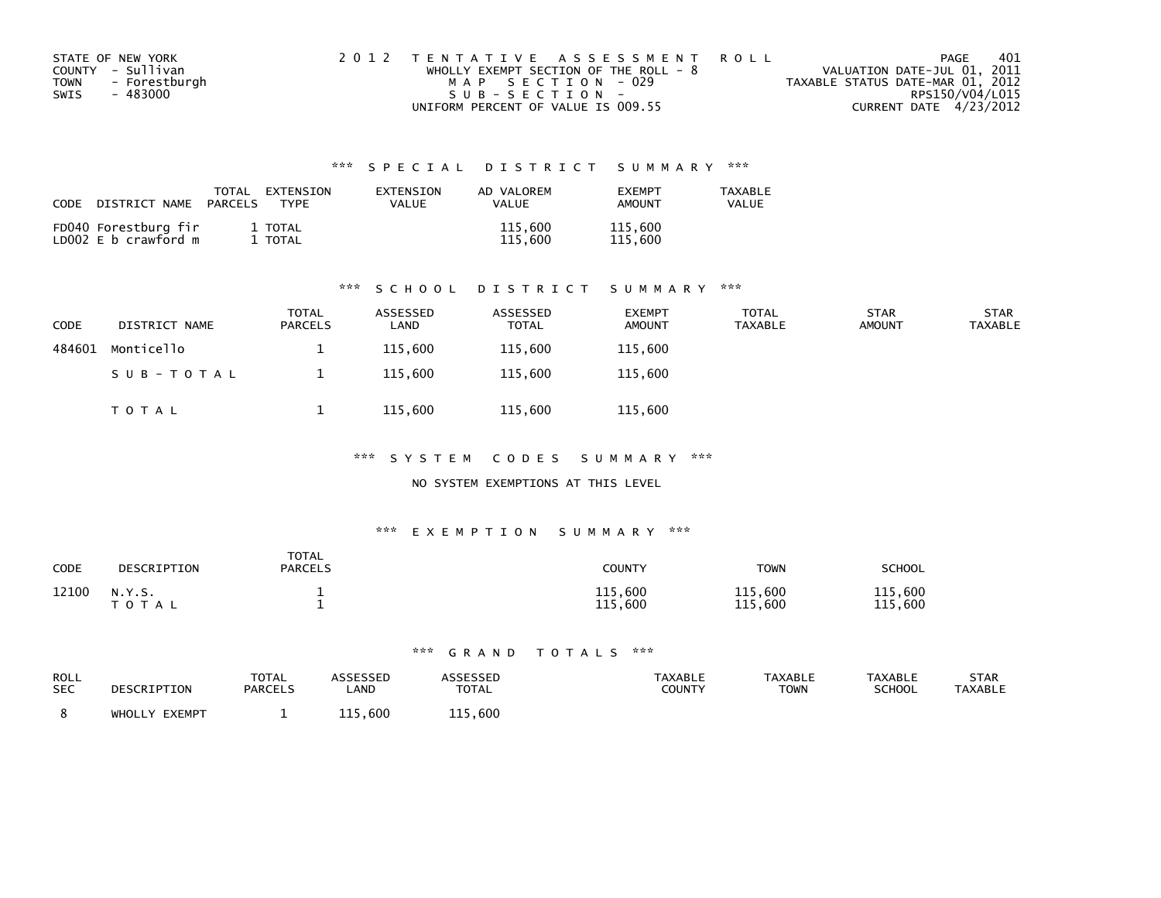|      | STATE OF NEW YORK | 2012 TENTATIVE ASSESSMENT ROLL        | PAGE                             | 401 |
|------|-------------------|---------------------------------------|----------------------------------|-----|
|      | COUNTY - Sullivan | WHOLLY EXEMPT SECTION OF THE ROLL - 8 | VALUATION DATE-JUL 01, 2011      |     |
| TOWN | - Forestburgh     | MAP SECTION - 029                     | TAXABLE STATUS DATE-MAR 01, 2012 |     |
| SWIS | - 483000          | SUB-SECTION-                          | RPS150/V04/L015                  |     |
|      |                   | UNIFORM PERCENT OF VALUE IS 009.55    | CURRENT DATE 4/23/2012           |     |

| CODE<br>DISTRICT NAME                        | <b>TOTAL</b><br>EXTENSION<br>PARCELS<br>TYPF | EXTENSION<br>VALUE | AD VALOREM<br>VALUE | <b>FXFMPT</b><br><b>AMOUNT</b> | <b>TAXABLE</b><br>VALUE |
|----------------------------------------------|----------------------------------------------|--------------------|---------------------|--------------------------------|-------------------------|
| FD040 Forestburg fir<br>LD002 E b crawford m | 1 TOTAL<br>TOTAL                             |                    | 115,600<br>115,600  | 115,600<br>115,600             |                         |

#### \*\*\* S C H O O L D I S T R I C T S U M M A R Y \*\*\*

| <b>CODE</b> | DISTRICT NAME | <b>TOTAL</b><br><b>PARCELS</b> | ASSESSED<br>LAND | ASSESSED<br>TOTAL | <b>EXEMPT</b><br><b>AMOUNT</b> | <b>TOTAL</b><br>TAXABLE | <b>STAR</b><br><b>AMOUNT</b> | <b>STAR</b><br>TAXABLE |
|-------------|---------------|--------------------------------|------------------|-------------------|--------------------------------|-------------------------|------------------------------|------------------------|
| 484601      | Monticello    |                                | 115,600          | 115.600           | 115,600                        |                         |                              |                        |
|             | SUB-TOTAL     |                                | 115,600          | 115,600           | 115,600                        |                         |                              |                        |
|             | TOTAL         |                                | 115,600          | 115,600           | 115,600                        |                         |                              |                        |

\*\*\* S Y S T E M C O D E S S U M M A R Y \*\*\*

#### NO SYSTEM EXEMPTIONS AT THIS LEVEL

#### \*\*\* E X E M P T I O N S U M M A R Y \*\*\*

| CODE  | DESCRIPTION               | <b>TOTAL</b><br><b>PARCELS</b> | COUNTY                            | <b>TOWN</b>        | <b>SCHOOL</b>              |
|-------|---------------------------|--------------------------------|-----------------------------------|--------------------|----------------------------|
| 12100 | N.Y.S.<br>$T \cap T$<br>A |                                | .600<br>115<br>. 600<br>115<br>ᅩㅗ | 115,600<br>115,600 | 115<br>,600<br>115<br>.600 |

| ROLL<br><b>SEC</b> | DESCRIPTION   | <b>TOTAL</b><br><b>PARCELS</b> | <b>_AND</b>          | <b>SESSED</b><br><b>TOTAL</b> | TAXABLE<br>COUNTY | <b>TAXABLE</b><br>TOWN | <b>TAXABLE</b><br><b>SCHOOL</b> | <b>STAR</b><br><b>TAXABLE</b> |
|--------------------|---------------|--------------------------------|----------------------|-------------------------------|-------------------|------------------------|---------------------------------|-------------------------------|
|                    | WHOLLY EXEMPT |                                | 600,<br>11 E L<br>ᅩᅩ | 115,600                       |                   |                        |                                 |                               |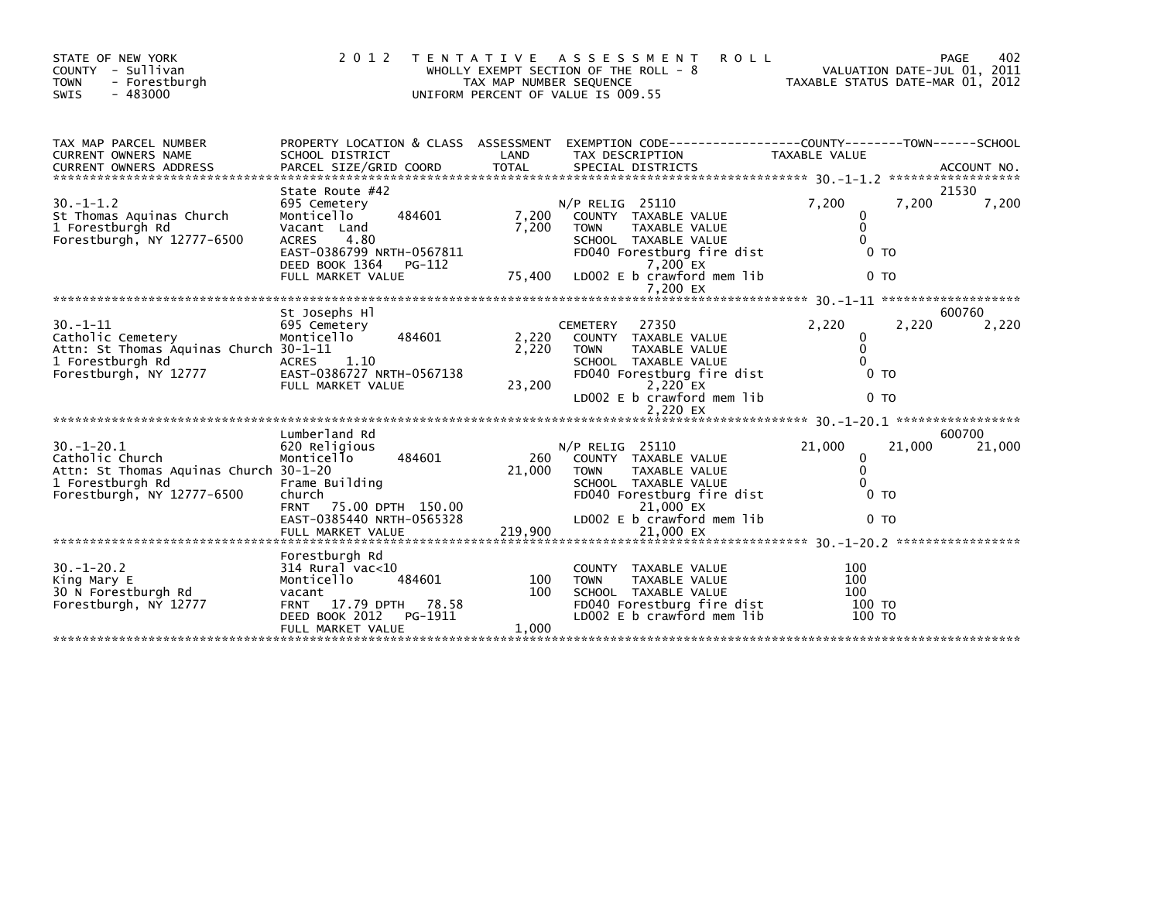| STATE OF NEW YORK<br>COUNTY - Sullivan<br>- Forestburgh<br><b>TOWN</b><br>$-483000$<br>SWIS | 2012                                                            | T E N T A T I V E<br>TAX MAP NUMBER SEQUENCE | A S S E S S M E N T<br><b>ROLL</b><br>WHOLLY EXEMPT SECTION OF THE ROLL - $8$<br>UNIFORM PERCENT OF VALUE IS 009.55 | TAXABLE STATUS DATE-MAR 01, 2012 | 402<br>PAGE<br>VALUATION DATE-JUL 01, 2011 |
|---------------------------------------------------------------------------------------------|-----------------------------------------------------------------|----------------------------------------------|---------------------------------------------------------------------------------------------------------------------|----------------------------------|--------------------------------------------|
| TAX MAP PARCEL NUMBER<br>CURRENT OWNERS NAME                                                | PROPERTY LOCATION & CLASS ASSESSMENT<br>SCHOOL DISTRICT         | LAND                                         | EXEMPTION CODE-----------------COUNTY-------TOWN------SCHOOL<br>TAX DESCRIPTION                                     | TAXABLE VALUE                    |                                            |
| <b>CURRENT OWNERS ADDRESS</b>                                                               | PARCEL SIZE/GRID COORD                                          | <b>TOTAL</b>                                 | SPECIAL DISTRICTS                                                                                                   |                                  | ACCOUNT NO.<br>******************          |
|                                                                                             | State Route #42                                                 |                                              |                                                                                                                     |                                  | 21530                                      |
| $30. - 1 - 1.2$<br>St Thomas Aquinas Church                                                 | 695 Cemetery<br>484601<br>Monticello                            | 7.200                                        | $N/P$ RELIG 25110<br><b>COUNTY</b><br>TAXABLE VALUE                                                                 | 7,200<br>7,200<br>0              | 7,200                                      |
| 1 Forestburgh Rd                                                                            | Vacant Land                                                     | 7,200                                        | <b>TOWN</b><br><b>TAXABLE VALUE</b>                                                                                 | $\mathbf 0$                      |                                            |
| Forestburgh, NY 12777-6500                                                                  | <b>ACRES</b><br>4.80                                            |                                              | SCHOOL TAXABLE VALUE                                                                                                | $\Omega$                         |                                            |
|                                                                                             | EAST-0386799 NRTH-0567811                                       |                                              | FD040 Forestburg fire dist                                                                                          | 0 TO                             |                                            |
|                                                                                             | DEED BOOK 1364<br>$PG-112$<br>FULL MARKET VALUE                 | 75,400                                       | $7.200$ EX<br>LD002 E b crawford mem lib                                                                            | 0 <sub>T</sub>                   |                                            |
|                                                                                             |                                                                 |                                              | 7.200 EX                                                                                                            |                                  |                                            |
|                                                                                             | St Josephs Hl                                                   |                                              |                                                                                                                     |                                  | 600760                                     |
| $30. - 1 - 11$                                                                              | 695 Cemetery                                                    |                                              | 27350<br><b>CEMETERY</b>                                                                                            | 2,220<br>2.220                   | 2,220                                      |
| Catholic Cemetery                                                                           | 484601<br>Monticello                                            | 2,220                                        | COUNTY TAXABLE VALUE                                                                                                | 0                                |                                            |
| Attn: St Thomas Aquinas Church 30-1-11<br>1 Forestburgh Rd                                  | ACRES 1.10                                                      | 2.220                                        | TAXABLE VALUE<br><b>TOWN</b><br>SCHOOL TAXABLE VALUE                                                                | $\mathbf{0}$<br>$\Omega$         |                                            |
| Forestburgh, NY 12777                                                                       | EAST-0386727 NRTH-0567138                                       |                                              | FD040 Forestburg fire dist                                                                                          | 0 <sub>T</sub>                   |                                            |
|                                                                                             | FULL MARKET VALUE                                               | 23,200                                       | 2,220 EX                                                                                                            |                                  |                                            |
|                                                                                             |                                                                 |                                              | LD002 E b crawford mem lib                                                                                          | 0 <sub>T</sub>                   |                                            |
|                                                                                             |                                                                 |                                              |                                                                                                                     |                                  | *****************                          |
|                                                                                             | Lumberland Rd                                                   |                                              |                                                                                                                     |                                  | 600700                                     |
| $30. -1 - 20.1$<br>Catholic Church                                                          | 620 Religious<br>Monticello<br>484601                           | 260                                          | N/P RELIG 25110<br>COUNTY TAXABLE VALUE                                                                             | 21,000<br>21,000<br>0            | 21,000                                     |
| Attn: St Thomas Aquinas Church 30-1-20                                                      |                                                                 | 21,000                                       | TAXABLE VALUE<br><b>TOWN</b>                                                                                        | $\mathbf{0}$                     |                                            |
| 1 Forestburgh Rd                                                                            | Frame Building                                                  |                                              | SCHOOL TAXABLE VALUE                                                                                                | $\Omega$                         |                                            |
| Forestburgh, NY 12777-6500                                                                  | church<br>75.00 DPTH 150.00                                     |                                              | FD040 Forestburg fire dist                                                                                          | 0 <sub>T</sub>                   |                                            |
|                                                                                             | <b>FRNT</b><br>EAST-0385440 NRTH-0565328                        |                                              | 21,000 EX<br>LD002 E b crawford mem lib                                                                             | 0 <sub>T</sub>                   |                                            |
|                                                                                             | FULL MARKET VALUE                                               | 219,900                                      | 21,000 EX                                                                                                           |                                  |                                            |
|                                                                                             |                                                                 |                                              |                                                                                                                     |                                  |                                            |
| $30. - 1 - 20.2$                                                                            | Forestburgh Rd<br>$314$ Rural vac<10                            |                                              | COUNTY TAXABLE VALUE                                                                                                | 100                              |                                            |
| King Mary E                                                                                 | Monticello<br>484601                                            | 100                                          | <b>TOWN</b><br><b>TAXABLE VALUE</b>                                                                                 | 100                              |                                            |
| 30 N Forestburgh Rd                                                                         | vacant                                                          | 100                                          | SCHOOL TAXABLE VALUE                                                                                                | 100                              |                                            |
| Forestburgh, NY 12777                                                                       | 17.79 DPTH<br>78.58<br><b>FRNT</b><br>DEED BOOK 2012<br>PG-1911 |                                              | FD040 Forestburg fire dist<br>LD002 E b crawford mem lib                                                            | 100 TO<br>100 TO                 |                                            |
|                                                                                             | FULL MARKET VALUE                                               | 1.000                                        |                                                                                                                     |                                  |                                            |
|                                                                                             |                                                                 |                                              |                                                                                                                     |                                  |                                            |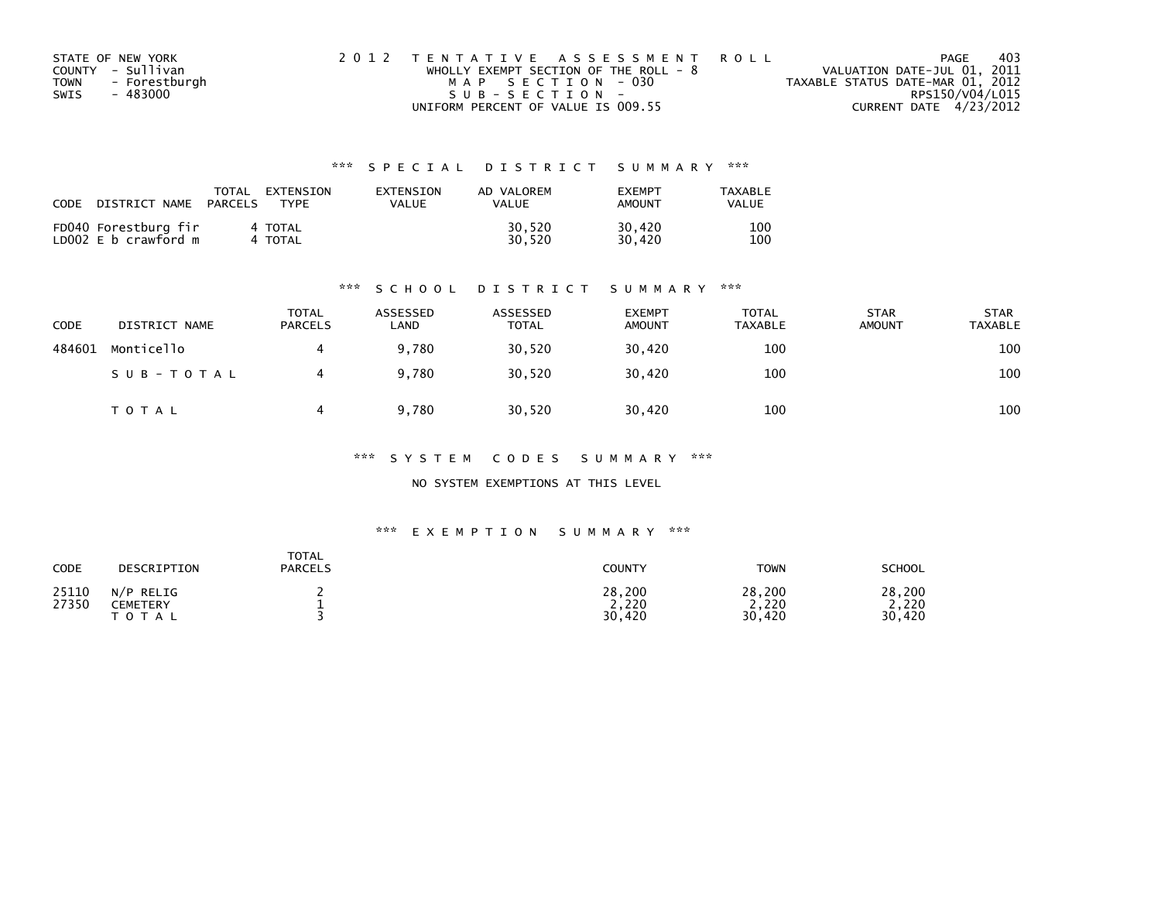| STATE OF NEW YORK            | 2012 TENTATIVE ASSESSMENT ROLL          | 403<br>PAGE                      |
|------------------------------|-----------------------------------------|----------------------------------|
| COUNTY - Sullivan            | WHOLLY EXEMPT SECTION OF THE ROLL - $8$ | VALUATION DATE-JUL 01, 2011      |
| <b>TOWN</b><br>- Forestburgh | MAP SECTION - 030                       | TAXABLE STATUS DATE-MAR 01, 2012 |
| - 483000<br>SWIS             | $SUB - SECTION -$                       | RPS150/V04/L015                  |
|                              | UNIFORM PERCENT OF VALUE IS 009.55      | CURRENT DATE 4/23/2012           |

| CODE | DISTRICT NAME                                | TOTAL<br>PARCELS | EXTENSION<br><b>TYPF</b> | EXTENSION<br>VALUE | AD VALOREM<br><b>VALUE</b> | <b>EXEMPT</b><br>AMOUNT | TAXABLE<br>VALUE |
|------|----------------------------------------------|------------------|--------------------------|--------------------|----------------------------|-------------------------|------------------|
|      | FD040 Forestburg fir<br>LD002 E b crawford m |                  | 4 TOTAL<br>4 TOTAL       |                    | 30.520<br>30.520           | 30.420<br>30.420        | 100<br>100       |

#### \*\*\* S C H O O L D I S T R I C T S U M M A R Y \*\*\*

| CODE   | DISTRICT NAME | <b>TOTAL</b><br><b>PARCELS</b> | ASSESSED<br>LAND | ASSESSED<br><b>TOTAL</b> | <b>EXEMPT</b><br><b>AMOUNT</b> | <b>TOTAL</b><br><b>TAXABLE</b> | <b>STAR</b><br><b>AMOUNT</b> | <b>STAR</b><br>TAXABLE |
|--------|---------------|--------------------------------|------------------|--------------------------|--------------------------------|--------------------------------|------------------------------|------------------------|
| 484601 | Monticello    |                                | 9.780            | 30,520                   | 30.420                         | 100                            |                              | 100                    |
|        | SUB-TOTAL     |                                | 9,780            | 30,520                   | 30,420                         | 100                            |                              | 100                    |
|        | T O T A L     |                                | 9.780            | 30,520                   | 30,420                         | 100                            |                              | 100                    |

\*\*\* S Y S T E M C O D E S S U M M A R Y \*\*\*

NO SYSTEM EXEMPTIONS AT THIS LEVEL

| CODE           | DESCRIPTION                           | TOTAL<br><b>PARCELS</b> | COUNTY                    | <b>TOWN</b>               | <b>SCHOOL</b>                 |
|----------------|---------------------------------------|-------------------------|---------------------------|---------------------------|-------------------------------|
| 25110<br>27350 | N/P<br>RELIG<br>CEMETERY<br>T O T A L |                         | 28,200<br>2,220<br>30,420 | 28,200<br>2,220<br>30,420 | 28,200<br>.220<br>.420<br>30. |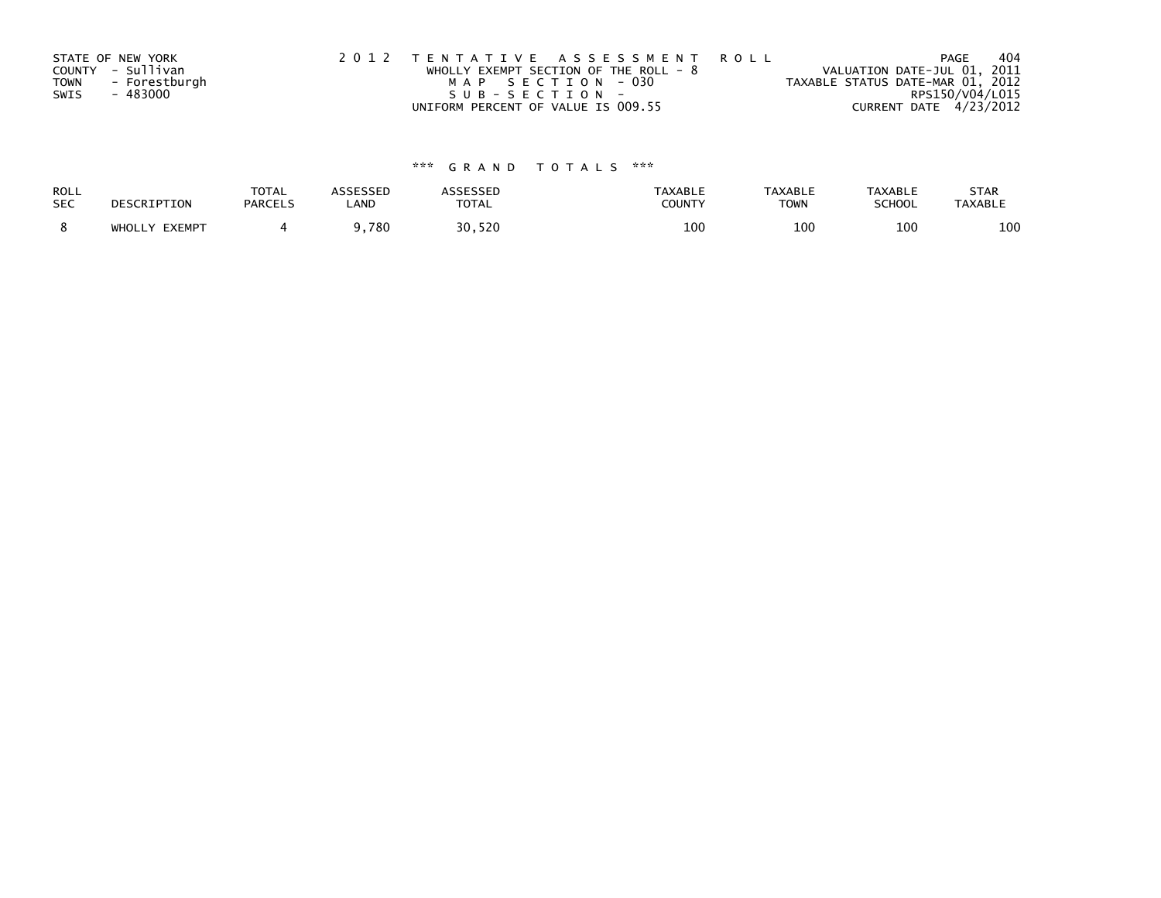|             | STATE OF NEW YORK | 2012 TENTATIVE ASSESSMENT ROLL        | PAGE                             | 404 |
|-------------|-------------------|---------------------------------------|----------------------------------|-----|
|             | COUNTY - Sullivan | WHOLLY EXEMPT SECTION OF THE ROLL - 8 | VALUATION DATE-JUL 01, 2011      |     |
| <b>TOWN</b> | - Forestburgh     | MAP SECTION - 030                     | TAXABLE STATUS DATE-MAR 01, 2012 |     |
| SWIS        | - 483000          | SUB-SECTION-                          | RPS150/V04/L015                  |     |
|             |                   | UNIFORM PERCENT OF VALUE IS 009.55    | CURRENT DATE 4/23/2012           |     |

| ROLL       | DESCRIPTION   | <b>TOTAL</b>   | <b>ASSESSED</b> | <b>ASSESSED</b> | <b>TAXABLE</b> | <b>TAXABLE</b> | <b>TAXABLE</b> | <b>STAR</b>    |
|------------|---------------|----------------|-----------------|-----------------|----------------|----------------|----------------|----------------|
| <b>SEC</b> |               | <b>PARCELS</b> | LAND            | <b>TOTAL</b>    | <b>COUNTY</b>  | <b>TOWN</b>    | SCHOOL         | <b>TAXABLE</b> |
|            | WHOLLY EXEMPT |                | ,780            | 30,520          | 100            | 100            | 100            | 100            |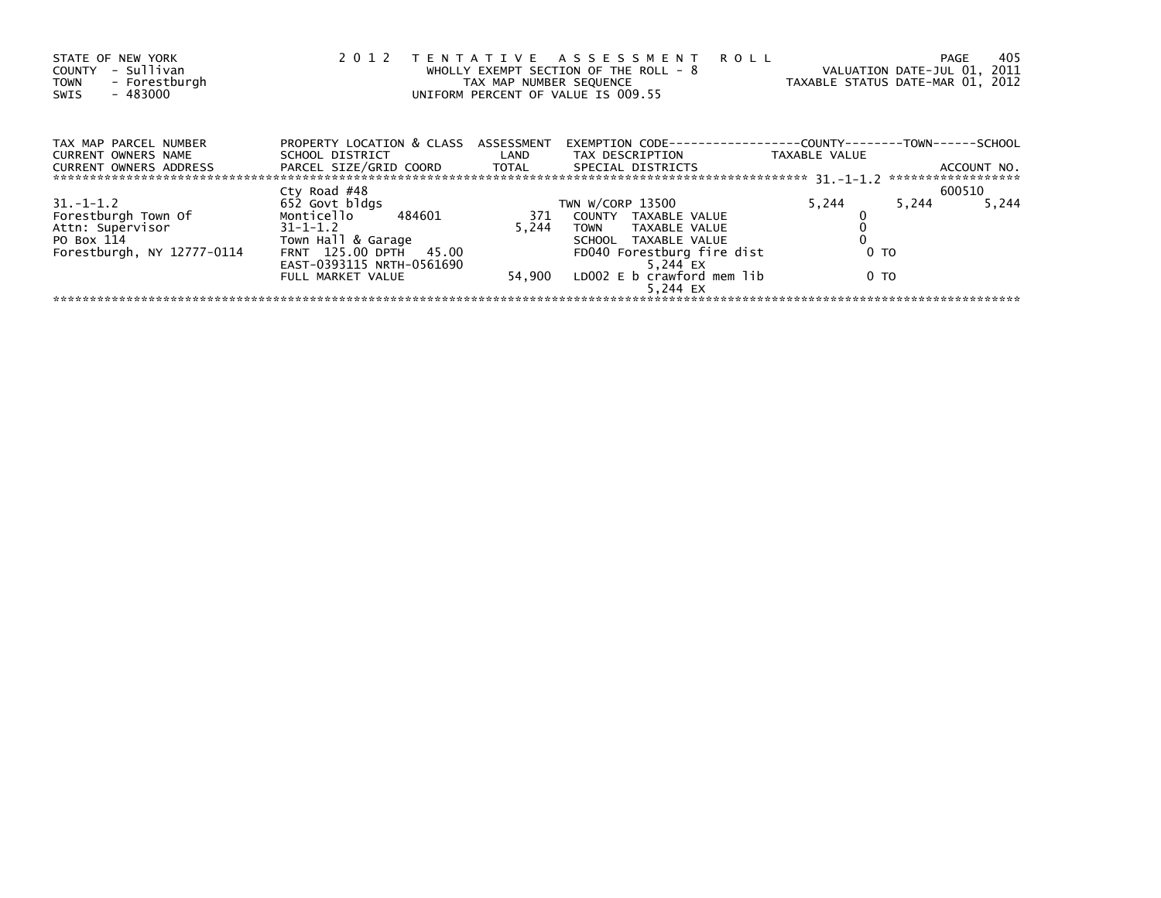| STATE OF NEW YORK<br>- Sullivan<br>COUNTY<br>- Forestburgh<br><b>TOWN</b><br>- 483000<br>SWIS | 2 0 1 2                                        | TAX MAP NUMBER SEQUENCE | TENTATIVE ASSESSMENT ROLL<br>WHOLLY EXEMPT SECTION OF THE ROLL - 8<br>UNIFORM PERCENT OF VALUE IS 009.55 |               | 405<br>PAGE<br>VALUATION DATE-JUL 01, 2011<br>TAXABLE STATUS DATE-MAR 01, 2012 |
|-----------------------------------------------------------------------------------------------|------------------------------------------------|-------------------------|----------------------------------------------------------------------------------------------------------|---------------|--------------------------------------------------------------------------------|
| TAX MAP PARCEL NUMBER<br>CURRENT OWNERS NAME                                                  | PROPERTY LOCATION & CLASS ASSESSMENT           |                         | EXEMPTION        CODE-----------------COUNTY-------TOWN------SCHOOL                                      | TAXABLE VALUE |                                                                                |
| <b>CURRENT OWNERS ADDRESS</b>                                                                 | PARCEL SIZE/GRID COORD TOTAL SPECIAL DISTRICTS |                         |                                                                                                          |               | ACCOUNT NO.<br>******************                                              |
|                                                                                               | Cty Road #48                                   |                         |                                                                                                          |               | 600510                                                                         |
| $31. -1 - 1.2$                                                                                | 652 Govt bldgs                                 |                         | TWN W/CORP 13500                                                                                         | 5,244         | 5,244<br>5,244                                                                 |
| Forestburgh Town Of                                                                           | Monticello 484601                              |                         | 371 COUNTY TAXABLE VALUE                                                                                 |               |                                                                                |
| Attn: Supervisor                                                                              | $31 - 1 - 1.2$                                 | 5.244                   | TOWN TAXABLE VALUE                                                                                       |               |                                                                                |
| PO Box 114                                                                                    | Town Hall & Garage                             |                         | SCHOOL TAXABLE VALUE                                                                                     |               |                                                                                |
| Forestburgh, NY 12777-0114                                                                    | FRNT 125.00 DPTH 45.00                         |                         | FD040 Forestburg fire dist                                                                               | 0 TO          |                                                                                |
|                                                                                               | EAST-0393115 NRTH-0561690                      |                         | 5.244 EX                                                                                                 |               |                                                                                |
|                                                                                               | FULL MARKET VALUE                              |                         | 54,900 LD002 E b crawford mem lib<br>5.244 EX                                                            | 0 TO          |                                                                                |
|                                                                                               |                                                |                         |                                                                                                          |               |                                                                                |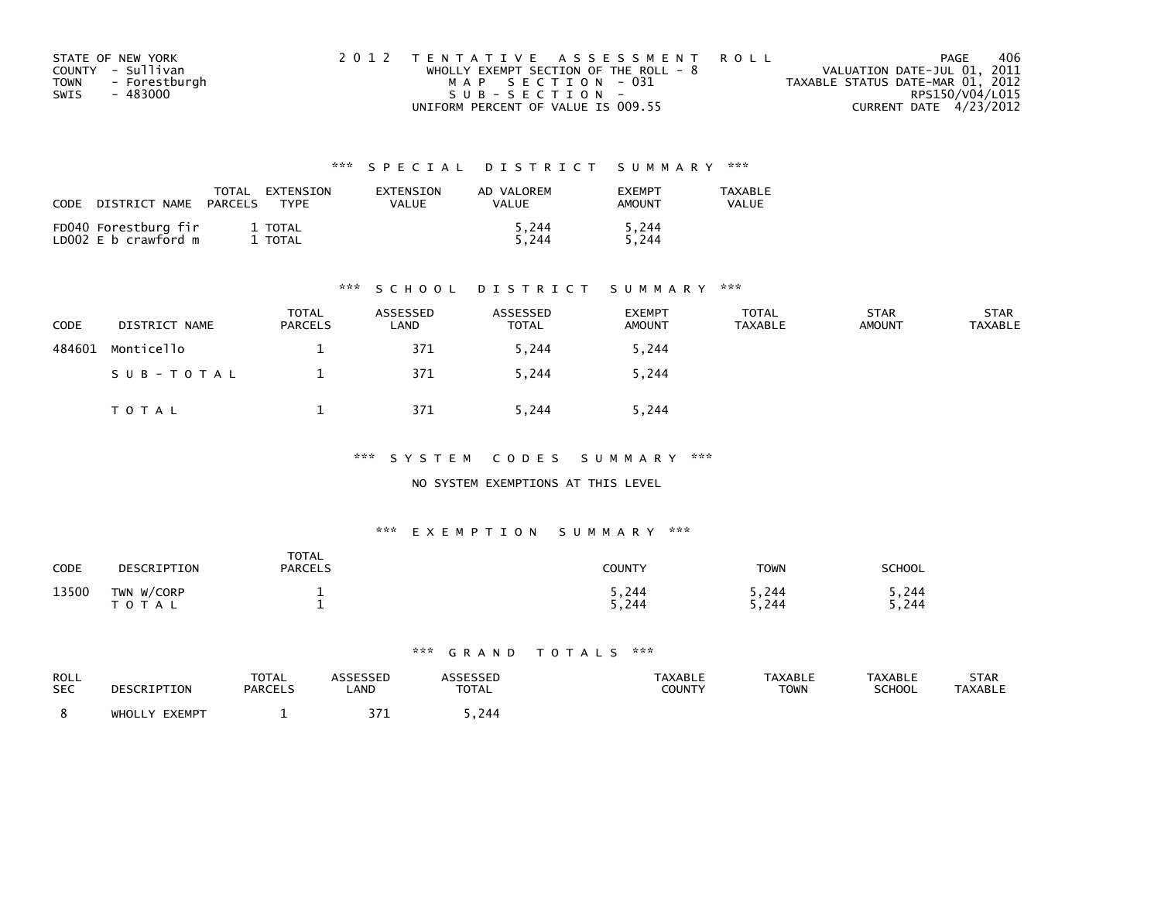| STATE OF NEW YORK            | 2012 TENTATIVE ASSESSMENT ROLL        | PAGE                             | 406 |
|------------------------------|---------------------------------------|----------------------------------|-----|
| COUNTY - Sullivan            | WHOLLY EXEMPT SECTION OF THE ROLL - 8 | VALUATION DATE-JUL 01, 2011      |     |
| - Forestburgh<br><b>TOWN</b> | MAP SECTION - 031                     | TAXABLE STATUS DATE-MAR 01, 2012 |     |
| - 483000<br>SWIS             | SUB-SECTION-                          | RPS150/V04/L015                  |     |
|                              | UNIFORM PERCENT OF VALUE IS 009.55    | CURRENT DATE 4/23/2012           |     |

| CODE | DISTRICT NAME                                | TOTAL<br>PARCELS | EXTENSION<br><b>TYPF</b> | EXTENSION<br>VALUE | AD VALOREM<br>VALUE | <b>FXFMPT</b><br><b>AMOUNT</b> | <b>TAXABLE</b><br>VALUE |
|------|----------------------------------------------|------------------|--------------------------|--------------------|---------------------|--------------------------------|-------------------------|
|      | FD040 Forestburg fir<br>LD002 E b crawford m |                  | 1 TOTAL<br>TOTAL         |                    | 5.244<br>5.244      | 5,244<br>5.244                 |                         |

#### \*\*\* S C H O O L D I S T R I C T S U M M A R Y \*\*\*

| <b>CODE</b> | DISTRICT NAME | <b>TOTAL</b><br><b>PARCELS</b> | ASSESSED<br>LAND | ASSESSED<br><b>TOTAL</b> | <b>EXEMPT</b><br><b>AMOUNT</b> | <b>TOTAL</b><br>TAXABLE | <b>STAR</b><br><b>AMOUNT</b> | <b>STAR</b><br><b>TAXABLE</b> |
|-------------|---------------|--------------------------------|------------------|--------------------------|--------------------------------|-------------------------|------------------------------|-------------------------------|
| 484601      | Monticello    |                                | 371              | 5,244                    | 5,244                          |                         |                              |                               |
|             | SUB-TOTAL     |                                | 371              | 5,244                    | 5,244                          |                         |                              |                               |
|             | T O T A L     |                                | 371              | 5,244                    | 5,244                          |                         |                              |                               |

\*\*\* S Y S T E M C O D E S S U M M A R Y \*\*\*

#### NO SYSTEM EXEMPTIONS AT THIS LEVEL

#### \*\*\* E X E M P T I O N S U M M A R Y \*\*\*

| CODE  | DESCRIPTION                | <b>TOTAL</b><br><b>PARCELS</b> | COUNTY         | <b>TOWN</b>    | <b>SCHOOL</b>   |
|-------|----------------------------|--------------------------------|----------------|----------------|-----------------|
| 13500 | TWN W/CORP<br><b>TOTAL</b> |                                | 5,244<br>5,244 | 5,244<br>5,244 | 5,244<br>244. د |

| ROLL       | DESCRIPTION   | TOTAL   | <b>ASSESSED</b> | <b>ASSESSED</b> | <b>TAXABLE</b> | <b>TAXABLE</b> | <b>TAXABLE</b> | STAR           |
|------------|---------------|---------|-----------------|-----------------|----------------|----------------|----------------|----------------|
| <b>SEC</b> |               | PARCELS | _AND            | <b>TOTAL</b>    | COUNTY         | <b>TOWN</b>    | <b>SCHOOL</b>  | <b>TAXABLE</b> |
|            | WHOLLY EXEMPT |         |                 | 244. ز          |                |                |                |                |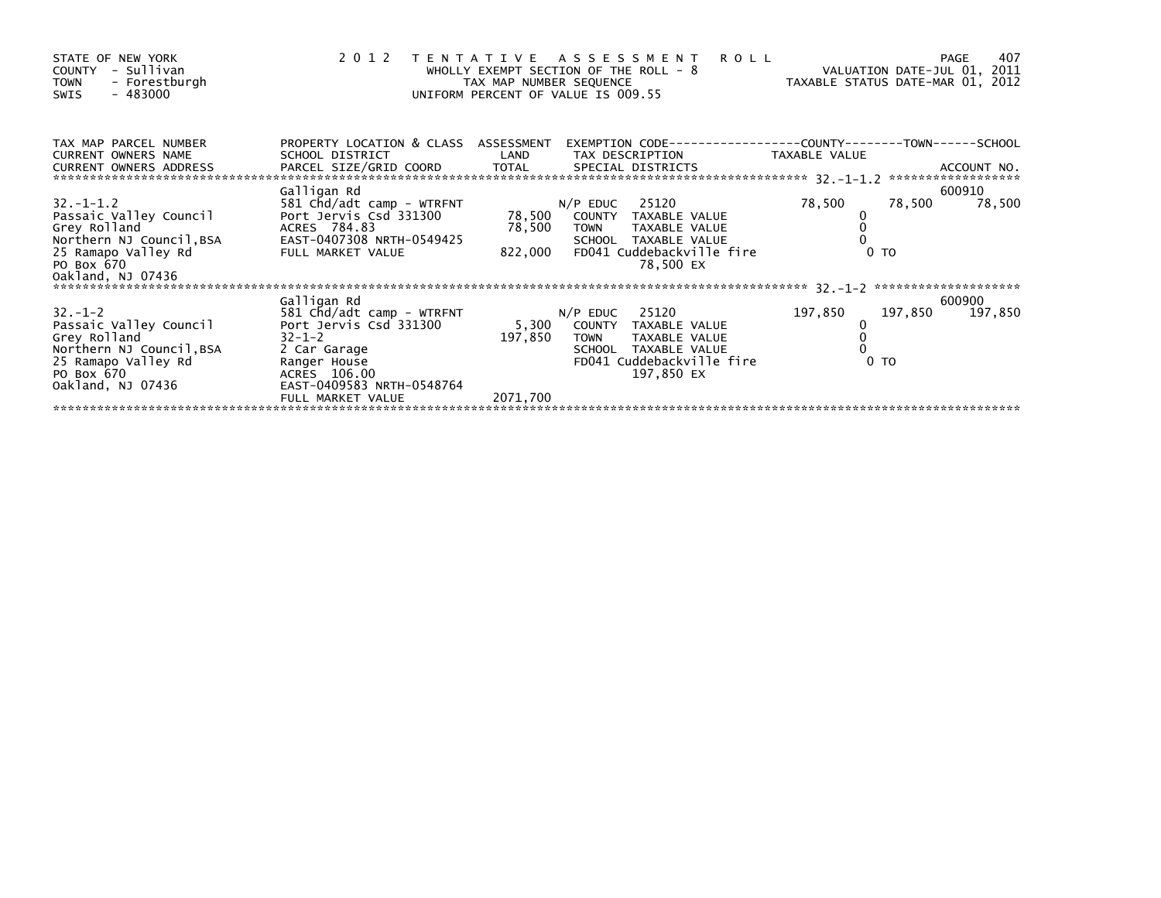| STATE OF NEW YORK<br>- Sullivan<br><b>COUNTY</b><br>- Forestburgh<br><b>TOWN</b><br>- 483000<br>SWIS | 2 0 1 2<br><b>ROLL</b><br>A S S E S S M E N T<br>PAGE<br>T E N T A T I V E<br>VALUATION DATE-JUL 01, 2011<br>WHOLLY EXEMPT SECTION OF THE ROLL - $8$<br>TAX MAP NUMBER SEQUENCE<br>TAXABLE STATUS DATE-MAR 01, 2012<br>UNIFORM PERCENT OF VALUE IS 009.55 |               |                                             |               |                |                    |  |
|------------------------------------------------------------------------------------------------------|-----------------------------------------------------------------------------------------------------------------------------------------------------------------------------------------------------------------------------------------------------------|---------------|---------------------------------------------|---------------|----------------|--------------------|--|
| TAX MAP PARCEL NUMBER<br>CURRENT OWNERS NAME<br><b>CURRENT OWNERS ADDRESS</b>                        | PROPERTY LOCATION & CLASS ASSESSMENT<br>SCHOOL DISTRICT<br>PARCEL SIZE/GRID COORD                                                                                                                                                                         | LAND<br>TOTAL | TAX DESCRIPTION<br>SPECIAL DISTRICTS        | TAXABLE VALUE |                | ACCOUNT NO.        |  |
|                                                                                                      |                                                                                                                                                                                                                                                           |               |                                             |               |                | ****************** |  |
|                                                                                                      | Galligan Rd                                                                                                                                                                                                                                               |               |                                             |               |                | 600910             |  |
| $32. - 1 - 1.2$<br>Passaic Valley Council                                                            | 581 Chd/adt camp - WTRFNT<br>Port Jervis Csd 331300                                                                                                                                                                                                       | 78,500        | 25120<br>$N/P$ EDUC<br>COUNTY TAXABLE VALUE | 78,500        | 78,500         | 78,500             |  |
| Grey Rolland                                                                                         | ACRES 784.83                                                                                                                                                                                                                                              | 78,500        | TAXABLE VALUE<br><b>TOWN</b>                |               |                |                    |  |
| Northern NJ Council, BSA                                                                             | EAST-0407308 NRTH-0549425                                                                                                                                                                                                                                 |               | SCHOOL TAXABLE VALUE                        |               |                |                    |  |
| 25 Ramapo Valley Rd                                                                                  | FULL MARKET VALUE                                                                                                                                                                                                                                         | 822,000       | FD041 Cuddebackville fire                   |               | 0 <sub>T</sub> |                    |  |
| PO Box 670                                                                                           |                                                                                                                                                                                                                                                           |               | 78,500 EX                                   |               |                |                    |  |
| Oakland, NJ 07436                                                                                    |                                                                                                                                                                                                                                                           |               |                                             |               |                |                    |  |
|                                                                                                      | Galligan Rd                                                                                                                                                                                                                                               |               |                                             |               |                | 600900             |  |
| $32 - 1 - 2$                                                                                         | 581 Chd/adt camp - WTRFNT                                                                                                                                                                                                                                 |               | 25120<br>$N/P$ EDUC                         | 197,850       | 197,850        | 197,850            |  |
| Passaic Valley Council                                                                               | Port Jervis Csd 331300                                                                                                                                                                                                                                    | 5,300         | COUNTY TAXABLE VALUE                        |               |                |                    |  |
| Grey Rolland                                                                                         | $32 - 1 - 2$                                                                                                                                                                                                                                              | 197,850       | TAXABLE VALUE<br><b>TOWN</b>                |               |                |                    |  |
| Northern NJ Council, BSA                                                                             | 2 Car Garage                                                                                                                                                                                                                                              |               | TAXABLE VALUE<br>SCHOOL                     |               |                |                    |  |
| 25 Ramapo Valley Rd                                                                                  | Ranger House                                                                                                                                                                                                                                              |               | FD041 Cuddebackville fire                   |               | 0 TO           |                    |  |
| PO Box 670<br>Oakland, NJ 07436                                                                      | ACRES 106.00<br>EAST-0409583 NRTH-0548764                                                                                                                                                                                                                 |               | 197,850 EX                                  |               |                |                    |  |
|                                                                                                      | FULL MARKET VALUE                                                                                                                                                                                                                                         | 2071,700      |                                             |               |                |                    |  |
|                                                                                                      |                                                                                                                                                                                                                                                           |               |                                             |               |                |                    |  |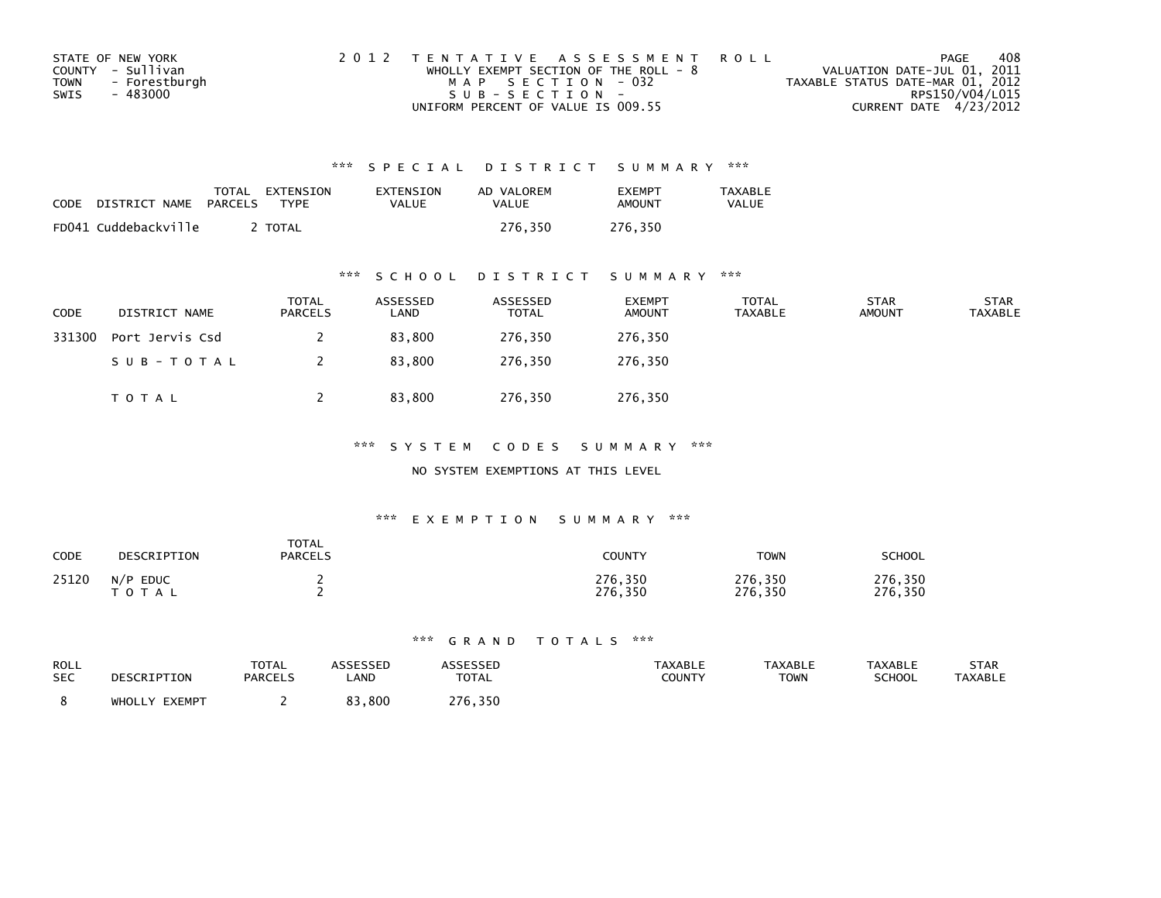| STATE OF NEW YORK            | 2012 TENTATIVE ASSESSMENT ROLL          | PAGE                             | 408 |
|------------------------------|-----------------------------------------|----------------------------------|-----|
| COUNTY - Sullivan            | WHOLLY EXEMPT SECTION OF THE ROLL - $8$ | VALUATION DATE-JUL 01, 2011      |     |
| - Forestburgh<br><b>TOWN</b> | MAP SECTION - 032                       | TAXABLE STATUS DATE-MAR 01, 2012 |     |
| SWIS<br>- 483000             | $SUB - SECTION -$                       | RPS150/V04/L015                  |     |
|                              | UNIFORM PERCENT OF VALUE IS 009.55      | CURRENT DATE 4/23/2012           |     |

| CODE | DISTRICT NAME        | TOTAL<br>PARCELS | EXTENSION<br><b>TYPF</b> | EXTENSION<br>VALUE | AD VALOREM<br>VALUE | <b>FXFMPT</b><br>AMOUNT | <b>TAXABLE</b><br><b>VALUE</b> |
|------|----------------------|------------------|--------------------------|--------------------|---------------------|-------------------------|--------------------------------|
|      | FD041 Cuddebackville |                  | <b>TOTAL</b>             |                    | 276.350             | 276.350                 |                                |

### \*\*\* S C H O O L D I S T R I C T S U M M A R Y \*\*\*

| CODE   | DISTRICT NAME   | <b>TOTAL</b><br><b>PARCELS</b> | ASSESSED<br>LAND | ASSESSED<br><b>TOTAL</b> | <b>EXEMPT</b><br><b>AMOUNT</b> | <b>TOTAL</b><br><b>TAXABLE</b> | <b>STAR</b><br><b>AMOUNT</b> | <b>STAR</b><br><b>TAXABLE</b> |
|--------|-----------------|--------------------------------|------------------|--------------------------|--------------------------------|--------------------------------|------------------------------|-------------------------------|
| 331300 | Port Jervis Csd |                                | 83,800           | 276,350                  | 276,350                        |                                |                              |                               |
|        | SUB-TOTAL       |                                | 83,800           | 276.350                  | 276,350                        |                                |                              |                               |
|        | <b>TOTAL</b>    |                                | 83,800           | 276,350                  | 276,350                        |                                |                              |                               |

\*\*\* S Y S T E M C O D E S S U M M A R Y \*\*\*

NO SYSTEM EXEMPTIONS AT THIS LEVEL

### \*\*\* E X E M P T I O N S U M M A R Y \*\*\*

| CODE  | DESCRIPTION                     | <b>TOTAL</b><br><b>PARCELS</b> | COUNTY             | <b>TOWN</b>        | <b>SCHOOL</b>      |
|-------|---------------------------------|--------------------------------|--------------------|--------------------|--------------------|
| 25120 | <b>EDUC</b><br>N/P<br>T O T A L |                                | 276,350<br>276,350 | 276,350<br>276,350 | 276,350<br>276,350 |

| ROLL<br><b>SEC</b> | DESCRIPTION      | <b>TOTAL</b><br><b>PARCELS</b> | ASSESSED<br>LAND | ASSESSED<br><b>TOTAL</b> | <b>TAXABLE</b><br>COUNTY | <b>TAXABLE</b><br><b>TOWN</b> | <b>TAXABLE</b><br><b>SCHOOL</b> | <b>STAR</b><br><b>TAXABLE</b> |
|--------------------|------------------|--------------------------------|------------------|--------------------------|--------------------------|-------------------------------|---------------------------------|-------------------------------|
|                    | EXEMPT<br>WHOLLY |                                | 83,800           | 276,350                  |                          |                               |                                 |                               |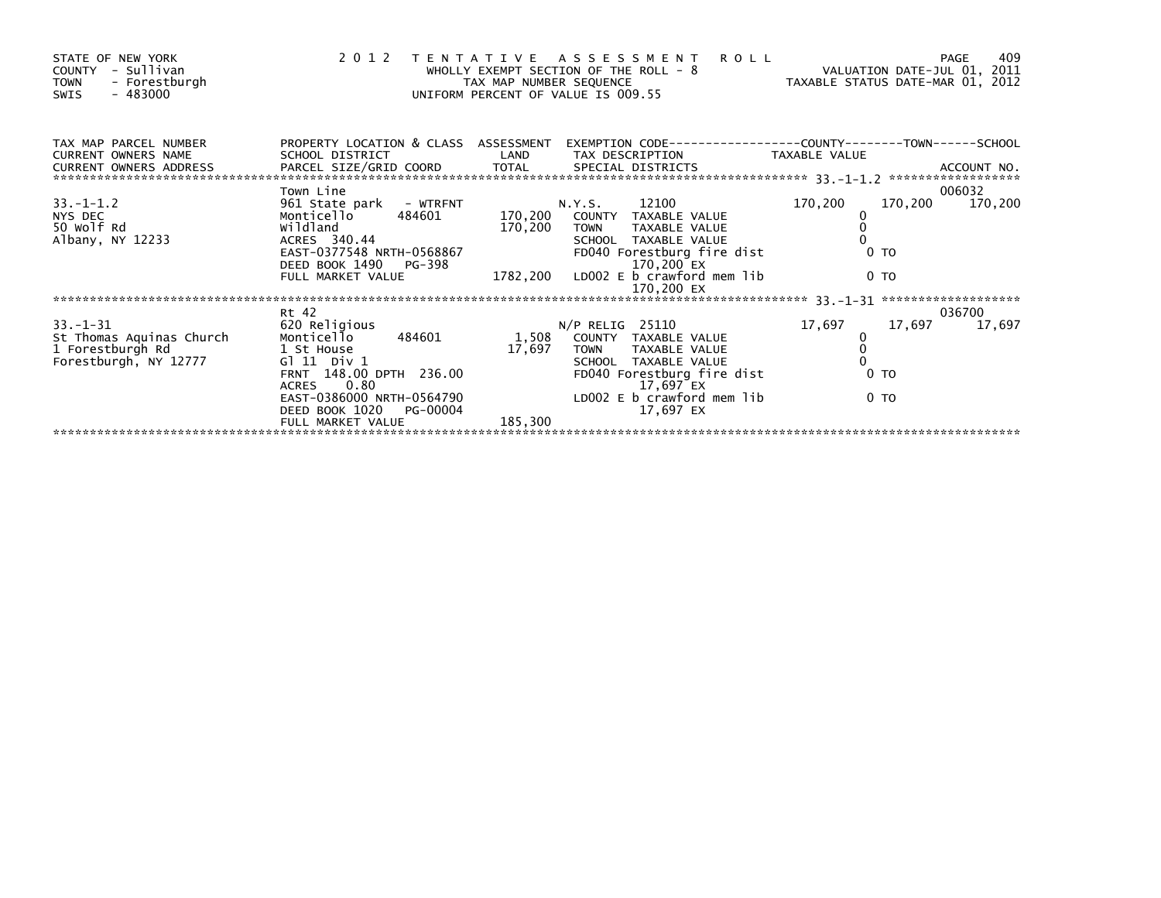| STATE OF NEW YORK<br>- Sullivan<br>COUNTY<br><b>TOWN</b><br>- Forestburgh<br>- 483000<br>SWIS | 2012 TENTATIVE                                                                                                                                                                                              | TAX MAP NUMBER SEQUENCE    | <b>ROLL</b><br>A S S E S S M E N T<br>WHOLLY EXEMPT SECTION OF THE ROLL - 8<br>UNIFORM PERCENT OF VALUE IS 009.55                                                                       | VALUATION DATE-JUL 01, 2011<br>TAXABLE STATUS DATE-MAR 01, 2012                              | 409<br>PAGE      |
|-----------------------------------------------------------------------------------------------|-------------------------------------------------------------------------------------------------------------------------------------------------------------------------------------------------------------|----------------------------|-----------------------------------------------------------------------------------------------------------------------------------------------------------------------------------------|----------------------------------------------------------------------------------------------|------------------|
| TAX MAP PARCEL NUMBER<br><b>CURRENT OWNERS NAME</b>                                           | SCHOOL DISTRICT                                                                                                                                                                                             | LAND                       | PROPERTY LOCATION & CLASS ASSESSMENT EXEMPTION CODE----------------COUNTY-------TOWN-----SCHOOL<br>TAX DESCRIPTION TAXABLE VALUE                                                        |                                                                                              |                  |
|                                                                                               | Town Line                                                                                                                                                                                                   |                            |                                                                                                                                                                                         |                                                                                              | 006032           |
| $33. - 1 - 1.2$<br>NYS DEC<br>50 Wolf Rd<br>Albany, NY 12233                                  | 961 State park - WTRFNT<br>484601<br>Monticello<br>wildland<br>ACRES 340.44<br>EAST-0377548 NRTH-0568867<br>DEED BOOK 1490 PG-398                                                                           | 170,200                    | N.Y.S. 12100<br>170,200 COUNTY TAXABLE VALUE<br><b>TOWN</b><br>TAXABLE VALUE<br>SCHOOL TAXABLE VALUE<br>FD040 Forestburg fire dist<br>170,200 EX                                        | 170,200<br>0 <sub>T</sub>                                                                    | 170,200 170,200  |
|                                                                                               | FULL MARKET VALUE                                                                                                                                                                                           |                            | 1782,200 LD002 E b crawford mem lib                                                                                                                                                     | 0 <sub>T</sub>                                                                               |                  |
|                                                                                               |                                                                                                                                                                                                             |                            |                                                                                                                                                                                         |                                                                                              |                  |
| $33 - 1 - 31$<br>St Thomas Aquinas Church<br>1 Forestburgh Rd<br>Forestburgh, NY 12777        | Rt 42<br>620 Religious<br>Monticello 484601<br>1 St House<br>G1 11 Div 1<br>FRNT 148.00 DPTH 236.00<br>0.80<br><b>ACRES</b><br>EAST-0386000 NRTH-0564790<br>DEED BOOK 1020<br>PG-00004<br>FULL MARKET VALUE | 1,508<br>17,697<br>185,300 | $N/P$ RELIG 25110<br>COUNTY TAXABLE VALUE<br>TAXABLE VALUE<br><b>TOWN</b><br>SCHOOL TAXABLE VALUE<br>FD040 Forestburg fire dist<br>17,697 EX<br>LD002 E b crawford mem lib<br>17,697 EX | 17,697<br>17,697<br>$\begin{matrix} 0 \\ 0 \end{matrix}$<br>0 <sub>T</sub><br>0 <sub>T</sub> | 036700<br>17,697 |
|                                                                                               |                                                                                                                                                                                                             |                            |                                                                                                                                                                                         |                                                                                              |                  |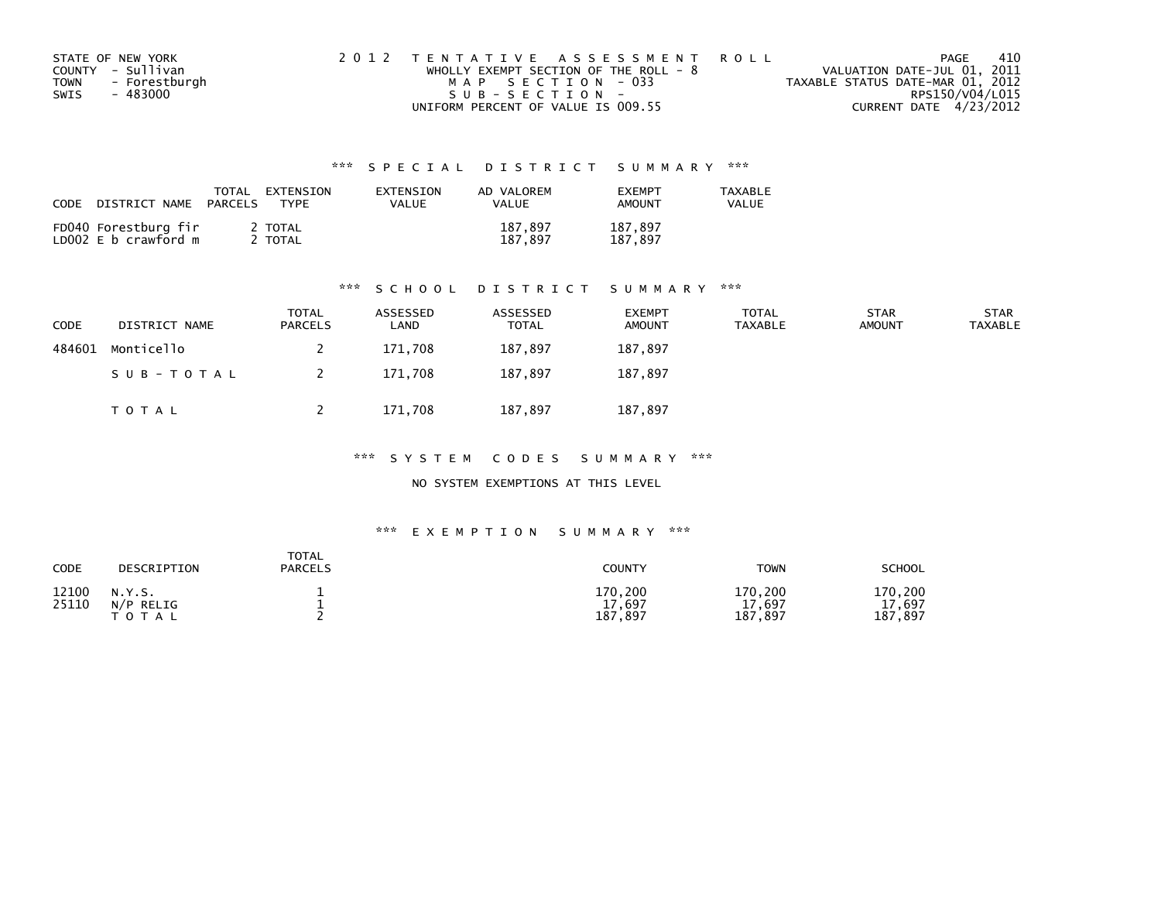| STATE OF NEW YORK            | 2012 TENTATIVE ASSESSMENT ROLL          | PAGE                             | -410 |
|------------------------------|-----------------------------------------|----------------------------------|------|
| COUNTY - Sullivan            | WHOLLY EXEMPT SECTION OF THE ROLL - $8$ | VALUATION DATE-JUL 01, 2011      |      |
| <b>TOWN</b><br>- Forestburgh | MAP SECTION - 033                       | TAXABLE STATUS DATE-MAR 01, 2012 |      |
| SWIS<br>- 483000             | SUB-SECTION-                            | RPS150/V04/L015                  |      |
|                              | UNIFORM PERCENT OF VALUE IS 009.55      | CURRENT DATE 4/23/2012           |      |

| CODE<br>DISTRICT NAME                        | <b>TOTAL</b><br>EXTENSION<br>PARCELS<br>TYPF | EXTENSION<br>VALUE | AD VALOREM<br>VALUE | <b>FXFMPT</b><br><b>AMOUNT</b> | <b>TAXABLE</b><br>VALUE |
|----------------------------------------------|----------------------------------------------|--------------------|---------------------|--------------------------------|-------------------------|
| FD040 Forestburg fir<br>LD002 E b crawford m | 2 TOTAL<br>TOTAL                             |                    | 187,897<br>187.897  | 187.897<br>187.897             |                         |

#### \*\*\* S C H O O L D I S T R I C T S U M M A R Y \*\*\*

| CODE   | DISTRICT NAME | <b>TOTAL</b><br><b>PARCELS</b> | ASSESSED<br>LAND | ASSESSED<br>TOTAL | <b>EXEMPT</b><br><b>AMOUNT</b> | TOTAL<br>TAXABLE | <b>STAR</b><br><b>AMOUNT</b> | <b>STAR</b><br>TAXABLE |
|--------|---------------|--------------------------------|------------------|-------------------|--------------------------------|------------------|------------------------------|------------------------|
| 484601 | Monticello    |                                | 171,708          | 187,897           | 187,897                        |                  |                              |                        |
|        | SUB-TOTAL     | 2                              | 171,708          | 187.897           | 187,897                        |                  |                              |                        |
|        | TOTAL         |                                | 171,708          | 187,897           | 187,897                        |                  |                              |                        |

\*\*\* S Y S T E M C O D E S S U M M A R Y \*\*\*

NO SYSTEM EXEMPTIONS AT THIS LEVEL

| CODE           | DESCRIPTION                         | <b>TOTAL</b><br>PARCELS | <b>COUNTY</b>                    | <b>TOWN</b>                      | <b>SCHOOL</b>                |
|----------------|-------------------------------------|-------------------------|----------------------------------|----------------------------------|------------------------------|
| 12100<br>25110 | N.Y.S.<br>N/P RELIG<br><b>TOTAL</b> |                         | 170,200<br>17,697<br>187<br>.897 | 170,200<br>17,697<br>,897<br>187 | 170,200<br>17,697<br>187,897 |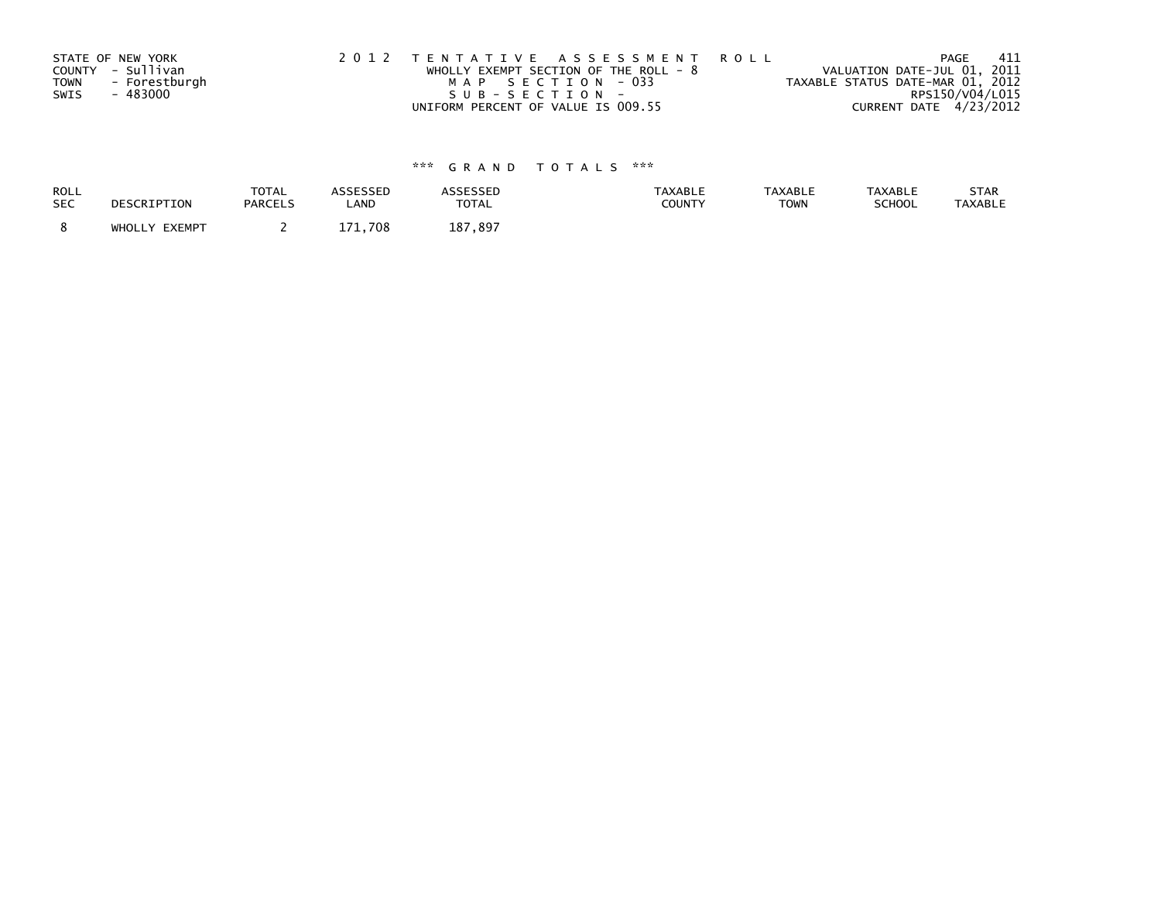|             | STATE OF NEW YORK | 2012 TENTATIVE ASSESSMENT ROLL          |  |                                  | PAGE                   | - 411 |
|-------------|-------------------|-----------------------------------------|--|----------------------------------|------------------------|-------|
|             | COUNTY - Sullivan | WHOLLY EXEMPT SECTION OF THE ROLL - $8$ |  | VALUATION DATE-JUL 01, 2011      |                        |       |
| <b>TOWN</b> | - Forestburgh     | MAP SECTION - 033                       |  | TAXABLE STATUS DATE-MAR 01, 2012 |                        |       |
| SWIS        | - 483000          | SUB-SECTION-                            |  |                                  | RPS150/V04/L015        |       |
|             |                   | UNIFORM PERCENT OF VALUE IS 009.55      |  |                                  | CURRENT DATE 4/23/2012 |       |

| ROLL       | DESCRIPTION   | <b>TOTAL</b>   | ASSESSED | ASSESSED     | <b>TAXABLE</b> | <b>TAXABLE</b> | <b>TAXABLE</b> | STAR           |
|------------|---------------|----------------|----------|--------------|----------------|----------------|----------------|----------------|
| <b>SEC</b> |               | <b>PARCELS</b> | LAND     | <b>TOTAL</b> | <b>COUNTY</b>  | <b>TOWN</b>    | <b>SCHOOL</b>  | <b>TAXABLE</b> |
|            | WHOLLY EXEMPT |                | 1.708    | 187<br>.897  |                |                |                |                |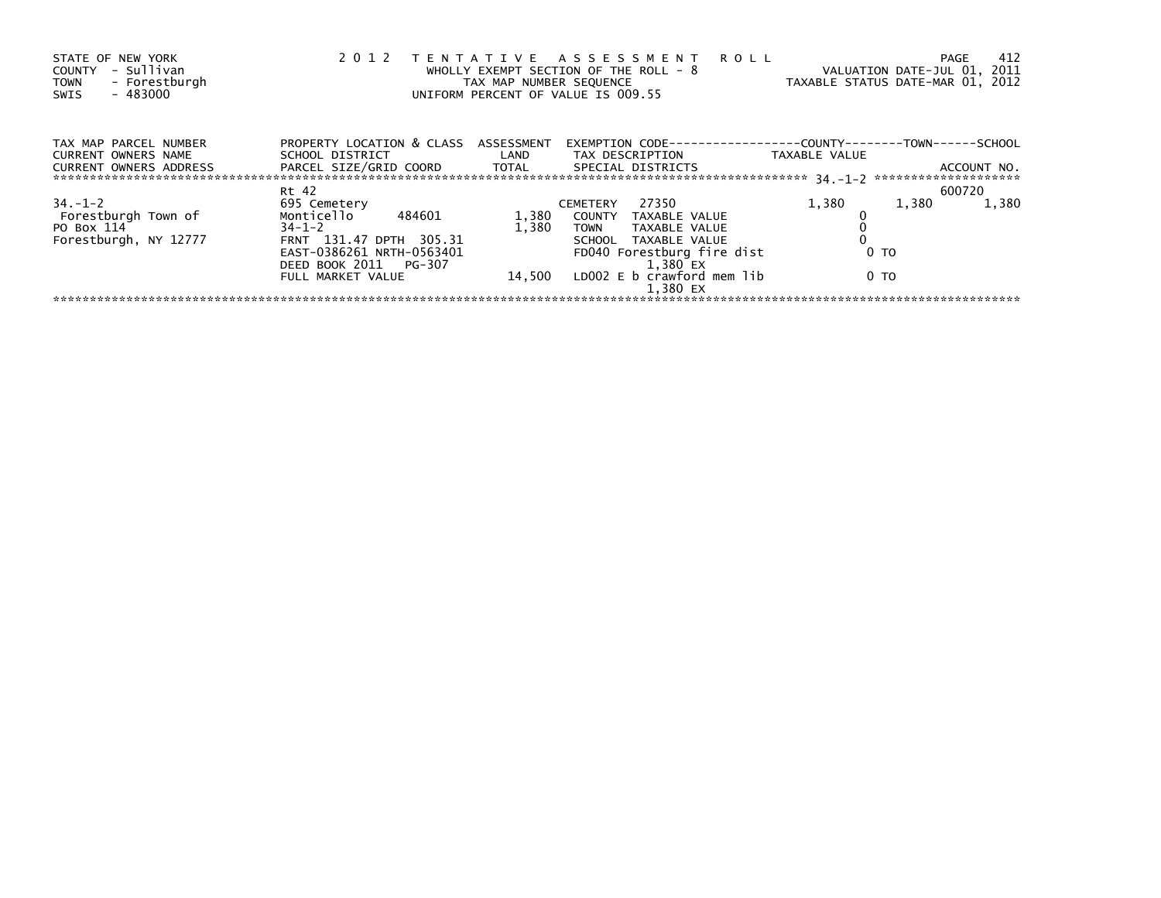| STATE OF NEW YORK<br>- Sullivan<br>COUNTY<br>- Forestburgh<br><b>TOWN</b><br>$-483000$<br>SWIS | 2 0 1 2                                                 | TAX MAP NUMBER SEQUENCE | TENTATIVE ASSESSMENT ROLL<br>WHOLLY EXEMPT SECTION OF THE ROLL - 8<br>UNIFORM PERCENT OF VALUE IS 009.55 | TAXABLE STATUS DATE-MAR 01, 2012 | 412<br><b>PAGE</b><br>VALUATION DATE-JUL 01, 2011 |
|------------------------------------------------------------------------------------------------|---------------------------------------------------------|-------------------------|----------------------------------------------------------------------------------------------------------|----------------------------------|---------------------------------------------------|
| TAX MAP PARCEL NUMBER<br>CURRENT OWNERS NAME                                                   | PROPERTY LOCATION & CLASS ASSESSMENT<br>SCHOOL DISTRICT |                         | EXEMPTION        CODE-----------------COUNTY-------TOWN------SCHOOL<br>LAND TAX DESCRIPTION              | TAXABLE VALUE                    |                                                   |
| CURRENT OWNERS ADDRESS                                                                         | PARCEL SIZE/GRID COORD TOTAL                            |                         | SPECIAL DISTRICTS                                                                                        |                                  | ACCOUNT NO.                                       |
|                                                                                                | Rt 42                                                   |                         |                                                                                                          |                                  | 600720                                            |
| $34. - 1 - 2$                                                                                  | 695 Cemetery                                            |                         | 27350<br><b>CEMETERY</b>                                                                                 | 1,380                            | 1,380<br>1,380                                    |
| Forestburgh Town of                                                                            | Monticello<br>484601                                    | 1,380                   | COUNTY TAXABLE VALUE                                                                                     |                                  |                                                   |
| PO Box 114                                                                                     | $34 - 1 - 2$                                            | 1.380                   | TOWN TAXABLE VALUE                                                                                       |                                  |                                                   |
| Forestburgh, NY 12777                                                                          | FRNT 131.47 DPTH 305.31                                 |                         | SCHOOL TAXABLE VALUE                                                                                     |                                  |                                                   |
|                                                                                                | EAST-0386261 NRTH-0563401                               |                         | FD040 Forestburg fire dist                                                                               | 0 TO                             |                                                   |
|                                                                                                | DEED BOOK 2011 PG-307                                   |                         | 1.380 EX                                                                                                 |                                  |                                                   |
|                                                                                                | FULL MARKET VALUE                                       |                         | 14,500 LD002 E b crawford mem lib                                                                        | 0 TO                             |                                                   |
|                                                                                                |                                                         |                         | 1.380 EX                                                                                                 |                                  |                                                   |
|                                                                                                |                                                         |                         |                                                                                                          |                                  |                                                   |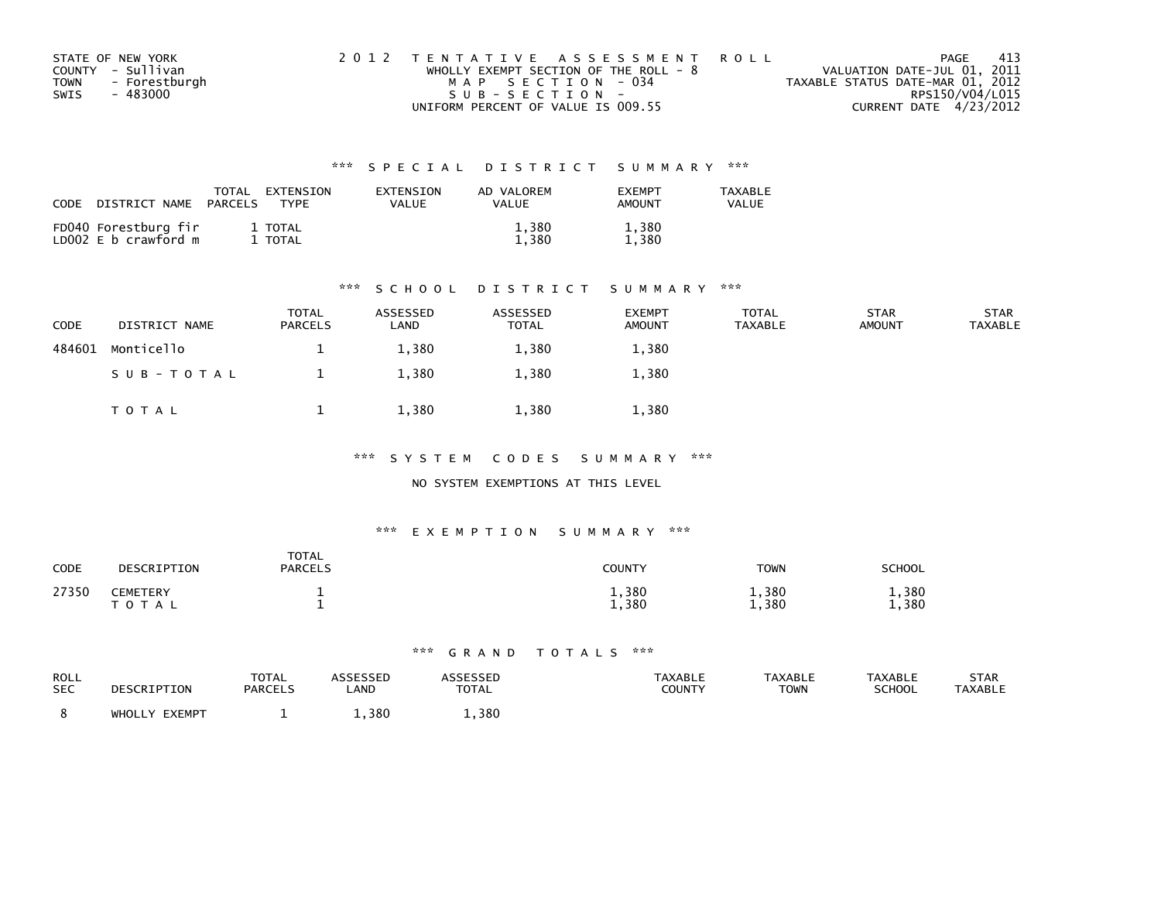| STATE OF NEW YORK            | 2012 TENTATIVE ASSESSMENT ROLL          | PAGE                             | - 413 |
|------------------------------|-----------------------------------------|----------------------------------|-------|
| COUNTY - Sullivan            | WHOLLY EXEMPT SECTION OF THE ROLL - $8$ | VALUATION DATE-JUL 01, 2011      |       |
| - Forestburgh<br><b>TOWN</b> | MAP SECTION - 034                       | TAXABLE STATUS DATE-MAR 01, 2012 |       |
| SWIS<br>- 483000             | SUB-SECTION-                            | RPS150/V04/L015                  |       |
|                              | UNIFORM PERCENT OF VALUE IS 009.55      | CURRENT DATE 4/23/2012           |       |

| CODE<br>DISTRICT NAME                        | TOTAL<br>PARCELS | EXTENSION<br>EXTENSION<br>VALUE<br><b>TYPF</b> | AD VALOREM<br>VALUE | <b>FXFMPT</b><br><b>AMOUNT</b> | <b>TAXABLE</b><br>VALUE |
|----------------------------------------------|------------------|------------------------------------------------|---------------------|--------------------------------|-------------------------|
| FD040 Forestburg fir<br>LD002 E b crawford m | 1 TOTAL<br>TOTAL |                                                | 1,380<br>.380       | 1,380<br>1.380                 |                         |

#### \*\*\* S C H O O L D I S T R I C T S U M M A R Y \*\*\*

| CODE   | DISTRICT NAME | <b>TOTAL</b><br><b>PARCELS</b> | ASSESSED<br>LAND | ASSESSED<br><b>TOTAL</b> | <b>EXEMPT</b><br><b>AMOUNT</b> | <b>TOTAL</b><br><b>TAXABLE</b> | <b>STAR</b><br><b>AMOUNT</b> | <b>STAR</b><br><b>TAXABLE</b> |
|--------|---------------|--------------------------------|------------------|--------------------------|--------------------------------|--------------------------------|------------------------------|-------------------------------|
| 484601 | Monticello    |                                | 1,380            | 1,380                    | 1,380                          |                                |                              |                               |
|        | SUB-TOTAL     |                                | 1,380            | 1,380                    | 1,380                          |                                |                              |                               |
|        | T O T A L     |                                | 1,380            | 1,380                    | 1,380                          |                                |                              |                               |

\*\*\* S Y S T E M C O D E S S U M M A R Y \*\*\*

NO SYSTEM EXEMPTIONS AT THIS LEVEL

#### \*\*\* E X E M P T I O N S U M M A R Y \*\*\*

| CODE  | DESCRIPTION                  | <b>TOTAL</b><br><b>PARCELS</b> | <b>COUNTY</b>  | <b>TOWN</b>    | <b>SCHOOL</b>  |
|-------|------------------------------|--------------------------------|----------------|----------------|----------------|
| 27350 | <b>CEMETERY</b><br>T O T A L |                                | 1,380<br>1,380 | 1,380<br>1,380 | 1,380<br>1,380 |

| ROLL       | DESCRIPTION   | TOTAL          | <b>ASSESSED</b> | ASSESSED | <b>TAXABLE</b> | <b>TAXABLE</b> | <b>TAXABLE</b> | <b>STAR</b> |
|------------|---------------|----------------|-----------------|----------|----------------|----------------|----------------|-------------|
| <b>SEC</b> |               | <b>PARCELS</b> | _AND            | TOTAL    | COUNTY         | <b>TOWN</b>    | <b>SCHOOL</b>  | TAXABLE     |
|            | WHOLLY EXEMPT |                | 1.380           | 1,380    |                |                |                |             |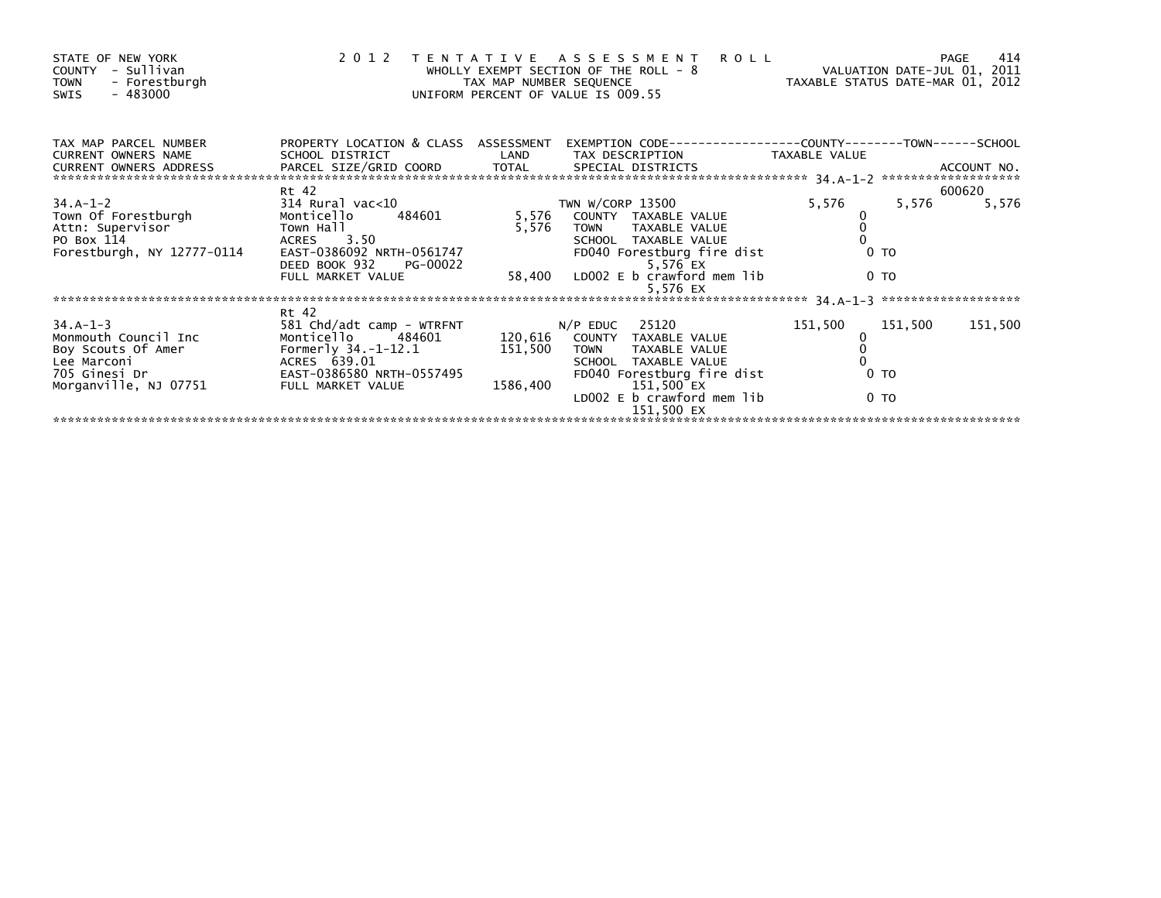| STATE OF NEW YORK<br>COUNTY - Sullivan<br><b>TOWN</b><br>- Forestburgh<br>- 483000<br>SWIS                     | 2 0 1 2                                                 | TAX MAP NUMBER SEQUENCE    | TENTATIVE ASSESSMENT<br>WHOLLY EXEMPT SECTION OF THE ROLL - 8<br>UNIFORM PERCENT OF VALUE IS 009.55 | <b>ROLL</b>   | 414<br>PAGE<br>VALUATION DATE-JUL 01, 2011<br>VALUATION DATE-JUL UI, 2011<br>TAXABLE STATUS DATE-MAR 01, 2012 |
|----------------------------------------------------------------------------------------------------------------|---------------------------------------------------------|----------------------------|-----------------------------------------------------------------------------------------------------|---------------|---------------------------------------------------------------------------------------------------------------|
| TAX MAP PARCEL NUMBER<br>CURRENT OWNERS NAME<br><b>CURRENT OWNERS ADDRESS</b>                                  | PROPERTY LOCATION & CLASS ASSESSMENT<br>SCHOOL DISTRICT | <b>Example 18 The LAND</b> | TAX DESCRIPTION                                                                                     | TAXABLE VALUE |                                                                                                               |
|                                                                                                                | Rt 42                                                   |                            |                                                                                                     |               | 600620                                                                                                        |
| 34.A-1-2                                                                                                       | 314 Rural vac<10                                        |                            | TWN W/CORP 13500                                                                                    | 5,576         | 5,576<br>5,576                                                                                                |
| Town Of Forestburgh                                                                                            | 484601<br>Monticello                                    |                            | 5,576 COUNTY TAXABLE VALUE                                                                          |               |                                                                                                               |
| Attn: Supervisor                                                                                               | Town Hall                                               | 5,576                      | TOWN TAXABLE VALUE                                                                                  |               |                                                                                                               |
| PO Box 114                                                                                                     | ACRES 3.50                                              |                            | SCHOOL TAXABLE VALUE                                                                                |               |                                                                                                               |
| Forestburgh, NY 12777-0114                                                                                     | EAST-0386092 NRTH-0561747                               |                            | FD040 Forestburg fire dist                                                                          |               | 0 <sub>T</sub>                                                                                                |
|                                                                                                                | DEED BOOK 932 PG-00022                                  |                            | 5,576 EX                                                                                            |               |                                                                                                               |
|                                                                                                                | FULL MARKET VALUE                                       |                            | 58,400 LDOO2 E b crawford mem lib<br>5,576 EX                                                       |               | 0 <sub>T</sub>                                                                                                |
|                                                                                                                |                                                         |                            |                                                                                                     |               |                                                                                                               |
|                                                                                                                | Rt 42                                                   |                            |                                                                                                     |               |                                                                                                               |
| $34.A-1-3$                                                                                                     | 581 Chd/adt camp - WTRFNT                               |                            | $N/P$ EDUC 25120                                                                                    | 151,500       | 151,500<br>151,500                                                                                            |
| Monmouth Council Inc                                                                                           | Monticello 484601                                       |                            | 120,616 COUNTY TAXABLE VALUE                                                                        |               |                                                                                                               |
| Boy Scouts Of Amer                                                                                             | Formerly 34.-1-12.1                                     | 151,500                    | <b>TOWN</b><br>TAXABLE VALUE                                                                        |               |                                                                                                               |
| Lee Marconi and a state of the state of the state of the state of the state of the state of the state of the s | ACRES 639.01                                            |                            | SCHOOL TAXABLE VALUE                                                                                |               |                                                                                                               |
| 705 Ginesi Dr                                                                                                  | EAST-0386580 NRTH-0557495                               |                            | FD040 Forestburg fire dist                                                                          |               | 0 <sub>T</sub>                                                                                                |
| Morganville, NJ 07751                                                                                          | FULL MARKET VALUE                                       | 1586,400                   | 151,500 EX                                                                                          |               |                                                                                                               |
|                                                                                                                |                                                         |                            | LD002 E b crawford mem lib                                                                          |               | 0 <sub>T</sub>                                                                                                |
|                                                                                                                |                                                         |                            | 151,500 EX                                                                                          |               |                                                                                                               |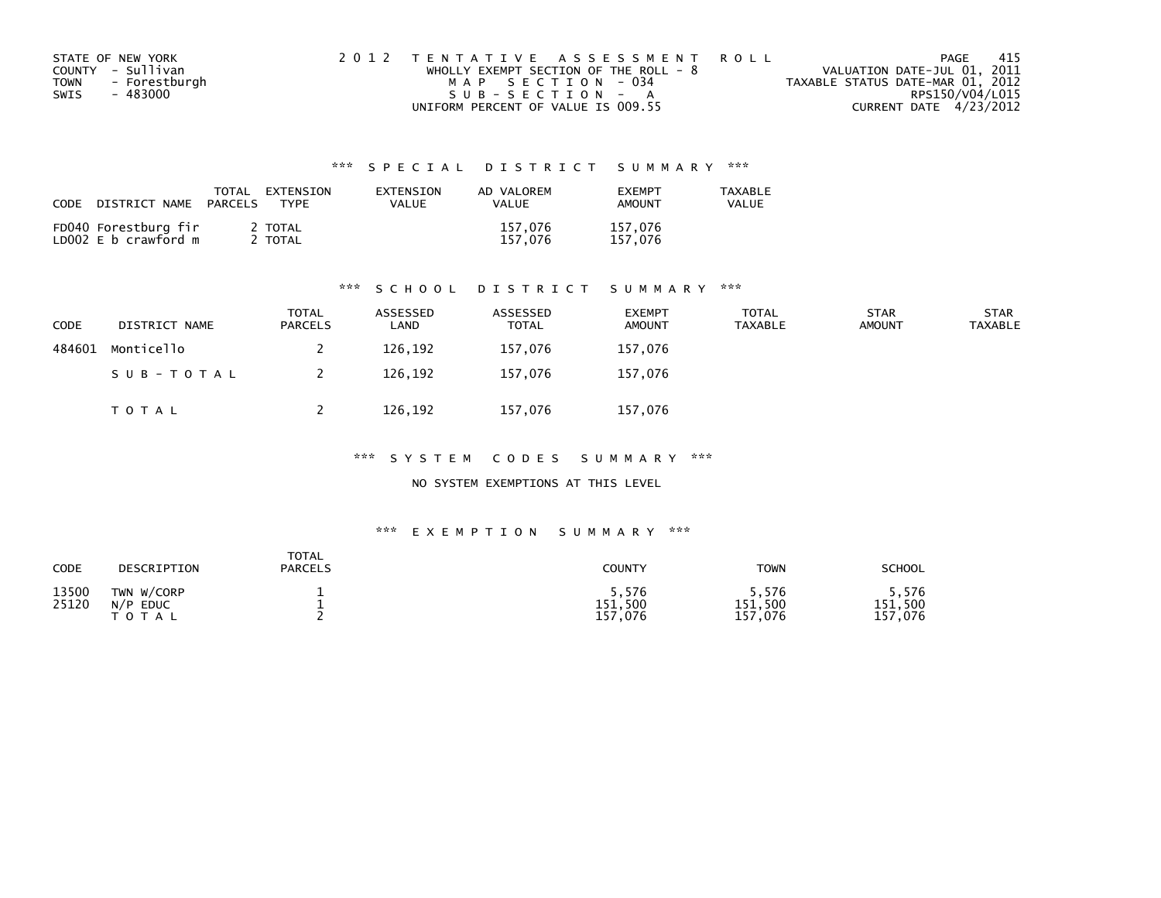| STATE OF NEW YORK            | 2012 TENTATIVE ASSESSMENT ROLL        | PAGE                             | - 415           |
|------------------------------|---------------------------------------|----------------------------------|-----------------|
| COUNTY - Sullivan            | WHOLLY EXEMPT SECTION OF THE ROLL - 8 | VALUATION DATE-JUL 01, 2011      |                 |
| - Forestburgh<br><b>TOWN</b> | MAP SECTION - 034                     | TAXABLE STATUS DATE-MAR 01, 2012 |                 |
| SWIS<br>- 483000             | SUB-SECTION - A                       |                                  | RPS150/V04/L015 |
|                              | UNIFORM PERCENT OF VALUE IS 009.55    | CURRENT DATE 4/23/2012           |                 |

| CODE<br>DISTRICT NAME                        | TOTAL<br>EXTENSION<br>PARCELS<br>TYPF | EXTENSION<br>VALUE | AD VALOREM<br><b>VALUE</b> | <b>FXFMPT</b><br><b>AMOUNT</b> | <b>TAXABLE</b><br><b>VALUE</b> |
|----------------------------------------------|---------------------------------------|--------------------|----------------------------|--------------------------------|--------------------------------|
| FD040 Forestburg fir<br>LD002 E b crawford m | 2 TOTAL<br>TOTAL                      |                    | 157.076<br>157.076         | 157,076<br>157.076             |                                |

#### \*\*\* S C H O O L D I S T R I C T S U M M A R Y \*\*\*

| CODE   | DISTRICT NAME | <b>TOTAL</b><br><b>PARCELS</b> | ASSESSED<br>∟AND | ASSESSED<br><b>TOTAL</b> | <b>EXEMPT</b><br><b>AMOUNT</b> | <b>TOTAL</b><br><b>TAXABLE</b> | <b>STAR</b><br><b>AMOUNT</b> | <b>STAR</b><br><b>TAXABLE</b> |
|--------|---------------|--------------------------------|------------------|--------------------------|--------------------------------|--------------------------------|------------------------------|-------------------------------|
| 484601 | Monticello    |                                | 126,192          | 157,076                  | 157,076                        |                                |                              |                               |
|        | SUB-TOTAL     |                                | 126,192          | 157.076                  | 157,076                        |                                |                              |                               |
|        | T O T A L     |                                | 126,192          | 157,076                  | 157,076                        |                                |                              |                               |

\*\*\* S Y S T E M C O D E S S U M M A R Y \*\*\*

NO SYSTEM EXEMPTIONS AT THIS LEVEL

| CODE           | DESCRIPTION                                      | <b>TOTAL</b><br><b>PARCELS</b> | <b>COUNTY</b>                   | TOWN                            | <b>SCHOOL</b>                  |
|----------------|--------------------------------------------------|--------------------------------|---------------------------------|---------------------------------|--------------------------------|
| 13500<br>25120 | TWN W/CORP<br>N/P<br><b>EDUC</b><br><b>TOTAL</b> |                                | 5.576<br>151,500<br>157<br>.076 | ; 576<br>151,500<br>,076<br>157 | 576,<br>151,500<br>.076<br>157 |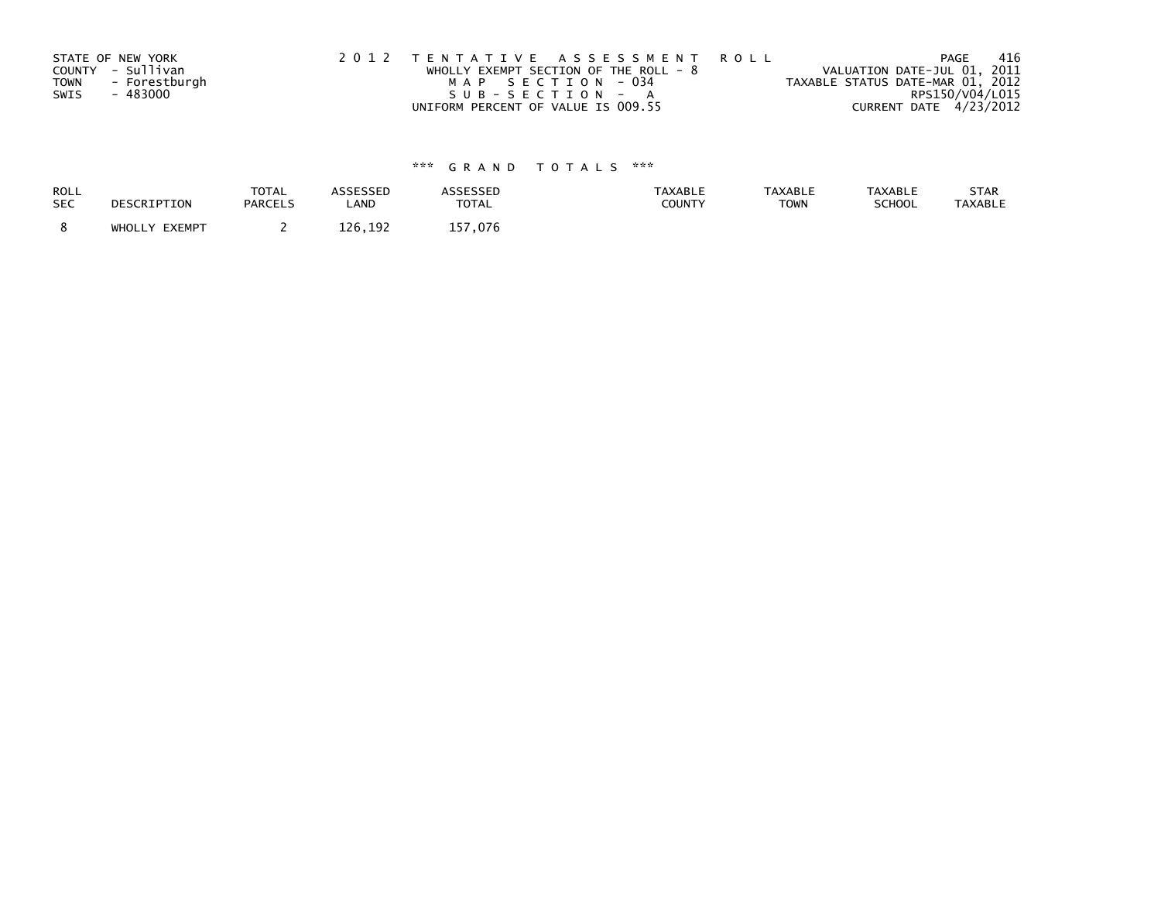|             | STATE OF NEW YORK | 2012 TENTATIVE ASSESSMENT ROLL          | -416<br>PAGE                     |
|-------------|-------------------|-----------------------------------------|----------------------------------|
|             | COUNTY - Sullivan | WHOLLY EXEMPT SECTION OF THE ROLL - $8$ | VALUATION DATE-JUL 01, 2011      |
| <b>TOWN</b> | - Forestburgh     | MAP SECTION - 034                       | TAXABLE STATUS DATE-MAR 01, 2012 |
| SWIS        | - 483000          | SUB-SECTION - A                         | RPS150/V04/L015                  |
|             |                   | UNIFORM PERCENT OF VALUE IS 009.55      | CURRENT DATE 4/23/2012           |

| ROLL       | DESCRIPTION   | <b>TOTAL</b>   | <b>ASSESSED</b> | <b>ASSESSED</b> | <b>TAXABLE</b> | <b>TAXABLE</b> | TAXABLE       | STAR           |
|------------|---------------|----------------|-----------------|-----------------|----------------|----------------|---------------|----------------|
| <b>SEC</b> |               | <b>PARCELS</b> | LAND            | <b>TOTAL</b>    | <b>COUNTY</b>  | <b>TOWN</b>    | <b>SCHOOL</b> | <b>TAXABLE</b> |
|            | WHOLLY EXEMPT |                | 126.192         | 157.076         |                |                |               |                |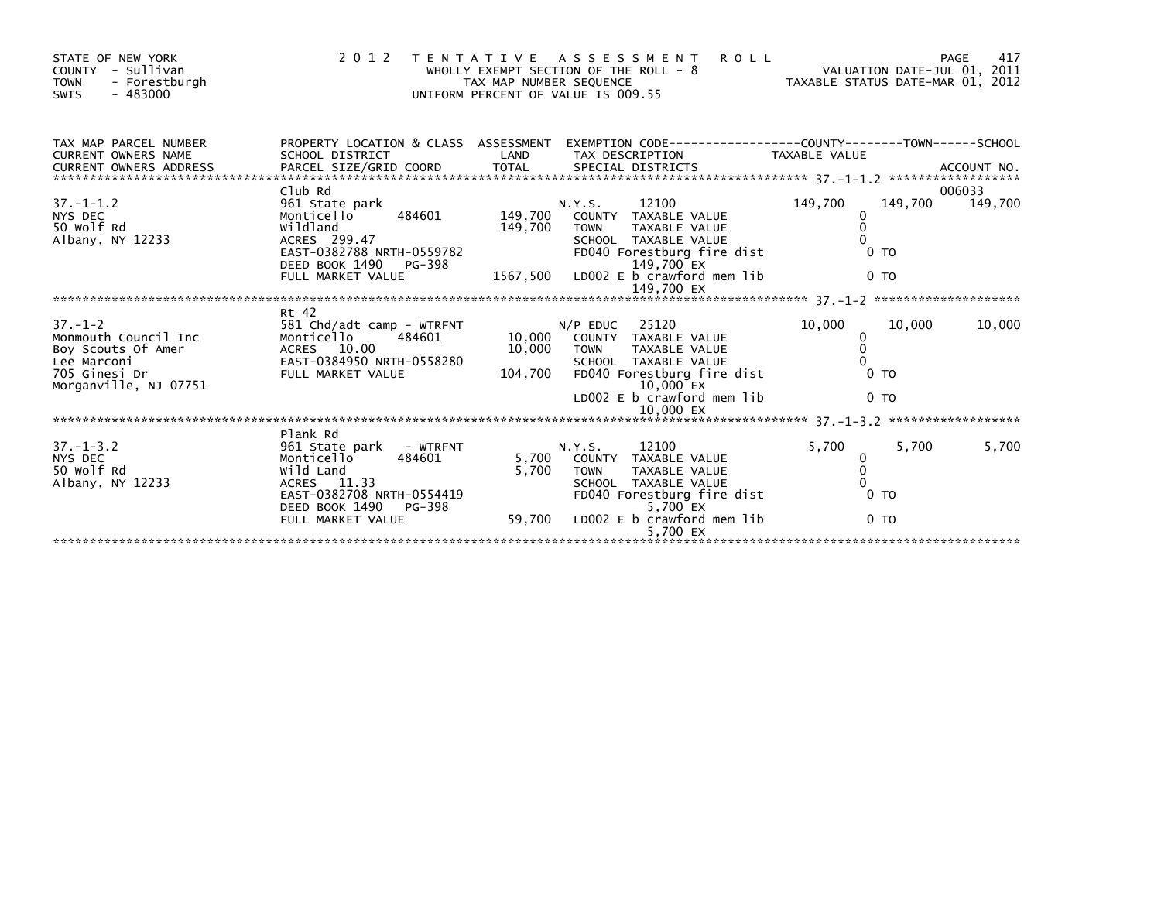| STATE OF NEW YORK<br>- Sullivan<br>COUNTY<br><b>TOWN</b><br>- Forestburgh<br>$-483000$<br><b>SWIS</b>                | 2 0 1 2                                                                                                                                                     | TAX MAP NUMBER SEQUENCE | TENTATIVE ASSESSMENT<br><b>ROLL</b><br>WHOLLY EXEMPT SECTION OF THE ROLL - 8<br>UNIFORM PERCENT OF VALUE IS 009.55                                                                         | VALUATION DATE-JUL 01, 2011<br>TAXABLE STATUS DATE-MAR 01, 2012              | PAGE<br>417       |
|----------------------------------------------------------------------------------------------------------------------|-------------------------------------------------------------------------------------------------------------------------------------------------------------|-------------------------|--------------------------------------------------------------------------------------------------------------------------------------------------------------------------------------------|------------------------------------------------------------------------------|-------------------|
| TAX MAP PARCEL NUMBER<br>CURRENT OWNERS NAME<br><b>CURRENT OWNERS ADDRESS</b>                                        | SCHOOL DISTRICT                                                                                                                                             | LAND                    | PROPERTY LOCATION & CLASS ASSESSMENT EXEMPTION CODE----------------COUNTY-------TOWN-----SCHOOL<br>TAX DESCRIPTION                                                                         | <b>TAXABLE VALUE</b>                                                         |                   |
| $37. - 1 - 1.2$<br>NYS DEC<br>50 Wolf Rd<br>Albany, NY 12233                                                         | Club Rd<br>961 State park<br>484601<br>Monticello<br>wildland<br>ACRES 299.47<br>EAST-0382788 NRTH-0559782<br>DEED BOOK 1490<br>PG-398<br>FULL MARKET VALUE | 149,700                 | 12100<br>N.Y.S.<br>149,700 COUNTY TAXABLE VALUE<br><b>TOWN</b><br>TAXABLE VALUE<br>SCHOOL TAXABLE VALUE<br>FD040 Forestburg fire dist<br>149,700 EX<br>1567,500 LDOO2 E b crawford mem lib | 149,700<br>149,700<br>0<br>0 <sub>T</sub><br>0 <sub>T</sub>                  | 006033<br>149,700 |
|                                                                                                                      |                                                                                                                                                             |                         | 149,700 EX                                                                                                                                                                                 |                                                                              |                   |
| $37. - 1 - 2$<br>Monmouth Council Inc<br>Boy Scouts Of Amer<br>Lee Marconi<br>705 Ginesi Dr<br>Morganville, NJ 07751 | Rt 42<br>581 Chd/adt camp - WTRFNT<br>Monticello<br>484601<br>ACRES 10.00<br>EAST-0384950 NRTH-0558280<br>FULL MARKET VALUE<br>FULL MARKET VALUE            | 10,000<br>104,700       | 25120<br>$N/P$ EDUC<br>10.000 COUNTY TAXABLE VALUE<br><b>TOWN</b><br>TAXABLE VALUE<br>SCHOOL TAXABLE VALUE<br>FD040 Forestburg fire dist<br>$10.000$ EX<br>LD002 $E$ b crawford mem lib    | 10,000<br>10.000<br>$\Omega$<br>$\Omega$<br>0 <sub>T</sub><br>0 <sub>T</sub> | 10,000            |
|                                                                                                                      | Plank Rd                                                                                                                                                    |                         |                                                                                                                                                                                            |                                                                              |                   |
| $37. - 1 - 3.2$<br>NYS DEC<br>50 Wolf Rd<br>Albany, NY 12233                                                         | 961 State park - WTRFNT<br>484601<br>Monticello<br>Wild Land<br>ACRES 11.33<br>EAST-0382708 NRTH-0554419<br>DEED BOOK 1490<br>PG-398                        | 5,700                   | 12100<br>N.Y.S.<br>5,700 COUNTY TAXABLE VALUE<br><b>TOWN</b><br>TAXABLE VALUE<br>SCHOOL TAXABLE VALUE<br>FD040 Forestburg fire dist<br>5,700 EX                                            | 5.700<br>5,700<br>0<br>$\Omega$<br>0 <sub>T</sub>                            | 5,700             |
|                                                                                                                      | FULL MARKET VALUE                                                                                                                                           | 59,700                  | LD002 E b crawford mem lib<br>5,700 EX                                                                                                                                                     | 0 <sub>T</sub>                                                               |                   |
|                                                                                                                      |                                                                                                                                                             |                         |                                                                                                                                                                                            |                                                                              |                   |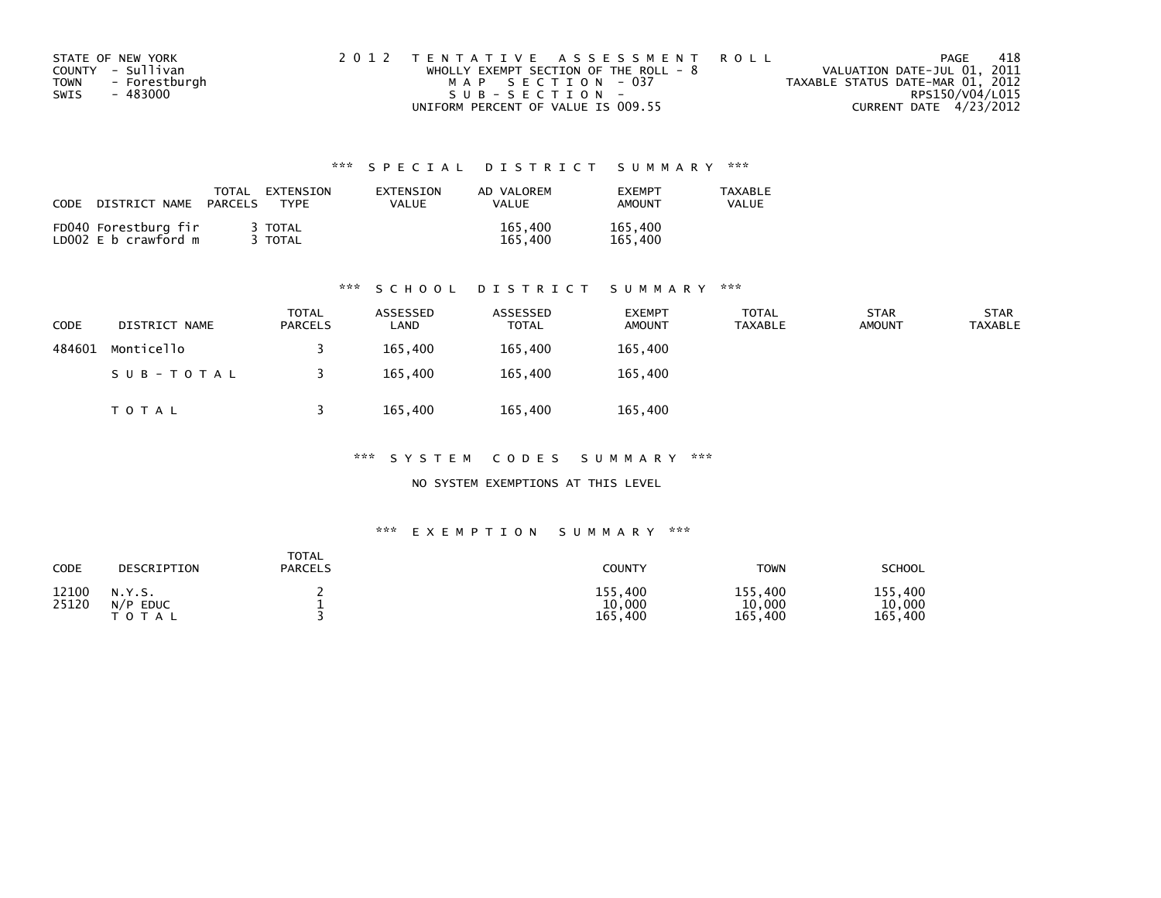| STATE OF NEW YORK            | 2012 TENTATIVE ASSESSMENT ROLL          |                                  | PAGE | 418 |
|------------------------------|-----------------------------------------|----------------------------------|------|-----|
| COUNTY - Sullivan            | WHOLLY EXEMPT SECTION OF THE ROLL - $8$ | VALUATION DATE-JUL 01, 2011      |      |     |
| - Forestburgh<br><b>TOWN</b> | MAP SECTION - 037                       | TAXABLE STATUS DATE-MAR 01, 2012 |      |     |
| SWIS<br>- 483000             | $SUB - SECTION -$                       | RPS150/V04/L015                  |      |     |
|                              | UNIFORM PERCENT OF VALUE IS 009.55      | CURRENT DATE 4/23/2012           |      |     |

| CODE | DISTRICT NAME                                | TOTAL<br>PARCELS | EXTENSION<br><b>TYPF</b> | EXTENSION<br>VALUE | AD VALOREM<br><b>VALUE</b> | <b>FXFMPT</b><br><b>AMOUNT</b> | <b>TAXABLE</b><br><b>VALUE</b> |
|------|----------------------------------------------|------------------|--------------------------|--------------------|----------------------------|--------------------------------|--------------------------------|
|      | FD040 Forestburg fir<br>LD002 E b crawford m |                  | 3 TOTAL<br>TOTAL         |                    | 165,400<br>165.400         | 165,400<br>165,400             |                                |

#### \*\*\* S C H O O L D I S T R I C T S U M M A R Y \*\*\*

| <b>CODE</b> | DISTRICT NAME | <b>TOTAL</b><br><b>PARCELS</b> | ASSESSED<br>∟AND | ASSESSED<br>TOTAL | <b>EXEMPT</b><br><b>AMOUNT</b> | TOTAL<br><b>TAXABLE</b> | <b>STAR</b><br><b>AMOUNT</b> | <b>STAR</b><br><b>TAXABLE</b> |
|-------------|---------------|--------------------------------|------------------|-------------------|--------------------------------|-------------------------|------------------------------|-------------------------------|
| 484601      | Monticello    |                                | 165,400          | 165.400           | 165,400                        |                         |                              |                               |
|             | SUB-TOTAL     |                                | 165,400          | 165,400           | 165,400                        |                         |                              |                               |
|             | T O T A L     |                                | 165,400          | 165,400           | 165,400                        |                         |                              |                               |

\*\*\* S Y S T E M C O D E S S U M M A R Y \*\*\*

NO SYSTEM EXEMPTIONS AT THIS LEVEL

| CODE           | DESCRIPTION                          | TOTAL<br><b>PARCELS</b> | COUNTY                       | TOWN                             | <b>SCHOOL</b>                |
|----------------|--------------------------------------|-------------------------|------------------------------|----------------------------------|------------------------------|
| 12100<br>25120 | N.Y.S.<br>$N/P$ EDUC<br><b>TOTAL</b> |                         | 155,400<br>10,000<br>165,400 | 155,400<br>10,000<br>165<br>.400 | 155,400<br>10,000<br>165,400 |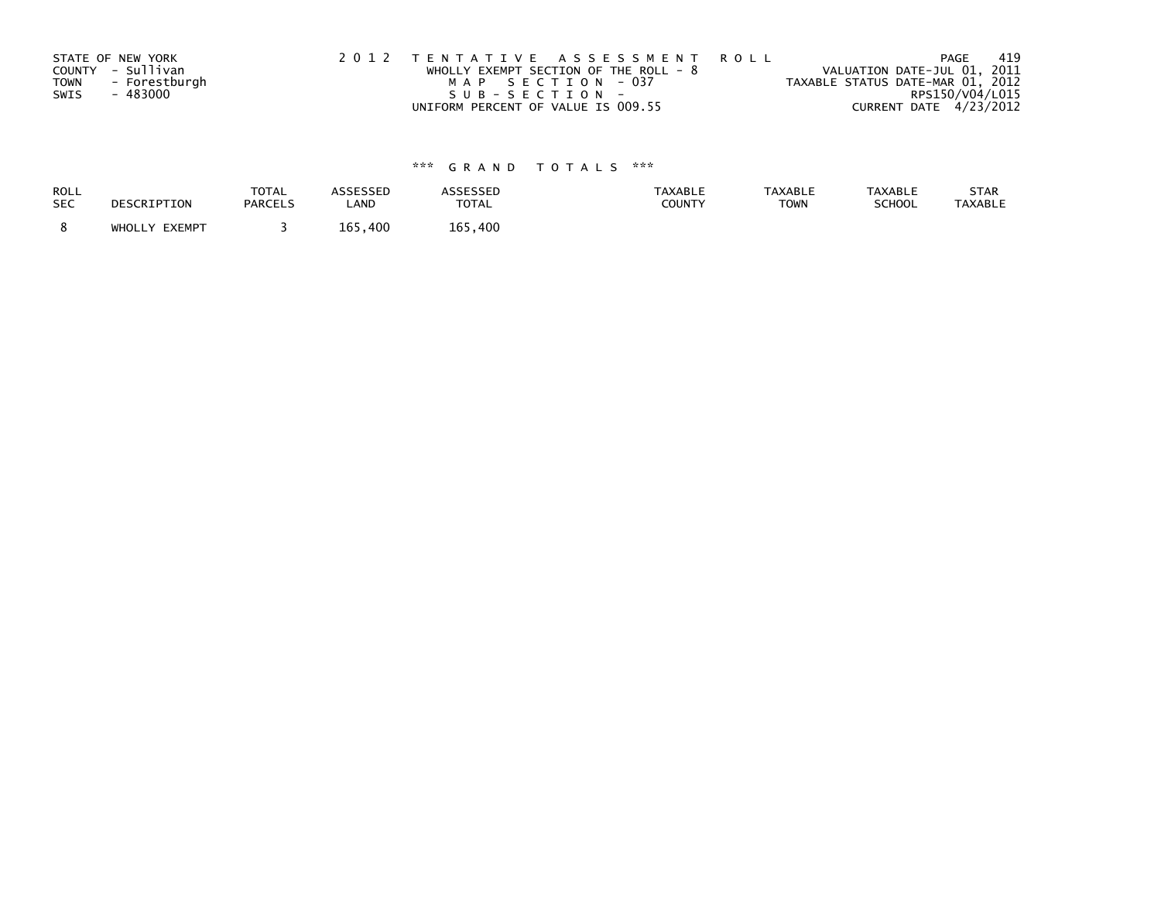|      | STATE OF NEW YORK | 2012 TENTATIVE ASSESSMENT ROLL        | PAGE                             | -419 |
|------|-------------------|---------------------------------------|----------------------------------|------|
|      | COUNTY - Sullivan | WHOLLY EXEMPT SECTION OF THE ROLL - 8 | VALUATION DATE-JUL 01, 2011      |      |
| TOWN | - Forestburgh     | MAP SECTION - 037                     | TAXABLE STATUS DATE-MAR 01, 2012 |      |
| SWIS | - 483000          | SUB-SECTION-                          | RPS150/V04/L015                  |      |
|      |                   | UNIFORM PERCENT OF VALUE IS 009.55    | CURRENT DATE 4/23/2012           |      |

| ROLL       | DESCRIPTION   | <b>TOTAL</b>   | <b>ASSESSED</b> | <b>ASSESSED</b> | <b>TAXABLE</b> | <b>TAXABLE</b> | <b>TAXABLE</b> | STAR           |
|------------|---------------|----------------|-----------------|-----------------|----------------|----------------|----------------|----------------|
| <b>SEC</b> |               | <b>PARCELS</b> | LAND            | <b>TOTAL</b>    | COUNTY         | <b>TOWN</b>    | SCHOOL         | <b>TAXABLE</b> |
|            | WHOLLY EXEMPT |                | 165.400         | 165.400         |                |                |                |                |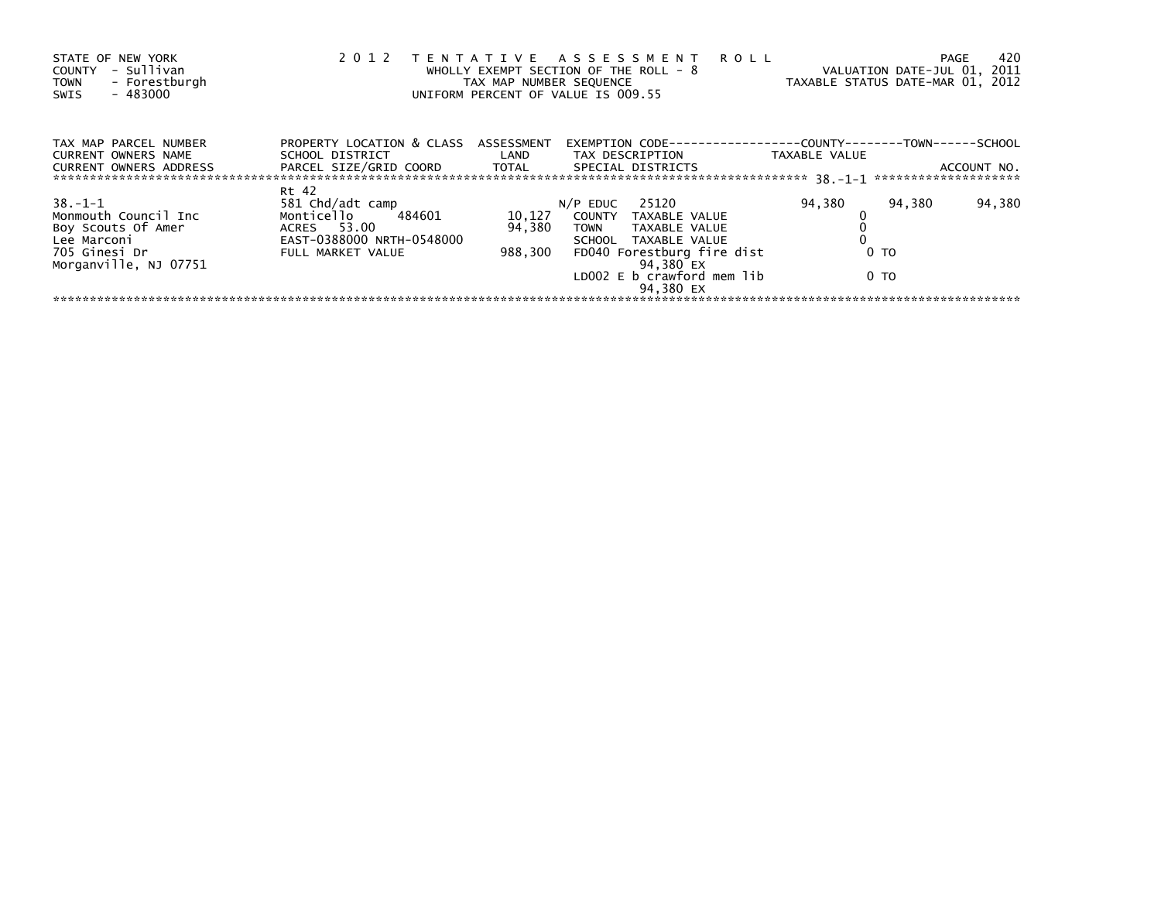| STATE OF NEW YORK<br>- Sullivan<br><b>COUNTY</b><br>- Forestburgh<br><b>TOWN</b><br>$-483000$<br>SWIS | 2012                                                    | TAX MAP NUMBER SEQUENCE | TENTATIVE ASSESSMENT<br>WHOLLY EXEMPT SECTION OF THE ROLL - 8<br>UNIFORM PERCENT OF VALUE IS 009.55 | <b>ROLL</b>                                               | 420<br><b>PAGE</b><br>VALUATION DATE-JUL 01, 2011<br>TAXABLE STATUS DATE-MAR 01, 2012 |
|-------------------------------------------------------------------------------------------------------|---------------------------------------------------------|-------------------------|-----------------------------------------------------------------------------------------------------|-----------------------------------------------------------|---------------------------------------------------------------------------------------|
| TAX MAP PARCEL NUMBER<br><b>CURRENT OWNERS NAME</b>                                                   | PROPERTY LOCATION & CLASS ASSESSMENT<br>SCHOOL DISTRICT | <b>Example 1</b>        | EXEMPTION CODE---<br>TAX DESCRIPTION                                                                | ----------COUNTY--------TOWN------SCHOOL<br>TAXABLE VALUE |                                                                                       |
| <b>CURRENT OWNERS ADDRESS</b>                                                                         | PARCEL SIZE/GRID COORD                                  | TOTAL                   | SPECIAL DISTRICTS                                                                                   |                                                           | ACCOUNT NO.                                                                           |
|                                                                                                       | Rt 42                                                   |                         |                                                                                                     |                                                           |                                                                                       |
| $38. - 1 - 1$                                                                                         | 581 Chd/adt camp                                        |                         | 25120<br>$N/P$ EDUC                                                                                 | 94,380                                                    | 94,380<br>94,380                                                                      |
| Monmouth Council Inc                                                                                  | Monticello<br>484601                                    | 10,127                  | COUNTY TAXABLE VALUE                                                                                |                                                           |                                                                                       |
| Boy Scouts Of Amer                                                                                    | ACRES 53.00                                             | 94,380                  | TAXABLE VALUE<br><b>TOWN</b>                                                                        |                                                           |                                                                                       |
| Lee Marconi                                                                                           | EAST-0388000 NRTH-0548000                               |                         | SCHOOL TAXABLE VALUE                                                                                |                                                           |                                                                                       |
| 705 Ginesi Dr<br>Morganville, NJ 07751                                                                | FULL MARKET VALUE                                       | 988,300                 | FD040 Forestburg fire dist<br>94,380 EX                                                             | 0 <sub>T</sub>                                            |                                                                                       |
|                                                                                                       |                                                         |                         | LD002 $E$ b crawford mem $lib$<br>94.380 EX                                                         | 0 TO                                                      |                                                                                       |
|                                                                                                       |                                                         |                         |                                                                                                     |                                                           |                                                                                       |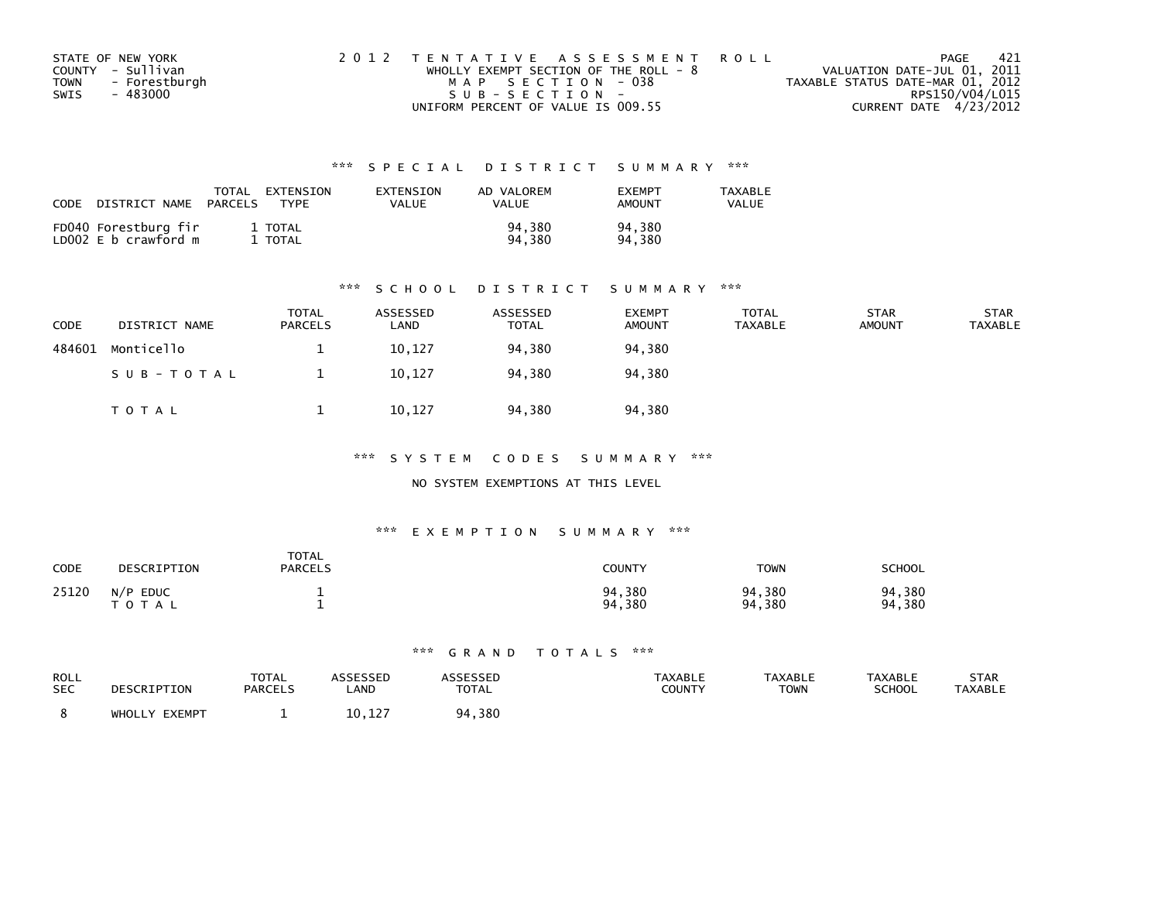| STATE OF NEW YORK            | 2012 TENTATIVE ASSESSMENT ROLL          | PAGE                             | - 421 |
|------------------------------|-----------------------------------------|----------------------------------|-------|
| COUNTY - Sullivan            | WHOLLY EXEMPT SECTION OF THE ROLL - $8$ | VALUATION DATE-JUL 01, 2011      |       |
| - Forestburgh<br><b>TOWN</b> | MAP SECTION - 038                       | TAXABLE STATUS DATE-MAR 01, 2012 |       |
| SWIS<br>- 483000             | SUB-SECTION-                            | RPS150/V04/L015                  |       |
|                              | UNIFORM PERCENT OF VALUE IS 009.55      | CURRENT DATE 4/23/2012           |       |

| CODE | DISTRICT NAME                                | <b>TOTAL</b><br>PARCELS | EXTENSION<br><b>TYPF</b> | EXTENSION<br>VALUE | AD VALOREM<br>VALUE | <b>FXFMPT</b><br><b>AMOUNT</b> | <b>TAXABLE</b><br>VALUE |
|------|----------------------------------------------|-------------------------|--------------------------|--------------------|---------------------|--------------------------------|-------------------------|
|      | FD040 Forestburg fir<br>LD002 E b crawford m |                         | 1 TOTAL<br>TOTAL         |                    | 94.380<br>94.380    | 94,380<br>94.380               |                         |

#### \*\*\* S C H O O L D I S T R I C T S U M M A R Y \*\*\*

| <b>CODE</b> | DISTRICT NAME | <b>TOTAL</b><br><b>PARCELS</b> | ASSESSED<br>∟AND | ASSESSED<br><b>TOTAL</b> | <b>EXEMPT</b><br><b>AMOUNT</b> | <b>TOTAL</b><br>TAXABLE | <b>STAR</b><br><b>AMOUNT</b> | <b>STAR</b><br><b>TAXABLE</b> |
|-------------|---------------|--------------------------------|------------------|--------------------------|--------------------------------|-------------------------|------------------------------|-------------------------------|
| 484601      | Monticello    |                                | 10,127           | 94.380                   | 94,380                         |                         |                              |                               |
|             | SUB-TOTAL     |                                | 10,127           | 94,380                   | 94,380                         |                         |                              |                               |
|             | TOTAL         |                                | 10,127           | 94,380                   | 94,380                         |                         |                              |                               |

\*\*\* S Y S T E M C O D E S S U M M A R Y \*\*\*

#### NO SYSTEM EXEMPTIONS AT THIS LEVEL

#### \*\*\* E X E M P T I O N S U M M A R Y \*\*\*

| CODE  | DESCRIPTION                 | <b>TOTAL</b><br><b>PARCELS</b> | COUNTY           | <b>TOWN</b>      | <b>SCHOOL</b>    |
|-------|-----------------------------|--------------------------------|------------------|------------------|------------------|
| 25120 | N/P<br><b>EDUC</b><br>TOTAL |                                | 94,380<br>94,380 | 94,380<br>94,380 | 94,380<br>94,380 |

| ROLL       | DESCRIPTION   | <b>TOTAL</b>   | <b>ASSESSED</b> | ASSESSED     | <b>TAXABLE</b> | <b>TAXABLE</b> | <b>TAXABLE</b> | STAR           |
|------------|---------------|----------------|-----------------|--------------|----------------|----------------|----------------|----------------|
| <b>SEC</b> |               | <b>PARCELS</b> | LAND            | <b>TOTAL</b> | COUNTY         | TOWN           | <b>SCHOOL</b>  | <b>TAXABLE</b> |
|            | WHOLLY EXEMPT |                | 10,127          | 94,380       |                |                |                |                |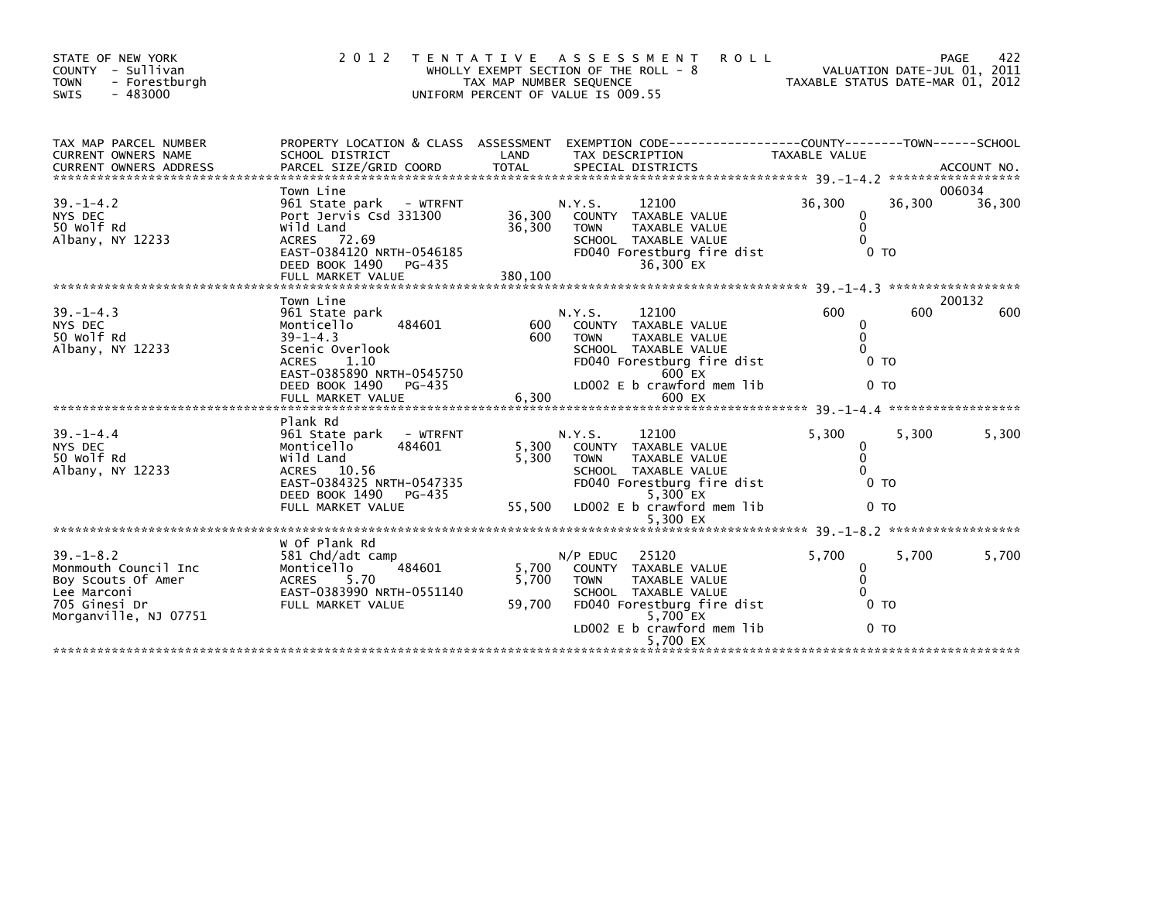| 2 0 1 2                                                                                                                                                                   | T E N T A T I V E        | A S S E S S M E N T<br><b>ROLL</b>                                                                               | VALUATION DATE-JUL 01, 2011<br>TAXABLE STATUS DATE-MAR 01, 2012                                                                                                                                                     | 422<br>PAGE                                                                                                                                                                                                    |
|---------------------------------------------------------------------------------------------------------------------------------------------------------------------------|--------------------------|------------------------------------------------------------------------------------------------------------------|---------------------------------------------------------------------------------------------------------------------------------------------------------------------------------------------------------------------|----------------------------------------------------------------------------------------------------------------------------------------------------------------------------------------------------------------|
| SCHOOL DISTRICT                                                                                                                                                           | LAND                     | TAX DESCRIPTION                                                                                                  | TAXABLE VALUE                                                                                                                                                                                                       |                                                                                                                                                                                                                |
| 961 State park - WTRFNT<br>Port Jervis Csd 331300<br>Wild Land<br>ACRES 72.69<br>EAST-0384120 NRTH-0546185<br>DEED BOOK 1490<br>PG-435                                    | 36,300<br>36,300         | 12100<br>COUNTY<br>TAXABLE VALUE<br><b>TOWN</b><br><b>TAXABLE VALUE</b><br>SCHOOL TAXABLE VALUE<br>36,300 EX     | 36,300<br>36,300<br>0<br>$\Omega$<br>$\Omega$<br>0 <sub>T</sub>                                                                                                                                                     | 006034<br>36,300                                                                                                                                                                                               |
| Town Line<br>961 State park<br>Monticello<br>484601<br>$39 - 1 - 4.3$<br>Scenic Overlook<br>1.10<br><b>ACRES</b><br>EAST-0385890 NRTH-0545750<br>DEED BOOK 1490<br>PG-435 | 600<br>600               | 12100<br><b>COUNTY</b><br>TAXABLE VALUE<br><b>TAXABLE VALUE</b><br><b>TOWN</b><br>SCHOOL TAXABLE VALUE<br>600 EX | 600<br>600<br>0<br>$\Omega$<br>$\Omega$<br>0 <sub>T</sub><br>0 <sub>T</sub>                                                                                                                                         | 200132<br>600                                                                                                                                                                                                  |
| Plank Rd<br>- WTRFNT<br>961 State park<br>Monticello<br>484601<br>Wild Land<br>ACRES 10.56<br>EAST-0384325 NRTH-0547335<br>DEED BOOK 1490<br>PG-435<br>FULL MARKET VALUE  | 5,300<br>5,300<br>55,500 | 12100<br><b>COUNTY</b><br>TAXABLE VALUE<br><b>TOWN</b><br>TAXABLE VALUE<br>SCHOOL TAXABLE VALUE<br>5,300 EX      | 5,300<br>5,300<br>0<br>$\mathbf{0}$<br>$\Omega$<br>0 <sub>T</sub><br>0 <sub>T</sub>                                                                                                                                 | 5,300                                                                                                                                                                                                          |
| w Of Plank Rd<br>581 Chd/adt camp<br>484601<br>Monticello<br>5.70<br><b>ACRES</b><br>EAST-0383990 NRTH-0551140<br>FULL MARKET VALUE                                       | 5,700<br>5,700<br>59.700 | 25120<br><b>COUNTY</b><br>TAXABLE VALUE<br><b>TOWN</b><br>TAXABLE VALUE<br>SCHOOL TAXABLE VALUE<br>5,700 EX      | 5.700<br>5,700<br>0<br>$\mathbf{0}$<br>$\Omega$<br>0 <sub>T</sub><br>0 <sub>T</sub>                                                                                                                                 | 5,700                                                                                                                                                                                                          |
|                                                                                                                                                                           | Town Line                |                                                                                                                  | WHOLLY EXEMPT SECTION OF THE ROLL $-8$<br>TAX MAP NUMBER SEQUENCE<br>UNIFORM PERCENT OF VALUE IS 009.55<br>PROPERTY LOCATION & CLASS ASSESSMENT<br>N.Y.S.<br>N.Y.S.<br>N.Y.S.<br>5,300 EX<br>$N/P$ EDUC<br>5,700 EX | FD040 Forestburg fire dist<br>FD040 Forestburg fire dist<br>LD002 E b crawford mem lib<br>FD040 Forestburg fire dist<br>LD002 E b crawford mem lib<br>FD040 Forestburg fire dist<br>LD002 E b crawford mem lib |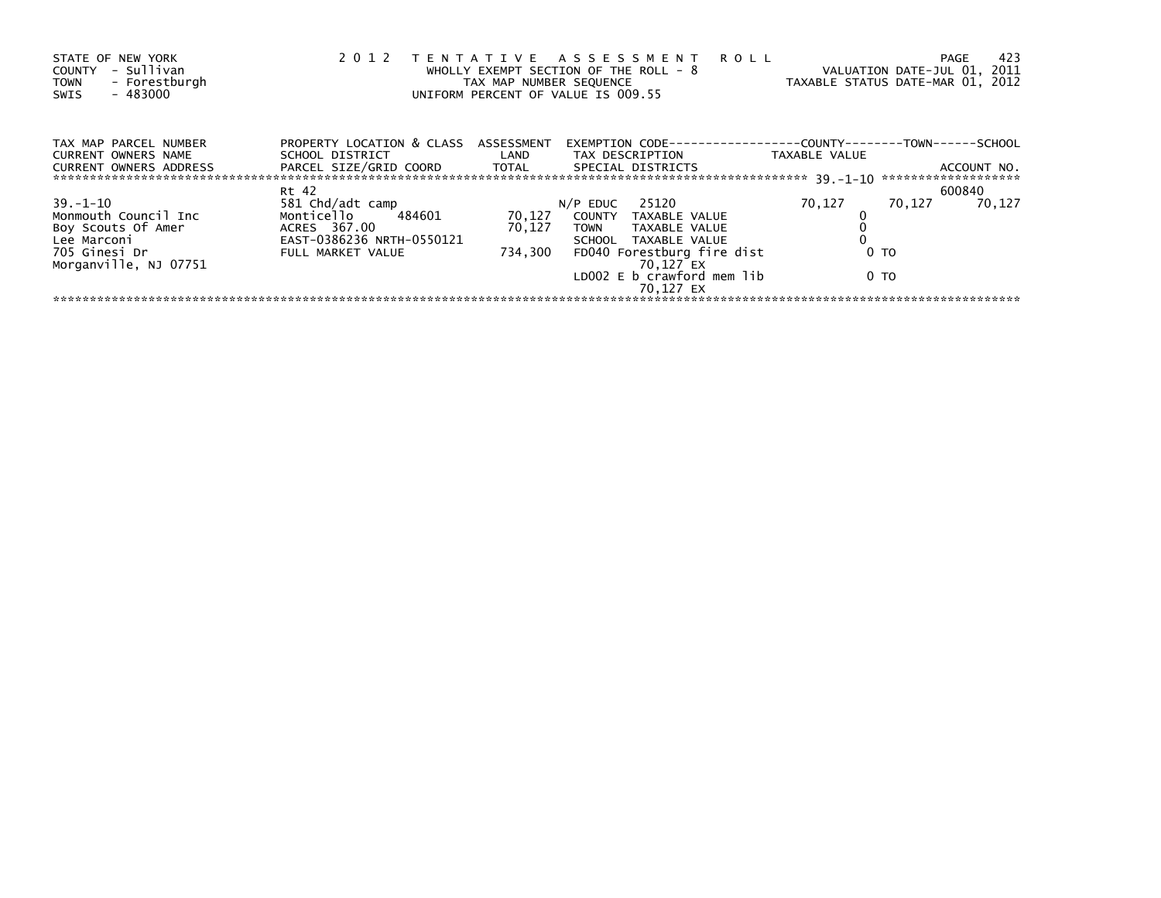| STATE OF NEW YORK<br>- Sullivan<br>COUNTY<br>- Forestburgh<br><b>TOWN</b><br>$-483000$<br>SWIS | 2 0 1 2                                                                           | TAX MAP NUMBER SEQUENCE | TENTATIVE ASSESSMENT<br><b>ROLL</b><br>WHOLLY EXEMPT SECTION OF THE ROLL - 8<br>UNIFORM PERCENT OF VALUE IS 009.55 | TAXABLE STATUS DATE-MAR 01, 2012        | 423<br><b>PAGE</b><br>VALUATION DATE-JUL 01, 2011 |
|------------------------------------------------------------------------------------------------|-----------------------------------------------------------------------------------|-------------------------|--------------------------------------------------------------------------------------------------------------------|-----------------------------------------|---------------------------------------------------|
| TAX MAP PARCEL NUMBER<br><b>CURRENT OWNERS NAME</b><br><b>CURRENT OWNERS ADDRESS</b>           | PROPERTY LOCATION & CLASS ASSESSMENT<br>SCHOOL DISTRICT<br>PARCEL SIZE/GRID COORD | LAND<br>TOTAL           | EXEMPTION CODE-<br>TAX DESCRIPTION<br>SPECIAL DISTRICTS                                                            | ----------COUNTY------<br>TAXABLE VALUE | -T0WN------SCH0OL<br>ACCOUNT NO.                  |
|                                                                                                |                                                                                   |                         |                                                                                                                    |                                         |                                                   |
|                                                                                                | Rt 42                                                                             |                         |                                                                                                                    |                                         | 600840                                            |
| $39. - 1 - 10$                                                                                 | 581 Chd/adt camp                                                                  |                         | 25120<br>$N/P$ EDUC                                                                                                | 70.127                                  | 70,127<br>70.127                                  |
| Monmouth Council Inc                                                                           | Monticello<br>484601                                                              | 70,127                  | COUNTY<br>TAXABLE VALUE                                                                                            |                                         |                                                   |
| Boy Scouts Of Amer                                                                             | ACRES 367.00                                                                      | 70,127                  | TAXABLE VALUE<br><b>TOWN</b>                                                                                       |                                         |                                                   |
| Lee Marconi                                                                                    | EAST-0386236 NRTH-0550121                                                         |                         | SCHOOL TAXABLE VALUE                                                                                               |                                         |                                                   |
| 705 Ginesi Dr<br>Morganville, NJ 07751                                                         | FULL MARKET VALUE                                                                 | 734.300                 | FD040 Forestburg fire dist<br>70.127 EX                                                                            | 0 <sub>T</sub>                          |                                                   |
|                                                                                                |                                                                                   |                         | LD002 E b crawford mem lib<br>70.127 EX                                                                            | 0 <sub>T</sub>                          |                                                   |
|                                                                                                |                                                                                   |                         |                                                                                                                    |                                         |                                                   |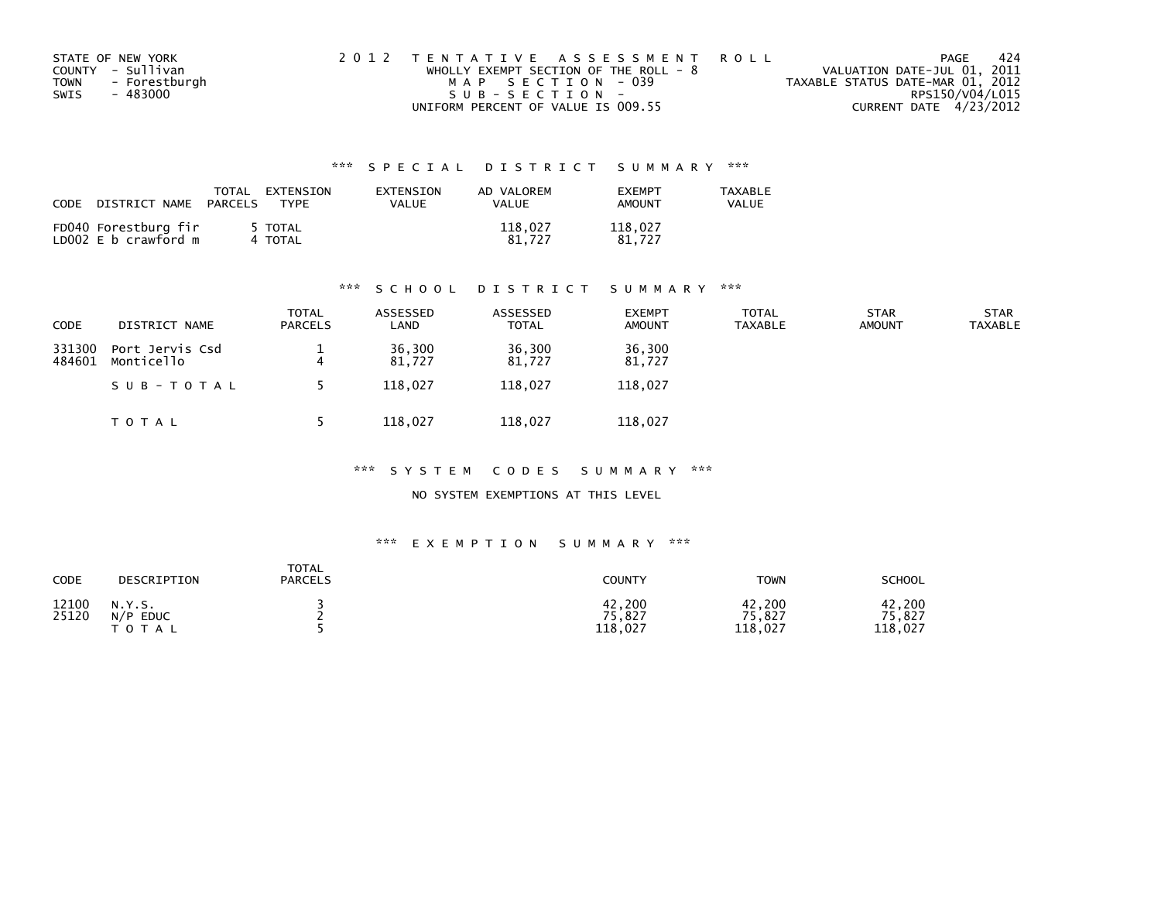| STATE OF NEW YORK     | 2012 TENTATIVE ASSESSMENT ROLL          |                                  | PAGE | -424 |
|-----------------------|-----------------------------------------|----------------------------------|------|------|
| COUNTY - Sullivan     | WHOLLY EXEMPT SECTION OF THE ROLL - $8$ | VALUATION DATE-JUL 01, 2011      |      |      |
| - Forestburgh<br>TOWN | MAP SECTION - 039                       | TAXABLE STATUS DATE-MAR 01, 2012 |      |      |
| - 483000<br>SWIS      | $SUB - SECTION -$                       | RPS150/V04/L015                  |      |      |
|                       | UNIFORM PERCENT OF VALUE IS 009.55      | CURRENT DATE 4/23/2012           |      |      |

| CODE | DISTRICT NAME                                | TOTAL<br>PARCELS | EXTENSION<br><b>TYPF</b> | EXTENSION<br>VALUE | AD VALOREM<br>VALUE | <b>FXFMPT</b><br><b>AMOUNT</b> | <b>TAXABLE</b><br>VALUE |
|------|----------------------------------------------|------------------|--------------------------|--------------------|---------------------|--------------------------------|-------------------------|
|      | FD040 Forestburg fir<br>LD002 E b crawford m |                  | 5 TOTAL<br>4 TOTAL       |                    | 118.027<br>81.727   | 118.027<br>81.727              |                         |

#### \*\*\* S C H O O L D I S T R I C T S U M M A R Y \*\*\*

| <b>CODE</b>      | DISTRICT NAME                 | TOTAL<br><b>PARCELS</b> | ASSESSED<br>LAND | ASSESSED<br>TOTAL | <b>EXEMPT</b><br><b>AMOUNT</b> | <b>TOTAL</b><br><b>TAXABLE</b> | <b>STAR</b><br><b>AMOUNT</b> | <b>STAR</b><br>TAXABLE |
|------------------|-------------------------------|-------------------------|------------------|-------------------|--------------------------------|--------------------------------|------------------------------|------------------------|
| 331300<br>484601 | Port Jervis Csd<br>Monticello | 4                       | 36,300<br>81.727 | 36,300<br>81.727  | 36,300<br>81,727               |                                |                              |                        |
|                  | SUB-TOTAL                     |                         | 118.027          | 118.027           | 118,027                        |                                |                              |                        |
|                  | T O T A L                     |                         | 118,027          | 118,027           | 118,027                        |                                |                              |                        |

#### \*\*\* S Y S T E M C O D E S S U M M A R Y \*\*\*

NO SYSTEM EXEMPTIONS AT THIS LEVEL

| CODE           | DESCRIPTION                               | <b>TOTAL</b><br><b>PARCELS</b> | <b>COUNTY</b>               | <b>TOWN</b>                 | <b>SCHOOL</b>               |
|----------------|-------------------------------------------|--------------------------------|-----------------------------|-----------------------------|-----------------------------|
| 12100<br>25120 | N.Y.S.<br><b>EDUC</b><br>N/P<br>T O T A L |                                | 42,200<br>75,827<br>118,027 | 42,200<br>75,827<br>118,027 | 42,200<br>75,827<br>118,027 |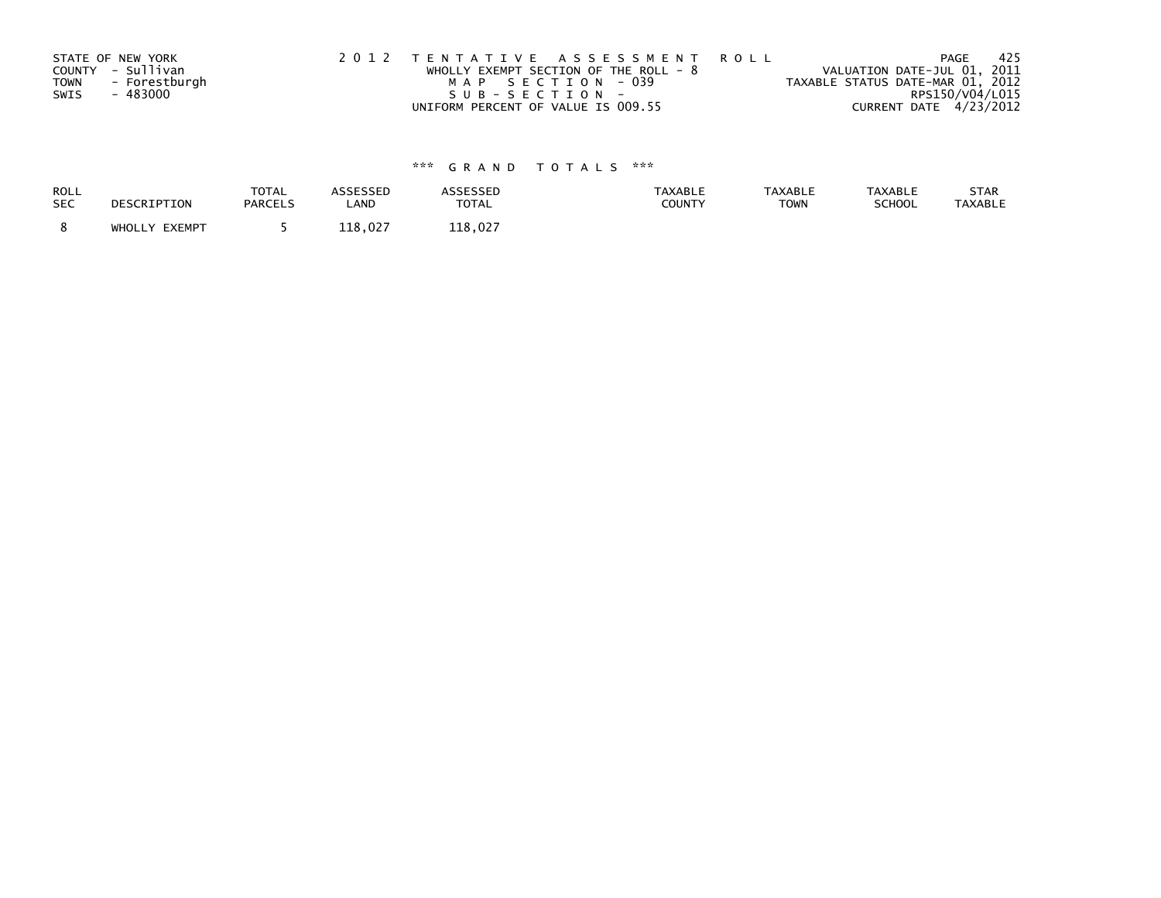| STATE OF NEW YORK |               | 2012 TENTATIVE ASSESSMENT ROLL |                                         |  |                                  | PAGE                   | - 425 |
|-------------------|---------------|--------------------------------|-----------------------------------------|--|----------------------------------|------------------------|-------|
| COUNTY - Sullivan |               |                                | WHOLLY EXEMPT SECTION OF THE ROLL - $8$ |  | VALUATION DATE-JUL 01, 2011      |                        |       |
| <b>TOWN</b>       | - Forestburgh |                                | MAP SECTION - 039                       |  | TAXABLE STATUS DATE-MAR 01, 2012 |                        |       |
| SWIS<br>- 483000  |               |                                | SUB-SECTION-                            |  |                                  | RPS150/V04/L015        |       |
|                   |               |                                | UNIFORM PERCENT OF VALUE IS 009.55      |  |                                  | CURRENT DATE 4/23/2012 |       |

| <b>ROLL</b> | DESCRIPTION   | <b>TOTAL</b>   | ASSESSED | <b>ASSESSED</b> | <b>TAXABLE</b> | <b>TAXABLE</b> | <b>TAXABLE</b> | STAR           |
|-------------|---------------|----------------|----------|-----------------|----------------|----------------|----------------|----------------|
| <b>SEC</b>  |               | <b>PARCELS</b> | LAND     | <b>TOTAL</b>    | COUNTY         | <b>TOWN</b>    | SCHOOL         | <b>TAXABLE</b> |
|             | WHOLLY EXEMPT |                | 118.027  | 118.027         |                |                |                |                |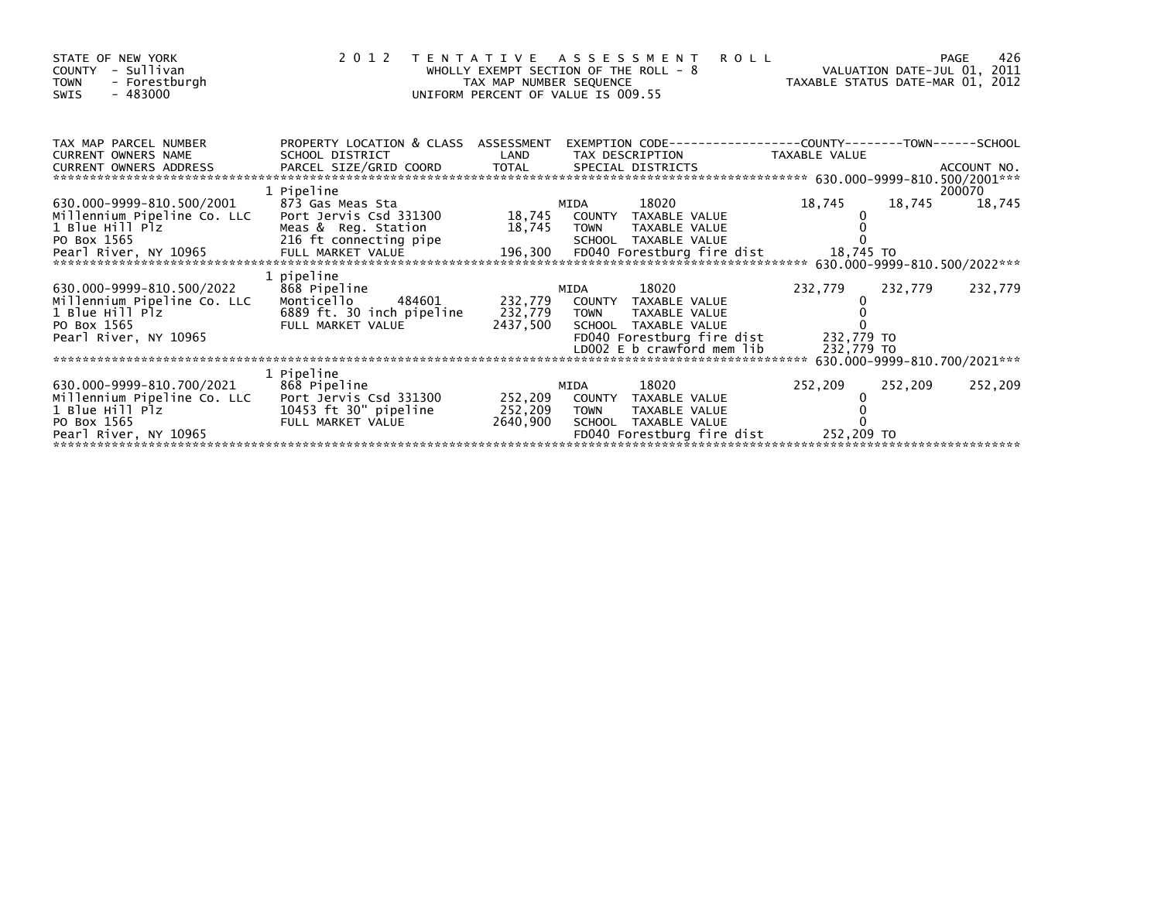| STATE OF NEW YORK<br>- Sullivan<br><b>COUNTY</b><br><b>TOWN</b><br>- Forestburgh<br>$-483000$<br><b>SWIS</b>                                                                                                                                                                                               | 2012 TENTATIVE ASSESSMENT                                                                                 | WHOLLY EXEMPT SECTION OF THE ROLL $-8$<br>TAX MAP NUMBER SEQUENCE<br>UNIFORM PERCENT OF VALUE IS 009.55 |              |                                                                                                                                            | <b>ROLL</b><br>VALUATION DATE-JUL 01, 2011<br>TAXABLE STATUS DATE-MAR 01, 2012 |         | 426<br>PAGE      |
|------------------------------------------------------------------------------------------------------------------------------------------------------------------------------------------------------------------------------------------------------------------------------------------------------------|-----------------------------------------------------------------------------------------------------------|---------------------------------------------------------------------------------------------------------|--------------|--------------------------------------------------------------------------------------------------------------------------------------------|--------------------------------------------------------------------------------|---------|------------------|
| TAX MAP PARCEL NUMBER<br><b>CURRENT OWNERS NAME</b>                                                                                                                                                                                                                                                        | PROPERTY LOCATION & CLASS ASSESSMENT<br>SCHOOL DISTRICT                                                   | LAND                                                                                                    |              | TAX DESCRIPTION                                                                                                                            | EXEMPTION CODE-----------------COUNTY-------TOWN------SCHOOL<br>TAXABLE VALUE  |         |                  |
| 630.000-9999-810.500/2001<br>Millennium Pipeline Co. LLC<br>1 Blue Hill Plz<br>PO Box 1565<br>- Pearl River, NY 10965 - FULL MARKET VALUE 196,300 FD040 Forestburg fire dist 18,745 TO<br>- Annual River, NY 10965 - FULL MARKET VALUE 196,300 - FD040 Forestburg fire dist 18,745 TO 1999-810.500/2022*** | 1 Pipeline<br>873 Gas Meas Sta<br>Port Jervis Csd 331300<br>Meas & Reg. Station<br>216 ft connecting pipe | 18,745 TOWN                                                                                             | MIDA         | 18020<br>18,745 COUNTY TAXABLE VALUE<br>TAXABLE VALUE<br>SCHOOL TAXABLE VALUE                                                              | 18,745                                                                         | 18,745  | 200070<br>18,745 |
| 630.000-9999-810.500/2022<br>Millennium Pipeline Co. LLC<br>1 Blue Hill Plz<br>PO Box 1565<br>Pearl River, NY 10965                                                                                                                                                                                        | 1 pipeline<br>868 Pipeline<br>Monticello<br>484601<br>6889 ft. 30 inch pipeline<br>FULL MARKET VALUE      | 232,779 TOWN<br>2437,500                                                                                | MIDA         | 18020<br>232,779 COUNTY TAXABLE VALUE<br>TAXABLE VALUE<br>SCHOOL TAXABLE VALUE<br>FD040 Forestburg fire dist<br>LD002 E b crawford mem lib | 232,779<br>232,779 TO<br>232,779 TO                                            | 232,779 | 232,779          |
| 630.000-9999-810.700/2021<br>Millennium Pipeline Co. LLC Port Jervis Csd 331300<br>1 Blue Hill Plz<br>PO Box 1565<br>Pearl River, NY 10965                                                                                                                                                                 | 1 Pipeline<br>868 Pipeline<br>10453 ft 30" pipeline<br>FULL MARKET VALUE                                  | 252,209<br>252,209<br>2640,900                                                                          | MIDA<br>TOWN | 18020<br>COUNTY TAXABLE VALUE<br>TAXABLE VALUE<br>SCHOOL TAXABLE VALUE<br>FD040 Forestburg fire dist                                       | 252,209<br>252,209 TO                                                          | 252,209 | 252,209          |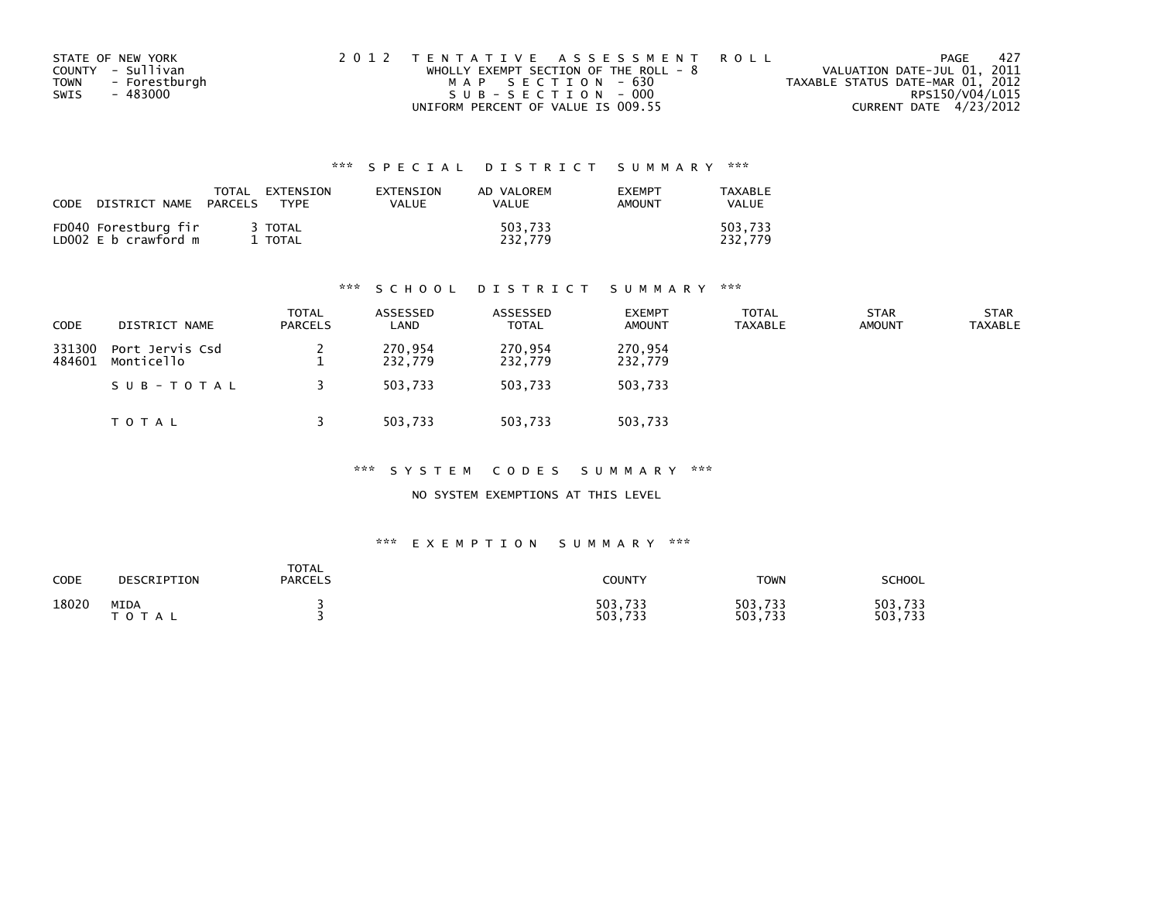|      | STATE OF NEW YORK | 2012 TENTATIVE ASSESSMENT ROLL          | PAGE                             | - 427 |
|------|-------------------|-----------------------------------------|----------------------------------|-------|
|      | COUNTY - Sullivan | WHOLLY EXEMPT SECTION OF THE ROLL - $8$ | VALUATION DATE-JUL 01, 2011      |       |
| TOWN | - Forestburgh     | MAP SECTION - 630                       | TAXABLE STATUS DATE-MAR 01, 2012 |       |
| SWIS | - 483000          | SUB-SECTION - 000                       | RPS150/V04/L015                  |       |
|      |                   | UNIFORM PERCENT OF VALUE IS 009.55      | CURRENT DATE 4/23/2012           |       |

| <b>CODE</b> | DISTRICT NAME                                | PARCELS | TOTAL EXTENSION<br>TYPF | EXTENSION<br>VALUE | AD VALOREM<br>VALUE | <b>EXEMPT</b><br>AMOUNT | TAXABLE<br>VALUE   |
|-------------|----------------------------------------------|---------|-------------------------|--------------------|---------------------|-------------------------|--------------------|
|             | FD040 Forestburg fir<br>LD002 E b crawford m |         | 3 TOTAL<br>TOTAL        |                    | 503.733<br>232.779  |                         | 503.733<br>232.779 |

#### \*\*\* S C H O O L D I S T R I C T S U M M A R Y \*\*\*

| <b>CODE</b>      | DISTRICT NAME                 | <b>TOTAL</b><br><b>PARCELS</b> | ASSESSED<br>LAND   | ASSESSED<br><b>TOTAL</b> | <b>EXEMPT</b><br><b>AMOUNT</b> | <b>TOTAL</b><br><b>TAXABLE</b> | <b>STAR</b><br><b>AMOUNT</b> | <b>STAR</b><br><b>TAXABLE</b> |
|------------------|-------------------------------|--------------------------------|--------------------|--------------------------|--------------------------------|--------------------------------|------------------------------|-------------------------------|
| 331300<br>484601 | Port Jervis Csd<br>Monticello |                                | 270,954<br>232,779 | 270,954<br>232,779       | 270,954<br>232,779             |                                |                              |                               |
|                  | SUB-TOTAL                     |                                | 503.733            | 503.733                  | 503,733                        |                                |                              |                               |
|                  | T O T A L                     |                                | 503,733            | 503,733                  | 503,733                        |                                |                              |                               |

\*\*\* S Y S T E M C O D E S S U M M A R Y \*\*\*

NO SYSTEM EXEMPTIONS AT THIS LEVEL

| CODE  | DESCRIPTION              | TOTAL<br><b>PARCELS</b> | COUNTY             | <b>TOWN</b>        | SCHOOL             |
|-------|--------------------------|-------------------------|--------------------|--------------------|--------------------|
| 18020 | MIDA<br>тот<br><b>AL</b> |                         | 503,733<br>503,733 | 503,733<br>503,733 | 503,733<br>503,733 |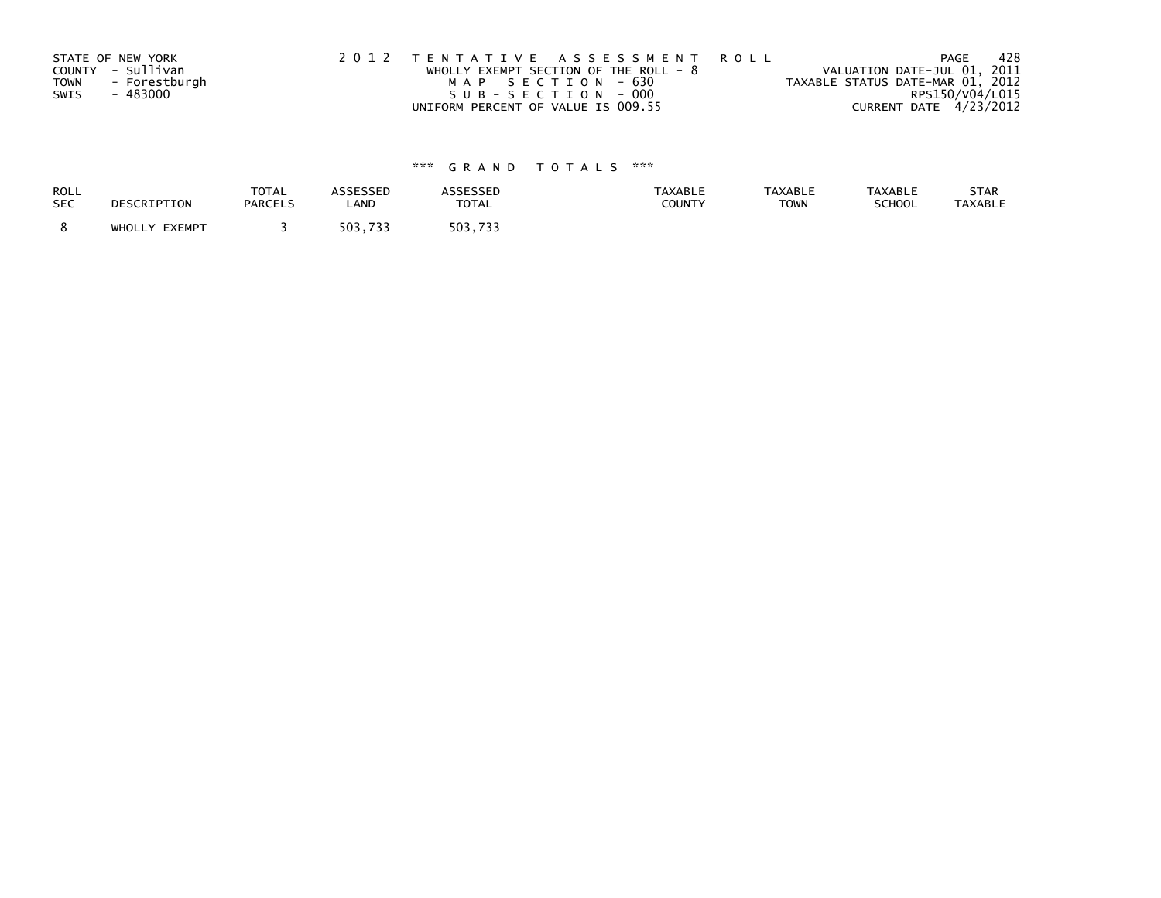| STATE OF NEW YORK     | 2012 TENTATIVE ASSESSMENT ROLL          | -428<br>PAGE                     |
|-----------------------|-----------------------------------------|----------------------------------|
| COUNTY - Sullivan     | WHOLLY EXEMPT SECTION OF THE ROLL - $8$ | VALUATION DATE-JUL 01, 2011      |
| - Forestburgh<br>TOWN | MAP SECTION - 630                       | TAXABLE STATUS DATE-MAR 01, 2012 |
| SWIS<br>- 483000      | SUB-SECTION - 000                       | RPS150/V04/L015                  |
|                       | UNIFORM PERCENT OF VALUE IS 009.55      | CURRENT DATE 4/23/2012           |

| ROLL       | DESCRIPTION   | <b>TOTAL</b>   | ASSESSED | <b>ASSESSED</b> | <b>TAXABLE</b> | <b>TAXABLE</b> | <b>TAXABLE</b> | STAR    |
|------------|---------------|----------------|----------|-----------------|----------------|----------------|----------------|---------|
| <b>SEC</b> |               | <b>PARCELS</b> | LAND     | <b>TOTAL</b>    | COUNTY         | <b>TOWN</b>    | SCHOOL         | TAXABLE |
|            | WHOLLY EXEMPT |                | 503,733  | 503.733         |                |                |                |         |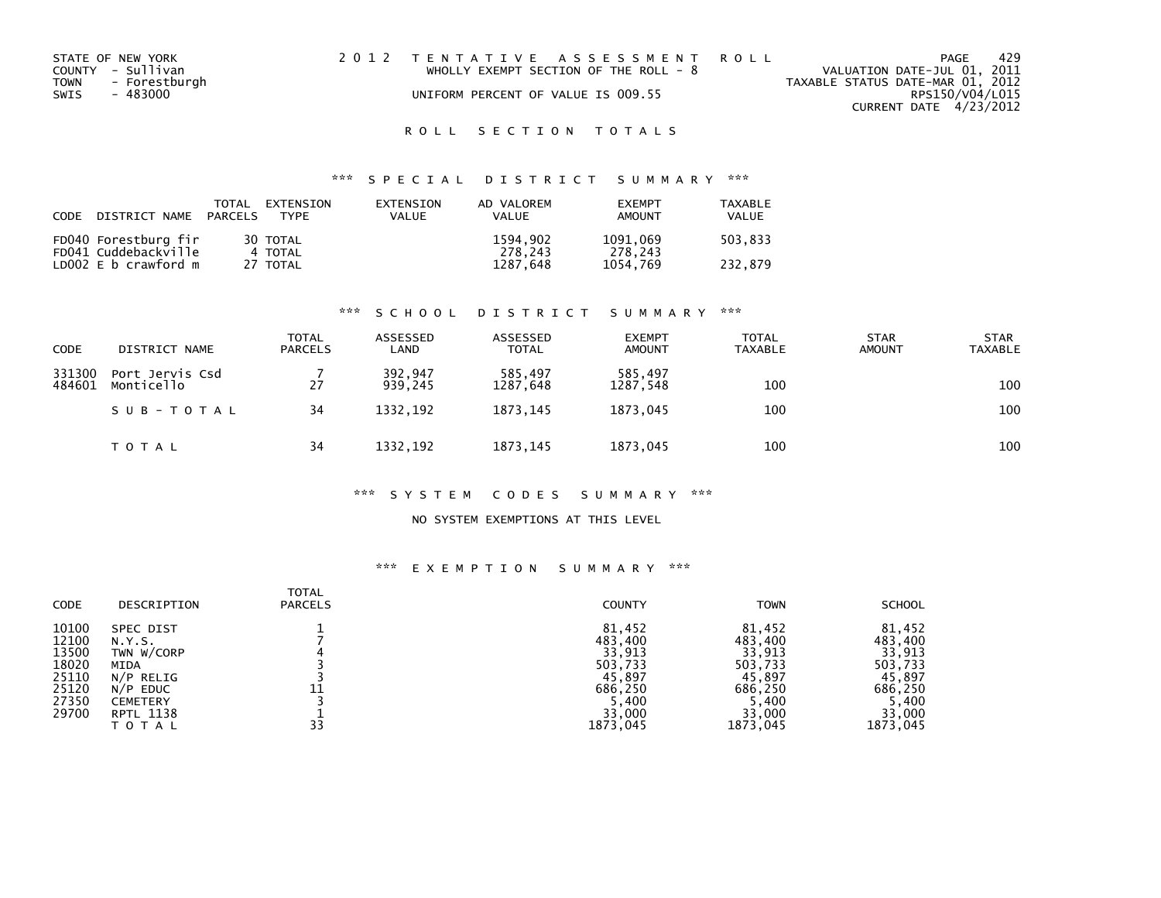| STATE OF NEW YORK     | 2012 TENTATIVE ASSESSMENT ROLL          | PAGE                             | 429 |
|-----------------------|-----------------------------------------|----------------------------------|-----|
| COUNTY - Sullivan     | WHOLLY EXEMPT SECTION OF THE ROLL - $8$ | VALUATION DATE-JUL 01, 2011      |     |
| TOWN<br>- Forestburgh |                                         | TAXABLE STATUS DATE-MAR 01, 2012 |     |
| SWIS<br>- 483000      | UNIFORM PERCENT OF VALUE IS 009.55      | RPS150/V04/L015                  |     |
|                       |                                         | CURRENT DATE 4/23/2012           |     |

## ROLL SECTION TOTALS

## \*\*\* S P E C I A L D I S T R I C T S U M M A R Y \*\*\*

| CODE | DISTRICT NAME PARCELS | TOTAL | EXTENSION<br>TYPF | EXTENSION<br>VALUE | AD VALOREM<br><b>VALUE</b> | <b>FXFMPT</b><br>AMOUNT | <b>TAXABLE</b><br>VALUE |
|------|-----------------------|-------|-------------------|--------------------|----------------------------|-------------------------|-------------------------|
|      | FD040 Forestburg fir  |       | 30 TOTAL          |                    | 1594.902                   | 1091,069                | 503,833                 |
|      | FD041 Cuddebackville  |       | 4 TOTAL           |                    | 278.243                    | 278.243                 |                         |
|      | LD002 E b crawford m  |       | 27 TOTAL          |                    | 1287,648                   | 1054.769                | 232.879                 |

#### \*\*\* S C H O O L D I S T R I C T S U M M A R Y \*\*\*

| <b>CODE</b>      | DISTRICT NAME                 | TOTAL<br><b>PARCELS</b> | ASSESSED<br>LAND   | ASSESSED<br><b>TOTAL</b> | <b>EXEMPT</b><br><b>AMOUNT</b> | <b>TOTAL</b><br><b>TAXABLE</b> | <b>STAR</b><br><b>AMOUNT</b> | <b>STAR</b><br><b>TAXABLE</b> |
|------------------|-------------------------------|-------------------------|--------------------|--------------------------|--------------------------------|--------------------------------|------------------------------|-------------------------------|
| 331300<br>484601 | Port Jervis Csd<br>Monticello | 27                      | 392,947<br>939.245 | 585.497<br>1287,648      | 585,497<br>1287,548            | 100                            |                              | 100                           |
|                  | SUB-TOTAL                     | 34                      | 1332.192           | 1873.145                 | 1873.045                       | 100                            |                              | 100                           |
|                  | <b>TOTAL</b>                  | 34                      | 1332, 192          | 1873, 145                | 1873,045                       | 100                            |                              | 100                           |

#### \*\*\* S Y S T E M C O D E S S U M M A R Y \*\*\*

#### NO SYSTEM EXEMPTIONS AT THIS LEVEL

| <b>CODE</b>                                                          | DESCRIPTION                                                                                                                 | <b>TOTAL</b><br><b>PARCELS</b> | <b>COUNTY</b>                                                                  | <b>TOWN</b>                                                                    | <b>SCHOOL</b>                                                                  |
|----------------------------------------------------------------------|-----------------------------------------------------------------------------------------------------------------------------|--------------------------------|--------------------------------------------------------------------------------|--------------------------------------------------------------------------------|--------------------------------------------------------------------------------|
| 10100<br>12100<br>13500<br>18020<br>25110<br>25120<br>27350<br>29700 | <b>SPEC DIST</b><br>N.Y.S.<br>TWN W/CORP<br><b>MIDA</b><br>$N/P$ RELIG<br>$N/P$ EDUC<br><b>CEMETERY</b><br><b>RPTL 1138</b> |                                | 81,452<br>483,400<br>33,913<br>503,733<br>45,897<br>686.250<br>5,400<br>33,000 | 81,452<br>483,400<br>33,913<br>503,733<br>45,897<br>686,250<br>5,400<br>33,000 | 81,452<br>483,400<br>33,913<br>503,733<br>45,897<br>686.250<br>5,400<br>33,000 |
|                                                                      | TOTAL                                                                                                                       | 33                             | 1873,045                                                                       | 1873,045                                                                       | 1873,045                                                                       |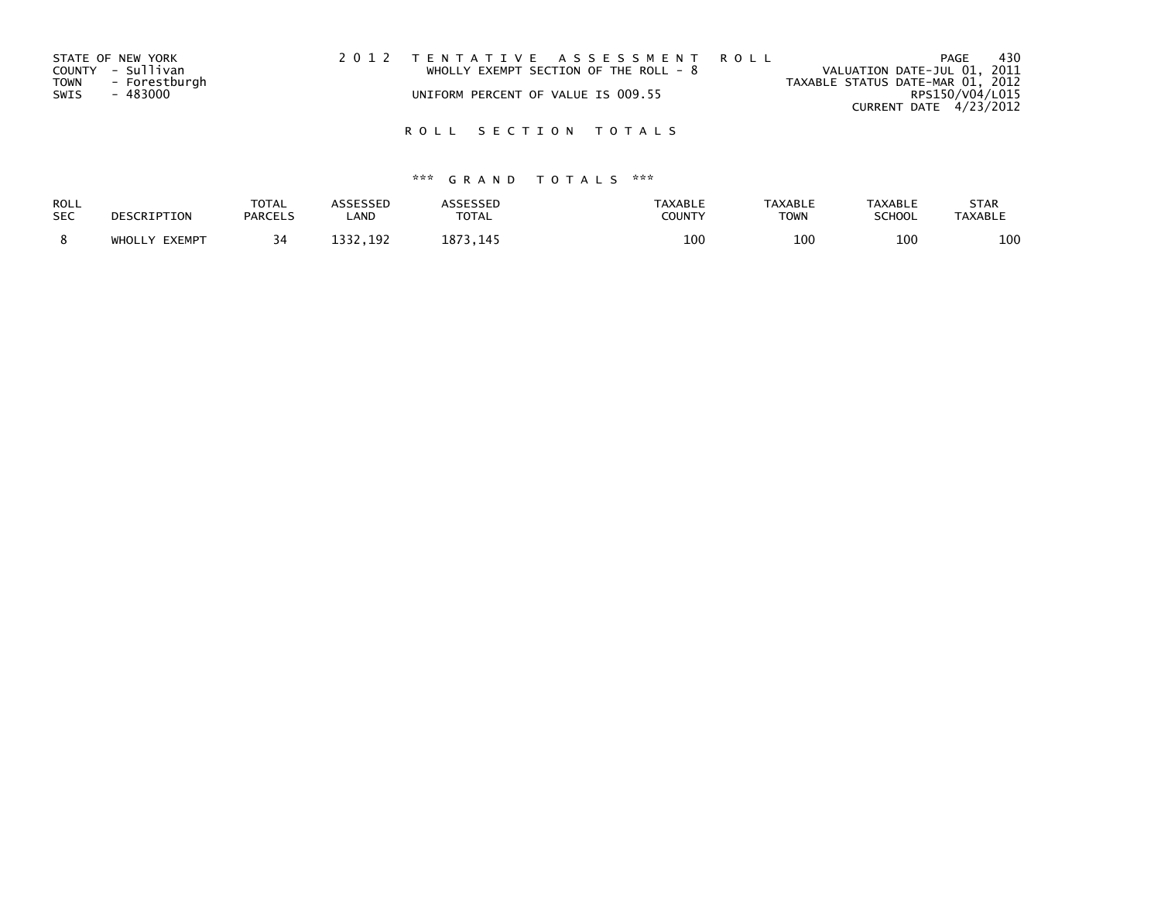| STATE OF NEW YORK       | 2012 TENTATIVE ASSESSMENT ROLL        |                                  | PAGE | 430 |
|-------------------------|---------------------------------------|----------------------------------|------|-----|
| COUNTY - Sullivan       | WHOLLY EXEMPT SECTION OF THE ROLL - 8 | VALUATION DATE-JUL 01, 2011      |      |     |
| TOWN<br>- Forestburgh   |                                       | TAXABLE STATUS DATE-MAR 01, 2012 |      |     |
| <b>SWIS</b><br>- 483000 | UNIFORM PERCENT OF VALUE IS 009.55    | RPS150/V04/L015                  |      |     |
|                         |                                       | CURRENT DATE 4/23/2012           |      |     |
|                         |                                       |                                  |      |     |

## ROLL SECTION TOTALS

| ROLL       | DESCRIPTION   | <b>TOTAL</b>   | ASSESSED | ASSESSED | <b>TAXABLE</b> | <b>TAXABLE</b> | <b>TAXABLE</b> | <b>STAR</b>    |
|------------|---------------|----------------|----------|----------|----------------|----------------|----------------|----------------|
| <b>SEC</b> |               | <b>PARCELS</b> | _AND     | TOTAL    | COUNTY         | <b>TOWN</b>    | <b>SCHOOL</b>  | <b>TAXABLE</b> |
|            | WHOLLY EXEMPT |                | 1332.192 | 1873.145 | 100            | 100            | 100            | 100            |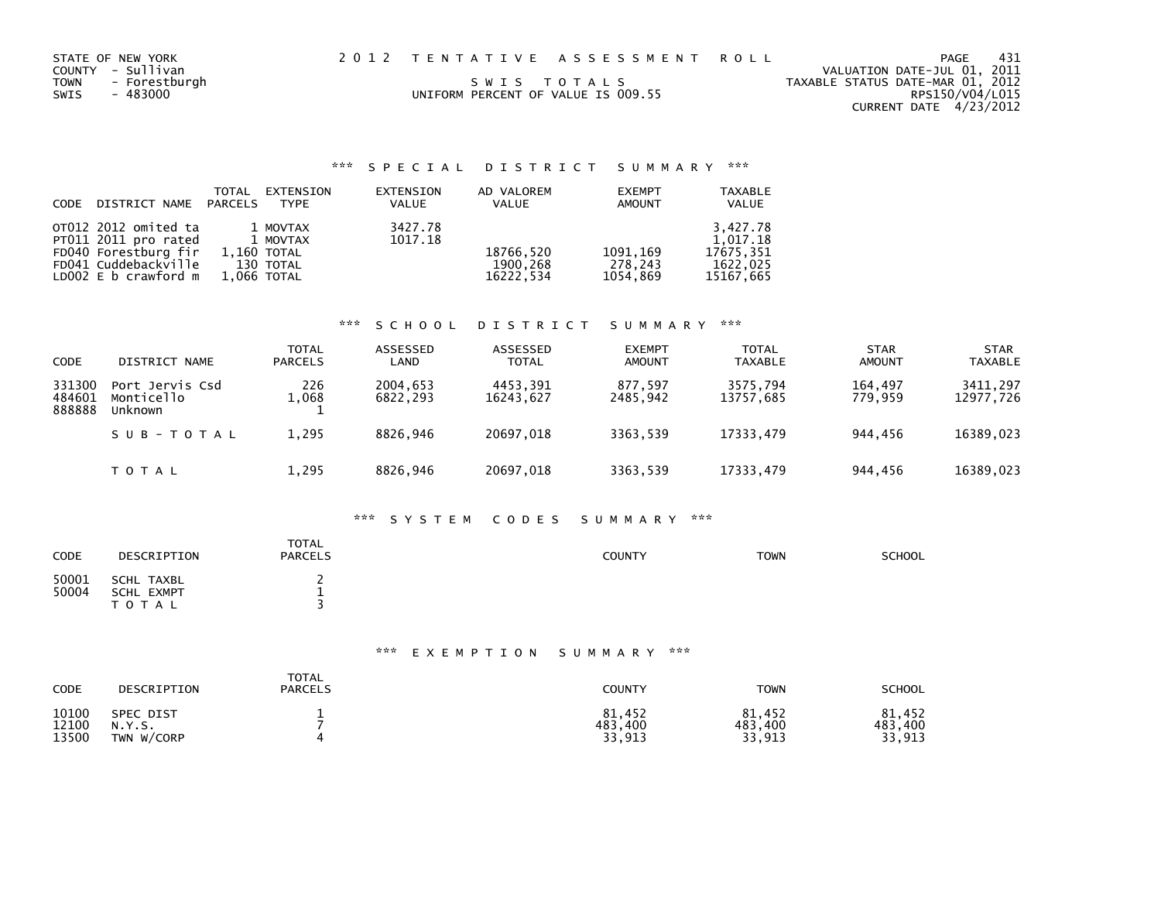| STATE OF NEW YORK<br>COUNTY - Sullivan<br>TOWN - Forestburgh<br>SWIS<br>- 483000 |  | 2012 TENTATIVE ASSESSMENT ROLL<br>SWIS TOTALS<br>UNIFORM PERCENT OF VALUE IS 009.55 |  | PAGE<br>VALUATION DATE-JUL 01, 2011<br>TAXABLE STATUS DATE-MAR 01, 2012<br>RPS150/V04/L015<br>CURRENT DATE 4/23/2012 | - 431 |
|----------------------------------------------------------------------------------|--|-------------------------------------------------------------------------------------|--|----------------------------------------------------------------------------------------------------------------------|-------|
|----------------------------------------------------------------------------------|--|-------------------------------------------------------------------------------------|--|----------------------------------------------------------------------------------------------------------------------|-------|

|                            | TOTAL | EXTENSION     | EXTENSION    | AD VALOREM | <b>EXEMPT</b> | <b>TAXABLE</b> |
|----------------------------|-------|---------------|--------------|------------|---------------|----------------|
| CODE DISTRICT NAME PARCELS |       | TYPE          | <b>VALUE</b> | VALUE      | <b>AMOUNT</b> | VALUE          |
| OT012 2012 omited ta       |       | 1 MOVTAX      | 3427.78      |            |               | 3.427.78       |
| PT011 2011 pro rated       |       | 1 MOVTAX      | 1017.18      |            |               | 1.017.18       |
| FD040 Forestburg fir       |       | $1.160$ TOTAL |              | 18766,520  | 1091,169      | 17675.351      |
| FD041 Cuddebackville       |       | 130 TOTAL     |              | 1900.268   | 278.243       | 1622.025       |
| LD002 $E$ b crawford $m$   |       | 1,066 TOTAL   |              | 16222.534  | 1054.869      | 15167.665      |

#### \*\*\* S C H O O L D I S T R I C T S U M M A R Y \*\*\*

| <b>CODE</b>                | DISTRICT NAME                            | <b>TOTAL</b><br><b>PARCELS</b> | ASSESSED<br>LAND     | ASSESSED<br><b>TOTAL</b> | <b>EXEMPT</b><br><b>AMOUNT</b> | <b>TOTAL</b><br><b>TAXABLE</b> | <b>STAR</b><br><b>AMOUNT</b> | <b>STAR</b><br><b>TAXABLE</b> |
|----------------------------|------------------------------------------|--------------------------------|----------------------|--------------------------|--------------------------------|--------------------------------|------------------------------|-------------------------------|
| 331300<br>484601<br>888888 | Port Jervis Csd<br>Monticello<br>Unknown | 226<br>1,068                   | 2004.653<br>6822.293 | 4453,391<br>16243,627    | 877,597<br>2485.942            | 3575.794<br>13757,685          | 164.497<br>779.959           | 3411,297<br>12977,726         |
|                            | SUB-TOTAL                                | 1,295                          | 8826.946             | 20697.018                | 3363.539                       | 17333.479                      | 944.456                      | 16389,023                     |
|                            | <b>TOTAL</b>                             | 1,295                          | 8826,946             | 20697,018                | 3363,539                       | 17333,479                      | 944,456                      | 16389,023                     |

### \*\*\* S Y S T E M C O D E S S U M M A R Y \*\*\*

| <b>CODE</b>    | DESCRIPTION                                  | <b>TOTAL</b><br><b>PARCELS</b> | COUNTY | <b>TOWN</b> | <b>SCHOOL</b> |
|----------------|----------------------------------------------|--------------------------------|--------|-------------|---------------|
| 50001<br>50004 | SCHL TAXBL<br><b>SCHL EXMPT</b><br>T O T A L |                                |        |             |               |

| CODE  | DESCRIPTION      | TOTAL<br><b>PARCELS</b> | COUNTY  | <b>TOWN</b> | <b>SCHOOL</b> |
|-------|------------------|-------------------------|---------|-------------|---------------|
| 10100 | <b>SPEC DIST</b> |                         | 81,452  | 81,452      | 81,452        |
| 12100 | N.Y.S.           |                         | 483,400 | 483,400     | 483,400       |
| 13500 | TWN W/CORP       |                         | 33,913  | 33,913      | 33,913        |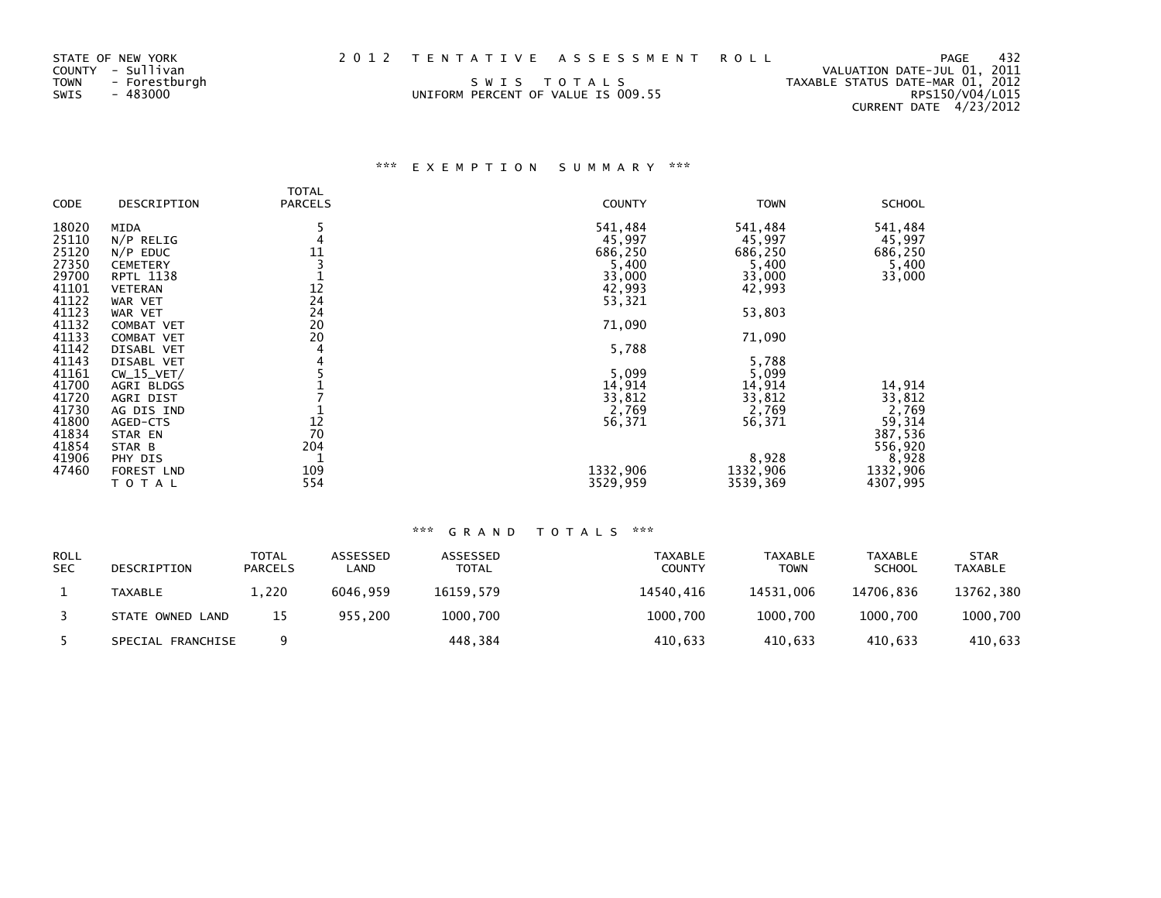| STATE OF NEW YORK<br>COUNTY - Sullivan<br>TOWN - Forestburgh<br>SWIS<br>- 483000 | 2012 TENTATIVE ASSESSMENT ROLL<br>SWIS TOTALS<br>UNIFORM PERCENT OF VALUE IS 009.55 |  | VALUATION DATE-JUL 01, 2011<br>TAXABLE STATUS DATE-MAR 01, 2012<br>RPS150/V04/L015 | PAGE | 432 |
|----------------------------------------------------------------------------------|-------------------------------------------------------------------------------------|--|------------------------------------------------------------------------------------|------|-----|
|                                                                                  |                                                                                     |  | CURRENT DATE 4/23/2012                                                             |      |     |

## \*\*\* E X E M P T I O N S U M M A R Y \*\*\*

|       |                  | <b>TOTAL</b>               |               |             |               |
|-------|------------------|----------------------------|---------------|-------------|---------------|
| CODE  | DESCRIPTION      | <b>PARCELS</b>             | <b>COUNTY</b> | <b>TOWN</b> | <b>SCHOOL</b> |
| 18020 | <b>MIDA</b>      |                            | 541,484       | 541,484     | 541,484       |
| 25110 | $N/P$ RELIG      |                            | 45,997        | 45,997      | 45,997        |
| 25120 | $N/P$ EDUC       | 11                         | 686,250       | 686,250     | 686,250       |
| 27350 | <b>CEMETERY</b>  |                            | 5,400         | 5,400       | 5,400         |
| 29700 | <b>RPTL 1138</b> |                            | 33,000        | 33,000      | 33,000        |
| 41101 | <b>VETERAN</b>   | $1\overline{2}$            | 42,993        | 42,993      |               |
| 41122 | WAR VET          | $\overline{2}\overline{4}$ | 53,321        |             |               |
| 41123 | WAR VET          | 24                         |               | 53,803      |               |
| 41132 | COMBAT VET       | 20                         | 71,090        |             |               |
| 41133 | COMBAT VET       | 20                         |               | 71,090      |               |
| 41142 | DISABL VET       | 4                          | 5,788         |             |               |
| 41143 | DISABL VET       |                            |               | 5,788       |               |
| 41161 | $CW_15_VET/$     |                            | 5,099         | 5,099       |               |
| 41700 | AGRI BLDGS       |                            | 14,914        | 14,914      | 14,914        |
| 41720 | AGRI DIST        |                            | 33,812        | 33,812      | 33,812        |
| 41730 | AG DIS IND       |                            | 2,769         | 2,769       | 2,769         |
| 41800 | AGED-CTS         |                            | 56,371        | 56,371      | 59,314        |
| 41834 | STAR EN          | 12<br>70                   |               |             | 387,536       |
| 41854 | STAR B           | 204                        |               |             | 556,920       |
| 41906 | PHY DIS          |                            |               | 8,928       | 8,928         |
| 47460 | FOREST LND       | 109                        | 1332,906      | 1332,906    | 1332,906      |
|       | TOTAL            | 554                        | 3529,959      | 3539,369    | 4307,995      |

| <b>ROLL</b><br><b>SEC</b> | DESCRIPTION       | TOTAL<br><b>PARCELS</b> | ASSESSED<br>∟AND | ASSESSED<br><b>TOTAL</b> | <b>TAXABLE</b><br><b>COUNTY</b> | <b>TAXABLE</b><br><b>TOWN</b> | <b>TAXABLE</b><br><b>SCHOOL</b> | <b>STAR</b><br><b>TAXABLE</b> |
|---------------------------|-------------------|-------------------------|------------------|--------------------------|---------------------------------|-------------------------------|---------------------------------|-------------------------------|
|                           | TAXABLE           | 1,220                   | 6046.959         | 16159.579                | 14540.416                       | 14531.006                     | 14706.836                       | 13762,380                     |
|                           | STATE OWNED LAND  | 15                      | 955.200          | 1000,700                 | 1000,700                        | 1000.700                      | 1000.700                        | 1000,700                      |
|                           | SPECIAL FRANCHISE |                         |                  | 448,384                  | 410,633                         | 410.633                       | 410,633                         | 410,633                       |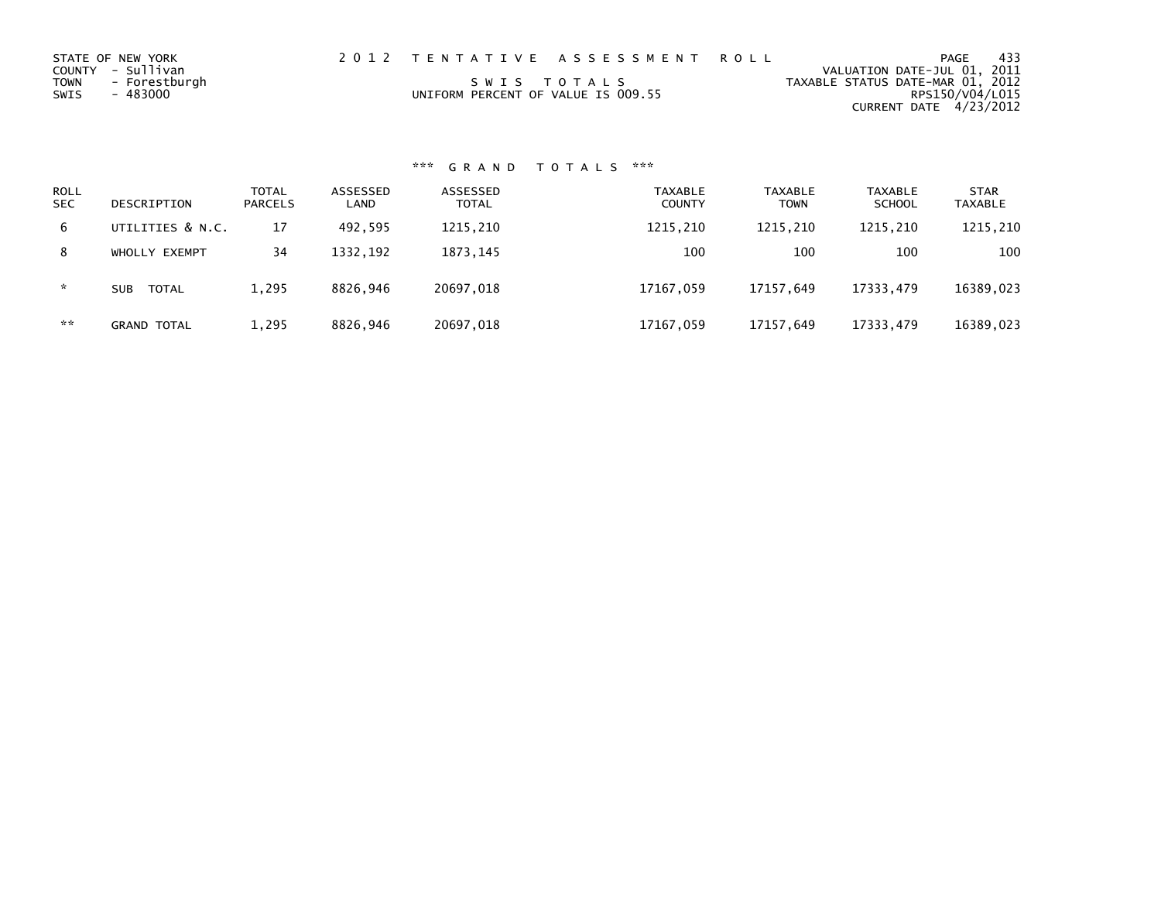| STATE OF NEW YORK<br>COUNTY - Sullivan<br>TOWN<br>- Forestburgh<br>SWIS<br>- 483000 | 2012 TENTATIVE ASSESSMENT ROLL<br>SWIS TOTALS<br>UNIFORM PERCENT OF VALUE IS 009.55 | 433<br>PAGE<br>VALUATION DATE-JUL 01, 2011<br>TAXABLE STATUS DATE-MAR 01, 2012<br>RPS150/V04/L015 |
|-------------------------------------------------------------------------------------|-------------------------------------------------------------------------------------|---------------------------------------------------------------------------------------------------|
|                                                                                     |                                                                                     | CURRENT DATE 4/23/2012                                                                            |

# \*\*\* G R A N D T O T A L S \*\*\*

| <b>ROLL</b><br><b>SEC</b> | DESCRIPTION        | <b>TOTAL</b><br><b>PARCELS</b> | ASSESSED<br>LAND | ASSESSED<br><b>TOTAL</b> | <b>TAXABLE</b><br><b>COUNTY</b> | <b>TAXABLE</b><br><b>TOWN</b> | <b>TAXABLE</b><br><b>SCHOOL</b> | <b>STAR</b><br><b>TAXABLE</b> |
|---------------------------|--------------------|--------------------------------|------------------|--------------------------|---------------------------------|-------------------------------|---------------------------------|-------------------------------|
| 6                         | UTILITIES & N.C.   | 17                             | 492.595          | 1215,210                 | 1215,210                        | 1215,210                      | 1215,210                        | 1215,210                      |
| 8                         | WHOLLY EXEMPT      | 34                             | 1332.192         | 1873.145                 | 100                             | 100                           | 100                             | 100                           |
| *                         | TOTAL<br>SUB       | 1,295                          | 8826.946         | 20697.018                | 17167,059                       | 17157.649                     | 17333,479                       | 16389,023                     |
| **                        | <b>GRAND TOTAL</b> | 1,295                          | 8826,946         | 20697,018                | 17167,059                       | 17157.649                     | 17333,479                       | 16389,023                     |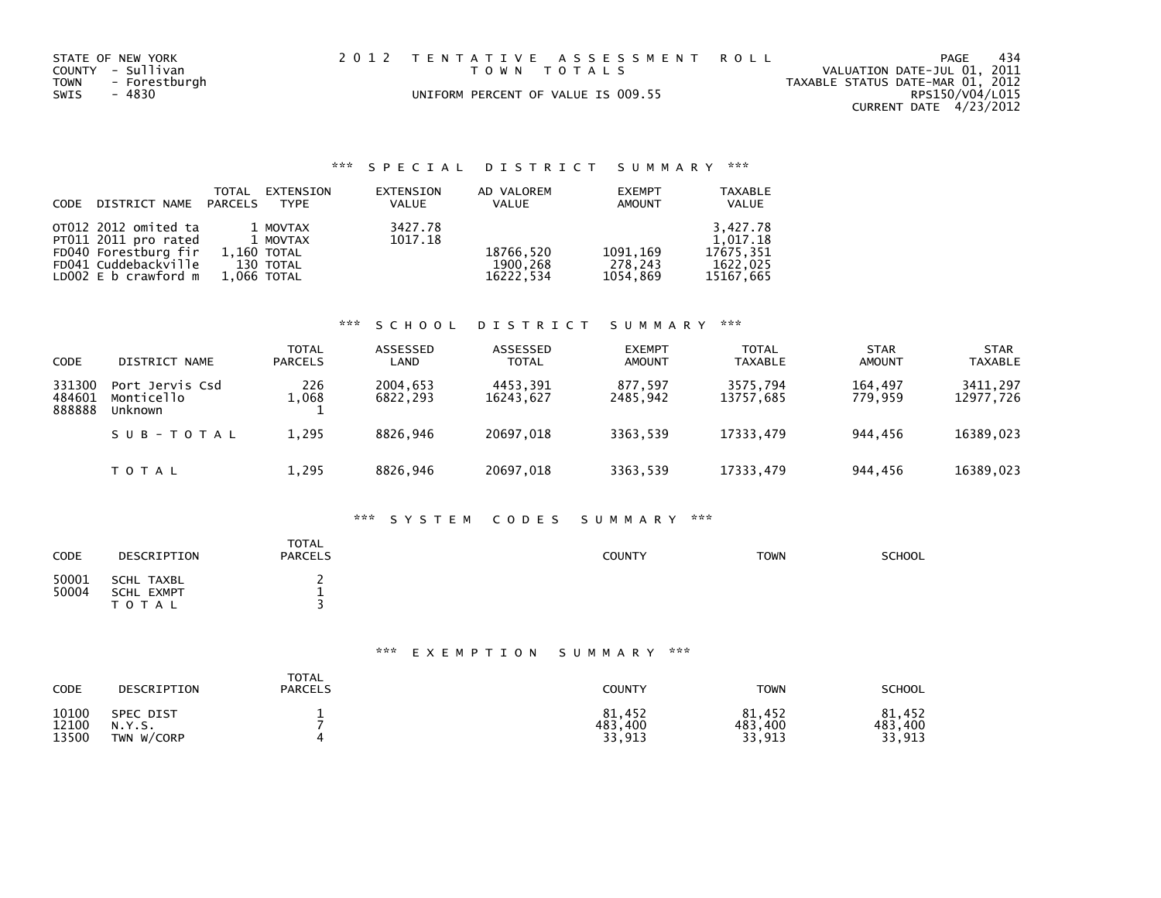| STATE OF NEW YORK<br>COUNTY - Sullivan<br>TOWN - Forestburgh<br>SWIS<br>- 4830 | 2012 TENTATIVE ASSESSMENT ROLL<br>TOWN TOTALS<br>UNIFORM PERCENT OF VALUE IS 009.55 | -434<br>PAGE<br>VALUATION DATE-JUL 01, 2011<br>TAXABLE STATUS DATE-MAR 01, 2012<br>RPS150/V04/L015<br>CURRENT DATE 4/23/2012 |
|--------------------------------------------------------------------------------|-------------------------------------------------------------------------------------|------------------------------------------------------------------------------------------------------------------------------|
|                                                                                |                                                                                     |                                                                                                                              |

### \*\*\* S P E C I A L D I S T R I C T S U M M A R Y \*\*\*

| CODE | DISTRICT NAME                                                                                                        | TOTAL<br>PARCELS           | EXTENSION<br>TYPE                 | EXTENSION<br><b>VALUE</b> | AD VALOREM<br>VALUE                | <b>EXEMPT</b><br><b>AMOUNT</b>   | <b>TAXABLE</b><br>VALUE                                    |
|------|----------------------------------------------------------------------------------------------------------------------|----------------------------|-----------------------------------|---------------------------|------------------------------------|----------------------------------|------------------------------------------------------------|
|      | OT012 2012 omited ta<br>PT011 2011 pro rated<br>FD040 Forestburg fir<br>FD041 Cuddebackville<br>LD002 E b crawford m | 1,160 TOTAL<br>1,066 TOTAL | 1 MOVTAX<br>1 MOVTAX<br>130 TOTAL | 3427.78<br>1017.18        | 18766,520<br>1900.268<br>16222.534 | 1091, 169<br>278,243<br>1054.869 | 3.427.78<br>1.017.18<br>17675.351<br>1622,025<br>15167,665 |

#### \*\*\* S C H O O L D I S T R I C T S U M M A R Y \*\*\*

| <b>CODE</b>                | DISTRICT NAME                            | <b>TOTAL</b><br><b>PARCELS</b> | ASSESSED<br>LAND     | ASSESSED<br><b>TOTAL</b> | <b>EXEMPT</b><br><b>AMOUNT</b> | <b>TOTAL</b><br><b>TAXABLE</b> | <b>STAR</b><br><b>AMOUNT</b> | <b>STAR</b><br><b>TAXABLE</b> |
|----------------------------|------------------------------------------|--------------------------------|----------------------|--------------------------|--------------------------------|--------------------------------|------------------------------|-------------------------------|
| 331300<br>484601<br>888888 | Port Jervis Csd<br>Monticello<br>Unknown | 226<br>1,068                   | 2004.653<br>6822.293 | 4453,391<br>16243,627    | 877,597<br>2485.942            | 3575.794<br>13757,685          | 164.497<br>779.959           | 3411,297<br>12977,726         |
|                            | SUB-TOTAL                                | 1,295                          | 8826.946             | 20697.018                | 3363.539                       | 17333.479                      | 944.456                      | 16389,023                     |
|                            | <b>TOTAL</b>                             | 1,295                          | 8826,946             | 20697,018                | 3363,539                       | 17333,479                      | 944,456                      | 16389,023                     |

#### \*\*\* S Y S T E M C O D E S S U M M A R Y \*\*\*

| <b>CODE</b>    | DESCRIPTION                                  | <b>TOTAL</b><br><b>PARCELS</b> | COUNTY | <b>TOWN</b> | <b>SCHOOL</b> |
|----------------|----------------------------------------------|--------------------------------|--------|-------------|---------------|
| 50001<br>50004 | SCHL TAXBL<br><b>SCHL EXMPT</b><br>T O T A L | <b></b>                        |        |             |               |

#### \*\*\* E X E M P T I O N S U M M A R Y \*\*\*

| CODE  | DESCRIPTION      | TOTAL<br><b>PARCELS</b> | COUNTY  | <b>TOWN</b> | <b>SCHOOL</b> |
|-------|------------------|-------------------------|---------|-------------|---------------|
| 10100 | <b>SPEC DIST</b> |                         | 81,452  | 81,452      | 81,452        |
| 12100 | N.Y.S.           |                         | 483,400 | 483,400     | 483,400       |
| 13500 | TWN W/CORP       |                         | 33,913  | 33,913      | 33,913        |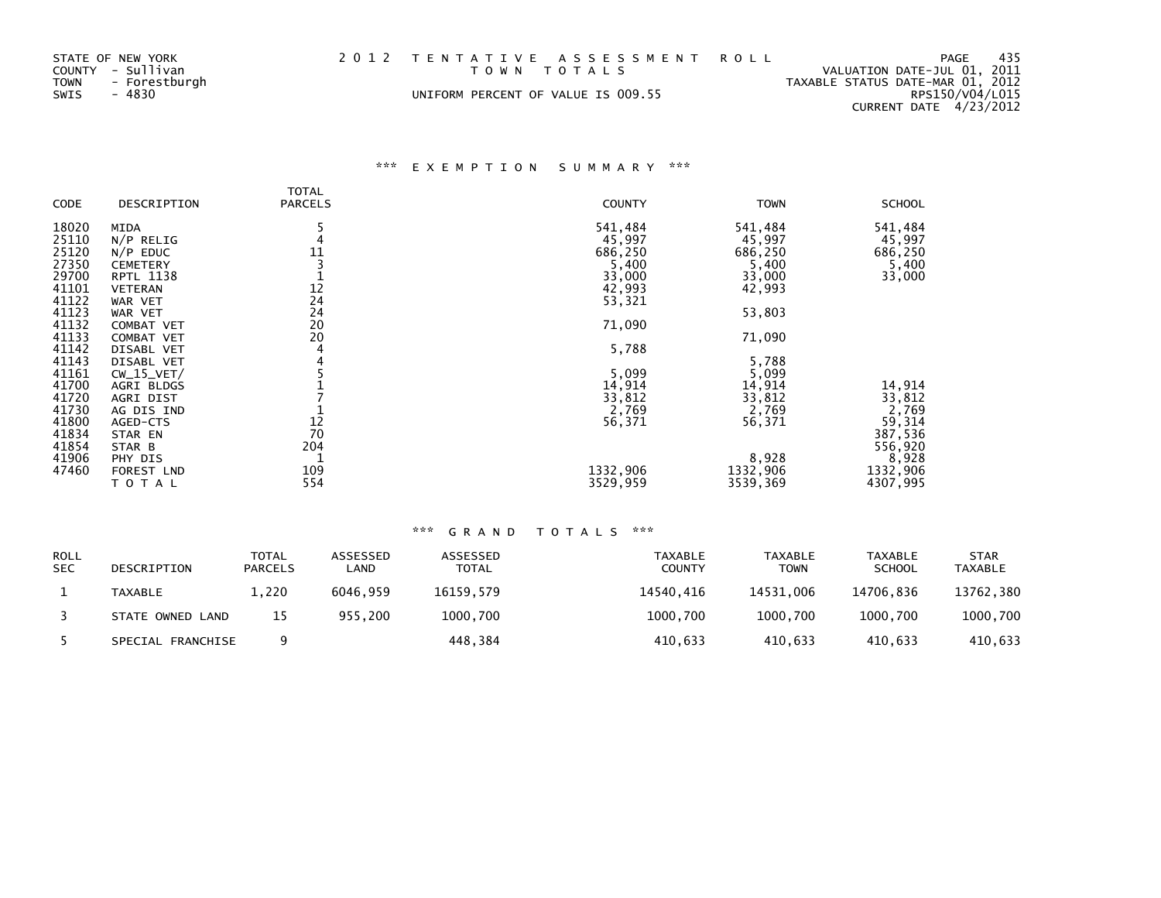| STATE OF NEW YORK<br>COUNTY - Sullivan<br>TOWN - Forestburgh<br>SWIS<br>- 4830 | 2012 TENTATIVE ASSESSMENT ROLL<br>TOWN TOTALS<br>UNIFORM PERCENT OF VALUE IS 009.55 | - 435<br>PAGE<br>VALUATION DATE-JUL 01, 2011<br>TAXABLE STATUS DATE-MAR 01, 2012<br>RPS150/V04/L015<br>CURRENT DATE 4/23/2012 |
|--------------------------------------------------------------------------------|-------------------------------------------------------------------------------------|-------------------------------------------------------------------------------------------------------------------------------|
|                                                                                |                                                                                     |                                                                                                                               |

# \*\*\* E X E M P T I O N S U M M A R Y \*\*\*

|       |                   | <b>TOTAL</b>   |               |             |               |
|-------|-------------------|----------------|---------------|-------------|---------------|
| CODE  | DESCRIPTION       | <b>PARCELS</b> | <b>COUNTY</b> | <b>TOWN</b> | <b>SCHOOL</b> |
| 18020 | MIDA              |                | 541,484       | 541,484     | 541,484       |
| 25110 | $N/P$ RELIG       |                | 45,997        | 45,997      | 45,997        |
| 25120 | $N/P$ EDUC        | 11             | 686,250       | 686,250     | 686,250       |
| 27350 | <b>CEMETERY</b>   |                | 5,400         | 5,400       | 5,400         |
| 29700 | <b>RPTL 1138</b>  |                | 33,000        | 33,000      | 33,000        |
| 41101 | <b>VETERAN</b>    | 12             | 42,993        | 42,993      |               |
| 41122 | WAR VET           | 24             | 53,321        |             |               |
| 41123 | WAR VET           | 24             |               | 53,803      |               |
| 41132 | <b>COMBAT VET</b> | 20             | 71,090        |             |               |
| 41133 | <b>COMBAT VET</b> | 20             |               | 71,090      |               |
| 41142 | DISABL VET        |                | 5,788         |             |               |
| 41143 | DISABL VET        |                |               | 5,788       |               |
| 41161 | $CW_15_VET/$      |                | 5,099         | 5,099       |               |
| 41700 | AGRI BLDGS        |                | 14,914        | 14,914      | 14,914        |
| 41720 | AGRI DIST         |                | 33,812        | 33,812      | 33,812        |
| 41730 | AG DIS IND        |                | 2,769         | 2,769       | 2,769         |
| 41800 | AGED-CTS          | 12             | 56,371        | 56,371      | 59,314        |
| 41834 | STAR EN           | 70             |               |             | 387,536       |
| 41854 | STAR B            | 204            |               |             | 556,920       |
| 41906 | PHY DIS           |                |               | 8,928       | 8,928         |
| 47460 | FOREST LND        | 109            | 1332,906      | 1332,906    | 1332,906      |
|       | TOTAL             | 554            | 3529,959      | 3539,369    | 4307,995      |

### \*\*\* G R A N D T O T A L S \*\*\*

| <b>ROLL</b><br><b>SEC</b> | DESCRIPTION       | TOTAL<br><b>PARCELS</b> | ASSESSED<br>_AND | ASSESSED<br>TOTAL | TAXABLE<br><b>COUNTY</b> | <b>TAXABLE</b><br><b>TOWN</b> | <b>TAXABLE</b><br><b>SCHOOL</b> | <b>STAR</b><br><b>TAXABLE</b> |
|---------------------------|-------------------|-------------------------|------------------|-------------------|--------------------------|-------------------------------|---------------------------------|-------------------------------|
|                           | TAXABLE           | 1.220                   | 6046.959         | 16159.579         | 14540.416                | 14531.006                     | 14706.836                       | 13762.380                     |
|                           | STATE OWNED LAND  | 15                      | 955.200          | 1000.700          | 1000.700                 | 1000.700                      | 1000.700                        | 1000,700                      |
|                           | SPECIAL FRANCHISE |                         |                  | 448,384           | 410.633                  | 410.633                       | 410.633                         | 410,633                       |